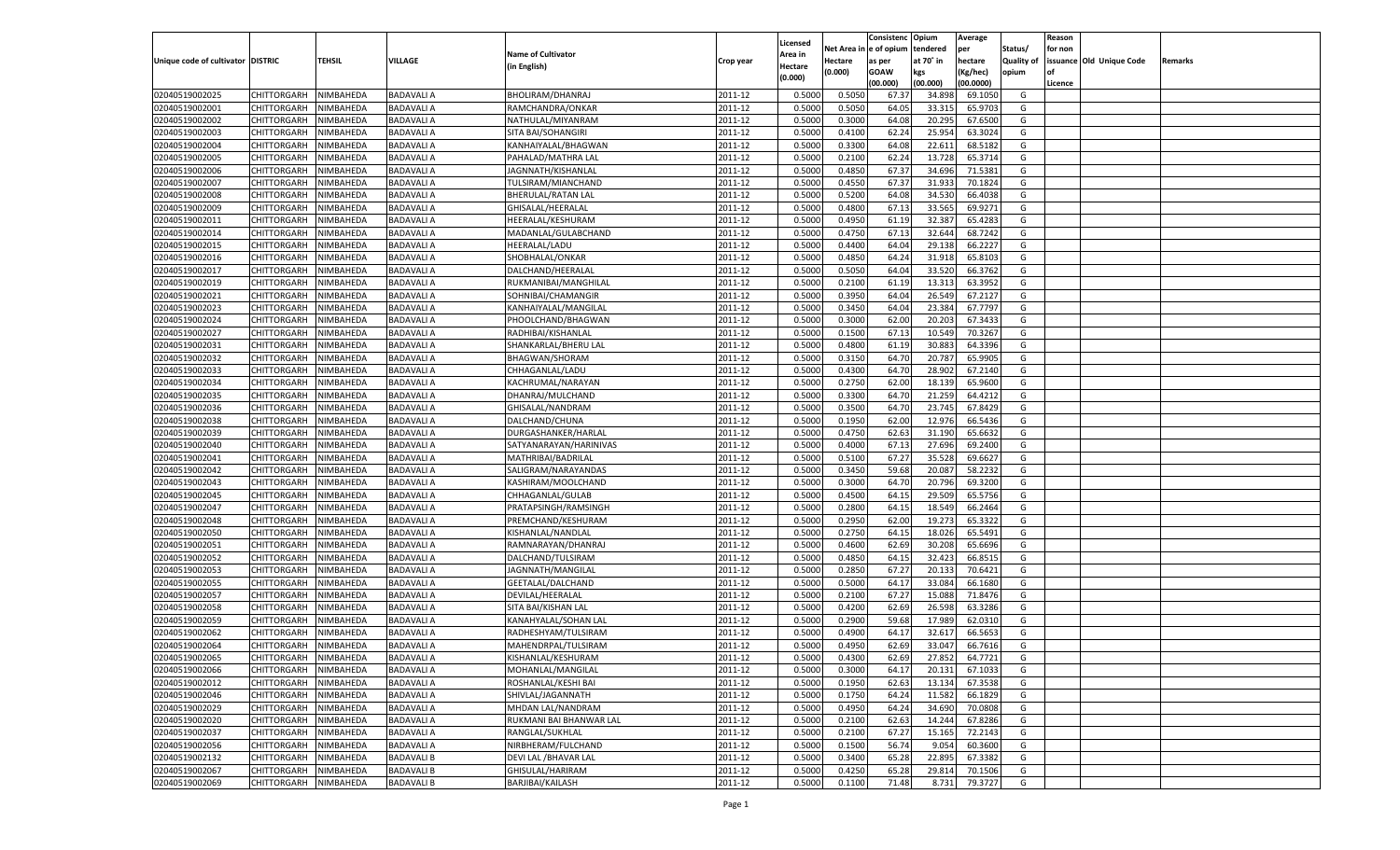|                                   |                       |           |                   |                           |           |          |          | Consistenc Opium |           | Average   |                   | Reason    |                          |         |
|-----------------------------------|-----------------------|-----------|-------------------|---------------------------|-----------|----------|----------|------------------|-----------|-----------|-------------------|-----------|--------------------------|---------|
|                                   |                       |           |                   |                           |           | Licensed | Net Area | e of opium       | tendered  | per       | Status/           | for non   |                          |         |
| Unique code of cultivator DISTRIC |                       | TEHSIL    | VILLAGE           | <b>Name of Cultivator</b> | Crop year | Area in  | Hectare  | as per           | at 70˚ in | hectare   | <b>Quality of</b> |           | issuance Old Unique Code | Remarks |
|                                   |                       |           |                   | (in English)              |           | Hectare  | (0.000)  | <b>GOAW</b>      | kgs       | (Kg/hec)  | opium             | <b>of</b> |                          |         |
|                                   |                       |           |                   |                           |           | (0.000)  |          | (00.000)         | (00.000)  | (00.0000) |                   | Licence   |                          |         |
|                                   |                       |           |                   |                           |           |          |          |                  |           |           |                   |           |                          |         |
| 02040519002025                    | CHITTORGARH           | NIMBAHEDA | <b>BADAVALI A</b> | <b>BHOLIRAM/DHANRAJ</b>   | 2011-12   | 0.5000   | 0.5050   | 67.3             | 34.89     | 69.1050   | G                 |           |                          |         |
| 02040519002001                    | CHITTORGARH           | NIMBAHEDA | <b>BADAVALI A</b> | RAMCHANDRA/ONKAR          | 2011-12   | 0.5000   | 0.5050   | 64.05            | 33.31     | 65.970    | G                 |           |                          |         |
| 02040519002002                    | <b>CHITTORGARH</b>    | NIMBAHEDA | <b>BADAVALI A</b> | NATHULAL/MIYANRAM         | 2011-12   | 0.5000   | 0.3000   | 64.08            | 20.295    | 67.6500   | G                 |           |                          |         |
| 02040519002003                    | CHITTORGARH           | NIMBAHEDA | <b>BADAVALI A</b> | SITA BAI/SOHANGIRI        | 2011-12   | 0.5000   | 0.4100   | 62.24            | 25.954    | 63.3024   | G                 |           |                          |         |
| 02040519002004                    | CHITTORGARH           | NIMBAHEDA | <b>BADAVALI A</b> | KANHAIYALAL/BHAGWAN       | 2011-12   | 0.5000   | 0.3300   | 64.08            | 22.61     | 68.5182   | G                 |           |                          |         |
| 02040519002005                    | CHITTORGARH           | NIMBAHEDA | <b>BADAVALI A</b> | PAHALAD/MATHRA LAL        | 2011-12   | 0.5000   | 0.2100   | 62.24            | 13.728    | 65.3714   | G                 |           |                          |         |
| 02040519002006                    | CHITTORGARH           | NIMBAHEDA | <b>BADAVALI A</b> | JAGNNATH/KISHANLAL        | 2011-12   | 0.5000   | 0.4850   | 67.37            | 34.696    | 71.5381   | G                 |           |                          |         |
| 02040519002007                    | CHITTORGARH           | NIMBAHEDA | <b>BADAVALI A</b> | TULSIRAM/MIANCHAND        | 2011-12   | 0.5000   | 0.4550   | 67.37            | 31.933    | 70.1824   | G                 |           |                          |         |
| 02040519002008                    | CHITTORGARH           | NIMBAHEDA | <b>BADAVALI A</b> | <b>BHERULAL/RATAN LAL</b> | 2011-12   | 0.5000   | 0.5200   | 64.08            | 34.530    | 66.4038   | G                 |           |                          |         |
| 02040519002009                    | CHITTORGARH           | NIMBAHEDA | <b>BADAVALI A</b> | GHISALAL/HEERALAL         | 2011-12   | 0.5000   | 0.4800   | 67.13            | 33.565    | 69.9271   | G                 |           |                          |         |
| 02040519002011                    | <b>CHITTORGARH</b>    | NIMBAHEDA | <b>BADAVALI A</b> | HEERALAL/KESHURAM         | 2011-12   | 0.5000   | 0.4950   | 61.19            | 32.387    | 65.4283   | G                 |           |                          |         |
| 02040519002014                    | CHITTORGARH           | NIMBAHEDA | <b>BADAVALI A</b> | MADANLAL/GULABCHAND       | 2011-12   | 0.5000   | 0.4750   | 67.13            | 32.644    | 68.7242   | G                 |           |                          |         |
|                                   |                       |           |                   |                           |           |          |          |                  |           |           |                   |           |                          |         |
| 02040519002015                    | <b>CHITTORGARH</b>    | NIMBAHEDA | <b>BADAVALI A</b> | HEERALAL/LADU             | 2011-12   | 0.5000   | 0.4400   | 64.04            | 29.138    | 66.2227   | G                 |           |                          |         |
| 02040519002016                    | CHITTORGARH           | NIMBAHEDA | <b>BADAVALI A</b> | SHOBHALAL/ONKAR           | 2011-12   | 0.5000   | 0.4850   | 64.24            | 31.918    | 65.810    | G                 |           |                          |         |
| 02040519002017                    | <b>CHITTORGARH</b>    | NIMBAHEDA | <b>BADAVALI A</b> | DALCHAND/HEERALAL         | 2011-12   | 0.5000   | 0.5050   | 64.04            | 33.520    | 66.3762   | G                 |           |                          |         |
| 02040519002019                    | CHITTORGARH           | NIMBAHEDA | <b>BADAVALI A</b> | RUKMANIBAI/MANGHILAL      | 2011-12   | 0.5000   | 0.2100   | 61.19            | 13.313    | 63.3952   | G                 |           |                          |         |
| 02040519002021                    | <b>CHITTORGARH</b>    | NIMBAHEDA | <b>BADAVALI A</b> | SOHNIBAI/CHAMANGIR        | 2011-12   | 0.5000   | 0.3950   | 64.04            | 26.549    | 67.2127   | G                 |           |                          |         |
| 02040519002023                    | CHITTORGARH           | NIMBAHEDA | <b>BADAVALI A</b> | KANHAIYALAL/MANGILAL      | 2011-12   | 0.5000   | 0.3450   | 64.04            | 23.384    | 67.7797   | G                 |           |                          |         |
| 02040519002024                    | <b>CHITTORGARH</b>    | NIMBAHEDA | <b>BADAVALI A</b> | PHOOLCHAND/BHAGWAN        | 2011-12   | 0.5000   | 0.3000   | 62.00            | 20.203    | 67.3433   | G                 |           |                          |         |
| 02040519002027                    | CHITTORGARH           | NIMBAHEDA | <b>BADAVALI A</b> | RADHIBAI/KISHANLAI        | 2011-12   | 0.5000   | 0.1500   | 67.13            | 10.549    | 70.3267   | G                 |           |                          |         |
| 02040519002031                    | <b>CHITTORGARH</b>    | NIMBAHEDA | <b>BADAVALI A</b> | SHANKARLAL/BHERU LAL      | 2011-12   | 0.5000   | 0.4800   | 61.19            | 30.883    | 64.3396   | G                 |           |                          |         |
| 02040519002032                    | CHITTORGARH           | NIMBAHEDA | <b>BADAVALI A</b> | <b>BHAGWAN/SHORAM</b>     | 2011-12   | 0.5000   | 0.3150   | 64.70            | 20.787    | 65.9905   | G                 |           |                          |         |
| 02040519002033                    | <b>CHITTORGARH</b>    | NIMBAHEDA | <b>BADAVALI A</b> | CHHAGANLAL/LADU           | 2011-12   | 0.5000   | 0.4300   | 64.70            | 28.902    | 67.2140   | G                 |           |                          |         |
| 02040519002034                    |                       | NIMBAHEDA | <b>BADAVALI A</b> | KACHRUMAL/NARAYAN         | 2011-12   | 0.5000   | 0.2750   | 62.00            | 18.139    | 65.9600   | G                 |           |                          |         |
|                                   | CHITTORGARH           |           |                   |                           |           |          |          |                  |           |           |                   |           |                          |         |
| 02040519002035                    | <b>CHITTORGARH</b>    | NIMBAHEDA | <b>BADAVALI A</b> | DHANRAJ/MULCHAND          | 2011-12   | 0.5000   | 0.3300   | 64.70            | 21.259    | 64.4212   | G                 |           |                          |         |
| 02040519002036                    | CHITTORGARH           | NIMBAHEDA | <b>BADAVALI A</b> | GHISALAL/NANDRAM          | 2011-12   | 0.5000   | 0.3500   | 64.70            | 23.745    | 67.8429   | G                 |           |                          |         |
| 02040519002038                    | <b>CHITTORGARH</b>    | NIMBAHEDA | <b>BADAVALI A</b> | DALCHAND/CHUNA            | 2011-12   | 0.5000   | 0.1950   | 62.00            | 12.976    | 66.5436   | G                 |           |                          |         |
| 02040519002039                    | CHITTORGARH           | NIMBAHEDA | <b>BADAVALI A</b> | DURGASHANKER/HARLAL       | 2011-12   | 0.5000   | 0.4750   | 62.63            | 31.190    | 65.6632   | G                 |           |                          |         |
| 02040519002040                    | <b>CHITTORGARH</b>    | NIMBAHEDA | <b>BADAVALI A</b> | SATYANARAYAN/HARINIVAS    | 2011-12   | 0.5000   | 0.4000   | 67.13            | 27.696    | 69.2400   | G                 |           |                          |         |
| 02040519002041                    | CHITTORGARH           | NIMBAHEDA | <b>BADAVALI A</b> | MATHRIBAI/BADRILAL        | 2011-12   | 0.5000   | 0.5100   | 67.27            | 35.52     | 69.662    | G                 |           |                          |         |
| 02040519002042                    | CHITTORGARH           | NIMBAHEDA | <b>BADAVALI A</b> | SALIGRAM/NARAYANDAS       | 2011-12   | 0.5000   | 0.3450   | 59.68            | 20.087    | 58.2232   | G                 |           |                          |         |
| 02040519002043                    | CHITTORGARH           | NIMBAHEDA | <b>BADAVALI A</b> | KASHIRAM/MOOLCHAND        | 2011-12   | 0.5000   | 0.3000   | 64.70            | 20.79     | 69.3200   | G                 |           |                          |         |
| 02040519002045                    | CHITTORGARH           | NIMBAHEDA | <b>BADAVALI A</b> | CHHAGANLAL/GULAB          | 2011-12   | 0.5000   | 0.4500   | 64.15            | 29.509    | 65.575    | G                 |           |                          |         |
| 02040519002047                    | CHITTORGARH           | NIMBAHEDA | <b>BADAVALI A</b> | PRATAPSINGH/RAMSINGH      | 2011-12   | 0.5000   | 0.2800   | 64.15            | 18.54     | 66.2464   | G                 |           |                          |         |
| 02040519002048                    | CHITTORGARH           | NIMBAHEDA | <b>BADAVALI A</b> | PREMCHAND/KESHURAM        | 2011-12   | 0.5000   | 0.2950   | 62.00            | 19.273    | 65.3322   | G                 |           |                          |         |
| 02040519002050                    | CHITTORGARH           | NIMBAHEDA | <b>BADAVALI A</b> | KISHANLAL/NANDLAL         | 2011-12   | 0.5000   | 0.2750   | 64.15            | 18.02     | 65.5491   | G                 |           |                          |         |
| 02040519002051                    | CHITTORGARH           | NIMBAHEDA | <b>BADAVALI A</b> | RAMNARAYAN/DHANRAJ        | 2011-12   | 0.5000   | 0.4600   | 62.69            | 30.208    | 65.669    | G                 |           |                          |         |
|                                   |                       |           | <b>BADAVALI A</b> |                           |           |          |          | 64.15            | 32.423    | 66.851    | G                 |           |                          |         |
| 02040519002052                    | CHITTORGARH           | NIMBAHEDA |                   | DALCHAND/TULSIRAM         | 2011-12   | 0.5000   | 0.4850   |                  |           |           |                   |           |                          |         |
| 02040519002053                    | CHITTORGARH           | NIMBAHEDA | <b>BADAVALI A</b> | JAGNNATH/MANGILAL         | 2011-12   | 0.5000   | 0.2850   | 67.27            | 20.133    | 70.6421   | G                 |           |                          |         |
| 02040519002055                    | CHITTORGARH           | NIMBAHEDA | <b>BADAVALI A</b> | GEETALAL/DALCHAND         | 2011-12   | 0.5000   | 0.5000   | 64.17            | 33.084    | 66.1680   | G                 |           |                          |         |
| 02040519002057                    | CHITTORGARH           | NIMBAHEDA | <b>BADAVALI A</b> | DEVILAL/HEERALAL          | 2011-12   | 0.5000   | 0.2100   | 67.27            | 15.08     | 71.8476   | G                 |           |                          |         |
| 02040519002058                    | CHITTORGARH           | NIMBAHEDA | <b>BADAVALI A</b> | SITA BAI/KISHAN LAL       | 2011-12   | 0.5000   | 0.4200   | 62.69            | 26.59     | 63.3286   | G                 |           |                          |         |
| 02040519002059                    | CHITTORGARH           | NIMBAHEDA | <b>BADAVALI A</b> | KANAHYALAL/SOHAN LAI      | 2011-12   | 0.5000   | 0.2900   | 59.68            | 17.989    | 62.0310   | G                 |           |                          |         |
| 02040519002062                    | CHITTORGARH           | NIMBAHEDA | <b>BADAVALI A</b> | RADHESHYAM/TULSIRAM       | 2011-12   | 0.5000   | 0.4900   | 64.1             | 32.61     | 66.5653   | G                 |           |                          |         |
| 02040519002064                    | CHITTORGARH           | NIMBAHEDA | <b>BADAVALI A</b> | MAHENDRPAL/TULSIRAM       | 2011-12   | 0.5000   | 0.4950   | 62.69            | 33.047    | 66.7616   | G                 |           |                          |         |
| 02040519002065                    | CHITTORGARH NIMBAHEDA |           | BADAVALI A        | KISHANLAL/KESHURAM        | 2011-12   | 0.5000   | 0.4300   | 62.69            | 27.852    | 64.7721   | G                 |           |                          |         |
| 02040519002066                    | <b>CHITTORGARH</b>    | NIMBAHEDA | <b>BADAVALI A</b> | MOHANLAL/MANGILAL         | 2011-12   | 0.5000   | 0.3000   | 64.17            | 20.131    | 67.1033   | G                 |           |                          |         |
| 02040519002012                    | CHITTORGARH           | NIMBAHEDA | <b>BADAVALI A</b> | ROSHANLAL/KESHI BAI       | 2011-12   | 0.5000   | 0.1950   | 62.63            | 13.134    | 67.3538   | G                 |           |                          |         |
| 02040519002046                    | <b>CHITTORGARH</b>    | NIMBAHEDA | <b>BADAVALI A</b> | SHIVLAL/JAGANNATH         | 2011-12   | 0.5000   | 0.1750   | 64.24            | 11.582    | 66.1829   | G                 |           |                          |         |
| 02040519002029                    | <b>CHITTORGARH</b>    | NIMBAHEDA | <b>BADAVALI A</b> | MHDAN LAL/NANDRAM         | 2011-12   | 0.5000   | 0.4950   | 64.24            | 34.690    | 70.0808   | G                 |           |                          |         |
| 02040519002020                    | <b>CHITTORGARH</b>    | NIMBAHEDA | <b>BADAVALI A</b> | RUKMANI BAI BHANWAR LAL   | 2011-12   | 0.5000   | 0.2100   | 62.63            | 14.244    | 67.8286   | G                 |           |                          |         |
| 02040519002037                    | <b>CHITTORGARH</b>    | NIMBAHEDA | <b>BADAVALI A</b> | RANGLAL/SUKHLAL           | 2011-12   | 0.5000   | 0.2100   | 67.27            | 15.165    | 72.2143   | G                 |           |                          |         |
|                                   |                       |           |                   |                           |           |          |          |                  |           |           |                   |           |                          |         |
| 02040519002056                    | <b>CHITTORGARH</b>    | NIMBAHEDA | <b>BADAVALI A</b> | NIRBHERAM/FULCHAND        | 2011-12   | 0.5000   | 0.1500   | 56.74            | 9.054     | 60.3600   | G                 |           |                          |         |
| 02040519002132                    | <b>CHITTORGARH</b>    | NIMBAHEDA | <b>BADAVALI B</b> | DEVI LAL / BHAVAR LAL     | 2011-12   | 0.5000   | 0.3400   | 65.28            | 22.895    | 67.3382   | G                 |           |                          |         |
| 02040519002067                    | <b>CHITTORGARH</b>    | NIMBAHEDA | <b>BADAVALI B</b> | GHISULAL/HARIRAM          | 2011-12   | 0.5000   | 0.4250   | 65.28            | 29.814    | 70.1506   | G                 |           |                          |         |
| 02040519002069                    | CHITTORGARH           | NIMBAHEDA | <b>BADAVALI B</b> | BARJIBAI/KAILASH          | 2011-12   | 0.5000   | 0.1100   | 71.48            | 8.731     | 79.3727   | G                 |           |                          |         |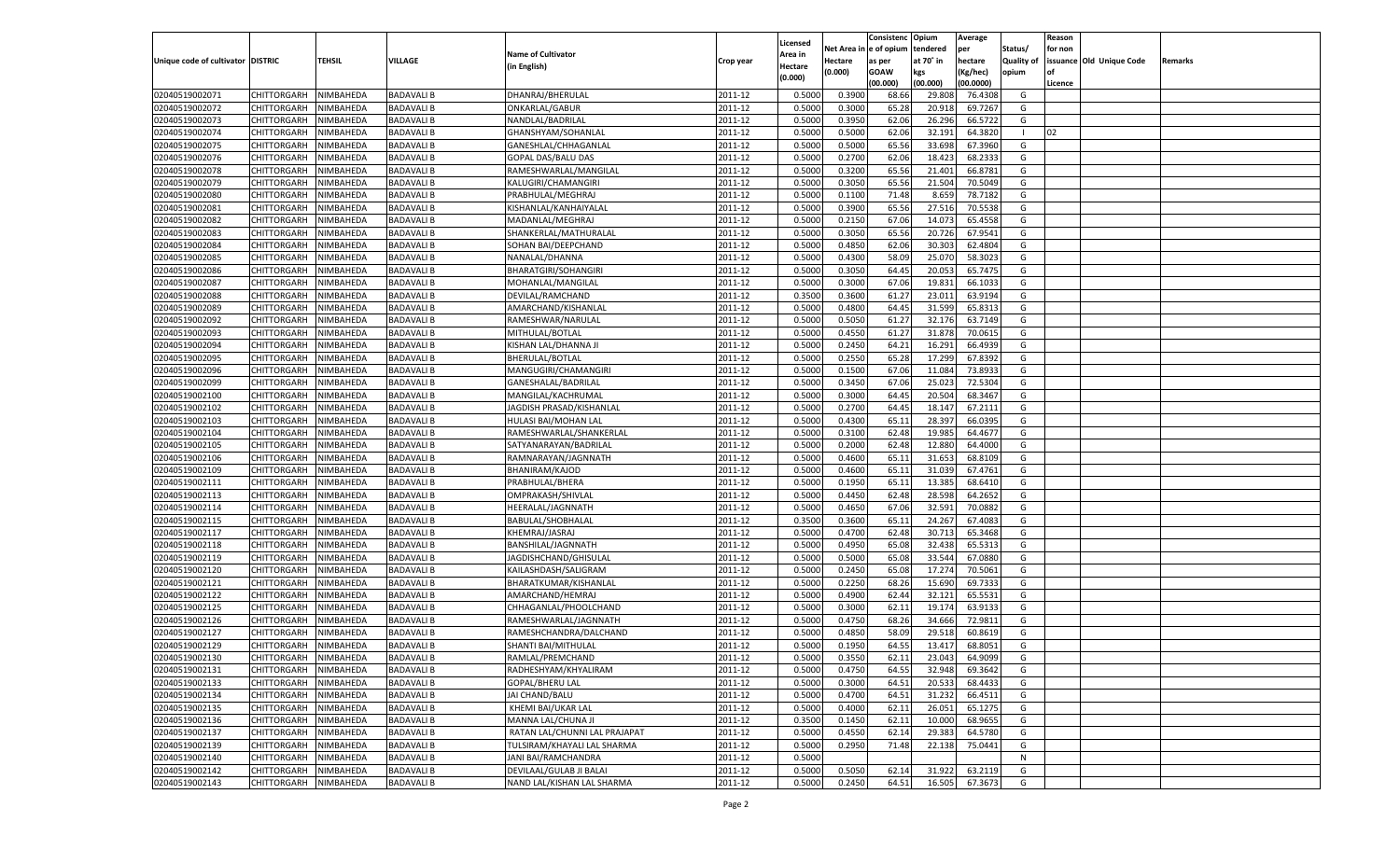|                                   |                    |           |                   |                               |           |          |          | Consistenc Opium |           | Average   |                   | Reason    |                          |         |
|-----------------------------------|--------------------|-----------|-------------------|-------------------------------|-----------|----------|----------|------------------|-----------|-----------|-------------------|-----------|--------------------------|---------|
|                                   |                    |           |                   |                               |           | Licensed | Net Area | e of opium       | tendered  | per       | Status/           | for non   |                          |         |
| Unique code of cultivator DISTRIC |                    | TEHSIL    | VILLAGE           | <b>Name of Cultivator</b>     | Crop year | Area in  | Hectare  | as per           | at 70˚ in | hectare   | <b>Quality of</b> |           | issuance Old Unique Code | Remarks |
|                                   |                    |           |                   | (in English)                  |           | Hectare  | (0.000)  | <b>GOAW</b>      | kgs       | (Kg/hec)  | opium             | <b>of</b> |                          |         |
|                                   |                    |           |                   |                               |           | (0.000)  |          | (00.000)         | (00.000)  | (00.0000) |                   | Licence   |                          |         |
| 02040519002071                    | CHITTORGARH        | NIMBAHEDA | <b>BADAVALI B</b> | DHANRAJ/BHERULAL              | 2011-12   | 0.5000   | 0.3900   | 68.66            | 29.80     | 76.4308   | G                 |           |                          |         |
| 02040519002072                    | CHITTORGARH        | NIMBAHEDA | <b>BADAVALI B</b> | ONKARLAL/GABUR                | 2011-12   | 0.5000   | 0.3000   | 65.28            | 20.91     | 69.7267   | G                 |           |                          |         |
| 02040519002073                    |                    | NIMBAHEDA | <b>BADAVALI B</b> |                               | 2011-12   | 0.5000   | 0.3950   | 62.06            | 26.296    | 66.5722   | G                 |           |                          |         |
|                                   | <b>CHITTORGARH</b> |           |                   | NANDLAL/BADRILAL              |           |          |          |                  |           |           |                   |           |                          |         |
| 02040519002074                    | CHITTORGARH        | NIMBAHEDA | <b>BADAVALI B</b> | GHANSHYAM/SOHANLAL            | 2011-12   | 0.5000   | 0.5000   | 62.06            | 32.191    | 64.3820   | - 1               | 02        |                          |         |
| 02040519002075                    | CHITTORGARH        | NIMBAHEDA | <b>BADAVALI B</b> | GANESHLAL/CHHAGANLAL          | 2011-12   | 0.5000   | 0.5000   | 65.56            | 33.698    | 67.3960   | G                 |           |                          |         |
| 02040519002076                    | CHITTORGARH        | NIMBAHEDA | <b>BADAVALI B</b> | <b>GOPAL DAS/BALU DAS</b>     | 2011-12   | 0.5000   | 0.2700   | 62.06            | 18.423    | 68.2333   | G                 |           |                          |         |
| 02040519002078                    | CHITTORGARH        | NIMBAHEDA | <b>BADAVALI B</b> | RAMESHWARLAL/MANGILAL         | 2011-12   | 0.5000   | 0.3200   | 65.56            | 21.401    | 66.8781   | G                 |           |                          |         |
| 02040519002079                    | CHITTORGARH        | NIMBAHEDA | <b>BADAVALI B</b> | KALUGIRI/CHAMANGIRI           | 2011-12   | 0.5000   | 0.3050   | 65.56            | 21.504    | 70.5049   | G                 |           |                          |         |
| 02040519002080                    | CHITTORGARH        | NIMBAHEDA | <b>BADAVALI B</b> | PRABHULAL/MEGHRAJ             | 2011-12   | 0.5000   | 0.1100   | 71.48            | 8.659     | 78.7182   | G                 |           |                          |         |
| 02040519002081                    | CHITTORGARH        | NIMBAHEDA | <b>BADAVALI B</b> | KISHANLAL/KANHAIYALAL         | 2011-12   | 0.5000   | 0.3900   | 65.56            | 27.516    | 70.5538   | G                 |           |                          |         |
| 02040519002082                    | CHITTORGARH        | NIMBAHEDA | <b>BADAVALI B</b> | MADANLAL/MEGHRAJ              | 2011-12   | 0.5000   | 0.2150   | 67.06            | 14.073    | 65.4558   | G                 |           |                          |         |
| 02040519002083                    | CHITTORGARH        | NIMBAHEDA | <b>BADAVALI B</b> | SHANKERLAL/MATHURALAL         | 2011-12   | 0.5000   | 0.3050   | 65.56            | 20.726    | 67.9541   | G                 |           |                          |         |
| 02040519002084                    | CHITTORGARH        | NIMBAHEDA | <b>BADAVALI B</b> | SOHAN BAI/DEEPCHAND           | 2011-12   | 0.5000   | 0.4850   | 62.06            | 30.303    | 62.4804   | G                 |           |                          |         |
| 02040519002085                    | CHITTORGARH        | NIMBAHEDA | <b>BADAVALI B</b> | NANALAL/DHANNA                | 2011-12   | 0.5000   | 0.4300   | 58.09            | 25.07     | 58.3023   | G                 |           |                          |         |
| 02040519002086                    | <b>CHITTORGARH</b> | NIMBAHEDA | <b>BADAVALI B</b> | <b>BHARATGIRI/SOHANGIRI</b>   | 2011-12   | 0.5000   | 0.3050   | 64.45            | 20.053    | 65.747    | G                 |           |                          |         |
| 02040519002087                    | CHITTORGARH        | NIMBAHEDA | <b>BADAVALI B</b> | MOHANLAL/MANGILAL             | 2011-12   | 0.5000   | 0.3000   | 67.06            | 19.831    | 66.1033   | G                 |           |                          |         |
|                                   | <b>CHITTORGARH</b> | NIMBAHEDA | <b>BADAVALI B</b> |                               | 2011-12   |          |          | 61.27            |           | 63.9194   | G                 |           |                          |         |
| 02040519002088                    |                    |           |                   | DEVILAL/RAMCHAND              |           | 0.3500   | 0.3600   |                  | 23.011    |           |                   |           |                          |         |
| 02040519002089                    | CHITTORGARH        | NIMBAHEDA | <b>BADAVALI B</b> | AMARCHAND/KISHANLAI           | 2011-12   | 0.5000   | 0.4800   | 64.4             | 31.599    | 65.831    | G                 |           |                          |         |
| 02040519002092                    | <b>CHITTORGARH</b> | NIMBAHEDA | <b>BADAVALI B</b> | RAMESHWAR/NARULAL             | 2011-12   | 0.5000   | 0.5050   | 61.27            | 32.176    | 63.7149   | G                 |           |                          |         |
| 02040519002093                    | CHITTORGARH        | NIMBAHEDA | <b>BADAVALI B</b> | MITHULAL/BOTLAL               | 2011-12   | 0.5000   | 0.4550   | 61.27            | 31.878    | 70.0615   | G                 |           |                          |         |
| 02040519002094                    | <b>CHITTORGARH</b> | NIMBAHEDA | <b>BADAVALI B</b> | KISHAN LAL/DHANNA JI          | 2011-12   | 0.5000   | 0.2450   | 64.21            | 16.291    | 66.4939   | G                 |           |                          |         |
| 02040519002095                    | CHITTORGARH        | NIMBAHEDA | <b>BADAVALI B</b> | BHERULAL/BOTLAL               | 2011-12   | 0.5000   | 0.2550   | 65.28            | 17.299    | 67.8392   | G                 |           |                          |         |
| 02040519002096                    | <b>CHITTORGARH</b> | NIMBAHEDA | <b>BADAVALIB</b>  | MANGUGIRI/CHAMANGIRI          | 2011-12   | 0.5000   | 0.1500   | 67.06            | 11.084    | 73.8933   | G                 |           |                          |         |
| 02040519002099                    | CHITTORGARH        | NIMBAHEDA | <b>BADAVALI B</b> | GANESHALAL/BADRILAL           | 2011-12   | 0.5000   | 0.3450   | 67.06            | 25.02     | 72.5304   | G                 |           |                          |         |
| 02040519002100                    | <b>CHITTORGARH</b> | NIMBAHEDA | <b>BADAVALI B</b> | MANGILAL/KACHRUMAL            | 2011-12   | 0.5000   | 0.3000   | 64.45            | 20.504    | 68.3467   | G                 |           |                          |         |
| 02040519002102                    | CHITTORGARH        | NIMBAHEDA | <b>BADAVALI B</b> | JAGDISH PRASAD/KISHANLAL      | 2011-12   | 0.5000   | 0.2700   | 64.4             | 18.147    | 67.2111   | G                 |           |                          |         |
| 02040519002103                    | <b>CHITTORGARH</b> | NIMBAHEDA | <b>BADAVALIB</b>  | HULASI BAI/MOHAN LAL          | 2011-12   | 0.5000   | 0.4300   | 65.11            | 28.397    | 66.0395   | G                 |           |                          |         |
| 02040519002104                    | CHITTORGARH        | NIMBAHEDA | <b>BADAVALI B</b> | RAMESHWARLAL/SHANKERLAL       | 2011-12   | 0.5000   | 0.3100   | 62.48            | 19.985    | 64.4677   | G                 |           |                          |         |
| 02040519002105                    | <b>CHITTORGARH</b> | NIMBAHEDA | <b>BADAVALI B</b> | SATYANARAYAN/BADRILAL         | 2011-12   | 0.5000   | 0.2000   | 62.48            | 12.880    | 64.4000   | G                 |           |                          |         |
| 02040519002106                    | CHITTORGARH        | NIMBAHEDA | <b>BADAVALI B</b> | RAMNARAYAN/JAGNNATH           | 2011-12   | 0.5000   | 0.4600   | 65.11            | 31.653    | 68.810    | G                 |           |                          |         |
| 02040519002109                    | CHITTORGARH        | NIMBAHEDA | <b>BADAVALI B</b> | BHANIRAM/KAJOD                | 2011-12   | 0.5000   | 0.4600   | 65.11            | 31.039    | 67.4761   | G                 |           |                          |         |
|                                   |                    |           |                   |                               |           |          |          |                  |           | 68.6410   |                   |           |                          |         |
| 02040519002111                    | CHITTORGARH        | NIMBAHEDA | <b>BADAVALI B</b> | PRABHULAL/BHERA               | 2011-12   | 0.5000   | 0.1950   | 65.11            | 13.385    |           | G                 |           |                          |         |
| 02040519002113                    | CHITTORGARH        | NIMBAHEDA | <b>BADAVALI B</b> | OMPRAKASH/SHIVLAL             | 2011-12   | 0.5000   | 0.4450   | 62.48            | 28.598    | 64.2652   | G                 |           |                          |         |
| 02040519002114                    | CHITTORGARH        | NIMBAHEDA | <b>BADAVALI B</b> | HEERALAL/JAGNNATH             | 2011-12   | 0.5000   | 0.4650   | 67.06            | 32.591    | 70.0882   | G                 |           |                          |         |
| 02040519002115                    | CHITTORGARH        | NIMBAHEDA | <b>BADAVALI B</b> | BABULAL/SHOBHALAL             | 2011-12   | 0.3500   | 0.3600   | 65.11            | 24.267    | 67.4083   | G                 |           |                          |         |
| 02040519002117                    | CHITTORGARH        | NIMBAHEDA | <b>BADAVALI B</b> | KHEMRAJ/JASRAJ                | 2011-12   | 0.5000   | 0.4700   | 62.48            | 30.71     | 65.3468   | G                 |           |                          |         |
| 02040519002118                    | CHITTORGARH        | NIMBAHEDA | <b>BADAVALI B</b> | BANSHILAL/JAGNNATH            | 2011-12   | 0.5000   | 0.4950   | 65.08            | 32.438    | 65.531    | G                 |           |                          |         |
| 02040519002119                    | CHITTORGARH        | NIMBAHEDA | <b>BADAVALI B</b> | JAGDISHCHAND/GHISULAL         | 2011-12   | 0.5000   | 0.5000   | 65.08            | 33.544    | 67.0880   | G                 |           |                          |         |
| 02040519002120                    | CHITTORGARH        | NIMBAHEDA | <b>BADAVALIB</b>  | KAILASHDASH/SALIGRAM          | 2011-12   | 0.5000   | 0.2450   | 65.08            | 17.274    | 70.5061   | G                 |           |                          |         |
| 02040519002121                    | CHITTORGARH        | NIMBAHEDA | <b>BADAVALI B</b> | BHARATKUMAR/KISHANLAL         | 2011-12   | 0.5000   | 0.2250   | 68.26            | 15.69     | 69.733    | G                 |           |                          |         |
| 02040519002122                    | CHITTORGARH        | NIMBAHEDA | <b>BADAVALI B</b> | AMARCHAND/HEMRAJ              | 2011-12   | 0.5000   | 0.4900   | 62.44            | 32.121    | 65.5531   | G                 |           |                          |         |
| 02040519002125                    | CHITTORGARH        | NIMBAHEDA | <b>BADAVALI B</b> | CHHAGANLAL/PHOOLCHAND         | 2011-12   | 0.5000   | 0.3000   | 62.11            | 19.17     | 63.913    | G                 |           |                          |         |
| 02040519002126                    | CHITTORGARH        | NIMBAHEDA | <b>BADAVALI B</b> | RAMESHWARLAL/JAGNNATH         | 2011-12   | 0.5000   | 0.4750   | 68.26            | 34.666    | 72.9811   | G                 |           |                          |         |
| 02040519002127                    | CHITTORGARH        | NIMBAHEDA | <b>BADAVALI B</b> | RAMESHCHANDRA/DALCHAND        | 2011-12   | 0.5000   | 0.4850   | 58.09            | 29.51     | 60.8619   | G                 |           |                          |         |
| 02040519002129                    | CHITTORGARH        | NIMBAHEDA | <b>BADAVALI B</b> | SHANTI BAI/MITHULAL           | 2011-12   | 0.5000   | 0.1950   | 64.55            | 13.417    | 68.8051   | G                 |           |                          |         |
| 02040519002130                    | CHITTORGARH        | NIMBAHEDA | <b>BADAVALI B</b> | RAMLAL/PREMCHAND              | 2011-12   | 0.5000   | 0.3550   | 62.11            | 23.043    | 64.9099   | G                 |           |                          |         |
| 02040519002131                    | <b>CHITTORGARH</b> | NIMBAHEDA | <b>BADAVALI B</b> | RADHESHYAM/KHYALIRAM          | 2011-12   | 0.5000   | 0.4750   | 64.55            | 32.948    | 69.3642   | G                 |           |                          |         |
| 02040519002133                    | CHITTORGARH        | NIMBAHEDA |                   | GOPAL/BHERU LAL               |           |          |          |                  |           |           |                   |           |                          |         |
|                                   |                    |           | <b>BADAVALI B</b> |                               | 2011-12   | 0.5000   | 0.3000   | 64.51            | 20.533    | 68.4433   | G                 |           |                          |         |
| 02040519002134                    | <b>CHITTORGARH</b> | NIMBAHEDA | <b>BADAVALI B</b> | JAI CHAND/BALU                | 2011-12   | 0.5000   | 0.4700   | 64.51            | 31.232    | 66.4511   | G                 |           |                          |         |
| 02040519002135                    | <b>CHITTORGARH</b> | NIMBAHEDA | <b>BADAVALI B</b> | KHEMI BAI/UKAR LAL            | 2011-12   | 0.5000   | 0.4000   | 62.11            | 26.051    | 65.1275   | G                 |           |                          |         |
| 02040519002136                    | <b>CHITTORGARH</b> | NIMBAHEDA | <b>BADAVALI B</b> | MANNA LAL/CHUNA JI            | 2011-12   | 0.3500   | 0.1450   | 62.11            | 10.000    | 68.9655   | G                 |           |                          |         |
| 02040519002137                    | <b>CHITTORGARH</b> | NIMBAHEDA | <b>BADAVALI B</b> | RATAN LAL/CHUNNI LAL PRAJAPAT | 2011-12   | 0.5000   | 0.4550   | 62.14            | 29.383    | 64.5780   | G                 |           |                          |         |
| 02040519002139                    | <b>CHITTORGARH</b> | NIMBAHEDA | <b>BADAVALI B</b> | TULSIRAM/KHAYALI LAL SHARMA   | 2011-12   | 0.5000   | 0.2950   | 71.48            | 22.138    | 75.0441   | G                 |           |                          |         |
| 02040519002140                    | <b>CHITTORGARH</b> | NIMBAHEDA | <b>BADAVALI B</b> | JANI BAI/RAMCHANDRA           | 2011-12   | 0.5000   |          |                  |           |           | N                 |           |                          |         |
| 02040519002142                    | <b>CHITTORGARH</b> | NIMBAHEDA | <b>BADAVALI B</b> | DEVILAAL/GULAB JI BALAI       | 2011-12   | 0.5000   | 0.5050   | 62.14            | 31.922    | 63.2119   | G                 |           |                          |         |
| 02040519002143                    | CHITTORGARH        | NIMBAHEDA | <b>BADAVALI B</b> | NAND LAL/KISHAN LAL SHARMA    | 2011-12   | 0.5000   | 0.2450   | 64.51            | 16.505    | 67.3673   | G                 |           |                          |         |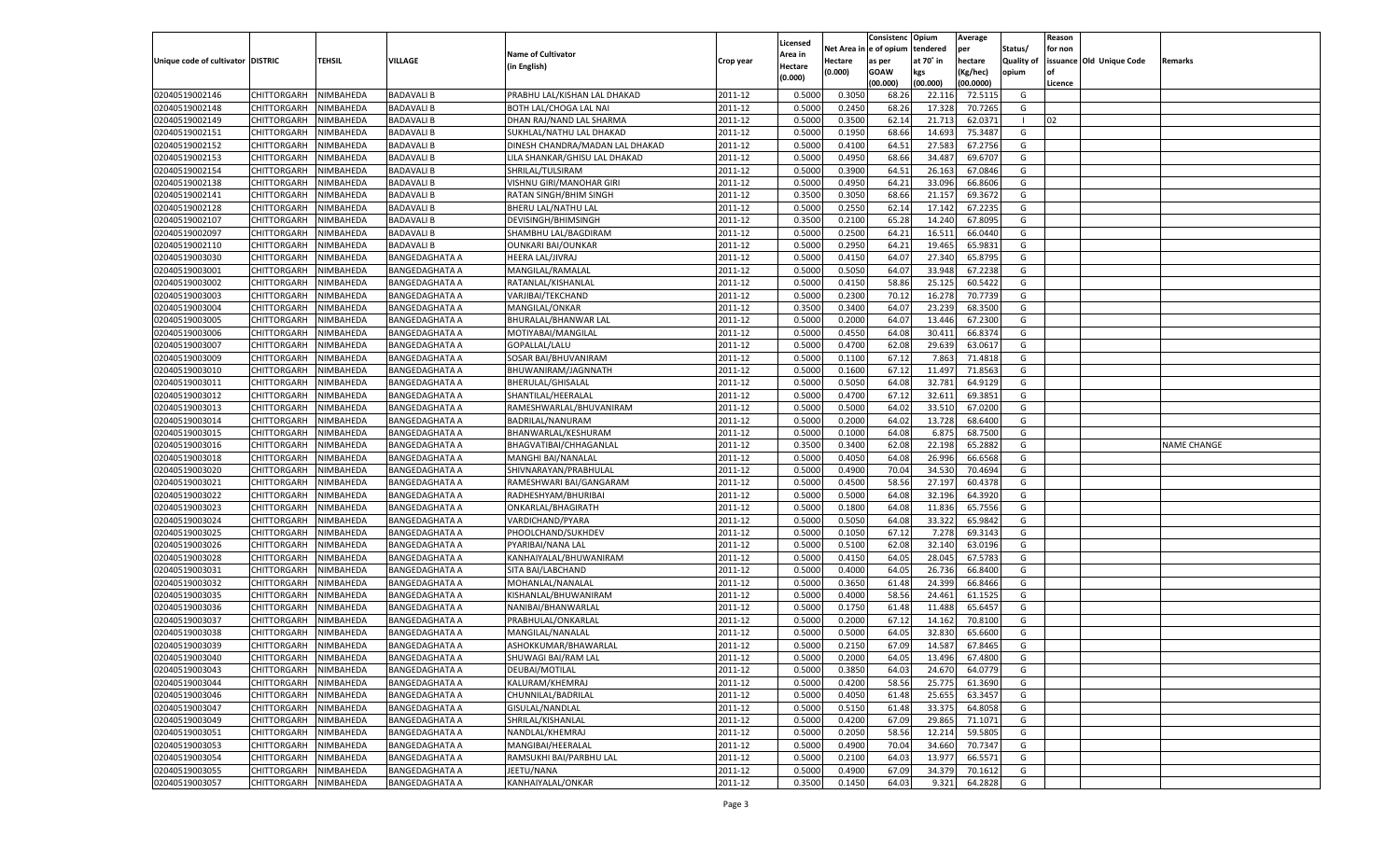|                                   |                                   |           |                       |                                 |           |          |          | Consistenc Opium |           | Average   |                   | Reason    |                          |                    |
|-----------------------------------|-----------------------------------|-----------|-----------------------|---------------------------------|-----------|----------|----------|------------------|-----------|-----------|-------------------|-----------|--------------------------|--------------------|
|                                   |                                   |           |                       |                                 |           | Licensed | Net Area | e of opium       | tendered  | per       | Status/           | for non   |                          |                    |
| Unique code of cultivator DISTRIC |                                   | TEHSIL    | VILLAGE               | <b>Name of Cultivator</b>       | Crop year | Area in  | Hectare  | as per           | at 70˚ in | hectare   | <b>Quality of</b> |           | issuance Old Unique Code | Remarks            |
|                                   |                                   |           |                       | (in English)                    |           | Hectare  | (0.000)  | <b>GOAW</b>      | kgs       | (Kg/hec)  | opium             | <b>of</b> |                          |                    |
|                                   |                                   |           |                       |                                 |           | (0.000)  |          | (00.000)         | (00.000)  | (00.0000) |                   | Licence   |                          |                    |
|                                   |                                   |           |                       |                                 |           |          |          |                  |           |           |                   |           |                          |                    |
| 02040519002146                    | CHITTORGARH                       | NIMBAHEDA | <b>BADAVALI B</b>     | PRABHU LAL/KISHAN LAL DHAKAD    | 2011-12   | 0.5000   | 0.3050   | 68.26            | 22.116    | 72.5115   | G                 |           |                          |                    |
| 02040519002148                    | CHITTORGARH                       | NIMBAHEDA | <b>BADAVALI B</b>     | BOTH LAL/CHOGA LAL NAI          | 2011-12   | 0.5000   | 0.2450   | 68.26            | 17.328    | 70.7265   | G                 |           |                          |                    |
| 02040519002149                    | <b>CHITTORGARH</b>                | NIMBAHEDA | <b>BADAVALI B</b>     | DHAN RAJ/NAND LAL SHARMA        | 2011-12   | 0.5000   | 0.3500   | 62.14            | 21.713    | 62.0371   | - 1               | 02        |                          |                    |
| 02040519002151                    | CHITTORGARH                       | NIMBAHEDA | <b>BADAVALI B</b>     | SUKHLAL/NATHU LAL DHAKAD        | 2011-12   | 0.5000   | 0.1950   | 68.66            | 14.693    | 75.3487   | G                 |           |                          |                    |
| 02040519002152                    | CHITTORGARH                       | NIMBAHEDA | <b>BADAVALI B</b>     | DINESH CHANDRA/MADAN LAL DHAKAD | 2011-12   | 0.5000   | 0.4100   | 64.51            | 27.583    | 67.2756   | G                 |           |                          |                    |
| 02040519002153                    | CHITTORGARH                       | NIMBAHEDA | <b>BADAVALI B</b>     | LILA SHANKAR/GHISU LAL DHAKAD   | 2011-12   | 0.5000   | 0.4950   | 68.66            | 34.487    | 69.6707   | G                 |           |                          |                    |
| 02040519002154                    | CHITTORGARH                       | NIMBAHEDA | <b>BADAVALI B</b>     | SHRILAL/TULSIRAM                | 2011-12   | 0.5000   | 0.3900   | 64.51            | 26.163    | 67.0846   | G                 |           |                          |                    |
| 02040519002138                    | CHITTORGARH                       | NIMBAHEDA | <b>BADAVALI B</b>     | VISHNU GIRI/MANOHAR GIRI        | 2011-12   | 0.5000   | 0.4950   | 64.21            | 33.096    | 66.8606   | G                 |           |                          |                    |
| 02040519002141                    | CHITTORGARH                       | NIMBAHEDA | <b>BADAVALI B</b>     | RATAN SINGH/BHIM SINGH          | 2011-12   | 0.3500   | 0.3050   | 68.66            | 21.15     | 69.3672   | G                 |           |                          |                    |
| 02040519002128                    | CHITTORGARH                       | NIMBAHEDA | <b>BADAVALI B</b>     | BHERU LAL/NATHU LAL             | 2011-12   | 0.5000   | 0.2550   | 62.14            | 17.142    | 67.2235   | G                 |           |                          |                    |
| 02040519002107                    | CHITTORGARH                       | NIMBAHEDA | <b>BADAVALI B</b>     | DEVISINGH/BHIMSINGH             | 2011-12   | 0.3500   | 0.2100   | 65.28            | 14.24     | 67.8095   | G                 |           |                          |                    |
| 02040519002097                    | CHITTORGARH                       | NIMBAHEDA | <b>BADAVALI B</b>     | SHAMBHU LAL/BAGDIRAM            | 2011-12   | 0.5000   | 0.2500   | 64.21            | 16.51     | 66.0440   | G                 |           |                          |                    |
| 02040519002110                    | <b>CHITTORGARH</b>                | NIMBAHEDA | <b>BADAVALI B</b>     | <b>OUNKARI BAI/OUNKAR</b>       | 2011-12   | 0.5000   | 0.2950   | 64.21            | 19.465    | 65.9831   | G                 |           |                          |                    |
|                                   |                                   |           |                       |                                 |           |          |          |                  |           |           |                   |           |                          |                    |
| 02040519003030                    | CHITTORGARH                       | NIMBAHEDA | <b>BANGEDAGHATA A</b> | HEERA LAL/JIVRAJ                | 2011-12   | 0.5000   | 0.4150   | 64.07            | 27.34     | 65.8795   | G                 |           |                          |                    |
| 02040519003001                    | <b>CHITTORGARH</b>                | NIMBAHEDA | <b>BANGEDAGHATA A</b> | MANGILAL/RAMALAL                | 2011-12   | 0.5000   | 0.5050   | 64.07            | 33.948    | 67.2238   | G                 |           |                          |                    |
| 02040519003002                    | CHITTORGARH                       | NIMBAHEDA | BANGEDAGHATA A        | RATANLAL/KISHANLAL              | 2011-12   | 0.5000   | 0.4150   | 58.86            | 25.125    | 60.5422   | G                 |           |                          |                    |
| 02040519003003                    | <b>CHITTORGARH</b>                | NIMBAHEDA | <b>BANGEDAGHATA A</b> | VARJIBAI/TEKCHAND               | 2011-12   | 0.5000   | 0.2300   | 70.12            | 16.278    | 70.7739   | G                 |           |                          |                    |
| 02040519003004                    | CHITTORGARH                       | NIMBAHEDA | <b>BANGEDAGHATA A</b> | MANGILAL/ONKAR                  | 2011-12   | 0.3500   | 0.3400   | 64.07            | 23.239    | 68.3500   | G                 |           |                          |                    |
| 02040519003005                    | <b>CHITTORGARH</b>                | NIMBAHEDA | <b>BANGEDAGHATA A</b> | BHURALAL/BHANWAR LAL            | 2011-12   | 0.5000   | 0.2000   | 64.07            | 13.446    | 67.2300   | G                 |           |                          |                    |
| 02040519003006                    | CHITTORGARH                       | NIMBAHEDA | BANGEDAGHATA A        | MOTIYABAI/MANGILAL              | 2011-12   | 0.5000   | 0.4550   | 64.08            | 30.411    | 66.8374   | G                 |           |                          |                    |
| 02040519003007                    | <b>CHITTORGARH</b>                | NIMBAHEDA | <b>BANGEDAGHATA A</b> | GOPALLAL/LALU                   | 2011-12   | 0.5000   | 0.4700   | 62.08            | 29.639    | 63.061    | G                 |           |                          |                    |
| 02040519003009                    | CHITTORGARH                       | NIMBAHEDA | BANGEDAGHATA A        | SOSAR BAI/BHUVANIRAM            | 2011-12   | 0.5000   | 0.1100   | 67.12            | 7.863     | 71.4818   | G                 |           |                          |                    |
| 02040519003010                    | <b>CHITTORGARH</b>                | NIMBAHEDA | <b>BANGEDAGHATA A</b> | BHUWANIRAM/JAGNNATH             | 2011-12   | 0.5000   | 0.1600   | 67.12            | 11.497    | 71.8563   | G                 |           |                          |                    |
| 02040519003011                    | CHITTORGARH                       | NIMBAHEDA | <b>BANGEDAGHATA A</b> | BHERULAL/GHISALAL               | 2011-12   | 0.5000   | 0.5050   | 64.08            | 32.781    | 64.9129   | G                 |           |                          |                    |
| 02040519003012                    | <b>CHITTORGARH</b>                | NIMBAHEDA | BANGEDAGHATA A        | SHANTILAL/HEERALAL              | 2011-12   | 0.5000   | 0.4700   | 67.12            | 32.611    | 69.3851   | G                 |           |                          |                    |
|                                   |                                   |           |                       |                                 |           |          |          |                  |           |           |                   |           |                          |                    |
| 02040519003013                    | CHITTORGARH                       | NIMBAHEDA | <b>BANGEDAGHATA A</b> | RAMESHWARLAL/BHUVANIRAM         | 2011-12   | 0.5000   | 0.5000   | 64.02            | 33.51     | 67.0200   | G                 |           |                          |                    |
| 02040519003014                    | <b>CHITTORGARH</b>                | NIMBAHEDA | <b>BANGEDAGHATA A</b> | BADRILAL/NANURAM                | 2011-12   | 0.5000   | 0.2000   | 64.02            | 13.728    | 68.6400   | G                 |           |                          |                    |
| 02040519003015                    | CHITTORGARH                       | NIMBAHEDA | <b>BANGEDAGHATA A</b> | BHANWARLAL/KESHURAM             | 2011-12   | 0.5000   | 0.1000   | 64.08            | 6.875     | 68.7500   | G                 |           |                          |                    |
| 02040519003016                    | <b>CHITTORGARH</b>                | NIMBAHEDA | BANGEDAGHATA A        | BHAGVATIBAI/CHHAGANLAL          | 2011-12   | 0.3500   | 0.3400   | 62.08            | 22.198    | 65.2882   | G                 |           |                          | <b>NAME CHANGE</b> |
| 02040519003018                    | CHITTORGARH                       | NIMBAHEDA | BANGEDAGHATA A        | MANGHI BAI/NANALAL              | 2011-12   | 0.5000   | 0.4050   | 64.08            | 26.99     | 66.6568   | G                 |           |                          |                    |
| 02040519003020                    | CHITTORGARH                       | NIMBAHEDA | <b>BANGEDAGHATA A</b> | SHIVNARAYAN/PRABHULAL           | 2011-12   | 0.5000   | 0.4900   | 70.04            | 34.53     | 70.4694   | G                 |           |                          |                    |
| 02040519003021                    | CHITTORGARH                       | NIMBAHEDA | <b>BANGEDAGHATA A</b> | RAMESHWARI BAI/GANGARAM         | 2011-12   | 0.5000   | 0.4500   | 58.56            | 27.19     | 60.4378   | G                 |           |                          |                    |
| 02040519003022                    | CHITTORGARH                       | NIMBAHEDA | <b>BANGEDAGHATA A</b> | RADHESHYAM/BHURIBAI             | 2011-12   | 0.5000   | 0.5000   | 64.08            | 32.196    | 64.3920   | G                 |           |                          |                    |
| 02040519003023                    | CHITTORGARH                       | NIMBAHEDA | BANGEDAGHATA A        | ONKARLAL/BHAGIRATH              | 2011-12   | 0.5000   | 0.1800   | 64.08            | 11.836    | 65.7556   | G                 |           |                          |                    |
| 02040519003024                    | CHITTORGARH                       | NIMBAHEDA | <b>BANGEDAGHATA A</b> | VARDICHAND/PYARA                | 2011-12   | 0.5000   | 0.5050   | 64.08            | 33.322    | 65.9842   | G                 |           |                          |                    |
| 02040519003025                    | CHITTORGARH                       | NIMBAHEDA | <b>BANGEDAGHATA A</b> | PHOOLCHAND/SUKHDEV              | 2011-12   | 0.5000   | 0.1050   | 67.12            | 7.278     | 69.3143   | G                 |           |                          |                    |
| 02040519003026                    | CHITTORGARH                       | NIMBAHEDA | <b>BANGEDAGHATA A</b> | PYARIBAI/NANA LAL               | 2011-12   | 0.5000   | 0.5100   | 62.08            | 32.14     | 63.0196   | G                 |           |                          |                    |
| 02040519003028                    | CHITTORGARH                       | NIMBAHEDA | BANGEDAGHATA A        | KANHAIYALAL/BHUWANIRAM          | 2011-12   | 0.5000   | 0.4150   | 64.05            | 28.045    | 67.578    | G                 |           |                          |                    |
| 02040519003031                    | CHITTORGARH                       | NIMBAHEDA | <b>BANGEDAGHATA A</b> | SITA BAI/LABCHAND               | 2011-12   | 0.5000   | 0.4000   | 64.05            | 26.736    | 66.8400   | G                 |           |                          |                    |
| 02040519003032                    |                                   |           |                       |                                 | 2011-12   |          | 0.3650   |                  |           | 66.8466   | G                 |           |                          |                    |
|                                   | CHITTORGARH<br><b>CHITTORGARH</b> | NIMBAHEDA | <b>BANGEDAGHATA A</b> | MOHANLAL/NANALAL                |           | 0.5000   |          | 61.48            | 24.39     |           |                   |           |                          |                    |
| 02040519003035                    |                                   | NIMBAHEDA | <b>BANGEDAGHATA A</b> | KISHANLAL/BHUWANIRAM            | 2011-12   | 0.5000   | 0.4000   | 58.56            | 24.461    | 61.1525   | G                 |           |                          |                    |
| 02040519003036                    | CHITTORGARH                       | NIMBAHEDA | BANGEDAGHATA A        | NANIBAI/BHANWARLAL              | 2011-12   | 0.5000   | 0.1750   | 61.48            | 11.488    | 65.645    | G                 |           |                          |                    |
| 02040519003037                    | CHITTORGARH                       | NIMBAHEDA | <b>BANGEDAGHATA A</b> | PRABHULAL/ONKARLAL              | 2011-12   | 0.5000   | 0.2000   | 67.1             | 14.162    | 70.8100   | G                 |           |                          |                    |
| 02040519003038                    | CHITTORGARH                       | NIMBAHEDA | <b>BANGEDAGHATA A</b> | MANGILAL/NANALAL                | 2011-12   | 0.5000   | 0.5000   | 64.0             | 32.83     | 65.6600   | G                 |           |                          |                    |
| 02040519003039                    | CHITTORGARH                       | NIMBAHEDA | <b>BANGEDAGHATA A</b> | ASHOKKUMAR/BHAWARLAL            | 2011-12   | 0.5000   | 0.2150   | 67.09            | 14.587    | 67.8465   | G                 |           |                          |                    |
| 02040519003040                    | CHITTORGARH NIMBAHEDA             |           | <b>BANGEDAGHATA A</b> | SHUWAGI BAI/RAM LAL             | 2011-12   | 0.5000   | 0.2000   | 64.05            | 13.496    | 67.4800   | G                 |           |                          |                    |
| 02040519003043                    | <b>CHITTORGARH</b>                | NIMBAHEDA | <b>BANGEDAGHATA A</b> | DEUBAI/MOTILAL                  | 2011-12   | 0.5000   | 0.3850   | 64.03            | 24.670    | 64.0779   | G                 |           |                          |                    |
| 02040519003044                    | <b>CHITTORGARH</b>                | NIMBAHEDA | <b>BANGEDAGHATA A</b> | KALURAM/KHEMRAJ                 | 2011-12   | 0.5000   | 0.4200   | 58.56            | 25.775    | 61.3690   | G                 |           |                          |                    |
| 02040519003046                    | <b>CHITTORGARH</b>                | NIMBAHEDA | <b>BANGEDAGHATA A</b> | CHUNNILAL/BADRILAL              | 2011-12   | 0.5000   | 0.4050   | 61.48            | 25.655    | 63.3457   | G                 |           |                          |                    |
| 02040519003047                    | <b>CHITTORGARH</b>                | NIMBAHEDA | <b>BANGEDAGHATA A</b> | GISULAL/NANDLAL                 | 2011-12   | 0.5000   | 0.5150   | 61.48            | 33.375    | 64.8058   | G                 |           |                          |                    |
| 02040519003049                    | <b>CHITTORGARH</b>                | NIMBAHEDA | <b>BANGEDAGHATA A</b> | SHRILAL/KISHANLAL               | 2011-12   | 0.5000   | 0.4200   | 67.09            | 29.865    | 71.1071   | G                 |           |                          |                    |
| 02040519003051                    | <b>CHITTORGARH</b>                | NIMBAHEDA | <b>BANGEDAGHATA A</b> | NANDLAL/KHEMRAJ                 | 2011-12   | 0.5000   | 0.2050   | 58.56            | 12.214    | 59.5805   | G                 |           |                          |                    |
| 02040519003053                    | <b>CHITTORGARH</b>                | NIMBAHEDA | <b>BANGEDAGHATA A</b> | MANGIBAI/HEERALAL               | 2011-12   | 0.5000   | 0.4900   | 70.04            | 34.660    | 70.7347   | G                 |           |                          |                    |
| 02040519003054                    | <b>CHITTORGARH</b>                | NIMBAHEDA | <b>BANGEDAGHATA A</b> | RAMSUKHI BAI/PARBHU LAL         | 2011-12   | 0.5000   | 0.2100   | 64.03            | 13.97     | 66.5571   | G                 |           |                          |                    |
| 02040519003055                    | <b>CHITTORGARH</b>                | NIMBAHEDA | <b>BANGEDAGHATA A</b> | JEETU/NANA                      | 2011-12   | 0.5000   | 0.4900   | 67.09            | 34.379    | 70.1612   | G                 |           |                          |                    |
|                                   |                                   |           |                       |                                 |           |          |          |                  |           |           |                   |           |                          |                    |
| 02040519003057                    | CHITTORGARH                       | NIMBAHEDA | <b>BANGEDAGHATA A</b> | KANHAIYALAL/ONKAR               | 2011-12   | 0.3500   | 0.1450   | 64.03            | 9.321     | 64.2828   | G                 |           |                          |                    |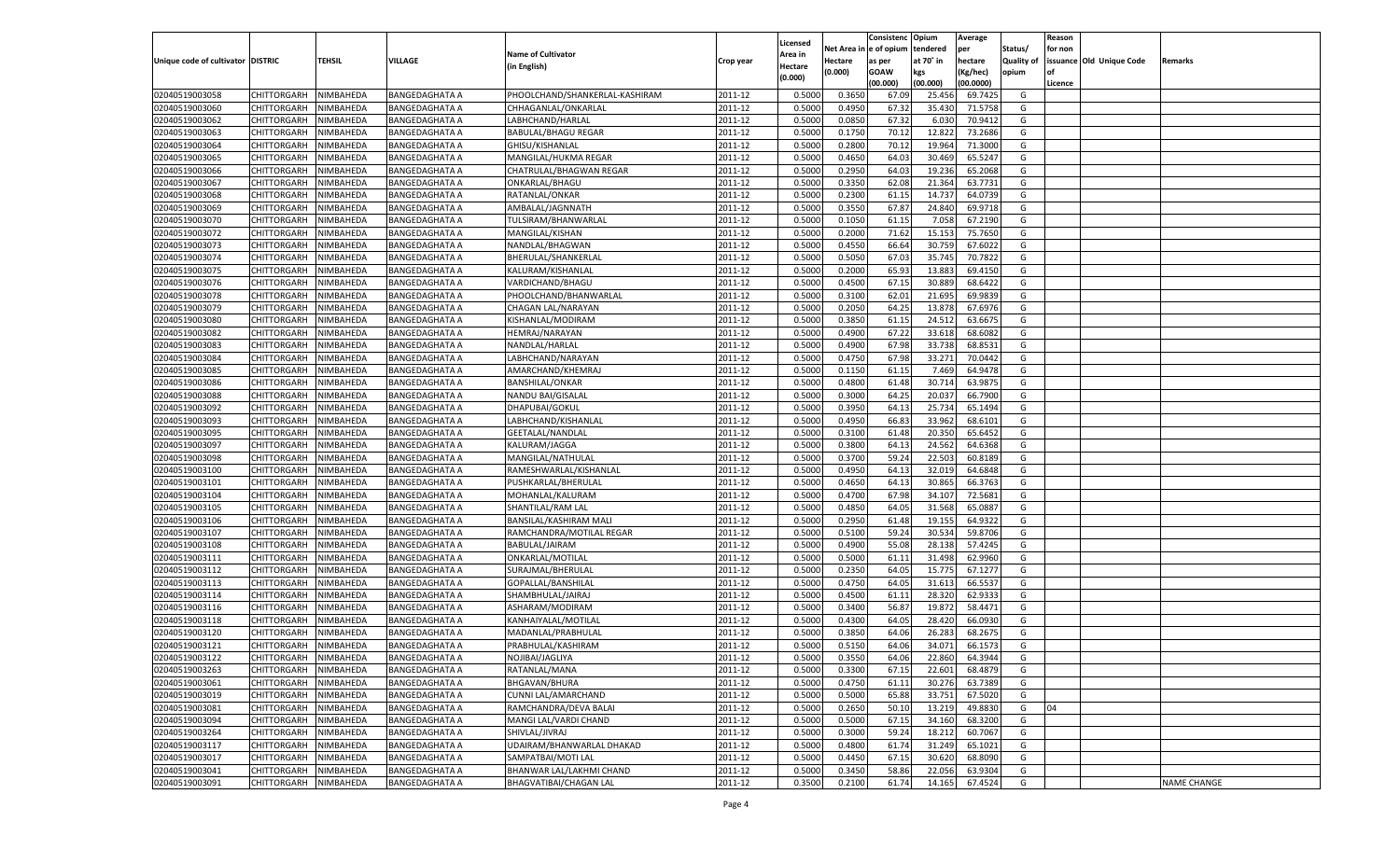|                                   |                    |                        |                                                |                                  |           |          |                  | Consistenc Opium |           | Average   |                   | Reason    |                          |                    |
|-----------------------------------|--------------------|------------------------|------------------------------------------------|----------------------------------|-----------|----------|------------------|------------------|-----------|-----------|-------------------|-----------|--------------------------|--------------------|
|                                   |                    |                        |                                                |                                  |           | Licensed | Net Area         | e of opium       | tendered  | per       | Status/           | for non   |                          |                    |
| Unique code of cultivator DISTRIC |                    | TEHSIL                 | VILLAGE                                        | <b>Name of Cultivator</b>        | Crop year | Area in  | Hectare          | as per           | at 70˚ in | hectare   | <b>Quality of</b> |           | issuance Old Unique Code | Remarks            |
|                                   |                    |                        |                                                | (in English)                     |           | Hectare  | (0.000)          | <b>GOAW</b>      | kgs       | (Kg/hec)  | opium             | <b>of</b> |                          |                    |
|                                   |                    |                        |                                                |                                  |           | (0.000)  |                  | (00.000)         | (00.000)  | (00.0000) |                   | Licence   |                          |                    |
| 02040519003058                    | CHITTORGARH        | NIMBAHEDA              | <b>BANGEDAGHATA A</b>                          | PHOOLCHAND/SHANKERLAL-KASHIRAM   | 2011-12   | 0.5000   | 0.3650           | 67.09            | 25.45     | 69.7425   | G                 |           |                          |                    |
| 02040519003060                    | CHITTORGARH        | NIMBAHEDA              | <b>BANGEDAGHATA A</b>                          | CHHAGANLAL/ONKARLAL              | 2011-12   | 0.5000   | 0.4950           | 67.32            | 35.43     | 71.5758   | G                 |           |                          |                    |
| 02040519003062                    | <b>CHITTORGARH</b> | NIMBAHEDA              | <b>BANGEDAGHATA A</b>                          | LABHCHAND/HARLAL                 | 2011-12   | 0.5000   | 0.0850           | 67.32            | 6.03      | 70.9412   | G                 |           |                          |                    |
| 02040519003063                    | CHITTORGARH        | NIMBAHEDA              | <b>BANGEDAGHATA A</b>                          | <b>BABULAL/BHAGU REGAR</b>       | 2011-12   | 0.5000   | 0.1750           | 70.12            | 12.82     | 73.2686   | G                 |           |                          |                    |
| 02040519003064                    | CHITTORGARH        | NIMBAHEDA              | <b>BANGEDAGHATA A</b>                          | GHISU/KISHANLAL                  | 2011-12   | 0.5000   | 0.2800           | 70.12            | 19.964    | 71.3000   | G                 |           |                          |                    |
| 02040519003065                    | CHITTORGARH        | NIMBAHEDA              | <b>BANGEDAGHATA A</b>                          | MANGILAL/HUKMA REGAR             | 2011-12   | 0.5000   | 0.4650           | 64.03            | 30.46     | 65.5247   | G                 |           |                          |                    |
| 02040519003066                    | CHITTORGARH        | NIMBAHEDA              | <b>BANGEDAGHATA A</b>                          | CHATRULAL/BHAGWAN REGAR          | 2011-12   | 0.5000   | 0.2950           | 64.03            | 19.236    | 65.2068   | G                 |           |                          |                    |
| 02040519003067                    | CHITTORGARH        | NIMBAHEDA              | <b>BANGEDAGHATA A</b>                          | ONKARLAL/BHAGU                   | 2011-12   | 0.5000   | 0.3350           | 62.08            | 21.364    | 63.7731   | G                 |           |                          |                    |
| 02040519003068                    | CHITTORGARH        | NIMBAHEDA              | <b>BANGEDAGHATA A</b>                          | RATANLAL/ONKAR                   | 2011-12   | 0.5000   | 0.2300           | 61.15            | 14.737    | 64.0739   | G                 |           |                          |                    |
| 02040519003069                    | CHITTORGARH        | NIMBAHEDA              | <b>BANGEDAGHATA A</b>                          | AMBALAL/JAGNNATH                 | 2011-12   | 0.5000   | 0.3550           | 67.87            | 24.84     | 69.9718   | G                 |           |                          |                    |
| 02040519003070                    | CHITTORGARH        | NIMBAHEDA              | <b>BANGEDAGHATA A</b>                          | TULSIRAM/BHANWARLAL              | 2011-12   | 0.5000   | 0.1050           | 61.15            | 7.058     | 67.2190   | G                 |           |                          |                    |
| 02040519003072                    | CHITTORGARH        | NIMBAHEDA              | <b>BANGEDAGHATA A</b>                          | MANGILAL/KISHAN                  | 2011-12   | 0.5000   | 0.2000           | 71.62            | 15.153    | 75.7650   | G                 |           |                          |                    |
| 02040519003073                    | CHITTORGARH        | NIMBAHEDA              | <b>BANGEDAGHATA A</b>                          | NANDLAL/BHAGWAN                  | 2011-12   | 0.5000   | 0.4550           | 66.64            | 30.759    | 67.6022   | G                 |           |                          |                    |
| 02040519003074                    | CHITTORGARH        | NIMBAHEDA              | <b>BANGEDAGHATA A</b>                          | BHERULAL/SHANKERLAL              | 2011-12   | 0.5000   | 0.5050           | 67.03            | 35.745    | 70.7822   | G                 |           |                          |                    |
| 02040519003075                    | <b>CHITTORGARH</b> | NIMBAHEDA              | <b>BANGEDAGHATA A</b>                          | KALURAM/KISHANLAL                | 2011-12   | 0.5000   | 0.2000           | 65.93            | 13.883    | 69.4150   | G                 |           |                          |                    |
| 02040519003076                    | CHITTORGARH        | NIMBAHEDA              | BANGEDAGHATA A                                 | VARDICHAND/BHAGU                 | 2011-12   | 0.5000   | 0.4500           | 67.15            | 30.889    | 68.6422   | G                 |           |                          |                    |
| 02040519003078                    | <b>CHITTORGARH</b> | NIMBAHEDA              | <b>BANGEDAGHATA A</b>                          | PHOOLCHAND/BHANWARLAL            | 2011-12   | 0.5000   | 0.3100           | 62.01            | 21.695    | 69.9839   | G                 |           |                          |                    |
| 02040519003079                    | CHITTORGARH        | NIMBAHEDA              | <b>BANGEDAGHATA A</b>                          | CHAGAN LAL/NARAYAN               | 2011-12   | 0.5000   | 0.2050           | 64.25            | 13.878    | 67.6976   | G                 |           |                          |                    |
| 02040519003080                    | <b>CHITTORGARH</b> | NIMBAHEDA              | <b>BANGEDAGHATA A</b>                          | KISHANLAL/MODIRAM                | 2011-12   | 0.5000   | 0.3850           | 61.15            | 24.512    | 63.667    | G                 |           |                          |                    |
| 02040519003082                    | CHITTORGARH        | NIMBAHEDA              | BANGEDAGHATA A                                 | <b>HEMRAJ/NARAYAN</b>            | 2011-12   | 0.5000   | 0.4900           | 67.22            | 33.618    | 68.6082   | G                 |           |                          |                    |
| 02040519003083                    | <b>CHITTORGARH</b> | NIMBAHEDA              | <b>BANGEDAGHATA A</b>                          | NANDLAL/HARLAL                   | 2011-12   | 0.5000   | 0.4900           | 67.98            | 33.738    | 68.8531   | G                 |           |                          |                    |
| 02040519003084                    | CHITTORGARH        | NIMBAHEDA              | <b>BANGEDAGHATA A</b>                          | LABHCHAND/NARAYAN                | 2011-12   | 0.5000   | 0.4750           | 67.98            | 33.271    | 70.0442   | G                 |           |                          |                    |
| 02040519003085                    | <b>CHITTORGARH</b> | NIMBAHEDA              | <b>BANGEDAGHATA A</b>                          | AMARCHAND/KHEMRAJ                | 2011-12   | 0.5000   | 0.1150           | 61.15            | 7.469     | 64.9478   | G                 |           |                          |                    |
| 02040519003086                    | CHITTORGARH        | NIMBAHEDA              | BANGEDAGHATA A                                 | <b>BANSHILAL/ONKAR</b>           | 2011-12   | 0.5000   | 0.4800           | 61.48            | 30.714    | 63.987    | G                 |           |                          |                    |
| 02040519003088                    | <b>CHITTORGARH</b> | NIMBAHEDA              | <b>BANGEDAGHATA A</b>                          | NANDU BAI/GISALAL                | 2011-12   | 0.5000   | 0.3000           | 64.25            | 20.037    | 66.7900   | G                 |           |                          |                    |
| 02040519003092                    | CHITTORGARH        | NIMBAHEDA              | <b>BANGEDAGHATA A</b>                          | <b>DHAPUBAI/GOKUL</b>            | 2011-12   | 0.5000   | 0.3950           | 64.13            | 25.734    | 65.1494   | G                 |           |                          |                    |
| 02040519003093                    | <b>CHITTORGARH</b> | NIMBAHEDA              | <b>BANGEDAGHATA A</b>                          | LABHCHAND/KISHANLAL              | 2011-12   | 0.5000   | 0.4950           | 66.83            | 33.962    | 68.6101   | G                 |           |                          |                    |
| 02040519003095                    | CHITTORGARH        | NIMBAHEDA              | BANGEDAGHATA A                                 | <b>GEETALAL/NANDLAL</b>          | 2011-12   | 0.5000   | 0.3100           | 61.48            | 20.35     | 65.6452   | G                 |           |                          |                    |
| 02040519003097                    | <b>CHITTORGARH</b> | NIMBAHEDA              | <b>BANGEDAGHATA A</b>                          | KALURAM/JAGGA                    | 2011-12   | 0.5000   | 0.3800           | 64.13            | 24.562    | 64.6368   | G                 |           |                          |                    |
| 02040519003098                    | CHITTORGARH        | NIMBAHEDA              | <b>BANGEDAGHATA A</b>                          | MANGILAL/NATHULAL                | 2011-12   | 0.5000   | 0.3700           | 59.24            | 22.503    | 60.8189   | G                 |           |                          |                    |
| 02040519003100                    | CHITTORGARH        | NIMBAHEDA              | <b>BANGEDAGHATA A</b>                          | RAMESHWARLAL/KISHANLAL           | 2011-12   | 0.5000   | 0.4950           | 64.13            | 32.019    | 64.6848   | G                 |           |                          |                    |
| 02040519003101                    | CHITTORGARH        | NIMBAHEDA              | <b>BANGEDAGHATA A</b>                          | PUSHKARLAL/BHERULAL              | 2011-12   | 0.5000   | 0.4650           | 64.13            | 30.865    | 66.3763   | G                 |           |                          |                    |
| 02040519003104                    | CHITTORGARH        | NIMBAHEDA              | <b>BANGEDAGHATA A</b>                          | MOHANLAL/KALURAM                 | 2011-12   | 0.5000   | 0.4700           | 67.98            | 34.107    | 72.5681   | G                 |           |                          |                    |
| 02040519003105                    | CHITTORGARH        | NIMBAHEDA              | <b>BANGEDAGHATA A</b>                          | SHANTILAL/RAM LAL                | 2011-12   | 0.5000   | 0.4850           | 64.05            | 31.568    | 65.088    | G                 |           |                          |                    |
| 02040519003106                    | CHITTORGARH        | NIMBAHEDA              | <b>BANGEDAGHATA A</b>                          | BANSILAL/KASHIRAM MALI           | 2011-12   | 0.5000   | 0.2950           | 61.48            | 19.155    | 64.9322   | G                 |           |                          |                    |
| 02040519003107                    | CHITTORGARH        | NIMBAHEDA              | <b>BANGEDAGHATA A</b>                          | RAMCHANDRA/MOTILAL REGAR         | 2011-12   | 0.5000   | 0.5100           | 59.24            | 30.53     | 59.870    | G                 |           |                          |                    |
| 02040519003108                    | CHITTORGARH        | NIMBAHEDA              | <b>BANGEDAGHATA A</b>                          | BABULAL/JAIRAM                   | 2011-12   | 0.5000   | 0.4900           | 55.08            | 28.138    | 57.4245   | G                 |           |                          |                    |
| 02040519003111                    | CHITTORGARH        | NIMBAHEDA              | <b>BANGEDAGHATA A</b>                          | ONKARLAL/MOTILAL                 | 2011-12   | 0.5000   | 0.5000           | 61.11            | 31.498    | 62.9960   | G                 |           |                          |                    |
| 02040519003112                    | CHITTORGARH        | NIMBAHEDA              | <b>BANGEDAGHATA A</b>                          | SURAJMAL/BHERULAL                | 2011-12   | 0.5000   | 0.2350           | 64.05            | 15.775    | 67.1277   | G                 |           |                          |                    |
| 02040519003113                    | CHITTORGARH        | NIMBAHEDA              | <b>BANGEDAGHATA A</b>                          | GOPALLAL/BANSHILAL               | 2011-12   | 0.5000   | 0.4750           | 64.05            | 31.613    | 66.5537   | G                 |           |                          |                    |
| 02040519003114                    | CHITTORGARH        | NIMBAHEDA              | <b>BANGEDAGHATA A</b>                          | SHAMBHULAL/JAIRAJ                | 2011-12   | 0.5000   | 0.4500           | 61.11            | 28.32     | 62.9333   | G                 |           |                          |                    |
| 02040519003116                    | CHITTORGARH        | NIMBAHEDA              | <b>BANGEDAGHATA A</b>                          | ASHARAM/MODIRAM                  | 2011-12   | 0.5000   | 0.3400           | 56.87            | 19.87     | 58.4471   | G                 |           |                          |                    |
| 02040519003118                    | CHITTORGARH        | NIMBAHEDA              | <b>BANGEDAGHATA A</b>                          | KANHAIYALAL/MOTILAL              | 2011-12   | 0.5000   | 0.4300           | 64.0             | 28.42     | 66.0930   | G                 |           |                          |                    |
| 02040519003120                    | CHITTORGARH        | NIMBAHEDA              | <b>BANGEDAGHATA A</b>                          | MADANLAL/PRABHULAL               | 2011-12   | 0.5000   | 0.3850           | 64.06            | 26.28     | 68.2675   | G                 |           |                          |                    |
| 02040519003121                    | CHITTORGARH        | NIMBAHEDA              | <b>BANGEDAGHATA A</b>                          | PRABHULAL/KASHIRAM               | 2011-12   | 0.5000   | 0.5150           | 64.06            | 34.071    | 66.1573   | G                 |           |                          |                    |
|                                   | <b>CHITTORGARH</b> |                        |                                                |                                  | 2011-12   | 0.5000   |                  | 64.06            | 22.860    | 64.3944   | G                 |           |                          |                    |
| 02040519003122<br>02040519003263  | <b>CHITTORGARH</b> | NIMBAHEDA              | <b>BANGEDAGHATA A</b><br><b>BANGEDAGHATA A</b> | NOJIBAI/JAGLIYA<br>RATANLAL/MANA | 2011-12   | 0.5000   | 0.3550<br>0.3300 | 67.15            | 22.601    | 68.4879   | G                 |           |                          |                    |
| 02040519003061                    | <b>CHITTORGARH</b> | NIMBAHEDA<br>NIMBAHEDA | <b>BANGEDAGHATA A</b>                          | <b>BHGAVAN/BHURA</b>             | 2011-12   | 0.5000   | 0.4750           | 61.11            | 30.276    | 63.7389   | G                 |           |                          |                    |
|                                   |                    |                        |                                                |                                  |           |          |                  |                  |           |           |                   |           |                          |                    |
| 02040519003019                    | <b>CHITTORGARH</b> | NIMBAHEDA              | <b>BANGEDAGHATA A</b>                          | CUNNI LAL/AMARCHAND              | 2011-12   | 0.5000   | 0.5000           | 65.88            | 33.751    | 67.5020   | G                 |           |                          |                    |
| 02040519003081                    | <b>CHITTORGARH</b> | NIMBAHEDA              | <b>BANGEDAGHATA A</b>                          | RAMCHANDRA/DEVA BALAI            | 2011-12   | 0.5000   | 0.2650           | 50.10            | 13.219    | 49.8830   | G                 | 04        |                          |                    |
| 02040519003094                    | <b>CHITTORGARH</b> | NIMBAHEDA              | <b>BANGEDAGHATA A</b>                          | MANGI LAL/VARDI CHAND            | 2011-12   | 0.5000   | 0.5000           | 67.15            | 34.160    | 68.3200   | G                 |           |                          |                    |
| 02040519003264                    | <b>CHITTORGARH</b> | NIMBAHEDA              | <b>BANGEDAGHATA A</b>                          | SHIVLAL/JIVRAJ                   | 2011-12   | 0.5000   | 0.3000           | 59.24            | 18.212    | 60.7067   | G                 |           |                          |                    |
| 02040519003117                    | <b>CHITTORGARH</b> | NIMBAHEDA              | <b>BANGEDAGHATA A</b>                          | UDAIRAM/BHANWARLAL DHAKAD        | 2011-12   | 0.5000   | 0.4800           | 61.74            | 31.249    | 65.1021   | G                 |           |                          |                    |
| 02040519003017                    | <b>CHITTORGARH</b> | NIMBAHEDA              | <b>BANGEDAGHATA A</b>                          | SAMPATBAI/MOTI LAL               | 2011-12   | 0.5000   | 0.4450           | 67.15            | 30.620    | 68.8090   | G                 |           |                          |                    |
| 02040519003041                    | <b>CHITTORGARH</b> | NIMBAHEDA              | <b>BANGEDAGHATA A</b>                          | BHANWAR LAL/LAKHMI CHAND         | 2011-12   | 0.5000   | 0.3450           | 58.86            | 22.056    | 63.9304   | G                 |           |                          |                    |
| 02040519003091                    | CHITTORGARH        | NIMBAHEDA              | <b>BANGEDAGHATA A</b>                          | BHAGVATIBAI/CHAGAN LAL           | 2011-12   | 0.3500   | 0.2100           | 61.74            | 14.165    | 67.4524   | G                 |           |                          | <b>NAME CHANGE</b> |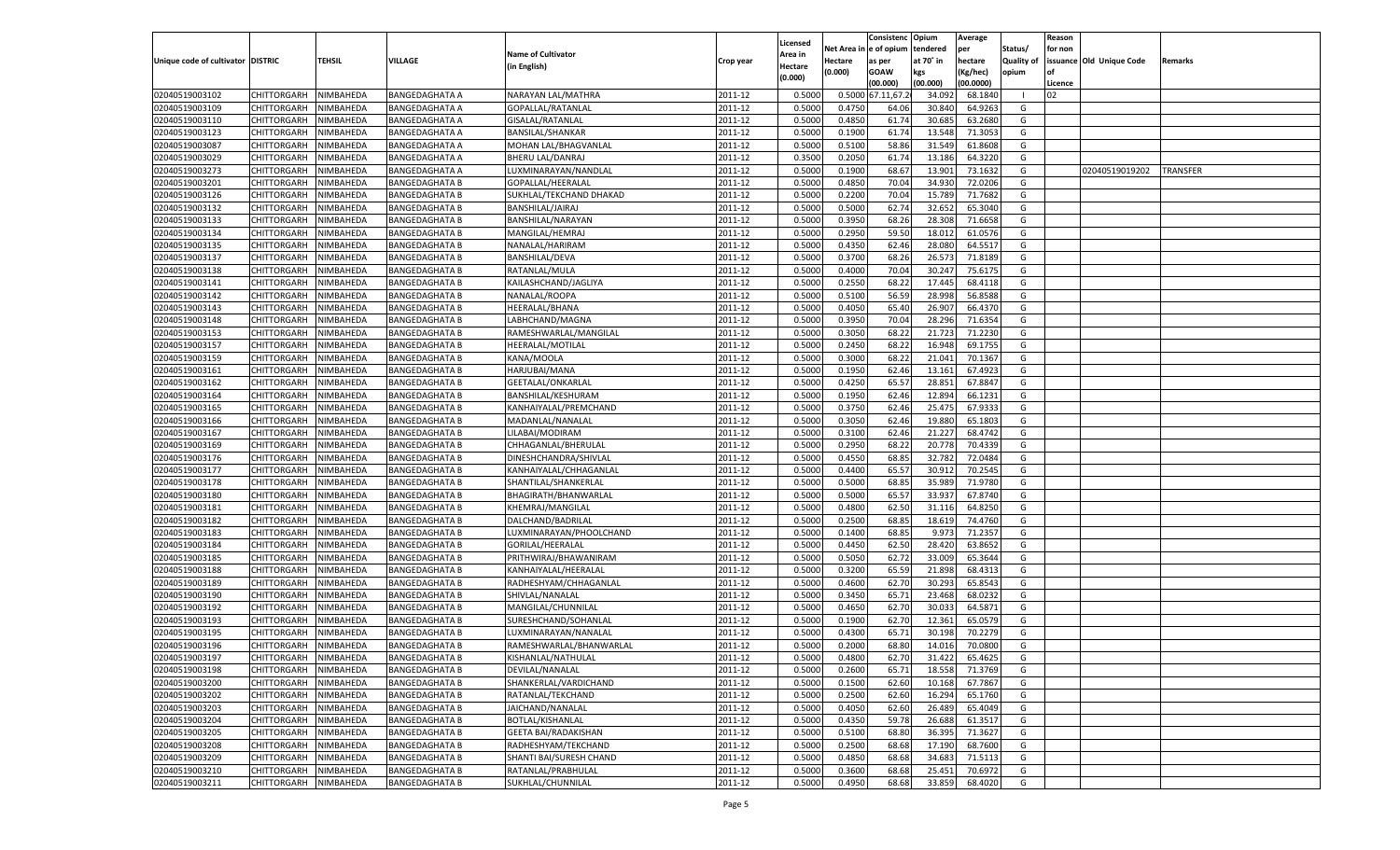|                                   |                         |           |                       |                             |           |          |          | Consistenc Opium |           | Average   |                   | Reason    |                          |                 |
|-----------------------------------|-------------------------|-----------|-----------------------|-----------------------------|-----------|----------|----------|------------------|-----------|-----------|-------------------|-----------|--------------------------|-----------------|
|                                   |                         |           |                       |                             |           | Licensed | Net Area | e of opium       | tendered  | per       | Status/           | for non   |                          |                 |
| Unique code of cultivator DISTRIC |                         | TEHSIL    | VILLAGE               | <b>Name of Cultivator</b>   | Crop year | Area in  | Hectare  | as per           | at 70˚ in | hectare   | <b>Quality of</b> |           | issuance Old Unique Code | Remarks         |
|                                   |                         |           |                       | (in English)                |           | Hectare  | (0.000)  | <b>GOAW</b>      | kgs       | (Kg/hec)  | opium             | <b>of</b> |                          |                 |
|                                   |                         |           |                       |                             |           | (0.000)  |          | (00.000)         | (00.000)  | (00.0000) |                   | Licence   |                          |                 |
| 02040519003102                    | CHITTORGARH             | NIMBAHEDA | <b>BANGEDAGHATA A</b> | NARAYAN LAL/MATHRA          | 2011-12   | 0.5000   | 0.5000   | 67.11,67.        | 34.09     | 68.1840   | - 1               | 02        |                          |                 |
| 02040519003109                    | CHITTORGARH             | NIMBAHEDA | <b>BANGEDAGHATA A</b> | GOPALLAL/RATANLAL           | 2011-12   | 0.5000   | 0.4750   | 64.06            | 30.84     | 64.926    | G                 |           |                          |                 |
| 02040519003110                    |                         | NIMBAHEDA | <b>BANGEDAGHATA A</b> |                             | 2011-12   | 0.5000   | 0.4850   | 61.74            | 30.685    | 63.2680   | G                 |           |                          |                 |
|                                   | <b>CHITTORGARH</b>      |           |                       | GISALAL/RATANLAL            |           |          |          |                  |           |           |                   |           |                          |                 |
| 02040519003123                    | CHITTORGARH             | NIMBAHEDA | <b>BANGEDAGHATA A</b> | <b>BANSILAL/SHANKAR</b>     | 2011-12   | 0.5000   | 0.1900   | 61.74            | 13.548    | 71.3053   | G                 |           |                          |                 |
| 02040519003087                    | CHITTORGARH             | NIMBAHEDA | <b>BANGEDAGHATA A</b> | MOHAN LAL/BHAGVANLAL        | 2011-12   | 0.5000   | 0.5100   | 58.86            | 31.549    | 61.8608   | G                 |           |                          |                 |
| 02040519003029                    | CHITTORGARH             | NIMBAHEDA | BANGEDAGHATA A        | <b>BHERU LAL/DANRAJ</b>     | 2011-12   | 0.3500   | 0.2050   | 61.74            | 13.186    | 64.3220   | G                 |           |                          |                 |
| 02040519003273                    | CHITTORGARH             | NIMBAHEDA | <b>BANGEDAGHATA A</b> | LUXMINARAYAN/NANDLAL        | 2011-12   | 0.5000   | 0.1900   | 68.67            | 13.901    | 73.1632   | G                 |           | 02040519019202           | <b>TRANSFER</b> |
| 02040519003201                    | CHITTORGARH             | NIMBAHEDA | <b>BANGEDAGHATA B</b> | GOPALLAL/HEERALAI           | 2011-12   | 0.5000   | 0.4850   | 70.04            | 34.93     | 72.0206   | G                 |           |                          |                 |
| 02040519003126                    | CHITTORGARH             | NIMBAHEDA | <b>BANGEDAGHATA B</b> | SUKHLAL/TEKCHAND DHAKAD     | 2011-12   | 0.5000   | 0.2200   | 70.04            | 15.789    | 71.7682   | G                 |           |                          |                 |
| 02040519003132                    | CHITTORGARH             | NIMBAHEDA | <b>BANGEDAGHATA B</b> | BANSHILAL/JAIRAJ            | 2011-12   | 0.5000   | 0.5000   | 62.74            | 32.65     | 65.3040   | G                 |           |                          |                 |
| 02040519003133                    | CHITTORGARH             | NIMBAHEDA | <b>BANGEDAGHATA B</b> | BANSHILAL/NARAYAN           | 2011-12   | 0.5000   | 0.3950   | 68.26            | 28.308    | 71.6658   | G                 |           |                          |                 |
| 02040519003134                    | CHITTORGARH             | NIMBAHEDA | <b>BANGEDAGHATA B</b> | MANGILAL/HEMRAJ             | 2011-12   | 0.5000   | 0.2950   | 59.50            | 18.01     | 61.0576   | G                 |           |                          |                 |
| 02040519003135                    | CHITTORGARH             | NIMBAHEDA | <b>BANGEDAGHATA B</b> | NANALAL/HARIRAM             | 2011-12   | 0.5000   | 0.4350   | 62.46            | 28.08     | 64.5517   | G                 |           |                          |                 |
| 02040519003137                    | CHITTORGARH             | NIMBAHEDA | <b>BANGEDAGHATA B</b> | <b>BANSHILAL/DEVA</b>       | 2011-12   | 0.5000   | 0.3700   | 68.26            | 26.57     | 71.8189   | G                 |           |                          |                 |
| 02040519003138                    | <b>CHITTORGARH</b>      | NIMBAHEDA | <b>BANGEDAGHATA B</b> | RATANLAL/MULA               | 2011-12   | 0.5000   | 0.4000   | 70.04            | 30.247    | 75.6175   | G                 |           |                          |                 |
| 02040519003141                    | CHITTORGARH             | NIMBAHEDA | <b>BANGEDAGHATA B</b> | KAILASHCHAND/JAGLIYA        | 2011-12   | 0.5000   | 0.2550   | 68.22            | 17.445    | 68.4118   | G                 |           |                          |                 |
|                                   |                         |           |                       |                             |           |          |          |                  |           |           |                   |           |                          |                 |
| 02040519003142                    | <b>CHITTORGARH</b>      | NIMBAHEDA | <b>BANGEDAGHATA B</b> | NANALAL/ROOPA               | 2011-12   | 0.5000   | 0.5100   | 56.59            | 28.998    | 56.8588   | G                 |           |                          |                 |
| 02040519003143                    | CHITTORGARH             | NIMBAHEDA | <b>BANGEDAGHATA B</b> | <b>HEERALAL/BHANA</b>       | 2011-12   | 0.5000   | 0.4050   | 65.40            | 26.90     | 66.4370   | G                 |           |                          |                 |
| 02040519003148                    | <b>CHITTORGARH</b>      | NIMBAHEDA | <b>BANGEDAGHATA B</b> | LABHCHAND/MAGNA             | 2011-12   | 0.5000   | 0.3950   | 70.04            | 28.296    | 71.6354   | G                 |           |                          |                 |
| 02040519003153                    | CHITTORGARH             | NIMBAHEDA | <b>BANGEDAGHATA B</b> | RAMESHWARLAL/MANGILAL       | 2011-12   | 0.5000   | 0.3050   | 68.22            | 21.723    | 71.2230   | G                 |           |                          |                 |
| 02040519003157                    | <b>CHITTORGARH</b>      | NIMBAHEDA | <b>BANGEDAGHATA B</b> | HEERALAL/MOTILAL            | 2011-12   | 0.5000   | 0.2450   | 68.22            | 16.948    | 69.1755   | G                 |           |                          |                 |
| 02040519003159                    | CHITTORGARH             | NIMBAHEDA | <b>BANGEDAGHATA B</b> | KANA/MOOLA                  | 2011-12   | 0.5000   | 0.3000   | 68.2             | 21.041    | 70.1367   | G                 |           |                          |                 |
| 02040519003161                    | <b>CHITTORGARH</b>      | NIMBAHEDA | <b>BANGEDAGHATA B</b> | HARJUBAI/MANA               | 2011-12   | 0.5000   | 0.1950   | 62.46            | 13.161    | 67.4923   | G                 |           |                          |                 |
| 02040519003162                    | CHITTORGARH             | NIMBAHEDA | <b>BANGEDAGHATA B</b> | <b>GEETALAL/ONKARLAL</b>    | 2011-12   | 0.5000   | 0.4250   | 65.57            | 28.851    | 67.8847   | G                 |           |                          |                 |
| 02040519003164                    | <b>CHITTORGARH</b>      | NIMBAHEDA | <b>BANGEDAGHATA B</b> | BANSHILAL/KESHURAM          | 2011-12   | 0.5000   | 0.1950   | 62.46            | 12.894    | 66.1231   | G                 |           |                          |                 |
| 02040519003165                    | CHITTORGARH             | NIMBAHEDA | <b>BANGEDAGHATA B</b> | KANHAIYALAL/PREMCHAND       | 2011-12   | 0.5000   | 0.3750   | 62.46            | 25.475    | 67.9333   | G                 |           |                          |                 |
| 02040519003166                    | <b>CHITTORGARH</b>      | NIMBAHEDA | <b>BANGEDAGHATA B</b> | MADANLAL/NANALAL            | 2011-12   | 0.5000   | 0.3050   | 62.46            | 19.880    | 65.1803   | G                 |           |                          |                 |
| 02040519003167                    | CHITTORGARH             | NIMBAHEDA | <b>BANGEDAGHATA B</b> | LILABAI/MODIRAM             | 2011-12   | 0.5000   | 0.3100   | 62.46            | 21.227    | 68.4742   | G                 |           |                          |                 |
| 02040519003169                    | <b>CHITTORGARH</b>      | NIMBAHEDA | <b>BANGEDAGHATA B</b> | CHHAGANLAL/BHERULAL         | 2011-12   | 0.5000   | 0.2950   | 68.22            | 20.778    | 70.4339   | G                 |           |                          |                 |
| 02040519003176                    |                         |           |                       |                             | 2011-12   | 0.5000   | 0.4550   | 68.85            | 32.782    | 72.0484   | G                 |           |                          |                 |
|                                   | CHITTORGARH             | NIMBAHEDA | <b>BANGEDAGHATA B</b> | DINESHCHANDRA/SHIVLAL       |           |          |          |                  |           |           |                   |           |                          |                 |
| 02040519003177                    | CHITTORGARH             | NIMBAHEDA | <b>BANGEDAGHATA B</b> | KANHAIYALAL/CHHAGANLAL      | 2011-12   | 0.5000   | 0.4400   | 65.57            | 30.91     | 70.2545   | G                 |           |                          |                 |
| 02040519003178                    | CHITTORGARH             | NIMBAHEDA | <b>BANGEDAGHATA B</b> | SHANTILAL/SHANKERLAL        | 2011-12   | 0.5000   | 0.5000   | 68.85            | 35.98     | 71.9780   | G                 |           |                          |                 |
| 02040519003180                    | CHITTORGARH             | NIMBAHEDA | <b>BANGEDAGHATA B</b> | BHAGIRATH/BHANWARLAL        | 2011-12   | 0.5000   | 0.5000   | 65.57            | 33.93     | 67.8740   | G                 |           |                          |                 |
| 02040519003181                    | CHITTORGARH             | NIMBAHEDA | <b>BANGEDAGHATA B</b> | KHEMRAJ/MANGILAL            | 2011-12   | 0.5000   | 0.4800   | 62.50            | 31.116    | 64.8250   | G                 |           |                          |                 |
| 02040519003182                    | CHITTORGARH             | NIMBAHEDA | <b>BANGEDAGHATA B</b> | DALCHAND/BADRILAL           | 2011-12   | 0.5000   | 0.2500   | 68.85            | 18.619    | 74.4760   | G                 |           |                          |                 |
| 02040519003183                    | CHITTORGARH             | NIMBAHEDA | <b>BANGEDAGHATA B</b> | LUXMINARAYAN/PHOOLCHAND     | 2011-12   | 0.5000   | 0.1400   | 68.85            | 9.97      | 71.2357   | G                 |           |                          |                 |
| 02040519003184                    | CHITTORGARH             | NIMBAHEDA | <b>BANGEDAGHATA B</b> | GORILAL/HEERALAL            | 2011-12   | 0.5000   | 0.4450   | 62.50            | 28.42     | 63.8652   | G                 |           |                          |                 |
| 02040519003185                    | CHITTORGARH             | NIMBAHEDA | <b>BANGEDAGHATA B</b> | PRITHWIRAJ/BHAWANIRAM       | 2011-12   | 0.5000   | 0.5050   | 62.72            | 33.009    | 65.3644   | G                 |           |                          |                 |
| 02040519003188                    | CHITTORGARH             | NIMBAHEDA | <b>BANGEDAGHATA B</b> | KANHAIYALAL/HEERALAL        | 2011-12   | 0.5000   | 0.3200   | 65.59            | 21.898    | 68.4313   | G                 |           |                          |                 |
| 02040519003189                    | CHITTORGARH             | NIMBAHEDA | <b>BANGEDAGHATA B</b> | RADHESHYAM/CHHAGANLAI       | 2011-12   | 0.5000   | 0.4600   | 62.70            | 30.29     | 65.8543   | G                 |           |                          |                 |
| 02040519003190                    | CHITTORGARH             | NIMBAHEDA | <b>BANGEDAGHATA B</b> | SHIVLAL/NANALAL             | 2011-12   | 0.5000   | 0.3450   | 65.71            | 23.468    | 68.0232   | G                 |           |                          |                 |
| 02040519003192                    | CHITTORGARH             | NIMBAHEDA | <b>BANGEDAGHATA B</b> | MANGILAL/CHUNNILAL          | 2011-12   | 0.5000   | 0.4650   | 62.70            | 30.03     | 64.5871   | G                 |           |                          |                 |
| 02040519003193                    | CHITTORGARH             | NIMBAHEDA | <b>BANGEDAGHATA B</b> | SURESHCHAND/SOHANLAL        | 2011-12   | 0.5000   | 0.1900   | 62.70            | 12.361    | 65.0579   | G                 |           |                          |                 |
| 02040519003195                    | CHITTORGARH             | NIMBAHEDA | <b>BANGEDAGHATA B</b> | LUXMINARAYAN/NANALAL        | 2011-12   | 0.5000   | 0.4300   | 65.7             | 30.19     | 70.227    | G                 |           |                          |                 |
| 02040519003196                    | CHITTORGARH             | NIMBAHEDA | <b>BANGEDAGHATA B</b> | RAMESHWARLAL/BHANWARLAL     | 2011-12   | 0.5000   | 0.2000   | 68.80            | 14.016    | 70.0800   | G                 |           |                          |                 |
| 02040519003197                    | CHITTORGARH   NIMBAHEDA |           | <b>BANGEDAGHATA B</b> |                             | 2011-12   | 0.5000   | 0.4800   | 62.70            | 31.422    |           | G                 |           |                          |                 |
| 02040519003198                    | <b>CHITTORGARH</b>      |           |                       | KISHANLAL/NATHULAL          |           |          |          |                  |           | 65.4625   | G                 |           |                          |                 |
|                                   |                         | NIMBAHEDA | <b>BANGEDAGHATA B</b> | DEVILAL/NANALAL             | 2011-12   | 0.5000   | 0.2600   | 65.71            | 18.558    | 71.3769   |                   |           |                          |                 |
| 02040519003200                    | <b>CHITTORGARH</b>      | NIMBAHEDA | <b>BANGEDAGHATA B</b> | SHANKERLAL/VARDICHAND       | 2011-12   | 0.5000   | 0.1500   | 62.60            | 10.168    | 67.7867   | G                 |           |                          |                 |
| 02040519003202                    | <b>CHITTORGARH</b>      | NIMBAHEDA | <b>BANGEDAGHATA B</b> | RATANLAL/TEKCHAND           | 2011-12   | 0.5000   | 0.2500   | 62.60            | 16.294    | 65.1760   | G                 |           |                          |                 |
| 02040519003203                    | <b>CHITTORGARH</b>      | NIMBAHEDA | <b>BANGEDAGHATA B</b> | JAICHAND/NANALAL            | 2011-12   | 0.5000   | 0.4050   | 62.60            | 26.489    | 65.4049   | G                 |           |                          |                 |
| 02040519003204                    | <b>CHITTORGARH</b>      | NIMBAHEDA | <b>BANGEDAGHATA B</b> | BOTLAL/KISHANLAL            | 2011-12   | 0.5000   | 0.4350   | 59.78            | 26.688    | 61.3517   | G                 |           |                          |                 |
| 02040519003205                    | <b>CHITTORGARH</b>      | NIMBAHEDA | <b>BANGEDAGHATA B</b> | <b>GEETA BAI/RADAKISHAN</b> | 2011-12   | 0.5000   | 0.5100   | 68.80            | 36.395    | 71.3627   | G                 |           |                          |                 |
| 02040519003208                    | <b>CHITTORGARH</b>      | NIMBAHEDA | <b>BANGEDAGHATA B</b> | RADHESHYAM/TEKCHAND         | 2011-12   | 0.5000   | 0.2500   | 68.68            | 17.190    | 68.7600   | G                 |           |                          |                 |
| 02040519003209                    | <b>CHITTORGARH</b>      | NIMBAHEDA | <b>BANGEDAGHATA B</b> | SHANTI BAI/SURESH CHAND     | 2011-12   | 0.5000   | 0.4850   | 68.68            | 34.683    | 71.5113   | G                 |           |                          |                 |
| 02040519003210                    | <b>CHITTORGARH</b>      | NIMBAHEDA | <b>BANGEDAGHATA B</b> | RATANLAL/PRABHULAL          | 2011-12   | 0.5000   | 0.3600   | 68.68            | 25.451    | 70.6972   | G                 |           |                          |                 |
| 02040519003211                    | <b>CHITTORGARH</b>      | NIMBAHEDA | <b>BANGEDAGHATA B</b> | SUKHLAL/CHUNNILAL           | 2011-12   | 0.5000   | 0.4950   | 68.68            | 33.859    | 68.4020   | G                 |           |                          |                 |
|                                   |                         |           |                       |                             |           |          |          |                  |           |           |                   |           |                          |                 |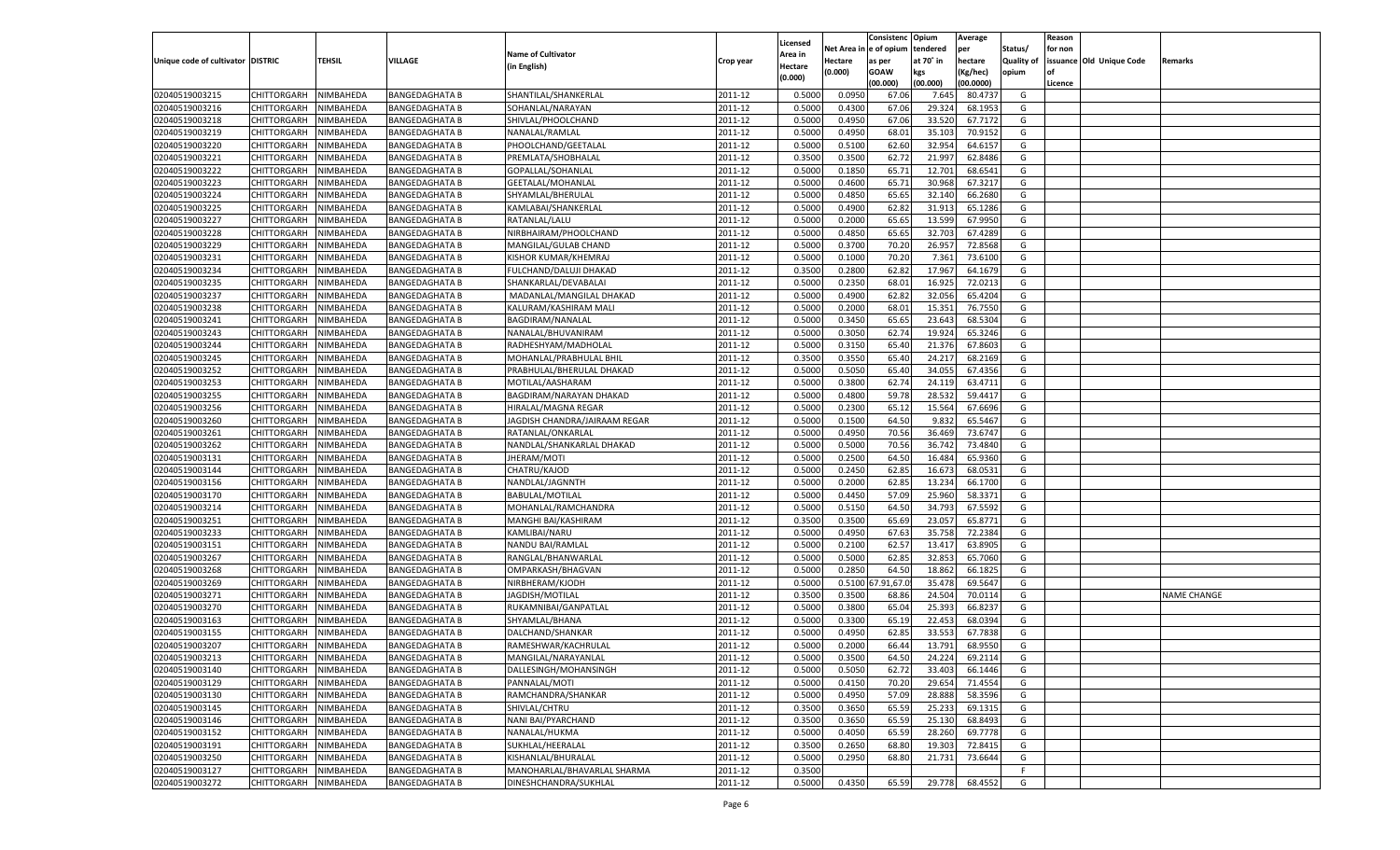|                                   |                       |               |                       |                               |           |                    |            | Consistenc Opium |           | Average        |                   | Reason  |                          |                    |
|-----------------------------------|-----------------------|---------------|-----------------------|-------------------------------|-----------|--------------------|------------|------------------|-----------|----------------|-------------------|---------|--------------------------|--------------------|
|                                   |                       |               |                       | <b>Name of Cultivator</b>     |           | Licensed           | Net Area i | n  e of opium    | tendered  | per            | Status/           | for non |                          |                    |
| Unique code of cultivator DISTRIC |                       | <b>TEHSIL</b> | VILLAGE               | (in English)                  | Crop year | Area in<br>Hectare | Hectare    | as per           | at 70˚ in | hectare        | <b>Quality of</b> |         | issuance Old Unique Code | Remarks            |
|                                   |                       |               |                       |                               |           | (0.000)            | (0.000)    | <b>GOAW</b>      | kgs       | (Kg/hec)       | opium             | οf      |                          |                    |
|                                   |                       |               |                       |                               |           |                    |            | (00.000)         | (00.000)  | (00.0000)      |                   | Licence |                          |                    |
| 02040519003215                    | CHITTORGARH           | NIMBAHEDA     | <b>BANGEDAGHATA B</b> | SHANTILAL/SHANKERLAL          | 2011-12   | 0.5000             | 0.0950     | 67.06            | 7.645     | 80.4737        | G                 |         |                          |                    |
| 02040519003216                    | CHITTORGARH           | NIMBAHEDA     | <b>BANGEDAGHATA B</b> | SOHANLAL/NARAYAN              | 2011-12   | 0.5000             | 0.4300     | 67.06            | 29.324    | 68.1953        | G                 |         |                          |                    |
| 02040519003218                    | <b>CHITTORGARH</b>    | NIMBAHEDA     | <b>BANGEDAGHATA B</b> | SHIVLAL/PHOOLCHAND            | 2011-12   | 0.5000             | 0.4950     | 67.06            | 33.520    | 67.7172        | G                 |         |                          |                    |
| 02040519003219                    | CHITTORGARH           | NIMBAHEDA     | <b>BANGEDAGHATA B</b> | NANALAL/RAMLAL                | 2011-12   | 0.5000             | 0.4950     | 68.01            | 35.103    | 70.9152        | G                 |         |                          |                    |
| 02040519003220                    | <b>CHITTORGARH</b>    | NIMBAHEDA     | <b>BANGEDAGHATA B</b> | PHOOLCHAND/GEETALAL           | 2011-12   | 0.5000             | 0.5100     | 62.60            | 32.954    | 64.6157        | G                 |         |                          |                    |
| 02040519003221                    | CHITTORGARH           | NIMBAHEDA     | <b>BANGEDAGHATA B</b> | PREMLATA/SHOBHALAL            | 2011-12   | 0.3500             | 0.3500     | 62.72            | 21.997    | 62.8486        | G                 |         |                          |                    |
| 02040519003222                    | <b>CHITTORGARH</b>    | NIMBAHEDA     | <b>BANGEDAGHATA B</b> | GOPALLAL/SOHANLAL             | 2011-12   | 0.5000             | 0.1850     | 65.71            | 12.701    | 68.6541        | G                 |         |                          |                    |
| 02040519003223                    | CHITTORGARH           | NIMBAHEDA     | <b>BANGEDAGHATA B</b> | GEETALAL/MOHANLAL             | 2011-12   | 0.5000             | 0.4600     | 65.71            | 30.968    | 67.3217        | G                 |         |                          |                    |
| 02040519003224                    | <b>CHITTORGARH</b>    | NIMBAHEDA     | <b>BANGEDAGHATA B</b> | SHYAMLAL/BHERULAL             | 2011-12   | 0.5000             | 0.4850     | 65.65            | 32.140    | 66.2680        | G                 |         |                          |                    |
| 02040519003225                    | CHITTORGARH           | NIMBAHEDA     | <b>BANGEDAGHATA B</b> | KAMLABAI/SHANKERLAL           | 2011-12   | 0.5000             | 0.4900     | 62.82            | 31.913    | 65.1286        | G                 |         |                          |                    |
| 02040519003227                    | <b>CHITTORGARH</b>    | NIMBAHEDA     | <b>BANGEDAGHATA B</b> | RATANLAL/LALU                 | 2011-12   | 0.5000             | 0.2000     | 65.65            | 13.599    | 67.9950        | G                 |         |                          |                    |
| 02040519003228                    | CHITTORGARH           | NIMBAHEDA     | <b>BANGEDAGHATA B</b> | NIRBHAIRAM/PHOOLCHAND         | 2011-12   | 0.5000             | 0.4850     | 65.65            | 32.703    | 67.4289        | G                 |         |                          |                    |
| 02040519003229                    | <b>CHITTORGARH</b>    | NIMBAHEDA     | <b>BANGEDAGHATA B</b> | MANGILAL/GULAB CHAND          | 2011-12   | 0.5000             | 0.3700     | 70.20            | 26.957    | 72.8568        | G                 |         |                          |                    |
| 02040519003231                    | CHITTORGARH           | NIMBAHEDA     | <b>BANGEDAGHATA B</b> | KISHOR KUMAR/KHEMRAJ          | 2011-12   | 0.5000             | 0.1000     | 70.20            | 7.361     | 73.6100        | G                 |         |                          |                    |
| 02040519003234                    | <b>CHITTORGARH</b>    | NIMBAHEDA     | <b>BANGEDAGHATA B</b> | FULCHAND/DALUJI DHAKAD        | 2011-12   | 0.3500             | 0.2800     | 62.82            | 17.967    | 64.1679        | G                 |         |                          |                    |
| 02040519003235                    | CHITTORGARH           | NIMBAHEDA     | <b>BANGEDAGHATA B</b> | SHANKARLAL/DEVABALAI          | 2011-12   | 0.5000             | 0.2350     | 68.01            | 16.925    | 72.0213        | G                 |         |                          |                    |
| 02040519003237                    | <b>CHITTORGARH</b>    | NIMBAHEDA     | <b>BANGEDAGHATA B</b> | MADANLAL/MANGILAL DHAKAD      | 2011-12   | 0.5000             | 0.4900     | 62.82            | 32.056    | 65.4204        | G                 |         |                          |                    |
| 02040519003238                    | CHITTORGARH           | NIMBAHEDA     | <b>BANGEDAGHATA B</b> | KALURAM/KASHIRAM MALI         | 2011-12   | 0.5000             | 0.2000     | 68.01            | 15.351    | 76.7550        | G                 |         |                          |                    |
| 02040519003241                    | <b>CHITTORGARH</b>    | NIMBAHEDA     | <b>BANGEDAGHATA B</b> | BAGDIRAM/NANALAL              | 2011-12   | 0.5000             | 0.3450     | 65.65            | 23.643    | 68.5304        | G                 |         |                          |                    |
| 02040519003243                    | CHITTORGARH           | NIMBAHEDA     | <b>BANGEDAGHATA B</b> | NANALAL/BHUVANIRAM            | 2011-12   | 0.5000             | 0.3050     | 62.74            | 19.924    | 65.3246        | G                 |         |                          |                    |
| 02040519003244                    | <b>CHITTORGARH</b>    | NIMBAHEDA     | <b>BANGEDAGHATA B</b> | RADHESHYAM/MADHOLAL           | 2011-12   | 0.5000             | 0.3150     | 65.40            | 21.376    | 67.8603        | G                 |         |                          |                    |
| 02040519003245                    | CHITTORGARH           | NIMBAHEDA     | <b>BANGEDAGHATA B</b> | MOHANLAL/PRABHULAL BHII       | 2011-12   | 0.3500             | 0.3550     | 65.40            | 24.217    | 68.2169        | G                 |         |                          |                    |
| 02040519003252                    | <b>CHITTORGARH</b>    | NIMBAHEDA     | <b>BANGEDAGHATA B</b> | PRABHULAL/BHERULAL DHAKAD     | 2011-12   | 0.5000             | 0.5050     | 65.40            | 34.055    | 67.4356        | G                 |         |                          |                    |
| 02040519003253                    | CHITTORGARH           | NIMBAHEDA     | <b>BANGEDAGHATA B</b> | MOTILAL/AASHARAM              | 2011-12   | 0.5000             | 0.3800     | 62.74            | 24.119    | 63.4711        | G                 |         |                          |                    |
| 02040519003255                    | <b>CHITTORGARH</b>    | NIMBAHEDA     | <b>BANGEDAGHATA B</b> | BAGDIRAM/NARAYAN DHAKAD       | 2011-12   | 0.5000             | 0.4800     | 59.78            | 28.532    | 59.4417        | G                 |         |                          |                    |
| 02040519003256                    | CHITTORGARH           | NIMBAHEDA     | <b>BANGEDAGHATA B</b> | <b>HIRALAL/MAGNA REGAR</b>    | 2011-12   | 0.5000             | 0.2300     | 65.1             | 15.564    | 67.6696        | G                 |         |                          |                    |
| 02040519003260                    | <b>CHITTORGARH</b>    | NIMBAHEDA     | <b>BANGEDAGHATA B</b> | JAGDISH CHANDRA/JAIRAAM REGAR | 2011-12   | 0.5000             | 0.1500     | 64.50            | 9.832     | 65.5467        | G                 |         |                          |                    |
| 02040519003261                    | CHITTORGARH           | NIMBAHEDA     | <b>BANGEDAGHATA B</b> | RATANLAL/ONKARLAL             | 2011-12   | 0.5000             | 0.4950     | 70.56            | 36.469    | 73.6747        | G                 |         |                          |                    |
| 02040519003262                    | <b>CHITTORGARH</b>    | NIMBAHEDA     | <b>BANGEDAGHATA B</b> | NANDLAL/SHANKARLAL DHAKAD     | 2011-12   | 0.5000             | 0.5000     | 70.56            | 36.742    | 73.4840        | G                 |         |                          |                    |
| 02040519003131                    | CHITTORGARH           | NIMBAHEDA     | <b>BANGEDAGHATA B</b> | JHERAM/MOTI                   | 2011-12   | 0.5000             | 0.2500     | 64.50            | 16.484    | 65.9360        | G                 |         |                          |                    |
| 02040519003144                    | <b>CHITTORGARH</b>    | NIMBAHEDA     | <b>BANGEDAGHATA B</b> | CHATRU/KAJOD                  | 2011-12   | 0.5000             | 0.2450     | 62.85            | 16.673    | 68.0531        | G                 |         |                          |                    |
| 02040519003156                    | CHITTORGARH           | NIMBAHEDA     | <b>BANGEDAGHATA B</b> | NANDLAL/JAGNNTH               | 2011-12   | 0.5000             | 0.2000     | 62.85            | 13.234    | 66.1700        | G                 |         |                          |                    |
| 02040519003170                    | CHITTORGARH           | NIMBAHEDA     | <b>BANGEDAGHATA B</b> | <b>BABULAL/MOTILAL</b>        | 2011-12   | 0.5000             | 0.4450     | 57.09            | 25.960    | 58.3371        | G                 |         |                          |                    |
| 02040519003214                    | CHITTORGARH           | NIMBAHEDA     | <b>BANGEDAGHATA B</b> | MOHANLAL/RAMCHANDRA           | 2011-12   | 0.5000             | 0.5150     | 64.50            | 34.793    | 67.5592        | G                 |         |                          |                    |
| 02040519003251                    | <b>CHITTORGARH</b>    | NIMBAHEDA     |                       |                               | 2011-12   | 0.3500             | 0.3500     | 65.69            | 23.057    | 65.8771        | G                 |         |                          |                    |
|                                   |                       |               | <b>BANGEDAGHATA B</b> | MANGHI BAI/KASHIRAM           |           |                    |            |                  |           | 72.2384        | G                 |         |                          |                    |
| 02040519003233                    | CHITTORGARH           | NIMBAHEDA     | <b>BANGEDAGHATA B</b> | KAMLIBAI/NARU                 | 2011-12   | 0.5000             | 0.4950     | 67.63            | 35.758    |                |                   |         |                          |                    |
| 02040519003151                    | <b>CHITTORGARH</b>    | NIMBAHEDA     | <b>BANGEDAGHATA B</b> | NANDU BAI/RAMLAL              | 2011-12   | 0.5000             | 0.2100     | 62.57            | 13.417    | 63.8905        | G                 |         |                          |                    |
| 02040519003267                    | CHITTORGARH           | NIMBAHEDA     | <b>BANGEDAGHATA B</b> | RANGLAL/BHANWARLAL            | 2011-12   | 0.5000             | 0.5000     | 62.85            | 32.853    | 65.7060        | G                 |         |                          |                    |
| 02040519003268                    | <b>CHITTORGARH</b>    | NIMBAHEDA     | <b>BANGEDAGHATA B</b> | OMPARKASH/BHAGVAN             | 2011-12   | 0.5000             | 0.2850     | 64.50            | 18.862    | 66.1825        | G                 |         |                          |                    |
| 02040519003269                    | CHITTORGARH           | NIMBAHEDA     | <b>BANGEDAGHATA B</b> | NIRBHERAM/KJODH               | 2011-12   | 0.5000             | 0.5100     | .91,67.          | 35.478    | 69.5647        | G                 |         |                          |                    |
| 02040519003271                    | <b>CHITTORGARH</b>    | NIMBAHEDA     | <b>BANGEDAGHATA B</b> | JAGDISH/MOTILAL               | 2011-12   | 0.3500             | 0.3500     | 68.86            | 24.504    | 70.0114        | G                 |         |                          | <b>NAME CHANGE</b> |
| 02040519003270                    | CHITTORGARH           | NIMBAHEDA     | <b>BANGEDAGHATA B</b> | RUKAMNIBAI/GANPATLAL          | 2011-12   | 0.5000             | 0.3800     | 65.04            | 25.393    | 66.823         | G                 |         |                          |                    |
| 02040519003163                    | CHITTORGARH           | NIMBAHEDA     | <b>BANGEDAGHATA B</b> | SHYAMLAL/BHANA                | 2011-12   | 0.5000             | 0.3300     | 65.19            | 22.453    | 68.0394        | G                 |         |                          |                    |
| 02040519003155                    | CHITTORGARH           | NIMBAHEDA     | <b>BANGEDAGHATA B</b> | DALCHAND/SHANKAR              | 2011-12   | 0.5000             | 0.4950     | 62.85            | 33.553    | 67.7838        | G                 |         |                          |                    |
| 02040519003207                    | CHITTORGARH           | NIMBAHEDA     | <b>BANGEDAGHATA B</b> | RAMESHWAR/KACHRULAL           | 2011-12   | 0.5000             | 0.2000     | 66.44            | 13.791    | 68.9550        | G                 |         |                          |                    |
| 02040519003213                    | CHITTORGARH NIMBAHEDA |               | <b>BANGEDAGHATA B</b> | MANGILAL/NARAYANLAL           | 2011-12   | 0.5000             | 0.3500     | 64.50            | 24.224    | 69.2114        | G                 |         |                          |                    |
| 02040519003140                    | <b>CHITTORGARH</b>    | NIMBAHEDA     | <b>BANGEDAGHATA B</b> | DALLESINGH/MOHANSINGH         | 2011-12   | 0.5000             | 0.5050     | 62.72            | 33.403    | 66.1446        | G                 |         |                          |                    |
| 02040519003129                    | <b>CHITTORGARH</b>    | NIMBAHEDA     | <b>BANGEDAGHATA B</b> | PANNALAL/MOTI                 | 2011-12   | 0.5000             | 0.4150     | 70.20            | 29.654    | 71.4554        | G                 |         |                          |                    |
| 02040519003130                    | <b>CHITTORGARH</b>    | NIMBAHEDA     | <b>BANGEDAGHATA B</b> | RAMCHANDRA/SHANKAR            | 2011-12   | 0.5000             | 0.4950     | 57.09            | 28.888    | 58.3596        | G                 |         |                          |                    |
| 02040519003145                    | <b>CHITTORGARH</b>    | NIMBAHEDA     | <b>BANGEDAGHATA B</b> | SHIVLAL/CHTRU                 | 2011-12   | 0.3500             | 0.3650     | 65.59            | 25.233    | 69.1315        | G                 |         |                          |                    |
| 02040519003146                    | <b>CHITTORGARH</b>    | NIMBAHEDA     | <b>BANGEDAGHATA B</b> | NANI BAI/PYARCHAND            | 2011-12   | 0.3500             | 0.3650     | 65.59            | 25.130    | 68.8493        | G                 |         |                          |                    |
| 02040519003152                    | <b>CHITTORGARH</b>    | NIMBAHEDA     | <b>BANGEDAGHATA B</b> | NANALAL/HUKMA                 | 2011-12   | 0.5000             | 0.4050     | 65.59            | 28.260    | 69.7778        | G                 |         |                          |                    |
| 02040519003191                    | <b>CHITTORGARH</b>    | NIMBAHEDA     | <b>BANGEDAGHATA B</b> | SUKHLAL/HEERALAL              | 2011-12   | 0.3500             | 0.2650     | 68.80            | 19.303    | 72.8415        | G                 |         |                          |                    |
| 02040519003250                    | <b>CHITTORGARH</b>    | NIMBAHEDA     | <b>BANGEDAGHATA B</b> | KISHANLAL/BHURALAL            | 2011-12   | 0.5000             | 0.2950     | 68.80            | 21.731    | 73.6644        | G                 |         |                          |                    |
| 02040519003127                    | <b>CHITTORGARH</b>    | NIMBAHEDA     | <b>BANGEDAGHATA B</b> | MANOHARLAL/BHAVARLAL SHARMA   | 2011-12   | 0.3500             |            |                  |           |                | F                 |         |                          |                    |
| 02040519003272                    | <b>CHITTORGARH</b>    | NIMBAHEDA     | <b>BANGEDAGHATA B</b> | DINESHCHANDRA/SUKHLAL         | 2011-12   | 0.5000             | 0.4350     | 65.59            |           | 29.778 68.4552 | G                 |         |                          |                    |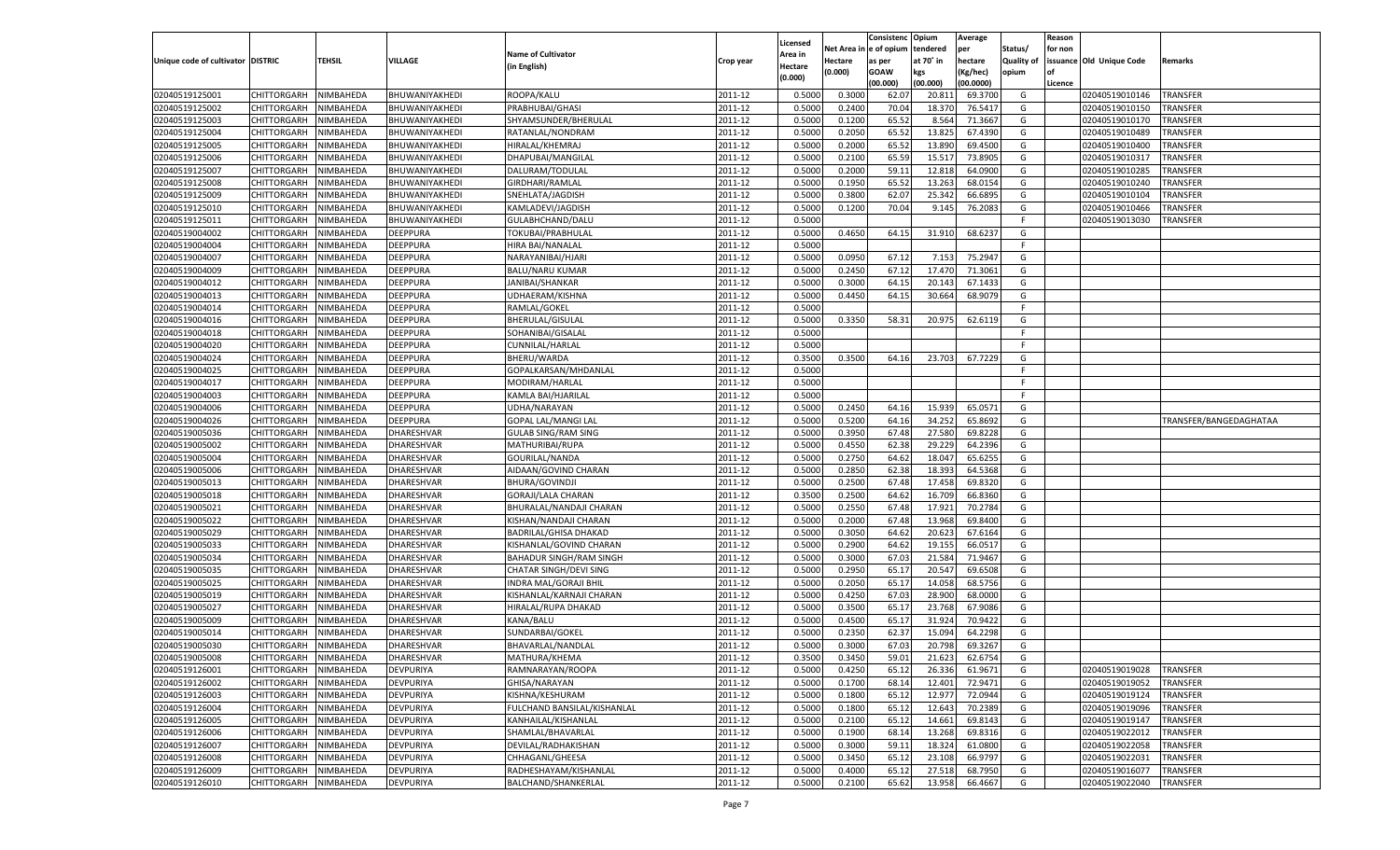|                                   |                       |           |                          |                                |           |          |          | Consistenc  | Opium     | Average   |                   | Reason    |                          |                        |
|-----------------------------------|-----------------------|-----------|--------------------------|--------------------------------|-----------|----------|----------|-------------|-----------|-----------|-------------------|-----------|--------------------------|------------------------|
|                                   |                       |           |                          |                                |           | Licensed | Net Area | e of opium  | tendered  | per       | Status/           | for non   |                          |                        |
| Unique code of cultivator DISTRIC |                       | TEHSIL    | VILLAGE                  | <b>Name of Cultivator</b>      | Crop year | Area in  | Hectare  | as per      | at 70˚ in | hectare   | <b>Quality of</b> |           | issuance Old Unique Code | Remarks                |
|                                   |                       |           |                          | (in English)                   |           | Hectare  | (0.000)  | <b>GOAW</b> | kgs       | (Kg/hec)  | opium             | <b>of</b> |                          |                        |
|                                   |                       |           |                          |                                |           | (0.000)  |          | (00.000)    | (00.000)  | (00.0000) |                   | Licence   |                          |                        |
| 02040519125001                    | CHITTORGARH           | NIMBAHEDA | BHUWANIYAKHEDI           | ROOPA/KALU                     | 2011-12   | 0.5000   | 0.3000   | 62.07       | 20.81     | 69.3700   | G                 |           | 02040519010146           | <b>TRANSFER</b>        |
| 02040519125002                    | CHITTORGARH           | NIMBAHEDA | BHUWANIYAKHED            | PRABHUBAI/GHASI                | 2011-12   | 0.5000   | 0.2400   | 70.04       | 18.37     | 76.5417   | G                 |           | 02040519010150           | <b>TRANSFER</b>        |
| 02040519125003                    | <b>CHITTORGARH</b>    | NIMBAHEDA | BHUWANIYAKHED            | SHYAMSUNDER/BHERULAL           | 2011-12   | 0.5000   | 0.1200   | 65.52       | 8.564     | 71.3667   | G                 |           | 02040519010170           | TRANSFER               |
| 02040519125004                    | CHITTORGARH           | NIMBAHEDA | BHUWANIYAKHEDI           | RATANLAL/NONDRAM               | 2011-12   | 0.5000   | 0.2050   | 65.52       | 13.825    | 67.4390   | G                 |           | 02040519010489           | TRANSFER               |
| 02040519125005                    | CHITTORGARH           | NIMBAHEDA | BHUWANIYAKHEDI           | HIRALAL/KHEMRAJ                | 2011-12   | 0.5000   | 0.2000   | 65.52       | 13.89     | 69.4500   | G                 |           | 02040519010400           | <b>TRANSFER</b>        |
| 02040519125006                    | CHITTORGARH           | NIMBAHEDA | BHUWANIYAKHED            | DHAPUBAI/MANGILAL              | 2011-12   | 0.5000   | 0.2100   | 65.59       | 15.51     | 73.890    | G                 |           | 02040519010317           | TRANSFER               |
| 02040519125007                    | CHITTORGARH           | NIMBAHEDA | BHUWANIYAKHED            | DALURAM/TODULAL                | 2011-12   | 0.5000   | 0.2000   | 59.11       | 12.818    | 64.0900   | G                 |           | 02040519010285           | TRANSFER               |
| 02040519125008                    | CHITTORGARH           | NIMBAHEDA | BHUWANIYAKHEDI           | GIRDHARI/RAMLAL                | 2011-12   | 0.5000   | 0.1950   | 65.52       | 13.263    | 68.0154   | G                 |           | 02040519010240           | TRANSFER               |
| 02040519125009                    | CHITTORGARH           | NIMBAHEDA | BHUWANIYAKHEDI           | SNEHLATA/JAGDISH               | 2011-12   | 0.5000   | 0.3800   | 62.07       | 25.342    | 66.6895   | G                 |           | 02040519010104           | TRANSFER               |
|                                   |                       |           |                          |                                |           |          |          |             |           |           |                   |           |                          |                        |
| 02040519125010                    | CHITTORGARH           | NIMBAHEDA | BHUWANIYAKHED            | KAMLADEVI/JAGDISH              | 2011-12   | 0.5000   | 0.1200   | 70.04       | 9.145     | 76.208    | G                 |           | 02040519010466           | TRANSFER               |
| 02040519125011                    | CHITTORGARH           | NIMBAHEDA | BHUWANIYAKHEDI           | GULABHCHAND/DALU               | 2011-12   | 0.5000   |          |             |           |           | F                 |           | 02040519013030           | <b>TRANSFER</b>        |
| 02040519004002                    | CHITTORGARH           | NIMBAHEDA | DEEPPURA                 | TOKUBAI/PRABHULAL              | 2011-12   | 0.5000   | 0.4650   | 64.15       | 31.910    | 68.6237   | G                 |           |                          |                        |
| 02040519004004                    | CHITTORGARH           | NIMBAHEDA | <b>DEEPPURA</b>          | HIRA BAI/NANALAL               | 2011-12   | 0.5000   |          |             |           |           | F                 |           |                          |                        |
| 02040519004007                    | CHITTORGARH           | NIMBAHEDA | DEEPPURA                 | NARAYANIBAI/HJARI              | 2011-12   | 0.5000   | 0.0950   | 67.12       | 7.153     | 75.2947   | G                 |           |                          |                        |
| 02040519004009                    | <b>CHITTORGARH</b>    | NIMBAHEDA | DEEPPURA                 | <b>BALU/NARU KUMAR</b>         | 2011-12   | 0.5000   | 0.2450   | 67.12       | 17.470    | 71.3061   | G                 |           |                          |                        |
| 02040519004012                    | CHITTORGARH           | NIMBAHEDA | DEEPPURA                 | JANIBAI/SHANKAR                | 2011-12   | 0.5000   | 0.3000   | 64.15       | 20.143    | 67.1433   | G                 |           |                          |                        |
| 02040519004013                    | <b>CHITTORGARH</b>    | NIMBAHEDA | DEEPPURA                 | UDHAERAM/KISHNA                | 2011-12   | 0.5000   | 0.4450   | 64.15       | 30.664    | 68.9079   | G                 |           |                          |                        |
| 02040519004014                    | CHITTORGARH           | NIMBAHEDA | DEEPPURA                 | RAMLAL/GOKEL                   | 2011-12   | 0.5000   |          |             |           |           | F                 |           |                          |                        |
| 02040519004016                    | <b>CHITTORGARH</b>    | NIMBAHEDA | DEEPPURA                 | <b>BHERULAL/GISULAL</b>        | 2011-12   | 0.5000   | 0.3350   | 58.31       | 20.975    | 62.6119   | G                 |           |                          |                        |
| 02040519004018                    | CHITTORGARH           | NIMBAHEDA | DEEPPURA                 | SOHANIBAI/GISALAL              | 2011-12   | 0.5000   |          |             |           |           | F.                |           |                          |                        |
| 02040519004020                    | <b>CHITTORGARH</b>    | NIMBAHEDA | DEEPPURA                 | CUNNILAL/HARLAL                | 2011-12   | 0.5000   |          |             |           |           | F                 |           |                          |                        |
| 02040519004024                    | CHITTORGARH           | NIMBAHEDA | DEEPPURA                 | <b>BHERU/WARDA</b>             | 2011-12   | 0.3500   | 0.3500   | 64.16       | 23.703    | 67.7229   | G                 |           |                          |                        |
| 02040519004025                    | <b>CHITTORGARH</b>    | NIMBAHEDA | DEEPPURA                 | GOPALKARSAN/MHDANLAL           | 2011-12   | 0.5000   |          |             |           |           | F                 |           |                          |                        |
| 02040519004017                    | CHITTORGARH           | NIMBAHEDA | DEEPPURA                 | MODIRAM/HARLAL                 | 2011-12   | 0.5000   |          |             |           |           | F.                |           |                          |                        |
| 02040519004003                    | <b>CHITTORGARH</b>    | NIMBAHEDA | DEEPPURA                 | KAMLA BAI/HJARILAL             | 2011-12   | 0.5000   |          |             |           |           | F                 |           |                          |                        |
| 02040519004006                    | CHITTORGARH           | NIMBAHEDA | DEEPPURA                 | UDHA/NARAYAN                   | 2011-12   | 0.5000   | 0.2450   | 64.16       | 15.939    | 65.0571   | G                 |           |                          |                        |
| 02040519004026                    | <b>CHITTORGARH</b>    | NIMBAHEDA | DEEPPURA                 | <b>GOPAL LAL/MANGI LAL</b>     | 2011-12   | 0.5000   | 0.5200   | 64.16       | 34.252    | 65.8692   | G                 |           |                          | TRANSFER/BANGEDAGHATAA |
| 02040519005036                    | CHITTORGARH           | NIMBAHEDA | DHARESHVAR               | <b>GULAB SING/RAM SING</b>     | 2011-12   | 0.5000   | 0.3950   | 67.48       | 27.580    | 69.8228   | G                 |           |                          |                        |
| 02040519005002                    | <b>CHITTORGARH</b>    | NIMBAHEDA | DHARESHVAR               | MATHURIBAI/RUPA                | 2011-12   | 0.5000   | 0.4550   | 62.38       | 29.229    | 64.2396   | G                 |           |                          |                        |
| 02040519005004                    | CHITTORGARH           |           |                          |                                | 2011-12   | 0.5000   | 0.2750   | 64.62       | 18.04     | 65.625    | G                 |           |                          |                        |
|                                   | CHITTORGARH           | NIMBAHEDA | DHARESHVAR<br>DHARESHVAR | GOURILAL/NANDA                 |           |          |          |             |           |           | G                 |           |                          |                        |
| 02040519005006                    |                       | NIMBAHEDA |                          | AIDAAN/GOVIND CHARAN           | 2011-12   | 0.5000   | 0.2850   | 62.38       | 18.39     | 64.5368   |                   |           |                          |                        |
| 02040519005013                    | CHITTORGARH           | NIMBAHEDA | DHARESHVAR               | <b>BHURA/GOVINDJI</b>          | 2011-12   | 0.5000   | 0.2500   | 67.48       | 17.45     | 69.8320   | G                 |           |                          |                        |
| 02040519005018                    | CHITTORGARH           | NIMBAHEDA | DHARESHVAR               | <b>GORAJI/LALA CHARAN</b>      | 2011-12   | 0.3500   | 0.2500   | 64.62       | 16.709    | 66.8360   | G                 |           |                          |                        |
| 02040519005021                    | CHITTORGARH           | NIMBAHEDA | DHARESHVAR               | BHURALAL/NANDAJI CHARAN        | 2011-12   | 0.5000   | 0.2550   | 67.48       | 17.921    | 70.2784   | G                 |           |                          |                        |
| 02040519005022                    | CHITTORGARH           | NIMBAHEDA | DHARESHVAR               | KISHAN/NANDAJI CHARAN          | 2011-12   | 0.5000   | 0.2000   | 67.48       | 13.968    | 69.8400   | G                 |           |                          |                        |
| 02040519005029                    | CHITTORGARH           | NIMBAHEDA | DHARESHVAR               | <b>BADRILAL/GHISA DHAKAD</b>   | 2011-12   | 0.5000   | 0.3050   | 64.62       | 20.62     | 67.6164   | G                 |           |                          |                        |
| 02040519005033                    | CHITTORGARH           | NIMBAHEDA | DHARESHVAR               | KISHANLAL/GOVIND CHARAN        | 2011-12   | 0.5000   | 0.2900   | 64.62       | 19.155    | 66.0517   | G                 |           |                          |                        |
| 02040519005034                    | CHITTORGARH           | NIMBAHEDA | DHARESHVAR               | <b>BAHADUR SINGH/RAM SINGH</b> | 2011-12   | 0.5000   | 0.3000   | 67.03       | 21.584    | 71.9467   | G                 |           |                          |                        |
| 02040519005035                    | CHITTORGARH           | NIMBAHEDA | DHARESHVAR               | CHATAR SINGH/DEVI SING         | 2011-12   | 0.5000   | 0.2950   | 65.17       | 20.547    | 69.6508   | G                 |           |                          |                        |
| 02040519005025                    | CHITTORGARH           | NIMBAHEDA | DHARESHVAR               | INDRA MAL/GORAJI BHIL          | 2011-12   | 0.5000   | 0.2050   | 65.17       | 14.05     | 68.5756   | G                 |           |                          |                        |
| 02040519005019                    | CHITTORGARH           | NIMBAHEDA | DHARESHVAR               | KISHANLAL/KARNAJI CHARAN       | 2011-12   | 0.5000   | 0.4250   | 67.03       | 28.90     | 68.0000   | G                 |           |                          |                        |
| 02040519005027                    | CHITTORGARH           | NIMBAHEDA | DHARESHVAR               | HIRALAL/RUPA DHAKAD            | 2011-12   | 0.5000   | 0.3500   | 65.1        | 23.768    | 67.9086   | G                 |           |                          |                        |
| 02040519005009                    | CHITTORGARH           | NIMBAHEDA | DHARESHVAR               | KANA/BALU                      | 2011-12   | 0.5000   | 0.4500   | 65.17       | 31.92     | 70.9422   | G                 |           |                          |                        |
| 02040519005014                    | CHITTORGARH           | NIMBAHEDA | DHARESHVAR               | SUNDARBAI/GOKEL                | 2011-12   | 0.5000   | 0.2350   | 62.37       | 15.09     | 64.2298   | G                 |           |                          |                        |
| 02040519005030                    | CHITTORGARH           | NIMBAHEDA | DHARESHVAR               | BHAVARLAL/NANDLAL              | 2011-12   | 0.5000   | 0.3000   | 67.03       | 20.798    | 69.3267   | G                 |           |                          |                        |
| 02040519005008                    | CHITTORGARH NIMBAHEDA |           | DHARESHVAR               | MATHURA/KHEMA                  | 2011-12   | 0.3500   | 0.3450   | 59.01       | 21.623    | 62.6754   | G                 |           |                          |                        |
| 02040519126001                    | <b>CHITTORGARH</b>    | NIMBAHEDA | DEVPURIYA                | RAMNARAYAN/ROOPA               | 2011-12   | 0.5000   | 0.4250   | 65.12       | 26.336    | 61.9671   | G                 |           | 02040519019028           | <b>TRANSFER</b>        |
| 02040519126002                    | <b>CHITTORGARH</b>    | NIMBAHEDA | DEVPURIYA                | GHISA/NARAYAN                  | 2011-12   | 0.5000   | 0.1700   | 68.14       | 12.401    | 72.9471   | G                 |           | 02040519019052           | <b>TRANSFER</b>        |
| 02040519126003                    | <b>CHITTORGARH</b>    | NIMBAHEDA | DEVPURIYA                | KISHNA/KESHURAM                | 2011-12   | 0.5000   | 0.1800   | 65.12       | 12.977    | 72.0944   | G                 |           | 02040519019124           | <b>TRANSFER</b>        |
| 02040519126004                    | <b>CHITTORGARH</b>    | NIMBAHEDA | DEVPURIYA                | FULCHAND BANSILAL/KISHANLAL    | 2011-12   | 0.5000   | 0.1800   | 65.12       | 12.643    | 70.2389   | G                 |           | 02040519019096           | TRANSFER               |
| 02040519126005                    | <b>CHITTORGARH</b>    | NIMBAHEDA | DEVPURIYA                | KANHAILAL/KISHANLAL            | 2011-12   | 0.5000   | 0.2100   | 65.12       | 14.661    | 69.8143   | G                 |           | 02040519019147           | <b>TRANSFER</b>        |
| 02040519126006                    | <b>CHITTORGARH</b>    | NIMBAHEDA | DEVPURIYA                | SHAMLAL/BHAVARLAL              | 2011-12   | 0.5000   | 0.1900   | 68.14       | 13.268    | 69.8316   | G                 |           | 02040519022012           | TRANSFER               |
|                                   |                       | NIMBAHEDA |                          |                                |           |          |          |             |           |           |                   |           |                          |                        |
| 02040519126007                    | <b>CHITTORGARH</b>    |           | DEVPURIYA                | DEVILAL/RADHAKISHAN            | 2011-12   | 0.5000   | 0.3000   | 59.11       | 18.324    | 61.0800   | G                 |           | 02040519022058           | <b>TRANSFER</b>        |
| 02040519126008                    | <b>CHITTORGARH</b>    | NIMBAHEDA | DEVPURIYA                | CHHAGANL/GHEESA                | 2011-12   | 0.5000   | 0.3450   | 65.12       | 23.108    | 66.9797   | G                 |           | 02040519022031           | TRANSFER               |
| 02040519126009                    | <b>CHITTORGARH</b>    | NIMBAHEDA | <b>DEVPURIYA</b>         | RADHESHAYAM/KISHANLAL          | 2011-12   | 0.5000   | 0.4000   | 65.12       | 27.518    | 68.7950   | G                 |           | 02040519016077           | TRANSFER               |
| 02040519126010                    | CHITTORGARH           | NIMBAHEDA | <b>DEVPURIYA</b>         | BALCHAND/SHANKERLAL            | 2011-12   | 0.5000   | 0.2100   | 65.62       | 13.958    | 66.4667   | G                 |           | 02040519022040           | TRANSFER               |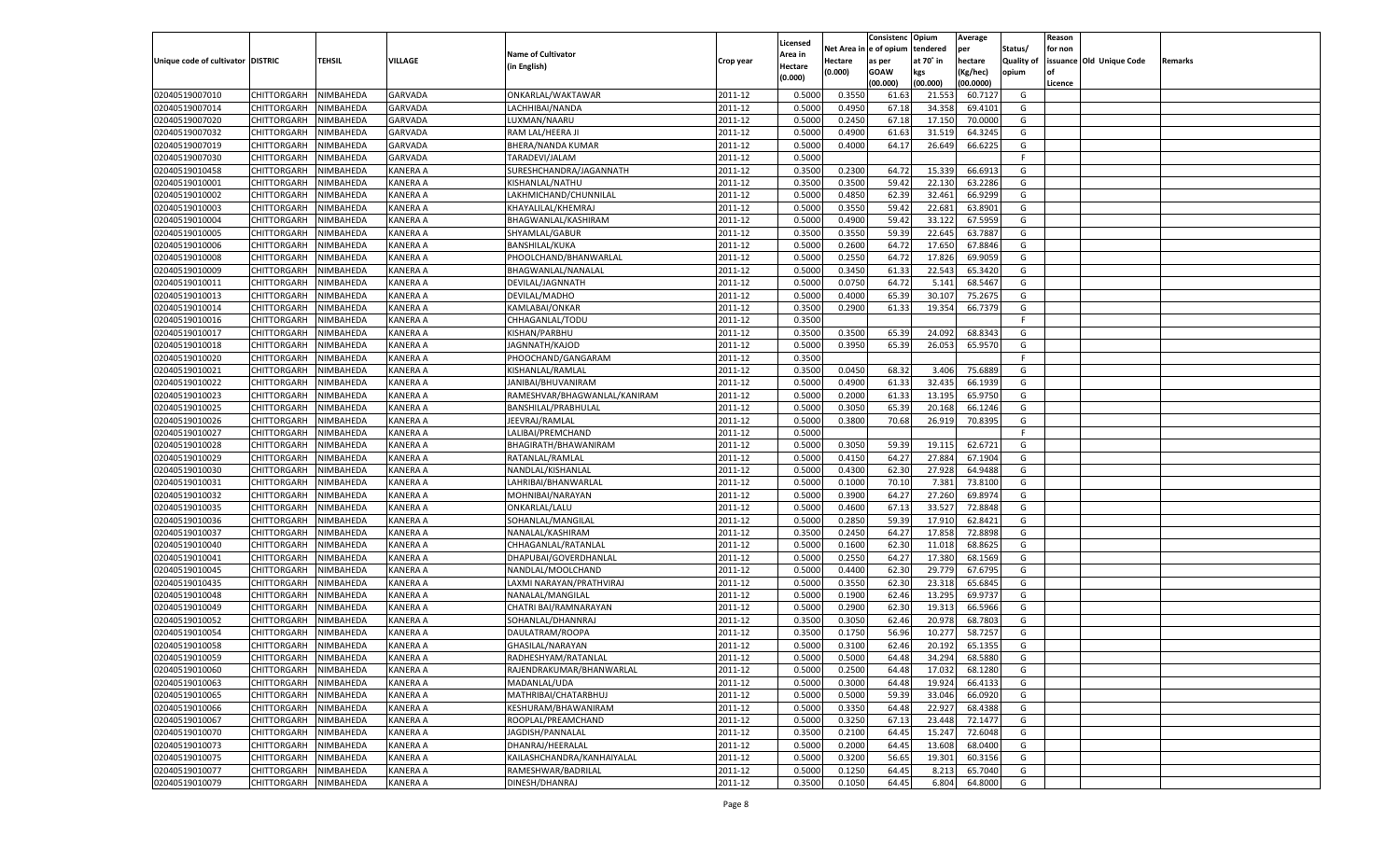|                                   |                       |           |                 |                              |           |          |          | Consistenc Opium |           | Average   |                   | Reason    |                          |         |
|-----------------------------------|-----------------------|-----------|-----------------|------------------------------|-----------|----------|----------|------------------|-----------|-----------|-------------------|-----------|--------------------------|---------|
|                                   |                       |           |                 |                              |           | Licensed | Net Area | e of opium       | tendered  | per       | Status/           | for non   |                          |         |
| Unique code of cultivator DISTRIC |                       | TEHSIL    | VILLAGE         | <b>Name of Cultivator</b>    | Crop year | Area in  | Hectare  | as per           | at 70° in | hectare   | <b>Quality of</b> |           | issuance Old Unique Code | Remarks |
|                                   |                       |           |                 | (in English)                 |           | Hectare  | (0.000)  | <b>GOAW</b>      | kgs       | (Kg/hec)  | opium             | <b>of</b> |                          |         |
|                                   |                       |           |                 |                              |           | (0.000)  |          | (00.000)         | (00.000)  | (00.0000) |                   | Licence   |                          |         |
| 02040519007010                    | CHITTORGARH           | NIMBAHEDA | GARVADA         | ONKARLAL/WAKTAWAR            | 2011-12   | 0.5000   | 0.3550   | 61.63            | 21.55     | 60.7127   | G                 |           |                          |         |
| 02040519007014                    | CHITTORGARH           | NIMBAHEDA | <b>GARVADA</b>  | LACHHIBAI/NANDA              | 2011-12   | 0.5000   | 0.4950   | 67.18            | 34.35     | 69.4101   | G                 |           |                          |         |
| 02040519007020                    | <b>CHITTORGARH</b>    | NIMBAHEDA | GARVADA         | LUXMAN/NAARU                 | 2011-12   | 0.5000   | 0.2450   | 67.18            | 17.15     | 70.0000   | G                 |           |                          |         |
| 02040519007032                    | CHITTORGARH           | NIMBAHEDA | GARVADA         | RAM LAL/HEERA JI             | 2011-12   | 0.5000   | 0.4900   | 61.63            | 31.519    | 64.3245   | G                 |           |                          |         |
| 02040519007019                    | <b>CHITTORGARH</b>    | NIMBAHEDA | GARVADA         | BHERA/NANDA KUMAR            | 2011-12   | 0.5000   | 0.4000   | 64.17            | 26.649    | 66.6225   | G                 |           |                          |         |
| 02040519007030                    | CHITTORGARH           | NIMBAHEDA | <b>GARVADA</b>  | TARADEVI/JALAM               | 2011-12   | 0.5000   |          |                  |           |           | F                 |           |                          |         |
| 02040519010458                    | CHITTORGARH           | NIMBAHEDA | KANERA A        | SURESHCHANDRA/JAGANNATH      | 2011-12   | 0.3500   | 0.2300   | 64.72            | 15.33     | 66.691    | G                 |           |                          |         |
| 02040519010001                    | CHITTORGARH           | NIMBAHEDA | KANERA A        | KISHANLAL/NATHU              | 2011-12   | 0.3500   | 0.3500   | 59.42            | 22.130    | 63.2286   | G                 |           |                          |         |
| 02040519010002                    | CHITTORGARH           | NIMBAHEDA | KANERA A        | LAKHMICHAND/CHUNNILAL        | 2011-12   | 0.5000   | 0.4850   | 62.39            | 32.461    | 66.9299   | G                 |           |                          |         |
|                                   |                       |           |                 |                              |           |          |          |                  |           |           |                   |           |                          |         |
| 02040519010003                    | CHITTORGARH           | NIMBAHEDA | KANERA A        | KHAYALILAL/KHEMRAJ           | 2011-12   | 0.5000   | 0.3550   | 59.42            | 22.681    | 63.8901   | G                 |           |                          |         |
| 02040519010004                    | CHITTORGARH           | NIMBAHEDA | KANERA A        | BHAGWANLAL/KASHIRAM          | 2011-12   | 0.5000   | 0.4900   | 59.42            | 33.122    | 67.5959   | G                 |           |                          |         |
| 02040519010005                    | CHITTORGARH           | NIMBAHEDA | KANERA A        | SHYAMLAL/GABUR               | 2011-12   | 0.3500   | 0.3550   | 59.39            | 22.645    | 63.7887   | G                 |           |                          |         |
| 02040519010006                    | CHITTORGARH           | NIMBAHEDA | KANERA A        | BANSHILAL/KUKA               | 2011-12   | 0.5000   | 0.2600   | 64.72            | 17.650    | 67.8846   | G                 |           |                          |         |
| 02040519010008                    | CHITTORGARH           | NIMBAHEDA | KANERA A        | PHOOLCHAND/BHANWARLAL        | 2011-12   | 0.5000   | 0.2550   | 64.72            | 17.826    | 69.9059   | G                 |           |                          |         |
| 02040519010009                    | <b>CHITTORGARH</b>    | NIMBAHEDA | KANERA A        | BHAGWANLAL/NANALAL           | 2011-12   | 0.5000   | 0.3450   | 61.33            | 22.543    | 65.3420   | G                 |           |                          |         |
| 02040519010011                    | CHITTORGARH           | NIMBAHEDA | KANERA A        | DEVILAL/JAGNNATH             | 2011-12   | 0.5000   | 0.0750   | 64.72            | 5.141     | 68.5467   | G                 |           |                          |         |
| 02040519010013                    | <b>CHITTORGARH</b>    | NIMBAHEDA | KANERA A        | DEVILAL/MADHO                | 2011-12   | 0.5000   | 0.4000   | 65.39            | 30.107    | 75.2675   | G                 |           |                          |         |
| 02040519010014                    | CHITTORGARH           | NIMBAHEDA | KANERA A        | <b>KAMLABAI/ONKAR</b>        | 2011-12   | 0.3500   | 0.2900   | 61.33            | 19.354    | 66.7379   | G                 |           |                          |         |
| 02040519010016                    | <b>CHITTORGARH</b>    | NIMBAHEDA | KANERA A        | CHHAGANLAL/TODU              | 2011-12   | 0.3500   |          |                  |           |           | F                 |           |                          |         |
| 02040519010017                    | CHITTORGARH           | NIMBAHEDA | KANERA A        | KISHAN/PARBHU                | 2011-12   | 0.3500   | 0.3500   | 65.39            | 24.092    | 68.8343   | G                 |           |                          |         |
| 02040519010018                    | <b>CHITTORGARH</b>    | NIMBAHEDA | KANERA A        | JAGNNATH/KAJOD               | 2011-12   | 0.5000   | 0.3950   | 65.39            | 26.053    | 65.9570   | G                 |           |                          |         |
| 02040519010020                    | CHITTORGARH           | NIMBAHEDA | KANERA A        | PHOOCHAND/GANGARAM           | 2011-12   | 0.3500   |          |                  |           |           | F                 |           |                          |         |
| 02040519010021                    | <b>CHITTORGARH</b>    | NIMBAHEDA | KANERA A        | KISHANLAL/RAMLAL             | 2011-12   | 0.3500   | 0.0450   | 68.3             | 3.406     | 75.6889   | G                 |           |                          |         |
| 02040519010022                    | CHITTORGARH           | NIMBAHEDA | KANERA A        | JANIBAI/BHUVANIRAM           | 2011-12   | 0.5000   | 0.4900   | 61.33            | 32.435    | 66.1939   | G                 |           |                          |         |
| 02040519010023                    | <b>CHITTORGARH</b>    | NIMBAHEDA | KANERA A        | RAMESHVAR/BHAGWANLAL/KANIRAM | 2011-12   | 0.5000   | 0.2000   | 61.33            | 13.195    | 65.9750   | G                 |           |                          |         |
| 02040519010025                    | <b>CHITTORGARH</b>    | NIMBAHEDA | KANERA A        | BANSHILAL/PRABHULAL          | 2011-12   | 0.5000   | 0.3050   | 65.39            | 20.168    | 66.1246   | G                 |           |                          |         |
| 02040519010026                    | <b>CHITTORGARH</b>    | NIMBAHEDA | KANERA A        | JEEVRAJ/RAMLAL               | 2011-12   | 0.5000   | 0.3800   | 70.68            | 26.919    | 70.8395   | G                 |           |                          |         |
| 02040519010027                    | CHITTORGARH           | NIMBAHEDA | KANERA A        | LALIBAI/PREMCHAND            | 2011-12   | 0.5000   |          |                  |           |           | F                 |           |                          |         |
| 02040519010028                    | <b>CHITTORGARH</b>    | NIMBAHEDA | KANERA A        | BHAGIRATH/BHAWANIRAM         | 2011-12   | 0.5000   | 0.3050   | 59.39            | 19.115    | 62.6721   | G                 |           |                          |         |
| 02040519010029                    | CHITTORGARH           | NIMBAHEDA | KANERA A        | RATANLAL/RAMLAL              | 2011-12   | 0.5000   | 0.4150   | 64.27            | 27.884    | 67.1904   | G                 |           |                          |         |
| 02040519010030                    | CHITTORGARH           | NIMBAHEDA | KANERA A        |                              | 2011-12   | 0.5000   | 0.4300   | 62.30            | 27.928    | 64.9488   | G                 |           |                          |         |
|                                   |                       |           |                 | NANDLAL/KISHANLAI            |           |          |          |                  |           |           |                   |           |                          |         |
| 02040519010031                    | CHITTORGARH           | NIMBAHEDA | KANERA A        | LAHRIBAI/BHANWARLAL          | 2011-12   | 0.5000   | 0.1000   | 70.10            | 7.381     | 73.8100   | G                 |           |                          |         |
| 02040519010032                    | <b>CHITTORGARH</b>    | NIMBAHEDA | KANERA A        | MOHNIBAI/NARAYAN             | 2011-12   | 0.5000   | 0.3900   | 64.27            | 27.260    | 69.8974   | G                 |           |                          |         |
| 02040519010035                    | CHITTORGARH           | NIMBAHEDA | KANERA A        | ONKARLAL/LALU                | 2011-12   | 0.5000   | 0.4600   | 67.13            | 33.52     | 72.8848   | G                 |           |                          |         |
| 02040519010036                    | CHITTORGARH           | NIMBAHEDA | KANERA A        | SOHANLAL/MANGILAL            | 2011-12   | 0.5000   | 0.2850   | 59.39            | 17.910    | 62.8421   | G                 |           |                          |         |
| 02040519010037                    | CHITTORGARH           | NIMBAHEDA | KANERA A        | NANALAL/KASHIRAM             | 2011-12   | 0.3500   | 0.2450   | 64.27            | 17.85     | 72.8898   | G                 |           |                          |         |
| 02040519010040                    | <b>CHITTORGARH</b>    | NIMBAHEDA | KANERA A        | CHHAGANLAL/RATANLAL          | 2011-12   | 0.5000   | 0.1600   | 62.30            | 11.018    | 68.862    | G                 |           |                          |         |
| 02040519010041                    | CHITTORGARH           | NIMBAHEDA | KANERA A        | DHAPUBAI/GOVERDHANLAL        | 2011-12   | 0.5000   | 0.2550   | 64.27            | 17.38     | 68.1569   | G                 |           |                          |         |
| 02040519010045                    | CHITTORGARH           | NIMBAHEDA | KANERA A        | NANDLAL/MOOLCHAND            | 2011-12   | 0.5000   | 0.4400   | 62.30            | 29.779    | 67.6795   | G                 |           |                          |         |
| 02040519010435                    | CHITTORGARH           | NIMBAHEDA | KANERA A        | LAXMI NARAYAN/PRATHVIRAJ     | 2011-12   | 0.5000   | 0.3550   | 62.30            | 23.31     | 65.6845   | G                 |           |                          |         |
| 02040519010048                    | CHITTORGARH           | NIMBAHEDA | KANERA A        | NANALAL/MANGILAL             | 2011-12   | 0.5000   | 0.1900   | 62.46            | 13.295    | 69.9737   | G                 |           |                          |         |
| 02040519010049                    | CHITTORGARH           | NIMBAHEDA | KANERA A        | CHATRI BAI/RAMNARAYAN        | 2011-12   | 0.5000   | 0.2900   | 62.30            | 19.31     | 66.5966   | G                 |           |                          |         |
| 02040519010052                    | CHITTORGARH           | NIMBAHEDA | KANERA A        | SOHANLAL/DHANNRA,            | 2011-12   | 0.3500   | 0.3050   | 62.46            | 20.978    | 68.7803   | G                 |           |                          |         |
| 02040519010054                    | CHITTORGARH           | NIMBAHEDA | KANERA A        | DAULATRAM/ROOPA              | 2011-12   | 0.3500   | 0.1750   | 56.96            | 10.27     | 58.7257   | G                 |           |                          |         |
| 02040519010058                    | CHITTORGARH           | NIMBAHEDA | KANERA A        | GHASILAL/NARAYAN             | 2011-12   | 0.5000   | 0.3100   | 62.46            | 20.192    | 65.1355   | G                 |           |                          |         |
| 02040519010059                    | CHITTORGARH NIMBAHEDA |           | <b>KANERA A</b> | RADHESHYAM/RATANLAL          | 2011-12   | 0.5000   | 0.5000   | 64.48            | 34.294    | 68.5880   | G                 |           |                          |         |
| 02040519010060                    | <b>CHITTORGARH</b>    | NIMBAHEDA | <b>KANERA A</b> | RAJENDRAKUMAR/BHANWARLAL     | 2011-12   | 0.5000   | 0.2500   | 64.48            | 17.032    | 68.1280   | G                 |           |                          |         |
| 02040519010063                    | CHITTORGARH           | NIMBAHEDA | <b>KANERA A</b> | MADANLAL/UDA                 | 2011-12   | 0.5000   | 0.3000   | 64.48            | 19.924    | 66.4133   | G                 |           |                          |         |
| 02040519010065                    | <b>CHITTORGARH</b>    | NIMBAHEDA | <b>KANERA A</b> | MATHRIBAI/CHATARBHUJ         | 2011-12   | 0.5000   | 0.5000   | 59.39            | 33.046    | 66.0920   | G                 |           |                          |         |
| 02040519010066                    | <b>CHITTORGARH</b>    | NIMBAHEDA | <b>KANERA A</b> | KESHURAM/BHAWANIRAM          | 2011-12   | 0.5000   | 0.3350   | 64.48            | 22.927    | 68.4388   | G                 |           |                          |         |
| 02040519010067                    | <b>CHITTORGARH</b>    | NIMBAHEDA | <b>KANERA A</b> | ROOPLAL/PREAMCHAND           | 2011-12   | 0.5000   | 0.3250   | 67.13            | 23.448    | 72.1477   | G                 |           |                          |         |
| 02040519010070                    | <b>CHITTORGARH</b>    | NIMBAHEDA | <b>KANERA A</b> | JAGDISH/PANNALAL             | 2011-12   | 0.3500   | 0.2100   | 64.45            | 15.247    | 72.6048   | G                 |           |                          |         |
|                                   | <b>CHITTORGARH</b>    | NIMBAHEDA | <b>KANERA A</b> | DHANRAJ/HEERALAL             | 2011-12   |          | 0.2000   | 64.45            | 13.608    | 68.0400   | G                 |           |                          |         |
| 02040519010073                    |                       |           |                 |                              |           | 0.5000   |          |                  |           |           |                   |           |                          |         |
| 02040519010075                    | <b>CHITTORGARH</b>    | NIMBAHEDA | <b>KANERA A</b> | KAILASHCHANDRA/KANHAIYALAL   | 2011-12   | 0.5000   | 0.3200   | 56.65            | 19.301    | 60.3156   | G                 |           |                          |         |
| 02040519010077                    | <b>CHITTORGARH</b>    | NIMBAHEDA | <b>KANERA A</b> | RAMESHWAR/BADRILAL           | 2011-12   | 0.5000   | 0.1250   | 64.45            | 8.213     | 65.7040   | G                 |           |                          |         |
| 02040519010079                    | CHITTORGARH           | NIMBAHEDA | <b>KANERA A</b> | DINESH/DHANRAJ               | 2011-12   | 0.3500   | 0.1050   | 64.45            | 6.804     | 64.8000   | G                 |           |                          |         |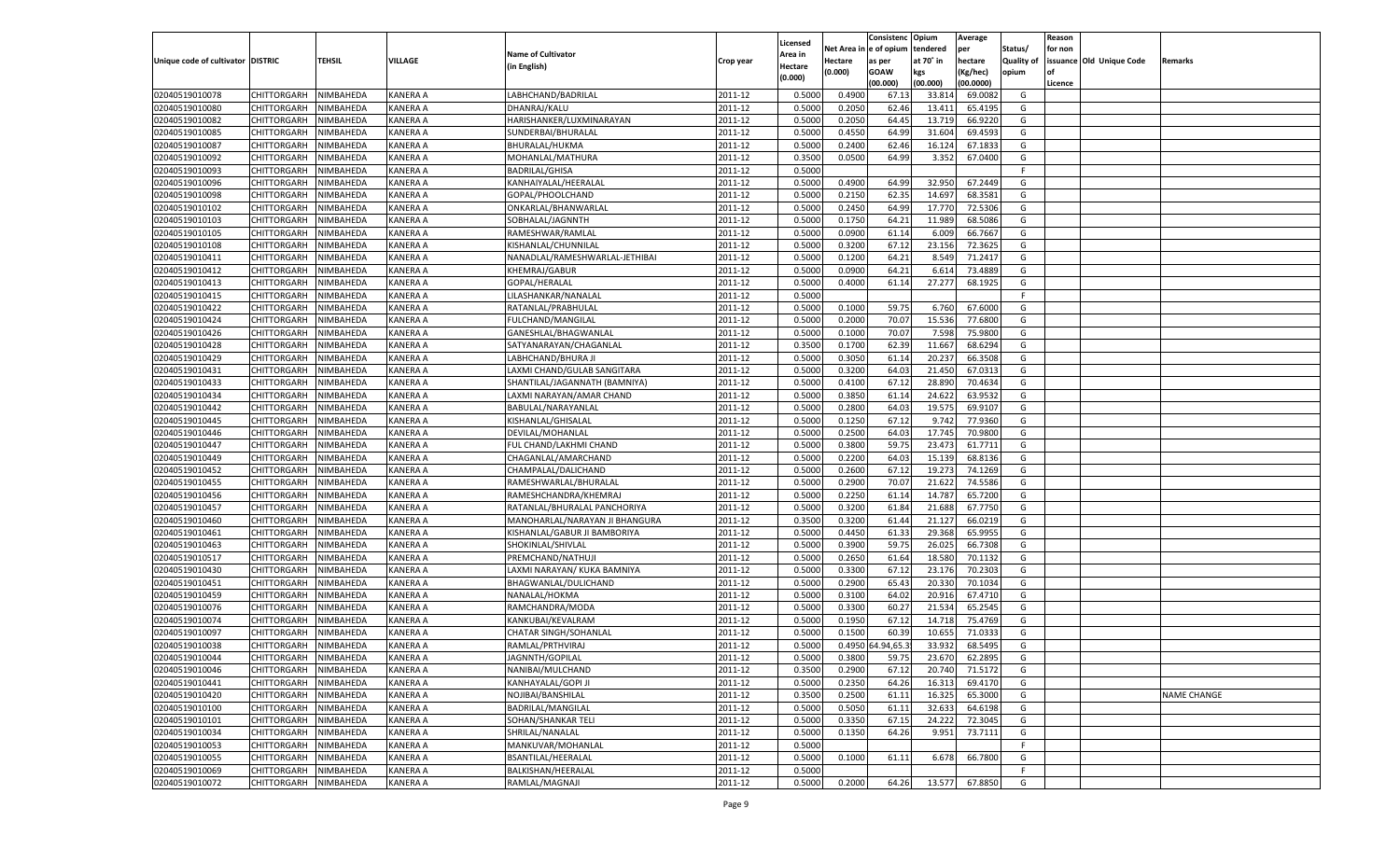|                                   |                       |               |                 |                                                     |           |                           |          | Consistenc       | Opium     | Average   |                   | Reason  |                          |                    |
|-----------------------------------|-----------------------|---------------|-----------------|-----------------------------------------------------|-----------|---------------------------|----------|------------------|-----------|-----------|-------------------|---------|--------------------------|--------------------|
|                                   |                       |               |                 | <b>Name of Cultivator</b>                           |           | Licensed                  | Net Area | e of opium       | tendered  | per       | Status/           | for non |                          |                    |
| Unique code of cultivator DISTRIC |                       | <b>TEHSIL</b> | VILLAGE         | (in English)                                        | Crop year | <b>Area in</b><br>Hectare | Hectare  | as per           | at 70° in | hectare   | <b>Quality of</b> |         | issuance Old Unique Code | Remarks            |
|                                   |                       |               |                 |                                                     |           | (0.000)                   | (0.000)  | <b>GOAW</b>      | kgs       | (Kg/hec)  | opium             |         |                          |                    |
|                                   |                       |               |                 |                                                     |           |                           |          | (00.000)         | (00.000)  | (00.0000) |                   | Licence |                          |                    |
| 02040519010078                    | CHITTORGARH           | NIMBAHEDA     | KANERA A        | LABHCHAND/BADRILAL                                  | 2011-12   | 0.5000                    | 0.4900   | 67.1             | 33.814    | 69.008    | G                 |         |                          |                    |
| 02040519010080                    | CHITTORGARH           | NIMBAHEDA     | KANERA A        | DHANRAJ/KALU                                        | 2011-12   | 0.5000                    | 0.2050   | 62.46            | 13.411    | 65.4195   | G                 |         |                          |                    |
| 02040519010082                    | CHITTORGARH           | NIMBAHEDA     | KANERA A        | HARISHANKER/LUXMINARAYAN                            | 2011-12   | 0.5000                    | 0.2050   | 64.45            | 13.719    | 66.9220   | G                 |         |                          |                    |
| 02040519010085                    | CHITTORGARH           | NIMBAHEDA     | KANERA A        | SUNDERBAI/BHURALAL                                  | 2011-12   | 0.5000                    | 0.4550   | 64.99            | 31.604    | 69.4593   | G                 |         |                          |                    |
| 02040519010087                    | CHITTORGARH           | NIMBAHEDA     | KANERA A        | BHURALAL/HUKMA                                      | 2011-12   | 0.5000                    | 0.2400   | 62.46            | 16.124    | 67.183    | G                 |         |                          |                    |
| 02040519010092                    | CHITTORGARH           | NIMBAHEDA     | KANERA A        | MOHANLAL/MATHURA                                    | 2011-12   | 0.3500                    | 0.0500   | 64.99            | 3.352     | 67.0400   | G                 |         |                          |                    |
| 02040519010093                    | CHITTORGARH           | NIMBAHEDA     | KANERA A        | <b>BADRILAL/GHISA</b>                               | 2011-12   | 0.5000                    |          |                  |           |           | F.                |         |                          |                    |
| 02040519010096                    | CHITTORGARH           | NIMBAHEDA     | KANERA A        | KANHAIYALAL/HEERALAL                                | 2011-12   | 0.5000                    | 0.4900   | 64.99            | 32.950    | 67.2449   | G                 |         |                          |                    |
| 02040519010098                    | CHITTORGARH           | NIMBAHEDA     | KANERA A        | GOPAL/PHOOLCHAND                                    | 2011-12   | 0.5000                    | 0.2150   | 62.35            | 14.697    | 68.3581   | G                 |         |                          |                    |
| 02040519010102                    | CHITTORGARH           | NIMBAHEDA     | KANERA A        | ONKARLAL/BHANWARLAL                                 | 2011-12   | 0.5000                    | 0.2450   | 64.99            | 17.77     | 72.5306   | G                 |         |                          |                    |
| 02040519010103                    | CHITTORGARH           | NIMBAHEDA     | KANERA A        | SOBHALAL/JAGNNTH                                    | 2011-12   | 0.5000                    | 0.1750   | 64.21            | 11.989    | 68.5086   | G                 |         |                          |                    |
| 02040519010105                    | CHITTORGARH           | NIMBAHEDA     | KANERA A        | RAMESHWAR/RAMLAL                                    | 2011-12   | 0.5000                    | 0.0900   | 61.14            | 6.009     | 66.7667   | G                 |         |                          |                    |
| 02040519010108                    | CHITTORGARH           | NIMBAHEDA     | KANERA A        | KISHANLAL/CHUNNILAL                                 | 2011-12   | 0.5000                    | 0.3200   | 67.12            | 23.156    | 72.3625   | G                 |         |                          |                    |
| 02040519010411                    | CHITTORGARH           | NIMBAHEDA     | KANERA A        | NANADLAL/RAMESHWARLAL-JETHIBAI                      | 2011-12   | 0.5000                    | 0.1200   | 64.21            | 8.549     | 71.2417   | G                 |         |                          |                    |
| 02040519010412                    | CHITTORGARH           | NIMBAHEDA     | KANERA A        | KHEMRAJ/GABUR                                       | 2011-12   | 0.5000                    | 0.0900   | 64.21            | 6.614     | 73.4889   | G                 |         |                          |                    |
| 02040519010413                    | CHITTORGARH           | NIMBAHEDA     | KANERA A        | GOPAL/HERALAL                                       | 2011-12   | 0.5000                    | 0.4000   | 61.14            | 27.277    | 68.1925   | G                 |         |                          |                    |
| 02040519010415                    | CHITTORGARH           | NIMBAHEDA     | KANERA A        | LILASHANKAR/NANALAL                                 | 2011-12   | 0.5000                    |          |                  |           |           | F                 |         |                          |                    |
| 02040519010422                    | CHITTORGARH           | NIMBAHEDA     | KANERA A        | RATANLAL/PRABHULAL                                  | 2011-12   | 0.5000                    | 0.1000   | 59.75            | 6.760     | 67.6000   | G                 |         |                          |                    |
| 02040519010424                    | CHITTORGARH           | NIMBAHEDA     | KANERA A        | FULCHAND/MANGILAL                                   | 2011-12   | 0.5000                    | 0.2000   | 70.07            | 15.536    | 77.6800   | G                 |         |                          |                    |
| 02040519010426                    | CHITTORGARH           | NIMBAHEDA     | KANERA A        | GANESHLAL/BHAGWANLAL                                | 2011-12   | 0.5000                    | 0.1000   | 70.07            | 7.598     | 75.9800   | G                 |         |                          |                    |
| 02040519010428                    | CHITTORGARH           | NIMBAHEDA     | KANERA A        | SATYANARAYAN/CHAGANLAI                              | 2011-12   | 0.3500                    | 0.1700   | 62.39            | 11.667    | 68.6294   | G                 |         |                          |                    |
| 02040519010429                    | CHITTORGARH           | NIMBAHEDA     | KANERA A        | LABHCHAND/BHURA JI                                  | 2011-12   | 0.5000                    | 0.3050   | 61.14            | 20.237    | 66.3508   | G                 |         |                          |                    |
| 02040519010431                    | CHITTORGARH           | NIMBAHEDA     | KANERA A        | LAXMI CHAND/GULAB SANGITARA                         | 2011-12   | 0.5000                    | 0.3200   | 64.03            | 21.450    | 67.0313   | G                 |         |                          |                    |
| 02040519010433                    | CHITTORGARH           | NIMBAHEDA     | KANERA A        | SHANTILAL/JAGANNATH (BAMNIYA)                       | 2011-12   | 0.5000                    | 0.4100   | 67.12            | 28.890    | 70.4634   | G                 |         |                          |                    |
| 02040519010434                    | CHITTORGARH           | NIMBAHEDA     | KANERA A        | LAXMI NARAYAN/AMAR CHAND                            | 2011-12   | 0.5000                    | 0.3850   | 61.14            | 24.622    | 63.9532   | G                 |         |                          |                    |
| 02040519010442                    | CHITTORGARH           | NIMBAHEDA     | KANERA A        | BABULAL/NARAYANLAI                                  | 2011-12   | 0.5000                    | 0.2800   | 64.03            | 19.575    | 69.9107   | G                 |         |                          |                    |
| 02040519010445                    | CHITTORGARH           | NIMBAHEDA     | KANERA A        | KISHANLAL/GHISALAL                                  | 2011-12   | 0.5000                    | 0.1250   | 67.12            | 9.742     | 77.9360   | G                 |         |                          |                    |
| 02040519010446                    | CHITTORGARH           | NIMBAHEDA     | KANERA A        | DEVILAL/MOHANLAL                                    | 2011-12   | 0.5000                    | 0.2500   | 64.03            | 17.745    | 70.9800   | G                 |         |                          |                    |
| 02040519010447                    | CHITTORGARH           | NIMBAHEDA     | KANERA A        | FUL CHAND/LAKHMI CHAND                              | 2011-12   | 0.5000                    | 0.3800   | 59.75            | 23.473    | 61.7711   | G                 |         |                          |                    |
| 02040519010449                    | CHITTORGARH           | NIMBAHEDA     | KANERA A        | CHAGANLAL/AMARCHAND                                 | 2011-12   | 0.5000                    | 0.2200   | 64.03            | 15.139    | 68.8136   | G                 |         |                          |                    |
| 02040519010452                    | CHITTORGARH           | NIMBAHEDA     | KANERA A        | CHAMPALAL/DALICHAND                                 | 2011-12   | 0.5000                    | 0.2600   | 67.12            | 19.273    | 74.1269   | G                 |         |                          |                    |
| 02040519010455                    | CHITTORGARH           | NIMBAHEDA     | KANERA A        | RAMESHWARLAL/BHURALAL                               | 2011-12   | 0.5000                    | 0.2900   | 70.07            | 21.622    | 74.5586   | G                 |         |                          |                    |
| 02040519010456                    | CHITTORGARH           | NIMBAHEDA     | KANERA A        | RAMESHCHANDRA/KHEMRAJ                               | 2011-12   | 0.5000                    | 0.2250   | 61.14            | 14.787    | 65.7200   | G                 |         |                          |                    |
| 02040519010457                    | CHITTORGARH           | NIMBAHEDA     | KANERA A        | RATANLAL/BHURALAL PANCHORIYA                        | 2011-12   | 0.5000                    | 0.3200   | 61.84            | 21.688    | 67.7750   | G                 |         |                          |                    |
| 02040519010460                    | <b>CHITTORGARH</b>    | NIMBAHEDA     | KANERA A        | MANOHARLAL/NARAYAN JI BHANGURA                      | 2011-12   | 0.3500                    | 0.3200   | 61.4             | 21.127    | 66.0219   | G                 |         |                          |                    |
| 02040519010461                    | CHITTORGARH           | NIMBAHEDA     | KANERA A        | KISHANLAL/GABUR JI BAMBORIYA                        | 2011-12   | 0.5000                    | 0.4450   | 61.33            | 29.368    | 65.995    | G                 |         |                          |                    |
| 02040519010463                    | <b>CHITTORGARH</b>    | NIMBAHEDA     | KANERA A        | SHOKINLAL/SHIVLAL                                   | 2011-12   | 0.5000                    | 0.3900   | 59.75            | 26.025    | 66.7308   | G                 |         |                          |                    |
| 02040519010517                    | CHITTORGARH           | NIMBAHEDA     | KANERA A        | PREMCHAND/NATHUJI                                   | 2011-12   | 0.5000                    | 0.2650   | 61.64            | 18.580    | 70.1132   | G                 |         |                          |                    |
| 02040519010430                    |                       |               | KANERA A        |                                                     | 2011-12   | 0.5000                    | 0.3300   | 67.12            | 23.176    | 70.2303   | G                 |         |                          |                    |
| 02040519010451                    | <b>CHITTORGARH</b>    | NIMBAHEDA     |                 | LAXMI NARAYAN/ KUKA BAMNIYA<br>BHAGWANLAL/DULICHAND |           |                           |          | 65.43            |           |           |                   |         |                          |                    |
|                                   | CHITTORGARH           | NIMBAHEDA     | KANERA A        |                                                     | 2011-12   | 0.5000                    | 0.2900   |                  | 20.33     | 70.1034   | G                 |         |                          |                    |
| 02040519010459                    | CHITTORGARH           | NIMBAHEDA     | KANERA A        | NANALAL/HOKMA                                       | 2011-12   | 0.5000                    | 0.3100   | 64.02            | 20.916    | 67.4710   | G                 |         |                          |                    |
| 02040519010076                    | CHITTORGARH           | NIMBAHEDA     | KANERA A        | RAMCHANDRA/MODA                                     | 2011-12   | 0.5000                    | 0.3300   | 60.27            | 21.534    | 65.2545   | G                 |         |                          |                    |
| 02040519010074                    | CHITTORGARH           | NIMBAHEDA     | KANERA A        | KANKUBAI/KEVALRAM                                   | 2011-12   | 0.5000                    | 0.1950   | 67.12            | 14.71     | 75.4769   | G                 |         |                          |                    |
| 02040519010097                    | CHITTORGARH           | NIMBAHEDA     | KANERA A        | CHATAR SINGH/SOHANLAL                               | 2011-12   | 0.5000                    | 0.1500   | 60.39            | 10.65     | 71.0333   | G                 |         |                          |                    |
| 02040519010038                    | CHITTORGARH           | NIMBAHEDA     | KANERA A        | RAMLAL/PRTHVIRAJ                                    | 2011-12   | 0.5000                    |          | 0.4950 64.94,65. | 33.932    | 68.5495   | G                 |         |                          |                    |
| 02040519010044                    | CHITTORGARH NIMBAHEDA |               | <b>KANERA A</b> | JAGNNTH/GOPILAL                                     | 2011-12   | 0.5000                    | 0.3800   | 59.75            | 23.670    | 62.2895   | G                 |         |                          |                    |
| 02040519010046                    | <b>CHITTORGARH</b>    | NIMBAHEDA     | <b>KANERA A</b> | NANIBAI/MULCHAND                                    | 2011-12   | 0.3500                    | 0.2900   | 67.12            | 20.740    | 71.5172   | G                 |         |                          |                    |
| 02040519010441                    | CHITTORGARH           | NIMBAHEDA     | <b>KANERA A</b> | KANHAYALAL/GOPI JI                                  | 2011-12   | 0.5000                    | 0.2350   | 64.26            | 16.313    | 69.4170   | G                 |         |                          |                    |
| 02040519010420                    | <b>CHITTORGARH</b>    | NIMBAHEDA     | <b>KANERA A</b> | NOJIBAI/BANSHILAL                                   | 2011-12   | 0.3500                    | 0.2500   | 61.11            | 16.325    | 65.3000   | G                 |         |                          | <b>NAME CHANGE</b> |
| 02040519010100                    | <b>CHITTORGARH</b>    | NIMBAHEDA     | <b>KANERA A</b> | BADRILAL/MANGILAL                                   | 2011-12   | 0.5000                    | 0.5050   | 61.11            | 32.633    | 64.6198   | G                 |         |                          |                    |
| 02040519010101                    | <b>CHITTORGARH</b>    | NIMBAHEDA     | <b>KANERA A</b> | SOHAN/SHANKAR TELI                                  | 2011-12   | 0.5000                    | 0.3350   | 67.15            | 24.222    | 72.3045   | G                 |         |                          |                    |
| 02040519010034                    | <b>CHITTORGARH</b>    | NIMBAHEDA     | <b>KANERA A</b> | SHRILAL/NANALAL                                     | 2011-12   | 0.5000                    | 0.1350   | 64.26            | 9.951     | 73.7111   | G                 |         |                          |                    |
| 02040519010053                    | <b>CHITTORGARH</b>    | NIMBAHEDA     | <b>KANERA A</b> | MANKUVAR/MOHANLAL                                   | 2011-12   | 0.5000                    |          |                  |           |           | F                 |         |                          |                    |
| 02040519010055                    | <b>CHITTORGARH</b>    | NIMBAHEDA     | KANERA A        | BSANTILAL/HEERALAL                                  | 2011-12   | 0.5000                    | 0.1000   | 61.11            | 6.678     | 66.7800   | G                 |         |                          |                    |
| 02040519010069                    | <b>CHITTORGARH</b>    | NIMBAHEDA     | <b>KANERA A</b> | BALKISHAN/HEERALAL                                  | 2011-12   | 0.5000                    |          |                  |           |           | F                 |         |                          |                    |
| 02040519010072                    | <b>CHITTORGARH</b>    | NIMBAHEDA     | <b>KANERA A</b> | RAMLAL/MAGNAJI                                      | 2011-12   | 0.5000                    | 0.2000   | 64.26            | 13.577    | 67.8850   | G                 |         |                          |                    |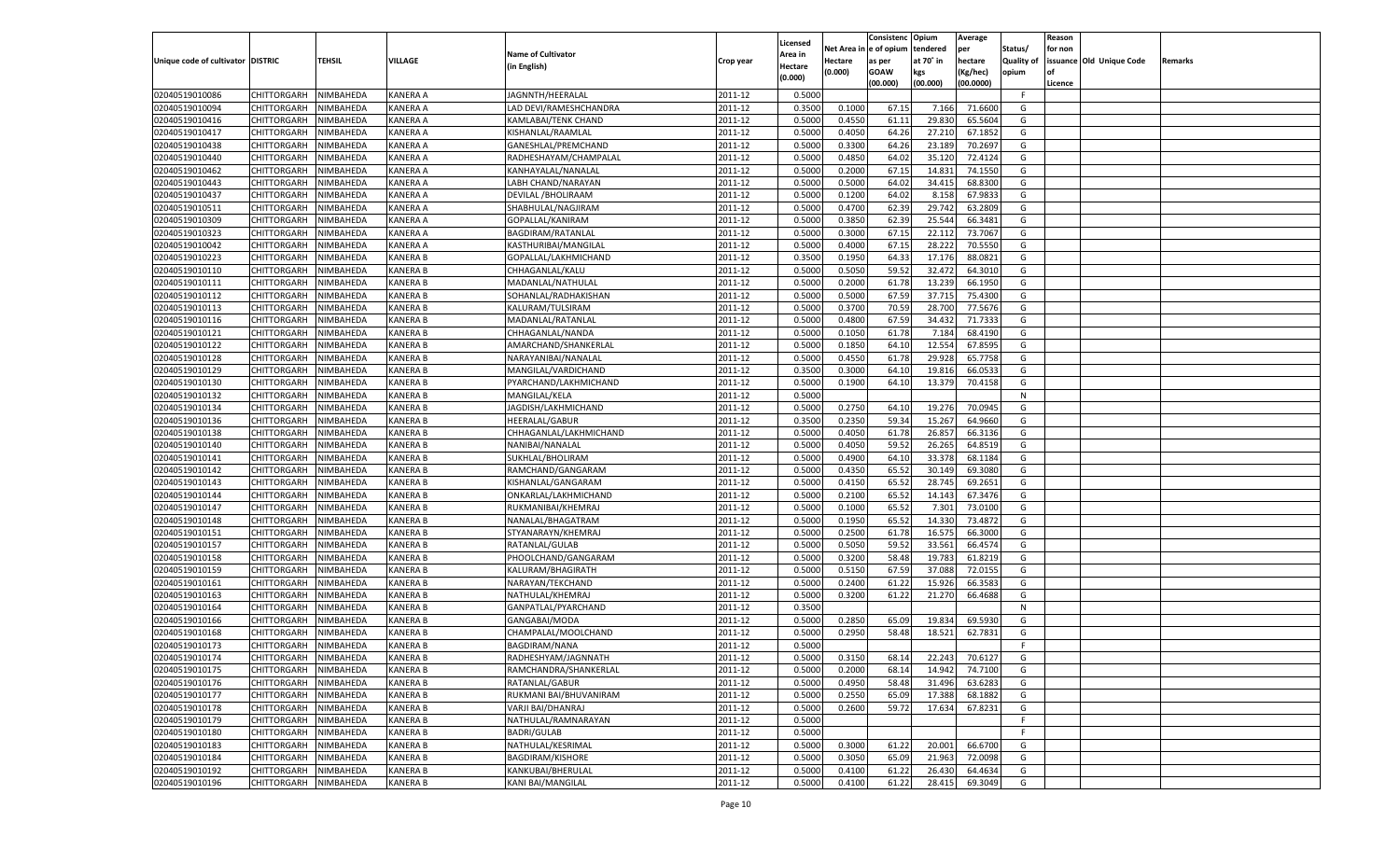|                                   |                                          |           |                 |                           |                    |                     |            | Consistenc   | Opium     | Average   |            | Reason  |                          |         |
|-----------------------------------|------------------------------------------|-----------|-----------------|---------------------------|--------------------|---------------------|------------|--------------|-----------|-----------|------------|---------|--------------------------|---------|
|                                   |                                          |           |                 | <b>Name of Cultivator</b> |                    | Licensed<br>Area in | Net Area i | n e of opium | tendered  | per       | Status/    | for non |                          |         |
| Unique code of cultivator DISTRIC |                                          | TEHSIL    | VILLAGE         | (in English)              | Crop year          | Hectare             | Hectare    | as per       | at 70° in | hectare   | Quality of |         | issuance Old Unique Code | Remarks |
|                                   |                                          |           |                 |                           |                    | (0.000)             | (0.000)    | <b>GOAW</b>  | kgs       | (Kg/hec)  | opium      |         |                          |         |
|                                   |                                          |           |                 |                           |                    |                     |            | (00.000)     | (00.000)  | (00.0000) |            | Licence |                          |         |
| 02040519010086                    | CHITTORGARH                              | NIMBAHEDA | <b>KANERA A</b> | JAGNNTH/HEERALAL          | 2011-12            | 0.5000              |            |              |           |           | F          |         |                          |         |
| 02040519010094                    | CHITTORGARH                              | NIMBAHEDA | <b>KANERA A</b> | LAD DEVI/RAMESHCHANDRA    | 2011-12            | 0.3500              | 0.1000     | 67.15        | 7.166     | 71.6600   | G          |         |                          |         |
| 02040519010416                    | CHITTORGARH                              | NIMBAHEDA | <b>KANERA A</b> | KAMLABAI/TENK CHAND       | 2011-12            | 0.5000              | 0.4550     | 61.11        | 29.830    | 65.5604   | G          |         |                          |         |
| 02040519010417                    | CHITTORGARH                              | NIMBAHEDA | <b>KANERA A</b> | KISHANLAL/RAAMLAL         | 2011-12            | 0.5000              | 0.4050     | 64.26        | 27.21     | 67.1852   | G          |         |                          |         |
| 02040519010438                    | CHITTORGARH                              | NIMBAHEDA | <b>KANERA A</b> | GANESHLAL/PREMCHAND       | 2011-12            | 0.5000              | 0.3300     | 64.26        | 23.189    | 70.2697   | G          |         |                          |         |
| 02040519010440                    | CHITTORGARH                              | NIMBAHEDA | <b>KANERA A</b> | RADHESHAYAM/CHAMPALAL     | 2011-12            | 0.5000              | 0.4850     | 64.02        | 35.120    | 72.4124   | G          |         |                          |         |
| 02040519010462                    | CHITTORGARH                              | NIMBAHEDA | <b>KANERA A</b> | KANHAYALAL/NANALAL        | 2011-12            | 0.5000              | 0.2000     | 67.15        | 14.831    | 74.1550   | G          |         |                          |         |
| 02040519010443                    | CHITTORGARH                              | NIMBAHEDA | <b>KANERA A</b> | LABH CHAND/NARAYAN        | 2011-12            | 0.5000              | 0.5000     | 64.02        | 34.415    | 68.8300   | G          |         |                          |         |
| 02040519010437                    | CHITTORGARH                              | NIMBAHEDA | <b>KANERA A</b> | DEVILAL / BHOLIRAAM       | 2011-12            | 0.5000              | 0.1200     | 64.02        | 8.158     | 67.9833   | G          |         |                          |         |
| 02040519010511                    | CHITTORGARH                              | NIMBAHEDA | <b>KANERA A</b> | SHABHULAL/NAGJIRAM        | 2011-12            | 0.5000              | 0.4700     | 62.39        | 29.742    | 63.2809   | G          |         |                          |         |
| 02040519010309                    | CHITTORGARH                              | NIMBAHEDA | <b>KANERA A</b> | GOPALLAL/KANIRAM          | 2011-12            | 0.5000              | 0.3850     | 62.39        | 25.544    | 66.3481   | G          |         |                          |         |
| 02040519010323                    | CHITTORGARH                              | NIMBAHEDA | <b>KANERA A</b> | <b>BAGDIRAM/RATANLAL</b>  | 2011-12            | 0.5000              | 0.3000     | 67.15        | 22.112    | 73.7067   | G          |         |                          |         |
| 02040519010042                    | CHITTORGARH                              | NIMBAHEDA | <b>KANERA A</b> | KASTHURIBAI/MANGILAL      | 2011-12            | 0.5000              | 0.4000     | 67.1         | 28.222    | 70.5550   | G          |         |                          |         |
| 02040519010223                    | CHITTORGARH                              | NIMBAHEDA | KANERA B        | GOPALLAL/LAKHMICHAND      | 2011-12            | 0.3500              | 0.1950     | 64.33        | 17.176    | 88.0821   | G          |         |                          |         |
| 02040519010110                    | CHITTORGARH                              | NIMBAHEDA | KANERA B        | CHHAGANLAL/KALU           | 2011-12            | 0.5000              | 0.5050     | 59.52        | 32.472    | 64.3010   | G          |         |                          |         |
| 02040519010111                    | CHITTORGARH                              | NIMBAHEDA | KANERA B        | MADANLAL/NATHULAL         | 2011-12            | 0.5000              | 0.2000     | 61.78        | 13.239    | 66.1950   | G          |         |                          |         |
| 02040519010112                    | CHITTORGARH                              | NIMBAHEDA | KANERA B        | SOHANLAL/RADHAKISHAN      | 2011-12            | 0.5000              | 0.5000     | 67.59        | 37.715    | 75.4300   | G          |         |                          |         |
| 02040519010113                    | CHITTORGARH                              | NIMBAHEDA | KANERA B        | KALURAM/TULSIRAM          | 2011-12            | 0.5000              | 0.3700     | 70.59        | 28.700    | 77.5676   | G          |         |                          |         |
| 02040519010116                    | CHITTORGARH                              | NIMBAHEDA | KANERA B        | MADANLAL/RATANLAL         | 2011-12            | 0.5000              | 0.4800     | 67.59        | 34.432    | 71.7333   | G          |         |                          |         |
| 02040519010121                    | CHITTORGARH                              | NIMBAHEDA | KANERA B        | CHHAGANLAL/NANDA          | 2011-12            | 0.5000              | 0.1050     | 61.78        | 7.184     | 68.4190   | G          |         |                          |         |
| 02040519010122                    | CHITTORGARH                              | NIMBAHEDA | KANERA B        | AMARCHAND/SHANKERLAL      | 2011-12            | 0.5000              | 0.1850     | 64.10        | 12.554    | 67.8595   | G          |         |                          |         |
| 02040519010128                    | CHITTORGARH                              | NIMBAHEDA | KANERA B        | NARAYANIBAI/NANALAL       | 2011-12            | 0.5000              | 0.4550     | 61.78        | 29.928    | 65.7758   | G          |         |                          |         |
| 02040519010129                    | CHITTORGARH                              | NIMBAHEDA | KANERA B        | MANGILAL/VARDICHAND       | 2011-12            | 0.3500              | 0.3000     | 64.10        | 19.816    | 66.0533   | G          |         |                          |         |
| 02040519010130                    | CHITTORGARH                              | NIMBAHEDA | KANERA B        | PYARCHAND/LAKHMICHAND     | 2011-12            | 0.5000              | 0.1900     | 64.10        | 13.379    | 70.4158   | G          |         |                          |         |
| 02040519010132                    | CHITTORGARH                              | NIMBAHEDA | KANERA B        | MANGILAL/KELA             | 2011-12            | 0.5000              |            |              |           |           | ${\sf N}$  |         |                          |         |
| 02040519010134                    | CHITTORGARH                              | NIMBAHEDA | KANERA B        | JAGDISH/LAKHMICHAND       | 2011-12            | 0.5000              | 0.2750     | 64.10        | 19.276    | 70.0945   | G          |         |                          |         |
| 02040519010136                    | CHITTORGARH                              | NIMBAHEDA | KANERA B        | <b>HEERALAL/GABUR</b>     | 2011-12            | 0.3500              | 0.2350     | 59.34        | 15.267    | 64.9660   | G          |         |                          |         |
| 02040519010138                    | CHITTORGARH                              | NIMBAHEDA | KANERA B        | CHHAGANLAL/LAKHMICHAND    | 2011-12            | 0.5000              | 0.4050     | 61.78        | 26.857    | 66.3136   | G          |         |                          |         |
| 02040519010140                    | CHITTORGARH                              | NIMBAHEDA | KANERA B        | NANIBAI/NANALAL           | 2011-12            | 0.5000              | 0.4050     | 59.52        | 26.265    | 64.8519   | G          |         |                          |         |
| 02040519010141                    | CHITTORGARH                              | NIMBAHEDA | <b>KANERA B</b> | SUKHLAL/BHOLIRAM          | 2011-12            | 0.5000              | 0.4900     | 64.10        | 33.378    | 68.1184   | G          |         |                          |         |
| 02040519010142                    | CHITTORGARH                              | NIMBAHEDA | <b>KANERA B</b> | RAMCHAND/GANGARAM         | 2011-12            | 0.5000              | 0.4350     | 65.52        | 30.149    | 69.3080   | G          |         |                          |         |
| 02040519010143                    | CHITTORGARH                              | NIMBAHEDA | <b>KANERA B</b> | KISHANLAL/GANGARAM        | 2011-12            | 0.5000              | 0.4150     | 65.52        | 28.745    | 69.2651   | G          |         |                          |         |
| 02040519010144                    | CHITTORGARH                              | NIMBAHEDA | <b>KANERA B</b> | ONKARLAL/LAKHMICHAND      | 2011-12            | 0.5000              | 0.2100     | 65.52        | 14.143    | 67.3476   | G          |         |                          |         |
| 02040519010147                    | CHITTORGARH                              | NIMBAHEDA | <b>KANERA B</b> | RUKMANIBAI/KHEMRAJ        | 2011-12            | 0.5000              | 0.1000     | 65.52        | 7.301     | 73.0100   | G          |         |                          |         |
| 02040519010148                    | CHITTORGARH                              | NIMBAHEDA | <b>KANERA B</b> | NANALAL/BHAGATRAM         | 2011-12            | 0.5000              | 0.1950     | 65.52        | 14.330    | 73.4872   | G          |         |                          |         |
| 02040519010151                    | CHITTORGARH                              | NIMBAHEDA | <b>KANERA B</b> | STYANARAYN/KHEMRAJ        | 2011-12            | 0.5000              | 0.2500     | 61.78        | 16.575    | 66.3000   | G          |         |                          |         |
| 02040519010157                    | CHITTORGARH                              | NIMBAHEDA | <b>KANERA B</b> | RATANLAL/GULAB            | 2011-12            | 0.5000              | 0.5050     | 59.52        | 33.561    | 66.4574   | G          |         |                          |         |
| 02040519010158                    | CHITTORGARH                              | NIMBAHEDA | <b>KANERA B</b> | PHOOLCHAND/GANGARAM       | 2011-12            | 0.5000              | 0.3200     | 58.48        | 19.783    | 61.8219   | G          |         |                          |         |
| 02040519010159                    | CHITTORGARH                              | NIMBAHEDA | <b>KANERA B</b> | KALURAM/BHAGIRATH         | 2011-12            | 0.5000              | 0.5150     | 67.59        | 37.088    | 72.0155   | G          |         |                          |         |
| 02040519010161                    | CHITTORGARH                              | NIMBAHEDA | <b>KANERA B</b> | NARAYAN/TEKCHAND          | 2011-12            | 0.5000              | 0.2400     | 61.22        | 15.926    | 66.3583   | G          |         |                          |         |
| 02040519010163                    | CHITTORGARH                              | NIMBAHEDA | <b>KANERA B</b> | NATHULAL/KHEMRAJ          | 2011-12            | 0.5000              | 0.3200     | 61.22        | 21.270    | 66.4688   | G          |         |                          |         |
| 02040519010164                    | CHITTORGARH                              | NIMBAHEDA | KANERA B        | GANPATLAL/PYARCHAND       | 2011-12            | 0.3500              |            |              |           |           | N          |         |                          |         |
| 02040519010166                    | CHITTORGARH                              | NIMBAHEDA | <b>KANERA B</b> | GANGABAI/MODA             | 2011-12            | 0.5000              | 0.2850     | 65.09        | 19.83     | 69.5930   | G          |         |                          |         |
| 02040519010168                    | CHITTORGARH                              | NIMBAHEDA | KANERA B        | CHAMPALAL/MOOLCHAND       | 2011-12            | 0.5000              | 0.2950     | 58.48        | 18.521    | 62.7831   | G          |         |                          |         |
| 02040519010173                    | CHITTORGARH                              | NIMBAHEDA | <b>KANERA B</b> | <b>BAGDIRAM/NANA</b>      | 2011-12            | 0.5000              |            |              |           |           | F.         |         |                          |         |
|                                   | CHITTORGARH NIMBAHEDA                    |           | <b>KANERA B</b> | RADHESHYAM/JAGNNATH       |                    | 0.5000              | 0.3150     | 68.14        | 22.243    | 70.6127   | G          |         |                          |         |
| 02040519010174<br>02040519010175  |                                          | NIMBAHEDA | <b>KANERA B</b> | RAMCHANDRA/SHANKERLAL     | 2011-12<br>2011-12 | 0.5000              | 0.2000     | 68.14        | 14.942    | 74.7100   | G          |         |                          |         |
|                                   | <b>CHITTORGARH</b><br><b>CHITTORGARH</b> |           |                 | RATANLAL/GABUR            |                    |                     |            | 58.48        | 31.496    |           |            |         |                          |         |
| 02040519010176                    |                                          | NIMBAHEDA | <b>KANERA B</b> |                           | 2011-12            | 0.5000              | 0.4950     |              |           | 63.6283   | G          |         |                          |         |
| 02040519010177                    | CHITTORGARH                              | NIMBAHEDA | <b>KANERA B</b> | RUKMANI BAI/BHUVANIRAM    | 2011-12            | 0.5000              | 0.2550     | 65.09        | 17.388    | 68.1882   | G          |         |                          |         |
| 02040519010178                    | CHITTORGARH                              | NIMBAHEDA | <b>KANERA B</b> | VARJI BAI/DHANRAJ         | 2011-12            | 0.5000              | 0.2600     | 59.72        | 17.634    | 67.8231   | G          |         |                          |         |
| 02040519010179                    | CHITTORGARH                              | NIMBAHEDA | <b>KANERA B</b> | NATHULAL/RAMNARAYAN       | 2011-12            | 0.5000              |            |              |           |           | F.         |         |                          |         |
| 02040519010180                    | <b>CHITTORGARH</b>                       | NIMBAHEDA | <b>KANERA B</b> | <b>BADRI/GULAB</b>        | 2011-12            | 0.5000              |            |              |           |           | F.         |         |                          |         |
| 02040519010183                    | CHITTORGARH                              | NIMBAHEDA | <b>KANERA B</b> | NATHULAL/KESRIMAL         | 2011-12            | 0.5000              | 0.3000     | 61.22        | 20.001    | 66.6700   | G          |         |                          |         |
| 02040519010184                    | <b>CHITTORGARH</b>                       | NIMBAHEDA | <b>KANERA B</b> | <b>BAGDIRAM/KISHORE</b>   | 2011-12            | 0.5000              | 0.3050     | 65.09        | 21.963    | 72.0098   | G          |         |                          |         |
| 02040519010192                    | CHITTORGARH                              | NIMBAHEDA | <b>KANERA B</b> | KANKUBAI/BHERULAL         | 2011-12            | 0.5000              | 0.4100     | 61.22        | 26.430    | 64.4634   | G          |         |                          |         |
| 02040519010196                    | <b>CHITTORGARH</b>                       | NIMBAHEDA | <b>KANERA B</b> | KANI BAI/MANGILAL         | 2011-12            | 0.5000              | 0.4100     | 61.22        | 28.415    | 69.3049   | G          |         |                          |         |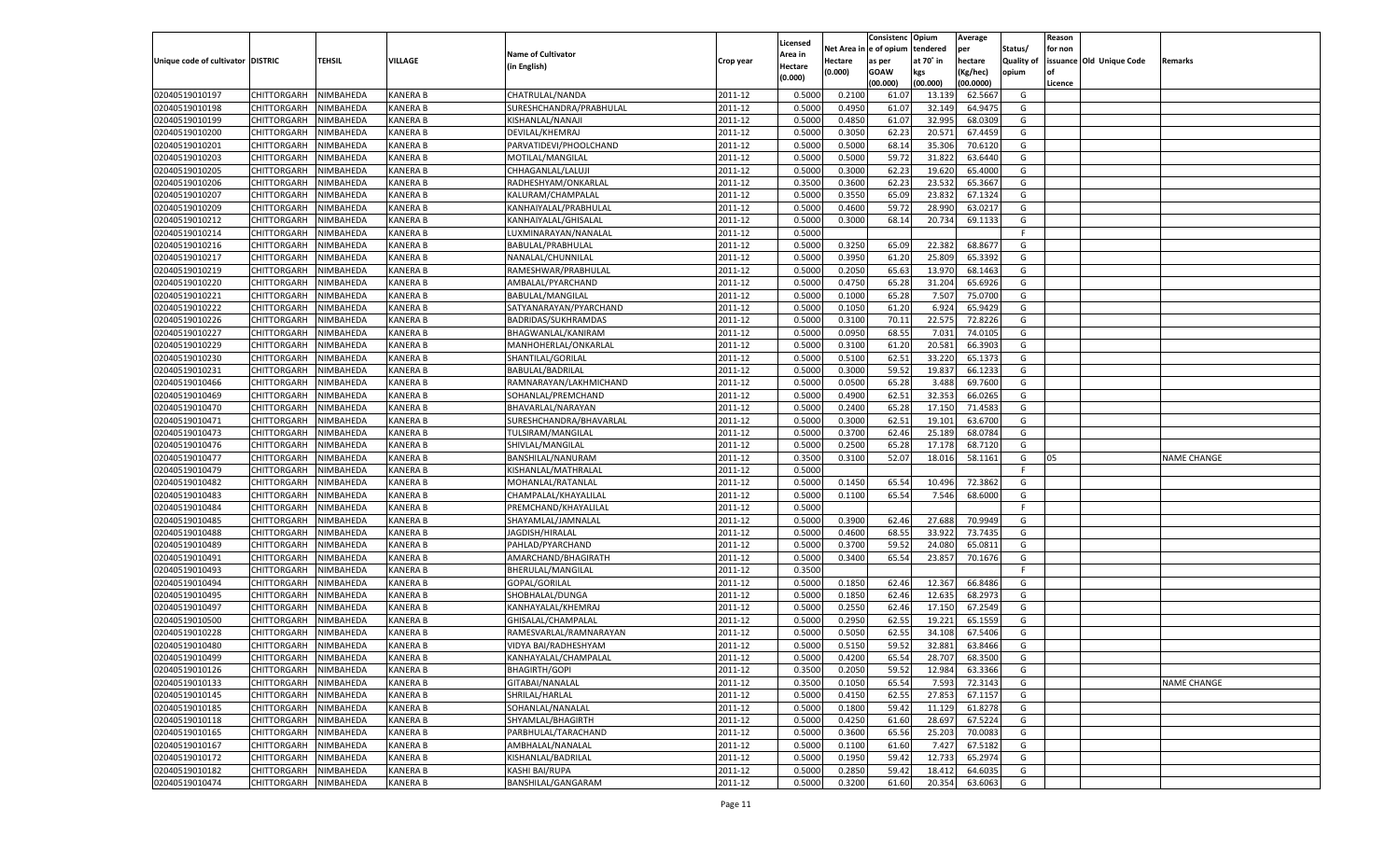|                                   |                            |               |                 |                           |           |                           |          | Consistenc  | Opium     | Average            |                   | Reason  |                          |                    |
|-----------------------------------|----------------------------|---------------|-----------------|---------------------------|-----------|---------------------------|----------|-------------|-----------|--------------------|-------------------|---------|--------------------------|--------------------|
|                                   |                            |               |                 | <b>Name of Cultivator</b> |           | Licensed                  | Net Area | e of opium  | tendered  | per                | Status/           | for non |                          |                    |
| Unique code of cultivator DISTRIC |                            | <b>TEHSIL</b> | VILLAGE         | (in English)              | Crop year | <b>Area in</b><br>Hectare | Hectare  | as per      | at 70° in | hectare            | <b>Quality of</b> |         | issuance Old Unique Code | Remarks            |
|                                   |                            |               |                 |                           |           | (0.000)                   | (0.000)  | <b>GOAW</b> | kgs       | (Kg/hec)           | opium             |         |                          |                    |
|                                   |                            |               |                 |                           |           |                           |          | (00.000)    | (00.000)  | (00.0000)          |                   | Licence |                          |                    |
| 02040519010197                    | CHITTORGARH                | NIMBAHEDA     | KANERA B        | CHATRULAL/NANDA           | 2011-12   | 0.5000                    | 0.2100   | 61.07       | 13.13     | 62.5667            | G                 |         |                          |                    |
| 02040519010198                    | CHITTORGARH                | NIMBAHEDA     | KANERA B        | SURESHCHANDRA/PRABHULAL   | 2011-12   | 0.5000                    | 0.4950   | 61.07       | 32.149    | 64.9475            | G                 |         |                          |                    |
| 02040519010199                    | CHITTORGARH                | NIMBAHEDA     | KANERA B        | KISHANLAL/NANAJI          | 2011-12   | 0.5000                    | 0.4850   | 61.07       | 32.995    | 68.0309            | G                 |         |                          |                    |
| 02040519010200                    | CHITTORGARH                | NIMBAHEDA     | KANERA B        | DEVILAL/KHEMRAJ           | 2011-12   | 0.5000                    | 0.3050   | 62.23       | 20.571    | 67.4459            | G                 |         |                          |                    |
| 02040519010201                    | CHITTORGARH                | NIMBAHEDA     | KANERA B        | PARVATIDEVI/PHOOLCHAND    | 2011-12   | 0.5000                    | 0.5000   | 68.14       | 35.306    | 70.6120            | G                 |         |                          |                    |
| 02040519010203                    | CHITTORGARH                | NIMBAHEDA     | KANERA B        | MOTILAL/MANGILAL          | 2011-12   | 0.5000                    | 0.5000   | 59.7        | 31.822    | 63.6440            | G                 |         |                          |                    |
| 02040519010205                    | CHITTORGARH                | NIMBAHEDA     | KANERA B        | CHHAGANLAL/LALUJ          | 2011-12   | 0.5000                    | 0.3000   | 62.23       | 19.620    | 65.4000            | G                 |         |                          |                    |
| 02040519010206                    | CHITTORGARH                | NIMBAHEDA     | KANERA B        | RADHESHYAM/ONKARLAL       | 2011-12   | 0.3500                    | 0.3600   | 62.23       | 23.532    | 65.3667            | G                 |         |                          |                    |
| 02040519010207                    | CHITTORGARH                | NIMBAHEDA     | KANERA B        | KALURAM/CHAMPALAL         | 2011-12   | 0.5000                    | 0.3550   | 65.09       | 23.832    | 67.1324            | G                 |         |                          |                    |
| 02040519010209                    | CHITTORGARH                | NIMBAHEDA     | KANERA B        | KANHAIYALAL/PRABHULAL     | 2011-12   | 0.5000                    | 0.4600   | 59.7        | 28.99     | 63.0217            | G                 |         |                          |                    |
| 02040519010212                    | CHITTORGARH                | NIMBAHEDA     | KANERA B        | KANHAIYALAL/GHISALAL      | 2011-12   | 0.5000                    | 0.3000   | 68.14       | 20.734    | 69.1133            | G                 |         |                          |                    |
| 02040519010214                    | CHITTORGARH                | NIMBAHEDA     | KANERA B        | LUXMINARAYAN/NANALAL      | 2011-12   | 0.5000                    |          |             |           |                    | F.                |         |                          |                    |
| 02040519010216                    | CHITTORGARH                | NIMBAHEDA     | KANERA B        | BABULAL/PRABHULAL         | 2011-12   | 0.5000                    | 0.3250   | 65.09       | 22.382    | 68.867             | G                 |         |                          |                    |
| 02040519010217                    | CHITTORGARH                | NIMBAHEDA     | KANERA B        | NANALAL/CHUNNILAL         | 2011-12   | 0.5000                    | 0.3950   | 61.20       | 25.809    | 65.3392            | G                 |         |                          |                    |
| 02040519010219                    | CHITTORGARH                | NIMBAHEDA     | KANERA B        | RAMESHWAR/PRABHULAL       | 2011-12   | 0.5000                    | 0.2050   | 65.63       | 13.970    | 68.1463            | G                 |         |                          |                    |
| 02040519010220                    | CHITTORGARH                | NIMBAHEDA     | KANERA B        | AMBALAL/PYARCHAND         | 2011-12   | 0.5000                    | 0.4750   | 65.28       | 31.204    | 65.6926            | G                 |         |                          |                    |
| 02040519010221                    | CHITTORGARH                | NIMBAHEDA     | KANERA B        | BABULAL/MANGILAL          | 2011-12   | 0.5000                    | 0.1000   | 65.28       | 7.507     | 75.0700            | G                 |         |                          |                    |
| 02040519010222                    | CHITTORGARH                | NIMBAHEDA     | KANERA B        | SATYANARAYAN/PYARCHAND    | 2011-12   | 0.5000                    | 0.1050   | 61.20       | 6.924     | 65.9429            | G                 |         |                          |                    |
| 02040519010226                    | CHITTORGARH                | NIMBAHEDA     | KANERA B        | BADRIDAS/SUKHRAMDAS       | 2011-12   | 0.5000                    | 0.3100   | 70.11       | 22.575    | 72.8226            | G                 |         |                          |                    |
| 02040519010227                    | CHITTORGARH                | NIMBAHEDA     | KANERA B        | BHAGWANLAL/KANIRAM        | 2011-12   | 0.5000                    | 0.0950   | 68.55       | 7.031     | 74.0105            | G                 |         |                          |                    |
| 02040519010229                    | CHITTORGARH                | NIMBAHEDA     | KANERA B        | MANHOHERLAL/ONKARLAL      | 2011-12   | 0.5000                    | 0.3100   | 61.20       | 20.581    | 66.3903            | G                 |         |                          |                    |
| 02040519010230                    | CHITTORGARH                | NIMBAHEDA     | KANERA B        | SHANTILAL/GORILAL         | 2011-12   | 0.5000                    | 0.5100   | 62.51       | 33.220    | 65.1373            | G                 |         |                          |                    |
| 02040519010231                    | CHITTORGARH                | NIMBAHEDA     | KANERA B        | BABULAL/BADRILAL          | 2011-12   | 0.5000                    | 0.3000   | 59.52       | 19.837    | 66.1233            | G                 |         |                          |                    |
| 02040519010466                    | CHITTORGARH                | NIMBAHEDA     | KANERA B        | RAMNARAYAN/LAKHMICHAND    | 2011-12   | 0.5000                    | 0.0500   | 65.28       | 3.488     | 69.7600            | G                 |         |                          |                    |
| 02040519010469                    |                            | NIMBAHEDA     | KANERA B        |                           | 2011-12   | 0.5000                    | 0.4900   | 62.51       | 32.353    | 66.0265            | G                 |         |                          |                    |
| 02040519010470                    | CHITTORGARH                |               | KANERA B        | SOHANLAL/PREMCHAND        | 2011-12   |                           | 0.2400   | 65.28       | 17.150    | 71.458             | G                 |         |                          |                    |
| 02040519010471                    | CHITTORGARH                | NIMBAHEDA     | KANERA B        | BHAVARLAL/NARAYAN         | 2011-12   | 0.5000<br>0.5000          | 0.3000   | 62.51       | 19.101    | 63.6700            | G                 |         |                          |                    |
|                                   | CHITTORGARH<br>CHITTORGARH | NIMBAHEDA     |                 | SURESHCHANDRA/BHAVARLAL   |           | 0.5000                    |          |             |           |                    |                   |         |                          |                    |
| 02040519010473                    |                            | NIMBAHEDA     | KANERA B        | TULSIRAM/MANGILAL         | 2011-12   |                           | 0.3700   | 62.46       | 25.189    | 68.0784<br>68.7120 | G<br>G            |         |                          |                    |
| 02040519010476                    | CHITTORGARH                | NIMBAHEDA     | KANERA B        | SHIVLAL/MANGILAL          | 2011-12   | 0.5000                    | 0.2500   | 65.28       | 17.178    |                    |                   |         |                          |                    |
| 02040519010477                    | CHITTORGARH                | NIMBAHEDA     | KANERA B        | BANSHILAL/NANURAM         | 2011-12   | 0.3500                    | 0.3100   | 52.07       | 18.016    | 58.1161            | G                 | 05      |                          | <b>NAME CHANGE</b> |
| 02040519010479                    | CHITTORGARH                | NIMBAHEDA     | KANERA B        | KISHANLAL/MATHRALAL       | 2011-12   | 0.5000                    |          |             |           |                    | F.                |         |                          |                    |
| 02040519010482                    | CHITTORGARH                | NIMBAHEDA     | KANERA B        | MOHANLAL/RATANLAL         | 2011-12   | 0.5000                    | 0.1450   | 65.54       | 10.496    | 72.3862            | G                 |         |                          |                    |
| 02040519010483                    | CHITTORGARH                | NIMBAHEDA     | KANERA B        | CHAMPALAL/KHAYALILAL      | 2011-12   | 0.5000                    | 0.1100   | 65.54       | 7.546     | 68.6000            | G                 |         |                          |                    |
| 02040519010484                    | CHITTORGARH                | NIMBAHEDA     | KANERA B        | PREMCHAND/KHAYALILAL      | 2011-12   | 0.5000                    |          |             |           |                    | F.                |         |                          |                    |
| 02040519010485                    | <b>CHITTORGARH</b>         | NIMBAHEDA     | KANERA B        | SHAYAMLAL/JAMNALAL        | 2011-12   | 0.5000                    | 0.3900   | 62.4        | 27.688    | 70.9949            | G                 |         |                          |                    |
| 02040519010488                    | CHITTORGARH                | NIMBAHEDA     | KANERA B        | JAGDISH/HIRALAL           | 2011-12   | 0.5000                    | 0.4600   | 68.55       | 33.922    | 73.7435            | G                 |         |                          |                    |
| 02040519010489                    | CHITTORGARH                | NIMBAHEDA     | KANERA B        | PAHLAD/PYARCHAND          | 2011-12   | 0.5000                    | 0.3700   | 59.52       | 24.080    | 65.0811            | G                 |         |                          |                    |
| 02040519010491                    | CHITTORGARH                | NIMBAHEDA     | KANERA B        | AMARCHAND/BHAGIRATH       | 2011-12   | 0.5000                    | 0.3400   | 65.54       | 23.857    | 70.1676            | G                 |         |                          |                    |
| 02040519010493                    | <b>CHITTORGARH</b>         | NIMBAHEDA     | KANERA B        | BHERULAL/MANGILAL         | 2011-12   | 0.3500                    |          |             |           |                    | F.                |         |                          |                    |
| 02040519010494                    | CHITTORGARH                | NIMBAHEDA     | KANERA B        | GOPAL/GORILAL             | 2011-12   | 0.5000                    | 0.1850   | 62.46       | 12.367    | 66.8486            | G                 |         |                          |                    |
| 02040519010495                    | CHITTORGARH                | NIMBAHEDA     | KANERA B        | SHOBHALAL/DUNGA           | 2011-12   | 0.5000                    | 0.1850   | 62.46       | 12.635    | 68.2973            | G                 |         |                          |                    |
| 02040519010497                    | CHITTORGARH                | NIMBAHEDA     | KANERA B        | KANHAYALAL/KHEMRAJ        | 2011-12   | 0.5000                    | 0.2550   | 62.46       | 17.150    | 67.2549            | G                 |         |                          |                    |
| 02040519010500                    | CHITTORGARH                | NIMBAHEDA     | KANERA B        | GHISALAL/CHAMPALAL        | 2011-12   | 0.5000                    | 0.2950   | 62.55       | 19.221    | 65.1559            | G                 |         |                          |                    |
| 02040519010228                    | CHITTORGARH                | NIMBAHEDA     | <b>KANERA B</b> | RAMESVARLAL/RAMNARAYAN    | 2011-12   | 0.5000                    | 0.5050   | 62.5        | 34.108    | 67.5406            | G                 |         |                          |                    |
| 02040519010480                    | CHITTORGARH                | NIMBAHEDA     | KANERA B        | VIDYA BAI/RADHESHYAM      | 2011-12   | 0.5000                    | 0.5150   | 59.52       | 32.881    | 63.8466            | G                 |         |                          |                    |
| 02040519010499                    | CHITTORGARH NIMBAHEDA      |               | <b>KANERA B</b> | KANHAYALAL/CHAMPALAL      | 2011-12   | 0.5000                    | 0.4200   | 65.54       | 28.707    | 68.3500            | G                 |         |                          |                    |
| 02040519010126                    | <b>CHITTORGARH</b>         | NIMBAHEDA     | <b>KANERA B</b> | <b>BHAGIRTH/GOPI</b>      | 2011-12   | 0.3500                    | 0.2050   | 59.52       | 12.984    | 63.3366            | G                 |         |                          |                    |
| 02040519010133                    | CHITTORGARH                | NIMBAHEDA     | <b>KANERA B</b> | GITABAI/NANALAL           | 2011-12   | 0.3500                    | 0.1050   | 65.54       | 7.593     | 72.3143            | G                 |         |                          | NAME CHANGE        |
| 02040519010145                    | <b>CHITTORGARH</b>         | NIMBAHEDA     | <b>KANERA B</b> | SHRILAL/HARLAL            | 2011-12   | 0.5000                    | 0.4150   | 62.55       | 27.853    | 67.1157            | G                 |         |                          |                    |
| 02040519010185                    | <b>CHITTORGARH</b>         | NIMBAHEDA     | KANERA B        | SOHANLAL/NANALAL          | 2011-12   | 0.5000                    | 0.1800   | 59.42       | 11.129    | 61.8278            | G                 |         |                          |                    |
| 02040519010118                    | <b>CHITTORGARH</b>         | NIMBAHEDA     | <b>KANERA B</b> | SHYAMLAL/BHAGIRTH         | 2011-12   | 0.5000                    | 0.4250   | 61.60       | 28.697    | 67.5224            | G                 |         |                          |                    |
| 02040519010165                    | <b>CHITTORGARH</b>         | NIMBAHEDA     | <b>KANERA B</b> | PARBHULAL/TARACHAND       | 2011-12   | 0.5000                    | 0.3600   | 65.56       | 25.203    | 70.0083            | G                 |         |                          |                    |
| 02040519010167                    | <b>CHITTORGARH</b>         | NIMBAHEDA     | <b>KANERA B</b> | AMBHALAL/NANALAL          | 2011-12   | 0.5000                    | 0.1100   | 61.60       | 7.427     | 67.5182            | G                 |         |                          |                    |
| 02040519010172                    | <b>CHITTORGARH</b>         | NIMBAHEDA     | KANERA B        | KISHANLAL/BADRILAL        | 2011-12   | 0.5000                    | 0.1950   | 59.42       | 12.733    | 65.2974            | G                 |         |                          |                    |
| 02040519010182                    | <b>CHITTORGARH</b>         | NIMBAHEDA     | <b>KANERA B</b> | KASHI BAI/RUPA            | 2011-12   | 0.5000                    | 0.2850   | 59.42       | 18.412    | 64.6035            | G                 |         |                          |                    |
| 02040519010474                    | <b>CHITTORGARH</b>         | NIMBAHEDA     | <b>KANERA B</b> | BANSHILAL/GANGARAM        | 2011-12   | 0.5000                    | 0.3200   | 61.60       | 20.354    | 63.6063            | G                 |         |                          |                    |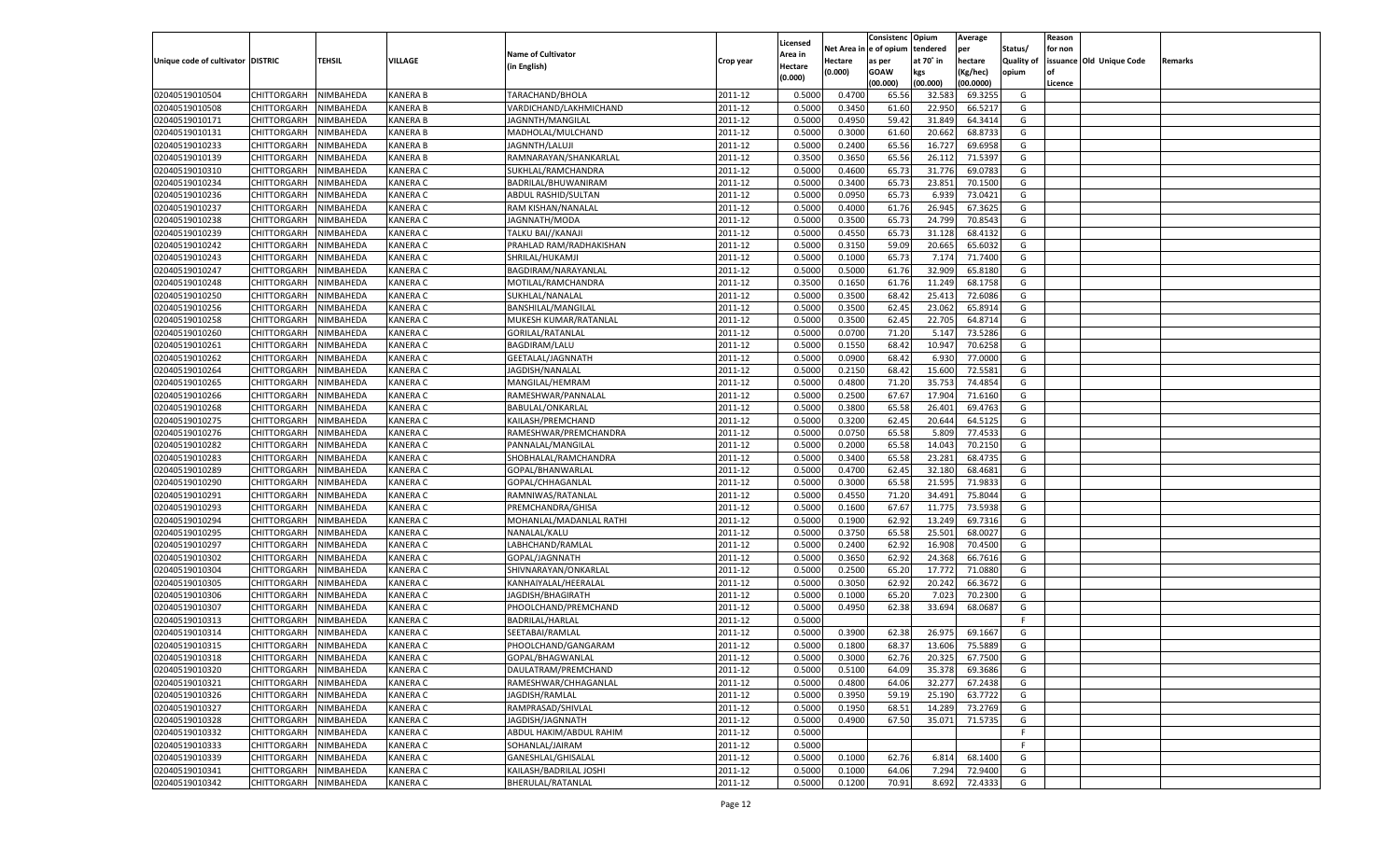|                                   |                       |               |                 |                           |           |                           |          | Consistenc  | Opium     | Average   |                   | Reason  |                          |         |
|-----------------------------------|-----------------------|---------------|-----------------|---------------------------|-----------|---------------------------|----------|-------------|-----------|-----------|-------------------|---------|--------------------------|---------|
|                                   |                       |               |                 | <b>Name of Cultivator</b> |           | Licensed                  | Net Area | e of opium  | tendered  | per       | Status/           | for non |                          |         |
| Unique code of cultivator DISTRIC |                       | <b>TEHSIL</b> | VILLAGE         | (in English)              | Crop year | <b>Area in</b><br>Hectare | Hectare  | as per      | at 70° in | hectare   | <b>Quality of</b> |         | issuance Old Unique Code | Remarks |
|                                   |                       |               |                 |                           |           | (0.000)                   | (0.000)  | <b>GOAW</b> | kgs       | (Kg/hec)  | opium             |         |                          |         |
|                                   |                       |               |                 |                           |           |                           |          | (00.000)    | (00.000)  | (00.0000) |                   | Licence |                          |         |
| 02040519010504                    | CHITTORGARH           | NIMBAHEDA     | KANERA B        | TARACHAND/BHOLA           | 2011-12   | 0.5000                    | 0.4700   | 65.56       | 32.583    | 69.3255   | G                 |         |                          |         |
| 02040519010508                    | CHITTORGARH           | NIMBAHEDA     | KANERA B        | VARDICHAND/LAKHMICHAND    | 2011-12   | 0.5000                    | 0.3450   | 61.60       | 22.950    | 66.5217   | G                 |         |                          |         |
| 02040519010171                    | CHITTORGARH           | NIMBAHEDA     | KANERA B        | JAGNNTH/MANGILAL          | 2011-12   | 0.5000                    | 0.4950   | 59.42       | 31.849    | 64.3414   | G                 |         |                          |         |
| 02040519010131                    | CHITTORGARH           | NIMBAHEDA     | KANERA B        | MADHOLAL/MULCHAND         | 2011-12   | 0.5000                    | 0.3000   | 61.60       | 20.662    | 68.873    | G                 |         |                          |         |
| 02040519010233                    | CHITTORGARH           | NIMBAHEDA     | KANERA B        | JAGNNTH/LALUJI            | 2011-12   | 0.5000                    | 0.2400   | 65.56       | 16.727    | 69.6958   | G                 |         |                          |         |
| 02040519010139                    | CHITTORGARH           | NIMBAHEDA     | KANERA B        | RAMNARAYAN/SHANKARLAL     | 2011-12   | 0.3500                    | 0.3650   | 65.56       | 26.112    | 71.539    | G                 |         |                          |         |
| 02040519010310                    | CHITTORGARH           | NIMBAHEDA     | KANERA C        | SUKHLAL/RAMCHANDRA        | 2011-12   | 0.5000                    | 0.4600   | 65.7        | 31.776    | 69.078    | G                 |         |                          |         |
| 02040519010234                    | CHITTORGARH           | NIMBAHEDA     | KANERA C        | BADRILAL/BHUWANIRAM       | 2011-12   | 0.5000                    | 0.3400   | 65.7        | 23.851    | 70.1500   | G                 |         |                          |         |
| 02040519010236                    | CHITTORGARH           | NIMBAHEDA     | KANERA C        | ABDUL RASHID/SULTAN       | 2011-12   | 0.5000                    | 0.0950   | 65.73       | 6.939     | 73.0421   | G                 |         |                          |         |
| 02040519010237                    | CHITTORGARH           | NIMBAHEDA     | KANERA C        | RAM KISHAN/NANALAL        | 2011-12   | 0.5000                    | 0.4000   | 61.76       | 26.945    | 67.362    | G                 |         |                          |         |
| 02040519010238                    | CHITTORGARH           | NIMBAHEDA     | KANERA C        | JAGNNATH/MODA             | 2011-12   | 0.5000                    | 0.3500   | 65.73       | 24.799    | 70.8543   | G                 |         |                          |         |
| 02040519010239                    | CHITTORGARH           | NIMBAHEDA     | KANERA C        | TALKU BAI//KANAJI         | 2011-12   | 0.5000                    | 0.4550   | 65.7        | 31.128    | 68.4132   | G                 |         |                          |         |
| 02040519010242                    | CHITTORGARH           | NIMBAHEDA     | KANERA C        | PRAHLAD RAM/RADHAKISHAN   | 2011-12   | 0.5000                    | 0.3150   | 59.09       | 20.665    | 65.603    | G                 |         |                          |         |
| 02040519010243                    | CHITTORGARH           | NIMBAHEDA     | KANERA C        | SHRILAL/HUKAMJI           | 2011-12   | 0.5000                    | 0.1000   | 65.73       | 7.174     | 71.7400   | G                 |         |                          |         |
| 02040519010247                    | CHITTORGARH           | NIMBAHEDA     | KANERA C        | BAGDIRAM/NARAYANLAL       | 2011-12   | 0.5000                    | 0.5000   | 61.76       | 32.909    | 65.8180   | G                 |         |                          |         |
| 02040519010248                    | CHITTORGARH           | NIMBAHEDA     | KANERA C        | MOTILAL/RAMCHANDRA        | 2011-12   | 0.3500                    | 0.1650   | 61.76       | 11.249    | 68.1758   | G                 |         |                          |         |
| 02040519010250                    | CHITTORGARH           | NIMBAHEDA     | KANERA C        | SUKHLAL/NANALAL           | 2011-12   | 0.5000                    | 0.3500   | 68.42       | 25.413    | 72.6086   | G                 |         |                          |         |
| 02040519010256                    | CHITTORGARH           | NIMBAHEDA     | KANERA C        | BANSHILAL/MANGILAL        | 2011-12   | 0.5000                    | 0.3500   | 62.4        | 23.062    | 65.8914   | G                 |         |                          |         |
| 02040519010258                    | CHITTORGARH           | NIMBAHEDA     | KANERA C        | MUKESH KUMAR/RATANLAL     | 2011-12   | 0.5000                    | 0.3500   | 62.45       | 22.705    | 64.8714   | G                 |         |                          |         |
| 02040519010260                    | CHITTORGARH           | NIMBAHEDA     | KANERA C        | <b>GORILAL/RATANLAL</b>   | 2011-12   | 0.5000                    | 0.0700   | 71.20       | 5.147     | 73.5286   | G                 |         |                          |         |
| 02040519010261                    | CHITTORGARH           | NIMBAHEDA     | KANERA C        | <b>BAGDIRAM/LALU</b>      | 2011-12   | 0.5000                    | 0.1550   | 68.42       | 10.947    | 70.6258   | G                 |         |                          |         |
| 02040519010262                    | CHITTORGARH           | NIMBAHEDA     | KANERA C        | GEETALAL/JAGNNATH         | 2011-12   | 0.5000                    | 0.0900   | 68.42       | 6.930     | 77.0000   | G                 |         |                          |         |
| 02040519010264                    | CHITTORGARH           | NIMBAHEDA     | KANERA C        | JAGDISH/NANALAI           | 2011-12   | 0.5000                    | 0.2150   | 68.42       | 15.600    | 72.5581   | G                 |         |                          |         |
| 02040519010265                    | CHITTORGARH           | NIMBAHEDA     | KANERA C        | MANGILAL/HEMRAM           | 2011-12   | 0.5000                    | 0.4800   | 71.20       | 35.753    | 74.4854   | G                 |         |                          |         |
| 02040519010266                    | CHITTORGARH           | NIMBAHEDA     | KANERA C        | RAMESHWAR/PANNALAL        | 2011-12   | 0.5000                    | 0.2500   | 67.67       | 17.904    | 71.6160   | G                 |         |                          |         |
| 02040519010268                    | CHITTORGARH           | NIMBAHEDA     | KANERA C        | <b>BABULAL/ONKARLAL</b>   | 2011-12   | 0.5000                    | 0.3800   | 65.58       | 26.401    | 69.476    | G                 |         |                          |         |
| 02040519010275                    | CHITTORGARH           | NIMBAHEDA     | KANERA C        | KAILASH/PREMCHAND         | 2011-12   | 0.5000                    | 0.3200   | 62.45       | 20.644    | 64.5125   | G                 |         |                          |         |
| 02040519010276                    | CHITTORGARH           | NIMBAHEDA     | KANERA C        | RAMESHWAR/PREMCHANDRA     | 2011-12   | 0.5000                    | 0.0750   | 65.58       | 5.809     | 77.4533   | G                 |         |                          |         |
| 02040519010282                    | CHITTORGARH           | NIMBAHEDA     | KANERA C        | PANNALAL/MANGILAL         | 2011-12   | 0.5000                    | 0.2000   | 65.58       | 14.043    | 70.2150   | G                 |         |                          |         |
| 02040519010283                    | CHITTORGARH           | NIMBAHEDA     | KANERA C        | SHOBHALAL/RAMCHANDRA      | 2011-12   | 0.5000                    | 0.3400   | 65.58       | 23.281    | 68.4735   | G                 |         |                          |         |
| 02040519010289                    | CHITTORGARH           | NIMBAHEDA     | KANERA C        | GOPAL/BHANWARLAI          | 2011-12   | 0.5000                    | 0.4700   | 62.45       | 32.180    | 68.4681   | G                 |         |                          |         |
| 02040519010290                    | CHITTORGARH           | NIMBAHEDA     | KANERA C        | GOPAL/CHHAGANLAI          | 2011-12   | 0.5000                    | 0.3000   | 65.58       | 21.595    | 71.983    | G                 |         |                          |         |
| 02040519010291                    | CHITTORGARH           | NIMBAHEDA     | KANERA C        | RAMNIWAS/RATANLAI         | 2011-12   | 0.5000                    | 0.4550   | 71.20       | 34.491    | 75.8044   | G                 |         |                          |         |
| 02040519010293                    | CHITTORGARH           | NIMBAHEDA     | KANERA C        | PREMCHANDRA/GHISA         | 2011-12   | 0.5000                    | 0.1600   | 67.67       | 11.775    | 73.5938   | G                 |         |                          |         |
| 02040519010294                    |                       |               | KANERA C        |                           | 2011-12   | 0.5000                    | 0.1900   | 62.92       | 13.249    | 69.7316   | G                 |         |                          |         |
| 02040519010295                    | CHITTORGARH           | NIMBAHEDA     | KANERA C        | MOHANLAL/MADANLAL RATHI   | 2011-12   |                           |          | 65.58       | 25.501    | 68.0027   | G                 |         |                          |         |
|                                   | CHITTORGARH           | NIMBAHEDA     |                 | NANALAL/KALU              |           | 0.5000                    | 0.3750   |             |           | 70.4500   |                   |         |                          |         |
| 02040519010297                    | CHITTORGARH           | NIMBAHEDA     | KANERA C        | LABHCHAND/RAMLAL          | 2011-12   | 0.5000                    | 0.2400   | 62.92       | 16.908    |           | G                 |         |                          |         |
| 02040519010302                    | CHITTORGARH           | NIMBAHEDA     | KANERA C        | GOPAL/JAGNNATH            | 2011-12   | 0.5000                    | 0.3650   | 62.92       | 24.368    | 66.7616   | G                 |         |                          |         |
| 02040519010304                    | <b>CHITTORGARH</b>    | NIMBAHEDA     | <b>KANERA C</b> | SHIVNARAYAN/ONKARLAL      | 2011-12   | 0.5000                    | 0.2500   | 65.20       | 17.772    | 71.0880   | G                 |         |                          |         |
| 02040519010305                    | CHITTORGARH           | NIMBAHEDA     | KANERA C        | KANHAIYALAL/HEERALAL      | 2011-12   | 0.5000                    | 0.3050   | 62.92       | 20.242    | 66.3672   | G                 |         |                          |         |
| 02040519010306                    | CHITTORGARH           | NIMBAHEDA     | KANERA C        | JAGDISH/BHAGIRATH         | 2011-12   | 0.5000                    | 0.1000   | 65.20       | 7.023     | 70.2300   | G                 |         |                          |         |
| 02040519010307                    | CHITTORGARH           | NIMBAHEDA     | KANERA C        | PHOOLCHAND/PREMCHAND      | 2011-12   | 0.5000                    | 0.4950   | 62.38       | 33.694    | 68.068    | G                 |         |                          |         |
| 02040519010313                    | CHITTORGARH           | NIMBAHEDA     | KANERA C        | BADRILAL/HARLAL           | 2011-12   | 0.5000                    |          |             |           |           | F.                |         |                          |         |
| 02040519010314                    | CHITTORGARH           | NIMBAHEDA     | KANERA C        | SEETABAI/RAMLAL           | 2011-12   | 0.5000                    | 0.3900   | 62.38       | 26.975    | 69.1667   | G                 |         |                          |         |
| 02040519010315                    | CHITTORGARH           | NIMBAHEDA     | KANERA C        | PHOOLCHAND/GANGARAM       | 2011-12   | 0.5000                    | 0.1800   | 68.37       | 13.606    | 75.5889   | G                 |         |                          |         |
| 02040519010318                    | CHITTORGARH NIMBAHEDA |               | <b>KANERA C</b> | GOPAL/BHAGWANLAL          | 2011-12   | 0.5000                    | 0.3000   | 62.76       | 20.325    | 67.7500   | G                 |         |                          |         |
| 02040519010320                    | <b>CHITTORGARH</b>    | NIMBAHEDA     | <b>KANERA C</b> | DAULATRAM/PREMCHAND       | 2011-12   | 0.5000                    | 0.5100   | 64.09       | 35.378    | 69.3686   | G                 |         |                          |         |
| 02040519010321                    | <b>CHITTORGARH</b>    | NIMBAHEDA     | <b>KANERA C</b> | RAMESHWAR/CHHAGANLAL      | 2011-12   | 0.5000                    | 0.4800   | 64.06       | 32.277    | 67.2438   | G                 |         |                          |         |
| 02040519010326                    | <b>CHITTORGARH</b>    | NIMBAHEDA     | <b>KANERA C</b> | JAGDISH/RAMLAL            | 2011-12   | 0.5000                    | 0.3950   | 59.19       | 25.190    | 63.7722   | G                 |         |                          |         |
| 02040519010327                    | <b>CHITTORGARH</b>    | NIMBAHEDA     | <b>KANERA C</b> | RAMPRASAD/SHIVLAL         | 2011-12   | 0.5000                    | 0.1950   | 68.51       | 14.289    | 73.2769   | G                 |         |                          |         |
| 02040519010328                    | <b>CHITTORGARH</b>    | NIMBAHEDA     | <b>KANERA C</b> | JAGDISH/JAGNNATH          | 2011-12   | 0.5000                    | 0.4900   | 67.50       | 35.071    | 71.5735   | G                 |         |                          |         |
| 02040519010332                    | <b>CHITTORGARH</b>    | NIMBAHEDA     | <b>KANERA C</b> | ABDUL HAKIM/ABDUL RAHIM   | 2011-12   | 0.5000                    |          |             |           |           | F.                |         |                          |         |
| 02040519010333                    | <b>CHITTORGARH</b>    | NIMBAHEDA     | <b>KANERA C</b> | SOHANLAL/JAIRAM           | 2011-12   | 0.5000                    |          |             |           |           | F.                |         |                          |         |
| 02040519010339                    | <b>CHITTORGARH</b>    | NIMBAHEDA     | <b>KANERA C</b> | GANESHLAL/GHISALAL        | 2011-12   | 0.5000                    | 0.1000   | 62.76       | 6.814     | 68.1400   | G                 |         |                          |         |
| 02040519010341                    | <b>CHITTORGARH</b>    | NIMBAHEDA     | <b>KANERA C</b> | KAILASH/BADRILAL JOSHI    | 2011-12   | 0.5000                    | 0.1000   | 64.06       | 7.294     | 72.9400   | G                 |         |                          |         |
| 02040519010342                    | <b>CHITTORGARH</b>    | NIMBAHEDA     | <b>KANERA C</b> | BHERULAL/RATANLAL         | 2011-12   | 0.5000                    | 0.1200   | 70.91       | 8.692     | 72.4333   | G                 |         |                          |         |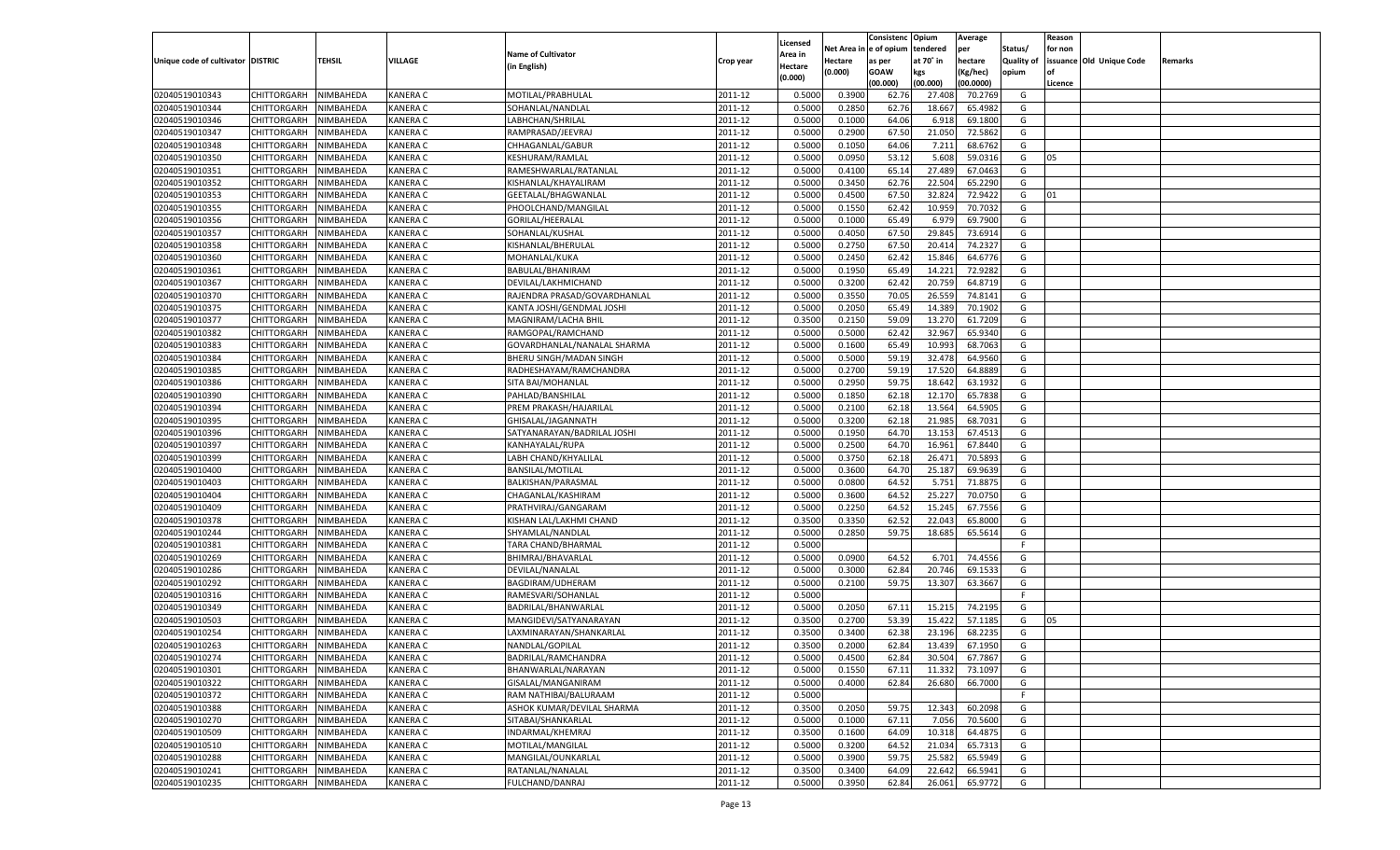|                                   |                         |           |                 |                              |           |          |          | Consistenc Opium |           | Average   |                   | Reason    |                          |         |
|-----------------------------------|-------------------------|-----------|-----------------|------------------------------|-----------|----------|----------|------------------|-----------|-----------|-------------------|-----------|--------------------------|---------|
|                                   |                         |           |                 |                              |           | Licensed | Net Area | e of opium       | tendered  | per       | Status/           | for non   |                          |         |
| Unique code of cultivator DISTRIC |                         | TEHSIL    | VILLAGE         | <b>Name of Cultivator</b>    | Crop year | Area in  | Hectare  | as per           | at 70° in | hectare   | <b>Quality of</b> |           | issuance Old Unique Code | Remarks |
|                                   |                         |           |                 | (in English)                 |           | Hectare  | (0.000)  | <b>GOAW</b>      | kgs       | (Kg/hec)  | opium             | <b>of</b> |                          |         |
|                                   |                         |           |                 |                              |           | (0.000)  |          | (00.000)         | (00.000)  | (00.0000) |                   | Licence   |                          |         |
|                                   |                         |           |                 |                              |           |          |          |                  |           |           |                   |           |                          |         |
| 02040519010343                    | CHITTORGARH             | NIMBAHEDA | <b>KANERA C</b> | MOTILAL/PRABHULAL            | 2011-12   | 0.5000   | 0.3900   | 62.76            | 27.40     | 70.2769   | G                 |           |                          |         |
| 02040519010344                    | CHITTORGARH             | NIMBAHEDA | KANERA C        | SOHANLAL/NANDLAL             | 2011-12   | 0.5000   | 0.2850   | 62.76            | 18.667    | 65.4982   | G                 |           |                          |         |
| 02040519010346                    | <b>CHITTORGARH</b>      | NIMBAHEDA | KANERA C        | LABHCHAN/SHRILAL             | 2011-12   | 0.5000   | 0.1000   | 64.06            | 6.918     | 69.1800   | G                 |           |                          |         |
| 02040519010347                    | CHITTORGARH             | NIMBAHEDA | KANERA C        | RAMPRASAD/JEEVRAJ            | 2011-12   | 0.5000   | 0.2900   | 67.50            | 21.050    | 72.5862   | G                 |           |                          |         |
| 02040519010348                    | CHITTORGARH             | NIMBAHEDA | KANERA C        | CHHAGANLAL/GABUR             | 2011-12   | 0.5000   | 0.1050   | 64.06            | 7.211     | 68.6762   | G                 |           |                          |         |
| 02040519010350                    | CHITTORGARH             | NIMBAHEDA | KANERA C        | KESHURAM/RAMLAL              | 2011-12   | 0.5000   | 0.0950   | 53.12            | 5.608     | 59.0316   | G                 | 05        |                          |         |
| 02040519010351                    | CHITTORGARH             | NIMBAHEDA | KANERA C        | RAMESHWARLAL/RATANLAL        | 2011-12   | 0.5000   | 0.4100   | 65.14            | 27.489    | 67.0463   | G                 |           |                          |         |
| 02040519010352                    | CHITTORGARH             | NIMBAHEDA | KANERA C        | KISHANLAL/KHAYALIRAM         | 2011-12   | 0.5000   | 0.3450   | 62.76            | 22.504    | 65.2290   | G                 |           |                          |         |
| 02040519010353                    | CHITTORGARH             | NIMBAHEDA | KANERA C        | GEETALAL/BHAGWANLAI          | 2011-12   | 0.5000   | 0.4500   | 67.50            | 32.82     | 72.9422   | G                 | 01        |                          |         |
| 02040519010355                    | CHITTORGARH             | NIMBAHEDA | KANERA C        | PHOOLCHAND/MANGILAL          | 2011-12   | 0.5000   | 0.1550   | 62.42            | 10.95     | 70.7032   | G                 |           |                          |         |
| 02040519010356                    | CHITTORGARH             | NIMBAHEDA | KANERA C        | GORILAL/HEERALAL             | 2011-12   | 0.5000   | 0.1000   | 65.49            | 6.979     | 69.7900   | G                 |           |                          |         |
|                                   |                         |           |                 |                              |           |          |          |                  |           |           |                   |           |                          |         |
| 02040519010357                    | CHITTORGARH             | NIMBAHEDA | KANERA C        | SOHANLAL/KUSHAL              | 2011-12   | 0.5000   | 0.4050   | 67.50            | 29.845    | 73.6914   | G                 |           |                          |         |
| 02040519010358                    | CHITTORGARH             | NIMBAHEDA | KANERA C        | KISHANLAL/BHERULAL           | 2011-12   | 0.5000   | 0.2750   | 67.50            | 20.41     | 74.2327   | G                 |           |                          |         |
| 02040519010360                    | CHITTORGARH             | NIMBAHEDA | KANERA C        | MOHANLAL/KUKA                | 2011-12   | 0.5000   | 0.2450   | 62.4             | 15.84     | 64.6776   | G                 |           |                          |         |
| 02040519010361                    | <b>CHITTORGARH</b>      | NIMBAHEDA | <b>KANERA C</b> | BABULAL/BHANIRAM             | 2011-12   | 0.5000   | 0.1950   | 65.49            | 14.221    | 72.9282   | G                 |           |                          |         |
| 02040519010367                    | CHITTORGARH             | NIMBAHEDA | <b>KANERA C</b> | DEVILAL/LAKHMICHAND          | 2011-12   | 0.5000   | 0.3200   | 62.42            | 20.759    | 64.8719   | G                 |           |                          |         |
| 02040519010370                    | <b>CHITTORGARH</b>      | NIMBAHEDA | KANERA C        | RAJENDRA PRASAD/GOVARDHANLAL | 2011-12   | 0.5000   | 0.3550   | 70.05            | 26.559    | 74.8141   | G                 |           |                          |         |
| 02040519010375                    | CHITTORGARH             | NIMBAHEDA | KANERA C        | KANTA JOSHI/GENDMAL JOSHI    | 2011-12   | 0.5000   | 0.2050   | 65.49            | 14.389    | 70.1902   | G                 |           |                          |         |
| 02040519010377                    | <b>CHITTORGARH</b>      | NIMBAHEDA | <b>KANERA C</b> | MAGNIRAM/LACHA BHIL          | 2011-12   | 0.3500   | 0.2150   | 59.09            | 13.270    | 61.7209   | G                 |           |                          |         |
| 02040519010382                    | CHITTORGARH             | NIMBAHEDA | <b>KANERA C</b> | RAMGOPAL/RAMCHAND            | 2011-12   | 0.5000   | 0.5000   | 62.42            | 32.967    | 65.9340   | G                 |           |                          |         |
| 02040519010383                    | <b>CHITTORGARH</b>      | NIMBAHEDA | KANERA C        | GOVARDHANLAL/NANALAL SHARMA  | 2011-12   | 0.5000   | 0.1600   | 65.49            | 10.993    | 68.7063   | G                 |           |                          |         |
| 02040519010384                    | CHITTORGARH             | NIMBAHEDA | KANERA C        | BHERU SINGH/MADAN SINGH      | 2011-12   | 0.5000   | 0.5000   | 59.19            | 32.478    | 64.9560   | G                 |           |                          |         |
| 02040519010385                    | <b>CHITTORGARH</b>      | NIMBAHEDA | KANERA C        | RADHESHAYAM/RAMCHANDRA       | 2011-12   | 0.5000   | 0.2700   | 59.19            | 17.520    | 64.8889   | G                 |           |                          |         |
|                                   |                         |           |                 |                              |           |          |          |                  |           |           |                   |           |                          |         |
| 02040519010386                    | CHITTORGARH             | NIMBAHEDA | <b>KANERA C</b> | SITA BAI/MOHANLAL            | 2011-12   | 0.5000   | 0.2950   | 59.75            | 18.642    | 63.1932   | G                 |           |                          |         |
| 02040519010390                    | <b>CHITTORGARH</b>      | NIMBAHEDA | KANERA C        | PAHLAD/BANSHILAL             | 2011-12   | 0.5000   | 0.1850   | 62.18            | 12.170    | 65.7838   | G                 |           |                          |         |
| 02040519010394                    | <b>CHITTORGARH</b>      | NIMBAHEDA | KANERA C        | PREM PRAKASH/HAJARILAL       | 2011-12   | 0.5000   | 0.2100   | 62.18            | 13.564    | 64.5905   | G                 |           |                          |         |
| 02040519010395                    | <b>CHITTORGARH</b>      | NIMBAHEDA | KANERA C        | GHISALAL/JAGANNATH           | 2011-12   | 0.5000   | 0.3200   | 62.18            | 21.985    | 68.7031   | G                 |           |                          |         |
| 02040519010396                    | CHITTORGARH             | NIMBAHEDA | <b>KANERA C</b> | SATYANARAYAN/BADRILAL JOSHI  | 2011-12   | 0.5000   | 0.1950   | 64.70            | 13.153    | 67.4513   | G                 |           |                          |         |
| 02040519010397                    | <b>CHITTORGARH</b>      | NIMBAHEDA | KANERA C        | KANHAYALAL/RUPA              | 2011-12   | 0.5000   | 0.2500   | 64.70            | 16.961    | 67.8440   | G                 |           |                          |         |
| 02040519010399                    | CHITTORGARH             | NIMBAHEDA | KANERA C        | LABH CHAND/KHYALILAL         | 2011-12   | 0.5000   | 0.3750   | 62.18            | 26.471    | 70.589    | G                 |           |                          |         |
| 02040519010400                    | CHITTORGARH             | NIMBAHEDA | KANERA C        | <b>BANSILAL/MOTILAL</b>      | 2011-12   | 0.5000   | 0.3600   | 64.70            | 25.187    | 69.9639   | G                 |           |                          |         |
| 02040519010403                    | CHITTORGARH             | NIMBAHEDA | KANERA C        | BALKISHAN/PARASMAL           | 2011-12   | 0.5000   | 0.0800   | 64.52            | 5.751     | 71.887    | G                 |           |                          |         |
| 02040519010404                    | CHITTORGARH             | NIMBAHEDA | KANERA C        | CHAGANLAL/KASHIRAM           | 2011-12   | 0.5000   | 0.3600   | 64.52            | 25.227    | 70.0750   | G                 |           |                          |         |
| 02040519010409                    | CHITTORGARH             | NIMBAHEDA | KANERA C        | PRATHVIRAJ/GANGARAM          | 2011-12   | 0.5000   | 0.2250   | 64.52            | 15.245    | 67.7556   | G                 |           |                          |         |
| 02040519010378                    | CHITTORGARH             | NIMBAHEDA | KANERA C        | KISHAN LAL/LAKHMI CHAND      | 2011-12   | 0.3500   | 0.3350   | 62.52            | 22.043    | 65.8000   | G                 |           |                          |         |
| 02040519010244                    | CHITTORGARH             | NIMBAHEDA | KANERA C        | SHYAMLAL/NANDLAL             | 2011-12   | 0.5000   | 0.2850   | 59.75            | 18.685    | 65.5614   | G                 |           |                          |         |
|                                   | CHITTORGARH             | NIMBAHEDA | KANERA C        |                              | 2011-12   | 0.5000   |          |                  |           |           | F                 |           |                          |         |
| 02040519010381                    |                         |           |                 | TARA CHAND/BHARMAL           |           |          |          |                  |           |           |                   |           |                          |         |
| 02040519010269                    | CHITTORGARH             | NIMBAHEDA | KANERA C        | BHIMRAJ/BHAVARLAL            | 2011-12   | 0.5000   | 0.0900   | 64.52            | 6.701     | 74.4556   | G                 |           |                          |         |
| 02040519010286                    | CHITTORGARH             | NIMBAHEDA | KANERA C        | DEVILAL/NANALAL              | 2011-12   | 0.5000   | 0.3000   | 62.84            | 20.746    | 69.1533   | G                 |           |                          |         |
| 02040519010292                    | CHITTORGARH             | NIMBAHEDA | KANERA C        | BAGDIRAM/UDHERAM             | 2011-12   | 0.5000   | 0.2100   | 59.75            | 13.307    | 63.3667   | G                 |           |                          |         |
| 02040519010316                    | <b>CHITTORGARH</b>      | NIMBAHEDA | KANERA C        | RAMESVARI/SOHANLAL           | 2011-12   | 0.5000   |          |                  |           |           | F                 |           |                          |         |
| 02040519010349                    | CHITTORGARH             | NIMBAHEDA | KANERA C        | BADRILAL/BHANWARLAL          | 2011-12   | 0.5000   | 0.2050   | 67.11            | 15.215    | 74.219    | G                 |           |                          |         |
| 02040519010503                    | CHITTORGARH             | NIMBAHEDA | KANERA C        | MANGIDEVI/SATYANARAYAN       | 2011-12   | 0.3500   | 0.2700   | 53.39            | 15.422    | 57.1185   | G                 | 05        |                          |         |
| 02040519010254                    | CHITTORGARH             | NIMBAHEDA | KANERA C        | LAXMINARAYAN/SHANKARLAL      | 2011-12   | 0.3500   | 0.3400   | 62.38            | 23.196    | 68.2235   | G                 |           |                          |         |
| 02040519010263                    | CHITTORGARH             | NIMBAHEDA | <b>KANERA C</b> | NANDLAL/GOPILAL              | 2011-12   | 0.3500   | 0.2000   | 62.84            | 13.439    | 67.1950   | G                 |           |                          |         |
| 02040519010274                    | CHITTORGARH   NIMBAHEDA |           | <b>KANERA C</b> | BADRILAL/RAMCHANDRA          | 2011-12   | 0.5000   | 0.4500   | 62.84            | 30.504    | 67.7867   | G                 |           |                          |         |
| 02040519010301                    | <b>CHITTORGARH</b>      | NIMBAHEDA | <b>KANERA C</b> | BHANWARLAL/NARAYAN           | 2011-12   | 0.5000   | 0.1550   | 67.11            | 11.332    | 73.1097   | G                 |           |                          |         |
| 02040519010322                    | <b>CHITTORGARH</b>      | NIMBAHEDA | <b>KANERA C</b> | GISALAL/MANGANIRAM           | 2011-12   | 0.5000   | 0.4000   | 62.84            | 26.680    | 66.7000   | G                 |           |                          |         |
| 02040519010372                    | <b>CHITTORGARH</b>      | NIMBAHEDA | <b>KANERA C</b> | RAM NATHIBAI/BALURAAM        | 2011-12   | 0.5000   |          |                  |           |           | F                 |           |                          |         |
| 02040519010388                    | <b>CHITTORGARH</b>      | NIMBAHEDA | <b>KANERA C</b> | ASHOK KUMAR/DEVILAL SHARMA   | 2011-12   | 0.3500   | 0.2050   | 59.75            | 12.343    | 60.2098   | G                 |           |                          |         |
|                                   |                         |           |                 |                              |           |          |          |                  |           |           |                   |           |                          |         |
| 02040519010270                    | <b>CHITTORGARH</b>      | NIMBAHEDA | <b>KANERA C</b> | SITABAI/SHANKARLAL           | 2011-12   | 0.5000   | 0.1000   | 67.11            | 7.056     | 70.5600   | G                 |           |                          |         |
| 02040519010509                    | <b>CHITTORGARH</b>      | NIMBAHEDA | <b>KANERA C</b> | INDARMAL/KHEMRAJ             | 2011-12   | 0.3500   | 0.1600   | 64.09            | 10.318    | 64.4875   | G                 |           |                          |         |
| 02040519010510                    | <b>CHITTORGARH</b>      | NIMBAHEDA | <b>KANERA C</b> | MOTILAL/MANGILAL             | 2011-12   | 0.5000   | 0.3200   | 64.52            | 21.034    | 65.7313   | G                 |           |                          |         |
| 02040519010288                    | <b>CHITTORGARH</b>      | NIMBAHEDA | <b>KANERA C</b> | MANGILAL/OUNKARLAL           | 2011-12   | 0.5000   | 0.3900   | 59.75            | 25.582    | 65.5949   | G                 |           |                          |         |
| 02040519010241                    | <b>CHITTORGARH</b>      | NIMBAHEDA | <b>KANERA C</b> | RATANLAL/NANALAL             | 2011-12   | 0.3500   | 0.3400   | 64.09            | 22.642    | 66.5941   | G                 |           |                          |         |
| 02040519010235                    | CHITTORGARH             | NIMBAHEDA | <b>KANERA C</b> | FULCHAND/DANRAJ              | 2011-12   | 0.5000   | 0.3950   | 62.84            | 26.061    | 65.9772   | G                 |           |                          |         |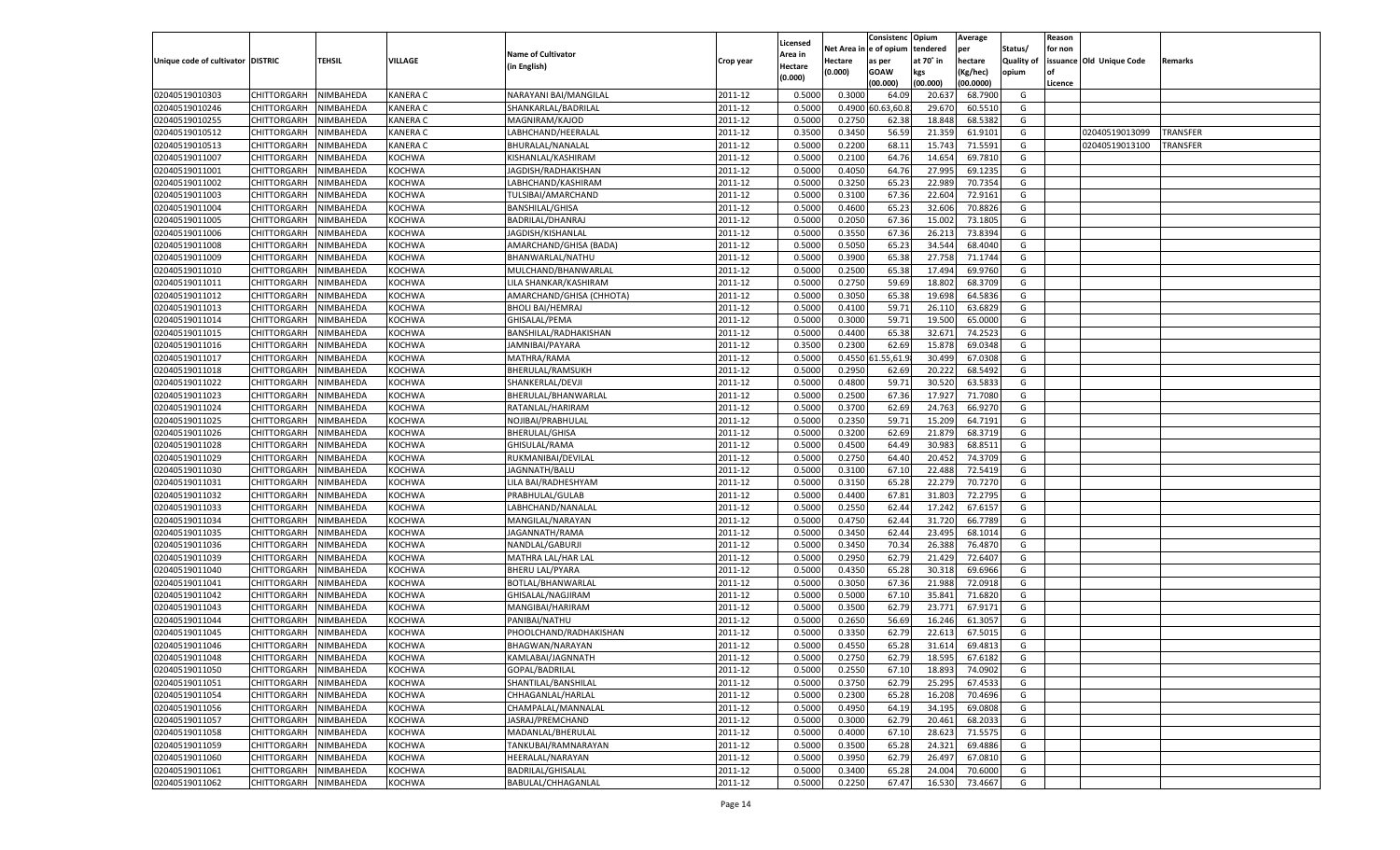|                                   |                       |               |               |                           |           |                           |          | Consistenc  | Opium     | Average   |                   | Reason  |                          |          |
|-----------------------------------|-----------------------|---------------|---------------|---------------------------|-----------|---------------------------|----------|-------------|-----------|-----------|-------------------|---------|--------------------------|----------|
|                                   |                       |               |               | <b>Name of Cultivator</b> |           | Licensed                  | Net Area | e of opium  | tendered  | per       | Status/           | for non |                          |          |
| Unique code of cultivator DISTRIC |                       | <b>TEHSIL</b> | VILLAGE       | (in English)              | Crop year | <b>Area in</b><br>Hectare | Hectare  | as per      | at 70° in | hectare   | <b>Quality of</b> |         | issuance Old Unique Code | Remarks  |
|                                   |                       |               |               |                           |           | (0.000)                   | (0.000)  | <b>GOAW</b> | kgs       | (Kg/hec)  | opium             |         |                          |          |
|                                   |                       |               |               |                           |           |                           |          | (00.000)    | (00.000)  | (00.0000) |                   | Licence |                          |          |
| 02040519010303                    | CHITTORGARH           | NIMBAHEDA     | KANERA C      | NARAYANI BAI/MANGILAL     | 2011-12   | 0.5000                    | 0.3000   | 64.09       | 20.63     | 68.7900   | G                 |         |                          |          |
| 02040519010246                    | CHITTORGARH           | NIMBAHEDA     | KANERA C      | SHANKARLAL/BADRILAL       | 2011-12   | 0.5000                    | 0.4900   | 60.63,60.   | 29.67     | 60.5510   | G                 |         |                          |          |
| 02040519010255                    | CHITTORGARH           | NIMBAHEDA     | KANERA C      | MAGNIRAM/KAJOD            | 2011-12   | 0.5000                    | 0.2750   | 62.38       | 18.848    | 68.5382   | G                 |         |                          |          |
| 02040519010512                    | CHITTORGARH           | NIMBAHEDA     | KANERA C      | LABHCHAND/HEERALAL        | 2011-12   | 0.3500                    | 0.3450   | 56.59       | 21.359    | 61.9101   | G                 |         | 02040519013099           | TRANSFER |
| 02040519010513                    | CHITTORGARH           | NIMBAHEDA     | KANERA C      | BHURALAL/NANALAL          | 2011-12   | 0.5000                    | 0.2200   | 68.11       | 15.74     | 71.5591   | G                 |         | 02040519013100           | TRANSFER |
| 02040519011007                    | CHITTORGARH           | NIMBAHEDA     | KOCHWA        | KISHANLAL/KASHIRAM        | 2011-12   | 0.5000                    | 0.2100   | 64.76       | 14.654    | 69.7810   | G                 |         |                          |          |
| 02040519011001                    | CHITTORGARH           | NIMBAHEDA     | KOCHWA        | JAGDISH/RADHAKISHAN       | 2011-12   | 0.5000                    | 0.4050   | 64.76       | 27.995    | 69.1235   | G                 |         |                          |          |
| 02040519011002                    | CHITTORGARH           | NIMBAHEDA     | KOCHWA        | LABHCHAND/KASHIRAM        | 2011-12   | 0.5000                    | 0.3250   | 65.23       | 22.989    | 70.7354   | G                 |         |                          |          |
| 02040519011003                    | CHITTORGARH           | NIMBAHEDA     | KOCHWA        | TULSIBAI/AMARCHAND        | 2011-12   | 0.5000                    | 0.3100   | 67.36       | 22.604    | 72.9161   | G                 |         |                          |          |
| 02040519011004                    | CHITTORGARH           | NIMBAHEDA     | KOCHWA        | <b>BANSHILAL/GHISA</b>    | 2011-12   | 0.5000                    | 0.4600   | 65.2        | 32.606    | 70.8826   | G                 |         |                          |          |
| 02040519011005                    | CHITTORGARH           | NIMBAHEDA     | KOCHWA        | BADRILAL/DHANRAJ          | 2011-12   | 0.5000                    | 0.2050   | 67.36       | 15.00     | 73.1805   | G                 |         |                          |          |
| 02040519011006                    | CHITTORGARH           | NIMBAHEDA     | KOCHWA        | JAGDISH/KISHANLAL         | 2011-12   | 0.5000                    | 0.3550   | 67.36       | 26.21     | 73.8394   | G                 |         |                          |          |
| 02040519011008                    | CHITTORGARH           | NIMBAHEDA     | KOCHWA        | AMARCHAND/GHISA (BADA)    | 2011-12   | 0.5000                    | 0.5050   | 65.23       | 34.544    | 68.4040   | G                 |         |                          |          |
| 02040519011009                    | CHITTORGARH           | NIMBAHEDA     | KOCHWA        | BHANWARLAL/NATHU          | 2011-12   | 0.5000                    | 0.3900   | 65.38       | 27.758    | 71.1744   | G                 |         |                          |          |
| 02040519011010                    | CHITTORGARH           | NIMBAHEDA     | KOCHWA        | MULCHAND/BHANWARLAL       | 2011-12   | 0.5000                    | 0.2500   | 65.38       | 17.494    | 69.9760   | G                 |         |                          |          |
| 02040519011011                    | CHITTORGARH           | NIMBAHEDA     | KOCHWA        | LILA SHANKAR/KASHIRAM     | 2011-12   | 0.5000                    | 0.2750   | 59.69       | 18.802    | 68.3709   | G                 |         |                          |          |
| 02040519011012                    | CHITTORGARH           | NIMBAHEDA     | KOCHWA        | AMARCHAND/GHISA (CHHOTA)  | 2011-12   | 0.5000                    | 0.3050   | 65.38       | 19.698    | 64.5836   | G                 |         |                          |          |
| 02040519011013                    | CHITTORGARH           | NIMBAHEDA     | KOCHWA        | <b>BHOLI BAI/HEMRAJ</b>   | 2011-12   | 0.5000                    | 0.4100   | 59.71       | 26.110    | 63.6829   | G                 |         |                          |          |
| 02040519011014                    | CHITTORGARH           | NIMBAHEDA     | KOCHWA        | GHISALAL/PEMA             | 2011-12   | 0.5000                    | 0.3000   | 59.71       | 19.500    | 65.0000   | G                 |         |                          |          |
| 02040519011015                    | CHITTORGARH           | NIMBAHEDA     | KOCHWA        | BANSHILAL/RADHAKISHAN     | 2011-12   | 0.5000                    | 0.4400   | 65.38       | 32.671    | 74.2523   | G                 |         |                          |          |
| 02040519011016                    | CHITTORGARH           | NIMBAHEDA     | KOCHWA        | JAMNIBAI/PAYARA           | 2011-12   | 0.3500                    | 0.2300   | 62.69       | 15.878    | 69.0348   | G                 |         |                          |          |
| 02040519011017                    | CHITTORGARH           | NIMBAHEDA     | KOCHWA        | MATHRA/RAMA               | 2011-12   | 0.5000                    | 0.4550   | 1.55,61.    | 30.499    | 67.0308   | G                 |         |                          |          |
| 02040519011018                    | CHITTORGARH           | NIMBAHEDA     | KOCHWA        | BHERULAL/RAMSUKH          | 2011-12   | 0.5000                    | 0.2950   | 62.69       | 20.222    | 68.5492   | G                 |         |                          |          |
| 02040519011022                    | CHITTORGARH           | NIMBAHEDA     | KOCHWA        | SHANKERLAL/DEVJI          | 2011-12   | 0.5000                    | 0.4800   | 59.71       | 30.520    | 63.5833   | G                 |         |                          |          |
| 02040519011023                    | CHITTORGARH           | NIMBAHEDA     | KOCHWA        | BHERULAL/BHANWARLAL       | 2011-12   | 0.5000                    | 0.2500   | 67.36       | 17.927    | 71.7080   | G                 |         |                          |          |
| 02040519011024                    | CHITTORGARH           | NIMBAHEDA     | KOCHWA        | RATANLAL/HARIRAM          | 2011-12   | 0.5000                    | 0.3700   | 62.69       | 24.763    | 66.9270   | G                 |         |                          |          |
| 02040519011025                    | CHITTORGARH           | NIMBAHEDA     | KOCHWA        | NOJIBAI/PRABHULAI         | 2011-12   | 0.5000                    | 0.2350   | 59.71       | 15.209    | 64.7191   | G                 |         |                          |          |
| 02040519011026                    | CHITTORGARH           | NIMBAHEDA     | KOCHWA        | <b>BHERULAL/GHISA</b>     | 2011-12   | 0.5000                    | 0.3200   | 62.69       | 21.879    | 68.3719   | G                 |         |                          |          |
| 02040519011028                    | CHITTORGARH           | NIMBAHEDA     | KOCHWA        | GHISULAL/RAMA             | 2011-12   | 0.5000                    | 0.4500   | 64.49       | 30.983    | 68.8511   | G                 |         |                          |          |
| 02040519011029                    | CHITTORGARH           | NIMBAHEDA     | KOCHWA        | RUKMANIBAI/DEVILAL        | 2011-12   | 0.5000                    | 0.2750   | 64.40       | 20.452    | 74.3709   | G                 |         |                          |          |
| 02040519011030                    | CHITTORGARH           | NIMBAHEDA     | KOCHWA        | JAGNNATH/BALU             | 2011-12   | 0.5000                    | 0.3100   | 67.10       | 22.48     | 72.5419   | G                 |         |                          |          |
| 02040519011031                    | CHITTORGARH           | NIMBAHEDA     | KOCHWA        | LILA BAI/RADHESHYAM       | 2011-12   | 0.5000                    | 0.3150   | 65.28       | 22.279    | 70.7270   | G                 |         |                          |          |
| 02040519011032                    | CHITTORGARH           | NIMBAHEDA     | KOCHWA        | PRABHULAL/GULAB           | 2011-12   | 0.5000                    | 0.4400   | 67.81       | 31.803    | 72.2795   | G                 |         |                          |          |
| 02040519011033                    | CHITTORGARH           | NIMBAHEDA     | KOCHWA        | LABHCHAND/NANALAI         | 2011-12   | 0.5000                    | 0.2550   | 62.4        | 17.242    | 67.615    | G                 |         |                          |          |
| 02040519011034                    | CHITTORGARH           | NIMBAHEDA     | KOCHWA        | MANGILAL/NARAYAN          | 2011-12   | 0.5000                    | 0.4750   | 62.4        | 31.720    | 66.7789   | G                 |         |                          |          |
| 02040519011035                    | CHITTORGARH           | NIMBAHEDA     | KOCHWA        | JAGANNATH/RAMA            | 2011-12   | 0.5000                    | 0.3450   | 62.4        | 23.495    | 68.1014   | G                 |         |                          |          |
| 02040519011036                    | CHITTORGARH           | NIMBAHEDA     | KOCHWA        | NANDLAL/GABURJI           | 2011-12   | 0.5000                    | 0.3450   | 70.34       | 26.388    | 76.4870   | G                 |         |                          |          |
| 02040519011039                    | CHITTORGARH           | NIMBAHEDA     | KOCHWA        | MATHRA LAL/HAR LAL        | 2011-12   | 0.5000                    | 0.2950   | 62.79       | 21.429    | 72.6407   | G                 |         |                          |          |
| 02040519011040                    | <b>CHITTORGARH</b>    | NIMBAHEDA     | KOCHWA        | <b>BHERU LAL/PYARA</b>    | 2011-12   | 0.5000                    | 0.4350   | 65.28       | 30.318    | 69.6966   | G                 |         |                          |          |
| 02040519011041                    | CHITTORGARH           | NIMBAHEDA     | KOCHWA        | BOTLAL/BHANWARLAL         | 2011-12   | 0.5000                    | 0.3050   | 67.36       | 21.988    | 72.0918   | G                 |         |                          |          |
| 02040519011042                    | CHITTORGARH           | NIMBAHEDA     | KOCHWA        | GHISALAL/NAGJIRAM         | 2011-12   | 0.5000                    | 0.5000   | 67.10       | 35.84     | 71.6820   | G                 |         |                          |          |
| 02040519011043                    | CHITTORGARH           | NIMBAHEDA     | KOCHWA        | MANGIBAI/HARIRAM          | 2011-12   | 0.5000                    | 0.3500   | 62.79       | 23.771    | 67.9171   | G                 |         |                          |          |
| 02040519011044                    | CHITTORGARH           | NIMBAHEDA     | KOCHWA        | PANIBAI/NATHU             | 2011-12   | 0.5000                    | 0.2650   | 56.69       | 16.24     | 61.3057   | G                 |         |                          |          |
| 02040519011045                    | CHITTORGARH           | NIMBAHEDA     | KOCHWA        | PHOOLCHAND/RADHAKISHAN    | 2011-12   | 0.5000                    | 0.3350   | 62.79       | 22.61     | 67.501    | G                 |         |                          |          |
| 02040519011046                    |                       | NIMBAHEDA     | KOCHWA        |                           |           | 0.5000                    | 0.4550   | 65.28       |           | 69.4813   | G                 |         |                          |          |
|                                   | CHITTORGARH           |               |               | BHAGWAN/NARAYAN           | 2011-12   |                           |          |             | 31.614    |           |                   |         |                          |          |
| 02040519011048                    | CHITTORGARH NIMBAHEDA |               | <b>KOCHWA</b> | KAMLABAI/JAGNNATH         | 2011-12   | 0.5000                    | 0.2750   | 62.79       | 18.595    | 67.6182   | G                 |         |                          |          |
| 02040519011050                    | <b>CHITTORGARH</b>    | NIMBAHEDA     | <b>KOCHWA</b> | GOPAL/BADRILAL            | 2011-12   | 0.5000                    | 0.2550   | 67.10       | 18.893    | 74.0902   | G                 |         |                          |          |
| 02040519011051                    | <b>CHITTORGARH</b>    | NIMBAHEDA     | <b>KOCHWA</b> | SHANTILAL/BANSHILAL       | 2011-12   | 0.5000                    | 0.3750   | 62.79       | 25.295    | 67.4533   | G                 |         |                          |          |
| 02040519011054                    | <b>CHITTORGARH</b>    | NIMBAHEDA     | <b>KOCHWA</b> | CHHAGANLAL/HARLAL         | 2011-12   | 0.5000                    | 0.2300   | 65.28       | 16.208    | 70.4696   | G                 |         |                          |          |
| 02040519011056                    | <b>CHITTORGARH</b>    | NIMBAHEDA     | KOCHWA        | CHAMPALAL/MANNALAL        | 2011-12   | 0.5000                    | 0.4950   | 64.19       | 34.195    | 69.0808   | G                 |         |                          |          |
| 02040519011057                    | <b>CHITTORGARH</b>    | NIMBAHEDA     | <b>KOCHWA</b> | JASRAJ/PREMCHAND          | 2011-12   | 0.5000                    | 0.3000   | 62.79       | 20.461    | 68.2033   | G                 |         |                          |          |
| 02040519011058                    | <b>CHITTORGARH</b>    | NIMBAHEDA     | <b>KOCHWA</b> | MADANLAL/BHERULAL         | 2011-12   | 0.5000                    | 0.4000   | 67.10       | 28.623    | 71.5575   | G                 |         |                          |          |
| 02040519011059                    | <b>CHITTORGARH</b>    | NIMBAHEDA     | <b>KOCHWA</b> | TANKUBAI/RAMNARAYAN       | 2011-12   | 0.5000                    | 0.3500   | 65.28       | 24.321    | 69.4886   | G                 |         |                          |          |
| 02040519011060                    | <b>CHITTORGARH</b>    | NIMBAHEDA     | KOCHWA        | HEERALAL/NARAYAN          | 2011-12   | 0.5000                    | 0.3950   | 62.79       | 26.497    | 67.0810   | G                 |         |                          |          |
| 02040519011061                    | <b>CHITTORGARH</b>    | NIMBAHEDA     | <b>KOCHWA</b> | BADRILAL/GHISALAL         | 2011-12   | 0.5000                    | 0.3400   | 65.28       | 24.004    | 70.6000   | G                 |         |                          |          |
| 02040519011062                    | <b>CHITTORGARH</b>    | NIMBAHEDA     | <b>KOCHWA</b> | BABULAL/CHHAGANLAL        | 2011-12   | 0.5000                    | 0.2250   | 67.47       | 16.530    | 73.4667   | G                 |         |                          |          |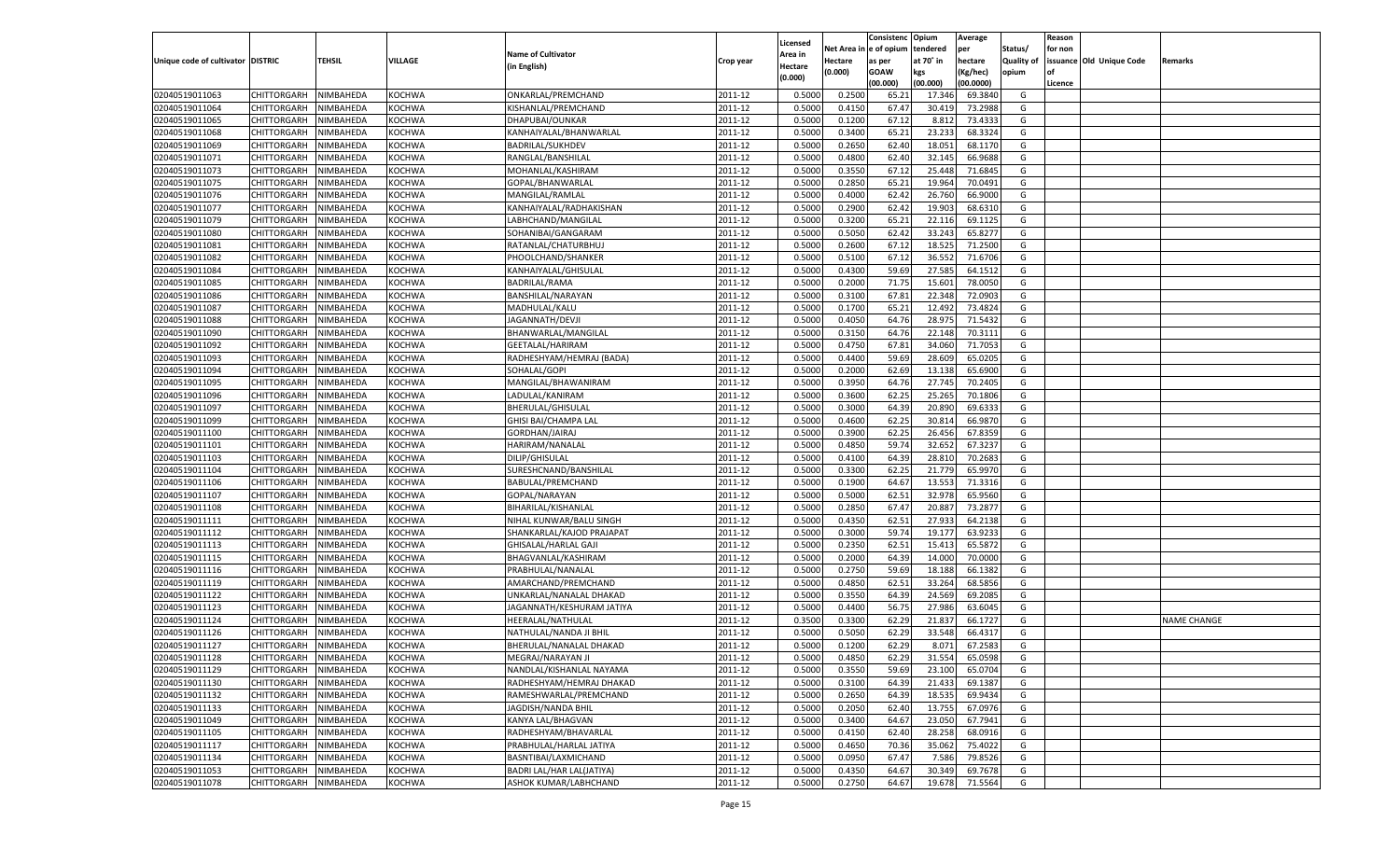|                                   |                                          |               |               |                           |           |                           |          | Consistenc  | Opium     | Average            |                   | Reason  |                          |                    |
|-----------------------------------|------------------------------------------|---------------|---------------|---------------------------|-----------|---------------------------|----------|-------------|-----------|--------------------|-------------------|---------|--------------------------|--------------------|
|                                   |                                          |               |               | <b>Name of Cultivator</b> |           | Licensed                  | Net Area | e of opium  | tendered  | per                | Status/           | for non |                          |                    |
| Unique code of cultivator DISTRIC |                                          | <b>TEHSIL</b> | VILLAGE       | (in English)              | Crop year | <b>Area in</b><br>Hectare | Hectare  | as per      | at 70° in | hectare            | <b>Quality of</b> |         | issuance Old Unique Code | Remarks            |
|                                   |                                          |               |               |                           |           | (0.000)                   | (0.000)  | <b>GOAW</b> | kgs       | (Kg/hec)           | opium             |         |                          |                    |
|                                   |                                          |               |               |                           |           |                           |          | (00.000)    | (00.000)  | (00.0000)          |                   | Licence |                          |                    |
| 02040519011063                    | CHITTORGARH                              | NIMBAHEDA     | KOCHWA        | ONKARLAL/PREMCHAND        | 2011-12   | 0.5000                    | 0.2500   | 65.2        | 17.346    | 69.3840            | G                 |         |                          |                    |
| 02040519011064                    | CHITTORGARH                              | NIMBAHEDA     | KOCHWA        | KISHANLAL/PREMCHAND       | 2011-12   | 0.5000                    | 0.4150   | 67.4        | 30.419    | 73.2988            | G                 |         |                          |                    |
| 02040519011065                    | CHITTORGARH                              | NIMBAHEDA     | KOCHWA        | DHAPUBAI/OUNKAR           | 2011-12   | 0.5000                    | 0.1200   | 67.12       | 8.812     | 73.4333            | G                 |         |                          |                    |
| 02040519011068                    | CHITTORGARH                              | NIMBAHEDA     | KOCHWA        | KANHAIYALAL/BHANWARLAL    | 2011-12   | 0.5000                    | 0.3400   | 65.21       | 23.233    | 68.3324            | G                 |         |                          |                    |
| 02040519011069                    | CHITTORGARH                              | NIMBAHEDA     | KOCHWA        | BADRILAL/SUKHDEV          | 2011-12   | 0.5000                    | 0.2650   | 62.40       | 18.051    | 68.1170            | G                 |         |                          |                    |
| 02040519011071                    | CHITTORGARH                              | NIMBAHEDA     | KOCHWA        | RANGLAL/BANSHILAL         | 2011-12   | 0.5000                    | 0.4800   | 62.40       | 32.145    | 66.9688            | G                 |         |                          |                    |
| 02040519011073                    | CHITTORGARH                              | NIMBAHEDA     | KOCHWA        | MOHANLAL/KASHIRAM         | 2011-12   | 0.5000                    | 0.3550   | 67.1        | 25.448    | 71.6845            | G                 |         |                          |                    |
| 02040519011075                    | CHITTORGARH                              | NIMBAHEDA     | KOCHWA        | GOPAL/BHANWARLAL          | 2011-12   | 0.5000                    | 0.2850   | 65.2        | 19.964    | 70.0491            | G                 |         |                          |                    |
| 02040519011076                    | CHITTORGARH                              | NIMBAHEDA     | KOCHWA        | MANGILAL/RAMLAL           | 2011-12   | 0.5000                    | 0.4000   | 62.4        | 26.760    | 66.9000            | G                 |         |                          |                    |
| 02040519011077                    | CHITTORGARH                              | NIMBAHEDA     | KOCHWA        | KANHAIYALAL/RADHAKISHAN   | 2011-12   | 0.5000                    | 0.2900   | 62.4        | 19.903    | 68.6310            | G                 |         |                          |                    |
| 02040519011079                    | CHITTORGARH                              | NIMBAHEDA     | KOCHWA        | LABHCHAND/MANGILAL        | 2011-12   | 0.5000                    | 0.3200   | 65.2        | 22.116    | 69.1125            | G                 |         |                          |                    |
| 02040519011080                    | CHITTORGARH                              | NIMBAHEDA     | KOCHWA        | SOHANIBAI/GANGARAM        | 2011-12   | 0.5000                    | 0.5050   | 62.4        | 33.243    | 65.8277            | G                 |         |                          |                    |
| 02040519011081                    | CHITTORGARH                              | NIMBAHEDA     | KOCHWA        | RATANLAL/CHATURBHUJ       | 2011-12   | 0.5000                    | 0.2600   | 67.1        | 18.525    | 71.2500            | G                 |         |                          |                    |
| 02040519011082                    | CHITTORGARH                              | NIMBAHEDA     | KOCHWA        | PHOOLCHAND/SHANKER        | 2011-12   | 0.5000                    | 0.5100   | 67.12       | 36.552    | 71.6706            | G                 |         |                          |                    |
| 02040519011084                    | CHITTORGARH                              | NIMBAHEDA     | KOCHWA        | KANHAIYALAL/GHISULAL      | 2011-12   | 0.5000                    | 0.4300   | 59.69       | 27.585    | 64.1512            | G                 |         |                          |                    |
| 02040519011085                    | CHITTORGARH                              | NIMBAHEDA     | KOCHWA        | <b>BADRILAL/RAMA</b>      | 2011-12   | 0.5000                    | 0.2000   | 71.75       | 15.601    | 78.0050            | G                 |         |                          |                    |
| 02040519011086                    | CHITTORGARH                              | NIMBAHEDA     | KOCHWA        | BANSHILAL/NARAYAN         | 2011-12   | 0.5000                    | 0.3100   | 67.81       | 22.348    | 72.0903            | G                 |         |                          |                    |
| 02040519011087                    | CHITTORGARH                              | NIMBAHEDA     | KOCHWA        | MADHULAL/KALU             | 2011-12   | 0.5000                    | 0.1700   | 65.21       | 12.492    | 73.4824            | G                 |         |                          |                    |
| 02040519011088                    | CHITTORGARH                              | NIMBAHEDA     | KOCHWA        | JAGANNATH/DEVJI           | 2011-12   | 0.5000                    | 0.4050   | 64.76       | 28.975    | 71.5432            | G                 |         |                          |                    |
| 02040519011090                    | CHITTORGARH                              | NIMBAHEDA     | KOCHWA        | BHANWARLAL/MANGILAL       | 2011-12   | 0.5000                    | 0.3150   | 64.76       | 22.148    | 70.3111            | G                 |         |                          |                    |
| 02040519011092                    | CHITTORGARH                              | NIMBAHEDA     | KOCHWA        | GEETALAL/HARIRAM          | 2011-12   | 0.5000                    | 0.4750   | 67.81       | 34.060    | 71.7053            | G                 |         |                          |                    |
| 02040519011093                    | CHITTORGARH                              | NIMBAHEDA     | KOCHWA        | RADHESHYAM/HEMRAJ (BADA)  | 2011-12   | 0.5000                    | 0.4400   | 59.69       | 28.609    | 65.0205            | G                 |         |                          |                    |
| 02040519011094                    | CHITTORGARH                              | NIMBAHEDA     | KOCHWA        | SOHALAL/GOPI              | 2011-12   | 0.5000                    | 0.2000   | 62.69       | 13.138    | 65.6900            | G                 |         |                          |                    |
| 02040519011095                    | CHITTORGARH                              | NIMBAHEDA     | KOCHWA        | MANGILAL/BHAWANIRAM       | 2011-12   | 0.5000                    | 0.3950   | 64.76       | 27.745    | 70.2405            | G                 |         |                          |                    |
| 02040519011096                    | CHITTORGARH                              | NIMBAHEDA     | KOCHWA        | LADULAL/KANIRAM           | 2011-12   | 0.5000                    | 0.3600   | 62.25       | 25.265    | 70.1806            | G                 |         |                          |                    |
| 02040519011097                    | CHITTORGARH                              | NIMBAHEDA     | KOCHWA        | BHERULAL/GHISULAL         | 2011-12   | 0.5000                    | 0.3000   | 64.39       | 20.890    | 69.6333            | G                 |         |                          |                    |
| 02040519011099                    | CHITTORGARH                              | NIMBAHEDA     | KOCHWA        | GHISI BAI/CHAMPA LAL      | 2011-12   | 0.5000                    | 0.4600   | 62.25       | 30.814    | 66.9870            | G                 |         |                          |                    |
| 02040519011100                    | CHITTORGARH                              | NIMBAHEDA     | KOCHWA        | GORDHAN/JAIRAJ            | 2011-12   | 0.5000                    | 0.3900   | 62.25       | 26.456    | 67.8359            | G                 |         |                          |                    |
| 02040519011101                    | CHITTORGARH                              | NIMBAHEDA     | KOCHWA        | HARIRAM/NANALAL           | 2011-12   | 0.5000                    | 0.4850   | 59.74       | 32.652    | 67.3237            | G                 |         |                          |                    |
| 02040519011103                    | CHITTORGARH                              | NIMBAHEDA     | KOCHWA        | DILIP/GHISULAL            | 2011-12   | 0.5000                    | 0.4100   | 64.39       | 28.810    | 70.2683            | G                 |         |                          |                    |
| 02040519011104                    | CHITTORGARH                              | NIMBAHEDA     | KOCHWA        | SURESHCNAND/BANSHILAL     | 2011-12   | 0.5000                    | 0.3300   | 62.25       | 21.779    | 65.9970            | G                 |         |                          |                    |
| 02040519011106                    | CHITTORGARH                              | NIMBAHEDA     | KOCHWA        | BABULAL/PREMCHAND         | 2011-12   | 0.5000                    | 0.1900   | 64.67       | 13.55     | 71.3316            | G                 |         |                          |                    |
| 02040519011107                    | CHITTORGARH                              | NIMBAHEDA     | KOCHWA        | GOPAL/NARAYAN             | 2011-12   | 0.5000                    | 0.5000   | 62.51       | 32.978    | 65.9560            | G                 |         |                          |                    |
| 02040519011108                    | CHITTORGARH                              | NIMBAHEDA     | KOCHWA        | BIHARILAL/KISHANLAL       | 2011-12   | 0.5000                    | 0.2850   | 67.4        | 20.88     | 73.2877            | G                 |         |                          |                    |
| 02040519011111                    | <b>CHITTORGARH</b>                       | NIMBAHEDA     | KOCHWA        | NIHAL KUNWAR/BALU SINGH   | 2011-12   | 0.5000                    | 0.4350   | 62.51       | 27.933    | 64.2138            | G                 |         |                          |                    |
| 02040519011112                    | CHITTORGARH                              | NIMBAHEDA     | KOCHWA        | SHANKARLAL/KAJOD PRAJAPAT | 2011-12   | 0.5000                    | 0.3000   | 59.74       | 19.177    | 63.923             | G                 |         |                          |                    |
| 02040519011113                    | <b>CHITTORGARH</b>                       | NIMBAHEDA     | KOCHWA        | GHISALAL/HARLAL GAJI      | 2011-12   | 0.5000                    | 0.2350   | 62.51       | 15.413    | 65.5872            | G                 |         |                          |                    |
| 02040519011115                    | CHITTORGARH                              | NIMBAHEDA     | KOCHWA        | BHAGVANLAL/KASHIRAM       | 2011-12   | 0.5000                    | 0.2000   | 64.39       | 14.000    | 70.0000            | G                 |         |                          |                    |
| 02040519011116                    | <b>CHITTORGARH</b>                       | NIMBAHEDA     | KOCHWA        | PRABHULAL/NANALAL         | 2011-12   | 0.5000                    | 0.2750   | 59.69       | 18.18     | 66.1382            | G                 |         |                          |                    |
| 02040519011119                    | CHITTORGARH                              | NIMBAHEDA     | KOCHWA        | AMARCHAND/PREMCHAND       | 2011-12   | 0.5000                    | 0.4850   | 62.51       | 33.264    | 68.5856            | G                 |         |                          |                    |
| 02040519011122                    | CHITTORGARH                              | NIMBAHEDA     | KOCHWA        | UNKARLAL/NANALAL DHAKAD   | 2011-12   | 0.5000                    | 0.3550   | 64.39       | 24.569    | 69.2085            | G                 |         |                          |                    |
| 02040519011123                    | CHITTORGARH                              | NIMBAHEDA     | KOCHWA        | JAGANNATH/KESHURAM JATIYA | 2011-12   | 0.5000                    | 0.4400   | 56.75       | 27.986    | 63.6045            | G                 |         |                          |                    |
| 02040519011124                    | CHITTORGARH                              | NIMBAHEDA     | KOCHWA        | HEERALAL/NATHULAL         | 2011-12   | 0.3500                    | 0.3300   | 62.29       | 21.83     | 66.1727            | G                 |         |                          | <b>NAME CHANGE</b> |
| 02040519011126                    | CHITTORGARH                              | NIMBAHEDA     | KOCHWA        | NATHULAL/NANDA JI BHIL    | 2011-12   | 0.5000                    | 0.5050   | 62.29       | 33.548    | 66.431             | G                 |         |                          |                    |
| 02040519011127                    | CHITTORGARH                              | NIMBAHEDA     | KOCHWA        | BHERULAL/NANALAL DHAKAD   | 2011-12   | 0.5000                    | 0.1200   | 62.29       | 8.071     | 67.2583            | G                 |         |                          |                    |
| 02040519011128                    | CHITTORGARH NIMBAHEDA                    |               | <b>KOCHWA</b> | MEGRAJ/NARAYAN JI         | 2011-12   | 0.5000                    | 0.4850   | 62.29       | 31.554    | 65.0598            | G                 |         |                          |                    |
| 02040519011129                    | <b>CHITTORGARH</b>                       | NIMBAHEDA     | <b>KOCHWA</b> | NANDLAL/KISHANLAL NAYAMA  | 2011-12   | 0.5000                    | 0.3550   | 59.69       | 23.100    | 65.0704            | G                 |         |                          |                    |
| 02040519011130                    |                                          |               |               |                           |           |                           |          | 64.39       |           |                    |                   |         |                          |                    |
|                                   | <b>CHITTORGARH</b><br><b>CHITTORGARH</b> | NIMBAHEDA     | <b>KOCHWA</b> | RADHESHYAM/HEMRAJ DHAKAD  | 2011-12   | 0.5000                    | 0.3100   |             | 21.433    | 69.1387<br>69.9434 | G                 |         |                          |                    |
| 02040519011132<br>02040519011133  |                                          | NIMBAHEDA     | <b>KOCHWA</b> | RAMESHWARLAL/PREMCHAND    | 2011-12   | 0.5000                    | 0.2650   | 64.39       | 18.535    |                    | G                 |         |                          |                    |
|                                   | <b>CHITTORGARH</b>                       | NIMBAHEDA     | KOCHWA        | JAGDISH/NANDA BHIL        | 2011-12   | 0.5000                    | 0.2050   | 62.40       | 13.755    | 67.0976            | G                 |         |                          |                    |
| 02040519011049                    | <b>CHITTORGARH</b>                       | NIMBAHEDA     | <b>KOCHWA</b> | KANYA LAL/BHAGVAN         | 2011-12   | 0.5000                    | 0.3400   | 64.67       | 23.050    | 67.7941            | G                 |         |                          |                    |
| 02040519011105                    | <b>CHITTORGARH</b>                       | NIMBAHEDA     | <b>KOCHWA</b> | RADHESHYAM/BHAVARLAL      | 2011-12   | 0.5000                    | 0.4150   | 62.40       | 28.258    | 68.0916            | G                 |         |                          |                    |
| 02040519011117                    | <b>CHITTORGARH</b>                       | NIMBAHEDA     | <b>KOCHWA</b> | PRABHULAL/HARLAL JATIYA   | 2011-12   | 0.5000                    | 0.4650   | 70.36       | 35.062    | 75.4022            | G                 |         |                          |                    |
| 02040519011134                    | <b>CHITTORGARH</b>                       | NIMBAHEDA     | KOCHWA        | BASNTIBAI/LAXMICHAND      | 2011-12   | 0.5000                    | 0.0950   | 67.47       | 7.586     | 79.8526            | G                 |         |                          |                    |
| 02040519011053                    | <b>CHITTORGARH</b>                       | NIMBAHEDA     | <b>KOCHWA</b> | BADRI LAL/HAR LAL(JATIYA) | 2011-12   | 0.5000                    | 0.4350   | 64.67       | 30.349    | 69.7678            | G                 |         |                          |                    |
| 02040519011078                    | <b>CHITTORGARH</b>                       | NIMBAHEDA     | <b>KOCHWA</b> | ASHOK KUMAR/LABHCHAND     | 2011-12   | 0.5000                    | 0.2750   | 64.67       | 19.678    | 71.5564            | G                 |         |                          |                    |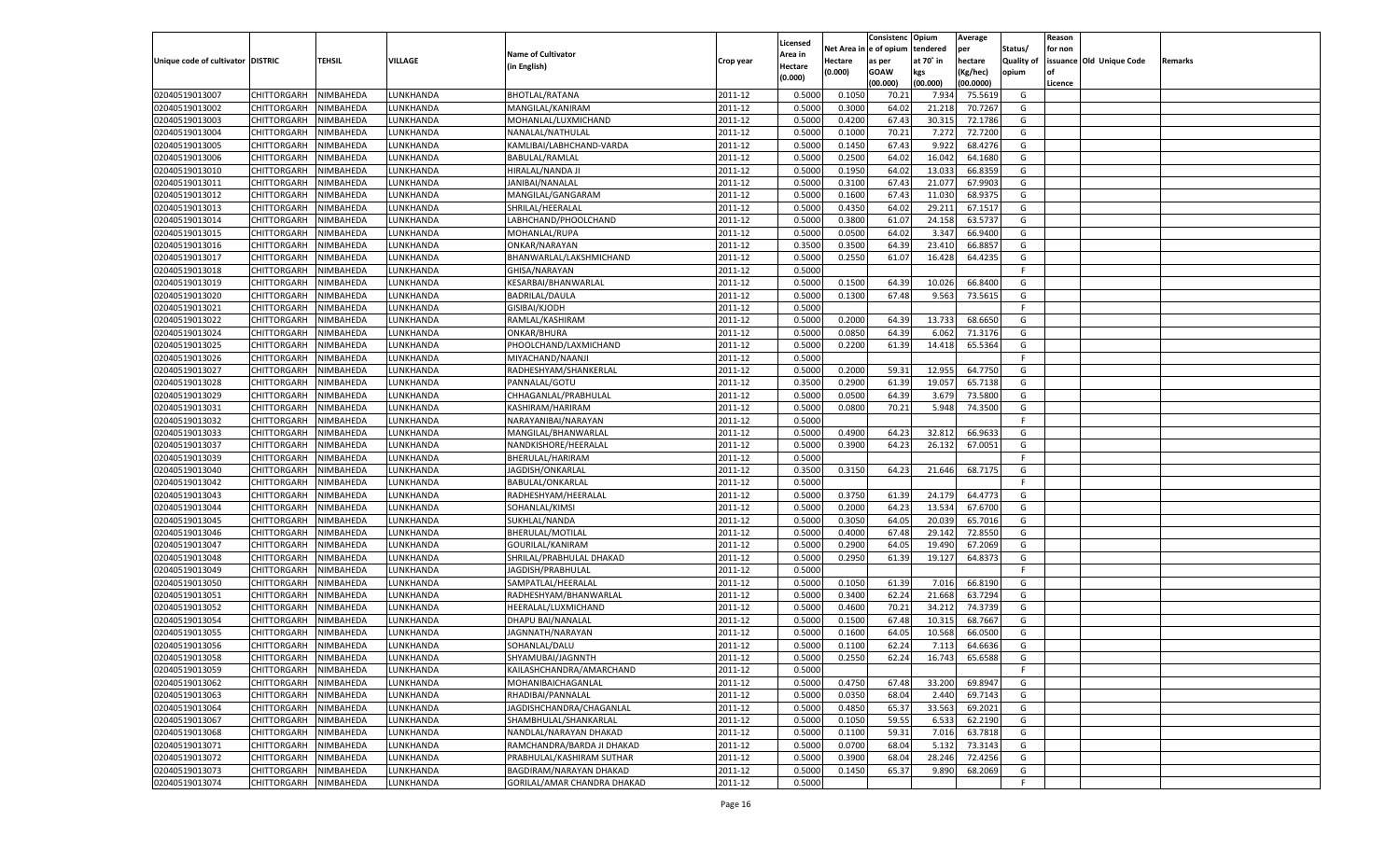|                                   |                       |                        |                        |                             |                    |          |                  | Consistenc Opium |           | Average   |                   | Reason    |                          |         |
|-----------------------------------|-----------------------|------------------------|------------------------|-----------------------------|--------------------|----------|------------------|------------------|-----------|-----------|-------------------|-----------|--------------------------|---------|
|                                   |                       |                        |                        |                             |                    | Licensed | Net Area         | e of opium       | tendered  | per       | Status/           | for non   |                          |         |
| Unique code of cultivator DISTRIC |                       | TEHSIL                 | VILLAGE                | <b>Name of Cultivator</b>   | Crop year          | Area in  | Hectare          | as per           | at 70° in | hectare   | <b>Quality of</b> |           | issuance Old Unique Code | Remarks |
|                                   |                       |                        |                        | (in English)                |                    | Hectare  | (0.000)          | <b>GOAW</b>      | kgs       | (Kg/hec)  | opium             | <b>of</b> |                          |         |
|                                   |                       |                        |                        |                             |                    | (0.000)  |                  | (00.000)         | (00.000)  | (00.0000) |                   | Licence   |                          |         |
| 02040519013007                    | CHITTORGARH           | NIMBAHEDA              | LUNKHANDA              | <b>BHOTLAL/RATANA</b>       | 2011-12            | 0.5000   | 0.1050           | 70.21            | 7.934     | 75.5619   | G                 |           |                          |         |
| 02040519013002                    | CHITTORGARH           | NIMBAHEDA              | LUNKHANDA              | MANGILAL/KANIRAM            | 2011-12            | 0.5000   | 0.3000           | 64.02            | 21.218    | 70.7267   | G                 |           |                          |         |
| 02040519013003                    | <b>CHITTORGARH</b>    | NIMBAHEDA              | LUNKHANDA              | MOHANLAL/LUXMICHAND         | 2011-12            | 0.5000   | 0.4200           | 67.43            | 30.315    | 72.1786   | G                 |           |                          |         |
|                                   |                       |                        |                        |                             |                    |          |                  |                  |           |           |                   |           |                          |         |
| 02040519013004                    | CHITTORGARH           | NIMBAHEDA              | LUNKHANDA              | NANALAL/NATHULAL            | 2011-12            | 0.5000   | 0.1000           | 70.21            | 7.272     | 72.7200   | G                 |           |                          |         |
| 02040519013005                    | CHITTORGARH           | NIMBAHEDA              | LUNKHANDA              | KAMLIBAI/LABHCHAND-VARDA    | 2011-12            | 0.5000   | 0.1450           | 67.43            | 9.922     | 68.4276   | G                 |           |                          |         |
| 02040519013006                    | CHITTORGARH           | NIMBAHEDA              | LUNKHANDA              | <b>BABULAL/RAMLAL</b>       | 2011-12            | 0.5000   | 0.2500           | 64.02            | 16.042    | 64.1680   | G                 |           |                          |         |
| 02040519013010                    | <b>CHITTORGARH</b>    | NIMBAHEDA              | LUNKHANDA              | HIRALAL/NANDA JI            | 2011-12            | 0.5000   | 0.1950           | 64.02            | 13.033    | 66.8359   | G                 |           |                          |         |
| 02040519013011                    | CHITTORGARH           | NIMBAHEDA              | LUNKHANDA              | JANIBAI/NANALAL             | 2011-12            | 0.5000   | 0.3100           | 67.43            | 21.077    | 67.9903   | G                 |           |                          |         |
| 02040519013012                    | CHITTORGARH           | NIMBAHEDA              | LUNKHANDA              | MANGILAL/GANGARAM           | 2011-12            | 0.5000   | 0.1600           | 67.43            | 11.03     | 68.9375   | G                 |           |                          |         |
| 02040519013013                    | CHITTORGARH           | NIMBAHEDA              | LUNKHANDA              | SHRILAL/HEERALAL            | 2011-12            | 0.5000   | 0.4350           | 64.02            | 29.21     | 67.1517   | G                 |           |                          |         |
| 02040519013014                    | CHITTORGARH           | NIMBAHEDA              | LUNKHANDA              | LABHCHAND/PHOOLCHAND        | 2011-12            | 0.5000   | 0.3800           | 61.07            | 24.158    | 63.5737   | G                 |           |                          |         |
| 02040519013015                    | CHITTORGARH           | NIMBAHEDA              | LUNKHANDA              | MOHANLAL/RUPA               | 2011-12            | 0.5000   | 0.0500           | 64.02            | 3.347     | 66.9400   | G                 |           |                          |         |
| 02040519013016                    | CHITTORGARH           | NIMBAHEDA              | LUNKHANDA              | ONKAR/NARAYAN               | 2011-12            | 0.3500   | 0.3500           | 64.39            | 23.410    | 66.885    | G                 |           |                          |         |
| 02040519013017                    | CHITTORGARH           | NIMBAHEDA              | LUNKHANDA              | BHANWARLAL/LAKSHMICHAND     | 2011-12            | 0.5000   | 0.2550           | 61.07            | 16.428    | 64.4235   | G                 |           |                          |         |
| 02040519013018                    | <b>CHITTORGARH</b>    | NIMBAHEDA              | LUNKHANDA              | GHISA/NARAYAN               | 2011-12            | 0.5000   |                  |                  |           |           | F                 |           |                          |         |
| 02040519013019                    | CHITTORGARH           | NIMBAHEDA              | LUNKHANDA              | KESARBAI/BHANWARLAL         | 2011-12            | 0.5000   | 0.1500           | 64.39            | 10.026    | 66.8400   | G                 |           |                          |         |
| 02040519013020                    | <b>CHITTORGARH</b>    | NIMBAHEDA              | UNKHANDA               | <b>BADRILAL/DAULA</b>       | 2011-12            | 0.5000   | 0.1300           | 67.48            | 9.563     | 73.5615   | G                 |           |                          |         |
| 02040519013021                    | CHITTORGARH           | NIMBAHEDA              | LUNKHANDA              | GISIBAI/KJODH               | 2011-12            | 0.5000   |                  |                  |           |           | F                 |           |                          |         |
| 02040519013022                    | <b>CHITTORGARH</b>    | NIMBAHEDA              | LUNKHANDA              | RAMLAL/KASHIRAM             | 2011-12            | 0.5000   | 0.2000           | 64.39            | 13.733    | 68.6650   | G                 |           |                          |         |
| 02040519013024                    | CHITTORGARH           | NIMBAHEDA              | LUNKHANDA              | ONKAR/BHURA                 | 2011-12            | 0.5000   | 0.0850           | 64.39            | 6.062     | 71.3176   | G                 |           |                          |         |
| 02040519013025                    | <b>CHITTORGARH</b>    | NIMBAHEDA              | UNKHANDA               | PHOOLCHAND/LAXMICHAND       | 2011-12            | 0.5000   | 0.2200           | 61.39            | 14.418    | 65.5364   | G                 |           |                          |         |
| 02040519013026                    | CHITTORGARH           | NIMBAHEDA              | LUNKHANDA              | MIYACHAND/NAANJI            | 2011-12            | 0.5000   |                  |                  |           |           | F                 |           |                          |         |
| 02040519013027                    | <b>CHITTORGARH</b>    | NIMBAHEDA              | LUNKHANDA              | RADHESHYAM/SHANKERLAL       | 2011-12            | 0.5000   | 0.2000           | 59.31            | 12.955    | 64.7750   | G                 |           |                          |         |
|                                   |                       |                        |                        | PANNALAL/GOTU               | 2011-12            | 0.3500   | 0.2900           | 61.39            | 19.057    | 65.7138   |                   |           |                          |         |
| 02040519013028                    | CHITTORGARH           | NIMBAHEDA              | LUNKHANDA              |                             |                    |          |                  |                  |           |           | G                 |           |                          |         |
| 02040519013029                    | <b>CHITTORGARH</b>    | NIMBAHEDA              | UNKHANDA               | CHHAGANLAL/PRABHULAL        | 2011-12            | 0.5000   | 0.0500           | 64.39            | 3.679     | 73.5800   | G                 |           |                          |         |
| 02040519013031                    | CHITTORGARH           | NIMBAHEDA<br>NIMBAHEDA | UNKHANDA.              | KASHIRAM/HARIRAM            | 2011-12            | 0.5000   | 0.0800           | 70.21            | 5.948     | 74.3500   | G                 |           |                          |         |
| 02040519013032                    | <b>CHITTORGARH</b>    |                        | LUNKHANDA              | NARAYANIBAI/NARAYAN         | 2011-12            | 0.5000   |                  |                  |           |           | F                 |           |                          |         |
| 02040519013033                    | CHITTORGARH           | NIMBAHEDA              | LUNKHANDA              | MANGILAL/BHANWARLAL         | 2011-12            | 0.5000   | 0.4900           | 64.23            | 32.812    | 66.963    | G                 |           |                          |         |
| 02040519013037                    | <b>CHITTORGARH</b>    | NIMBAHEDA              | <b>UNKHANDA</b>        | NANDKISHORE/HEERALAL        | 2011-12            | 0.5000   | 0.3900           | 64.23            | 26.132    | 67.0051   | G                 |           |                          |         |
| 02040519013039                    | CHITTORGARH           | NIMBAHEDA              | LUNKHANDA              | BHERULAL/HARIRAM            | 2011-12            | 0.5000   |                  |                  |           |           | F                 |           |                          |         |
| 02040519013040                    | CHITTORGARH           | NIMBAHEDA              | <b>UNKHANDA</b>        | JAGDISH/ONKARLAL            | 2011-12            | 0.3500   | 0.3150           | 64.23            | 21.646    | 68.7175   | G                 |           |                          |         |
| 02040519013042                    | CHITTORGARH           | NIMBAHEDA              | LUNKHANDA              | <b>BABULAL/ONKARLAL</b>     | 2011-12            | 0.5000   |                  |                  |           |           | F                 |           |                          |         |
| 02040519013043                    | CHITTORGARH           | NIMBAHEDA              | <b>UNKHANDA</b>        | RADHESHYAM/HEERALAL         | 2011-12            | 0.5000   | 0.3750           | 61.39            | 24.179    | 64.477    | G                 |           |                          |         |
| 02040519013044                    | CHITTORGARH           | NIMBAHEDA              | UNKHANDA.              | SOHANLAL/KIMSI              | 2011-12            | 0.5000   | 0.2000           | 64.23            | 13.534    | 67.6700   | G                 |           |                          |         |
| 02040519013045                    | CHITTORGARH           | NIMBAHEDA              | <b>UNKHANDA</b>        | SUKHLAL/NANDA               | 2011-12            | 0.5000   | 0.3050           | 64.05            | 20.039    | 65.7016   | G                 |           |                          |         |
| 02040519013046                    | CHITTORGARH           | NIMBAHEDA              | LUNKHANDA              | BHERULAL/MOTILAL            | 2011-12            | 0.5000   | 0.4000           | 67.48            | 29.14     | 72.8550   | G                 |           |                          |         |
| 02040519013047                    | CHITTORGARH           | NIMBAHEDA              | UNKHANDA               | GOURILAL/KANIRAM            | 2011-12            | 0.5000   | 0.2900           | 64.05            | 19.49     | 67.2069   | G                 |           |                          |         |
| 02040519013048                    | CHITTORGARH           | NIMBAHEDA              | UNKHANDA.              | SHRILAL/PRABHULAL DHAKAD    | 2011-12            | 0.5000   | 0.2950           | 61.39            | 19.127    | 64.837    | G                 |           |                          |         |
| 02040519013049                    | CHITTORGARH           | NIMBAHEDA              | <b>UNKHANDA</b>        | JAGDISH/PRABHULAL           | 2011-12            | 0.5000   |                  |                  |           |           | F                 |           |                          |         |
| 02040519013050                    | CHITTORGARH           | NIMBAHEDA              | LUNKHANDA              | SAMPATLAL/HEERALAL          | 2011-12            | 0.5000   | 0.1050           | 61.39            | 7.016     | 66.8190   | G                 |           |                          |         |
| 02040519013051                    | CHITTORGARH           | NIMBAHEDA              | LUNKHANDA              | RADHESHYAM/BHANWARLAL       | 2011-12            | 0.5000   | 0.3400           | 62.24            | 21.668    | 63.7294   | G                 |           |                          |         |
| 02040519013052                    | CHITTORGARH           | NIMBAHEDA              | LUNKHANDA              | HEERALAL/LUXMICHAND         | 2011-12            | 0.5000   | 0.4600           | 70.21            | 34.21     | 74.3739   | G                 |           |                          |         |
| 02040519013054                    | CHITTORGARH           | NIMBAHEDA              | UNKHANDA.              | DHAPU BAI/NANALAI           | 2011-12            | 0.5000   | 0.1500           | 67.48            | 10.315    | 68.7667   | G                 |           |                          |         |
| 02040519013055                    | CHITTORGARH           | NIMBAHEDA              | UNKHANDA.              | JAGNNATH/NARAYAN            | 2011-12            | 0.5000   | 0.1600           | 64.05            | 10.568    | 66.0500   | G                 |           |                          |         |
| 02040519013056                    | CHITTORGARH           | NIMBAHEDA              | LUNKHANDA              | SOHANLAL/DALU               | 2011-12            | 0.5000   | 0.1100           | 62.24            | 7.113     | 64.6636   | G                 |           |                          |         |
| 02040519013058                    | CHITTORGARH NIMBAHEDA |                        | LUNKHANDA              | SHYAMUBAI/JAGNNTH           | 2011-12            | 0.5000   | 0.2550           | 62.24            | 16.743    | 65.6588   | G                 |           |                          |         |
| 02040519013059                    | <b>CHITTORGARH</b>    | NIMBAHEDA              | LUNKHANDA              | KAILASHCHANDRA/AMARCHAND    | 2011-12            | 0.5000   |                  |                  |           |           | F                 |           |                          |         |
|                                   | CHITTORGARH           |                        |                        | MOHANIBAICHAGANLAL          |                    |          |                  |                  |           |           |                   |           |                          |         |
| 02040519013062<br>02040519013063  | <b>CHITTORGARH</b>    | NIMBAHEDA<br>NIMBAHEDA | LUNKHANDA<br>LUNKHANDA | RHADIBAI/PANNALAL           | 2011-12<br>2011-12 | 0.5000   | 0.4750<br>0.0350 | 67.48<br>68.04   | 33.200    | 69.8947   | G<br>G            |           |                          |         |
|                                   |                       |                        |                        |                             |                    | 0.5000   |                  |                  | 2.440     | 69.7143   |                   |           |                          |         |
| 02040519013064                    | <b>CHITTORGARH</b>    | NIMBAHEDA              | LUNKHANDA              | JAGDISHCHANDRA/CHAGANLAL    | 2011-12            | 0.5000   | 0.4850           | 65.37            | 33.563    | 69.2021   | G                 |           |                          |         |
| 02040519013067                    | <b>CHITTORGARH</b>    | NIMBAHEDA              | LUNKHANDA              | SHAMBHULAL/SHANKARLAL       | 2011-12            | 0.5000   | 0.1050           | 59.55            | 6.533     | 62.2190   | G                 |           |                          |         |
| 02040519013068                    | <b>CHITTORGARH</b>    | NIMBAHEDA              | LUNKHANDA              | NANDLAL/NARAYAN DHAKAD      | 2011-12            | 0.5000   | 0.1100           | 59.31            | 7.016     | 63.7818   | G                 |           |                          |         |
| 02040519013071                    | <b>CHITTORGARH</b>    | NIMBAHEDA              | LUNKHANDA              | RAMCHANDRA/BARDA JI DHAKAD  | 2011-12            | 0.5000   | 0.0700           | 68.04            | 5.132     | 73.3143   | G                 |           |                          |         |
| 02040519013072                    | <b>CHITTORGARH</b>    | NIMBAHEDA              | LUNKHANDA              | PRABHULAL/KASHIRAM SUTHAR   | 2011-12            | 0.5000   | 0.3900           | 68.04            | 28.246    | 72.4256   | G                 |           |                          |         |
| 02040519013073                    | CHITTORGARH           | NIMBAHEDA              | LUNKHANDA              | BAGDIRAM/NARAYAN DHAKAD     | 2011-12            | 0.5000   | 0.1450           | 65.37            | 9.890     | 68.2069   | G                 |           |                          |         |
| 02040519013074                    | CHITTORGARH           | NIMBAHEDA              | LUNKHANDA              | GORILAL/AMAR CHANDRA DHAKAD | 2011-12            | 0.5000   |                  |                  |           |           | F                 |           |                          |         |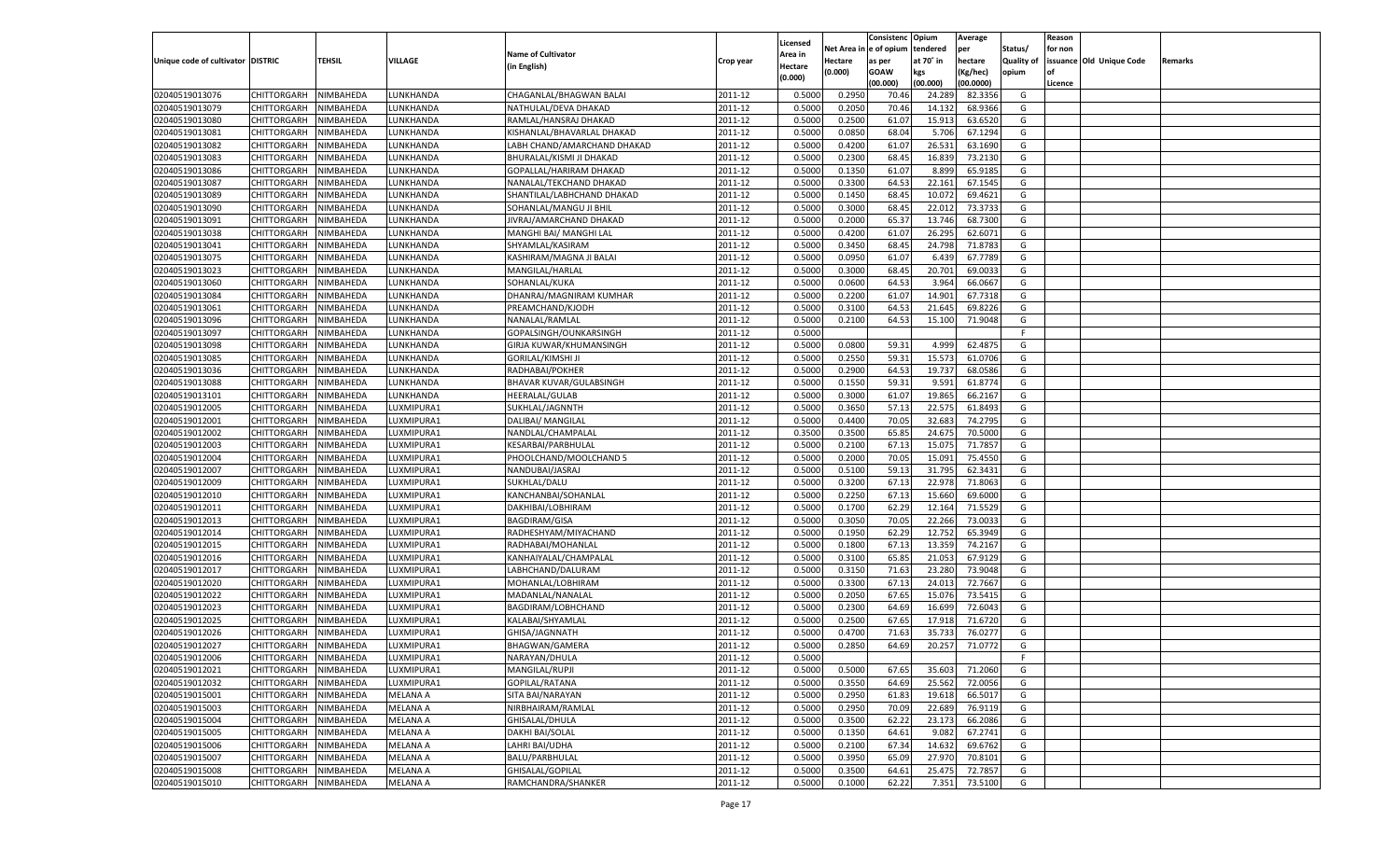|                                   |                       |               |                          |                             |           |                           |          | Consistenc  | Opium     | Average   |                   | Reason  |                          |         |
|-----------------------------------|-----------------------|---------------|--------------------------|-----------------------------|-----------|---------------------------|----------|-------------|-----------|-----------|-------------------|---------|--------------------------|---------|
|                                   |                       |               |                          | <b>Name of Cultivator</b>   |           | Licensed                  | Net Area | e of opium  | tendered  | per       | Status/           | for non |                          |         |
| Unique code of cultivator DISTRIC |                       | <b>TEHSIL</b> | VILLAGE                  | (in English)                | Crop year | <b>Area in</b><br>Hectare | Hectare  | as per      | at 70° in | hectare   | <b>Quality of</b> |         | issuance Old Unique Code | Remarks |
|                                   |                       |               |                          |                             |           | (0.000)                   | (0.000)  | <b>GOAW</b> | kgs       | (Kg/hec)  | opium             |         |                          |         |
|                                   |                       |               |                          |                             |           |                           |          | (00.000)    | (00.000)  | (00.0000) |                   | Licence |                          |         |
| 02040519013076                    | CHITTORGARH           | NIMBAHEDA     | LUNKHANDA                | CHAGANLAL/BHAGWAN BALAI     | 2011-12   | 0.5000                    | 0.2950   | 70.46       | 24.28     | 82.3356   | G                 |         |                          |         |
| 02040519013079                    | CHITTORGARH           | NIMBAHEDA     | LUNKHANDA                | NATHULAL/DEVA DHAKAD        | 2011-12   | 0.5000                    | 0.2050   | 70.46       | 14.13     | 68.9366   | G                 |         |                          |         |
| 02040519013080                    | CHITTORGARH           | NIMBAHEDA     | LUNKHANDA                | RAMLAL/HANSRAJ DHAKAD       | 2011-12   | 0.5000                    | 0.2500   | 61.07       | 15.913    | 63.6520   | G                 |         |                          |         |
| 02040519013081                    | CHITTORGARH           | NIMBAHEDA     | LUNKHANDA                | KISHANLAL/BHAVARLAL DHAKAD  | 2011-12   | 0.5000                    | 0.0850   | 68.04       | 5.706     | 67.1294   | G                 |         |                          |         |
| 02040519013082                    | CHITTORGARH           | NIMBAHEDA     | UNKHANDA.                | LABH CHAND/AMARCHAND DHAKAD | 2011-12   | 0.5000                    | 0.4200   | 61.07       | 26.531    | 63.1690   | G                 |         |                          |         |
| 02040519013083                    | CHITTORGARH           | NIMBAHEDA     | UNKHANDA.                | BHURALAL/KISMI JI DHAKAD    | 2011-12   | 0.5000                    | 0.2300   | 68.45       | 16.839    | 73.2130   | G                 |         |                          |         |
| 02040519013086                    | CHITTORGARH           | NIMBAHEDA     | LUNKHANDA                | GOPALLAL/HARIRAM DHAKAD     | 2011-12   | 0.5000                    | 0.1350   | 61.07       | 8.899     | 65.9185   | G                 |         |                          |         |
| 02040519013087                    | CHITTORGARH           | NIMBAHEDA     | LUNKHANDA                | NANALAL/TEKCHAND DHAKAD     | 2011-12   | 0.5000                    | 0.3300   | 64.53       | 22.161    | 67.1545   | G                 |         |                          |         |
| 02040519013089                    | CHITTORGARH           | NIMBAHEDA     | UNKHANDA.                | SHANTILAL/LABHCHAND DHAKAD  | 2011-12   | 0.5000                    | 0.1450   | 68.45       | 10.072    | 69.4621   | G                 |         |                          |         |
| 02040519013090                    | CHITTORGARH           | NIMBAHEDA     | UNKHANDA.                | SOHANLAL/MANGU JI BHIL      | 2011-12   | 0.5000                    | 0.3000   | 68.4        | 22.01     | 73.3733   | G                 |         |                          |         |
| 02040519013091                    | CHITTORGARH           | NIMBAHEDA     | LUNKHANDA                | JIVRAJ/AMARCHAND DHAKAD     | 2011-12   | 0.5000                    | 0.2000   | 65.3        | 13.746    | 68.7300   | G                 |         |                          |         |
| 02040519013038                    | CHITTORGARH           | NIMBAHEDA     | LUNKHANDA                | MANGHI BAI/ MANGHI LAL      | 2011-12   | 0.5000                    | 0.4200   | 61.07       | 26.295    | 62.6071   | G                 |         |                          |         |
| 02040519013041                    | CHITTORGARH           | NIMBAHEDA     | UNKHANDA.                | SHYAMLAL/KASIRAM            | 2011-12   | 0.5000                    | 0.3450   | 68.45       | 24.798    | 71.878    | G                 |         |                          |         |
| 02040519013075                    | CHITTORGARH           | NIMBAHEDA     | <b>UNKHANDA</b>          | KASHIRAM/MAGNA JI BALAI     | 2011-12   | 0.5000                    | 0.0950   | 61.07       | 6.439     | 67.7789   | G                 |         |                          |         |
| 02040519013023                    | CHITTORGARH           | NIMBAHEDA     | <b>UNKHANDA</b>          | MANGILAL/HARLAL             | 2011-12   | 0.5000                    | 0.3000   | 68.45       | 20.701    | 69.0033   | G                 |         |                          |         |
| 02040519013060                    | CHITTORGARH           | NIMBAHEDA     | <b>UNKHANDA</b>          | SOHANLAL/KUKA               | 2011-12   | 0.5000                    | 0.0600   | 64.53       | 3.964     | 66.0667   | G                 |         |                          |         |
| 02040519013084                    | CHITTORGARH           | NIMBAHEDA     | <b>UNKHANDA</b>          | DHANRAJ/MAGNIRAM KUMHAR     | 2011-12   | 0.5000                    | 0.2200   | 61.07       | 14.901    | 67.7318   | G                 |         |                          |         |
| 02040519013061                    | CHITTORGARH           | NIMBAHEDA     | <b>UNKHANDA</b>          | PREAMCHAND/KJODH            | 2011-12   | 0.5000                    | 0.3100   | 64.53       | 21.645    | 69.8226   | G                 |         |                          |         |
| 02040519013096                    | CHITTORGARH           | NIMBAHEDA     | <b>UNKHANDA</b>          | NANALAL/RAMLAL              | 2011-12   | 0.5000                    | 0.2100   | 64.53       | 15.100    | 71.9048   | G                 |         |                          |         |
| 02040519013097                    | CHITTORGARH           | NIMBAHEDA     | <b>UNKHANDA</b>          | GOPALSINGH/OUNKARSINGH      | 2011-12   | 0.5000                    |          |             |           |           | F.                |         |                          |         |
| 02040519013098                    | CHITTORGARH           | NIMBAHEDA     | <b>UNKHANDA</b>          | GIRJA KUWAR/KHUMANSINGH     | 2011-12   | 0.5000                    | 0.0800   | 59.31       | 4.999     | 62.487    | G                 |         |                          |         |
| 02040519013085                    | CHITTORGARH           | NIMBAHEDA     | <b>UNKHANDA</b>          | GORILAL/KIMSHI JI           | 2011-12   | 0.5000                    | 0.2550   | 59.31       | 15.573    | 61.070    | G                 |         |                          |         |
| 02040519013036                    | CHITTORGARH           | NIMBAHEDA     | <b>UNKHANDA</b>          | RADHABAI/POKHER             | 2011-12   | 0.5000                    | 0.2900   | 64.53       | 19.737    | 68.0586   | G                 |         |                          |         |
| 02040519013088                    | CHITTORGARH           | NIMBAHEDA     | <b>UNKHANDA</b>          | BHAVAR KUVAR/GULABSINGH     | 2011-12   | 0.5000                    | 0.1550   | 59.31       | 9.591     | 61.8774   | G                 |         |                          |         |
| 02040519013101                    | CHITTORGARH           | NIMBAHEDA     | <b>UNKHANDA</b>          | HEERALAL/GULAB              | 2011-12   | 0.5000                    | 0.3000   | 61.07       | 19.865    | 66.2167   | G                 |         |                          |         |
| 02040519012005                    | CHITTORGARH           | NIMBAHEDA     | UXMIPURA1                | SUKHLAL/JAGNNTH             | 2011-12   | 0.5000                    | 0.3650   | 57.13       | 22.575    | 61.8493   | G                 |         |                          |         |
| 02040519012001                    | CHITTORGARH           | NIMBAHEDA     | UXMIPURA1                | DALIBAI/ MANGILAL           | 2011-12   | 0.5000                    | 0.4400   | 70.05       | 32.683    | 74.2795   | G                 |         |                          |         |
| 02040519012002                    | CHITTORGARH           | NIMBAHEDA     | UXMIPURA1                | NANDLAL/CHAMPALAL           | 2011-12   | 0.3500                    | 0.3500   | 65.85       | 24.675    | 70.5000   | G                 |         |                          |         |
| 02040519012003                    | CHITTORGARH           | NIMBAHEDA     | UXMIPURA1                | KESARBAI/PARBHULAL          | 2011-12   | 0.5000                    | 0.2100   | 67.13       | 15.075    | 71.7857   | G                 |         |                          |         |
| 02040519012004                    | CHITTORGARH           | NIMBAHEDA     | LUXMIPURA1               | PHOOLCHAND/MOOLCHAND 5      | 2011-12   | 0.5000                    | 0.2000   | 70.05       | 15.091    | 75.4550   | G                 |         |                          |         |
| 02040519012007                    | CHITTORGARH           | NIMBAHEDA     | LUXMIPURA1               | NANDUBAI/JASRAJ             | 2011-12   | 0.5000                    | 0.5100   | 59.13       | 31.795    | 62.3431   | G                 |         |                          |         |
| 02040519012009                    | CHITTORGARH           | NIMBAHEDA     | LUXMIPURA1               | SUKHLAL/DALU                | 2011-12   | 0.5000                    | 0.3200   | 67.13       | 22.978    | 71.8063   | G                 |         |                          |         |
| 02040519012010                    | <b>CHITTORGARH</b>    | NIMBAHEDA     | LUXMIPURA1               | KANCHANBAI/SOHANLAL         | 2011-12   | 0.5000                    | 0.2250   | 67.13       | 15.660    | 69.6000   | G                 |         |                          |         |
| 02040519012011                    | CHITTORGARH           | NIMBAHEDA     | LUXMIPURA1               | DAKHIBAI/LOBHIRAM           | 2011-12   | 0.5000                    | 0.1700   | 62.29       | 12.164    | 71.5529   | G                 |         |                          |         |
| 02040519012013                    | <b>CHITTORGARH</b>    | NIMBAHEDA     | LUXMIPURA1               | <b>BAGDIRAM/GISA</b>        | 2011-12   | 0.5000                    | 0.3050   | 70.05       | 22.266    | 73.003    | G                 |         |                          |         |
| 02040519012014                    | CHITTORGARH           | NIMBAHEDA     | LUXMIPURA1               | RADHESHYAM/MIYACHAND        | 2011-12   | 0.5000                    | 0.1950   | 62.29       | 12.752    | 65.3949   | G                 |         |                          |         |
| 02040519012015                    | <b>CHITTORGARH</b>    | NIMBAHEDA     | LUXMIPURA1               | RADHABAI/MOHANLAL           | 2011-12   | 0.5000                    | 0.1800   | 67.13       | 13.359    | 74.2167   | G                 |         |                          |         |
| 02040519012016                    | CHITTORGARH           | NIMBAHEDA     | LUXMIPURA1               | KANHAIYALAL/CHAMPALAL       | 2011-12   | 0.5000                    | 0.3100   | 65.85       | 21.053    | 67.9129   | G                 |         |                          |         |
| 02040519012017                    | CHITTORGARH           | NIMBAHEDA     | LUXMIPURA1               | LABHCHAND/DALURAM           | 2011-12   | 0.5000                    | 0.3150   | 71.63       | 23.28     | 73.9048   | G                 |         |                          |         |
| 02040519012020                    | CHITTORGARH           | NIMBAHEDA     | LUXMIPURA1               | MOHANLAL/LOBHIRAM           | 2011-12   | 0.5000                    | 0.3300   | 67.13       | 24.01     | 72.7667   | G                 |         |                          |         |
| 02040519012022                    | CHITTORGARH           | NIMBAHEDA     | LUXMIPURA1               | MADANLAL/NANALAL            | 2011-12   | 0.5000                    | 0.2050   | 67.65       | 15.076    | 73.5415   | G                 |         |                          |         |
| 02040519012023                    | CHITTORGARH           | NIMBAHEDA     | LUXMIPURA1               | BAGDIRAM/LOBHCHAND          | 2011-12   | 0.5000                    | 0.2300   | 64.69       | 16.69     | 72.6043   | G                 |         |                          |         |
| 02040519012025                    | CHITTORGARH           | NIMBAHEDA     | LUXMIPURA1               | KALABAI/SHYAMLAL            | 2011-12   | 0.5000                    | 0.2500   | 67.65       | 17.91     | 71.6720   | G                 |         |                          |         |
| 02040519012026                    | CHITTORGARH           | NIMBAHEDA     | LUXMIPURA1               | GHISA/JAGNNATH              | 2011-12   | 0.5000                    | 0.4700   | 71.63       | 35.73     | 76.0277   | G                 |         |                          |         |
| 02040519012027                    |                       | NIMBAHEDA     |                          |                             |           | 0.5000                    | 0.2850   | 64.69       | 20.257    | 71.0772   | G                 |         |                          |         |
|                                   | CHITTORGARH           |               | LUXMIPURA1               | BHAGWAN/GAMERA              | 2011-12   |                           |          |             |           |           |                   |         |                          |         |
| 02040519012006<br>02040519012021  | CHITTORGARH NIMBAHEDA |               | LUXMIPURA1<br>LUXMIPURA1 | NARAYAN/DHULA               | 2011-12   | 0.5000                    |          |             |           |           |                   |         |                          |         |
|                                   | <b>CHITTORGARH</b>    | NIMBAHEDA     |                          | MANGILAL/RUPJI              | 2011-12   | 0.5000                    | 0.5000   | 67.65       | 35.603    | 71.2060   | G                 |         |                          |         |
| 02040519012032                    | CHITTORGARH           | NIMBAHEDA     | LUXMIPURA1               | GOPILAL/RATANA              | 2011-12   | 0.5000                    | 0.3550   | 64.69       | 25.562    | 72.0056   | G                 |         |                          |         |
| 02040519015001                    | <b>CHITTORGARH</b>    | NIMBAHEDA     | <b>MELANA A</b>          | SITA BAI/NARAYAN            | 2011-12   | 0.5000                    | 0.2950   | 61.83       | 19.618    | 66.5017   | G                 |         |                          |         |
| 02040519015003                    | <b>CHITTORGARH</b>    | NIMBAHEDA     | <b>MELANA A</b>          | NIRBHAIRAM/RAMLAL           | 2011-12   | 0.5000                    | 0.2950   | 70.09       | 22.689    | 76.9119   | G                 |         |                          |         |
| 02040519015004                    | <b>CHITTORGARH</b>    | NIMBAHEDA     | <b>MELANA A</b>          | GHISALAL/DHULA              | 2011-12   | 0.5000                    | 0.3500   | 62.22       | 23.173    | 66.2086   | G                 |         |                          |         |
| 02040519015005                    | <b>CHITTORGARH</b>    | NIMBAHEDA     | <b>MELANA A</b>          | <b>DAKHI BAI/SOLAL</b>      | 2011-12   | 0.5000                    | 0.1350   | 64.61       | 9.082     | 67.2741   | G                 |         |                          |         |
| 02040519015006                    | <b>CHITTORGARH</b>    | NIMBAHEDA     | <b>MELANA A</b>          | LAHRI BAI/UDHA              | 2011-12   | 0.5000                    | 0.2100   | 67.34       | 14.632    | 69.6762   | G                 |         |                          |         |
| 02040519015007                    | <b>CHITTORGARH</b>    | NIMBAHEDA     | <b>MELANA A</b>          | <b>BALU/PARBHULAL</b>       | 2011-12   | 0.5000                    | 0.3950   | 65.09       | 27.970    | 70.8101   | G                 |         |                          |         |
| 02040519015008                    | <b>CHITTORGARH</b>    | NIMBAHEDA     | <b>MELANA A</b>          | GHISALAL/GOPILAL            | 2011-12   | 0.5000                    | 0.3500   | 64.61       | 25.475    | 72.7857   | G                 |         |                          |         |
| 02040519015010                    | <b>CHITTORGARH</b>    | NIMBAHEDA     | <b>MELANA A</b>          | RAMCHANDRA/SHANKER          | 2011-12   | 0.5000                    | 0.1000   | 62.22       | 7.351     | 73.5100   | G                 |         |                          |         |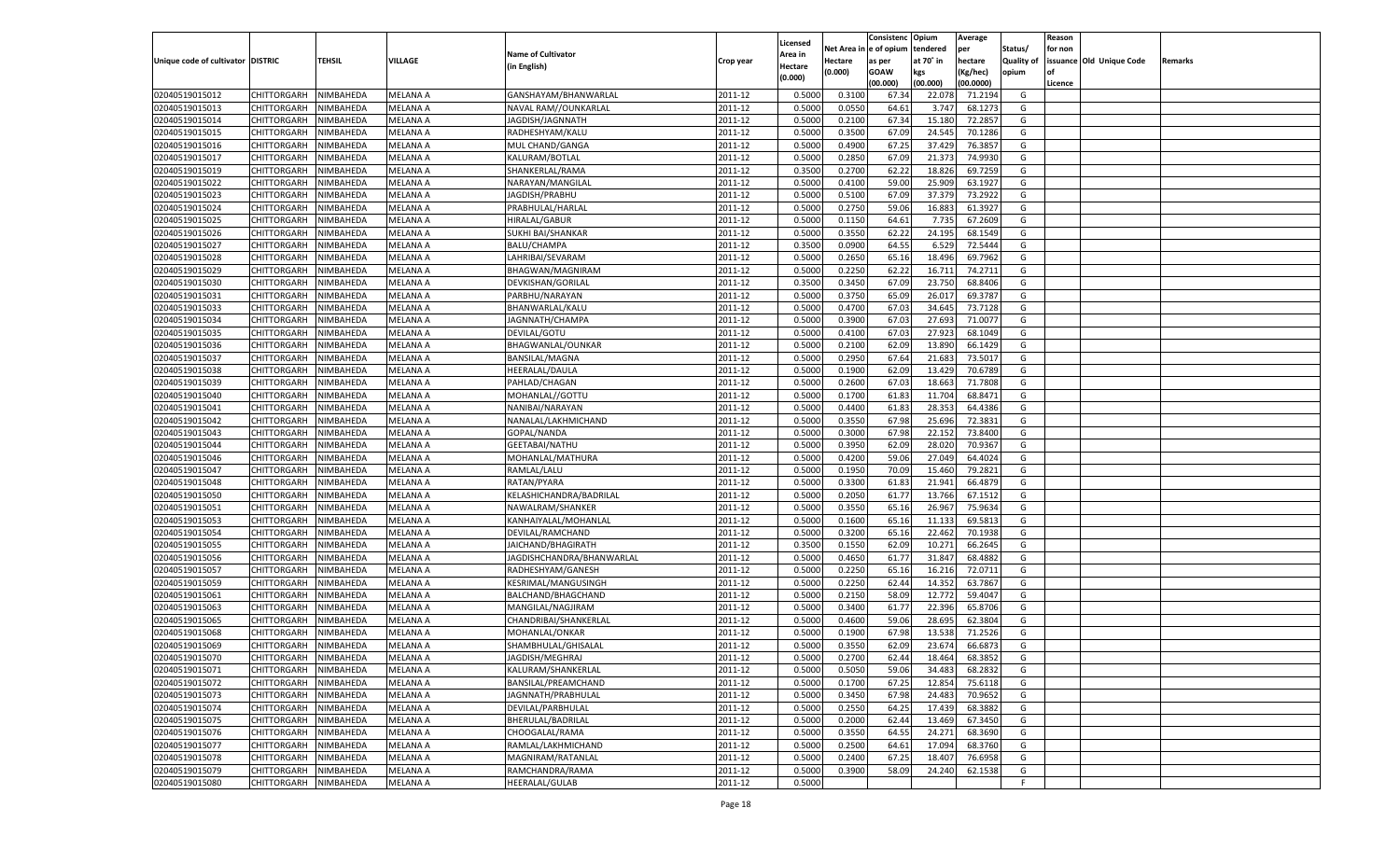|                                   |                       |               |                      |                                        |           |                           |          | Consistenc     | Opium     | Average            |                   | Reason  |                          |         |
|-----------------------------------|-----------------------|---------------|----------------------|----------------------------------------|-----------|---------------------------|----------|----------------|-----------|--------------------|-------------------|---------|--------------------------|---------|
|                                   |                       |               |                      | <b>Name of Cultivator</b>              |           | Licensed                  | Net Area | e of opium     | tendered  | per                | Status/           | for non |                          |         |
| Unique code of cultivator DISTRIC |                       | <b>TEHSIL</b> | VILLAGE              | (in English)                           | Crop year | <b>Area in</b><br>Hectare | Hectare  | as per         | at 70° in | hectare            | <b>Quality of</b> |         | issuance Old Unique Code | Remarks |
|                                   |                       |               |                      |                                        |           | (0.000)                   | (0.000)  | <b>GOAW</b>    | kgs       | (Kg/hec)           | opium             |         |                          |         |
|                                   |                       |               |                      |                                        |           |                           |          | (00.000)       | (00.000)  | (00.0000)          |                   | Licence |                          |         |
| 02040519015012                    | CHITTORGARH           | NIMBAHEDA     | MELANA A             | GANSHAYAM/BHANWARLAL                   | 2011-12   | 0.5000                    | 0.3100   | 67.34          | 22.078    | 71.2194            | G                 |         |                          |         |
| 02040519015013                    | CHITTORGARH           | NIMBAHEDA     | MELANA A             | NAVAL RAM//OUNKARLAL                   | 2011-12   | 0.5000                    | 0.0550   | 64.61          | 3.747     | 68.127             | G                 |         |                          |         |
| 02040519015014                    | CHITTORGARH           | NIMBAHEDA     | MELANA A             | JAGDISH/JAGNNATH                       | 2011-12   | 0.5000                    | 0.2100   | 67.34          | 15.18     | 72.2857            | G                 |         |                          |         |
| 02040519015015                    | CHITTORGARH           | NIMBAHEDA     | MELANA A             | RADHESHYAM/KALU                        | 2011-12   | 0.5000                    | 0.3500   | 67.09          | 24.545    | 70.1286            | G                 |         |                          |         |
| 02040519015016                    | CHITTORGARH           | NIMBAHEDA     | MELANA A             | MUL CHAND/GANGA                        | 2011-12   | 0.5000                    | 0.4900   | 67.25          | 37.429    | 76.3857            | G                 |         |                          |         |
| 02040519015017                    | CHITTORGARH           | NIMBAHEDA     | MELANA A             | KALURAM/BOTLAL                         | 2011-12   | 0.5000                    | 0.2850   | 67.09          | 21.373    | 74.9930            | G                 |         |                          |         |
| 02040519015019                    | CHITTORGARH           | NIMBAHEDA     | MELANA A             | SHANKERLAL/RAMA                        | 2011-12   | 0.3500                    | 0.2700   | 62.22          | 18.826    | 69.7259            | G                 |         |                          |         |
| 02040519015022                    | CHITTORGARH           | NIMBAHEDA     | MELANA A             | NARAYAN/MANGILAL                       | 2011-12   | 0.5000                    | 0.4100   | 59.00          | 25.909    | 63.1927            | G                 |         |                          |         |
| 02040519015023                    | CHITTORGARH           | NIMBAHEDA     | MELANA A             | JAGDISH/PRABHU                         | 2011-12   | 0.5000                    | 0.5100   | 67.09          | 37.379    | 73.2922            | G                 |         |                          |         |
| 02040519015024                    | CHITTORGARH           | NIMBAHEDA     | MELANA A             | PRABHULAL/HARLAL                       | 2011-12   | 0.5000                    | 0.2750   | 59.06          | 16.883    | 61.3927            | G                 |         |                          |         |
| 02040519015025                    | CHITTORGARH           | NIMBAHEDA     | MELANA A             | <b>HIRALAL/GABUR</b>                   | 2011-12   | 0.5000                    | 0.1150   | 64.61          | 7.735     | 67.2609            | G                 |         |                          |         |
| 02040519015026                    | CHITTORGARH           | NIMBAHEDA     | MELANA A             | <b>SUKHI BAI/SHANKAR</b>               | 2011-12   | 0.5000                    | 0.3550   | 62.22          | 24.195    | 68.1549            | G                 |         |                          |         |
| 02040519015027                    | CHITTORGARH           | NIMBAHEDA     | MELANA A             | <b>BALU/CHAMPA</b>                     | 2011-12   | 0.3500                    | 0.0900   | 64.55          | 6.529     | 72.5444            | G                 |         |                          |         |
| 02040519015028                    | CHITTORGARH           | NIMBAHEDA     | MELANA A             | LAHRIBAI/SEVARAM                       | 2011-12   | 0.5000                    | 0.2650   | 65.16          | 18.496    | 69.7962            | G                 |         |                          |         |
| 02040519015029                    | CHITTORGARH           | NIMBAHEDA     | MELANA A             | BHAGWAN/MAGNIRAM                       | 2011-12   | 0.5000                    | 0.2250   | 62.22          | 16.711    | 74.2711            | G                 |         |                          |         |
| 02040519015030                    | CHITTORGARH           | NIMBAHEDA     | MELANA A             | DEVKISHAN/GORILAL                      | 2011-12   | 0.3500                    | 0.3450   | 67.09          | 23.750    | 68.8406            | G                 |         |                          |         |
| 02040519015031                    | CHITTORGARH           | NIMBAHEDA     | <b>MELANA A</b>      | PARBHU/NARAYAN                         | 2011-12   | 0.5000                    | 0.3750   | 65.09          | 26.017    | 69.3787            | G                 |         |                          |         |
| 02040519015033                    | CHITTORGARH           | NIMBAHEDA     | MELANA A             | BHANWARLAL/KALU                        | 2011-12   | 0.5000                    | 0.4700   | 67.03          | 34.645    | 73.7128            | G                 |         |                          |         |
| 02040519015034                    | CHITTORGARH           | NIMBAHEDA     | MELANA A             | JAGNNATH/CHAMPA                        | 2011-12   | 0.5000                    | 0.3900   | 67.03          | 27.693    | 71.0077            | G                 |         |                          |         |
| 02040519015035                    | CHITTORGARH           | NIMBAHEDA     | MELANA A             | DEVILAL/GOTU                           | 2011-12   | 0.5000                    | 0.4100   | 67.03          | 27.923    | 68.1049            | G                 |         |                          |         |
| 02040519015036                    | CHITTORGARH           | NIMBAHEDA     | <b>MELANA A</b>      | BHAGWANLAL/OUNKAR                      | 2011-12   | 0.5000                    | 0.2100   | 62.09          | 13.890    | 66.1429            | G                 |         |                          |         |
| 02040519015037                    | CHITTORGARH           | NIMBAHEDA     | MELANA A             | <b>BANSILAL/MAGNA</b>                  | 2011-12   | 0.5000                    | 0.2950   | 67.64          | 21.683    | 73.5017            | G                 |         |                          |         |
| 02040519015038                    | CHITTORGARH           | NIMBAHEDA     | MELANA A             | HEERALAL/DAULA                         | 2011-12   | 0.5000                    | 0.1900   | 62.09          | 13.429    | 70.6789            | G                 |         |                          |         |
| 02040519015039                    | CHITTORGARH           | NIMBAHEDA     | MELANA A             | PAHLAD/CHAGAN                          | 2011-12   | 0.5000                    | 0.2600   | 67.03          | 18.663    | 71.7808            | G                 |         |                          |         |
| 02040519015040                    | CHITTORGARH           | NIMBAHEDA     | <b>MELANA A</b>      | MOHANLAL//GOTTU                        | 2011-12   | 0.5000                    | 0.1700   | 61.83          | 11.704    | 68.8471            | G                 |         |                          |         |
| 02040519015041                    |                       |               |                      |                                        | 2011-12   |                           | 0.4400   |                | 28.353    | 64.4386            | G                 |         |                          |         |
| 02040519015042                    | CHITTORGARH           | NIMBAHEDA     | MELANA A<br>MELANA A | NANIBAI/NARAYAN<br>NANALAL/LAKHMICHAND | 2011-12   | 0.5000<br>0.5000          | 0.3550   | 61.83<br>67.98 | 25.696    | 72.3831            | G                 |         |                          |         |
|                                   | CHITTORGARH           | NIMBAHEDA     |                      |                                        |           |                           |          |                |           |                    |                   |         |                          |         |
| 02040519015043                    | CHITTORGARH           | NIMBAHEDA     | MELANA A             | GOPAL/NANDA                            | 2011-12   | 0.5000                    | 0.3000   | 67.98          | 22.152    | 73.8400<br>70.9367 | G<br>G            |         |                          |         |
| 02040519015044                    | CHITTORGARH           | NIMBAHEDA     | MELANA A             | GEETABAI/NATHU                         | 2011-12   | 0.5000                    | 0.3950   | 62.09          | 28.020    |                    |                   |         |                          |         |
| 02040519015046                    | CHITTORGARH           | NIMBAHEDA     | MELANA A             | MOHANLAL/MATHURA                       | 2011-12   | 0.5000                    | 0.4200   | 59.06          | 27.049    | 64.4024            | G                 |         |                          |         |
| 02040519015047                    | CHITTORGARH           | NIMBAHEDA     | MELANA A             | RAMLAL/LALU                            | 2011-12   | 0.5000                    | 0.1950   | 70.09          | 15.46     | 79.2821            | G                 |         |                          |         |
| 02040519015048                    | CHITTORGARH           | NIMBAHEDA     | MELANA A             | RATAN/PYARA                            | 2011-12   | 0.5000                    | 0.3300   | 61.83          | 21.941    | 66.4879            | G                 |         |                          |         |
| 02040519015050                    | CHITTORGARH           | NIMBAHEDA     | MELANA A             | KELASHICHANDRA/BADRILAL                | 2011-12   | 0.5000                    | 0.2050   | 61.77          | 13.766    | 67.151             | G                 |         |                          |         |
| 02040519015051                    | CHITTORGARH           | NIMBAHEDA     | MELANA A             | NAWALRAM/SHANKER                       | 2011-12   | 0.5000                    | 0.3550   | 65.16          | 26.967    | 75.9634            | G                 |         |                          |         |
| 02040519015053                    | CHITTORGARH           | NIMBAHEDA     | <b>MELANA A</b>      | KANHAIYALAL/MOHANLAL                   | 2011-12   | 0.5000                    | 0.1600   | 65.16          | 11.133    | 69.581             | G                 |         |                          |         |
| 02040519015054                    | CHITTORGARH           | NIMBAHEDA     | MELANA A             | DEVILAL/RAMCHAND                       | 2011-12   | 0.5000                    | 0.3200   | 65.16          | 22.462    | 70.1938            | G                 |         |                          |         |
| 02040519015055                    | CHITTORGARH           | NIMBAHEDA     | MELANA A             | JAICHAND/BHAGIRATH                     | 2011-12   | 0.3500                    | 0.1550   | 62.09          | 10.271    | 66.2645            | G                 |         |                          |         |
| 02040519015056                    | CHITTORGARH           | NIMBAHEDA     | MELANA A             | JAGDISHCHANDRA/BHANWARLAI              | 2011-12   | 0.5000                    | 0.4650   | 61.77          | 31.84     | 68.488             | G                 |         |                          |         |
| 02040519015057                    | CHITTORGARH           | NIMBAHEDA     | <b>MELANA A</b>      | RADHESHYAM/GANESH                      | 2011-12   | 0.5000                    | 0.2250   | 65.16          | 16.216    | 72.0711            | G                 |         |                          |         |
| 02040519015059                    | CHITTORGARH           | NIMBAHEDA     | MELANA A             | KESRIMAL/MANGUSINGH                    | 2011-12   | 0.5000                    | 0.2250   | 62.44          | 14.352    | 63.7867            | G                 |         |                          |         |
| 02040519015061                    | CHITTORGARH           | NIMBAHEDA     | <b>MELANA A</b>      | BALCHAND/BHAGCHAND                     | 2011-12   | 0.5000                    | 0.2150   | 58.09          | 12.772    | 59.4047            | G                 |         |                          |         |
| 02040519015063                    | CHITTORGARH           | NIMBAHEDA     | MELANA A             | MANGILAL/NAGJIRAM                      | 2011-12   | 0.5000                    | 0.3400   | 61.77          | 22.396    | 65.870             | G                 |         |                          |         |
| 02040519015065                    | CHITTORGARH           | NIMBAHEDA     | <b>MELANA A</b>      | CHANDRIBAI/SHANKERLAL                  | 2011-12   | 0.5000                    | 0.4600   | 59.06          | 28.69     | 62.3804            | G                 |         |                          |         |
| 02040519015068                    | CHITTORGARH           | NIMBAHEDA     | MELANA A             | MOHANLAL/ONKAR                         | 2011-12   | 0.5000                    | 0.1900   | 67.98          | 13.53     | 71.2526            | G                 |         |                          |         |
| 02040519015069                    | CHITTORGARH           | NIMBAHEDA     | MELANA A             | SHAMBHULAL/GHISALAL                    | 2011-12   | 0.5000                    | 0.3550   | 62.09          | 23.674    | 66.6873            | G                 |         |                          |         |
| 02040519015070                    | CHITTORGARH NIMBAHEDA |               | <b>MELANA A</b>      | JAGDISH/MEGHRAJ                        | 2011-12   | 0.5000                    | 0.2700   | 62.44          | 18.464    | 68.3852            | G                 |         |                          |         |
| 02040519015071                    | <b>CHITTORGARH</b>    | NIMBAHEDA     | <b>MELANA A</b>      | KALURAM/SHANKERLAL                     | 2011-12   | 0.5000                    | 0.5050   | 59.06          | 34.483    | 68.2832            | G                 |         |                          |         |
| 02040519015072                    | <b>CHITTORGARH</b>    | NIMBAHEDA     | <b>MELANA A</b>      | BANSILAL/PREAMCHAND                    | 2011-12   | 0.5000                    | 0.1700   | 67.25          | 12.854    | 75.6118            | G                 |         |                          |         |
| 02040519015073                    | <b>CHITTORGARH</b>    | NIMBAHEDA     | <b>MELANA A</b>      | JAGNNATH/PRABHULAL                     | 2011-12   | 0.5000                    | 0.3450   | 67.98          | 24.483    | 70.9652            | G                 |         |                          |         |
| 02040519015074                    | <b>CHITTORGARH</b>    | NIMBAHEDA     | <b>MELANA A</b>      | DEVILAL/PARBHULAL                      | 2011-12   | 0.5000                    | 0.2550   | 64.25          | 17.439    | 68.3882            | G                 |         |                          |         |
| 02040519015075                    | <b>CHITTORGARH</b>    | NIMBAHEDA     | <b>MELANA A</b>      | BHERULAL/BADRILAL                      | 2011-12   | 0.5000                    | 0.2000   | 62.44          | 13.469    | 67.3450            | G                 |         |                          |         |
| 02040519015076                    | <b>CHITTORGARH</b>    | NIMBAHEDA     | <b>MELANA A</b>      | CHOOGALAL/RAMA                         | 2011-12   | 0.5000                    | 0.3550   | 64.55          | 24.271    | 68.3690            | G                 |         |                          |         |
| 02040519015077                    | <b>CHITTORGARH</b>    | NIMBAHEDA     | <b>MELANA A</b>      | RAMLAL/LAKHMICHAND                     | 2011-12   | 0.5000                    | 0.2500   | 64.61          | 17.094    | 68.3760            | G                 |         |                          |         |
| 02040519015078                    | <b>CHITTORGARH</b>    | NIMBAHEDA     | <b>MELANA A</b>      | MAGNIRAM/RATANLAL                      | 2011-12   | 0.5000                    | 0.2400   | 67.25          | 18.407    | 76.6958            | G                 |         |                          |         |
| 02040519015079                    | <b>CHITTORGARH</b>    | NIMBAHEDA     | <b>MELANA A</b>      | RAMCHANDRA/RAMA                        | 2011-12   | 0.5000                    | 0.3900   | 58.09          | 24.240    | 62.1538            | G                 |         |                          |         |
| 02040519015080                    | <b>CHITTORGARH</b>    | NIMBAHEDA     | <b>MELANA A</b>      | HEERALAL/GULAB                         | 2011-12   | 0.5000                    |          |                |           |                    | F.                |         |                          |         |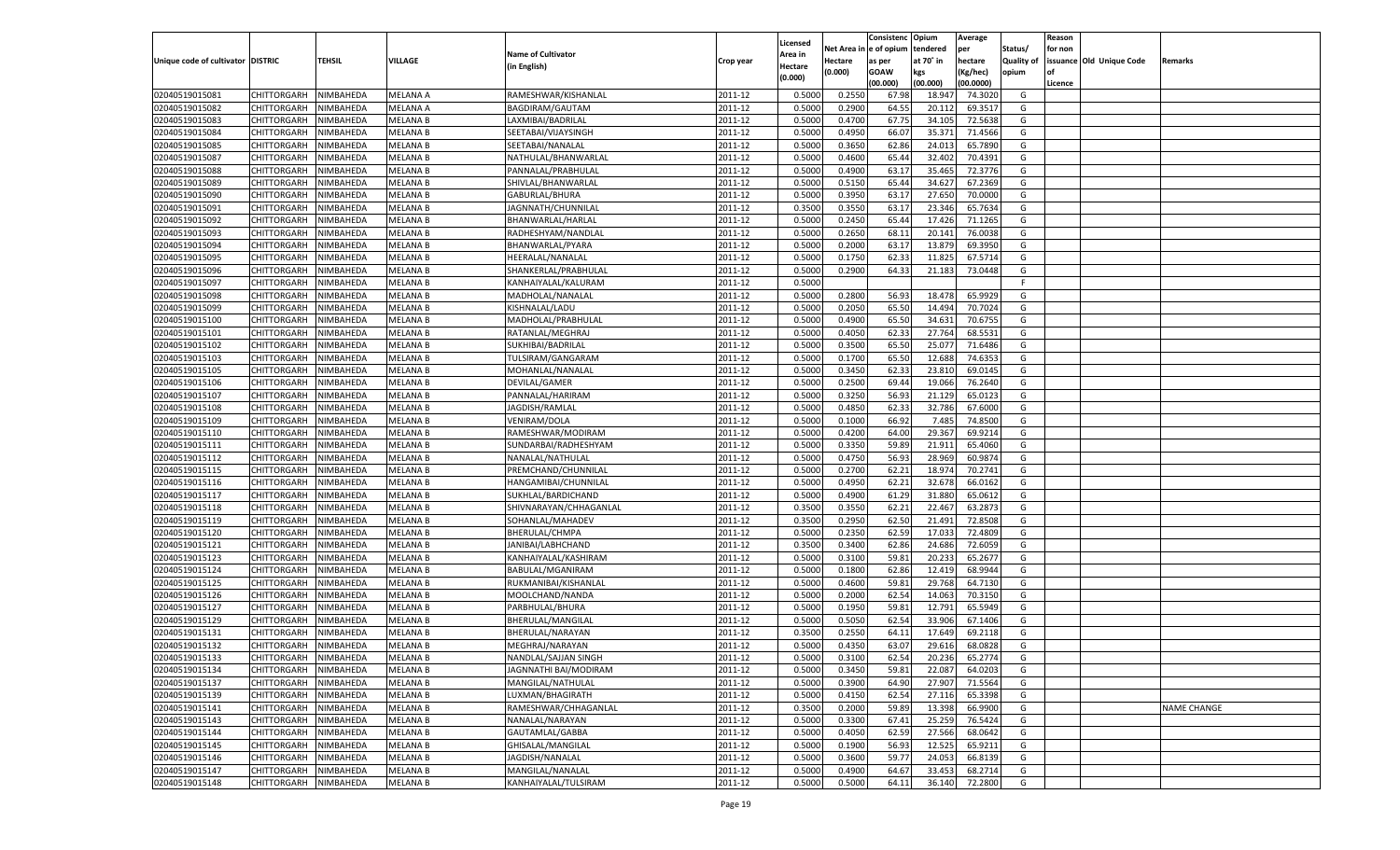|                                   |                       |           |                 |                           |           |          |          | Consistenc Opium |           | Average   |                   | Reason    |                          |                    |
|-----------------------------------|-----------------------|-----------|-----------------|---------------------------|-----------|----------|----------|------------------|-----------|-----------|-------------------|-----------|--------------------------|--------------------|
|                                   |                       |           |                 |                           |           | Licensed | Net Area | e of opium       | tendered  | per       | Status/           | for non   |                          |                    |
| Unique code of cultivator DISTRIC |                       | TEHSIL    | VILLAGE         | <b>Name of Cultivator</b> | Crop year | Area in  | Hectare  | as per           | at 70° in | hectare   | <b>Quality of</b> |           | issuance Old Unique Code | Remarks            |
|                                   |                       |           |                 | (in English)              |           | Hectare  | (0.000)  | <b>GOAW</b>      | kgs       | (Kg/hec)  | opium             | <b>of</b> |                          |                    |
|                                   |                       |           |                 |                           |           | (0.000)  |          | (00.000)         | (00.000)  | (00.0000) |                   | Licence   |                          |                    |
| 02040519015081                    | CHITTORGARH           | NIMBAHEDA | <b>MELANA A</b> | RAMESHWAR/KISHANLAL       | 2011-12   | 0.5000   | 0.2550   | 67.98            | 18.94     | 74.3020   | G                 |           |                          |                    |
| 02040519015082                    | CHITTORGARH           | NIMBAHEDA | MELANA A        | BAGDIRAM/GAUTAM           | 2011-12   | 0.5000   | 0.2900   | 64.55            | 20.112    | 69.3517   | G                 |           |                          |                    |
| 02040519015083                    | <b>CHITTORGARH</b>    | NIMBAHEDA | <b>MELANA B</b> | LAXMIBAI/BADRILAL         | 2011-12   | 0.5000   | 0.4700   | 67.75            | 34.105    | 72.5638   | G                 |           |                          |                    |
| 02040519015084                    | CHITTORGARH           | NIMBAHEDA | MELANA B        | SEETABAI/VIJAYSINGH       | 2011-12   | 0.5000   | 0.4950   | 66.07            | 35.371    | 71.4566   | G                 |           |                          |                    |
| 02040519015085                    | CHITTORGARH           | NIMBAHEDA | <b>MELANA B</b> | SEETABAI/NANALAL          | 2011-12   | 0.5000   | 0.3650   | 62.86            | 24.013    | 65.7890   | G                 |           |                          |                    |
| 02040519015087                    | CHITTORGARH           | NIMBAHEDA | MELANA B        | NATHULAL/BHANWARLAI       | 2011-12   | 0.5000   | 0.4600   | 65.4             | 32.402    | 70.4391   | G                 |           |                          |                    |
| 02040519015088                    | CHITTORGARH           | NIMBAHEDA | <b>MELANA B</b> | PANNALAL/PRABHULAI        | 2011-12   | 0.5000   | 0.4900   | 63.17            | 35.465    | 72.3776   | G                 |           |                          |                    |
| 02040519015089                    | CHITTORGARH           | NIMBAHEDA | MELANA B        | SHIVLAL/BHANWARLAL        | 2011-12   | 0.5000   | 0.5150   | 65.44            | 34.62     | 67.2369   | G                 |           |                          |                    |
| 02040519015090                    | CHITTORGARH           | NIMBAHEDA | <b>MELANA B</b> | GABURLAL/BHURA            | 2011-12   | 0.5000   | 0.3950   | 63.17            | 27.65     | 70.0000   | G                 |           |                          |                    |
| 02040519015091                    | CHITTORGARH           | NIMBAHEDA | MELANA B        | JAGNNATH/CHUNNILAL        | 2011-12   | 0.3500   | 0.3550   | 63.17            | 23.34     | 65.7634   | G                 |           |                          |                    |
| 02040519015092                    | CHITTORGARH           | NIMBAHEDA | <b>MELANA B</b> | BHANWARLAL/HARLAL         | 2011-12   | 0.5000   | 0.2450   | 65.44            | 17.426    | 71.1265   | G                 |           |                          |                    |
| 02040519015093                    | CHITTORGARH           | NIMBAHEDA | MELANA B        | RADHESHYAM/NANDLAL        | 2011-12   | 0.5000   | 0.2650   | 68.11            | 20.141    | 76.0038   | G                 |           |                          |                    |
| 02040519015094                    | CHITTORGARH           | NIMBAHEDA | <b>MELANA B</b> | BHANWARLAL/PYARA          | 2011-12   | 0.5000   | 0.2000   | 63.17            | 13.879    | 69.3950   | G                 |           |                          |                    |
| 02040519015095                    | CHITTORGARH           | NIMBAHEDA | <b>MELANA B</b> | HEERALAL/NANALAL          | 2011-12   | 0.5000   | 0.1750   | 62.33            | 11.825    | 67.5714   | G                 |           |                          |                    |
|                                   | <b>CHITTORGARH</b>    | NIMBAHEDA | <b>MELANA B</b> |                           | 2011-12   |          |          | 64.33            |           | 73.0448   | G                 |           |                          |                    |
| 02040519015096                    |                       |           |                 | SHANKERLAL/PRABHULAL      |           | 0.5000   | 0.2900   |                  | 21.183    |           |                   |           |                          |                    |
| 02040519015097                    | CHITTORGARH           | NIMBAHEDA | <b>MELANA B</b> | KANHAIYALAL/KALURAM       | 2011-12   | 0.5000   |          |                  |           |           | F.                |           |                          |                    |
| 02040519015098                    | <b>CHITTORGARH</b>    | NIMBAHEDA | <b>MELANA B</b> | MADHOLAL/NANALAL          | 2011-12   | 0.5000   | 0.2800   | 56.93            | 18.478    | 65.9929   | G                 |           |                          |                    |
| 02040519015099                    | CHITTORGARH           | NIMBAHEDA | <b>MELANA B</b> | KISHNALAL/LADU            | 2011-12   | 0.5000   | 0.2050   | 65.50            | 14.494    | 70.7024   | G                 |           |                          |                    |
| 02040519015100                    | <b>CHITTORGARH</b>    | NIMBAHEDA | <b>MELANA B</b> | MADHOLAL/PRABHULAL        | 2011-12   | 0.5000   | 0.4900   | 65.50            | 34.631    | 70.6755   | G                 |           |                          |                    |
| 02040519015101                    | CHITTORGARH           | NIMBAHEDA | <b>MELANA B</b> | RATANLAL/MEGHRAJ          | 2011-12   | 0.5000   | 0.4050   | 62.33            | 27.764    | 68.5531   | G                 |           |                          |                    |
| 02040519015102                    | <b>CHITTORGARH</b>    | NIMBAHEDA | <b>MELANA B</b> | SUKHIBAI/BADRILAL         | 2011-12   | 0.5000   | 0.3500   | 65.50            | 25.077    | 71.6486   | G                 |           |                          |                    |
| 02040519015103                    | CHITTORGARH           | NIMBAHEDA | <b>MELANA B</b> | TULSIRAM/GANGARAM         | 2011-12   | 0.5000   | 0.1700   | 65.50            | 12.688    | 74.6353   | G                 |           |                          |                    |
| 02040519015105                    | <b>CHITTORGARH</b>    | NIMBAHEDA | <b>MELANA B</b> | MOHANLAL/NANALAL          | 2011-12   | 0.5000   | 0.3450   | 62.33            | 23.810    | 69.0145   | G                 |           |                          |                    |
| 02040519015106                    | CHITTORGARH           | NIMBAHEDA | <b>MELANA B</b> | DEVILAL/GAMER             | 2011-12   | 0.5000   | 0.2500   | 69.44            | 19.066    | 76.2640   | G                 |           |                          |                    |
| 02040519015107                    | <b>CHITTORGARH</b>    | NIMBAHEDA | <b>MELANA B</b> | PANNALAL/HARIRAM          | 2011-12   | 0.5000   | 0.3250   | 56.93            | 21.129    | 65.0123   | G                 |           |                          |                    |
| 02040519015108                    | CHITTORGARH           | NIMBAHEDA | <b>MELANA B</b> | JAGDISH/RAMLAL            | 2011-12   | 0.5000   | 0.4850   | 62.33            | 32.786    | 67.6000   | G                 |           |                          |                    |
| 02040519015109                    | <b>CHITTORGARH</b>    | NIMBAHEDA | <b>MELANA B</b> | <b>VENIRAM/DOLA</b>       | 2011-12   | 0.5000   | 0.1000   | 66.92            | 7.485     | 74.8500   | G                 |           |                          |                    |
| 02040519015110                    | CHITTORGARH           | NIMBAHEDA | <b>MELANA B</b> | RAMESHWAR/MODIRAM         | 2011-12   | 0.5000   | 0.4200   | 64.00            | 29.367    | 69.9214   | G                 |           |                          |                    |
| 02040519015111                    | <b>CHITTORGARH</b>    | NIMBAHEDA | <b>MELANA B</b> | SUNDARBAI/RADHESHYAM      | 2011-12   | 0.5000   | 0.3350   | 59.89            | 21.911    | 65.4060   | G                 |           |                          |                    |
| 02040519015112                    | CHITTORGARH           | NIMBAHEDA | <b>MELANA B</b> | NANALAL/NATHULAL          | 2011-12   | 0.5000   | 0.4750   | 56.93            | 28.969    | 60.9874   | G                 |           |                          |                    |
| 02040519015115                    | CHITTORGARH           | NIMBAHEDA | <b>MELANA B</b> | PREMCHAND/CHUNNILAI       | 2011-12   | 0.5000   | 0.2700   | 62.21            | 18.97     | 70.2741   | G                 |           |                          |                    |
| 02040519015116                    | CHITTORGARH           | NIMBAHEDA | MELANA B        | HANGAMIBAI/CHUNNILAL      | 2011-12   | 0.5000   | 0.4950   | 62.21            | 32.67     | 66.0162   | G                 |           |                          |                    |
| 02040519015117                    | CHITTORGARH           | NIMBAHEDA | <b>MELANA B</b> | SUKHLAL/BARDICHAND        | 2011-12   | 0.5000   | 0.4900   | 61.29            | 31.88     | 65.0612   | G                 |           |                          |                    |
| 02040519015118                    | CHITTORGARH           | NIMBAHEDA | <b>MELANA B</b> | SHIVNARAYAN/CHHAGANLAL    | 2011-12   | 0.3500   | 0.3550   | 62.21            | 22.46     | 63.287    | G                 |           |                          |                    |
| 02040519015119                    | CHITTORGARH           | NIMBAHEDA | <b>MELANA B</b> | SOHANLAL/MAHADEV          | 2011-12   | 0.3500   | 0.2950   | 62.50            | 21.491    | 72.8508   | G                 |           |                          |                    |
| 02040519015120                    | CHITTORGARH           | NIMBAHEDA | <b>MELANA B</b> | BHERULAL/CHMPA            | 2011-12   | 0.5000   | 0.2350   | 62.59            | 17.03     | 72.4809   | G                 |           |                          |                    |
| 02040519015121                    | CHITTORGARH           | NIMBAHEDA | <b>MELANA B</b> | JANIBAI/LABHCHAND         | 2011-12   | 0.3500   | 0.3400   | 62.86            | 24.686    | 72.6059   | G                 |           |                          |                    |
| 02040519015123                    | CHITTORGARH           | NIMBAHEDA | <b>MELANA B</b> | KANHAIYALAL/KASHIRAM      | 2011-12   | 0.5000   | 0.3100   | 59.81            | 20.23     | 65.2677   | G                 |           |                          |                    |
|                                   |                       |           |                 |                           |           |          |          |                  |           |           |                   |           |                          |                    |
| 02040519015124                    | CHITTORGARH           | NIMBAHEDA | <b>MELANA B</b> | BABULAL/MGANIRAM          | 2011-12   | 0.5000   | 0.1800   | 62.86            | 12.419    | 68.9944   | G                 |           |                          |                    |
| 02040519015125                    | CHITTORGARH           | NIMBAHEDA | <b>MELANA B</b> | RUKMANIBAI/KISHANLAI      | 2011-12   | 0.5000   | 0.4600   | 59.81            | 29.768    | 64.7130   | G                 |           |                          |                    |
| 02040519015126                    | CHITTORGARH           | NIMBAHEDA | <b>MELANA B</b> | MOOLCHAND/NANDA           | 2011-12   | 0.5000   | 0.2000   | 62.54            | 14.063    | 70.3150   | G                 |           |                          |                    |
| 02040519015127                    | CHITTORGARH           | NIMBAHEDA | <b>MELANA B</b> | PARBHULAL/BHURA           | 2011-12   | 0.5000   | 0.1950   | 59.81            | 12.791    | 65.5949   | G                 |           |                          |                    |
| 02040519015129                    | CHITTORGARH           | NIMBAHEDA | <b>MELANA B</b> | BHERULAL/MANGILAI         | 2011-12   | 0.5000   | 0.5050   | 62.54            | 33.906    | 67.1406   | G                 |           |                          |                    |
| 02040519015131                    | CHITTORGARH           | NIMBAHEDA | <b>MELANA B</b> | BHERULAL/NARAYAN          | 2011-12   | 0.3500   | 0.2550   | 64.1             | 17.649    | 69.2118   | G                 |           |                          |                    |
| 02040519015132                    | CHITTORGARH           | NIMBAHEDA | <b>MELANA B</b> | MEGHRAJ/NARAYAN           | 2011-12   | 0.5000   | 0.4350   | 63.07            | 29.616    | 68.0828   | G                 |           |                          |                    |
| 02040519015133                    | CHITTORGARH NIMBAHEDA |           | <b>MELANA B</b> | NANDLAL/SAJJAN SINGH      | 2011-12   | 0.5000   | 0.3100   | 62.54            | 20.236    | 65.2774   | G                 |           |                          |                    |
| 02040519015134                    | <b>CHITTORGARH</b>    | NIMBAHEDA | <b>MELANA B</b> | JAGNNATHI BAI/MODIRAM     | 2011-12   | 0.5000   | 0.3450   | 59.81            | 22.087    | 64.0203   | G                 |           |                          |                    |
| 02040519015137                    | <b>CHITTORGARH</b>    | NIMBAHEDA | <b>MELANA B</b> | MANGILAL/NATHULAL         | 2011-12   | 0.5000   | 0.3900   | 64.90            | 27.907    | 71.5564   | G                 |           |                          |                    |
| 02040519015139                    | <b>CHITTORGARH</b>    | NIMBAHEDA | <b>MELANA B</b> | LUXMAN/BHAGIRATH          | 2011-12   | 0.5000   | 0.4150   | 62.54            | 27.116    | 65.3398   | G                 |           |                          |                    |
| 02040519015141                    | <b>CHITTORGARH</b>    | NIMBAHEDA | <b>MELANA B</b> | RAMESHWAR/CHHAGANLAL      | 2011-12   | 0.3500   | 0.2000   | 59.89            | 13.398    | 66.9900   | G                 |           |                          | <b>NAME CHANGE</b> |
| 02040519015143                    | <b>CHITTORGARH</b>    | NIMBAHEDA | <b>MELANA B</b> | NANALAL/NARAYAN           | 2011-12   | 0.5000   | 0.3300   | 67.41            | 25.259    | 76.5424   | G                 |           |                          |                    |
| 02040519015144                    | <b>CHITTORGARH</b>    | NIMBAHEDA | <b>MELANA B</b> | GAUTAMLAL/GABBA           | 2011-12   | 0.5000   | 0.4050   | 62.59            | 27.566    | 68.0642   | G                 |           |                          |                    |
| 02040519015145                    | <b>CHITTORGARH</b>    | NIMBAHEDA | <b>MELANA B</b> | GHISALAL/MANGILAL         | 2011-12   | 0.5000   | 0.1900   | 56.93            | 12.525    | 65.9211   | G                 |           |                          |                    |
| 02040519015146                    | <b>CHITTORGARH</b>    | NIMBAHEDA | <b>MELANA B</b> | JAGDISH/NANALAL           | 2011-12   | 0.5000   | 0.3600   | 59.77            | 24.053    | 66.8139   | G                 |           |                          |                    |
| 02040519015147                    | <b>CHITTORGARH</b>    | NIMBAHEDA | <b>MELANA B</b> | MANGILAL/NANALAL          | 2011-12   | 0.5000   | 0.4900   | 64.67            | 33.453    | 68.2714   | G                 |           |                          |                    |
| 02040519015148                    | <b>CHITTORGARH</b>    | NIMBAHEDA | <b>MELANA B</b> | KANHAIYALAL/TULSIRAM      | 2011-12   | 0.5000   | 0.5000   | 64.11            | 36.140    | 72.2800   | G                 |           |                          |                    |
|                                   |                       |           |                 |                           |           |          |          |                  |           |           |                   |           |                          |                    |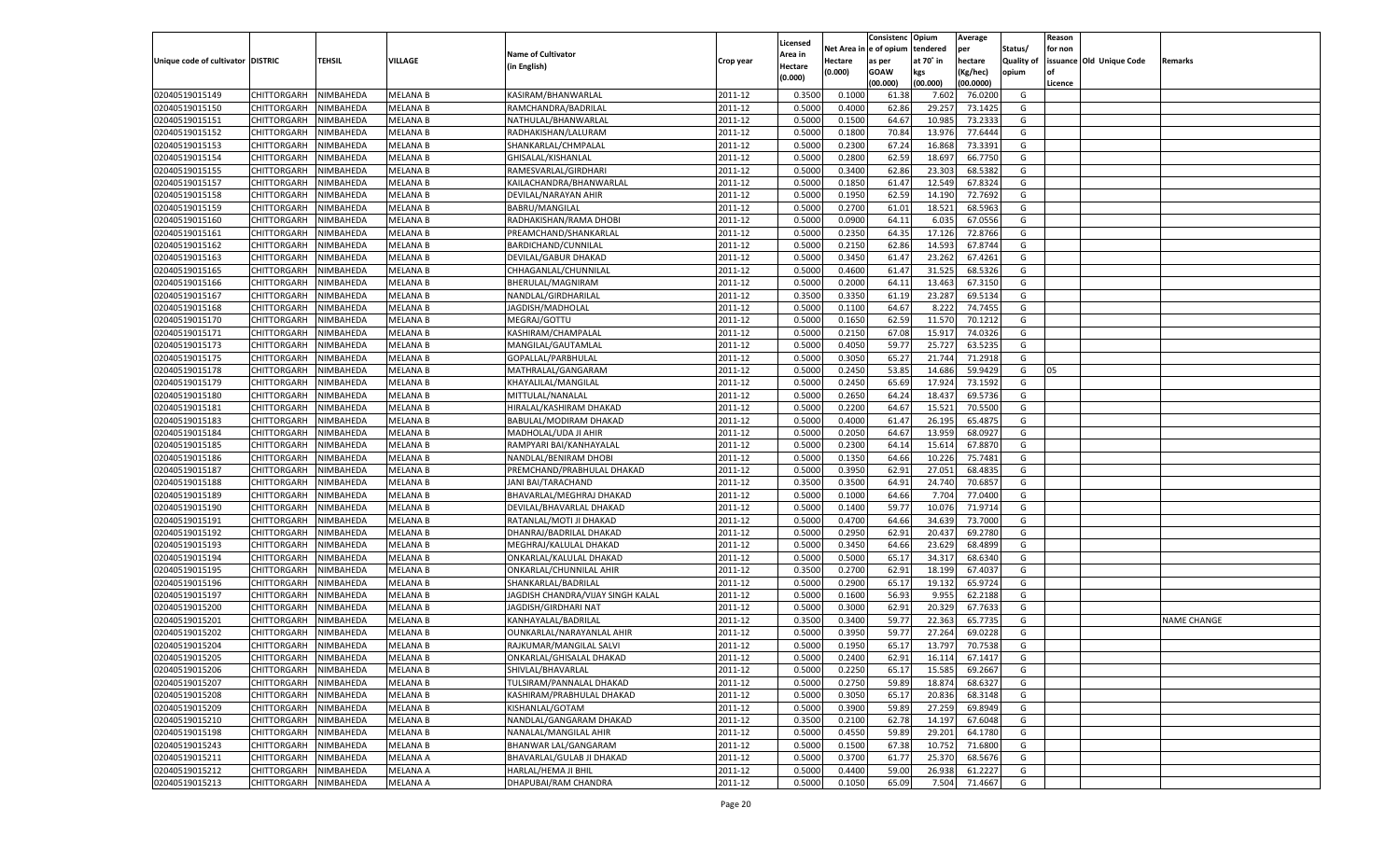|                                   |                       |           |                 |                                   |           |          |          | Consistenc  | Opium     | Average   |                   | Reason    |                          |                    |
|-----------------------------------|-----------------------|-----------|-----------------|-----------------------------------|-----------|----------|----------|-------------|-----------|-----------|-------------------|-----------|--------------------------|--------------------|
|                                   |                       |           |                 |                                   |           | Licensed | Net Area | e of opium  | tendered  | per       | Status/           | for non   |                          |                    |
| Unique code of cultivator DISTRIC |                       | TEHSIL    | VILLAGE         | <b>Name of Cultivator</b>         | Crop year | Area in  | Hectare  | as per      | at 70˚ in | hectare   | <b>Quality of</b> |           | issuance Old Unique Code | Remarks            |
|                                   |                       |           |                 | (in English)                      |           | Hectare  | (0.000)  | <b>GOAW</b> | kgs       | (Kg/hec)  | opium             | <b>of</b> |                          |                    |
|                                   |                       |           |                 |                                   |           | (0.000)  |          | (00.000)    | (00.000)  | (00.0000) |                   | Licence   |                          |                    |
| 02040519015149                    | CHITTORGARH           | NIMBAHEDA | <b>MELANA B</b> | KASIRAM/BHANWARLAL                | 2011-12   | 0.3500   | 0.1000   | 61.38       | 7.602     | 76.0200   | G                 |           |                          |                    |
| 02040519015150                    | CHITTORGARH           | NIMBAHEDA | <b>MELANA B</b> | RAMCHANDRA/BADRILAL               | 2011-12   | 0.5000   | 0.4000   | 62.86       | 29.25     | 73.1425   | G                 |           |                          |                    |
| 02040519015151                    | <b>CHITTORGARH</b>    | NIMBAHEDA | <b>MELANA B</b> | NATHULAL/BHANWARLAI               | 2011-12   | 0.5000   | 0.1500   | 64.67       | 10.985    | 73.2333   | G                 |           |                          |                    |
| 02040519015152                    | CHITTORGARH           | NIMBAHEDA | MELANA B        | RADHAKISHAN/LALURAM               | 2011-12   | 0.5000   | 0.1800   | 70.84       | 13.976    | 77.6444   | G                 |           |                          |                    |
| 02040519015153                    | <b>CHITTORGARH</b>    | NIMBAHEDA | <b>MELANA B</b> | SHANKARLAL/CHMPALAL               | 2011-12   | 0.5000   | 0.2300   | 67.24       | 16.86     | 73.3391   | G                 |           |                          |                    |
| 02040519015154                    | CHITTORGARH           | NIMBAHEDA | MELANA B        | GHISALAL/KISHANLAL                | 2011-12   | 0.5000   | 0.2800   | 62.59       | 18.69     | 66.7750   | G                 |           |                          |                    |
| 02040519015155                    | <b>CHITTORGARH</b>    | NIMBAHEDA | <b>MELANA B</b> | RAMESVARLAL/GIRDHARI              | 2011-12   | 0.5000   | 0.3400   | 62.86       | 23.303    | 68.5382   | G                 |           |                          |                    |
| 02040519015157                    | CHITTORGARH           | NIMBAHEDA | MELANA B        | KAILACHANDRA/BHANWARLAL           | 2011-12   | 0.5000   | 0.1850   | 61.4        | 12.549    | 67.8324   | G                 |           |                          |                    |
| 02040519015158                    | <b>CHITTORGARH</b>    | NIMBAHEDA | <b>MELANA B</b> | DEVILAL/NARAYAN AHIR              | 2011-12   | 0.5000   | 0.1950   | 62.59       | 14.190    | 72.7692   | G                 |           |                          |                    |
| 02040519015159                    | CHITTORGARH           | NIMBAHEDA | MELANA B        | BABRU/MANGILAL                    | 2011-12   | 0.5000   | 0.2700   | 61.01       | 18.521    | 68.596    | G                 |           |                          |                    |
| 02040519015160                    | <b>CHITTORGARH</b>    | NIMBAHEDA | <b>MELANA B</b> | RADHAKISHAN/RAMA DHOBI            | 2011-12   | 0.5000   | 0.0900   | 64.11       | 6.035     | 67.0556   | G                 |           |                          |                    |
| 02040519015161                    | CHITTORGARH           | NIMBAHEDA | MELANA B        | PREAMCHAND/SHANKARLAL             | 2011-12   | 0.5000   | 0.2350   | 64.35       | 17.126    | 72.8766   | G                 |           |                          |                    |
| 02040519015162                    | <b>CHITTORGARH</b>    | NIMBAHEDA | <b>MELANA B</b> | BARDICHAND/CUNNILAL               | 2011-12   | 0.5000   | 0.2150   | 62.86       | 14.593    | 67.8744   | G                 |           |                          |                    |
| 02040519015163                    | CHITTORGARH           | NIMBAHEDA | <b>MELANA B</b> | DEVILAL/GABUR DHAKAD              | 2011-12   | 0.5000   | 0.3450   | 61.4        | 23.262    | 67.4261   | G                 |           |                          |                    |
| 02040519015165                    | <b>CHITTORGARH</b>    | NIMBAHEDA | <b>MELANA B</b> |                                   | 2011-12   | 0.5000   | 0.4600   | 61.47       | 31.525    | 68.5326   | G                 |           |                          |                    |
| 02040519015166                    |                       |           | <b>MELANA B</b> | CHHAGANLAL/CHUNNILAL              | 2011-12   |          | 0.2000   | 64.11       | 13.463    | 67.3150   |                   |           |                          |                    |
|                                   | CHITTORGARH           | NIMBAHEDA |                 | BHERULAL/MAGNIRAM                 |           | 0.5000   |          |             |           |           | G                 |           |                          |                    |
| 02040519015167                    | <b>CHITTORGARH</b>    | NIMBAHEDA | <b>MELANA B</b> | NANDLAL/GIRDHARILAL               | 2011-12   | 0.3500   | 0.3350   | 61.19       | 23.287    | 69.5134   | G                 |           |                          |                    |
| 02040519015168                    | <b>CHITTORGARH</b>    | NIMBAHEDA | <b>MELANA B</b> | JAGDISH/MADHOLAL                  | 2011-12   | 0.5000   | 0.1100   | 64.67       | 8.222     | 74.7455   | G                 |           |                          |                    |
| 02040519015170                    | <b>CHITTORGARH</b>    | NIMBAHEDA | <b>MELANA B</b> | MEGRAJ/GOTTU                      | 2011-12   | 0.5000   | 0.1650   | 62.59       | 11.570    | 70.1212   | G                 |           |                          |                    |
| 02040519015171                    | CHITTORGARH           | NIMBAHEDA | <b>MELANA B</b> | KASHIRAM/CHAMPALAL                | 2011-12   | 0.5000   | 0.2150   | 67.08       | 15.917    | 74.0326   | G                 |           |                          |                    |
| 02040519015173                    | <b>CHITTORGARH</b>    | NIMBAHEDA | <b>MELANA B</b> | MANGILAL/GAUTAMLAL                | 2011-12   | 0.5000   | 0.4050   | 59.77       | 25.727    | 63.5235   | G                 |           |                          |                    |
| 02040519015175                    | <b>CHITTORGARH</b>    | NIMBAHEDA | <b>MELANA B</b> | GOPALLAL/PARBHULAL                | 2011-12   | 0.5000   | 0.3050   | 65.27       | 21.744    | 71.2918   | G                 |           |                          |                    |
| 02040519015178                    | <b>CHITTORGARH</b>    | NIMBAHEDA | <b>MELANA B</b> | MATHRALAL/GANGARAM                | 2011-12   | 0.5000   | 0.2450   | 53.85       | 14.686    | 59.9429   | G                 | 05        |                          |                    |
| 02040519015179                    | CHITTORGARH           | NIMBAHEDA | <b>MELANA B</b> | KHAYALILAL/MANGILAL               | 2011-12   | 0.5000   | 0.2450   | 65.69       | 17.924    | 73.1592   | G                 |           |                          |                    |
| 02040519015180                    | <b>CHITTORGARH</b>    | NIMBAHEDA | <b>MELANA B</b> | MITTULAL/NANALAL                  | 2011-12   | 0.5000   | 0.2650   | 64.24       | 18.437    | 69.5736   | G                 |           |                          |                    |
| 02040519015181                    | <b>CHITTORGARH</b>    | NIMBAHEDA | <b>MELANA B</b> | HIRALAL/KASHIRAM DHAKAD           | 2011-12   | 0.5000   | 0.2200   | 64.67       | 15.52     | 70.5500   | G                 |           |                          |                    |
| 02040519015183                    | <b>CHITTORGARH</b>    | NIMBAHEDA | <b>MELANA B</b> | BABULAL/MODIRAM DHAKAD            | 2011-12   | 0.5000   | 0.4000   | 61.47       | 26.195    | 65.487    | G                 |           |                          |                    |
| 02040519015184                    | CHITTORGARH           | NIMBAHEDA | <b>MELANA B</b> | MADHOLAL/UDA JI AHIR              | 2011-12   | 0.5000   | 0.2050   | 64.67       | 13.959    | 68.0927   | G                 |           |                          |                    |
| 02040519015185                    | <b>CHITTORGARH</b>    | NIMBAHEDA | <b>MELANA B</b> | RAMPYARI BAI/KANHAYALAI           | 2011-12   | 0.5000   | 0.2300   | 64.14       | 15.614    | 67.8870   | G                 |           |                          |                    |
| 02040519015186                    | CHITTORGARH           | NIMBAHEDA | <b>MELANA B</b> | NANDLAL/BENIRAM DHOBI             | 2011-12   | 0.5000   | 0.1350   | 64.66       | 10.226    | 75.7481   | G                 |           |                          |                    |
| 02040519015187                    | CHITTORGARH           | NIMBAHEDA | <b>MELANA B</b> | PREMCHAND/PRABHULAL DHAKAD        | 2011-12   | 0.5000   | 0.3950   | 62.91       | 27.051    | 68.4835   | G                 |           |                          |                    |
| 02040519015188                    | CHITTORGARH           | NIMBAHEDA | <b>MELANA B</b> | JANI BAI/TARACHAND                | 2011-12   | 0.3500   | 0.3500   | 64.91       | 24.74     | 70.6857   | G                 |           |                          |                    |
| 02040519015189                    | <b>CHITTORGARH</b>    | NIMBAHEDA | <b>MELANA B</b> | BHAVARLAL/MEGHRAJ DHAKAD          | 2011-12   | 0.5000   | 0.1000   | 64.66       | 7.704     | 77.0400   | G                 |           |                          |                    |
| 02040519015190                    | CHITTORGARH           | NIMBAHEDA | <b>MELANA B</b> | DEVILAL/BHAVARLAL DHAKAD          | 2011-12   | 0.5000   | 0.1400   | 59.77       | 10.07     | 71.9714   | G                 |           |                          |                    |
| 02040519015191                    | CHITTORGARH           | NIMBAHEDA | <b>MELANA B</b> | RATANLAL/MOTI JI DHAKAD           | 2011-12   | 0.5000   | 0.4700   | 64.66       | 34.639    | 73.7000   | G                 |           |                          |                    |
| 02040519015192                    | CHITTORGARH           | NIMBAHEDA | <b>MELANA B</b> | DHANRAJ/BADRILAL DHAKAD           | 2011-12   | 0.5000   | 0.2950   | 62.91       | 20.43     | 69.2780   | G                 |           |                          |                    |
| 02040519015193                    | <b>CHITTORGARH</b>    | NIMBAHEDA | <b>MELANA B</b> | MEGHRAJ/KALULAL DHAKAD            | 2011-12   | 0.5000   | 0.3450   | 64.66       | 23.629    | 68.4899   | G                 |           |                          |                    |
| 02040519015194                    | CHITTORGARH           | NIMBAHEDA | <b>MELANA B</b> | ONKARLAL/KALULAL DHAKAD           | 2011-12   | 0.5000   | 0.5000   | 65.1        | 34.31     | 68.6340   | G                 |           |                          |                    |
| 02040519015195                    | CHITTORGARH           | NIMBAHEDA | <b>MELANA B</b> | ONKARLAL/CHUNNILAL AHIR           | 2011-12   | 0.3500   | 0.2700   | 62.91       | 18.199    | 67.4037   | G                 |           |                          |                    |
| 02040519015196                    | CHITTORGARH           | NIMBAHEDA | <b>MELANA B</b> | SHANKARLAL/BADRILAL               | 2011-12   | 0.5000   | 0.2900   | 65.17       | 19.13     | 65.9724   | G                 |           |                          |                    |
| 02040519015197                    | <b>CHITTORGARH</b>    | NIMBAHEDA | <b>MELANA B</b> | JAGDISH CHANDRA/VIJAY SINGH KALAL | 2011-12   | 0.5000   | 0.1600   | 56.93       | 9.955     | 62.2188   | G                 |           |                          |                    |
| 02040519015200                    | CHITTORGARH           | NIMBAHEDA | <b>MELANA B</b> | JAGDISH/GIRDHARI NAT              | 2011-12   | 0.5000   | 0.3000   | 62.91       | 20.32     | 67.7633   | G                 |           |                          |                    |
| 02040519015201                    | CHITTORGARH           | NIMBAHEDA | <b>MELANA B</b> | KANHAYALAL/BADRILAL               | 2011-12   | 0.3500   | 0.3400   | 59.77       | 22.363    | 65.7735   | G                 |           |                          | <b>NAME CHANGE</b> |
| 02040519015202                    |                       |           |                 |                                   |           |          |          |             |           |           |                   |           |                          |                    |
|                                   | CHITTORGARH           | NIMBAHEDA | <b>MELANA B</b> | OUNKARLAL/NARAYANLAL AHIR         | 2011-12   | 0.5000   | 0.3950   | 59.7        | 27.264    | 69.0228   | G                 |           |                          |                    |
| 02040519015204                    | CHITTORGARH           | NIMBAHEDA | <b>MELANA B</b> | RAJKUMAR/MANGILAL SALVI           | 2011-12   | 0.5000   | 0.1950   | 65.17       | 13.797    | 70.7538   | G                 |           |                          |                    |
| 02040519015205                    | CHITTORGARH NIMBAHEDA |           | <b>MELANA B</b> | ONKARLAL/GHISALAL DHAKAD          | 2011-12   | 0.5000   | 0.2400   | 62.91       | 16.114    | 67.1417   | G                 |           |                          |                    |
| 02040519015206                    | <b>CHITTORGARH</b>    | NIMBAHEDA | <b>MELANA B</b> | SHIVLAL/BHAVARLAL                 | 2011-12   | 0.5000   | 0.2250   | 65.17       | 15.585    | 69.2667   | G                 |           |                          |                    |
| 02040519015207                    | CHITTORGARH           | NIMBAHEDA | <b>MELANA B</b> | TULSIRAM/PANNALAL DHAKAD          | 2011-12   | 0.5000   | 0.2750   | 59.89       | 18.874    | 68.6327   | G                 |           |                          |                    |
| 02040519015208                    | <b>CHITTORGARH</b>    | NIMBAHEDA | <b>MELANA B</b> | KASHIRAM/PRABHULAL DHAKAD         | 2011-12   | 0.5000   | 0.3050   | 65.17       | 20.836    | 68.3148   | G                 |           |                          |                    |
| 02040519015209                    | <b>CHITTORGARH</b>    | NIMBAHEDA | <b>MELANA B</b> | KISHANLAL/GOTAM                   | 2011-12   | 0.5000   | 0.3900   | 59.89       | 27.259    | 69.8949   | G                 |           |                          |                    |
| 02040519015210                    | <b>CHITTORGARH</b>    | NIMBAHEDA | <b>MELANA B</b> | NANDLAL/GANGARAM DHAKAD           | 2011-12   | 0.3500   | 0.2100   | 62.78       | 14.197    | 67.6048   | G                 |           |                          |                    |
| 02040519015198                    | <b>CHITTORGARH</b>    | NIMBAHEDA | <b>MELANA B</b> | NANALAL/MANGILAL AHIR             | 2011-12   | 0.5000   | 0.4550   | 59.89       | 29.201    | 64.1780   | G                 |           |                          |                    |
| 02040519015243                    | <b>CHITTORGARH</b>    | NIMBAHEDA | <b>MELANA B</b> | BHANWAR LAL/GANGARAM              | 2011-12   | 0.5000   | 0.1500   | 67.38       | 10.752    | 71.6800   | G                 |           |                          |                    |
| 02040519015211                    | <b>CHITTORGARH</b>    | NIMBAHEDA | <b>MELANA A</b> | BHAVARLAL/GULAB JI DHAKAD         | 2011-12   | 0.5000   | 0.3700   | 61.77       | 25.37     | 68.5676   | G                 |           |                          |                    |
| 02040519015212                    | CHITTORGARH           | NIMBAHEDA | <b>MELANA A</b> | HARLAL/HEMA JI BHIL               | 2011-12   | 0.5000   | 0.4400   | 59.00       | 26.938    | 61.2227   | G                 |           |                          |                    |
| 02040519015213                    | CHITTORGARH           | NIMBAHEDA | <b>MELANA A</b> | DHAPUBAI/RAM CHANDRA              | 2011-12   | 0.5000   | 0.1050   | 65.09       | 7.504     | 71.4667   | G                 |           |                          |                    |
|                                   |                       |           |                 |                                   |           |          |          |             |           |           |                   |           |                          |                    |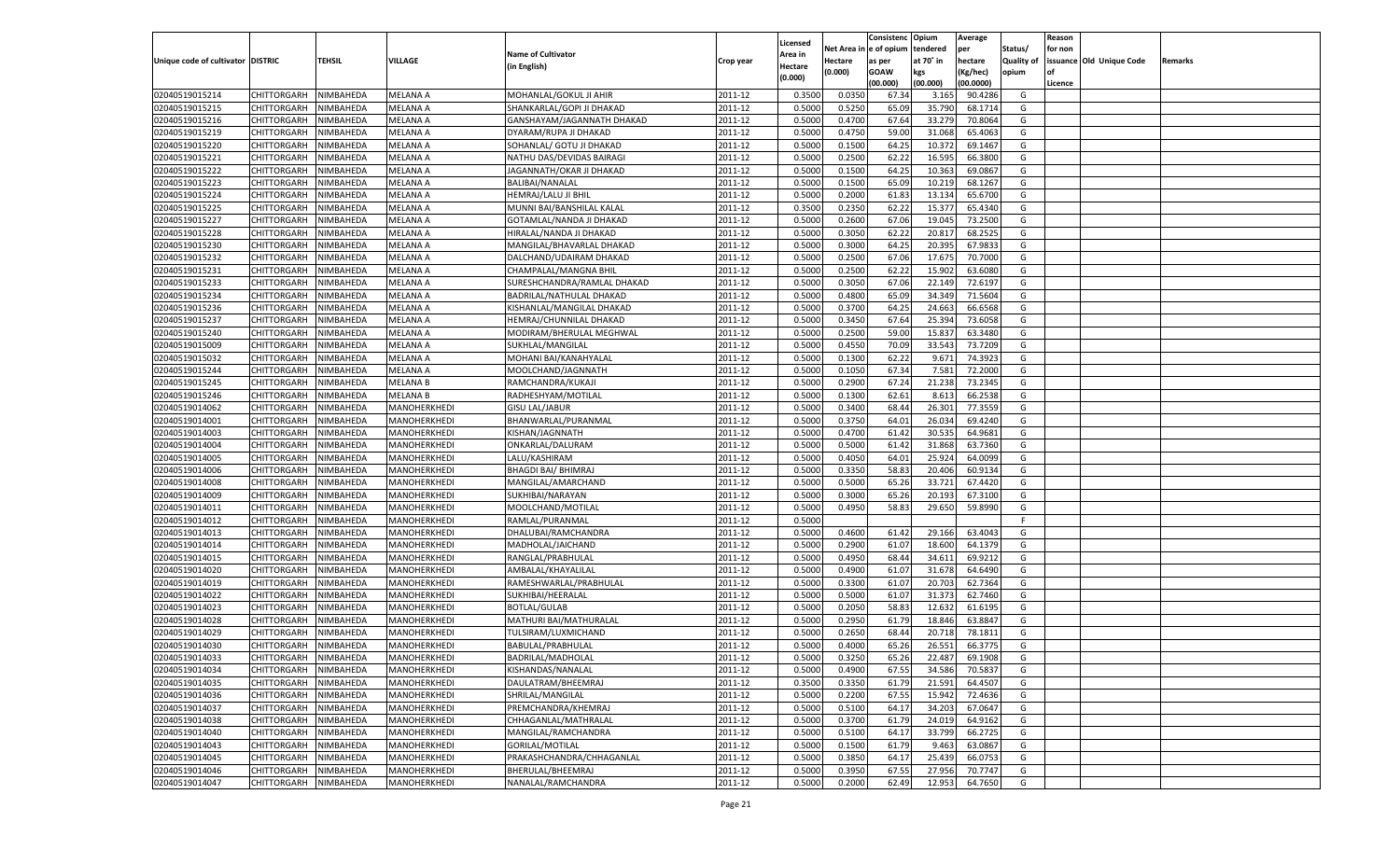|                                   |                       |                        |                              |                             |                    |                  |          | Consistenc Opium |           | Average            |                   | Reason    |                          |         |
|-----------------------------------|-----------------------|------------------------|------------------------------|-----------------------------|--------------------|------------------|----------|------------------|-----------|--------------------|-------------------|-----------|--------------------------|---------|
|                                   |                       |                        |                              |                             |                    | Licensed         | Net Area | e of opium       | tendered  | per                | Status/           | for non   |                          |         |
| Unique code of cultivator DISTRIC |                       | TEHSIL                 | VILLAGE                      | <b>Name of Cultivator</b>   | Crop year          | Area in          | Hectare  | as per           | at 70˚ in | hectare            | <b>Quality of</b> |           | issuance Old Unique Code | Remarks |
|                                   |                       |                        |                              | (in English)                |                    | Hectare          | (0.000)  | <b>GOAW</b>      | kgs       | (Kg/hec)           | opium             | <b>of</b> |                          |         |
|                                   |                       |                        |                              |                             |                    | (0.000)          |          | (00.000)         | (00.000)  | (00.0000)          |                   | Licence   |                          |         |
| 02040519015214                    | CHITTORGARH           | NIMBAHEDA              | <b>MELANA A</b>              | MOHANLAL/GOKUL JI AHIR      | 2011-12            | 0.3500           | 0.0350   | 67.34            | 3.165     | 90.4286            | G                 |           |                          |         |
| 02040519015215                    | CHITTORGARH           | NIMBAHEDA              | MELANA A                     | SHANKARLAL/GOPI JI DHAKAD   | 2011-12            | 0.5000           | 0.5250   | 65.09            | 35.790    | 68.1714            | G                 |           |                          |         |
| 02040519015216                    | <b>CHITTORGARH</b>    | NIMBAHEDA              | <b>MELANA A</b>              | GANSHAYAM/JAGANNATH DHAKAD  | 2011-12            | 0.5000           | 0.4700   | 67.64            | 33.279    | 70.8064            | G                 |           |                          |         |
| 02040519015219                    | CHITTORGARH           | NIMBAHEDA              | MELANA A                     | DYARAM/RUPA JI DHAKAD       | 2011-12            | 0.5000           | 0.4750   | 59.00            | 31.068    | 65.4063            | G                 |           |                          |         |
| 02040519015220                    | CHITTORGARH           | NIMBAHEDA              | <b>MELANA A</b>              | SOHANLAL/ GOTU JI DHAKAD    | 2011-12            | 0.5000           | 0.1500   | 64.25            | 10.372    | 69.1467            | G                 |           |                          |         |
| 02040519015221                    | CHITTORGARH           | NIMBAHEDA              | MELANA A                     | NATHU DAS/DEVIDAS BAIRAGI   | 2011-12            | 0.5000           | 0.2500   | 62.22            | 16.595    | 66.3800            | G                 |           |                          |         |
| 02040519015222                    | CHITTORGARH           | NIMBAHEDA              | <b>MELANA A</b>              | JAGANNATH/OKAR JI DHAKAD    | 2011-12            | 0.5000           | 0.1500   | 64.25            | 10.363    | 69.086             | G                 |           |                          |         |
| 02040519015223                    | CHITTORGARH           | NIMBAHEDA              | MELANA A                     | BALIBAI/NANALAL             | 2011-12            | 0.5000           | 0.1500   | 65.09            | 10.219    | 68.1267            | G                 |           |                          |         |
| 02040519015224                    | CHITTORGARH           | NIMBAHEDA              | <b>MELANA A</b>              | HEMRAJ/LALU JI BHIL         | 2011-12            | 0.5000           | 0.2000   | 61.83            | 13.134    | 65.6700            | G                 |           |                          |         |
| 02040519015225                    | CHITTORGARH           | NIMBAHEDA              | MELANA A                     | MUNNI BAI/BANSHILAL KALAL   | 2011-12            | 0.3500           | 0.2350   | 62.22            | 15.377    | 65.4340            | G                 |           |                          |         |
| 02040519015227                    | CHITTORGARH           | NIMBAHEDA              | <b>MELANA A</b>              | GOTAMLAL/NANDA JI DHAKAD    | 2011-12            | 0.5000           | 0.2600   | 67.06            | 19.045    | 73.2500            | G                 |           |                          |         |
| 02040519015228                    | CHITTORGARH           | NIMBAHEDA              | MELANA A                     | HIRALAL/NANDA JI DHAKAD     | 2011-12            | 0.5000           | 0.3050   | 62.22            | 20.81     | 68.2525            | G                 |           |                          |         |
| 02040519015230                    | CHITTORGARH           | NIMBAHEDA              | <b>MELANA A</b>              | MANGILAL/BHAVARLAL DHAKAD   | 2011-12            | 0.5000           | 0.3000   | 64.25            | 20.395    | 67.983             | G                 |           |                          |         |
| 02040519015232                    | CHITTORGARH           | NIMBAHEDA              | <b>MELANA A</b>              | DALCHAND/UDAIRAM DHAKAD     | 2011-12            | 0.5000           | 0.2500   | 67.06            | 17.675    | 70.7000            | G                 |           |                          |         |
| 02040519015231                    | <b>CHITTORGARH</b>    | NIMBAHEDA              | <b>MELANA A</b>              | CHAMPALAL/MANGNA BHIL       | 2011-12            | 0.5000           | 0.2500   | 62.22            | 15.902    | 63.6080            | G                 |           |                          |         |
| 02040519015233                    | CHITTORGARH           | NIMBAHEDA              | <b>MELANA A</b>              | SURESHCHANDRA/RAMLAL DHAKAD | 2011-12            | 0.5000           | 0.3050   | 67.06            | 22.149    | 72.6197            | G                 |           |                          |         |
| 02040519015234                    | <b>CHITTORGARH</b>    | NIMBAHEDA              | <b>MELANA A</b>              | BADRILAL/NATHULAL DHAKAD    | 2011-12            | 0.5000           | 0.4800   | 65.09            | 34.349    | 71.5604            | G                 |           |                          |         |
| 02040519015236                    | <b>CHITTORGARH</b>    | NIMBAHEDA              | <b>MELANA A</b>              | KISHANLAL/MANGILAL DHAKAD   | 2011-12            | 0.5000           | 0.3700   | 64.25            | 24.663    | 66.6568            | G                 |           |                          |         |
| 02040519015237                    | <b>CHITTORGARH</b>    | NIMBAHEDA              | <b>MELANA A</b>              | HEMRAJ/CHUNNILAL DHAKAD     | 2011-12            | 0.5000           | 0.3450   | 67.64            | 25.394    | 73.6058            | G                 |           |                          |         |
| 02040519015240                    | CHITTORGARH           | NIMBAHEDA              | <b>MELANA A</b>              | MODIRAM/BHERULAL MEGHWAL    | 2011-12            | 0.5000           | 0.2500   | 59.00            | 15.83     | 63.3480            | G                 |           |                          |         |
| 02040519015009                    | <b>CHITTORGARH</b>    | NIMBAHEDA              | <b>MELANA A</b>              | SUKHLAL/MANGILAL            | 2011-12            | 0.5000           | 0.4550   | 70.09            | 33.543    | 73.7209            | G                 |           |                          |         |
| 02040519015032                    | <b>CHITTORGARH</b>    | NIMBAHEDA              | <b>MELANA A</b>              | MOHANI BAI/KANAHYALAL       | 2011-12            | 0.5000           | 0.1300   | 62.22            | 9.671     | 74.3923            | G                 |           |                          |         |
| 02040519015244                    | <b>CHITTORGARH</b>    | NIMBAHEDA              | <b>MELANA A</b>              | MOOLCHAND/JAGNNATH          | 2011-12            | 0.5000           | 0.1050   | 67.34            | 7.581     | 72.2000            | G                 |           |                          |         |
| 02040519015245                    | CHITTORGARH           | NIMBAHEDA              | MELANA B                     | RAMCHANDRA/KUKAJI           | 2011-12            | 0.5000           | 0.2900   | 67.24            | 21.238    | 73.2345            | G                 |           |                          |         |
| 02040519015246                    | <b>CHITTORGARH</b>    | NIMBAHEDA              | MELANA B                     | RADHESHYAM/MOTILAL          | 2011-12            | 0.5000           | 0.1300   | 62.61            | 8.613     | 66.2538            | G                 |           |                          |         |
| 02040519014062                    | CHITTORGARH           | NIMBAHEDA              | MANOHERKHEDI                 | <b>GISU LAL/JABUR</b>       | 2011-12            | 0.5000           | 0.3400   | 68.44            | 26.301    | 77.3559            | G                 |           |                          |         |
| 02040519014001                    | <b>CHITTORGARH</b>    | NIMBAHEDA              | MANOHERKHEDI                 | BHANWARLAL/PURANMAL         | 2011-12            | 0.5000           | 0.3750   | 64.01            | 26.034    | 69.4240            | G                 |           |                          |         |
| 02040519014003                    | CHITTORGARH           | NIMBAHEDA              | MANOHERKHEDI                 | KISHAN/JAGNNATH             | 2011-12            | 0.5000           | 0.4700   | 61.42            | 30.535    | 64.9681            | G                 |           |                          |         |
| 02040519014004                    | <b>CHITTORGARH</b>    | NIMBAHEDA              | MANOHERKHEDI                 | ONKARLAL/DALURAM            | 2011-12            | 0.5000           | 0.5000   | 61.42            | 31.868    | 63.7360            | G                 |           |                          |         |
| 02040519014005                    | CHITTORGARH           | NIMBAHEDA              | MANOHERKHEDI                 | LALU/KASHIRAM               | 2011-12            | 0.5000           | 0.4050   | 64.01            | 25.92     | 64.0099            | G                 |           |                          |         |
| 02040519014006                    | CHITTORGARH           | NIMBAHEDA              | MANOHERKHEDI                 | <b>BHAGDI BAI/ BHIMRAJ</b>  | 2011-12            | 0.5000           | 0.3350   | 58.83            | 20.406    | 60.9134            | G                 |           |                          |         |
| 02040519014008                    | CHITTORGARH           | NIMBAHEDA              | MANOHERKHEDI                 | MANGILAL/AMARCHAND          | 2011-12            | 0.5000           | 0.5000   | 65.26            | 33.72     | 67.4420            | G                 |           |                          |         |
| 02040519014009                    | CHITTORGARH           | NIMBAHEDA              | MANOHERKHEDI                 | SUKHIBAI/NARAYAN            | 2011-12            | 0.5000           | 0.3000   | 65.26            | 20.193    | 67.3100            | G                 |           |                          |         |
| 02040519014011                    | CHITTORGARH           | NIMBAHEDA              | MANOHERKHEDI                 | MOOLCHAND/MOTILAL           | 2011-12            | 0.5000           | 0.4950   | 58.83            | 29.650    | 59.8990            | G                 |           |                          |         |
| 02040519014012                    | CHITTORGARH           | NIMBAHEDA              | MANOHERKHEDI                 | RAMLAL/PURANMAL             | 2011-12            | 0.5000           |          |                  |           |                    | F                 |           |                          |         |
| 02040519014013                    | CHITTORGARH           | NIMBAHEDA              | MANOHERKHEDI                 | DHALUBAI/RAMCHANDRA         | 2011-12            | 0.5000           | 0.4600   | 61.4             | 29.166    | 63.404             | G                 |           |                          |         |
| 02040519014014                    | <b>CHITTORGARH</b>    | NIMBAHEDA              | MANOHERKHEDI                 | MADHOLAL/JAICHAND           | 2011-12            | 0.5000           | 0.2900   | 61.07            | 18.600    | 64.1379            | G                 |           |                          |         |
| 02040519014015                    | CHITTORGARH           | NIMBAHEDA              | MANOHERKHEDI                 | RANGLAL/PRABHULAL           | 2011-12            | 0.5000           | 0.4950   | 68.44            | 34.611    | 69.921             | G                 |           |                          |         |
| 02040519014020                    | CHITTORGARH           | NIMBAHEDA              | MANOHERKHEDI                 | AMBALAL/KHAYALILAL          | 2011-12            | 0.5000           | 0.4900   | 61.07            | 31.678    | 64.6490            | G                 |           |                          |         |
| 02040519014019                    | <b>CHITTORGARH</b>    | NIMBAHEDA              | MANOHERKHEDI                 | RAMESHWARLAL/PRABHULAL      | 2011-12            | 0.5000           | 0.3300   | 61.07            | 20.703    | 62.7364            | G                 |           |                          |         |
| 02040519014022                    | CHITTORGARH           | NIMBAHEDA              | MANOHERKHEDI                 | SUKHIBAI/HEERALAL           | 2011-12            | 0.5000           | 0.5000   | 61.07            | 31.373    | 62.7460            | G                 |           |                          |         |
| 02040519014023                    | CHITTORGARH           | NIMBAHEDA              | MANOHERKHEDI                 | <b>BOTLAL/GULAB</b>         | 2011-12            | 0.5000           | 0.2050   | 58.83            | 12.632    | 61.6195            | G                 |           |                          |         |
| 02040519014028                    | CHITTORGARH           | NIMBAHEDA              | MANOHERKHEDI                 | MATHURI BAI/MATHURALAL      | 2011-12            | 0.5000           | 0.2950   | 61.79            | 18.846    | 63.8847            | G                 |           |                          |         |
| 02040519014029                    | CHITTORGARH           | NIMBAHEDA              | MANOHERKHEDI                 | TULSIRAM/LUXMICHAND         | 2011-12            | 0.5000           | 0.2650   | 68.44            | 20.71     | 78.1811            | G                 |           |                          |         |
| 02040519014030                    | CHITTORGARH           | NIMBAHEDA              | MANOHERKHEDI                 | BABULAL/PRABHULAL           | 2011-12            | 0.5000           | 0.4000   | 65.26            | 26.551    | 66.3775            | G                 |           |                          |         |
|                                   | CHITTORGARH NIMBAHEDA |                        |                              | BADRILAL/MADHOLAL           | 2011-12            |                  | 0.3250   |                  | 22.487    |                    | G                 |           |                          |         |
| 02040519014033                    | <b>CHITTORGARH</b>    |                        | MANOHERKHEDI                 | KISHANDAS/NANALAL           |                    | 0.5000           | 0.4900   | 65.26            | 34.586    | 69.1908<br>70.5837 | G                 |           |                          |         |
| 02040519014034<br>02040519014035  | CHITTORGARH           | NIMBAHEDA<br>NIMBAHEDA | MANOHERKHEDI<br>MANOHERKHEDI | DAULATRAM/BHEEMRAJ          | 2011-12<br>2011-12 | 0.5000<br>0.3500 | 0.3350   | 67.55            | 21.591    | 64.4507            | G                 |           |                          |         |
|                                   | <b>CHITTORGARH</b>    | NIMBAHEDA              | MANOHERKHEDI                 | SHRILAL/MANGILAL            | 2011-12            |                  | 0.2200   | 61.79            |           | 72.4636            | G                 |           |                          |         |
| 02040519014036                    |                       |                        |                              | PREMCHANDRA/KHEMRAJ         |                    | 0.5000           |          | 67.55            | 15.942    |                    |                   |           |                          |         |
| 02040519014037                    | <b>CHITTORGARH</b>    | NIMBAHEDA              | MANOHERKHEDI                 |                             | 2011-12            | 0.5000           | 0.5100   | 64.17            | 34.203    | 67.0647            | G                 |           |                          |         |
| 02040519014038                    | <b>CHITTORGARH</b>    | NIMBAHEDA              | MANOHERKHEDI                 | CHHAGANLAL/MATHRALAL        | 2011-12            | 0.5000           | 0.3700   | 61.79            | 24.019    | 64.9162            | G                 |           |                          |         |
| 02040519014040                    | <b>CHITTORGARH</b>    | NIMBAHEDA              | MANOHERKHEDI                 | MANGILAL/RAMCHANDRA         | 2011-12            | 0.5000           | 0.5100   | 64.17            | 33.799    | 66.2725            | G                 |           |                          |         |
| 02040519014043                    | <b>CHITTORGARH</b>    | NIMBAHEDA              | MANOHERKHEDI                 | <b>GORILAL/MOTILAL</b>      | 2011-12            | 0.5000           | 0.1500   | 61.79            | 9.463     | 63.0867            | G                 |           |                          |         |
| 02040519014045                    | <b>CHITTORGARH</b>    | NIMBAHEDA              | MANOHERKHEDI                 | PRAKASHCHANDRA/CHHAGANLAL   | 2011-12            | 0.5000           | 0.3850   | 64.17            | 25.439    | 66.0753            | G                 |           |                          |         |
| 02040519014046                    | <b>CHITTORGARH</b>    | NIMBAHEDA              | MANOHERKHEDI                 | BHERULAL/BHEEMRAJ           | 2011-12            | 0.5000           | 0.3950   | 67.55            | 27.956    | 70.7747            | G                 |           |                          |         |
| 02040519014047                    | <b>CHITTORGARH</b>    | NIMBAHEDA              | MANOHERKHEDI                 | NANALAL/RAMCHANDRA          | 2011-12            | 0.5000           | 0.2000   | 62.49            | 12.953    | 64.7650            | G                 |           |                          |         |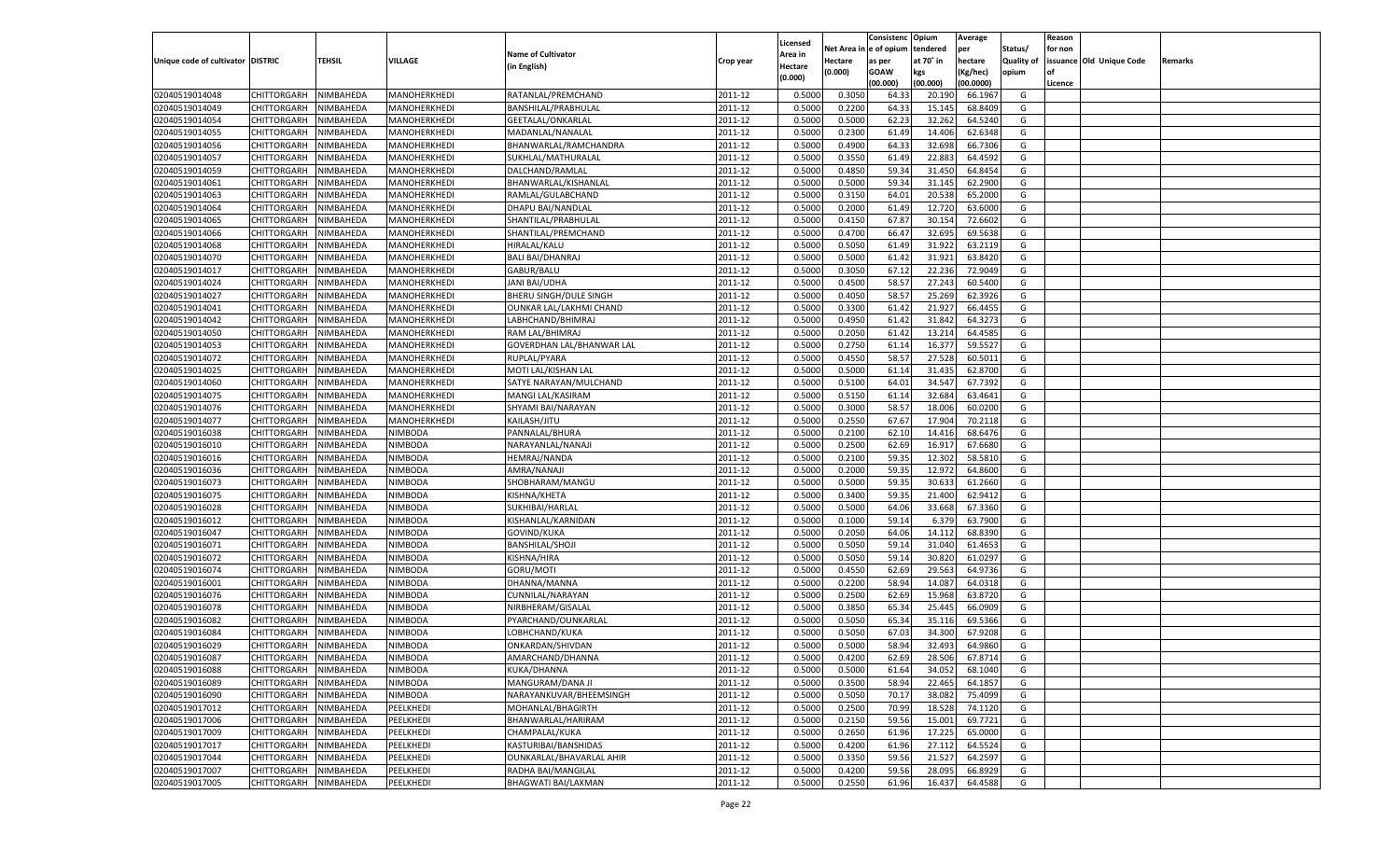|                                   |                       |               |              |                           |           |                           |          | Consistenc  | Opium     | Average   |                   | Reason  |                          |         |
|-----------------------------------|-----------------------|---------------|--------------|---------------------------|-----------|---------------------------|----------|-------------|-----------|-----------|-------------------|---------|--------------------------|---------|
|                                   |                       |               |              | <b>Name of Cultivator</b> |           | Licensed                  | Net Area | e of opium  | tendered  | per       | Status/           | for non |                          |         |
| Unique code of cultivator DISTRIC |                       | <b>TEHSIL</b> | VILLAGE      | (in English)              | Crop year | <b>Area in</b><br>Hectare | Hectare  | as per      | at 70° in | hectare   | <b>Quality of</b> |         | issuance Old Unique Code | Remarks |
|                                   |                       |               |              |                           |           | (0.000)                   | (0.000)  | <b>GOAW</b> | kgs       | (Kg/hec)  | opium             |         |                          |         |
|                                   |                       |               |              |                           |           |                           |          | (00.000)    | (00.000)  | (00.0000) |                   | Licence |                          |         |
| 02040519014048                    | CHITTORGARH           | NIMBAHEDA     | MANOHERKHEDI | RATANLAL/PREMCHAND        | 2011-12   | 0.5000                    | 0.3050   | 64.3        | 20.19     | 66.1967   | G                 |         |                          |         |
| 02040519014049                    | CHITTORGARH           | NIMBAHEDA     | MANOHERKHEDI | BANSHILAL/PRABHULAL       | 2011-12   | 0.5000                    | 0.2200   | 64.33       | 15.145    | 68.8409   | G                 |         |                          |         |
| 02040519014054                    | CHITTORGARH           | NIMBAHEDA     | MANOHERKHEDI | GEETALAL/ONKARLAL         | 2011-12   | 0.5000                    | 0.5000   | 62.23       | 32.262    | 64.5240   | G                 |         |                          |         |
| 02040519014055                    | CHITTORGARH           | NIMBAHEDA     | MANOHERKHEDI | MADANLAL/NANALAL          | 2011-12   | 0.5000                    | 0.2300   | 61.49       | 14.406    | 62.6348   | G                 |         |                          |         |
| 02040519014056                    | CHITTORGARH           | NIMBAHEDA     | MANOHERKHEDI | BHANWARLAL/RAMCHANDRA     | 2011-12   | 0.5000                    | 0.4900   | 64.33       | 32.698    | 66.7306   | G                 |         |                          |         |
| 02040519014057                    | CHITTORGARH           | NIMBAHEDA     | MANOHERKHEDI | SUKHLAL/MATHURALAL        | 2011-12   | 0.5000                    | 0.3550   | 61.49       | 22.883    | 64.459    | G                 |         |                          |         |
| 02040519014059                    | CHITTORGARH           | NIMBAHEDA     | MANOHERKHEDI | DALCHAND/RAMLAL           | 2011-12   | 0.5000                    | 0.4850   | 59.34       | 31.450    | 64.8454   | G                 |         |                          |         |
| 02040519014061                    | CHITTORGARH           | NIMBAHEDA     | MANOHERKHEDI | BHANWARLAL/KISHANLAL      | 2011-12   | 0.5000                    | 0.5000   | 59.34       | 31.145    | 62.2900   | G                 |         |                          |         |
| 02040519014063                    | CHITTORGARH           | NIMBAHEDA     | MANOHERKHEDI | RAMLAL/GULABCHAND         | 2011-12   | 0.5000                    | 0.3150   | 64.01       | 20.538    | 65.2000   | G                 |         |                          |         |
| 02040519014064                    | CHITTORGARH           | NIMBAHEDA     | MANOHERKHEDI | DHAPU BAI/NANDLAI         | 2011-12   | 0.5000                    | 0.2000   | 61.49       | 12.72     | 63.6000   | G                 |         |                          |         |
| 02040519014065                    | CHITTORGARH           | NIMBAHEDA     | MANOHERKHEDI | SHANTILAL/PRABHULAL       | 2011-12   | 0.5000                    | 0.4150   | 67.87       | 30.154    | 72.6602   | G                 |         |                          |         |
| 02040519014066                    | CHITTORGARH           | NIMBAHEDA     | MANOHERKHEDI | SHANTILAL/PREMCHAND       | 2011-12   | 0.5000                    | 0.4700   | 66.4        | 32.695    | 69.5638   | G                 |         |                          |         |
| 02040519014068                    | CHITTORGARH           | NIMBAHEDA     | MANOHERKHEDI | HIRALAL/KALU              | 2011-12   | 0.5000                    | 0.5050   | 61.49       | 31.922    | 63.2119   | G                 |         |                          |         |
| 02040519014070                    | CHITTORGARH           | NIMBAHEDA     | MANOHERKHEDI | <b>BALI BAI/DHANRAJ</b>   | 2011-12   | 0.5000                    | 0.5000   | 61.4        | 31.921    | 63.8420   | G                 |         |                          |         |
| 02040519014017                    | CHITTORGARH           | NIMBAHEDA     | MANOHERKHEDI | GABUR/BALU                | 2011-12   | 0.5000                    | 0.3050   | 67.12       | 22.236    | 72.9049   | G                 |         |                          |         |
| 02040519014024                    | CHITTORGARH           | NIMBAHEDA     | MANOHERKHEDI | JANI BAI/UDHA             | 2011-12   | 0.5000                    | 0.4500   | 58.57       | 27.243    | 60.5400   | G                 |         |                          |         |
| 02040519014027                    | CHITTORGARH           | NIMBAHEDA     | MANOHERKHEDI | BHERU SINGH/DULE SINGH    | 2011-12   | 0.5000                    | 0.4050   | 58.57       | 25.269    | 62.3926   | G                 |         |                          |         |
| 02040519014041                    | CHITTORGARH           | NIMBAHEDA     | MANOHERKHEDI | OUNKAR LAL/LAKHMI CHAND   | 2011-12   | 0.5000                    | 0.3300   | 61.4        | 21.927    | 66.4455   | G                 |         |                          |         |
| 02040519014042                    | CHITTORGARH           | NIMBAHEDA     | MANOHERKHEDI | LABHCHAND/BHIMRAJ         | 2011-12   | 0.5000                    | 0.4950   | 61.42       | 31.842    | 64.3273   | G                 |         |                          |         |
| 02040519014050                    | CHITTORGARH           | NIMBAHEDA     | MANOHERKHEDI | RAM LAL/BHIMRAJ           | 2011-12   | 0.5000                    | 0.2050   | 61.4        | 13.214    | 64.4585   | G                 |         |                          |         |
| 02040519014053                    | CHITTORGARH           | NIMBAHEDA     | MANOHERKHEDI | GOVERDHAN LAL/BHANWAR LAL | 2011-12   | 0.5000                    | 0.2750   | 61.14       | 16.377    | 59.5527   | G                 |         |                          |         |
| 02040519014072                    | CHITTORGARH           | NIMBAHEDA     | MANOHERKHEDI | RUPLAL/PYARA              | 2011-12   | 0.5000                    | 0.4550   | 58.57       | 27.528    | 60.5011   | G                 |         |                          |         |
| 02040519014025                    | CHITTORGARH           | NIMBAHEDA     | MANOHERKHEDI | MOTI LAL/KISHAN LAL       | 2011-12   | 0.5000                    | 0.5000   | 61.14       | 31.435    | 62.8700   | G                 |         |                          |         |
| 02040519014060                    | CHITTORGARH           | NIMBAHEDA     | MANOHERKHEDI | SATYE NARAYAN/MULCHAND    | 2011-12   | 0.5000                    | 0.5100   | 64.01       | 34.547    | 67.7392   | G                 |         |                          |         |
| 02040519014075                    | CHITTORGARH           | NIMBAHEDA     | MANOHERKHEDI | MANGI LAL/KASIRAM         | 2011-12   | 0.5000                    | 0.5150   | 61.14       | 32.684    | 63.4641   | G                 |         |                          |         |
| 02040519014076                    | CHITTORGARH           | NIMBAHEDA     | MANOHERKHEDI | SHYAMI BAI/NARAYAN        | 2011-12   | 0.5000                    | 0.3000   | 58.57       | 18.006    | 60.0200   | G                 |         |                          |         |
| 02040519014077                    | CHITTORGARH           | NIMBAHEDA     | MANOHERKHEDI | KAILASH/JITU              | 2011-12   | 0.5000                    | 0.2550   | 67.67       | 17.904    | 70.2118   | G                 |         |                          |         |
| 02040519016038                    | CHITTORGARH           | NIMBAHEDA     | NIMBODA      | PANNALAL/BHURA            | 2011-12   | 0.5000                    | 0.2100   | 62.10       | 14.416    | 68.6476   | G                 |         |                          |         |
| 02040519016010                    | CHITTORGARH           | NIMBAHEDA     | NIMBODA      | NARAYANLAL/NANAJI         | 2011-12   | 0.5000                    | 0.2500   | 62.69       | 16.917    | 67.6680   | G                 |         |                          |         |
| 02040519016016                    | CHITTORGARH           | NIMBAHEDA     | NIMBODA      | HEMRAJ/NANDA              | 2011-12   | 0.5000                    | 0.2100   | 59.35       | 12.302    | 58.5810   | G                 |         |                          |         |
| 02040519016036                    | CHITTORGARH           | NIMBAHEDA     | NIMBODA      | AMRA/NANAJI               | 2011-12   | 0.5000                    | 0.2000   | 59.35       | 12.972    | 64.8600   | G                 |         |                          |         |
| 02040519016073                    | CHITTORGARH           | NIMBAHEDA     | NIMBODA      | SHOBHARAM/MANGU           | 2011-12   | 0.5000                    | 0.5000   | 59.35       | 30.633    | 61.2660   | G                 |         |                          |         |
| 02040519016075                    | CHITTORGARH           | NIMBAHEDA     | NIMBODA      | KISHNA/KHETA              | 2011-12   | 0.5000                    | 0.3400   | 59.35       | 21.400    | 62.9412   | G                 |         |                          |         |
| 02040519016028                    | CHITTORGARH           | NIMBAHEDA     | NIMBODA      | SUKHIBAI/HARLAL           | 2011-12   | 0.5000                    | 0.5000   | 64.06       | 33.668    | 67.3360   | G                 |         |                          |         |
| 02040519016012                    |                       |               | NIMBODA      | KISHANLAL/KARNIDAN        | 2011-12   | 0.5000                    | 0.1000   | 59.14       |           | 63.7900   | G                 |         |                          |         |
| 02040519016047                    | CHITTORGARH           | NIMBAHEDA     |              |                           | 2011-12   | 0.5000                    |          | 64.06       | 6.379     | 68.8390   | G                 |         |                          |         |
|                                   | CHITTORGARH           | NIMBAHEDA     | NIMBODA      | GOVIND/KUKA               |           |                           | 0.2050   |             | 14.112    | 61.4653   |                   |         |                          |         |
| 02040519016071                    | CHITTORGARH           | NIMBAHEDA     | NIMBODA      | BANSHILAL/SHOJI           | 2011-12   | 0.5000                    | 0.5050   | 59.14       | 31.040    |           | G                 |         |                          |         |
| 02040519016072                    | CHITTORGARH           | NIMBAHEDA     | NIMBODA      | KISHNA/HIRA               | 2011-12   | 0.5000                    | 0.5050   | 59.14       | 30.82     | 61.029    | G                 |         |                          |         |
| 02040519016074                    | CHITTORGARH           | NIMBAHEDA     | NIMBODA      | GORU/MOTI                 | 2011-12   | 0.5000                    | 0.4550   | 62.69       | 29.563    | 64.9736   | G                 |         |                          |         |
| 02040519016001                    | CHITTORGARH           | NIMBAHEDA     | NIMBODA      | DHANNA/MANNA              | 2011-12   | 0.5000                    | 0.2200   | 58.94       | 14.08     | 64.0318   | G                 |         |                          |         |
| 02040519016076                    | CHITTORGARH           | NIMBAHEDA     | NIMBODA      | CUNNILAL/NARAYAN          | 2011-12   | 0.5000                    | 0.2500   | 62.69       | 15.968    | 63.8720   | G                 |         |                          |         |
| 02040519016078                    | CHITTORGARH           | NIMBAHEDA     | NIMBODA      | NIRBHERAM/GISALAI         | 2011-12   | 0.5000                    | 0.3850   | 65.34       | 25.445    | 66.0909   | G                 |         |                          |         |
| 02040519016082                    | CHITTORGARH           | NIMBAHEDA     | NIMBODA      | PYARCHAND/OUNKARLAL       | 2011-12   | 0.5000                    | 0.5050   | 65.34       | 35.116    | 69.5366   | G                 |         |                          |         |
| 02040519016084                    | CHITTORGARH           | NIMBAHEDA     | NIMBODA      | LOBHCHAND/KUKA            | 2011-12   | 0.5000                    | 0.5050   | 67.03       | 34.30     | 67.9208   | G                 |         |                          |         |
| 02040519016029                    | CHITTORGARH           | NIMBAHEDA     | NIMBODA      | ONKARDAN/SHIVDAN          | 2011-12   | 0.5000                    | 0.5000   | 58.94       | 32.493    | 64.9860   | G                 |         |                          |         |
| 02040519016087                    | CHITTORGARH NIMBAHEDA |               | NIMBODA      | AMARCHAND/DHANNA          | 2011-12   | 0.5000                    | 0.4200   | 62.69       | 28.506    | 67.8714   | G                 |         |                          |         |
| 02040519016088                    | <b>CHITTORGARH</b>    | NIMBAHEDA     | NIMBODA      | KUKA/DHANNA               | 2011-12   | 0.5000                    | 0.5000   | 61.64       | 34.052    | 68.1040   | G                 |         |                          |         |
| 02040519016089                    | CHITTORGARH           | NIMBAHEDA     | NIMBODA      | MANGURAM/DANA JI          | 2011-12   | 0.5000                    | 0.3500   | 58.94       | 22.465    | 64.1857   | G                 |         |                          |         |
| 02040519016090                    | <b>CHITTORGARH</b>    | NIMBAHEDA     | NIMBODA      | NARAYANKUVAR/BHEEMSINGH   | 2011-12   | 0.5000                    | 0.5050   | 70.17       | 38.082    | 75.4099   | G                 |         |                          |         |
| 02040519017012                    | <b>CHITTORGARH</b>    | NIMBAHEDA     | PEELKHEDI    | MOHANLAL/BHAGIRTH         | 2011-12   | 0.5000                    | 0.2500   | 70.99       | 18.528    | 74.1120   | G                 |         |                          |         |
| 02040519017006                    | <b>CHITTORGARH</b>    | NIMBAHEDA     | PEELKHEDI    | BHANWARLAL/HARIRAM        | 2011-12   | 0.5000                    | 0.2150   | 59.56       | 15.001    | 69.7721   | G                 |         |                          |         |
| 02040519017009                    | <b>CHITTORGARH</b>    | NIMBAHEDA     | PEELKHEDI    | CHAMPALAL/KUKA            | 2011-12   | 0.5000                    | 0.2650   | 61.96       | 17.225    | 65.0000   | G                 |         |                          |         |
| 02040519017017                    | <b>CHITTORGARH</b>    | NIMBAHEDA     | PEELKHEDI    | KASTURIBAI/BANSHIDAS      | 2011-12   | 0.5000                    | 0.4200   | 61.96       | 27.112    | 64.5524   | G                 |         |                          |         |
| 02040519017044                    | <b>CHITTORGARH</b>    | NIMBAHEDA     | PEELKHEDI    | OUNKARLAL/BHAVARLAL AHIR  | 2011-12   | 0.5000                    | 0.3350   | 59.56       | 21.527    | 64.2597   | G                 |         |                          |         |
| 02040519017007                    | <b>CHITTORGARH</b>    | NIMBAHEDA     | PEELKHEDI    | RADHA BAI/MANGILAL        | 2011-12   | 0.5000                    | 0.4200   | 59.56       | 28.095    | 66.8929   | G                 |         |                          |         |
| 02040519017005                    | <b>CHITTORGARH</b>    | NIMBAHEDA     | PEELKHEDI    | BHAGWATI BAI/LAXMAN       | 2011-12   | 0.5000                    | 0.2550   | 61.96       | 16.437    | 64.4588   | G                 |         |                          |         |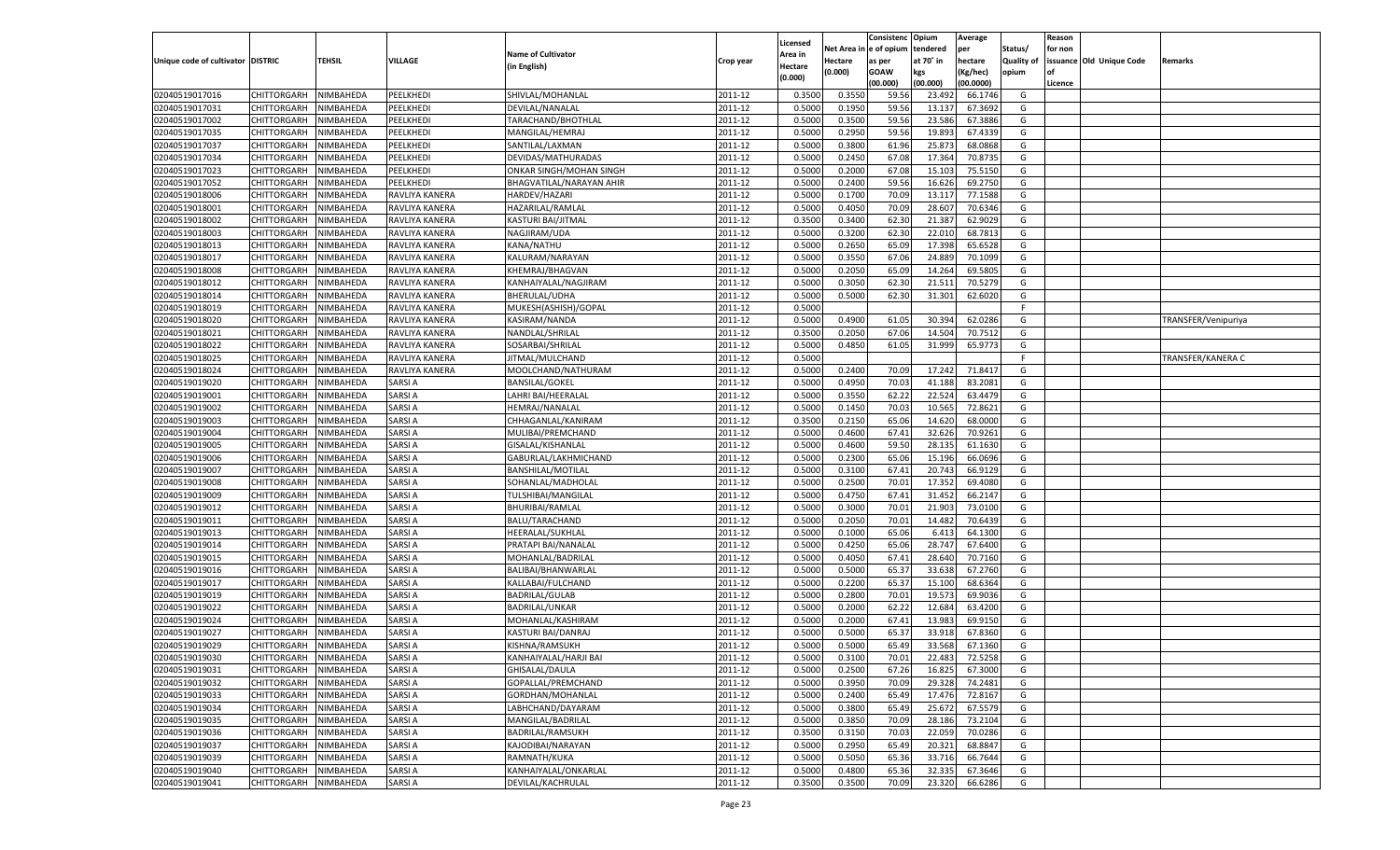|                                   |                       |           |                |                           |                    |                     |            | Consistenc   | Opium     | Average   |            | Reason  |                          |                     |
|-----------------------------------|-----------------------|-----------|----------------|---------------------------|--------------------|---------------------|------------|--------------|-----------|-----------|------------|---------|--------------------------|---------------------|
|                                   |                       |           |                | <b>Name of Cultivator</b> |                    | Licensed<br>Area in | Net Area i | n e of opium | tendered  | per       | Status/    | for non |                          |                     |
| Unique code of cultivator DISTRIC |                       | TEHSIL    | VILLAGE        | (in English)              | Crop year          | Hectare             | Hectare    | as per       | at 70° in | hectare   | Quality of |         | issuance Old Unique Code | Remarks             |
|                                   |                       |           |                |                           |                    | (0.000)             | (0.000)    | <b>GOAW</b>  | kgs       | (Kg/hec)  | opium      |         |                          |                     |
|                                   |                       |           |                |                           |                    |                     |            | (00.000)     | (00.000)  | (00.0000) |            | Licence |                          |                     |
| 02040519017016                    | CHITTORGARH           | NIMBAHEDA | PEELKHEDI      | SHIVLAL/MOHANLAL          | 2011-12            | 0.3500              | 0.3550     | 59.56        | 23.492    | 66.1746   | G          |         |                          |                     |
| 02040519017031                    | CHITTORGARH           | NIMBAHEDA | PEELKHEDI      | DEVILAL/NANALAL           | 2011-12            | 0.5000              | 0.1950     | 59.56        | 13.13     | 67.3692   | G          |         |                          |                     |
| 02040519017002                    | CHITTORGARH           | NIMBAHEDA | PEELKHEDI      | TARACHAND/BHOTHLAL        | 2011-12            | 0.5000              | 0.3500     | 59.56        | 23.586    | 67.3886   | G          |         |                          |                     |
| 02040519017035                    | CHITTORGARH           | NIMBAHEDA | PEELKHEDI      | MANGILAL/HEMRAJ           | 2011-12            | 0.5000              | 0.2950     | 59.56        | 19.893    | 67.4339   | G          |         |                          |                     |
| 02040519017037                    | CHITTORGARH           | NIMBAHEDA | PEELKHEDI      | SANTILAL/LAXMAN           | 2011-12            | 0.5000              | 0.3800     | 61.96        | 25.873    | 68.0868   | G          |         |                          |                     |
| 02040519017034                    | CHITTORGARH           | NIMBAHEDA | PEELKHEDI      | DEVIDAS/MATHURADAS        | 2011-12            | 0.5000              | 0.2450     | 67.08        | 17.364    | 70.8735   | G          |         |                          |                     |
| 02040519017023                    | CHITTORGARH           | NIMBAHEDA | PEELKHEDI      | ONKAR SINGH/MOHAN SINGH   | 2011-12            | 0.5000              | 0.2000     | 67.08        | 15.103    | 75.5150   | G          |         |                          |                     |
| 02040519017052                    | CHITTORGARH           | NIMBAHEDA | PEELKHEDI      | BHAGVATILAL/NARAYAN AHIR  | 2011-12            | 0.5000              | 0.2400     | 59.56        | 16.626    | 69.2750   | G          |         |                          |                     |
| 02040519018006                    | CHITTORGARH           | NIMBAHEDA | RAVLIYA KANERA | HARDEV/HAZARI             | 2011-12            | 0.5000              | 0.1700     | 70.09        | 13.117    | 77.1588   | G          |         |                          |                     |
| 02040519018001                    | CHITTORGARH           | NIMBAHEDA | RAVLIYA KANERA | HAZARILAL/RAMLAL          | 2011-12            | 0.5000              | 0.4050     | 70.09        | 28.607    | 70.6346   | G          |         |                          |                     |
| 02040519018002                    | CHITTORGARH           | NIMBAHEDA | RAVLIYA KANERA | KASTURI BAI/JITMAL        | 2011-12            | 0.3500              | 0.3400     | 62.30        | 21.387    | 62.9029   | G          |         |                          |                     |
| 02040519018003                    | CHITTORGARH           | NIMBAHEDA | RAVLIYA KANERA | NAGJIRAM/UDA              | 2011-12            | 0.5000              | 0.3200     | 62.30        | 22.010    | 68.7813   | G          |         |                          |                     |
| 02040519018013                    | CHITTORGARH           | NIMBAHEDA | RAVLIYA KANERA | KANA/NATHU                | 2011-12            | 0.5000              | 0.2650     | 65.09        | 17.398    | 65.6528   | G          |         |                          |                     |
| 02040519018017                    | CHITTORGARH           | NIMBAHEDA | RAVLIYA KANERA | KALURAM/NARAYAN           | 2011-12            | 0.5000              | 0.3550     | 67.06        | 24.889    | 70.1099   | G          |         |                          |                     |
| 02040519018008                    | CHITTORGARH           | NIMBAHEDA | RAVLIYA KANERA | KHEMRAJ/BHAGVAN           | 2011-12            | 0.5000              | 0.2050     | 65.09        | 14.264    | 69.5805   | G          |         |                          |                     |
| 02040519018012                    | CHITTORGARH           | NIMBAHEDA | RAVLIYA KANERA | KANHAIYALAL/NAGJIRAM      | 2011-12            | 0.5000              | 0.3050     | 62.30        | 21.511    | 70.5279   | G          |         |                          |                     |
| 02040519018014                    | CHITTORGARH           | NIMBAHEDA | RAVLIYA KANERA | BHERULAL/UDHA             | 2011-12            | 0.5000              | 0.5000     | 62.30        | 31.301    | 62.6020   | G          |         |                          |                     |
| 02040519018019                    | CHITTORGARH           | NIMBAHEDA | RAVLIYA KANERA | MUKESH(ASHISH)/GOPAL      | 2011-12            | 0.5000              |            |              |           |           | F.         |         |                          |                     |
| 02040519018020                    | CHITTORGARH           | NIMBAHEDA | RAVLIYA KANERA | KASIRAM/NANDA             | 2011-12            | 0.5000              | 0.4900     | 61.05        | 30.394    | 62.0286   | G          |         |                          | TRANSFER/Venipuriya |
| 02040519018021                    | CHITTORGARH           | NIMBAHEDA | RAVLIYA KANERA | NANDLAL/SHRILAL           | 2011-12            | 0.3500              | 0.2050     | 67.06        | 14.504    | 70.7512   | G          |         |                          |                     |
| 02040519018022                    | CHITTORGARH           | NIMBAHEDA | RAVLIYA KANERA | SOSARBAI/SHRILAL          | 2011-12            | 0.5000              | 0.4850     | 61.05        | 31.999    | 65.9773   | G          |         |                          |                     |
| 02040519018025                    | CHITTORGARH           | NIMBAHEDA | RAVLIYA KANERA | JITMAL/MULCHAND           | 2011-12            | 0.5000              |            |              |           |           | F.         |         |                          | TRANSFER/KANERA C   |
| 02040519018024                    | CHITTORGARH           | NIMBAHEDA | RAVLIYA KANERA | MOOLCHAND/NATHURAM        | 2011-12            | 0.5000              | 0.2400     | 70.09        | 17.242    | 71.8417   | G          |         |                          |                     |
| 02040519019020                    | CHITTORGARH           | NIMBAHEDA | SARSI A        | <b>BANSILAL/GOKEL</b>     | 2011-12            | 0.5000              | 0.4950     | 70.03        | 41.188    | 83.2081   | G          |         |                          |                     |
| 02040519019001                    | CHITTORGARH           | NIMBAHEDA | <b>SARSIA</b>  | LAHRI BAI/HEERALAI        | 2011-12            | 0.5000              | 0.3550     | 62.22        | 22.524    | 63.4479   | G          |         |                          |                     |
| 02040519019002                    | CHITTORGARH           | NIMBAHEDA | <b>SARSIA</b>  | <b>HEMRAJ/NANALAL</b>     | 2011-12            | 0.5000              | 0.1450     | 70.03        | 10.565    | 72.8621   | G          |         |                          |                     |
| 02040519019003                    | CHITTORGARH           | NIMBAHEDA | <b>SARSIA</b>  | CHHAGANLAL/KANIRAM        | 2011-12            | 0.3500              | 0.2150     | 65.06        | 14.620    | 68.0000   | G          |         |                          |                     |
| 02040519019004                    | CHITTORGARH           | NIMBAHEDA | <b>SARSIA</b>  | MULIBAI/PREMCHAND         | 2011-12            | 0.5000              | 0.4600     | 67.41        | 32.626    | 70.9261   | G          |         |                          |                     |
| 02040519019005                    | CHITTORGARH           | NIMBAHEDA | <b>SARSIA</b>  | GISALAL/KISHANLAL         | 2011-12            | 0.5000              | 0.4600     | 59.50        | 28.135    | 61.1630   | G          |         |                          |                     |
| 02040519019006                    | CHITTORGARH           | NIMBAHEDA | <b>SARSIA</b>  | GABURLAL/LAKHMICHAND      | 2011-12            | 0.5000              | 0.2300     | 65.06        | 15.196    | 66.0696   | G          |         |                          |                     |
| 02040519019007                    | CHITTORGARH           | NIMBAHEDA | <b>SARSIA</b>  | <b>BANSHILAL/MOTILAL</b>  | 2011-12            | 0.5000              | 0.3100     | 67.41        | 20.743    | 66.9129   | G          |         |                          |                     |
| 02040519019008                    | CHITTORGARH           | NIMBAHEDA | <b>SARSIA</b>  | SOHANLAL/MADHOLAL         | 2011-12            | 0.5000              | 0.2500     | 70.01        | 17.352    | 69.4080   | G          |         |                          |                     |
| 02040519019009                    | CHITTORGARH           | NIMBAHEDA | <b>SARSIA</b>  | TULSHIBAI/MANGILAL        | 2011-12            | 0.5000              | 0.4750     | 67.41        | 31.452    | 66.2147   | G          |         |                          |                     |
| 02040519019012                    | CHITTORGARH           | NIMBAHEDA | <b>SARSIA</b>  | BHURIBAI/RAMLAL           | 2011-12            | 0.5000              | 0.3000     | 70.01        | 21.903    | 73.0100   | G          |         |                          |                     |
| 02040519019011                    | CHITTORGARH           | NIMBAHEDA | <b>SARSIA</b>  | BALU/TARACHAND            | 2011-12            | 0.5000              | 0.2050     | 70.01        | 14.482    | 70.6439   | G          |         |                          |                     |
| 02040519019013                    | CHITTORGARH           | NIMBAHEDA | <b>SARSIA</b>  | HEERALAL/SUKHLAL          | 2011-12            | 0.5000              | 0.1000     | 65.06        | 6.413     | 64.1300   | G          |         |                          |                     |
| 02040519019014                    | CHITTORGARH           | NIMBAHEDA | <b>SARSIA</b>  | PRATAPI BAI/NANALAI       | 2011-12            | 0.5000              | 0.4250     | 65.06        | 28.747    | 67.6400   | G          |         |                          |                     |
| 02040519019015                    | CHITTORGARH           | NIMBAHEDA | SARSI A        | MOHANLAL/BADRILAL         | 2011-12            | 0.5000              | 0.4050     | 67.41        | 28.640    | 70.7160   | G          |         |                          |                     |
| 02040519019016                    | CHITTORGARH           | NIMBAHEDA | <b>SARSIA</b>  | BALIBAI/BHANWARLAI        | 2011-12            | 0.5000              | 0.5000     | 65.37        | 33.63     | 67.2760   | G          |         |                          |                     |
| 02040519019017                    | CHITTORGARH           | NIMBAHEDA | <b>SARSIA</b>  | KALLABAI/FULCHAND         | 2011-12            | 0.5000              | 0.2200     | 65.37        | 15.100    | 68.6364   | G          |         |                          |                     |
| 02040519019019                    | CHITTORGARH           | NIMBAHEDA | <b>SARSIA</b>  | <b>BADRILAL/GULAB</b>     | 2011-12            | 0.5000              | 0.2800     | 70.01        | 19.573    | 69.9036   | G          |         |                          |                     |
| 02040519019022                    | CHITTORGARH           | NIMBAHEDA | SARSI A        | <b>BADRILAL/UNKAR</b>     | 2011-12            | 0.5000              | 0.2000     | 62.22        | 12.684    | 63.4200   | G          |         |                          |                     |
| 02040519019024                    | CHITTORGARH           | NIMBAHEDA | <b>SARSIA</b>  | MOHANLAL/KASHIRAN         | 2011-12            | 0.5000              | 0.2000     | 67.4         | 13.983    | 69.9150   | G          |         |                          |                     |
| 02040519019027                    | CHITTORGARH           | NIMBAHEDA | <b>SARSIA</b>  | KASTURI BAI/DANRAJ        | 2011-12            | 0.5000              | 0.5000     | 65.3         | 33.91     | 67.8360   | G          |         |                          |                     |
| 02040519019029                    | CHITTORGARH           | NIMBAHEDA | <b>SARSIA</b>  | KISHNA/RAMSUKH            | 2011-12            | 0.5000              | 0.5000     | 65.49        | 33.568    | 67.1360   | G          |         |                          |                     |
| 02040519019030                    | CHITTORGARH NIMBAHEDA |           | <b>SARSIA</b>  | KANHAIYALAL/HARJI BAI     |                    | 0.5000              | 0.3100     | 70.01        | 22.483    | 72.5258   | G          |         |                          |                     |
| 02040519019031                    |                       | NIMBAHEDA | <b>SARSIA</b>  | GHISALAL/DAULA            | 2011-12<br>2011-12 | 0.5000              | 0.2500     | 67.26        | 16.825    | 67.3000   | G          |         |                          |                     |
| 02040519019032                    | <b>CHITTORGARH</b>    |           | <b>SARSIA</b>  |                           |                    |                     |            |              |           |           |            |         |                          |                     |
|                                   | CHITTORGARH           | NIMBAHEDA |                | GOPALLAL/PREMCHAND        | 2011-12            | 0.5000              | 0.3950     | 70.09        | 29.328    | 74.2481   | G          |         |                          |                     |
| 02040519019033                    | <b>CHITTORGARH</b>    | NIMBAHEDA | <b>SARSIA</b>  | GORDHAN/MOHANLAL          | 2011-12            | 0.5000              | 0.2400     | 65.49        | 17.476    | 72.8167   | G          |         |                          |                     |
| 02040519019034                    | <b>CHITTORGARH</b>    | NIMBAHEDA | <b>SARSIA</b>  | LABHCHAND/DAYARAM         | 2011-12            | 0.5000              | 0.3800     | 65.49        | 25.672    | 67.5579   | G          |         |                          |                     |
| 02040519019035                    | CHITTORGARH           | NIMBAHEDA | <b>SARSIA</b>  | MANGILAL/BADRILAL         | 2011-12            | 0.5000              | 0.3850     | 70.09        | 28.186    | 73.2104   | G          |         |                          |                     |
| 02040519019036                    | <b>CHITTORGARH</b>    | NIMBAHEDA | <b>SARSIA</b>  | BADRILAL/RAMSUKH          | 2011-12            | 0.3500              | 0.3150     | 70.03        | 22.059    | 70.0286   | G          |         |                          |                     |
| 02040519019037                    | CHITTORGARH           | NIMBAHEDA | <b>SARSIA</b>  | KAJODIBAI/NARAYAN         | 2011-12            | 0.5000              | 0.2950     | 65.49        | 20.321    | 68.8847   | G          |         |                          |                     |
| 02040519019039                    | <b>CHITTORGARH</b>    | NIMBAHEDA | <b>SARSIA</b>  | RAMNATH/KUKA              | 2011-12            | 0.5000              | 0.5050     | 65.36        | 33.716    | 66.7644   | G          |         |                          |                     |
| 02040519019040                    | <b>CHITTORGARH</b>    | NIMBAHEDA | <b>SARSIA</b>  | KANHAIYALAL/ONKARLAL      | 2011-12            | 0.5000              | 0.4800     | 65.36        | 32.335    | 67.3646   | G          |         |                          |                     |
| 02040519019041                    | <b>CHITTORGARH</b>    | NIMBAHEDA | <b>SARSIA</b>  | DEVILAL/KACHRULAL         | 2011-12            | 0.3500              | 0.3500     | 70.09        | 23.320    | 66.6286   | G          |         |                          |                     |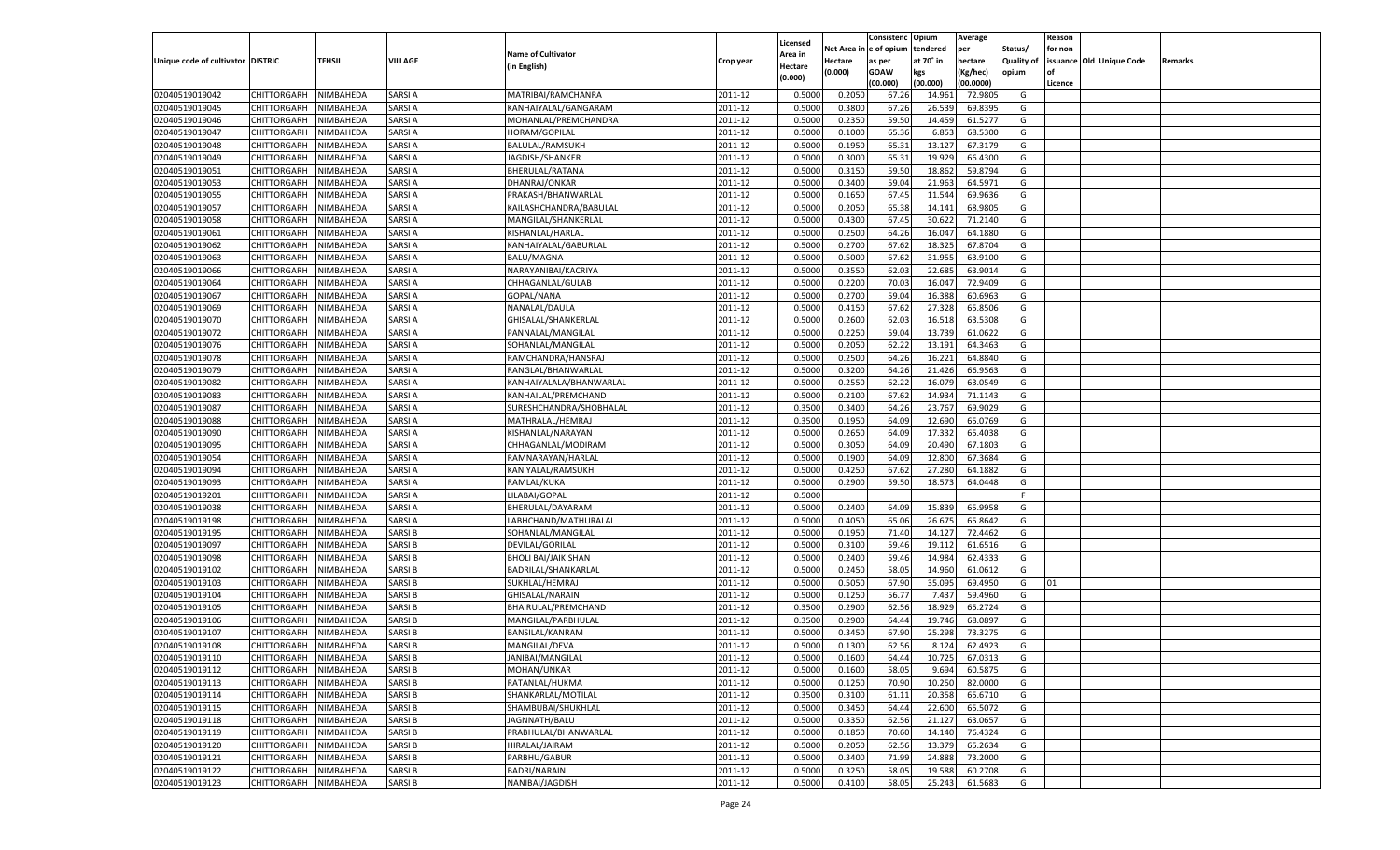|                                   |                       |               |               |                            |           |                           |          | Consistenc  | Opium     | Average   |                   | Reason  |                          |         |
|-----------------------------------|-----------------------|---------------|---------------|----------------------------|-----------|---------------------------|----------|-------------|-----------|-----------|-------------------|---------|--------------------------|---------|
|                                   |                       |               |               | <b>Name of Cultivator</b>  |           | Licensed                  | Net Area | e of opium  | tendered  | per       | Status/           | for non |                          |         |
| Unique code of cultivator DISTRIC |                       | <b>TEHSIL</b> | VILLAGE       | (in English)               | Crop year | <b>Area in</b><br>Hectare | Hectare  | as per      | at 70° in | hectare   | <b>Quality of</b> |         | issuance Old Unique Code | Remarks |
|                                   |                       |               |               |                            |           | (0.000)                   | (0.000)  | <b>GOAW</b> | kgs       | (Kg/hec)  | opium             |         |                          |         |
|                                   |                       |               |               |                            |           |                           |          | (00.000)    | (00.000)  | (00.0000) |                   | Licence |                          |         |
| 02040519019042                    | CHITTORGARH           | NIMBAHEDA     | SARSI A       | MATRIBAI/RAMCHANRA         | 2011-12   | 0.5000                    | 0.2050   | 67.26       | 14.961    | 72.980    | G                 |         |                          |         |
| 02040519019045                    | CHITTORGARH           | NIMBAHEDA     | SARSI A       | KANHAIYALAL/GANGARAM       | 2011-12   | 0.5000                    | 0.3800   | 67.26       | 26.539    | 69.8395   | G                 |         |                          |         |
| 02040519019046                    | CHITTORGARH           | NIMBAHEDA     | SARSI A       | MOHANLAL/PREMCHANDRA       | 2011-12   | 0.5000                    | 0.2350   | 59.50       | 14.459    | 61.5277   | G                 |         |                          |         |
| 02040519019047                    | CHITTORGARH           | NIMBAHEDA     | SARSI A       | HORAM/GOPILAL              | 2011-12   | 0.5000                    | 0.1000   | 65.36       | 6.853     | 68.5300   | G                 |         |                          |         |
| 02040519019048                    | CHITTORGARH           | NIMBAHEDA     | SARSI A       | BALULAL/RAMSUKH            | 2011-12   | 0.5000                    | 0.1950   | 65.31       | 13.127    | 67.3179   | G                 |         |                          |         |
| 02040519019049                    | CHITTORGARH           | NIMBAHEDA     | SARSI A       | JAGDISH/SHANKER            | 2011-12   | 0.5000                    | 0.3000   | 65.31       | 19.929    | 66.4300   | G                 |         |                          |         |
| 02040519019051                    | CHITTORGARH           | NIMBAHEDA     | SARSI A       | BHERULAL/RATANA            | 2011-12   | 0.5000                    | 0.3150   | 59.50       | 18.862    | 59.879    | G                 |         |                          |         |
| 02040519019053                    | CHITTORGARH           | NIMBAHEDA     | SARSI A       | DHANRAJ/ONKAR              | 2011-12   | 0.5000                    | 0.3400   | 59.04       | 21.963    | 64.5971   | G                 |         |                          |         |
| 02040519019055                    | CHITTORGARH           | NIMBAHEDA     | SARSI A       | PRAKASH/BHANWARLAL         | 2011-12   | 0.5000                    | 0.1650   | 67.4        | 11.544    | 69.9636   | G                 |         |                          |         |
| 02040519019057                    | CHITTORGARH           | NIMBAHEDA     | SARSI A       | KAILASHCHANDRA/BABULAL     | 2011-12   | 0.5000                    | 0.2050   | 65.38       | 14.14     | 68.980    | G                 |         |                          |         |
| 02040519019058                    | CHITTORGARH           | NIMBAHEDA     | SARSI A       | MANGILAL/SHANKERLAL        | 2011-12   | 0.5000                    | 0.4300   | 67.45       | 30.622    | 71.2140   | G                 |         |                          |         |
| 02040519019061                    | CHITTORGARH           | NIMBAHEDA     | SARSI A       | KISHANLAL/HARLAI           | 2011-12   | 0.5000                    | 0.2500   | 64.26       | 16.04     | 64.1880   | G                 |         |                          |         |
| 02040519019062                    | CHITTORGARH           | NIMBAHEDA     | SARSI A       | KANHAIYALAL/GABURLAL       | 2011-12   | 0.5000                    | 0.2700   | 67.62       | 18.325    | 67.8704   | G                 |         |                          |         |
| 02040519019063                    | CHITTORGARH           | NIMBAHEDA     | SARSI A       | <b>BALU/MAGNA</b>          | 2011-12   | 0.5000                    | 0.5000   | 67.62       | 31.955    | 63.9100   | G                 |         |                          |         |
| 02040519019066                    | CHITTORGARH           | NIMBAHEDA     | SARSI A       | NARAYANIBAI/KACRIYA        | 2011-12   | 0.5000                    | 0.3550   | 62.03       | 22.685    | 63.9014   | G                 |         |                          |         |
| 02040519019064                    | CHITTORGARH           | NIMBAHEDA     | SARSI A       | CHHAGANLAL/GULAB           | 2011-12   | 0.5000                    | 0.2200   | 70.03       | 16.047    | 72.9409   | G                 |         |                          |         |
| 02040519019067                    | CHITTORGARH           | NIMBAHEDA     | SARSI A       | GOPAL/NANA                 | 2011-12   | 0.5000                    | 0.2700   | 59.04       | 16.388    | 60.696    | G                 |         |                          |         |
| 02040519019069                    | CHITTORGARH           | NIMBAHEDA     | SARSI A       | NANALAL/DAULA              | 2011-12   | 0.5000                    | 0.4150   | 67.62       | 27.328    | 65.8506   | G                 |         |                          |         |
| 02040519019070                    | CHITTORGARH           | NIMBAHEDA     | SARSI A       | GHISALAL/SHANKERLAL        | 2011-12   | 0.5000                    | 0.2600   | 62.03       | 16.518    | 63.5308   | G                 |         |                          |         |
| 02040519019072                    | CHITTORGARH           | NIMBAHEDA     | SARSI A       | PANNALAL/MANGILAL          | 2011-12   | 0.5000                    | 0.2250   | 59.04       | 13.739    | 61.0622   | G                 |         |                          |         |
| 02040519019076                    | CHITTORGARH           | NIMBAHEDA     | SARSI A       | SOHANLAL/MANGILAL          | 2011-12   | 0.5000                    | 0.2050   | 62.22       | 13.191    | 64.3463   | G                 |         |                          |         |
| 02040519019078                    | CHITTORGARH           | NIMBAHEDA     | SARSI A       | RAMCHANDRA/HANSRAJ         | 2011-12   | 0.5000                    | 0.2500   | 64.26       | 16.221    | 64.8840   | G                 |         |                          |         |
| 02040519019079                    | CHITTORGARH           | NIMBAHEDA     | SARSI A       | RANGLAL/BHANWARLAI         | 2011-12   | 0.5000                    | 0.3200   | 64.26       | 21.426    | 66.9563   | G                 |         |                          |         |
| 02040519019082                    | CHITTORGARH           | NIMBAHEDA     | SARSI A       | KANHAIYALALA/BHANWARLAL    | 2011-12   | 0.5000                    | 0.2550   | 62.22       | 16.079    | 63.0549   | G                 |         |                          |         |
| 02040519019083                    | CHITTORGARH           | NIMBAHEDA     | SARSI A       | KANHAILAL/PREMCHAND        | 2011-12   | 0.5000                    | 0.2100   | 67.62       | 14.934    | 71.1143   | G                 |         |                          |         |
| 02040519019087                    | CHITTORGARH           | NIMBAHEDA     | SARSI A       | SURESHCHANDRA/SHOBHALAL    | 2011-12   | 0.3500                    | 0.3400   | 64.26       | 23.767    | 69.9029   | G                 |         |                          |         |
| 02040519019088                    | CHITTORGARH           | NIMBAHEDA     | SARSI A       | MATHRALAL/HEMRAJ           | 2011-12   | 0.3500                    | 0.1950   | 64.09       | 12.690    | 65.0769   | G                 |         |                          |         |
| 02040519019090                    | CHITTORGARH           | NIMBAHEDA     | SARSI A       | KISHANLAL/NARAYAN          | 2011-12   | 0.5000                    | 0.2650   | 64.09       | 17.332    | 65.4038   | G                 |         |                          |         |
| 02040519019095                    | CHITTORGARH           | NIMBAHEDA     | SARSI A       | CHHAGANLAL/MODIRAM         | 2011-12   | 0.5000                    | 0.3050   | 64.09       | 20.490    | 67.1803   | G                 |         |                          |         |
| 02040519019054                    | CHITTORGARH           | NIMBAHEDA     | SARSI A       | RAMNARAYAN/HARLAL          | 2011-12   | 0.5000                    | 0.1900   | 64.09       | 12.800    | 67.3684   | G                 |         |                          |         |
| 02040519019094                    | CHITTORGARH           | NIMBAHEDA     | SARSI A       | KANIYALAL/RAMSUKH          | 2011-12   | 0.5000                    | 0.4250   | 67.62       | 27.28     | 64.1882   | G                 |         |                          |         |
| 02040519019093                    | CHITTORGARH           | NIMBAHEDA     | SARSI A       | RAMLAL/KUKA                | 2011-12   | 0.5000                    | 0.2900   | 59.50       | 18.573    | 64.0448   | G                 |         |                          |         |
| 02040519019201                    | CHITTORGARH           | NIMBAHEDA     | SARSI A       | LILABAI/GOPAL              | 2011-12   | 0.5000                    |          |             |           |           | F.                |         |                          |         |
| 02040519019038                    | CHITTORGARH           | NIMBAHEDA     | SARSI A       | BHERULAL/DAYARAM           | 2011-12   | 0.5000                    | 0.2400   | 64.09       | 15.839    | 65.9958   | G                 |         |                          |         |
| 02040519019198                    | CHITTORGARH           | NIMBAHEDA     | SARSI A       | LABHCHAND/MATHURALAL       | 2011-12   | 0.5000                    | 0.4050   | 65.06       | 26.675    | 65.8642   | G                 |         |                          |         |
| 02040519019195                    | CHITTORGARH           | NIMBAHEDA     | SARSI B       | SOHANLAL/MANGILAL          | 2011-12   | 0.5000                    | 0.1950   | 71.40       | 14.12     | 72.4462   | G                 |         |                          |         |
| 02040519019097                    | CHITTORGARH           | NIMBAHEDA     | SARSI B       | DEVILAL/GORILAL            | 2011-12   | 0.5000                    | 0.3100   | 59.46       | 19.112    | 61.6516   | G                 |         |                          |         |
| 02040519019098                    | CHITTORGARH           | NIMBAHEDA     | SARSI B       | <b>BHOLI BAI/JAIKISHAN</b> | 2011-12   | 0.5000                    | 0.2400   | 59.46       | 14.984    | 62.4333   | G                 |         |                          |         |
| 02040519019102                    | <b>CHITTORGARH</b>    | NIMBAHEDA     | SARSI B       | BADRILAL/SHANKARLAL        | 2011-12   | 0.5000                    | 0.2450   | 58.05       | 14.960    | 61.0612   | G                 |         |                          |         |
| 02040519019103                    | CHITTORGARH           | NIMBAHEDA     | SARSI B       | SUKHLAL/HEMRAJ             | 2011-12   | 0.5000                    | 0.5050   | 67.90       | 35.095    | 69.4950   | G                 | 01      |                          |         |
| 02040519019104                    | CHITTORGARH           | NIMBAHEDA     | SARSI B       | GHISALAL/NARAIN            | 2011-12   | 0.5000                    | 0.1250   | 56.77       | 7.43      | 59.4960   | G                 |         |                          |         |
| 02040519019105                    | CHITTORGARH           | NIMBAHEDA     | SARSI B       | BHAIRULAL/PREMCHAND        | 2011-12   | 0.3500                    | 0.2900   | 62.56       | 18.929    | 65.2724   | G                 |         |                          |         |
| 02040519019106                    | CHITTORGARH           | NIMBAHEDA     | SARSI B       | MANGILAL/PARBHULAL         | 2011-12   | 0.3500                    | 0.2900   | 64.4        | 19.746    | 68.089    | G                 |         |                          |         |
| 02040519019107                    | CHITTORGARH           | NIMBAHEDA     | SARSI B       | <b>BANSILAL/KANRAM</b>     | 2011-12   | 0.5000                    | 0.3450   | 67.90       | 25.29     | 73.327    | G                 |         |                          |         |
| 02040519019108                    |                       | NIMBAHEDA     | SARSI B       |                            |           | 0.5000                    | 0.1300   | 62.56       | 8.124     | 62.4923   | G                 |         |                          |         |
|                                   | CHITTORGARH           |               |               | MANGILAL/DEVA              | 2011-12   |                           |          |             |           |           |                   |         |                          |         |
| 02040519019110                    | CHITTORGARH NIMBAHEDA |               | <b>SARSIB</b> | JANIBAI/MANGILAL           | 2011-12   | 0.5000                    | 0.1600   | 64.44       | 10.725    | 67.0313   | G                 |         |                          |         |
| 02040519019112                    | <b>CHITTORGARH</b>    | NIMBAHEDA     | <b>SARSIB</b> | MOHAN/UNKAR                | 2011-12   | 0.5000                    | 0.1600   | 58.05       | 9.694     | 60.5875   | G                 |         |                          |         |
| 02040519019113                    | CHITTORGARH           | NIMBAHEDA     | SARSI B       | RATANLAL/HUKMA             | 2011-12   | 0.5000                    | 0.1250   | 70.90       | 10.250    | 82.0000   | G                 |         |                          |         |
| 02040519019114                    | <b>CHITTORGARH</b>    | NIMBAHEDA     | <b>SARSIB</b> | SHANKARLAL/MOTILAL         | 2011-12   | 0.3500                    | 0.3100   | 61.11       | 20.358    | 65.6710   | G                 |         |                          |         |
| 02040519019115                    | <b>CHITTORGARH</b>    | NIMBAHEDA     | SARSI B       | SHAMBUBAI/SHUKHLAL         | 2011-12   | 0.5000                    | 0.3450   | 64.44       | 22.600    | 65.5072   | G                 |         |                          |         |
| 02040519019118                    | <b>CHITTORGARH</b>    | NIMBAHEDA     | <b>SARSIB</b> | JAGNNATH/BALU              | 2011-12   | 0.5000                    | 0.3350   | 62.56       | 21.127    | 63.0657   | G                 |         |                          |         |
| 02040519019119                    | <b>CHITTORGARH</b>    | NIMBAHEDA     | <b>SARSIB</b> | PRABHULAL/BHANWARLAL       | 2011-12   | 0.5000                    | 0.1850   | 70.60       | 14.140    | 76.4324   | G                 |         |                          |         |
| 02040519019120                    | <b>CHITTORGARH</b>    | NIMBAHEDA     | <b>SARSIB</b> | HIRALAL/JAIRAM             | 2011-12   | 0.5000                    | 0.2050   | 62.56       | 13.379    | 65.2634   | G                 |         |                          |         |
| 02040519019121                    | <b>CHITTORGARH</b>    | NIMBAHEDA     | SARSI B       | PARBHU/GABUR               | 2011-12   | 0.5000                    | 0.3400   | 71.99       | 24.888    | 73.2000   | G                 |         |                          |         |
| 02040519019122                    | <b>CHITTORGARH</b>    | NIMBAHEDA     | <b>SARSIB</b> | BADRI/NARAIN               | 2011-12   | 0.5000                    | 0.3250   | 58.05       | 19.588    | 60.2708   | G                 |         |                          |         |
| 02040519019123                    | <b>CHITTORGARH</b>    | NIMBAHEDA     | <b>SARSIB</b> | NANIBAI/JAGDISH            | 2011-12   | 0.5000                    | 0.4100   | 58.05       | 25.243    | 61.5683   | G                 |         |                          |         |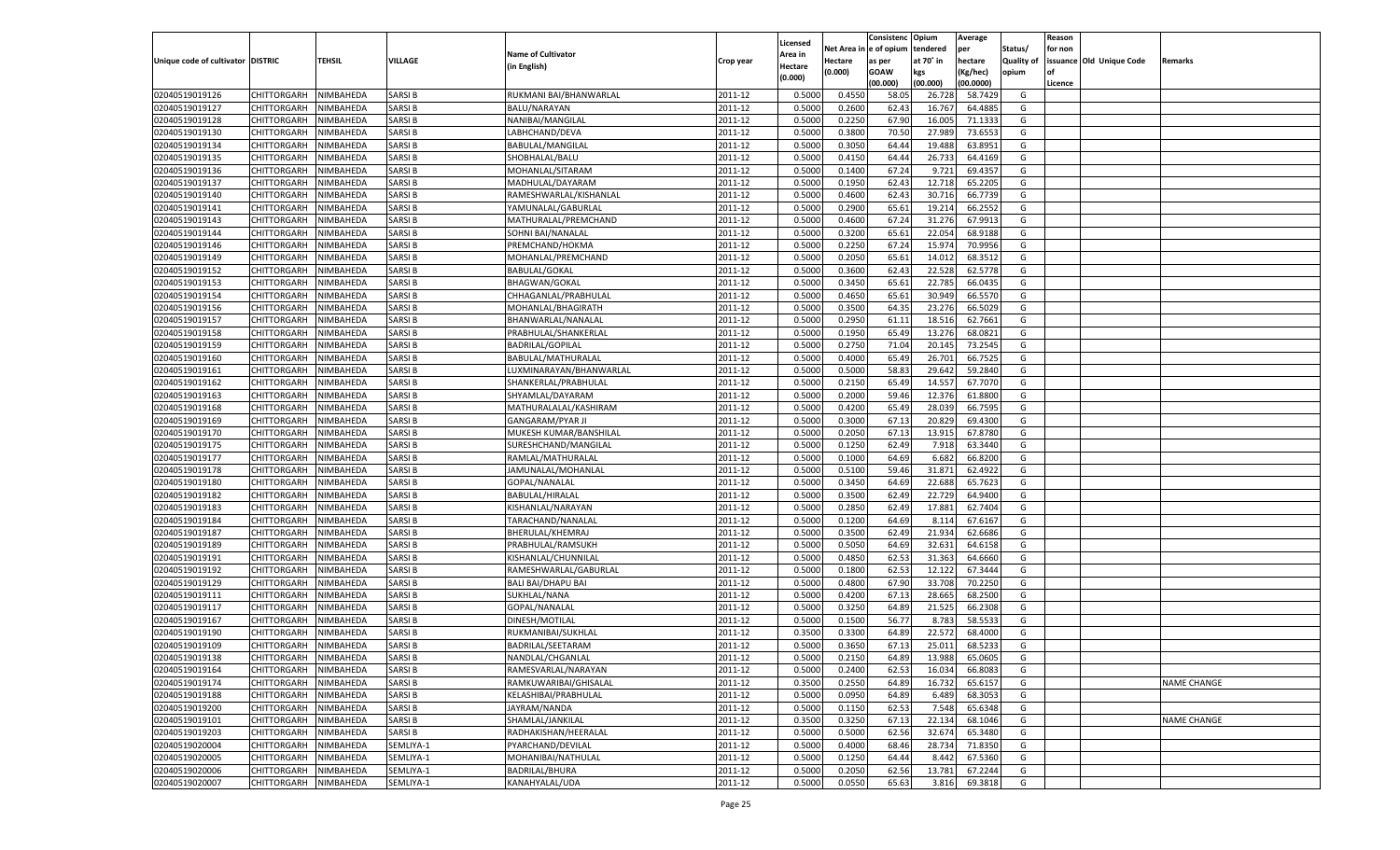|                                   |                                          |                        |                                |                                              |                    |                     |                  | Consistenc     | Opium            | Average            |                   | Reason  |                          |                    |
|-----------------------------------|------------------------------------------|------------------------|--------------------------------|----------------------------------------------|--------------------|---------------------|------------------|----------------|------------------|--------------------|-------------------|---------|--------------------------|--------------------|
|                                   |                                          |                        |                                | <b>Name of Cultivator</b>                    |                    | Licensed<br>\rea in | Net Area         | e of opium     | tendered         | per                | Status/           | for non |                          |                    |
| Unique code of cultivator DISTRIC |                                          | <b>TEHSIL</b>          | VILLAGE                        | (in English)                                 | Crop year          | Hectare             | Hectare          | as per         | at 70° in        | hectare            | <b>Quality of</b> |         | issuance Old Unique Code | Remarks            |
|                                   |                                          |                        |                                |                                              |                    | (0.000)             | (0.000)          | <b>GOAW</b>    | kgs              | (Kg/hec)           | opium             |         |                          |                    |
|                                   |                                          |                        |                                |                                              |                    |                     |                  | (00.000)       | (00.000)         | (00.0000)          |                   | Licence |                          |                    |
| 02040519019126                    | CHITTORGARH                              | NIMBAHEDA              | SARSI B                        | RUKMANI BAI/BHANWARLAL                       | 2011-12            | 0.5000              | 0.4550           | 58.05          | 26.728           | 58.7429            | G                 |         |                          |                    |
| 02040519019127                    | CHITTORGARH                              | NIMBAHEDA              | SARSI B                        | BALU/NARAYAN                                 | 2011-12            | 0.5000              | 0.2600           | 62.43          | 16.767           | 64.4885            | G                 |         |                          |                    |
| 02040519019128                    | CHITTORGARH                              | NIMBAHEDA              | SARSI B                        | NANIBAI/MANGILAL                             | 2011-12            | 0.5000              | 0.2250           | 67.90          | 16.005           | 71.1333            | G                 |         |                          |                    |
| 02040519019130                    | CHITTORGARH                              | NIMBAHEDA              | SARSI B                        | LABHCHAND/DEVA                               | 2011-12            | 0.5000              | 0.3800           | 70.50          | 27.989           | 73.6553            | G                 |         |                          |                    |
| 02040519019134                    | CHITTORGARH                              | NIMBAHEDA              | SARSI B                        | BABULAL/MANGILAI                             | 2011-12            | 0.5000              | 0.3050           | 64.44          | 19.488           | 63.8951            | G                 |         |                          |                    |
| 02040519019135                    | CHITTORGARH                              | NIMBAHEDA              | SARSI B                        | SHOBHALAL/BALU                               | 2011-12            | 0.5000              | 0.4150           | 64.44          | 26.733           | 64.4169            | G                 |         |                          |                    |
| 02040519019136                    | CHITTORGARH                              | NIMBAHEDA              | SARSI B                        | MOHANLAL/SITARAM                             | 2011-12            | 0.5000              | 0.1400           | 67.24          | 9.721            | 69.4357            | G                 |         |                          |                    |
| 02040519019137                    | CHITTORGARH                              | NIMBAHEDA              | SARSI B                        | MADHULAL/DAYARAM                             | 2011-12            | 0.5000              | 0.1950           | 62.43          | 12.71            | 65.2205            | G                 |         |                          |                    |
| 02040519019140                    | CHITTORGARH                              | NIMBAHEDA              | SARSI B                        | RAMESHWARLAL/KISHANLAL                       | 2011-12            | 0.5000              | 0.4600           | 62.43          | 30.716           | 66.7739            | G                 |         |                          |                    |
| 02040519019141                    | CHITTORGARH                              | NIMBAHEDA              | SARSI B                        | YAMUNALAL/GABURLAL                           | 2011-12            | 0.5000              | 0.2900           | 65.61          | 19.21            | 66.2552            | G                 |         |                          |                    |
| 02040519019143                    | CHITTORGARH                              | NIMBAHEDA              | SARSI B                        | MATHURALAL/PREMCHAND                         | 2011-12            | 0.5000              | 0.4600           | 67.24          | 31.276           | 67.991             | G                 |         |                          |                    |
| 02040519019144                    | CHITTORGARH                              | NIMBAHEDA              | SARSI B                        | SOHNI BAI/NANALAL                            | 2011-12            | 0.5000              | 0.3200           | 65.61          | 22.054           | 68.9188            | G                 |         |                          |                    |
| 02040519019146                    | CHITTORGARH                              | NIMBAHEDA              | SARSI B                        | PREMCHAND/HOKMA                              | 2011-12            | 0.5000              | 0.2250           | 67.24          | 15.974           | 70.9956            | G                 |         |                          |                    |
| 02040519019149                    | CHITTORGARH                              | NIMBAHEDA              | SARSI B                        | MOHANLAL/PREMCHAND                           | 2011-12            | 0.5000              | 0.2050           | 65.61          | 14.012           | 68.3512            | G                 |         |                          |                    |
| 02040519019152                    | CHITTORGARH                              | NIMBAHEDA              | SARSI B                        | BABULAL/GOKAL                                | 2011-12            | 0.5000              | 0.3600           | 62.43          | 22.528           | 62.5778            | G                 |         |                          |                    |
| 02040519019153                    | CHITTORGARH                              | NIMBAHEDA              | SARSI B                        | <b>BHAGWAN/GOKAL</b>                         | 2011-12            | 0.5000              | 0.3450           | 65.61          | 22.785           | 66.0435            | G                 |         |                          |                    |
| 02040519019154                    | CHITTORGARH                              | NIMBAHEDA              | SARSI B                        | CHHAGANLAL/PRABHULAL                         | 2011-12            | 0.5000              | 0.4650           | 65.61          | 30.949           | 66.5570            | G                 |         |                          |                    |
| 02040519019156                    | CHITTORGARH                              | NIMBAHEDA              | SARSI B                        | MOHANLAL/BHAGIRATH                           | 2011-12            | 0.5000              | 0.3500           | 64.35          | 23.276           | 66.5029            | G                 |         |                          |                    |
| 02040519019157                    | CHITTORGARH                              | NIMBAHEDA              | SARSI B                        | BHANWARLAL/NANALAL                           | 2011-12            | 0.5000              | 0.2950           | 61.11          | 18.516           | 62.7661            | G                 |         |                          |                    |
| 02040519019158                    | CHITTORGARH                              | NIMBAHEDA              | SARSI B                        | PRABHULAL/SHANKERLAL                         | 2011-12            | 0.5000              | 0.1950           | 65.49          | 13.276           | 68.0821            | G                 |         |                          |                    |
| 02040519019159                    | CHITTORGARH                              | NIMBAHEDA              | SARSI B                        | <b>BADRILAL/GOPILAL</b>                      | 2011-12            | 0.5000              | 0.2750           | 71.04          | 20.145           | 73.2545            | G                 |         |                          |                    |
| 02040519019160                    | CHITTORGARH                              | NIMBAHEDA              | SARSI B                        | BABULAL/MATHURALAL                           | 2011-12            | 0.5000              | 0.4000           | 65.49          | 26.701           | 66.7525            | G                 |         |                          |                    |
| 02040519019161                    | CHITTORGARH                              | NIMBAHEDA              | SARSI B                        | LUXMINARAYAN/BHANWARLAL                      | 2011-12            | 0.5000              | 0.5000           | 58.83          | 29.642           | 59.2840            | G                 |         |                          |                    |
| 02040519019162                    | CHITTORGARH                              | NIMBAHEDA              | SARSI B                        | SHANKERLAL/PRABHULAL                         | 2011-12            | 0.5000              | 0.2150           | 65.49          | 14.557           | 67.7070            | G                 |         |                          |                    |
| 02040519019163                    | CHITTORGARH                              | NIMBAHEDA              | SARSI B                        | SHYAMLAL/DAYARAM                             | 2011-12            | 0.5000              | 0.2000           | 59.46          | 12.376           | 61.8800            | G                 |         |                          |                    |
| 02040519019168                    | CHITTORGARH                              | NIMBAHEDA              | SARSI B                        | MATHURALALAL/KASHIRAM                        | 2011-12            | 0.5000              | 0.4200           | 65.49          | 28.039           | 66.7595            | G                 |         |                          |                    |
| 02040519019169                    | CHITTORGARH                              | NIMBAHEDA              | SARSI B                        | <b>GANGARAM/PYAR JI</b>                      | 2011-12            | 0.5000              | 0.3000           | 67.13          | 20.829           | 69.4300            | G                 |         |                          |                    |
| 02040519019170                    | CHITTORGARH                              | NIMBAHEDA              | SARSI B                        | MUKESH KUMAR/BANSHILAL                       | 2011-12            | 0.5000              | 0.2050           | 67.13          | 13.915           | 67.8780            | G                 |         |                          |                    |
| 02040519019175                    | CHITTORGARH                              | NIMBAHEDA              | SARSI B                        | SURESHCHAND/MANGILAL                         | 2011-12            | 0.5000              | 0.1250           | 62.49          | 7.918            | 63.3440            | G                 |         |                          |                    |
| 02040519019177                    | CHITTORGARH                              | NIMBAHEDA              | SARSI B                        | RAMLAL/MATHURALAL                            | 2011-12            | 0.5000              | 0.1000           | 64.69          | 6.682            | 66.8200            | G                 |         |                          |                    |
| 02040519019178                    | CHITTORGARH                              | NIMBAHEDA              | SARSI B                        | JAMUNALAL/MOHANLAL                           | 2011-12            | 0.5000              | 0.5100           | 59.46          | 31.871           | 62.4922            | G                 |         |                          |                    |
| 02040519019180                    | CHITTORGARH                              | NIMBAHEDA              | SARSI B                        | GOPAL/NANALAL                                | 2011-12            | 0.5000              | 0.3450           | 64.69          | 22.688           | 65.7623            | G                 |         |                          |                    |
| 02040519019182                    | CHITTORGARH                              | NIMBAHEDA              | SARSI B                        | BABULAL/HIRALAL                              | 2011-12            | 0.5000              | 0.3500           | 62.49          | 22.729           | 64.9400            | G                 |         |                          |                    |
| 02040519019183                    | CHITTORGARH                              | NIMBAHEDA              | SARSI B                        | KISHANLAL/NARAYAN                            | 2011-12            | 0.5000              | 0.2850           | 62.49          | 17.881           | 62.7404            | G                 |         |                          |                    |
| 02040519019184                    | CHITTORGARH                              | NIMBAHEDA              | SARSI B                        | TARACHAND/NANALAL                            | 2011-12            | 0.5000              | 0.1200           | 64.69          | 8.114            | 67.6167            | G                 |         |                          |                    |
| 02040519019187                    | CHITTORGARH                              | NIMBAHEDA              | SARSI B                        | BHERULAL/KHEMRAJ                             | 2011-12            | 0.5000              | 0.3500           | 62.49          | 21.934           | 62.6686            | G                 |         |                          |                    |
| 02040519019189                    | CHITTORGARH                              | NIMBAHEDA              | SARSI B                        | PRABHULAL/RAMSUKH                            | 2011-12            | 0.5000              | 0.5050           | 64.69          | 32.631           | 64.6158            | G                 |         |                          |                    |
| 02040519019191                    | CHITTORGARH                              | NIMBAHEDA              | SARSI B                        | KISHANLAL/CHUNNILAI                          | 2011-12            | 0.5000              | 0.4850           | 62.53          | 31.363           | 64.6660            | G                 |         |                          |                    |
| 02040519019192                    | CHITTORGARH                              | NIMBAHEDA              | SARSI B                        | RAMESHWARLAL/GABURLAL                        | 2011-12            | 0.5000              | 0.1800           | 62.53          | 12.122           | 67.3444            | G                 |         |                          |                    |
| 02040519019129                    | CHITTORGARH                              | NIMBAHEDA              | SARSI B                        | <b>BALI BAI/DHAPU BAI</b>                    | 2011-12            | 0.5000              | 0.4800           | 67.90          | 33.708           | 70.2250            | G                 |         |                          |                    |
| 02040519019111                    | CHITTORGARH                              | NIMBAHEDA              | SARSI B                        | SUKHLAL/NANA                                 | 2011-12            | 0.5000              | 0.4200           | 67.13          | 28.665           | 68.2500            | G                 |         |                          |                    |
| 02040519019117                    | CHITTORGARH                              | NIMBAHEDA              | SARSI B                        | GOPAL/NANALAL                                | 2011-12            | 0.5000              | 0.3250           | 64.89          | 21.525           | 66.2308            | G                 |         |                          |                    |
| 02040519019167                    | CHITTORGARH                              | NIMBAHEDA              | SARSI B                        | DINESH/MOTILAL                               | 2011-12            | 0.5000              | 0.1500           | 56.77          | 8.783            | 58.5533            | G                 |         |                          |                    |
| 02040519019190                    | CHITTORGARH                              | NIMBAHEDA              | SARSI B                        | RUKMANIBAI/SUKHLAL                           | 2011-12            | 0.3500              | 0.3300           | 64.89          | 22.572           | 68.4000            | G                 |         |                          |                    |
| 02040519019109                    |                                          | NIMBAHEDA              | SARSI B                        |                                              |                    | 0.5000              | 0.3650           | 67.13          | 25.011           | 68.5233            | G                 |         |                          |                    |
|                                   | CHITTORGARH                              |                        |                                | BADRILAL/SEETARAM                            | 2011-12            |                     |                  |                |                  |                    | G                 |         |                          |                    |
| 02040519019138                    | CHITTORGARH NIMBAHEDA                    |                        | <b>SARSIB</b>                  | NANDLAL/CHGANLAL                             | 2011-12            | 0.5000              | 0.2150           | 64.89          | 13.988           | 65.0605            |                   |         |                          |                    |
| 02040519019164<br>02040519019174  | <b>CHITTORGARH</b><br><b>CHITTORGARH</b> | NIMBAHEDA<br>NIMBAHEDA | <b>SARSIB</b><br><b>SARSIB</b> | RAMESVARLAL/NARAYAN<br>RAMKUWARIBAI/GHISALAL | 2011-12<br>2011-12 | 0.5000<br>0.3500    | 0.2400<br>0.2550 | 62.53<br>64.89 | 16.034<br>16.732 | 66.8083<br>65.6157 | G<br>G            |         |                          | NAME CHANGE        |
|                                   |                                          |                        |                                |                                              |                    |                     |                  |                |                  |                    |                   |         |                          |                    |
| 02040519019188                    | <b>CHITTORGARH</b>                       | NIMBAHEDA              | <b>SARSIB</b>                  | KELASHIBAI/PRABHULAL                         | 2011-12            | 0.5000              | 0.0950           | 64.89          | 6.489            | 68.3053            | G                 |         |                          |                    |
| 02040519019200                    | <b>CHITTORGARH</b>                       | NIMBAHEDA              | <b>SARSIB</b>                  | JAYRAM/NANDA                                 | 2011-12            | 0.5000              | 0.1150           | 62.53          | 7.548            | 65.6348            | G                 |         |                          |                    |
| 02040519019101                    | <b>CHITTORGARH</b>                       | NIMBAHEDA              | <b>SARSIB</b>                  | SHAMLAL/JANKILAL                             | 2011-12            | 0.3500              | 0.3250           | 67.13          | 22.134           | 68.1046            | G                 |         |                          | <b>NAME CHANGE</b> |
| 02040519019203                    | <b>CHITTORGARH</b>                       | NIMBAHEDA              | <b>SARSIB</b>                  | RADHAKISHAN/HEERALAL                         | 2011-12            | 0.5000              | 0.5000           | 62.56          | 32.674           | 65.3480            | G                 |         |                          |                    |
| 02040519020004                    | <b>CHITTORGARH</b>                       | NIMBAHEDA              | SEMLIYA-1                      | PYARCHAND/DEVILAL                            | 2011-12            | 0.5000              | 0.4000           | 68.46          | 28.734           | 71.8350            | G                 |         |                          |                    |
| 02040519020005                    | <b>CHITTORGARH</b>                       | NIMBAHEDA              | SEMLIYA-1                      | MOHANIBAI/NATHULAL                           | 2011-12            | 0.5000              | 0.1250           | 64.44          | 8.442            | 67.5360            | G                 |         |                          |                    |
| 02040519020006                    | <b>CHITTORGARH</b>                       | NIMBAHEDA              | SEMLIYA-1                      | <b>BADRILAL/BHURA</b>                        | 2011-12            | 0.5000              | 0.2050           | 62.56          | 13.781           | 67.2244            | G                 |         |                          |                    |
| 02040519020007                    | <b>CHITTORGARH</b>                       | NIMBAHEDA              | SEMLIYA-1                      | KANAHYALAL/UDA                               | 2011-12            | 0.5000              | 0.0550           | 65.63          | 3.816            | 69.3818            | G                 |         |                          |                    |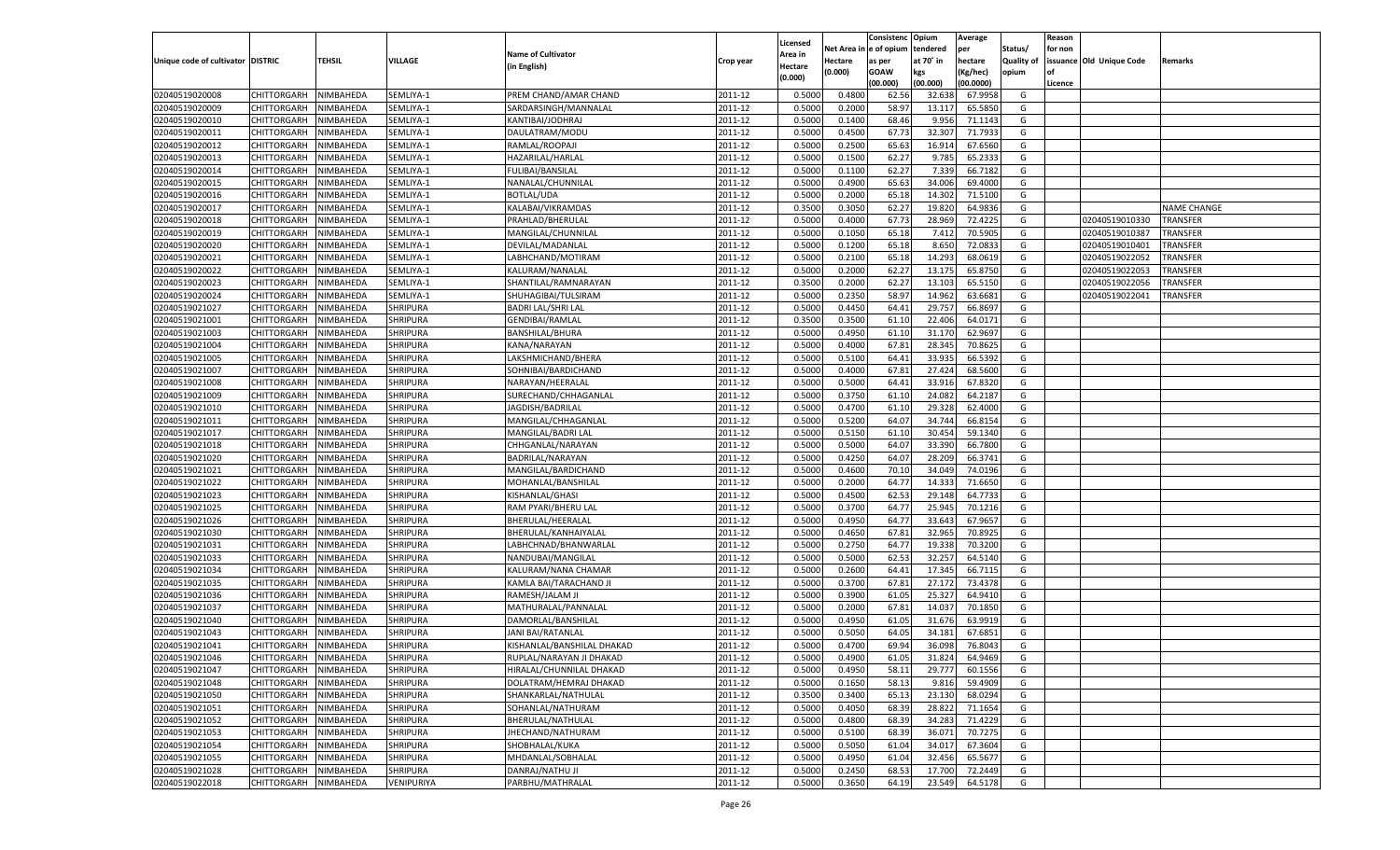|                                   |                    |           |                 |                            |           |          |            | Consistenc Opium |           | Average   |                   | Reason  |                          |                    |
|-----------------------------------|--------------------|-----------|-----------------|----------------------------|-----------|----------|------------|------------------|-----------|-----------|-------------------|---------|--------------------------|--------------------|
|                                   |                    |           |                 |                            |           | Licensed | Net Area i | l e of opium     | tendered  | per       | Status/           | for non |                          |                    |
| Unique code of cultivator DISTRIC |                    | TEHSIL    | VILLAGE         | <b>Name of Cultivator</b>  | Crop year | Area in  | Hectare    | as per           | at 70° in | hectare   | <b>Quality of</b> |         | issuance Old Unique Code | Remarks            |
|                                   |                    |           |                 | (in English)               |           | Hectare  | (0.000)    | <b>GOAW</b>      | kgs       | (Kg/hec)  | opium             | nf      |                          |                    |
|                                   |                    |           |                 |                            |           | (0.000)  |            | (00.000)         | (00.000)  | (00.0000) |                   | Licence |                          |                    |
| 02040519020008                    | CHITTORGARH        | NIMBAHEDA | SEMLIYA-1       | PREM CHAND/AMAR CHAND      | 2011-12   | 0.5000   | 0.4800     | 62.56            | 32.63     | 67.9958   | G                 |         |                          |                    |
| 02040519020009                    | CHITTORGARH        | NIMBAHEDA | SEMLIYA-1       | SARDARSINGH/MANNALAL       | 2011-12   | 0.5000   | 0.2000     | 58.97            | 13.117    | 65.5850   | G                 |         |                          |                    |
| 02040519020010                    | CHITTORGARH        | NIMBAHEDA | SEMLIYA-1       | KANTIBAI/JODHRAJ           | 2011-12   | 0.5000   | 0.1400     | 68.46            | 9.956     | 71.1143   | G                 |         |                          |                    |
| 02040519020011                    | CHITTORGARH        | NIMBAHEDA | SEMLIYA-1       | DAULATRAM/MODU             | 2011-12   | 0.5000   | 0.4500     | 67.73            | 32.307    | 71.7933   | G                 |         |                          |                    |
| 02040519020012                    | CHITTORGARH        | NIMBAHEDA | SEMLIYA-1       | RAMLAL/ROOPAJI             | 2011-12   | 0.5000   | 0.2500     | 65.63            | 16.914    | 67.6560   | G                 |         |                          |                    |
| 02040519020013                    | CHITTORGARH        | NIMBAHEDA | SEMLIYA-1       | HAZARILAL/HARLAL           | 2011-12   | 0.5000   | 0.1500     | 62.27            | 9.785     | 65.2333   | G                 |         |                          |                    |
| 02040519020014                    | CHITTORGARH        | NIMBAHEDA | SEMLIYA-1       | <b>FULIBAI/BANSILAL</b>    | 2011-12   | 0.5000   | 0.1100     | 62.27            | 7.339     | 66.7182   | G                 |         |                          |                    |
| 02040519020015                    | CHITTORGARH        | NIMBAHEDA | SEMLIYA-1       | NANALAL/CHUNNILAL          | 2011-12   | 0.5000   | 0.4900     | 65.63            | 34.006    | 69.4000   | G                 |         |                          |                    |
| 02040519020016                    | CHITTORGARH        | NIMBAHEDA | SEMLIYA-1       | <b>BOTLAL/UDA</b>          | 2011-12   | 0.5000   | 0.2000     | 65.18            | 14.302    | 71.5100   | G                 |         |                          |                    |
| 02040519020017                    | CHITTORGARH        | NIMBAHEDA | SEMLIYA-1       | KALABAI/VIKRAMDAS          | 2011-12   | 0.3500   | 0.3050     | 62.27            | 19.820    | 64.9836   | G                 |         |                          | <b>NAME CHANGE</b> |
| 02040519020018                    | CHITTORGARH        | NIMBAHEDA | SEMLIYA-1       | PRAHLAD/BHERULAL           | 2011-12   | 0.5000   | 0.4000     | 67.73            | 28.969    | 72.4225   | G                 |         | 02040519010330           | TRANSFER           |
| 02040519020019                    | CHITTORGARH        | NIMBAHEDA | SEMLIYA-1       | MANGILAL/CHUNNILAL         | 2011-12   | 0.5000   | 0.1050     | 65.18            | 7.412     | 70.5905   | G                 |         | 02040519010387           | TRANSFER           |
| 02040519020020                    | CHITTORGARH        | NIMBAHEDA | SEMLIYA-1       | DEVILAL/MADANLAL           | 2011-12   | 0.5000   | 0.1200     | 65.18            | 8.650     | 72.0833   | G                 |         | 02040519010401           | <b>TRANSFER</b>    |
| 02040519020021                    | CHITTORGARH        | NIMBAHEDA | SEMLIYA-1       | LABHCHAND/MOTIRAM          | 2011-12   | 0.5000   | 0.2100     | 65.18            | 14.293    | 68.0619   | G                 |         | 02040519022052           | TRANSFER           |
| 02040519020022                    | CHITTORGARH        | NIMBAHEDA | SEMLIYA-1       | KALURAM/NANALAL            | 2011-12   | 0.5000   | 0.2000     | 62.27            | 13.175    | 65.8750   | G                 |         | 02040519022053           | TRANSFER           |
| 02040519020023                    | CHITTORGARH        | NIMBAHEDA | SEMLIYA-1       | SHANTILAL/RAMNARAYAN       | 2011-12   | 0.3500   | 0.2000     | 62.27            | 13.103    | 65.5150   | G                 |         | 02040519022056           | TRANSFER           |
| 02040519020024                    | CHITTORGARH        | NIMBAHEDA | SEMLIYA-1       | SHUHAGIBAI/TULSIRAM        | 2011-12   | 0.5000   | 0.2350     | 58.97            | 14.962    | 63.6681   | G                 |         | 02040519022041           | TRANSFER           |
| 02040519021027                    | CHITTORGARH        | NIMBAHEDA | <b>SHRIPURA</b> | <b>BADRI LAL/SHRI LAL</b>  | 2011-12   | 0.5000   | 0.4450     | 64.41            | 29.757    | 66.8697   | G                 |         |                          |                    |
| 02040519021001                    | CHITTORGARH        | NIMBAHEDA | <b>SHRIPURA</b> | <b>GENDIBAI/RAMLAL</b>     | 2011-12   | 0.3500   | 0.3500     | 61.10            | 22.406    | 64.0171   | G                 |         |                          |                    |
| 02040519021003                    | CHITTORGARH        | NIMBAHEDA | <b>SHRIPURA</b> | <b>BANSHILAL/BHURA</b>     | 2011-12   | 0.5000   | 0.4950     | 61.10            | 31.170    | 62.9697   | G                 |         |                          |                    |
| 02040519021004                    | CHITTORGARH        | NIMBAHEDA | <b>SHRIPURA</b> | KANA/NARAYAN               | 2011-12   | 0.5000   | 0.4000     | 67.81            | 28.345    | 70.8625   | G                 |         |                          |                    |
| 02040519021005                    | CHITTORGARH        | NIMBAHEDA | <b>SHRIPURA</b> | LAKSHMICHAND/BHERA         | 2011-12   | 0.5000   | 0.5100     | 64.41            | 33.935    | 66.5392   | G                 |         |                          |                    |
| 02040519021007                    | CHITTORGARH        | NIMBAHEDA | <b>SHRIPURA</b> | SOHNIBAI/BARDICHAND        | 2011-12   | 0.5000   | 0.4000     | 67.81            | 27.424    | 68.5600   | G                 |         |                          |                    |
| 02040519021008                    | CHITTORGARH        | NIMBAHEDA | <b>SHRIPURA</b> | NARAYAN/HEERALAL           | 2011-12   | 0.5000   | 0.5000     | 64.41            | 33.916    | 67.8320   | G                 |         |                          |                    |
| 02040519021009                    | CHITTORGARH        | NIMBAHEDA | <b>SHRIPURA</b> | SURECHAND/CHHAGANLAL       | 2011-12   | 0.5000   | 0.3750     | 61.10            | 24.082    | 64.2187   | G                 |         |                          |                    |
| 02040519021010                    | CHITTORGARH        | NIMBAHEDA | <b>SHRIPURA</b> | JAGDISH/BADRILAL           | 2011-12   | 0.5000   | 0.4700     | 61.10            | 29.328    | 62.4000   | G                 |         |                          |                    |
| 02040519021011                    | CHITTORGARH        | NIMBAHEDA | <b>SHRIPURA</b> | MANGILAL/CHHAGANLAI        | 2011-12   | 0.5000   | 0.5200     | 64.07            | 34.744    | 66.8154   | G                 |         |                          |                    |
| 02040519021017                    | CHITTORGARH        | NIMBAHEDA | <b>SHRIPURA</b> | MANGILAL/BADRI LAL         | 2011-12   | 0.5000   | 0.5150     | 61.10            | 30.454    | 59.1340   | G                 |         |                          |                    |
| 02040519021018                    | CHITTORGARH        | NIMBAHEDA | <b>SHRIPURA</b> | CHHGANLAL/NARAYAN          | 2011-12   | 0.5000   | 0.5000     | 64.07            | 33.390    | 66.7800   | G                 |         |                          |                    |
| 02040519021020                    | CHITTORGARH        | NIMBAHEDA | <b>SHRIPURA</b> | BADRILAL/NARAYAN           | 2011-12   | 0.5000   | 0.4250     | 64.07            | 28.209    | 66.3741   | G                 |         |                          |                    |
| 02040519021021                    | CHITTORGARH        | NIMBAHEDA | <b>SHRIPURA</b> | MANGILAL/BARDICHAND        | 2011-12   | 0.5000   | 0.4600     | 70.10            | 34.049    | 74.0196   | G                 |         |                          |                    |
| 02040519021022                    | CHITTORGARH        | NIMBAHEDA | <b>SHRIPURA</b> | MOHANLAL/BANSHILAL         | 2011-12   | 0.5000   | 0.2000     | 64.77            | 14.33     | 71.6650   | G                 |         |                          |                    |
| 02040519021023                    | CHITTORGARH        | NIMBAHEDA | <b>SHRIPURA</b> | KISHANLAL/GHASI            | 2011-12   | 0.5000   | 0.4500     | 62.53            | 29.148    | 64.7733   | G                 |         |                          |                    |
| 02040519021025                    | CHITTORGARH        | NIMBAHEDA | SHRIPURA        | RAM PYARI/BHERU LAL        | 2011-12   | 0.5000   | 0.3700     | 64.77            | 25.945    | 70.1216   | G                 |         |                          |                    |
| 02040519021026                    | CHITTORGARH        | NIMBAHEDA | <b>SHRIPURA</b> | BHERULAL/HEERALAL          | 2011-12   | 0.5000   | 0.4950     | 64.77            | 33.643    | 67.9657   | G                 |         |                          |                    |
| 02040519021030                    | CHITTORGARH        | NIMBAHEDA | <b>SHRIPURA</b> | BHERULAL/KANHAIYALAL       | 2011-12   | 0.5000   | 0.4650     | 67.81            | 32.965    | 70.8925   | G                 |         |                          |                    |
| 02040519021031                    | CHITTORGARH        | NIMBAHEDA | <b>SHRIPURA</b> | LABHCHNAD/BHANWARLAL       | 2011-12   | 0.5000   | 0.2750     | 64.77            | 19.338    | 70.3200   | G                 |         |                          |                    |
| 02040519021033                    | CHITTORGARH        | NIMBAHEDA | <b>SHRIPURA</b> | NANDUBAI/MANGILAL          | 2011-12   | 0.5000   | 0.5000     | 62.53            | 32.257    | 64.5140   | G                 |         |                          |                    |
| 02040519021034                    | CHITTORGARH        | NIMBAHEDA | <b>SHRIPURA</b> | KALURAM/NANA CHAMAR        | 2011-12   | 0.5000   | 0.2600     | 64.41            | 17.345    | 66.7115   | G                 |         |                          |                    |
| 02040519021035                    | CHITTORGARH        | NIMBAHEDA | <b>SHRIPURA</b> | KAMLA BAI/TARACHAND JI     | 2011-12   | 0.5000   | 0.3700     | 67.81            | 27.172    | 73.4378   | G                 |         |                          |                    |
| 02040519021036                    | CHITTORGARH        | NIMBAHEDA | <b>SHRIPURA</b> | RAMESH/JALAM JI            | 2011-12   | 0.5000   | 0.3900     | 61.05            | 25.327    | 64.9410   | G                 |         |                          |                    |
| 02040519021037                    | CHITTORGARH        | NIMBAHEDA | <b>SHRIPURA</b> | MATHURALAL/PANNALAL        | 2011-12   | 0.5000   | 0.2000     | 67.81            | 14.037    | 70.1850   | G                 |         |                          |                    |
| 02040519021040                    | CHITTORGARH        | NIMBAHEDA | <b>SHRIPURA</b> | DAMORLAL/BANSHILAL         | 2011-12   | 0.5000   | 0.4950     | 61.05            | 31.676    | 63.9919   | G                 |         |                          |                    |
| 02040519021043                    | CHITTORGARH        | NIMBAHEDA | <b>SHRIPURA</b> | <b>JANI BAI/RATANLAL</b>   | 2011-12   | 0.5000   | 0.5050     | 64.05            | 34.181    | 67.6851   | G                 |         |                          |                    |
| 02040519021041                    | CHITTORGARH        | NIMBAHEDA | <b>SHRIPURA</b> | KISHANLAL/BANSHILAL DHAKAD | 2011-12   | 0.5000   | 0.4700     | 69.94            | 36.098    | 76.8043   | G                 |         |                          |                    |
|                                   |                    |           |                 |                            |           |          |            |                  |           |           | G                 |         |                          |                    |
| 02040519021046                    | <b>CHITTORGARH</b> | NIMBAHEDA | <b>SHRIPURA</b> | RUPLAL/NARAYAN JI DHAKAD   | 2011-12   | 0.5000   | 0.4900     | 61.05            | 31.824    | 64.9469   |                   |         |                          |                    |
| 02040519021047                    | CHITTORGARH        | NIMBAHEDA | <b>SHRIPURA</b> | HIRALAL/CHUNNILAL DHAKAD   | 2011-12   | 0.5000   | 0.4950     | 58.11            | 29.777    | 60.1556   | G                 |         |                          |                    |
| 02040519021048                    | CHITTORGARH        | NIMBAHEDA | <b>SHRIPURA</b> | DOLATRAM/HEMRAJ DHAKAD     | 2011-12   | 0.5000   | 0.1650     | 58.13            | 9.816     | 59.4909   | G                 |         |                          |                    |
| 02040519021050                    | CHITTORGARH        | NIMBAHEDA | <b>SHRIPURA</b> | SHANKARLAL/NATHULAL        | 2011-12   | 0.3500   | 0.3400     | 65.13            | 23.130    | 68.0294   | G                 |         |                          |                    |
| 02040519021051                    | CHITTORGARH        | NIMBAHEDA | <b>SHRIPURA</b> | SOHANLAL/NATHURAM          | 2011-12   | 0.5000   | 0.4050     | 68.39            | 28.822    | 71.1654   | G                 |         |                          |                    |
| 02040519021052                    | CHITTORGARH        | NIMBAHEDA | <b>SHRIPURA</b> | BHERULAL/NATHULAL          | 2011-12   | 0.5000   | 0.4800     | 68.39            | 34.283    | 71.4229   | G                 |         |                          |                    |
| 02040519021053                    | CHITTORGARH        | NIMBAHEDA | <b>SHRIPURA</b> | JHECHAND/NATHURAM          | 2011-12   | 0.5000   | 0.5100     | 68.39            | 36.071    | 70.7275   | G                 |         |                          |                    |
| 02040519021054                    | CHITTORGARH        | NIMBAHEDA | <b>SHRIPURA</b> | SHOBHALAL/KUKA             | 2011-12   | 0.5000   | 0.5050     | 61.04            | 34.017    | 67.3604   | G                 |         |                          |                    |
| 02040519021055                    | CHITTORGARH        | NIMBAHEDA | <b>SHRIPURA</b> | MHDANLAL/SOBHALAL          | 2011-12   | 0.5000   | 0.4950     | 61.04            | 32.456    | 65.5677   | G                 |         |                          |                    |
| 02040519021028                    | CHITTORGARH        | NIMBAHEDA | <b>SHRIPURA</b> | DANRAJ/NATHU JI            | 2011-12   | 0.5000   | 0.2450     | 68.53            | 17.700    | 72.2449   | G                 |         |                          |                    |
| 02040519022018                    | CHITTORGARH        | NIMBAHEDA | VENIPURIYA      | PARBHU/MATHRALAL           | 2011-12   | 0.5000   | 0.3650     | 64.19            | 23.549    | 64.5178   | G                 |         |                          |                    |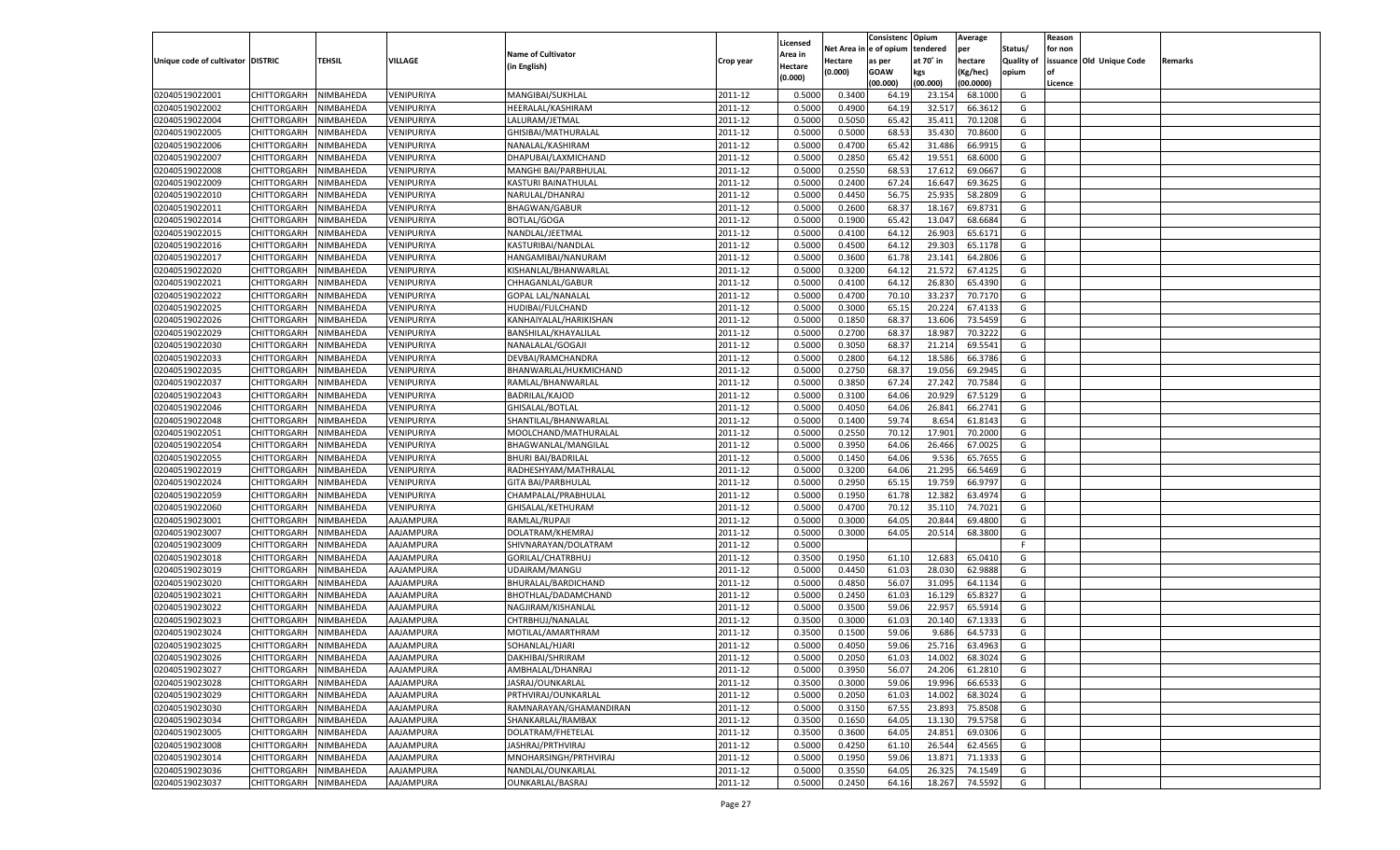|                                   |                                          |               |            |                                      |           |                           |          | Consistenc  | Opium     | Average   |                   | Reason  |                          |         |
|-----------------------------------|------------------------------------------|---------------|------------|--------------------------------------|-----------|---------------------------|----------|-------------|-----------|-----------|-------------------|---------|--------------------------|---------|
|                                   |                                          |               |            | <b>Name of Cultivator</b>            |           | Licensed                  | Net Area | e of opium  | tendered  | per       | Status/           | for non |                          |         |
| Unique code of cultivator DISTRIC |                                          | <b>TEHSIL</b> | VILLAGE    | (in English)                         | Crop year | <b>Area in</b><br>Hectare | Hectare  | as per      | at 70° in | hectare   | <b>Quality of</b> |         | issuance Old Unique Code | Remarks |
|                                   |                                          |               |            |                                      |           | (0.000)                   | (0.000)  | <b>GOAW</b> | kgs       | (Kg/hec)  | opium             |         |                          |         |
|                                   |                                          |               |            |                                      |           |                           |          | (00.000)    | (00.000)  | (00.0000) |                   | Licence |                          |         |
| 02040519022001                    | CHITTORGARH                              | NIMBAHEDA     | VENIPURIYA | MANGIBAI/SUKHLAL                     | 2011-12   | 0.5000                    | 0.3400   | 64.19       | 23.154    | 68.1000   | G                 |         |                          |         |
| 02040519022002                    | CHITTORGARH                              | NIMBAHEDA     | VENIPURIYA | HEERALAL/KASHIRAM                    | 2011-12   | 0.5000                    | 0.4900   | 64.19       | 32.517    | 66.361    | G                 |         |                          |         |
| 02040519022004                    | CHITTORGARH                              | NIMBAHEDA     | VENIPURIYA | LALURAM/JETMAL                       | 2011-12   | 0.5000                    | 0.5050   | 65.42       | 35.411    | 70.1208   | G                 |         |                          |         |
| 02040519022005                    | CHITTORGARH                              | NIMBAHEDA     | VENIPURIYA | GHISIBAI/MATHURALAL                  | 2011-12   | 0.5000                    | 0.5000   | 68.53       | 35.430    | 70.8600   | G                 |         |                          |         |
| 02040519022006                    | CHITTORGARH                              | NIMBAHEDA     | VENIPURIYA | NANALAL/KASHIRAM                     | 2011-12   | 0.5000                    | 0.4700   | 65.4        | 31.486    | 66.9915   | G                 |         |                          |         |
| 02040519022007                    | CHITTORGARH                              | NIMBAHEDA     | VENIPURIYA | DHAPUBAI/LAXMICHAND                  | 2011-12   | 0.5000                    | 0.2850   | 65.4        | 19.551    | 68.6000   | G                 |         |                          |         |
| 02040519022008                    | CHITTORGARH                              | NIMBAHEDA     | VENIPURIYA | MANGHI BAI/PARBHULAL                 | 2011-12   | 0.5000                    | 0.2550   | 68.53       | 17.612    | 69.0667   | G                 |         |                          |         |
| 02040519022009                    | CHITTORGARH                              | NIMBAHEDA     | VENIPURIYA | KASTURI BAINATHULAL                  | 2011-12   | 0.5000                    | 0.2400   | 67.24       | 16.647    | 69.3625   | G                 |         |                          |         |
| 02040519022010                    | CHITTORGARH                              | NIMBAHEDA     | VENIPURIYA | NARULAL/DHANRAJ                      | 2011-12   | 0.5000                    | 0.4450   | 56.75       | 25.935    | 58.2809   | G                 |         |                          |         |
| 02040519022011                    | CHITTORGARH                              | NIMBAHEDA     | VENIPURIYA | <b>BHAGWAN/GABUR</b>                 | 2011-12   | 0.5000                    | 0.2600   | 68.3        | 18.167    | 69.873    | G                 |         |                          |         |
| 02040519022014                    | CHITTORGARH                              | NIMBAHEDA     | VENIPURIYA | <b>BOTLAL/GOGA</b>                   | 2011-12   | 0.5000                    | 0.1900   | 65.42       | 13.047    | 68.6684   | G                 |         |                          |         |
| 02040519022015                    | CHITTORGARH                              | NIMBAHEDA     | VENIPURIYA | NANDLAL/JEETMAL                      | 2011-12   | 0.5000                    | 0.4100   | 64.1        | 26.903    | 65.6171   | G                 |         |                          |         |
| 02040519022016                    | CHITTORGARH                              | NIMBAHEDA     | VENIPURIYA | KASTURIBAI/NANDLAL                   | 2011-12   | 0.5000                    | 0.4500   | 64.12       | 29.303    | 65.1178   | G                 |         |                          |         |
| 02040519022017                    | CHITTORGARH                              | NIMBAHEDA     | VENIPURIYA | HANGAMIBAI/NANURAM                   | 2011-12   | 0.5000                    | 0.3600   | 61.78       | 23.141    | 64.280    | G                 |         |                          |         |
| 02040519022020                    | CHITTORGARH                              | NIMBAHEDA     | VENIPURIYA | KISHANLAL/BHANWARLAL                 | 2011-12   | 0.5000                    | 0.3200   | 64.12       | 21.572    | 67.4125   | G                 |         |                          |         |
| 02040519022021                    | CHITTORGARH                              | NIMBAHEDA     | VENIPURIYA | CHHAGANLAL/GABUR                     | 2011-12   | 0.5000                    | 0.4100   | 64.12       | 26.830    | 65.4390   | G                 |         |                          |         |
| 02040519022022                    | CHITTORGARH                              | NIMBAHEDA     | VENIPURIYA | <b>GOPAL LAL/NANALAL</b>             | 2011-12   | 0.5000                    | 0.4700   | 70.10       | 33.237    | 70.7170   | G                 |         |                          |         |
| 02040519022025                    | CHITTORGARH                              | NIMBAHEDA     | VENIPURIYA | HUDIBAI/FULCHAND                     | 2011-12   | 0.5000                    | 0.3000   | 65.15       | 20.224    | 67.4133   | G                 |         |                          |         |
| 02040519022026                    | CHITTORGARH                              | NIMBAHEDA     | VENIPURIYA | KANHAIYALAL/HARIKISHAN               | 2011-12   | 0.5000                    | 0.1850   | 68.37       | 13.606    | 73.5459   | G                 |         |                          |         |
| 02040519022029                    | CHITTORGARH                              | NIMBAHEDA     | VENIPURIYA | BANSHILAL/KHAYALILAL                 | 2011-12   | 0.5000                    | 0.2700   | 68.3        | 18.987    | 70.3222   | G                 |         |                          |         |
| 02040519022030                    | CHITTORGARH                              | NIMBAHEDA     | VENIPURIYA | NANALALAL/GOGAJI                     | 2011-12   | 0.5000                    | 0.3050   | 68.37       | 21.214    | 69.5541   | G                 |         |                          |         |
| 02040519022033                    | CHITTORGARH                              | NIMBAHEDA     | VENIPURIYA | DEVBAI/RAMCHANDRA                    | 2011-12   | 0.5000                    | 0.2800   | 64.12       | 18.586    | 66.3786   | G                 |         |                          |         |
| 02040519022035                    | CHITTORGARH                              | NIMBAHEDA     | VENIPURIYA | BHANWARLAL/HUKMICHAND                | 2011-12   | 0.5000                    | 0.2750   | 68.37       | 19.056    | 69.2945   | G                 |         |                          |         |
| 02040519022037                    | CHITTORGARH                              | NIMBAHEDA     | VENIPURIYA | RAMLAL/BHANWARLAL                    | 2011-12   | 0.5000                    | 0.3850   | 67.24       | 27.242    | 70.7584   | G                 |         |                          |         |
| 02040519022043                    | CHITTORGARH                              | NIMBAHEDA     | VENIPURIYA | <b>BADRILAL/KAJOD</b>                | 2011-12   | 0.5000                    | 0.3100   | 64.06       | 20.929    | 67.5129   | G                 |         |                          |         |
| 02040519022046                    | CHITTORGARH                              | NIMBAHEDA     | VENIPURIYA | GHISALAL/BOTLAL                      | 2011-12   | 0.5000                    | 0.4050   | 64.06       | 26.841    | 66.2741   | G                 |         |                          |         |
| 02040519022048                    | CHITTORGARH                              | NIMBAHEDA     | VENIPURIYA | SHANTILAL/BHANWARLAL                 | 2011-12   | 0.5000                    | 0.1400   | 59.74       | 8.654     | 61.8143   | G                 |         |                          |         |
| 02040519022051                    | CHITTORGARH                              | NIMBAHEDA     | VENIPURIYA | MOOLCHAND/MATHURALAL                 | 2011-12   | 0.5000                    | 0.2550   | 70.12       | 17.901    | 70.2000   | G                 |         |                          |         |
| 02040519022054                    | CHITTORGARH                              | NIMBAHEDA     | VENIPURIYA | BHAGWANLAL/MANGILAL                  | 2011-12   | 0.5000                    | 0.3950   | 64.06       | 26.466    | 67.0025   | G                 |         |                          |         |
| 02040519022055                    | CHITTORGARH                              | NIMBAHEDA     | VENIPURIYA | <b>BHURI BAI/BADRILAL</b>            | 2011-12   | 0.5000                    | 0.1450   | 64.06       | 9.536     | 65.7655   | G                 |         |                          |         |
| 02040519022019                    | CHITTORGARH                              | NIMBAHEDA     | VENIPURIYA | RADHESHYAM/MATHRALAL                 | 2011-12   | 0.5000                    | 0.3200   | 64.06       | 21.295    | 66.5469   | G                 |         |                          |         |
| 02040519022024                    | CHITTORGARH                              | NIMBAHEDA     | VENIPURIYA | <b>GITA BAI/PARBHULAI</b>            | 2011-12   | 0.5000                    | 0.2950   | 65.15       | 19.759    | 66.9797   | G                 |         |                          |         |
| 02040519022059                    | CHITTORGARH                              | NIMBAHEDA     | VENIPURIYA | CHAMPALAL/PRABHULAL                  | 2011-12   | 0.5000                    | 0.1950   | 61.78       | 12.382    | 63.4974   | G                 |         |                          |         |
| 02040519022060                    | CHITTORGARH                              | NIMBAHEDA     | VENIPURIYA | GHISALAL/KETHURAM                    | 2011-12   | 0.5000                    | 0.4700   | 70.12       | 35.11     | 74.7021   | G                 |         |                          |         |
| 02040519023001                    | CHITTORGARH                              | NIMBAHEDA     | AAJAMPURA  | RAMLAL/RUPAJI                        | 2011-12   | 0.5000                    | 0.3000   | 64.05       | 20.84     | 69.4800   | G                 |         |                          |         |
| 02040519023007                    | CHITTORGARH                              | NIMBAHEDA     | AAJAMPURA  | DOLATRAM/KHEMRAJ                     | 2011-12   | 0.5000                    | 0.3000   | 64.05       | 20.514    | 68.3800   | G                 |         |                          |         |
| 02040519023009                    | CHITTORGARH                              | NIMBAHEDA     | AAJAMPURA  | SHIVNARAYAN/DOLATRAM                 | 2011-12   | 0.5000                    |          |             |           |           | F.                |         |                          |         |
| 02040519023018                    | CHITTORGARH                              | NIMBAHEDA     | AAJAMPURA  | GORILAL/CHATRBHUJ                    | 2011-12   | 0.3500                    | 0.1950   | 61.10       | 12.683    | 65.0410   | G                 |         |                          |         |
| 02040519023019                    | CHITTORGARH                              | NIMBAHEDA     | AAJAMPURA  | UDAIRAM/MANGU                        | 2011-12   | 0.5000                    | 0.4450   | 61.03       | 28.03     | 62.9888   | G                 |         |                          |         |
| 02040519023020                    | CHITTORGARH                              | NIMBAHEDA     | AAJAMPURA  | BHURALAL/BARDICHAND                  | 2011-12   | 0.5000                    | 0.4850   | 56.07       | 31.095    | 64.1134   | G                 |         |                          |         |
| 02040519023021                    | CHITTORGARH                              | NIMBAHEDA     | AAJAMPURA  | BHOTHLAL/DADAMCHAND                  | 2011-12   | 0.5000                    | 0.2450   | 61.03       | 16.129    | 65.8327   | G                 |         |                          |         |
| 02040519023022                    | CHITTORGARH                              | NIMBAHEDA     | AAJAMPURA  | NAGJIRAM/KISHANLAL                   | 2011-12   | 0.5000                    | 0.3500   | 59.06       | 22.957    | 65.5914   | G                 |         |                          |         |
| 02040519023023                    | CHITTORGARH                              | NIMBAHEDA     | AAJAMPURA  | CHTRBHUJ/NANALAL                     | 2011-12   | 0.3500                    | 0.3000   | 61.03       | 20.14     | 67.1333   | G                 |         |                          |         |
| 02040519023024                    | CHITTORGARH                              | NIMBAHEDA     | AAJAMPURA  | MOTILAL/AMARTHRAM                    | 2011-12   | 0.3500                    | 0.1500   | 59.06       | 9.686     | 64.5733   | G                 |         |                          |         |
| 02040519023025                    |                                          | NIMBAHEDA     |            | SOHANLAL/HJARI                       |           | 0.5000                    | 0.4050   | 59.06       | 25.716    | 63.4963   | G                 |         |                          |         |
| 02040519023026                    | CHITTORGARH                              |               | AAJAMPURA  |                                      | 2011-12   |                           |          |             |           |           |                   |         |                          |         |
|                                   | CHITTORGARH NIMBAHEDA                    |               | AAJAMPURA  | DAKHIBAI/SHRIRAM                     | 2011-12   | 0.5000                    | 0.2050   | 61.03       | 14.002    | 68.3024   | G                 |         |                          |         |
| 02040519023027<br>02040519023028  | <b>CHITTORGARH</b><br><b>CHITTORGARH</b> | NIMBAHEDA     | AAJAMPURA  | AMBHALAL/DHANRAJ<br>JASRAJ/OUNKARLAL | 2011-12   | 0.5000                    | 0.3950   | 56.07       | 24.206    | 61.2810   | G                 |         |                          |         |
|                                   |                                          | NIMBAHEDA     | AAJAMPURA  |                                      | 2011-12   | 0.3500                    | 0.3000   | 59.06       | 19.996    | 66.6533   | G                 |         |                          |         |
| 02040519023029                    | <b>CHITTORGARH</b>                       | NIMBAHEDA     | AAJAMPURA  | PRTHVIRAJ/OUNKARLAL                  | 2011-12   | 0.5000                    | 0.2050   | 61.03       | 14.002    | 68.3024   | G                 |         |                          |         |
| 02040519023030                    | <b>CHITTORGARH</b>                       | NIMBAHEDA     | AAJAMPURA  | RAMNARAYAN/GHAMANDIRAN               | 2011-12   | 0.5000                    | 0.3150   | 67.55       | 23.893    | 75.8508   | G                 |         |                          |         |
| 02040519023034                    | <b>CHITTORGARH</b>                       | NIMBAHEDA     | AAJAMPURA  | SHANKARLAL/RAMBAX                    | 2011-12   | 0.3500                    | 0.1650   | 64.05       | 13.130    | 79.5758   | G                 |         |                          |         |
| 02040519023005                    | <b>CHITTORGARH</b>                       | NIMBAHEDA     | AAJAMPURA  | DOLATRAM/FHETELAL                    | 2011-12   | 0.3500                    | 0.3600   | 64.05       | 24.851    | 69.0306   | G                 |         |                          |         |
| 02040519023008                    | <b>CHITTORGARH</b>                       | NIMBAHEDA     | AAJAMPURA  | JASHRAJ/PRTHVIRAJ                    | 2011-12   | 0.5000                    | 0.4250   | 61.10       | 26.544    | 62.4565   | G                 |         |                          |         |
| 02040519023014                    | <b>CHITTORGARH</b>                       | NIMBAHEDA     | AAJAMPURA  | MNOHARSINGH/PRTHVIRAJ                | 2011-12   | 0.5000                    | 0.1950   | 59.06       | 13.871    | 71.1333   | G                 |         |                          |         |
| 02040519023036                    | <b>CHITTORGARH</b>                       | NIMBAHEDA     | AAJAMPURA  | NANDLAL/OUNKARLAL                    | 2011-12   | 0.5000                    | 0.3550   | 64.05       | 26.325    | 74.1549   | G                 |         |                          |         |
| 02040519023037                    | <b>CHITTORGARH</b>                       | NIMBAHEDA     | AAJAMPURA  | OUNKARLAL/BASRAJ                     | 2011-12   | 0.5000                    | 0.2450   | 64.16       | 18.267    | 74.5592   | G                 |         |                          |         |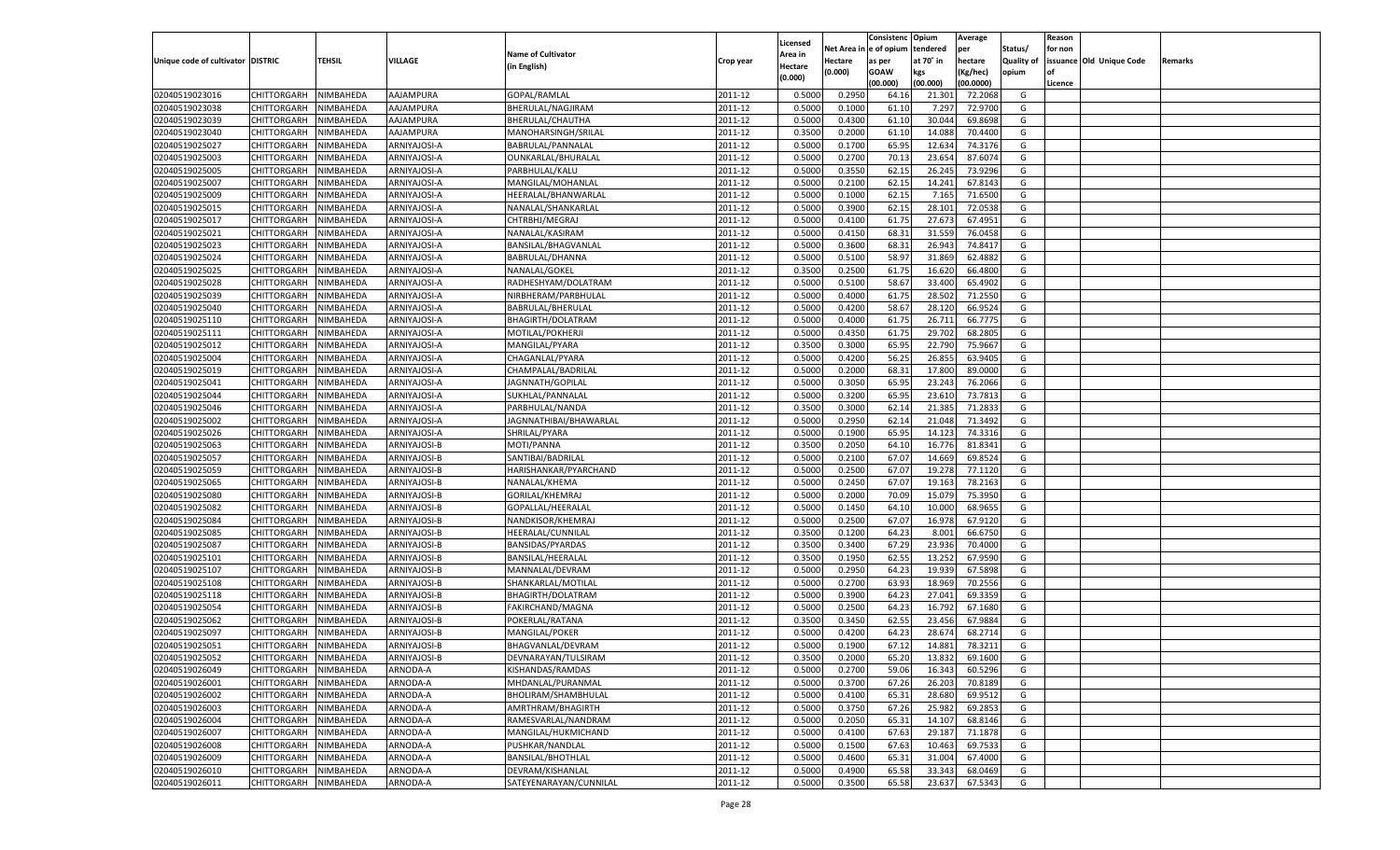|                                   |                    |           |              |                           |           |          |          | Consistenc Opium |           | Average   |                   | Reason    |                          |         |
|-----------------------------------|--------------------|-----------|--------------|---------------------------|-----------|----------|----------|------------------|-----------|-----------|-------------------|-----------|--------------------------|---------|
|                                   |                    |           |              |                           |           | Licensed | Net Area | e of opium       | tendered  | per       | Status/           | for non   |                          |         |
| Unique code of cultivator DISTRIC |                    | TEHSIL    | VILLAGE      | <b>Name of Cultivator</b> | Crop year | Area in  | Hectare  | as per           | at 70˚ in | hectare   | <b>Quality of</b> |           | issuance Old Unique Code | Remarks |
|                                   |                    |           |              | (in English)              |           | Hectare  | (0.000)  | <b>GOAW</b>      | kgs       | (Kg/hec)  | opium             | <b>of</b> |                          |         |
|                                   |                    |           |              |                           |           | (0.000)  |          | (00.000)         | (00.000)  | (00.0000) |                   | Licence   |                          |         |
| 02040519023016                    | CHITTORGARH        | NIMBAHEDA | AAJAMPURA    | GOPAL/RAMLAL              | 2011-12   | 0.5000   | 0.2950   | 64.16            | 21.301    | 72.2068   | G                 |           |                          |         |
| 02040519023038                    | CHITTORGARH        | NIMBAHEDA | AAJAMPURA    | BHERULAL/NAGJIRAM         | 2011-12   | 0.5000   | 0.1000   | 61.10            | 7.297     | 72.9700   | G                 |           |                          |         |
| 02040519023039                    | <b>CHITTORGARH</b> | NIMBAHEDA | AAJAMPURA    | BHERULAL/CHAUTHA          | 2011-12   | 0.5000   | 0.4300   | 61.10            | 30.044    | 69.8698   | G                 |           |                          |         |
| 02040519023040                    | CHITTORGARH        | NIMBAHEDA | AAJAMPURA    | MANOHARSINGH/SRILAL       | 2011-12   | 0.3500   | 0.2000   | 61.10            | 14.088    | 70.4400   | G                 |           |                          |         |
| 02040519025027                    | CHITTORGARH        | NIMBAHEDA | ARNIYAJOSI-A | BABRULAL/PANNALAL         | 2011-12   | 0.5000   | 0.1700   | 65.95            | 12.63     | 74.3176   | G                 |           |                          |         |
| 02040519025003                    | CHITTORGARH        | NIMBAHEDA | ARNIYAJOSI-A | OUNKARLAL/BHURALAL        | 2011-12   | 0.5000   | 0.2700   | 70.13            | 23.65     | 87.6074   | G                 |           |                          |         |
| 02040519025005                    | CHITTORGARH        | NIMBAHEDA | ARNIYAJOSI-A | PARBHULAL/KALU            | 2011-12   | 0.5000   | 0.3550   | 62.15            | 26.245    | 73.929    | G                 |           |                          |         |
| 02040519025007                    | CHITTORGARH        | NIMBAHEDA | ARNIYAJOSI-A | MANGILAL/MOHANLAL         | 2011-12   | 0.5000   | 0.2100   | 62.15            | 14.241    | 67.8143   | G                 |           |                          |         |
| 02040519025009                    | CHITTORGARH        | NIMBAHEDA | ARNIYAJOSI-A | HEERALAL/BHANWARLAL       | 2011-12   | 0.5000   | 0.1000   | 62.15            | 7.165     | 71.6500   | G                 |           |                          |         |
| 02040519025015                    | CHITTORGARH        | NIMBAHEDA | ARNIYAJOSI-A | NANALAL/SHANKARLAL        | 2011-12   | 0.5000   | 0.3900   | 62.15            | 28.101    | 72.0538   | G                 |           |                          |         |
| 02040519025017                    | CHITTORGARH        | NIMBAHEDA | ARNIYAJOSI-A | CHTRBHJ/MEGRAJ            | 2011-12   | 0.5000   | 0.4100   | 61.75            | 27.673    | 67.4951   | G                 |           |                          |         |
| 02040519025021                    | CHITTORGARH        | NIMBAHEDA | ARNIYAJOSI-A | NANALAL/KASIRAM           | 2011-12   | 0.5000   | 0.4150   | 68.31            | 31.559    | 76.0458   | G                 |           |                          |         |
| 02040519025023                    | CHITTORGARH        | NIMBAHEDA | ARNIYAJOSI-A | BANSILAL/BHAGVANLAL       | 2011-12   | 0.5000   | 0.3600   | 68.31            | 26.943    | 74.8417   | G                 |           |                          |         |
| 02040519025024                    | CHITTORGARH        | NIMBAHEDA | ARNIYAJOSI-A | BABRULAL/DHANNA           | 2011-12   | 0.5000   | 0.5100   | 58.97            | 31.869    | 62.4882   | G                 |           |                          |         |
| 02040519025025                    | <b>CHITTORGARH</b> | NIMBAHEDA | ARNIYAJOSI-A | NANALAL/GOKEL             | 2011-12   | 0.3500   | 0.2500   | 61.75            | 16.620    | 66.4800   | G                 |           |                          |         |
| 02040519025028                    | CHITTORGARH        | NIMBAHEDA | ARNIYAJOSI-A | RADHESHYAM/DOLATRAM       | 2011-12   | 0.5000   | 0.5100   | 58.67            | 33.400    | 65.4902   | G                 |           |                          |         |
| 02040519025039                    | <b>CHITTORGARH</b> | NIMBAHEDA | ARNIYAJOSI-A | NIRBHERAM/PARBHULAL       | 2011-12   | 0.5000   | 0.4000   | 61.75            | 28.502    | 71.2550   | G                 |           |                          |         |
| 02040519025040                    | CHITTORGARH        | NIMBAHEDA | ARNIYAJOSI-A | BABRULAL/BHERULAL         | 2011-12   | 0.5000   | 0.4200   | 58.67            | 28.120    | 66.9524   | G                 |           |                          |         |
| 02040519025110                    | <b>CHITTORGARH</b> | NIMBAHEDA | ARNIYAJOSI-A | BHAGIRTH/DOLATRAM         | 2011-12   | 0.5000   | 0.4000   | 61.75            | 26.711    | 66.7775   | G                 |           |                          |         |
| 02040519025111                    | CHITTORGARH        | NIMBAHEDA | ARNIYAJOSI-A | MOTILAL/POKHERJI          | 2011-12   | 0.5000   | 0.4350   | 61.75            | 29.702    | 68.2805   | G                 |           |                          |         |
| 02040519025012                    | <b>CHITTORGARH</b> | NIMBAHEDA | ARNIYAJOSI-A | <b>MANGILAL/PYARA</b>     | 2011-12   | 0.3500   | 0.3000   | 65.95            | 22.790    | 75.9667   | G                 |           |                          |         |
| 02040519025004                    | CHITTORGARH        | NIMBAHEDA | ARNIYAJOSI-A | CHAGANLAL/PYARA           | 2011-12   | 0.5000   | 0.4200   | 56.25            | 26.855    | 63.9405   | G                 |           |                          |         |
| 02040519025019                    | <b>CHITTORGARH</b> | NIMBAHEDA | ARNIYAJOSI-A | CHAMPALAL/BADRILAL        | 2011-12   | 0.5000   | 0.2000   | 68.31            | 17.800    | 89.0000   | G                 |           |                          |         |
|                                   |                    |           | ARNIYAJOSI-A |                           | 2011-12   |          | 0.3050   | 65.95            | 23.243    | 76.2066   |                   |           |                          |         |
| 02040519025041                    | CHITTORGARH        | NIMBAHEDA | ARNIYAJOSI-A | JAGNNATH/GOPILAL          |           | 0.5000   |          |                  |           |           | G                 |           |                          |         |
| 02040519025044                    | <b>CHITTORGARH</b> | NIMBAHEDA |              | SUKHLAL/PANNALAL          | 2011-12   | 0.5000   | 0.3200   | 65.95            | 23.610    | 73.7813   | G                 |           |                          |         |
| 02040519025046                    | CHITTORGARH        | NIMBAHEDA | ARNIYAJOSI-A | PARBHULAL/NANDA           | 2011-12   | 0.3500   | 0.3000   | 62.14            | 21.385    | 71.2833   | G                 |           |                          |         |
| 02040519025002                    | <b>CHITTORGARH</b> | NIMBAHEDA | ARNIYAJOSI-A | JAGNNATHIBAI/BHAWARLAL    | 2011-12   | 0.5000   | 0.2950   | 62.14            | 21.048    | 71.3492   | G                 |           |                          |         |
| 02040519025026                    | CHITTORGARH        | NIMBAHEDA | ARNIYAJOSI-A | SHRILAL/PYARA             | 2011-12   | 0.5000   | 0.1900   | 65.95            | 14.123    | 74.3316   | G                 |           |                          |         |
| 02040519025063                    | <b>CHITTORGARH</b> | NIMBAHEDA | ARNIYAJOSI-B | MOTI/PANNA                | 2011-12   | 0.3500   | 0.2050   | 64.10            | 16.776    | 81.8341   | G                 |           |                          |         |
| 02040519025057                    | CHITTORGARH        | NIMBAHEDA | ARNIYAJOSI-B | SANTIBAI/BADRILAL         | 2011-12   | 0.5000   | 0.2100   | 67.07            | 14.669    | 69.8524   | G                 |           |                          |         |
| 02040519025059                    | CHITTORGARH        | NIMBAHEDA | ARNIYAJOSI-B | HARISHANKAR/PYARCHAND     | 2011-12   | 0.5000   | 0.2500   | 67.07            | 19.278    | 77.1120   | G                 |           |                          |         |
| 02040519025065                    | CHITTORGARH        | NIMBAHEDA | ARNIYAJOSI-B | NANALAL/KHEMA             | 2011-12   | 0.5000   | 0.2450   | 67.07            | 19.163    | 78.2163   | G                 |           |                          |         |
| 02040519025080                    | CHITTORGARH        | NIMBAHEDA | ARNIYAJOSI-B | GORILAL/KHEMRAJ           | 2011-12   | 0.5000   | 0.2000   | 70.09            | 15.079    | 75.3950   | G                 |           |                          |         |
| 02040519025082                    | CHITTORGARH        | NIMBAHEDA | ARNIYAJOSI-B | GOPALLAL/HEERALAI         | 2011-12   | 0.5000   | 0.1450   | 64.10            | 10.00     | 68.965    | G                 |           |                          |         |
| 02040519025084                    | CHITTORGARH        | NIMBAHEDA | ARNIYAJOSI-B | NANDKISOR/KHEMRAJ         | 2011-12   | 0.5000   | 0.2500   | 67.07            | 16.978    | 67.9120   | G                 |           |                          |         |
| 02040519025085                    | CHITTORGARH        | NIMBAHEDA | ARNIYAJOSI-B | HEERALAL/CUNNILAL         | 2011-12   | 0.3500   | 0.1200   | 64.23            | 8.001     | 66.6750   | G                 |           |                          |         |
| 02040519025087                    | CHITTORGARH        | NIMBAHEDA | ARNIYAJOSI-B | <b>BANSIDAS/PYARDAS</b>   | 2011-12   | 0.3500   | 0.3400   | 67.29            | 23.936    | 70.4000   | G                 |           |                          |         |
| 02040519025101                    | CHITTORGARH        | NIMBAHEDA | ARNIYAJOSI-B | BANSILAL/HEERALAL         | 2011-12   | 0.3500   | 0.1950   | 62.55            | 13.252    | 67.9590   | G                 |           |                          |         |
| 02040519025107                    | CHITTORGARH        | NIMBAHEDA | ARNIYAJOSI-B | MANNALAL/DEVRAM           | 2011-12   | 0.5000   | 0.2950   | 64.23            | 19.939    | 67.5898   | G                 |           |                          |         |
| 02040519025108                    | CHITTORGARH        | NIMBAHEDA | ARNIYAJOSI-B | SHANKARLAL/MOTILAL        | 2011-12   | 0.5000   | 0.2700   | 63.93            | 18.969    | 70.2556   | G                 |           |                          |         |
| 02040519025118                    | CHITTORGARH        | NIMBAHEDA | ARNIYAJOSI-B | BHAGIRTH/DOLATRAM         | 2011-12   | 0.5000   | 0.3900   | 64.23            | 27.041    | 69.3359   | G                 |           |                          |         |
| 02040519025054                    | CHITTORGARH        | NIMBAHEDA | ARNIYAJOSI-B | FAKIRCHAND/MAGNA          | 2011-12   | 0.5000   | 0.2500   | 64.23            | 16.792    | 67.1680   | G                 |           |                          |         |
| 02040519025062                    | CHITTORGARH        | NIMBAHEDA | ARNIYAJOSI-B | POKERLAL/RATANA           | 2011-12   | 0.3500   | 0.3450   | 62.55            | 23.456    | 67.9884   | G                 |           |                          |         |
| 02040519025097                    | CHITTORGARH        | NIMBAHEDA | ARNIYAJOSI-B | MANGILAL/POKER            | 2011-12   | 0.5000   | 0.4200   | 64.23            | 28.67     | 68.2714   | G                 |           |                          |         |
| 02040519025051                    | CHITTORGARH        | NIMBAHEDA | ARNIYAJOSI-B | BHAGVANLAL/DEVRAM         | 2011-12   | 0.5000   | 0.1900   | 67.12            | 14.881    | 78.3211   | G                 |           |                          |         |
| 02040519025052                    | CHITTORGARH        | NIMBAHEDA | ARNIYAJOSI-B | DEVNARAYAN/TULSIRAM       | 2011-12   | 0.3500   | 0.2000   | 65.20            | 13.832    | 69.1600   | G                 |           |                          |         |
| 02040519026049                    | <b>CHITTORGARH</b> | NIMBAHEDA | ARNODA-A     | KISHANDAS/RAMDAS          | 2011-12   | 0.5000   | 0.2700   | 59.06            | 16.343    | 60.5296   | G                 |           |                          |         |
| 02040519026001                    | CHITTORGARH        | NIMBAHEDA | ARNODA-A     | MHDANLAL/PURANMAL         | 2011-12   | 0.5000   | 0.3700   | 67.26            | 26.203    | 70.8189   | G                 |           |                          |         |
| 02040519026002                    | <b>CHITTORGARH</b> | NIMBAHEDA | ARNODA-A     | BHOLIRAM/SHAMBHULAL       | 2011-12   | 0.5000   | 0.4100   | 65.31            | 28.680    | 69.9512   | G                 |           |                          |         |
| 02040519026003                    | <b>CHITTORGARH</b> | NIMBAHEDA | ARNODA-A     | AMRTHRAM/BHAGIRTH         | 2011-12   | 0.5000   | 0.3750   | 67.26            | 25.982    | 69.2853   | G                 |           |                          |         |
| 02040519026004                    | <b>CHITTORGARH</b> | NIMBAHEDA | ARNODA-A     | RAMESVARLAL/NANDRAM       | 2011-12   | 0.5000   | 0.2050   | 65.31            | 14.107    | 68.8146   | G                 |           |                          |         |
| 02040519026007                    | <b>CHITTORGARH</b> | NIMBAHEDA | ARNODA-A     | MANGILAL/HUKMICHAND       | 2011-12   | 0.5000   | 0.4100   | 67.63            | 29.187    | 71.1878   | G                 |           |                          |         |
| 02040519026008                    | <b>CHITTORGARH</b> | NIMBAHEDA | ARNODA-A     | PUSHKAR/NANDLAL           | 2011-12   | 0.5000   | 0.1500   | 67.63            | 10.463    | 69.7533   | G                 |           |                          |         |
| 02040519026009                    | <b>CHITTORGARH</b> | NIMBAHEDA | ARNODA-A     | <b>BANSILAL/BHOTHLAL</b>  | 2011-12   | 0.5000   | 0.4600   | 65.31            | 31.004    | 67.4000   | G                 |           |                          |         |
| 02040519026010                    | <b>CHITTORGARH</b> | NIMBAHEDA | ARNODA-A     | DEVRAM/KISHANLAL          | 2011-12   | 0.5000   | 0.4900   | 65.58            | 33.343    | 68.0469   | G                 |           |                          |         |
| 02040519026011                    | CHITTORGARH        | NIMBAHEDA | ARNODA-A     | SATEYENARAYAN/CUNNILAL    | 2011-12   | 0.5000   | 0.3500   | 65.58            | 23.637    | 67.5343   | G                 |           |                          |         |
|                                   |                    |           |              |                           |           |          |          |                  |           |           |                   |           |                          |         |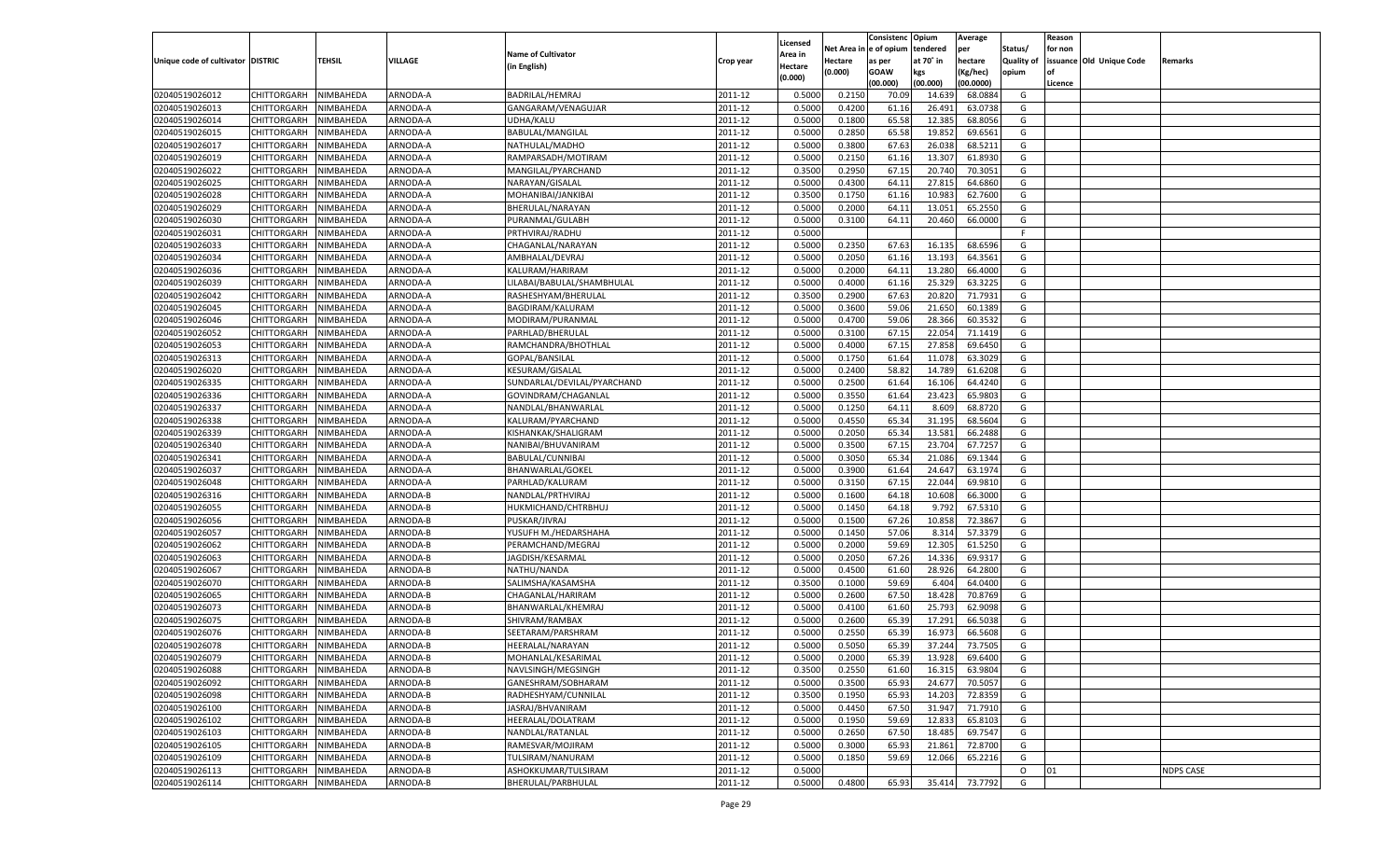|                                   |                            |                        |                      |                                               |                    | Licensed         |                  | Consistenc     | Opium            | Average              |                   | Reason  |                          |                  |
|-----------------------------------|----------------------------|------------------------|----------------------|-----------------------------------------------|--------------------|------------------|------------------|----------------|------------------|----------------------|-------------------|---------|--------------------------|------------------|
|                                   |                            |                        |                      | <b>Name of Cultivator</b>                     |                    | <b>Area in</b>   | Net Area         | e of opium     | tendered         | per                  | Status/           | for non |                          |                  |
| Unique code of cultivator DISTRIC |                            | <b>TEHSIL</b>          | VILLAGE              | (in English)                                  | Crop year          | Hectare          | Hectare          | as per         | at 70° in        | hectare              | <b>Quality of</b> |         | issuance Old Unique Code | Remarks          |
|                                   |                            |                        |                      |                                               |                    | (0.000)          | (0.000)          | <b>GOAW</b>    | kgs              | (Kg/hec)             | opium             |         |                          |                  |
| 02040519026012                    |                            |                        | ARNODA-A             | BADRILAL/HEMRAJ                               |                    | 0.5000           |                  | (00.000)       | (00.000)         | (00.0000)<br>68.0884 | G                 | Licence |                          |                  |
| 02040519026013                    | CHITTORGARH                | NIMBAHEDA              |                      |                                               | 2011-12            |                  | 0.2150           | 70.09          | 14.639           |                      |                   |         |                          |                  |
| 02040519026014                    | CHITTORGARH<br>CHITTORGARH | NIMBAHEDA<br>NIMBAHEDA | ARNODA-A<br>ARNODA-A | GANGARAM/VENAGUJAR<br>UDHA/KALU               | 2011-12<br>2011-12 | 0.5000<br>0.5000 | 0.4200<br>0.1800 | 61.16<br>65.58 | 26.491<br>12.385 | 63.0738<br>68.8056   | G<br>G            |         |                          |                  |
| 02040519026015                    | CHITTORGARH                | NIMBAHEDA              | ARNODA-A             |                                               | 2011-12            | 0.5000           | 0.2850           | 65.58          | 19.852           | 69.6561              | G                 |         |                          |                  |
|                                   |                            |                        | ARNODA-A             | BABULAL/MANGILAL                              | 2011-12            | 0.5000           | 0.3800           | 67.63          |                  | 68.5211              | G                 |         |                          |                  |
| 02040519026017<br>02040519026019  | CHITTORGARH<br>CHITTORGARH | NIMBAHEDA<br>NIMBAHEDA | ARNODA-A             | NATHULAL/MADHO<br>RAMPARSADH/MOTIRAM          | 2011-12            | 0.5000           | 0.2150           | 61.16          | 26.038<br>13.307 | 61.8930              | G                 |         |                          |                  |
| 02040519026022                    | CHITTORGARH                | NIMBAHEDA              | ARNODA-A             | MANGILAL/PYARCHAND                            | 2011-12            | 0.3500           | 0.2950           | 67.15          | 20.74            | 70.3051              | G                 |         |                          |                  |
| 02040519026025                    | CHITTORGARH                | NIMBAHEDA              | ARNODA-A             | NARAYAN/GISALAL                               | 2011-12            | 0.5000           | 0.4300           | 64.11          | 27.815           | 64.6860              | G                 |         |                          |                  |
| 02040519026028                    | CHITTORGARH                | NIMBAHEDA              | ARNODA-A             | MOHANIBAI/JANKIBAI                            | 2011-12            | 0.3500           | 0.1750           | 61.16          | 10.983           | 62.7600              | G                 |         |                          |                  |
| 02040519026029                    | CHITTORGARH                | NIMBAHEDA              | ARNODA-A             | BHERULAL/NARAYAN                              | 2011-12            | 0.5000           | 0.2000           | 64.1           | 13.051           | 65.2550              | G                 |         |                          |                  |
| 02040519026030                    | CHITTORGARH                | NIMBAHEDA              | ARNODA-A             | PURANMAL/GULABH                               | 2011-12            | 0.5000           | 0.3100           | 64.11          | 20.460           | 66.0000              | G                 |         |                          |                  |
| 02040519026031                    | CHITTORGARH                | NIMBAHEDA              | ARNODA-A             | PRTHVIRAJ/RADHU                               | 2011-12            | 0.5000           |                  |                |                  |                      | F.                |         |                          |                  |
| 02040519026033                    | CHITTORGARH                | NIMBAHEDA              | ARNODA-A             | CHAGANLAL/NARAYAN                             | 2011-12            | 0.5000           | 0.2350           | 67.63          | 16.135           | 68.6596              | G                 |         |                          |                  |
| 02040519026034                    |                            |                        | ARNODA-A             |                                               | 2011-12            | 0.5000           | 0.2050           | 61.16          | 13.193           | 64.3561              | G                 |         |                          |                  |
| 02040519026036                    | CHITTORGARH                | NIMBAHEDA              | ARNODA-A             | AMBHALAL/DEVRAJ                               | 2011-12            | 0.5000           | 0.2000           | 64.11          | 13.280           | 66.4000              | G                 |         |                          |                  |
| 02040519026039                    | CHITTORGARH<br>CHITTORGARH | NIMBAHEDA<br>NIMBAHEDA | ARNODA-A             | KALURAM/HARIRAM<br>LILABAI/BABULAL/SHAMBHULAL | 2011-12            | 0.5000           | 0.4000           | 61.16          | 25.329           | 63.3225              | G                 |         |                          |                  |
| 02040519026042                    | CHITTORGARH                | NIMBAHEDA              | ARNODA-A             | RASHESHYAM/BHERULAL                           | 2011-12            | 0.3500           | 0.2900           | 67.63          | 20.820           | 71.7931              | G                 |         |                          |                  |
| 02040519026045                    | CHITTORGARH                | NIMBAHEDA              | ARNODA-A             | BAGDIRAM/KALURAM                              | 2011-12            | 0.5000           | 0.3600           | 59.06          | 21.650           | 60.1389              | G                 |         |                          |                  |
| 02040519026046                    |                            |                        | ARNODA-A             |                                               | 2011-12            | 0.5000           | 0.4700           | 59.06          | 28.366           | 60.3532              | G                 |         |                          |                  |
| 02040519026052                    | CHITTORGARH<br>CHITTORGARH | NIMBAHEDA              | ARNODA-A             | MODIRAM/PURANMAL                              | 2011-12            | 0.5000           | 0.3100           | 67.15          | 22.054           |                      | G                 |         |                          |                  |
|                                   |                            | NIMBAHEDA              | ARNODA-A             | PARHLAD/BHERULAL                              |                    |                  |                  |                |                  | 71.1419<br>69.6450   | G                 |         |                          |                  |
| 02040519026053                    | CHITTORGARH                | NIMBAHEDA              |                      | RAMCHANDRA/BHOTHLAL                           | 2011-12            | 0.5000           | 0.4000           | 67.15          | 27.858           |                      |                   |         |                          |                  |
| 02040519026313<br>02040519026020  | CHITTORGARH                | NIMBAHEDA              | ARNODA-A<br>ARNODA-A | GOPAL/BANSILAL<br><b>KESURAM/GISALAL</b>      | 2011-12            | 0.5000           | 0.1750           | 61.64          | 11.078           | 63.3029<br>61.6208   | G                 |         |                          |                  |
|                                   | CHITTORGARH                | NIMBAHEDA              |                      |                                               | 2011-12            | 0.5000           | 0.2400           | 58.82          | 14.789           | 64.4240              | G                 |         |                          |                  |
| 02040519026335<br>02040519026336  | CHITTORGARH                | NIMBAHEDA              | ARNODA-A<br>ARNODA-A | SUNDARLAL/DEVILAL/PYARCHAND                   | 2011-12            | 0.5000           | 0.2500           | 61.64          | 16.106           | 65.9803              | G<br>G            |         |                          |                  |
| 02040519026337                    | CHITTORGARH                | NIMBAHEDA              | ARNODA-A             | GOVINDRAM/CHAGANLAL<br>NANDLAL/BHANWARLAI     | 2011-12<br>2011-12 | 0.5000           | 0.3550<br>0.1250 | 61.64<br>64.11 | 23.423<br>8.609  | 68.8720              | G                 |         |                          |                  |
| 02040519026338                    | CHITTORGARH                | NIMBAHEDA              | ARNODA-A             | KALURAM/PYARCHAND                             | 2011-12            | 0.5000<br>0.5000 | 0.4550           | 65.34          | 31.195           | 68.5604              | G                 |         |                          |                  |
| 02040519026339                    | CHITTORGARH                | NIMBAHEDA              | ARNODA-A             |                                               | 2011-12            | 0.5000           | 0.2050           | 65.34          | 13.581           | 66.2488              | G                 |         |                          |                  |
| 02040519026340                    | CHITTORGARH                | NIMBAHEDA              | ARNODA-A             | KISHANKAK/SHALIGRAM                           | 2011-12            | 0.5000           | 0.3500           | 67.15          | 23.704           | 67.7257              | G                 |         |                          |                  |
| 02040519026341                    | CHITTORGARH                | NIMBAHEDA              | ARNODA-A             | NANIBAI/BHUVANIRAM                            | 2011-12            |                  |                  |                | 21.086           |                      | G                 |         |                          |                  |
| 02040519026037                    | CHITTORGARH                | NIMBAHEDA              | ARNODA-A             | BABULAL/CUNNIBAI                              | 2011-12            | 0.5000<br>0.5000 | 0.3050<br>0.3900 | 65.34<br>61.64 | 24.64            | 69.1344<br>63.1974   | G                 |         |                          |                  |
| 02040519026048                    | CHITTORGARH<br>CHITTORGARH | NIMBAHEDA<br>NIMBAHEDA | ARNODA-A             | BHANWARLAL/GOKEI<br>PARHLAD/KALURAM           | 2011-12            | 0.5000           | 0.3150           | 67.15          | 22.044           | 69.9810              | G                 |         |                          |                  |
| 02040519026316                    | CHITTORGARH                | NIMBAHEDA              | ARNODA-B             | NANDLAL/PRTHVIRAJ                             | 2011-12            | 0.5000           | 0.1600           | 64.18          | 10.608           | 66.3000              | G                 |         |                          |                  |
| 02040519026055                    | CHITTORGARH                | NIMBAHEDA              | ARNODA-B             | HUKMICHAND/CHTRBHUJ                           | 2011-12            | 0.5000           | 0.1450           | 64.18          | 9.792            | 67.5310              | G                 |         |                          |                  |
| 02040519026056                    | CHITTORGARH                | NIMBAHEDA              | ARNODA-B             | PUSKAR/JIVRAJ                                 | 2011-12            | 0.5000           | 0.1500           | 67.26          | 10.85            | 72.3867              | G                 |         |                          |                  |
| 02040519026057                    | CHITTORGARH                | NIMBAHEDA              | ARNODA-B             | YUSUFH M./HEDARSHAHA                          | 2011-12            | 0.5000           | 0.1450           | 57.06          | 8.314            | 57.3379              | G                 |         |                          |                  |
| 02040519026062                    | CHITTORGARH                | NIMBAHEDA              | ARNODA-B             | PERAMCHAND/MEGRAJ                             | 2011-12            | 0.5000           | 0.2000           | 59.69          | 12.305           | 61.5250              | G                 |         |                          |                  |
| 02040519026063                    | CHITTORGARH                | NIMBAHEDA              | ARNODA-B             | JAGDISH/KESARMAL                              | 2011-12            | 0.5000           | 0.2050           | 67.26          | 14.336           | 69.9317              | G                 |         |                          |                  |
| 02040519026067                    | CHITTORGARH                | NIMBAHEDA              | ARNODA-B             | NATHU/NANDA                                   | 2011-12            | 0.5000           | 0.4500           | 61.60          | 28.926           | 64.2800              | G                 |         |                          |                  |
| 02040519026070                    | CHITTORGARH                | NIMBAHEDA              | ARNODA-B             | SALIMSHA/KASAMSHA                             | 2011-12            | 0.3500           | 0.1000           | 59.69          | 6.404            | 64.0400              | G                 |         |                          |                  |
| 02040519026065                    | CHITTORGARH                | NIMBAHEDA              | ARNODA-B             | CHAGANLAL/HARIRAM                             | 2011-12            | 0.5000           | 0.2600           | 67.50          | 18.428           | 70.8769              | G                 |         |                          |                  |
| 02040519026073                    | CHITTORGARH                | NIMBAHEDA              | ARNODA-B             | BHANWARLAL/KHEMRA                             | 2011-12            | 0.5000           | 0.4100           | 61.60          | 25.793           | 62.9098              | G                 |         |                          |                  |
| 02040519026075                    | CHITTORGARH                | NIMBAHEDA              | ARNODA-B             | SHIVRAM/RAMBAX                                | 2011-12            | 0.5000           | 0.2600           | 65.39          | 17.291           | 66.5038              | G                 |         |                          |                  |
| 02040519026076                    | CHITTORGARH                | NIMBAHEDA              | ARNODA-B             | SEETARAM/PARSHRAM                             | 2011-12            | 0.5000           | 0.2550           | 65.39          | 16.973           | 66.5608              | G                 |         |                          |                  |
| 02040519026078                    | CHITTORGARH                | NIMBAHEDA              | ARNODA-B             | HEERALAL/NARAYAN                              | 2011-12            | 0.5000           | 0.5050           | 65.39          | 37.244           | 73.7505              | G                 |         |                          |                  |
| 02040519026079                    | CHITTORGARH NIMBAHEDA      |                        | ARNODA-B             | MOHANLAL/KESARIMAL                            | 2011-12            | 0.5000           | 0.2000           | 65.39          | 13.928           | 69.6400              | G                 |         |                          |                  |
| 02040519026088                    | <b>CHITTORGARH</b>         | NIMBAHEDA              | ARNODA-B             | NAVLSINGH/MEGSINGH                            | 2011-12            | 0.3500           | 0.2550           | 61.60          | 16.315           | 63.9804              | G                 |         |                          |                  |
| 02040519026092                    | <b>CHITTORGARH</b>         | NIMBAHEDA              | ARNODA-B             | GANESHRAM/SOBHARAM                            | 2011-12            | 0.5000           | 0.3500           | 65.93          | 24.677           | 70.5057              | G                 |         |                          |                  |
| 02040519026098                    | <b>CHITTORGARH</b>         | NIMBAHEDA              | ARNODA-B             | RADHESHYAM/CUNNILAL                           | 2011-12            | 0.3500           | 0.1950           | 65.93          | 14.203           | 72.8359              | G                 |         |                          |                  |
| 02040519026100                    | <b>CHITTORGARH</b>         | NIMBAHEDA              | ARNODA-B             | JASRAJ/BHVANIRAM                              | 2011-12            | 0.5000           | 0.4450           | 67.50          | 31.947           | 71.7910              | G                 |         |                          |                  |
| 02040519026102                    | <b>CHITTORGARH</b>         | NIMBAHEDA              | ARNODA-B             | HEERALAL/DOLATRAM                             | 2011-12            | 0.5000           | 0.1950           | 59.69          | 12.833           | 65.8103              | G                 |         |                          |                  |
| 02040519026103                    | <b>CHITTORGARH</b>         | NIMBAHEDA              | ARNODA-B             | NANDLAL/RATANLAL                              | 2011-12            | 0.5000           | 0.2650           | 67.50          | 18.485           | 69.7547              | G                 |         |                          |                  |
| 02040519026105                    | <b>CHITTORGARH</b>         | NIMBAHEDA              | ARNODA-B             | RAMESVAR/MOJIRAM                              | 2011-12            | 0.5000           | 0.3000           | 65.93          | 21.861           | 72.8700              | G                 |         |                          |                  |
| 02040519026109                    | <b>CHITTORGARH</b>         | NIMBAHEDA              | ARNODA-B             | TULSIRAM/NANURAM                              | 2011-12            | 0.5000           | 0.1850           | 59.69          | 12.066           | 65.2216              | G                 |         |                          |                  |
| 02040519026113                    | <b>CHITTORGARH</b>         | NIMBAHEDA              | ARNODA-B             | ASHOKKUMAR/TULSIRAM                           | 2011-12            | 0.5000           |                  |                |                  |                      | $\circ$           | 01      |                          | <b>NDPS CASE</b> |
| 02040519026114                    | <b>CHITTORGARH</b>         | NIMBAHEDA              | ARNODA-B             | BHERULAL/PARBHULAL                            | 2011-12            | 0.5000           | 0.4800           | 65.93          | 35.414           | 73.7792              | G                 |         |                          |                  |
|                                   |                            |                        |                      |                                               |                    |                  |                  |                |                  |                      |                   |         |                          |                  |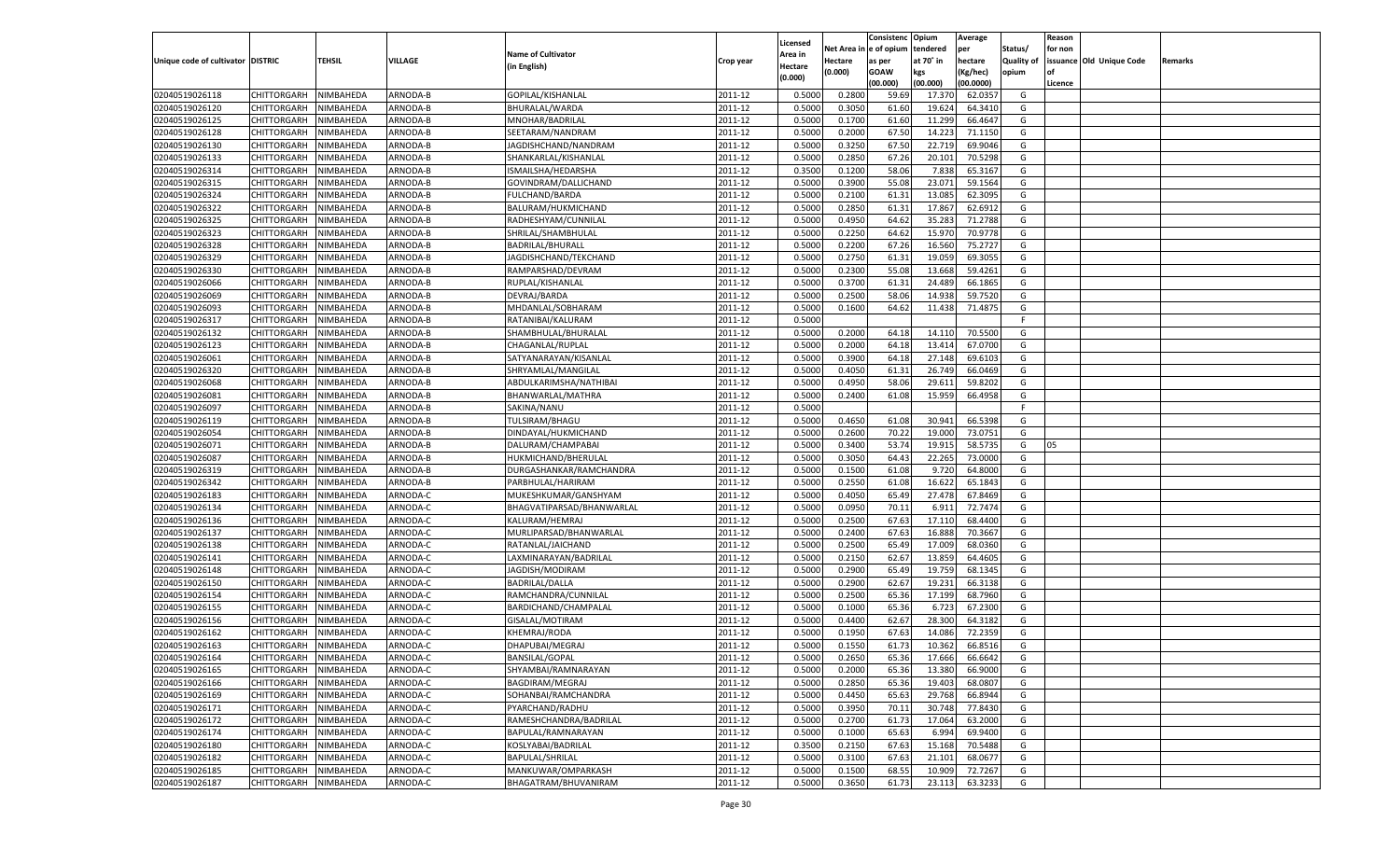|                                   |                       |               |                      |                                       |                    |                           |                  | Consistenc     | Opium            | Average            |                   | Reason  |                          |         |
|-----------------------------------|-----------------------|---------------|----------------------|---------------------------------------|--------------------|---------------------------|------------------|----------------|------------------|--------------------|-------------------|---------|--------------------------|---------|
|                                   |                       |               |                      | <b>Name of Cultivator</b>             |                    | Licensed                  | Net Area         | e of opium     | tendered         | per                | Status/           | for non |                          |         |
| Unique code of cultivator DISTRIC |                       | <b>TEHSIL</b> | VILLAGE              | (in English)                          | Crop year          | <b>Area in</b><br>Hectare | Hectare          | as per         | at 70° in        | hectare            | <b>Quality of</b> |         | issuance Old Unique Code | Remarks |
|                                   |                       |               |                      |                                       |                    | (0.000)                   | (0.000)          | <b>GOAW</b>    | kgs              | (Kg/hec)           | opium             |         |                          |         |
|                                   |                       |               |                      |                                       |                    |                           |                  | (00.000)       | (00.000)         | (00.0000)          |                   | Licence |                          |         |
| 02040519026118                    | CHITTORGARH           | NIMBAHEDA     | ARNODA-B             | GOPILAL/KISHANLAL                     | 2011-12            | 0.5000                    | 0.2800           | 59.69          | 17.37            | 62.035             | G                 |         |                          |         |
| 02040519026120                    | CHITTORGARH           | NIMBAHEDA     | ARNODA-B             | BHURALAL/WARDA                        | 2011-12            | 0.5000                    | 0.3050           | 61.60          | 19.624           | 64.3410            | G                 |         |                          |         |
| 02040519026125                    | CHITTORGARH           | NIMBAHEDA     | ARNODA-B             | MNOHAR/BADRILAL                       | 2011-12            | 0.5000                    | 0.1700           | 61.60          | 11.299           | 66.4647            | G                 |         |                          |         |
| 02040519026128                    | CHITTORGARH           | NIMBAHEDA     | ARNODA-B             | SEETARAM/NANDRAM                      | 2011-12            | 0.5000                    | 0.2000           | 67.50          | 14.223           | 71.1150            | G                 |         |                          |         |
| 02040519026130                    | CHITTORGARH           | NIMBAHEDA     | ARNODA-B             | JAGDISHCHAND/NANDRAM                  | 2011-12            | 0.5000                    | 0.3250           | 67.50          | 22.719           | 69.9046            | G                 |         |                          |         |
| 02040519026133                    | CHITTORGARH           | NIMBAHEDA     | ARNODA-B             | SHANKARLAL/KISHANLAL                  | 2011-12            | 0.5000                    | 0.2850           | 67.26          | 20.101           | 70.5298            | G                 |         |                          |         |
| 02040519026314                    | CHITTORGARH           | NIMBAHEDA     | ARNODA-B             | ISMAILSHA/HEDARSHA                    | 2011-12            | 0.3500                    | 0.1200           | 58.06          | 7.838            | 65.3167            | G                 |         |                          |         |
| 02040519026315                    | CHITTORGARH           | NIMBAHEDA     | ARNODA-B             | GOVINDRAM/DALLICHAND                  | 2011-12            | 0.5000                    | 0.3900           | 55.08          | 23.071           | 59.1564            | G                 |         |                          |         |
| 02040519026324                    | CHITTORGARH           | NIMBAHEDA     | ARNODA-B             | <b>FULCHAND/BARDA</b>                 | 2011-12            | 0.5000                    | 0.2100           | 61.31          | 13.085           | 62.3095            | G                 |         |                          |         |
| 02040519026322                    | CHITTORGARH           | NIMBAHEDA     | ARNODA-B             | BALURAM/HUKMICHAND                    | 2011-12            | 0.5000                    | 0.2850           | 61.3           | 17.867           | 62.691             | G                 |         |                          |         |
| 02040519026325                    | CHITTORGARH           | NIMBAHEDA     | ARNODA-B             | RADHESHYAM/CUNNILAL                   | 2011-12            | 0.5000                    | 0.4950           | 64.62          | 35.28            | 71.2788            | G                 |         |                          |         |
| 02040519026323                    | CHITTORGARH           | NIMBAHEDA     | ARNODA-B             | SHRILAL/SHAMBHULAL                    | 2011-12            | 0.5000                    | 0.2250           | 64.62          | 15.97            | 70.9778            | G                 |         |                          |         |
| 02040519026328                    | CHITTORGARH           | NIMBAHEDA     | ARNODA-B             | BADRILAL/BHURALL                      | 2011-12            | 0.5000                    | 0.2200           | 67.26          | 16.560           | 75.2727            | G                 |         |                          |         |
| 02040519026329                    | CHITTORGARH           | NIMBAHEDA     | ARNODA-B             | JAGDISHCHAND/TEKCHAND                 | 2011-12            | 0.5000                    | 0.2750           | 61.31          | 19.059           | 69.3055            | G                 |         |                          |         |
| 02040519026330                    | CHITTORGARH           | NIMBAHEDA     | ARNODA-B             | RAMPARSHAD/DEVRAM                     | 2011-12            | 0.5000                    | 0.2300           | 55.08          | 13.668           | 59.4261            | G                 |         |                          |         |
| 02040519026066                    | CHITTORGARH           | NIMBAHEDA     | ARNODA-B             | RUPLAL/KISHANLAL                      | 2011-12            | 0.5000                    | 0.3700           | 61.31          | 24.489           | 66.1865            | G                 |         |                          |         |
| 02040519026069                    | CHITTORGARH           | NIMBAHEDA     | ARNODA-B             | DEVRAJ/BARDA                          | 2011-12            | 0.5000                    | 0.2500           | 58.06          | 14.938           | 59.7520            | G                 |         |                          |         |
| 02040519026093                    | CHITTORGARH           | NIMBAHEDA     | ARNODA-B             | MHDANLAL/SOBHARAM                     | 2011-12            | 0.5000                    | 0.1600           | 64.62          | 11.438           | 71.4875            | G                 |         |                          |         |
| 02040519026317                    | CHITTORGARH           | NIMBAHEDA     | ARNODA-B             | RATANIBAI/KALURAM                     | 2011-12            | 0.5000                    |                  |                |                  |                    | F                 |         |                          |         |
| 02040519026132                    | CHITTORGARH           | NIMBAHEDA     | ARNODA-B             | SHAMBHULAL/BHURALAL                   | 2011-12            | 0.5000                    | 0.2000           | 64.18          | 14.110           | 70.5500            | G                 |         |                          |         |
| 02040519026123                    | CHITTORGARH           | NIMBAHEDA     | ARNODA-B             | CHAGANLAL/RUPLAL                      | 2011-12            | 0.5000                    | 0.2000           | 64.18          | 13.414           | 67.0700            | G                 |         |                          |         |
| 02040519026061                    | CHITTORGARH           | NIMBAHEDA     | ARNODA-B             | SATYANARAYAN/KISANLAL                 | 2011-12            | 0.5000                    | 0.3900           | 64.18          | 27.148           | 69.610             | G                 |         |                          |         |
| 02040519026320                    | CHITTORGARH           | NIMBAHEDA     | ARNODA-B             | SHRYAMLAL/MANGILAL                    | 2011-12            | 0.5000                    | 0.4050           | 61.31          | 26.749           | 66.0469            | G                 |         |                          |         |
| 02040519026068                    | CHITTORGARH           | NIMBAHEDA     | ARNODA-B             | ABDULKARIMSHA/NATHIBAI                | 2011-12            | 0.5000                    | 0.4950           | 58.06          | 29.611           | 59.8202            | G                 |         |                          |         |
| 02040519026081                    | CHITTORGARH           | NIMBAHEDA     | ARNODA-B             | BHANWARLAL/MATHRA                     | 2011-12            | 0.5000                    | 0.2400           | 61.08          | 15.959           | 66.4958            | G                 |         |                          |         |
| 02040519026097                    | CHITTORGARH           | NIMBAHEDA     | ARNODA-B             | SAKINA/NANU                           | 2011-12            | 0.5000                    |                  |                |                  |                    | F.                |         |                          |         |
| 02040519026119                    | CHITTORGARH           | NIMBAHEDA     | ARNODA-B             | TULSIRAM/BHAGU                        | 2011-12            | 0.5000                    | 0.4650           | 61.08          | 30.941           | 66.5398            | G                 |         |                          |         |
| 02040519026054                    | CHITTORGARH           | NIMBAHEDA     | ARNODA-B             | DINDAYAL/HUKMICHAND                   | 2011-12            | 0.5000                    | 0.2600           | 70.22          | 19.000           | 73.0751            | G                 |         |                          |         |
| 02040519026071                    | CHITTORGARH           | NIMBAHEDA     | ARNODA-B             | DALURAM/CHAMPABA                      | 2011-12            | 0.5000                    | 0.3400           | 53.74          | 19.915           | 58.5735            | G                 | 05      |                          |         |
| 02040519026087                    | CHITTORGARH           | NIMBAHEDA     | ARNODA-B             | HUKMICHAND/BHERULAL                   | 2011-12            | 0.5000                    | 0.3050           | 64.43          | 22.265           | 73.0000            | G                 |         |                          |         |
| 02040519026319                    | CHITTORGARH           | NIMBAHEDA     | ARNODA-B             | DURGASHANKAR/RAMCHANDRA               | 2011-12            | 0.5000                    | 0.1500           | 61.08          | 9.720            | 64.8000            | G                 |         |                          |         |
| 02040519026342                    | CHITTORGARH           | NIMBAHEDA     | ARNODA-B             | PARBHULAL/HARIRAM                     | 2011-12            | 0.5000                    | 0.2550           | 61.08          | 16.622           | 65.1843            | G                 |         |                          |         |
| 02040519026183                    | CHITTORGARH           | NIMBAHEDA     | ARNODA-C             | MUKESHKUMAR/GANSHYAM                  | 2011-12            | 0.5000                    | 0.4050           | 65.49          | 27.478           | 67.8469            | G                 |         |                          |         |
| 02040519026134                    | CHITTORGARH           | NIMBAHEDA     | ARNODA-C             | BHAGVATIPARSAD/BHANWARLAL             | 2011-12            | 0.5000                    | 0.0950           | 70.11          | 6.911            | 72.7474            | G                 |         |                          |         |
| 02040519026136                    | CHITTORGARH           | NIMBAHEDA     | ARNODA-C             | KALURAM/HEMRAJ                        | 2011-12            | 0.5000                    | 0.2500           | 67.63          | 17.110           | 68.4400            | G                 |         |                          |         |
| 02040519026137                    | CHITTORGARH           | NIMBAHEDA     | ARNODA-C             | MURLIPARSAD/BHANWARLAL                | 2011-12            | 0.5000                    | 0.2400           | 67.63          | 16.888           | 70.3667            | G                 |         |                          |         |
| 02040519026138                    | CHITTORGARH           | NIMBAHEDA     | ARNODA-C             | RATANLAL/JAICHAND                     | 2011-12            | 0.5000                    | 0.2500           | 65.49          | 17.009           | 68.0360            | G                 |         |                          |         |
| 02040519026141                    | CHITTORGARH           | NIMBAHEDA     | ARNODA-C             | LAXMINARAYAN/BADRILAL                 | 2011-12            | 0.5000                    | 0.2150           | 62.67          | 13.85            | 64.4605            | G                 |         |                          |         |
| 02040519026148                    | CHITTORGARH           | NIMBAHEDA     | ARNODA-C             | JAGDISH/MODIRAM                       | 2011-12            | 0.5000                    | 0.2900           | 65.49          | 19.75            | 68.1345            | G                 |         |                          |         |
| 02040519026150                    | CHITTORGARH           | NIMBAHEDA     | ARNODA-C             | <b>BADRILAL/DALLA</b>                 | 2011-12            | 0.5000                    | 0.2900           | 62.67          | 19.231           | 66.3138            | G                 |         |                          |         |
| 02040519026154                    | CHITTORGARH           | NIMBAHEDA     | ARNODA-C             | RAMCHANDRA/CUNNILAL                   | 2011-12            | 0.5000                    | 0.2500           | 65.36          | 17.199           | 68.7960            | G                 |         |                          |         |
| 02040519026155                    | CHITTORGARH           | NIMBAHEDA     | ARNODA-C             | BARDICHAND/CHAMPALAL                  | 2011-12            | 0.5000                    | 0.1000           | 65.36          | 6.723            | 67.2300            | G                 |         |                          |         |
| 02040519026156                    | CHITTORGARH           | NIMBAHEDA     | ARNODA-C             | GISALAL/MOTIRAM                       | 2011-12            | 0.5000                    | 0.4400           | 62.67          | 28.30            | 64.3182            | G                 |         |                          |         |
| 02040519026162                    | CHITTORGARH           | NIMBAHEDA     | ARNODA-C             | KHEMRAJ/RODA                          | 2011-12            | 0.5000                    | 0.1950           | 67.63          | 14.08            | 72.2359            | G                 |         |                          |         |
| 02040519026163                    |                       | NIMBAHEDA     | ARNODA-C             |                                       |                    | 0.5000                    | 0.1550           | 61.73          | 10.362           | 66.8516            | G                 |         |                          |         |
| 02040519026164                    | CHITTORGARH           |               |                      | DHAPUBAI/MEGRAJ                       | 2011-12            |                           |                  |                |                  |                    | G                 |         |                          |         |
| 02040519026165                    | CHITTORGARH NIMBAHEDA | NIMBAHEDA     | ARNODA-C<br>ARNODA-C | BANSILAL/GOPAL<br>SHYAMBAI/RAMNARAYAN | 2011-12<br>2011-12 | 0.5000<br>0.5000          | 0.2650<br>0.2000 | 65.36<br>65.36 | 17.666<br>13.380 | 66.6642<br>66.9000 | G                 |         |                          |         |
|                                   | <b>CHITTORGARH</b>    |               |                      |                                       |                    |                           |                  |                |                  |                    |                   |         |                          |         |
| 02040519026166<br>02040519026169  | CHITTORGARH           | NIMBAHEDA     | ARNODA-C             | BAGDIRAM/MEGRAJ                       | 2011-12            | 0.5000                    | 0.2850           | 65.36          | 19.403           | 68.0807            | G                 |         |                          |         |
|                                   | <b>CHITTORGARH</b>    | NIMBAHEDA     | ARNODA-C             | SOHANBAI/RAMCHANDRA                   | 2011-12            | 0.5000                    | 0.4450           | 65.63          | 29.768           | 66.8944            | G                 |         |                          |         |
| 02040519026171                    | <b>CHITTORGARH</b>    | NIMBAHEDA     | ARNODA-C             | PYARCHAND/RADHU                       | 2011-12            | 0.5000                    | 0.3950           | 70.11          | 30.748           | 77.8430            | G                 |         |                          |         |
| 02040519026172                    | <b>CHITTORGARH</b>    | NIMBAHEDA     | ARNODA-C             | RAMESHCHANDRA/BADRILAL                | 2011-12            | 0.5000                    | 0.2700           | 61.73          | 17.064           | 63.2000            | G                 |         |                          |         |
| 02040519026174                    | <b>CHITTORGARH</b>    | NIMBAHEDA     | ARNODA-C             | BAPULAL/RAMNARAYAN                    | 2011-12            | 0.5000                    | 0.1000           | 65.63          | 6.994            | 69.9400            | G                 |         |                          |         |
| 02040519026180                    | <b>CHITTORGARH</b>    | NIMBAHEDA     | ARNODA-C             | KOSLYABAI/BADRILAL                    | 2011-12            | 0.3500                    | 0.2150           | 67.63          | 15.168           | 70.5488            | G                 |         |                          |         |
| 02040519026182                    | <b>CHITTORGARH</b>    | NIMBAHEDA     | ARNODA-C             | <b>BAPULAL/SHRILAL</b>                | 2011-12            | 0.5000                    | 0.3100           | 67.63          | 21.101           | 68.0677            | G                 |         |                          |         |
| 02040519026185                    | <b>CHITTORGARH</b>    | NIMBAHEDA     | ARNODA-C             | MANKUWAR/OMPARKASH                    | 2011-12            | 0.5000                    | 0.1500           | 68.55          | 10.909           | 72.7267            | G                 |         |                          |         |
| 02040519026187                    | <b>CHITTORGARH</b>    | NIMBAHEDA     | ARNODA-C             | BHAGATRAM/BHUVANIRAM                  | 2011-12            | 0.5000                    | 0.3650           | 61.73          | 23.113           | 63.3233            | G                 |         |                          |         |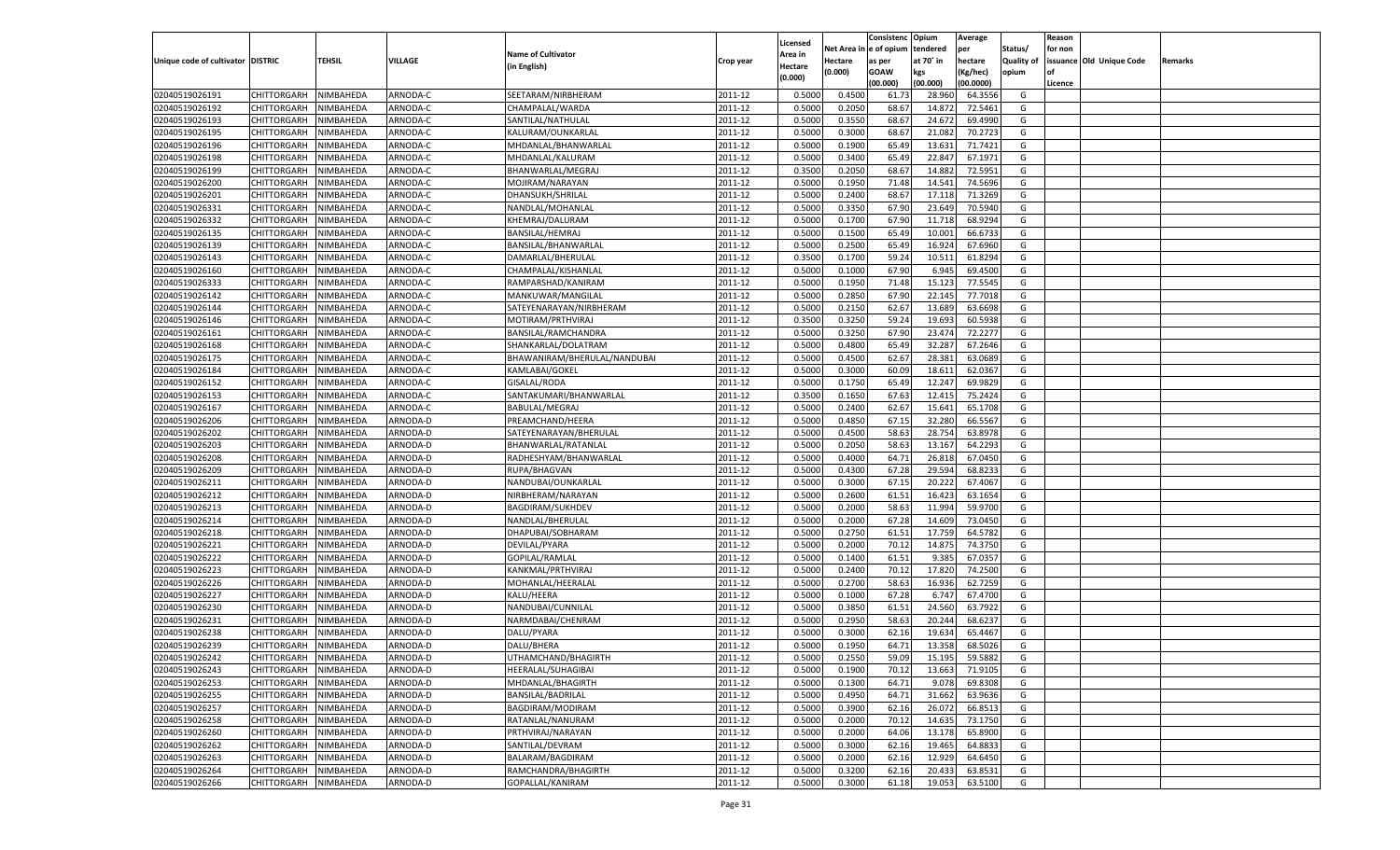|                                   |                                          |           |          |                              |           |          |          | Consistenc Opium |           | Average   |                   | Reason    |                          |         |
|-----------------------------------|------------------------------------------|-----------|----------|------------------------------|-----------|----------|----------|------------------|-----------|-----------|-------------------|-----------|--------------------------|---------|
|                                   |                                          |           |          |                              |           | Licensed | Net Area | e of opium       | tendered  | per       | Status/           | for non   |                          |         |
| Unique code of cultivator DISTRIC |                                          | TEHSIL    | VILLAGE  | <b>Name of Cultivator</b>    | Crop year | Area in  | Hectare  | as per           | at 70° in | hectare   | <b>Quality of</b> |           | issuance Old Unique Code | Remarks |
|                                   |                                          |           |          | (in English)                 |           | Hectare  | (0.000)  | <b>GOAW</b>      | kgs       | (Kg/hec)  | opium             | <b>of</b> |                          |         |
|                                   |                                          |           |          |                              |           | (0.000)  |          | (00.000)         | (00.000)  | (00.0000) |                   | Licence   |                          |         |
| 02040519026191                    | CHITTORGARH                              | NIMBAHEDA | ARNODA-C | SEETARAM/NIRBHERAM           | 2011-12   | 0.5000   | 0.4500   | 61.73            | 28.96     | 64.3556   | G                 |           |                          |         |
| 02040519026192                    | CHITTORGARH                              | NIMBAHEDA | ARNODA-C | CHAMPALAL/WARDA              | 2011-12   | 0.5000   | 0.2050   | 68.67            | 14.87     | 72.5461   | G                 |           |                          |         |
| 02040519026193                    | <b>CHITTORGARH</b>                       | NIMBAHEDA | ARNODA-C | SANTILAL/NATHULAL            | 2011-12   | 0.5000   | 0.3550   | 68.67            | 24.672    | 69.4990   | G                 |           |                          |         |
| 02040519026195                    | CHITTORGARH                              | NIMBAHEDA | ARNODA-C | KALURAM/OUNKARLAL            | 2011-12   | 0.5000   | 0.3000   | 68.67            | 21.082    | 70.2723   | G                 |           |                          |         |
| 02040519026196                    | CHITTORGARH                              | NIMBAHEDA | ARNODA-C | MHDANLAL/BHANWARLAL          | 2011-12   | 0.5000   | 0.1900   | 65.49            | 13.63     | 71.7421   | G                 |           |                          |         |
| 02040519026198                    | CHITTORGARH                              | NIMBAHEDA | ARNODA-C | MHDANLAL/KALURAM             | 2011-12   | 0.5000   | 0.3400   | 65.49            | 22.84     | 67.1971   | G                 |           |                          |         |
| 02040519026199                    | CHITTORGARH                              | NIMBAHEDA | ARNODA-C | BHANWARLAL/MEGRAJ            | 2011-12   | 0.3500   | 0.2050   | 68.67            | 14.882    | 72.5951   | G                 |           |                          |         |
| 02040519026200                    | CHITTORGARH                              | NIMBAHEDA | ARNODA-C | MOJIRAM/NARAYAN              | 2011-12   | 0.5000   | 0.1950   | 71.48            | 14.541    | 74.5696   | G                 |           |                          |         |
| 02040519026201                    | CHITTORGARH                              | NIMBAHEDA | ARNODA-C | DHANSUKH/SHRILAL             | 2011-12   | 0.5000   | 0.2400   | 68.67            | 17.118    | 71.3269   | G                 |           |                          |         |
| 02040519026331                    | CHITTORGARH                              | NIMBAHEDA | ARNODA-C | NANDLAL/MOHANLAL             | 2011-12   | 0.5000   | 0.3350   | 67.90            | 23.649    | 70.5940   | G                 |           |                          |         |
| 02040519026332                    | CHITTORGARH                              | NIMBAHEDA | ARNODA-C | KHEMRAJ/DALURAM              | 2011-12   | 0.5000   | 0.1700   | 67.90            | 11.718    | 68.929    | G                 |           |                          |         |
| 02040519026135                    | CHITTORGARH                              | NIMBAHEDA | ARNODA-C | BANSILAL/HEMRAJ              | 2011-12   | 0.5000   | 0.1500   | 65.49            | 10.001    | 66.6733   | G                 |           |                          |         |
| 02040519026139                    | CHITTORGARH                              | NIMBAHEDA | ARNODA-C | BANSILAL/BHANWARLAL          | 2011-12   | 0.5000   | 0.2500   | 65.49            | 16.924    | 67.6960   | G                 |           |                          |         |
| 02040519026143                    | CHITTORGARH                              | NIMBAHEDA | ARNODA-C | DAMARLAL/BHERULAL            | 2011-12   | 0.3500   | 0.1700   | 59.24            | 10.51     | 61.8294   | G                 |           |                          |         |
| 02040519026160                    | <b>CHITTORGARH</b>                       | NIMBAHEDA | ARNODA-C | CHAMPALAL/KISHANLAL          | 2011-12   | 0.5000   | 0.1000   | 67.90            | 6.945     | 69.4500   | G                 |           |                          |         |
| 02040519026333                    | CHITTORGARH                              | NIMBAHEDA | ARNODA-C | RAMPARSHAD/KANIRAM           | 2011-12   | 0.5000   | 0.1950   | 71.48            | 15.123    | 77.5545   | G                 |           |                          |         |
| 02040519026142                    | <b>CHITTORGARH</b>                       | NIMBAHEDA | ARNODA-C | MANKUWAR/MANGILAL            | 2011-12   | 0.5000   | 0.2850   | 67.90            | 22.145    | 77.7018   | G                 |           |                          |         |
| 02040519026144                    | CHITTORGARH                              | NIMBAHEDA | ARNODA-C | SATEYENARAYAN/NIRBHERAM      | 2011-12   | 0.5000   | 0.2150   | 62.67            | 13.689    | 63.6698   | G                 |           |                          |         |
| 02040519026146                    | <b>CHITTORGARH</b>                       | NIMBAHEDA | ARNODA-C | MOTIRAM/PRTHVIRAJ            | 2011-12   | 0.3500   | 0.3250   | 59.24            | 19.693    | 60.5938   | G                 |           |                          |         |
| 02040519026161                    | CHITTORGARH                              | NIMBAHEDA | ARNODA-C | BANSILAL/RAMCHANDRA          | 2011-12   | 0.5000   | 0.3250   | 67.90            | 23.47     | 72.2277   | G                 |           |                          |         |
| 02040519026168                    | <b>CHITTORGARH</b>                       | NIMBAHEDA | ARNODA-C | SHANKARLAL/DOLATRAM          | 2011-12   | 0.5000   | 0.4800   | 65.49            | 32.287    | 67.2646   | G                 |           |                          |         |
| 02040519026175                    | <b>CHITTORGARH</b>                       | NIMBAHEDA | ARNODA-C | BHAWANIRAM/BHERULAL/NANDUBAI | 2011-12   | 0.5000   | 0.4500   | 62.67            | 28.381    | 63.0689   | G                 |           |                          |         |
| 02040519026184                    | <b>CHITTORGARH</b>                       | NIMBAHEDA | ARNODA-C | <b>KAMLABAI/GOKEL</b>        | 2011-12   | 0.5000   | 0.3000   | 60.09            | 18.611    | 62.0367   | G                 |           |                          |         |
|                                   |                                          |           | ARNODA-C | <b>GISALAL/RODA</b>          | 2011-12   |          | 0.1750   | 65.49            | 12.247    | 69.9829   | G                 |           |                          |         |
| 02040519026152                    | CHITTORGARH                              | NIMBAHEDA |          |                              |           | 0.5000   |          |                  |           |           |                   |           |                          |         |
| 02040519026153                    | <b>CHITTORGARH</b><br><b>CHITTORGARH</b> | NIMBAHEDA | ARNODA-C | SANTAKUMARI/BHANWARLAL       | 2011-12   | 0.3500   | 0.1650   | 67.63            | 12.415    | 75.2424   | G                 |           |                          |         |
| 02040519026167                    |                                          | NIMBAHEDA | ARNODA-C | <b>BABULAL/MEGRAJ</b>        | 2011-12   | 0.5000   | 0.2400   | 62.67            | 15.641    | 65.1708   | G                 |           |                          |         |
| 02040519026206                    | <b>CHITTORGARH</b>                       | NIMBAHEDA | ARNODA-D | PREAMCHAND/HEERA             | 2011-12   | 0.5000   | 0.4850   | 67.15            | 32.280    | 66.5567   | G                 |           |                          |         |
| 02040519026202                    | CHITTORGARH                              | NIMBAHEDA | ARNODA-D | SATEYENARAYAN/BHERULAL       | 2011-12   | 0.5000   | 0.4500   | 58.63            | 28.754    | 63.8978   | G                 |           |                          |         |
| 02040519026203                    | <b>CHITTORGARH</b>                       | NIMBAHEDA | ARNODA-D | BHANWARLAL/RATANLAL          | 2011-12   | 0.5000   | 0.2050   | 58.63            | 13.167    | 64.2293   | G                 |           |                          |         |
| 02040519026208                    | CHITTORGARH                              | NIMBAHEDA | ARNODA-D | RADHESHYAM/BHANWARLAI        | 2011-12   | 0.5000   | 0.4000   | 64.71            | 26.818    | 67.0450   | G                 |           |                          |         |
| 02040519026209                    | CHITTORGARH                              | NIMBAHEDA | ARNODA-D | RUPA/BHAGVAN                 | 2011-12   | 0.5000   | 0.4300   | 67.28            | 29.594    | 68.8233   | G                 |           |                          |         |
| 02040519026211                    | CHITTORGARH                              | NIMBAHEDA | ARNODA-D | NANDUBAI/OUNKARLAL           | 2011-12   | 0.5000   | 0.3000   | 67.15            | 20.22     | 67.4067   | G                 |           |                          |         |
| 02040519026212                    | CHITTORGARH                              | NIMBAHEDA | ARNODA-D | NIRBHERAM/NARAYAN            | 2011-12   | 0.5000   | 0.2600   | 61.51            | 16.42     | 63.1654   | G                 |           |                          |         |
| 02040519026213                    | CHITTORGARH                              | NIMBAHEDA | ARNODA-D | <b>BAGDIRAM/SUKHDEV</b>      | 2011-12   | 0.5000   | 0.2000   | 58.63            | 11.994    | 59.970    | G                 |           |                          |         |
| 02040519026214                    | CHITTORGARH                              | NIMBAHEDA | ARNODA-D | NANDLAL/BHERULAL             | 2011-12   | 0.5000   | 0.2000   | 67.28            | 14.609    | 73.0450   | G                 |           |                          |         |
| 02040519026218                    | CHITTORGARH                              | NIMBAHEDA | ARNODA-D | DHAPUBAI/SOBHARAM            | 2011-12   | 0.5000   | 0.2750   | 61.51            | 17.75     | 64.5782   | G                 |           |                          |         |
| 02040519026221                    | CHITTORGARH                              | NIMBAHEDA | ARNODA-D | DEVILAL/PYARA                | 2011-12   | 0.5000   | 0.2000   | 70.12            | 14.875    | 74.3750   | G                 |           |                          |         |
| 02040519026222                    | CHITTORGARH                              | NIMBAHEDA | ARNODA-D | GOPILAL/RAMLAL               | 2011-12   | 0.5000   | 0.1400   | 61.51            | 9.385     | 67.035    | G                 |           |                          |         |
| 02040519026223                    | CHITTORGARH                              | NIMBAHEDA | ARNODA-D | KANKMAL/PRTHVIRAJ            | 2011-12   | 0.5000   | 0.2400   | 70.12            | 17.820    | 74.2500   | G                 |           |                          |         |
| 02040519026226                    | <b>CHITTORGARH</b>                       | NIMBAHEDA | ARNODA-D | MOHANLAL/HEERALAL            | 2011-12   | 0.5000   | 0.2700   | 58.63            | 16.936    | 62.7259   | G                 |           |                          |         |
| 02040519026227                    | CHITTORGARH                              | NIMBAHEDA | ARNODA-D | KALU/HEERA                   | 2011-12   | 0.5000   | 0.1000   | 67.28            | 6.747     | 67.4700   | G                 |           |                          |         |
| 02040519026230                    | CHITTORGARH                              | NIMBAHEDA | ARNODA-D | NANDUBAI/CUNNILAL            | 2011-12   | 0.5000   | 0.3850   | 61.51            | 24.560    | 63.7922   | G                 |           |                          |         |
| 02040519026231                    | CHITTORGARH                              | NIMBAHEDA | ARNODA-D | NARMDABAI/CHENRAM            | 2011-12   | 0.5000   | 0.2950   | 58.63            | 20.244    | 68.6237   | G                 |           |                          |         |
| 02040519026238                    | CHITTORGARH                              | NIMBAHEDA | ARNODA-D | DALU/PYARA                   | 2011-12   | 0.5000   | 0.3000   | 62.16            | 19.63     | 65.4467   | G                 |           |                          |         |
| 02040519026239                    | CHITTORGARH                              | NIMBAHEDA | ARNODA-D | DALU/BHERA                   | 2011-12   | 0.5000   | 0.1950   | 64.71            | 13.358    | 68.5026   | G                 |           |                          |         |
| 02040519026242                    | CHITTORGARH NIMBAHEDA                    |           | ARNODA-D | UTHAMCHAND/BHAGIRTH          | 2011-12   | 0.5000   | 0.2550   | 59.09            | 15.195    | 59.5882   | G                 |           |                          |         |
| 02040519026243                    | <b>CHITTORGARH</b>                       | NIMBAHEDA | ARNODA-D | HEERALAL/SUHAGIBAI           | 2011-12   | 0.5000   | 0.1900   | 70.12            | 13.663    | 71.9105   | G                 |           |                          |         |
| 02040519026253                    | CHITTORGARH                              | NIMBAHEDA | ARNODA-D | MHDANLAL/BHAGIRTH            | 2011-12   | 0.5000   | 0.1300   | 64.71            | 9.078     | 69.8308   | G                 |           |                          |         |
| 02040519026255                    | <b>CHITTORGARH</b>                       | NIMBAHEDA | ARNODA-D | BANSILAL/BADRILAL            | 2011-12   | 0.5000   | 0.4950   | 64.71            | 31.662    | 63.9636   | G                 |           |                          |         |
| 02040519026257                    | <b>CHITTORGARH</b>                       | NIMBAHEDA | ARNODA-D | BAGDIRAM/MODIRAM             | 2011-12   | 0.5000   | 0.3900   | 62.16            | 26.072    | 66.8513   | G                 |           |                          |         |
| 02040519026258                    | <b>CHITTORGARH</b>                       | NIMBAHEDA | ARNODA-D | RATANLAL/NANURAM             | 2011-12   | 0.5000   | 0.2000   | 70.12            | 14.635    | 73.1750   | G                 |           |                          |         |
| 02040519026260                    | <b>CHITTORGARH</b>                       | NIMBAHEDA | ARNODA-D | PRTHVIRAJ/NARAYAN            | 2011-12   | 0.5000   | 0.2000   | 64.06            | 13.178    | 65.8900   | G                 |           |                          |         |
| 02040519026262                    | <b>CHITTORGARH</b>                       | NIMBAHEDA | ARNODA-D | SANTILAL/DEVRAM              | 2011-12   | 0.5000   | 0.3000   | 62.16            | 19.465    | 64.8833   | G                 |           |                          |         |
| 02040519026263                    | <b>CHITTORGARH</b>                       | NIMBAHEDA | ARNODA-D | BALARAM/BAGDIRAM             | 2011-12   | 0.5000   | 0.2000   | 62.16            | 12.929    | 64.6450   | G                 |           |                          |         |
| 02040519026264                    | <b>CHITTORGARH</b>                       | NIMBAHEDA | ARNODA-D | RAMCHANDRA/BHAGIRTH          | 2011-12   | 0.5000   | 0.3200   | 62.16            | 20.433    | 63.8531   | G                 |           |                          |         |
| 02040519026266                    | CHITTORGARH                              | NIMBAHEDA | ARNODA-D | GOPALLAL/KANIRAM             | 2011-12   | 0.5000   | 0.3000   | 61.18            | 19.053    | 63.5100   | G                 |           |                          |         |
|                                   |                                          |           |          |                              |           |          |          |                  |           |           |                   |           |                          |         |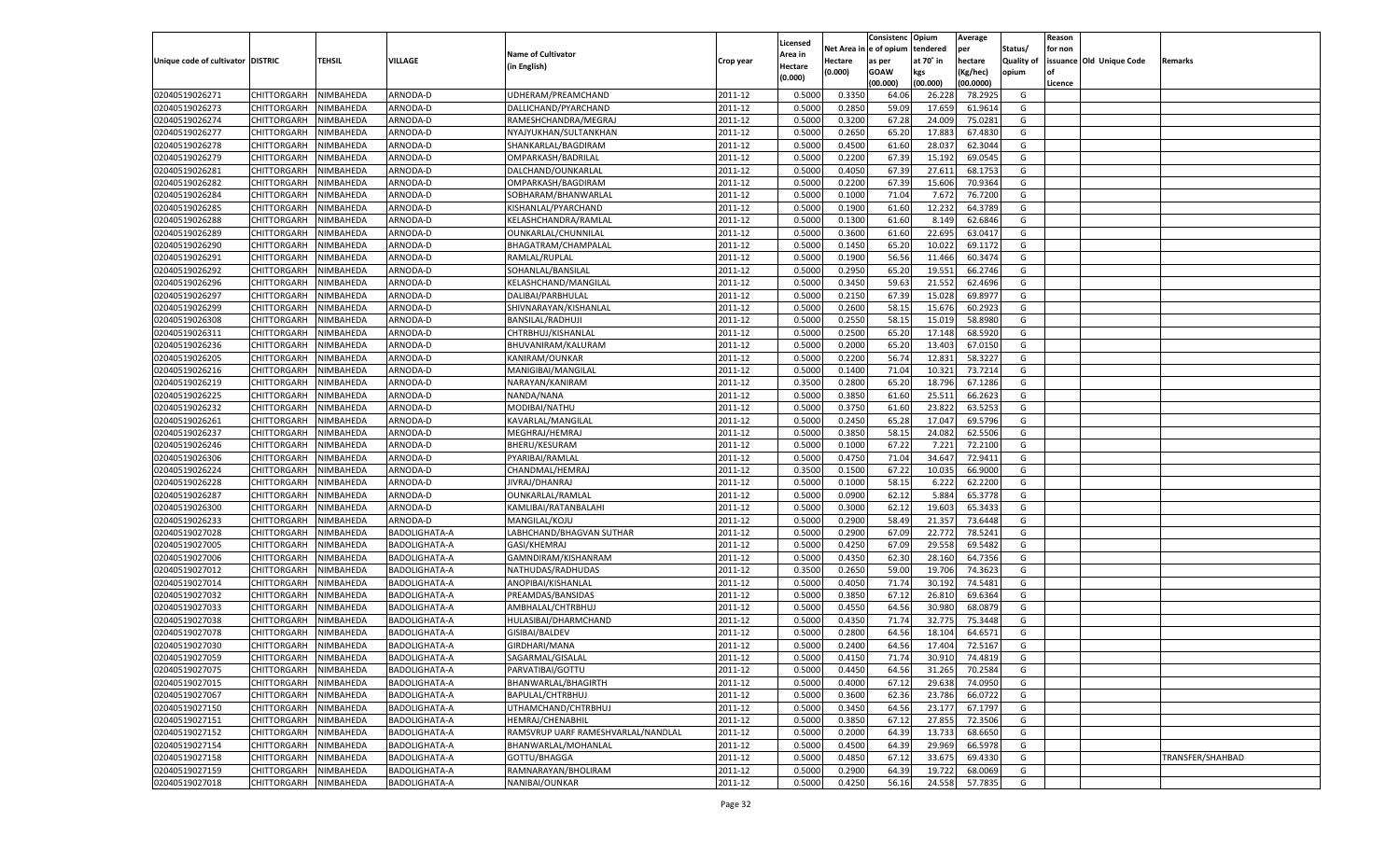|                                   |                    |           |                      |                                    |           |          |          | Consistenc Opium |           | Average   |                   | Reason    |                          |                  |
|-----------------------------------|--------------------|-----------|----------------------|------------------------------------|-----------|----------|----------|------------------|-----------|-----------|-------------------|-----------|--------------------------|------------------|
|                                   |                    |           |                      |                                    |           | Licensed | Net Area | e of opium       | tendered  | per       | Status/           | for non   |                          |                  |
| Unique code of cultivator DISTRIC |                    | TEHSIL    | VILLAGE              | <b>Name of Cultivator</b>          | Crop year | Area in  | Hectare  | as per           | at 70˚ in | hectare   | <b>Quality of</b> |           | issuance Old Unique Code | Remarks          |
|                                   |                    |           |                      | (in English)                       |           | Hectare  | (0.000)  | <b>GOAW</b>      | kgs       | (Kg/hec)  | opium             | <b>of</b> |                          |                  |
|                                   |                    |           |                      |                                    |           | (0.000)  |          | (00.000)         | (00.000)  | (00.0000) |                   | Licence   |                          |                  |
| 02040519026271                    | CHITTORGARH        | NIMBAHEDA | ARNODA-D             | UDHERAM/PREAMCHAND                 | 2011-12   | 0.5000   | 0.3350   | 64.06            | 26.22     | 78.2925   | G                 |           |                          |                  |
| 02040519026273                    | CHITTORGARH        | NIMBAHEDA | ARNODA-D             | DALLICHAND/PYARCHAND               | 2011-12   | 0.5000   | 0.2850   | 59.09            | 17.65     | 61.9614   | G                 |           |                          |                  |
| 02040519026274                    | <b>CHITTORGARH</b> | NIMBAHEDA | ARNODA-D             | RAMESHCHANDRA/MEGRAJ               | 2011-12   | 0.5000   | 0.3200   | 67.28            | 24.009    | 75.0281   | G                 |           |                          |                  |
| 02040519026277                    | CHITTORGARH        | NIMBAHEDA | ARNODA-D             | NYAJYUKHAN/SULTANKHAN              | 2011-12   | 0.5000   | 0.2650   | 65.20            | 17.883    | 67.4830   | G                 |           |                          |                  |
| 02040519026278                    | CHITTORGARH        | NIMBAHEDA | ARNODA-D             | SHANKARLAL/BAGDIRAM                | 2011-12   | 0.5000   | 0.4500   | 61.60            | 28.03     | 62.3044   | G                 |           |                          |                  |
| 02040519026279                    | CHITTORGARH        | NIMBAHEDA | ARNODA-D             | OMPARKASH/BADRILAL                 | 2011-12   | 0.5000   | 0.2200   | 67.39            | 15.192    | 69.0545   | G                 |           |                          |                  |
| 02040519026281                    | CHITTORGARH        | NIMBAHEDA | ARNODA-D             | DALCHAND/OUNKARLAI                 | 2011-12   | 0.5000   | 0.4050   | 67.39            | 27.611    | 68.175    | G                 |           |                          |                  |
| 02040519026282                    | CHITTORGARH        | NIMBAHEDA | ARNODA-D             | OMPARKASH/BAGDIRAM                 | 2011-12   | 0.5000   | 0.2200   | 67.39            | 15.606    | 70.9364   | G                 |           |                          |                  |
| 02040519026284                    | CHITTORGARH        | NIMBAHEDA | ARNODA-D             | SOBHARAM/BHANWARLAL                | 2011-12   | 0.5000   | 0.1000   | 71.04            | 7.672     | 76.7200   | G                 |           |                          |                  |
| 02040519026285                    | CHITTORGARH        | NIMBAHEDA | ARNODA-D             | KISHANLAL/PYARCHAND                | 2011-12   | 0.5000   | 0.1900   | 61.60            | 12.232    | 64.3789   | G                 |           |                          |                  |
| 02040519026288                    | CHITTORGARH        | NIMBAHEDA | ARNODA-D             | KELASHCHANDRA/RAMLAL               | 2011-12   | 0.5000   | 0.1300   | 61.60            | 8.149     | 62.6846   | G                 |           |                          |                  |
| 02040519026289                    | CHITTORGARH        | NIMBAHEDA | ARNODA-D             | OUNKARLAL/CHUNNILAL                | 2011-12   | 0.5000   | 0.3600   | 61.60            | 22.695    | 63.0417   | G                 |           |                          |                  |
| 02040519026290                    | CHITTORGARH        | NIMBAHEDA | ARNODA-D             | BHAGATRAM/CHAMPALAL                | 2011-12   | 0.5000   | 0.1450   | 65.20            | 10.022    | 69.1172   | G                 |           |                          |                  |
| 02040519026291                    | CHITTORGARH        | NIMBAHEDA | ARNODA-D             | RAMLAL/RUPLAL                      | 2011-12   | 0.5000   | 0.1900   | 56.56            | 11.466    | 60.3474   | G                 |           |                          |                  |
| 02040519026292                    | <b>CHITTORGARH</b> | NIMBAHEDA | ARNODA-D             | SOHANLAL/BANSILAL                  | 2011-12   | 0.5000   | 0.2950   | 65.20            | 19.551    | 66.2746   | G                 |           |                          |                  |
| 02040519026296                    | CHITTORGARH        | NIMBAHEDA | ARNODA-D             | KELASHCHAND/MANGILAL               | 2011-12   | 0.5000   | 0.3450   | 59.63            | 21.552    | 62.4696   | G                 |           |                          |                  |
| 02040519026297                    | <b>CHITTORGARH</b> | NIMBAHEDA | ARNODA-D             | DALIBAI/PARBHULAL                  | 2011-12   | 0.5000   | 0.2150   | 67.39            | 15.028    | 69.8977   | G                 |           |                          |                  |
| 02040519026299                    | CHITTORGARH        | NIMBAHEDA | ARNODA-D             | SHIVNARAYAN/KISHANLAL              | 2011-12   | 0.5000   | 0.2600   | 58.15            | 15.676    | 60.2923   | G                 |           |                          |                  |
| 02040519026308                    | <b>CHITTORGARH</b> | NIMBAHEDA | ARNODA-D             | BANSILAL/RADHUJI                   | 2011-12   | 0.5000   | 0.2550   | 58.15            | 15.019    | 58.8980   | G                 |           |                          |                  |
|                                   |                    |           | ARNODA-D             |                                    |           |          |          | 65.20            | 17.148    | 68.5920   | G                 |           |                          |                  |
| 02040519026311                    | CHITTORGARH        | NIMBAHEDA |                      | CHTRBHUJ/KISHANLAL                 | 2011-12   | 0.5000   | 0.2500   |                  |           |           |                   |           |                          |                  |
| 02040519026236                    | <b>CHITTORGARH</b> | NIMBAHEDA | ARNODA-D             | BHUVANIRAM/KALURAM                 | 2011-12   | 0.5000   | 0.2000   | 65.20            | 13.403    | 67.0150   | G                 |           |                          |                  |
| 02040519026205                    | CHITTORGARH        | NIMBAHEDA | ARNODA-D             | KANIRAM/OUNKAR                     | 2011-12   | 0.5000   | 0.2200   | 56.74            | 12.831    | 58.3227   | G                 |           |                          |                  |
| 02040519026216                    | <b>CHITTORGARH</b> | NIMBAHEDA | ARNODA-D             | MANIGIBAI/MANGILAL                 | 2011-12   | 0.5000   | 0.1400   | 71.04            | 10.321    | 73.7214   | G                 |           |                          |                  |
| 02040519026219                    | CHITTORGARH        | NIMBAHEDA | ARNODA-D             | NARAYAN/KANIRAM                    | 2011-12   | 0.3500   | 0.2800   | 65.20            | 18.796    | 67.1286   | G                 |           |                          |                  |
| 02040519026225                    | <b>CHITTORGARH</b> | NIMBAHEDA | ARNODA-D             | NANDA/NANA                         | 2011-12   | 0.5000   | 0.3850   | 61.60            | 25.511    | 66.2623   | G                 |           |                          |                  |
| 02040519026232                    | CHITTORGARH        | NIMBAHEDA | ARNODA-D             | MODIBAI/NATHU                      | 2011-12   | 0.5000   | 0.3750   | 61.60            | 23.822    | 63.525    | G                 |           |                          |                  |
| 02040519026261                    | <b>CHITTORGARH</b> | NIMBAHEDA | ARNODA-D             | KAVARLAL/MANGILAL                  | 2011-12   | 0.5000   | 0.2450   | 65.28            | 17.047    | 69.5796   | G                 |           |                          |                  |
| 02040519026237                    | CHITTORGARH        | NIMBAHEDA | ARNODA-D             | MEGHRAJ/HEMRAJ                     | 2011-12   | 0.5000   | 0.3850   | 58.15            | 24.082    | 62.5506   | G                 |           |                          |                  |
| 02040519026246                    | <b>CHITTORGARH</b> | NIMBAHEDA | ARNODA-D             | <b>BHERU/KESURAM</b>               | 2011-12   | 0.5000   | 0.1000   | 67.22            | 7.221     | 72.2100   | G                 |           |                          |                  |
| 02040519026306                    | CHITTORGARH        | NIMBAHEDA | ARNODA-D             | PYARIBAI/RAMLAL                    | 2011-12   | 0.5000   | 0.4750   | 71.04            | 34.647    | 72.9411   | G                 |           |                          |                  |
| 02040519026224                    | CHITTORGARH        | NIMBAHEDA | ARNODA-D             | CHANDMAL/HEMRAJ                    | 2011-12   | 0.3500   | 0.1500   | 67.22            | 10.035    | 66.9000   | G                 |           |                          |                  |
| 02040519026228                    | CHITTORGARH        | NIMBAHEDA | ARNODA-D             | JIVRAJ/DHANRAJ                     | 2011-12   | 0.5000   | 0.1000   | 58.15            | 6.222     | 62.2200   | G                 |           |                          |                  |
| 02040519026287                    | CHITTORGARH        | NIMBAHEDA | ARNODA-D             | OUNKARLAL/RAMLAL                   | 2011-12   | 0.5000   | 0.0900   | 62.12            | 5.884     | 65.3778   | G                 |           |                          |                  |
| 02040519026300                    | CHITTORGARH        | NIMBAHEDA | ARNODA-D             | KAMLIBAI/RATANBALAHI               | 2011-12   | 0.5000   | 0.3000   | 62.12            | 19.603    | 65.343    | G                 |           |                          |                  |
| 02040519026233                    | CHITTORGARH        | NIMBAHEDA | ARNODA-D             | MANGILAL/KOJU                      | 2011-12   | 0.5000   | 0.2900   | 58.49            | 21.357    | 73.6448   | G                 |           |                          |                  |
| 02040519027028                    | CHITTORGARH        | NIMBAHEDA | BADOLIGHATA-A        | LABHCHAND/BHAGVAN SUTHAR           | 2011-12   | 0.5000   | 0.2900   | 67.09            | 22.772    | 78.5241   | G                 |           |                          |                  |
| 02040519027005                    | CHITTORGARH        | NIMBAHEDA | BADOLIGHATA-A        | GASI/KHEMRAJ                       | 2011-12   | 0.5000   | 0.4250   | 67.09            | 29.55     | 69.5482   | G                 |           |                          |                  |
| 02040519027006                    | CHITTORGARH        | NIMBAHEDA | BADOLIGHATA-A        | GAMNDIRAM/KISHANRAM                | 2011-12   | 0.5000   | 0.4350   | 62.30            | 28.16     | 64.7356   | G                 |           |                          |                  |
| 02040519027012                    | CHITTORGARH        | NIMBAHEDA | BADOLIGHATA-A        | NATHUDAS/RADHUDAS                  | 2011-12   | 0.3500   | 0.2650   | 59.00            | 19.706    | 74.3623   | G                 |           |                          |                  |
| 02040519027014                    | CHITTORGARH        | NIMBAHEDA | BADOLIGHATA-A        | ANOPIBAI/KISHANLAL                 | 2011-12   | 0.5000   | 0.4050   | 71.74            | 30.192    | 74.5481   | G                 |           |                          |                  |
| 02040519027032                    | CHITTORGARH        | NIMBAHEDA | <b>BADOLIGHATA-A</b> | PREAMDAS/BANSIDAS                  | 2011-12   | 0.5000   | 0.3850   | 67.12            | 26.81     | 69.6364   | G                 |           |                          |                  |
| 02040519027033                    | CHITTORGARH        | NIMBAHEDA | BADOLIGHATA-A        | AMBHALAL/CHTRBHUJ                  | 2011-12   | 0.5000   | 0.4550   | 64.56            | 30.98     | 68.087    | G                 |           |                          |                  |
| 02040519027038                    | CHITTORGARH        | NIMBAHEDA | BADOLIGHATA-A        | HULASIBAI/DHARMCHAND               | 2011-12   | 0.5000   | 0.4350   | 71.74            | 32.775    | 75.3448   | G                 |           |                          |                  |
| 02040519027078                    | CHITTORGARH        | NIMBAHEDA | BADOLIGHATA-A        | GISIBAI/BALDEV                     | 2011-12   | 0.5000   | 0.2800   | 64.56            | 18.10     | 64.6571   | G                 |           |                          |                  |
| 02040519027030                    | CHITTORGARH        | NIMBAHEDA | BADOLIGHATA-A        | GIRDHARI/MANA                      | 2011-12   | 0.5000   | 0.2400   | 64.56            | 17.404    | 72.5167   | G                 |           |                          |                  |
| 02040519027059                    | CHITTORGARH        | NIMBAHEDA | <b>BADOLIGHATA-A</b> | SAGARMAL/GISALAL                   | 2011-12   | 0.5000   | 0.4150   | 71.74            | 30.910    | 74.4819   | G                 |           |                          |                  |
| 02040519027075                    | <b>CHITTORGARH</b> | NIMBAHEDA | BADOLIGHATA-A        | PARVATIBAI/GOTTU                   | 2011-12   | 0.5000   | 0.4450   | 64.56            | 31.265    | 70.2584   | G                 |           |                          |                  |
| 02040519027015                    | CHITTORGARH        | NIMBAHEDA | BADOLIGHATA-A        | BHANWARLAL/BHAGIRTH                | 2011-12   | 0.5000   | 0.4000   | 67.12            | 29.638    | 74.0950   | G                 |           |                          |                  |
| 02040519027067                    | <b>CHITTORGARH</b> | NIMBAHEDA | <b>BADOLIGHATA-A</b> | BAPULAL/CHTRBHUJ                   | 2011-12   | 0.5000   | 0.3600   | 62.36            | 23.786    | 66.0722   | G                 |           |                          |                  |
| 02040519027150                    | <b>CHITTORGARH</b> | NIMBAHEDA | BADOLIGHATA-A        | UTHAMCHAND/CHTRBHUJ                | 2011-12   | 0.5000   | 0.3450   | 64.56            | 23.177    | 67.1797   | G                 |           |                          |                  |
| 02040519027151                    | <b>CHITTORGARH</b> | NIMBAHEDA | BADOLIGHATA-A        | HEMRAJ/CHENABHIL                   | 2011-12   | 0.5000   | 0.3850   | 67.12            | 27.855    | 72.3506   | G                 |           |                          |                  |
| 02040519027152                    | <b>CHITTORGARH</b> | NIMBAHEDA | <b>BADOLIGHATA-A</b> | RAMSVRUP UARF RAMESHVARLAL/NANDLAL | 2011-12   | 0.5000   | 0.2000   | 64.39            | 13.733    | 68.6650   | G                 |           |                          |                  |
| 02040519027154                    | <b>CHITTORGARH</b> | NIMBAHEDA | BADOLIGHATA-A        | BHANWARLAL/MOHANLAL                | 2011-12   | 0.5000   | 0.4500   | 64.39            | 29.969    | 66.5978   | G                 |           |                          |                  |
| 02040519027158                    | <b>CHITTORGARH</b> | NIMBAHEDA | BADOLIGHATA-A        | GOTTU/BHAGGA                       | 2011-12   | 0.5000   | 0.4850   | 67.12            | 33.675    | 69.4330   | G                 |           |                          | TRANSFER/SHAHBAD |
| 02040519027159                    | <b>CHITTORGARH</b> | NIMBAHEDA | BADOLIGHATA-A        | RAMNARAYAN/BHOLIRAM                | 2011-12   | 0.5000   | 0.2900   | 64.39            | 19.722    | 68.0069   | G                 |           |                          |                  |
| 02040519027018                    | CHITTORGARH        | NIMBAHEDA | <b>BADOLIGHATA-A</b> | NANIBAI/OUNKAR                     | 2011-12   | 0.5000   | 0.4250   | 56.16            | 24.558    | 57.7835   | G                 |           |                          |                  |
|                                   |                    |           |                      |                                    |           |          |          |                  |           |           |                   |           |                          |                  |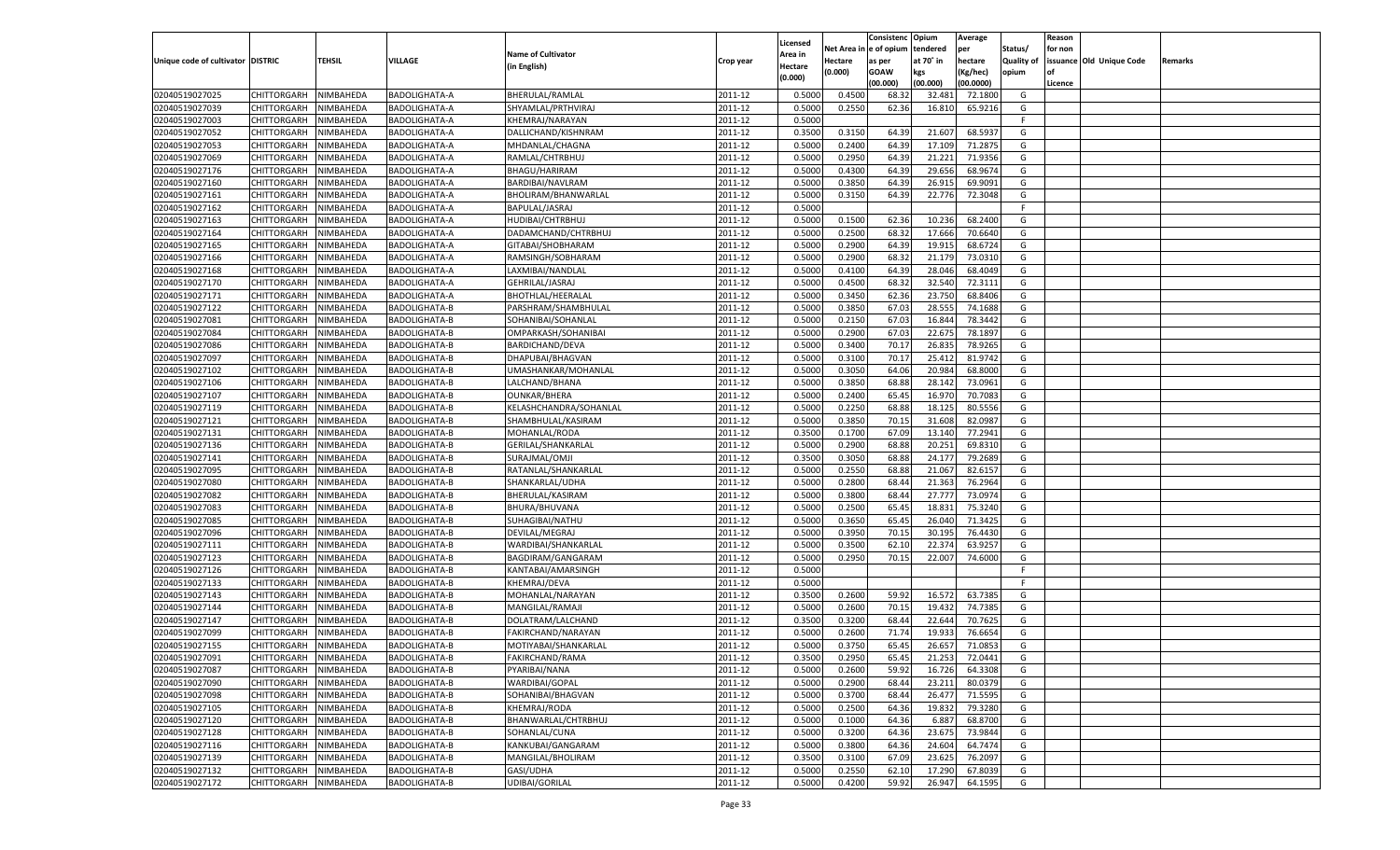|                                   |                       |           |                      |                           |                    |                    |             | Consistenc    | Opium     | Average            |                   | Reason  |                          |         |
|-----------------------------------|-----------------------|-----------|----------------------|---------------------------|--------------------|--------------------|-------------|---------------|-----------|--------------------|-------------------|---------|--------------------------|---------|
|                                   |                       |           |                      |                           |                    | Licensed           | Net Area iı | n  e of opium | tendered  | per                | Status/           | for non |                          |         |
| Unique code of cultivator DISTRIC |                       | TEHSIL    | VILLAGE              | <b>Name of Cultivator</b> | Crop year          | Area in            | Hectare     | as per        | at 70° in | hectare            | <b>Quality of</b> |         | issuance Old Unique Code | Remarks |
|                                   |                       |           |                      | (in English)              |                    | Hectare<br>(0.000) | (0.000)     | <b>GOAW</b>   | kgs       | (Kg/hec)           | opium             |         |                          |         |
|                                   |                       |           |                      |                           |                    |                    |             | (00.000)      | (00.000)  | (00.0000)          |                   | Licence |                          |         |
| 02040519027025                    | CHITTORGARH           | NIMBAHEDA | BADOLIGHATA-A        | BHERULAL/RAMLAL           | 2011-12            | 0.5000             | 0.4500      | 68.3          | 32.481    | 72.1800            | G                 |         |                          |         |
| 02040519027039                    | CHITTORGARH           | NIMBAHEDA | <b>BADOLIGHATA-A</b> | SHYAMLAL/PRTHVIRAJ        | 2011-12            | 0.5000             | 0.2550      | 62.36         | 16.810    | 65.9216            | G                 |         |                          |         |
| 02040519027003                    | CHITTORGARH           | NIMBAHEDA | <b>BADOLIGHATA-A</b> | KHEMRAJ/NARAYAN           | 2011-12            | 0.5000             |             |               |           |                    | F.                |         |                          |         |
| 02040519027052                    | CHITTORGARH           | NIMBAHEDA | <b>BADOLIGHATA-A</b> | DALLICHAND/KISHNRAM       | 2011-12            | 0.3500             | 0.3150      | 64.39         | 21.607    | 68.5937            | G                 |         |                          |         |
| 02040519027053                    | CHITTORGARH           | NIMBAHEDA | <b>BADOLIGHATA-A</b> | MHDANLAL/CHAGNA           | 2011-12            | 0.5000             | 0.2400      | 64.39         | 17.109    | 71.2875            | G                 |         |                          |         |
| 02040519027069                    | CHITTORGARH           | NIMBAHEDA | <b>BADOLIGHATA-A</b> | RAMLAL/CHTRBHUJ           | 2011-12            | 0.5000             | 0.2950      | 64.39         | 21.221    | 71.9356            | G                 |         |                          |         |
| 02040519027176                    | CHITTORGARH           | NIMBAHEDA | <b>BADOLIGHATA-A</b> | <b>BHAGU/HARIRAM</b>      | 2011-12            | 0.5000             | 0.4300      | 64.39         | 29.656    | 68.9674            | G                 |         |                          |         |
| 02040519027160                    | CHITTORGARH           | NIMBAHEDA | <b>BADOLIGHATA-A</b> | BARDIBAI/NAVLRAM          | 2011-12            | 0.5000             | 0.3850      | 64.39         | 26.915    | 69.9091            | G                 |         |                          |         |
| 02040519027161                    | CHITTORGARH           | NIMBAHEDA | <b>BADOLIGHATA-A</b> | BHOLIRAM/BHANWARLAL       | 2011-12            | 0.5000             | 0.3150      | 64.39         | 22.776    | 72.3048            | G                 |         |                          |         |
| 02040519027162                    | CHITTORGARH           | NIMBAHEDA | <b>BADOLIGHATA-A</b> | BAPULAL/JASRAJ            | 2011-12            | 0.5000             |             |               |           |                    | F.                |         |                          |         |
| 02040519027163                    | CHITTORGARH           | NIMBAHEDA | <b>BADOLIGHATA-A</b> | HUDIBAI/CHTRBHUJ          | 2011-12            | 0.5000             | 0.1500      | 62.36         | 10.236    | 68.2400            | G                 |         |                          |         |
| 02040519027164                    | CHITTORGARH           | NIMBAHEDA | <b>BADOLIGHATA-A</b> | DADAMCHAND/CHTRBHUJ       | 2011-12            | 0.5000             | 0.2500      | 68.32         | 17.666    | 70.6640            | G                 |         |                          |         |
| 02040519027165                    | CHITTORGARH           | NIMBAHEDA | <b>BADOLIGHATA-A</b> | GITABAI/SHOBHARAM         | 2011-12            | 0.5000             | 0.2900      | 64.39         | 19.915    | 68.6724            | G                 |         |                          |         |
| 02040519027166                    | CHITTORGARH           | NIMBAHEDA | BADOLIGHATA-A        | RAMSINGH/SOBHARAM         | 2011-12            | 0.5000             | 0.2900      | 68.32         | 21.179    | 73.0310            | G                 |         |                          |         |
| 02040519027168                    | CHITTORGARH           | NIMBAHEDA | <b>BADOLIGHATA-A</b> | LAXMIBAI/NANDLAL          | 2011-12            | 0.5000             | 0.4100      | 64.39         | 28.046    | 68.4049            | G                 |         |                          |         |
| 02040519027170                    | CHITTORGARH           | NIMBAHEDA | BADOLIGHATA-A        | GEHRILAL/JASRAJ           | 2011-12            | 0.5000             | 0.4500      | 68.32         | 32.540    | 72.3111            | G                 |         |                          |         |
| 02040519027171                    | CHITTORGARH           | NIMBAHEDA | BADOLIGHATA-A        | <b>BHOTHLAL/HEERALAL</b>  | 2011-12            | 0.5000             | 0.3450      | 62.36         | 23.750    | 68.8406            | G                 |         |                          |         |
| 02040519027122                    | CHITTORGARH           | NIMBAHEDA | BADOLIGHATA-B        | PARSHRAM/SHAMBHULAL       | 2011-12            | 0.5000             | 0.3850      | 67.03         | 28.555    | 74.1688            | G                 |         |                          |         |
| 02040519027081                    | CHITTORGARH           | NIMBAHEDA | <b>BADOLIGHATA-B</b> | SOHANIBAI/SOHANLAI        | 2011-12            | 0.5000             | 0.2150      | 67.03         | 16.844    | 78.3442            | G                 |         |                          |         |
| 02040519027084                    | CHITTORGARH           | NIMBAHEDA | BADOLIGHATA-B        | OMPARKASH/SOHANIBAI       | 2011-12            | 0.5000             | 0.2900      | 67.03         | 22.675    | 78.1897            | G                 |         |                          |         |
| 02040519027086                    | CHITTORGARH           | NIMBAHEDA | BADOLIGHATA-B        | <b>BARDICHAND/DEVA</b>    | 2011-12            | 0.5000             | 0.3400      | 70.17         | 26.835    | 78.9265            | G                 |         |                          |         |
| 02040519027097                    | CHITTORGARH           | NIMBAHEDA | BADOLIGHATA-B        | DHAPUBAI/BHAGVAN          | 2011-12            | 0.5000             | 0.3100      | 70.17         | 25.412    | 81.9742            | G                 |         |                          |         |
| 02040519027102                    | CHITTORGARH           | NIMBAHEDA | <b>BADOLIGHATA-B</b> | UMASHANKAR/MOHANLAL       | 2011-12            | 0.5000             | 0.3050      | 64.06         | 20.984    | 68.8000            | G                 |         |                          |         |
| 02040519027106                    | CHITTORGARH           | NIMBAHEDA | BADOLIGHATA-B        | LALCHAND/BHANA            | 2011-12            | 0.5000             | 0.3850      | 68.88         | 28.142    | 73.0961            | G                 |         |                          |         |
| 02040519027107                    | CHITTORGARH           |           |                      | <b>OUNKAR/BHERA</b>       | 2011-12            | 0.5000             | 0.2400      | 65.45         | 16.970    | 70.7083            | G                 |         |                          |         |
| 02040519027119                    | CHITTORGARH           | NIMBAHEDA | BADOLIGHATA-B        |                           |                    |                    |             |               |           |                    |                   |         |                          |         |
|                                   |                       | NIMBAHEDA | BADOLIGHATA-B        | KELASHCHANDRA/SOHANLAL    | 2011-12<br>2011-12 | 0.5000<br>0.5000   | 0.2250      | 68.88         | 18.125    | 80.5556<br>82.0987 | G                 |         |                          |         |
| 02040519027121<br>02040519027131  | CHITTORGARH           | NIMBAHEDA | <b>BADOLIGHATA-B</b> | SHAMBHULAL/KASIRAM        |                    |                    | 0.3850      | 70.15         | 31.608    |                    | G                 |         |                          |         |
|                                   | CHITTORGARH           | NIMBAHEDA | BADOLIGHATA-B        | MOHANLAL/RODA             | 2011-12            | 0.3500             | 0.1700      | 67.09         | 13.140    | 77.2941            | G                 |         |                          |         |
| 02040519027136                    | CHITTORGARH           | NIMBAHEDA | <b>BADOLIGHATA-B</b> | GERILAL/SHANKARLAL        | 2011-12            | 0.5000             | 0.2900      | 68.88         | 20.251    | 69.8310            | G                 |         |                          |         |
| 02040519027141                    | CHITTORGARH           | NIMBAHEDA | <b>BADOLIGHATA-B</b> | SURAJMAL/OMJI             | 2011-12            | 0.3500             | 0.3050      | 68.88         | 24.177    | 79.2689            | G                 |         |                          |         |
| 02040519027095                    | CHITTORGARH           | NIMBAHEDA | <b>BADOLIGHATA-B</b> | RATANLAL/SHANKARLAL       | 2011-12            | 0.5000             | 0.2550      | 68.88         | 21.067    | 82.615             | G                 |         |                          |         |
| 02040519027080                    | CHITTORGARH           | NIMBAHEDA | <b>BADOLIGHATA-B</b> | SHANKARLAL/UDHA           | 2011-12            | 0.5000             | 0.2800      | 68.4          | 21.363    | 76.2964            | G                 |         |                          |         |
| 02040519027082                    | CHITTORGARH           | NIMBAHEDA | <b>BADOLIGHATA-B</b> | BHERULAL/KASIRAN          | 2011-12            | 0.5000             | 0.3800      | 68.44         | 27.777    | 73.0974            | G                 |         |                          |         |
| 02040519027083                    | CHITTORGARH           | NIMBAHEDA | <b>BADOLIGHATA-B</b> | BHURA/BHUVANA             | 2011-12            | 0.5000             | 0.2500      | 65.45         | 18.83     | 75.3240            | G                 |         |                          |         |
| 02040519027085                    | CHITTORGARH           | NIMBAHEDA | <b>BADOLIGHATA-B</b> | SUHAGIBAI/NATHU           | 2011-12            | 0.5000             | 0.3650      | 65.45         | 26.04     | 71.3425            | G                 |         |                          |         |
| 02040519027096                    | CHITTORGARH           | NIMBAHEDA | <b>BADOLIGHATA-B</b> | DEVILAL/MEGRAJ            | 2011-12            | 0.5000             | 0.3950      | 70.15         | 30.195    | 76.4430            | G                 |         |                          |         |
| 02040519027111                    | CHITTORGARH           | NIMBAHEDA | <b>BADOLIGHATA-B</b> | WARDIBAI/SHANKARLAL       | 2011-12            | 0.5000             | 0.3500      | 62.10         | 22.374    | 63.9257            | G                 |         |                          |         |
| 02040519027123                    | CHITTORGARH           | NIMBAHEDA | <b>BADOLIGHATA-B</b> | BAGDIRAM/GANGARAM         | 2011-12            | 0.5000             | 0.2950      | 70.15         | 22.007    | 74.6000            | G                 |         |                          |         |
| 02040519027126                    | CHITTORGARH           | NIMBAHEDA | <b>BADOLIGHATA-B</b> | KANTABAI/AMARSINGH        | 2011-12            | 0.5000             |             |               |           |                    | F.                |         |                          |         |
| 02040519027133                    | CHITTORGARH           | NIMBAHEDA | <b>BADOLIGHATA-B</b> | KHEMRAJ/DEVA              | 2011-12            | 0.5000             |             |               |           |                    | F                 |         |                          |         |
| 02040519027143                    | CHITTORGARH           | NIMBAHEDA | <b>BADOLIGHATA-B</b> | MOHANLAL/NARAYAN          | 2011-12            | 0.3500             | 0.2600      | 59.92         | 16.572    | 63.7385            | G                 |         |                          |         |
| 02040519027144                    | CHITTORGARH           | NIMBAHEDA | <b>BADOLIGHATA-B</b> | MANGILAL/RAMAJI           | 2011-12            | 0.5000             | 0.2600      | 70.15         | 19.432    | 74.7385            | G                 |         |                          |         |
| 02040519027147                    | CHITTORGARH           | NIMBAHEDA | <b>BADOLIGHATA-B</b> | DOLATRAM/LALCHAND         | 2011-12            | 0.3500             | 0.3200      | 68.44         | 22.64     | 70.7625            | G                 |         |                          |         |
| 02040519027099                    | CHITTORGARH           | NIMBAHEDA | <b>BADOLIGHATA-B</b> | FAKIRCHAND/NARAYAN        | 2011-12            | 0.5000             | 0.2600      | 71.74         | 19.93     | 76.6654            | G                 |         |                          |         |
| 02040519027155                    | CHITTORGARH           | NIMBAHEDA | <b>BADOLIGHATA-B</b> | MOTIYABAI/SHANKARLAI      | 2011-12            | 0.5000             | 0.3750      | 65.45         | 26.657    | 71.0853            | G                 |         |                          |         |
| 02040519027091                    | CHITTORGARH NIMBAHEDA |           | <b>BADOLIGHATA-B</b> | FAKIRCHAND/RAMA           | 2011-12            | 0.3500             | 0.2950      | 65.45         | 21.253    | 72.0441            | G                 |         |                          |         |
| 02040519027087                    | <b>CHITTORGARH</b>    | NIMBAHEDA | BADOLIGHATA-B        | PYARIBAI/NANA             | 2011-12            | 0.5000             | 0.2600      | 59.92         | 16.726    | 64.3308            | G                 |         |                          |         |
| 02040519027090                    | CHITTORGARH           | NIMBAHEDA | BADOLIGHATA-B        | WARDIBAI/GOPAL            | 2011-12            | 0.5000             | 0.2900      | 68.44         | 23.211    | 80.0379            | G                 |         |                          |         |
| 02040519027098                    | CHITTORGARH           | NIMBAHEDA | <b>BADOLIGHATA-B</b> | SOHANIBAI/BHAGVAN         | 2011-12            | 0.5000             | 0.3700      | 68.44         | 26.477    | 71.5595            | G                 |         |                          |         |
| 02040519027105                    | CHITTORGARH           | NIMBAHEDA | BADOLIGHATA-B        | KHEMRAJ/RODA              | 2011-12            | 0.5000             | 0.2500      | 64.36         | 19.832    | 79.3280            | G                 |         |                          |         |
| 02040519027120                    | CHITTORGARH           | NIMBAHEDA | <b>BADOLIGHATA-B</b> | BHANWARLAL/CHTRBHUJ       | 2011-12            | 0.5000             | 0.1000      | 64.36         | 6.887     | 68.8700            | G                 |         |                          |         |
| 02040519027128                    | <b>CHITTORGARH</b>    | NIMBAHEDA | BADOLIGHATA-B        | SOHANLAL/CUNA             | 2011-12            | 0.5000             | 0.3200      | 64.36         | 23.675    | 73.9844            | G                 |         |                          |         |
| 02040519027116                    | CHITTORGARH           | NIMBAHEDA | BADOLIGHATA-B        | KANKUBAI/GANGARAM         | 2011-12            | 0.5000             | 0.3800      | 64.36         | 24.604    | 64.7474            | G                 |         |                          |         |
| 02040519027139                    | <b>CHITTORGARH</b>    | NIMBAHEDA | BADOLIGHATA-B        | MANGILAL/BHOLIRAM         | 2011-12            | 0.3500             | 0.3100      | 67.09         | 23.625    | 76.2097            | G                 |         |                          |         |
| 02040519027132                    | CHITTORGARH           | NIMBAHEDA | BADOLIGHATA-B        | GASI/UDHA                 | 2011-12            | 0.5000             | 0.2550      | 62.10         | 17.290    | 67.8039            | G                 |         |                          |         |
| 02040519027172                    | CHITTORGARH           | NIMBAHEDA | BADOLIGHATA-B        | <b>UDIBAI/GORILAL</b>     | 2011-12            | 0.5000             | 0.4200      | 59.92         | 26.947    | 64.1595            | G                 |         |                          |         |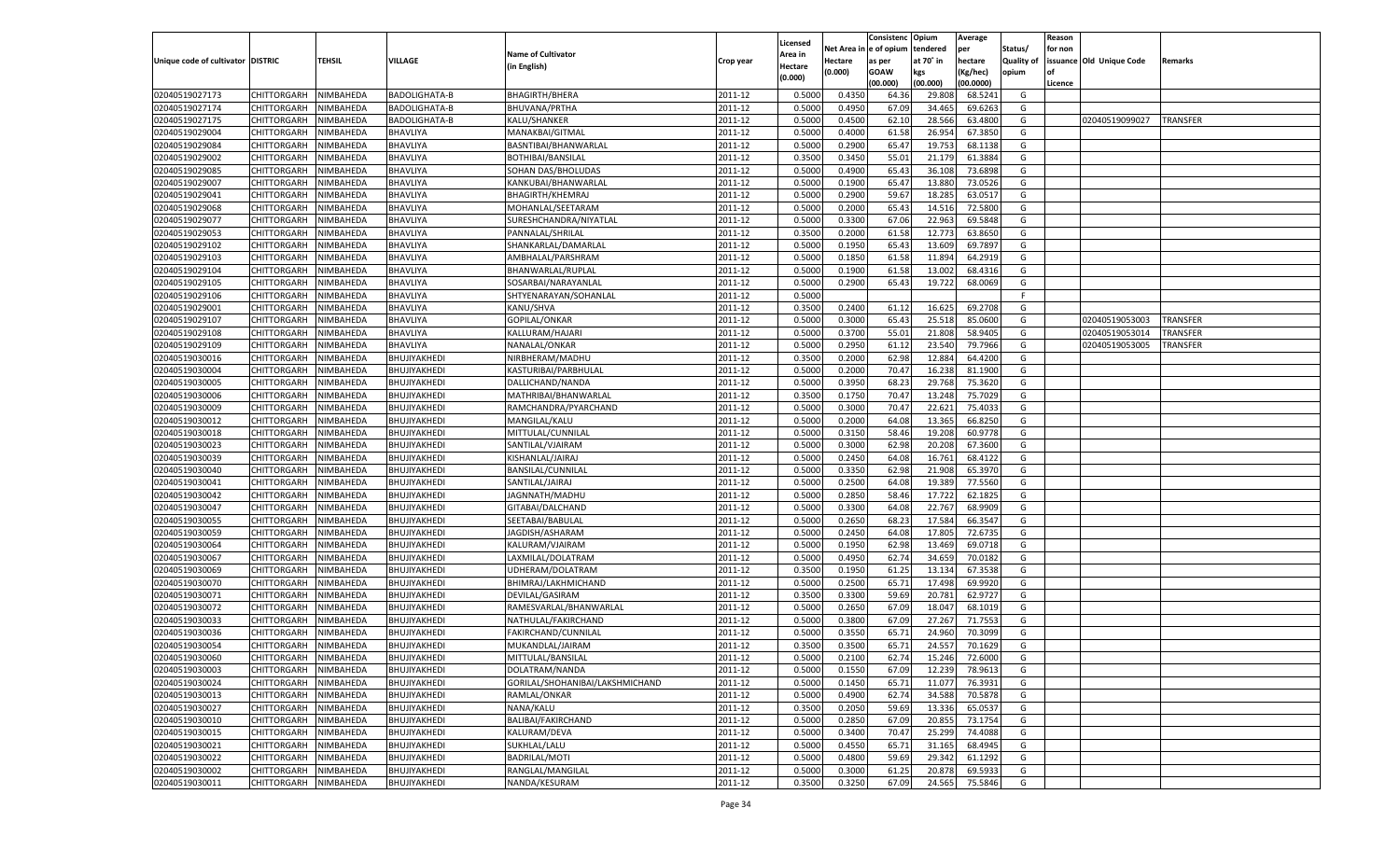| Licensed<br>Net Area i<br>l e of opium<br>tendered<br>per<br>Status/<br>for non<br><b>Name of Cultivator</b><br>Area in<br>at 70° in<br><b>Quality of</b><br>issuance Old Unique Code<br>Unique code of cultivator DISTRIC<br>TEHSIL<br>VILLAGE<br>Crop year<br>Hectare<br>as per<br>hectare<br>Remarks<br>(in English)<br>Hectare<br>(0.000)<br><b>GOAW</b><br>kgs<br>(Kg/hec)<br>opium<br>nf<br>(0.000)<br>(00.000)<br>(00.000)<br>(00.0000)<br>Licence<br>68.5241<br>02040519027173<br>CHITTORGARH<br>NIMBAHEDA<br><b>BADOLIGHATA-B</b><br><b>BHAGIRTH/BHERA</b><br>2011-12<br>0.5000<br>0.4350<br>64.36<br>29.80<br>G<br>02040519027174<br>67.09<br>34.465<br>CHITTORGARH<br>NIMBAHEDA<br><b>BADOLIGHATA-B</b><br>BHUVANA/PRTHA<br>2011-12<br>0.5000<br>0.4950<br>69.6263<br>G<br>02040519027175<br>CHITTORGARH<br>2011-12<br>0.5000<br>0.4500<br>62.10<br>28.566<br>63.4800<br>NIMBAHEDA<br><b>BADOLIGHATA-B</b><br>KALU/SHANKER<br>G<br>02040519099027<br>TRANSFER<br>02040519029004<br>0.4000<br>26.954<br>67.3850<br>CHITTORGARH<br>NIMBAHEDA<br>BHAVLIYA<br>MANAKBAI/GITMAL<br>2011-12<br>0.5000<br>61.58<br>G<br>02040519029084<br><b>BHAVLIYA</b><br>2011-12<br>0.5000<br>0.2900<br>65.47<br>68.1138<br>CHITTORGARH<br>NIMBAHEDA<br>BASNTIBAI/BHANWARLAL<br>19.753<br>G<br>02040519029002<br>2011-12<br>55.01<br>21.179<br>61.3884<br>CHITTORGARH<br>NIMBAHEDA<br>BHAVLIYA<br>BOTHIBAI/BANSILAL<br>0.3500<br>0.3450<br>G<br>02040519029085<br>BHAVLIYA<br>2011-12<br>0.5000<br>0.4900<br>65.43<br>36.108<br>73.6898<br>CHITTORGARH<br>NIMBAHEDA<br>SOHAN DAS/BHOLUDAS<br>G<br>02040519029007<br>0.5000<br>0.1900<br>65.47<br>13.880<br>CHITTORGARH<br>NIMBAHEDA<br>BHAVLIYA<br>KANKUBAI/BHANWARLAL<br>2011-12<br>73.0526<br>G<br>02040519029041<br>BHAVLIYA<br>2011-12<br>0.5000<br>0.2900<br>59.67<br>18.285<br>CHITTORGARH<br>NIMBAHEDA<br><b>BHAGIRTH/KHEMRAJ</b><br>63.0517<br>G<br>02040519029068<br>2011-12<br>65.43<br>14.516<br>72.5800<br>CHITTORGARH<br>NIMBAHEDA<br>BHAVLIYA<br>MOHANLAL/SEETARAM<br>0.5000<br>0.2000<br>G<br>02040519029077<br>BHAVLIYA<br>2011-12<br>0.5000<br>0.3300<br>67.06<br>22.963<br>69.5848<br>CHITTORGARH<br>NIMBAHEDA<br>SURESHCHANDRA/NIYATLAL<br>G<br>02040519029053<br>0.2000<br>61.58<br>12.773<br>63.8650<br>CHITTORGARH<br>NIMBAHEDA<br>BHAVLIYA<br>PANNALAL/SHRILAL<br>2011-12<br>0.3500<br>G<br>02040519029102<br>BHAVLIYA<br>2011-12<br>0.5000<br>0.1950<br>65.43<br>13.609<br>CHITTORGARH<br>NIMBAHEDA<br>SHANKARLAL/DAMARLAL<br>69.7897<br>G<br>02040519029103<br>CHITTORGARH<br>BHAVLIYA<br>2011-12<br>0.5000<br>0.1850<br>61.58<br>11.894<br>64.2919<br>G<br>NIMBAHEDA<br>AMBHALAL/PARSHRAM<br>02040519029104<br>CHITTORGARH<br>NIMBAHEDA<br>BHAVLIYA<br>2011-12<br>0.5000<br>0.1900<br>61.58<br>13.002<br>68.4316<br>G<br>BHANWARLAL/RUPLAL<br>02040519029105<br>CHITTORGARH<br>BHAVLIYA<br>2011-12<br>0.5000<br>0.2900<br>65.43<br>19.722<br>68.0069<br>G<br>NIMBAHEDA<br>SOSARBAI/NARAYANLAL<br>02040519029106<br>CHITTORGARH<br>BHAVLIYA<br>2011-12<br>0.5000<br>F.<br>NIMBAHEDA<br>SHTYENARAYAN/SOHANLAL<br>02040519029001<br>CHITTORGARH<br>BHAVLIYA<br>2011-12<br>0.3500<br>0.2400<br>61.12<br>16.625<br>69.2708<br>G<br>NIMBAHEDA<br>KANU/SHVA<br>02040519029107<br>CHITTORGARH<br>NIMBAHEDA<br>BHAVLIYA<br>GOPILAL/ONKAR<br>2011-12<br>0.5000<br>0.3000<br>65.43<br>25.518<br>85.0600<br>G<br>02040519053003<br><b>TRANSFER</b><br>02040519029108<br>CHITTORGARH<br>BHAVLIYA<br>KALLURAM/HAJARI<br>2011-12<br>0.5000<br>0.3700<br>55.01<br>21.808<br>58.9405<br>G<br>02040519053014<br>TRANSFER<br>NIMBAHEDA<br>02040519029109<br>CHITTORGARH<br>BHAVLIYA<br>2011-12<br>0.5000<br>0.2950<br>61.12<br>23.540<br>79.7966<br>G<br>02040519053005<br>TRANSFER<br>NIMBAHEDA<br>NANALAL/ONKAR<br>02040519030016<br>CHITTORGARH<br>BHUJIYAKHEDI<br>NIRBHERAM/MADHU<br>2011-12<br>0.3500<br>0.2000<br>62.98<br>12.884<br>64.4200<br>G<br>NIMBAHEDA<br>02040519030004<br>CHITTORGARH<br>NIMBAHEDA<br>2011-12<br>0.5000<br>0.2000<br>70.47<br>16.238<br>81.1900<br>G<br>BHUJIYAKHEDI<br>KASTURIBAI/PARBHULAL<br>02040519030005<br>CHITTORGARH<br>DALLICHAND/NANDA<br>2011-12<br>0.5000<br>0.3950<br>68.23<br>29.768<br>75.3620<br>G<br>NIMBAHEDA<br>BHUJIYAKHEDI<br>02040519030006<br>CHITTORGARH<br>2011-12<br>0.3500<br>0.1750<br>70.47<br>13.248<br>75.7029<br>G<br>NIMBAHEDA<br>BHUJIYAKHEDI<br>MATHRIBAI/BHANWARLAL<br>02040519030009<br>CHITTORGARH<br>BHUJIYAKHEDI<br>2011-12<br>0.5000<br>0.3000<br>70.4<br>22.621<br>75.403<br>G<br>NIMBAHEDA<br>RAMCHANDRA/PYARCHAND<br>02040519030012<br>CHITTORGARH<br>NIMBAHEDA<br>MANGILAL/KALU<br>2011-12<br>0.5000<br>0.2000<br>64.08<br>13.365<br>66.8250<br>G<br>BHUJIYAKHEDI<br>02040519030018<br>CHITTORGARH<br>2011-12<br>0.5000<br>0.3150<br>58.46<br>19.208<br>60.9778<br>G<br>NIMBAHEDA<br>BHUJIYAKHEDI<br>MITTULAL/CUNNILAL<br>02040519030023<br>CHITTORGARH<br>2011-12<br>0.5000<br>0.3000<br>62.98<br>20.208<br>67.3600<br>G<br>NIMBAHEDA<br>BHUJIYAKHEDI<br>SANTILAL/VJAIRAM<br>02040519030039<br>CHITTORGARH<br>KISHANLAL/JAIRAJ<br>2011-12<br>0.5000<br>0.2450<br>64.08<br>16.761<br>68.4122<br>G<br>NIMBAHEDA<br>BHUJIYAKHEDI<br>02040519030040<br>CHITTORGARH<br>NIMBAHEDA<br>2011-12<br>0.5000<br>0.3350<br>62.98<br>21.908<br>65.3970<br>G<br>BHUJIYAKHEDI<br>BANSILAL/CUNNILAL<br>02040519030041<br>2011-12<br>0.5000<br>0.2500<br>64.08<br>19.389<br>77.5560<br>G<br>CHITTORGARH<br>NIMBAHEDA<br>BHUJIYAKHEDI<br>SANTILAL/JAIRAJ<br>02040519030042<br>CHITTORGARH<br>2011-12<br>0.5000<br>0.2850<br>58.46<br>17.722<br>62.1825<br>G<br>NIMBAHEDA<br>BHUJIYAKHEDI<br>JAGNNATH/MADHU<br>02040519030047<br>2011-12<br>0.5000<br>0.3300<br>64.08<br>22.767<br>68.9909<br>G<br>CHITTORGARH<br>NIMBAHEDA<br>BHUJIYAKHEDI<br>GITABAI/DALCHAND<br>02040519030055<br>CHITTORGARH<br>NIMBAHEDA<br>SEETABAI/BABULAL<br>2011-12<br>0.5000<br>0.2650<br>68.23<br>17.584<br>66.3547<br>G<br>BHUJIYAKHEDI<br>02040519030059<br>2011-12<br>0.5000<br>0.2450<br>64.08<br>17.805<br>72.6735<br>G<br>CHITTORGARH<br>NIMBAHEDA<br>BHUJIYAKHEDI<br>JAGDISH/ASHARAM<br>02040519030064<br>CHITTORGARH<br>2011-12<br>0.5000<br>0.1950<br>62.98<br>13.469<br>69.0718<br>G<br>NIMBAHEDA<br>BHUJIYAKHEDI<br>KALURAM/VJAIRAM<br>02040519030067<br>2011-12<br>0.5000<br>0.4950<br>62.74<br>34.659<br>70.018<br>G<br>CHITTORGARH<br>NIMBAHEDA<br>BHUJIYAKHEDI<br>LAXMILAL/DOLATRAM<br>02040519030069<br>CHITTORGARH<br>NIMBAHEDA<br>2011-12<br>0.3500<br>0.1950<br>61.25<br>13.134<br>67.3538<br>G<br>BHUJIYAKHEDI<br>UDHERAM/DOLATRAM<br>02040519030070<br>2011-12<br>0.5000<br>0.2500<br>65.71<br>17.498<br>69.9920<br>G<br>CHITTORGARH<br>NIMBAHEDA<br>BHUJIYAKHEDI<br>BHIMRAJ/LAKHMICHAND<br>02040519030071<br>CHITTORGARH<br>2011-12<br>0.3500<br>0.3300<br>59.69<br>20.781<br>62.9727<br>G<br>NIMBAHEDA<br>BHUJIYAKHEDI<br>DEVILAL/GASIRAM<br>02040519030072<br>RAMESVARLAL/BHANWARLAL<br>2011-12<br>0.2650<br>67.09<br>18.047<br>G<br>CHITTORGARH<br>NIMBAHEDA<br>BHUJIYAKHEDI<br>0.5000<br>68.1019<br>02040519030033<br>CHITTORGARH<br>2011-12<br>0.5000<br>0.3800<br>67.09<br>27.267<br>71.7553<br>G<br>NIMBAHEDA<br>BHUJIYAKHEDI<br>NATHULAL/FAKIRCHAND<br>02040519030036<br>2011-12<br>0.3550<br>65.7<br>24.960<br>70.3099<br>CHITTORGARH<br>NIMBAHEDA<br>BHUJIYAKHEDI<br>FAKIRCHAND/CUNNILAL<br>0.5000<br>G<br>02040519030054<br>2011-12<br>0.3500<br>0.3500<br>65.71<br>24.557<br>70.1629<br>G<br>CHITTORGARH<br>NIMBAHEDA<br>BHUJIYAKHEDI<br>MUKANDLAL/JAIRAM<br>2011-12<br>0.2100<br>72.6000<br>G<br>0.5000<br>62.74<br>15.246<br>CHITTORGARH<br>NIMBAHEDA<br>BHUJIYAKHEDI<br>MITTULAL/BANSILAL<br>CHITTORGARH<br>NIMBAHEDA<br>BHUJIYAKHEDI<br>DOLATRAM/NANDA<br>2011-12<br>0.5000<br>0.1550<br>67.09<br>12.239<br>78.9613<br>G<br>CHITTORGARH<br>NIMBAHEDA<br>BHUJIYAKHEDI<br>GORILAL/SHOHANIBAI/LAKSHMICHAND<br>2011-12<br>0.5000<br>0.1450<br>65.71<br>11.077<br>76.3931<br>G<br>02040519030013<br>CHITTORGARH<br>NIMBAHEDA<br>BHUJIYAKHEDI<br>RAMLAL/ONKAR<br>2011-12<br>0.5000<br>0.4900<br>62.74<br>34.588<br>70.5878<br>G<br>CHITTORGARH<br>NIMBAHEDA<br>BHUJIYAKHEDI<br>NANA/KALU<br>2011-12<br>0.3500<br>0.2050<br>59.69<br>13.336<br>65.0537<br>G<br>02040519030010<br>CHITTORGARH<br>NIMBAHEDA<br>BHUJIYAKHEDI<br>BALIBAI/FAKIRCHAND<br>2011-12<br>0.5000<br>0.2850<br>67.09<br>20.855<br>73.1754<br>G<br>CHITTORGARH<br>NIMBAHEDA<br>BHUJIYAKHEDI<br>KALURAM/DEVA<br>2011-12<br>0.5000<br>0.3400<br>70.47<br>25.299<br>74.4088<br>G<br>02040519030021<br>CHITTORGARH<br>NIMBAHEDA<br>BHUJIYAKHEDI<br>SUKHLAL/LALU<br>2011-12<br>0.5000<br>0.4550<br>65.71<br>31.165<br>68.4945<br>G<br>02040519030022<br>CHITTORGARH<br>NIMBAHEDA<br>BHUJIYAKHEDI<br><b>BADRILAL/MOTI</b><br>2011-12<br>0.5000<br>0.4800<br>59.69<br>29.342<br>61.1292<br>G<br>02040519030002<br>CHITTORGARH<br>NIMBAHEDA<br>BHUJIYAKHEDI<br>RANGLAL/MANGILAL<br>2011-12<br>0.5000<br>0.3000<br>61.25<br>20.878<br>69.5933<br>G<br>CHITTORGARH<br>NIMBAHEDA<br>BHUJIYAKHEDI<br>NANDA/KESURAM<br>2011-12<br>0.3500<br>0.3250<br>67.09<br>24.565<br>75.5846<br>G |                |  |  |  | Consistenc Opium | Average | Reason |  |
|---------------------------------------------------------------------------------------------------------------------------------------------------------------------------------------------------------------------------------------------------------------------------------------------------------------------------------------------------------------------------------------------------------------------------------------------------------------------------------------------------------------------------------------------------------------------------------------------------------------------------------------------------------------------------------------------------------------------------------------------------------------------------------------------------------------------------------------------------------------------------------------------------------------------------------------------------------------------------------------------------------------------------------------------------------------------------------------------------------------------------------------------------------------------------------------------------------------------------------------------------------------------------------------------------------------------------------------------------------------------------------------------------------------------------------------------------------------------------------------------------------------------------------------------------------------------------------------------------------------------------------------------------------------------------------------------------------------------------------------------------------------------------------------------------------------------------------------------------------------------------------------------------------------------------------------------------------------------------------------------------------------------------------------------------------------------------------------------------------------------------------------------------------------------------------------------------------------------------------------------------------------------------------------------------------------------------------------------------------------------------------------------------------------------------------------------------------------------------------------------------------------------------------------------------------------------------------------------------------------------------------------------------------------------------------------------------------------------------------------------------------------------------------------------------------------------------------------------------------------------------------------------------------------------------------------------------------------------------------------------------------------------------------------------------------------------------------------------------------------------------------------------------------------------------------------------------------------------------------------------------------------------------------------------------------------------------------------------------------------------------------------------------------------------------------------------------------------------------------------------------------------------------------------------------------------------------------------------------------------------------------------------------------------------------------------------------------------------------------------------------------------------------------------------------------------------------------------------------------------------------------------------------------------------------------------------------------------------------------------------------------------------------------------------------------------------------------------------------------------------------------------------------------------------------------------------------------------------------------------------------------------------------------------------------------------------------------------------------------------------------------------------------------------------------------------------------------------------------------------------------------------------------------------------------------------------------------------------------------------------------------------------------------------------------------------------------------------------------------------------------------------------------------------------------------------------------------------------------------------------------------------------------------------------------------------------------------------------------------------------------------------------------------------------------------------------------------------------------------------------------------------------------------------------------------------------------------------------------------------------------------------------------------------------------------------------------------------------------------------------------------------------------------------------------------------------------------------------------------------------------------------------------------------------------------------------------------------------------------------------------------------------------------------------------------------------------------------------------------------------------------------------------------------------------------------------------------------------------------------------------------------------------------------------------------------------------------------------------------------------------------------------------------------------------------------------------------------------------------------------------------------------------------------------------------------------------------------------------------------------------------------------------------------------------------------------------------------------------------------------------------------------------------------------------------------------------------------------------------------------------------------------------------------------------------------------------------------------------------------------------------------------------------------------------------------------------------------------------------------------------------------------------------------------------------------------------------------------------------------------------------------------------------------------------------------------------------------------------------------------------------------------------------------------------------------------------------------------------------------------------------------------------------------------------------------------------------------------------------------------------------------------------------------------------------------------------------------------------------------------------------------------------------------------------------------------------------------------------------------------------------------------------------------------------------------------------------------------------------------------------------------------------------------------------------------------------------------------------------------------------------------------------------------------------------------------------------------------------------------------------------------------------------------------------------------------------------------------------------------------------------------------------------------------------------------------------------------------------------------------------------------------------------------------------------------------------------------------------------------------------------------------------------------------------------------------------------------------------------------------------------------------------------------------------------------------------------------------------------------------------------------------------------------------------------------------------------------------------------------------------------------------------------------------------------------------------------------------------------------------------------------------------------------------------------------------------------------------------------------------------------------------------------------------------------------------------------------------------------------------------------------------------------------------------------------|----------------|--|--|--|------------------|---------|--------|--|
|                                                                                                                                                                                                                                                                                                                                                                                                                                                                                                                                                                                                                                                                                                                                                                                                                                                                                                                                                                                                                                                                                                                                                                                                                                                                                                                                                                                                                                                                                                                                                                                                                                                                                                                                                                                                                                                                                                                                                                                                                                                                                                                                                                                                                                                                                                                                                                                                                                                                                                                                                                                                                                                                                                                                                                                                                                                                                                                                                                                                                                                                                                                                                                                                                                                                                                                                                                                                                                                                                                                                                                                                                                                                                                                                                                                                                                                                                                                                                                                                                                                                                                                                                                                                                                                                                                                                                                                                                                                                                                                                                                                                                                                                                                                                                                                                                                                                                                                                                                                                                                                                                                                                                                                                                                                                                                                                                                                                                                                                                                                                                                                                                                                                                                                                                                                                                                                                                                                                                                                                                                                                                                                                                                                                                                                                                                                                                                                                                                                                                                                                                                                                                                                                                                                                                                                                                                                                                                                                                                                                                                                                                                                                                                                                                                                                                                                                                                                                                                                                                                                                                                                                                                                                                                                                                                                                                                                                                                                                                                                                                                                                                                                                                                                                                                                                                                                                                                                                                                                                                                                                                                                                                                                                                                                                                                                                                                                                                                                                                                                                                                                               |                |  |  |  |                  |         |        |  |
|                                                                                                                                                                                                                                                                                                                                                                                                                                                                                                                                                                                                                                                                                                                                                                                                                                                                                                                                                                                                                                                                                                                                                                                                                                                                                                                                                                                                                                                                                                                                                                                                                                                                                                                                                                                                                                                                                                                                                                                                                                                                                                                                                                                                                                                                                                                                                                                                                                                                                                                                                                                                                                                                                                                                                                                                                                                                                                                                                                                                                                                                                                                                                                                                                                                                                                                                                                                                                                                                                                                                                                                                                                                                                                                                                                                                                                                                                                                                                                                                                                                                                                                                                                                                                                                                                                                                                                                                                                                                                                                                                                                                                                                                                                                                                                                                                                                                                                                                                                                                                                                                                                                                                                                                                                                                                                                                                                                                                                                                                                                                                                                                                                                                                                                                                                                                                                                                                                                                                                                                                                                                                                                                                                                                                                                                                                                                                                                                                                                                                                                                                                                                                                                                                                                                                                                                                                                                                                                                                                                                                                                                                                                                                                                                                                                                                                                                                                                                                                                                                                                                                                                                                                                                                                                                                                                                                                                                                                                                                                                                                                                                                                                                                                                                                                                                                                                                                                                                                                                                                                                                                                                                                                                                                                                                                                                                                                                                                                                                                                                                                                                               |                |  |  |  |                  |         |        |  |
|                                                                                                                                                                                                                                                                                                                                                                                                                                                                                                                                                                                                                                                                                                                                                                                                                                                                                                                                                                                                                                                                                                                                                                                                                                                                                                                                                                                                                                                                                                                                                                                                                                                                                                                                                                                                                                                                                                                                                                                                                                                                                                                                                                                                                                                                                                                                                                                                                                                                                                                                                                                                                                                                                                                                                                                                                                                                                                                                                                                                                                                                                                                                                                                                                                                                                                                                                                                                                                                                                                                                                                                                                                                                                                                                                                                                                                                                                                                                                                                                                                                                                                                                                                                                                                                                                                                                                                                                                                                                                                                                                                                                                                                                                                                                                                                                                                                                                                                                                                                                                                                                                                                                                                                                                                                                                                                                                                                                                                                                                                                                                                                                                                                                                                                                                                                                                                                                                                                                                                                                                                                                                                                                                                                                                                                                                                                                                                                                                                                                                                                                                                                                                                                                                                                                                                                                                                                                                                                                                                                                                                                                                                                                                                                                                                                                                                                                                                                                                                                                                                                                                                                                                                                                                                                                                                                                                                                                                                                                                                                                                                                                                                                                                                                                                                                                                                                                                                                                                                                                                                                                                                                                                                                                                                                                                                                                                                                                                                                                                                                                                                                               |                |  |  |  |                  |         |        |  |
|                                                                                                                                                                                                                                                                                                                                                                                                                                                                                                                                                                                                                                                                                                                                                                                                                                                                                                                                                                                                                                                                                                                                                                                                                                                                                                                                                                                                                                                                                                                                                                                                                                                                                                                                                                                                                                                                                                                                                                                                                                                                                                                                                                                                                                                                                                                                                                                                                                                                                                                                                                                                                                                                                                                                                                                                                                                                                                                                                                                                                                                                                                                                                                                                                                                                                                                                                                                                                                                                                                                                                                                                                                                                                                                                                                                                                                                                                                                                                                                                                                                                                                                                                                                                                                                                                                                                                                                                                                                                                                                                                                                                                                                                                                                                                                                                                                                                                                                                                                                                                                                                                                                                                                                                                                                                                                                                                                                                                                                                                                                                                                                                                                                                                                                                                                                                                                                                                                                                                                                                                                                                                                                                                                                                                                                                                                                                                                                                                                                                                                                                                                                                                                                                                                                                                                                                                                                                                                                                                                                                                                                                                                                                                                                                                                                                                                                                                                                                                                                                                                                                                                                                                                                                                                                                                                                                                                                                                                                                                                                                                                                                                                                                                                                                                                                                                                                                                                                                                                                                                                                                                                                                                                                                                                                                                                                                                                                                                                                                                                                                                                                               |                |  |  |  |                  |         |        |  |
|                                                                                                                                                                                                                                                                                                                                                                                                                                                                                                                                                                                                                                                                                                                                                                                                                                                                                                                                                                                                                                                                                                                                                                                                                                                                                                                                                                                                                                                                                                                                                                                                                                                                                                                                                                                                                                                                                                                                                                                                                                                                                                                                                                                                                                                                                                                                                                                                                                                                                                                                                                                                                                                                                                                                                                                                                                                                                                                                                                                                                                                                                                                                                                                                                                                                                                                                                                                                                                                                                                                                                                                                                                                                                                                                                                                                                                                                                                                                                                                                                                                                                                                                                                                                                                                                                                                                                                                                                                                                                                                                                                                                                                                                                                                                                                                                                                                                                                                                                                                                                                                                                                                                                                                                                                                                                                                                                                                                                                                                                                                                                                                                                                                                                                                                                                                                                                                                                                                                                                                                                                                                                                                                                                                                                                                                                                                                                                                                                                                                                                                                                                                                                                                                                                                                                                                                                                                                                                                                                                                                                                                                                                                                                                                                                                                                                                                                                                                                                                                                                                                                                                                                                                                                                                                                                                                                                                                                                                                                                                                                                                                                                                                                                                                                                                                                                                                                                                                                                                                                                                                                                                                                                                                                                                                                                                                                                                                                                                                                                                                                                                                               |                |  |  |  |                  |         |        |  |
|                                                                                                                                                                                                                                                                                                                                                                                                                                                                                                                                                                                                                                                                                                                                                                                                                                                                                                                                                                                                                                                                                                                                                                                                                                                                                                                                                                                                                                                                                                                                                                                                                                                                                                                                                                                                                                                                                                                                                                                                                                                                                                                                                                                                                                                                                                                                                                                                                                                                                                                                                                                                                                                                                                                                                                                                                                                                                                                                                                                                                                                                                                                                                                                                                                                                                                                                                                                                                                                                                                                                                                                                                                                                                                                                                                                                                                                                                                                                                                                                                                                                                                                                                                                                                                                                                                                                                                                                                                                                                                                                                                                                                                                                                                                                                                                                                                                                                                                                                                                                                                                                                                                                                                                                                                                                                                                                                                                                                                                                                                                                                                                                                                                                                                                                                                                                                                                                                                                                                                                                                                                                                                                                                                                                                                                                                                                                                                                                                                                                                                                                                                                                                                                                                                                                                                                                                                                                                                                                                                                                                                                                                                                                                                                                                                                                                                                                                                                                                                                                                                                                                                                                                                                                                                                                                                                                                                                                                                                                                                                                                                                                                                                                                                                                                                                                                                                                                                                                                                                                                                                                                                                                                                                                                                                                                                                                                                                                                                                                                                                                                                                               |                |  |  |  |                  |         |        |  |
|                                                                                                                                                                                                                                                                                                                                                                                                                                                                                                                                                                                                                                                                                                                                                                                                                                                                                                                                                                                                                                                                                                                                                                                                                                                                                                                                                                                                                                                                                                                                                                                                                                                                                                                                                                                                                                                                                                                                                                                                                                                                                                                                                                                                                                                                                                                                                                                                                                                                                                                                                                                                                                                                                                                                                                                                                                                                                                                                                                                                                                                                                                                                                                                                                                                                                                                                                                                                                                                                                                                                                                                                                                                                                                                                                                                                                                                                                                                                                                                                                                                                                                                                                                                                                                                                                                                                                                                                                                                                                                                                                                                                                                                                                                                                                                                                                                                                                                                                                                                                                                                                                                                                                                                                                                                                                                                                                                                                                                                                                                                                                                                                                                                                                                                                                                                                                                                                                                                                                                                                                                                                                                                                                                                                                                                                                                                                                                                                                                                                                                                                                                                                                                                                                                                                                                                                                                                                                                                                                                                                                                                                                                                                                                                                                                                                                                                                                                                                                                                                                                                                                                                                                                                                                                                                                                                                                                                                                                                                                                                                                                                                                                                                                                                                                                                                                                                                                                                                                                                                                                                                                                                                                                                                                                                                                                                                                                                                                                                                                                                                                                                               |                |  |  |  |                  |         |        |  |
|                                                                                                                                                                                                                                                                                                                                                                                                                                                                                                                                                                                                                                                                                                                                                                                                                                                                                                                                                                                                                                                                                                                                                                                                                                                                                                                                                                                                                                                                                                                                                                                                                                                                                                                                                                                                                                                                                                                                                                                                                                                                                                                                                                                                                                                                                                                                                                                                                                                                                                                                                                                                                                                                                                                                                                                                                                                                                                                                                                                                                                                                                                                                                                                                                                                                                                                                                                                                                                                                                                                                                                                                                                                                                                                                                                                                                                                                                                                                                                                                                                                                                                                                                                                                                                                                                                                                                                                                                                                                                                                                                                                                                                                                                                                                                                                                                                                                                                                                                                                                                                                                                                                                                                                                                                                                                                                                                                                                                                                                                                                                                                                                                                                                                                                                                                                                                                                                                                                                                                                                                                                                                                                                                                                                                                                                                                                                                                                                                                                                                                                                                                                                                                                                                                                                                                                                                                                                                                                                                                                                                                                                                                                                                                                                                                                                                                                                                                                                                                                                                                                                                                                                                                                                                                                                                                                                                                                                                                                                                                                                                                                                                                                                                                                                                                                                                                                                                                                                                                                                                                                                                                                                                                                                                                                                                                                                                                                                                                                                                                                                                                                               |                |  |  |  |                  |         |        |  |
|                                                                                                                                                                                                                                                                                                                                                                                                                                                                                                                                                                                                                                                                                                                                                                                                                                                                                                                                                                                                                                                                                                                                                                                                                                                                                                                                                                                                                                                                                                                                                                                                                                                                                                                                                                                                                                                                                                                                                                                                                                                                                                                                                                                                                                                                                                                                                                                                                                                                                                                                                                                                                                                                                                                                                                                                                                                                                                                                                                                                                                                                                                                                                                                                                                                                                                                                                                                                                                                                                                                                                                                                                                                                                                                                                                                                                                                                                                                                                                                                                                                                                                                                                                                                                                                                                                                                                                                                                                                                                                                                                                                                                                                                                                                                                                                                                                                                                                                                                                                                                                                                                                                                                                                                                                                                                                                                                                                                                                                                                                                                                                                                                                                                                                                                                                                                                                                                                                                                                                                                                                                                                                                                                                                                                                                                                                                                                                                                                                                                                                                                                                                                                                                                                                                                                                                                                                                                                                                                                                                                                                                                                                                                                                                                                                                                                                                                                                                                                                                                                                                                                                                                                                                                                                                                                                                                                                                                                                                                                                                                                                                                                                                                                                                                                                                                                                                                                                                                                                                                                                                                                                                                                                                                                                                                                                                                                                                                                                                                                                                                                                                               |                |  |  |  |                  |         |        |  |
|                                                                                                                                                                                                                                                                                                                                                                                                                                                                                                                                                                                                                                                                                                                                                                                                                                                                                                                                                                                                                                                                                                                                                                                                                                                                                                                                                                                                                                                                                                                                                                                                                                                                                                                                                                                                                                                                                                                                                                                                                                                                                                                                                                                                                                                                                                                                                                                                                                                                                                                                                                                                                                                                                                                                                                                                                                                                                                                                                                                                                                                                                                                                                                                                                                                                                                                                                                                                                                                                                                                                                                                                                                                                                                                                                                                                                                                                                                                                                                                                                                                                                                                                                                                                                                                                                                                                                                                                                                                                                                                                                                                                                                                                                                                                                                                                                                                                                                                                                                                                                                                                                                                                                                                                                                                                                                                                                                                                                                                                                                                                                                                                                                                                                                                                                                                                                                                                                                                                                                                                                                                                                                                                                                                                                                                                                                                                                                                                                                                                                                                                                                                                                                                                                                                                                                                                                                                                                                                                                                                                                                                                                                                                                                                                                                                                                                                                                                                                                                                                                                                                                                                                                                                                                                                                                                                                                                                                                                                                                                                                                                                                                                                                                                                                                                                                                                                                                                                                                                                                                                                                                                                                                                                                                                                                                                                                                                                                                                                                                                                                                                                               |                |  |  |  |                  |         |        |  |
|                                                                                                                                                                                                                                                                                                                                                                                                                                                                                                                                                                                                                                                                                                                                                                                                                                                                                                                                                                                                                                                                                                                                                                                                                                                                                                                                                                                                                                                                                                                                                                                                                                                                                                                                                                                                                                                                                                                                                                                                                                                                                                                                                                                                                                                                                                                                                                                                                                                                                                                                                                                                                                                                                                                                                                                                                                                                                                                                                                                                                                                                                                                                                                                                                                                                                                                                                                                                                                                                                                                                                                                                                                                                                                                                                                                                                                                                                                                                                                                                                                                                                                                                                                                                                                                                                                                                                                                                                                                                                                                                                                                                                                                                                                                                                                                                                                                                                                                                                                                                                                                                                                                                                                                                                                                                                                                                                                                                                                                                                                                                                                                                                                                                                                                                                                                                                                                                                                                                                                                                                                                                                                                                                                                                                                                                                                                                                                                                                                                                                                                                                                                                                                                                                                                                                                                                                                                                                                                                                                                                                                                                                                                                                                                                                                                                                                                                                                                                                                                                                                                                                                                                                                                                                                                                                                                                                                                                                                                                                                                                                                                                                                                                                                                                                                                                                                                                                                                                                                                                                                                                                                                                                                                                                                                                                                                                                                                                                                                                                                                                                                                               |                |  |  |  |                  |         |        |  |
|                                                                                                                                                                                                                                                                                                                                                                                                                                                                                                                                                                                                                                                                                                                                                                                                                                                                                                                                                                                                                                                                                                                                                                                                                                                                                                                                                                                                                                                                                                                                                                                                                                                                                                                                                                                                                                                                                                                                                                                                                                                                                                                                                                                                                                                                                                                                                                                                                                                                                                                                                                                                                                                                                                                                                                                                                                                                                                                                                                                                                                                                                                                                                                                                                                                                                                                                                                                                                                                                                                                                                                                                                                                                                                                                                                                                                                                                                                                                                                                                                                                                                                                                                                                                                                                                                                                                                                                                                                                                                                                                                                                                                                                                                                                                                                                                                                                                                                                                                                                                                                                                                                                                                                                                                                                                                                                                                                                                                                                                                                                                                                                                                                                                                                                                                                                                                                                                                                                                                                                                                                                                                                                                                                                                                                                                                                                                                                                                                                                                                                                                                                                                                                                                                                                                                                                                                                                                                                                                                                                                                                                                                                                                                                                                                                                                                                                                                                                                                                                                                                                                                                                                                                                                                                                                                                                                                                                                                                                                                                                                                                                                                                                                                                                                                                                                                                                                                                                                                                                                                                                                                                                                                                                                                                                                                                                                                                                                                                                                                                                                                                                               |                |  |  |  |                  |         |        |  |
|                                                                                                                                                                                                                                                                                                                                                                                                                                                                                                                                                                                                                                                                                                                                                                                                                                                                                                                                                                                                                                                                                                                                                                                                                                                                                                                                                                                                                                                                                                                                                                                                                                                                                                                                                                                                                                                                                                                                                                                                                                                                                                                                                                                                                                                                                                                                                                                                                                                                                                                                                                                                                                                                                                                                                                                                                                                                                                                                                                                                                                                                                                                                                                                                                                                                                                                                                                                                                                                                                                                                                                                                                                                                                                                                                                                                                                                                                                                                                                                                                                                                                                                                                                                                                                                                                                                                                                                                                                                                                                                                                                                                                                                                                                                                                                                                                                                                                                                                                                                                                                                                                                                                                                                                                                                                                                                                                                                                                                                                                                                                                                                                                                                                                                                                                                                                                                                                                                                                                                                                                                                                                                                                                                                                                                                                                                                                                                                                                                                                                                                                                                                                                                                                                                                                                                                                                                                                                                                                                                                                                                                                                                                                                                                                                                                                                                                                                                                                                                                                                                                                                                                                                                                                                                                                                                                                                                                                                                                                                                                                                                                                                                                                                                                                                                                                                                                                                                                                                                                                                                                                                                                                                                                                                                                                                                                                                                                                                                                                                                                                                                                               |                |  |  |  |                  |         |        |  |
|                                                                                                                                                                                                                                                                                                                                                                                                                                                                                                                                                                                                                                                                                                                                                                                                                                                                                                                                                                                                                                                                                                                                                                                                                                                                                                                                                                                                                                                                                                                                                                                                                                                                                                                                                                                                                                                                                                                                                                                                                                                                                                                                                                                                                                                                                                                                                                                                                                                                                                                                                                                                                                                                                                                                                                                                                                                                                                                                                                                                                                                                                                                                                                                                                                                                                                                                                                                                                                                                                                                                                                                                                                                                                                                                                                                                                                                                                                                                                                                                                                                                                                                                                                                                                                                                                                                                                                                                                                                                                                                                                                                                                                                                                                                                                                                                                                                                                                                                                                                                                                                                                                                                                                                                                                                                                                                                                                                                                                                                                                                                                                                                                                                                                                                                                                                                                                                                                                                                                                                                                                                                                                                                                                                                                                                                                                                                                                                                                                                                                                                                                                                                                                                                                                                                                                                                                                                                                                                                                                                                                                                                                                                                                                                                                                                                                                                                                                                                                                                                                                                                                                                                                                                                                                                                                                                                                                                                                                                                                                                                                                                                                                                                                                                                                                                                                                                                                                                                                                                                                                                                                                                                                                                                                                                                                                                                                                                                                                                                                                                                                                                               |                |  |  |  |                  |         |        |  |
|                                                                                                                                                                                                                                                                                                                                                                                                                                                                                                                                                                                                                                                                                                                                                                                                                                                                                                                                                                                                                                                                                                                                                                                                                                                                                                                                                                                                                                                                                                                                                                                                                                                                                                                                                                                                                                                                                                                                                                                                                                                                                                                                                                                                                                                                                                                                                                                                                                                                                                                                                                                                                                                                                                                                                                                                                                                                                                                                                                                                                                                                                                                                                                                                                                                                                                                                                                                                                                                                                                                                                                                                                                                                                                                                                                                                                                                                                                                                                                                                                                                                                                                                                                                                                                                                                                                                                                                                                                                                                                                                                                                                                                                                                                                                                                                                                                                                                                                                                                                                                                                                                                                                                                                                                                                                                                                                                                                                                                                                                                                                                                                                                                                                                                                                                                                                                                                                                                                                                                                                                                                                                                                                                                                                                                                                                                                                                                                                                                                                                                                                                                                                                                                                                                                                                                                                                                                                                                                                                                                                                                                                                                                                                                                                                                                                                                                                                                                                                                                                                                                                                                                                                                                                                                                                                                                                                                                                                                                                                                                                                                                                                                                                                                                                                                                                                                                                                                                                                                                                                                                                                                                                                                                                                                                                                                                                                                                                                                                                                                                                                                                               |                |  |  |  |                  |         |        |  |
|                                                                                                                                                                                                                                                                                                                                                                                                                                                                                                                                                                                                                                                                                                                                                                                                                                                                                                                                                                                                                                                                                                                                                                                                                                                                                                                                                                                                                                                                                                                                                                                                                                                                                                                                                                                                                                                                                                                                                                                                                                                                                                                                                                                                                                                                                                                                                                                                                                                                                                                                                                                                                                                                                                                                                                                                                                                                                                                                                                                                                                                                                                                                                                                                                                                                                                                                                                                                                                                                                                                                                                                                                                                                                                                                                                                                                                                                                                                                                                                                                                                                                                                                                                                                                                                                                                                                                                                                                                                                                                                                                                                                                                                                                                                                                                                                                                                                                                                                                                                                                                                                                                                                                                                                                                                                                                                                                                                                                                                                                                                                                                                                                                                                                                                                                                                                                                                                                                                                                                                                                                                                                                                                                                                                                                                                                                                                                                                                                                                                                                                                                                                                                                                                                                                                                                                                                                                                                                                                                                                                                                                                                                                                                                                                                                                                                                                                                                                                                                                                                                                                                                                                                                                                                                                                                                                                                                                                                                                                                                                                                                                                                                                                                                                                                                                                                                                                                                                                                                                                                                                                                                                                                                                                                                                                                                                                                                                                                                                                                                                                                                                               |                |  |  |  |                  |         |        |  |
|                                                                                                                                                                                                                                                                                                                                                                                                                                                                                                                                                                                                                                                                                                                                                                                                                                                                                                                                                                                                                                                                                                                                                                                                                                                                                                                                                                                                                                                                                                                                                                                                                                                                                                                                                                                                                                                                                                                                                                                                                                                                                                                                                                                                                                                                                                                                                                                                                                                                                                                                                                                                                                                                                                                                                                                                                                                                                                                                                                                                                                                                                                                                                                                                                                                                                                                                                                                                                                                                                                                                                                                                                                                                                                                                                                                                                                                                                                                                                                                                                                                                                                                                                                                                                                                                                                                                                                                                                                                                                                                                                                                                                                                                                                                                                                                                                                                                                                                                                                                                                                                                                                                                                                                                                                                                                                                                                                                                                                                                                                                                                                                                                                                                                                                                                                                                                                                                                                                                                                                                                                                                                                                                                                                                                                                                                                                                                                                                                                                                                                                                                                                                                                                                                                                                                                                                                                                                                                                                                                                                                                                                                                                                                                                                                                                                                                                                                                                                                                                                                                                                                                                                                                                                                                                                                                                                                                                                                                                                                                                                                                                                                                                                                                                                                                                                                                                                                                                                                                                                                                                                                                                                                                                                                                                                                                                                                                                                                                                                                                                                                                                               |                |  |  |  |                  |         |        |  |
|                                                                                                                                                                                                                                                                                                                                                                                                                                                                                                                                                                                                                                                                                                                                                                                                                                                                                                                                                                                                                                                                                                                                                                                                                                                                                                                                                                                                                                                                                                                                                                                                                                                                                                                                                                                                                                                                                                                                                                                                                                                                                                                                                                                                                                                                                                                                                                                                                                                                                                                                                                                                                                                                                                                                                                                                                                                                                                                                                                                                                                                                                                                                                                                                                                                                                                                                                                                                                                                                                                                                                                                                                                                                                                                                                                                                                                                                                                                                                                                                                                                                                                                                                                                                                                                                                                                                                                                                                                                                                                                                                                                                                                                                                                                                                                                                                                                                                                                                                                                                                                                                                                                                                                                                                                                                                                                                                                                                                                                                                                                                                                                                                                                                                                                                                                                                                                                                                                                                                                                                                                                                                                                                                                                                                                                                                                                                                                                                                                                                                                                                                                                                                                                                                                                                                                                                                                                                                                                                                                                                                                                                                                                                                                                                                                                                                                                                                                                                                                                                                                                                                                                                                                                                                                                                                                                                                                                                                                                                                                                                                                                                                                                                                                                                                                                                                                                                                                                                                                                                                                                                                                                                                                                                                                                                                                                                                                                                                                                                                                                                                                                               |                |  |  |  |                  |         |        |  |
|                                                                                                                                                                                                                                                                                                                                                                                                                                                                                                                                                                                                                                                                                                                                                                                                                                                                                                                                                                                                                                                                                                                                                                                                                                                                                                                                                                                                                                                                                                                                                                                                                                                                                                                                                                                                                                                                                                                                                                                                                                                                                                                                                                                                                                                                                                                                                                                                                                                                                                                                                                                                                                                                                                                                                                                                                                                                                                                                                                                                                                                                                                                                                                                                                                                                                                                                                                                                                                                                                                                                                                                                                                                                                                                                                                                                                                                                                                                                                                                                                                                                                                                                                                                                                                                                                                                                                                                                                                                                                                                                                                                                                                                                                                                                                                                                                                                                                                                                                                                                                                                                                                                                                                                                                                                                                                                                                                                                                                                                                                                                                                                                                                                                                                                                                                                                                                                                                                                                                                                                                                                                                                                                                                                                                                                                                                                                                                                                                                                                                                                                                                                                                                                                                                                                                                                                                                                                                                                                                                                                                                                                                                                                                                                                                                                                                                                                                                                                                                                                                                                                                                                                                                                                                                                                                                                                                                                                                                                                                                                                                                                                                                                                                                                                                                                                                                                                                                                                                                                                                                                                                                                                                                                                                                                                                                                                                                                                                                                                                                                                                                                               |                |  |  |  |                  |         |        |  |
|                                                                                                                                                                                                                                                                                                                                                                                                                                                                                                                                                                                                                                                                                                                                                                                                                                                                                                                                                                                                                                                                                                                                                                                                                                                                                                                                                                                                                                                                                                                                                                                                                                                                                                                                                                                                                                                                                                                                                                                                                                                                                                                                                                                                                                                                                                                                                                                                                                                                                                                                                                                                                                                                                                                                                                                                                                                                                                                                                                                                                                                                                                                                                                                                                                                                                                                                                                                                                                                                                                                                                                                                                                                                                                                                                                                                                                                                                                                                                                                                                                                                                                                                                                                                                                                                                                                                                                                                                                                                                                                                                                                                                                                                                                                                                                                                                                                                                                                                                                                                                                                                                                                                                                                                                                                                                                                                                                                                                                                                                                                                                                                                                                                                                                                                                                                                                                                                                                                                                                                                                                                                                                                                                                                                                                                                                                                                                                                                                                                                                                                                                                                                                                                                                                                                                                                                                                                                                                                                                                                                                                                                                                                                                                                                                                                                                                                                                                                                                                                                                                                                                                                                                                                                                                                                                                                                                                                                                                                                                                                                                                                                                                                                                                                                                                                                                                                                                                                                                                                                                                                                                                                                                                                                                                                                                                                                                                                                                                                                                                                                                                                               |                |  |  |  |                  |         |        |  |
|                                                                                                                                                                                                                                                                                                                                                                                                                                                                                                                                                                                                                                                                                                                                                                                                                                                                                                                                                                                                                                                                                                                                                                                                                                                                                                                                                                                                                                                                                                                                                                                                                                                                                                                                                                                                                                                                                                                                                                                                                                                                                                                                                                                                                                                                                                                                                                                                                                                                                                                                                                                                                                                                                                                                                                                                                                                                                                                                                                                                                                                                                                                                                                                                                                                                                                                                                                                                                                                                                                                                                                                                                                                                                                                                                                                                                                                                                                                                                                                                                                                                                                                                                                                                                                                                                                                                                                                                                                                                                                                                                                                                                                                                                                                                                                                                                                                                                                                                                                                                                                                                                                                                                                                                                                                                                                                                                                                                                                                                                                                                                                                                                                                                                                                                                                                                                                                                                                                                                                                                                                                                                                                                                                                                                                                                                                                                                                                                                                                                                                                                                                                                                                                                                                                                                                                                                                                                                                                                                                                                                                                                                                                                                                                                                                                                                                                                                                                                                                                                                                                                                                                                                                                                                                                                                                                                                                                                                                                                                                                                                                                                                                                                                                                                                                                                                                                                                                                                                                                                                                                                                                                                                                                                                                                                                                                                                                                                                                                                                                                                                                                               |                |  |  |  |                  |         |        |  |
|                                                                                                                                                                                                                                                                                                                                                                                                                                                                                                                                                                                                                                                                                                                                                                                                                                                                                                                                                                                                                                                                                                                                                                                                                                                                                                                                                                                                                                                                                                                                                                                                                                                                                                                                                                                                                                                                                                                                                                                                                                                                                                                                                                                                                                                                                                                                                                                                                                                                                                                                                                                                                                                                                                                                                                                                                                                                                                                                                                                                                                                                                                                                                                                                                                                                                                                                                                                                                                                                                                                                                                                                                                                                                                                                                                                                                                                                                                                                                                                                                                                                                                                                                                                                                                                                                                                                                                                                                                                                                                                                                                                                                                                                                                                                                                                                                                                                                                                                                                                                                                                                                                                                                                                                                                                                                                                                                                                                                                                                                                                                                                                                                                                                                                                                                                                                                                                                                                                                                                                                                                                                                                                                                                                                                                                                                                                                                                                                                                                                                                                                                                                                                                                                                                                                                                                                                                                                                                                                                                                                                                                                                                                                                                                                                                                                                                                                                                                                                                                                                                                                                                                                                                                                                                                                                                                                                                                                                                                                                                                                                                                                                                                                                                                                                                                                                                                                                                                                                                                                                                                                                                                                                                                                                                                                                                                                                                                                                                                                                                                                                                                               |                |  |  |  |                  |         |        |  |
|                                                                                                                                                                                                                                                                                                                                                                                                                                                                                                                                                                                                                                                                                                                                                                                                                                                                                                                                                                                                                                                                                                                                                                                                                                                                                                                                                                                                                                                                                                                                                                                                                                                                                                                                                                                                                                                                                                                                                                                                                                                                                                                                                                                                                                                                                                                                                                                                                                                                                                                                                                                                                                                                                                                                                                                                                                                                                                                                                                                                                                                                                                                                                                                                                                                                                                                                                                                                                                                                                                                                                                                                                                                                                                                                                                                                                                                                                                                                                                                                                                                                                                                                                                                                                                                                                                                                                                                                                                                                                                                                                                                                                                                                                                                                                                                                                                                                                                                                                                                                                                                                                                                                                                                                                                                                                                                                                                                                                                                                                                                                                                                                                                                                                                                                                                                                                                                                                                                                                                                                                                                                                                                                                                                                                                                                                                                                                                                                                                                                                                                                                                                                                                                                                                                                                                                                                                                                                                                                                                                                                                                                                                                                                                                                                                                                                                                                                                                                                                                                                                                                                                                                                                                                                                                                                                                                                                                                                                                                                                                                                                                                                                                                                                                                                                                                                                                                                                                                                                                                                                                                                                                                                                                                                                                                                                                                                                                                                                                                                                                                                                                               |                |  |  |  |                  |         |        |  |
|                                                                                                                                                                                                                                                                                                                                                                                                                                                                                                                                                                                                                                                                                                                                                                                                                                                                                                                                                                                                                                                                                                                                                                                                                                                                                                                                                                                                                                                                                                                                                                                                                                                                                                                                                                                                                                                                                                                                                                                                                                                                                                                                                                                                                                                                                                                                                                                                                                                                                                                                                                                                                                                                                                                                                                                                                                                                                                                                                                                                                                                                                                                                                                                                                                                                                                                                                                                                                                                                                                                                                                                                                                                                                                                                                                                                                                                                                                                                                                                                                                                                                                                                                                                                                                                                                                                                                                                                                                                                                                                                                                                                                                                                                                                                                                                                                                                                                                                                                                                                                                                                                                                                                                                                                                                                                                                                                                                                                                                                                                                                                                                                                                                                                                                                                                                                                                                                                                                                                                                                                                                                                                                                                                                                                                                                                                                                                                                                                                                                                                                                                                                                                                                                                                                                                                                                                                                                                                                                                                                                                                                                                                                                                                                                                                                                                                                                                                                                                                                                                                                                                                                                                                                                                                                                                                                                                                                                                                                                                                                                                                                                                                                                                                                                                                                                                                                                                                                                                                                                                                                                                                                                                                                                                                                                                                                                                                                                                                                                                                                                                                                               |                |  |  |  |                  |         |        |  |
|                                                                                                                                                                                                                                                                                                                                                                                                                                                                                                                                                                                                                                                                                                                                                                                                                                                                                                                                                                                                                                                                                                                                                                                                                                                                                                                                                                                                                                                                                                                                                                                                                                                                                                                                                                                                                                                                                                                                                                                                                                                                                                                                                                                                                                                                                                                                                                                                                                                                                                                                                                                                                                                                                                                                                                                                                                                                                                                                                                                                                                                                                                                                                                                                                                                                                                                                                                                                                                                                                                                                                                                                                                                                                                                                                                                                                                                                                                                                                                                                                                                                                                                                                                                                                                                                                                                                                                                                                                                                                                                                                                                                                                                                                                                                                                                                                                                                                                                                                                                                                                                                                                                                                                                                                                                                                                                                                                                                                                                                                                                                                                                                                                                                                                                                                                                                                                                                                                                                                                                                                                                                                                                                                                                                                                                                                                                                                                                                                                                                                                                                                                                                                                                                                                                                                                                                                                                                                                                                                                                                                                                                                                                                                                                                                                                                                                                                                                                                                                                                                                                                                                                                                                                                                                                                                                                                                                                                                                                                                                                                                                                                                                                                                                                                                                                                                                                                                                                                                                                                                                                                                                                                                                                                                                                                                                                                                                                                                                                                                                                                                                                               |                |  |  |  |                  |         |        |  |
|                                                                                                                                                                                                                                                                                                                                                                                                                                                                                                                                                                                                                                                                                                                                                                                                                                                                                                                                                                                                                                                                                                                                                                                                                                                                                                                                                                                                                                                                                                                                                                                                                                                                                                                                                                                                                                                                                                                                                                                                                                                                                                                                                                                                                                                                                                                                                                                                                                                                                                                                                                                                                                                                                                                                                                                                                                                                                                                                                                                                                                                                                                                                                                                                                                                                                                                                                                                                                                                                                                                                                                                                                                                                                                                                                                                                                                                                                                                                                                                                                                                                                                                                                                                                                                                                                                                                                                                                                                                                                                                                                                                                                                                                                                                                                                                                                                                                                                                                                                                                                                                                                                                                                                                                                                                                                                                                                                                                                                                                                                                                                                                                                                                                                                                                                                                                                                                                                                                                                                                                                                                                                                                                                                                                                                                                                                                                                                                                                                                                                                                                                                                                                                                                                                                                                                                                                                                                                                                                                                                                                                                                                                                                                                                                                                                                                                                                                                                                                                                                                                                                                                                                                                                                                                                                                                                                                                                                                                                                                                                                                                                                                                                                                                                                                                                                                                                                                                                                                                                                                                                                                                                                                                                                                                                                                                                                                                                                                                                                                                                                                                                               |                |  |  |  |                  |         |        |  |
|                                                                                                                                                                                                                                                                                                                                                                                                                                                                                                                                                                                                                                                                                                                                                                                                                                                                                                                                                                                                                                                                                                                                                                                                                                                                                                                                                                                                                                                                                                                                                                                                                                                                                                                                                                                                                                                                                                                                                                                                                                                                                                                                                                                                                                                                                                                                                                                                                                                                                                                                                                                                                                                                                                                                                                                                                                                                                                                                                                                                                                                                                                                                                                                                                                                                                                                                                                                                                                                                                                                                                                                                                                                                                                                                                                                                                                                                                                                                                                                                                                                                                                                                                                                                                                                                                                                                                                                                                                                                                                                                                                                                                                                                                                                                                                                                                                                                                                                                                                                                                                                                                                                                                                                                                                                                                                                                                                                                                                                                                                                                                                                                                                                                                                                                                                                                                                                                                                                                                                                                                                                                                                                                                                                                                                                                                                                                                                                                                                                                                                                                                                                                                                                                                                                                                                                                                                                                                                                                                                                                                                                                                                                                                                                                                                                                                                                                                                                                                                                                                                                                                                                                                                                                                                                                                                                                                                                                                                                                                                                                                                                                                                                                                                                                                                                                                                                                                                                                                                                                                                                                                                                                                                                                                                                                                                                                                                                                                                                                                                                                                                                               |                |  |  |  |                  |         |        |  |
|                                                                                                                                                                                                                                                                                                                                                                                                                                                                                                                                                                                                                                                                                                                                                                                                                                                                                                                                                                                                                                                                                                                                                                                                                                                                                                                                                                                                                                                                                                                                                                                                                                                                                                                                                                                                                                                                                                                                                                                                                                                                                                                                                                                                                                                                                                                                                                                                                                                                                                                                                                                                                                                                                                                                                                                                                                                                                                                                                                                                                                                                                                                                                                                                                                                                                                                                                                                                                                                                                                                                                                                                                                                                                                                                                                                                                                                                                                                                                                                                                                                                                                                                                                                                                                                                                                                                                                                                                                                                                                                                                                                                                                                                                                                                                                                                                                                                                                                                                                                                                                                                                                                                                                                                                                                                                                                                                                                                                                                                                                                                                                                                                                                                                                                                                                                                                                                                                                                                                                                                                                                                                                                                                                                                                                                                                                                                                                                                                                                                                                                                                                                                                                                                                                                                                                                                                                                                                                                                                                                                                                                                                                                                                                                                                                                                                                                                                                                                                                                                                                                                                                                                                                                                                                                                                                                                                                                                                                                                                                                                                                                                                                                                                                                                                                                                                                                                                                                                                                                                                                                                                                                                                                                                                                                                                                                                                                                                                                                                                                                                                                                               |                |  |  |  |                  |         |        |  |
|                                                                                                                                                                                                                                                                                                                                                                                                                                                                                                                                                                                                                                                                                                                                                                                                                                                                                                                                                                                                                                                                                                                                                                                                                                                                                                                                                                                                                                                                                                                                                                                                                                                                                                                                                                                                                                                                                                                                                                                                                                                                                                                                                                                                                                                                                                                                                                                                                                                                                                                                                                                                                                                                                                                                                                                                                                                                                                                                                                                                                                                                                                                                                                                                                                                                                                                                                                                                                                                                                                                                                                                                                                                                                                                                                                                                                                                                                                                                                                                                                                                                                                                                                                                                                                                                                                                                                                                                                                                                                                                                                                                                                                                                                                                                                                                                                                                                                                                                                                                                                                                                                                                                                                                                                                                                                                                                                                                                                                                                                                                                                                                                                                                                                                                                                                                                                                                                                                                                                                                                                                                                                                                                                                                                                                                                                                                                                                                                                                                                                                                                                                                                                                                                                                                                                                                                                                                                                                                                                                                                                                                                                                                                                                                                                                                                                                                                                                                                                                                                                                                                                                                                                                                                                                                                                                                                                                                                                                                                                                                                                                                                                                                                                                                                                                                                                                                                                                                                                                                                                                                                                                                                                                                                                                                                                                                                                                                                                                                                                                                                                                                               |                |  |  |  |                  |         |        |  |
|                                                                                                                                                                                                                                                                                                                                                                                                                                                                                                                                                                                                                                                                                                                                                                                                                                                                                                                                                                                                                                                                                                                                                                                                                                                                                                                                                                                                                                                                                                                                                                                                                                                                                                                                                                                                                                                                                                                                                                                                                                                                                                                                                                                                                                                                                                                                                                                                                                                                                                                                                                                                                                                                                                                                                                                                                                                                                                                                                                                                                                                                                                                                                                                                                                                                                                                                                                                                                                                                                                                                                                                                                                                                                                                                                                                                                                                                                                                                                                                                                                                                                                                                                                                                                                                                                                                                                                                                                                                                                                                                                                                                                                                                                                                                                                                                                                                                                                                                                                                                                                                                                                                                                                                                                                                                                                                                                                                                                                                                                                                                                                                                                                                                                                                                                                                                                                                                                                                                                                                                                                                                                                                                                                                                                                                                                                                                                                                                                                                                                                                                                                                                                                                                                                                                                                                                                                                                                                                                                                                                                                                                                                                                                                                                                                                                                                                                                                                                                                                                                                                                                                                                                                                                                                                                                                                                                                                                                                                                                                                                                                                                                                                                                                                                                                                                                                                                                                                                                                                                                                                                                                                                                                                                                                                                                                                                                                                                                                                                                                                                                                                               |                |  |  |  |                  |         |        |  |
|                                                                                                                                                                                                                                                                                                                                                                                                                                                                                                                                                                                                                                                                                                                                                                                                                                                                                                                                                                                                                                                                                                                                                                                                                                                                                                                                                                                                                                                                                                                                                                                                                                                                                                                                                                                                                                                                                                                                                                                                                                                                                                                                                                                                                                                                                                                                                                                                                                                                                                                                                                                                                                                                                                                                                                                                                                                                                                                                                                                                                                                                                                                                                                                                                                                                                                                                                                                                                                                                                                                                                                                                                                                                                                                                                                                                                                                                                                                                                                                                                                                                                                                                                                                                                                                                                                                                                                                                                                                                                                                                                                                                                                                                                                                                                                                                                                                                                                                                                                                                                                                                                                                                                                                                                                                                                                                                                                                                                                                                                                                                                                                                                                                                                                                                                                                                                                                                                                                                                                                                                                                                                                                                                                                                                                                                                                                                                                                                                                                                                                                                                                                                                                                                                                                                                                                                                                                                                                                                                                                                                                                                                                                                                                                                                                                                                                                                                                                                                                                                                                                                                                                                                                                                                                                                                                                                                                                                                                                                                                                                                                                                                                                                                                                                                                                                                                                                                                                                                                                                                                                                                                                                                                                                                                                                                                                                                                                                                                                                                                                                                                                               |                |  |  |  |                  |         |        |  |
|                                                                                                                                                                                                                                                                                                                                                                                                                                                                                                                                                                                                                                                                                                                                                                                                                                                                                                                                                                                                                                                                                                                                                                                                                                                                                                                                                                                                                                                                                                                                                                                                                                                                                                                                                                                                                                                                                                                                                                                                                                                                                                                                                                                                                                                                                                                                                                                                                                                                                                                                                                                                                                                                                                                                                                                                                                                                                                                                                                                                                                                                                                                                                                                                                                                                                                                                                                                                                                                                                                                                                                                                                                                                                                                                                                                                                                                                                                                                                                                                                                                                                                                                                                                                                                                                                                                                                                                                                                                                                                                                                                                                                                                                                                                                                                                                                                                                                                                                                                                                                                                                                                                                                                                                                                                                                                                                                                                                                                                                                                                                                                                                                                                                                                                                                                                                                                                                                                                                                                                                                                                                                                                                                                                                                                                                                                                                                                                                                                                                                                                                                                                                                                                                                                                                                                                                                                                                                                                                                                                                                                                                                                                                                                                                                                                                                                                                                                                                                                                                                                                                                                                                                                                                                                                                                                                                                                                                                                                                                                                                                                                                                                                                                                                                                                                                                                                                                                                                                                                                                                                                                                                                                                                                                                                                                                                                                                                                                                                                                                                                                                                               |                |  |  |  |                  |         |        |  |
|                                                                                                                                                                                                                                                                                                                                                                                                                                                                                                                                                                                                                                                                                                                                                                                                                                                                                                                                                                                                                                                                                                                                                                                                                                                                                                                                                                                                                                                                                                                                                                                                                                                                                                                                                                                                                                                                                                                                                                                                                                                                                                                                                                                                                                                                                                                                                                                                                                                                                                                                                                                                                                                                                                                                                                                                                                                                                                                                                                                                                                                                                                                                                                                                                                                                                                                                                                                                                                                                                                                                                                                                                                                                                                                                                                                                                                                                                                                                                                                                                                                                                                                                                                                                                                                                                                                                                                                                                                                                                                                                                                                                                                                                                                                                                                                                                                                                                                                                                                                                                                                                                                                                                                                                                                                                                                                                                                                                                                                                                                                                                                                                                                                                                                                                                                                                                                                                                                                                                                                                                                                                                                                                                                                                                                                                                                                                                                                                                                                                                                                                                                                                                                                                                                                                                                                                                                                                                                                                                                                                                                                                                                                                                                                                                                                                                                                                                                                                                                                                                                                                                                                                                                                                                                                                                                                                                                                                                                                                                                                                                                                                                                                                                                                                                                                                                                                                                                                                                                                                                                                                                                                                                                                                                                                                                                                                                                                                                                                                                                                                                                                               |                |  |  |  |                  |         |        |  |
|                                                                                                                                                                                                                                                                                                                                                                                                                                                                                                                                                                                                                                                                                                                                                                                                                                                                                                                                                                                                                                                                                                                                                                                                                                                                                                                                                                                                                                                                                                                                                                                                                                                                                                                                                                                                                                                                                                                                                                                                                                                                                                                                                                                                                                                                                                                                                                                                                                                                                                                                                                                                                                                                                                                                                                                                                                                                                                                                                                                                                                                                                                                                                                                                                                                                                                                                                                                                                                                                                                                                                                                                                                                                                                                                                                                                                                                                                                                                                                                                                                                                                                                                                                                                                                                                                                                                                                                                                                                                                                                                                                                                                                                                                                                                                                                                                                                                                                                                                                                                                                                                                                                                                                                                                                                                                                                                                                                                                                                                                                                                                                                                                                                                                                                                                                                                                                                                                                                                                                                                                                                                                                                                                                                                                                                                                                                                                                                                                                                                                                                                                                                                                                                                                                                                                                                                                                                                                                                                                                                                                                                                                                                                                                                                                                                                                                                                                                                                                                                                                                                                                                                                                                                                                                                                                                                                                                                                                                                                                                                                                                                                                                                                                                                                                                                                                                                                                                                                                                                                                                                                                                                                                                                                                                                                                                                                                                                                                                                                                                                                                                                               |                |  |  |  |                  |         |        |  |
|                                                                                                                                                                                                                                                                                                                                                                                                                                                                                                                                                                                                                                                                                                                                                                                                                                                                                                                                                                                                                                                                                                                                                                                                                                                                                                                                                                                                                                                                                                                                                                                                                                                                                                                                                                                                                                                                                                                                                                                                                                                                                                                                                                                                                                                                                                                                                                                                                                                                                                                                                                                                                                                                                                                                                                                                                                                                                                                                                                                                                                                                                                                                                                                                                                                                                                                                                                                                                                                                                                                                                                                                                                                                                                                                                                                                                                                                                                                                                                                                                                                                                                                                                                                                                                                                                                                                                                                                                                                                                                                                                                                                                                                                                                                                                                                                                                                                                                                                                                                                                                                                                                                                                                                                                                                                                                                                                                                                                                                                                                                                                                                                                                                                                                                                                                                                                                                                                                                                                                                                                                                                                                                                                                                                                                                                                                                                                                                                                                                                                                                                                                                                                                                                                                                                                                                                                                                                                                                                                                                                                                                                                                                                                                                                                                                                                                                                                                                                                                                                                                                                                                                                                                                                                                                                                                                                                                                                                                                                                                                                                                                                                                                                                                                                                                                                                                                                                                                                                                                                                                                                                                                                                                                                                                                                                                                                                                                                                                                                                                                                                                                               |                |  |  |  |                  |         |        |  |
|                                                                                                                                                                                                                                                                                                                                                                                                                                                                                                                                                                                                                                                                                                                                                                                                                                                                                                                                                                                                                                                                                                                                                                                                                                                                                                                                                                                                                                                                                                                                                                                                                                                                                                                                                                                                                                                                                                                                                                                                                                                                                                                                                                                                                                                                                                                                                                                                                                                                                                                                                                                                                                                                                                                                                                                                                                                                                                                                                                                                                                                                                                                                                                                                                                                                                                                                                                                                                                                                                                                                                                                                                                                                                                                                                                                                                                                                                                                                                                                                                                                                                                                                                                                                                                                                                                                                                                                                                                                                                                                                                                                                                                                                                                                                                                                                                                                                                                                                                                                                                                                                                                                                                                                                                                                                                                                                                                                                                                                                                                                                                                                                                                                                                                                                                                                                                                                                                                                                                                                                                                                                                                                                                                                                                                                                                                                                                                                                                                                                                                                                                                                                                                                                                                                                                                                                                                                                                                                                                                                                                                                                                                                                                                                                                                                                                                                                                                                                                                                                                                                                                                                                                                                                                                                                                                                                                                                                                                                                                                                                                                                                                                                                                                                                                                                                                                                                                                                                                                                                                                                                                                                                                                                                                                                                                                                                                                                                                                                                                                                                                                                               |                |  |  |  |                  |         |        |  |
|                                                                                                                                                                                                                                                                                                                                                                                                                                                                                                                                                                                                                                                                                                                                                                                                                                                                                                                                                                                                                                                                                                                                                                                                                                                                                                                                                                                                                                                                                                                                                                                                                                                                                                                                                                                                                                                                                                                                                                                                                                                                                                                                                                                                                                                                                                                                                                                                                                                                                                                                                                                                                                                                                                                                                                                                                                                                                                                                                                                                                                                                                                                                                                                                                                                                                                                                                                                                                                                                                                                                                                                                                                                                                                                                                                                                                                                                                                                                                                                                                                                                                                                                                                                                                                                                                                                                                                                                                                                                                                                                                                                                                                                                                                                                                                                                                                                                                                                                                                                                                                                                                                                                                                                                                                                                                                                                                                                                                                                                                                                                                                                                                                                                                                                                                                                                                                                                                                                                                                                                                                                                                                                                                                                                                                                                                                                                                                                                                                                                                                                                                                                                                                                                                                                                                                                                                                                                                                                                                                                                                                                                                                                                                                                                                                                                                                                                                                                                                                                                                                                                                                                                                                                                                                                                                                                                                                                                                                                                                                                                                                                                                                                                                                                                                                                                                                                                                                                                                                                                                                                                                                                                                                                                                                                                                                                                                                                                                                                                                                                                                                                               |                |  |  |  |                  |         |        |  |
|                                                                                                                                                                                                                                                                                                                                                                                                                                                                                                                                                                                                                                                                                                                                                                                                                                                                                                                                                                                                                                                                                                                                                                                                                                                                                                                                                                                                                                                                                                                                                                                                                                                                                                                                                                                                                                                                                                                                                                                                                                                                                                                                                                                                                                                                                                                                                                                                                                                                                                                                                                                                                                                                                                                                                                                                                                                                                                                                                                                                                                                                                                                                                                                                                                                                                                                                                                                                                                                                                                                                                                                                                                                                                                                                                                                                                                                                                                                                                                                                                                                                                                                                                                                                                                                                                                                                                                                                                                                                                                                                                                                                                                                                                                                                                                                                                                                                                                                                                                                                                                                                                                                                                                                                                                                                                                                                                                                                                                                                                                                                                                                                                                                                                                                                                                                                                                                                                                                                                                                                                                                                                                                                                                                                                                                                                                                                                                                                                                                                                                                                                                                                                                                                                                                                                                                                                                                                                                                                                                                                                                                                                                                                                                                                                                                                                                                                                                                                                                                                                                                                                                                                                                                                                                                                                                                                                                                                                                                                                                                                                                                                                                                                                                                                                                                                                                                                                                                                                                                                                                                                                                                                                                                                                                                                                                                                                                                                                                                                                                                                                                                               |                |  |  |  |                  |         |        |  |
|                                                                                                                                                                                                                                                                                                                                                                                                                                                                                                                                                                                                                                                                                                                                                                                                                                                                                                                                                                                                                                                                                                                                                                                                                                                                                                                                                                                                                                                                                                                                                                                                                                                                                                                                                                                                                                                                                                                                                                                                                                                                                                                                                                                                                                                                                                                                                                                                                                                                                                                                                                                                                                                                                                                                                                                                                                                                                                                                                                                                                                                                                                                                                                                                                                                                                                                                                                                                                                                                                                                                                                                                                                                                                                                                                                                                                                                                                                                                                                                                                                                                                                                                                                                                                                                                                                                                                                                                                                                                                                                                                                                                                                                                                                                                                                                                                                                                                                                                                                                                                                                                                                                                                                                                                                                                                                                                                                                                                                                                                                                                                                                                                                                                                                                                                                                                                                                                                                                                                                                                                                                                                                                                                                                                                                                                                                                                                                                                                                                                                                                                                                                                                                                                                                                                                                                                                                                                                                                                                                                                                                                                                                                                                                                                                                                                                                                                                                                                                                                                                                                                                                                                                                                                                                                                                                                                                                                                                                                                                                                                                                                                                                                                                                                                                                                                                                                                                                                                                                                                                                                                                                                                                                                                                                                                                                                                                                                                                                                                                                                                                                                               |                |  |  |  |                  |         |        |  |
|                                                                                                                                                                                                                                                                                                                                                                                                                                                                                                                                                                                                                                                                                                                                                                                                                                                                                                                                                                                                                                                                                                                                                                                                                                                                                                                                                                                                                                                                                                                                                                                                                                                                                                                                                                                                                                                                                                                                                                                                                                                                                                                                                                                                                                                                                                                                                                                                                                                                                                                                                                                                                                                                                                                                                                                                                                                                                                                                                                                                                                                                                                                                                                                                                                                                                                                                                                                                                                                                                                                                                                                                                                                                                                                                                                                                                                                                                                                                                                                                                                                                                                                                                                                                                                                                                                                                                                                                                                                                                                                                                                                                                                                                                                                                                                                                                                                                                                                                                                                                                                                                                                                                                                                                                                                                                                                                                                                                                                                                                                                                                                                                                                                                                                                                                                                                                                                                                                                                                                                                                                                                                                                                                                                                                                                                                                                                                                                                                                                                                                                                                                                                                                                                                                                                                                                                                                                                                                                                                                                                                                                                                                                                                                                                                                                                                                                                                                                                                                                                                                                                                                                                                                                                                                                                                                                                                                                                                                                                                                                                                                                                                                                                                                                                                                                                                                                                                                                                                                                                                                                                                                                                                                                                                                                                                                                                                                                                                                                                                                                                                                                               |                |  |  |  |                  |         |        |  |
|                                                                                                                                                                                                                                                                                                                                                                                                                                                                                                                                                                                                                                                                                                                                                                                                                                                                                                                                                                                                                                                                                                                                                                                                                                                                                                                                                                                                                                                                                                                                                                                                                                                                                                                                                                                                                                                                                                                                                                                                                                                                                                                                                                                                                                                                                                                                                                                                                                                                                                                                                                                                                                                                                                                                                                                                                                                                                                                                                                                                                                                                                                                                                                                                                                                                                                                                                                                                                                                                                                                                                                                                                                                                                                                                                                                                                                                                                                                                                                                                                                                                                                                                                                                                                                                                                                                                                                                                                                                                                                                                                                                                                                                                                                                                                                                                                                                                                                                                                                                                                                                                                                                                                                                                                                                                                                                                                                                                                                                                                                                                                                                                                                                                                                                                                                                                                                                                                                                                                                                                                                                                                                                                                                                                                                                                                                                                                                                                                                                                                                                                                                                                                                                                                                                                                                                                                                                                                                                                                                                                                                                                                                                                                                                                                                                                                                                                                                                                                                                                                                                                                                                                                                                                                                                                                                                                                                                                                                                                                                                                                                                                                                                                                                                                                                                                                                                                                                                                                                                                                                                                                                                                                                                                                                                                                                                                                                                                                                                                                                                                                                                               |                |  |  |  |                  |         |        |  |
|                                                                                                                                                                                                                                                                                                                                                                                                                                                                                                                                                                                                                                                                                                                                                                                                                                                                                                                                                                                                                                                                                                                                                                                                                                                                                                                                                                                                                                                                                                                                                                                                                                                                                                                                                                                                                                                                                                                                                                                                                                                                                                                                                                                                                                                                                                                                                                                                                                                                                                                                                                                                                                                                                                                                                                                                                                                                                                                                                                                                                                                                                                                                                                                                                                                                                                                                                                                                                                                                                                                                                                                                                                                                                                                                                                                                                                                                                                                                                                                                                                                                                                                                                                                                                                                                                                                                                                                                                                                                                                                                                                                                                                                                                                                                                                                                                                                                                                                                                                                                                                                                                                                                                                                                                                                                                                                                                                                                                                                                                                                                                                                                                                                                                                                                                                                                                                                                                                                                                                                                                                                                                                                                                                                                                                                                                                                                                                                                                                                                                                                                                                                                                                                                                                                                                                                                                                                                                                                                                                                                                                                                                                                                                                                                                                                                                                                                                                                                                                                                                                                                                                                                                                                                                                                                                                                                                                                                                                                                                                                                                                                                                                                                                                                                                                                                                                                                                                                                                                                                                                                                                                                                                                                                                                                                                                                                                                                                                                                                                                                                                                                               |                |  |  |  |                  |         |        |  |
|                                                                                                                                                                                                                                                                                                                                                                                                                                                                                                                                                                                                                                                                                                                                                                                                                                                                                                                                                                                                                                                                                                                                                                                                                                                                                                                                                                                                                                                                                                                                                                                                                                                                                                                                                                                                                                                                                                                                                                                                                                                                                                                                                                                                                                                                                                                                                                                                                                                                                                                                                                                                                                                                                                                                                                                                                                                                                                                                                                                                                                                                                                                                                                                                                                                                                                                                                                                                                                                                                                                                                                                                                                                                                                                                                                                                                                                                                                                                                                                                                                                                                                                                                                                                                                                                                                                                                                                                                                                                                                                                                                                                                                                                                                                                                                                                                                                                                                                                                                                                                                                                                                                                                                                                                                                                                                                                                                                                                                                                                                                                                                                                                                                                                                                                                                                                                                                                                                                                                                                                                                                                                                                                                                                                                                                                                                                                                                                                                                                                                                                                                                                                                                                                                                                                                                                                                                                                                                                                                                                                                                                                                                                                                                                                                                                                                                                                                                                                                                                                                                                                                                                                                                                                                                                                                                                                                                                                                                                                                                                                                                                                                                                                                                                                                                                                                                                                                                                                                                                                                                                                                                                                                                                                                                                                                                                                                                                                                                                                                                                                                                                               |                |  |  |  |                  |         |        |  |
|                                                                                                                                                                                                                                                                                                                                                                                                                                                                                                                                                                                                                                                                                                                                                                                                                                                                                                                                                                                                                                                                                                                                                                                                                                                                                                                                                                                                                                                                                                                                                                                                                                                                                                                                                                                                                                                                                                                                                                                                                                                                                                                                                                                                                                                                                                                                                                                                                                                                                                                                                                                                                                                                                                                                                                                                                                                                                                                                                                                                                                                                                                                                                                                                                                                                                                                                                                                                                                                                                                                                                                                                                                                                                                                                                                                                                                                                                                                                                                                                                                                                                                                                                                                                                                                                                                                                                                                                                                                                                                                                                                                                                                                                                                                                                                                                                                                                                                                                                                                                                                                                                                                                                                                                                                                                                                                                                                                                                                                                                                                                                                                                                                                                                                                                                                                                                                                                                                                                                                                                                                                                                                                                                                                                                                                                                                                                                                                                                                                                                                                                                                                                                                                                                                                                                                                                                                                                                                                                                                                                                                                                                                                                                                                                                                                                                                                                                                                                                                                                                                                                                                                                                                                                                                                                                                                                                                                                                                                                                                                                                                                                                                                                                                                                                                                                                                                                                                                                                                                                                                                                                                                                                                                                                                                                                                                                                                                                                                                                                                                                                                                               |                |  |  |  |                  |         |        |  |
|                                                                                                                                                                                                                                                                                                                                                                                                                                                                                                                                                                                                                                                                                                                                                                                                                                                                                                                                                                                                                                                                                                                                                                                                                                                                                                                                                                                                                                                                                                                                                                                                                                                                                                                                                                                                                                                                                                                                                                                                                                                                                                                                                                                                                                                                                                                                                                                                                                                                                                                                                                                                                                                                                                                                                                                                                                                                                                                                                                                                                                                                                                                                                                                                                                                                                                                                                                                                                                                                                                                                                                                                                                                                                                                                                                                                                                                                                                                                                                                                                                                                                                                                                                                                                                                                                                                                                                                                                                                                                                                                                                                                                                                                                                                                                                                                                                                                                                                                                                                                                                                                                                                                                                                                                                                                                                                                                                                                                                                                                                                                                                                                                                                                                                                                                                                                                                                                                                                                                                                                                                                                                                                                                                                                                                                                                                                                                                                                                                                                                                                                                                                                                                                                                                                                                                                                                                                                                                                                                                                                                                                                                                                                                                                                                                                                                                                                                                                                                                                                                                                                                                                                                                                                                                                                                                                                                                                                                                                                                                                                                                                                                                                                                                                                                                                                                                                                                                                                                                                                                                                                                                                                                                                                                                                                                                                                                                                                                                                                                                                                                                                               |                |  |  |  |                  |         |        |  |
|                                                                                                                                                                                                                                                                                                                                                                                                                                                                                                                                                                                                                                                                                                                                                                                                                                                                                                                                                                                                                                                                                                                                                                                                                                                                                                                                                                                                                                                                                                                                                                                                                                                                                                                                                                                                                                                                                                                                                                                                                                                                                                                                                                                                                                                                                                                                                                                                                                                                                                                                                                                                                                                                                                                                                                                                                                                                                                                                                                                                                                                                                                                                                                                                                                                                                                                                                                                                                                                                                                                                                                                                                                                                                                                                                                                                                                                                                                                                                                                                                                                                                                                                                                                                                                                                                                                                                                                                                                                                                                                                                                                                                                                                                                                                                                                                                                                                                                                                                                                                                                                                                                                                                                                                                                                                                                                                                                                                                                                                                                                                                                                                                                                                                                                                                                                                                                                                                                                                                                                                                                                                                                                                                                                                                                                                                                                                                                                                                                                                                                                                                                                                                                                                                                                                                                                                                                                                                                                                                                                                                                                                                                                                                                                                                                                                                                                                                                                                                                                                                                                                                                                                                                                                                                                                                                                                                                                                                                                                                                                                                                                                                                                                                                                                                                                                                                                                                                                                                                                                                                                                                                                                                                                                                                                                                                                                                                                                                                                                                                                                                                                               |                |  |  |  |                  |         |        |  |
|                                                                                                                                                                                                                                                                                                                                                                                                                                                                                                                                                                                                                                                                                                                                                                                                                                                                                                                                                                                                                                                                                                                                                                                                                                                                                                                                                                                                                                                                                                                                                                                                                                                                                                                                                                                                                                                                                                                                                                                                                                                                                                                                                                                                                                                                                                                                                                                                                                                                                                                                                                                                                                                                                                                                                                                                                                                                                                                                                                                                                                                                                                                                                                                                                                                                                                                                                                                                                                                                                                                                                                                                                                                                                                                                                                                                                                                                                                                                                                                                                                                                                                                                                                                                                                                                                                                                                                                                                                                                                                                                                                                                                                                                                                                                                                                                                                                                                                                                                                                                                                                                                                                                                                                                                                                                                                                                                                                                                                                                                                                                                                                                                                                                                                                                                                                                                                                                                                                                                                                                                                                                                                                                                                                                                                                                                                                                                                                                                                                                                                                                                                                                                                                                                                                                                                                                                                                                                                                                                                                                                                                                                                                                                                                                                                                                                                                                                                                                                                                                                                                                                                                                                                                                                                                                                                                                                                                                                                                                                                                                                                                                                                                                                                                                                                                                                                                                                                                                                                                                                                                                                                                                                                                                                                                                                                                                                                                                                                                                                                                                                                                               |                |  |  |  |                  |         |        |  |
|                                                                                                                                                                                                                                                                                                                                                                                                                                                                                                                                                                                                                                                                                                                                                                                                                                                                                                                                                                                                                                                                                                                                                                                                                                                                                                                                                                                                                                                                                                                                                                                                                                                                                                                                                                                                                                                                                                                                                                                                                                                                                                                                                                                                                                                                                                                                                                                                                                                                                                                                                                                                                                                                                                                                                                                                                                                                                                                                                                                                                                                                                                                                                                                                                                                                                                                                                                                                                                                                                                                                                                                                                                                                                                                                                                                                                                                                                                                                                                                                                                                                                                                                                                                                                                                                                                                                                                                                                                                                                                                                                                                                                                                                                                                                                                                                                                                                                                                                                                                                                                                                                                                                                                                                                                                                                                                                                                                                                                                                                                                                                                                                                                                                                                                                                                                                                                                                                                                                                                                                                                                                                                                                                                                                                                                                                                                                                                                                                                                                                                                                                                                                                                                                                                                                                                                                                                                                                                                                                                                                                                                                                                                                                                                                                                                                                                                                                                                                                                                                                                                                                                                                                                                                                                                                                                                                                                                                                                                                                                                                                                                                                                                                                                                                                                                                                                                                                                                                                                                                                                                                                                                                                                                                                                                                                                                                                                                                                                                                                                                                                                                               |                |  |  |  |                  |         |        |  |
|                                                                                                                                                                                                                                                                                                                                                                                                                                                                                                                                                                                                                                                                                                                                                                                                                                                                                                                                                                                                                                                                                                                                                                                                                                                                                                                                                                                                                                                                                                                                                                                                                                                                                                                                                                                                                                                                                                                                                                                                                                                                                                                                                                                                                                                                                                                                                                                                                                                                                                                                                                                                                                                                                                                                                                                                                                                                                                                                                                                                                                                                                                                                                                                                                                                                                                                                                                                                                                                                                                                                                                                                                                                                                                                                                                                                                                                                                                                                                                                                                                                                                                                                                                                                                                                                                                                                                                                                                                                                                                                                                                                                                                                                                                                                                                                                                                                                                                                                                                                                                                                                                                                                                                                                                                                                                                                                                                                                                                                                                                                                                                                                                                                                                                                                                                                                                                                                                                                                                                                                                                                                                                                                                                                                                                                                                                                                                                                                                                                                                                                                                                                                                                                                                                                                                                                                                                                                                                                                                                                                                                                                                                                                                                                                                                                                                                                                                                                                                                                                                                                                                                                                                                                                                                                                                                                                                                                                                                                                                                                                                                                                                                                                                                                                                                                                                                                                                                                                                                                                                                                                                                                                                                                                                                                                                                                                                                                                                                                                                                                                                                                               |                |  |  |  |                  |         |        |  |
|                                                                                                                                                                                                                                                                                                                                                                                                                                                                                                                                                                                                                                                                                                                                                                                                                                                                                                                                                                                                                                                                                                                                                                                                                                                                                                                                                                                                                                                                                                                                                                                                                                                                                                                                                                                                                                                                                                                                                                                                                                                                                                                                                                                                                                                                                                                                                                                                                                                                                                                                                                                                                                                                                                                                                                                                                                                                                                                                                                                                                                                                                                                                                                                                                                                                                                                                                                                                                                                                                                                                                                                                                                                                                                                                                                                                                                                                                                                                                                                                                                                                                                                                                                                                                                                                                                                                                                                                                                                                                                                                                                                                                                                                                                                                                                                                                                                                                                                                                                                                                                                                                                                                                                                                                                                                                                                                                                                                                                                                                                                                                                                                                                                                                                                                                                                                                                                                                                                                                                                                                                                                                                                                                                                                                                                                                                                                                                                                                                                                                                                                                                                                                                                                                                                                                                                                                                                                                                                                                                                                                                                                                                                                                                                                                                                                                                                                                                                                                                                                                                                                                                                                                                                                                                                                                                                                                                                                                                                                                                                                                                                                                                                                                                                                                                                                                                                                                                                                                                                                                                                                                                                                                                                                                                                                                                                                                                                                                                                                                                                                                                                               |                |  |  |  |                  |         |        |  |
|                                                                                                                                                                                                                                                                                                                                                                                                                                                                                                                                                                                                                                                                                                                                                                                                                                                                                                                                                                                                                                                                                                                                                                                                                                                                                                                                                                                                                                                                                                                                                                                                                                                                                                                                                                                                                                                                                                                                                                                                                                                                                                                                                                                                                                                                                                                                                                                                                                                                                                                                                                                                                                                                                                                                                                                                                                                                                                                                                                                                                                                                                                                                                                                                                                                                                                                                                                                                                                                                                                                                                                                                                                                                                                                                                                                                                                                                                                                                                                                                                                                                                                                                                                                                                                                                                                                                                                                                                                                                                                                                                                                                                                                                                                                                                                                                                                                                                                                                                                                                                                                                                                                                                                                                                                                                                                                                                                                                                                                                                                                                                                                                                                                                                                                                                                                                                                                                                                                                                                                                                                                                                                                                                                                                                                                                                                                                                                                                                                                                                                                                                                                                                                                                                                                                                                                                                                                                                                                                                                                                                                                                                                                                                                                                                                                                                                                                                                                                                                                                                                                                                                                                                                                                                                                                                                                                                                                                                                                                                                                                                                                                                                                                                                                                                                                                                                                                                                                                                                                                                                                                                                                                                                                                                                                                                                                                                                                                                                                                                                                                                                                               | 02040519030060 |  |  |  |                  |         |        |  |
|                                                                                                                                                                                                                                                                                                                                                                                                                                                                                                                                                                                                                                                                                                                                                                                                                                                                                                                                                                                                                                                                                                                                                                                                                                                                                                                                                                                                                                                                                                                                                                                                                                                                                                                                                                                                                                                                                                                                                                                                                                                                                                                                                                                                                                                                                                                                                                                                                                                                                                                                                                                                                                                                                                                                                                                                                                                                                                                                                                                                                                                                                                                                                                                                                                                                                                                                                                                                                                                                                                                                                                                                                                                                                                                                                                                                                                                                                                                                                                                                                                                                                                                                                                                                                                                                                                                                                                                                                                                                                                                                                                                                                                                                                                                                                                                                                                                                                                                                                                                                                                                                                                                                                                                                                                                                                                                                                                                                                                                                                                                                                                                                                                                                                                                                                                                                                                                                                                                                                                                                                                                                                                                                                                                                                                                                                                                                                                                                                                                                                                                                                                                                                                                                                                                                                                                                                                                                                                                                                                                                                                                                                                                                                                                                                                                                                                                                                                                                                                                                                                                                                                                                                                                                                                                                                                                                                                                                                                                                                                                                                                                                                                                                                                                                                                                                                                                                                                                                                                                                                                                                                                                                                                                                                                                                                                                                                                                                                                                                                                                                                                                               | 02040519030003 |  |  |  |                  |         |        |  |
|                                                                                                                                                                                                                                                                                                                                                                                                                                                                                                                                                                                                                                                                                                                                                                                                                                                                                                                                                                                                                                                                                                                                                                                                                                                                                                                                                                                                                                                                                                                                                                                                                                                                                                                                                                                                                                                                                                                                                                                                                                                                                                                                                                                                                                                                                                                                                                                                                                                                                                                                                                                                                                                                                                                                                                                                                                                                                                                                                                                                                                                                                                                                                                                                                                                                                                                                                                                                                                                                                                                                                                                                                                                                                                                                                                                                                                                                                                                                                                                                                                                                                                                                                                                                                                                                                                                                                                                                                                                                                                                                                                                                                                                                                                                                                                                                                                                                                                                                                                                                                                                                                                                                                                                                                                                                                                                                                                                                                                                                                                                                                                                                                                                                                                                                                                                                                                                                                                                                                                                                                                                                                                                                                                                                                                                                                                                                                                                                                                                                                                                                                                                                                                                                                                                                                                                                                                                                                                                                                                                                                                                                                                                                                                                                                                                                                                                                                                                                                                                                                                                                                                                                                                                                                                                                                                                                                                                                                                                                                                                                                                                                                                                                                                                                                                                                                                                                                                                                                                                                                                                                                                                                                                                                                                                                                                                                                                                                                                                                                                                                                                                               | 02040519030024 |  |  |  |                  |         |        |  |
|                                                                                                                                                                                                                                                                                                                                                                                                                                                                                                                                                                                                                                                                                                                                                                                                                                                                                                                                                                                                                                                                                                                                                                                                                                                                                                                                                                                                                                                                                                                                                                                                                                                                                                                                                                                                                                                                                                                                                                                                                                                                                                                                                                                                                                                                                                                                                                                                                                                                                                                                                                                                                                                                                                                                                                                                                                                                                                                                                                                                                                                                                                                                                                                                                                                                                                                                                                                                                                                                                                                                                                                                                                                                                                                                                                                                                                                                                                                                                                                                                                                                                                                                                                                                                                                                                                                                                                                                                                                                                                                                                                                                                                                                                                                                                                                                                                                                                                                                                                                                                                                                                                                                                                                                                                                                                                                                                                                                                                                                                                                                                                                                                                                                                                                                                                                                                                                                                                                                                                                                                                                                                                                                                                                                                                                                                                                                                                                                                                                                                                                                                                                                                                                                                                                                                                                                                                                                                                                                                                                                                                                                                                                                                                                                                                                                                                                                                                                                                                                                                                                                                                                                                                                                                                                                                                                                                                                                                                                                                                                                                                                                                                                                                                                                                                                                                                                                                                                                                                                                                                                                                                                                                                                                                                                                                                                                                                                                                                                                                                                                                                                               |                |  |  |  |                  |         |        |  |
|                                                                                                                                                                                                                                                                                                                                                                                                                                                                                                                                                                                                                                                                                                                                                                                                                                                                                                                                                                                                                                                                                                                                                                                                                                                                                                                                                                                                                                                                                                                                                                                                                                                                                                                                                                                                                                                                                                                                                                                                                                                                                                                                                                                                                                                                                                                                                                                                                                                                                                                                                                                                                                                                                                                                                                                                                                                                                                                                                                                                                                                                                                                                                                                                                                                                                                                                                                                                                                                                                                                                                                                                                                                                                                                                                                                                                                                                                                                                                                                                                                                                                                                                                                                                                                                                                                                                                                                                                                                                                                                                                                                                                                                                                                                                                                                                                                                                                                                                                                                                                                                                                                                                                                                                                                                                                                                                                                                                                                                                                                                                                                                                                                                                                                                                                                                                                                                                                                                                                                                                                                                                                                                                                                                                                                                                                                                                                                                                                                                                                                                                                                                                                                                                                                                                                                                                                                                                                                                                                                                                                                                                                                                                                                                                                                                                                                                                                                                                                                                                                                                                                                                                                                                                                                                                                                                                                                                                                                                                                                                                                                                                                                                                                                                                                                                                                                                                                                                                                                                                                                                                                                                                                                                                                                                                                                                                                                                                                                                                                                                                                                                               | 02040519030027 |  |  |  |                  |         |        |  |
|                                                                                                                                                                                                                                                                                                                                                                                                                                                                                                                                                                                                                                                                                                                                                                                                                                                                                                                                                                                                                                                                                                                                                                                                                                                                                                                                                                                                                                                                                                                                                                                                                                                                                                                                                                                                                                                                                                                                                                                                                                                                                                                                                                                                                                                                                                                                                                                                                                                                                                                                                                                                                                                                                                                                                                                                                                                                                                                                                                                                                                                                                                                                                                                                                                                                                                                                                                                                                                                                                                                                                                                                                                                                                                                                                                                                                                                                                                                                                                                                                                                                                                                                                                                                                                                                                                                                                                                                                                                                                                                                                                                                                                                                                                                                                                                                                                                                                                                                                                                                                                                                                                                                                                                                                                                                                                                                                                                                                                                                                                                                                                                                                                                                                                                                                                                                                                                                                                                                                                                                                                                                                                                                                                                                                                                                                                                                                                                                                                                                                                                                                                                                                                                                                                                                                                                                                                                                                                                                                                                                                                                                                                                                                                                                                                                                                                                                                                                                                                                                                                                                                                                                                                                                                                                                                                                                                                                                                                                                                                                                                                                                                                                                                                                                                                                                                                                                                                                                                                                                                                                                                                                                                                                                                                                                                                                                                                                                                                                                                                                                                                                               |                |  |  |  |                  |         |        |  |
|                                                                                                                                                                                                                                                                                                                                                                                                                                                                                                                                                                                                                                                                                                                                                                                                                                                                                                                                                                                                                                                                                                                                                                                                                                                                                                                                                                                                                                                                                                                                                                                                                                                                                                                                                                                                                                                                                                                                                                                                                                                                                                                                                                                                                                                                                                                                                                                                                                                                                                                                                                                                                                                                                                                                                                                                                                                                                                                                                                                                                                                                                                                                                                                                                                                                                                                                                                                                                                                                                                                                                                                                                                                                                                                                                                                                                                                                                                                                                                                                                                                                                                                                                                                                                                                                                                                                                                                                                                                                                                                                                                                                                                                                                                                                                                                                                                                                                                                                                                                                                                                                                                                                                                                                                                                                                                                                                                                                                                                                                                                                                                                                                                                                                                                                                                                                                                                                                                                                                                                                                                                                                                                                                                                                                                                                                                                                                                                                                                                                                                                                                                                                                                                                                                                                                                                                                                                                                                                                                                                                                                                                                                                                                                                                                                                                                                                                                                                                                                                                                                                                                                                                                                                                                                                                                                                                                                                                                                                                                                                                                                                                                                                                                                                                                                                                                                                                                                                                                                                                                                                                                                                                                                                                                                                                                                                                                                                                                                                                                                                                                                                               | 02040519030015 |  |  |  |                  |         |        |  |
|                                                                                                                                                                                                                                                                                                                                                                                                                                                                                                                                                                                                                                                                                                                                                                                                                                                                                                                                                                                                                                                                                                                                                                                                                                                                                                                                                                                                                                                                                                                                                                                                                                                                                                                                                                                                                                                                                                                                                                                                                                                                                                                                                                                                                                                                                                                                                                                                                                                                                                                                                                                                                                                                                                                                                                                                                                                                                                                                                                                                                                                                                                                                                                                                                                                                                                                                                                                                                                                                                                                                                                                                                                                                                                                                                                                                                                                                                                                                                                                                                                                                                                                                                                                                                                                                                                                                                                                                                                                                                                                                                                                                                                                                                                                                                                                                                                                                                                                                                                                                                                                                                                                                                                                                                                                                                                                                                                                                                                                                                                                                                                                                                                                                                                                                                                                                                                                                                                                                                                                                                                                                                                                                                                                                                                                                                                                                                                                                                                                                                                                                                                                                                                                                                                                                                                                                                                                                                                                                                                                                                                                                                                                                                                                                                                                                                                                                                                                                                                                                                                                                                                                                                                                                                                                                                                                                                                                                                                                                                                                                                                                                                                                                                                                                                                                                                                                                                                                                                                                                                                                                                                                                                                                                                                                                                                                                                                                                                                                                                                                                                                                               |                |  |  |  |                  |         |        |  |
|                                                                                                                                                                                                                                                                                                                                                                                                                                                                                                                                                                                                                                                                                                                                                                                                                                                                                                                                                                                                                                                                                                                                                                                                                                                                                                                                                                                                                                                                                                                                                                                                                                                                                                                                                                                                                                                                                                                                                                                                                                                                                                                                                                                                                                                                                                                                                                                                                                                                                                                                                                                                                                                                                                                                                                                                                                                                                                                                                                                                                                                                                                                                                                                                                                                                                                                                                                                                                                                                                                                                                                                                                                                                                                                                                                                                                                                                                                                                                                                                                                                                                                                                                                                                                                                                                                                                                                                                                                                                                                                                                                                                                                                                                                                                                                                                                                                                                                                                                                                                                                                                                                                                                                                                                                                                                                                                                                                                                                                                                                                                                                                                                                                                                                                                                                                                                                                                                                                                                                                                                                                                                                                                                                                                                                                                                                                                                                                                                                                                                                                                                                                                                                                                                                                                                                                                                                                                                                                                                                                                                                                                                                                                                                                                                                                                                                                                                                                                                                                                                                                                                                                                                                                                                                                                                                                                                                                                                                                                                                                                                                                                                                                                                                                                                                                                                                                                                                                                                                                                                                                                                                                                                                                                                                                                                                                                                                                                                                                                                                                                                                                               |                |  |  |  |                  |         |        |  |
|                                                                                                                                                                                                                                                                                                                                                                                                                                                                                                                                                                                                                                                                                                                                                                                                                                                                                                                                                                                                                                                                                                                                                                                                                                                                                                                                                                                                                                                                                                                                                                                                                                                                                                                                                                                                                                                                                                                                                                                                                                                                                                                                                                                                                                                                                                                                                                                                                                                                                                                                                                                                                                                                                                                                                                                                                                                                                                                                                                                                                                                                                                                                                                                                                                                                                                                                                                                                                                                                                                                                                                                                                                                                                                                                                                                                                                                                                                                                                                                                                                                                                                                                                                                                                                                                                                                                                                                                                                                                                                                                                                                                                                                                                                                                                                                                                                                                                                                                                                                                                                                                                                                                                                                                                                                                                                                                                                                                                                                                                                                                                                                                                                                                                                                                                                                                                                                                                                                                                                                                                                                                                                                                                                                                                                                                                                                                                                                                                                                                                                                                                                                                                                                                                                                                                                                                                                                                                                                                                                                                                                                                                                                                                                                                                                                                                                                                                                                                                                                                                                                                                                                                                                                                                                                                                                                                                                                                                                                                                                                                                                                                                                                                                                                                                                                                                                                                                                                                                                                                                                                                                                                                                                                                                                                                                                                                                                                                                                                                                                                                                                                               |                |  |  |  |                  |         |        |  |
|                                                                                                                                                                                                                                                                                                                                                                                                                                                                                                                                                                                                                                                                                                                                                                                                                                                                                                                                                                                                                                                                                                                                                                                                                                                                                                                                                                                                                                                                                                                                                                                                                                                                                                                                                                                                                                                                                                                                                                                                                                                                                                                                                                                                                                                                                                                                                                                                                                                                                                                                                                                                                                                                                                                                                                                                                                                                                                                                                                                                                                                                                                                                                                                                                                                                                                                                                                                                                                                                                                                                                                                                                                                                                                                                                                                                                                                                                                                                                                                                                                                                                                                                                                                                                                                                                                                                                                                                                                                                                                                                                                                                                                                                                                                                                                                                                                                                                                                                                                                                                                                                                                                                                                                                                                                                                                                                                                                                                                                                                                                                                                                                                                                                                                                                                                                                                                                                                                                                                                                                                                                                                                                                                                                                                                                                                                                                                                                                                                                                                                                                                                                                                                                                                                                                                                                                                                                                                                                                                                                                                                                                                                                                                                                                                                                                                                                                                                                                                                                                                                                                                                                                                                                                                                                                                                                                                                                                                                                                                                                                                                                                                                                                                                                                                                                                                                                                                                                                                                                                                                                                                                                                                                                                                                                                                                                                                                                                                                                                                                                                                                                               | 02040519030011 |  |  |  |                  |         |        |  |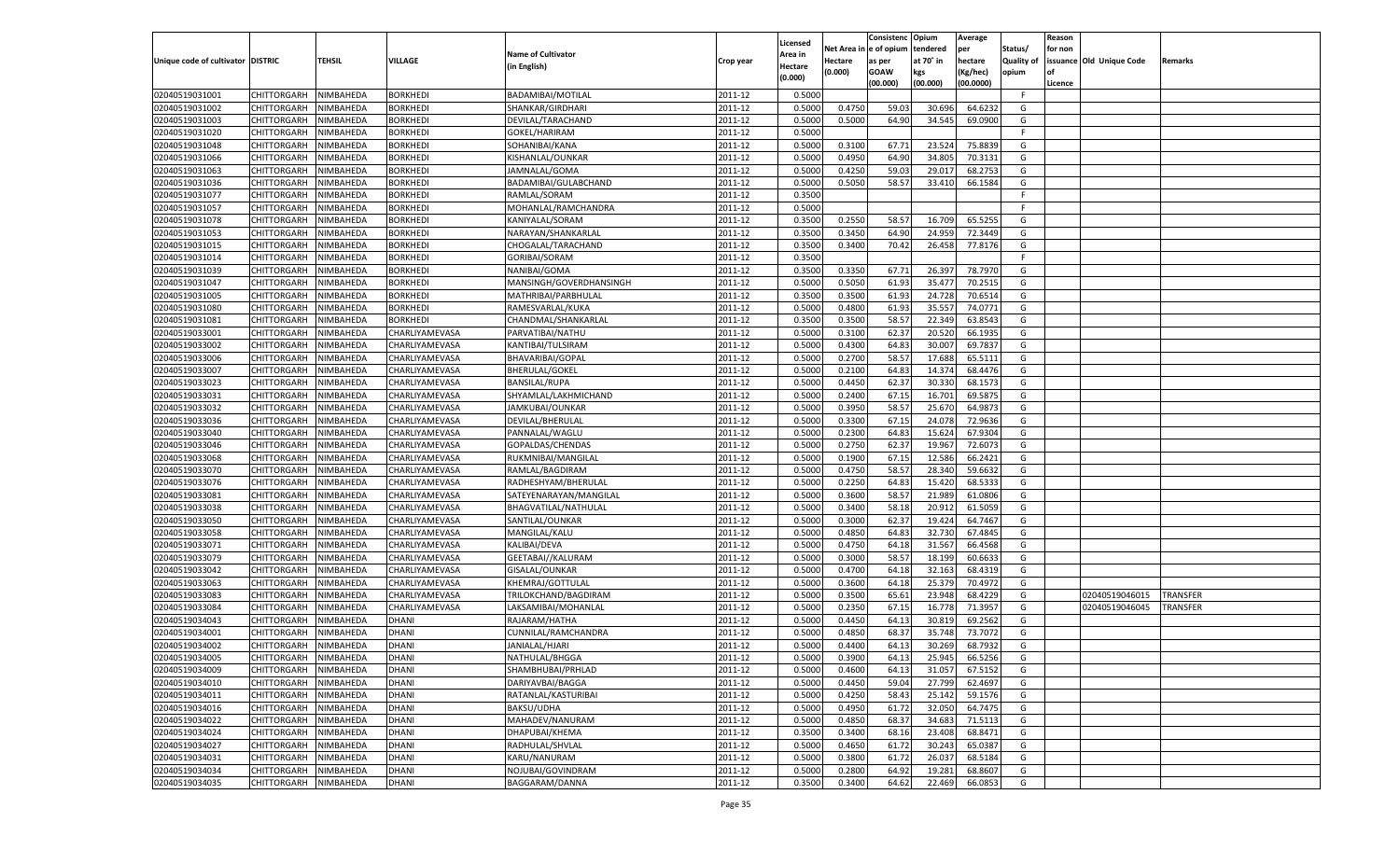|                                   |                    |           |                 |                           |           | Licensed |                  | Consistenc Opium       |           | Average   |                   | Reason  |                          |                |
|-----------------------------------|--------------------|-----------|-----------------|---------------------------|-----------|----------|------------------|------------------------|-----------|-----------|-------------------|---------|--------------------------|----------------|
|                                   |                    |           |                 | <b>Name of Cultivator</b> |           | Area in  |                  | Net Area in e of opium | tendered  | per       | Status/           | for non |                          |                |
| Unique code of cultivator DISTRIC |                    | TEHSIL    | VILLAGE         | (in English)              | Crop year | Hectare  | Hectare          | as per                 | at 70° in | hectare   | <b>Quality of</b> |         | issuance Old Unique Code | <b>Remarks</b> |
|                                   |                    |           |                 |                           |           | (0.000)  | (0.000)          | <b>GOAW</b>            | kgs       | (Kg/hec)  | opium             |         |                          |                |
|                                   |                    |           |                 |                           |           |          |                  | (00.000)               | (00.000)  | (00.0000) |                   | Licence |                          |                |
| 02040519031001                    | CHITTORGARH        | NIMBAHEDA | <b>BORKHEDI</b> | BADAMIBAI/MOTILAL         | 2011-12   | 0.5000   |                  |                        |           |           | -F.               |         |                          |                |
| 02040519031002                    | CHITTORGARH        | NIMBAHEDA | BORKHEDI        | SHANKAR/GIRDHARI          | 2011-12   | 0.5000   | 0.4750           | 59.03                  | 30.696    | 64.6232   | G                 |         |                          |                |
| 02040519031003                    | CHITTORGARH        | NIMBAHEDA | <b>BORKHEDI</b> | DEVILAL/TARACHAND         | 2011-12   | 0.5000   | 0.5000           | 64.90                  | 34.545    | 69.0900   | G                 |         |                          |                |
| 02040519031020                    | CHITTORGARH        | NIMBAHEDA | BORKHEDI        | GOKEL/HARIRAM             | 2011-12   | 0.5000   |                  |                        |           |           | F.                |         |                          |                |
| 02040519031048                    | CHITTORGARH        | NIMBAHEDA | <b>BORKHEDI</b> | SOHANIBAI/KANA            | 2011-12   | 0.5000   | 0.3100           | 67.71                  | 23.524    | 75.8839   | G                 |         |                          |                |
| 02040519031066                    | CHITTORGARH        | NIMBAHEDA | <b>BORKHEDI</b> | KISHANLAL/OUNKAR          | 2011-12   | 0.5000   | 0.4950           | 64.90                  | 34.805    | 70.3131   | G                 |         |                          |                |
| 02040519031063                    | CHITTORGARH        | NIMBAHEDA | <b>BORKHEDI</b> | JAMNALAL/GOMA             | 2011-12   | 0.5000   | 0.4250           | 59.03                  | 29.017    | 68.2753   | G                 |         |                          |                |
| 02040519031036                    | CHITTORGARH        | NIMBAHEDA | BORKHEDI        | BADAMIBAI/GULABCHAND      | 2011-12   | 0.5000   | 0.5050           | 58.57                  | 33.410    | 66.1584   | G                 |         |                          |                |
| 02040519031077                    | CHITTORGARH        | NIMBAHEDA | <b>BORKHEDI</b> | RAMLAL/SORAM              | 2011-12   | 0.3500   |                  |                        |           |           | F.                |         |                          |                |
| 02040519031057                    | CHITTORGARH        | NIMBAHEDA | <b>BORKHEDI</b> | MOHANLAL/RAMCHANDRA       | 2011-12   | 0.5000   |                  |                        |           |           | -F                |         |                          |                |
| 02040519031078                    | CHITTORGARH        | NIMBAHEDA | <b>BORKHEDI</b> | KANIYALAL/SORAM           | 2011-12   | 0.3500   | 0.2550           | 58.57                  | 16.709    | 65.5255   | G                 |         |                          |                |
| 02040519031053                    | CHITTORGARH        | NIMBAHEDA | BORKHEDI        | NARAYAN/SHANKARLAL        | 2011-12   | 0.3500   | 0.3450           | 64.90                  | 24.959    | 72.3449   | G                 |         |                          |                |
| 02040519031015                    | CHITTORGARH        | NIMBAHEDA | <b>BORKHEDI</b> | CHOGALAL/TARACHAND        | 2011-12   | 0.3500   | 0.3400           | 70.42                  | 26.458    | 77.8176   | G                 |         |                          |                |
| 02040519031014                    | CHITTORGARH        | NIMBAHEDA | BORKHEDI        | GORIBAI/SORAM             | 2011-12   | 0.3500   |                  |                        |           |           | E                 |         |                          |                |
| 02040519031039                    | CHITTORGARH        | NIMBAHEDA | BORKHEDI        | NANIBAI/GOMA              | 2011-12   | 0.3500   | 0.3350           | 67.71                  | 26.397    | 78.7970   | G                 |         |                          |                |
| 02040519031047                    | CHITTORGARH        | NIMBAHEDA | BORKHEDI        | MANSINGH/GOVERDHANSINGH   | 2011-12   | 0.5000   | 0.5050           | 61.93                  | 35.477    | 70.2515   | G                 |         |                          |                |
| 02040519031005                    | CHITTORGARH        | NIMBAHEDA | <b>BORKHEDI</b> | MATHRIBAI/PARBHULAL       | 2011-12   | 0.3500   | 0.3500           | 61.93                  | 24.728    | 70.6514   | G                 |         |                          |                |
| 02040519031080                    | CHITTORGARH        | NIMBAHEDA | BORKHEDI        | RAMESVARLAL/KUKA          | 2011-12   | 0.5000   | 0.4800           | 61.93                  | 35.557    | 74.0771   | G                 |         |                          |                |
| 02040519031081                    | CHITTORGARH        | NIMBAHEDA | BORKHEDI        | CHANDMAL/SHANKARLAL       | 2011-12   | 0.3500   | 0.3500           | 58.57                  | 22.349    | 63.8543   | G                 |         |                          |                |
| 02040519033001                    | CHITTORGARH        | NIMBAHEDA | CHARLIYAMEVASA  | PARVATIBAI/NATHU          | 2011-12   | 0.5000   | 0.3100           | 62.37                  | 20.520    | 66.1935   | G                 |         |                          |                |
| 02040519033002                    | CHITTORGARH        | NIMBAHEDA | CHARLIYAMEVASA  | KANTIBAI/TULSIRAM         | 2011-12   | 0.5000   | 0.4300           | 64.83                  | 30.007    | 69.7837   | G                 |         |                          |                |
| 02040519033006                    | CHITTORGARH        | NIMBAHEDA | CHARLIYAMEVASA  | BHAVARIBAI/GOPAL          | 2011-12   | 0.5000   | 0.2700           | 58.57                  | 17.688    | 65.5111   | G                 |         |                          |                |
| 02040519033007                    | CHITTORGARH        | NIMBAHEDA | CHARLIYAMEVASA  | <b>BHERULAL/GOKEL</b>     | 2011-12   | 0.5000   | 0.2100           | 64.83                  | 14.374    | 68.4476   | G                 |         |                          |                |
| 02040519033023                    | CHITTORGARH        | NIMBAHEDA | CHARLIYAMEVASA  | <b>BANSILAL/RUPA</b>      | 2011-12   | 0.5000   | 0.4450           | 62.37                  | 30.330    | 68.1573   | G                 |         |                          |                |
| 02040519033031                    | CHITTORGARH        | NIMBAHEDA | CHARLIYAMEVASA  | SHYAMLAL/LAKHMICHAND      | 2011-12   | 0.5000   | 0.2400           | 67.15                  | 16.701    | 69.5875   | G                 |         |                          |                |
| 02040519033032                    | CHITTORGARH        | NIMBAHEDA | CHARLIYAMEVASA  | JAMKUBAI/OUNKAR           | 2011-12   | 0.5000   | 0.3950           | 58.57                  | 25.670    | 64.9873   | G                 |         |                          |                |
| 02040519033036                    | CHITTORGARH        | NIMBAHEDA | CHARLIYAMEVASA  | DEVILAL/BHERULAL          | 2011-12   | 0.5000   | 0.3300           | 67.15                  | 24.078    | 72.9636   | G                 |         |                          |                |
| 02040519033040                    | CHITTORGARH        | NIMBAHEDA | CHARLIYAMEVASA  | PANNALAL/WAGLU            | 2011-12   | 0.5000   | 0.2300           | 64.83                  | 15.624    | 67.9304   | G                 |         |                          |                |
| 02040519033046                    | CHITTORGARH        | NIMBAHEDA | CHARLIYAMEVASA  | GOPALDAS/CHENDAS          | 2011-12   | 0.5000   | 0.2750           | 62.37                  | 19.967    | 72.6073   | G                 |         |                          |                |
| 02040519033068                    | CHITTORGARH        | NIMBAHEDA | CHARLIYAMEVASA  | RUKMNIBAI/MANGILAL        | 2011-12   | 0.5000   | 0.1900           | 67.15                  | 12.586    | 66.2421   | G                 |         |                          |                |
| 02040519033070                    | CHITTORGARH        | NIMBAHEDA | CHARLIYAMEVASA  | RAMLAL/BAGDIRAM           | 2011-12   | 0.5000   | 0.4750           | 58.57                  | 28.340    | 59.6632   | G                 |         |                          |                |
| 02040519033076                    | CHITTORGARH        | NIMBAHEDA | CHARLIYAMEVASA  | RADHESHYAM/BHERULAL       | 2011-12   | 0.5000   | 0.2250           | 64.83                  | 15.420    | 68.5333   | G                 |         |                          |                |
| 02040519033081                    | CHITTORGARH        | NIMBAHEDA | CHARLIYAMEVASA  | SATEYENARAYAN/MANGILAI    | 2011-12   | 0.5000   | 0.3600           | 58.57                  | 21.989    | 61.0806   | G                 |         |                          |                |
| 02040519033038                    | CHITTORGARH        | NIMBAHEDA | CHARLIYAMEVASA  | BHAGVATILAL/NATHULAL      | 2011-12   | 0.5000   | 0.3400           | 58.18                  | 20.912    | 61.5059   | G                 |         |                          |                |
| 02040519033050                    | CHITTORGARH        | NIMBAHEDA | CHARLIYAMEVASA  | SANTILAL/OUNKAR           | 2011-12   | 0.5000   | 0.3000           | 62.37                  | 19.424    | 64.7467   | G                 |         |                          |                |
| 02040519033058                    | CHITTORGARH        | NIMBAHEDA | CHARLIYAMEVASA  | MANGILAL/KALU             | 2011-12   | 0.5000   | 0.4850           | 64.83                  | 32.730    | 67.4845   | G                 |         |                          |                |
| 02040519033071                    | CHITTORGARH        | NIMBAHEDA | CHARLIYAMEVASA  | KALIBAI/DEVA              | 2011-12   | 0.5000   | 0.4750           | 64.18                  | 31.567    | 66.4568   | G                 |         |                          |                |
| 02040519033079                    | CHITTORGARH        | NIMBAHEDA | CHARLIYAMEVASA  | GEETABAI//KALURAM         | 2011-12   | 0.5000   | 0.3000           | 58.57                  | 18.199    | 60.663    | G                 |         |                          |                |
| 02040519033042                    | CHITTORGARH        | NIMBAHEDA | CHARLIYAMEVASA  | GISALAL/OUNKAR            | 2011-12   | 0.5000   | 0.4700           | 64.18                  | 32.163    | 68.4319   | G                 |         |                          |                |
| 02040519033063                    | CHITTORGARH        | NIMBAHEDA | CHARLIYAMEVASA  | KHEMRAJ/GOTTULAL          | 2011-12   | 0.5000   | 0.3600           | 64.18                  | 25.379    | 70.4972   | G                 |         |                          |                |
| 02040519033083                    | CHITTORGARH        | NIMBAHEDA | CHARLIYAMEVASA  | TRILOKCHAND/BAGDIRAM      | 2011-12   | 0.5000   | 0.3500           | 65.61                  | 23.948    | 68.4229   | G                 |         | 02040519046015           | TRANSFER       |
| 02040519033084                    | CHITTORGARH        | NIMBAHEDA | CHARLIYAMEVASA  | LAKSAMIBAI/MOHANLAI       | 2011-12   | 0.5000   | 0.2350           | 67.1                   | 16.778    | 71.3957   | G                 |         | 02040519046045           | TRANSFER       |
| 02040519034043                    | CHITTORGARH        | NIMBAHEDA | <b>DHANI</b>    | RAJARAM/HATHA             | 2011-12   | 0.5000   | 0.4450           | 64.13                  | 30.819    | 69.2562   | G                 |         |                          |                |
|                                   |                    |           | <b>DHANI</b>    |                           |           |          |                  |                        |           |           |                   |         |                          |                |
| 02040519034001                    | CHITTORGARH        | NIMBAHEDA |                 | CUNNILAL/RAMCHANDRA       | 2011-12   | 0.5000   | 0.4850<br>0.4400 | 68.3<br>64.13          | 35.748    | 73.7072   | G<br>G            |         |                          |                |
| 02040519034002                    | CHITTORGARH        | NIMBAHEDA | <b>DHANI</b>    | JANIALAL/HJARI            | 2011-12   | 0.5000   |                  |                        | 30.269    | 68.7932   |                   |         |                          |                |
| 02040519034005                    | CHITTORGARH        | NIMBAHEDA | <b>DHANI</b>    | NATHULAL/BHGGA            | 2011-12   | 0.5000   | 0.3900           | 64.13                  | 25.945    | 66.5256   | G                 |         |                          |                |
| 02040519034009                    | CHITTORGARH        | NIMBAHEDA | <b>DHANI</b>    | SHAMBHUBAI/PRHLAD         | 2011-12   | 0.5000   | 0.4600           | 64.13                  | 31.057    | 67.5152   | G                 |         |                          |                |
| 02040519034010                    | <b>CHITTORGARH</b> | NIMBAHEDA | DHANI           | DARIYAVBAI/BAGGA          | 2011-12   | 0.5000   | 0.4450           | 59.04                  | 27.799    | 62.4697   | G                 |         |                          |                |
| 02040519034011                    | <b>CHITTORGARH</b> | NIMBAHEDA | <b>DHANI</b>    | RATANLAL/KASTURIBAI       | 2011-12   | 0.5000   | 0.4250           | 58.43                  | 25.142    | 59.1576   | G                 |         |                          |                |
| 02040519034016                    | <b>CHITTORGARH</b> | NIMBAHEDA | <b>DHANI</b>    | BAKSU/UDHA                | 2011-12   | 0.5000   | 0.4950           | 61.72                  | 32.050    | 64.7475   | G                 |         |                          |                |
| 02040519034022                    | <b>CHITTORGARH</b> | NIMBAHEDA | <b>DHANI</b>    | MAHADEV/NANURAM           | 2011-12   | 0.5000   | 0.4850           | 68.37                  | 34.683    | 71.5113   | G                 |         |                          |                |
| 02040519034024                    | <b>CHITTORGARH</b> | NIMBAHEDA | <b>DHANI</b>    | DHAPUBAI/KHEMA            | 2011-12   | 0.3500   | 0.3400           | 68.16                  | 23.408    | 68.8471   | G                 |         |                          |                |
| 02040519034027                    | <b>CHITTORGARH</b> | NIMBAHEDA | <b>DHANI</b>    | RADHULAL/SHVLAL           | 2011-12   | 0.5000   | 0.4650           | 61.72                  | 30.243    | 65.0387   | G                 |         |                          |                |
| 02040519034031                    | <b>CHITTORGARH</b> | NIMBAHEDA | <b>DHANI</b>    | KARU/NANURAM              | 2011-12   | 0.5000   | 0.3800           | 61.72                  | 26.037    | 68.5184   | G                 |         |                          |                |
| 02040519034034                    | <b>CHITTORGARH</b> | NIMBAHEDA | <b>DHANI</b>    | NOJUBAI/GOVINDRAM         | 2011-12   | 0.5000   | 0.2800           | 64.92                  | 19.281    | 68.8607   | G                 |         |                          |                |
| 02040519034035                    | <b>CHITTORGARH</b> | NIMBAHEDA | <b>DHANI</b>    | BAGGARAM/DANNA            | 2011-12   | 0.3500   | 0.3400           | 64.62                  | 22.469    | 66.0853   | G                 |         |                          |                |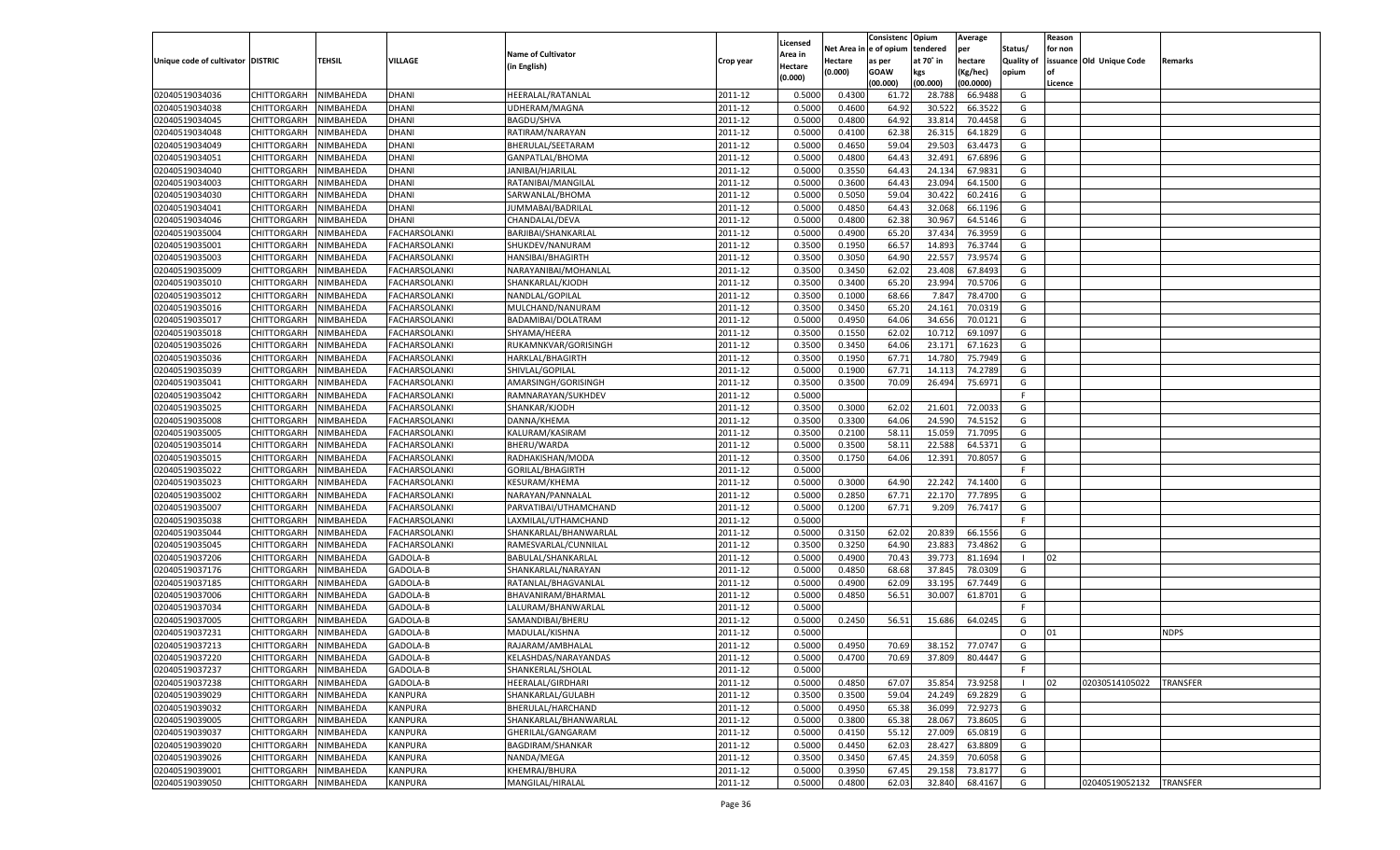|                                   |                       |               |                |                           |           |                    |          | Consistenc  | Opium     | Average   |                   | Reason  |                          |                 |
|-----------------------------------|-----------------------|---------------|----------------|---------------------------|-----------|--------------------|----------|-------------|-----------|-----------|-------------------|---------|--------------------------|-----------------|
|                                   |                       |               |                | <b>Name of Cultivator</b> |           | Licensed           | Net Area | e of opium  | tendered  | per       | Status/           | for non |                          |                 |
| Unique code of cultivator DISTRIC |                       | <b>TEHSIL</b> | VILLAGE        | (in English)              | Crop year | \rea in<br>Hectare | Hectare  | as per      | at 70° in | hectare   | <b>Quality of</b> |         | issuance Old Unique Code | Remarks         |
|                                   |                       |               |                |                           |           | (0.000)            | (0.000)  | <b>GOAW</b> | kgs       | (Kg/hec)  | opium             |         |                          |                 |
|                                   |                       |               |                |                           |           |                    |          | (00.000)    | (00.000)  | (00.0000) |                   | Licence |                          |                 |
| 02040519034036                    | CHITTORGARH           | NIMBAHEDA     | DHANI          | HEERALAL/RATANLAL         | 2011-12   | 0.5000             | 0.4300   | 61.7        | 28.78     | 66.9488   | G                 |         |                          |                 |
| 02040519034038                    | CHITTORGARH           | NIMBAHEDA     | DHANI          | UDHERAM/MAGNA             | 2011-12   | 0.5000             | 0.4600   | 64.92       | 30.522    | 66.3522   | G                 |         |                          |                 |
| 02040519034045                    | CHITTORGARH           | NIMBAHEDA     | DHANI          | <b>BAGDU/SHVA</b>         | 2011-12   | 0.5000             | 0.4800   | 64.92       | 33.81     | 70.4458   | G                 |         |                          |                 |
| 02040519034048                    | CHITTORGARH           | NIMBAHEDA     | DHANI          | RATIRAM/NARAYAN           | 2011-12   | 0.5000             | 0.4100   | 62.38       | 26.315    | 64.1829   | G                 |         |                          |                 |
| 02040519034049                    | CHITTORGARH           | NIMBAHEDA     | DHANI          | BHERULAL/SEETARAM         | 2011-12   | 0.5000             | 0.4650   | 59.04       | 29.503    | 63.4473   | G                 |         |                          |                 |
| 02040519034051                    | CHITTORGARH           | NIMBAHEDA     | DHANI          | GANPATLAL/BHOMA           | 2011-12   | 0.5000             | 0.4800   | 64.4        | 32.491    | 67.6896   | G                 |         |                          |                 |
| 02040519034040                    | CHITTORGARH           | NIMBAHEDA     | DHANI          | JANIBAI/HJARILAL          | 2011-12   | 0.5000             | 0.3550   | 64.43       | 24.134    | 67.9831   | G                 |         |                          |                 |
| 02040519034003                    | CHITTORGARH           | NIMBAHEDA     | DHANI          | RATANIBAI/MANGILAL        | 2011-12   | 0.5000             | 0.3600   | 64.43       | 23.094    | 64.1500   | G                 |         |                          |                 |
| 02040519034030                    | CHITTORGARH           | NIMBAHEDA     | DHANI          | SARWANLAL/BHOMA           | 2011-12   | 0.5000             | 0.5050   | 59.04       | 30.422    | 60.2416   | G                 |         |                          |                 |
| 02040519034041                    | CHITTORGARH           | NIMBAHEDA     | DHANI          | JUMMABAI/BADRILAL         | 2011-12   | 0.5000             | 0.4850   | 64.43       | 32.068    | 66.1196   | G                 |         |                          |                 |
| 02040519034046                    | CHITTORGARH           | NIMBAHEDA     | DHANI          | CHANDALAL/DEVA            | 2011-12   | 0.5000             | 0.4800   | 62.38       | 30.967    | 64.5146   | G                 |         |                          |                 |
| 02040519035004                    | CHITTORGARH           | NIMBAHEDA     | FACHARSOLANKI  | BARJIBAI/SHANKARLAL       | 2011-12   | 0.5000             | 0.4900   | 65.20       | 37.434    | 76.3959   | G                 |         |                          |                 |
| 02040519035001                    | CHITTORGARH           | NIMBAHEDA     | FACHARSOLANKI  | SHUKDEV/NANURAM           | 2011-12   | 0.3500             | 0.1950   | 66.57       | 14.893    | 76.3744   | G                 |         |                          |                 |
| 02040519035003                    | CHITTORGARH           | NIMBAHEDA     | FACHARSOLANKI  | HANSIBAI/BHAGIRTH         | 2011-12   | 0.3500             | 0.3050   | 64.90       | 22.557    | 73.9574   | G                 |         |                          |                 |
| 02040519035009                    | CHITTORGARH           | NIMBAHEDA     | FACHARSOLANKI  | NARAYANIBAI/MOHANLAL      | 2011-12   | 0.3500             | 0.3450   | 62.02       | 23.408    | 67.8493   | G                 |         |                          |                 |
| 02040519035010                    | CHITTORGARH           | NIMBAHEDA     | FACHARSOLANKI  | SHANKARLAL/KJODH          | 2011-12   | 0.3500             | 0.3400   | 65.20       | 23.994    | 70.5706   | G                 |         |                          |                 |
| 02040519035012                    | CHITTORGARH           | NIMBAHEDA     | FACHARSOLANKI  | NANDLAL/GOPILAL           | 2011-12   | 0.3500             | 0.1000   | 68.66       | 7.847     | 78.4700   | G                 |         |                          |                 |
| 02040519035016                    | CHITTORGARH           | NIMBAHEDA     | FACHARSOLANKI  | MULCHAND/NANURAM          | 2011-12   | 0.3500             | 0.3450   | 65.20       | 24.161    | 70.0319   | G                 |         |                          |                 |
| 02040519035017                    | CHITTORGARH           | NIMBAHEDA     | FACHARSOLANKI  | BADAMIBAI/DOLATRAM        | 2011-12   | 0.5000             | 0.4950   | 64.06       | 34.656    | 70.0121   | G                 |         |                          |                 |
| 02040519035018                    | CHITTORGARH           | NIMBAHEDA     | FACHARSOLANKI  | SHYAMA/HEERA              | 2011-12   | 0.3500             | 0.1550   | 62.02       | 10.712    | 69.1097   | G                 |         |                          |                 |
| 02040519035026                    | CHITTORGARH           | NIMBAHEDA     | FACHARSOLANKI  | RUKAMNKVAR/GORISINGH      | 2011-12   | 0.3500             | 0.3450   | 64.06       | 23.171    | 67.1623   | G                 |         |                          |                 |
| 02040519035036                    | CHITTORGARH           | NIMBAHEDA     | FACHARSOLANKI  | HARKLAL/BHAGIRTH          | 2011-12   | 0.3500             | 0.1950   | 67.71       | 14.780    | 75.7949   | G                 |         |                          |                 |
| 02040519035039                    | CHITTORGARH           | NIMBAHEDA     | FACHARSOLANKI  | SHIVLAL/GOPILAL           | 2011-12   | 0.5000             | 0.1900   | 67.71       | 14.113    | 74.2789   | G                 |         |                          |                 |
| 02040519035041                    | CHITTORGARH           | NIMBAHEDA     | FACHARSOLANKI  | AMARSINGH/GORISINGH       | 2011-12   | 0.3500             | 0.3500   | 70.09       | 26.494    | 75.6971   | G                 |         |                          |                 |
| 02040519035042                    | CHITTORGARH           | NIMBAHEDA     | FACHARSOLANKI  | RAMNARAYAN/SUKHDEV        | 2011-12   | 0.5000             |          |             |           |           | F                 |         |                          |                 |
| 02040519035025                    | CHITTORGARH           | NIMBAHEDA     | FACHARSOLANKI  | SHANKAR/KJODH             | 2011-12   | 0.3500             | 0.3000   | 62.02       | 21.601    | 72.003    | G                 |         |                          |                 |
| 02040519035008                    | CHITTORGARH           | NIMBAHEDA     | FACHARSOLANKI  | DANNA/KHEMA               | 2011-12   | 0.3500             | 0.3300   | 64.06       | 24.590    | 74.5152   | G                 |         |                          |                 |
| 02040519035005                    | CHITTORGARH           | NIMBAHEDA     | FACHARSOLANKI  | KALURAM/KASIRAM           | 2011-12   | 0.3500             | 0.2100   | 58.11       | 15.059    | 71.7095   | G                 |         |                          |                 |
| 02040519035014                    | CHITTORGARH           | NIMBAHEDA     | FACHARSOLANKI  | BHERU/WARDA               | 2011-12   | 0.5000             | 0.3500   | 58.11       | 22.588    | 64.5371   | G                 |         |                          |                 |
| 02040519035015                    | CHITTORGARH           | NIMBAHEDA     | FACHARSOLANKI  | RADHAKISHAN/MODA          | 2011-12   | 0.3500             | 0.1750   | 64.06       | 12.391    | 70.8057   | G                 |         |                          |                 |
| 02040519035022                    |                       | NIMBAHEDA     |                |                           | 2011-12   | 0.5000             |          |             |           |           | F.                |         |                          |                 |
|                                   | CHITTORGARH           |               | FACHARSOLANKI  | GORILAL/BHAGIRTH          |           |                    |          | 64.90       | 22.242    | 74.1400   |                   |         |                          |                 |
| 02040519035023                    | CHITTORGARH           | NIMBAHEDA     | FACHARSOLANKI  | <b>KESURAM/KHEMA</b>      | 2011-12   | 0.5000             | 0.3000   |             |           |           | G                 |         |                          |                 |
| 02040519035002                    | CHITTORGARH           | NIMBAHEDA     | FACHARSOLANKI  | NARAYAN/PANNALAL          | 2011-12   | 0.5000             | 0.2850   | 67.71       | 22.170    | 77.7895   | G                 |         |                          |                 |
| 02040519035007                    | CHITTORGARH           | NIMBAHEDA     | FACHARSOLANKI  | PARVATIBAI/UTHAMCHAND     | 2011-12   | 0.5000             | 0.1200   | 67.71       | 9.209     | 76.7417   | G                 |         |                          |                 |
| 02040519035038                    | CHITTORGARH           | NIMBAHEDA     | FACHARSOLANKI  | LAXMILAL/UTHAMCHAND       | 2011-12   | 0.5000             |          |             |           |           | F.                |         |                          |                 |
| 02040519035044                    | CHITTORGARH           | NIMBAHEDA     | FACHARSOLANKI  | SHANKARLAL/BHANWARLAL     | 2011-12   | 0.5000             | 0.3150   | 62.02       | 20.839    | 66.1556   | G                 |         |                          |                 |
| 02040519035045                    | CHITTORGARH           | NIMBAHEDA     | FACHARSOLANKI  | RAMESVARLAL/CUNNILAL      | 2011-12   | 0.3500             | 0.3250   | 64.90       | 23.883    | 73.4862   | G                 |         |                          |                 |
| 02040519037206                    | CHITTORGARH           | NIMBAHEDA     | GADOLA-B       | BABULAL/SHANKARLAL        | 2011-12   | 0.5000             | 0.4900   | 70.43       | 39.773    | 81.1694   | - 1               | 02      |                          |                 |
| 02040519037176                    | CHITTORGARH           | NIMBAHEDA     | GADOLA-B       | SHANKARLAL/NARAYAN        | 2011-12   | 0.5000             | 0.4850   | 68.68       | 37.84     | 78.0309   | G                 |         |                          |                 |
| 02040519037185                    | CHITTORGARH           | NIMBAHEDA     | GADOLA-B       | RATANLAL/BHAGVANLAL       | 2011-12   | 0.5000             | 0.4900   | 62.09       | 33.19     | 67.7449   | G                 |         |                          |                 |
| 02040519037006                    | CHITTORGARH           | NIMBAHEDA     | GADOLA-B       | BHAVANIRAM/BHARMAL        | 2011-12   | 0.5000             | 0.4850   | 56.51       | 30.007    | 61.8701   | G                 |         |                          |                 |
| 02040519037034                    | CHITTORGARH           | NIMBAHEDA     | GADOLA-B       | LALURAM/BHANWARLAL        | 2011-12   | 0.5000             |          |             |           |           | F.                |         |                          |                 |
| 02040519037005                    | CHITTORGARH           | NIMBAHEDA     | GADOLA-B       | SAMANDIBAI/BHERU          | 2011-12   | 0.5000             | 0.2450   | 56.51       | 15.686    | 64.0245   | G                 |         |                          |                 |
| 02040519037231                    | CHITTORGARH           | NIMBAHEDA     | GADOLA-B       | MADULAL/KISHNA            | 2011-12   | 0.5000             |          |             |           |           | $\circ$           | 01      |                          | <b>NDPS</b>     |
| 02040519037213                    | CHITTORGARH           | NIMBAHEDA     | GADOLA-B       | RAJARAM/AMBHALAI          | 2011-12   | 0.5000             | 0.4950   | 70.69       | 38.152    | 77.0747   | G                 |         |                          |                 |
| 02040519037220                    | CHITTORGARH NIMBAHEDA |               | GADOLA-B       | KELASHDAS/NARAYANDAS      | 2011-12   | 0.5000             | 0.4700   | 70.69       | 37.809    | 80.4447   | G                 |         |                          |                 |
| 02040519037237                    | <b>CHITTORGARH</b>    | NIMBAHEDA     | GADOLA-B       | SHANKERLAL/SHOLAL         | 2011-12   | 0.5000             |          |             |           |           | F.                |         |                          |                 |
| 02040519037238                    | <b>CHITTORGARH</b>    | NIMBAHEDA     | GADOLA-B       | HEERALAL/GIRDHARI         | 2011-12   | 0.5000             | 0.4850   | 67.07       | 35.854    | 73.9258   | - 1               | 02      | 02030514105022           | <b>TRANSFER</b> |
| 02040519039029                    | <b>CHITTORGARH</b>    | NIMBAHEDA     | <b>KANPURA</b> | SHANKARLAL/GULABH         | 2011-12   | 0.3500             | 0.3500   | 59.04       | 24.249    | 69.2829   | G                 |         |                          |                 |
| 02040519039032                    | <b>CHITTORGARH</b>    | NIMBAHEDA     | KANPURA        | BHERULAL/HARCHAND         | 2011-12   | 0.5000             | 0.4950   | 65.38       | 36.099    | 72.9273   | G                 |         |                          |                 |
| 02040519039005                    | <b>CHITTORGARH</b>    | NIMBAHEDA     | <b>KANPURA</b> | SHANKARLAL/BHANWARLAL     | 2011-12   | 0.5000             | 0.3800   | 65.38       | 28.067    | 73.8605   | G                 |         |                          |                 |
| 02040519039037                    | <b>CHITTORGARH</b>    | NIMBAHEDA     | KANPURA        | GHERILAL/GANGARAM         | 2011-12   | 0.5000             | 0.4150   | 55.12       | 27.009    | 65.0819   | G                 |         |                          |                 |
| 02040519039020                    | <b>CHITTORGARH</b>    | NIMBAHEDA     | <b>KANPURA</b> | BAGDIRAM/SHANKAR          | 2011-12   | 0.5000             | 0.4450   | 62.03       | 28.427    | 63.8809   | G                 |         |                          |                 |
| 02040519039026                    | <b>CHITTORGARH</b>    | NIMBAHEDA     | KANPURA        | NANDA/MEGA                | 2011-12   | 0.3500             | 0.3450   | 67.45       | 24.359    | 70.6058   | G                 |         |                          |                 |
| 02040519039001                    | <b>CHITTORGARH</b>    | NIMBAHEDA     | <b>KANPURA</b> | KHEMRAJ/BHURA             | 2011-12   | 0.5000             | 0.3950   | 67.45       | 29.158    | 73.8177   | G                 |         |                          |                 |
| 02040519039050                    | <b>CHITTORGARH</b>    | NIMBAHEDA     | KANPURA        | MANGILAL/HIRALAL          | 2011-12   | 0.5000             | 0.4800   | 62.03       | 32.840    | 68.4167   | G                 |         | 02040519052132           | <b>TRANSFER</b> |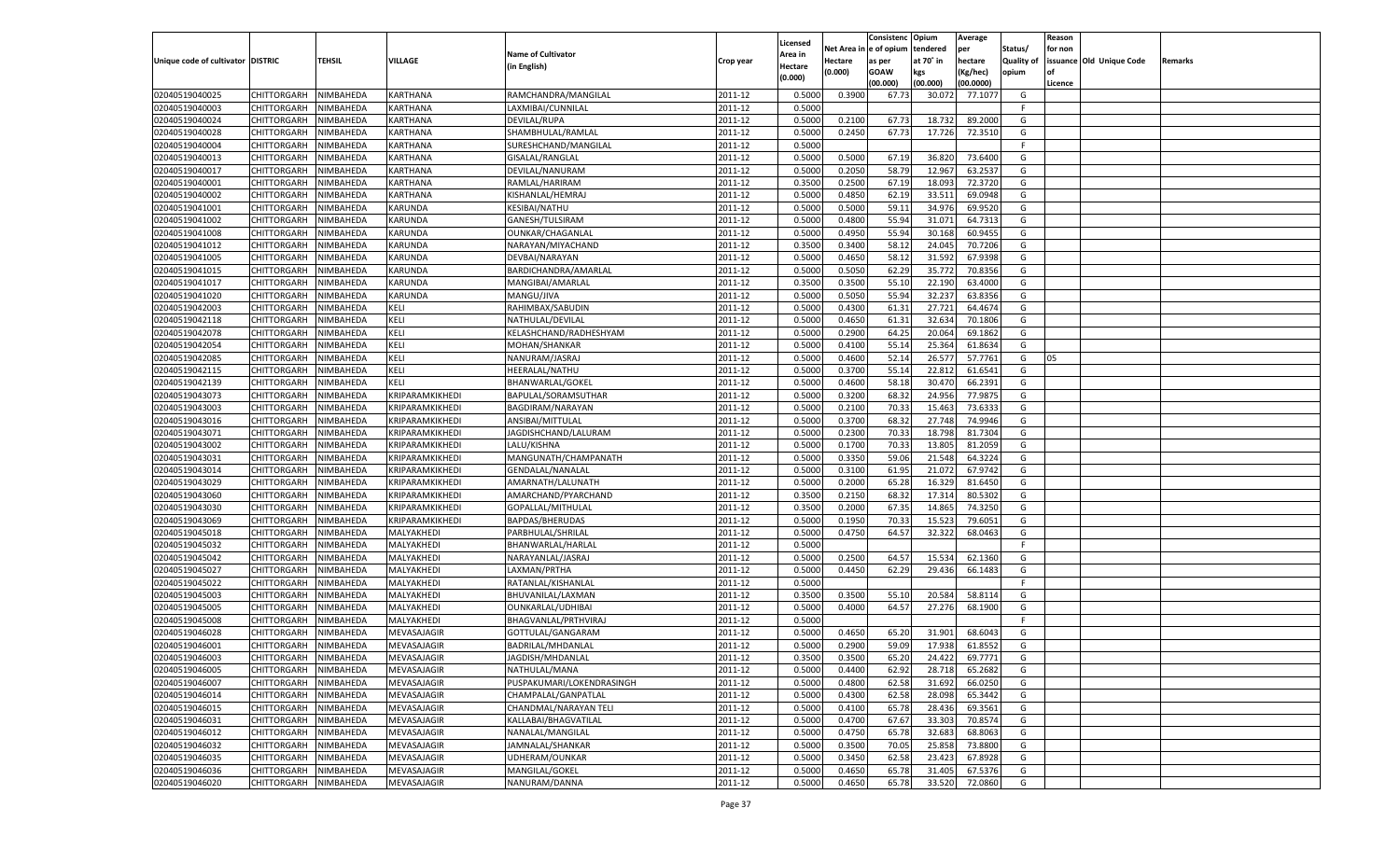|                                   |                       |               |                 |                           |                    |                           |          | Consistenc  | Opium     | Average   |                   | Reason  |                          |         |
|-----------------------------------|-----------------------|---------------|-----------------|---------------------------|--------------------|---------------------------|----------|-------------|-----------|-----------|-------------------|---------|--------------------------|---------|
|                                   |                       |               |                 | <b>Name of Cultivator</b> |                    | Licensed                  | Net Area | e of opium  | tendered  | per       | Status/           | for non |                          |         |
| Unique code of cultivator DISTRIC |                       | <b>TEHSIL</b> | VILLAGE         | (in English)              | Crop year          | <b>Area in</b><br>Hectare | Hectare  | as per      | at 70° in | hectare   | <b>Quality of</b> |         | issuance Old Unique Code | Remarks |
|                                   |                       |               |                 |                           |                    | (0.000)                   | (0.000)  | <b>GOAW</b> | kgs       | (Kg/hec)  | opium             |         |                          |         |
|                                   |                       |               |                 |                           |                    |                           |          | (00.000)    | (00.000)  | (00.0000) |                   | Licence |                          |         |
| 02040519040025                    | CHITTORGARH           | NIMBAHEDA     | <b>KARTHANA</b> | RAMCHANDRA/MANGILAL       | 2011-12            | 0.5000                    | 0.3900   | 67.73       | 30.072    | 77.1077   | G                 |         |                          |         |
| 02040519040003                    | CHITTORGARH           | NIMBAHEDA     | KARTHANA        | LAXMIBAI/CUNNILAL         | 2011-12            | 0.5000                    |          |             |           |           | F.                |         |                          |         |
| 02040519040024                    | CHITTORGARH           | NIMBAHEDA     | KARTHANA        | DEVILAL/RUPA              | 2011-12            | 0.5000                    | 0.2100   | 67.7        | 18.73     | 89.2000   | G                 |         |                          |         |
| 02040519040028                    | CHITTORGARH           | NIMBAHEDA     | KARTHANA        | SHAMBHULAL/RAMLAL         | 2011-12            | 0.5000                    | 0.2450   | 67.73       | 17.726    | 72.3510   | G                 |         |                          |         |
| 02040519040004                    | CHITTORGARH           | NIMBAHEDA     | KARTHANA        | SURESHCHAND/MANGILAL      | 2011-12            | 0.5000                    |          |             |           |           | F.                |         |                          |         |
| 02040519040013                    | CHITTORGARH           | NIMBAHEDA     | KARTHANA        | GISALAL/RANGLAL           | 2011-12            | 0.5000                    | 0.5000   | 67.19       | 36.820    | 73.6400   | G                 |         |                          |         |
| 02040519040017                    | CHITTORGARH           | NIMBAHEDA     | KARTHANA        | DEVILAL/NANURAM           | 2011-12            | 0.5000                    | 0.2050   | 58.79       | 12.967    | 63.2537   | G                 |         |                          |         |
| 02040519040001                    | CHITTORGARH           | NIMBAHEDA     | KARTHANA        | RAMLAL/HARIRAM            | 2011-12            | 0.3500                    | 0.2500   | 67.19       | 18.093    | 72.3720   | G                 |         |                          |         |
| 02040519040002                    | CHITTORGARH           | NIMBAHEDA     | KARTHANA        | KISHANLAL/HEMRAJ          | 2011-12            | 0.5000                    | 0.4850   | 62.19       | 33.511    | 69.0948   | G                 |         |                          |         |
| 02040519041001                    | CHITTORGARH           | NIMBAHEDA     | KARUNDA         | KESIBAI/NATHU             | 2011-12            | 0.5000                    | 0.5000   | 59.1        | 34.976    | 69.9520   | G                 |         |                          |         |
| 02040519041002                    | CHITTORGARH           | NIMBAHEDA     | KARUNDA         | GANESH/TULSIRAM           | 2011-12            | 0.5000                    | 0.4800   | 55.94       | 31.071    | 64.7313   | G                 |         |                          |         |
| 02040519041008                    | CHITTORGARH           | NIMBAHEDA     | KARUNDA         | OUNKAR/CHAGANLAL          | 2011-12            | 0.5000                    | 0.4950   | 55.94       | 30.168    | 60.9455   | G                 |         |                          |         |
| 02040519041012                    | CHITTORGARH           | NIMBAHEDA     | KARUNDA         | NARAYAN/MIYACHAND         | 2011-12            | 0.3500                    | 0.3400   | 58.12       | 24.045    | 70.7206   | G                 |         |                          |         |
| 02040519041005                    | CHITTORGARH           | NIMBAHEDA     | KARUNDA         | DEVBAI/NARAYAN            | 2011-12            | 0.5000                    | 0.4650   | 58.12       | 31.592    | 67.9398   | G                 |         |                          |         |
| 02040519041015                    | CHITTORGARH           | NIMBAHEDA     | KARUNDA         | BARDICHANDRA/AMARLAL      | 2011-12            | 0.5000                    | 0.5050   | 62.29       | 35.772    | 70.8356   | G                 |         |                          |         |
| 02040519041017                    | CHITTORGARH           | NIMBAHEDA     | KARUNDA         | MANGIBAI/AMARLAL          | 2011-12            | 0.3500                    | 0.3500   | 55.10       | 22.190    | 63.4000   | G                 |         |                          |         |
| 02040519041020                    | CHITTORGARH           | NIMBAHEDA     | KARUNDA         | MANGU/JIVA                | 2011-12            | 0.5000                    | 0.5050   | 55.94       | 32.237    | 63.8356   | G                 |         |                          |         |
| 02040519042003                    | CHITTORGARH           | NIMBAHEDA     | KELI            | RAHIMBAX/SABUDIN          | 2011-12            | 0.5000                    | 0.4300   | 61.31       | 27.721    | 64.4674   | G                 |         |                          |         |
| 02040519042118                    | CHITTORGARH           | NIMBAHEDA     | KELI            | NATHULAL/DEVILAL          | 2011-12            | 0.5000                    | 0.4650   | 61.31       | 32.634    | 70.1806   | G                 |         |                          |         |
| 02040519042078                    | CHITTORGARH           | NIMBAHEDA     | KELI            | KELASHCHAND/RADHESHYAM    | 2011-12            | 0.5000                    | 0.2900   | 64.25       | 20.064    | 69.1862   | G                 |         |                          |         |
| 02040519042054                    | CHITTORGARH           | NIMBAHEDA     | KELI            | MOHAN/SHANKAR             | 2011-12            | 0.5000                    | 0.4100   | 55.14       | 25.364    | 61.8634   | G                 |         |                          |         |
| 02040519042085                    | CHITTORGARH           | NIMBAHEDA     | KELI            | NANURAM/JASRAJ            | 2011-12            | 0.5000                    | 0.4600   | 52.14       | 26.577    | 57.7761   | G                 | 05      |                          |         |
| 02040519042115                    | CHITTORGARH           | NIMBAHEDA     | KELI            | HEERALAL/NATHU            | 2011-12            | 0.5000                    | 0.3700   | 55.14       | 22.812    | 61.6541   | G                 |         |                          |         |
| 02040519042139                    | CHITTORGARH           | NIMBAHEDA     | KELI            | BHANWARLAL/GOKEI          | 2011-12            | 0.5000                    | 0.4600   | 58.18       | 30.470    | 66.2391   | G                 |         |                          |         |
| 02040519043073                    | CHITTORGARH           | NIMBAHEDA     | KRIPARAMKIKHEDI | BAPULAL/SORAMSUTHAR       | 2011-12            | 0.5000                    | 0.3200   | 68.32       | 24.956    | 77.9875   | G                 |         |                          |         |
| 02040519043003                    | CHITTORGARH           | NIMBAHEDA     | KRIPARAMKIKHEDI | BAGDIRAM/NARAYAN          | 2011-12            | 0.5000                    | 0.2100   | 70.3        | 15.463    | 73.6333   | G                 |         |                          |         |
| 02040519043016                    | CHITTORGARH           | NIMBAHEDA     | KRIPARAMKIKHEDI | ANSIBAI/MITTULAL          | 2011-12            | 0.5000                    | 0.3700   | 68.32       | 27.748    | 74.9946   | G                 |         |                          |         |
| 02040519043071                    | CHITTORGARH           | NIMBAHEDA     | KRIPARAMKIKHEDI | JAGDISHCHAND/LALURAM      | 2011-12            | 0.5000                    | 0.2300   | 70.33       | 18.798    | 81.7304   | G                 |         |                          |         |
| 02040519043002                    | CHITTORGARH           | NIMBAHEDA     | KRIPARAMKIKHEDI | LALU/KISHNA               | 2011-12            | 0.5000                    | 0.1700   | 70.33       | 13.805    | 81.2059   | G                 |         |                          |         |
| 02040519043031                    | CHITTORGARH           | NIMBAHEDA     | KRIPARAMKIKHEDI | MANGUNATH/CHAMPANATH      | 2011-12            | 0.5000                    | 0.3350   | 59.06       | 21.548    | 64.3224   | G                 |         |                          |         |
| 02040519043014                    | CHITTORGARH           | NIMBAHEDA     | KRIPARAMKIKHEDI | GENDALAL/NANALAL          | 2011-12            | 0.5000                    | 0.3100   | 61.95       | 21.072    | 67.9742   | G                 |         |                          |         |
| 02040519043029                    | CHITTORGARH           | NIMBAHEDA     | KRIPARAMKIKHEDI | AMARNATH/LALUNATH         | 2011-12            | 0.5000                    | 0.2000   | 65.28       | 16.329    | 81.6450   | G                 |         |                          |         |
| 02040519043060                    | CHITTORGARH           | NIMBAHEDA     | KRIPARAMKIKHEDI | AMARCHAND/PYARCHAND       | 2011-12            | 0.3500                    | 0.2150   | 68.32       | 17.314    | 80.5302   | G                 |         |                          |         |
| 02040519043030                    | CHITTORGARH           | NIMBAHEDA     | KRIPARAMKIKHEDI | GOPALLAL/MITHULAI         | 2011-12            | 0.3500                    | 0.2000   | 67.3        | 14.865    | 74.3250   | G                 |         |                          |         |
| 02040519043069                    | CHITTORGARH           | NIMBAHEDA     | KRIPARAMKIKHEDI | BAPDAS/BHERUDAS           | 2011-12            | 0.5000                    | 0.1950   | 70.33       | 15.523    | 79.6051   | G                 |         |                          |         |
| 02040519045018                    | CHITTORGARH           | NIMBAHEDA     | MALYAKHEDI      | PARBHULAL/SHRILAL         | 2011-12            | 0.5000                    | 0.4750   | 64.57       | 32.322    | 68.0463   | G                 |         |                          |         |
| 02040519045032                    | CHITTORGARH           | NIMBAHEDA     | MALYAKHEDI      | BHANWARLAL/HARLAL         | 2011-12            | 0.5000                    |          |             |           |           | F.                |         |                          |         |
| 02040519045042                    | CHITTORGARH           | NIMBAHEDA     | MALYAKHEDI      | NARAYANLAL/JASRAJ         | 2011-12            | 0.5000                    | 0.2500   | 64.57       | 15.534    | 62.1360   | G                 |         |                          |         |
| 02040519045027                    | CHITTORGARH           | NIMBAHEDA     | MALYAKHEDI      | LAXMAN/PRTHA              | 2011-12            | 0.5000                    | 0.4450   | 62.29       | 29.436    | 66.1483   | G                 |         |                          |         |
| 02040519045022                    | CHITTORGARH           | NIMBAHEDA     | MALYAKHEDI      | RATANLAL/KISHANLAL        | 2011-12            | 0.5000                    |          |             |           |           | F.                |         |                          |         |
| 02040519045003                    | CHITTORGARH           | NIMBAHEDA     | MALYAKHEDI      | BHUVANILAL/LAXMAN         | 2011-12            | 0.3500                    | 0.3500   | 55.10       | 20.584    | 58.8114   | G                 |         |                          |         |
| 02040519045005                    | CHITTORGARH           | NIMBAHEDA     | MALYAKHEDI      | OUNKARLAL/UDHIBAI         | 2011-12            | 0.5000                    | 0.4000   | 64.57       | 27.276    | 68.1900   | G                 |         |                          |         |
| 02040519045008                    | CHITTORGARH           | NIMBAHEDA     | MALYAKHEDI      | BHAGVANLAL/PRTHVIRAJ      | 2011-12            | 0.5000                    |          |             |           |           | F.                |         |                          |         |
| 02040519046028                    | CHITTORGARH           | NIMBAHEDA     | MEVASAJAGIR     | GOTTULAL/GANGARAM         | 2011-12            | 0.5000                    | 0.4650   | 65.20       | 31.901    | 68.604    | G                 |         |                          |         |
| 02040519046001                    | CHITTORGARH           | NIMBAHEDA     | MEVASAJAGIR     | BADRILAL/MHDANLAL         | 2011-12            | 0.5000                    | 0.2900   | 59.09       | 17.938    | 61.8552   | G                 |         |                          |         |
| 02040519046003                    | CHITTORGARH NIMBAHEDA |               | MEVASAJAGIR     | JAGDISH/MHDANLAL          |                    | 0.3500                    | 0.3500   | 65.20       | 24.422    | 69.7771   | G                 |         |                          |         |
| 02040519046005                    |                       | NIMBAHEDA     | MEVASAJAGIR     |                           | 2011-12<br>2011-12 | 0.5000                    | 0.4400   | 62.92       | 28.718    | 65.2682   | G                 |         |                          |         |
|                                   | <b>CHITTORGARH</b>    |               |                 | NATHULAL/MANA             |                    |                           |          |             |           |           |                   |         |                          |         |
| 02040519046007                    | CHITTORGARH           | NIMBAHEDA     | MEVASAJAGIR     | PUSPAKUMARI/LOKENDRASINGH | 2011-12            | 0.5000                    | 0.4800   | 62.58       | 31.692    | 66.0250   | G                 |         |                          |         |
| 02040519046014                    | <b>CHITTORGARH</b>    | NIMBAHEDA     | MEVASAJAGIR     | CHAMPALAL/GANPATLAL       | 2011-12            | 0.5000                    | 0.4300   | 62.58       | 28.098    | 65.3442   | G                 |         |                          |         |
| 02040519046015                    | <b>CHITTORGARH</b>    | NIMBAHEDA     | MEVASAJAGIR     | CHANDMAL/NARAYAN TELI     | 2011-12            | 0.5000                    | 0.4100   | 65.78       | 28.436    | 69.3561   | G                 |         |                          |         |
| 02040519046031                    | <b>CHITTORGARH</b>    | NIMBAHEDA     | MEVASAJAGIR     | KALLABAI/BHAGVATILAL      | 2011-12            | 0.5000                    | 0.4700   | 67.67       | 33.303    | 70.8574   | G                 |         |                          |         |
| 02040519046012                    | <b>CHITTORGARH</b>    | NIMBAHEDA     | MEVASAJAGIR     | NANALAL/MANGILAL          | 2011-12            | 0.5000                    | 0.4750   | 65.78       | 32.683    | 68.8063   | G                 |         |                          |         |
| 02040519046032                    | <b>CHITTORGARH</b>    | NIMBAHEDA     | MEVASAJAGIR     | JAMNALAL/SHANKAR          | 2011-12            | 0.5000                    | 0.3500   | 70.05       | 25.858    | 73.8800   | G                 |         |                          |         |
| 02040519046035                    | <b>CHITTORGARH</b>    | NIMBAHEDA     | MEVASAJAGIR     | UDHERAM/OUNKAR            | 2011-12            | 0.5000                    | 0.3450   | 62.58       | 23.423    | 67.8928   | G                 |         |                          |         |
| 02040519046036                    | <b>CHITTORGARH</b>    | NIMBAHEDA     | MEVASAJAGIR     | MANGILAL/GOKEL            | 2011-12            | 0.5000                    | 0.4650   | 65.78       | 31.405    | 67.5376   | G                 |         |                          |         |
| 02040519046020                    | <b>CHITTORGARH</b>    | NIMBAHEDA     | MEVASAJAGIR     | NANURAM/DANNA             | 2011-12            | 0.5000                    | 0.4650   | 65.78       | 33.520    | 72.0860   | G                 |         |                          |         |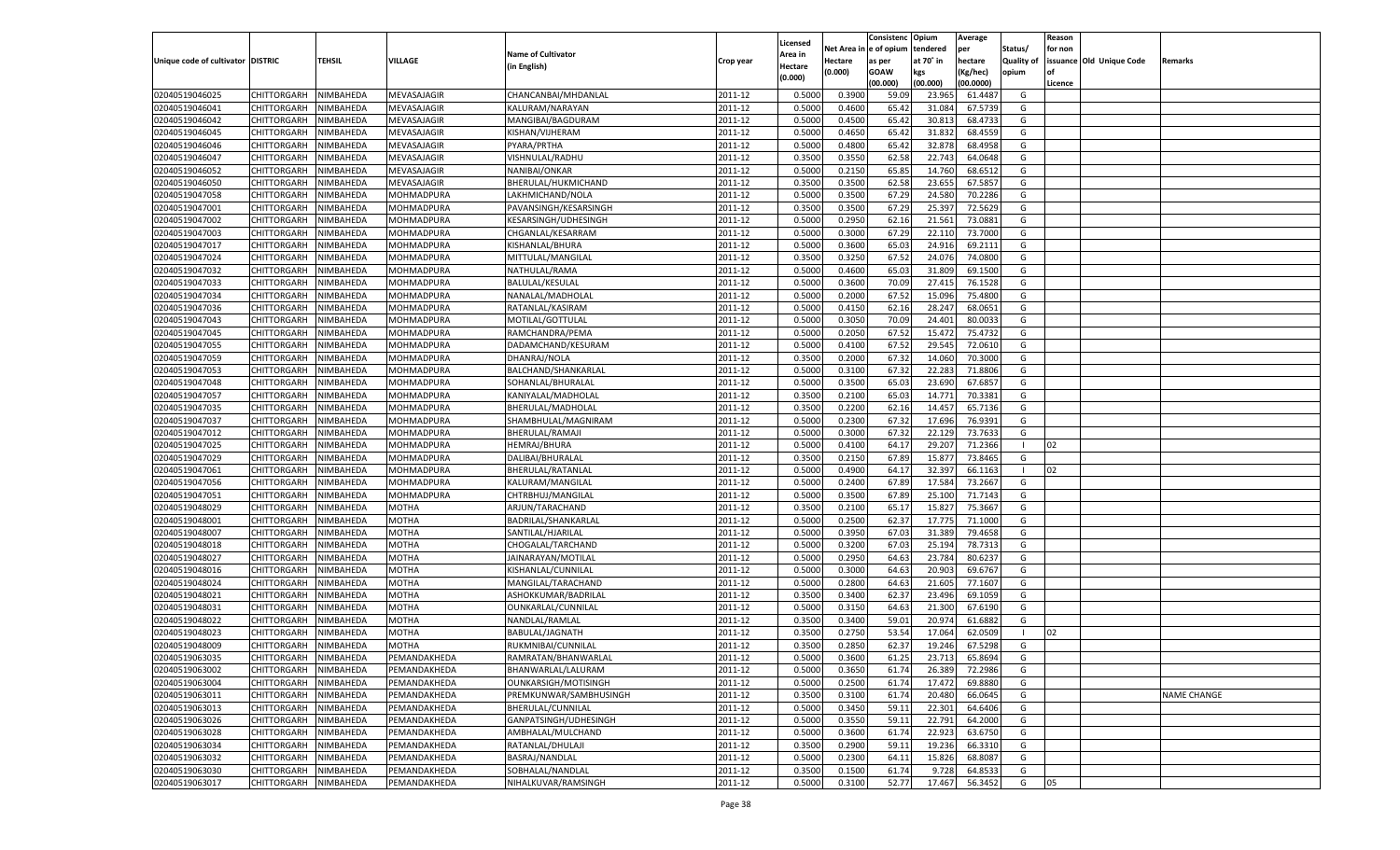|                                   |                            |                        |                              |                                       |                    |                  |                  | Consistenc Opium |                  | Average            |                   | Reason    |                          |                    |
|-----------------------------------|----------------------------|------------------------|------------------------------|---------------------------------------|--------------------|------------------|------------------|------------------|------------------|--------------------|-------------------|-----------|--------------------------|--------------------|
|                                   |                            |                        |                              |                                       |                    | Licensed         | Net Area         | e of opium       | tendered         | per                | Status/           | for non   |                          |                    |
| Unique code of cultivator DISTRIC |                            | TEHSIL                 | VILLAGE                      | <b>Name of Cultivator</b>             | Crop year          | Area in          | Hectare          | as per           | at 70˚ in        | hectare            | <b>Quality of</b> |           | issuance Old Unique Code | Remarks            |
|                                   |                            |                        |                              | (in English)                          |                    | Hectare          | (0.000)          | <b>GOAW</b>      | kgs              | (Kg/hec)           | opium             | <b>of</b> |                          |                    |
|                                   |                            |                        |                              |                                       |                    | (0.000)          |                  | (00.000)         | (00.000)         | (00.0000)          |                   | Licence   |                          |                    |
| 02040519046025                    | CHITTORGARH                | NIMBAHEDA              | MEVASAJAGIR                  | CHANCANBAI/MHDANLAL                   | 2011-12            | 0.5000           | 0.3900           | 59.09            | 23.965           | 61.4487            | G                 |           |                          |                    |
| 02040519046041                    | CHITTORGARH                | NIMBAHEDA              | MEVASAJAGIR                  | KALURAM/NARAYAN                       | 2011-12            | 0.5000           | 0.4600           | 65.4             | 31.084           | 67.5739            | G                 |           |                          |                    |
| 02040519046042                    | <b>CHITTORGARH</b>         | NIMBAHEDA              | MEVASAJAGIR                  | MANGIBAI/BAGDURAM                     | 2011-12            | 0.5000           | 0.4500           | 65.42            | 30.813           | 68.4733            | G                 |           |                          |                    |
| 02040519046045                    | CHITTORGARH                | NIMBAHEDA              | MEVASAJAGIR                  | KISHAN/VIJHERAM                       | 2011-12            | 0.5000           | 0.4650           | 65.42            | 31.83            | 68.4559            | G                 |           |                          |                    |
| 02040519046046                    | CHITTORGARH                | NIMBAHEDA              | MEVASAJAGIR                  | PYARA/PRTHA                           | 2011-12            | 0.5000           | 0.4800           | 65.42            | 32.878           | 68.4958            | G                 |           |                          |                    |
| 02040519046047                    | CHITTORGARH                | NIMBAHEDA              | MEVASAJAGIR                  | VISHNULAL/RADHU                       | 2011-12            | 0.3500           | 0.3550           | 62.58            | 22.743           | 64.0648            | G                 |           |                          |                    |
| 02040519046052                    | CHITTORGARH                | NIMBAHEDA              | MEVASAJAGIR                  | NANIBAI/ONKAR                         | 2011-12            | 0.5000           | 0.2150           | 65.85            | 14.760           | 68.651             | G                 |           |                          |                    |
| 02040519046050                    | CHITTORGARH                | NIMBAHEDA              | MEVASAJAGIR                  | BHERULAL/HUKMICHAND                   | 2011-12            | 0.3500           | 0.3500           | 62.58            | 23.655           | 67.585             | G                 |           |                          |                    |
| 02040519047058                    | CHITTORGARH                | NIMBAHEDA              | MOHMADPURA                   | LAKHMICHAND/NOLA                      | 2011-12            | 0.5000           | 0.3500           | 67.29            | 24.580           | 70.2286            | G                 |           |                          |                    |
| 02040519047001                    | CHITTORGARH                | NIMBAHEDA              | MOHMADPURA                   | PAVANSINGH/KESARSINGH                 | 2011-12            | 0.3500           | 0.3500           | 67.29            | 25.39            | 72.5629            | G                 |           |                          |                    |
| 02040519047002                    | CHITTORGARH                | NIMBAHEDA              | MOHMADPURA                   | KESARSINGH/UDHESINGH                  | 2011-12            | 0.5000           | 0.2950           | 62.16            | 21.561           | 73.0881            | G                 |           |                          |                    |
| 02040519047003                    | CHITTORGARH                | NIMBAHEDA              | MOHMADPURA                   | CHGANLAL/KESARRAM                     | 2011-12            | 0.5000           | 0.3000           | 67.29            | 22.110           | 73.7000            | G                 |           |                          |                    |
| 02040519047017                    | CHITTORGARH                | NIMBAHEDA              | MOHMADPURA                   | KISHANLAL/BHURA                       | 2011-12            | 0.5000           | 0.3600           | 65.03            | 24.916           | 69.2111            | G                 |           |                          |                    |
| 02040519047024                    | CHITTORGARH                | NIMBAHEDA              | MOHMADPURA                   | MITTULAL/MANGILAL                     | 2011-12            | 0.3500           | 0.3250           | 67.52            | 24.076           | 74.0800            | G                 |           |                          |                    |
| 02040519047032                    | <b>CHITTORGARH</b>         | NIMBAHEDA              | MOHMADPURA                   | NATHULAL/RAMA                         | 2011-12            | 0.5000           | 0.4600           | 65.03            | 31.809           | 69.1500            | G                 |           |                          |                    |
| 02040519047033                    | CHITTORGARH                | NIMBAHEDA              | MOHMADPURA                   | <b>BALULAL/KESULAL</b>                | 2011-12            | 0.5000           | 0.3600           | 70.09            | 27.415           | 76.1528            | G                 |           |                          |                    |
| 02040519047034                    | <b>CHITTORGARH</b>         | NIMBAHEDA              | MOHMADPURA                   | NANALAL/MADHOLAL                      | 2011-12            | 0.5000           | 0.2000           | 67.52            | 15.096           | 75.4800            | G                 |           |                          |                    |
| 02040519047036                    | CHITTORGARH                | NIMBAHEDA              | MOHMADPURA                   | RATANLAL/KASIRAM                      | 2011-12            | 0.5000           | 0.4150           | 62.16            | 28.247           | 68.0651            | G                 |           |                          |                    |
| 02040519047043                    | <b>CHITTORGARH</b>         | NIMBAHEDA              | MOHMADPURA                   | MOTILAL/GOTTULAL                      | 2011-12            | 0.5000           | 0.3050           | 70.09            | 24.401           | 80.003             | G                 |           |                          |                    |
| 02040519047045                    | CHITTORGARH                | NIMBAHEDA              | MOHMADPURA                   | RAMCHANDRA/PEMA                       | 2011-12            | 0.5000           | 0.2050           | 67.52            | 15.472           | 75.4732            | G                 |           |                          |                    |
| 02040519047055                    | <b>CHITTORGARH</b>         | NIMBAHEDA              | MOHMADPURA                   | DADAMCHAND/KESURAM                    | 2011-12            | 0.5000           | 0.4100           | 67.52            | 29.545           | 72.0610            | G                 |           |                          |                    |
| 02040519047059                    | CHITTORGARH                | NIMBAHEDA              | MOHMADPURA                   | DHANRAJ/NOLA                          | 2011-12            | 0.3500           | 0.2000           | 67.32            | 14.060           | 70.3000            | G                 |           |                          |                    |
| 02040519047053                    | <b>CHITTORGARH</b>         | NIMBAHEDA              | MOHMADPURA                   | BALCHAND/SHANKARLAI                   | 2011-12            | 0.5000           | 0.3100           | 67.32            | 22.283           | 71.880             | G                 |           |                          |                    |
| 02040519047048                    | CHITTORGARH                | NIMBAHEDA              | MOHMADPURA                   | SOHANLAL/BHURALAL                     | 2011-12            | 0.5000           | 0.3500           | 65.03            | 23.690           | 67.6857            | G                 |           |                          |                    |
| 02040519047057                    | <b>CHITTORGARH</b>         | NIMBAHEDA              | MOHMADPURA                   | KANIYALAL/MADHOLAL                    | 2011-12            | 0.3500           | 0.2100           | 65.03            | 14.771           | 70.3381            | G                 |           |                          |                    |
| 02040519047035                    | CHITTORGARH                | NIMBAHEDA              | MOHMADPURA                   | BHERULAL/MADHOLAL                     | 2011-12            | 0.3500           | 0.2200           | 62.16            | 14.457           | 65.7136            | G                 |           |                          |                    |
| 02040519047037                    | <b>CHITTORGARH</b>         | NIMBAHEDA              | MOHMADPURA                   | SHAMBHULAL/MAGNIRAM                   | 2011-12            | 0.5000           | 0.2300           | 67.32            | 17.696           | 76.9391            | G                 |           |                          |                    |
| 02040519047012                    | CHITTORGARH                | NIMBAHEDA              | MOHMADPURA                   | BHERULAL/RAMAJI                       | 2011-12            | 0.5000           | 0.3000           | 67.32            | 22.129           | 73.7633            | G                 |           |                          |                    |
| 02040519047025                    | <b>CHITTORGARH</b>         | NIMBAHEDA              | MOHMADPURA                   | HEMRAJ/BHURA                          | 2011-12            | 0.5000           | 0.4100           | 64.17            | 29.207           | 71.2366            | - 1               | 02        |                          |                    |
| 02040519047029                    | CHITTORGARH                | NIMBAHEDA              | MOHMADPURA                   | DALIBAI/BHURALAL                      | 2011-12            | 0.3500           | 0.2150           | 67.89            | 15.87            | 73.8465            | G                 |           |                          |                    |
| 02040519047061                    | CHITTORGARH                | NIMBAHEDA              | MOHMADPURA                   | BHERULAL/RATANLAL                     | 2011-12            | 0.5000           | 0.4900           | 64.17            | 32.397           | 66.1163            | - 1               | 02        |                          |                    |
| 02040519047056                    | CHITTORGARH                | NIMBAHEDA              | MOHMADPURA                   | KALURAM/MANGILAL                      | 2011-12            | 0.5000           | 0.2400           | 67.89            | 17.58            | 73.2667            | G                 |           |                          |                    |
| 02040519047051                    | CHITTORGARH                | NIMBAHEDA              | MOHMADPURA                   | CHTRBHUJ/MANGILAL                     | 2011-12            | 0.5000           | 0.3500           | 67.89            | 25.100           | 71.7143            | G                 |           |                          |                    |
| 02040519048029                    | CHITTORGARH                | NIMBAHEDA              | MOTHA                        | ARJUN/TARACHAND                       | 2011-12            | 0.3500           | 0.2100           | 65.17            | 15.82            | 75.3667            | G                 |           |                          |                    |
| 02040519048001                    | CHITTORGARH                | NIMBAHEDA              | MOTHA                        | BADRILAL/SHANKARLAI                   | 2011-12            | 0.5000           | 0.2500           | 62.37            | 17.775           | 71.1000            | G                 |           |                          |                    |
| 02040519048007                    | CHITTORGARH                | NIMBAHEDA              | MOTHA                        | SANTILAL/HJARILAL                     | 2011-12            | 0.5000           | 0.3950           | 67.03            | 31.38            | 79.4658            | G                 |           |                          |                    |
| 02040519048018                    | CHITTORGARH                | NIMBAHEDA              | MOTHA                        | CHOGALAL/TARCHAND                     | 2011-12            | 0.5000           | 0.3200           | 67.03            | 25.194           | 78.7313            | G                 |           |                          |                    |
| 02040519048027                    | CHITTORGARH                | NIMBAHEDA              | MOTHA                        | JAINARAYAN/MOTILAL                    | 2011-12            | 0.5000           | 0.2950           | 64.63            | 23.784           | 80.623             | G                 |           |                          |                    |
| 02040519048016                    | CHITTORGARH                | NIMBAHEDA              | MOTHA                        | KISHANLAL/CUNNILAL                    | 2011-12            | 0.5000           | 0.3000           | 64.63            | 20.903           | 69.6767            | G                 |           |                          |                    |
| 02040519048024                    | CHITTORGARH                | NIMBAHEDA              | MOTHA                        | MANGILAL/TARACHAND                    | 2011-12            | 0.5000           | 0.2800           | 64.63            | 21.605           | 77.1607            | G                 |           |                          |                    |
| 02040519048021                    | CHITTORGARH                | NIMBAHEDA              | MOTHA                        | ASHOKKUMAR/BADRILAL                   | 2011-12            | 0.3500           | 0.3400           | 62.37            | 23.496           | 69.1059            | G                 |           |                          |                    |
| 02040519048031                    | CHITTORGARH                | NIMBAHEDA              | MOTHA                        | OUNKARLAL/CUNNILAL                    | 2011-12            | 0.5000           | 0.3150           | 64.63            | 21.30            | 67.6190            | G                 |           |                          |                    |
| 02040519048022                    | CHITTORGARH                | NIMBAHEDA              | MOTHA                        | NANDLAL/RAMLAL                        | 2011-12            | 0.3500           | 0.3400           | 59.01            | 20.97            | 61.6882            | G                 |           |                          |                    |
| 02040519048023                    | CHITTORGARH                | NIMBAHEDA              | MOTHA                        | BABULAL/JAGNATH                       | 2011-12            | 0.3500           | 0.2750           | 53.54            | 17.064           | 62.0509            |                   | 02        |                          |                    |
| 02040519048009                    | CHITTORGARH                | NIMBAHEDA              | MOTHA                        | RUKMNIBAI/CUNNILAL                    | 2011-12            | 0.3500           | 0.2850           | 62.37            | 19.246           | 67.5298            | G                 |           |                          |                    |
|                                   |                            |                        |                              | RAMRATAN/BHANWARLAL                   | 2011-12            |                  | 0.3600           |                  | 23.713           |                    | G                 |           |                          |                    |
| 02040519063035<br>02040519063002  | CHITTORGARH<br>CHITTORGARH | NIMBAHEDA              | PEMANDAKHEDA<br>PEMANDAKHEDA | BHANWARLAL/LALURAM                    |                    | 0.5000           |                  | 61.25            |                  | 65.8694<br>72.2986 | G                 |           |                          |                    |
| 02040519063004                    | <b>CHITTORGARH</b>         | NIMBAHEDA<br>NIMBAHEDA | PEMANDAKHEDA                 | OUNKARSIGH/MOTISINGH                  | 2011-12<br>2011-12 | 0.5000<br>0.5000 | 0.3650<br>0.2500 | 61.74<br>61.74   | 26.389<br>17.472 | 69.8880            | G                 |           |                          |                    |
| 02040519063011                    | <b>CHITTORGARH</b>         | NIMBAHEDA              | PEMANDAKHEDA                 | PREMKUNWAR/SAMBHUSINGH                | 2011-12            | 0.3500           | 0.3100           | 61.74            | 20.480           | 66.0645            | G                 |           |                          | <b>NAME CHANGE</b> |
| 02040519063013                    | <b>CHITTORGARH</b>         | NIMBAHEDA              | PEMANDAKHEDA                 | BHERULAL/CUNNILAL                     | 2011-12            | 0.5000           | 0.3450           | 59.11            | 22.301           | 64.6406            | G                 |           |                          |                    |
| 02040519063026                    | <b>CHITTORGARH</b>         | NIMBAHEDA              | PEMANDAKHEDA                 | GANPATSINGH/UDHESINGH                 | 2011-12            | 0.5000           | 0.3550           | 59.11            | 22.791           | 64.2000            | G                 |           |                          |                    |
|                                   | <b>CHITTORGARH</b>         |                        |                              |                                       |                    |                  |                  |                  |                  |                    | G                 |           |                          |                    |
| 02040519063028                    | <b>CHITTORGARH</b>         | NIMBAHEDA<br>NIMBAHEDA | PEMANDAKHEDA<br>PEMANDAKHEDA | AMBHALAL/MULCHAND<br>RATANLAL/DHULAJI | 2011-12<br>2011-12 | 0.5000           | 0.3600<br>0.2900 | 61.74            | 22.923<br>19.236 | 63.6750            | G                 |           |                          |                    |
| 02040519063034                    | <b>CHITTORGARH</b>         |                        |                              | BASRAJ/NANDLAL                        | 2011-12            | 0.3500           |                  | 59.11            |                  | 66.3310<br>68.8087 | G                 |           |                          |                    |
| 02040519063032<br>02040519063030  |                            | NIMBAHEDA              | PEMANDAKHEDA                 |                                       |                    | 0.5000           | 0.2300           | 64.11            | 15.826           |                    |                   |           |                          |                    |
|                                   | CHITTORGARH                | NIMBAHEDA              | PEMANDAKHEDA                 | SOBHALAL/NANDLAL                      | 2011-12            | 0.3500           | 0.1500           | 61.74            | 9.728            | 64.8533            | G                 |           |                          |                    |
| 02040519063017                    | CHITTORGARH                | NIMBAHEDA              | PEMANDAKHEDA                 | NIHALKUVAR/RAMSINGH                   | 2011-12            | 0.5000           | 0.3100           | 52.77            | 17.467           | 56.3452            | G                 | 05        |                          |                    |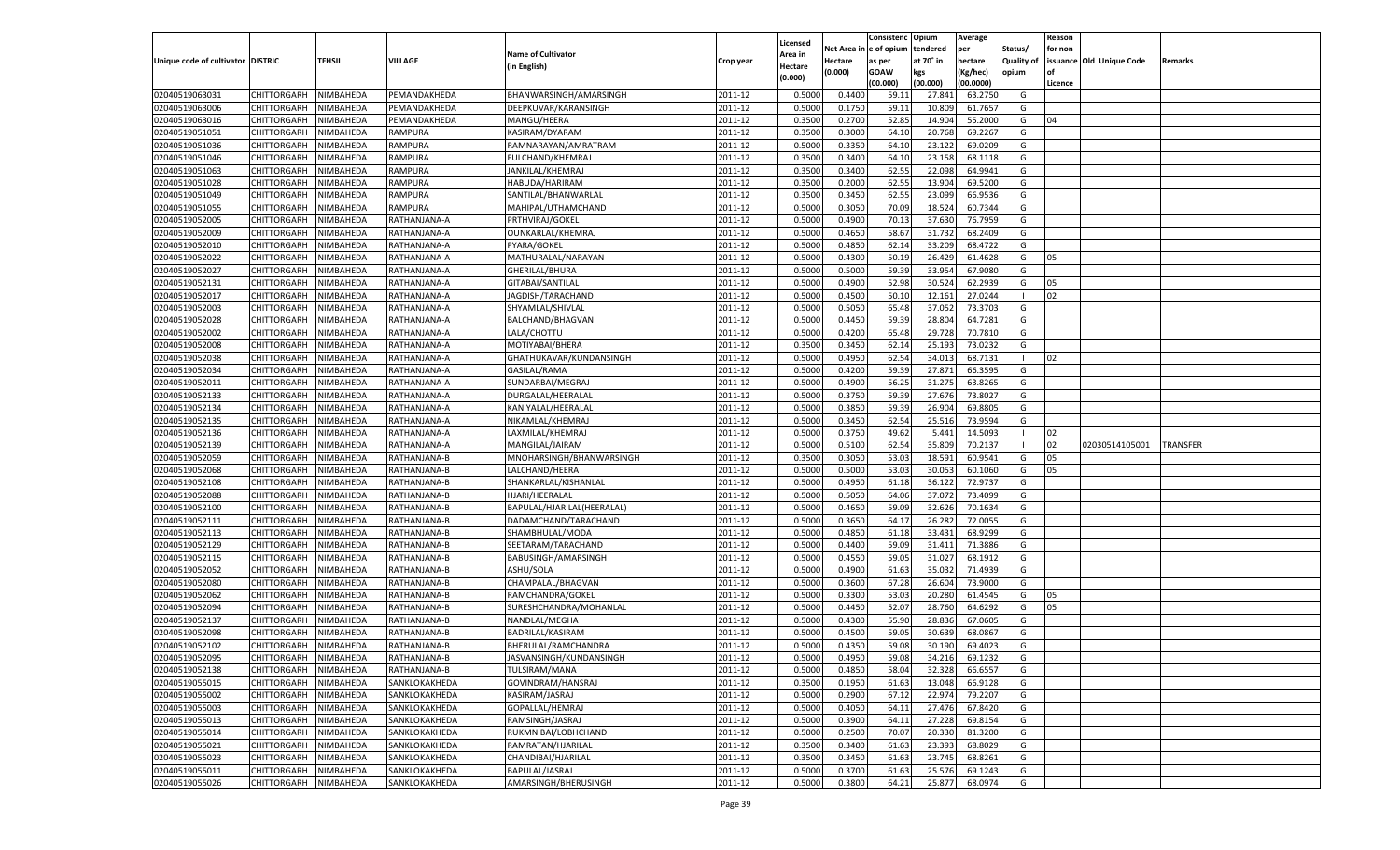|                                   |                       |               |               |                            |           |                           |          | Consistenc  | Opium     | Average            |                   | Reason   |                          |                 |
|-----------------------------------|-----------------------|---------------|---------------|----------------------------|-----------|---------------------------|----------|-------------|-----------|--------------------|-------------------|----------|--------------------------|-----------------|
|                                   |                       |               |               | <b>Name of Cultivator</b>  |           | Licensed                  | Net Area | e of opium  | tendered  | per                | Status/           | for non  |                          |                 |
| Unique code of cultivator DISTRIC |                       | <b>TEHSIL</b> | VILLAGE       | (in English)               | Crop year | <b>Area in</b><br>Hectare | Hectare  | as per      | at 70° in | hectare            | <b>Quality of</b> |          | issuance Old Unique Code | Remarks         |
|                                   |                       |               |               |                            |           | (0.000)                   | (0.000)  | <b>GOAW</b> | kgs       | (Kg/hec)           | opium             |          |                          |                 |
|                                   |                       |               |               |                            |           |                           |          | (00.000)    | (00.000)  | (00.0000)          |                   | Licence  |                          |                 |
| 02040519063031                    | CHITTORGARH           | NIMBAHEDA     | PEMANDAKHEDA  | BHANWARSINGH/AMARSINGH     | 2011-12   | 0.5000                    | 0.4400   | 59.11       | 27.841    | 63.2750            | G                 |          |                          |                 |
| 02040519063006                    | CHITTORGARH           | NIMBAHEDA     | PEMANDAKHEDA  | DEEPKUVAR/KARANSINGH       | 2011-12   | 0.5000                    | 0.1750   | 59.11       | 10.809    | 61.7657            | G                 |          |                          |                 |
| 02040519063016                    | CHITTORGARH           | NIMBAHEDA     | PEMANDAKHEDA  | MANGU/HEERA                | 2011-12   | 0.3500                    | 0.2700   | 52.85       | 14.904    | 55.2000            | G                 | 04       |                          |                 |
| 02040519051051                    | CHITTORGARH           | NIMBAHEDA     | RAMPURA       | KASIRAM/DYARAM             | 2011-12   | 0.3500                    | 0.3000   | 64.10       | 20.768    | 69.2267            | G                 |          |                          |                 |
| 02040519051036                    | CHITTORGARH           | NIMBAHEDA     | RAMPURA       | RAMNARAYAN/AMRATRAM        | 2011-12   | 0.5000                    | 0.3350   | 64.10       | 23.122    | 69.0209            | G                 |          |                          |                 |
| 02040519051046                    | CHITTORGARH           | NIMBAHEDA     | RAMPURA       | FULCHAND/KHEMRAJ           | 2011-12   | 0.3500                    | 0.3400   | 64.10       | 23.15     | 68.1118            | G                 |          |                          |                 |
| 02040519051063                    | CHITTORGARH           | NIMBAHEDA     | RAMPURA       | JANKILAL/KHEMRAJ           | 2011-12   | 0.3500                    | 0.3400   | 62.55       | 22.098    | 64.9941            | G                 |          |                          |                 |
| 02040519051028                    | CHITTORGARH           | NIMBAHEDA     | RAMPURA       | HABUDA/HARIRAM             | 2011-12   | 0.3500                    | 0.2000   | 62.55       | 13.904    | 69.5200            | G                 |          |                          |                 |
| 02040519051049                    | CHITTORGARH           | NIMBAHEDA     | RAMPURA       | SANTILAL/BHANWARLAL        | 2011-12   | 0.3500                    | 0.3450   | 62.55       | 23.099    | 66.9536            | G                 |          |                          |                 |
| 02040519051055                    | CHITTORGARH           | NIMBAHEDA     | RAMPURA       | MAHIPAL/UTHAMCHAND         | 2011-12   | 0.5000                    | 0.3050   | 70.09       | 18.524    | 60.7344            | G                 |          |                          |                 |
| 02040519052005                    | CHITTORGARH           | NIMBAHEDA     | RATHANJANA-A  | PRTHVIRAJ/GOKEL            | 2011-12   | 0.5000                    | 0.4900   | 70.13       | 37.63     | 76.7959            | G                 |          |                          |                 |
| 02040519052009                    | CHITTORGARH           | NIMBAHEDA     | RATHANJANA-A  | OUNKARLAL/KHEMRAJ          | 2011-12   | 0.5000                    | 0.4650   | 58.67       | 31.732    | 68.2409            | G                 |          |                          |                 |
| 02040519052010                    | CHITTORGARH           | NIMBAHEDA     | RATHANJANA-A  | PYARA/GOKEL                | 2011-12   | 0.5000                    | 0.4850   | 62.14       | 33.209    | 68.4722            | G                 |          |                          |                 |
| 02040519052022                    | CHITTORGARH           | NIMBAHEDA     | RATHANJANA-A  | MATHURALAL/NARAYAN         | 2011-12   | 0.5000                    | 0.4300   | 50.19       | 26.429    | 61.4628            | G                 | 05       |                          |                 |
| 02040519052027                    | CHITTORGARH           | NIMBAHEDA     | RATHANJANA-A  | GHERILAL/BHURA             | 2011-12   | 0.5000                    | 0.5000   | 59.39       | 33.954    | 67.9080            | G                 |          |                          |                 |
| 02040519052131                    | CHITTORGARH           | NIMBAHEDA     | RATHANJANA-A  | GITABAI/SANTILAL           | 2011-12   | 0.5000                    | 0.4900   | 52.98       | 30.524    | 62.2939            | G                 | 05       |                          |                 |
| 02040519052017                    | CHITTORGARH           | NIMBAHEDA     | RATHANJANA-A  | JAGDISH/TARACHAND          | 2011-12   | 0.5000                    | 0.4500   | 50.10       | 12.161    | 27.0244            | $\blacksquare$    | 02       |                          |                 |
| 02040519052003                    | CHITTORGARH           | NIMBAHEDA     | RATHANJANA-A  | SHYAMLAL/SHIVLAL           | 2011-12   | 0.5000                    | 0.5050   | 65.48       | 37.052    | 73.3703            | G                 |          |                          |                 |
| 02040519052028                    | CHITTORGARH           | NIMBAHEDA     | RATHANJANA-A  | BALCHAND/BHAGVAN           | 2011-12   | 0.5000                    | 0.4450   | 59.39       | 28.804    | 64.7281            | G                 |          |                          |                 |
| 02040519052002                    | CHITTORGARH           | NIMBAHEDA     | RATHANJANA-A  | LALA/CHOTTU                | 2011-12   | 0.5000                    | 0.4200   | 65.48       | 29.728    | 70.7810            | G                 |          |                          |                 |
| 02040519052008                    | CHITTORGARH           | NIMBAHEDA     | RATHANJANA-A  | MOTIYABAI/BHERA            | 2011-12   | 0.3500                    | 0.3450   | 62.14       | 25.193    | 73.0232            | G                 |          |                          |                 |
| 02040519052038                    | CHITTORGARH           | NIMBAHEDA     | RATHANJANA-A  | GHATHUKAVAR/KUNDANSINGH    | 2011-12   | 0.5000                    | 0.4950   | 62.54       | 34.013    | 68.7131            | $\blacksquare$    | 02       |                          |                 |
| 02040519052034                    | CHITTORGARH           | NIMBAHEDA     | RATHANJANA-A  | GASILAL/RAMA               | 2011-12   | 0.5000                    | 0.4200   | 59.39       | 27.871    | 66.3595            | G                 |          |                          |                 |
| 02040519052011                    | CHITTORGARH           | NIMBAHEDA     | RATHANJANA-A  | SUNDARBAI/MEGRAJ           | 2011-12   | 0.5000                    | 0.4900   | 56.25       | 31.275    | 63.8265            | G                 |          |                          |                 |
| 02040519052133                    | CHITTORGARH           | NIMBAHEDA     | RATHANJANA-A  | DURGALAL/HEERALAL          | 2011-12   | 0.5000                    | 0.3750   | 59.39       | 27.676    | 73.8027            | G                 |          |                          |                 |
| 02040519052134                    | CHITTORGARH           | NIMBAHEDA     | RATHANJANA-A  | KANIYALAL/HEERALAI         | 2011-12   | 0.5000                    | 0.3850   | 59.39       | 26.904    | 69.8805            | G                 |          |                          |                 |
| 02040519052135                    |                       |               |               | NIKAMLAL/KHEMRAJ           | 2011-12   | 0.5000                    | 0.3450   |             |           | 73.959             | G                 |          |                          |                 |
| 02040519052136                    | CHITTORGARH           | NIMBAHEDA     | RATHANJANA-A  |                            |           |                           |          | 62.54       | 25.516    |                    | - 1               |          |                          |                 |
|                                   | CHITTORGARH           | NIMBAHEDA     | RATHANJANA-A  | LAXMILAL/KHEMRAJ           | 2011-12   | 0.5000                    | 0.3750   | 49.62       | 5.441     | 14.5093<br>70.2137 | - 1               | 02<br>02 |                          |                 |
| 02040519052139                    | CHITTORGARH           | NIMBAHEDA     | RATHANJANA-A  | MANGILAL/JAIRAM            | 2011-12   | 0.5000                    | 0.5100   | 62.54       | 35.809    |                    |                   |          | 02030514105001           | <b>TRANSFER</b> |
| 02040519052059                    | CHITTORGARH           | NIMBAHEDA     | RATHANJANA-B  | MNOHARSINGH/BHANWARSINGH   | 2011-12   | 0.3500                    | 0.3050   | 53.03       | 18.591    | 60.9541            | G                 | 05       |                          |                 |
| 02040519052068                    | CHITTORGARH           | NIMBAHEDA     | RATHANJANA-B  | LALCHAND/HEERA             | 2011-12   | 0.5000                    | 0.5000   | 53.03       | 30.053    | 60.1060            | G                 | 05       |                          |                 |
| 02040519052108                    | CHITTORGARH           | NIMBAHEDA     | RATHANJANA-B  | SHANKARLAL/KISHANLAL       | 2011-12   | 0.5000                    | 0.4950   | 61.18       | 36.12     | 72.9737            | G                 |          |                          |                 |
| 02040519052088                    | CHITTORGARH           | NIMBAHEDA     | RATHANJANA-B  | HJARI/HEERALAL             | 2011-12   | 0.5000                    | 0.5050   | 64.06       | 37.072    | 73.4099            | G                 |          |                          |                 |
| 02040519052100                    | CHITTORGARH           | NIMBAHEDA     | RATHANJANA-B  | BAPULAL/HJARILAL(HEERALAL) | 2011-12   | 0.5000                    | 0.4650   | 59.09       | 32.626    | 70.1634            | G                 |          |                          |                 |
| 02040519052111                    | CHITTORGARH           | NIMBAHEDA     | RATHANJANA-B  | DADAMCHAND/TARACHAND       | 2011-12   | 0.5000                    | 0.3650   | 64.17       | 26.282    | 72.005             | G                 |          |                          |                 |
| 02040519052113                    | CHITTORGARH           | NIMBAHEDA     | RATHANJANA-B  | SHAMBHULAL/MODA            | 2011-12   | 0.5000                    | 0.4850   | 61.18       | 33.431    | 68.9299            | G                 |          |                          |                 |
| 02040519052129                    | CHITTORGARH           | NIMBAHEDA     | RATHANJANA-B  | SEETARAM/TARACHAND         | 2011-12   | 0.5000                    | 0.4400   | 59.09       | 31.411    | 71.3886            | G                 |          |                          |                 |
| 02040519052115                    | CHITTORGARH           | NIMBAHEDA     | RATHANJANA-B  | BABUSINGH/AMARSINGH        | 2011-12   | 0.5000                    | 0.4550   | 59.05       | 31.02     | 68.191             | G                 |          |                          |                 |
| 02040519052052                    | CHITTORGARH           | NIMBAHEDA     | RATHANJANA-B  | ASHU/SOLA                  | 2011-12   | 0.5000                    | 0.4900   | 61.63       | 35.03     | 71.4939            | G                 |          |                          |                 |
| 02040519052080                    | CHITTORGARH           | NIMBAHEDA     | RATHANJANA-B  | CHAMPALAL/BHAGVAN          | 2011-12   | 0.5000                    | 0.3600   | 67.28       | 26.604    | 73.9000            | G                 |          |                          |                 |
| 02040519052062                    | CHITTORGARH           | NIMBAHEDA     | RATHANJANA-B  | RAMCHANDRA/GOKEL           | 2011-12   | 0.5000                    | 0.3300   | 53.03       | 20.280    | 61.4545            | G                 | 05       |                          |                 |
| 02040519052094                    | CHITTORGARH           | NIMBAHEDA     | RATHANJANA-B  | SURESHCHANDRA/MOHANLAL     | 2011-12   | 0.5000                    | 0.4450   | 52.07       | 28.760    | 64.6292            | G                 | 05       |                          |                 |
| 02040519052137                    | CHITTORGARH           | NIMBAHEDA     | RATHANJANA-B  | NANDLAL/MEGHA              | 2011-12   | 0.5000                    | 0.4300   | 55.90       | 28.83     | 67.0605            | G                 |          |                          |                 |
| 02040519052098                    | CHITTORGARH           | NIMBAHEDA     | RATHANJANA-B  | BADRILAL/KASIRAM           | 2011-12   | 0.5000                    | 0.4500   | 59.0        | 30.63     | 68.086             | G                 |          |                          |                 |
| 02040519052102                    | CHITTORGARH           | NIMBAHEDA     | RATHANJANA-B  | BHERULAL/RAMCHANDRA        | 2011-12   | 0.5000                    | 0.4350   | 59.08       | 30.190    | 69.4023            | G                 |          |                          |                 |
| 02040519052095                    | CHITTORGARH NIMBAHEDA |               | RATHANJANA-B  | JASVANSINGH/KUNDANSINGH    | 2011-12   | 0.5000                    | 0.4950   | 59.08       | 34.216    | 69.1232            | G                 |          |                          |                 |
| 02040519052138                    | <b>CHITTORGARH</b>    | NIMBAHEDA     | RATHANJANA-B  | TULSIRAM/MANA              | 2011-12   | 0.5000                    | 0.4850   | 58.04       | 32.328    | 66.6557            | G                 |          |                          |                 |
| 02040519055015                    | <b>CHITTORGARH</b>    | NIMBAHEDA     | SANKLOKAKHEDA | GOVINDRAM/HANSRAJ          | 2011-12   | 0.3500                    | 0.1950   | 61.63       | 13.048    | 66.9128            | G                 |          |                          |                 |
| 02040519055002                    | <b>CHITTORGARH</b>    | NIMBAHEDA     | SANKLOKAKHEDA | KASIRAM/JASRAJ             | 2011-12   | 0.5000                    | 0.2900   | 67.12       | 22.974    | 79.2207            | G                 |          |                          |                 |
| 02040519055003                    | <b>CHITTORGARH</b>    | NIMBAHEDA     | SANKLOKAKHEDA | GOPALLAL/HEMRAJ            | 2011-12   | 0.5000                    | 0.4050   | 64.11       | 27.476    | 67.8420            | G                 |          |                          |                 |
| 02040519055013                    | <b>CHITTORGARH</b>    | NIMBAHEDA     | SANKLOKAKHEDA | RAMSINGH/JASRAJ            | 2011-12   | 0.5000                    | 0.3900   | 64.11       | 27.228    | 69.8154            | G                 |          |                          |                 |
| 02040519055014                    | <b>CHITTORGARH</b>    | NIMBAHEDA     | SANKLOKAKHEDA | RUKMNIBAI/LOBHCHAND        | 2011-12   | 0.5000                    | 0.2500   | 70.07       | 20.330    | 81.3200            | G                 |          |                          |                 |
| 02040519055021                    | <b>CHITTORGARH</b>    | NIMBAHEDA     | SANKLOKAKHEDA | RAMRATAN/HJARILAL          | 2011-12   | 0.3500                    | 0.3400   | 61.63       | 23.393    | 68.8029            | G                 |          |                          |                 |
| 02040519055023                    | <b>CHITTORGARH</b>    | NIMBAHEDA     | SANKLOKAKHEDA | CHANDIBAI/HJARILAL         | 2011-12   | 0.3500                    | 0.3450   | 61.63       | 23.745    | 68.8261            | G                 |          |                          |                 |
| 02040519055011                    | <b>CHITTORGARH</b>    | NIMBAHEDA     | SANKLOKAKHEDA | BAPULAL/JASRAJ             | 2011-12   | 0.5000                    | 0.3700   | 61.63       | 25.576    | 69.1243            | G                 |          |                          |                 |
| 02040519055026                    | CHITTORGARH           | NIMBAHEDA     | SANKLOKAKHEDA | AMARSINGH/BHERUSINGH       | 2011-12   | 0.5000                    | 0.3800   | 64.21       | 25.877    | 68.0974            | G                 |          |                          |                 |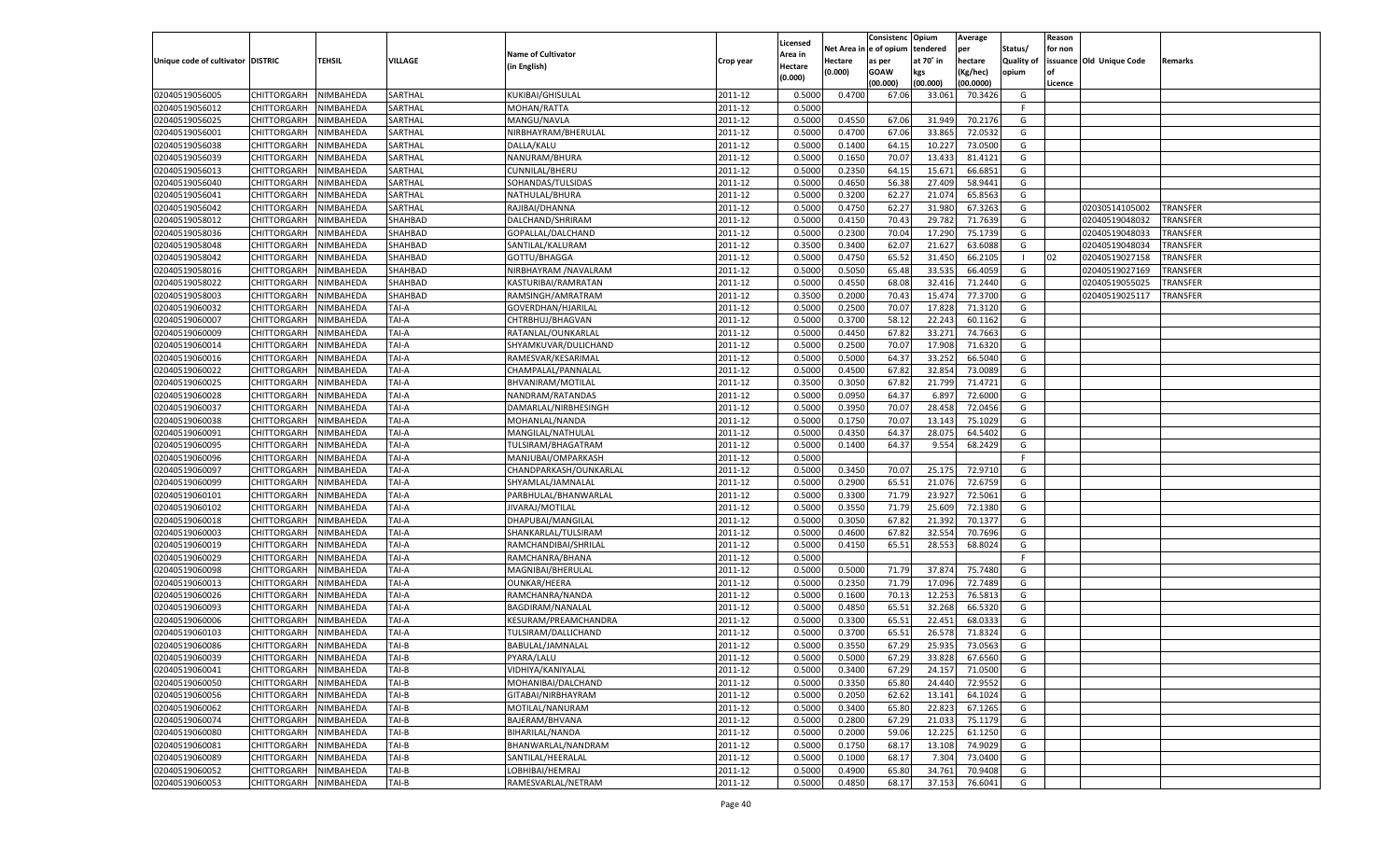|                                   |                            |                        |                |                           |                    |                           |          | Consistenc  | Opium     | Average   |                   | Reason  |                          |                 |
|-----------------------------------|----------------------------|------------------------|----------------|---------------------------|--------------------|---------------------------|----------|-------------|-----------|-----------|-------------------|---------|--------------------------|-----------------|
|                                   |                            |                        |                | <b>Name of Cultivator</b> |                    | Licensed                  | Net Area | e of opium  | tendered  | per       | Status/           | for non |                          |                 |
| Unique code of cultivator DISTRIC |                            | <b>TEHSIL</b>          | VILLAGE        | (in English)              | Crop year          | <b>Area in</b><br>Hectare | Hectare  | as per      | at 70° in | hectare   | <b>Quality of</b> |         | issuance Old Unique Code | Remarks         |
|                                   |                            |                        |                |                           |                    | (0.000)                   | (0.000)  | <b>GOAW</b> | kgs       | (Kg/hec)  | opium             |         |                          |                 |
|                                   |                            |                        |                |                           |                    |                           |          | (00.000)    | (00.000)  | (00.0000) |                   | Licence |                          |                 |
| 02040519056005                    | CHITTORGARH                | NIMBAHEDA              | SARTHAL        | KUKIBAI/GHISULAL          | 2011-12            | 0.5000                    | 0.4700   | 67.06       | 33.061    | 70.3426   | G                 |         |                          |                 |
| 02040519056012                    | CHITTORGARH                | NIMBAHEDA              | SARTHAL        | MOHAN/RATTA               | 2011-12            | 0.5000                    |          |             |           |           | F.                |         |                          |                 |
| 02040519056025                    | CHITTORGARH                | NIMBAHEDA              | SARTHAL        | MANGU/NAVLA               | 2011-12            | 0.5000                    | 0.4550   | 67.06       | 31.949    | 70.2176   | G                 |         |                          |                 |
| 02040519056001                    | CHITTORGARH                | NIMBAHEDA              | SARTHAL        | NIRBHAYRAM/BHERULAL       | 2011-12            | 0.5000                    | 0.4700   | 67.06       | 33.865    | 72.0532   | G                 |         |                          |                 |
| 02040519056038                    | CHITTORGARH                | NIMBAHEDA              | SARTHAL        | DALLA/KALU                | 2011-12            | 0.5000                    | 0.1400   | 64.15       | 10.22     | 73.0500   | G                 |         |                          |                 |
| 02040519056039                    | CHITTORGARH                | NIMBAHEDA              | SARTHAL        | NANURAM/BHURA             | 2011-12            | 0.5000                    | 0.1650   | 70.07       | 13.433    | 81.4121   | G                 |         |                          |                 |
| 02040519056013                    | CHITTORGARH                | NIMBAHEDA              | SARTHAL        | <b>CUNNILAL/BHERU</b>     | 2011-12            | 0.5000                    | 0.2350   | 64.15       | 15.671    | 66.6851   | G                 |         |                          |                 |
| 02040519056040                    | CHITTORGARH                | NIMBAHEDA              | SARTHAL        | SOHANDAS/TULSIDAS         | 2011-12            | 0.5000                    | 0.4650   | 56.38       | 27.409    | 58.9441   | G                 |         |                          |                 |
| 02040519056041                    | CHITTORGARH                | NIMBAHEDA              | SARTHAL        | NATHULAL/BHURA            | 2011-12            | 0.5000                    | 0.3200   | 62.2        | 21.074    | 65.8563   | G                 |         |                          |                 |
| 02040519056042                    | CHITTORGARH                | NIMBAHEDA              | SARTHAL        | RAJIBAI/DHANNA            | 2011-12            | 0.5000                    | 0.4750   | 62.2        | 31.980    | 67.3263   | G                 |         | 02030514105002           | TRANSFER        |
| 02040519058012                    | CHITTORGARH                | NIMBAHEDA              | SHAHBAD        | DALCHAND/SHRIRAM          | 2011-12            | 0.5000                    | 0.4150   | 70.43       | 29.78     | 71.7639   | G                 |         | 02040519048032           | TRANSFER        |
| 02040519058036                    | CHITTORGARH                | NIMBAHEDA              | SHAHBAD        | GOPALLAL/DALCHAND         | 2011-12            | 0.5000                    | 0.2300   | 70.04       | 17.29     | 75.1739   | G                 |         | 02040519048033           | TRANSFER        |
| 02040519058048                    | CHITTORGARH                | NIMBAHEDA              | SHAHBAD        | SANTILAL/KALURAM          | 2011-12            | 0.3500                    | 0.3400   | 62.07       | 21.627    | 63.6088   | G                 |         | 02040519048034           | TRANSFER        |
| 02040519058042                    | CHITTORGARH                | NIMBAHEDA              | SHAHBAD        | GOTTU/BHAGGA              | 2011-12            | 0.5000                    | 0.4750   | 65.52       | 31.450    | 66.2105   | $\blacksquare$    | 02      | 02040519027158           | TRANSFER        |
| 02040519058016                    | CHITTORGARH                | NIMBAHEDA              | SHAHBAD        | NIRBHAYRAM / NAVALRAM     | 2011-12            | 0.5000                    | 0.5050   | 65.48       | 33.535    | 66.4059   | G                 |         | 02040519027169           | TRANSFER        |
| 02040519058022                    | CHITTORGARH                | NIMBAHEDA              | SHAHBAD        | KASTURIBAI/RAMRATAN       | 2011-12            | 0.5000                    | 0.4550   | 68.08       | 32.416    | 71.2440   | G                 |         | 02040519055025           | TRANSFER        |
| 02040519058003                    | CHITTORGARH                | NIMBAHEDA              | SHAHBAD        | RAMSINGH/AMRATRAM         | 2011-12            | 0.3500                    | 0.2000   | 70.43       | 15.474    | 77.3700   | G                 |         | 02040519025117           | <b>TRANSFER</b> |
| 02040519060032                    | CHITTORGARH                | NIMBAHEDA              | TAI-A          | GOVERDHAN/HJARILAL        | 2011-12            | 0.5000                    | 0.2500   | 70.07       | 17.828    | 71.3120   | G                 |         |                          |                 |
| 02040519060007                    | CHITTORGARH                | NIMBAHEDA              | TAI-A          | CHTRBHUJ/BHAGVAN          | 2011-12            | 0.5000                    | 0.3700   | 58.12       | 22.243    | 60.1162   | G                 |         |                          |                 |
| 02040519060009                    | CHITTORGARH                | NIMBAHEDA              | TAI-A          | RATANLAL/OUNKARLAL        | 2011-12            | 0.5000                    | 0.4450   | 67.82       | 33.271    | 74.7663   | G                 |         |                          |                 |
| 02040519060014                    | CHITTORGARH                | NIMBAHEDA              | TAI-A          | SHYAMKUVAR/DULICHAND      | 2011-12            | 0.5000                    | 0.2500   | 70.07       | 17.908    | 71.6320   | G                 |         |                          |                 |
| 02040519060016                    | CHITTORGARH                | NIMBAHEDA              | TAI-A          | RAMESVAR/KESARIMAL        | 2011-12            | 0.5000                    | 0.5000   | 64.37       | 33.252    | 66.5040   | G                 |         |                          |                 |
| 02040519060022                    | CHITTORGARH                | NIMBAHEDA              | TAI-A          | CHAMPALAL/PANNALAL        | 2011-12            | 0.5000                    | 0.4500   | 67.82       | 32.854    | 73.0089   | G                 |         |                          |                 |
| 02040519060025                    | CHITTORGARH                | NIMBAHEDA              | TAI-A          | BHVANIRAM/MOTILAL         | 2011-12            | 0.3500                    | 0.3050   | 67.82       | 21.799    | 71.4721   | G                 |         |                          |                 |
| 02040519060028                    | CHITTORGARH                | NIMBAHEDA              | TAI-A          | NANDRAM/RATANDAS          | 2011-12            | 0.5000                    | 0.0950   | 64.37       | 6.897     | 72.6000   | G                 |         |                          |                 |
| 02040519060037                    | CHITTORGARH                | NIMBAHEDA              | TAI-A          | DAMARLAL/NIRBHESINGH      | 2011-12            | 0.5000                    | 0.3950   | 70.07       | 28.458    | 72.0456   | G                 |         |                          |                 |
| 02040519060038                    | CHITTORGARH                | NIMBAHEDA              | TAI-A          | MOHANLAL/NANDA            | 2011-12            | 0.5000                    | 0.1750   | 70.07       | 13.143    | 75.1029   | G                 |         |                          |                 |
| 02040519060091                    | CHITTORGARH                | NIMBAHEDA              | TAI-A          | MANGILAL/NATHULAL         | 2011-12            | 0.5000                    | 0.4350   | 64.37       | 28.075    | 64.5402   | G                 |         |                          |                 |
| 02040519060095                    | CHITTORGARH                | NIMBAHEDA              | TAI-A          | TULSIRAM/BHAGATRAM        | 2011-12            | 0.5000                    | 0.1400   | 64.37       | 9.554     | 68.2429   | G                 |         |                          |                 |
| 02040519060096                    | CHITTORGARH                | NIMBAHEDA              | TAI-A          | MANJUBAI/OMPARKASH        | 2011-12            | 0.5000                    |          |             |           |           | F.                |         |                          |                 |
| 02040519060097                    | CHITTORGARH                | NIMBAHEDA              | TAI-A          | CHANDPARKASH/OUNKARLAL    | 2011-12            | 0.5000                    | 0.3450   | 70.07       | 25.175    | 72.9710   | G                 |         |                          |                 |
| 02040519060099                    | CHITTORGARH                | NIMBAHEDA              | TAI-A          | SHYAMLAL/JAMNALAI         | 2011-12            | 0.5000                    | 0.2900   | 65.51       | 21.076    | 72.6759   | G                 |         |                          |                 |
| 02040519060101                    | <b>CHITTORGARH</b>         | NIMBAHEDA              | TAI-A          | PARBHULAL/BHANWARLAL      | 2011-12            | 0.5000                    | 0.3300   | 71.79       | 23.92     | 72.5061   | G                 |         |                          |                 |
| 02040519060102                    | CHITTORGARH                | NIMBAHEDA              | TAI-A          | JIVARAJ/MOTILAL           | 2011-12            | 0.5000                    | 0.3550   | 71.79       | 25.609    | 72.1380   | G                 |         |                          |                 |
| 02040519060018                    | CHITTORGARH                | NIMBAHEDA              | TAI-A          | DHAPUBAI/MANGILAL         | 2011-12            | 0.5000                    | 0.3050   | 67.82       | 21.39     | 70.1377   | G                 |         |                          |                 |
| 02040519060003                    | CHITTORGARH                | NIMBAHEDA              | TAI-A          | SHANKARLAL/TULSIRAM       | 2011-12            | 0.5000                    | 0.4600   | 67.82       | 32.554    | 70.7696   | G                 |         |                          |                 |
| 02040519060019                    | CHITTORGARH                | NIMBAHEDA              | TAI-A          | RAMCHANDIBAI/SHRILAI      | 2011-12            | 0.5000                    | 0.4150   | 65.51       | 28.553    | 68.8024   | G                 |         |                          |                 |
| 02040519060029                    | CHITTORGARH                | NIMBAHEDA              | TAI-A          | RAMCHANRA/BHANA           | 2011-12            | 0.5000                    |          |             |           |           | F                 |         |                          |                 |
| 02040519060098                    | CHITTORGARH                | NIMBAHEDA              | TAI-A          | MAGNIBAI/BHERULAL         | 2011-12            | 0.5000                    | 0.5000   | 71.79       | 37.87     | 75.7480   | G                 |         |                          |                 |
| 02040519060013                    |                            |                        | TAI-A          | <b>OUNKAR/HEERA</b>       |                    |                           | 0.2350   | 71.79       | 17.096    | 72.7489   | G                 |         |                          |                 |
| 02040519060026                    | CHITTORGARH                | NIMBAHEDA<br>NIMBAHEDA | TAI-A          | RAMCHANRA/NANDA           | 2011-12<br>2011-12 | 0.5000<br>0.5000          | 0.1600   | 70.13       | 12.253    | 76.581    | G                 |         |                          |                 |
| 02040519060093                    | CHITTORGARH                |                        |                |                           | 2011-12            |                           | 0.4850   |             | 32.268    | 66.5320   | G                 |         |                          |                 |
|                                   | CHITTORGARH<br>CHITTORGARH | NIMBAHEDA<br>NIMBAHEDA | TAI-A<br>TAI-A | BAGDIRAM/NANALAL          | 2011-12            | 0.5000<br>0.5000          |          | 65.51       |           |           |                   |         |                          |                 |
| 02040519060006                    |                            |                        |                | KESURAM/PREAMCHANDRA      |                    |                           | 0.3300   | 65.51       | 22.451    | 68.033    | G                 |         |                          |                 |
| 02040519060103                    | CHITTORGARH                | NIMBAHEDA              | TAI-A          | TULSIRAM/DALLICHAND       | 2011-12            | 0.5000                    | 0.3700   | 65.51       | 26.57     | 71.8324   | G                 |         |                          |                 |
| 02040519060086                    | CHITTORGARH                | NIMBAHEDA              | TAI-B          | BABULAL/JAMNALAI          | 2011-12            | 0.5000                    | 0.3550   | 67.29       | 25.935    | 73.0563   | G                 |         |                          |                 |
| 02040519060039                    | CHITTORGARH NIMBAHEDA      |                        | TAI-B          | PYARA/LALU                | 2011-12            | 0.5000                    | 0.5000   | 67.29       | 33.828    | 67.6560   | G                 |         |                          |                 |
| 02040519060041                    | <b>CHITTORGARH</b>         | NIMBAHEDA              | TAI-B          | VIDHIYA/KANIYALAL         | 2011-12            | 0.5000                    | 0.3400   | 67.29       | 24.157    | 71.0500   | G                 |         |                          |                 |
| 02040519060050                    | <b>CHITTORGARH</b>         | NIMBAHEDA              | TAI-B          | MOHANIBAI/DALCHAND        | 2011-12            | 0.5000                    | 0.3350   | 65.80       | 24.440    | 72.9552   | G                 |         |                          |                 |
| 02040519060056                    | <b>CHITTORGARH</b>         | NIMBAHEDA              | TAI-B          | GITABAI/NIRBHAYRAM        | 2011-12            | 0.5000                    | 0.2050   | 62.62       | 13.141    | 64.1024   | G                 |         |                          |                 |
| 02040519060062                    | <b>CHITTORGARH</b>         | NIMBAHEDA              | TAI-B          | MOTILAL/NANURAM           | 2011-12            | 0.5000                    | 0.3400   | 65.80       | 22.823    | 67.1265   | G                 |         |                          |                 |
| 02040519060074                    | <b>CHITTORGARH</b>         | NIMBAHEDA              | TAI-B          | BAJERAM/BHVANA            | 2011-12            | 0.5000                    | 0.2800   | 67.29       | 21.033    | 75.1179   | G                 |         |                          |                 |
| 02040519060080                    | <b>CHITTORGARH</b>         | NIMBAHEDA              | TAI-B          | BIHARILAL/NANDA           | 2011-12            | 0.5000                    | 0.2000   | 59.06       | 12.225    | 61.1250   | G                 |         |                          |                 |
| 02040519060081                    | <b>CHITTORGARH</b>         | NIMBAHEDA              | TAI-B          | BHANWARLAL/NANDRAM        | 2011-12            | 0.5000                    | 0.1750   | 68.17       | 13.108    | 74.9029   | G                 |         |                          |                 |
| 02040519060089                    | <b>CHITTORGARH</b>         | NIMBAHEDA              | TAI-B          | SANTILAL/HEERALAL         | 2011-12            | 0.5000                    | 0.1000   | 68.17       | 7.304     | 73.0400   | G                 |         |                          |                 |
| 02040519060052                    | <b>CHITTORGARH</b>         | NIMBAHEDA              | TAI-B          | LOBHIBAI/HEMRAJ           | 2011-12            | 0.5000                    | 0.4900   | 65.80       | 34.761    | 70.9408   | G                 |         |                          |                 |
| 02040519060053                    | <b>CHITTORGARH</b>         | NIMBAHEDA              | TAI-B          | RAMESVARLAL/NETRAM        | 2011-12            | 0.5000                    | 0.4850   | 68.17       | 37.153    | 76.6041   | G                 |         |                          |                 |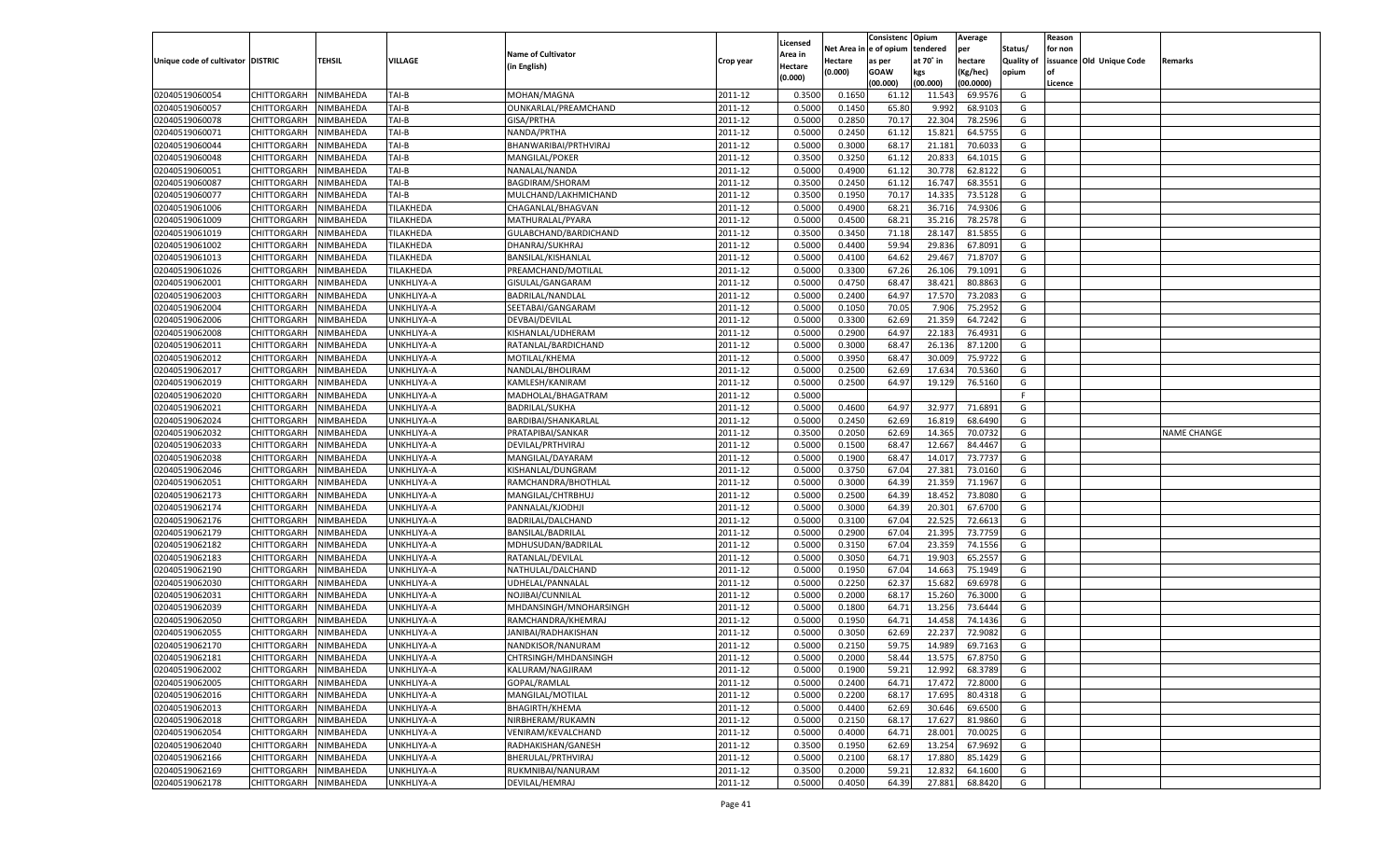|                                   |                       |               |            |                                        |           |                    |          | Consistenc  | Opium     | Average   |                   | Reason  |                          |                    |
|-----------------------------------|-----------------------|---------------|------------|----------------------------------------|-----------|--------------------|----------|-------------|-----------|-----------|-------------------|---------|--------------------------|--------------------|
|                                   |                       |               |            | <b>Name of Cultivator</b>              |           | Licensed           | Net Area | le of opium | tendered  | per       | Status/           | for non |                          |                    |
| Unique code of cultivator DISTRIC |                       | <b>TEHSIL</b> | VILLAGE    | (in English)                           | Crop year | \rea in<br>Hectare | Hectare  | as per      | at 70° in | hectare   | <b>Quality of</b> |         | issuance Old Unique Code | Remarks            |
|                                   |                       |               |            |                                        |           | (0.000)            | (0.000)  | <b>GOAW</b> | kgs       | (Kg/hec)  | opium             |         |                          |                    |
|                                   |                       |               |            |                                        |           |                    |          | (00.000)    | (00.000)  | (00.0000) |                   | Licence |                          |                    |
| 02040519060054                    | CHITTORGARH           | NIMBAHEDA     | TAI-B      | MOHAN/MAGNA                            | 2011-12   | 0.3500             | 0.1650   | 61.12       | 11.543    | 69.9576   | G                 |         |                          |                    |
| 02040519060057                    | CHITTORGARH           | NIMBAHEDA     | TAI-B      | OUNKARLAL/PREAMCHAND                   | 2011-12   | 0.5000             | 0.1450   | 65.80       | 9.992     | 68.9103   | G                 |         |                          |                    |
| 02040519060078                    | CHITTORGARH           | NIMBAHEDA     | TAI-B      | GISA/PRTHA                             | 2011-12   | 0.5000             | 0.2850   | 70.17       | 22.304    | 78.2596   | G                 |         |                          |                    |
| 02040519060071                    | CHITTORGARH           | NIMBAHEDA     | TAI-B      | NANDA/PRTHA                            | 2011-12   | 0.5000             | 0.2450   | 61.1        | 15.821    | 64.5755   | G                 |         |                          |                    |
| 02040519060044                    | CHITTORGARH           | NIMBAHEDA     | TAI-B      | BHANWARIBAI/PRTHVIRAJ                  | 2011-12   | 0.5000             | 0.3000   | 68.17       | 21.181    | 70.603    | G                 |         |                          |                    |
| 02040519060048                    | CHITTORGARH           | NIMBAHEDA     | TAI-B      | MANGILAL/POKER                         | 2011-12   | 0.3500             | 0.3250   | 61.1        | 20.833    | 64.101    | G                 |         |                          |                    |
| 02040519060051                    | CHITTORGARH           | NIMBAHEDA     | TAI-B      | NANALAL/NANDA                          | 2011-12   | 0.5000             | 0.4900   | 61.12       | 30.778    | 62.8122   | G                 |         |                          |                    |
| 02040519060087                    | CHITTORGARH           | NIMBAHEDA     | TAI-B      | BAGDIRAM/SHORAM                        | 2011-12   | 0.3500             | 0.2450   | 61.1        | 16.74     | 68.3551   | G                 |         |                          |                    |
| 02040519060077                    | CHITTORGARH           | NIMBAHEDA     | TAI-B      | MULCHAND/LAKHMICHAND                   | 2011-12   | 0.3500             | 0.1950   | 70.17       | 14.335    | 73.5128   | G                 |         |                          |                    |
| 02040519061006                    | CHITTORGARH           | NIMBAHEDA     | TILAKHEDA  | CHAGANLAL/BHAGVAN                      | 2011-12   | 0.5000             | 0.4900   | 68.2        | 36.716    | 74.930    | G                 |         |                          |                    |
| 02040519061009                    | CHITTORGARH           | NIMBAHEDA     | TILAKHEDA  | MATHURALAL/PYARA                       | 2011-12   | 0.5000             | 0.4500   | 68.21       | 35.216    | 78.2578   | G                 |         |                          |                    |
| 02040519061019                    | CHITTORGARH           | NIMBAHEDA     | TILAKHEDA  | GULABCHAND/BARDICHAND                  | 2011-12   | 0.3500             | 0.3450   | 71.18       | 28.147    | 81.5855   | G                 |         |                          |                    |
| 02040519061002                    | CHITTORGARH           | NIMBAHEDA     | TILAKHEDA  | DHANRAJ/SUKHRAJ                        | 2011-12   | 0.5000             | 0.4400   | 59.94       | 29.836    | 67.8091   | G                 |         |                          |                    |
| 02040519061013                    | CHITTORGARH           | NIMBAHEDA     | TILAKHEDA  | BANSILAL/KISHANLAI                     | 2011-12   | 0.5000             | 0.4100   | 64.62       | 29.467    | 71.8707   | G                 |         |                          |                    |
| 02040519061026                    | CHITTORGARH           | NIMBAHEDA     | TILAKHEDA  | PREAMCHAND/MOTILAL                     | 2011-12   | 0.5000             | 0.3300   | 67.26       | 26.106    | 79.1091   | G                 |         |                          |                    |
| 02040519062001                    | CHITTORGARH           | NIMBAHEDA     | UNKHLIYA-A | GISULAL/GANGARAM                       | 2011-12   | 0.5000             | 0.4750   | 68.4        | 38.421    | 80.8863   | G                 |         |                          |                    |
| 02040519062003                    | CHITTORGARH           | NIMBAHEDA     | UNKHLIYA-A | BADRILAL/NANDLAL                       | 2011-12   | 0.5000             | 0.2400   | 64.97       | 17.570    | 73.208    | G                 |         |                          |                    |
| 02040519062004                    | CHITTORGARH           | NIMBAHEDA     | UNKHLIYA-A | SEETABAI/GANGARAM                      | 2011-12   | 0.5000             | 0.1050   | 70.05       | 7.906     | 75.2952   | G                 |         |                          |                    |
| 02040519062006                    | CHITTORGARH           | NIMBAHEDA     | UNKHLIYA-A | DEVBAI/DEVILAL                         | 2011-12   | 0.5000             | 0.3300   | 62.69       | 21.359    | 64.7242   | G                 |         |                          |                    |
| 02040519062008                    | CHITTORGARH           | NIMBAHEDA     | UNKHLIYA-A | KISHANLAL/UDHERAM                      | 2011-12   | 0.5000             | 0.2900   | 64.97       | 22.183    | 76.4931   | G                 |         |                          |                    |
| 02040519062011                    | CHITTORGARH           | NIMBAHEDA     | UNKHLIYA-A | RATANLAL/BARDICHAND                    | 2011-12   | 0.5000             | 0.3000   | 68.47       | 26.136    | 87.1200   | G                 |         |                          |                    |
| 02040519062012                    | CHITTORGARH           | NIMBAHEDA     | UNKHLIYA-A | MOTILAL/KHEMA                          | 2011-12   | 0.5000             | 0.3950   | 68.4        | 30.009    | 75.9722   | G                 |         |                          |                    |
| 02040519062017                    | CHITTORGARH           | NIMBAHEDA     | UNKHLIYA-A | NANDLAL/BHOLIRAM                       | 2011-12   | 0.5000             | 0.2500   | 62.69       | 17.634    | 70.5360   | G                 |         |                          |                    |
| 02040519062019                    | CHITTORGARH           | NIMBAHEDA     | UNKHLIYA-A | KAMLESH/KANIRAM                        | 2011-12   | 0.5000             | 0.2500   | 64.97       | 19.129    | 76.5160   | G                 |         |                          |                    |
| 02040519062020                    | CHITTORGARH           | NIMBAHEDA     | UNKHLIYA-A | MADHOLAL/BHAGATRAM                     | 2011-12   | 0.5000             |          |             |           |           | F                 |         |                          |                    |
| 02040519062021                    | CHITTORGARH           | NIMBAHEDA     | UNKHLIYA-A | <b>BADRILAL/SUKHA</b>                  | 2011-12   | 0.5000             | 0.4600   | 64.97       | 32.977    | 71.6891   | G                 |         |                          |                    |
| 02040519062024                    | CHITTORGARH           | NIMBAHEDA     | UNKHLIYA-A | BARDIBAI/SHANKARLAL                    | 2011-12   | 0.5000             | 0.2450   | 62.69       | 16.819    | 68.6490   | G                 |         |                          |                    |
| 02040519062032                    | CHITTORGARH           | NIMBAHEDA     | UNKHLIYA-A | PRATAPIBAI/SANKAR                      | 2011-12   | 0.3500             | 0.2050   | 62.69       | 14.365    | 70.0732   | G                 |         |                          | <b>NAME CHANGE</b> |
| 02040519062033                    | CHITTORGARH           | NIMBAHEDA     | UNKHLIYA-A | DEVILAL/PRTHVIRAJ                      | 2011-12   | 0.5000             | 0.1500   | 68.47       | 12.667    | 84.4467   | G                 |         |                          |                    |
| 02040519062038                    | CHITTORGARH           | NIMBAHEDA     | UNKHLIYA-A | MANGILAL/DAYARAM                       | 2011-12   | 0.5000             | 0.1900   | 68.47       | 14.017    | 73.7737   | G                 |         |                          |                    |
| 02040519062046                    | CHITTORGARH           | NIMBAHEDA     | UNKHLIYA-A | KISHANLAL/DUNGRAM                      | 2011-12   | 0.5000             | 0.3750   | 67.04       | 27.381    | 73.0160   | G                 |         |                          |                    |
| 02040519062051                    | CHITTORGARH           | NIMBAHEDA     | UNKHLIYA-A | RAMCHANDRA/BHOTHLAL                    | 2011-12   | 0.5000             | 0.3000   | 64.39       | 21.35     | 71.1967   | G                 |         |                          |                    |
| 02040519062173                    | CHITTORGARH           | NIMBAHEDA     | UNKHLIYA-A | MANGILAL/CHTRBHUJ                      | 2011-12   | 0.5000             | 0.2500   | 64.39       | 18.45     | 73.8080   | G                 |         |                          |                    |
| 02040519062174                    | CHITTORGARH           | NIMBAHEDA     | UNKHLIYA-A | PANNALAL/KJODHJI                       | 2011-12   | 0.5000             | 0.3000   | 64.39       | 20.301    | 67.6700   | G                 |         |                          |                    |
| 02040519062176                    |                       |               |            |                                        | 2011-12   | 0.5000             | 0.3100   | 67.04       | 22.525    | 72.6613   | G                 |         |                          |                    |
| 02040519062179                    | CHITTORGARH           | NIMBAHEDA     | UNKHLIYA-A | BADRILAL/DALCHAND<br>BANSILAL/BADRILAL | 2011-12   | 0.5000             | 0.2900   | 67.04       | 21.395    | 73.7759   | G                 |         |                          |                    |
|                                   | CHITTORGARH           | NIMBAHEDA     | UNKHLIYA-A |                                        |           |                    |          |             |           | 74.1556   |                   |         |                          |                    |
| 02040519062182                    | CHITTORGARH           | NIMBAHEDA     | UNKHLIYA-A | MDHUSUDAN/BADRILAL                     | 2011-12   | 0.5000             | 0.3150   | 67.04       | 23.35     |           | G                 |         |                          |                    |
| 02040519062183                    | CHITTORGARH           | NIMBAHEDA     | UNKHLIYA-A | RATANLAL/DEVILAL                       | 2011-12   | 0.5000             | 0.3050   | 64.71       | 19.903    | 65.255    | G                 |         |                          |                    |
| 02040519062190                    | CHITTORGARH           | NIMBAHEDA     | UNKHLIYA-A | NATHULAL/DALCHAND                      | 2011-12   | 0.5000             | 0.1950   | 67.04       | 14.663    | 75.1949   | G                 |         |                          |                    |
| 02040519062030                    | CHITTORGARH           | NIMBAHEDA     | UNKHLIYA-A | UDHELAL/PANNALAL                       | 2011-12   | 0.5000             | 0.2250   | 62.3        | 15.682    | 69.6978   | G                 |         |                          |                    |
| 02040519062031                    | CHITTORGARH           | NIMBAHEDA     | UNKHLIYA-A | NOJIBAI/CUNNILAL                       | 2011-12   | 0.5000             | 0.2000   | 68.17       | 15.260    | 76.3000   | G                 |         |                          |                    |
| 02040519062039                    | CHITTORGARH           | NIMBAHEDA     | UNKHLIYA-A | MHDANSINGH/MNOHARSINGH                 | 2011-12   | 0.5000             | 0.1800   | 64.71       | 13.256    | 73.6444   | G                 |         |                          |                    |
| 02040519062050                    | CHITTORGARH           | NIMBAHEDA     | UNKHLIYA-A | RAMCHANDRA/KHEMRA.                     | 2011-12   | 0.5000             | 0.1950   | 64.71       | 14.45     | 74.1436   | G                 |         |                          |                    |
| 02040519062055                    | CHITTORGARH           | NIMBAHEDA     | UNKHLIYA-A | JANIBAI/RADHAKISHAN                    | 2011-12   | 0.5000             | 0.3050   | 62.69       | 22.23     | 72.9082   | G                 |         |                          |                    |
| 02040519062170                    | CHITTORGARH           | NIMBAHEDA     | UNKHLIYA-A | NANDKISOR/NANURAM                      | 2011-12   | 0.5000             | 0.2150   | 59.75       | 14.989    | 69.7163   | G                 |         |                          |                    |
| 02040519062181                    | CHITTORGARH NIMBAHEDA |               | UNKHLIYA-A | CHTRSINGH/MHDANSINGH                   | 2011-12   | 0.5000             | 0.2000   | 58.44       | 13.575    | 67.8750   | G                 |         |                          |                    |
| 02040519062002                    | <b>CHITTORGARH</b>    | NIMBAHEDA     | UNKHLIYA-A | KALURAM/NAGJIRAM                       | 2011-12   | 0.5000             | 0.1900   | 59.21       | 12.992    | 68.3789   | G                 |         |                          |                    |
| 02040519062005                    | <b>CHITTORGARH</b>    | NIMBAHEDA     | UNKHLIYA-A | GOPAL/RAMLAL                           | 2011-12   | 0.5000             | 0.2400   | 64.71       | 17.472    | 72.8000   | G                 |         |                          |                    |
| 02040519062016                    | <b>CHITTORGARH</b>    | NIMBAHEDA     | UNKHLIYA-A | MANGILAL/MOTILAL                       | 2011-12   | 0.5000             | 0.2200   | 68.17       | 17.695    | 80.4318   | G                 |         |                          |                    |
| 02040519062013                    | <b>CHITTORGARH</b>    | NIMBAHEDA     | UNKHLIYA-A | <b>BHAGIRTH/KHEMA</b>                  | 2011-12   | 0.5000             | 0.4400   | 62.69       | 30.646    | 69.6500   | G                 |         |                          |                    |
| 02040519062018                    | <b>CHITTORGARH</b>    | NIMBAHEDA     | UNKHLIYA-A | NIRBHERAM/RUKAMN                       | 2011-12   | 0.5000             | 0.2150   | 68.17       | 17.627    | 81.9860   | G                 |         |                          |                    |
| 02040519062054                    | <b>CHITTORGARH</b>    | NIMBAHEDA     | UNKHLIYA-A | VENIRAM/KEVALCHAND                     | 2011-12   | 0.5000             | 0.4000   | 64.71       | 28.001    | 70.0025   | G                 |         |                          |                    |
| 02040519062040                    | <b>CHITTORGARH</b>    | NIMBAHEDA     | UNKHLIYA-A | RADHAKISHAN/GANESH                     | 2011-12   | 0.3500             | 0.1950   | 62.69       | 13.254    | 67.9692   | G                 |         |                          |                    |
| 02040519062166                    | <b>CHITTORGARH</b>    | NIMBAHEDA     | UNKHLIYA-A | BHERULAL/PRTHVIRAJ                     | 2011-12   | 0.5000             | 0.2100   | 68.17       | 17.880    | 85.1429   | G                 |         |                          |                    |
| 02040519062169                    | <b>CHITTORGARH</b>    | NIMBAHEDA     | UNKHLIYA-A | RUKMNIBAI/NANURAM                      | 2011-12   | 0.3500             | 0.2000   | 59.21       | 12.832    | 64.1600   | G                 |         |                          |                    |
| 02040519062178                    | <b>CHITTORGARH</b>    | NIMBAHEDA     | UNKHLIYA-A | DEVILAL/HEMRAJ                         | 2011-12   | 0.5000             | 0.4050   | 64.39       | 27.881    | 68.8420   | G                 |         |                          |                    |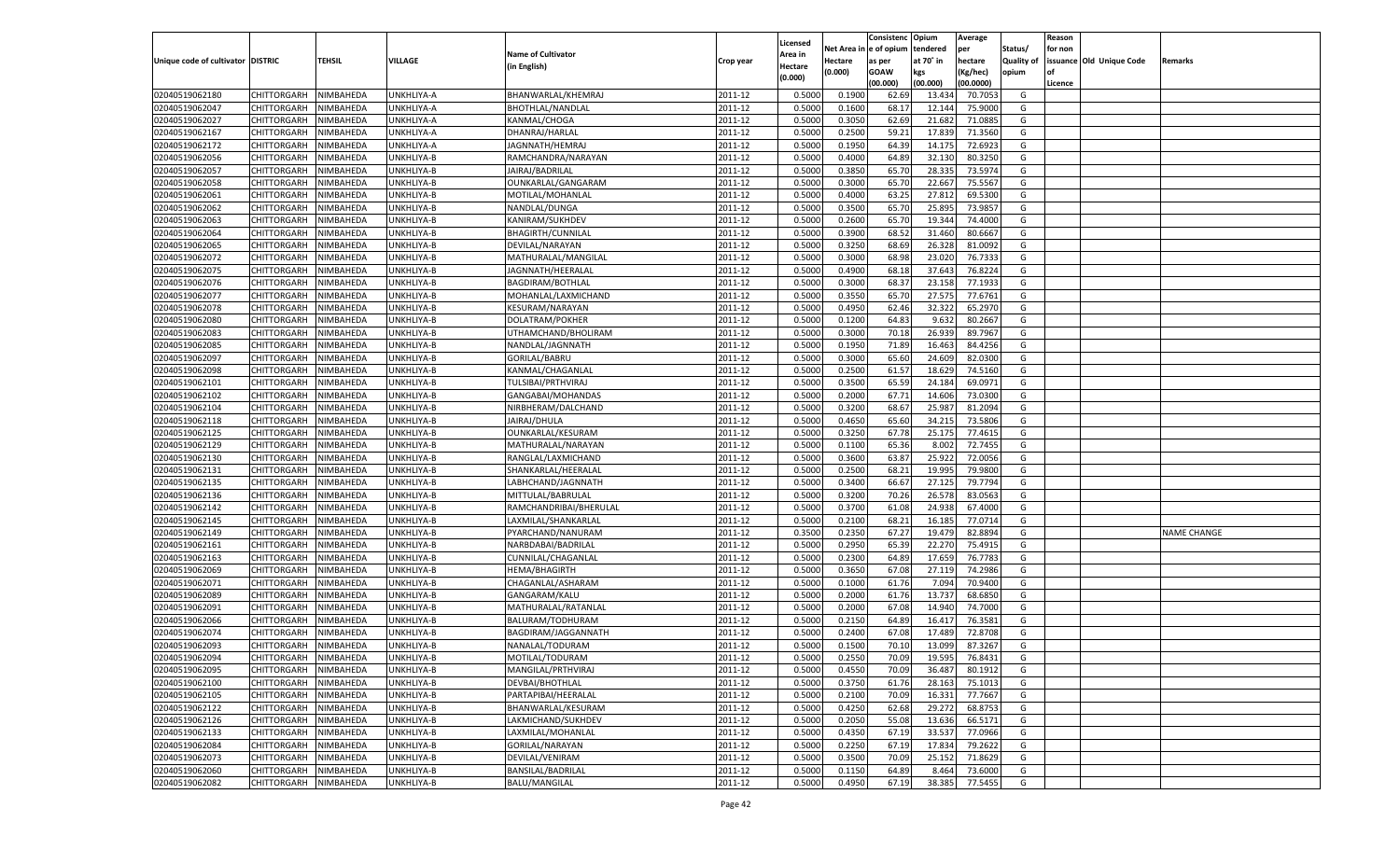|                                   |                       |               |            |                           |           |                    |          | Consistenc  | Opium     | Average   |                   | Reason  |                          |                    |
|-----------------------------------|-----------------------|---------------|------------|---------------------------|-----------|--------------------|----------|-------------|-----------|-----------|-------------------|---------|--------------------------|--------------------|
|                                   |                       |               |            | <b>Name of Cultivator</b> |           | Licensed           | Net Area | e of opium  | tendered  | per       | Status/           | for non |                          |                    |
| Unique code of cultivator DISTRIC |                       | <b>TEHSIL</b> | VILLAGE    | (in English)              | Crop year | \rea in<br>Hectare | Hectare  | as per      | at 70° in | hectare   | <b>Quality of</b> |         | issuance Old Unique Code | Remarks            |
|                                   |                       |               |            |                           |           | (0.000)            | (0.000)  | <b>GOAW</b> | kgs       | (Kg/hec)  | opium             |         |                          |                    |
|                                   |                       |               |            |                           |           |                    |          | (00.000)    | (00.000)  | (00.0000) |                   | Licence |                          |                    |
| 02040519062180                    | CHITTORGARH           | NIMBAHEDA     | UNKHLIYA-A | BHANWARLAL/KHEMRAJ        | 2011-12   | 0.5000             | 0.1900   | 62.69       | 13.434    | 70.705    | G                 |         |                          |                    |
| 02040519062047                    | CHITTORGARH           | NIMBAHEDA     | UNKHLIYA-A | BHOTHLAL/NANDLAL          | 2011-12   | 0.5000             | 0.1600   | 68.17       | 12.144    | 75.9000   | G                 |         |                          |                    |
| 02040519062027                    | CHITTORGARH           | NIMBAHEDA     | UNKHLIYA-A | KANMAL/CHOGA              | 2011-12   | 0.5000             | 0.3050   | 62.69       | 21.682    | 71.0885   | G                 |         |                          |                    |
| 02040519062167                    | CHITTORGARH           | NIMBAHEDA     | UNKHLIYA-A | DHANRAJ/HARLAL            | 2011-12   | 0.5000             | 0.2500   | 59.21       | 17.83     | 71.3560   | G                 |         |                          |                    |
| 02040519062172                    | CHITTORGARH           | NIMBAHEDA     | UNKHLIYA-A | JAGNNATH/HEMRAJ           | 2011-12   | 0.5000             | 0.1950   | 64.39       | 14.175    | 72.6923   | G                 |         |                          |                    |
| 02040519062056                    | CHITTORGARH           | NIMBAHEDA     | UNKHLIYA-B | RAMCHANDRA/NARAYAN        | 2011-12   | 0.5000             | 0.4000   | 64.89       | 32.13     | 80.3250   | G                 |         |                          |                    |
| 02040519062057                    | CHITTORGARH           | NIMBAHEDA     | UNKHLIYA-B | JAIRAJ/BADRILAL           | 2011-12   | 0.5000             | 0.3850   | 65.70       | 28.33     | 73.597    | G                 |         |                          |                    |
| 02040519062058                    | CHITTORGARH           | NIMBAHEDA     | UNKHLIYA-B | OUNKARLAL/GANGARAM        | 2011-12   | 0.5000             | 0.3000   | 65.70       | 22.667    | 75.5567   | G                 |         |                          |                    |
| 02040519062061                    | CHITTORGARH           | NIMBAHEDA     | UNKHLIYA-B | MOTILAL/MOHANLAI          | 2011-12   | 0.5000             | 0.4000   | 63.25       | 27.812    | 69.5300   | G                 |         |                          |                    |
| 02040519062062                    | CHITTORGARH           | NIMBAHEDA     | UNKHLIYA-B | NANDLAL/DUNGA             | 2011-12   | 0.5000             | 0.3500   | 65.70       | 25.895    | 73.985    | G                 |         |                          |                    |
| 02040519062063                    | CHITTORGARH           | NIMBAHEDA     | UNKHLIYA-B | KANIRAM/SUKHDEV           | 2011-12   | 0.5000             | 0.2600   | 65.70       | 19.344    | 74.4000   | G                 |         |                          |                    |
| 02040519062064                    | CHITTORGARH           | NIMBAHEDA     | UNKHLIYA-B | <b>BHAGIRTH/CUNNILAL</b>  | 2011-12   | 0.5000             | 0.3900   | 68.52       | 31.460    | 80.6667   | G                 |         |                          |                    |
| 02040519062065                    | CHITTORGARH           | NIMBAHEDA     | UNKHLIYA-B | DEVILAL/NARAYAN           | 2011-12   | 0.5000             | 0.3250   | 68.69       | 26.328    | 81.0092   | G                 |         |                          |                    |
| 02040519062072                    | CHITTORGARH           | NIMBAHEDA     | UNKHLIYA-B | MATHURALAL/MANGILAL       | 2011-12   | 0.5000             | 0.3000   | 68.98       | 23.020    | 76.7333   | G                 |         |                          |                    |
| 02040519062075                    | CHITTORGARH           | NIMBAHEDA     | UNKHLIYA-B | JAGNNATH/HEERALAL         | 2011-12   | 0.5000             | 0.4900   | 68.18       | 37.643    | 76.8224   | G                 |         |                          |                    |
| 02040519062076                    | CHITTORGARH           | NIMBAHEDA     | UNKHLIYA-B | BAGDIRAM/BOTHLAL          | 2011-12   | 0.5000             | 0.3000   | 68.3        | 23.158    | 77.1933   | G                 |         |                          |                    |
| 02040519062077                    | CHITTORGARH           | NIMBAHEDA     | UNKHLIYA-B | MOHANLAL/LAXMICHAND       | 2011-12   | 0.5000             | 0.3550   | 65.70       | 27.575    | 77.6761   | G                 |         |                          |                    |
| 02040519062078                    | CHITTORGARH           | NIMBAHEDA     | UNKHLIYA-B | KESURAM/NARAYAN           | 2011-12   | 0.5000             | 0.4950   | 62.46       | 32.322    | 65.2970   | G                 |         |                          |                    |
| 02040519062080                    | CHITTORGARH           | NIMBAHEDA     | UNKHLIYA-B | DOLATRAM/POKHER           | 2011-12   | 0.5000             | 0.1200   | 64.83       | 9.632     | 80.2667   | G                 |         |                          |                    |
| 02040519062083                    | CHITTORGARH           | NIMBAHEDA     | UNKHLIYA-B | UTHAMCHAND/BHOLIRAM       | 2011-12   | 0.5000             | 0.3000   | 70.18       | 26.939    | 89.7967   | G                 |         |                          |                    |
| 02040519062085                    | CHITTORGARH           | NIMBAHEDA     | UNKHLIYA-B | NANDLAL/JAGNNATH          | 2011-12   | 0.5000             | 0.1950   | 71.89       | 16.463    | 84.4256   | G                 |         |                          |                    |
| 02040519062097                    | CHITTORGARH           | NIMBAHEDA     | UNKHLIYA-B | GORILAL/BABRU             | 2011-12   | 0.5000             | 0.3000   | 65.60       | 24.609    | 82.0300   | G                 |         |                          |                    |
| 02040519062098                    | CHITTORGARH           | NIMBAHEDA     | UNKHLIYA-B | KANMAL/CHAGANLAL          | 2011-12   | 0.5000             | 0.2500   | 61.57       | 18.629    | 74.5160   | G                 |         |                          |                    |
| 02040519062101                    | CHITTORGARH           | NIMBAHEDA     | UNKHLIYA-B | TULSIBAI/PRTHVIRAJ        | 2011-12   | 0.5000             | 0.3500   | 65.59       | 24.184    | 69.0971   | G                 |         |                          |                    |
| 02040519062102                    | CHITTORGARH           | NIMBAHEDA     | UNKHLIYA-B | GANGABAI/MOHANDAS         | 2011-12   | 0.5000             | 0.2000   | 67.71       | 14.606    | 73.0300   | G                 |         |                          |                    |
| 02040519062104                    | CHITTORGARH           | NIMBAHEDA     | UNKHLIYA-B | NIRBHERAM/DALCHAND        | 2011-12   | 0.5000             | 0.3200   | 68.67       | 25.987    | 81.2094   | G                 |         |                          |                    |
| 02040519062118                    | CHITTORGARH           | NIMBAHEDA     | UNKHLIYA-B | JAIRAJ/DHULA              | 2011-12   | 0.5000             | 0.4650   | 65.60       | 34.215    | 73.5806   | G                 |         |                          |                    |
| 02040519062125                    | CHITTORGARH           | NIMBAHEDA     | UNKHLIYA-B | OUNKARLAL/KESURAM         | 2011-12   | 0.5000             | 0.3250   | 67.78       | 25.175    | 77.4615   | G                 |         |                          |                    |
| 02040519062129                    | CHITTORGARH           | NIMBAHEDA     | UNKHLIYA-B | MATHURALAL/NARAYAN        | 2011-12   | 0.5000             | 0.1100   | 65.36       | 8.002     | 72.7455   | G                 |         |                          |                    |
| 02040519062130                    | CHITTORGARH           | NIMBAHEDA     | UNKHLIYA-B | RANGLAL/LAXMICHAND        | 2011-12   | 0.5000             | 0.3600   | 63.87       | 25.922    | 72.0056   | G                 |         |                          |                    |
| 02040519062131                    | CHITTORGARH           | NIMBAHEDA     | UNKHLIYA-B | SHANKARLAL/HEERALAL       | 2011-12   | 0.5000             | 0.2500   | 68.21       | 19.995    | 79.9800   | G                 |         |                          |                    |
| 02040519062135                    | CHITTORGARH           | NIMBAHEDA     | UNKHLIYA-B | LABHCHAND/JAGNNATH        | 2011-12   | 0.5000             | 0.3400   | 66.67       | 27.125    | 79.7794   | G                 |         |                          |                    |
| 02040519062136                    | CHITTORGARH           | NIMBAHEDA     | UNKHLIYA-B | MITTULAL/BABRULAL         | 2011-12   | 0.5000             | 0.3200   | 70.26       | 26.578    | 83.0563   | G                 |         |                          |                    |
| 02040519062142                    | CHITTORGARH           | NIMBAHEDA     | UNKHLIYA-B | RAMCHANDRIBAI/BHERULAL    | 2011-12   | 0.5000             | 0.3700   | 61.08       | 24.938    | 67.4000   | G                 |         |                          |                    |
| 02040519062145                    |                       | NIMBAHEDA     |            |                           | 2011-12   | 0.5000             | 0.2100   | 68.21       | 16.185    | 77.0714   | G                 |         |                          |                    |
| 02040519062149                    | CHITTORGARH           |               | UNKHLIYA-B | LAXMILAL/SHANKARLAL       | 2011-12   | 0.3500             | 0.2350   | 67.27       | 19.47     | 82.8894   | G                 |         |                          |                    |
|                                   | CHITTORGARH           | NIMBAHEDA     | UNKHLIYA-B | PYARCHAND/NANURAM         |           |                    |          |             |           |           |                   |         |                          | <b>NAME CHANGE</b> |
| 02040519062161                    | CHITTORGARH           | NIMBAHEDA     | UNKHLIYA-B | NARBDABAI/BADRILAL        | 2011-12   | 0.5000             | 0.2950   | 65.39       | 22.27     | 75.491    | G                 |         |                          |                    |
| 02040519062163                    | CHITTORGARH           | NIMBAHEDA     | UNKHLIYA-B | CUNNILAL/CHAGANLAL        | 2011-12   | 0.5000             | 0.2300   | 64.89       | 17.659    | 76.7783   | G                 |         |                          |                    |
| 02040519062069                    | CHITTORGARH           | NIMBAHEDA     | UNKHLIYA-B | HEMA/BHAGIRTH             | 2011-12   | 0.5000             | 0.3650   | 67.08       | 27.119    | 74.2986   | G                 |         |                          |                    |
| 02040519062071                    | CHITTORGARH           | NIMBAHEDA     | UNKHLIYA-B | CHAGANLAL/ASHARAM         | 2011-12   | 0.5000             | 0.1000   | 61.76       | 7.094     | 70.9400   | G                 |         |                          |                    |
| 02040519062089                    | CHITTORGARH           | NIMBAHEDA     | UNKHLIYA-B | GANGARAM/KALU             | 2011-12   | 0.5000             | 0.2000   | 61.76       | 13.73     | 68.6850   | G                 |         |                          |                    |
| 02040519062091                    | CHITTORGARH           | NIMBAHEDA     | UNKHLIYA-B | MATHURALAL/RATANLAL       | 2011-12   | 0.5000             | 0.2000   | 67.08       | 14.94     | 74.7000   | G                 |         |                          |                    |
| 02040519062066                    | CHITTORGARH           | NIMBAHEDA     | UNKHLIYA-B | BALURAM/TODHURAM          | 2011-12   | 0.5000             | 0.2150   | 64.89       | 16.41     | 76.3581   | G                 |         |                          |                    |
| 02040519062074                    | CHITTORGARH           | NIMBAHEDA     | UNKHLIYA-B | BAGDIRAM/JAGGANNATH       | 2011-12   | 0.5000             | 0.2400   | 67.08       | 17.48     | 72.8708   | G                 |         |                          |                    |
| 02040519062093                    | CHITTORGARH           | NIMBAHEDA     | UNKHLIYA-B | NANALAL/TODURAM           | 2011-12   | 0.5000             | 0.1500   | 70.10       | 13.099    | 87.3267   | G                 |         |                          |                    |
| 02040519062094                    | CHITTORGARH NIMBAHEDA |               | UNKHLIYA-B | MOTILAL/TODURAM           | 2011-12   | 0.5000             | 0.2550   | 70.09       | 19.595    | 76.8431   | G                 |         |                          |                    |
| 02040519062095                    | <b>CHITTORGARH</b>    | NIMBAHEDA     | UNKHLIYA-B | MANGILAL/PRTHVIRAJ        | 2011-12   | 0.5000             | 0.4550   | 70.09       | 36.487    | 80.1912   | G                 |         |                          |                    |
| 02040519062100                    | CHITTORGARH           | NIMBAHEDA     | UNKHLIYA-B | DEVBAI/BHOTHLAL           | 2011-12   | 0.5000             | 0.3750   | 61.76       | 28.163    | 75.1013   | G                 |         |                          |                    |
| 02040519062105                    | <b>CHITTORGARH</b>    | NIMBAHEDA     | UNKHLIYA-B | PARTAPIBAI/HEERALAL       | 2011-12   | 0.5000             | 0.2100   | 70.09       | 16.331    | 77.7667   | G                 |         |                          |                    |
| 02040519062122                    | <b>CHITTORGARH</b>    | NIMBAHEDA     | UNKHLIYA-B | BHANWARLAL/KESURAM        | 2011-12   | 0.5000             | 0.4250   | 62.68       | 29.272    | 68.8753   | G                 |         |                          |                    |
| 02040519062126                    | <b>CHITTORGARH</b>    | NIMBAHEDA     | UNKHLIYA-B | LAKMICHAND/SUKHDEV        | 2011-12   | 0.5000             | 0.2050   | 55.08       | 13.636    | 66.5171   | G                 |         |                          |                    |
| 02040519062133                    | <b>CHITTORGARH</b>    | NIMBAHEDA     | UNKHLIYA-B | LAXMILAL/MOHANLAL         | 2011-12   | 0.5000             | 0.4350   | 67.19       | 33.537    | 77.0966   | G                 |         |                          |                    |
| 02040519062084                    | <b>CHITTORGARH</b>    | NIMBAHEDA     | UNKHLIYA-B | GORILAL/NARAYAN           | 2011-12   | 0.5000             | 0.2250   | 67.19       | 17.834    | 79.2622   | G                 |         |                          |                    |
| 02040519062073                    | <b>CHITTORGARH</b>    | NIMBAHEDA     | UNKHLIYA-B | DEVILAL/VENIRAM           | 2011-12   | 0.5000             | 0.3500   | 70.09       | 25.152    | 71.8629   | G                 |         |                          |                    |
| 02040519062060                    | <b>CHITTORGARH</b>    | NIMBAHEDA     | UNKHLIYA-B | BANSILAL/BADRILAL         | 2011-12   | 0.5000             | 0.1150   | 64.89       | 8.464     | 73.6000   | G                 |         |                          |                    |
| 02040519062082                    | <b>CHITTORGARH</b>    | NIMBAHEDA     | UNKHLIYA-B | <b>BALU/MANGILAL</b>      | 2011-12   | 0.5000             | 0.4950   | 67.19       | 38.385    | 77.5455   | G                 |         |                          |                    |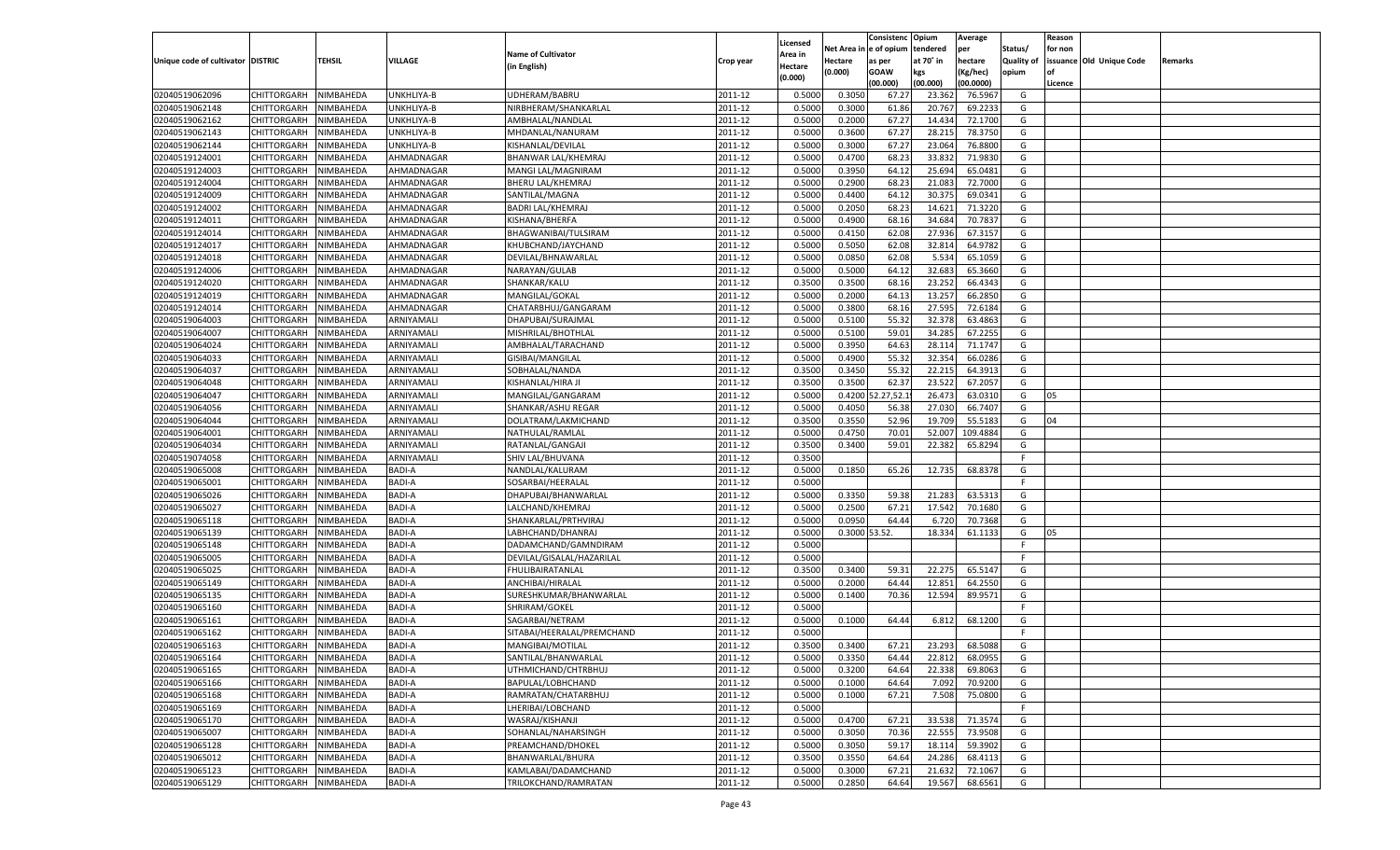|                                   |                       |                        |                                |                            |           |                           |               | Consistenc  | Opium     | Average   |                   | Reason  |                          |         |
|-----------------------------------|-----------------------|------------------------|--------------------------------|----------------------------|-----------|---------------------------|---------------|-------------|-----------|-----------|-------------------|---------|--------------------------|---------|
|                                   |                       |                        |                                | <b>Name of Cultivator</b>  |           | Licensed                  | Net Area      | e of opium  | tendered  | per       | Status/           | for non |                          |         |
| Unique code of cultivator DISTRIC |                       | <b>TEHSIL</b>          | VILLAGE                        | (in English)               | Crop year | <b>Area in</b><br>Hectare | Hectare       | as per      | at 70° in | hectare   | <b>Quality of</b> |         | issuance Old Unique Code | Remarks |
|                                   |                       |                        |                                |                            |           | (0.000)                   | (0.000)       | <b>GOAW</b> | kgs       | (Kg/hec)  | opium             |         |                          |         |
|                                   |                       |                        |                                |                            |           |                           |               | (00.000)    | (00.000)  | (00.0000) |                   | Licence |                          |         |
| 02040519062096                    | CHITTORGARH           | NIMBAHEDA              | UNKHLIYA-B                     | UDHERAM/BABRU              | 2011-12   | 0.5000                    | 0.3050        | 67.2        | 23.362    | 76.5967   | G                 |         |                          |         |
| 02040519062148                    | CHITTORGARH           | NIMBAHEDA              | UNKHLIYA-B                     | NIRBHERAM/SHANKARLAL       | 2011-12   | 0.5000                    | 0.3000        | 61.86       | 20.767    | 69.2233   | G                 |         |                          |         |
| 02040519062162                    | CHITTORGARH           | NIMBAHEDA              | UNKHLIYA-B                     | AMBHALAL/NANDLAL           | 2011-12   | 0.5000                    | 0.2000        | 67.27       | 14.434    | 72.1700   | G                 |         |                          |         |
| 02040519062143                    | CHITTORGARH           | NIMBAHEDA              | UNKHLIYA-B                     | MHDANLAL/NANURAM           | 2011-12   | 0.5000                    | 0.3600        | 67.27       | 28.21     | 78.3750   | G                 |         |                          |         |
| 02040519062144                    | CHITTORGARH           | NIMBAHEDA              | UNKHLIYA-B                     | KISHANLAL/DEVILAL          | 2011-12   | 0.5000                    | 0.3000        | 67.27       | 23.064    | 76.8800   | G                 |         |                          |         |
| 02040519124001                    | CHITTORGARH           | NIMBAHEDA              | AHMADNAGAR                     | BHANWAR LAL/KHEMRAJ        | 2011-12   | 0.5000                    | 0.4700        | 68.2        | 33.83     | 71.9830   | G                 |         |                          |         |
| 02040519124003                    | CHITTORGARH           | NIMBAHEDA              | AHMADNAGAR                     | MANGI LAL/MAGNIRAM         | 2011-12   | 0.5000                    | 0.3950        | 64.12       | 25.694    | 65.0481   | G                 |         |                          |         |
| 02040519124004                    | CHITTORGARH           | NIMBAHEDA              | AHMADNAGAR                     | BHERU LAL/KHEMRAJ          | 2011-12   | 0.5000                    | 0.2900        | 68.2        | 21.083    | 72.7000   | G                 |         |                          |         |
| 02040519124009                    | CHITTORGARH           | NIMBAHEDA              | AHMADNAGAR                     | SANTILAL/MAGNA             | 2011-12   | 0.5000                    | 0.4400        | 64.12       | 30.375    | 69.0341   | G                 |         |                          |         |
| 02040519124002                    | CHITTORGARH           | NIMBAHEDA              | AHMADNAGAR                     | <b>BADRI LAL/KHEMRAJ</b>   | 2011-12   | 0.5000                    | 0.2050        | 68.2        | 14.621    | 71.3220   | G                 |         |                          |         |
| 02040519124011                    | CHITTORGARH           | NIMBAHEDA              | AHMADNAGAR                     | KISHANA/BHERFA             | 2011-12   | 0.5000                    | 0.4900        | 68.16       | 34.684    | 70.783    | G                 |         |                          |         |
| 02040519124014                    | CHITTORGARH           | NIMBAHEDA              | AHMADNAGAR                     | BHAGWANIBAI/TULSIRAM       | 2011-12   | 0.5000                    | 0.4150        | 62.08       | 27.936    | 67.3157   | G                 |         |                          |         |
| 02040519124017                    | CHITTORGARH           | NIMBAHEDA              | AHMADNAGAR                     | KHUBCHAND/JAYCHAND         | 2011-12   | 0.5000                    | 0.5050        | 62.08       | 32.814    | 64.978    | G                 |         |                          |         |
| 02040519124018                    | CHITTORGARH           | NIMBAHEDA              | AHMADNAGAR                     | DEVILAL/BHNAWARLAL         | 2011-12   | 0.5000                    | 0.0850        | 62.08       | 5.534     | 65.1059   | G                 |         |                          |         |
| 02040519124006                    | CHITTORGARH           | NIMBAHEDA              | AHMADNAGAR                     | NARAYAN/GULAB              | 2011-12   | 0.5000                    | 0.5000        | 64.12       | 32.683    | 65.3660   | G                 |         |                          |         |
| 02040519124020                    | CHITTORGARH           | NIMBAHEDA              | AHMADNAGAR                     | SHANKAR/KALU               | 2011-12   | 0.3500                    | 0.3500        | 68.16       | 23.252    | 66.4343   | G                 |         |                          |         |
| 02040519124019                    | CHITTORGARH           | NIMBAHEDA              | AHMADNAGAR                     | MANGILAL/GOKAL             | 2011-12   | 0.5000                    | 0.2000        | 64.13       | 13.257    | 66.2850   | G                 |         |                          |         |
| 02040519124014                    | CHITTORGARH           | NIMBAHEDA              | AHMADNAGAR                     | CHATARBHUJ/GANGARAM        | 2011-12   | 0.5000                    | 0.3800        | 68.16       | 27.595    | 72.6184   | G                 |         |                          |         |
| 02040519064003                    | CHITTORGARH           | NIMBAHEDA              | ARNIYAMALI                     | DHAPUBAI/SURAJMAL          | 2011-12   | 0.5000                    | 0.5100        | 55.32       | 32.378    | 63.4863   | G                 |         |                          |         |
| 02040519064007                    | CHITTORGARH           | NIMBAHEDA              | ARNIYAMALI                     | MISHRILAL/BHOTHLAL         | 2011-12   | 0.5000                    | 0.5100        | 59.01       | 34.285    | 67.2255   | G                 |         |                          |         |
| 02040519064024                    | CHITTORGARH           | NIMBAHEDA              | ARNIYAMALI                     | AMBHALAL/TARACHAND         | 2011-12   | 0.5000                    | 0.3950        | 64.63       | 28.114    | 71.1747   | G                 |         |                          |         |
| 02040519064033                    | CHITTORGARH           | NIMBAHEDA              | ARNIYAMALI                     | GISIBAI/MANGILAL           | 2011-12   | 0.5000                    | 0.4900        | 55.32       | 32.354    | 66.0286   | G                 |         |                          |         |
| 02040519064037                    | CHITTORGARH           | NIMBAHEDA              | ARNIYAMALI                     | SOBHALAL/NANDA             | 2011-12   | 0.3500                    | 0.3450        | 55.32       | 22.215    | 64.391    | G                 |         |                          |         |
| 02040519064048                    | CHITTORGARH           | NIMBAHEDA              | ARNIYAMALI                     | KISHANLAL/HIRA JI          | 2011-12   | 0.3500                    | 0.3500        | 62.3        | 23.522    | 67.2057   | G                 |         |                          |         |
| 02040519064047                    | CHITTORGARH           | NIMBAHEDA              | ARNIYAMALI                     | MANGILAL/GANGARAM          | 2011-12   | 0.5000                    | 0.4200        | 2.27,52.    | 26.473    | 63.0310   | G                 | 05      |                          |         |
| 02040519064056                    | CHITTORGARH           | NIMBAHEDA              | ARNIYAMALI                     | SHANKAR/ASHU REGAR         | 2011-12   | 0.5000                    | 0.4050        | 56.38       | 27.030    | 66.7407   | G                 |         |                          |         |
| 02040519064044                    | CHITTORGARH           | NIMBAHEDA              | ARNIYAMALI                     | DOLATRAM/LAKMICHAND        | 2011-12   | 0.3500                    | 0.3550        | 52.96       | 19.709    | 55.5183   | G                 | 04      |                          |         |
| 02040519064001                    | CHITTORGARH           | NIMBAHEDA              | ARNIYAMALI                     | NATHULAL/RAMLAL            | 2011-12   | 0.5000                    | 0.4750        | 70.01       | 52.007    | 109.4884  | G                 |         |                          |         |
| 02040519064034                    | CHITTORGARH           | NIMBAHEDA              | ARNIYAMALI                     | RATANLAL/GANGAJI           | 2011-12   | 0.3500                    | 0.3400        | 59.01       | 22.382    | 65.8294   | G                 |         |                          |         |
| 02040519074058                    | CHITTORGARH           | NIMBAHEDA              | ARNIYAMALI                     | SHIV LAL/BHUVANA           | 2011-12   | 0.3500                    |               |             |           |           | F.                |         |                          |         |
| 02040519065008                    | CHITTORGARH           | NIMBAHEDA              | <b>BADI-A</b>                  | NANDLAL/KALURAM            | 2011-12   | 0.5000                    | 0.1850        | 65.26       | 12.735    | 68.8378   | G                 |         |                          |         |
| 02040519065001                    | CHITTORGARH           | NIMBAHEDA              | <b>BADI-A</b>                  | SOSARBAI/HEERALAI          | 2011-12   | 0.5000                    |               |             |           |           | F.                |         |                          |         |
| 02040519065026                    | CHITTORGARH           | NIMBAHEDA              | <b>BADI-A</b>                  | DHAPUBAI/BHANWARLAL        | 2011-12   | 0.5000                    | 0.3350        | 59.38       | 21.283    | 63.5313   | G                 |         |                          |         |
| 02040519065027                    | CHITTORGARH           | NIMBAHEDA              | <b>BADI-A</b>                  | LALCHAND/KHEMRAJ           | 2011-12   | 0.5000                    | 0.2500        | 67.21       | 17.542    | 70.1680   | G                 |         |                          |         |
| 02040519065118                    | CHITTORGARH           | NIMBAHEDA              | <b>BADI-A</b>                  | SHANKARLAL/PRTHVIRAJ       | 2011-12   | 0.5000                    | 0.0950        | 64.4        | 6.720     | 70.7368   | G                 |         |                          |         |
| 02040519065139                    | CHITTORGARH           | NIMBAHEDA              | <b>BADI-A</b>                  | LABHCHAND/DHANRAJ          | 2011-12   | 0.5000                    | 0.3000 53.52. |             | 18.334    | 61.1133   | G                 | 05      |                          |         |
| 02040519065148                    | CHITTORGARH           | NIMBAHEDA              | <b>BADI-A</b>                  | DADAMCHAND/GAMNDIRAM       | 2011-12   | 0.5000                    |               |             |           |           | F.                |         |                          |         |
| 02040519065005                    | CHITTORGARH           | NIMBAHEDA              | <b>BADI-A</b>                  | DEVILAL/GISALAL/HAZARILAI  | 2011-12   | 0.5000                    |               |             |           |           | F.                |         |                          |         |
| 02040519065025                    | CHITTORGARH           | NIMBAHEDA              | <b>BADI-A</b>                  | FHULIBAIRATANLAL           | 2011-12   | 0.3500                    | 0.3400        | 59.31       | 22.275    | 65.5147   | G                 |         |                          |         |
| 02040519065149                    | CHITTORGARH           | NIMBAHEDA              | <b>BADI-A</b>                  | ANCHIBAI/HIRALAL           | 2011-12   | 0.5000                    | 0.2000        | 64.4        | 12.851    | 64.2550   | G                 |         |                          |         |
| 02040519065135                    | CHITTORGARH           | NIMBAHEDA              | <b>BADI-A</b>                  | SURESHKUMAR/BHANWARLAL     | 2011-12   | 0.5000                    | 0.1400        | 70.36       | 12.594    | 89.9571   | G                 |         |                          |         |
| 02040519065160                    | CHITTORGARH           | NIMBAHEDA              | <b>BADI-A</b>                  | SHRIRAM/GOKEL              | 2011-12   | 0.5000                    |               |             |           |           | F.                |         |                          |         |
| 02040519065161                    | CHITTORGARH           | NIMBAHEDA              | <b>BADI-A</b>                  | SAGARBAI/NETRAM            | 2011-12   | 0.5000                    | 0.1000        | 64.4        | 6.812     | 68.1200   | G                 |         |                          |         |
| 02040519065162                    |                       |                        |                                | SITABAI/HEERALAL/PREMCHAND |           | 0.5000                    |               |             |           |           | F.                |         |                          |         |
|                                   | CHITTORGARH           | NIMBAHEDA<br>NIMBAHEDA | <b>BADI-A</b><br><b>BADI-A</b> | MANGIBAI/MOTILAL           | 2011-12   |                           | 0.3400        |             |           | 68.5088   |                   |         |                          |         |
| 02040519065163                    | CHITTORGARH           |                        |                                |                            | 2011-12   | 0.3500                    |               | 67.21       | 23.293    |           | G                 |         |                          |         |
| 02040519065164                    | CHITTORGARH NIMBAHEDA |                        | <b>BADI-A</b>                  | SANTILAL/BHANWARLAL        | 2011-12   | 0.5000                    | 0.3350        | 64.44       | 22.812    | 68.0955   | G                 |         |                          |         |
| 02040519065165                    | <b>CHITTORGARH</b>    | <b>NIMBAHEDA</b>       | <b>BADI-A</b>                  | UTHMICHAND/CHTRBHUJ        | 2011-12   | 0.5000                    | 0.3200        | 64.64       | 22.338    | 69.8063   | G                 |         |                          |         |
| 02040519065166                    | <b>CHITTORGARH</b>    | NIMBAHEDA              | <b>BADI-A</b>                  | BAPULAL/LOBHCHAND          | 2011-12   | 0.5000                    | 0.1000        | 64.64       | 7.092     | 70.9200   | G                 |         |                          |         |
| 02040519065168                    | <b>CHITTORGARH</b>    | NIMBAHEDA              | <b>BADI-A</b>                  | RAMRATAN/CHATARBHUJ        | 2011-12   | 0.5000                    | 0.1000        | 67.21       | 7.508     | 75.0800   | G                 |         |                          |         |
| 02040519065169                    | <b>CHITTORGARH</b>    | NIMBAHEDA              | <b>BADI-A</b>                  | LHERIBAI/LOBCHAND          | 2011-12   | 0.5000                    |               |             |           |           | F.                |         |                          |         |
| 02040519065170                    | <b>CHITTORGARH</b>    | NIMBAHEDA              | <b>BADI-A</b>                  | WASRAJ/KISHANJI            | 2011-12   | 0.5000                    | 0.4700        | 67.21       | 33.538    | 71.3574   | G                 |         |                          |         |
| 02040519065007                    | <b>CHITTORGARH</b>    | NIMBAHEDA              | <b>BADI-A</b>                  | SOHANLAL/NAHARSINGH        | 2011-12   | 0.5000                    | 0.3050        | 70.36       | 22.555    | 73.9508   | G                 |         |                          |         |
| 02040519065128                    | <b>CHITTORGARH</b>    | NIMBAHEDA              | <b>BADI-A</b>                  | PREAMCHAND/DHOKEL          | 2011-12   | 0.5000                    | 0.3050        | 59.17       | 18.114    | 59.3902   | G                 |         |                          |         |
| 02040519065012                    | <b>CHITTORGARH</b>    | NIMBAHEDA              | <b>BADI-A</b>                  | BHANWARLAL/BHURA           | 2011-12   | 0.3500                    | 0.3550        | 64.64       | 24.286    | 68.4113   | G                 |         |                          |         |
| 02040519065123                    | <b>CHITTORGARH</b>    | NIMBAHEDA              | <b>BADI-A</b>                  | KAMLABAI/DADAMCHAND        | 2011-12   | 0.5000                    | 0.3000        | 67.21       | 21.632    | 72.1067   | G                 |         |                          |         |
| 02040519065129                    | CHITTORGARH           | NIMBAHEDA              | <b>BADI-A</b>                  | TRILOKCHAND/RAMRATAN       | 2011-12   | 0.5000                    | 0.2850        | 64.64       | 19.567    | 68.6561   | G                 |         |                          |         |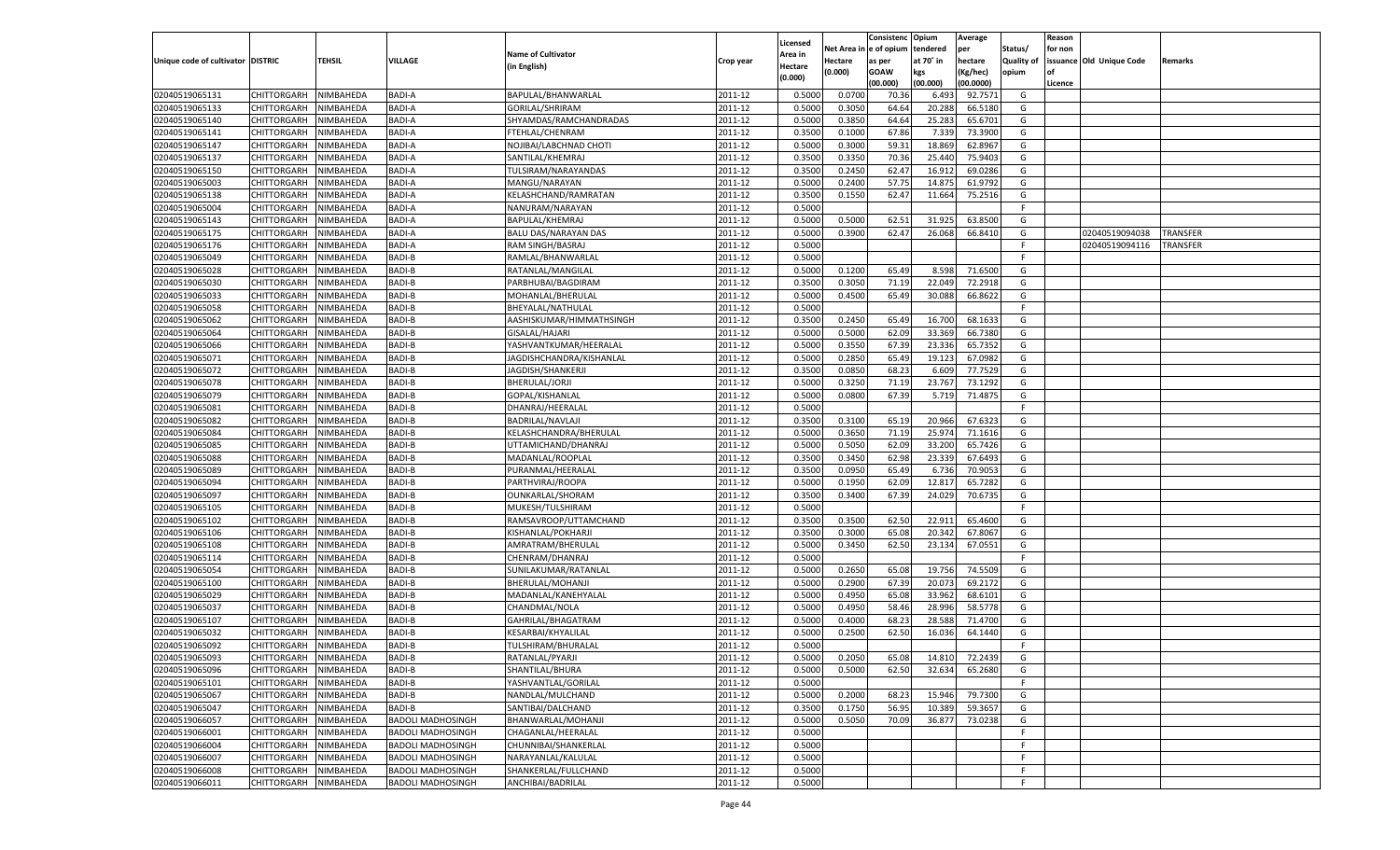|                                   |                                      |                  |                          |                                        |           |                     |            | Consistenc    | Opium     | Average   |                   | Reason  |                          |          |
|-----------------------------------|--------------------------------------|------------------|--------------------------|----------------------------------------|-----------|---------------------|------------|---------------|-----------|-----------|-------------------|---------|--------------------------|----------|
|                                   |                                      |                  |                          | <b>Name of Cultivator</b>              |           | Licensed<br>Area in | Net Area i | n  e of opium | tendered  | per       | Status/           | for non |                          |          |
| Unique code of cultivator DISTRIC |                                      | TEHSIL           | <b>VILLAGE</b>           | (in English)                           | Crop year | Hectare             | Hectare    | as per        | at 70° in | hectare   | <b>Quality of</b> |         | issuance Old Unique Code | Remarks  |
|                                   |                                      |                  |                          |                                        |           | (0.000)             | (0.000)    | <b>GOAW</b>   | kgs       | (Kg/hec)  | opium             |         |                          |          |
|                                   |                                      |                  |                          |                                        |           |                     |            | (00.000)      | (00.000)  | (00.0000) |                   | Licence |                          |          |
| 02040519065131                    | CHITTORGARH                          | NIMBAHEDA        | <b>BADI-A</b>            | BAPULAL/BHANWARLAL                     | 2011-12   | 0.5000              | 0.0700     | 70.36         | 6.493     | 92.7571   | G                 |         |                          |          |
| 02040519065133                    | CHITTORGARH                          | NIMBAHEDA        | <b>BADI-A</b>            | GORILAL/SHRIRAM                        | 2011-12   | 0.5000              | 0.3050     | 64.64         | 20.288    | 66.5180   | G                 |         |                          |          |
| 02040519065140                    | CHITTORGARH                          | NIMBAHEDA        | <b>BADI-A</b>            | SHYAMDAS/RAMCHANDRADAS                 | 2011-12   | 0.5000              | 0.3850     | 64.64         | 25.283    | 65.6701   | G                 |         |                          |          |
| 02040519065141                    | CHITTORGARH                          | NIMBAHEDA        | <b>BADI-A</b>            | FTEHLAL/CHENRAM                        | 2011-12   | 0.3500              | 0.1000     | 67.86         | 7.339     | 73.3900   | G                 |         |                          |          |
| 02040519065147                    | CHITTORGARH                          | NIMBAHEDA        | <b>BADI-A</b>            | NOJIBAI/LABCHNAD CHOTI                 | 2011-12   | 0.5000              | 0.3000     | 59.31         | 18.869    | 62.8967   | G                 |         |                          |          |
| 02040519065137                    | CHITTORGARH                          | NIMBAHEDA        | <b>BADI-A</b>            | SANTILAL/KHEMRAJ                       | 2011-12   | 0.3500              | 0.3350     | 70.36         | 25.440    | 75.9403   | G                 |         |                          |          |
| 02040519065150                    | CHITTORGARH                          | NIMBAHEDA        | <b>BADI-A</b>            | TULSIRAM/NARAYANDAS                    | 2011-12   | 0.3500              | 0.2450     | 62.47         | 16.91     | 69.0286   | G                 |         |                          |          |
| 02040519065003                    | CHITTORGARH                          | NIMBAHEDA        | <b>BADI-A</b>            | MANGU/NARAYAN                          | 2011-12   | 0.5000              | 0.2400     | 57.7          | 14.875    | 61.9792   | G                 |         |                          |          |
| 02040519065138                    | CHITTORGARH                          | NIMBAHEDA        | <b>BADI-A</b>            | KELASHCHAND/RAMRATAN                   | 2011-12   | 0.3500              | 0.1550     | 62.47         | 11.664    | 75.2516   | G                 |         |                          |          |
| 02040519065004                    | CHITTORGARH                          | NIMBAHEDA        | <b>BADI-A</b>            | NANURAM/NARAYAN                        | 2011-12   | 0.5000              |            |               |           |           | F.                |         |                          |          |
| 02040519065143                    | CHITTORGARH                          | NIMBAHEDA        | <b>BADI-A</b>            | BAPULAL/KHEMRAJ                        | 2011-12   | 0.5000              | 0.5000     | 62.51         | 31.925    | 63.8500   | G                 |         |                          |          |
| 02040519065175                    | CHITTORGARH                          | NIMBAHEDA        | <b>BADI-A</b>            | BALU DAS/NARAYAN DAS                   | 2011-12   | 0.5000              | 0.3900     | 62.47         | 26.068    | 66.8410   | G                 |         | 02040519094038           | TRANSFER |
| 02040519065176                    | CHITTORGARH                          | NIMBAHEDA        | <b>BADI-A</b>            | RAM SINGH/BASRAJ                       | 2011-12   | 0.5000              |            |               |           |           | F.                |         | 02040519094116           | TRANSFER |
| 02040519065049                    | CHITTORGARH                          | NIMBAHEDA        | <b>BADI-B</b>            | RAMLAL/BHANWARLAL                      | 2011-12   | 0.5000              |            |               |           |           | E                 |         |                          |          |
| 02040519065028                    | CHITTORGARH                          | NIMBAHEDA        | <b>BADI-B</b>            | RATANLAL/MANGILAL                      | 2011-12   | 0.5000              | 0.1200     | 65.49         | 8.598     | 71.6500   | G                 |         |                          |          |
| 02040519065030                    | CHITTORGARH                          | NIMBAHEDA        | <b>BADI-B</b>            | PARBHUBAI/BAGDIRAM                     | 2011-12   | 0.3500              | 0.3050     | 71.19         | 22.049    | 72.2918   | G                 |         |                          |          |
| 02040519065033                    | CHITTORGARH                          | NIMBAHEDA        | <b>BADI-B</b>            | MOHANLAL/BHERULAL                      | 2011-12   | 0.5000              | 0.4500     | 65.49         | 30.088    | 66.8622   | G                 |         |                          |          |
| 02040519065058                    | CHITTORGARH                          | NIMBAHEDA        | <b>BADI-B</b>            | BHEYALAL/NATHULAL                      | 2011-12   | 0.5000              |            |               |           |           | F.                |         |                          |          |
| 02040519065062                    | CHITTORGARH                          | NIMBAHEDA        | <b>BADI-B</b>            | AASHISKUMAR/HIMMATHSINGH               | 2011-12   | 0.3500              | 0.2450     | 65.49         | 16.700    | 68.1633   | G                 |         |                          |          |
| 02040519065064                    | CHITTORGARH                          | NIMBAHEDA        | <b>BADI-B</b>            | GISALAL/HAJARI                         | 2011-12   | 0.5000              | 0.5000     | 62.09         | 33.369    | 66.7380   | G                 |         |                          |          |
| 02040519065066                    | CHITTORGARH                          | NIMBAHEDA        | <b>BADI-B</b>            | YASHVANTKUMAR/HEERALAL                 | 2011-12   | 0.5000              | 0.3550     | 67.39         | 23.336    | 65.7352   | G                 |         |                          |          |
| 02040519065071                    | CHITTORGARH                          | NIMBAHEDA        | <b>BADI-B</b>            | JAGDISHCHANDRA/KISHANLAI               | 2011-12   | 0.5000              | 0.2850     | 65.49         | 19.123    | 67.0982   | G                 |         |                          |          |
| 02040519065072                    | CHITTORGARH                          | NIMBAHEDA        | <b>BADI-B</b>            | JAGDISH/SHANKERJI                      | 2011-12   | 0.3500              | 0.0850     | 68.23         | 6.609     | 77.7529   | G                 |         |                          |          |
| 02040519065078                    | CHITTORGARH                          | NIMBAHEDA        | <b>BADI-B</b>            | <b>BHERULAL/JORJI</b>                  | 2011-12   | 0.5000              | 0.3250     | 71.19         | 23.767    | 73.1292   | G                 |         |                          |          |
| 02040519065079                    | CHITTORGARH                          | NIMBAHEDA        | <b>BADI-B</b>            | GOPAL/KISHANLAL                        | 2011-12   | 0.5000              | 0.0800     | 67.39         | 5.719     | 71.4875   | G                 |         |                          |          |
| 02040519065081                    | CHITTORGARH                          | NIMBAHEDA        | <b>BADI-B</b>            | DHANRAJ/HEERALAI                       | 2011-12   | 0.5000              |            |               |           |           | F.                |         |                          |          |
| 02040519065082                    | CHITTORGARH                          | NIMBAHEDA        | <b>BADI-B</b>            | BADRILAL/NAVLAJI                       | 2011-12   | 0.3500              | 0.3100     | 65.19         | 20.966    | 67.6323   | G                 |         |                          |          |
| 02040519065084                    | CHITTORGARH                          | NIMBAHEDA        | <b>BADI-B</b>            | KELASHCHANDRA/BHERULAL                 | 2011-12   | 0.5000              | 0.3650     | 71.19         | 25.974    | 71.1616   | G                 |         |                          |          |
| 02040519065085                    | CHITTORGARH                          | NIMBAHEDA        | <b>BADI-B</b>            | UTTAMICHAND/DHANRAJ                    | 2011-12   | 0.5000              | 0.5050     | 62.09         | 33.200    | 65.7426   | G                 |         |                          |          |
| 02040519065088                    | CHITTORGARH                          | NIMBAHEDA        | <b>BADI-B</b>            | MADANLAL/ROOPLAL                       | 2011-12   | 0.3500              | 0.3450     | 62.98         | 23.339    | 67.6493   | G                 |         |                          |          |
| 02040519065089                    | CHITTORGARH                          | NIMBAHEDA        | <b>BADI-B</b>            | PURANMAL/HEERALAL                      | 2011-12   | 0.3500              | 0.0950     | 65.49         | 6.736     | 70.905    | G                 |         |                          |          |
| 02040519065094                    | CHITTORGARH                          | NIMBAHEDA        | <b>BADI-B</b>            | PARTHVIRAJ/ROOPA                       | 2011-12   | 0.5000              | 0.1950     | 62.09         | 12.817    | 65.7282   | G                 |         |                          |          |
| 02040519065097                    | CHITTORGARH                          | NIMBAHEDA        | <b>BADI-B</b>            | OUNKARLAL/SHORAM                       | 2011-12   | 0.3500              | 0.3400     | 67.39         | 24.029    | 70.6735   | G                 |         |                          |          |
| 02040519065105                    | CHITTORGARH                          | NIMBAHEDA        | <b>BADI-B</b>            | MUKESH/TULSHIRAM                       | 2011-12   | 0.5000              |            |               |           |           | F                 |         |                          |          |
| 02040519065102                    | CHITTORGARH                          | NIMBAHEDA        | <b>BADI-B</b>            | RAMSAVROOP/UTTAMCHAND                  | 2011-12   | 0.3500              | 0.3500     | 62.50         | 22.911    | 65.4600   | G                 |         |                          |          |
| 02040519065106                    | CHITTORGARH                          | NIMBAHEDA        | <b>BADI-B</b>            | KISHANLAL/POKHARJI                     | 2011-12   | 0.3500              | 0.3000     | 65.08         | 20.342    | 67.8067   | G                 |         |                          |          |
| 02040519065108                    | CHITTORGARH                          | NIMBAHEDA        | <b>BADI-B</b>            | AMRATRAM/BHERULAL                      | 2011-12   | 0.5000              | 0.3450     | 62.50         | 23.134    | 67.0551   | G                 |         |                          |          |
| 02040519065114                    | CHITTORGARH                          | NIMBAHEDA        | <b>BADI-B</b>            | CHENRAM/DHANRAJ                        | 2011-12   | 0.5000              |            |               |           |           | F                 |         |                          |          |
| 02040519065054                    | CHITTORGARH                          | NIMBAHEDA        | <b>BADI-B</b>            | SUNILAKUMAR/RATANLAL                   | 2011-12   | 0.5000              | 0.2650     | 65.08         | 19.756    | 74.5509   | G                 |         |                          |          |
| 02040519065100                    | CHITTORGARH                          | NIMBAHEDA        | <b>BADI-B</b>            | BHERULAL/MOHANJI                       | 2011-12   | 0.5000              | 0.2900     | 67.39         | 20.073    | 69.2172   | G                 |         |                          |          |
| 02040519065029                    | CHITTORGARH                          | NIMBAHEDA        | <b>BADI-B</b>            | MADANLAL/KANEHYALAL                    | 2011-12   | 0.5000              | 0.4950     | 65.08         | 33.962    | 68.6101   | G                 |         |                          |          |
| 02040519065037                    | CHITTORGARH                          | NIMBAHEDA        | <b>BADI-B</b>            | CHANDMAL/NOLA                          | 2011-12   | 0.5000              | 0.4950     | 58.46         | 28.996    | 58.5778   | G                 |         |                          |          |
| 02040519065107                    | CHITTORGARH                          | NIMBAHEDA        | <b>BADI-B</b>            | GAHRILAL/BHAGATRAM                     | 2011-12   | 0.5000              | 0.4000     | 68.23         | 28.58     | 71.4700   | G                 |         |                          |          |
| 02040519065032                    | CHITTORGARH                          | NIMBAHEDA        | <b>BADI-B</b>            | KESARBAI/KHYALILAL                     | 2011-12   | 0.5000              | 0.2500     | 62.50         | 16.036    | 64.1440   | G                 |         |                          |          |
| 02040519065092                    |                                      | NIMBAHEDA        | <b>BADI-B</b>            |                                        |           | 0.5000              |            |               |           |           | F.                |         |                          |          |
|                                   | CHITTORGARH<br>CHITTORGARH NIMBAHEDA |                  |                          | TULSHIRAM/BHURALAI<br>RATANLAL/PYARJI  | 2011-12   |                     |            |               |           |           |                   |         |                          |          |
| 02040519065093                    |                                      |                  | <b>BADI-B</b>            |                                        | 2011-12   | 0.5000              | 0.2050     | 65.08         | 14.810    | 72.2439   | G                 |         |                          |          |
| 02040519065096                    | <b>CHITTORGARH</b>                   | <b>NIMBAHEDA</b> | <b>BADI-B</b>            | SHANTILAL/BHURA<br>YASHVANTLAL/GORILAL | 2011-12   | 0.5000              | 0.5000     | 62.50         | 32.634    | 65.2680   | G                 |         |                          |          |
| 02040519065101                    | <b>CHITTORGARH</b>                   | NIMBAHEDA        | <b>BADI-B</b>            |                                        | 2011-12   | 0.5000              |            |               |           |           | F.                |         |                          |          |
| 02040519065067                    | CHITTORGARH                          | NIMBAHEDA        | <b>BADI-B</b>            | NANDLAL/MULCHAND                       | 2011-12   | 0.5000              | 0.2000     | 68.23         | 15.946    | 79.7300   | G                 |         |                          |          |
| 02040519065047                    | <b>CHITTORGARH</b>                   | NIMBAHEDA        | <b>BADI-B</b>            | SANTIBAI/DALCHAND                      | 2011-12   | 0.3500              | 0.1750     | 56.95         | 10.389    | 59.3657   | G                 |         |                          |          |
| 02040519066057                    | CHITTORGARH                          | NIMBAHEDA        | <b>BADOLI MADHOSINGH</b> | BHANWARLAL/MOHANJI                     | 2011-12   | 0.5000              | 0.5050     | 70.09         | 36.877    | 73.0238   | G                 |         |                          |          |
| 02040519066001                    | <b>CHITTORGARH</b>                   | NIMBAHEDA        | <b>BADOLI MADHOSINGH</b> | CHAGANLAL/HEERALAL                     | 2011-12   | 0.5000              |            |               |           |           | F.                |         |                          |          |
| 02040519066004                    | CHITTORGARH                          | NIMBAHEDA        | <b>BADOLI MADHOSINGH</b> | CHUNNIBAI/SHANKERLAL                   | 2011-12   | 0.5000              |            |               |           |           | F.                |         |                          |          |
| 02040519066007                    | <b>CHITTORGARH</b>                   | NIMBAHEDA        | <b>BADOLI MADHOSINGH</b> | NARAYANLAL/KALULAL                     | 2011-12   | 0.5000              |            |               |           |           | F.                |         |                          |          |
| 02040519066008                    | <b>CHITTORGARH</b>                   | NIMBAHEDA        | <b>BADOLI MADHOSINGH</b> | SHANKERLAL/FULLCHAND                   | 2011-12   | 0.5000              |            |               |           |           | F.                |         |                          |          |
| 02040519066011                    | <b>CHITTORGARH</b>                   | NIMBAHEDA        | <b>BADOLI MADHOSINGH</b> | ANCHIBAI/BADRILAL                      | 2011-12   | 0.5000              |            |               |           |           | F.                |         |                          |          |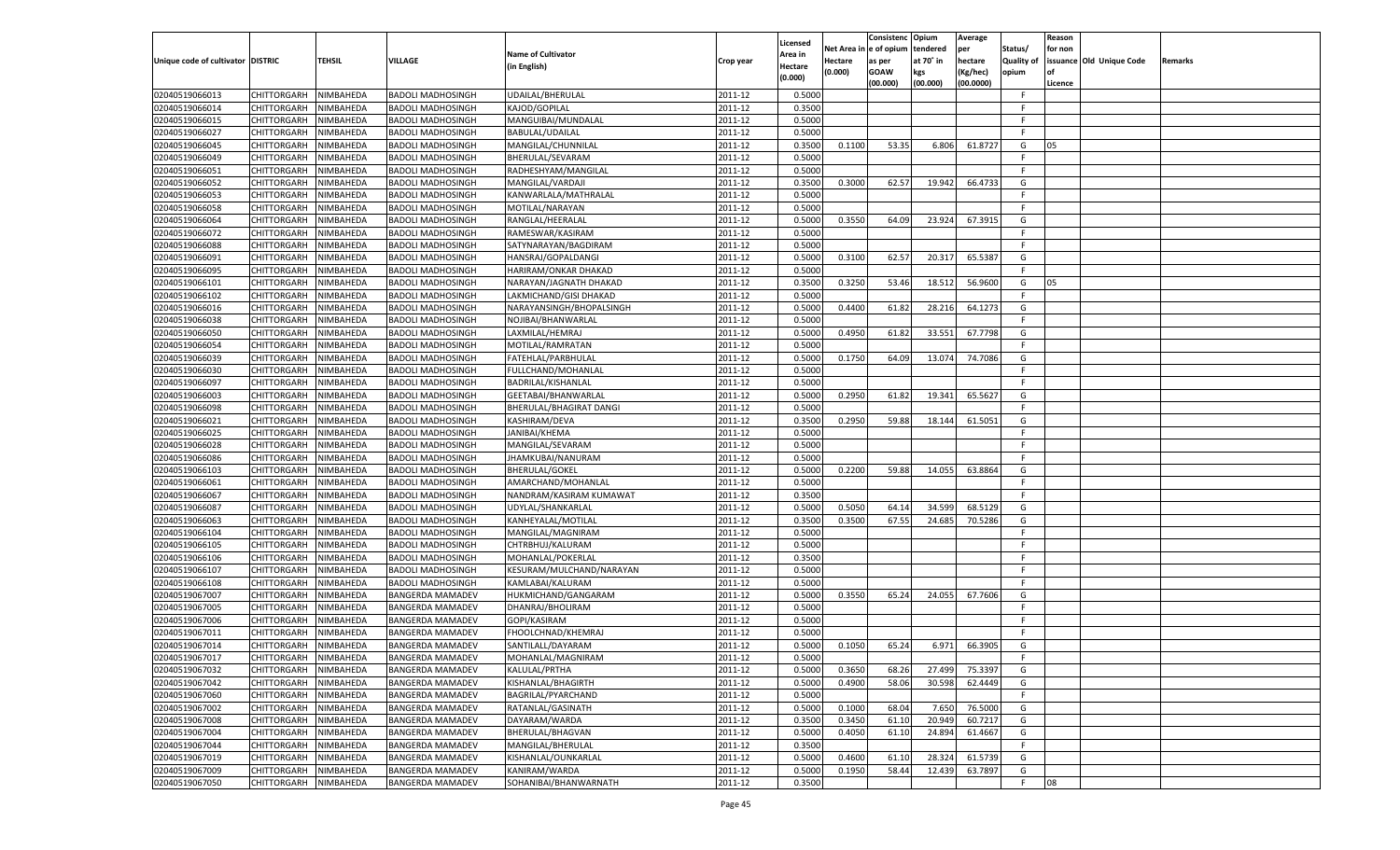|                                   |                       |               |                          |                           |                    |                    |          | Consistenc  | Opium     | Average   |                   | Reason  |                          |         |
|-----------------------------------|-----------------------|---------------|--------------------------|---------------------------|--------------------|--------------------|----------|-------------|-----------|-----------|-------------------|---------|--------------------------|---------|
|                                   |                       |               |                          | <b>Name of Cultivator</b> |                    | Licensed           | Net Area | e of opium  | tendered  | per       | Status/           | for non |                          |         |
| Unique code of cultivator DISTRIC |                       | <b>TEHSIL</b> | VILLAGE                  | (in English)              | Crop year          | \rea in<br>Hectare | Hectare  | as per      | at 70° in | hectare   | <b>Quality of</b> |         | issuance Old Unique Code | Remarks |
|                                   |                       |               |                          |                           |                    | (0.000)            | (0.000)  | <b>GOAW</b> | kgs       | (Kg/hec)  | opium             |         |                          |         |
|                                   |                       |               |                          |                           |                    |                    |          | (00.000)    | (00.000)  | (00.0000) |                   | Licence |                          |         |
| 02040519066013                    | CHITTORGARH           | NIMBAHEDA     | <b>BADOLI MADHOSINGH</b> | UDAILAL/BHERULAL          | 2011-12            | 0.5000             |          |             |           |           | -F                |         |                          |         |
| 02040519066014                    | CHITTORGARH           | NIMBAHEDA     | <b>BADOLI MADHOSINGH</b> | KAJOD/GOPILAL             | 2011-12            | 0.3500             |          |             |           |           | F.                |         |                          |         |
| 02040519066015                    | CHITTORGARH           | NIMBAHEDA     | <b>BADOLI MADHOSINGH</b> | MANGUIBAI/MUNDALAL        | 2011-12            | 0.5000             |          |             |           |           | F.                |         |                          |         |
| 02040519066027                    | CHITTORGARH           | NIMBAHEDA     | <b>BADOLI MADHOSINGH</b> | BABULAL/UDAILAL           | 2011-12            | 0.5000             |          |             |           |           | F.                |         |                          |         |
| 02040519066045                    | CHITTORGARH           | NIMBAHEDA     | <b>BADOLI MADHOSINGH</b> | MANGILAL/CHUNNILAL        | 2011-12            | 0.3500             | 0.1100   | 53.35       | 6.806     | 61.8727   | G                 | 05      |                          |         |
| 02040519066049                    | CHITTORGARH           | NIMBAHEDA     | <b>BADOLI MADHOSINGH</b> | BHERULAL/SEVARAM          | 2011-12            | 0.5000             |          |             |           |           | F.                |         |                          |         |
| 02040519066051                    | CHITTORGARH           | NIMBAHEDA     | <b>BADOLI MADHOSINGH</b> | RADHESHYAM/MANGILAL       | 2011-12            | 0.5000             |          |             |           |           | F.                |         |                          |         |
| 02040519066052                    | CHITTORGARH           | NIMBAHEDA     | <b>BADOLI MADHOSINGH</b> | MANGILAL/VARDAJI          | 2011-12            | 0.3500             | 0.3000   | 62.57       | 19.942    | 66.4733   | G                 |         |                          |         |
| 02040519066053                    | CHITTORGARH           | NIMBAHEDA     | <b>BADOLI MADHOSINGH</b> | KANWARLALA/MATHRALAL      | 2011-12            | 0.5000             |          |             |           |           | F.                |         |                          |         |
| 02040519066058                    | CHITTORGARH           | NIMBAHEDA     | <b>BADOLI MADHOSINGH</b> | MOTILAL/NARAYAN           | 2011-12            | 0.5000             |          |             |           |           | F.                |         |                          |         |
| 02040519066064                    | CHITTORGARH           | NIMBAHEDA     | <b>BADOLI MADHOSINGH</b> | RANGLAL/HEERALAL          | 2011-12            | 0.5000             | 0.3550   | 64.09       | 23.924    | 67.3915   | G                 |         |                          |         |
| 02040519066072                    | CHITTORGARH           | NIMBAHEDA     | <b>BADOLI MADHOSINGH</b> | RAMESWAR/KASIRAM          | 2011-12            | 0.5000             |          |             |           |           | F.                |         |                          |         |
| 02040519066088                    | CHITTORGARH           | NIMBAHEDA     | <b>BADOLI MADHOSINGH</b> | SATYNARAYAN/BAGDIRAM      | 2011-12            | 0.5000             |          |             |           |           | F.                |         |                          |         |
| 02040519066091                    | CHITTORGARH           | NIMBAHEDA     | <b>BADOLI MADHOSINGH</b> | HANSRAJ/GOPALDANGI        | 2011-12            | 0.5000             | 0.3100   | 62.57       | 20.317    | 65.5387   | G                 |         |                          |         |
| 02040519066095                    | CHITTORGARH           | NIMBAHEDA     | <b>BADOLI MADHOSINGH</b> | HARIRAM/ONKAR DHAKAD      | 2011-12            | 0.5000             |          |             |           |           | F.                |         |                          |         |
| 02040519066101                    | CHITTORGARH           | NIMBAHEDA     | <b>BADOLI MADHOSINGH</b> | NARAYAN/JAGNATH DHAKAD    | 2011-12            | 0.3500             | 0.3250   | 53.46       | 18.512    | 56.9600   | G                 | 05      |                          |         |
| 02040519066102                    | CHITTORGARH           | NIMBAHEDA     | <b>BADOLI MADHOSINGH</b> | LAKMICHAND/GISI DHAKAD    | 2011-12            | 0.5000             |          |             |           |           | F                 |         |                          |         |
| 02040519066016                    | CHITTORGARH           | NIMBAHEDA     | <b>BADOLI MADHOSINGH</b> | NARAYANSINGH/BHOPALSINGH  | 2011-12            | 0.5000             | 0.4400   | 61.82       | 28.216    | 64.1273   | G                 |         |                          |         |
| 02040519066038                    | CHITTORGARH           | NIMBAHEDA     | <b>BADOLI MADHOSINGH</b> | NOJIBAI/BHANWARLAL        | 2011-12            | 0.5000             |          |             |           |           | F                 |         |                          |         |
| 02040519066050                    | CHITTORGARH           | NIMBAHEDA     | <b>BADOLI MADHOSINGH</b> | LAXMILAL/HEMRAJ           | 2011-12            | 0.5000             | 0.4950   | 61.82       | 33.551    | 67.7798   | G                 |         |                          |         |
| 02040519066054                    | CHITTORGARH           | NIMBAHEDA     | <b>BADOLI MADHOSINGH</b> | MOTILAL/RAMRATAN          | 2011-12            | 0.5000             |          |             |           |           | F.                |         |                          |         |
| 02040519066039                    | CHITTORGARH           | NIMBAHEDA     | <b>BADOLI MADHOSINGH</b> | FATEHLAL/PARBHULAL        | 2011-12            | 0.5000             | 0.1750   | 64.09       | 13.074    | 74.7086   | G                 |         |                          |         |
| 02040519066030                    | CHITTORGARH           | NIMBAHEDA     | <b>BADOLI MADHOSINGH</b> | FULLCHAND/MOHANLAL        | 2011-12            | 0.5000             |          |             |           |           | F.                |         |                          |         |
| 02040519066097                    | CHITTORGARH           | NIMBAHEDA     | <b>BADOLI MADHOSINGH</b> | BADRILAL/KISHANLAL        | 2011-12            | 0.5000             |          |             |           |           | F.                |         |                          |         |
| 02040519066003                    | CHITTORGARH           | NIMBAHEDA     | <b>BADOLI MADHOSINGH</b> | GEETABAI/BHANWARLAL       | 2011-12            | 0.5000             | 0.2950   | 61.82       | 19.341    | 65.5627   | G                 |         |                          |         |
| 02040519066098                    | CHITTORGARH           | NIMBAHEDA     | <b>BADOLI MADHOSINGH</b> | BHERULAL/BHAGIRAT DANGI   | 2011-12            | 0.5000             |          |             |           |           | F.                |         |                          |         |
| 02040519066021                    | CHITTORGARH           | NIMBAHEDA     | <b>BADOLI MADHOSINGH</b> | KASHIRAM/DEVA             | 2011-12            | 0.3500             | 0.2950   | 59.88       | 18.144    | 61.5051   | G                 |         |                          |         |
| 02040519066025                    | CHITTORGARH           | NIMBAHEDA     | <b>BADOLI MADHOSINGH</b> | JANIBAI/KHEMA             | 2011-12            | 0.5000             |          |             |           |           | F.                |         |                          |         |
| 02040519066028                    | CHITTORGARH           | NIMBAHEDA     | <b>BADOLI MADHOSINGH</b> | MANGILAL/SEVARAM          | 2011-12            | 0.5000             |          |             |           |           | F.                |         |                          |         |
| 02040519066086                    | CHITTORGARH           | NIMBAHEDA     | <b>BADOLI MADHOSINGH</b> | JHAMKUBAI/NANURAM         | 2011-12            | 0.5000             |          |             |           |           | F.                |         |                          |         |
| 02040519066103                    | CHITTORGARH           | NIMBAHEDA     | <b>BADOLI MADHOSINGH</b> | <b>BHERULAL/GOKEL</b>     | 2011-12            | 0.5000             | 0.2200   | 59.88       | 14.055    | 63.8864   | G                 |         |                          |         |
| 02040519066061                    | CHITTORGARH           | NIMBAHEDA     | <b>BADOLI MADHOSINGH</b> | AMARCHAND/MOHANLAL        | 2011-12            | 0.5000             |          |             |           |           | F.                |         |                          |         |
| 02040519066067                    | CHITTORGARH           | NIMBAHEDA     | <b>BADOLI MADHOSINGH</b> | NANDRAM/KASIRAM KUMAWAT   | 2011-12            | 0.3500             |          |             |           |           | F.                |         |                          |         |
| 02040519066087                    | CHITTORGARH           | NIMBAHEDA     | <b>BADOLI MADHOSINGH</b> | UDYLAL/SHANKARLAL         | 2011-12            | 0.5000             | 0.5050   | 64.14       | 34.599    | 68.5129   | G                 |         |                          |         |
| 02040519066063                    | <b>CHITTORGARH</b>    | NIMBAHEDA     | <b>BADOLI MADHOSINGH</b> | KANHEYALAL/MOTILAL        | 2011-12            | 0.3500             | 0.3500   | 67.55       | 24.685    | 70.5286   | G                 |         |                          |         |
| 02040519066104                    | CHITTORGARH           | NIMBAHEDA     | <b>BADOLI MADHOSINGH</b> | MANGILAL/MAGNIRAM         | 2011-12            | 0.5000             |          |             |           |           | F.                |         |                          |         |
| 02040519066105                    | <b>CHITTORGARH</b>    | NIMBAHEDA     | <b>BADOLI MADHOSINGH</b> | CHTRBHUJ/KALURAM          | 2011-12            | 0.5000             |          |             |           |           | F                 |         |                          |         |
| 02040519066106                    | CHITTORGARH           | NIMBAHEDA     | <b>BADOLI MADHOSINGH</b> | MOHANLAL/POKERLAL         | 2011-12            | 0.3500             |          |             |           |           | F.                |         |                          |         |
| 02040519066107                    | <b>CHITTORGARH</b>    | NIMBAHEDA     | <b>BADOLI MADHOSINGH</b> | KESURAM/MULCHAND/NARAYAN  | 2011-12            | 0.5000             |          |             |           |           | F.                |         |                          |         |
| 02040519066108                    | CHITTORGARH           | NIMBAHEDA     | <b>BADOLI MADHOSINGH</b> | KAMLABAI/KALURAM          | 2011-12            | 0.5000             |          |             |           |           | F.                |         |                          |         |
| 02040519067007                    | <b>CHITTORGARH</b>    | NIMBAHEDA     | <b>BANGERDA MAMADEV</b>  | HUKMICHAND/GANGARAM       | 2011-12            | 0.5000             | 0.3550   | 65.24       | 24.055    | 67.7606   | G                 |         |                          |         |
| 02040519067005                    | CHITTORGARH           | NIMBAHEDA     | <b>BANGERDA MAMADEV</b>  | DHANRAJ/BHOLIRAM          | 2011-12            | 0.5000             |          |             |           |           | F.                |         |                          |         |
| 02040519067006                    | CHITTORGARH           | NIMBAHEDA     | <b>BANGERDA MAMADEV</b>  | GOPI/KASIRAM              | 2011-12            | 0.5000             |          |             |           |           | F.                |         |                          |         |
| 02040519067011                    | CHITTORGARH           | NIMBAHEDA     | BANGERDA MAMADEV         | FHOOLCHNAD/KHEMRAJ        | 2011-12            | 0.5000             |          |             |           |           | F.                |         |                          |         |
| 02040519067014                    | CHITTORGARH           | NIMBAHEDA     | <b>BANGERDA MAMADEV</b>  | SANTILALL/DAYARAM         | 2011-12            | 0.5000             | 0.1050   | 65.24       | 6.971     | 66.3905   | G                 |         |                          |         |
| 02040519067017                    | CHITTORGARH NIMBAHEDA |               | <b>BANGERDA MAMADEV</b>  | MOHANLAL/MAGNIRAM         |                    | 0.5000             |          |             |           |           | F                 |         |                          |         |
| 02040519067032                    |                       |               | <b>BANGERDA MAMADEV</b>  |                           | 2011-12<br>2011-12 | 0.5000             |          | 68.26       | 27.499    |           | G                 |         |                          |         |
|                                   | <b>CHITTORGARH</b>    | NIMBAHEDA     |                          | KALULAL/PRTHA             |                    |                    | 0.3650   |             |           | 75.3397   |                   |         |                          |         |
| 02040519067042                    | CHITTORGARH           | NIMBAHEDA     | <b>BANGERDA MAMADEV</b>  | KISHANLAL/BHAGIRTH        | 2011-12            | 0.5000<br>0.5000   | 0.4900   | 58.06       | 30.598    | 62.4449   | G                 |         |                          |         |
| 02040519067060                    | <b>CHITTORGARH</b>    | NIMBAHEDA     | <b>BANGERDA MAMADEV</b>  | BAGRILAL/PYARCHAND        | 2011-12            |                    |          |             |           |           | F.                |         |                          |         |
| 02040519067002                    | <b>CHITTORGARH</b>    | NIMBAHEDA     | <b>BANGERDA MAMADEV</b>  | RATANLAL/GASINATH         | 2011-12            | 0.5000             | 0.1000   | 68.04       | 7.650     | 76.5000   | G                 |         |                          |         |
| 02040519067008                    | <b>CHITTORGARH</b>    | NIMBAHEDA     | <b>BANGERDA MAMADEV</b>  | DAYARAM/WARDA             | 2011-12            | 0.3500             | 0.3450   | 61.10       | 20.949    | 60.7217   | G                 |         |                          |         |
| 02040519067004                    | <b>CHITTORGARH</b>    | NIMBAHEDA     | <b>BANGERDA MAMADEV</b>  | BHERULAL/BHAGVAN          | 2011-12            | 0.5000             | 0.4050   | 61.10       | 24.894    | 61.4667   | G                 |         |                          |         |
| 02040519067044                    | <b>CHITTORGARH</b>    | NIMBAHEDA     | <b>BANGERDA MAMADEV</b>  | MANGILAL/BHERULAL         | 2011-12            | 0.3500             |          |             |           |           | F.                |         |                          |         |
| 02040519067019                    | <b>CHITTORGARH</b>    | NIMBAHEDA     | <b>BANGERDA MAMADEV</b>  | KISHANLAL/OUNKARLAL       | 2011-12            | 0.5000             | 0.4600   | 61.10       | 28.324    | 61.5739   | G                 |         |                          |         |
| 02040519067009                    | <b>CHITTORGARH</b>    | NIMBAHEDA     | <b>BANGERDA MAMADEV</b>  | KANIRAM/WARDA             | 2011-12            | 0.5000             | 0.1950   | 58.44       | 12.439    | 63.7897   | G                 |         |                          |         |
| 02040519067050                    | CHITTORGARH           | NIMBAHEDA     | <b>BANGERDA MAMADEV</b>  | SOHANIBAI/BHANWARNATH     | 2011-12            | 0.3500             |          |             |           |           | F.                | 08      |                          |         |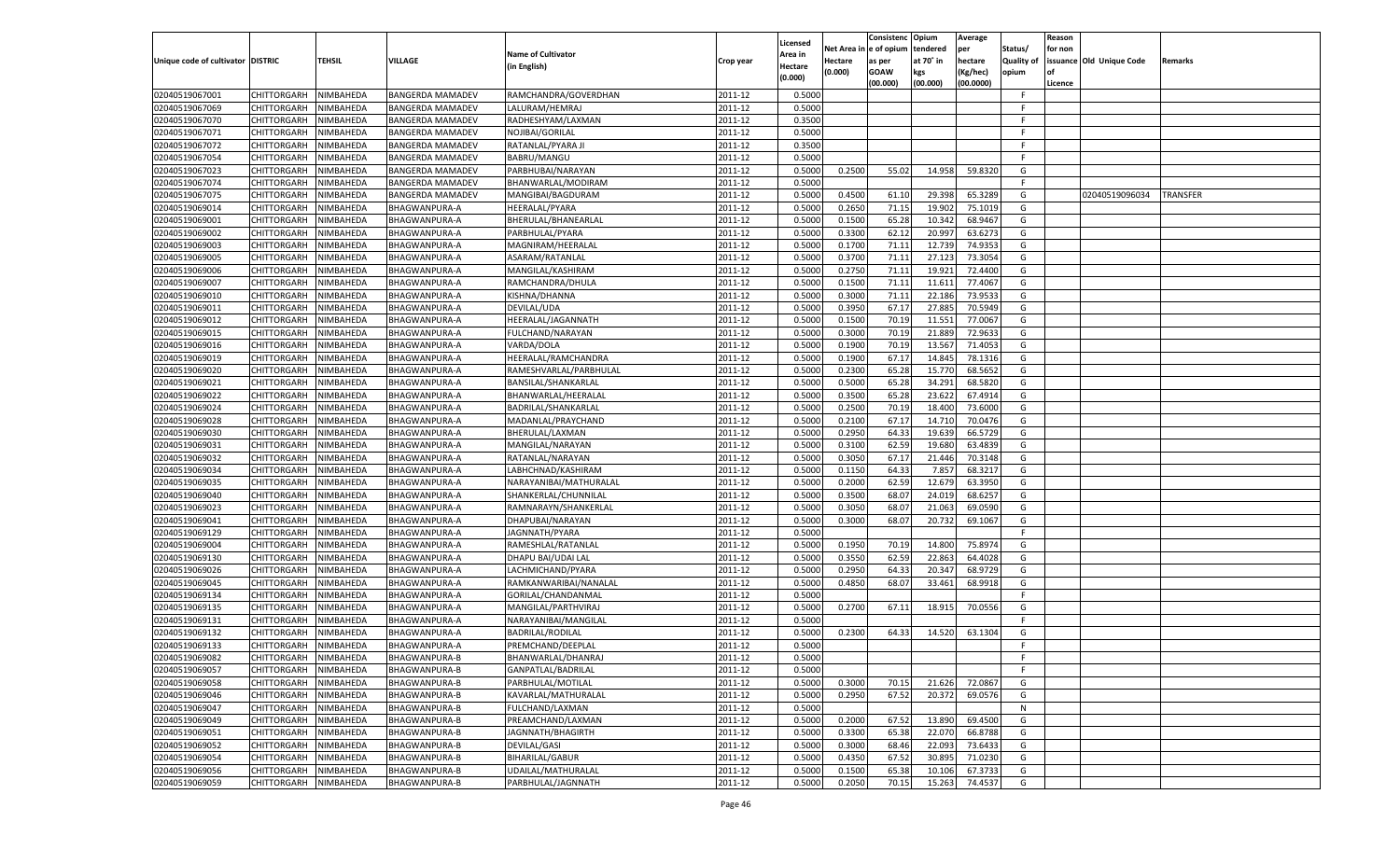|                                   |                       |                        |                                       |                                         |                    |                    |            | Consistenc Opium |           | Average   |                   | Reason  |                          |                 |
|-----------------------------------|-----------------------|------------------------|---------------------------------------|-----------------------------------------|--------------------|--------------------|------------|------------------|-----------|-----------|-------------------|---------|--------------------------|-----------------|
|                                   |                       |                        |                                       |                                         |                    | Licensed           | Net Area i | n  e of opium    | tendered  | per       | Status/           | for non |                          |                 |
| Unique code of cultivator DISTRIC |                       | TEHSIL                 | VILLAGE                               | <b>Name of Cultivator</b>               | Crop year          | \rea in            | Hectare    | as per           | at 70° in | hectare   | <b>Quality of</b> |         | issuance Old Unique Code | <b>Remarks</b>  |
|                                   |                       |                        |                                       | (in English)                            |                    | Hectare<br>(0.000) | (0.000)    | <b>GOAW</b>      | kgs       | (Kg/hec)  | opium             |         |                          |                 |
|                                   |                       |                        |                                       |                                         |                    |                    |            | (00.000)         | (00.000)  | (00.0000) |                   | Licence |                          |                 |
| 02040519067001                    | CHITTORGARH           | NIMBAHEDA              | <b>BANGERDA MAMADEV</b>               | RAMCHANDRA/GOVERDHAN                    | 2011-12            | 0.5000             |            |                  |           |           | -F.               |         |                          |                 |
| 02040519067069                    | CHITTORGARH           | NIMBAHEDA              | <b>BANGERDA MAMADEV</b>               | LALURAM/HEMRAJ                          | 2011-12            | 0.5000             |            |                  |           |           | F                 |         |                          |                 |
| 02040519067070                    | CHITTORGARH           | NIMBAHEDA              | <b>BANGERDA MAMADEV</b>               | RADHESHYAM/LAXMAN                       | 2011-12            | 0.3500             |            |                  |           |           | F.                |         |                          |                 |
| 02040519067071                    | CHITTORGARH           | NIMBAHEDA              | <b>BANGERDA MAMADEV</b>               | NOJIBAI/GORILAL                         | 2011-12            | 0.5000             |            |                  |           |           | F.                |         |                          |                 |
| 02040519067072                    | CHITTORGARH           | NIMBAHEDA              | <b>BANGERDA MAMADEV</b>               | RATANLAL/PYARA JI                       | 2011-12            | 0.3500             |            |                  |           |           | F.                |         |                          |                 |
| 02040519067054                    | CHITTORGARH           | NIMBAHEDA              | <b>BANGERDA MAMADEV</b>               | BABRU/MANGU                             | 2011-12            | 0.5000             |            |                  |           |           | F.                |         |                          |                 |
| 02040519067023                    | CHITTORGARH           | NIMBAHEDA              | <b>BANGERDA MAMADEV</b>               | PARBHUBAI/NARAYAN                       | 2011-12            | 0.5000             | 0.2500     | 55.02            | 14.958    | 59.8320   | G                 |         |                          |                 |
| 02040519067074                    | CHITTORGARH           | NIMBAHEDA              | <b>BANGERDA MAMADEV</b>               | BHANWARLAL/MODIRAM                      | 2011-12            | 0.5000             |            |                  |           |           | F.                |         |                          |                 |
| 02040519067075                    | CHITTORGARH           | NIMBAHEDA              | <b>BANGERDA MAMADEV</b>               | MANGIBAI/BAGDURAM                       | 2011-12            | 0.5000             | 0.4500     | 61.10            | 29.398    | 65.3289   | G                 |         | 02040519096034           | <b>TRANSFER</b> |
| 02040519069014                    | CHITTORGARH           | NIMBAHEDA              | BHAGWANPURA-A                         | HEERALAL/PYARA                          | 2011-12            | 0.5000             | 0.2650     | 71.15            | 19.902    | 75.1019   | G                 |         |                          |                 |
| 02040519069001                    | CHITTORGARH           | NIMBAHEDA              | BHAGWANPURA-A                         | BHERULAL/BHANEARLAL                     | 2011-12            | 0.5000             | 0.1500     | 65.28            | 10.342    | 68.9467   | G                 |         |                          |                 |
| 02040519069002                    | CHITTORGARH           | NIMBAHEDA              | BHAGWANPURA-A                         | PARBHULAL/PYARA                         | 2011-12            | 0.5000             | 0.3300     | 62.12            | 20.99     | 63.6273   | G                 |         |                          |                 |
| 02040519069003                    | CHITTORGARH           | NIMBAHEDA              | BHAGWANPURA-A                         | MAGNIRAM/HEERALAL                       | 2011-12            | 0.5000             | 0.1700     | 71.11            | 12.73     | 74.9353   | G                 |         |                          |                 |
| 02040519069005                    | CHITTORGARH           | NIMBAHEDA              | BHAGWANPURA-A                         | ASARAM/RATANLAL                         | 2011-12            | 0.5000             | 0.3700     | 71.11            | 27.12     | 73.3054   | G                 |         |                          |                 |
| 02040519069006                    | CHITTORGARH           | NIMBAHEDA              | BHAGWANPURA-A                         | MANGILAL/KASHIRAM                       | 2011-12            | 0.5000             | 0.2750     | 71.11            | 19.921    | 72.4400   | G                 |         |                          |                 |
| 02040519069007                    | CHITTORGARH           | NIMBAHEDA              | BHAGWANPURA-A                         | RAMCHANDRA/DHULA                        | 2011-12            | 0.5000             | 0.1500     | 71.11            | 11.611    | 77.4067   | G                 |         |                          |                 |
| 02040519069010                    | CHITTORGARH           | NIMBAHEDA              | BHAGWANPURA-A                         | KISHNA/DHANNA                           | 2011-12            | 0.5000             | 0.3000     | 71.11            | 22.186    | 73.9533   | G                 |         |                          |                 |
| 02040519069011                    | CHITTORGARH           | NIMBAHEDA              | BHAGWANPURA-A                         | DEVILAL/UDA                             | 2011-12            | 0.5000             | 0.3950     | 67.17            | 27.885    | 70.5949   | G                 |         |                          |                 |
|                                   | CHITTORGARH           |                        |                                       |                                         |                    |                    |            |                  |           |           |                   |         |                          |                 |
| 02040519069012                    |                       | NIMBAHEDA              | BHAGWANPURA-A                         | HEERALAL/JAGANNATH                      | 2011-12            | 0.5000             | 0.1500     | 70.19            | 11.551    | 77.0067   | G                 |         |                          |                 |
| 02040519069015                    | CHITTORGARH           | NIMBAHEDA              | BHAGWANPURA-A                         | FULCHAND/NARAYAN                        | 2011-12            | 0.5000             | 0.3000     | 70.19            | 21.889    | 72.9633   | G                 |         |                          |                 |
| 02040519069016                    | CHITTORGARH           | NIMBAHEDA              | BHAGWANPURA-A                         | VARDA/DOLA                              | 2011-12            | 0.5000             | 0.1900     | 70.19            | 13.567    | 71.4053   | G                 |         |                          |                 |
| 02040519069019                    | CHITTORGARH           | NIMBAHEDA              | BHAGWANPURA-A                         | HEERALAL/RAMCHANDRA                     | 2011-12            | 0.5000             | 0.1900     | 67.17            | 14.845    | 78.1316   | G                 |         |                          |                 |
| 02040519069020                    | CHITTORGARH           | NIMBAHEDA              | BHAGWANPURA-A                         | RAMESHVARLAL/PARBHULAL                  | 2011-12            | 0.5000             | 0.2300     | 65.28            | 15.77     | 68.5652   | G                 |         |                          |                 |
| 02040519069021                    | CHITTORGARH           | NIMBAHEDA              | BHAGWANPURA-A                         | BANSILAL/SHANKARLAL                     | 2011-12            | 0.5000             | 0.5000     | 65.28            | 34.291    | 68.5820   | G                 |         |                          |                 |
| 02040519069022                    | CHITTORGARH           | NIMBAHEDA              | BHAGWANPURA-A                         | BHANWARLAL/HEERALAL                     | 2011-12            | 0.5000             | 0.3500     | 65.28            | 23.622    | 67.4914   | G                 |         |                          |                 |
| 02040519069024                    | CHITTORGARH           | NIMBAHEDA              | BHAGWANPURA-A                         | BADRILAL/SHANKARLAL                     | 2011-12            | 0.5000             | 0.2500     | 70.19            | 18.400    | 73.6000   | G                 |         |                          |                 |
| 02040519069028                    | CHITTORGARH           | NIMBAHEDA              | BHAGWANPURA-A                         | MADANLAL/PRAYCHAND                      | 2011-12            | 0.5000             | 0.2100     | 67.17            | 14.710    | 70.0476   | G                 |         |                          |                 |
| 02040519069030                    | CHITTORGARH           | NIMBAHEDA              | BHAGWANPURA-A                         | BHERULAL/LAXMAN                         | 2011-12            | 0.5000             | 0.2950     | 64.33            | 19.639    | 66.5729   | G                 |         |                          |                 |
| 02040519069031                    | CHITTORGARH           | NIMBAHEDA              | BHAGWANPURA-A                         | MANGILAL/NARAYAN                        | 2011-12            | 0.5000             | 0.3100     | 62.59            | 19.680    | 63.4839   | G                 |         |                          |                 |
| 02040519069032                    | CHITTORGARH           | NIMBAHEDA              | BHAGWANPURA-A                         | RATANLAL/NARAYAN                        | 2011-12            | 0.5000             | 0.3050     | 67.1             | 21.446    | 70.3148   | G                 |         |                          |                 |
| 02040519069034                    | CHITTORGARH           | NIMBAHEDA              | BHAGWANPURA-A                         | LABHCHNAD/KASHIRAM                      | 2011-12            | 0.5000             | 0.1150     | 64.33            | 7.857     | 68.3217   | G                 |         |                          |                 |
| 02040519069035                    | CHITTORGARH           | NIMBAHEDA              | BHAGWANPURA-A                         | NARAYANIBAI/MATHURALAL                  | 2011-12            | 0.5000             | 0.2000     | 62.59            | 12.679    | 63.3950   | G                 |         |                          |                 |
| 02040519069040                    | CHITTORGARH           | NIMBAHEDA              | BHAGWANPURA-A                         | SHANKERLAL/CHUNNILAL                    | 2011-12            | 0.5000             | 0.3500     | 68.07            | 24.019    | 68.6257   | G                 |         |                          |                 |
| 02040519069023                    | CHITTORGARH           | NIMBAHEDA              | BHAGWANPURA-A                         | RAMNARAYN/SHANKERLAL                    | 2011-12            | 0.5000             | 0.3050     | 68.0             | 21.063    | 69.0590   | G                 |         |                          |                 |
| 02040519069041                    | CHITTORGARH           | NIMBAHEDA              | BHAGWANPURA-A                         | DHAPUBAI/NARAYAN                        | 2011-12            | 0.5000             | 0.3000     | 68.07            | 20.732    | 69.1067   | G                 |         |                          |                 |
| 02040519069129                    | CHITTORGARH           | NIMBAHEDA              | BHAGWANPURA-A                         | JAGNNATH/PYARA                          | 2011-12            | 0.5000             |            |                  |           |           | F.                |         |                          |                 |
| 02040519069004                    | CHITTORGARH           | NIMBAHEDA              | BHAGWANPURA-A                         | RAMESHLAL/RATANLAL                      | 2011-12            | 0.5000             | 0.1950     | 70.19            | 14.800    | 75.897    | G                 |         |                          |                 |
| 02040519069130                    | CHITTORGARH           | NIMBAHEDA              | BHAGWANPURA-A                         | DHAPU BAI/UDAI LAL                      | 2011-12            | 0.5000             | 0.3550     | 62.59            | 22.863    | 64.4028   | G                 |         |                          |                 |
| 02040519069026                    | CHITTORGARH           | NIMBAHEDA              | BHAGWANPURA-A                         | LACHMICHAND/PYARA                       | 2011-12            | 0.5000             | 0.2950     | 64.33            | 20.347    | 68.9729   | G                 |         |                          |                 |
| 02040519069045                    | CHITTORGARH           | NIMBAHEDA              | BHAGWANPURA-A                         | RAMKANWARIBAI/NANALAL                   | 2011-12            | 0.5000             | 0.4850     | 68.07            | 33.461    | 68.9918   | G                 |         |                          |                 |
| 02040519069134                    | CHITTORGARH           | NIMBAHEDA              | <b>BHAGWANPURA-A</b>                  | GORILAL/CHANDANMAL                      | 2011-12            | 0.5000             |            |                  |           |           | F.                |         |                          |                 |
| 02040519069135                    | CHITTORGARH           | NIMBAHEDA              | BHAGWANPURA-A                         | MANGILAL/PARTHVIRAJ                     | 2011-12            | 0.5000             | 0.2700     | 67.11            | 18.915    | 70.0556   | G                 |         |                          |                 |
| 02040519069131                    | CHITTORGARH           | NIMBAHEDA              | BHAGWANPURA-A                         | NARAYANIBAI/MANGILAL                    | 2011-12            | 0.5000             |            |                  |           |           | F.                |         |                          |                 |
| 02040519069132                    | CHITTORGARH           | NIMBAHEDA              | BHAGWANPURA-A                         | <b>BADRILAL/RODILAL</b>                 | 2011-12            | 0.5000             | 0.2300     | 64.33            | 14.520    | 63.1304   | G                 |         |                          |                 |
| 02040519069133                    | CHITTORGARH           | NIMBAHEDA              | BHAGWANPURA-A                         | PREMCHAND/DEEPLAI                       | 2011-12            | 0.5000             |            |                  |           |           | F.                |         |                          |                 |
|                                   | CHITTORGARH NIMBAHEDA |                        |                                       |                                         |                    | 0.5000             |            |                  |           |           | F.                |         |                          |                 |
| 02040519069082                    | CHITTORGARH           |                        | <b>BHAGWANPURA-B</b>                  | BHANWARLAL/DHANRAJ                      | 2011-12            |                    |            |                  |           |           | F.                |         |                          |                 |
| 02040519069057<br>02040519069058  |                       | NIMBAHEDA<br>NIMBAHEDA | <b>BHAGWANPURA-B</b><br>BHAGWANPURA-B | GANPATLAL/BADRILAL<br>PARBHULAL/MOTILAL | 2011-12<br>2011-12 | 0.5000             | 0.3000     | 70.15            |           |           |                   |         |                          |                 |
|                                   | CHITTORGARH           |                        |                                       |                                         |                    | 0.5000             |            |                  | 21.626    | 72.0867   | G                 |         |                          |                 |
| 02040519069046                    | <b>CHITTORGARH</b>    | NIMBAHEDA              | <b>BHAGWANPURA-B</b>                  | KAVARLAL/MATHURALAL                     | 2011-12            | 0.5000             | 0.2950     | 67.52            | 20.372    | 69.0576   | G                 |         |                          |                 |
| 02040519069047                    | <b>CHITTORGARH</b>    | NIMBAHEDA              | <b>BHAGWANPURA-B</b>                  | FULCHAND/LAXMAN                         | 2011-12            | 0.5000             |            |                  |           |           | N                 |         |                          |                 |
| 02040519069049                    | CHITTORGARH           | NIMBAHEDA              | BHAGWANPURA-B                         | PREAMCHAND/LAXMAN                       | 2011-12            | 0.5000             | 0.2000     | 67.52            | 13.890    | 69.4500   | G                 |         |                          |                 |
| 02040519069051                    | CHITTORGARH           | NIMBAHEDA              | BHAGWANPURA-B                         | JAGNNATH/BHAGIRTH                       | 2011-12            | 0.5000             | 0.3300     | 65.38            | 22.070    | 66.8788   | G                 |         |                          |                 |
| 02040519069052                    | <b>CHITTORGARH</b>    | NIMBAHEDA              | <b>BHAGWANPURA-B</b>                  | DEVILAL/GASI                            | 2011-12            | 0.5000             | 0.3000     | 68.46            | 22.093    | 73.6433   | G                 |         |                          |                 |
| 02040519069054                    | <b>CHITTORGARH</b>    | NIMBAHEDA              | <b>BHAGWANPURA-B</b>                  | <b>BIHARILAL/GABUR</b>                  | 2011-12            | 0.5000             | 0.4350     | 67.52            | 30.895    | 71.0230   | G                 |         |                          |                 |
| 02040519069056                    | CHITTORGARH           | NIMBAHEDA              | <b>BHAGWANPURA-B</b>                  | UDAILAL/MATHURALAL                      | 2011-12            | 0.5000             | 0.1500     | 65.38            | 10.106    | 67.3733   | G                 |         |                          |                 |
| 02040519069059                    | CHITTORGARH           | NIMBAHEDA              | <b>BHAGWANPURA-B</b>                  | PARBHULAL/JAGNNATH                      | 2011-12            | 0.5000             | 0.2050     | 70.15            | 15.263    | 74.4537   | G                 |         |                          |                 |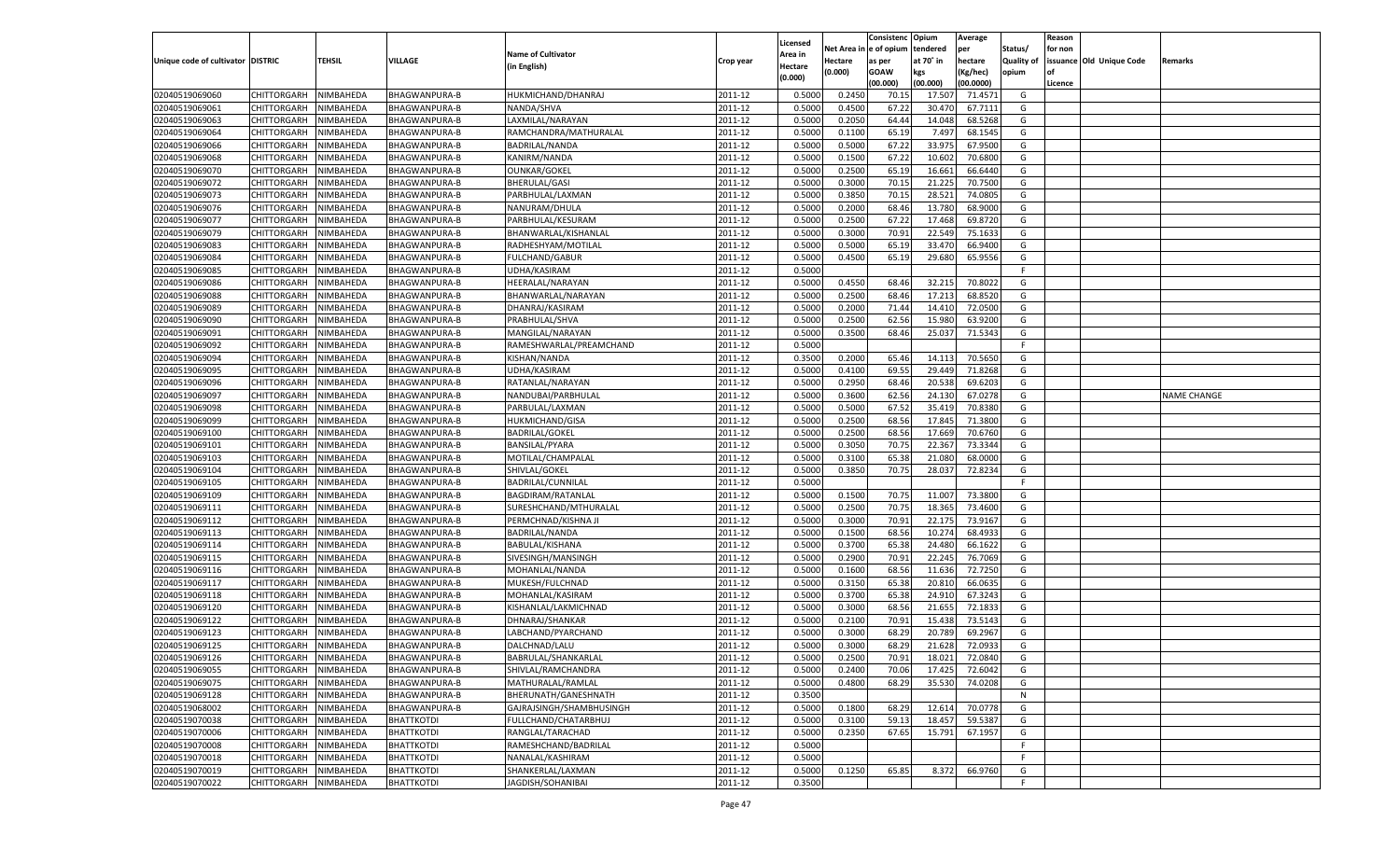|                                   |                       |           |                      |                           |           |                     |             | Consistenc    | Opium     | Average   |                   | Reason  |                          |                    |
|-----------------------------------|-----------------------|-----------|----------------------|---------------------------|-----------|---------------------|-------------|---------------|-----------|-----------|-------------------|---------|--------------------------|--------------------|
|                                   |                       |           |                      | <b>Name of Cultivator</b> |           | Licensed<br>Area in | Net Area iı | n  e of opium | tendered  | per       | Status/           | for non |                          |                    |
| Unique code of cultivator DISTRIC |                       | TEHSIL    | <b>VILLAGE</b>       | (in English)              | Crop year | Hectare             | Hectare     | as per        | at 70° in | hectare   | <b>Quality of</b> |         | issuance Old Unique Code | Remarks            |
|                                   |                       |           |                      |                           |           | (0.000)             | (0.000)     | <b>GOAW</b>   | kgs       | (Kg/hec)  | opium             |         |                          |                    |
|                                   |                       |           |                      |                           |           |                     |             | (00.000)      | (00.000)  | (00.0000) |                   | Licence |                          |                    |
| 02040519069060                    | CHITTORGARH           | NIMBAHEDA | BHAGWANPURA-B        | HUKMICHAND/DHANRAJ        | 2011-12   | 0.5000              | 0.2450      | 70.1          | 17.507    | 71.4571   | G                 |         |                          |                    |
| 02040519069061                    | CHITTORGARH           | NIMBAHEDA | BHAGWANPURA-B        | NANDA/SHVA                | 2011-12   | 0.5000              | 0.4500      | 67.22         | 30.470    | 67.7111   | G                 |         |                          |                    |
| 02040519069063                    | CHITTORGARH           | NIMBAHEDA | BHAGWANPURA-B        | LAXMILAL/NARAYAN          | 2011-12   | 0.5000              | 0.2050      | 64.44         | 14.048    | 68.5268   | G                 |         |                          |                    |
| 02040519069064                    | CHITTORGARH           | NIMBAHEDA | BHAGWANPURA-B        | RAMCHANDRA/MATHURALAL     | 2011-12   | 0.5000              | 0.1100      | 65.19         | 7.497     | 68.1545   | G                 |         |                          |                    |
| 02040519069066                    | CHITTORGARH           | NIMBAHEDA | BHAGWANPURA-B        | BADRILAL/NANDA            | 2011-12   | 0.5000              | 0.5000      | 67.22         | 33.975    | 67.9500   | G                 |         |                          |                    |
| 02040519069068                    | CHITTORGARH           | NIMBAHEDA | BHAGWANPURA-B        | KANIRM/NANDA              | 2011-12   | 0.5000              | 0.1500      | 67.22         | 10.602    | 70.6800   | G                 |         |                          |                    |
| 02040519069070                    | CHITTORGARH           | NIMBAHEDA | <b>BHAGWANPURA-B</b> | <b>OUNKAR/GOKEL</b>       | 2011-12   | 0.5000              | 0.2500      | 65.19         | 16.661    | 66.6440   | G                 |         |                          |                    |
| 02040519069072                    | CHITTORGARH           | NIMBAHEDA | BHAGWANPURA-B        | <b>BHERULAL/GASI</b>      | 2011-12   | 0.5000              | 0.3000      | 70.15         | 21.225    | 70.7500   | G                 |         |                          |                    |
| 02040519069073                    | CHITTORGARH           | NIMBAHEDA | <b>BHAGWANPURA-B</b> | PARBHULAL/LAXMAN          | 2011-12   | 0.5000              | 0.3850      | 70.15         | 28.521    | 74.0805   | G                 |         |                          |                    |
| 02040519069076                    | CHITTORGARH           | NIMBAHEDA | BHAGWANPURA-B        | NANURAM/DHULA             | 2011-12   | 0.5000              | 0.2000      | 68.46         | 13.780    | 68.9000   | G                 |         |                          |                    |
| 02040519069077                    | CHITTORGARH           | NIMBAHEDA | BHAGWANPURA-B        | PARBHULAL/KESURAM         | 2011-12   | 0.5000              | 0.2500      | 67.22         | 17.468    | 69.8720   | G                 |         |                          |                    |
| 02040519069079                    | CHITTORGARH           | NIMBAHEDA | BHAGWANPURA-B        | BHANWARLAL/KISHANLAL      | 2011-12   | 0.5000              | 0.3000      | 70.91         | 22.549    | 75.1633   | G                 |         |                          |                    |
| 02040519069083                    | CHITTORGARH           | NIMBAHEDA | BHAGWANPURA-B        | RADHESHYAM/MOTILAL        | 2011-12   | 0.5000              | 0.5000      | 65.19         | 33.470    | 66.9400   | G                 |         |                          |                    |
| 02040519069084                    | CHITTORGARH           | NIMBAHEDA | BHAGWANPURA-B        | <b>FULCHAND/GABUR</b>     | 2011-12   | 0.5000              | 0.4500      | 65.19         | 29.680    | 65.9556   | G                 |         |                          |                    |
| 02040519069085                    | CHITTORGARH           | NIMBAHEDA | BHAGWANPURA-B        | UDHA/KASIRAM              | 2011-12   | 0.5000              |             |               |           |           | F.                |         |                          |                    |
| 02040519069086                    | CHITTORGARH           | NIMBAHEDA | BHAGWANPURA-B        | HEERALAL/NARAYAN          | 2011-12   | 0.5000              | 0.4550      | 68.46         | 32.215    | 70.8022   | G                 |         |                          |                    |
| 02040519069088                    | CHITTORGARH           | NIMBAHEDA | BHAGWANPURA-B        | BHANWARLAL/NARAYAN        | 2011-12   | 0.5000              | 0.2500      | 68.46         | 17.213    | 68.8520   | G                 |         |                          |                    |
| 02040519069089                    | CHITTORGARH           | NIMBAHEDA | BHAGWANPURA-B        | DHANRAJ/KASIRAM           | 2011-12   | 0.5000              | 0.2000      | 71.44         | 14.410    | 72.0500   | G                 |         |                          |                    |
| 02040519069090                    | CHITTORGARH           | NIMBAHEDA | BHAGWANPURA-B        | PRABHULAL/SHVA            | 2011-12   | 0.5000              | 0.2500      | 62.56         | 15.980    | 63.9200   | G                 |         |                          |                    |
| 02040519069091                    | CHITTORGARH           | NIMBAHEDA | BHAGWANPURA-B        | MANGILAL/NARAYAN          | 2011-12   | 0.5000              | 0.3500      | 68.46         | 25.037    | 71.5343   | G                 |         |                          |                    |
| 02040519069092                    | CHITTORGARH           | NIMBAHEDA | <b>BHAGWANPURA-B</b> | RAMESHWARLAL/PREAMCHAND   | 2011-12   | 0.5000              |             |               |           |           | F.                |         |                          |                    |
| 02040519069094                    | CHITTORGARH           | NIMBAHEDA | BHAGWANPURA-B        | KISHAN/NANDA              | 2011-12   | 0.3500              | 0.2000      | 65.46         | 14.113    | 70.5650   | G                 |         |                          |                    |
| 02040519069095                    | CHITTORGARH           | NIMBAHEDA | BHAGWANPURA-B        | UDHA/KASIRAM              | 2011-12   | 0.5000              | 0.4100      | 69.55         | 29.449    | 71.8268   | G                 |         |                          |                    |
| 02040519069096                    | CHITTORGARH           | NIMBAHEDA | BHAGWANPURA-B        | RATANLAL/NARAYAN          | 2011-12   | 0.5000              | 0.2950      | 68.46         | 20.538    | 69.6203   | G                 |         |                          |                    |
| 02040519069097                    | CHITTORGARH           | NIMBAHEDA | BHAGWANPURA-B        | NANDUBAI/PARBHULAL        | 2011-12   | 0.5000              | 0.3600      | 62.56         | 24.130    | 67.0278   | G                 |         |                          | <b>NAME CHANGE</b> |
| 02040519069098                    | CHITTORGARH           | NIMBAHEDA | BHAGWANPURA-B        | PARBULAL/LAXMAN           | 2011-12   | 0.5000              | 0.5000      | 67.52         | 35.419    | 70.8380   | G                 |         |                          |                    |
| 02040519069099                    | CHITTORGARH           | NIMBAHEDA | BHAGWANPURA-B        | <b>HUKMICHAND/GISA</b>    | 2011-12   | 0.5000              | 0.2500      | 68.56         | 17.845    | 71.3800   | G                 |         |                          |                    |
| 02040519069100                    | CHITTORGARH           | NIMBAHEDA | <b>BHAGWANPURA-B</b> | <b>BADRILAL/GOKEL</b>     | 2011-12   | 0.5000              | 0.2500      | 68.56         | 17.669    | 70.6760   | G                 |         |                          |                    |
| 02040519069101                    |                       |           |                      |                           | 2011-12   | 0.5000              | 0.3050      | 70.75         | 22.367    | 73.3344   | G                 |         |                          |                    |
|                                   | CHITTORGARH           | NIMBAHEDA | BHAGWANPURA-B        | BANSILAL/PYARA            |           |                     |             |               |           |           |                   |         |                          |                    |
| 02040519069103                    | CHITTORGARH           | NIMBAHEDA | BHAGWANPURA-B        | MOTILAL/CHAMPALAL         | 2011-12   | 0.5000              | 0.3100      | 65.38         | 21.080    | 68.0000   | G                 |         |                          |                    |
| 02040519069104                    | CHITTORGARH           | NIMBAHEDA | <b>BHAGWANPURA-B</b> | SHIVLAL/GOKEL             | 2011-12   | 0.5000              | 0.3850      | 70.75         | 28.037    | 72.8234   | G<br>F            |         |                          |                    |
| 02040519069105                    | CHITTORGARH           | NIMBAHEDA | <b>BHAGWANPURA-B</b> | BADRILAL/CUNNILAL         | 2011-12   | 0.5000              |             |               |           |           |                   |         |                          |                    |
| 02040519069109                    | CHITTORGARH           | NIMBAHEDA | <b>BHAGWANPURA-B</b> | BAGDIRAM/RATANLAL         | 2011-12   | 0.5000              | 0.1500      | 70.75         | 11.007    | 73.3800   | G                 |         |                          |                    |
| 02040519069111                    | CHITTORGARH           | NIMBAHEDA | <b>BHAGWANPURA-B</b> | SURESHCHAND/MTHURALAL     | 2011-12   | 0.5000              | 0.2500      | 70.75         | 18.365    | 73.4600   | G                 |         |                          |                    |
| 02040519069112                    | CHITTORGARH           | NIMBAHEDA | <b>BHAGWANPURA-B</b> | PERMCHNAD/KISHNA JI       | 2011-12   | 0.5000              | 0.3000      | 70.91         | 22.175    | 73.9167   | G                 |         |                          |                    |
| 02040519069113                    | CHITTORGARH           | NIMBAHEDA | <b>BHAGWANPURA-B</b> | BADRILAL/NANDA            | 2011-12   | 0.5000              | 0.1500      | 68.56         | 10.274    | 68.4933   | G                 |         |                          |                    |
| 02040519069114                    | CHITTORGARH           | NIMBAHEDA | <b>BHAGWANPURA-B</b> | BABULAL/KISHANA           | 2011-12   | 0.5000              | 0.3700      | 65.38         | 24.480    | 66.1622   | G                 |         |                          |                    |
| 02040519069115                    | CHITTORGARH           | NIMBAHEDA | <b>BHAGWANPURA-B</b> | SIVESINGH/MANSINGH        | 2011-12   | 0.5000              | 0.2900      | 70.91         | 22.245    | 76.7069   | G                 |         |                          |                    |
| 02040519069116                    | CHITTORGARH           | NIMBAHEDA | <b>BHAGWANPURA-B</b> | MOHANLAL/NANDA            | 2011-12   | 0.5000              | 0.1600      | 68.56         | 11.636    | 72.7250   | G                 |         |                          |                    |
| 02040519069117                    | CHITTORGARH           | NIMBAHEDA | <b>BHAGWANPURA-B</b> | MUKESH/FULCHNAD           | 2011-12   | 0.5000              | 0.3150      | 65.38         | 20.810    | 66.0635   | G                 |         |                          |                    |
| 02040519069118                    | CHITTORGARH           | NIMBAHEDA | <b>BHAGWANPURA-B</b> | MOHANLAL/KASIRAM          | 2011-12   | 0.5000              | 0.3700      | 65.38         | 24.910    | 67.3243   | G                 |         |                          |                    |
| 02040519069120                    | CHITTORGARH           | NIMBAHEDA | <b>BHAGWANPURA-B</b> | KISHANLAL/LAKMICHNAD      | 2011-12   | 0.5000              | 0.3000      | 68.56         | 21.655    | 72.1833   | G                 |         |                          |                    |
| 02040519069122                    | CHITTORGARH           | NIMBAHEDA | <b>BHAGWANPURA-B</b> | DHNARAJ/SHANKAR           | 2011-12   | 0.5000              | 0.2100      | 70.91         | 15.43     | 73.5143   | G                 |         |                          |                    |
| 02040519069123                    | CHITTORGARH           | NIMBAHEDA | <b>BHAGWANPURA-B</b> | LABCHAND/PYARCHAND        | 2011-12   | 0.5000              | 0.3000      | 68.29         | 20.789    | 69.2967   | G                 |         |                          |                    |
| 02040519069125                    | CHITTORGARH           | NIMBAHEDA | <b>BHAGWANPURA-B</b> | DALCHNAD/LALU             | 2011-12   | 0.5000              | 0.3000      | 68.29         | 21.628    | 72.0933   | G                 |         |                          |                    |
| 02040519069126                    | CHITTORGARH NIMBAHEDA |           | <b>BHAGWANPURA-B</b> | BABRULAL/SHANKARLAL       | 2011-12   | 0.5000              | 0.2500      | 70.91         | 18.021    | 72.0840   | G                 |         |                          |                    |
| 02040519069055                    | <b>CHITTORGARH</b>    | NIMBAHEDA | <b>BHAGWANPURA-B</b> | SHIVLAL/RAMCHANDRA        | 2011-12   | 0.5000              | 0.2400      | 70.06         | 17.425    | 72.6042   | G                 |         |                          |                    |
| 02040519069075                    | CHITTORGARH           | NIMBAHEDA | <b>BHAGWANPURA-B</b> | MATHURALAL/RAMLAL         | 2011-12   | 0.5000              | 0.4800      | 68.29         | 35.530    | 74.0208   | G                 |         |                          |                    |
| 02040519069128                    | CHITTORGARH           | NIMBAHEDA | <b>BHAGWANPURA-B</b> | BHERUNATH/GANESHNATH      | 2011-12   | 0.3500              |             |               |           |           | N                 |         |                          |                    |
| 02040519068002                    | CHITTORGARH           | NIMBAHEDA | <b>BHAGWANPURA-B</b> | GAJRAJSINGH/SHAMBHUSINGH  | 2011-12   | 0.5000              | 0.1800      | 68.29         | 12.614    | 70.0778   | G                 |         |                          |                    |
| 02040519070038                    | CHITTORGARH           | NIMBAHEDA | <b>BHATTKOTDI</b>    | FULLCHAND/CHATARBHUJ      | 2011-12   | 0.5000              | 0.3100      | 59.13         | 18.457    | 59.5387   | G                 |         |                          |                    |
| 02040519070006                    | CHITTORGARH           | NIMBAHEDA | <b>BHATTKOTDI</b>    | RANGLAL/TARACHAD          | 2011-12   | 0.5000              | 0.2350      | 67.65         | 15.791    | 67.1957   | G                 |         |                          |                    |
| 02040519070008                    | CHITTORGARH           | NIMBAHEDA | <b>BHATTKOTDI</b>    | RAMESHCHAND/BADRILAL      | 2011-12   | 0.5000              |             |               |           |           | F.                |         |                          |                    |
| 02040519070018                    | CHITTORGARH           | NIMBAHEDA | <b>BHATTKOTDI</b>    | NANALAL/KASHIRAM          | 2011-12   | 0.5000              |             |               |           |           | F.                |         |                          |                    |
| 02040519070019                    | <b>CHITTORGARH</b>    | NIMBAHEDA | <b>BHATTKOTDI</b>    | SHANKERLAL/LAXMAN         | 2011-12   | 0.5000              | 0.1250      | 65.85         | 8.372     | 66.9760   | G                 |         |                          |                    |
| 02040519070022                    | <b>CHITTORGARH</b>    | NIMBAHEDA | <b>BHATTKOTDI</b>    | JAGDISH/SOHANIBAI         | 2011-12   | 0.3500              |             |               |           |           | F.                |         |                          |                    |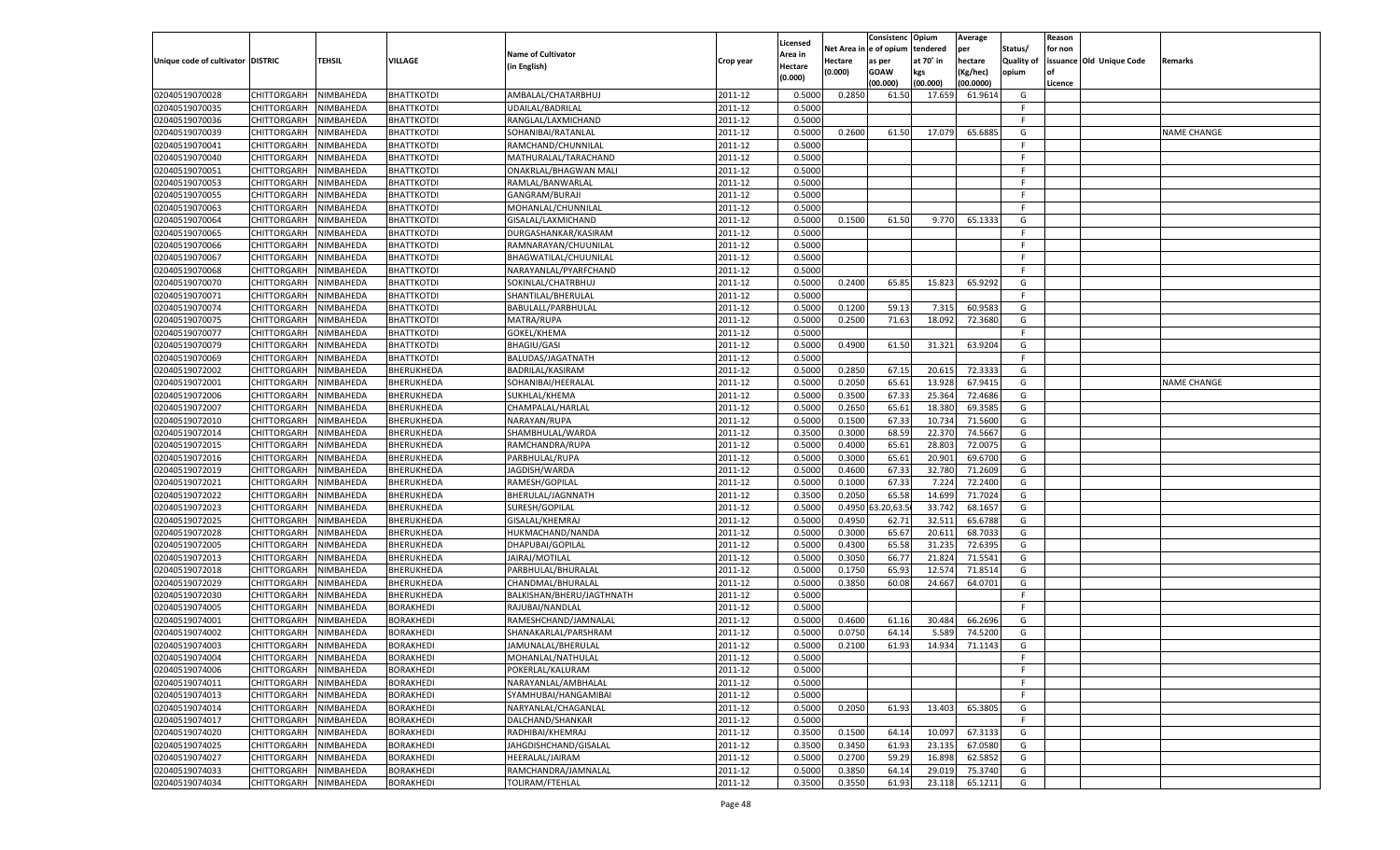|                                   |                       |           |                   |                           |           |                     |            | Consistenc    | Opium     | Average   |                   | Reason  |                          |                    |
|-----------------------------------|-----------------------|-----------|-------------------|---------------------------|-----------|---------------------|------------|---------------|-----------|-----------|-------------------|---------|--------------------------|--------------------|
|                                   |                       |           |                   | <b>Name of Cultivator</b> |           | Licensed<br>Area in | Net Area i | n le of opium | tendered  | per       | Status/           | for non |                          |                    |
| Unique code of cultivator DISTRIC |                       | TEHSIL    | <b>VILLAGE</b>    | (in English)              | Crop year | Hectare             | Hectare    | as per        | at 70° in | hectare   | <b>Quality of</b> |         | issuance Old Unique Code | Remarks            |
|                                   |                       |           |                   |                           |           | (0.000)             | (0.000)    | <b>GOAW</b>   | kgs       | (Kg/hec)  | opium             |         |                          |                    |
|                                   |                       |           |                   |                           |           |                     |            | (00.000)      | (00.000)  | (00.0000) |                   | Licence |                          |                    |
| 02040519070028                    | CHITTORGARH           | NIMBAHEDA | <b>BHATTKOTDI</b> | AMBALAL/CHATARBHUJ        | 2011-12   | 0.5000              | 0.2850     | 61.50         | 17.659    | 61.9614   | G                 |         |                          |                    |
| 02040519070035                    | CHITTORGARH           | NIMBAHEDA | <b>BHATTKOTDI</b> | UDAILAL/BADRILAL          | 2011-12   | 0.5000              |            |               |           |           | F.                |         |                          |                    |
| 02040519070036                    | CHITTORGARH           | NIMBAHEDA | <b>BHATTKOTDI</b> | RANGLAL/LAXMICHAND        | 2011-12   | 0.5000              |            |               |           |           | F.                |         |                          |                    |
| 02040519070039                    | CHITTORGARH           | NIMBAHEDA | <b>BHATTKOTDI</b> | SOHANIBAI/RATANLAL        | 2011-12   | 0.5000              | 0.2600     | 61.50         | 17.079    | 65.6885   | G                 |         |                          | NAME CHANGE        |
| 02040519070041                    | CHITTORGARH           | NIMBAHEDA | <b>BHATTKOTDI</b> | RAMCHAND/CHUNNILAL        | 2011-12   | 0.5000              |            |               |           |           | F.                |         |                          |                    |
| 02040519070040                    | CHITTORGARH           | NIMBAHEDA | <b>BHATTKOTDI</b> | MATHURALAL/TARACHAND      | 2011-12   | 0.5000              |            |               |           |           | E                 |         |                          |                    |
| 02040519070051                    | CHITTORGARH           | NIMBAHEDA | <b>BHATTKOTDI</b> | ONAKRLAL/BHAGWAN MALI     | 2011-12   | 0.5000              |            |               |           |           | F.                |         |                          |                    |
| 02040519070053                    | CHITTORGARH           | NIMBAHEDA | <b>BHATTKOTDI</b> | RAMLAL/BANWARLAL          | 2011-12   | 0.5000              |            |               |           |           | E                 |         |                          |                    |
| 02040519070055                    | CHITTORGARH           | NIMBAHEDA | <b>BHATTKOTDI</b> | GANGRAM/BURAJI            | 2011-12   | 0.5000              |            |               |           |           | F.                |         |                          |                    |
| 02040519070063                    | CHITTORGARH           | NIMBAHEDA | <b>BHATTKOTDI</b> | MOHANLAL/CHUNNILAL        | 2011-12   | 0.5000              |            |               |           |           | E                 |         |                          |                    |
| 02040519070064                    | CHITTORGARH           | NIMBAHEDA | <b>BHATTKOTDI</b> | GISALAL/LAXMICHAND        | 2011-12   | 0.5000              | 0.1500     | 61.50         | 9.770     | 65.1333   | G                 |         |                          |                    |
| 02040519070065                    | CHITTORGARH           | NIMBAHEDA | <b>BHATTKOTDI</b> | DURGASHANKAR/KASIRAM      | 2011-12   | 0.5000              |            |               |           |           | E                 |         |                          |                    |
| 02040519070066                    | CHITTORGARH           | NIMBAHEDA | <b>BHATTKOTDI</b> | RAMNARAYAN/CHUUNILAL      | 2011-12   | 0.5000              |            |               |           |           | F.                |         |                          |                    |
| 02040519070067                    | CHITTORGARH           | NIMBAHEDA | <b>BHATTKOTDI</b> | BHAGWATILAL/CHUUNILAL     | 2011-12   | 0.5000              |            |               |           |           | E                 |         |                          |                    |
| 02040519070068                    | CHITTORGARH           | NIMBAHEDA | <b>BHATTKOTDI</b> | NARAYANLAL/PYARFCHAND     | 2011-12   | 0.5000              |            |               |           |           | F.                |         |                          |                    |
| 02040519070070                    | CHITTORGARH           | NIMBAHEDA | <b>BHATTKOTDI</b> | SOKINLAL/CHATRBHUJ        | 2011-12   | 0.5000              | 0.2400     | 65.85         | 15.823    | 65.9292   | G                 |         |                          |                    |
| 02040519070071                    | CHITTORGARH           | NIMBAHEDA | <b>BHATTKOTDI</b> | SHANTILAL/BHERULAL        | 2011-12   | 0.5000              |            |               |           |           | F.                |         |                          |                    |
| 02040519070074                    | CHITTORGARH           | NIMBAHEDA | <b>BHATTKOTDI</b> | BABULALL/PARBHULAL        | 2011-12   | 0.5000              | 0.1200     | 59.13         | 7.315     | 60.9583   | G                 |         |                          |                    |
| 02040519070075                    | CHITTORGARH           | NIMBAHEDA | <b>BHATTKOTDI</b> | MATRA/RUPA                | 2011-12   | 0.5000              | 0.2500     | 71.63         | 18.092    | 72.3680   | G                 |         |                          |                    |
| 02040519070077                    | CHITTORGARH           | NIMBAHEDA | <b>BHATTKOTDI</b> | GOKEL/KHEMA               | 2011-12   | 0.5000              |            |               |           |           | F.                |         |                          |                    |
| 02040519070079                    | CHITTORGARH           | NIMBAHEDA | <b>BHATTKOTDI</b> | <b>BHAGIU/GASI</b>        | 2011-12   | 0.5000              | 0.4900     | 61.50         | 31.321    | 63.9204   | G                 |         |                          |                    |
| 02040519070069                    | CHITTORGARH           | NIMBAHEDA | <b>BHATTKOTDI</b> | BALUDAS/JAGATNATH         | 2011-12   | 0.5000              |            |               |           |           | F.                |         |                          |                    |
| 02040519072002                    | CHITTORGARH           | NIMBAHEDA | BHERUKHEDA        | BADRILAL/KASIRAM          | 2011-12   | 0.5000              | 0.2850     | 67.15         | 20.615    | 72.3333   | G                 |         |                          |                    |
| 02040519072001                    | CHITTORGARH           | NIMBAHEDA | BHERUKHEDA        | SOHANIBAI/HEERALAL        | 2011-12   | 0.5000              | 0.2050     | 65.61         | 13.928    | 67.9415   | G                 |         |                          | <b>NAME CHANGE</b> |
| 02040519072006                    | CHITTORGARH           | NIMBAHEDA | BHERUKHEDA        | SUKHLAL/KHEMA             | 2011-12   | 0.5000              | 0.3500     | 67.33         | 25.364    | 72.4686   | G                 |         |                          |                    |
| 02040519072007                    | CHITTORGARH           | NIMBAHEDA | BHERUKHEDA        | CHAMPALAL/HARLAL          | 2011-12   | 0.5000              | 0.2650     | 65.61         | 18.380    | 69.3585   | G                 |         |                          |                    |
| 02040519072010                    | CHITTORGARH           | NIMBAHEDA | BHERUKHEDA        | NARAYAN/RUPA              | 2011-12   | 0.5000              | 0.1500     | 67.33         | 10.734    | 71.5600   | G                 |         |                          |                    |
| 02040519072014                    | CHITTORGARH           | NIMBAHEDA | BHERUKHEDA        | SHAMBHULAL/WARDA          | 2011-12   | 0.3500              | 0.3000     | 68.59         | 22.370    | 74.5667   | G                 |         |                          |                    |
| 02040519072015                    | CHITTORGARH           | NIMBAHEDA | BHERUKHEDA        | RAMCHANDRA/RUPA           | 2011-12   | 0.5000              | 0.4000     | 65.61         | 28.803    | 72.0075   | G                 |         |                          |                    |
| 02040519072016                    | CHITTORGARH           | NIMBAHEDA | BHERUKHEDA        | PARBHULAL/RUPA            | 2011-12   | 0.5000              | 0.3000     | 65.61         | 20.901    | 69.6700   | G                 |         |                          |                    |
| 02040519072019                    |                       | NIMBAHEDA |                   | JAGDISH/WARDA             | 2011-12   | 0.5000              | 0.4600     | 67.33         | 32.780    | 71.2609   | G                 |         |                          |                    |
|                                   | CHITTORGARH           |           | BHERUKHEDA        |                           |           |                     | 0.1000     |               |           | 72.2400   |                   |         |                          |                    |
| 02040519072021                    | CHITTORGARH           | NIMBAHEDA | BHERUKHEDA        | RAMESH/GOPILAL            | 2011-12   | 0.5000              |            | 67.33         | 7.224     |           | G                 |         |                          |                    |
| 02040519072022                    | CHITTORGARH           | NIMBAHEDA | BHERUKHEDA        | BHERULAL/JAGNNATH         | 2011-12   | 0.3500              | 0.2050     | 65.58         | 14.699    | 71.7024   | G                 |         |                          |                    |
| 02040519072023                    | CHITTORGARH           | NIMBAHEDA | BHERUKHEDA        | SURESH/GOPILAL            | 2011-12   | 0.5000              | 0.4950     | 3.20,63.      | 33.742    | 68.1657   | G                 |         |                          |                    |
| 02040519072025                    | CHITTORGARH           | NIMBAHEDA | BHERUKHEDA        | GISALAL/KHEMRAJ           | 2011-12   | 0.5000              | 0.4950     | 62.71         | 32.511    | 65.6788   | G                 |         |                          |                    |
| 02040519072028                    | CHITTORGARH           | NIMBAHEDA | BHERUKHEDA        | HUKMACHAND/NANDA          | 2011-12   | 0.5000              | 0.3000     | 65.67         | 20.611    | 68.7033   | G                 |         |                          |                    |
| 02040519072005                    | CHITTORGARH           | NIMBAHEDA | BHERUKHEDA        | DHAPUBAI/GOPILAL          | 2011-12   | 0.5000              | 0.4300     | 65.58         | 31.235    | 72.6395   | G                 |         |                          |                    |
| 02040519072013                    | CHITTORGARH           | NIMBAHEDA | BHERUKHEDA        | JAIRAJ/MOTILAL            | 2011-12   | 0.5000              | 0.3050     | 66.77         | 21.824    | 71.5541   | G                 |         |                          |                    |
| 02040519072018                    | CHITTORGARH           | NIMBAHEDA | BHERUKHEDA        | PARBHULAL/BHURALAL        | 2011-12   | 0.5000              | 0.1750     | 65.93         | 12.57     | 71.8514   | G                 |         |                          |                    |
| 02040519072029                    | CHITTORGARH           | NIMBAHEDA | BHERUKHEDA        | CHANDMAL/BHURALAL         | 2011-12   | 0.5000              | 0.3850     | 60.08         | 24.667    | 64.0701   | G                 |         |                          |                    |
| 02040519072030                    | CHITTORGARH           | NIMBAHEDA | BHERUKHEDA        | BALKISHAN/BHERU/JAGTHNATH | 2011-12   | 0.5000              |            |               |           |           | F.                |         |                          |                    |
| 02040519074005                    | CHITTORGARH           | NIMBAHEDA | <b>BORAKHEDI</b>  | RAJUBAI/NANDLAL           | 2011-12   | 0.5000              |            |               |           |           | F                 |         |                          |                    |
| 02040519074001                    | CHITTORGARH           | NIMBAHEDA | <b>BORAKHEDI</b>  | RAMESHCHAND/JAMNALAL      | 2011-12   | 0.5000              | 0.4600     | 61.16         | 30.484    | 66.2696   | G                 |         |                          |                    |
| 02040519074002                    | CHITTORGARH           | NIMBAHEDA | <b>BORAKHEDI</b>  | SHANAKARLAL/PARSHRAM      | 2011-12   | 0.5000              | 0.0750     | 64.14         | 5.589     | 74.5200   | G                 |         |                          |                    |
| 02040519074003                    | CHITTORGARH           | NIMBAHEDA | <b>BORAKHEDI</b>  | JAMUNALAL/BHERULAL        | 2011-12   | 0.5000              | 0.2100     | 61.93         | 14.934    | 71.1143   | G                 |         |                          |                    |
| 02040519074004                    | CHITTORGARH NIMBAHEDA |           | <b>BORAKHEDI</b>  | MOHANLAL/NATHULAL         | 2011-12   | 0.5000              |            |               |           |           | F                 |         |                          |                    |
| 02040519074006                    | <b>CHITTORGARH</b>    | NIMBAHEDA | <b>BORAKHEDI</b>  | POKERLAL/KALURAM          | 2011-12   | 0.5000              |            |               |           |           | F.                |         |                          |                    |
| 02040519074011                    | CHITTORGARH           | NIMBAHEDA | <b>BORAKHEDI</b>  | NARAYANLAL/AMBHALAL       | 2011-12   | 0.5000              |            |               |           |           | F.                |         |                          |                    |
| 02040519074013                    | CHITTORGARH           | NIMBAHEDA | <b>BORAKHEDI</b>  | SYAMHUBAI/HANGAMIBAI      | 2011-12   | 0.5000              |            |               |           |           | F.                |         |                          |                    |
| 02040519074014                    | CHITTORGARH           | NIMBAHEDA | <b>BORAKHEDI</b>  | NARYANLAL/CHAGANLAL       | 2011-12   | 0.5000              | 0.2050     | 61.93         | 13.403    | 65.3805   | G                 |         |                          |                    |
| 02040519074017                    | CHITTORGARH           | NIMBAHEDA | <b>BORAKHEDI</b>  | DALCHAND/SHANKAR          | 2011-12   | 0.5000              |            |               |           |           | F                 |         |                          |                    |
| 02040519074020                    | <b>CHITTORGARH</b>    | NIMBAHEDA | <b>BORAKHEDI</b>  | RADHIBAI/KHEMRAJ          | 2011-12   | 0.3500              | 0.1500     | 64.14         | 10.097    | 67.3133   | G                 |         |                          |                    |
| 02040519074025                    | <b>CHITTORGARH</b>    | NIMBAHEDA | <b>BORAKHEDI</b>  | JAHGDISHCHAND/GISALAL     | 2011-12   | 0.3500              | 0.3450     | 61.93         | 23.135    | 67.0580   | G                 |         |                          |                    |
| 02040519074027                    | <b>CHITTORGARH</b>    | NIMBAHEDA | <b>BORAKHEDI</b>  | HEERALAL/JAIRAM           | 2011-12   | 0.5000              | 0.2700     | 59.29         | 16.898    | 62.5852   | G                 |         |                          |                    |
| 02040519074033                    | <b>CHITTORGARH</b>    | NIMBAHEDA | <b>BORAKHEDI</b>  | RAMCHANDRA/JAMNALAL       | 2011-12   | 0.5000              | 0.3850     | 64.14         | 29.019    | 75.3740   | G                 |         |                          |                    |
| 02040519074034                    | <b>CHITTORGARH</b>    | NIMBAHEDA | <b>BORAKHEDI</b>  | TOLIRAM/FTEHLAL           | 2011-12   | 0.3500              | 0.3550     | 61.93         | 23.118    | 65.1211   | G                 |         |                          |                    |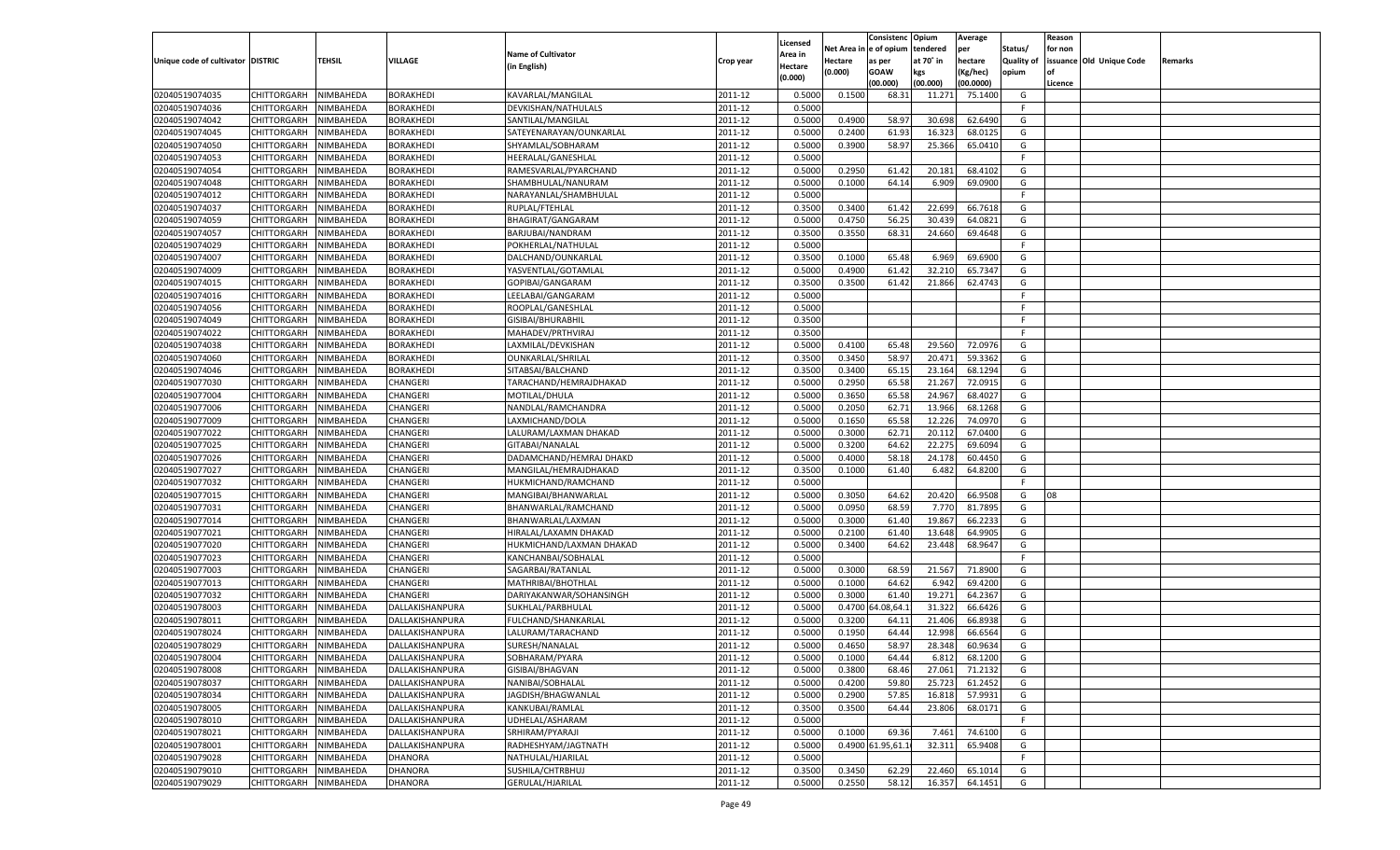|                                   |                       |           |                      |                           |           |                     |            | Consistenc        | Opium     | Average   |                   | Reason  |                          |         |
|-----------------------------------|-----------------------|-----------|----------------------|---------------------------|-----------|---------------------|------------|-------------------|-----------|-----------|-------------------|---------|--------------------------|---------|
|                                   |                       |           |                      | <b>Name of Cultivator</b> |           | Licensed<br>Area in | Net Area i | n  e of opium     | tendered  | per       | Status/           | for non |                          |         |
| Unique code of cultivator DISTRIC |                       | TEHSIL    | VILLAGE              | (in English)              | Crop year | Hectare             | Hectare    | as per            | at 70° in | hectare   | <b>Quality of</b> |         | issuance Old Unique Code | Remarks |
|                                   |                       |           |                      |                           |           | (0.000)             | (0.000)    | <b>GOAW</b>       | kgs       | (Kg/hec)  | opium             |         |                          |         |
|                                   |                       |           |                      |                           |           |                     |            | (00.000)          | (00.000)  | (00.0000) |                   | Licence |                          |         |
| 02040519074035                    | CHITTORGARH           | NIMBAHEDA | <b>BORAKHEDI</b>     | KAVARLAL/MANGILAL         | 2011-12   | 0.5000              | 0.1500     | 68.31             | 11.271    | 75.1400   | G                 |         |                          |         |
| 02040519074036                    | CHITTORGARH           | NIMBAHEDA | <b>BORAKHEDI</b>     | DEVKISHAN/NATHULALS       | 2011-12   | 0.5000              |            |                   |           |           | E                 |         |                          |         |
| 02040519074042                    | CHITTORGARH           | NIMBAHEDA | <b>BORAKHEDI</b>     | SANTILAL/MANGILAL         | 2011-12   | 0.5000              | 0.4900     | 58.97             | 30.698    | 62.6490   | G                 |         |                          |         |
| 02040519074045                    | CHITTORGARH           | NIMBAHEDA | <b>BORAKHEDI</b>     | SATEYENARAYAN/OUNKARLAL   | 2011-12   | 0.5000              | 0.2400     | 61.93             | 16.323    | 68.0125   | G                 |         |                          |         |
| 02040519074050                    | CHITTORGARH           | NIMBAHEDA | <b>BORAKHEDI</b>     | SHYAMLAL/SOBHARAM         | 2011-12   | 0.5000              | 0.3900     | 58.97             | 25.366    | 65.0410   | G                 |         |                          |         |
| 02040519074053                    | CHITTORGARH           | NIMBAHEDA | BORAKHEDI            | HEERALAL/GANESHLAL        | 2011-12   | 0.5000              |            |                   |           |           | F.                |         |                          |         |
| 02040519074054                    | CHITTORGARH           | NIMBAHEDA | <b>BORAKHEDI</b>     | RAMESVARLAL/PYARCHAND     | 2011-12   | 0.5000              | 0.2950     | 61.4              | 20.181    | 68.4102   | G                 |         |                          |         |
| 02040519074048                    | CHITTORGARH           | NIMBAHEDA | <b>BORAKHEDI</b>     | SHAMBHULAL/NANURAM        | 2011-12   | 0.5000              | 0.1000     | 64.14             | 6.909     | 69.0900   | G                 |         |                          |         |
| 02040519074012                    | CHITTORGARH           | NIMBAHEDA | <b>BORAKHEDI</b>     | NARAYANLAL/SHAMBHULAL     | 2011-12   | 0.5000              |            |                   |           |           | F.                |         |                          |         |
| 02040519074037                    | CHITTORGARH           | NIMBAHEDA | BORAKHEDI            | RUPLAL/FTEHLAL            | 2011-12   | 0.3500              | 0.3400     | 61.4              | 22.699    | 66.7618   | G                 |         |                          |         |
| 02040519074059                    | CHITTORGARH           | NIMBAHEDA | <b>BORAKHEDI</b>     | BHAGIRAT/GANGARAM         | 2011-12   | 0.5000              | 0.4750     | 56.25             | 30.439    | 64.0821   | G                 |         |                          |         |
| 02040519074057                    | CHITTORGARH           | NIMBAHEDA | <b>BORAKHEDI</b>     | BARJUBAI/NANDRAM          | 2011-12   | 0.3500              | 0.3550     | 68.31             | 24.660    | 69.4648   | G                 |         |                          |         |
| 02040519074029                    | CHITTORGARH           | NIMBAHEDA | <b>BORAKHEDI</b>     | POKHERLAL/NATHULAL        | 2011-12   | 0.5000              |            |                   |           |           | F.                |         |                          |         |
| 02040519074007                    | CHITTORGARH           | NIMBAHEDA | BORAKHEDI            | DALCHAND/OUNKARLAL        | 2011-12   | 0.3500              | 0.1000     | 65.48             | 6.969     | 69.6900   | G                 |         |                          |         |
| 02040519074009                    | CHITTORGARH           | NIMBAHEDA | <b>BORAKHEDI</b>     | YASVENTLAL/GOTAMLAI       | 2011-12   | 0.5000              | 0.4900     | 61.42             | 32.210    | 65.7347   | G                 |         |                          |         |
| 02040519074015                    | CHITTORGARH           | NIMBAHEDA | BORAKHEDI            | GOPIBAI/GANGARAM          | 2011-12   | 0.3500              | 0.3500     | 61.42             | 21.866    | 62.4743   | G                 |         |                          |         |
| 02040519074016                    | CHITTORGARH           | NIMBAHEDA | BORAKHEDI            | LEELABAI/GANGARAM         | 2011-12   | 0.5000              |            |                   |           |           | F.                |         |                          |         |
| 02040519074056                    | CHITTORGARH           | NIMBAHEDA | <b>BORAKHEDI</b>     | ROOPLAL/GANESHLAL         | 2011-12   | 0.5000              |            |                   |           |           | F.                |         |                          |         |
| 02040519074049                    | CHITTORGARH           | NIMBAHEDA | <b>BORAKHEDI</b>     | GISIBAI/BHURABHIL         | 2011-12   | 0.3500              |            |                   |           |           | F.                |         |                          |         |
| 02040519074022                    | CHITTORGARH           | NIMBAHEDA | BORAKHEDI            | MAHADEV/PRTHVIRAJ         | 2011-12   | 0.3500              |            |                   |           |           | F.                |         |                          |         |
| 02040519074038                    | CHITTORGARH           | NIMBAHEDA | BORAKHEDI            | LAXMILAL/DEVKISHAN        | 2011-12   | 0.5000              | 0.4100     | 65.48             | 29.560    | 72.0976   | G                 |         |                          |         |
| 02040519074060                    | CHITTORGARH           | NIMBAHEDA | <b>BORAKHEDI</b>     | OUNKARLAL/SHRILAL         | 2011-12   | 0.3500              | 0.3450     | 58.97             | 20.471    | 59.3362   | G                 |         |                          |         |
| 02040519074046                    | CHITTORGARH           | NIMBAHEDA | <b>BORAKHEDI</b>     | SITABSAI/BALCHAND         | 2011-12   | 0.3500              | 0.3400     | 65.15             | 23.164    | 68.1294   | G                 |         |                          |         |
| 02040519077030                    | CHITTORGARH           | NIMBAHEDA | CHANGERI             | TARACHAND/HEMRAJDHAKAD    | 2011-12   | 0.5000              | 0.2950     | 65.58             | 21.267    | 72.0915   | G                 |         |                          |         |
| 02040519077004                    | CHITTORGARH           | NIMBAHEDA | CHANGERI             | MOTILAL/DHULA             | 2011-12   | 0.5000              | 0.3650     | 65.58             | 24.967    | 68.4027   | G                 |         |                          |         |
| 02040519077006                    | CHITTORGARH           | NIMBAHEDA | CHANGERI             | NANDLAL/RAMCHANDRA        | 2011-12   | 0.5000              | 0.2050     | 62.71             | 13.966    | 68.1268   | G                 |         |                          |         |
| 02040519077009                    | CHITTORGARH           | NIMBAHEDA | CHANGERI             | LAXMICHAND/DOLA           | 2011-12   | 0.5000              | 0.1650     | 65.58             | 12.226    | 74.0970   | G                 |         |                          |         |
| 02040519077022                    | CHITTORGARH           | NIMBAHEDA | CHANGERI             | LALURAM/LAXMAN DHAKAD     | 2011-12   | 0.5000              | 0.3000     | 62.71             | 20.112    | 67.0400   | G                 |         |                          |         |
| 02040519077025                    | CHITTORGARH           | NIMBAHEDA | CHANGERI             | GITABAI/NANALAL           | 2011-12   | 0.5000              | 0.3200     | 64.62             | 22.275    | 69.6094   | G                 |         |                          |         |
| 02040519077026                    | CHITTORGARH           | NIMBAHEDA | CHANGERI             | DADAMCHAND/HEMRAJ DHAKD   | 2011-12   | 0.5000              | 0.4000     | 58.18             | 24.178    | 60.4450   | G                 |         |                          |         |
| 02040519077027                    | CHITTORGARH           | NIMBAHEDA | CHANGERI             | MANGILAL/HEMRAJDHAKAD     | 2011-12   | 0.3500              | 0.1000     | 61.40             | 6.482     | 64.8200   | G                 |         |                          |         |
| 02040519077032                    | CHITTORGARH           | NIMBAHEDA | CHANGERI             | HUKMICHAND/RAMCHAND       | 2011-12   | 0.5000              |            |                   |           |           | F                 |         |                          |         |
| 02040519077015                    | CHITTORGARH           | NIMBAHEDA | CHANGERI             | MANGIBAI/BHANWARLAL       | 2011-12   | 0.5000              | 0.3050     | 64.62             | 20.420    | 66.9508   | G                 | 08      |                          |         |
| 02040519077031                    | CHITTORGARH           | NIMBAHEDA | CHANGERI             | BHANWARLAL/RAMCHAND       | 2011-12   | 0.5000              | 0.0950     | 68.59             | 7.770     | 81.7895   | G                 |         |                          |         |
| 02040519077014                    |                       | NIMBAHEDA | CHANGERI             |                           | 2011-12   | 0.5000              | 0.3000     | 61.40             | 19.867    | 66.2233   | G                 |         |                          |         |
|                                   | CHITTORGARH           |           |                      | BHANWARLAL/LAXMAN         |           |                     | 0.2100     |                   |           | 64.9905   |                   |         |                          |         |
| 02040519077021                    | CHITTORGARH           | NIMBAHEDA | CHANGERI<br>CHANGERI | HIRALAL/LAXAMN DHAKAD     | 2011-12   | 0.5000<br>0.5000    | 0.3400     | 61.40<br>64.62    | 13.648    |           | G                 |         |                          |         |
| 02040519077020                    | CHITTORGARH           | NIMBAHEDA |                      | HUKMICHAND/LAXMAN DHAKAD  | 2011-12   |                     |            |                   | 23.448    | 68.9647   | G<br>F            |         |                          |         |
| 02040519077023                    | CHITTORGARH           | NIMBAHEDA | CHANGERI             | KANCHANBAI/SOBHALAL       | 2011-12   | 0.5000              |            |                   |           |           |                   |         |                          |         |
| 02040519077003                    | CHITTORGARH           | NIMBAHEDA | CHANGERI             | SAGARBAI/RATANLAL         | 2011-12   | 0.5000              | 0.3000     | 68.59             | 21.567    | 71.8900   | G                 |         |                          |         |
| 02040519077013                    | CHITTORGARH           | NIMBAHEDA | CHANGERI             | MATHRIBAI/BHOTHLAL        | 2011-12   | 0.5000              | 0.1000     | 64.62             | 6.942     | 69.4200   | G                 |         |                          |         |
| 02040519077032                    | CHITTORGARH           | NIMBAHEDA | CHANGERI             | DARIYAKANWAR/SOHANSINGH   | 2011-12   | 0.5000              | 0.3000     | 61.40             | 19.271    | 64.2367   | G                 |         |                          |         |
| 02040519078003                    | CHITTORGARH           | NIMBAHEDA | DALLAKISHANPURA      | SUKHLAL/PARBHULAL         | 2011-12   | 0.5000              | 0.4700 6   | 4.08,64.          | 31.322    | 66.6426   | G                 |         |                          |         |
| 02040519078011                    | CHITTORGARH           | NIMBAHEDA | DALLAKISHANPURA      | FULCHAND/SHANKARLAL       | 2011-12   | 0.5000              | 0.3200     | 64.11             | 21.406    | 66.8938   | G                 |         |                          |         |
| 02040519078024                    | CHITTORGARH           | NIMBAHEDA | DALLAKISHANPURA      | LALURAM/TARACHAND         | 2011-12   | 0.5000              | 0.1950     | 64.44             | 12.998    | 66.6564   | G                 |         |                          |         |
| 02040519078029                    | CHITTORGARH           | NIMBAHEDA | DALLAKISHANPURA      | SURESH/NANALAL            | 2011-12   | 0.5000              | 0.4650     | 58.97             | 28.348    | 60.9634   | G                 |         |                          |         |
| 02040519078004                    | CHITTORGARH NIMBAHEDA |           | DALLAKISHANPURA      | SOBHARAM/PYARA            | 2011-12   | 0.5000              | 0.1000     | 64.44             | 6.812     | 68.1200   | G                 |         |                          |         |
| 02040519078008                    | <b>CHITTORGARH</b>    | NIMBAHEDA | DALLAKISHANPURA      | GISIBAI/BHAGVAN           | 2011-12   | 0.5000              | 0.3800     | 68.46             | 27.061    | 71.2132   | G                 |         |                          |         |
| 02040519078037                    | CHITTORGARH           | NIMBAHEDA | DALLAKISHANPURA      | NANIBAI/SOBHALAL          | 2011-12   | 0.5000              | 0.4200     | 59.80             | 25.723    | 61.2452   | G                 |         |                          |         |
| 02040519078034                    | CHITTORGARH           | NIMBAHEDA | DALLAKISHANPURA      | JAGDISH/BHAGWANLAL        | 2011-12   | 0.5000              | 0.2900     | 57.85             | 16.818    | 57.9931   | G                 |         |                          |         |
| 02040519078005                    | <b>CHITTORGARH</b>    | NIMBAHEDA | DALLAKISHANPURA      | KANKUBAI/RAMLAL           | 2011-12   | 0.3500              | 0.3500     | 64.44             | 23.806    | 68.0171   | G                 |         |                          |         |
| 02040519078010                    | CHITTORGARH           | NIMBAHEDA | DALLAKISHANPURA      | UDHELAL/ASHARAM           | 2011-12   | 0.5000              |            |                   |           |           | F                 |         |                          |         |
| 02040519078021                    | <b>CHITTORGARH</b>    | NIMBAHEDA | DALLAKISHANPURA      | SRHIRAM/PYARAJI           | 2011-12   | 0.5000              | 0.1000     | 69.36             | 7.461     | 74.6100   | G                 |         |                          |         |
| 02040519078001                    | CHITTORGARH           | NIMBAHEDA | DALLAKISHANPURA      | RADHESHYAM/JAGTNATH       | 2011-12   | 0.5000              |            | 0.4900 61.95,61.1 | 32.311    | 65.9408   | G                 |         |                          |         |
| 02040519079028                    | CHITTORGARH           | NIMBAHEDA | <b>DHANORA</b>       | NATHULAL/HJARILAL         | 2011-12   | 0.5000              |            |                   |           |           | F.                |         |                          |         |
| 02040519079010                    | CHITTORGARH           | NIMBAHEDA | <b>DHANORA</b>       | SUSHILA/CHTRBHUJ          | 2011-12   | 0.3500              | 0.3450     | 62.29             | 22.460    | 65.1014   | G                 |         |                          |         |
| 02040519079029                    | <b>CHITTORGARH</b>    | NIMBAHEDA | <b>DHANORA</b>       | GERULAL/HJARILAL          | 2011-12   | 0.5000              | 0.2550     | 58.12             | 16.357    | 64.1451   | G                 |         |                          |         |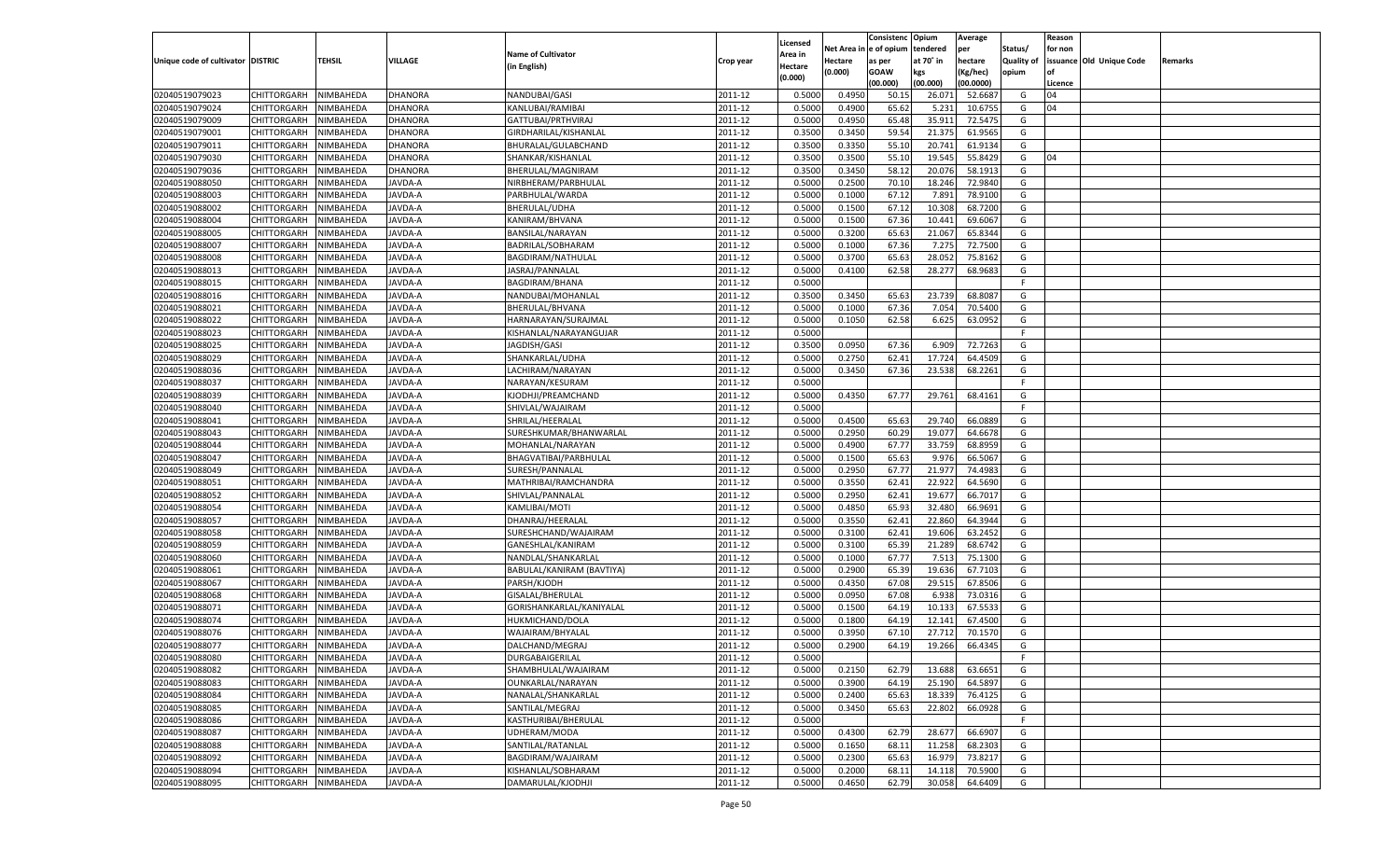|                                   |                       |           |                |                           |           |          |          | Consistenc Opium |           | Average   |                   | Reason    |                          |         |
|-----------------------------------|-----------------------|-----------|----------------|---------------------------|-----------|----------|----------|------------------|-----------|-----------|-------------------|-----------|--------------------------|---------|
|                                   |                       |           |                |                           |           | Licensed | Net Area | e of opium       | tendered  | per       | Status/           | for non   |                          |         |
| Unique code of cultivator DISTRIC |                       | TEHSIL    | VILLAGE        | <b>Name of Cultivator</b> | Crop year | Area in  | Hectare  | as per           | at 70˚ in | hectare   | <b>Quality of</b> |           | issuance Old Unique Code | Remarks |
|                                   |                       |           |                | (in English)              |           | Hectare  | (0.000)  | <b>GOAW</b>      | kgs       | (Kg/hec)  | opium             | <b>of</b> |                          |         |
|                                   |                       |           |                |                           |           | (0.000)  |          | (00.000)         | (00.000)  | (00.0000) |                   | Licence   |                          |         |
|                                   |                       |           |                |                           |           |          |          |                  |           |           |                   | 04        |                          |         |
| 02040519079023                    | CHITTORGARH           | NIMBAHEDA | <b>DHANORA</b> | NANDUBAI/GASI             | 2011-12   | 0.5000   | 0.4950   | 50.1!            | 26.07     | 52.668    | G                 |           |                          |         |
| 02040519079024                    | CHITTORGARH           | NIMBAHEDA | DHANORA        | KANLUBAI/RAMIBAI          | 2011-12   | 0.5000   | 0.4900   | 65.62            | 5.231     | 10.675    | G                 | 04        |                          |         |
| 02040519079009                    | <b>CHITTORGARH</b>    | NIMBAHEDA | DHANORA        | GATTUBAI/PRTHVIRAJ        | 2011-12   | 0.5000   | 0.4950   | 65.48            | 35.911    | 72.5475   | G                 |           |                          |         |
| 02040519079001                    | CHITTORGARH           | NIMBAHEDA | DHANORA        | GIRDHARILAL/KISHANLAL     | 2011-12   | 0.3500   | 0.3450   | 59.54            | 21.375    | 61.9565   | G                 |           |                          |         |
| 02040519079011                    | CHITTORGARH           | NIMBAHEDA | <b>DHANORA</b> | BHURALAL/GULABCHAND       | 2011-12   | 0.3500   | 0.3350   | 55.10            | 20.741    | 61.9134   | G                 |           |                          |         |
| 02040519079030                    | CHITTORGARH           | NIMBAHEDA | DHANORA        | SHANKAR/KISHANLAL         | 2011-12   | 0.3500   | 0.3500   | 55.10            | 19.545    | 55.8429   | G                 | 04        |                          |         |
| 02040519079036                    | CHITTORGARH           | NIMBAHEDA | <b>DHANORA</b> | BHERULAL/MAGNIRAM         | 2011-12   | 0.3500   | 0.3450   | 58.12            | 20.076    | 58.191    | G                 |           |                          |         |
| 02040519088050                    | CHITTORGARH           | NIMBAHEDA | <b>JAVDA-A</b> | NIRBHERAM/PARBHULAL       | 2011-12   | 0.5000   | 0.2500   | 70.10            | 18.246    | 72.9840   | G                 |           |                          |         |
| 02040519088003                    | CHITTORGARH           | NIMBAHEDA | <b>JAVDA-A</b> | PARBHULAL/WARDA           | 2011-12   | 0.5000   | 0.1000   | 67.12            | 7.891     | 78.9100   | G                 |           |                          |         |
| 02040519088002                    | CHITTORGARH           | NIMBAHEDA | <b>JAVDA-A</b> | BHERULAL/UDHA             | 2011-12   | 0.5000   | 0.1500   | 67.12            | 10.30     | 68.7200   | G                 |           |                          |         |
| 02040519088004                    | CHITTORGARH           | NIMBAHEDA | <b>JAVDA-A</b> | KANIRAM/BHVANA            | 2011-12   | 0.5000   | 0.1500   | 67.36            | 10.441    | 69.6067   | G                 |           |                          |         |
| 02040519088005                    |                       |           |                | <b>BANSILAL/NARAYAN</b>   |           |          |          |                  |           |           |                   |           |                          |         |
|                                   | CHITTORGARH           | NIMBAHEDA | <b>JAVDA-A</b> |                           | 2011-12   | 0.5000   | 0.3200   | 65.63            | 21.067    | 65.8344   | G                 |           |                          |         |
| 02040519088007                    | CHITTORGARH           | NIMBAHEDA | <b>JAVDA-A</b> | BADRILAL/SOBHARAM         | 2011-12   | 0.5000   | 0.1000   | 67.36            | 7.275     | 72.7500   | G                 |           |                          |         |
| 02040519088008                    | CHITTORGARH           | NIMBAHEDA | AVDA-A         | <b>BAGDIRAM/NATHULAL</b>  | 2011-12   | 0.5000   | 0.3700   | 65.63            | 28.05     | 75.8162   | G                 |           |                          |         |
| 02040519088013                    | <b>CHITTORGARH</b>    | NIMBAHEDA | AVDA-A         | JASRAJ/PANNALAL           | 2011-12   | 0.5000   | 0.4100   | 62.58            | 28.277    | 68.9683   | G                 |           |                          |         |
| 02040519088015                    | CHITTORGARH           | NIMBAHEDA | AVDA-A         | <b>BAGDIRAM/BHANA</b>     | 2011-12   | 0.5000   |          |                  |           |           | F.                |           |                          |         |
| 02040519088016                    | <b>CHITTORGARH</b>    | NIMBAHEDA | AVDA-A         | NANDUBAI/MOHANLAL         | 2011-12   | 0.3500   | 0.3450   | 65.63            | 23.739    | 68.8087   | G                 |           |                          |         |
| 02040519088021                    | CHITTORGARH           | NIMBAHEDA | AVDA-A         | <b>BHERULAL/BHVANA</b>    | 2011-12   | 0.5000   | 0.1000   | 67.36            | 7.054     | 70.5400   | G                 |           |                          |         |
| 02040519088022                    | <b>CHITTORGARH</b>    | NIMBAHEDA | AVDA-A         | HARNARAYAN/SURAJMAL       | 2011-12   | 0.5000   | 0.1050   | 62.58            | 6.625     | 63.0952   | G                 |           |                          |         |
| 02040519088023                    | CHITTORGARH           | NIMBAHEDA | AVDA-A         | KISHANLAL/NARAYANGUJAR    | 2011-12   | 0.5000   |          |                  |           |           | F                 |           |                          |         |
| 02040519088025                    | <b>CHITTORGARH</b>    | NIMBAHEDA | AVDA-A         | JAGDISH/GASI              | 2011-12   | 0.3500   | 0.0950   | 67.36            | 6.909     | 72.7263   | G                 |           |                          |         |
| 02040519088029                    | CHITTORGARH           | NIMBAHEDA | AVDA-A         | SHANKARLAL/UDHA           | 2011-12   | 0.5000   | 0.2750   | 62.41            | 17.724    | 64.4509   | G                 |           |                          |         |
| 02040519088036                    | <b>CHITTORGARH</b>    | NIMBAHEDA | AVDA-A         | LACHIRAM/NARAYAN          | 2011-12   | 0.5000   | 0.3450   | 67.36            | 23.538    | 68.2261   | G                 |           |                          |         |
|                                   |                       |           |                |                           |           |          |          |                  |           |           | F                 |           |                          |         |
| 02040519088037                    | CHITTORGARH           | NIMBAHEDA | AVDA-A         | NARAYAN/KESURAM           | 2011-12   | 0.5000   |          |                  |           |           |                   |           |                          |         |
| 02040519088039                    | <b>CHITTORGARH</b>    | NIMBAHEDA | AVDA-A         | KJODHJI/PREAMCHAND        | 2011-12   | 0.5000   | 0.4350   | 67.77            | 29.761    | 68.4161   | G                 |           |                          |         |
| 02040519088040                    | CHITTORGARH           | NIMBAHEDA | AVDA-A         | SHIVLAL/WAJAIRAM          | 2011-12   | 0.5000   |          |                  |           |           | F                 |           |                          |         |
| 02040519088041                    | <b>CHITTORGARH</b>    | NIMBAHEDA | AVDA-A         | SHRILAL/HEERALAL          | 2011-12   | 0.5000   | 0.4500   | 65.63            | 29.740    | 66.0889   | G                 |           |                          |         |
| 02040519088043                    | CHITTORGARH           | NIMBAHEDA | AVDA-A         | SURESHKUMAR/BHANWARLAL    | 2011-12   | 0.5000   | 0.2950   | 60.29            | 19.077    | 64.6678   | G                 |           |                          |         |
| 02040519088044                    | <b>CHITTORGARH</b>    | NIMBAHEDA | AVDA-A         | MOHANLAL/NARAYAN          | 2011-12   | 0.5000   | 0.4900   | 67.77            | 33.759    | 68.8959   | G                 |           |                          |         |
| 02040519088047                    | CHITTORGARH           | NIMBAHEDA | AVDA-A         | BHAGVATIBAI/PARBHULAL     | 2011-12   | 0.5000   | 0.1500   | 65.63            | 9.976     | 66.506    | G                 |           |                          |         |
| 02040519088049                    | CHITTORGARH           | NIMBAHEDA | <b>AVDA-A</b>  | SURESH/PANNALAL           | 2011-12   | 0.5000   | 0.2950   | 67.77            | 21.977    | 74.4983   | G                 |           |                          |         |
| 02040519088051                    | CHITTORGARH           | NIMBAHEDA | <b>JAVDA-A</b> | MATHRIBAI/RAMCHANDRA      | 2011-12   | 0.5000   | 0.3550   | 62.41            | 22.922    | 64.5690   | G                 |           |                          |         |
| 02040519088052                    | CHITTORGARH           | NIMBAHEDA | <b>JAVDA-A</b> | SHIVLAL/PANNALAL          | 2011-12   | 0.5000   | 0.2950   | 62.41            | 19.677    | 66.7017   | G                 |           |                          |         |
| 02040519088054                    | CHITTORGARH           | NIMBAHEDA | <b>JAVDA-A</b> | KAMLIBAI/MOTI             | 2011-12   | 0.5000   | 0.4850   | 65.93            | 32.48     | 66.9691   | G                 |           |                          |         |
| 02040519088057                    | CHITTORGARH           | NIMBAHEDA | AVDA-A         | DHANRAJ/HEERALAL          | 2011-12   | 0.5000   | 0.3550   | 62.4             | 22.860    | 64.3944   | G                 |           |                          |         |
| 02040519088058                    | CHITTORGARH           | NIMBAHEDA | <b>JAVDA-A</b> | SURESHCHAND/WAJAIRAM      | 2011-12   | 0.5000   | 0.3100   | 62.41            | 19.606    | 63.245    | G                 |           |                          |         |
| 02040519088059                    | CHITTORGARH           | NIMBAHEDA | <b>JAVDA-A</b> | GANESHLAL/KANIRAM         | 2011-12   | 0.5000   | 0.3100   | 65.39            | 21.289    | 68.6742   | G                 |           |                          |         |
|                                   |                       |           |                |                           |           |          |          |                  |           |           | G                 |           |                          |         |
| 02040519088060                    | CHITTORGARH           | NIMBAHEDA | <b>JAVDA-A</b> | NANDLAL/SHANKARLAL        | 2011-12   | 0.5000   | 0.1000   | 67.77            | 7.513     | 75.130    |                   |           |                          |         |
| 02040519088061                    | CHITTORGARH           | NIMBAHEDA | AVDA-A         | BABULAL/KANIRAM (BAVTIYA) | 2011-12   | 0.5000   | 0.2900   | 65.39            | 19.636    | 67.7103   | G                 |           |                          |         |
| 02040519088067                    | CHITTORGARH           | NIMBAHEDA | <b>JAVDA-A</b> | PARSH/KJODH               | 2011-12   | 0.5000   | 0.4350   | 67.08            | 29.515    | 67.8506   | G                 |           |                          |         |
| 02040519088068                    | CHITTORGARH           | NIMBAHEDA | <b>JAVDA-A</b> | GISALAL/BHERULAL          | 2011-12   | 0.5000   | 0.0950   | 67.08            | 6.938     | 73.0316   | G                 |           |                          |         |
| 02040519088071                    | CHITTORGARH           | NIMBAHEDA | <b>JAVDA-A</b> | GORISHANKARLAL/KANIYALAL  | 2011-12   | 0.5000   | 0.1500   | 64.19            | 10.13     | 67.553    | G                 |           |                          |         |
| 02040519088074                    | CHITTORGARH           | NIMBAHEDA | AVDA-A         | HUKMICHAND/DOLA           | 2011-12   | 0.5000   | 0.1800   | 64.19            | 12.141    | 67.4500   | G                 |           |                          |         |
| 02040519088076                    | CHITTORGARH           | NIMBAHEDA | AVDA-A         | WAJAIRAM/BHYALAL          | 2011-12   | 0.5000   | 0.3950   | 67.10            | 27.71     | 70.1570   | G                 |           |                          |         |
| 02040519088077                    | CHITTORGARH           | NIMBAHEDA | <b>JAVDA-A</b> | DALCHAND/MEGRAJ           | 2011-12   | 0.5000   | 0.2900   | 64.19            | 19.266    | 66.4345   | G                 |           |                          |         |
| 02040519088080                    | CHITTORGARH NIMBAHEDA |           | JAVDA-A        | DURGABAIGERILAL           | 2011-12   | 0.5000   |          |                  |           |           | -F                |           |                          |         |
| 02040519088082                    | <b>CHITTORGARH</b>    | NIMBAHEDA | JAVDA-A        | SHAMBHULAL/WAJAIRAM       | 2011-12   | 0.5000   | 0.2150   | 62.79            | 13.688    | 63.6651   | G                 |           |                          |         |
| 02040519088083                    | CHITTORGARH           | NIMBAHEDA | JAVDA-A        | OUNKARLAL/NARAYAN         | 2011-12   | 0.5000   | 0.3900   | 64.19            | 25.190    | 64.5897   | G                 |           |                          |         |
| 02040519088084                    | <b>CHITTORGARH</b>    | NIMBAHEDA | JAVDA-A        | NANALAL/SHANKARLAL        | 2011-12   | 0.5000   | 0.2400   | 65.63            | 18.339    | 76.4125   | G                 |           |                          |         |
| 02040519088085                    | <b>CHITTORGARH</b>    | NIMBAHEDA | JAVDA-A        | SANTILAL/MEGRAJ           | 2011-12   | 0.5000   | 0.3450   | 65.63            | 22.802    | 66.0928   | G                 |           |                          |         |
| 02040519088086                    | <b>CHITTORGARH</b>    | NIMBAHEDA | <b>JAVDA-A</b> | KASTHURIBAI/BHERULAL      | 2011-12   | 0.5000   |          |                  |           |           | F                 |           |                          |         |
| 02040519088087                    | <b>CHITTORGARH</b>    | NIMBAHEDA | JAVDA-A        | UDHERAM/MODA              | 2011-12   | 0.5000   | 0.4300   | 62.79            | 28.677    | 66.6907   | G                 |           |                          |         |
|                                   |                       |           |                |                           |           |          |          |                  |           |           |                   |           |                          |         |
| 02040519088088                    | <b>CHITTORGARH</b>    | NIMBAHEDA | <b>JAVDA-A</b> | SANTILAL/RATANLAL         | 2011-12   | 0.5000   | 0.1650   | 68.11            | 11.258    | 68.2303   | G                 |           |                          |         |
| 02040519088092                    | <b>CHITTORGARH</b>    | NIMBAHEDA | JAVDA-A        | <b>BAGDIRAM/WAJAIRAM</b>  | 2011-12   | 0.5000   | 0.2300   | 65.63            | 16.97     | 73.8217   | G                 |           |                          |         |
| 02040519088094                    | <b>CHITTORGARH</b>    | NIMBAHEDA | JAVDA-A        | KISHANLAL/SOBHARAM        | 2011-12   | 0.5000   | 0.2000   | 68.11            | 14.118    | 70.5900   | G                 |           |                          |         |
| 02040519088095                    | CHITTORGARH           | NIMBAHEDA | JAVDA-A        | DAMARULAL/KJODHJI         | 2011-12   | 0.5000   | 0.4650   | 62.79            | 30.058    | 64.6409   | G                 |           |                          |         |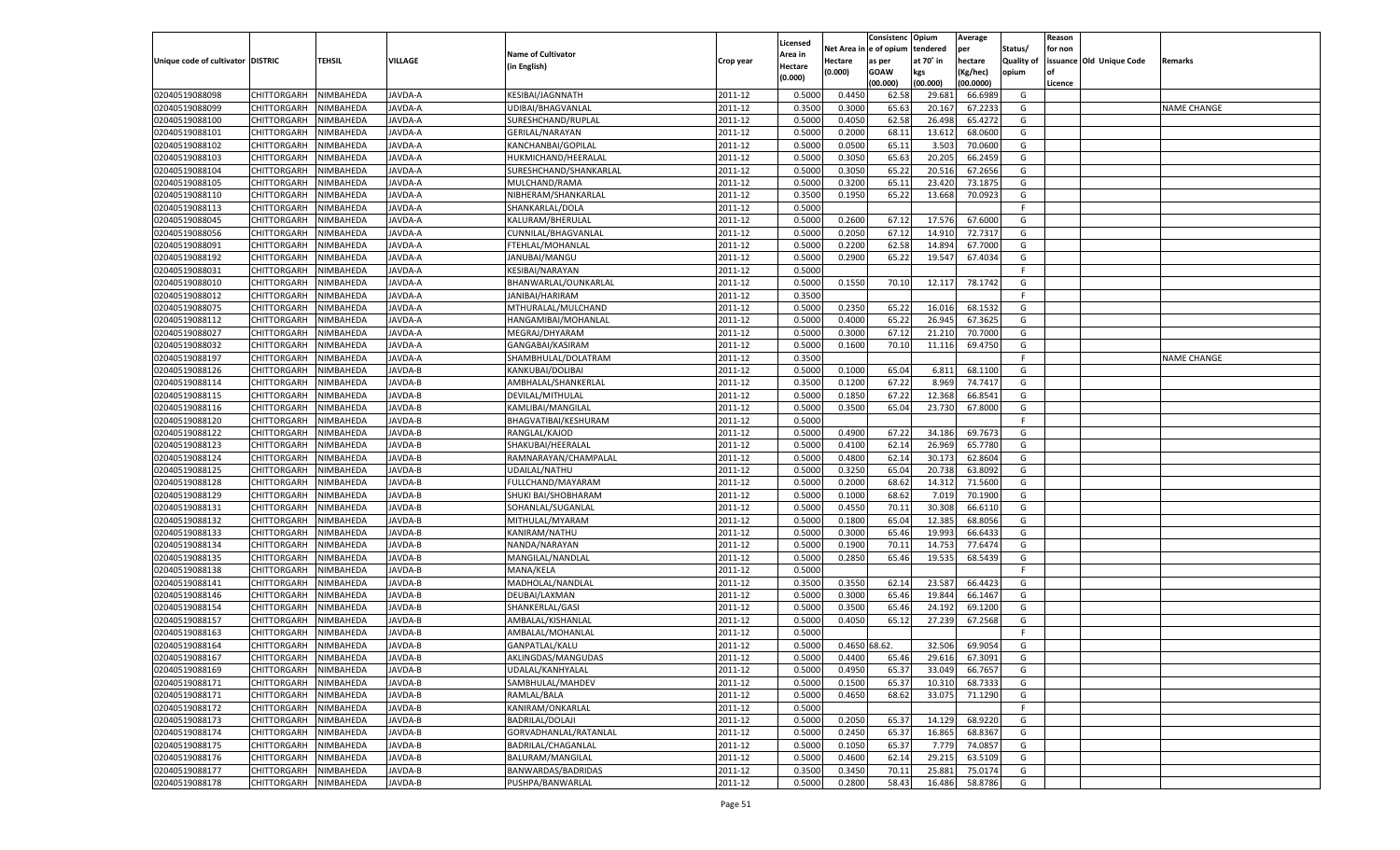|                                   |                       |               |                |                           |           |                           |               | Consistenc  | Opium     | Average   |                   | Reason  |                          |                    |
|-----------------------------------|-----------------------|---------------|----------------|---------------------------|-----------|---------------------------|---------------|-------------|-----------|-----------|-------------------|---------|--------------------------|--------------------|
|                                   |                       |               |                | <b>Name of Cultivator</b> |           | Licensed                  | Net Area      | e of opium  | tendered  | per       | Status/           | for non |                          |                    |
| Unique code of cultivator DISTRIC |                       | <b>TEHSIL</b> | VILLAGE        | (in English)              | Crop year | <b>Area in</b><br>Hectare | Hectare       | as per      | at 70° in | hectare   | <b>Quality of</b> |         | issuance Old Unique Code | Remarks            |
|                                   |                       |               |                |                           |           | (0.000)                   | (0.000)       | <b>GOAW</b> | kgs       | (Kg/hec)  | opium             |         |                          |                    |
|                                   |                       |               |                |                           |           |                           |               | (00.000)    | (00.000)  | (00.0000) |                   | Licence |                          |                    |
| 02040519088098                    | CHITTORGARH           | NIMBAHEDA     | JAVDA-A        | KESIBAI/JAGNNATH          | 2011-12   | 0.5000                    | 0.4450        | 62.58       | 29.681    | 66.6989   | G                 |         |                          |                    |
| 02040519088099                    | CHITTORGARH           | NIMBAHEDA     | <b>JAVDA-A</b> | UDIBAI/BHAGVANLAL         | 2011-12   | 0.3500                    | 0.3000        | 65.63       | 20.167    | 67.223    | G                 |         |                          | <b>NAME CHANGE</b> |
| 02040519088100                    | CHITTORGARH           | NIMBAHEDA     | JAVDA-A        | SURESHCHAND/RUPLAL        | 2011-12   | 0.5000                    | 0.4050        | 62.58       | 26.498    | 65.4272   | G                 |         |                          |                    |
| 02040519088101                    | CHITTORGARH           | NIMBAHEDA     | JAVDA-A        | GERILAL/NARAYAN           | 2011-12   | 0.5000                    | 0.2000        | 68.1        | 13.612    | 68.0600   | G                 |         |                          |                    |
| 02040519088102                    | CHITTORGARH           | NIMBAHEDA     | JAVDA-A        | KANCHANBAI/GOPILAL        | 2011-12   | 0.5000                    | 0.0500        | 65.11       | 3.503     | 70.0600   | G                 |         |                          |                    |
| 02040519088103                    | CHITTORGARH           | NIMBAHEDA     | <b>JAVDA-A</b> | HUKMICHAND/HEERALAI       | 2011-12   | 0.5000                    | 0.3050        | 65.63       | 20.205    | 66.2459   | G                 |         |                          |                    |
| 02040519088104                    | CHITTORGARH           | NIMBAHEDA     | <b>JAVDA-A</b> | SURESHCHAND/SHANKARLAL    | 2011-12   | 0.5000                    | 0.3050        | 65.22       | 20.516    | 67.2656   | G                 |         |                          |                    |
| 02040519088105                    | CHITTORGARH           | NIMBAHEDA     | <b>JAVDA-A</b> | MULCHAND/RAMA             | 2011-12   | 0.5000                    | 0.3200        | 65.1        | 23.420    | 73.1875   | G                 |         |                          |                    |
| 02040519088110                    | CHITTORGARH           | NIMBAHEDA     | JAVDA-A        | NIBHERAM/SHANKARLAL       | 2011-12   | 0.3500                    | 0.1950        | 65.22       | 13.668    | 70.092    | G                 |         |                          |                    |
| 02040519088113                    | CHITTORGARH           | NIMBAHEDA     | <b>JAVDA-A</b> | SHANKARLAL/DOLA           | 2011-12   | 0.5000                    |               |             |           |           | F.                |         |                          |                    |
| 02040519088045                    | CHITTORGARH           | NIMBAHEDA     | <b>JAVDA-A</b> | KALURAM/BHERULAL          | 2011-12   | 0.5000                    | 0.2600        | 67.1        | 17.576    | 67.6000   | G                 |         |                          |                    |
| 02040519088056                    | CHITTORGARH           | NIMBAHEDA     | <b>JAVDA-A</b> | CUNNILAL/BHAGVANLAL       | 2011-12   | 0.5000                    | 0.2050        | 67.1        | 14.91     | 72.7317   | G                 |         |                          |                    |
| 02040519088091                    | CHITTORGARH           | NIMBAHEDA     | JAVDA-A        | FTEHLAL/MOHANLAL          | 2011-12   | 0.5000                    | 0.2200        | 62.58       | 14.894    | 67.7000   | G                 |         |                          |                    |
| 02040519088192                    | CHITTORGARH           | NIMBAHEDA     | AVDA-A         | JANUBAI/MANGU             | 2011-12   | 0.5000                    | 0.2900        | 65.22       | 19.547    | 67.4034   | G                 |         |                          |                    |
| 02040519088031                    | CHITTORGARH           | NIMBAHEDA     | AVDA-A         | KESIBAI/NARAYAN           | 2011-12   | 0.5000                    |               |             |           |           | F                 |         |                          |                    |
| 02040519088010                    | CHITTORGARH           | NIMBAHEDA     | AVDA-A         | BHANWARLAL/OUNKARLAL      | 2011-12   | 0.5000                    | 0.1550        | 70.10       | 12.117    | 78.1742   | G                 |         |                          |                    |
| 02040519088012                    | CHITTORGARH           | NIMBAHEDA     | AVDA-A         | JANIBAI/HARIRAM           | 2011-12   | 0.3500                    |               |             |           |           | F                 |         |                          |                    |
| 02040519088075                    | CHITTORGARH           | NIMBAHEDA     | AVDA-A         | MTHURALAL/MULCHAND        | 2011-12   | 0.5000                    | 0.2350        | 65.22       | 16.016    | 68.1532   | G                 |         |                          |                    |
| 02040519088112                    | CHITTORGARH           | NIMBAHEDA     | AVDA-A         | HANGAMIBAI/MOHANLAL       | 2011-12   | 0.5000                    | 0.4000        | 65.22       | 26.945    | 67.3625   | G                 |         |                          |                    |
| 02040519088027                    | CHITTORGARH           | NIMBAHEDA     | AVDA-A         | MEGRAJ/DHYARAM            | 2011-12   | 0.5000                    | 0.3000        | 67.1        | 21.210    | 70.7000   | G                 |         |                          |                    |
| 02040519088032                    | CHITTORGARH           | NIMBAHEDA     | AVDA-A         | GANGABAI/KASIRAM          | 2011-12   | 0.5000                    | 0.1600        | 70.10       | 11.116    | 69.4750   | G                 |         |                          |                    |
| 02040519088197                    | CHITTORGARH           | NIMBAHEDA     | AVDA-A         | SHAMBHULAL/DOLATRAM       | 2011-12   | 0.3500                    |               |             |           |           | F.                |         |                          | <b>NAME CHANGE</b> |
| 02040519088126                    | CHITTORGARH           | NIMBAHEDA     | AVDA-B         | KANKUBAI/DOLIBAI          | 2011-12   | 0.5000                    | 0.1000        | 65.04       | 6.811     | 68.1100   | G                 |         |                          |                    |
| 02040519088114                    | CHITTORGARH           | NIMBAHEDA     | AVDA-B         | AMBHALAL/SHANKERLAL       | 2011-12   | 0.3500                    | 0.1200        | 67.22       | 8.969     | 74.7417   | G                 |         |                          |                    |
| 02040519088115                    | CHITTORGARH           | NIMBAHEDA     | AVDA-B         | DEVILAL/MITHULAL          | 2011-12   | 0.5000                    | 0.1850        | 67.22       | 12.368    | 66.8541   | G                 |         |                          |                    |
| 02040519088116                    | CHITTORGARH           | NIMBAHEDA     | AVDA-B         | KAMLIBAI/MANGILAI         | 2011-12   | 0.5000                    | 0.3500        | 65.04       | 23.730    | 67.8000   | G                 |         |                          |                    |
| 02040519088120                    | CHITTORGARH           | NIMBAHEDA     | AVDA-B         | BHAGVATIBAI/KESHURAM      | 2011-12   | 0.5000                    |               |             |           |           | F.                |         |                          |                    |
| 02040519088122                    | CHITTORGARH           | NIMBAHEDA     | AVDA-B         | RANGLAL/KAJOD             | 2011-12   | 0.5000                    | 0.4900        | 67.22       | 34.186    | 69.7673   | G                 |         |                          |                    |
| 02040519088123                    | CHITTORGARH           | NIMBAHEDA     | AVDA-B         | SHAKUBAI/HEERALAL         | 2011-12   | 0.5000                    | 0.4100        | 62.14       | 26.969    | 65.7780   | G                 |         |                          |                    |
| 02040519088124                    | CHITTORGARH           | NIMBAHEDA     | AVDA-B         | RAMNARAYAN/CHAMPALAL      | 2011-12   | 0.5000                    | 0.4800        | 62.14       | 30.173    | 62.8604   | G                 |         |                          |                    |
| 02040519088125                    | CHITTORGARH           | NIMBAHEDA     | <b>JAVDA-B</b> | UDAILAL/NATHU             | 2011-12   | 0.5000                    | 0.3250        | 65.04       | 20.738    | 63.8092   | G                 |         |                          |                    |
| 02040519088128                    | CHITTORGARH           | NIMBAHEDA     | JAVDA-B        | FULLCHAND/MAYARAM         | 2011-12   | 0.5000                    | 0.2000        | 68.62       | 14.312    | 71.5600   | G                 |         |                          |                    |
| 02040519088129                    | CHITTORGARH           | NIMBAHEDA     | <b>JAVDA-B</b> | SHUKI BAI/SHOBHARAM       | 2011-12   | 0.5000                    | 0.1000        | 68.62       | 7.019     | 70.1900   | G                 |         |                          |                    |
| 02040519088131                    | CHITTORGARH           | NIMBAHEDA     | JAVDA-B        | SOHANLAL/SUGANLAL         | 2011-12   | 0.5000                    | 0.4550        | 70.11       | 30.308    | 66.6110   | G                 |         |                          |                    |
| 02040519088132                    | CHITTORGARH           | NIMBAHEDA     | <b>JAVDA-B</b> | MITHULAL/MYARAM           | 2011-12   | 0.5000                    | 0.1800        | 65.04       | 12.385    | 68.8056   | G                 |         |                          |                    |
| 02040519088133                    | CHITTORGARH           | NIMBAHEDA     | JAVDA-B        | KANIRAM/NATHU             | 2011-12   | 0.5000                    | 0.3000        | 65.46       | 19.993    | 66.643    | G                 |         |                          |                    |
| 02040519088134                    |                       | NIMBAHEDA     | <b>JAVDA-B</b> | NANDA/NARAYAN             | 2011-12   | 0.5000                    | 0.1900        | 70.11       |           | 77.6474   | G                 |         |                          |                    |
|                                   | CHITTORGARH           |               |                |                           |           |                           |               |             | 14.753    |           |                   |         |                          |                    |
| 02040519088135                    | CHITTORGARH           | NIMBAHEDA     | AVDA-B         | MANGILAL/NANDLAL          | 2011-12   | 0.5000                    | 0.2850        | 65.46       | 19.535    | 68.5439   | G                 |         |                          |                    |
| 02040519088138                    | CHITTORGARH           | NIMBAHEDA     | <b>JAVDA-B</b> | MANA/KELA                 | 2011-12   | 0.5000                    |               |             |           |           | F.                |         |                          |                    |
| 02040519088141                    | CHITTORGARH           | NIMBAHEDA     | JAVDA-B        | MADHOLAL/NANDLAL          | 2011-12   | 0.3500                    | 0.3550        | 62.14       | 23.587    | 66.4423   | G                 |         |                          |                    |
| 02040519088146                    | CHITTORGARH           | NIMBAHEDA     | <b>JAVDA-B</b> | DEUBAI/LAXMAN             | 2011-12   | 0.5000                    | 0.3000        | 65.46       | 19.844    | 66.1467   | G                 |         |                          |                    |
| 02040519088154                    | CHITTORGARH           | NIMBAHEDA     | AVDA-B         | SHANKERLAL/GASI           | 2011-12   | 0.5000                    | 0.3500        | 65.46       | 24.192    | 69.1200   | G                 |         |                          |                    |
| 02040519088157                    | CHITTORGARH           | NIMBAHEDA     | <b>JAVDA-B</b> | AMBALAL/KISHANLAI         | 2011-12   | 0.5000                    | 0.4050        | 65.12       | 27.239    | 67.2568   | G                 |         |                          |                    |
| 02040519088163                    | CHITTORGARH           | NIMBAHEDA     | AVDA-B         | AMBALAL/MOHANLAL          | 2011-12   | 0.5000                    |               |             |           |           | F                 |         |                          |                    |
| 02040519088164                    | CHITTORGARH           | NIMBAHEDA     | JAVDA-B        | GANPATLAL/KALU            | 2011-12   | 0.5000                    | 0.4650 68.62. |             | 32.506    | 69.9054   | G                 |         |                          |                    |
| 02040519088167                    | CHITTORGARH NIMBAHEDA |               | JAVDA-B        | AKLINGDAS/MANGUDAS        | 2011-12   | 0.5000                    | 0.4400        | 65.46       | 29.616    | 67.3091   | G                 |         |                          |                    |
| 02040519088169                    | <b>CHITTORGARH</b>    | NIMBAHEDA     | JAVDA-B        | UDALAL/KANHYALAL          | 2011-12   | 0.5000                    | 0.4950        | 65.37       | 33.049    | 66.7657   | G                 |         |                          |                    |
| 02040519088171                    | <b>CHITTORGARH</b>    | NIMBAHEDA     | JAVDA-B        | SAMBHULAL/MAHDEV          | 2011-12   | 0.5000                    | 0.1500        | 65.37       | 10.310    | 68.7333   | G                 |         |                          |                    |
| 02040519088171                    | <b>CHITTORGARH</b>    | NIMBAHEDA     | JAVDA-B        | RAMLAL/BALA               | 2011-12   | 0.5000                    | 0.4650        | 68.62       | 33.075    | 71.1290   | G                 |         |                          |                    |
| 02040519088172                    | <b>CHITTORGARH</b>    | NIMBAHEDA     | JAVDA-B        | KANIRAM/ONKARLAL          | 2011-12   | 0.5000                    |               |             |           |           | F.                |         |                          |                    |
| 02040519088173                    | <b>CHITTORGARH</b>    | NIMBAHEDA     | JAVDA-B        | BADRILAL/DOLAJI           | 2011-12   | 0.5000                    | 0.2050        | 65.37       | 14.129    | 68.9220   | G                 |         |                          |                    |
| 02040519088174                    | <b>CHITTORGARH</b>    | NIMBAHEDA     | JAVDA-B        | GORVADHANLAL/RATANLAL     | 2011-12   | 0.5000                    | 0.2450        | 65.37       | 16.865    | 68.8367   | G                 |         |                          |                    |
| 02040519088175                    | <b>CHITTORGARH</b>    | NIMBAHEDA     | JAVDA-B        | BADRILAL/CHAGANLAL        | 2011-12   | 0.5000                    | 0.1050        | 65.37       | 7.779     | 74.0857   | G                 |         |                          |                    |
| 02040519088176                    | <b>CHITTORGARH</b>    | NIMBAHEDA     | JAVDA-B        | BALURAM/MANGILAL          | 2011-12   | 0.5000                    | 0.4600        | 62.14       | 29.215    | 63.5109   | G                 |         |                          |                    |
| 02040519088177                    | <b>CHITTORGARH</b>    | NIMBAHEDA     | JAVDA-B        | BANWARDAS/BADRIDAS        | 2011-12   | 0.3500                    | 0.3450        | 70.11       | 25.881    | 75.0174   | G                 |         |                          |                    |
| 02040519088178                    | <b>CHITTORGARH</b>    | NIMBAHEDA     | JAVDA-B        | PUSHPA/BANWARLAL          | 2011-12   | 0.5000                    | 0.2800        | 58.43       | 16.486    | 58.8786   | G                 |         |                          |                    |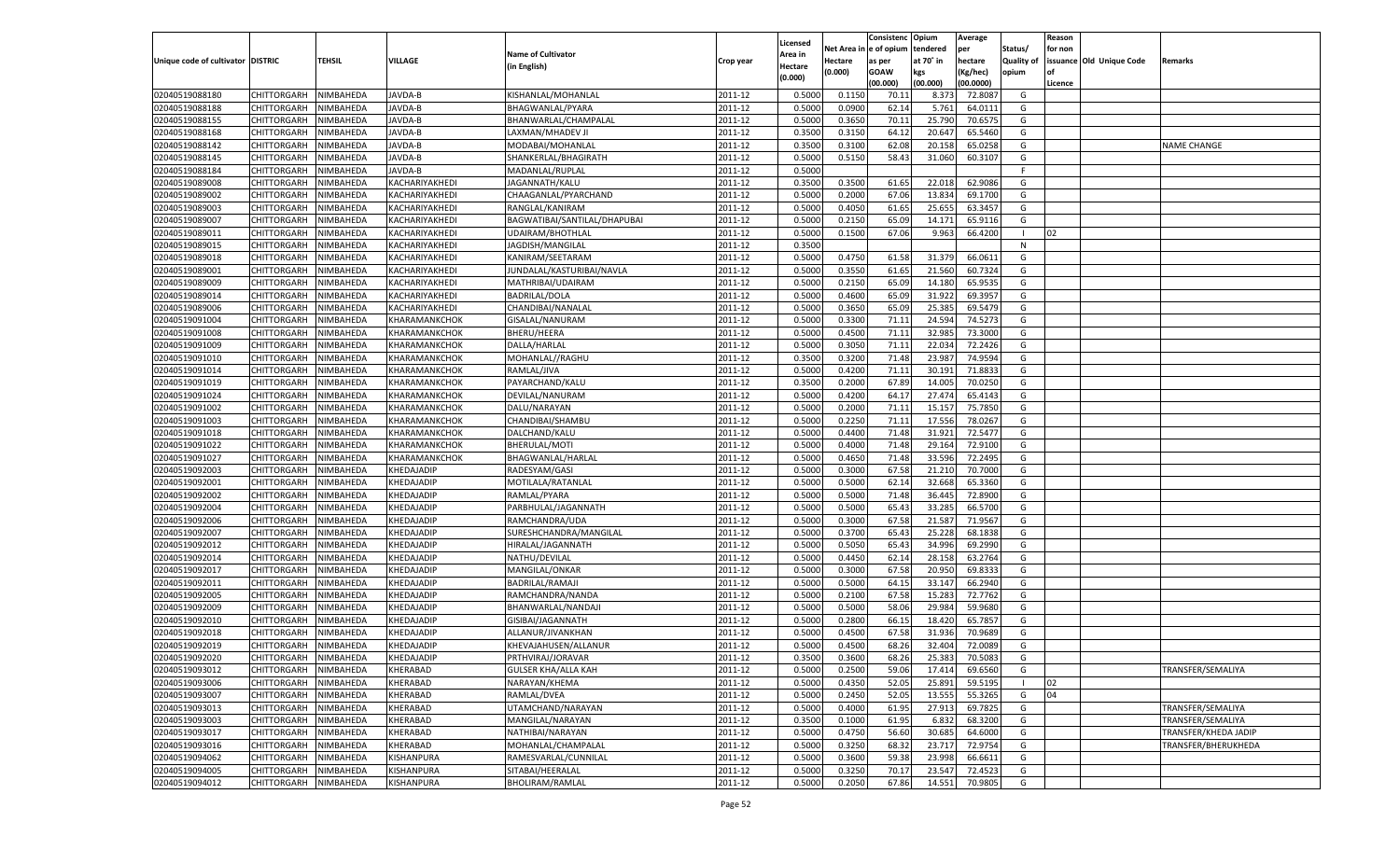|                                   |                            |           |                   |                              |           |                     |            | Consistenc    | Opium     | Average   |                   | Reason  |                          |                      |
|-----------------------------------|----------------------------|-----------|-------------------|------------------------------|-----------|---------------------|------------|---------------|-----------|-----------|-------------------|---------|--------------------------|----------------------|
|                                   |                            |           |                   | <b>Name of Cultivator</b>    |           | Licensed<br>Area in | Net Area i | n  e of opium | tendered  | per       | Status/           | for non |                          |                      |
| Unique code of cultivator DISTRIC |                            | TEHSIL    | VILLAGE           | (in English)                 | Crop year | Hectare             | Hectare    | as per        | at 70° in | hectare   | <b>Quality of</b> |         | issuance Old Unique Code | Remarks              |
|                                   |                            |           |                   |                              |           | (0.000)             | (0.000)    | <b>GOAW</b>   | kgs       | (Kg/hec)  | opium             |         |                          |                      |
|                                   |                            |           |                   |                              |           |                     |            | (00.000)      | (00.000)  | (00.0000) |                   | Licence |                          |                      |
| 02040519088180                    | CHITTORGARH                | NIMBAHEDA | JAVDA-B           | KISHANLAL/MOHANLAL           | 2011-12   | 0.5000              | 0.1150     | 70.1          | 8.373     | 72.8087   | G                 |         |                          |                      |
| 02040519088188                    | CHITTORGARH                | NIMBAHEDA | JAVDA-B           | BHAGWANLAL/PYARA             | 2011-12   | 0.5000              | 0.0900     | 62.14         | 5.761     | 64.0111   | G                 |         |                          |                      |
| 02040519088155                    | CHITTORGARH                | NIMBAHEDA | JAVDA-B           | BHANWARLAL/CHAMPALAL         | 2011-12   | 0.5000              | 0.3650     | 70.11         | 25.790    | 70.6575   | G                 |         |                          |                      |
| 02040519088168                    | CHITTORGARH                | NIMBAHEDA | JAVDA-B           | LAXMAN/MHADEV JI             | 2011-12   | 0.3500              | 0.3150     | 64.12         | 20.647    | 65.5460   | G                 |         |                          |                      |
| 02040519088142                    | CHITTORGARH                | NIMBAHEDA | JAVDA-B           | MODABAI/MOHANLAI             | 2011-12   | 0.3500              | 0.3100     | 62.08         | 20.158    | 65.0258   | G                 |         |                          | <b>NAME CHANGE</b>   |
| 02040519088145                    | CHITTORGARH                | NIMBAHEDA | JAVDA-B           | SHANKERLAL/BHAGIRATH         | 2011-12   | 0.5000              | 0.5150     | 58.43         | 31.060    | 60.3107   | G                 |         |                          |                      |
| 02040519088184                    | CHITTORGARH                | NIMBAHEDA | JAVDA-B           | MADANLAL/RUPLAL              | 2011-12   | 0.5000              |            |               |           |           | F.                |         |                          |                      |
| 02040519089008                    | CHITTORGARH                | NIMBAHEDA | KACHARIYAKHEDI    | JAGANNATH/KALU               | 2011-12   | 0.3500              | 0.3500     | 61.65         | 22.018    | 62.9086   | G                 |         |                          |                      |
| 02040519089002                    | CHITTORGARH                | NIMBAHEDA | KACHARIYAKHEDI    | CHAAGANLAL/PYARCHAND         | 2011-12   | 0.5000              | 0.2000     | 67.06         | 13.834    | 69.1700   | G                 |         |                          |                      |
| 02040519089003                    | CHITTORGARH                | NIMBAHEDA | KACHARIYAKHEDI    | RANGLAL/KANIRAM              | 2011-12   | 0.5000              | 0.4050     | 61.65         | 25.655    | 63.3457   | G                 |         |                          |                      |
| 02040519089007                    | CHITTORGARH                | NIMBAHEDA | KACHARIYAKHEDI    | BAGWATIBAI/SANTILAL/DHAPUBAI | 2011-12   | 0.5000              | 0.2150     | 65.09         | 14.171    | 65.9116   | G                 |         |                          |                      |
| 02040519089011                    | CHITTORGARH                | NIMBAHEDA | KACHARIYAKHEDI    | UDAIRAM/BHOTHLAL             | 2011-12   | 0.5000              | 0.1500     | 67.06         | 9.963     | 66.4200   | - 1               | 02      |                          |                      |
| 02040519089015                    | CHITTORGARH                | NIMBAHEDA | KACHARIYAKHEDI    | JAGDISH/MANGILAL             | 2011-12   | 0.3500              |            |               |           |           | N                 |         |                          |                      |
| 02040519089018                    | CHITTORGARH                | NIMBAHEDA | KACHARIYAKHEDI    | KANIRAM/SEETARAM             | 2011-12   | 0.5000              | 0.4750     | 61.58         | 31.379    | 66.0611   | G                 |         |                          |                      |
| 02040519089001                    | CHITTORGARH                | NIMBAHEDA | KACHARIYAKHEDI    | JUNDALAL/KASTURIBAI/NAVLA    | 2011-12   | 0.5000              | 0.3550     | 61.65         | 21.560    | 60.7324   | G                 |         |                          |                      |
| 02040519089009                    | CHITTORGARH                | NIMBAHEDA | KACHARIYAKHEDI    | MATHRIBAI/UDAIRAM            | 2011-12   | 0.5000              | 0.2150     | 65.09         | 14.180    | 65.9535   | G                 |         |                          |                      |
| 02040519089014                    | CHITTORGARH                | NIMBAHEDA | KACHARIYAKHEDI    | <b>BADRILAL/DOLA</b>         | 2011-12   | 0.5000              | 0.4600     | 65.09         | 31.922    | 69.3957   | G                 |         |                          |                      |
| 02040519089006                    | CHITTORGARH                | NIMBAHEDA | KACHARIYAKHEDI    | CHANDIBAI/NANALAL            | 2011-12   | 0.5000              | 0.3650     | 65.09         | 25.385    | 69.5479   | G                 |         |                          |                      |
| 02040519091004                    | CHITTORGARH                | NIMBAHEDA | KHARAMANKCHOK     | GISALAL/NANURAM              | 2011-12   | 0.5000              | 0.3300     | 71.11         | 24.594    | 74.5273   | G                 |         |                          |                      |
| 02040519091008                    | CHITTORGARH                | NIMBAHEDA | KHARAMANKCHOK     | <b>BHERU/HEERA</b>           | 2011-12   | 0.5000              | 0.4500     | 71.11         | 32.985    | 73.3000   | G                 |         |                          |                      |
| 02040519091009                    | CHITTORGARH                | NIMBAHEDA | KHARAMANKCHOK     | DALLA/HARLAL                 | 2011-12   | 0.5000              | 0.3050     | 71.11         | 22.034    | 72.2426   | G                 |         |                          |                      |
| 02040519091010                    | CHITTORGARH                | NIMBAHEDA | KHARAMANKCHOK     | MOHANLAL//RAGHU              | 2011-12   | 0.3500              | 0.3200     | 71.48         | 23.987    | 74.9594   | G                 |         |                          |                      |
| 02040519091014                    |                            |           |                   | RAMLAL/JIVA                  | 2011-12   | 0.5000              | 0.4200     |               | 30.191    | 71.8833   | G                 |         |                          |                      |
| 02040519091019                    | CHITTORGARH<br>CHITTORGARH | NIMBAHEDA | KHARAMANKCHOK     |                              |           |                     |            | 71.11         |           | 70.0250   |                   |         |                          |                      |
|                                   |                            | NIMBAHEDA | KHARAMANKCHOK     | PAYARCHAND/KALU              | 2011-12   | 0.3500              | 0.2000     | 67.89         | 14.005    |           | G                 |         |                          |                      |
| 02040519091024                    | CHITTORGARH                | NIMBAHEDA | KHARAMANKCHOK     | DEVILAL/NANURAM              | 2011-12   | 0.5000              | 0.4200     | 64.17         | 27.474    | 65.4143   | G                 |         |                          |                      |
| 02040519091002                    | CHITTORGARH                | NIMBAHEDA | KHARAMANKCHOK     | DALU/NARAYAN                 | 2011-12   | 0.5000              | 0.2000     | 71.11         | 15.157    | 75.7850   | G                 |         |                          |                      |
| 02040519091003                    | CHITTORGARH                | NIMBAHEDA | KHARAMANKCHOK     | CHANDIBAI/SHAMBU             | 2011-12   | 0.5000              | 0.2250     | 71.11         | 17.556    | 78.0267   | G                 |         |                          |                      |
| 02040519091018                    | CHITTORGARH                | NIMBAHEDA | KHARAMANKCHOK     | DALCHAND/KALU                | 2011-12   | 0.5000              | 0.4400     | 71.48         | 31.921    | 72.5477   | G                 |         |                          |                      |
| 02040519091022                    | CHITTORGARH                | NIMBAHEDA | KHARAMANKCHOK     | BHERULAL/MOTI                | 2011-12   | 0.5000              | 0.4000     | 71.48         | 29.164    | 72.9100   | G                 |         |                          |                      |
| 02040519091027                    | CHITTORGARH                | NIMBAHEDA | KHARAMANKCHOK     | BHAGWANLAL/HARLAL            | 2011-12   | 0.5000              | 0.4650     | 71.48         | 33.596    | 72.2495   | G                 |         |                          |                      |
| 02040519092003                    | CHITTORGARH                | NIMBAHEDA | KHEDAJADIP        | RADESYAM/GASI                | 2011-12   | 0.5000              | 0.3000     | 67.58         | 21.210    | 70.7000   | G                 |         |                          |                      |
| 02040519092001                    | CHITTORGARH                | NIMBAHEDA | KHEDAJADIP        | MOTILALA/RATANLAL            | 2011-12   | 0.5000              | 0.5000     | 62.14         | 32.668    | 65.3360   | G                 |         |                          |                      |
| 02040519092002                    | CHITTORGARH                | NIMBAHEDA | KHEDAJADIP        | RAMLAL/PYARA                 | 2011-12   | 0.5000              | 0.5000     | 71.48         | 36.445    | 72.8900   | G                 |         |                          |                      |
| 02040519092004                    | CHITTORGARH                | NIMBAHEDA | KHEDAJADIP        | PARBHULAL/JAGANNATH          | 2011-12   | 0.5000              | 0.5000     | 65.43         | 33.285    | 66.5700   | G                 |         |                          |                      |
| 02040519092006                    | CHITTORGARH                | NIMBAHEDA | KHEDAJADIP        | RAMCHANDRA/UDA               | 2011-12   | 0.5000              | 0.3000     | 67.58         | 21.587    | 71.9567   | G                 |         |                          |                      |
| 02040519092007                    | CHITTORGARH                | NIMBAHEDA | KHEDAJADIP        | SURESHCHANDRA/MANGILAL       | 2011-12   | 0.5000              | 0.3700     | 65.43         | 25.228    | 68.1838   | G                 |         |                          |                      |
| 02040519092012                    | CHITTORGARH                | NIMBAHEDA | KHEDAJADIP        | HIRALAL/JAGANNATH            | 2011-12   | 0.5000              | 0.5050     | 65.43         | 34.996    | 69.2990   | G                 |         |                          |                      |
| 02040519092014                    | CHITTORGARH                | NIMBAHEDA | KHEDAJADIP        | NATHU/DEVILAL                | 2011-12   | 0.5000              | 0.4450     | 62.14         | 28.158    | 63.2764   | G                 |         |                          |                      |
| 02040519092017                    | CHITTORGARH                | NIMBAHEDA | KHEDAJADIP        | MANGILAL/ONKAR               | 2011-12   | 0.5000              | 0.3000     | 67.58         | 20.950    | 69.8333   | G                 |         |                          |                      |
| 02040519092011                    | CHITTORGARH                | NIMBAHEDA | KHEDAJADIP        | BADRILAL/RAMAJI              | 2011-12   | 0.5000              | 0.5000     | 64.1          | 33.14     | 66.2940   | G                 |         |                          |                      |
| 02040519092005                    | CHITTORGARH                | NIMBAHEDA | KHEDAJADIP        | RAMCHANDRA/NANDA             | 2011-12   | 0.5000              | 0.2100     | 67.58         | 15.283    | 72.7762   | G                 |         |                          |                      |
| 02040519092009                    | CHITTORGARH                | NIMBAHEDA | KHEDAJADIP        | BHANWARLAL/NANDAJI           | 2011-12   | 0.5000              | 0.5000     | 58.06         | 29.984    | 59.9680   | G                 |         |                          |                      |
| 02040519092010                    | CHITTORGARH                | NIMBAHEDA | KHEDAJADIP        | GISIBAI/JAGANNATH            | 2011-12   | 0.5000              | 0.2800     | 66.1          | 18.420    | 65.785    | G                 |         |                          |                      |
| 02040519092018                    | CHITTORGARH                | NIMBAHEDA | KHEDAJADIP        | ALLANUR/JIVANKHAN            | 2011-12   | 0.5000              | 0.4500     | 67.58         | 31.936    | 70.968    | G                 |         |                          |                      |
| 02040519092019                    | CHITTORGARH                | NIMBAHEDA | KHEDAJADIP        | KHEVAJAHUSEN/ALLANUR         | 2011-12   | 0.5000              | 0.4500     | 68.26         | 32.404    | 72.0089   | G                 |         |                          |                      |
| 02040519092020                    | CHITTORGARH NIMBAHEDA      |           | <b>KHEDAJADIP</b> | PRTHVIRAJ/JORAVAR            | 2011-12   | 0.3500              | 0.3600     | 68.26         | 25.383    | 70.5083   | G                 |         |                          |                      |
| 02040519093012                    | <b>CHITTORGARH</b>         | NIMBAHEDA | KHERABAD          | <b>GULSER KHA/ALLA KAH</b>   | 2011-12   | 0.5000              | 0.2500     | 59.06         | 17.414    | 69.6560   | G                 |         |                          | TRANSFER/SEMALIYA    |
| 02040519093006                    | CHITTORGARH                | NIMBAHEDA | KHERABAD          | NARAYAN/KHEMA                | 2011-12   | 0.5000              | 0.4350     | 52.05         | 25.891    | 59.5195   | - 1               | 02      |                          |                      |
| 02040519093007                    | CHITTORGARH                | NIMBAHEDA | KHERABAD          | RAMLAL/DVEA                  | 2011-12   | 0.5000              | 0.2450     | 52.05         | 13.555    | 55.3265   | G                 | 04      |                          |                      |
| 02040519093013                    | <b>CHITTORGARH</b>         | NIMBAHEDA | KHERABAD          | UTAMCHAND/NARAYAN            | 2011-12   | 0.5000              | 0.4000     | 61.95         | 27.913    | 69.7825   | G                 |         |                          | TRANSFER/SEMALIYA    |
| 02040519093003                    | CHITTORGARH                | NIMBAHEDA | KHERABAD          | MANGILAL/NARAYAN             | 2011-12   | 0.3500              | 0.1000     | 61.95         | 6.832     | 68.3200   | G                 |         |                          | TRANSFER/SEMALIYA    |
| 02040519093017                    | <b>CHITTORGARH</b>         | NIMBAHEDA | KHERABAD          | NATHIBAI/NARAYAN             | 2011-12   | 0.5000              | 0.4750     | 56.60         | 30.685    | 64.6000   | G                 |         |                          | TRANSFER/KHEDA JADIP |
| 02040519093016                    | CHITTORGARH                | NIMBAHEDA | KHERABAD          | MOHANLAL/CHAMPALAL           | 2011-12   | 0.5000              | 0.3250     | 68.32         | 23.717    | 72.9754   | G                 |         |                          | TRANSFER/BHERUKHEDA  |
| 02040519094062                    | <b>CHITTORGARH</b>         | NIMBAHEDA | KISHANPURA        | RAMESVARLAL/CUNNILAL         | 2011-12   | 0.5000              | 0.3600     | 59.38         | 23.998    | 66.6611   | G                 |         |                          |                      |
| 02040519094005                    | CHITTORGARH                | NIMBAHEDA | <b>KISHANPURA</b> | SITABAI/HEERALAL             | 2011-12   | 0.5000              | 0.3250     | 70.17         | 23.547    | 72.4523   | G                 |         |                          |                      |
| 02040519094012                    | CHITTORGARH                | NIMBAHEDA | KISHANPURA        | <b>BHOLIRAM/RAMLAL</b>       | 2011-12   | 0.5000              | 0.2050     | 67.86         | 14.551    | 70.9805   | G                 |         |                          |                      |
|                                   |                            |           |                   |                              |           |                     |            |               |           |           |                   |         |                          |                      |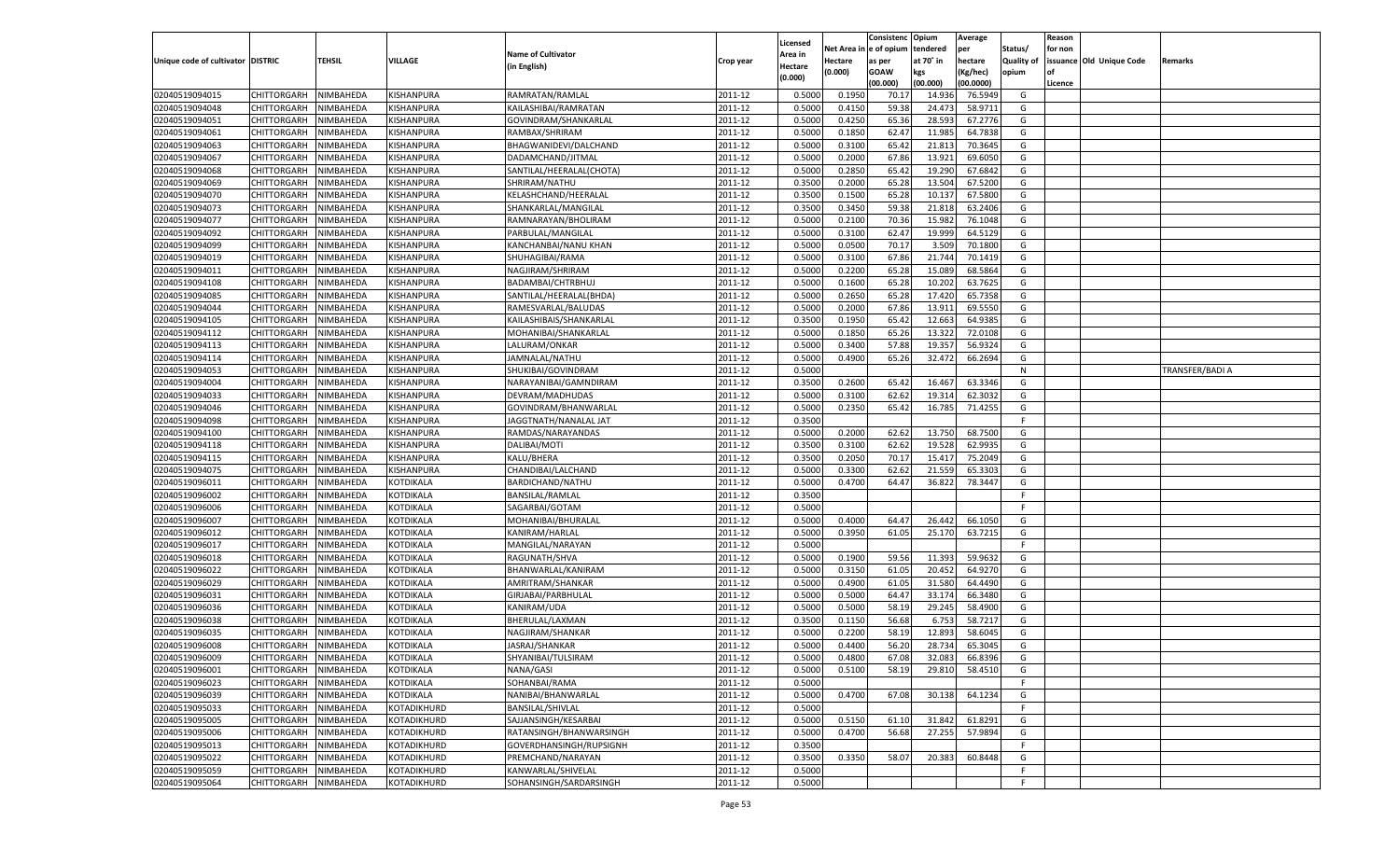|                                   |                       |               |                          |                           |           |                           |          | Consistenc  | Opium     | Average   |                   | Reason  |                          |                 |
|-----------------------------------|-----------------------|---------------|--------------------------|---------------------------|-----------|---------------------------|----------|-------------|-----------|-----------|-------------------|---------|--------------------------|-----------------|
|                                   |                       |               |                          | <b>Name of Cultivator</b> |           | Licensed                  | Net Area | e of opium  | tendered  | per       | Status/           | for non |                          |                 |
| Unique code of cultivator DISTRIC |                       | <b>TEHSIL</b> | VILLAGE                  | (in English)              | Crop year | <b>Area in</b><br>Hectare | Hectare  | as per      | at 70° in | hectare   | <b>Quality of</b> |         | issuance Old Unique Code | Remarks         |
|                                   |                       |               |                          |                           |           | (0.000)                   | (0.000)  | <b>GOAW</b> | kgs       | (Kg/hec)  | opium             |         |                          |                 |
|                                   |                       |               |                          |                           |           |                           |          | (00.000)    | (00.000)  | (00.0000) |                   | Licence |                          |                 |
| 02040519094015                    | CHITTORGARH           | NIMBAHEDA     | KISHANPURA               | RAMRATAN/RAMLAL           | 2011-12   | 0.5000                    | 0.1950   | 70.1        | 14.936    | 76.5949   | G                 |         |                          |                 |
| 02040519094048                    | CHITTORGARH           | NIMBAHEDA     | KISHANPURA               | KAILASHIBAI/RAMRATAN      | 2011-12   | 0.5000                    | 0.4150   | 59.38       | 24.473    | 58.9711   | G                 |         |                          |                 |
| 02040519094051                    | CHITTORGARH           | NIMBAHEDA     | KISHANPURA               | GOVINDRAM/SHANKARLAL      | 2011-12   | 0.5000                    | 0.4250   | 65.36       | 28.593    | 67.2776   | G                 |         |                          |                 |
| 02040519094061                    | CHITTORGARH           | NIMBAHEDA     | KISHANPURA               | RAMBAX/SHRIRAM            | 2011-12   | 0.5000                    | 0.1850   | 62.4        | 11.985    | 64.7838   | G                 |         |                          |                 |
| 02040519094063                    | CHITTORGARH           | NIMBAHEDA     | KISHANPURA               | BHAGWANIDEVI/DALCHAND     | 2011-12   | 0.5000                    | 0.3100   | 65.4        | 21.813    | 70.3645   | G                 |         |                          |                 |
| 02040519094067                    | CHITTORGARH           | NIMBAHEDA     | KISHANPURA               | DADAMCHAND/JITMAL         | 2011-12   | 0.5000                    | 0.2000   | 67.86       | 13.921    | 69.6050   | G                 |         |                          |                 |
| 02040519094068                    | CHITTORGARH           | NIMBAHEDA     | KISHANPURA               | SANTILAL/HEERALAL(CHOTA)  | 2011-12   | 0.5000                    | 0.2850   | 65.42       | 19.29     | 67.6842   | G                 |         |                          |                 |
| 02040519094069                    | CHITTORGARH           | NIMBAHEDA     | KISHANPURA               | SHRIRAM/NATHU             | 2011-12   | 0.3500                    | 0.2000   | 65.28       | 13.504    | 67.5200   | G                 |         |                          |                 |
| 02040519094070                    | CHITTORGARH           | NIMBAHEDA     | KISHANPURA               | KELASHCHAND/HEERALAL      | 2011-12   | 0.3500                    | 0.1500   | 65.28       | 10.13     | 67.5800   | G                 |         |                          |                 |
| 02040519094073                    | CHITTORGARH           | NIMBAHEDA     | KISHANPURA               | SHANKARLAL/MANGILAL       | 2011-12   | 0.3500                    | 0.3450   | 59.38       | 21.81     | 63.2406   | G                 |         |                          |                 |
| 02040519094077                    | CHITTORGARH           | NIMBAHEDA     | KISHANPURA               | RAMNARAYAN/BHOLIRAM       | 2011-12   | 0.5000                    | 0.2100   | 70.36       | 15.982    | 76.1048   | G                 |         |                          |                 |
| 02040519094092                    | CHITTORGARH           | NIMBAHEDA     | KISHANPURA               | PARBULAL/MANGILAL         | 2011-12   | 0.5000                    | 0.3100   | 62.4        | 19.999    | 64.5129   | G                 |         |                          |                 |
| 02040519094099                    | CHITTORGARH           | NIMBAHEDA     | KISHANPURA               | KANCHANBAI/NANU KHAN      | 2011-12   | 0.5000                    | 0.0500   | 70.17       | 3.509     | 70.1800   | G                 |         |                          |                 |
| 02040519094019                    | CHITTORGARH           | NIMBAHEDA     | KISHANPURA               | SHUHAGIBAI/RAMA           | 2011-12   | 0.5000                    | 0.3100   | 67.86       | 21.744    | 70.1419   | G                 |         |                          |                 |
| 02040519094011                    | CHITTORGARH           | NIMBAHEDA     | KISHANPURA               | NAGJIRAM/SHRIRAM          | 2011-12   | 0.5000                    | 0.2200   | 65.28       | 15.089    | 68.5864   | G                 |         |                          |                 |
| 02040519094108                    | CHITTORGARH           | NIMBAHEDA     | KISHANPURA               | BADAMBAI/CHTRBHUJ         | 2011-12   | 0.5000                    | 0.1600   | 65.28       | 10.202    | 63.7625   | G                 |         |                          |                 |
| 02040519094085                    | CHITTORGARH           | NIMBAHEDA     | KISHANPURA               | SANTILAL/HEERALAL(BHDA)   | 2011-12   | 0.5000                    | 0.2650   | 65.28       | 17.420    | 65.7358   | G                 |         |                          |                 |
| 02040519094044                    | CHITTORGARH           | NIMBAHEDA     | KISHANPURA               | RAMESVARLAL/BALUDAS       | 2011-12   | 0.5000                    | 0.2000   | 67.86       | 13.911    | 69.5550   | G                 |         |                          |                 |
| 02040519094105                    | CHITTORGARH           | NIMBAHEDA     | KISHANPURA               | KAILASHIBAIS/SHANKARLAI   | 2011-12   | 0.3500                    | 0.1950   | 65.42       | 12.663    | 64.9385   | G                 |         |                          |                 |
| 02040519094112                    | CHITTORGARH           | NIMBAHEDA     | KISHANPURA               | MOHANIBAI/SHANKARLAL      | 2011-12   | 0.5000                    | 0.1850   | 65.26       | 13.322    | 72.0108   | G                 |         |                          |                 |
| 02040519094113                    | CHITTORGARH           | NIMBAHEDA     | KISHANPURA               | LALURAM/ONKAR             | 2011-12   | 0.5000                    | 0.3400   | 57.88       | 19.357    | 56.9324   | G                 |         |                          |                 |
| 02040519094114                    | CHITTORGARH           | NIMBAHEDA     | KISHANPURA               | JAMNALAL/NATHU            | 2011-12   | 0.5000                    | 0.4900   | 65.26       | 32.472    | 66.2694   | G                 |         |                          |                 |
| 02040519094053                    | CHITTORGARH           | NIMBAHEDA     | KISHANPURA               | SHUKIBAI/GOVINDRAM        | 2011-12   | 0.5000                    |          |             |           |           | N                 |         |                          | TRANSFER/BADI A |
| 02040519094004                    | CHITTORGARH           | NIMBAHEDA     | KISHANPURA               | NARAYANIBAI/GAMNDIRAM     | 2011-12   | 0.3500                    | 0.2600   | 65.42       | 16.467    | 63.3346   | G                 |         |                          |                 |
| 02040519094033                    | CHITTORGARH           | NIMBAHEDA     | KISHANPURA               | DEVRAM/MADHUDAS           | 2011-12   | 0.5000                    | 0.3100   | 62.62       | 19.314    | 62.3032   | G                 |         |                          |                 |
| 02040519094046                    |                       |               |                          |                           | 2011-12   |                           |          |             |           |           | G                 |         |                          |                 |
| 02040519094098                    | CHITTORGARH           | NIMBAHEDA     | KISHANPURA<br>KISHANPURA | GOVINDRAM/BHANWARLAL      | 2011-12   | 0.5000<br>0.3500          | 0.2350   | 65.42       | 16.785    | 71.4255   | F                 |         |                          |                 |
|                                   | CHITTORGARH           | NIMBAHEDA     |                          | JAGGTNATH/NANALAL JAT     |           |                           |          |             |           |           |                   |         |                          |                 |
| 02040519094100                    | CHITTORGARH           | NIMBAHEDA     | KISHANPURA               | RAMDAS/NARAYANDAS         | 2011-12   | 0.5000                    | 0.2000   | 62.62       | 13.750    | 68.7500   | G                 |         |                          |                 |
| 02040519094118                    | CHITTORGARH           | NIMBAHEDA     | KISHANPURA               | DALIBAI/MOTI              | 2011-12   | 0.3500                    | 0.3100   | 62.62       | 19.528    | 62.9935   | G                 |         |                          |                 |
| 02040519094115                    | CHITTORGARH           | NIMBAHEDA     | KISHANPURA               | KALU/BHERA                | 2011-12   | 0.3500                    | 0.2050   | 70.17       | 15.417    | 75.2049   | G                 |         |                          |                 |
| 02040519094075                    | CHITTORGARH           | NIMBAHEDA     | KISHANPURA               | CHANDIBAI/LALCHAND        | 2011-12   | 0.5000                    | 0.3300   | 62.62       | 21.55     | 65.3303   | G                 |         |                          |                 |
| 02040519096011                    | CHITTORGARH           | NIMBAHEDA     | KOTDIKALA                | BARDICHAND/NATHU          | 2011-12   | 0.5000                    | 0.4700   | 64.4        | 36.822    | 78.3447   | G                 |         |                          |                 |
| 02040519096002                    | CHITTORGARH           | NIMBAHEDA     | KOTDIKALA                | <b>BANSILAL/RAMLAL</b>    | 2011-12   | 0.3500                    |          |             |           |           | F.                |         |                          |                 |
| 02040519096006                    | CHITTORGARH           | NIMBAHEDA     | KOTDIKALA                | SAGARBAI/GOTAM            | 2011-12   | 0.5000                    |          |             |           |           | F.                |         |                          |                 |
| 02040519096007                    | CHITTORGARH           | NIMBAHEDA     | KOTDIKALA                | MOHANIBAI/BHURALAL        | 2011-12   | 0.5000                    | 0.4000   | 64.4        | 26.442    | 66.1050   | G                 |         |                          |                 |
| 02040519096012                    | CHITTORGARH           | NIMBAHEDA     | KOTDIKALA                | KANIRAM/HARLAL            | 2011-12   | 0.5000                    | 0.3950   | 61.05       | 25.170    | 63.7215   | G                 |         |                          |                 |
| 02040519096017                    | CHITTORGARH           | NIMBAHEDA     | KOTDIKALA                | MANGILAL/NARAYAN          | 2011-12   | 0.5000                    |          |             |           |           | F.                |         |                          |                 |
| 02040519096018                    | CHITTORGARH           | NIMBAHEDA     | KOTDIKALA                | RAGUNATH/SHVA             | 2011-12   | 0.5000                    | 0.1900   | 59.56       | 11.393    | 59.9632   | G                 |         |                          |                 |
| 02040519096022                    | CHITTORGARH           | NIMBAHEDA     | KOTDIKALA                | BHANWARLAL/KANIRAM        | 2011-12   | 0.5000                    | 0.3150   | 61.05       | 20.452    | 64.9270   | G                 |         |                          |                 |
| 02040519096029                    | CHITTORGARH           | NIMBAHEDA     | KOTDIKALA                | AMRITRAM/SHANKAR          | 2011-12   | 0.5000                    | 0.4900   | 61.05       | 31.580    | 64.4490   | G                 |         |                          |                 |
| 02040519096031                    | CHITTORGARH           | NIMBAHEDA     | KOTDIKALA                | GIRJABAI/PARBHULAL        | 2011-12   | 0.5000                    | 0.5000   | 64.47       | 33.174    | 66.3480   | G                 |         |                          |                 |
| 02040519096036                    | CHITTORGARH           | NIMBAHEDA     | KOTDIKALA                | KANIRAM/UDA               | 2011-12   | 0.5000                    | 0.5000   | 58.19       | 29.245    | 58.4900   | G                 |         |                          |                 |
| 02040519096038                    | CHITTORGARH           | NIMBAHEDA     | KOTDIKALA                | BHERULAL/LAXMAN           | 2011-12   | 0.3500                    | 0.1150   | 56.68       | 6.753     | 58.7217   | G                 |         |                          |                 |
| 02040519096035                    | CHITTORGARH           | NIMBAHEDA     | KOTDIKALA                | NAGJIRAM/SHANKAR          | 2011-12   | 0.5000                    | 0.2200   | 58.19       | 12.89     | 58.6045   | G                 |         |                          |                 |
| 02040519096008                    | CHITTORGARH           | NIMBAHEDA     | KOTDIKALA                | JASRAJ/SHANKAR            | 2011-12   | 0.5000                    | 0.4400   | 56.20       | 28.734    | 65.3045   | G                 |         |                          |                 |
| 02040519096009                    | CHITTORGARH NIMBAHEDA |               | <b>KOTDIKALA</b>         | SHYANIBAI/TULSIRAM        | 2011-12   | 0.5000                    | 0.4800   | 67.08       | 32.083    | 66.8396   | G                 |         |                          |                 |
| 02040519096001                    | <b>CHITTORGARH</b>    | NIMBAHEDA     | <b>KOTDIKALA</b>         | NANA/GASI                 | 2011-12   | 0.5000                    | 0.5100   | 58.19       | 29.810    | 58.4510   | G                 |         |                          |                 |
| 02040519096023                    | CHITTORGARH           | NIMBAHEDA     | KOTDIKALA                | SOHANBAI/RAMA             | 2011-12   | 0.5000                    |          |             |           |           | F.                |         |                          |                 |
| 02040519096039                    | <b>CHITTORGARH</b>    | NIMBAHEDA     | KOTDIKALA                | NANIBAI/BHANWARLAL        | 2011-12   | 0.5000                    | 0.4700   | 67.08       | 30.138    | 64.1234   | G                 |         |                          |                 |
| 02040519095033                    | <b>CHITTORGARH</b>    | NIMBAHEDA     | KOTADIKHURD              | <b>BANSILAL/SHIVLAL</b>   | 2011-12   | 0.5000                    |          |             |           |           | F.                |         |                          |                 |
| 02040519095005                    | <b>CHITTORGARH</b>    | NIMBAHEDA     | KOTADIKHURD              | SAJJANSINGH/KESARBAI      | 2011-12   | 0.5000                    | 0.5150   | 61.10       | 31.842    | 61.8291   | G                 |         |                          |                 |
| 02040519095006                    | <b>CHITTORGARH</b>    | NIMBAHEDA     | KOTADIKHURD              | RATANSINGH/BHANWARSINGH   | 2011-12   | 0.5000                    | 0.4700   | 56.68       | 27.255    | 57.9894   | G                 |         |                          |                 |
| 02040519095013                    | <b>CHITTORGARH</b>    | NIMBAHEDA     | KOTADIKHURD              | GOVERDHANSINGH/RUPSIGNH   | 2011-12   | 0.3500                    |          |             |           |           | F                 |         |                          |                 |
| 02040519095022                    | <b>CHITTORGARH</b>    | NIMBAHEDA     | KOTADIKHURD              | PREMCHAND/NARAYAN         | 2011-12   | 0.3500                    | 0.3350   | 58.07       | 20.383    | 60.8448   | G                 |         |                          |                 |
| 02040519095059                    | <b>CHITTORGARH</b>    | NIMBAHEDA     | KOTADIKHURD              | KANWARLAL/SHIVELAL        | 2011-12   | 0.5000                    |          |             |           |           | F.                |         |                          |                 |
| 02040519095064                    | CHITTORGARH           | NIMBAHEDA     | KOTADIKHURD              | SOHANSINGH/SARDARSINGH    | 2011-12   | 0.5000                    |          |             |           |           | F.                |         |                          |                 |
|                                   |                       |               |                          |                           |           |                           |          |             |           |           |                   |         |                          |                 |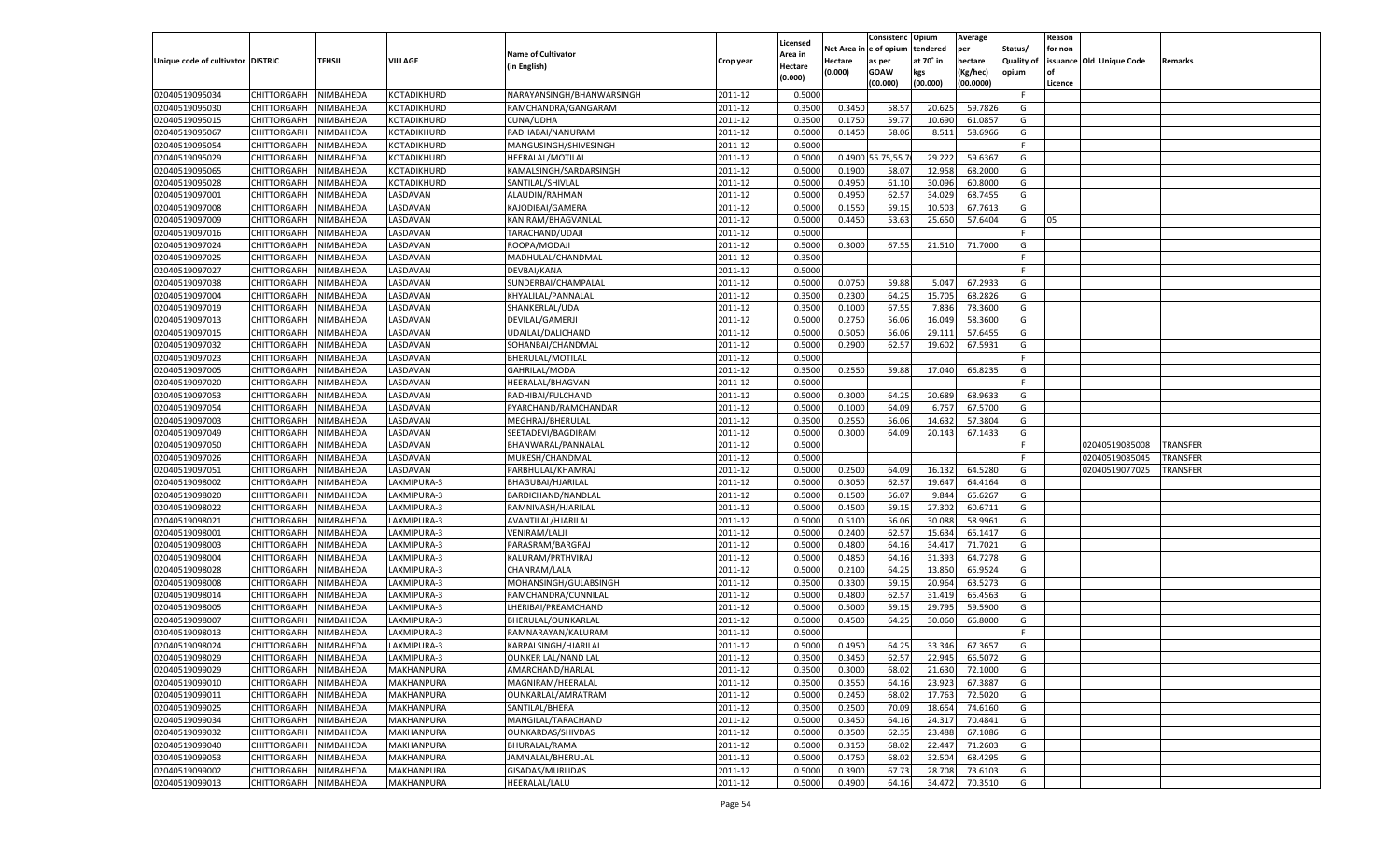|                                   |                       |           |                   |                           |           |                     |            | Consistenc       | Opium     | Average   |                   | Reason  |                          |          |
|-----------------------------------|-----------------------|-----------|-------------------|---------------------------|-----------|---------------------|------------|------------------|-----------|-----------|-------------------|---------|--------------------------|----------|
|                                   |                       |           |                   | <b>Name of Cultivator</b> |           | Licensed<br>Area in | Net Area i | n e of opium     | tendered  | per       | Status/           | for non |                          |          |
| Unique code of cultivator DISTRIC |                       | TEHSIL    | VILLAGE           | (in English)              | Crop year | Hectare             | Hectare    | as per           | at 70° in | hectare   | <b>Quality of</b> |         | issuance Old Unique Code | Remarks  |
|                                   |                       |           |                   |                           |           | (0.000)             | (0.000)    | <b>GOAW</b>      | kgs       | (Kg/hec)  | opium             |         |                          |          |
|                                   |                       |           |                   |                           |           |                     |            | (00.000)         | (00.000)  | (00.0000) |                   | Licence |                          |          |
| 02040519095034                    | CHITTORGARH           | NIMBAHEDA | KOTADIKHURD       | NARAYANSINGH/BHANWARSINGH | 2011-12   | 0.5000              |            |                  |           |           | F                 |         |                          |          |
| 02040519095030                    | CHITTORGARH           | NIMBAHEDA | KOTADIKHURD       | RAMCHANDRA/GANGARAM       | 2011-12   | 0.3500              | 0.3450     | 58.57            | 20.625    | 59.7826   | G                 |         |                          |          |
| 02040519095015                    | CHITTORGARH           | NIMBAHEDA | KOTADIKHURD       | CUNA/UDHA                 | 2011-12   | 0.3500              | 0.1750     | 59.77            | 10.690    | 61.0857   | G                 |         |                          |          |
| 02040519095067                    | CHITTORGARH           | NIMBAHEDA | KOTADIKHURD       | RADHABAI/NANURAM          | 2011-12   | 0.5000              | 0.1450     | 58.06            | 8.511     | 58.6966   | G                 |         |                          |          |
| 02040519095054                    | CHITTORGARH           | NIMBAHEDA | KOTADIKHURD       | MANGUSINGH/SHIVESINGH     | 2011-12   | 0.5000              |            |                  |           |           | F.                |         |                          |          |
| 02040519095029                    | CHITTORGARH           | NIMBAHEDA | KOTADIKHURD       | HEERALAL/MOTILAL          | 2011-12   | 0.5000              |            | 0.4900 55.75,55. | 29.222    | 59.6367   | G                 |         |                          |          |
| 02040519095065                    | CHITTORGARH           | NIMBAHEDA | KOTADIKHURD       | KAMALSINGH/SARDARSINGH    | 2011-12   | 0.5000              | 0.1900     | 58.07            | 12.958    | 68.2000   | G                 |         |                          |          |
| 02040519095028                    | CHITTORGARH           | NIMBAHEDA | KOTADIKHURD       | SANTILAL/SHIVLAL          | 2011-12   | 0.5000              | 0.4950     | 61.10            | 30.096    | 60.8000   | G                 |         |                          |          |
| 02040519097001                    | CHITTORGARH           | NIMBAHEDA | LASDAVAN          | ALAUDIN/RAHMAN            | 2011-12   | 0.5000              | 0.4950     | 62.57            | 34.029    | 68.7455   | G                 |         |                          |          |
| 02040519097008                    | CHITTORGARH           | NIMBAHEDA | LASDAVAN          | KAJODIBAI/GAMERA          | 2011-12   | 0.5000              | 0.1550     | 59.1             | 10.503    | 67.7613   | G                 |         |                          |          |
| 02040519097009                    | CHITTORGARH           | NIMBAHEDA | LASDAVAN          | KANIRAM/BHAGVANLAL        | 2011-12   | 0.5000              | 0.4450     | 53.63            | 25.650    | 57.6404   | G                 | 05      |                          |          |
| 02040519097016                    | CHITTORGARH           | NIMBAHEDA | LASDAVAN          | TARACHAND/UDAJI           | 2011-12   | 0.5000              |            |                  |           |           | E                 |         |                          |          |
| 02040519097024                    | CHITTORGARH           | NIMBAHEDA | LASDAVAN          | ROOPA/MODAJI              | 2011-12   | 0.5000              | 0.3000     | 67.55            | 21.510    | 71.7000   | G                 |         |                          |          |
| 02040519097025                    | CHITTORGARH           | NIMBAHEDA | <b>ASDAVAN</b>    | MADHULAL/CHANDMAL         | 2011-12   | 0.3500              |            |                  |           |           | F.                |         |                          |          |
| 02040519097027                    | CHITTORGARH           | NIMBAHEDA | <b>ASDAVAN</b>    | DEVBAI/KANA               | 2011-12   | 0.5000              |            |                  |           |           | F.                |         |                          |          |
| 02040519097038                    | CHITTORGARH           | NIMBAHEDA | <b>ASDAVAN</b>    | SUNDERBAI/CHAMPALAL       | 2011-12   | 0.5000              | 0.0750     | 59.88            | 5.047     | 67.2933   | G                 |         |                          |          |
| 02040519097004                    | CHITTORGARH           | NIMBAHEDA | <b>ASDAVAN</b>    | KHYALILAL/PANNALAL        | 2011-12   | 0.3500              | 0.2300     | 64.25            | 15.705    | 68.2826   | G                 |         |                          |          |
| 02040519097019                    | CHITTORGARH           | NIMBAHEDA | <b>ASDAVAN</b>    | SHANKERLAL/UDA            | 2011-12   | 0.3500              | 0.1000     | 67.55            | 7.836     | 78.3600   | G                 |         |                          |          |
| 02040519097013                    | CHITTORGARH           | NIMBAHEDA | <b>ASDAVAN</b>    | DEVILAL/GAMERJI           | 2011-12   | 0.5000              | 0.2750     | 56.06            | 16.049    | 58.3600   | G                 |         |                          |          |
| 02040519097015                    | CHITTORGARH           | NIMBAHEDA | <b>ASDAVAN</b>    | UDAILAL/DALICHAND         | 2011-12   | 0.5000              | 0.5050     | 56.06            | 29.111    | 57.6455   | G                 |         |                          |          |
| 02040519097032                    | CHITTORGARH           | NIMBAHEDA | <b>ASDAVAN</b>    | SOHANBAI/CHANDMAL         | 2011-12   | 0.5000              | 0.2900     | 62.57            | 19.602    | 67.5931   | G                 |         |                          |          |
| 02040519097023                    | CHITTORGARH           | NIMBAHEDA | <b>ASDAVAN</b>    | BHERULAL/MOTILAL          | 2011-12   | 0.5000              |            |                  |           |           | F.                |         |                          |          |
| 02040519097005                    | CHITTORGARH           | NIMBAHEDA | <b>ASDAVAN</b>    | GAHRILAL/MODA             | 2011-12   | 0.3500              | 0.2550     | 59.88            | 17.040    | 66.8235   | G                 |         |                          |          |
| 02040519097020                    | CHITTORGARH           | NIMBAHEDA | <b>ASDAVAN</b>    | <b>HEERALAL/BHAGVAN</b>   | 2011-12   | 0.5000              |            |                  |           |           | F.                |         |                          |          |
| 02040519097053                    | CHITTORGARH           | NIMBAHEDA | <b>ASDAVAN</b>    | RADHIBAI/FULCHAND         | 2011-12   | 0.5000              | 0.3000     | 64.25            | 20.689    | 68.9633   | G                 |         |                          |          |
| 02040519097054                    | CHITTORGARH           | NIMBAHEDA | <b>ASDAVAN</b>    | PYARCHAND/RAMCHANDAR      | 2011-12   | 0.5000              | 0.1000     | 64.09            | 6.757     | 67.5700   | G                 |         |                          |          |
| 02040519097003                    | CHITTORGARH           | NIMBAHEDA | <b>ASDAVAN</b>    | MEGHRAJ/BHERULAL          | 2011-12   | 0.3500              | 0.2550     | 56.06            | 14.632    | 57.3804   | G                 |         |                          |          |
| 02040519097049                    | CHITTORGARH           | NIMBAHEDA | <b>ASDAVAN</b>    | SEETADEVI/BAGDIRAM        | 2011-12   | 0.5000              | 0.3000     | 64.09            | 20.143    | 67.1433   | G                 |         |                          |          |
| 02040519097050                    | CHITTORGARH           | NIMBAHEDA | <b>ASDAVAN</b>    | BHANWARAL/PANNALAI        | 2011-12   | 0.5000              |            |                  |           |           | F.                |         | 02040519085008           | TRANSFER |
| 02040519097026                    | CHITTORGARH           | NIMBAHEDA | LASDAVAN          | MUKESH/CHANDMAL           | 2011-12   | 0.5000              |            |                  |           |           | E                 |         | 02040519085045           | TRANSFER |
| 02040519097051                    | CHITTORGARH           | NIMBAHEDA | LASDAVAN          | PARBHULAL/KHAMRAJ         | 2011-12   | 0.5000              | 0.2500     | 64.09            | 16.132    | 64.5280   | G                 |         | 02040519077025           | TRANSFER |
| 02040519098002                    | CHITTORGARH           | NIMBAHEDA | LAXMIPURA-3       | BHAGUBAI/HJARILAL         | 2011-12   | 0.5000              | 0.3050     | 62.57            | 19.647    | 64.4164   | G                 |         |                          |          |
| 02040519098020                    | CHITTORGARH           | NIMBAHEDA | LAXMIPURA-3       | BARDICHAND/NANDLAL        | 2011-12   | 0.5000              | 0.1500     | 56.07            | 9.844     | 65.6267   | G                 |         |                          |          |
| 02040519098022                    | CHITTORGARH           | NIMBAHEDA | LAXMIPURA-3       | RAMNIVASH/HJARILAL        | 2011-12   | 0.5000              | 0.4500     | 59.15            | 27.302    | 60.6711   | G                 |         |                          |          |
| 02040519098021                    | CHITTORGARH           | NIMBAHEDA | LAXMIPURA-3       | AVANTILAL/HJARILAL        | 2011-12   | 0.5000              | 0.5100     | 56.06            | 30.088    | 58.9961   | G                 |         |                          |          |
| 02040519098001                    | CHITTORGARH           | NIMBAHEDA | LAXMIPURA-3       | <b>VENIRAM/LALJI</b>      | 2011-12   | 0.5000              | 0.2400     | 62.57            | 15.634    | 65.1417   | G                 |         |                          |          |
| 02040519098003                    | CHITTORGARH           | NIMBAHEDA | LAXMIPURA-3       | PARASRAM/BARGRAJ          | 2011-12   | 0.5000              | 0.4800     | 64.16            | 34.417    | 71.7021   | G                 |         |                          |          |
| 02040519098004                    | CHITTORGARH           | NIMBAHEDA | LAXMIPURA-3       | KALURAM/PRTHVIRAJ         | 2011-12   | 0.5000              | 0.4850     | 64.16            | 31.393    | 64.7278   | G                 |         |                          |          |
| 02040519098028                    | CHITTORGARH           | NIMBAHEDA | LAXMIPURA-3       | CHANRAM/LALA              | 2011-12   | 0.5000              | 0.2100     | 64.25            | 13.850    | 65.9524   | G                 |         |                          |          |
| 02040519098008                    | CHITTORGARH           | NIMBAHEDA | LAXMIPURA-3       | MOHANSINGH/GULABSINGH     | 2011-12   | 0.3500              | 0.3300     | 59.1             | 20.964    | 63.5273   | G                 |         |                          |          |
| 02040519098014                    | CHITTORGARH           | NIMBAHEDA | LAXMIPURA-3       | RAMCHANDRA/CUNNILAI       | 2011-12   | 0.5000              | 0.4800     | 62.57            | 31.419    | 65.4563   | G                 |         |                          |          |
| 02040519098005                    | CHITTORGARH           | NIMBAHEDA | LAXMIPURA-3       | LHERIBAI/PREAMCHAND       | 2011-12   | 0.5000              | 0.5000     | 59.1             | 29.795    | 59.5900   | G                 |         |                          |          |
| 02040519098007                    | CHITTORGARH           | NIMBAHEDA | LAXMIPURA-3       | BHERULAL/OUNKARLAL        | 2011-12   | 0.5000              | 0.4500     | 64.25            | 30.060    | 66.8000   | G                 |         |                          |          |
| 02040519098013                    | CHITTORGARH           | NIMBAHEDA | LAXMIPURA-3       | RAMNARAYAN/KALURAM        | 2011-12   | 0.5000              |            |                  |           |           | F                 |         |                          |          |
| 02040519098024                    | CHITTORGARH           | NIMBAHEDA | LAXMIPURA-3       | KARPALSINGH/HJARILAL      | 2011-12   | 0.5000              | 0.4950     | 64.25            | 33.346    | 67.3657   | G                 |         |                          |          |
| 02040519098029                    | CHITTORGARH NIMBAHEDA |           | LAXMIPURA-3       | OUNKER LAL/NAND LAL       | 2011-12   | 0.3500              | 0.3450     | 62.57            | 22.945    | 66.5072   | G                 |         |                          |          |
| 02040519099029                    | <b>CHITTORGARH</b>    | NIMBAHEDA | <b>MAKHANPURA</b> | AMARCHAND/HARLAL          | 2011-12   | 0.3500              | 0.3000     | 68.02            | 21.630    | 72.1000   | G                 |         |                          |          |
| 02040519099010                    | <b>CHITTORGARH</b>    | NIMBAHEDA | MAKHANPURA        | MAGNIRAM/HEERALAL         | 2011-12   | 0.3500              | 0.3550     | 64.16            | 23.923    | 67.3887   | G                 |         |                          |          |
| 02040519099011                    | CHITTORGARH           | NIMBAHEDA | MAKHANPURA        | OUNKARLAL/AMRATRAM        | 2011-12   | 0.5000              | 0.2450     | 68.02            | 17.763    | 72.5020   | G                 |         |                          |          |
| 02040519099025                    | <b>CHITTORGARH</b>    | NIMBAHEDA | MAKHANPURA        | SANTILAL/BHERA            | 2011-12   | 0.3500              | 0.2500     | 70.09            | 18.654    | 74.6160   | G                 |         |                          |          |
| 02040519099034                    | CHITTORGARH           | NIMBAHEDA | MAKHANPURA        | MANGILAL/TARACHAND        | 2011-12   | 0.5000              | 0.3450     | 64.16            | 24.317    | 70.4841   | G                 |         |                          |          |
| 02040519099032                    | CHITTORGARH           |           |                   | OUNKARDAS/SHIVDAS         | 2011-12   |                     | 0.3500     | 62.35            | 23.488    | 67.1086   | G                 |         |                          |          |
|                                   |                       | NIMBAHEDA | MAKHANPURA        |                           |           | 0.5000<br>0.5000    |            |                  | 22.447    | 71.2603   |                   |         |                          |          |
| 02040519099040                    | CHITTORGARH           | NIMBAHEDA | MAKHANPURA        | BHURALAL/RAMA             | 2011-12   |                     | 0.3150     | 68.02            |           |           | G                 |         |                          |          |
| 02040519099053                    | CHITTORGARH           | NIMBAHEDA | MAKHANPURA        | JAMNALAL/BHERULAL         | 2011-12   | 0.5000              | 0.4750     | 68.02            | 32.504    | 68.4295   | G                 |         |                          |          |
| 02040519099002                    | <b>CHITTORGARH</b>    | NIMBAHEDA | MAKHANPURA        | GISADAS/MURLIDAS          | 2011-12   | 0.5000              | 0.3900     | 67.73            | 28.708    | 73.6103   | G                 |         |                          |          |
| 02040519099013                    | <b>CHITTORGARH</b>    | NIMBAHEDA | MAKHANPURA        | <b>HEERALAL/LALU</b>      | 2011-12   | 0.5000              | 0.4900     | 64.16            | 34.472    | 70.3510   | G                 |         |                          |          |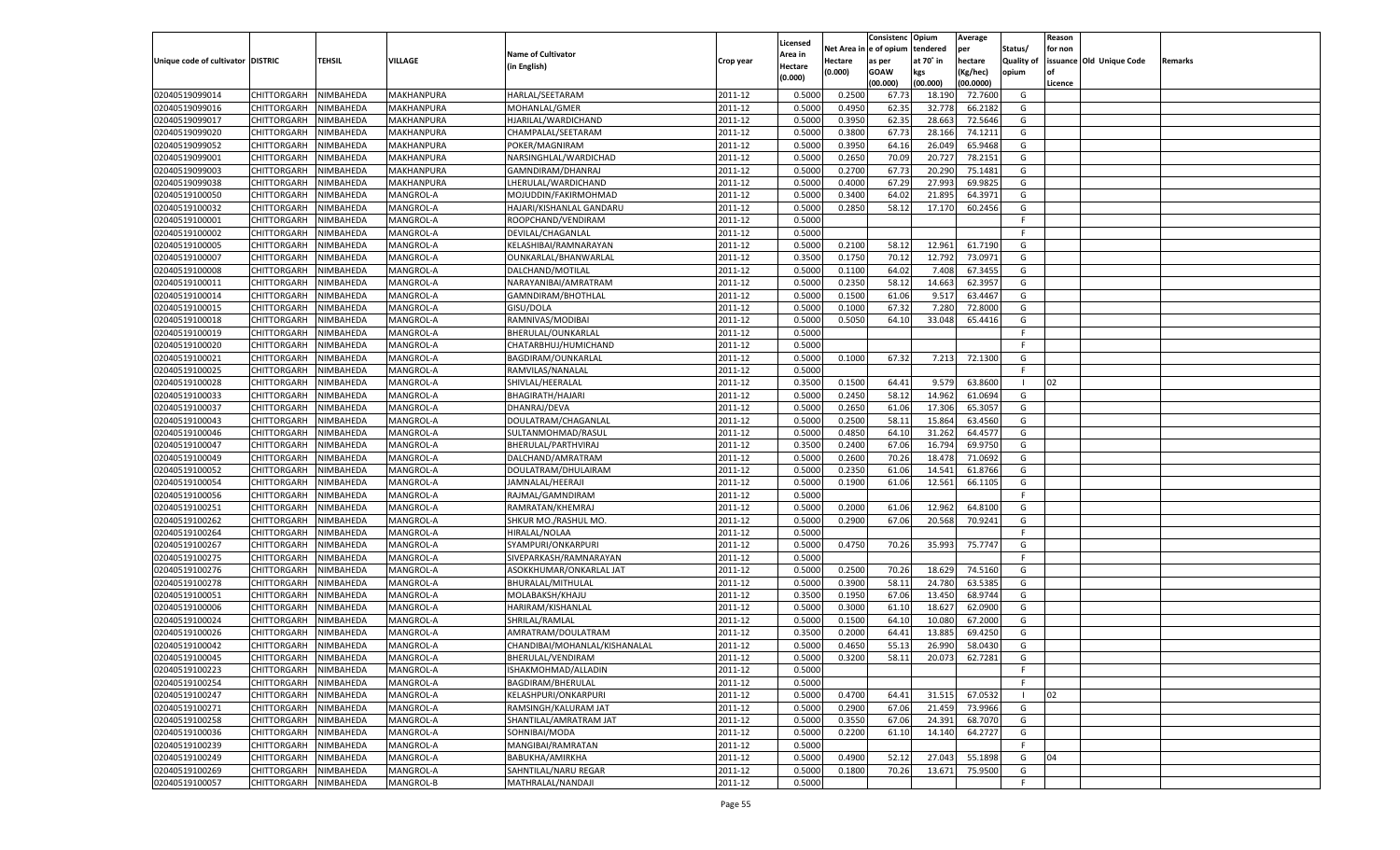|                                   |                       |           |            |                               |           |          |          | Consistenc Opium |           | Average   |                   | Reason    |                          |         |
|-----------------------------------|-----------------------|-----------|------------|-------------------------------|-----------|----------|----------|------------------|-----------|-----------|-------------------|-----------|--------------------------|---------|
|                                   |                       |           |            |                               |           | Licensed | Net Area | e of opium       | tendered  | per       | Status/           | for non   |                          |         |
| Unique code of cultivator DISTRIC |                       | TEHSIL    | VILLAGE    | <b>Name of Cultivator</b>     | Crop year | Area in  | Hectare  | as per           | at 70˚ in | hectare   | <b>Quality of</b> |           | issuance Old Unique Code | Remarks |
|                                   |                       |           |            | (in English)                  |           | Hectare  | (0.000)  | <b>GOAW</b>      | kgs       | (Kg/hec)  | opium             | <b>of</b> |                          |         |
|                                   |                       |           |            |                               |           | (0.000)  |          | (00.000)         | (00.000)  | (00.0000) |                   | Licence   |                          |         |
| 02040519099014                    | CHITTORGARH           | NIMBAHEDA | MAKHANPURA | HARLAL/SEETARAM               | 2011-12   | 0.5000   | 0.2500   | 67.73            | 18.19     | 72.7600   | G                 |           |                          |         |
| 02040519099016                    | CHITTORGARH           | NIMBAHEDA | MAKHANPURA | MOHANLAL/GMER                 | 2011-12   | 0.5000   | 0.4950   | 62.3             | 32.778    | 66.2182   | G                 |           |                          |         |
| 02040519099017                    | <b>CHITTORGARH</b>    | NIMBAHEDA | MAKHANPURA | HJARILAL/WARDICHAND           | 2011-12   | 0.5000   | 0.3950   | 62.35            | 28.663    | 72.5646   | G                 |           |                          |         |
| 02040519099020                    | CHITTORGARH           | NIMBAHEDA | MAKHANPURA | CHAMPALAL/SEETARAM            | 2011-12   | 0.5000   | 0.3800   | 67.73            | 28.166    | 74.1211   | G                 |           |                          |         |
| 02040519099052                    | CHITTORGARH           | NIMBAHEDA | MAKHANPURA | POKER/MAGNIRAM                | 2011-12   | 0.5000   | 0.3950   | 64.16            | 26.04     | 65.9468   | G                 |           |                          |         |
| 02040519099001                    | CHITTORGARH           | NIMBAHEDA | MAKHANPURA | NARSINGHLAL/WARDICHAD         | 2011-12   | 0.5000   | 0.2650   | 70.09            | 20.727    | 78.2151   | G                 |           |                          |         |
| 02040519099003                    | CHITTORGARH           | NIMBAHEDA | MAKHANPURA | GAMNDIRAM/DHANRAJ             | 2011-12   | 0.5000   | 0.2700   | 67.73            | 20.290    | 75.1481   | G                 |           |                          |         |
| 02040519099038                    | CHITTORGARH           | NIMBAHEDA | MAKHANPURA | LHERULAL/WARDICHAND           | 2011-12   | 0.5000   | 0.4000   | 67.29            | 27.993    | 69.9825   | G                 |           |                          |         |
| 02040519100050                    | <b>CHITTORGARH</b>    | NIMBAHEDA | MANGROL-A  | MOJUDDIN/FAKIRMOHMAD          | 2011-12   | 0.5000   | 0.3400   | 64.02            | 21.895    | 64.3971   | G                 |           |                          |         |
| 02040519100032                    | CHITTORGARH           | NIMBAHEDA | MANGROL-A  | HAJARI/KISHANLAL GANDARU      | 2011-12   | 0.5000   | 0.2850   | 58.12            | 17.170    | 60.2456   | G                 |           |                          |         |
| 02040519100001                    | <b>CHITTORGARH</b>    | NIMBAHEDA | MANGROL-A  | ROOPCHAND/VENDIRAM            | 2011-12   | 0.5000   |          |                  |           |           | F.                |           |                          |         |
| 02040519100002                    | CHITTORGARH           | NIMBAHEDA | MANGROL-A  | DEVILAL/CHAGANLAL             | 2011-12   | 0.5000   |          |                  |           |           | F.                |           |                          |         |
| 02040519100005                    | <b>CHITTORGARH</b>    | NIMBAHEDA | MANGROL-A  | KELASHIBAI/RAMNARAYAN         | 2011-12   | 0.5000   | 0.2100   | 58.12            | 12.961    | 61.7190   | G                 |           |                          |         |
| 02040519100007                    | CHITTORGARH           | NIMBAHEDA | MANGROL-A  | OUNKARLAL/BHANWARLAL          | 2011-12   | 0.3500   | 0.1750   | 70.12            | 12.792    | 73.0971   | G                 |           |                          |         |
| 02040519100008                    | <b>CHITTORGARH</b>    | NIMBAHEDA | MANGROL-A  | DALCHAND/MOTILAL              | 2011-12   | 0.5000   | 0.1100   | 64.02            | 7.408     | 67.3455   | G                 |           |                          |         |
| 02040519100011                    | <b>CHITTORGARH</b>    | NIMBAHEDA | MANGROL-A  | NARAYANIBAI/AMRATRAM          | 2011-12   | 0.5000   | 0.2350   | 58.12            | 14.663    | 62.3957   | G                 |           |                          |         |
| 02040519100014                    | <b>CHITTORGARH</b>    | NIMBAHEDA | MANGROL-A  | GAMNDIRAM/BHOTHLAL            | 2011-12   | 0.5000   | 0.1500   | 61.06            | 9.517     | 63.4467   | G                 |           |                          |         |
| 02040519100015                    | CHITTORGARH           | NIMBAHEDA | MANGROL-A  | GISU/DOLA                     | 2011-12   | 0.5000   | 0.1000   | 67.32            | 7.280     | 72.8000   | G                 |           |                          |         |
| 02040519100018                    | <b>CHITTORGARH</b>    | NIMBAHEDA | MANGROL-A  | RAMNIVAS/MODIBAI              | 2011-12   | 0.5000   | 0.5050   | 64.10            | 33.048    | 65.4416   | G                 |           |                          |         |
| 02040519100019                    | CHITTORGARH           | NIMBAHEDA | MANGROL-A  | BHERULAL/OUNKARLAL            | 2011-12   | 0.5000   |          |                  |           |           | F.                |           |                          |         |
| 02040519100020                    | <b>CHITTORGARH</b>    | NIMBAHEDA | MANGROL-A  | CHATARBHUJ/HUMICHAND          | 2011-12   | 0.5000   |          |                  |           |           | F                 |           |                          |         |
|                                   | CHITTORGARH           |           |            | <b>BAGDIRAM/OUNKARLAL</b>     |           |          |          |                  |           | 72.1300   | G                 |           |                          |         |
| 02040519100021<br>02040519100025  |                       | NIMBAHEDA | MANGROL-A  |                               | 2011-12   | 0.5000   | 0.1000   | 67.32            | 7.213     |           | F                 |           |                          |         |
|                                   | <b>CHITTORGARH</b>    | NIMBAHEDA | MANGROL-A  | RAMVILAS/NANALAL              | 2011-12   | 0.5000   |          |                  |           |           |                   |           |                          |         |
| 02040519100028                    | CHITTORGARH           | NIMBAHEDA | MANGROL-A  | SHIVLAL/HEERALAL              | 2011-12   | 0.3500   | 0.1500   | 64.41            | 9.579     | 63.8600   | $\blacksquare$    | 02        |                          |         |
| 02040519100033                    | <b>CHITTORGARH</b>    | NIMBAHEDA | MANGROL-A  | <b>BHAGIRATH/HAJARI</b>       | 2011-12   | 0.5000   | 0.2450   | 58.12            | 14.962    | 61.0694   | G                 |           |                          |         |
| 02040519100037                    | <b>CHITTORGARH</b>    | NIMBAHEDA | MANGROL-A  | DHANRAJ/DEVA                  | 2011-12   | 0.5000   | 0.2650   | 61.06            | 17.306    | 65.3057   | G                 |           |                          |         |
| 02040519100043                    | <b>CHITTORGARH</b>    | NIMBAHEDA | MANGROL-A  | DOULATRAM/CHAGANLAL           | 2011-12   | 0.5000   | 0.2500   | 58.11            | 15.864    | 63.4560   | G                 |           |                          |         |
| 02040519100046                    | CHITTORGARH           | NIMBAHEDA | MANGROL-A  | SULTANMOHMAD/RASUI            | 2011-12   | 0.5000   | 0.4850   | 64.10            | 31.262    | 64.4577   | G                 |           |                          |         |
| 02040519100047                    | <b>CHITTORGARH</b>    | NIMBAHEDA | MANGROL-A  | BHERULAL/PARTHVIRAJ           | 2011-12   | 0.3500   | 0.2400   | 67.06            | 16.794    | 69.9750   | G                 |           |                          |         |
| 02040519100049                    | CHITTORGARH           | NIMBAHEDA | MANGROL-A  | DALCHAND/AMRATRAM             | 2011-12   | 0.5000   | 0.2600   | 70.26            | 18.47     | 71.0692   | G                 |           |                          |         |
| 02040519100052                    | <b>CHITTORGARH</b>    | NIMBAHEDA | MANGROL-A  | DOULATRAM/DHULAIRAM           | 2011-12   | 0.5000   | 0.2350   | 61.06            | 14.541    | 61.8766   | G                 |           |                          |         |
| 02040519100054                    | CHITTORGARH           | NIMBAHEDA | MANGROL-A  | JAMNALAL/HEERAJI              | 2011-12   | 0.5000   | 0.1900   | 61.06            | 12.561    | 66.1105   | G                 |           |                          |         |
| 02040519100056                    | <b>CHITTORGARH</b>    | NIMBAHEDA | MANGROL-A  | RAJMAL/GAMNDIRAM              | 2011-12   | 0.5000   |          |                  |           |           | F                 |           |                          |         |
| 02040519100251                    | CHITTORGARH           | NIMBAHEDA | MANGROL-A  | RAMRATAN/KHEMRAJ              | 2011-12   | 0.5000   | 0.2000   | 61.06            | 12.962    | 64.8100   | G                 |           |                          |         |
| 02040519100262                    | <b>CHITTORGARH</b>    | NIMBAHEDA | MANGROL-A  | SHKUR MO./RASHUL MO           | 2011-12   | 0.5000   | 0.2900   | 67.06            | 20.568    | 70.9241   | G                 |           |                          |         |
| 02040519100264                    | CHITTORGARH           | NIMBAHEDA | MANGROL-A  | HIRALAL/NOLAA                 | 2011-12   | 0.5000   |          |                  |           |           | F                 |           |                          |         |
| 02040519100267                    | <b>CHITTORGARH</b>    | NIMBAHEDA | MANGROL-A  | SYAMPURI/ONKARPURI            | 2011-12   | 0.5000   | 0.4750   | 70.26            | 35.993    | 75.7747   | G                 |           |                          |         |
| 02040519100275                    | <b>CHITTORGARH</b>    | NIMBAHEDA | MANGROL-A  | SIVEPARKASH/RAMNARAYAN        | 2011-12   | 0.5000   |          |                  |           |           | F                 |           |                          |         |
| 02040519100276                    | <b>CHITTORGARH</b>    | NIMBAHEDA | MANGROL-A  | ASOKKHUMAR/ONKARLAL JAT       | 2011-12   | 0.5000   | 0.2500   | 70.26            | 18.629    | 74.5160   | G                 |           |                          |         |
| 02040519100278                    | CHITTORGARH           | NIMBAHEDA | MANGROL-A  | BHURALAL/MITHULAL             | 2011-12   | 0.5000   | 0.3900   | 58.11            | 24.780    | 63.5385   | G                 |           |                          |         |
| 02040519100051                    | <b>CHITTORGARH</b>    | NIMBAHEDA | MANGROL-A  | MOLABAKSH/KHAJU               | 2011-12   | 0.3500   | 0.1950   | 67.06            | 13.45     | 68.9744   | G                 |           |                          |         |
| 02040519100006                    | CHITTORGARH           | NIMBAHEDA | MANGROL-A  | HARIRAM/KISHANLAI             | 2011-12   | 0.5000   | 0.3000   | 61.10            | 18.62     | 62.0900   | G                 |           |                          |         |
| 02040519100024                    | CHITTORGARH           | NIMBAHEDA | MANGROL-A  | SHRILAL/RAMLAL                | 2011-12   | 0.5000   | 0.1500   | 64.10            | 10.08     | 67.2000   | G                 |           |                          |         |
| 02040519100026                    | CHITTORGARH           | NIMBAHEDA | MANGROL-A  | AMRATRAM/DOULATRAM            | 2011-12   | 0.3500   | 0.2000   | 64.4             | 13.88     | 69.4250   | G                 |           |                          |         |
| 02040519100042                    | CHITTORGARH           | NIMBAHEDA | MANGROL-A  | CHANDIBAI/MOHANLAL/KISHANALAL | 2011-12   | 0.5000   | 0.4650   | 55.13            | 26.990    | 58.0430   | G                 |           |                          |         |
| 02040519100045                    | CHITTORGARH NIMBAHEDA |           | MANGROL-A  | BHERULAL/VENDIRAM             | 2011-12   | 0.5000   | 0.3200   | 58.11            | 20.073    | 62.7281   | G                 |           |                          |         |
| 02040519100223                    | <b>CHITTORGARH</b>    | NIMBAHEDA | MANGROL-A  | ISHAKMOHMAD/ALLADIN           | 2011-12   | 0.5000   |          |                  |           |           | F                 |           |                          |         |
| 02040519100254                    | <b>CHITTORGARH</b>    | NIMBAHEDA | MANGROL-A  | <b>BAGDIRAM/BHERULAL</b>      | 2011-12   | 0.5000   |          |                  |           |           | F                 |           |                          |         |
| 02040519100247                    | <b>CHITTORGARH</b>    | NIMBAHEDA | MANGROL-A  | KELASHPURI/ONKARPURI          | 2011-12   | 0.5000   | 0.4700   | 64.4             | 31.515    | 67.0532   |                   | 02        |                          |         |
| 02040519100271                    | <b>CHITTORGARH</b>    | NIMBAHEDA | MANGROL-A  | RAMSINGH/KALURAM JAT          | 2011-12   | 0.5000   | 0.2900   | 67.06            | 21.459    | 73.9966   | G                 |           |                          |         |
| 02040519100258                    | <b>CHITTORGARH</b>    | NIMBAHEDA | MANGROL-A  | SHANTILAL/AMRATRAM JAT        | 2011-12   | 0.5000   | 0.3550   | 67.06            | 24.391    | 68.7070   | G                 |           |                          |         |
| 02040519100036                    | <b>CHITTORGARH</b>    | NIMBAHEDA | MANGROL-A  | SOHNIBAI/MODA                 | 2011-12   | 0.5000   | 0.2200   | 61.10            | 14.140    | 64.2727   | G                 |           |                          |         |
| 02040519100239                    | <b>CHITTORGARH</b>    | NIMBAHEDA | MANGROL-A  | MANGIBAI/RAMRATAN             | 2011-12   | 0.5000   |          |                  |           |           | F                 |           |                          |         |
| 02040519100249                    | <b>CHITTORGARH</b>    | NIMBAHEDA | MANGROL-A  | BABUKHA/AMIRKHA               | 2011-12   | 0.5000   | 0.4900   | 52.12            | 27.043    | 55.1898   | G                 | 04        |                          |         |
| 02040519100269                    | <b>CHITTORGARH</b>    | NIMBAHEDA | MANGROL-A  | SAHNTILAL/NARU REGAR          | 2011-12   | 0.5000   | 0.1800   | 70.26            | 13.671    | 75.9500   | G                 |           |                          |         |
| 02040519100057                    | CHITTORGARH           | NIMBAHEDA | MANGROL-B  | MATHRALAL/NANDAJI             | 2011-12   | 0.5000   |          |                  |           |           | $\mathsf F$       |           |                          |         |
|                                   |                       |           |            |                               |           |          |          |                  |           |           |                   |           |                          |         |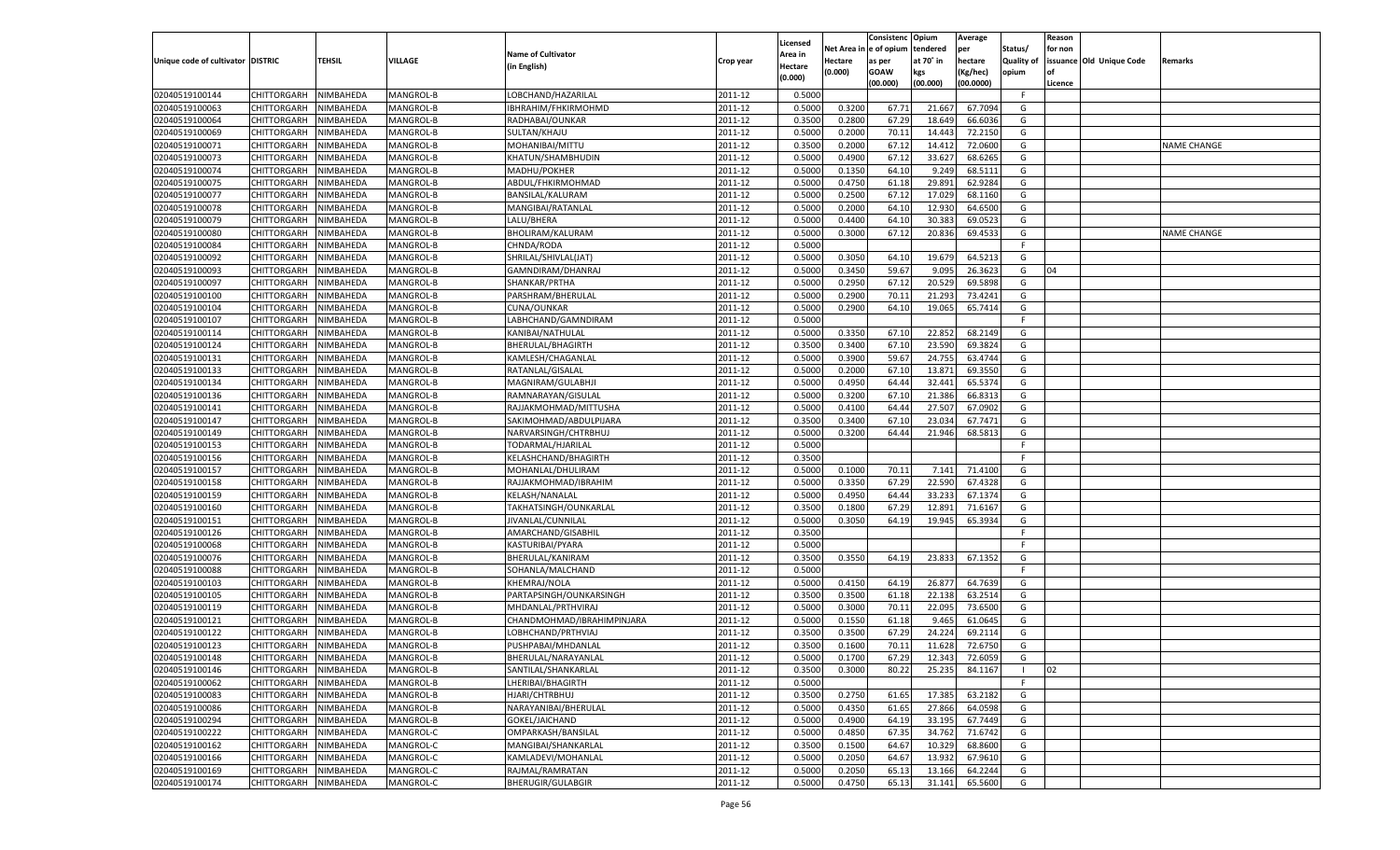|                                   |                       |               |           |                            |           |                           |          | Consistenc  | Opium     | Average   |                   | Reason  |                          |                    |
|-----------------------------------|-----------------------|---------------|-----------|----------------------------|-----------|---------------------------|----------|-------------|-----------|-----------|-------------------|---------|--------------------------|--------------------|
|                                   |                       |               |           | <b>Name of Cultivator</b>  |           | Licensed                  | Net Area | e of opium  | tendered  | per       | Status/           | for non |                          |                    |
| Unique code of cultivator DISTRIC |                       | <b>TEHSIL</b> | VILLAGE   | (in English)               | Crop year | <b>Area in</b><br>Hectare | Hectare  | as per      | at 70° in | hectare   | <b>Quality of</b> |         | issuance Old Unique Code | Remarks            |
|                                   |                       |               |           |                            |           | (0.000)                   | (0.000)  | <b>GOAW</b> | kgs       | (Kg/hec)  | opium             |         |                          |                    |
|                                   |                       |               |           |                            |           |                           |          | (00.000)    | (00.000)  | (00.0000) |                   | Licence |                          |                    |
| 02040519100144                    | CHITTORGARH           | NIMBAHEDA     | MANGROL-B | LOBCHAND/HAZARILAL         | 2011-12   | 0.5000                    |          |             |           |           | -F                |         |                          |                    |
| 02040519100063                    | CHITTORGARH           | NIMBAHEDA     | MANGROL-B | IBHRAHIM/FHKIRMOHMD        | 2011-12   | 0.5000                    | 0.3200   | 67.7        | 21.667    | 67.709    | G                 |         |                          |                    |
| 02040519100064                    | CHITTORGARH           | NIMBAHEDA     | MANGROL-B | RADHABAI/OUNKAR            | 2011-12   | 0.3500                    | 0.2800   | 67.29       | 18.649    | 66.6036   | G                 |         |                          |                    |
| 02040519100069                    | CHITTORGARH           | NIMBAHEDA     | MANGROL-B | SULTAN/KHAJU               | 2011-12   | 0.5000                    | 0.2000   | 70.11       | 14.443    | 72.2150   | G                 |         |                          |                    |
| 02040519100071                    | CHITTORGARH           | NIMBAHEDA     | MANGROL-B | MOHANIBAI/MITTU            | 2011-12   | 0.3500                    | 0.2000   | 67.12       | 14.412    | 72.0600   | G                 |         |                          | <b>NAME CHANGE</b> |
| 02040519100073                    | CHITTORGARH           | NIMBAHEDA     | MANGROL-B | KHATUN/SHAMBHUDIN          | 2011-12   | 0.5000                    | 0.4900   | 67.1        | 33.627    | 68.6265   | G                 |         |                          |                    |
| 02040519100074                    | CHITTORGARH           | NIMBAHEDA     | MANGROL-B | MADHU/POKHER               | 2011-12   | 0.5000                    | 0.1350   | 64.10       | 9.249     | 68.5111   | G                 |         |                          |                    |
| 02040519100075                    | CHITTORGARH           | NIMBAHEDA     | MANGROL-B | ABDUL/FHKIRMOHMAD          | 2011-12   | 0.5000                    | 0.4750   | 61.18       | 29.891    | 62.9284   | G                 |         |                          |                    |
| 02040519100077                    | CHITTORGARH           | NIMBAHEDA     | MANGROL-B | BANSILAL/KALURAM           | 2011-12   | 0.5000                    | 0.2500   | 67.12       | 17.029    | 68.1160   | G                 |         |                          |                    |
| 02040519100078                    | CHITTORGARH           | NIMBAHEDA     | MANGROL-B | MANGIBAI/RATANLAL          | 2011-12   | 0.5000                    | 0.2000   | 64.10       | 12.930    | 64.6500   | G                 |         |                          |                    |
| 02040519100079                    | CHITTORGARH           | NIMBAHEDA     | MANGROL-B | LALU/BHERA                 | 2011-12   | 0.5000                    | 0.4400   | 64.10       | 30.383    | 69.052    | G                 |         |                          |                    |
| 02040519100080                    | CHITTORGARH           | NIMBAHEDA     | MANGROL-B | BHOLIRAM/KALURAM           | 2011-12   | 0.5000                    | 0.3000   | 67.12       | 20.836    | 69.4533   | G                 |         |                          | <b>NAME CHANGE</b> |
| 02040519100084                    | CHITTORGARH           | NIMBAHEDA     | MANGROL-B | CHNDA/RODA                 | 2011-12   | 0.5000                    |          |             |           |           | F.                |         |                          |                    |
| 02040519100092                    | CHITTORGARH           | NIMBAHEDA     | MANGROL-B | SHRILAL/SHIVLAL(JAT)       | 2011-12   | 0.5000                    | 0.3050   | 64.10       | 19.679    | 64.5213   | G                 |         |                          |                    |
| 02040519100093                    | CHITTORGARH           | NIMBAHEDA     | MANGROL-B | GAMNDIRAM/DHANRAJ          | 2011-12   | 0.5000                    | 0.3450   | 59.67       | 9.095     | 26.3623   | G                 | 04      |                          |                    |
| 02040519100097                    | CHITTORGARH           | NIMBAHEDA     | MANGROL-B | SHANKAR/PRTHA              | 2011-12   | 0.5000                    | 0.2950   | 67.12       | 20.529    | 69.5898   | G                 |         |                          |                    |
| 02040519100100                    | CHITTORGARH           | NIMBAHEDA     | MANGROL-B | PARSHRAM/BHERULAL          | 2011-12   | 0.5000                    | 0.2900   | 70.11       | 21.293    | 73.4241   | G                 |         |                          |                    |
| 02040519100104                    | CHITTORGARH           | NIMBAHEDA     | MANGROL-B | CUNA/OUNKAR                | 2011-12   | 0.5000                    | 0.2900   | 64.10       | 19.065    | 65.7414   | G                 |         |                          |                    |
| 02040519100107                    |                       |               | MANGROL-B |                            | 2011-12   | 0.5000                    |          |             |           |           | F                 |         |                          |                    |
|                                   | CHITTORGARH           | NIMBAHEDA     |           | LABHCHAND/GAMNDIRAM        |           |                           |          |             |           |           |                   |         |                          |                    |
| 02040519100114                    | CHITTORGARH           | NIMBAHEDA     | MANGROL-B | KANIBAI/NATHULAL           | 2011-12   | 0.5000                    | 0.3350   | 67.10       | 22.852    | 68.2149   | G                 |         |                          |                    |
| 02040519100124                    | CHITTORGARH           | NIMBAHEDA     | MANGROL-B | BHERULAL/BHAGIRTH          | 2011-12   | 0.3500                    | 0.3400   | 67.10       | 23.590    | 69.3824   | G                 |         |                          |                    |
| 02040519100131                    | CHITTORGARH           | NIMBAHEDA     | MANGROL-B | KAMLESH/CHAGANLAL          | 2011-12   | 0.5000                    | 0.3900   | 59.67       | 24.755    | 63.4744   | G                 |         |                          |                    |
| 02040519100133                    | CHITTORGARH           | NIMBAHEDA     | MANGROL-B | RATANLAL/GISALAL           | 2011-12   | 0.5000                    | 0.2000   | 67.10       | 13.871    | 69.3550   | G                 |         |                          |                    |
| 02040519100134                    | CHITTORGARH           | NIMBAHEDA     | MANGROL-B | MAGNIRAM/GULABHJI          | 2011-12   | 0.5000                    | 0.4950   | 64.44       | 32.441    | 65.5374   | G                 |         |                          |                    |
| 02040519100136                    | CHITTORGARH           | NIMBAHEDA     | MANGROL-B | RAMNARAYAN/GISULAL         | 2011-12   | 0.5000                    | 0.3200   | 67.10       | 21.386    | 66.8313   | G                 |         |                          |                    |
| 02040519100141                    | CHITTORGARH           | NIMBAHEDA     | MANGROL-B | RAJJAKMOHMAD/MITTUSHA      | 2011-12   | 0.5000                    | 0.4100   | 64.4        | 27.507    | 67.0902   | G                 |         |                          |                    |
| 02040519100147                    | CHITTORGARH           | NIMBAHEDA     | MANGROL-B | SAKIMOHMAD/ABDULPIJARA     | 2011-12   | 0.3500                    | 0.3400   | 67.10       | 23.034    | 67.7471   | G                 |         |                          |                    |
| 02040519100149                    | CHITTORGARH           | NIMBAHEDA     | MANGROL-B | NARVARSINGH/CHTRBHUJ       | 2011-12   | 0.5000                    | 0.3200   | 64.44       | 21.946    | 68.5813   | G                 |         |                          |                    |
| 02040519100153                    | CHITTORGARH           | NIMBAHEDA     | MANGROL-B | TODARMAL/HJARILAL          | 2011-12   | 0.5000                    |          |             |           |           | F                 |         |                          |                    |
| 02040519100156                    | CHITTORGARH           | NIMBAHEDA     | MANGROL-B | KELASHCHAND/BHAGIRTH       | 2011-12   | 0.3500                    |          |             |           |           | F.                |         |                          |                    |
| 02040519100157                    | CHITTORGARH           | NIMBAHEDA     | MANGROL-B | MOHANLAL/DHULIRAM          | 2011-12   | 0.5000                    | 0.1000   | 70.11       | 7.141     | 71.4100   | G                 |         |                          |                    |
| 02040519100158                    | CHITTORGARH           | NIMBAHEDA     | MANGROL-B | RAJJAKMOHMAD/IBRAHIM       | 2011-12   | 0.5000                    | 0.3350   | 67.29       | 22.590    | 67.4328   | G                 |         |                          |                    |
| 02040519100159                    | <b>CHITTORGARH</b>    | NIMBAHEDA     | MANGROL-B | KELASH/NANALAL             | 2011-12   | 0.5000                    | 0.4950   | 64.44       | 33.233    | 67.1374   | G                 |         |                          |                    |
| 02040519100160                    | CHITTORGARH           | NIMBAHEDA     | MANGROL-B | TAKHATSINGH/OUNKARLAL      | 2011-12   | 0.3500                    | 0.1800   | 67.29       | 12.891    | 71.6167   | G                 |         |                          |                    |
| 02040519100151                    | <b>CHITTORGARH</b>    | NIMBAHEDA     | MANGROL-B | JIVANLAL/CUNNILAL          | 2011-12   | 0.5000                    | 0.3050   | 64.19       | 19.945    | 65.3934   | G                 |         |                          |                    |
| 02040519100126                    | CHITTORGARH           | NIMBAHEDA     | MANGROL-B | AMARCHAND/GISABHIL         | 2011-12   | 0.3500                    |          |             |           |           | F                 |         |                          |                    |
| 02040519100068                    | CHITTORGARH           | NIMBAHEDA     | MANGROL-B | KASTURIBAI/PYARA           | 2011-12   | 0.5000                    |          |             |           |           | F.                |         |                          |                    |
| 02040519100076                    | CHITTORGARH           | NIMBAHEDA     | MANGROL-B | BHERULAL/KANIRAM           | 2011-12   | 0.3500                    | 0.3550   | 64.19       | 23.833    | 67.1352   | G                 |         |                          |                    |
| 02040519100088                    | <b>CHITTORGARH</b>    | NIMBAHEDA     | MANGROL-B | SOHANLA/MALCHAND           | 2011-12   | 0.5000                    |          |             |           |           | F.                |         |                          |                    |
| 02040519100103                    | CHITTORGARH           | NIMBAHEDA     | MANGROL-B | KHEMRAJ/NOLA               | 2011-12   | 0.5000                    | 0.4150   | 64.19       | 26.877    | 64.7639   | G                 |         |                          |                    |
| 02040519100105                    | <b>CHITTORGARH</b>    | NIMBAHEDA     | MANGROL-B | PARTAPSINGH/OUNKARSINGH    | 2011-12   | 0.3500                    | 0.3500   | 61.18       | 22.138    | 63.2514   | G                 |         |                          |                    |
| 02040519100119                    | CHITTORGARH           | NIMBAHEDA     | MANGROL-B | MHDANLAL/PRTHVIRAJ         | 2011-12   | 0.5000                    | 0.3000   | 70.11       | 22.095    | 73.6500   | G                 |         |                          |                    |
| 02040519100121                    | CHITTORGARH           | NIMBAHEDA     | MANGROL-B | CHANDMOHMAD/IBRAHIMPINJARA | 2011-12   | 0.5000                    | 0.1550   | 61.18       | 9.465     | 61.0645   | G                 |         |                          |                    |
| 02040519100122                    | CHITTORGARH           | NIMBAHEDA     | MANGROL-B | LOBHCHAND/PRTHVIAJ         | 2011-12   | 0.3500                    | 0.3500   | 67.29       | 24.224    | 69.2114   | G                 |         |                          |                    |
| 02040519100123                    | CHITTORGARH           | NIMBAHEDA     | MANGROL-B | PUSHPABAI/MHDANLAL         | 2011-12   | 0.3500                    | 0.1600   | 70.11       | 11.628    | 72.6750   | G                 |         |                          |                    |
| 02040519100148                    | CHITTORGARH NIMBAHEDA |               | MANGROL-B | BHERULAL/NARAYANLAL        | 2011-12   | 0.5000                    | 0.1700   | 67.29       | 12.343    | 72.6059   | G                 |         |                          |                    |
| 02040519100146                    | <b>CHITTORGARH</b>    | NIMBAHEDA     | MANGROL-B | SANTILAL/SHANKARLAL        | 2011-12   | 0.3500                    | 0.3000   | 80.22       | 25.235    | 84.1167   | - 1               | 02      |                          |                    |
| 02040519100062                    | <b>CHITTORGARH</b>    | NIMBAHEDA     | MANGROL-B | LHERIBAI/BHAGIRTH          | 2011-12   | 0.5000                    |          |             |           |           | F.                |         |                          |                    |
|                                   |                       |               |           |                            |           |                           |          |             |           | 63.2182   |                   |         |                          |                    |
| 02040519100083                    | <b>CHITTORGARH</b>    | NIMBAHEDA     | MANGROL-B | HJARI/CHTRBHUJ             | 2011-12   | 0.3500                    | 0.2750   | 61.65       | 17.385    |           | G                 |         |                          |                    |
| 02040519100086                    | <b>CHITTORGARH</b>    | NIMBAHEDA     | MANGROL-B | NARAYANIBAI/BHERULAL       | 2011-12   | 0.5000                    | 0.4350   | 61.65       | 27.866    | 64.0598   | G                 |         |                          |                    |
| 02040519100294                    | <b>CHITTORGARH</b>    | NIMBAHEDA     | MANGROL-B | GOKEL/JAICHAND             | 2011-12   | 0.5000                    | 0.4900   | 64.19       | 33.195    | 67.7449   | G                 |         |                          |                    |
| 02040519100222                    | <b>CHITTORGARH</b>    | NIMBAHEDA     | MANGROL-C | OMPARKASH/BANSILAL         | 2011-12   | 0.5000                    | 0.4850   | 67.35       | 34.762    | 71.6742   | G                 |         |                          |                    |
| 02040519100162                    | <b>CHITTORGARH</b>    | NIMBAHEDA     | MANGROL-C | MANGIBAI/SHANKARLAL        | 2011-12   | 0.3500                    | 0.1500   | 64.67       | 10.329    | 68.8600   | G                 |         |                          |                    |
| 02040519100166                    | <b>CHITTORGARH</b>    | NIMBAHEDA     | MANGROL-C | KAMLADEVI/MOHANLAL         | 2011-12   | 0.5000                    | 0.2050   | 64.67       | 13.932    | 67.9610   | G                 |         |                          |                    |
| 02040519100169                    | <b>CHITTORGARH</b>    | NIMBAHEDA     | MANGROL-C | RAJMAL/RAMRATAN            | 2011-12   | 0.5000                    | 0.2050   | 65.13       | 13.166    | 64.2244   | G                 |         |                          |                    |
| 02040519100174                    | <b>CHITTORGARH</b>    | NIMBAHEDA     | MANGROL-C | BHERUGIR/GULABGIR          | 2011-12   | 0.5000                    | 0.4750   | 65.13       | 31.141    | 65.5600   | G                 |         |                          |                    |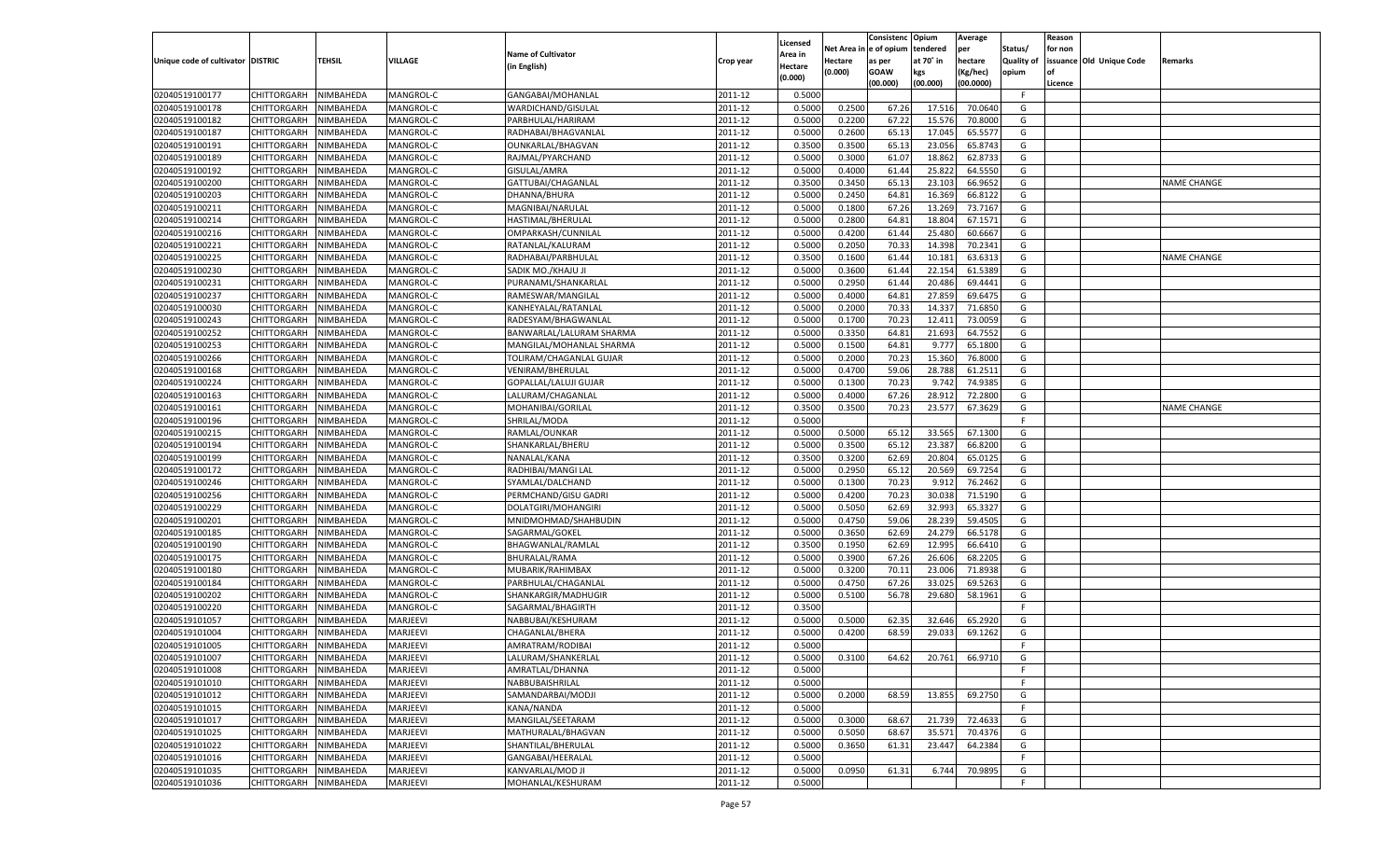|                                   |                       |           |                      |                                      |           |                     |            | Consistenc   | Opium     | Average   |                   | Reason  |                          |             |
|-----------------------------------|-----------------------|-----------|----------------------|--------------------------------------|-----------|---------------------|------------|--------------|-----------|-----------|-------------------|---------|--------------------------|-------------|
|                                   |                       |           |                      | <b>Name of Cultivator</b>            |           | Licensed<br>Area in | Net Area i | n e of opium | tendered  | per       | Status/           | for non |                          |             |
| Unique code of cultivator DISTRIC |                       | TEHSIL    | <b>VILLAGE</b>       | (in English)                         | Crop year | Hectare             | Hectare    | as per       | at 70° in | hectare   | <b>Quality of</b> |         | issuance Old Unique Code | Remarks     |
|                                   |                       |           |                      |                                      |           | (0.000)             | (0.000)    | <b>GOAW</b>  | kgs       | (Kg/hec)  | opium             |         |                          |             |
|                                   |                       |           |                      |                                      |           |                     |            | (00.000)     | (00.000)  | (00.0000) |                   | Licence |                          |             |
| 02040519100177                    | CHITTORGARH           | NIMBAHEDA | MANGROL-C            | GANGABAI/MOHANLAL                    | 2011-12   | 0.5000              |            |              |           |           | F                 |         |                          |             |
| 02040519100178                    | CHITTORGARH           | NIMBAHEDA | MANGROL-C            | WARDICHAND/GISULAL                   | 2011-12   | 0.5000              | 0.2500     | 67.26        | 17.516    | 70.0640   | G                 |         |                          |             |
| 02040519100182                    | CHITTORGARH           | NIMBAHEDA | MANGROL-C            | PARBHULAL/HARIRAM                    | 2011-12   | 0.5000              | 0.2200     | 67.22        | 15.576    | 70.8000   | G                 |         |                          |             |
| 02040519100187                    | CHITTORGARH           | NIMBAHEDA | MANGROL-C            | RADHABAI/BHAGVANLAL                  | 2011-12   | 0.5000              | 0.2600     | 65.13        | 17.045    | 65.5577   | G                 |         |                          |             |
| 02040519100191                    | CHITTORGARH           | NIMBAHEDA | MANGROL-C            | OUNKARLAL/BHAGVAN                    | 2011-12   | 0.3500              | 0.3500     | 65.13        | 23.056    | 65.8743   | G                 |         |                          |             |
| 02040519100189                    | CHITTORGARH           | NIMBAHEDA | MANGROL-C            | RAJMAL/PYARCHAND                     | 2011-12   | 0.5000              | 0.3000     | 61.07        | 18.862    | 62.8733   | G                 |         |                          |             |
| 02040519100192                    | CHITTORGARH           | NIMBAHEDA | MANGROL-C            | GISULAL/AMRA                         | 2011-12   | 0.5000              | 0.4000     | 61.44        | 25.822    | 64.5550   | G                 |         |                          |             |
| 02040519100200                    | CHITTORGARH           | NIMBAHEDA | MANGROL-C            | GATTUBAI/CHAGANLAL                   | 2011-12   | 0.3500              | 0.3450     | 65.13        | 23.103    | 66.9652   | G                 |         |                          | NAME CHANGE |
| 02040519100203                    | CHITTORGARH           | NIMBAHEDA | MANGROL-C            | DHANNA/BHURA                         | 2011-12   | 0.5000              | 0.2450     | 64.81        | 16.369    | 66.8122   | G                 |         |                          |             |
| 02040519100211                    | CHITTORGARH           | NIMBAHEDA | MANGROL-C            | MAGNIBAI/NARULAI                     | 2011-12   | 0.5000              | 0.1800     | 67.26        | 13.269    | 73.7167   | G                 |         |                          |             |
| 02040519100214                    | CHITTORGARH           | NIMBAHEDA | MANGROL-C            | HASTIMAL/BHERULAL                    | 2011-12   | 0.5000              | 0.2800     | 64.81        | 18.804    | 67.1571   | G                 |         |                          |             |
| 02040519100216                    | CHITTORGARH           | NIMBAHEDA | MANGROL-C            | OMPARKASH/CUNNILAL                   | 2011-12   | 0.5000              | 0.4200     | 61.44        | 25.480    | 60.6667   | G                 |         |                          |             |
| 02040519100221                    | CHITTORGARH           | NIMBAHEDA | MANGROL-C            | RATANLAL/KALURAM                     | 2011-12   | 0.5000              | 0.2050     | 70.33        | 14.398    | 70.2341   | G                 |         |                          |             |
| 02040519100225                    | CHITTORGARH           | NIMBAHEDA | MANGROL-C            | RADHABAI/PARBHULAL                   | 2011-12   | 0.3500              | 0.1600     | 61.44        | 10.181    | 63.6313   | G                 |         |                          | NAME CHANGE |
| 02040519100230                    | CHITTORGARH           | NIMBAHEDA | MANGROL-C            | SADIK MO./KHAJU JI                   | 2011-12   | 0.5000              | 0.3600     | 61.44        | 22.154    | 61.5389   | G                 |         |                          |             |
| 02040519100231                    | CHITTORGARH           | NIMBAHEDA | MANGROL-C            | PURANAML/SHANKARLAL                  | 2011-12   | 0.5000              | 0.2950     | 61.44        | 20.486    | 69.4441   | G                 |         |                          |             |
| 02040519100237                    | CHITTORGARH           | NIMBAHEDA | MANGROL-C            | RAMESWAR/MANGILAL                    | 2011-12   | 0.5000              | 0.4000     | 64.81        | 27.859    | 69.6475   | G                 |         |                          |             |
| 02040519100030                    | CHITTORGARH           | NIMBAHEDA | MANGROL-C            | KANHEYALAL/RATANLAL                  | 2011-12   | 0.5000              | 0.2000     | 70.33        | 14.337    | 71.6850   | G                 |         |                          |             |
| 02040519100243                    | CHITTORGARH           | NIMBAHEDA | MANGROL-C            | RADESYAM/BHAGWANLAI                  | 2011-12   | 0.5000              | 0.1700     | 70.23        | 12.411    | 73.0059   | G                 |         |                          |             |
| 02040519100252                    | CHITTORGARH           | NIMBAHEDA | MANGROL-C            | BANWARLAL/LALURAM SHARMA             | 2011-12   | 0.5000              | 0.3350     | 64.81        | 21.693    | 64.7552   | G                 |         |                          |             |
| 02040519100253                    | CHITTORGARH           | NIMBAHEDA | MANGROL-C            | MANGILAL/MOHANLAL SHARMA             | 2011-12   | 0.5000              | 0.1500     | 64.81        | 9.777     | 65.1800   | G                 |         |                          |             |
| 02040519100266                    | CHITTORGARH           | NIMBAHEDA | MANGROL-C            | TOLIRAM/CHAGANLAL GUJAR              | 2011-12   | 0.5000              | 0.2000     | 70.23        | 15.360    | 76.8000   | G                 |         |                          |             |
| 02040519100168                    | CHITTORGARH           | NIMBAHEDA | MANGROL-C            | VENIRAM/BHERULAL                     | 2011-12   | 0.5000              | 0.4700     | 59.06        | 28.788    | 61.2511   | G                 |         |                          |             |
| 02040519100224                    | CHITTORGARH           | NIMBAHEDA | MANGROL-C            | GOPALLAL/LALUJI GUJAR                | 2011-12   | 0.5000              | 0.1300     | 70.23        | 9.742     | 74.9385   | G                 |         |                          |             |
| 02040519100163                    | CHITTORGARH           | NIMBAHEDA | MANGROL-C            | LALURAM/CHAGANLAL                    | 2011-12   | 0.5000              | 0.4000     | 67.26        | 28.912    | 72.2800   | G                 |         |                          |             |
| 02040519100161                    | CHITTORGARH           | NIMBAHEDA | MANGROL-C            | MOHANIBAI/GORILAL                    | 2011-12   | 0.3500              | 0.3500     | 70.23        | 23.577    | 67.3629   | G                 |         |                          | NAME CHANGE |
| 02040519100196                    | CHITTORGARH           | NIMBAHEDA | MANGROL-C            | SHRILAL/MODA                         | 2011-12   | 0.5000              |            |              |           |           | F.                |         |                          |             |
| 02040519100215                    | CHITTORGARH           | NIMBAHEDA | MANGROL-C            | RAMLAL/OUNKAR                        | 2011-12   | 0.5000              | 0.5000     | 65.12        | 33.565    | 67.1300   | G                 |         |                          |             |
| 02040519100194                    | CHITTORGARH           | NIMBAHEDA | MANGROL-C            | SHANKARLAL/BHERU                     | 2011-12   | 0.5000              | 0.3500     | 65.12        | 23.387    | 66.8200   | G                 |         |                          |             |
| 02040519100199                    | CHITTORGARH           | NIMBAHEDA | MANGROL-C            | NANALAL/KANA                         | 2011-12   | 0.3500              | 0.3200     | 62.69        | 20.804    | 65.0125   | G                 |         |                          |             |
| 02040519100172                    | CHITTORGARH           | NIMBAHEDA | MANGROL-C            | RADHIBAI/MANGI LAL                   | 2011-12   | 0.5000              | 0.2950     | 65.12        | 20.569    | 69.7254   | G                 |         |                          |             |
| 02040519100246                    | CHITTORGARH           | NIMBAHEDA | MANGROL-C            | SYAMLAL/DALCHAND                     | 2011-12   | 0.5000              | 0.1300     | 70.23        | 9.912     | 76.2462   | G                 |         |                          |             |
| 02040519100256                    | CHITTORGARH           | NIMBAHEDA | MANGROL-C            | PERMCHAND/GISU GADRI                 | 2011-12   | 0.5000              | 0.4200     | 70.23        | 30.038    | 71.5190   | G                 |         |                          |             |
| 02040519100229                    | CHITTORGARH           | NIMBAHEDA | MANGROL-C            | DOLATGIRI/MOHANGIRI                  | 2011-12   | 0.5000              | 0.5050     | 62.69        | 32.993    | 65.3327   | G                 |         |                          |             |
| 02040519100201                    | CHITTORGARH           | NIMBAHEDA | MANGROL-C            | MNIDMOHMAD/SHAHBUDIN                 | 2011-12   | 0.5000              | 0.4750     | 59.06        | 28.239    | 59.4505   | G                 |         |                          |             |
| 02040519100185                    | CHITTORGARH           | NIMBAHEDA | MANGROL-C            | SAGARMAL/GOKEL                       | 2011-12   | 0.5000              | 0.3650     | 62.69        | 24.279    | 66.5178   | G                 |         |                          |             |
| 02040519100190                    | CHITTORGARH           | NIMBAHEDA | MANGROL-C            | BHAGWANLAL/RAMLAL                    | 2011-12   | 0.3500              | 0.1950     | 62.69        | 12.995    | 66.6410   | G                 |         |                          |             |
| 02040519100175                    | CHITTORGARH           | NIMBAHEDA | MANGROL-C            | BHURALAL/RAMA                        | 2011-12   | 0.5000              | 0.3900     | 67.26        | 26.606    | 68.2205   | G                 |         |                          |             |
| 02040519100180                    | CHITTORGARH           | NIMBAHEDA | MANGROL-C            | MUBARIK/RAHIMBAX                     | 2011-12   | 0.5000              | 0.3200     | 70.11        | 23.006    | 71.8938   | G                 |         |                          |             |
| 02040519100184                    | CHITTORGARH           | NIMBAHEDA | MANGROL-C            | PARBHULAL/CHAGANLAL                  | 2011-12   | 0.5000              | 0.4750     | 67.26        | 33.025    | 69.5263   | G                 |         |                          |             |
| 02040519100202                    | CHITTORGARH           | NIMBAHEDA | MANGROL-C            | SHANKARGIR/MADHUGIR                  | 2011-12   | 0.5000              | 0.5100     | 56.78        | 29.680    | 58.1961   | G                 |         |                          |             |
| 02040519100220                    | CHITTORGARH           | NIMBAHEDA | MANGROL-C            | SAGARMAL/BHAGIRTH                    | 2011-12   | 0.3500              |            |              |           |           | F                 |         |                          |             |
| 02040519101057                    | CHITTORGARH           | NIMBAHEDA | MARJEEVI             | NABBUBAI/KESHURAM                    | 2011-12   | 0.5000              | 0.5000     | 62.3         | 32.646    | 65.2920   | G                 |         |                          |             |
| 02040519101004                    | CHITTORGARH           | NIMBAHEDA | MARJEEVI             | CHAGANLAL/BHERA                      | 2011-12   | 0.5000              | 0.4200     | 68.59        | 29.033    | 69.1262   | G                 |         |                          |             |
| 02040519101005                    | CHITTORGARH           | NIMBAHEDA | MARJEEVI             | AMRATRAM/RODIBAI                     | 2011-12   | 0.5000              |            |              |           |           | F.                |         |                          |             |
|                                   | CHITTORGARH NIMBAHEDA |           | MARJEEVI             | LALURAM/SHANKERLAL                   | 2011-12   | 0.5000              | 0.3100     | 64.62        | 20.761    |           | G                 |         |                          |             |
| 02040519101007<br>02040519101008  |                       | NIMBAHEDA | MARJEEVI             | AMRATLAL/DHANNA                      | 2011-12   | 0.5000              |            |              |           | 66.9710   | -F                |         |                          |             |
|                                   | <b>CHITTORGARH</b>    |           |                      |                                      |           |                     |            |              |           |           |                   |         |                          |             |
| 02040519101010                    | CHITTORGARH           | NIMBAHEDA | MARJEEVI<br>MARJEEVI | NABBUBAISHRILAL<br>SAMANDARBAI/MODJI | 2011-12   | 0.5000              | 0.2000     | 68.59        |           |           | F.                |         |                          |             |
| 02040519101012                    | CHITTORGARH           | NIMBAHEDA |                      |                                      | 2011-12   | 0.5000              |            |              | 13.855    | 69.2750   | G                 |         |                          |             |
| 02040519101015                    | CHITTORGARH           | NIMBAHEDA | MARJEEVI             | KANA/NANDA                           | 2011-12   | 0.5000              |            |              |           |           | F.                |         |                          |             |
| 02040519101017                    | CHITTORGARH           | NIMBAHEDA | MARJEEVI             | MANGILAL/SEETARAM                    | 2011-12   | 0.5000              | 0.3000     | 68.67        | 21.739    | 72.4633   | G                 |         |                          |             |
| 02040519101025                    | CHITTORGARH           | NIMBAHEDA | MARJEEVI             | MATHURALAL/BHAGVAN                   | 2011-12   | 0.5000              | 0.5050     | 68.67        | 35.571    | 70.4376   | G                 |         |                          |             |
| 02040519101022                    | CHITTORGARH           | NIMBAHEDA | MARJEEVI             | SHANTILAL/BHERULAL                   | 2011-12   | 0.5000              | 0.3650     | 61.31        | 23.447    | 64.2384   | G                 |         |                          |             |
| 02040519101016                    | CHITTORGARH           | NIMBAHEDA | MARJEEVI             | GANGABAI/HEERALAL                    | 2011-12   | 0.5000              |            |              |           |           | F.                |         |                          |             |
| 02040519101035                    | CHITTORGARH           | NIMBAHEDA | MARJEEVI             | KANVARLAL/MOD JI                     | 2011-12   | 0.5000              | 0.0950     | 61.31        | 6.744     | 70.9895   | G                 |         |                          |             |
| 02040519101036                    | <b>CHITTORGARH</b>    | NIMBAHEDA | MARJEEVI             | MOHANLAL/KESHURAM                    | 2011-12   | 0.5000              |            |              |           |           | F.                |         |                          |             |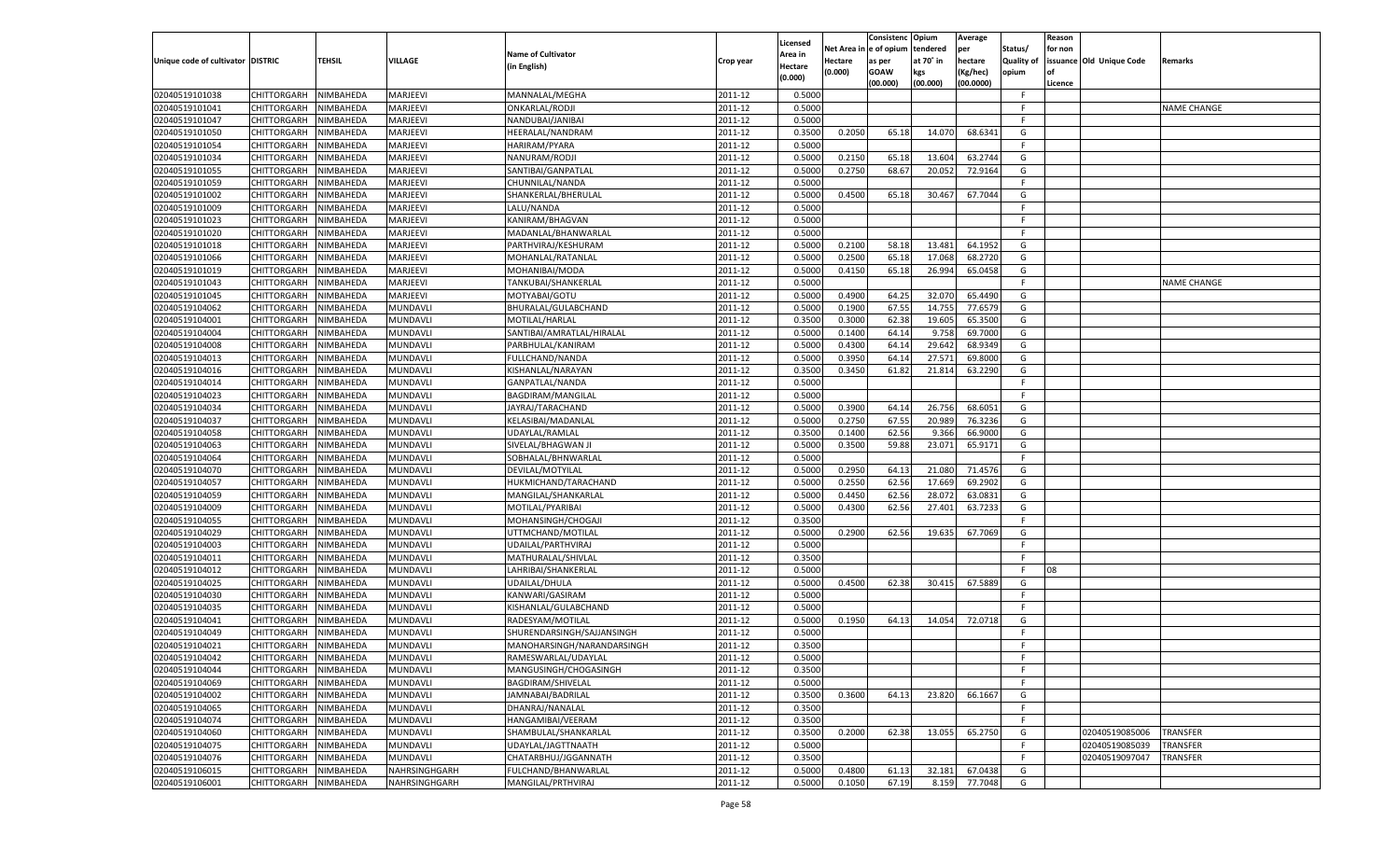|                                   |                            |           |                      |                            |                    |                    |            | Consistenc   | Opium     | Average   |            | Reason  |                          |                    |
|-----------------------------------|----------------------------|-----------|----------------------|----------------------------|--------------------|--------------------|------------|--------------|-----------|-----------|------------|---------|--------------------------|--------------------|
|                                   |                            |           |                      |                            |                    | Licensed           | Net Area i | n e of opium | tendered  | per       | Status/    | for non |                          |                    |
| Unique code of cultivator DISTRIC |                            | TEHSIL    | <b>VILLAGE</b>       | <b>Name of Cultivator</b>  | Crop year          | Area in            | Hectare    | as per       | at 70° in | hectare   | Quality of |         | issuance Old Unique Code | Remarks            |
|                                   |                            |           |                      | (in English)               |                    | Hectare<br>(0.000) | (0.000)    | <b>GOAW</b>  | kgs       | (Kg/hec)  | opium      |         |                          |                    |
|                                   |                            |           |                      |                            |                    |                    |            | (00.000)     | (00.000)  | (00.0000) |            | Licence |                          |                    |
| 02040519101038                    | CHITTORGARH                | NIMBAHEDA | MARJEEVI             | MANNALAL/MEGHA             | 2011-12            | 0.5000             |            |              |           |           | F.         |         |                          |                    |
| 02040519101041                    | CHITTORGARH                | NIMBAHEDA | MARJEEVI             | ONKARLAL/RODJI             | 2011-12            | 0.5000             |            |              |           |           | E          |         |                          | NAME CHANGE        |
| 02040519101047                    | CHITTORGARH                | NIMBAHEDA | MARJEEVI             | NANDUBAI/JANIBAI           | 2011-12            | 0.5000             |            |              |           |           | F.         |         |                          |                    |
| 02040519101050                    | CHITTORGARH                | NIMBAHEDA | MARJEEVI             | HEERALAL/NANDRAM           | 2011-12            | 0.3500             | 0.2050     | 65.18        | 14.070    | 68.6341   | G          |         |                          |                    |
| 02040519101054                    | CHITTORGARH                | NIMBAHEDA | MARJEEVI             | HARIRAM/PYARA              | 2011-12            | 0.5000             |            |              |           |           | F.         |         |                          |                    |
| 02040519101034                    | CHITTORGARH                | NIMBAHEDA | MARJEEVI             | NANURAM/RODJI              | 2011-12            | 0.5000             | 0.2150     | 65.18        | 13.604    | 63.2744   | G          |         |                          |                    |
| 02040519101055                    | CHITTORGARH                | NIMBAHEDA | MARJEEVI             | SANTIBAI/GANPATLAL         | 2011-12            | 0.5000             | 0.2750     | 68.67        | 20.052    | 72.9164   | G          |         |                          |                    |
| 02040519101059                    | CHITTORGARH                | NIMBAHEDA | MARJEEVI             | CHUNNILAL/NANDA            | 2011-12            | 0.5000             |            |              |           |           | E          |         |                          |                    |
| 02040519101002                    | CHITTORGARH                | NIMBAHEDA | MARJEEVI             | SHANKERLAL/BHERULAL        | 2011-12            | 0.5000             | 0.4500     | 65.18        | 30.467    | 67.7044   | G          |         |                          |                    |
| 02040519101009                    | CHITTORGARH                | NIMBAHEDA | MARJEEVI             | LALU/NANDA                 | 2011-12            | 0.5000             |            |              |           |           | -F         |         |                          |                    |
| 02040519101023                    | CHITTORGARH                | NIMBAHEDA | MARJEEVI             | KANIRAM/BHAGVAN            | 2011-12            | 0.5000             |            |              |           |           | F.         |         |                          |                    |
| 02040519101020                    | CHITTORGARH                | NIMBAHEDA | MARJEEVI             | MADANLAL/BHANWARLAL        | 2011-12            | 0.5000             |            |              |           |           | E          |         |                          |                    |
| 02040519101018                    | CHITTORGARH                | NIMBAHEDA | MARJEEVI             | PARTHVIRAJ/KESHURAM        | 2011-12            | 0.5000             | 0.2100     | 58.18        | 13.481    | 64.1952   | G          |         |                          |                    |
| 02040519101066                    | CHITTORGARH                | NIMBAHEDA | MARJEEVI             | MOHANLAL/RATANLAL          | 2011-12            | 0.5000             | 0.2500     | 65.18        | 17.068    | 68.2720   | G          |         |                          |                    |
| 02040519101019                    | CHITTORGARH                | NIMBAHEDA | MARJEEVI             | MOHANIBAI/MODA             | 2011-12            | 0.5000             | 0.4150     | 65.18        | 26.994    | 65.0458   | G          |         |                          |                    |
| 02040519101043                    | CHITTORGARH                | NIMBAHEDA | MARJEEVI             | TANKUBAI/SHANKERLAL        | 2011-12            | 0.5000             |            |              |           |           | F.         |         |                          | <b>NAME CHANGE</b> |
| 02040519101045                    | CHITTORGARH                | NIMBAHEDA | MARJEEVI             | MOTYABAI/GOTU              | 2011-12            | 0.5000             | 0.4900     | 64.25        | 32.070    | 65.4490   | G          |         |                          |                    |
| 02040519104062                    | CHITTORGARH                | NIMBAHEDA | MUNDAVLI             | BHURALAL/GULABCHAND        | 2011-12            | 0.5000             | 0.1900     | 67.55        | 14.755    | 77.6579   | G          |         |                          |                    |
| 02040519104001                    | CHITTORGARH                | NIMBAHEDA | MUNDAVLI             | MOTILAL/HARLAL             | 2011-12            | 0.3500             | 0.3000     | 62.38        | 19.605    | 65.3500   | G          |         |                          |                    |
| 02040519104004                    | CHITTORGARH                | NIMBAHEDA | MUNDAVLI             | SANTIBAI/AMRATLAL/HIRALAL  | 2011-12            | 0.5000             | 0.1400     | 64.14        | 9.758     | 69.7000   | G          |         |                          |                    |
| 02040519104008                    | CHITTORGARH                | NIMBAHEDA | MUNDAVLI             | PARBHULAL/KANIRAM          | 2011-12            | 0.5000             | 0.4300     | 64.14        | 29.642    | 68.9349   | G          |         |                          |                    |
| 02040519104013                    | CHITTORGARH                | NIMBAHEDA | MUNDAVLI             | FULLCHAND/NANDA            | 2011-12            | 0.5000             | 0.3950     | 64.14        | 27.571    | 69.8000   | G          |         |                          |                    |
| 02040519104016                    | CHITTORGARH                | NIMBAHEDA | MUNDAVLI             | KISHANLAL/NARAYAN          | 2011-12            | 0.3500             | 0.3450     | 61.82        |           | 63.2290   | G          |         |                          |                    |
| 02040519104014                    | CHITTORGARH                |           |                      | GANPATLAL/NANDA            | 2011-12            | 0.5000             |            |              | 21.814    |           | F.         |         |                          |                    |
|                                   |                            | NIMBAHEDA | MUNDAVLI<br>MUNDAVLI |                            | 2011-12            | 0.5000             |            |              |           |           | F.         |         |                          |                    |
| 02040519104023                    | CHITTORGARH<br>CHITTORGARH | NIMBAHEDA |                      | BAGDIRAM/MANGILAI          |                    | 0.5000             | 0.3900     | 64.14        | 26.756    | 68.6051   |            |         |                          |                    |
| 02040519104034                    | CHITTORGARH                | NIMBAHEDA | MUNDAVLI<br>MUNDAVLI | JAYRAJ/TARACHAND           | 2011-12<br>2011-12 | 0.5000             | 0.2750     | 67.55        |           | 76.3236   | G          |         |                          |                    |
| 02040519104037                    |                            | NIMBAHEDA |                      | KELASIBAI/MADANLAI         |                    |                    |            |              | 20.989    |           | G          |         |                          |                    |
| 02040519104058                    | CHITTORGARH                | NIMBAHEDA | MUNDAVLI             | UDAYLAL/RAMLAL             | 2011-12            | 0.3500             | 0.1400     | 62.56        | 9.366     | 66.9000   | G          |         |                          |                    |
| 02040519104063                    | CHITTORGARH                | NIMBAHEDA | MUNDAVLI             | SIVELAL/BHAGWAN JI         | 2011-12            | 0.5000             | 0.3500     | 59.88        | 23.071    | 65.9171   | G          |         |                          |                    |
| 02040519104064                    | CHITTORGARH                | NIMBAHEDA | MUNDAVLI             | SOBHALAL/BHNWARLAL         | 2011-12            | 0.5000             |            |              |           |           | F.         |         |                          |                    |
| 02040519104070                    | CHITTORGARH                | NIMBAHEDA | MUNDAVLI             | DEVILAL/MOTYILAL           | 2011-12            | 0.5000             | 0.2950     | 64.13        | 21.080    | 71.4576   | G          |         |                          |                    |
| 02040519104057                    | CHITTORGARH                | NIMBAHEDA | MUNDAVLI             | HUKMICHAND/TARACHAND       | 2011-12            | 0.5000             | 0.2550     | 62.56        | 17.669    | 69.2902   | G          |         |                          |                    |
| 02040519104059                    | CHITTORGARH                | NIMBAHEDA | MUNDAVLI             | MANGILAL/SHANKARLAI        | 2011-12            | 0.5000             | 0.4450     | 62.56        | 28.072    | 63.0831   | G          |         |                          |                    |
| 02040519104009                    | CHITTORGARH                | NIMBAHEDA | MUNDAVLI             | MOTILAL/PYARIBAI           | 2011-12            | 0.5000             | 0.4300     | 62.56        | 27.401    | 63.7233   | G          |         |                          |                    |
| 02040519104055                    | CHITTORGARH                | NIMBAHEDA | MUNDAVLI             | MOHANSINGH/CHOGAJI         | 2011-12            | 0.3500             |            |              |           |           | F.         |         |                          |                    |
| 02040519104029                    | CHITTORGARH                | NIMBAHEDA | MUNDAVLI             | UTTMCHAND/MOTILAL          | 2011-12            | 0.5000             | 0.2900     | 62.56        | 19.635    | 67.7069   | G          |         |                          |                    |
| 02040519104003                    | CHITTORGARH                | NIMBAHEDA | MUNDAVLI             | UDAILAL/PARTHVIRAJ         | 2011-12            | 0.5000             |            |              |           |           | F.         |         |                          |                    |
| 02040519104011                    | CHITTORGARH                | NIMBAHEDA | MUNDAVLI             | MATHURALAL/SHIVLAL         | 2011-12            | 0.3500             |            |              |           |           | E          |         |                          |                    |
| 02040519104012                    | CHITTORGARH                | NIMBAHEDA | MUNDAVLI             | LAHRIBAI/SHANKERLAL        | 2011-12            | 0.5000             |            |              |           |           | E          | 08      |                          |                    |
| 02040519104025                    | CHITTORGARH                | NIMBAHEDA | MUNDAVLI             | UDAILAL/DHULA              | 2011-12            | 0.5000             | 0.4500     | 62.38        | 30.415    | 67.5889   | G          |         |                          |                    |
| 02040519104030                    | CHITTORGARH                | NIMBAHEDA | MUNDAVLI             | KANWARI/GASIRAM            | 2011-12            | 0.5000             |            |              |           |           | F.         |         |                          |                    |
| 02040519104035                    | CHITTORGARH                | NIMBAHEDA | MUNDAVLI             | KISHANLAL/GULABCHAND       | 2011-12            | 0.5000             |            |              |           |           | F          |         |                          |                    |
| 02040519104041                    | CHITTORGARH                | NIMBAHEDA | MUNDAVLI             | RADESYAM/MOTILAL           | 2011-12            | 0.5000             | 0.1950     | 64.13        | 14.054    | 72.0718   | G          |         |                          |                    |
| 02040519104049                    | CHITTORGARH                | NIMBAHEDA | MUNDAVLI             | SHURENDARSINGH/SAJJANSINGH | 2011-12            | 0.5000             |            |              |           |           | F          |         |                          |                    |
| 02040519104021                    | CHITTORGARH                | NIMBAHEDA | MUNDAVLI             | MANOHARSINGH/NARANDARSINGH | 2011-12            | 0.3500             |            |              |           |           | F          |         |                          |                    |
| 02040519104042                    | CHITTORGARH NIMBAHEDA      |           | <b>MUNDAVLI</b>      | RAMESWARLAL/UDAYLAL        | 2011-12            | 0.5000             |            |              |           |           | F.         |         |                          |                    |
| 02040519104044                    | <b>CHITTORGARH</b>         | NIMBAHEDA | <b>MUNDAVLI</b>      | MANGUSINGH/CHOGASINGH      | 2011-12            | 0.3500             |            |              |           |           | F.         |         |                          |                    |
| 02040519104069                    | CHITTORGARH                | NIMBAHEDA | MUNDAVLI             | BAGDIRAM/SHIVELAL          | 2011-12            | 0.5000             |            |              |           |           | F.         |         |                          |                    |
| 02040519104002                    | CHITTORGARH                | NIMBAHEDA | MUNDAVLI             | JAMNABAI/BADRILAL          | 2011-12            | 0.3500             | 0.3600     | 64.13        | 23.820    | 66.1667   | G          |         |                          |                    |
| 02040519104065                    | CHITTORGARH                | NIMBAHEDA | MUNDAVLI             | DHANRAJ/NANALAL            | 2011-12            | 0.3500             |            |              |           |           | F.         |         |                          |                    |
| 02040519104074                    | CHITTORGARH                | NIMBAHEDA | MUNDAVLI             | HANGAMIBAI/VEERAM          | 2011-12            | 0.3500             |            |              |           |           | F          |         |                          |                    |
| 02040519104060                    | CHITTORGARH                | NIMBAHEDA | MUNDAVLI             | SHAMBULAL/SHANKARLAL       | 2011-12            | 0.3500             | 0.2000     | 62.38        | 13.055    | 65.2750   | G          |         | 02040519085006           | <b>TRANSFER</b>    |
| 02040519104075                    | CHITTORGARH                | NIMBAHEDA | MUNDAVLI             | UDAYLAL/JAGTTNAATH         | 2011-12            | 0.5000             |            |              |           |           | F.         |         | 02040519085039           | <b>TRANSFER</b>    |
| 02040519104076                    | CHITTORGARH                | NIMBAHEDA | MUNDAVLI             | CHATARBHUJ/JGGANNATH       | 2011-12            | 0.3500             |            |              |           |           | F.         |         | 02040519097047           | TRANSFER           |
| 02040519106015                    | CHITTORGARH                | NIMBAHEDA | NAHRSINGHGARH        | FULCHAND/BHANWARLAL        | 2011-12            | 0.5000             | 0.4800     | 61.13        | 32.181    | 67.0438   | G          |         |                          |                    |
| 02040519106001                    | CHITTORGARH                | NIMBAHEDA | NAHRSINGHGARH        | MANGILAL/PRTHVIRAJ         | 2011-12            | 0.5000             | 0.1050     | 67.19        | 8.159     | 77.7048   | G          |         |                          |                    |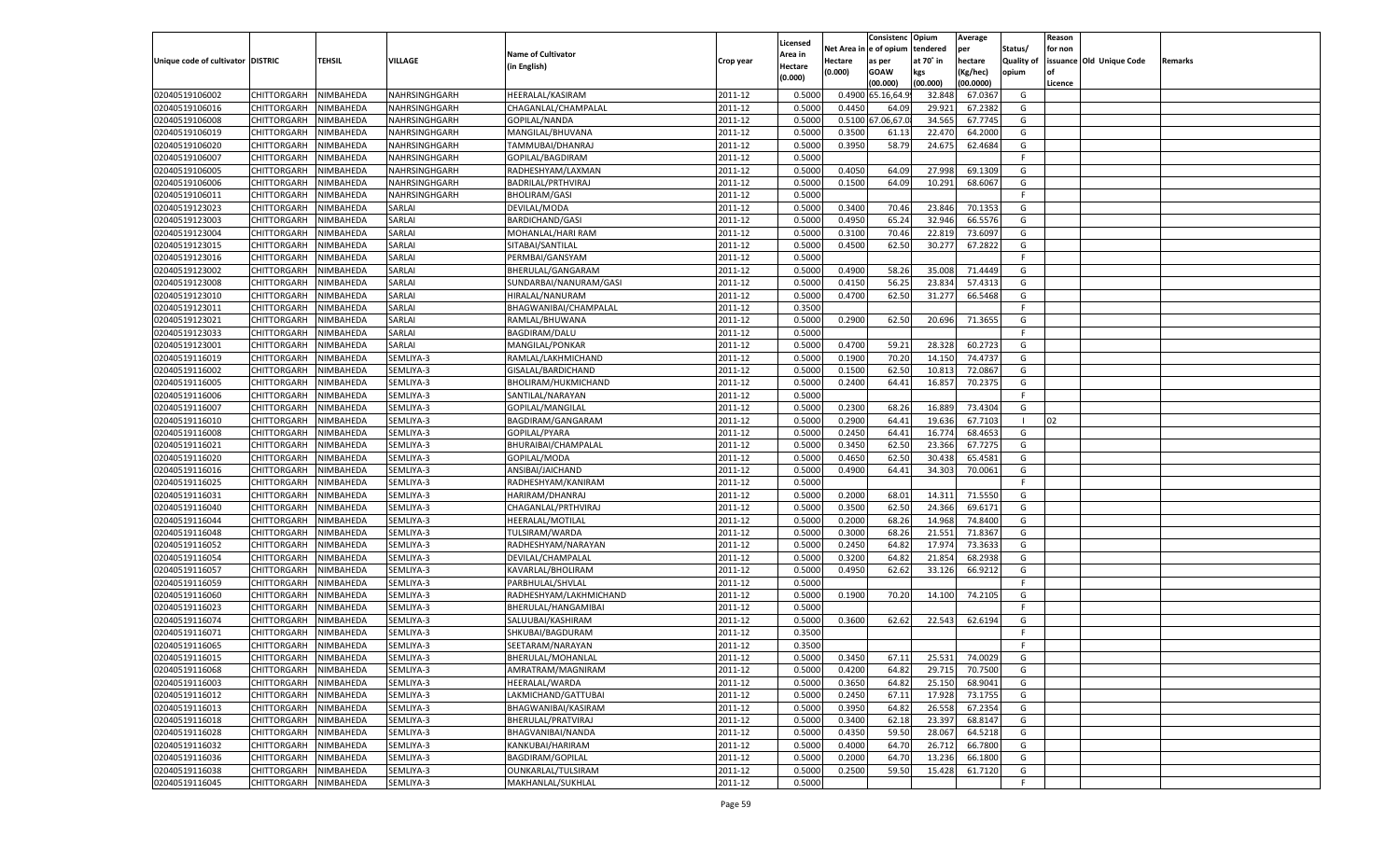|                                   |                       |           |                        |                           |           |                    |             | Consistenc    | Opium     | Average            |                | Reason  |                          |         |
|-----------------------------------|-----------------------|-----------|------------------------|---------------------------|-----------|--------------------|-------------|---------------|-----------|--------------------|----------------|---------|--------------------------|---------|
|                                   |                       |           |                        | <b>Name of Cultivator</b> |           | Licensed           | Net Area iı | n  e of opium | tendered  | per                | Status/        | for non |                          |         |
| Unique code of cultivator DISTRIC |                       | TEHSIL    | <b>VILLAGE</b>         | (in English)              | Crop year | Area in<br>Hectare | Hectare     | as per        | at 70° in | hectare            | Quality of     |         | issuance Old Unique Code | Remarks |
|                                   |                       |           |                        |                           |           | (0.000)            | (0.000)     | <b>GOAW</b>   | kgs       | (Kg/hec)           | opium          |         |                          |         |
|                                   |                       |           |                        |                           |           |                    |             | (00.000)      | (00.000)  | (00.0000)          |                | Licence |                          |         |
| 02040519106002                    | CHITTORGARH           | NIMBAHEDA | NAHRSINGHGARH          | HEERALAL/KASIRAM          | 2011-12   | 0.5000             | 0.4900      | 65.16,64.     | 32.848    | 67.0367            | G              |         |                          |         |
| 02040519106016                    | CHITTORGARH           | NIMBAHEDA | NAHRSINGHGARH          | CHAGANLAL/CHAMPALAL       | 2011-12   | 0.5000             | 0.4450      | 64.09         | 29.921    | 67.2382            | G              |         |                          |         |
| 02040519106008                    | CHITTORGARH           | NIMBAHEDA | NAHRSINGHGARH          | <b>GOPILAL/NANDA</b>      | 2011-12   | 0.5000             | 0.5100      | 7.06,67.0     | 34.565    | 67.7745            | G              |         |                          |         |
| 02040519106019                    | CHITTORGARH           | NIMBAHEDA | NAHRSINGHGARH          | MANGILAL/BHUVANA          | 2011-12   | 0.5000             | 0.3500      | 61.13         | 22.470    | 64.2000            | G              |         |                          |         |
| 02040519106020                    | CHITTORGARH           | NIMBAHEDA | NAHRSINGHGARH          | TAMMUBAI/DHANRAJ          | 2011-12   | 0.5000             | 0.3950      | 58.79         | 24.675    | 62.4684            | G              |         |                          |         |
| 02040519106007                    | CHITTORGARH           | NIMBAHEDA | NAHRSINGHGARH          | GOPILAL/BAGDIRAM          | 2011-12   | 0.5000             |             |               |           |                    | F.             |         |                          |         |
| 02040519106005                    | CHITTORGARH           | NIMBAHEDA | NAHRSINGHGARH          | RADHESHYAM/LAXMAN         | 2011-12   | 0.5000             | 0.4050      | 64.09         | 27.998    | 69.1309            | G              |         |                          |         |
| 02040519106006                    | CHITTORGARH           | NIMBAHEDA | NAHRSINGHGARH          | BADRILAL/PRTHVIRAJ        | 2011-12   | 0.5000             | 0.1500      | 64.09         | 10.291    | 68.6067            | G              |         |                          |         |
| 02040519106011                    | CHITTORGARH           | NIMBAHEDA | NAHRSINGHGARH          | <b>BHOLIRAM/GASI</b>      | 2011-12   | 0.5000             |             |               |           |                    | F.             |         |                          |         |
| 02040519123023                    | CHITTORGARH           | NIMBAHEDA | SARLAI                 | DEVILAL/MODA              | 2011-12   | 0.5000             | 0.3400      | 70.46         | 23.846    | 70.1353            | G              |         |                          |         |
| 02040519123003                    | CHITTORGARH           | NIMBAHEDA | SARLAI                 | <b>BARDICHAND/GASI</b>    | 2011-12   | 0.5000             | 0.4950      | 65.24         | 32.946    | 66.5576            | G              |         |                          |         |
| 02040519123004                    | CHITTORGARH           | NIMBAHEDA | SARLAI                 | MOHANLAL/HARI RAM         | 2011-12   | 0.5000             | 0.3100      | 70.46         | 22.819    | 73.6097            | G              |         |                          |         |
| 02040519123015                    | CHITTORGARH           | NIMBAHEDA | SARLAI                 | SITABAI/SANTILAL          | 2011-12   | 0.5000             | 0.4500      | 62.50         | 30.277    | 67.2822            | G              |         |                          |         |
| 02040519123016                    | CHITTORGARH           | NIMBAHEDA | SARLAI                 | PERMBAI/GANSYAM           | 2011-12   | 0.5000             |             |               |           |                    | F.             |         |                          |         |
| 02040519123002                    | CHITTORGARH           | NIMBAHEDA | SARLAI                 | BHERULAL/GANGARAM         | 2011-12   | 0.5000             | 0.4900      | 58.26         | 35.008    | 71.4449            | G              |         |                          |         |
| 02040519123008                    | CHITTORGARH           | NIMBAHEDA | SARLAI                 | SUNDARBAI/NANURAM/GASI    | 2011-12   | 0.5000             | 0.4150      | 56.25         | 23.834    | 57.4313            | G              |         |                          |         |
| 02040519123010                    | CHITTORGARH           | NIMBAHEDA | SARLAI                 | HIRALAL/NANURAM           | 2011-12   | 0.5000             | 0.4700      | 62.50         | 31.277    | 66.5468            | G              |         |                          |         |
| 02040519123011                    | CHITTORGARH           | NIMBAHEDA | SARLAI                 | BHAGWANIBAI/CHAMPALAL     | 2011-12   | 0.3500             |             |               |           |                    | F.             |         |                          |         |
| 02040519123021                    | CHITTORGARH           | NIMBAHEDA | SARLAI                 | RAMLAL/BHUWANA            | 2011-12   | 0.5000             | 0.2900      | 62.50         | 20.696    | 71.3655            | G              |         |                          |         |
| 02040519123033                    | CHITTORGARH           | NIMBAHEDA | SARLAI                 | <b>BAGDIRAM/DALU</b>      | 2011-12   | 0.5000             |             |               |           |                    | F.             |         |                          |         |
| 02040519123001                    | CHITTORGARH           | NIMBAHEDA | SARLAI                 | MANGILAL/PONKAR           | 2011-12   | 0.5000             | 0.4700      | 59.21         | 28.328    | 60.2723            | G              |         |                          |         |
| 02040519116019                    | CHITTORGARH           | NIMBAHEDA | SEMLIYA-3              | RAMLAL/LAKHMICHAND        | 2011-12   | 0.5000             | 0.1900      | 70.20         | 14.150    | 74.4737            | G              |         |                          |         |
| 02040519116002                    | CHITTORGARH           | NIMBAHEDA | SEMLIYA-3              | GISALAL/BARDICHAND        | 2011-12   | 0.5000             | 0.1500      | 62.50         | 10.813    | 72.0867            | G              |         |                          |         |
| 02040519116005                    | CHITTORGARH           | NIMBAHEDA | SEMLIYA-3              | BHOLIRAM/HUKMICHAND       | 2011-12   | 0.5000             | 0.2400      | 64.41         | 16.857    | 70.2375            | G              |         |                          |         |
| 02040519116006                    | CHITTORGARH           | NIMBAHEDA | SEMLIYA-3              | SANTILAL/NARAYAN          | 2011-12   | 0.5000             |             |               |           |                    | F.             |         |                          |         |
| 02040519116007                    | CHITTORGARH           | NIMBAHEDA | SEMLIYA-3              | GOPILAL/MANGILAL          | 2011-12   | 0.5000             | 0.2300      | 68.26         | 16.889    | 73.4304            | G              |         |                          |         |
| 02040519116010                    | CHITTORGARH           | NIMBAHEDA | SEMLIYA-3              | BAGDIRAM/GANGARAM         | 2011-12   | 0.5000             | 0.2900      | 64.41         | 19.636    | 67.7103            | $\blacksquare$ | 02      |                          |         |
| 02040519116008                    | CHITTORGARH           | NIMBAHEDA | SEMLIYA-3              | GOPILAL/PYARA             | 2011-12   | 0.5000             | 0.2450      | 64.41         | 16.774    | 68.4653            | G              |         |                          |         |
| 02040519116021                    | CHITTORGARH           | NIMBAHEDA | SEMLIYA-3              | BHURAIBAI/CHAMPALAL       | 2011-12   | 0.5000             | 0.3450      | 62.50         | 23.366    | 67.7275            | G              |         |                          |         |
| 02040519116020                    |                       |           |                        |                           | 2011-12   |                    | 0.4650      | 62.50         | 30.438    |                    | G              |         |                          |         |
| 02040519116016                    | CHITTORGARH           | NIMBAHEDA | SEMLIYA-3<br>SEMLIYA-3 | GOPILAL/MODA              | 2011-12   | 0.5000<br>0.5000   | 0.4900      | 64.41         | 34.303    | 65.4581<br>70.0061 | G              |         |                          |         |
|                                   | CHITTORGARH           | NIMBAHEDA |                        | ANSIBAI/JAICHAND          |           | 0.5000             |             |               |           |                    | F              |         |                          |         |
| 02040519116025                    | CHITTORGARH           | NIMBAHEDA | SEMLIYA-3              | RADHESHYAM/KANIRAM        | 2011-12   |                    |             |               |           |                    |                |         |                          |         |
| 02040519116031                    | CHITTORGARH           | NIMBAHEDA | SEMLIYA-3              | HARIRAM/DHANRAJ           | 2011-12   | 0.5000             | 0.2000      | 68.01         | 14.311    | 71.5550            | G              |         |                          |         |
| 02040519116040                    | CHITTORGARH           | NIMBAHEDA | SEMLIYA-3              | CHAGANLAL/PRTHVIRAJ       | 2011-12   | 0.5000             | 0.3500      | 62.50         | 24.366    | 69.6171            | G              |         |                          |         |
| 02040519116044                    | CHITTORGARH           | NIMBAHEDA | SEMLIYA-3              | HEERALAL/MOTILAL          | 2011-12   | 0.5000             | 0.2000      | 68.26         | 14.968    | 74.8400            | G              |         |                          |         |
| 02040519116048                    | CHITTORGARH           | NIMBAHEDA | SEMLIYA-3              | TULSIRAM/WARDA            | 2011-12   | 0.5000             | 0.3000      | 68.26         | 21.551    | 71.8367            | G              |         |                          |         |
| 02040519116052                    | CHITTORGARH           | NIMBAHEDA | SEMLIYA-3              | RADHESHYAM/NARAYAN        | 2011-12   | 0.5000             | 0.2450      | 64.82         | 17.974    | 73.3633            | G              |         |                          |         |
| 02040519116054                    | CHITTORGARH           | NIMBAHEDA | SEMLIYA-3              | DEVILAL/CHAMPALAI         | 2011-12   | 0.5000             | 0.3200      | 64.82         | 21.854    | 68.2938            | G              |         |                          |         |
| 02040519116057                    | CHITTORGARH           | NIMBAHEDA | SEMLIYA-3              | KAVARLAL/BHOLIRAM         | 2011-12   | 0.5000             | 0.4950      | 62.62         | 33.126    | 66.9212            | G              |         |                          |         |
| 02040519116059                    | CHITTORGARH           | NIMBAHEDA | SEMLIYA-3              | PARBHULAL/SHVLAL          | 2011-12   | 0.5000             |             |               |           |                    | F              |         |                          |         |
| 02040519116060                    | CHITTORGARH           | NIMBAHEDA | SEMLIYA-3              | RADHESHYAM/LAKHMICHAND    | 2011-12   | 0.5000             | 0.1900      | 70.20         | 14.100    | 74.2105            | G              |         |                          |         |
| 02040519116023                    | CHITTORGARH           | NIMBAHEDA | SEMLIYA-3              | BHERULAL/HANGAMIBAI       | 2011-12   | 0.5000             |             |               |           |                    | F              |         |                          |         |
| 02040519116074                    | CHITTORGARH           | NIMBAHEDA | SEMLIYA-3              | SALUUBAI/KASHIRAM         | 2011-12   | 0.5000             | 0.3600      | 62.62         | 22.543    | 62.6194            | G              |         |                          |         |
| 02040519116071                    | CHITTORGARH           | NIMBAHEDA | SEMLIYA-3              | SHKUBAI/BAGDURAM          | 2011-12   | 0.3500             |             |               |           |                    | F              |         |                          |         |
| 02040519116065                    | CHITTORGARH           | NIMBAHEDA | SEMLIYA-3              | SEETARAM/NARAYAN          | 2011-12   | 0.3500             |             |               |           |                    | F              |         |                          |         |
| 02040519116015                    | CHITTORGARH NIMBAHEDA |           | SEMLIYA-3              | BHERULAL/MOHANLAL         | 2011-12   | 0.5000             | 0.3450      | 67.11         | 25.531    | 74.0029            | G              |         |                          |         |
| 02040519116068                    | <b>CHITTORGARH</b>    | NIMBAHEDA | SEMLIYA-3              | AMRATRAM/MAGNIRAM         | 2011-12   | 0.5000             | 0.4200      | 64.82         | 29.715    | 70.7500            | G              |         |                          |         |
| 02040519116003                    | CHITTORGARH           | NIMBAHEDA | SEMLIYA-3              | HEERALAL/WARDA            | 2011-12   | 0.5000             | 0.3650      | 64.82         | 25.150    | 68.9041            | G              |         |                          |         |
| 02040519116012                    | CHITTORGARH           | NIMBAHEDA | SEMLIYA-3              | LAKMICHAND/GATTUBAI       | 2011-12   | 0.5000             | 0.2450      | 67.11         | 17.928    | 73.1755            | G              |         |                          |         |
| 02040519116013                    | CHITTORGARH           | NIMBAHEDA | SEMLIYA-3              | BHAGWANIBAI/KASIRAM       | 2011-12   | 0.5000             | 0.3950      | 64.82         | 26.558    | 67.2354            | G              |         |                          |         |
| 02040519116018                    | CHITTORGARH           | NIMBAHEDA | SEMLIYA-3              | BHERULAL/PRATVIRAJ        | 2011-12   | 0.5000             | 0.3400      | 62.18         | 23.397    | 68.8147            | G              |         |                          |         |
| 02040519116028                    | CHITTORGARH           | NIMBAHEDA | SEMLIYA-3              | BHAGVANIBAI/NANDA         | 2011-12   | 0.5000             | 0.4350      | 59.50         | 28.067    | 64.5218            | G              |         |                          |         |
| 02040519116032                    | CHITTORGARH           | NIMBAHEDA | SEMLIYA-3              | KANKUBAI/HARIRAM          | 2011-12   | 0.5000             | 0.4000      | 64.70         | 26.712    | 66.7800            | G              |         |                          |         |
| 02040519116036                    | CHITTORGARH           | NIMBAHEDA | SEMLIYA-3              | BAGDIRAM/GOPILAL          | 2011-12   | 0.5000             | 0.2000      | 64.70         | 13.236    | 66.1800            | G              |         |                          |         |
| 02040519116038                    | <b>CHITTORGARH</b>    | NIMBAHEDA | SEMLIYA-3              | OUNKARLAL/TULSIRAM        | 2011-12   | 0.5000             | 0.2500      | 59.50         | 15.428    | 61.7120            | G              |         |                          |         |
| 02040519116045                    | <b>CHITTORGARH</b>    | NIMBAHEDA | SEMLIYA-3              | MAKHANLAL/SUKHLAL         | 2011-12   | 0.5000             |             |               |           |                    | F.             |         |                          |         |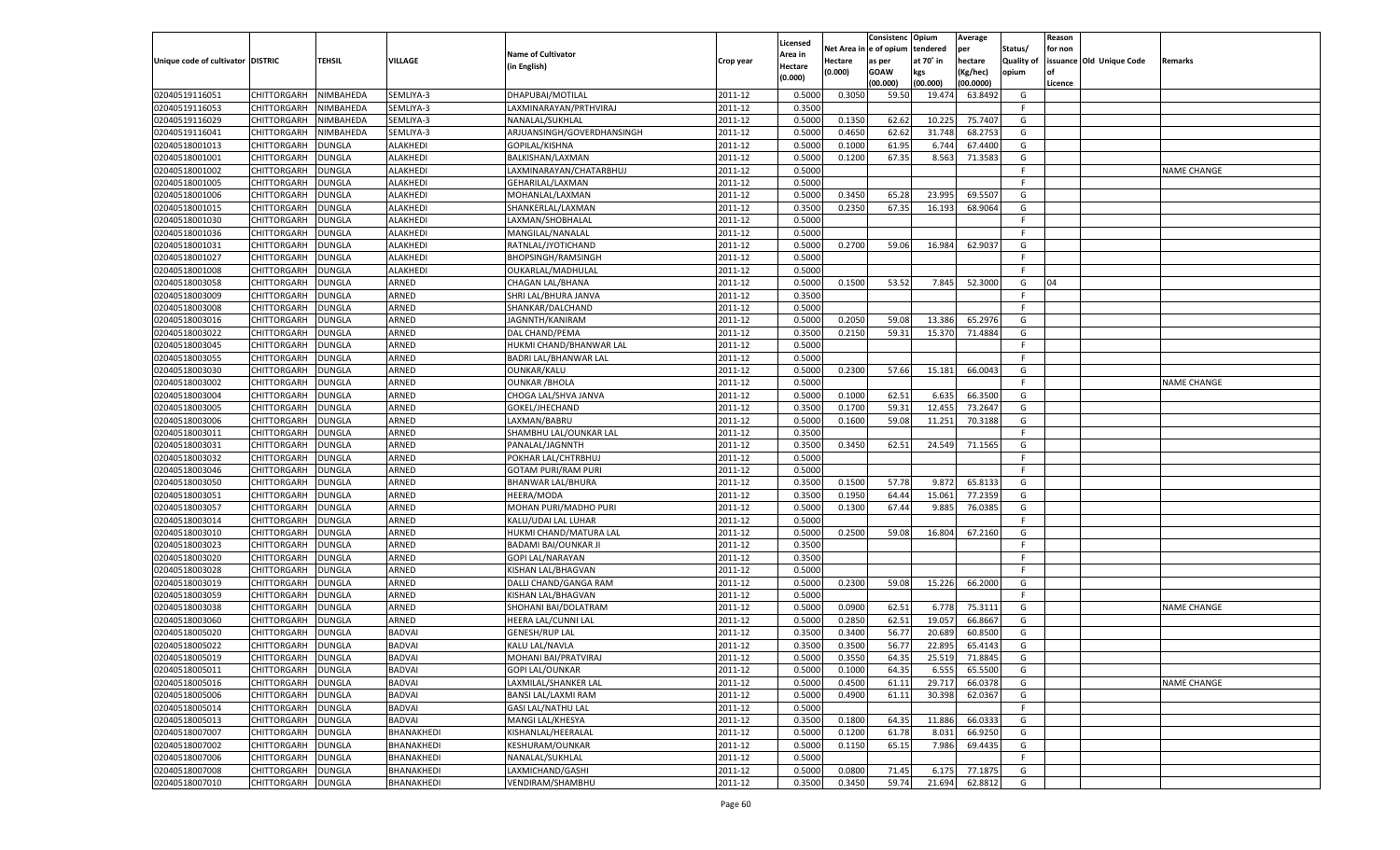|                                   |                    |               |                 |                             |           |                     |            | Consistenc   | Opium     | Average   |            | Reason  |                          |                    |
|-----------------------------------|--------------------|---------------|-----------------|-----------------------------|-----------|---------------------|------------|--------------|-----------|-----------|------------|---------|--------------------------|--------------------|
|                                   |                    |               |                 | <b>Name of Cultivator</b>   |           | Licensed<br>Area in | Net Area i | n e of opium | tendered  | per       | Status/    | for non |                          |                    |
| Unique code of cultivator DISTRIC |                    | TEHSIL        | <b>VILLAGE</b>  | (in English)                | Crop year | Hectare             | Hectare    | as per       | at 70° in | hectare   | Quality of |         | issuance Old Unique Code | Remarks            |
|                                   |                    |               |                 |                             |           | (0.000)             | (0.000)    | <b>GOAW</b>  | kgs       | (Kg/hec)  | opium      |         |                          |                    |
|                                   |                    |               |                 |                             |           |                     |            | (00.000)     | (00.000)  | (00.0000) |            | Licence |                          |                    |
| 02040519116051                    | CHITTORGARH        | NIMBAHEDA     | SEMLIYA-3       | DHAPUBAI/MOTILAL            | 2011-12   | 0.5000              | 0.3050     | 59.50        | 19.474    | 63.8492   | G          |         |                          |                    |
| 02040519116053                    | CHITTORGARH        | NIMBAHEDA     | SEMLIYA-3       | LAXMINARAYAN/PRTHVIRAJ      | 2011-12   | 0.3500              |            |              |           |           | E          |         |                          |                    |
| 02040519116029                    | CHITTORGARH        | NIMBAHEDA     | SEMLIYA-3       | NANALAL/SUKHLAL             | 2011-12   | 0.5000              | 0.1350     | 62.62        | 10.225    | 75.7407   | G          |         |                          |                    |
| 02040519116041                    | CHITTORGARH        | NIMBAHEDA     | SEMLIYA-3       | ARJUANSINGH/GOVERDHANSINGH  | 2011-12   | 0.5000              | 0.4650     | 62.62        | 31.748    | 68.2753   | G          |         |                          |                    |
| 02040518001013                    | CHITTORGARH        | DUNGLA        | ALAKHEDI        | GOPILAL/KISHNA              | 2011-12   | 0.5000              | 0.1000     | 61.95        | 6.744     | 67.4400   | G          |         |                          |                    |
| 02040518001001                    | CHITTORGARH        | DUNGLA        | ALAKHEDI        | BALKISHAN/LAXMAN            | 2011-12   | 0.5000              | 0.1200     | 67.35        | 8.563     | 71.3583   | G          |         |                          |                    |
| 02040518001002                    | CHITTORGARH        | DUNGLA        | ALAKHEDI        | LAXMINARAYAN/CHATARBHUJ     | 2011-12   | 0.5000              |            |              |           |           | F.         |         |                          | NAME CHANGE        |
| 02040518001005                    | CHITTORGARH        | DUNGLA        | <b>ALAKHEDI</b> | GEHARILAL/LAXMAN            | 2011-12   | 0.5000              |            |              |           |           | E          |         |                          |                    |
| 02040518001006                    | CHITTORGARH        | DUNGLA        | ALAKHEDI        | MOHANLAL/LAXMAN             | 2011-12   | 0.5000              | 0.3450     | 65.28        | 23.995    | 69.5507   | G          |         |                          |                    |
| 02040518001015                    | CHITTORGARH        | DUNGLA        | ALAKHEDI        | SHANKERLAL/LAXMAN           | 2011-12   | 0.3500              | 0.2350     | 67.35        | 16.193    | 68.9064   | G          |         |                          |                    |
| 02040518001030                    | CHITTORGARH        | DUNGLA        | ALAKHEDI        | LAXMAN/SHOBHALAL            | 2011-12   | 0.5000              |            |              |           |           | F.         |         |                          |                    |
| 02040518001036                    | CHITTORGARH        | DUNGLA        | <b>ALAKHEDI</b> | MANGILAL/NANALAL            | 2011-12   | 0.5000              |            |              |           |           | E          |         |                          |                    |
| 02040518001031                    | CHITTORGARH        | DUNGLA        | ALAKHEDI        | RATNLAL/JYOTICHAND          | 2011-12   | 0.5000              | 0.2700     | 59.06        | 16.984    | 62.9037   | G          |         |                          |                    |
| 02040518001027                    | CHITTORGARH        | DUNGLA        | ALAKHEDI        | <b>BHOPSINGH/RAMSINGH</b>   | 2011-12   | 0.5000              |            |              |           |           | F.         |         |                          |                    |
| 02040518001008                    | CHITTORGARH        | DUNGLA        | <b>ALAKHEDI</b> | OUKARLAL/MADHULAL           | 2011-12   | 0.5000              |            |              |           |           | F.         |         |                          |                    |
| 02040518003058                    | CHITTORGARH        | DUNGLA        | ARNED           | CHAGAN LAL/BHANA            | 2011-12   | 0.5000              | 0.1500     | 53.52        | 7.845     | 52.3000   | G          | 04      |                          |                    |
| 02040518003009                    | CHITTORGARH        | <b>DUNGLA</b> | ARNED           | SHRI LAL/BHURA JANVA        | 2011-12   | 0.3500              |            |              |           |           | F          |         |                          |                    |
| 02040518003008                    | CHITTORGARH        | DUNGLA        | ARNED           | SHANKAR/DALCHAND            | 2011-12   | 0.5000              |            |              |           |           | F.         |         |                          |                    |
| 02040518003016                    | CHITTORGARH        | DUNGLA        | ARNED           | JAGNNTH/KANIRAM             | 2011-12   | 0.5000              | 0.2050     | 59.08        | 13.386    | 65.2976   | G          |         |                          |                    |
| 02040518003022                    | CHITTORGARH        | DUNGLA        | ARNED           | DAL CHAND/PEMA              | 2011-12   | 0.3500              | 0.2150     | 59.31        | 15.370    | 71.4884   | G          |         |                          |                    |
| 02040518003045                    | CHITTORGARH        | <b>DUNGLA</b> | ARNED           | HUKMI CHAND/BHANWAR LAL     | 2011-12   | 0.5000              |            |              |           |           | F          |         |                          |                    |
| 02040518003055                    | CHITTORGARH        | DUNGLA        | ARNED           | BADRI LAL/BHANWAR LAL       | 2011-12   | 0.5000              |            |              |           |           | F.         |         |                          |                    |
| 02040518003030                    | CHITTORGARH        | DUNGLA        | ARNED           | OUNKAR/KALU                 | 2011-12   | 0.5000              | 0.2300     | 57.66        | 15.181    | 66.0043   | G          |         |                          |                    |
| 02040518003002                    | CHITTORGARH        | DUNGLA        | ARNED           | <b>OUNKAR / BHOLA</b>       | 2011-12   | 0.5000              |            |              |           |           | F.         |         |                          | <b>NAME CHANGE</b> |
| 02040518003004                    | CHITTORGARH        | <b>DUNGLA</b> | ARNED           | CHOGA LAL/SHVA JANVA        | 2011-12   | 0.5000              | 0.1000     | 62.51        | 6.635     | 66.3500   | G          |         |                          |                    |
| 02040518003005                    | CHITTORGARH        | DUNGLA        | ARNED           | GOKEL/JHECHAND              | 2011-12   | 0.3500              | 0.1700     | 59.31        | 12.455    | 73.2647   | G          |         |                          |                    |
| 02040518003006                    | CHITTORGARH        | DUNGLA        | ARNED           | LAXMAN/BABRU                | 2011-12   | 0.5000              | 0.1600     | 59.08        | 11.251    | 70.3188   | G          |         |                          |                    |
| 02040518003011                    | CHITTORGARH        | DUNGLA        | ARNED           | SHAMBHU LAL/OUNKAR LAL      | 2011-12   | 0.3500              |            |              |           |           | F.         |         |                          |                    |
| 02040518003031                    | CHITTORGARH        | <b>DUNGLA</b> | ARNED           | PANALAL/JAGNNTH             | 2011-12   | 0.3500              | 0.3450     | 62.51        | 24.549    | 71.1565   | G          |         |                          |                    |
| 02040518003032                    | CHITTORGARH        | DUNGLA        | ARNED           | POKHAR LAL/CHTRBHUJ         | 2011-12   | 0.5000              |            |              |           |           | F.         |         |                          |                    |
| 02040518003046                    | CHITTORGARH        | <b>DUNGLA</b> | ARNED           | <b>GOTAM PURI/RAM PURI</b>  | 2011-12   | 0.5000              |            |              |           |           | E          |         |                          |                    |
| 02040518003050                    | CHITTORGARH        | DUNGLA        | ARNED           | BHANWAR LAL/BHURA           | 2011-12   | 0.3500              | 0.1500     | 57.78        | 9.872     | 65.8133   | G          |         |                          |                    |
| 02040518003051                    | CHITTORGARH        | <b>DUNGLA</b> | ARNED           | HEERA/MODA                  | 2011-12   | 0.3500              | 0.1950     | 64.44        | 15.061    | 77.2359   | G          |         |                          |                    |
| 02040518003057                    | CHITTORGARH        | DUNGLA        | ARNED           | MOHAN PURI/MADHO PURI       | 2011-12   | 0.5000              | 0.1300     | 67.44        | 9.885     | 76.0385   | G          |         |                          |                    |
| 02040518003014                    | CHITTORGARH        | DUNGLA        | ARNED           | KALU/UDAI LAL LUHAR         | 2011-12   | 0.5000              |            |              |           |           | F.         |         |                          |                    |
| 02040518003010                    | CHITTORGARH        | DUNGLA        | ARNED           | HUKMI CHAND/MATURA LAL      | 2011-12   | 0.5000              | 0.2500     | 59.08        | 16.804    | 67.2160   | G          |         |                          |                    |
| 02040518003023                    | CHITTORGARH        | <b>DUNGLA</b> | ARNED           | <b>BADAMI BAI/OUNKAR JI</b> | 2011-12   | 0.3500              |            |              |           |           | F.         |         |                          |                    |
| 02040518003020                    | CHITTORGARH        | DUNGLA        | ARNED           | <b>GOPI LAL/NARAYAN</b>     | 2011-12   | 0.3500              |            |              |           |           | F          |         |                          |                    |
| 02040518003028                    | CHITTORGARH        | DUNGLA        | ARNED           | KISHAN LAL/BHAGVAN          | 2011-12   | 0.5000              |            |              |           |           | E          |         |                          |                    |
| 02040518003019                    | CHITTORGARH        | DUNGLA        | ARNED           | DALLI CHAND/GANGA RAM       | 2011-12   | 0.5000              | 0.2300     | 59.08        | 15.226    | 66.2000   | G          |         |                          |                    |
| 02040518003059                    | CHITTORGARH        | <b>DUNGLA</b> | ARNED           | KISHAN LAL/BHAGVAN          | 2011-12   | 0.5000              |            |              |           |           | F.         |         |                          |                    |
| 02040518003038                    | CHITTORGARH        | DUNGLA        | ARNED           | SHOHANI BAI/DOLATRAM        | 2011-12   | 0.5000              | 0.0900     | 62.51        | 6.778     | 75.3111   | G          |         |                          | <b>NAME CHANGE</b> |
| 02040518003060                    | CHITTORGARH        | DUNGLA        | ARNED           | HEERA LAL/CUNNI LAL         | 2011-12   | 0.5000              | 0.2850     | 62.51        | 19.057    | 66.8667   | G          |         |                          |                    |
| 02040518005020                    | CHITTORGARH        | DUNGLA        | <b>BADVAI</b>   | <b>GENESH/RUP LAL</b>       | 2011-12   | 0.3500              | 0.3400     | 56.77        | 20.689    | 60.8500   | G          |         |                          |                    |
| 02040518005022                    | CHITTORGARH        | <b>DUNGLA</b> | <b>BADVAI</b>   | KALU LAL/NAVLA              | 2011-12   | 0.3500              | 0.3500     | 56.77        | 22.895    | 65.4143   | G          |         |                          |                    |
| 02040518005019                    | CHITTORGARH DUNGLA |               | <b>BADVAI</b>   | MOHANI BAI/PRATVIRAJ        | 2011-12   | 0.5000              | 0.3550     | 64.35        | 25.519    | 71.8845   | G          |         |                          |                    |
| 02040518005011                    | <b>CHITTORGARH</b> | <b>DUNGLA</b> | <b>BADVAI</b>   | <b>GOPI LAL/OUNKAR</b>      | 2011-12   | 0.5000              | 0.1000     | 64.35        | 6.555     | 65.5500   | G          |         |                          |                    |
| 02040518005016                    | CHITTORGARH        | <b>DUNGLA</b> | <b>BADVAI</b>   | LAXMILAL/SHANKER LAL        | 2011-12   | 0.5000              | 0.4500     | 61.11        | 29.717    | 66.0378   | G          |         |                          | NAME CHANGE        |
| 02040518005006                    | CHITTORGARH        | <b>DUNGLA</b> | <b>BADVAI</b>   | BANSI LAL/LAXMI RAM         | 2011-12   | 0.5000              | 0.4900     |              | 30.398    | 62.0367   |            |         |                          |                    |
| 02040518005014                    | CHITTORGARH        | <b>DUNGLA</b> | <b>BADVAI</b>   | <b>GASI LAL/NATHU LAL</b>   | 2011-12   | 0.5000              |            | 61.11        |           |           | G<br>F.    |         |                          |                    |
| 02040518005013                    | CHITTORGARH        | <b>DUNGLA</b> | <b>BADVAI</b>   | MANGI LAL/KHESYA            | 2011-12   | 0.3500              | 0.1800     | 64.35        | 11.886    | 66.0333   | G          |         |                          |                    |
| 02040518007007                    | CHITTORGARH        |               | BHANAKHEDI      | KISHANLAL/HEERALAL          | 2011-12   | 0.5000              | 0.1200     | 61.78        | 8.031     | 66.9250   | G          |         |                          |                    |
|                                   |                    | <b>DUNGLA</b> |                 |                             |           |                     |            |              |           |           |            |         |                          |                    |
| 02040518007002                    | CHITTORGARH        | <b>DUNGLA</b> | BHANAKHEDI      | KESHURAM/OUNKAR             | 2011-12   | 0.5000              | 0.1150     | 65.15        | 7.986     | 69.4435   | G          |         |                          |                    |
| 02040518007006                    | CHITTORGARH        | <b>DUNGLA</b> | BHANAKHEDI      | NANALAL/SUKHLAL             | 2011-12   | 0.5000              |            |              |           |           | F.         |         |                          |                    |
| 02040518007008                    | <b>CHITTORGARH</b> | <b>DUNGLA</b> | BHANAKHEDI      | LAXMICHAND/GASHI            | 2011-12   | 0.5000              | 0.0800     | 71.45        | 6.175     | 77.1875   | G          |         |                          |                    |
| 02040518007010                    | <b>CHITTORGARH</b> | <b>DUNGLA</b> | BHANAKHEDI      | VENDIRAM/SHAMBHU            | 2011-12   | 0.3500              | 0.3450     | 59.74        | 21.694    | 62.8812   | G          |         |                          |                    |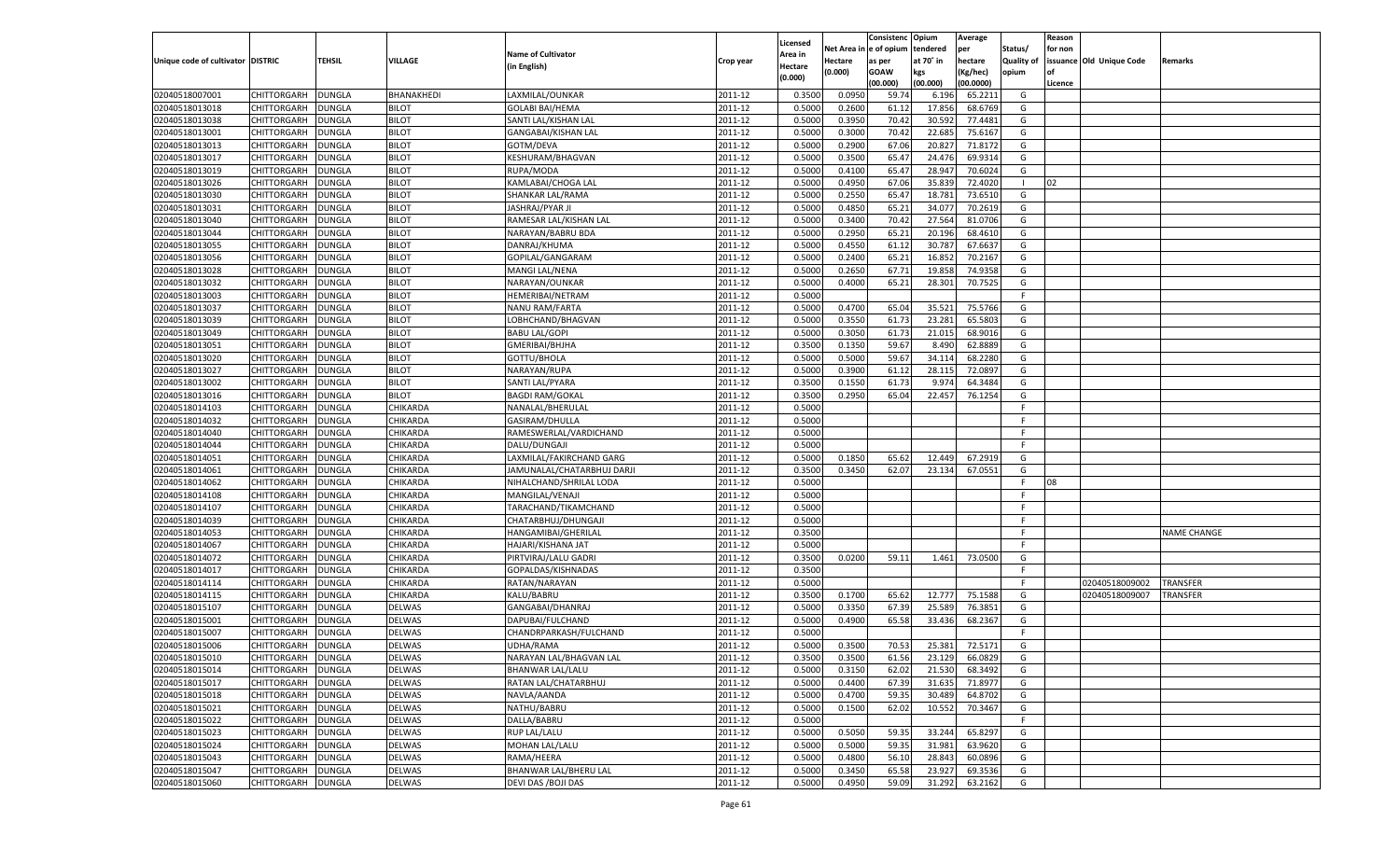|                                   |                    |                                |                |                                     |           |                     |             | Consistenc    | Opium     | Average   |                   | Reason  |                          |                    |
|-----------------------------------|--------------------|--------------------------------|----------------|-------------------------------------|-----------|---------------------|-------------|---------------|-----------|-----------|-------------------|---------|--------------------------|--------------------|
|                                   |                    |                                |                | <b>Name of Cultivator</b>           |           | Licensed<br>Area in | Net Area iı | n  e of opium | tendered  | per       | Status/           | for non |                          |                    |
| Unique code of cultivator DISTRIC |                    | TEHSIL                         | <b>VILLAGE</b> | (in English)                        | Crop year | Hectare             | Hectare     | as per        | at 70° in | hectare   | <b>Quality of</b> |         | issuance Old Unique Code | Remarks            |
|                                   |                    |                                |                |                                     |           | (0.000)             | (0.000)     | <b>GOAW</b>   | kgs       | (Kg/hec)  | opium             |         |                          |                    |
|                                   |                    |                                |                |                                     |           |                     |             | (00.000)      | (00.000)  | (00.0000) |                   | Licence |                          |                    |
| 02040518007001                    | CHITTORGARH        | <b>DUNGLA</b>                  | BHANAKHEDI     | LAXMILAL/OUNKAR                     | 2011-12   | 0.3500              | 0.0950      | 59.74         | 6.196     | 65.2211   | G                 |         |                          |                    |
| 02040518013018                    | CHITTORGARH        | DUNGLA                         | <b>BILOT</b>   | <b>GOLABI BAI/HEMA</b>              | 2011-12   | 0.5000              | 0.2600      | 61.12         | 17.856    | 68.6769   | G                 |         |                          |                    |
| 02040518013038                    | CHITTORGARH        | DUNGLA                         | <b>BILOT</b>   | SANTI LAL/KISHAN LAL                | 2011-12   | 0.5000              | 0.3950      | 70.42         | 30.592    | 77.4481   | G                 |         |                          |                    |
| 02040518013001                    | CHITTORGARH        | DUNGLA                         | <b>BILOT</b>   | GANGABAI/KISHAN LAL                 | 2011-12   | 0.5000              | 0.3000      | 70.42         | 22.685    | 75.6167   | G                 |         |                          |                    |
| 02040518013013                    | CHITTORGARH        | DUNGLA                         | <b>BILOT</b>   | GOTM/DEVA                           | 2011-12   | 0.5000              | 0.2900      | 67.06         | 20.827    | 71.8172   | G                 |         |                          |                    |
| 02040518013017                    | CHITTORGARH        | DUNGLA                         | <b>BILOT</b>   | KESHURAM/BHAGVAN                    | 2011-12   | 0.5000              | 0.3500      | 65.47         | 24.476    | 69.9314   | G                 |         |                          |                    |
| 02040518013019                    | CHITTORGARH        | DUNGLA                         | <b>BILOT</b>   | RUPA/MODA                           | 2011-12   | 0.5000              | 0.4100      | 65.47         | 28.947    | 70.6024   | G                 |         |                          |                    |
| 02040518013026                    | CHITTORGARH        | DUNGLA                         | <b>BILOT</b>   | KAMLABAI/CHOGA LAL                  | 2011-12   | 0.5000              | 0.4950      | 67.06         | 35.839    | 72.4020   | - 1               | 02      |                          |                    |
| 02040518013030                    | CHITTORGARH        | DUNGLA                         | <b>BILOT</b>   | SHANKAR LAL/RAMA                    | 2011-12   | 0.5000              | 0.2550      | 65.47         | 18.781    | 73.6510   | G                 |         |                          |                    |
| 02040518013031                    | CHITTORGARH        | DUNGLA                         | <b>BILOT</b>   | JASHRAJ/PYAR JI                     | 2011-12   | 0.5000              | 0.4850      | 65.21         | 34.077    | 70.2619   | G                 |         |                          |                    |
| 02040518013040                    | CHITTORGARH        | DUNGLA                         | <b>BILOT</b>   | RAMESAR LAL/KISHAN LAL              | 2011-12   | 0.5000              | 0.3400      | 70.42         | 27.564    | 81.0706   | G                 |         |                          |                    |
| 02040518013044                    | CHITTORGARH        | DUNGLA                         | <b>BILOT</b>   | NARAYAN/BABRU BDA                   | 2011-12   | 0.5000              | 0.2950      | 65.21         | 20.196    | 68.4610   | G                 |         |                          |                    |
| 02040518013055                    | CHITTORGARH        | DUNGLA                         | <b>BILOT</b>   | DANRAJ/KHUMA                        | 2011-12   | 0.5000              | 0.4550      | 61.12         | 30.787    | 67.6637   | G                 |         |                          |                    |
| 02040518013056                    | CHITTORGARH        | DUNGLA                         | <b>BILOT</b>   | GOPILAL/GANGARAM                    | 2011-12   | 0.5000              | 0.2400      | 65.21         | 16.852    | 70.2167   | G                 |         |                          |                    |
| 02040518013028                    | CHITTORGARH        | DUNGLA                         | <b>BILOT</b>   | MANGI LAL/NENA                      | 2011-12   | 0.5000              | 0.2650      | 67.71         | 19.858    | 74.9358   | G                 |         |                          |                    |
| 02040518013032                    | CHITTORGARH        | DUNGLA                         | <b>BILOT</b>   | NARAYAN/OUNKAR                      | 2011-12   | 0.5000              | 0.4000      | 65.21         | 28.301    | 70.7525   | G                 |         |                          |                    |
| 02040518013003                    | CHITTORGARH        | <b>DUNGLA</b>                  | <b>BILOT</b>   | HEMERIBAI/NETRAM                    | 2011-12   | 0.5000              |             |               |           |           | F                 |         |                          |                    |
| 02040518013037                    | CHITTORGARH        | DUNGLA                         | <b>BILOT</b>   | NANU RAM/FARTA                      | 2011-12   | 0.5000              | 0.4700      | 65.04         | 35.521    | 75.5766   | G                 |         |                          |                    |
| 02040518013039                    | CHITTORGARH        | DUNGLA                         | <b>BILOT</b>   | LOBHCHAND/BHAGVAN                   | 2011-12   | 0.5000              | 0.3550      | 61.73         | 23.281    | 65.5803   | G                 |         |                          |                    |
| 02040518013049                    | CHITTORGARH        | DUNGLA                         | <b>BILOT</b>   | <b>BABU LAL/GOPI</b>                | 2011-12   | 0.5000              | 0.3050      | 61.73         | 21.015    | 68.9016   | G                 |         |                          |                    |
| 02040518013051                    | CHITTORGARH        | DUNGLA                         | <b>BILOT</b>   | GMERIBAI/BHJHA                      | 2011-12   | 0.3500              | 0.1350      | 59.67         | 8.490     | 62.8889   | G                 |         |                          |                    |
| 02040518013020                    | CHITTORGARH        | DUNGLA                         | <b>BILOT</b>   | GOTTU/BHOLA                         | 2011-12   | 0.5000              | 0.5000      | 59.67         | 34.114    | 68.2280   | G                 |         |                          |                    |
| 02040518013027                    | CHITTORGARH        | DUNGLA                         | <b>BILOT</b>   | NARAYAN/RUPA                        | 2011-12   | 0.5000              | 0.3900      | 61.12         | 28.115    | 72.0897   | G                 |         |                          |                    |
| 02040518013002                    | CHITTORGARH        | DUNGLA                         | <b>BILOT</b>   | SANTI LAL/PYARA                     | 2011-12   | 0.3500              | 0.1550      | 61.73         | 9.974     | 64.3484   | G                 |         |                          |                    |
| 02040518013016                    | CHITTORGARH        | DUNGLA                         | <b>BILOT</b>   | <b>BAGDI RAM/GOKAL</b>              | 2011-12   | 0.3500              | 0.2950      | 65.04         | 22.457    | 76.1254   | G                 |         |                          |                    |
| 02040518014103                    | CHITTORGARH        | DUNGLA                         | CHIKARDA       | NANALAL/BHERULAL                    | 2011-12   | 0.5000              |             |               |           |           | F.                |         |                          |                    |
| 02040518014032                    | CHITTORGARH        | DUNGLA                         | CHIKARDA       | GASIRAM/DHULLA                      | 2011-12   | 0.5000              |             |               |           |           | F.                |         |                          |                    |
| 02040518014040                    | CHITTORGARH        | DUNGLA                         | CHIKARDA       | RAMESWERLAL/VARDICHAND              | 2011-12   | 0.5000              |             |               |           |           | F.                |         |                          |                    |
| 02040518014044                    | CHITTORGARH        | DUNGLA                         | CHIKARDA       | DALU/DUNGAJI                        | 2011-12   | 0.5000              |             |               |           |           | F.                |         |                          |                    |
| 02040518014051                    | CHITTORGARH        | DUNGLA                         | CHIKARDA       | LAXMILAL/FAKIRCHAND GARG            | 2011-12   | 0.5000              | 0.1850      | 65.62         | 12.449    | 67.2919   | G                 |         |                          |                    |
| 02040518014061                    | CHITTORGARH        | DUNGLA                         | CHIKARDA       | JAMUNALAL/CHATARBHUJ DARJI          | 2011-12   | 0.3500              | 0.3450      | 62.07         | 23.134    | 67.0551   | G                 |         |                          |                    |
| 02040518014062                    | CHITTORGARH        | DUNGLA                         | CHIKARDA       | NIHALCHAND/SHRILAL LODA             | 2011-12   | 0.5000              |             |               |           |           | F.                | 08      |                          |                    |
| 02040518014108                    | CHITTORGARH        | <b>DUNGLA</b>                  | CHIKARDA       | MANGILAL/VENAJI                     | 2011-12   | 0.5000              |             |               |           |           | F                 |         |                          |                    |
| 02040518014107                    | CHITTORGARH        | DUNGLA                         | CHIKARDA       | TARACHAND/TIKAMCHAND                | 2011-12   | 0.5000              |             |               |           |           | F                 |         |                          |                    |
| 02040518014039                    | CHITTORGARH        | DUNGLA                         | CHIKARDA       | CHATARBHUJ/DHUNGAJI                 | 2011-12   | 0.5000              |             |               |           |           | E                 |         |                          |                    |
| 02040518014053                    | CHITTORGARH        | DUNGLA                         | CHIKARDA       | HANGAMIBAI/GHERILAL                 | 2011-12   | 0.3500              |             |               |           |           | F                 |         |                          | <b>NAME CHANGE</b> |
| 02040518014067                    | CHITTORGARH        | <b>DUNGLA</b>                  | CHIKARDA       | HAJARI/KISHANA JAT                  | 2011-12   | 0.5000              |             |               |           |           | F                 |         |                          |                    |
| 02040518014072                    | CHITTORGARH        | DUNGLA                         | CHIKARDA       | PIRTVIRAJ/LALU GADRI                | 2011-12   | 0.3500              | 0.0200      | 59.11         | 1.461     | 73.0500   | G                 |         |                          |                    |
| 02040518014017                    | CHITTORGARH        | DUNGLA                         | CHIKARDA       | GOPALDAS/KISHNADAS                  | 2011-12   | 0.3500              |             |               |           |           | F.                |         |                          |                    |
| 02040518014114                    | CHITTORGARH        | DUNGLA                         | CHIKARDA       | RATAN/NARAYAN                       | 2011-12   | 0.5000              |             |               |           |           | F                 |         | 02040518009002           | TRANSFER           |
| 02040518014115                    | CHITTORGARH        | <b>DUNGLA</b>                  | CHIKARDA       | KALU/BABRU                          | 2011-12   | 0.3500              | 0.1700      | 65.62         | 12.777    | 75.1588   | G                 |         | 02040518009007           | TRANSFER           |
| 02040518015107                    | CHITTORGARH        | DUNGLA                         | <b>DELWAS</b>  | GANGABAI/DHANRAJ                    | 2011-12   | 0.5000              | 0.3350      | 67.39         | 25.589    | 76.3851   | G                 |         |                          |                    |
| 02040518015001                    | CHITTORGARH        | DUNGLA                         | DELWAS         | DAPUBAI/FULCHAND                    | 2011-12   | 0.5000              | 0.4900      | 65.58         | 33.436    | 68.2367   | G                 |         |                          |                    |
| 02040518015007                    | CHITTORGARH        | DUNGLA                         | <b>DELWAS</b>  | CHANDRPARKASH/FULCHAND              | 2011-12   | 0.5000              |             |               |           |           | F                 |         |                          |                    |
| 02040518015006                    | CHITTORGARH        | <b>DUNGLA</b>                  | DELWAS         | UDHA/RAMA                           | 2011-12   | 0.5000              | 0.3500      | 70.53         | 25.381    | 72.5171   | G                 |         |                          |                    |
| 02040518015010                    | CHITTORGARH        | <b>DUNGLA</b>                  | <b>DELWAS</b>  | NARAYAN LAL/BHAGVAN LAL             | 2011-12   | 0.3500              | 0.3500      | 61.56         | 23.129    | 66.0829   | G                 |         |                          |                    |
| 02040518015014                    | <b>CHITTORGARH</b> | <b>DUNGLA</b>                  | <b>DELWAS</b>  | BHANWAR LAL/LALU                    | 2011-12   | 0.5000              | 0.3150      | 62.02         | 21.530    | 68.3492   | G                 |         |                          |                    |
| 02040518015017                    | <b>CHITTORGARH</b> | <b>DUNGLA</b>                  | <b>DELWAS</b>  | RATAN LAL/CHATARBHUJ                | 2011-12   | 0.5000              | 0.4400      | 67.39         | 31.635    | 71.8977   | G                 |         |                          |                    |
| 02040518015018                    | CHITTORGARH        | <b>DUNGLA</b>                  | <b>DELWAS</b>  | NAVLA/AANDA                         | 2011-12   | 0.5000              | 0.4700      | 59.35         | 30.489    | 64.8702   | G                 |         |                          |                    |
| 02040518015021                    | CHITTORGARH        | <b>DUNGLA</b>                  | <b>DELWAS</b>  | NATHU/BABRU                         | 2011-12   | 0.5000              | 0.1500      | 62.02         | 10.552    | 70.3467   | G                 |         |                          |                    |
| 02040518015022                    | CHITTORGARH        | <b>DUNGLA</b>                  | <b>DELWAS</b>  | DALLA/BABRU                         | 2011-12   | 0.5000              |             |               |           |           | F                 |         |                          |                    |
| 02040518015023                    | CHITTORGARH        | <b>DUNGLA</b>                  | <b>DELWAS</b>  | RUP LAL/LALU                        | 2011-12   | 0.5000              | 0.5050      | 59.35         | 33.244    | 65.8297   | G                 |         |                          |                    |
| 02040518015024                    | CHITTORGARH        | <b>DUNGLA</b>                  | <b>DELWAS</b>  | MOHAN LAL/LALU                      | 2011-12   | 0.5000              | 0.5000      | 59.35         | 31.981    | 63.9620   | G                 |         |                          |                    |
|                                   |                    |                                |                |                                     |           |                     |             |               |           |           |                   |         |                          |                    |
| 02040518015043<br>02040518015047  | CHITTORGARH        | <b>DUNGLA</b><br><b>DUNGLA</b> | <b>DELWAS</b>  | RAMA/HEERA<br>BHANWAR LAL/BHERU LAL | 2011-12   | 0.5000              | 0.4800      | 56.10         | 28.843    | 60.0896   | G                 |         |                          |                    |
|                                   | CHITTORGARH        |                                | <b>DELWAS</b>  |                                     | 2011-12   | 0.5000              | 0.3450      | 65.58         | 23.927    | 69.3536   | G                 |         |                          |                    |
| 02040518015060                    | <b>CHITTORGARH</b> | <b>DUNGLA</b>                  | <b>DELWAS</b>  | DEVI DAS / BOJI DAS                 | 2011-12   | 0.5000              | 0.4950      | 59.09         | 31.292    | 63.2162   | G                 |         |                          |                    |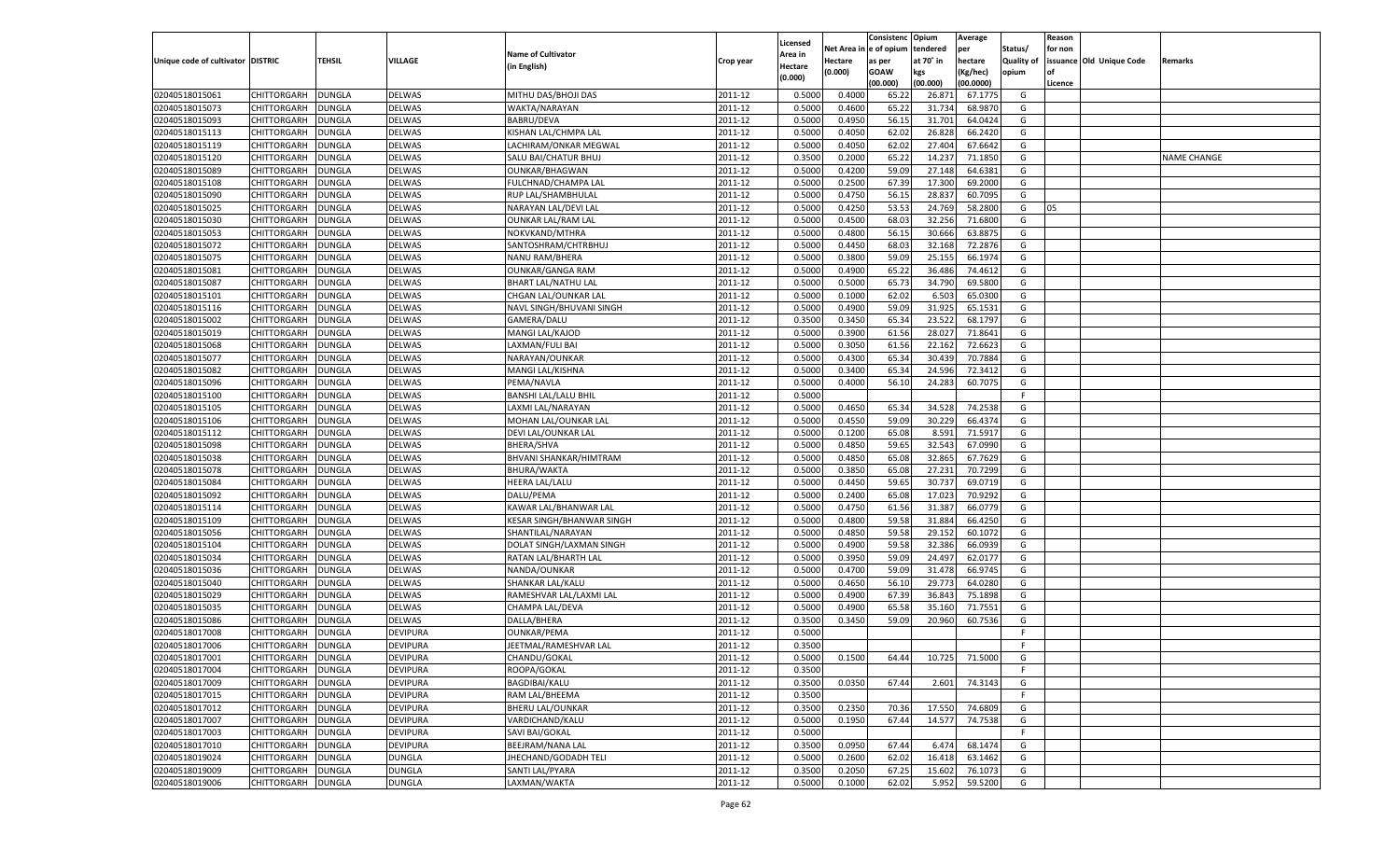|                                   |                                          |                                |                                    |                              |                    |                           |          | Consistenc  | Opium     | Average        |                   | Reason  |                          |                    |
|-----------------------------------|------------------------------------------|--------------------------------|------------------------------------|------------------------------|--------------------|---------------------------|----------|-------------|-----------|----------------|-------------------|---------|--------------------------|--------------------|
|                                   |                                          |                                |                                    | <b>Name of Cultivator</b>    |                    | Licensed                  | Net Area | e of opium  | tendered  | per            | Status/           | for non |                          |                    |
| Unique code of cultivator DISTRIC |                                          | <b>TEHSIL</b>                  | VILLAGE                            | (in English)                 | Crop year          | <b>Area in</b><br>Hectare | Hectare  | as per      | at 70° in | hectare        | <b>Quality of</b> |         | issuance Old Unique Code | Remarks            |
|                                   |                                          |                                |                                    |                              |                    | (0.000)                   | (0.000)  | <b>GOAW</b> | kgs       | (Kg/hec)       | opium             |         |                          |                    |
|                                   |                                          |                                |                                    |                              |                    |                           |          | (00.000)    | (00.000)  | (00.0000)      |                   | Licence |                          |                    |
| 02040518015061                    | CHITTORGARH                              | <b>DUNGLA</b>                  | DELWAS                             | MITHU DAS/BHOJI DAS          | 2011-12            | 0.5000                    | 0.4000   | 65.2        | 26.871    | 67.1775        | G                 |         |                          |                    |
| 02040518015073                    | CHITTORGARH                              | DUNGLA                         | DELWAS                             | WAKTA/NARAYAN                | 2011-12            | 0.5000                    | 0.4600   | 65.2        | 31.734    | 68.9870        | G                 |         |                          |                    |
| 02040518015093                    | CHITTORGARH                              | DUNGLA                         | DELWAS                             | BABRU/DEVA                   | 2011-12            | 0.5000                    | 0.4950   | 56.15       | 31.701    | 64.0424        | G                 |         |                          |                    |
| 02040518015113                    | CHITTORGARH                              | DUNGLA                         | DELWAS                             | KISHAN LAL/CHMPA LAL         | 2011-12            | 0.5000                    | 0.4050   | 62.02       | 26.828    | 66.2420        | G                 |         |                          |                    |
| 02040518015119                    | CHITTORGARH                              | DUNGLA                         | DELWAS                             | LACHIRAM/ONKAR MEGWAL        | 2011-12            | 0.5000                    | 0.4050   | 62.02       | 27.404    | 67.6642        | G                 |         |                          |                    |
| 02040518015120                    | CHITTORGARH                              | DUNGLA                         | DELWAS                             | SALU BAI/CHATUR BHUJ         | 2011-12            | 0.3500                    | 0.2000   | 65.22       | 14.23     | 71.1850        | G                 |         |                          | <b>NAME CHANGE</b> |
| 02040518015089                    | CHITTORGARH                              | DUNGLA                         | DELWAS                             | <b>OUNKAR/BHAGWAN</b>        | 2011-12            | 0.5000                    | 0.4200   | 59.09       | 27.148    | 64.6381        | G                 |         |                          |                    |
| 02040518015108                    | CHITTORGARH                              | DUNGLA                         | DELWAS                             | FULCHNAD/CHAMPA LAL          | 2011-12            | 0.5000                    | 0.2500   | 67.39       | 17.300    | 69.2000        | G                 |         |                          |                    |
| 02040518015090                    | CHITTORGARH                              | DUNGLA                         | DELWAS                             | RUP LAL/SHAMBHULAL           | 2011-12            | 0.5000                    | 0.4750   | 56.15       | 28.83     | 60.7095        | G                 |         |                          |                    |
| 02040518015025                    | CHITTORGARH                              | DUNGLA                         | DELWAS                             | NARAYAN LAL/DEVI LAL         | 2011-12            | 0.5000                    | 0.4250   | 53.53       | 24.769    | 58.2800        | G                 | 05      |                          |                    |
| 02040518015030                    | CHITTORGARH                              | DUNGLA                         | DELWAS                             | <b>OUNKAR LAL/RAM LAL</b>    | 2011-12            | 0.5000                    | 0.4500   | 68.03       | 32.256    | 71.6800        | G                 |         |                          |                    |
| 02040518015053                    | CHITTORGARH                              | DUNGLA                         | DELWAS                             | NOKVKAND/MTHRA               | 2011-12            | 0.5000                    | 0.4800   | 56.15       | 30.666    | 63.887         | G                 |         |                          |                    |
| 02040518015072                    | CHITTORGARH                              | DUNGLA                         | DELWAS                             | SANTOSHRAM/CHTRBHUJ          | 2011-12            | 0.5000                    | 0.4450   | 68.03       | 32.168    | 72.2876        | G                 |         |                          |                    |
| 02040518015075                    | CHITTORGARH                              | DUNGLA                         | DELWAS                             | <b>NANU RAM/BHERA</b>        | 2011-12            | 0.5000                    | 0.3800   | 59.09       | 25.155    | 66.1974        | G                 |         |                          |                    |
| 02040518015081                    | CHITTORGARH                              | DUNGLA                         | DELWAS                             | <b>OUNKAR/GANGA RAM</b>      | 2011-12            | 0.5000                    | 0.4900   | 65.22       | 36.486    | 74.4612        | G                 |         |                          |                    |
| 02040518015087                    | CHITTORGARH                              | DUNGLA                         | DELWAS                             | <b>BHART LAL/NATHU LAL</b>   | 2011-12            | 0.5000                    | 0.5000   | 65.73       | 34.790    | 69.5800        | G                 |         |                          |                    |
| 02040518015101                    | CHITTORGARH                              | DUNGLA                         | DELWAS                             | CHGAN LAL/OUNKAR LAI         | 2011-12            | 0.5000                    | 0.1000   | 62.02       | 6.503     | 65.0300        | G                 |         |                          |                    |
| 02040518015116                    | CHITTORGARH                              | DUNGLA                         | DELWAS                             | NAVL SINGH/BHUVANI SINGH     | 2011-12            | 0.5000                    | 0.4900   | 59.09       | 31.925    | 65.1531        | G                 |         |                          |                    |
| 02040518015002                    | CHITTORGARH                              | DUNGLA                         | DELWAS                             | GAMERA/DALU                  | 2011-12            | 0.3500                    | 0.3450   | 65.34       | 23.522    | 68.1797        | G                 |         |                          |                    |
| 02040518015019                    | CHITTORGARH                              | DUNGLA                         | DELWAS                             | MANGI LAL/KAJOD              | 2011-12            | 0.5000                    | 0.3900   | 61.56       | 28.027    | 71.8641        | G                 |         |                          |                    |
| 02040518015068                    | CHITTORGARH                              | DUNGLA                         | DELWAS                             | LAXMAN/FULI BAI              | 2011-12            | 0.5000                    | 0.3050   | 61.56       | 22.162    | 72.6623        | G                 |         |                          |                    |
| 02040518015077                    | CHITTORGARH                              | DUNGLA                         | DELWAS                             | NARAYAN/OUNKAR               | 2011-12            | 0.5000                    | 0.4300   | 65.34       | 30.439    | 70.7884        | G                 |         |                          |                    |
| 02040518015082                    | CHITTORGARH                              | DUNGLA                         | DELWAS                             | MANGI LAL/KISHNA             | 2011-12            | 0.5000                    | 0.3400   | 65.34       | 24.596    | 72.3412        | G                 |         |                          |                    |
| 02040518015096                    | CHITTORGARH                              | DUNGLA                         | DELWAS                             | PEMA/NAVLA                   | 2011-12            | 0.5000                    | 0.4000   | 56.10       | 24.283    | 60.7075        | G                 |         |                          |                    |
| 02040518015100                    | CHITTORGARH                              | DUNGLA                         | DELWAS                             | <b>BANSHI LAL/LALU BHIL</b>  | 2011-12            | 0.5000                    |          |             |           |                | F                 |         |                          |                    |
| 02040518015105                    | CHITTORGARH                              | DUNGLA                         | DELWAS                             | LAXMI LAL/NARAYAN            | 2011-12            | 0.5000                    | 0.4650   | 65.34       | 34.528    | 74.2538        | G                 |         |                          |                    |
| 02040518015106                    | CHITTORGARH                              | DUNGLA                         | DELWAS                             | MOHAN LAL/OUNKAR LAL         | 2011-12            | 0.5000                    | 0.4550   | 59.09       | 30.229    | 66.4374        | G                 |         |                          |                    |
| 02040518015112                    | CHITTORGARH                              | DUNGLA                         | DELWAS                             | DEVI LAL/OUNKAR LAL          | 2011-12            | 0.5000                    | 0.1200   | 65.08       | 8.591     | 71.5917        | G                 |         |                          |                    |
| 02040518015098                    | CHITTORGARH                              | DUNGLA                         | DELWAS                             | BHERA/SHVA                   | 2011-12            | 0.5000                    | 0.4850   | 59.65       | 32.543    | 67.0990        | G                 |         |                          |                    |
| 02040518015038                    | CHITTORGARH                              | <b>DUNGLA</b>                  | DELWAS                             | BHVANI SHANKAR/HIMTRAM       | 2011-12            | 0.5000                    | 0.4850   | 65.08       | 32.865    | 67.7629        | G                 |         |                          |                    |
| 02040518015078                    | CHITTORGARH                              | <b>DUNGLA</b>                  | DELWAS                             | <b>BHURA/WAKTA</b>           | 2011-12            | 0.5000                    | 0.3850   | 65.08       | 27.231    | 70.7299        | G                 |         |                          |                    |
| 02040518015084                    | CHITTORGARH                              | DUNGLA                         | DELWAS                             | <b>HEERA LAL/LALU</b>        | 2011-12            | 0.5000                    | 0.4450   | 59.65       | 30.73     | 69.0719        | G                 |         |                          |                    |
| 02040518015092                    | CHITTORGARH                              | DUNGLA                         | DELWAS                             | DALU/PEMA                    | 2011-12            | 0.5000                    | 0.2400   | 65.08       | 17.023    | 70.9292        | G                 |         |                          |                    |
| 02040518015114                    | CHITTORGARH                              | DUNGLA                         | DELWAS                             | KAWAR LAL/BHANWAR LAL        | 2011-12            | 0.5000                    | 0.4750   | 61.56       | 31.387    | 66.0779        | G                 |         |                          |                    |
| 02040518015109                    | CHITTORGARH                              | <b>DUNGLA</b>                  | DELWAS                             | KESAR SINGH/BHANWAR SINGH    | 2011-12            | 0.5000                    | 0.4800   | 59.58       | 31.884    | 66.4250        | G                 |         |                          |                    |
| 02040518015056                    | CHITTORGARH                              | DUNGLA                         | DELWAS                             | SHANTILAL/NARAYAN            | 2011-12            | 0.5000                    | 0.4850   | 59.58       | 29.152    | 60.1072        | G                 |         |                          |                    |
| 02040518015104                    | CHITTORGARH                              | DUNGLA                         | DELWAS                             | DOLAT SINGH/LAXMAN SINGH     | 2011-12            | 0.5000                    | 0.4900   | 59.58       | 32.386    | 66.0939        | G                 |         |                          |                    |
| 02040518015034                    | CHITTORGARH                              | DUNGLA                         | DELWAS                             | RATAN LAL/BHARTH LAL         | 2011-12            | 0.5000                    | 0.3950   | 59.09       | 24.497    | 62.0177        | G                 |         |                          |                    |
| 02040518015036                    | CHITTORGARH                              | <b>DUNGLA</b>                  | DELWAS                             | NANDA/OUNKAR                 | 2011-12            | 0.5000                    | 0.4700   | 59.09       | 31.478    | 66.9745        | G                 |         |                          |                    |
| 02040518015040                    | CHITTORGARH                              | DUNGLA                         | DELWAS                             | SHANKAR LAL/KALU             | 2011-12            | 0.5000                    | 0.4650   | 56.10       | 29.773    | 64.0280        | G                 |         |                          |                    |
| 02040518015029                    | CHITTORGARH                              | DUNGLA                         | DELWAS                             | RAMESHVAR LAL/LAXMI LAL      | 2011-12            | 0.5000                    | 0.4900   | 67.39       | 36.84     | 75.1898        | G                 |         |                          |                    |
| 02040518015035                    | CHITTORGARH                              | DUNGLA                         | DELWAS                             | CHAMPA LAL/DEVA              | 2011-12            | 0.5000                    | 0.4900   | 65.58       | 35.16     | 71.7551        | G                 |         |                          |                    |
| 02040518015086                    | CHITTORGARH                              | DUNGLA                         | DELWAS                             | DALLA/BHERA                  | 2011-12            | 0.3500                    | 0.3450   | 59.09       | 20.960    | 60.7536        | G                 |         |                          |                    |
| 02040518017008                    | CHITTORGARH                              | DUNGLA                         | <b>DEVIPURA</b>                    | <b>OUNKAR/PEMA</b>           | 2011-12            | 0.5000                    |          |             |           |                | F                 |         |                          |                    |
| 02040518017006                    | CHITTORGARH                              | <b>DUNGLA</b>                  | DEVIPURA                           | JEETMAL/RAMESHVAR LAL        | 2011-12            | 0.3500                    |          |             |           |                | F                 |         |                          |                    |
| 02040518017001                    | CHITTORGARH   DUNGLA                     |                                | <b>DEVIPURA</b>                    | CHANDU/GOKAL                 |                    | 0.5000                    |          | 64.44       |           |                | G                 |         |                          |                    |
|                                   |                                          |                                |                                    |                              | 2011-12            |                           | 0.1500   |             |           | 10.725 71.5000 |                   |         |                          |                    |
| 02040518017004<br>02040518017009  | <b>CHITTORGARH</b><br><b>CHITTORGARH</b> | <b>DUNGLA</b><br><b>DUNGLA</b> | <b>DEVIPURA</b><br><b>DEVIPURA</b> | ROOPA/GOKAL<br>BAGDIBAI/KALU | 2011-12<br>2011-12 | 0.3500<br>0.3500          | 0.0350   | 67.44       | 2.601     | 74.3143        | -F<br>G           |         |                          |                    |
|                                   |                                          |                                | <b>DEVIPURA</b>                    |                              |                    | 0.3500                    |          |             |           |                | F                 |         |                          |                    |
| 02040518017015                    | <b>CHITTORGARH</b>                       | <b>DUNGLA</b>                  |                                    | RAM LAL/BHEEMA               | 2011-12            |                           |          |             |           |                |                   |         |                          |                    |
| 02040518017012                    | <b>CHITTORGARH</b>                       | <b>DUNGLA</b>                  | <b>DEVIPURA</b>                    | <b>BHERU LAL/OUNKAR</b>      | 2011-12            | 0.3500                    | 0.2350   | 70.36       | 17.550    | 74.6809        | G                 |         |                          |                    |
| 02040518017007                    | <b>CHITTORGARH</b>                       | <b>DUNGLA</b>                  | <b>DEVIPURA</b>                    | VARDICHAND/KALU              | 2011-12            | 0.5000                    | 0.1950   | 67.44       | 14.577    | 74.7538        | G                 |         |                          |                    |
| 02040518017003                    | <b>CHITTORGARH</b>                       | <b>DUNGLA</b>                  | <b>DEVIPURA</b>                    | SAVI BAI/GOKAL               | 2011-12            | 0.5000                    |          |             |           |                | F.                |         |                          |                    |
| 02040518017010                    | <b>CHITTORGARH</b>                       | <b>DUNGLA</b>                  | <b>DEVIPURA</b>                    | <b>BEEJRAM/NANA LAL</b>      | 2011-12            | 0.3500                    | 0.0950   | 67.44       | 6.474     | 68.1474        | G                 |         |                          |                    |
| 02040518019024                    | <b>CHITTORGARH</b>                       | <b>DUNGLA</b>                  | <b>DUNGLA</b>                      | JHECHAND/GODADH TELI         | 2011-12            | 0.5000                    | 0.2600   | 62.02       | 16.418    | 63.1462        | G                 |         |                          |                    |
| 02040518019009                    | <b>CHITTORGARH</b>                       | <b>DUNGLA</b>                  | <b>DUNGLA</b>                      | SANTI LAL/PYARA              | 2011-12            | 0.3500                    | 0.2050   | 67.25       | 15.602    | 76.1073        | G                 |         |                          |                    |
| 02040518019006                    | <b>CHITTORGARH</b>                       | <b>DUNGLA</b>                  | <b>DUNGLA</b>                      | LAXMAN/WAKTA                 | 2011-12            | 0.5000                    | 0.1000   | 62.02       | 5.952     | 59.5200        | G                 |         |                          |                    |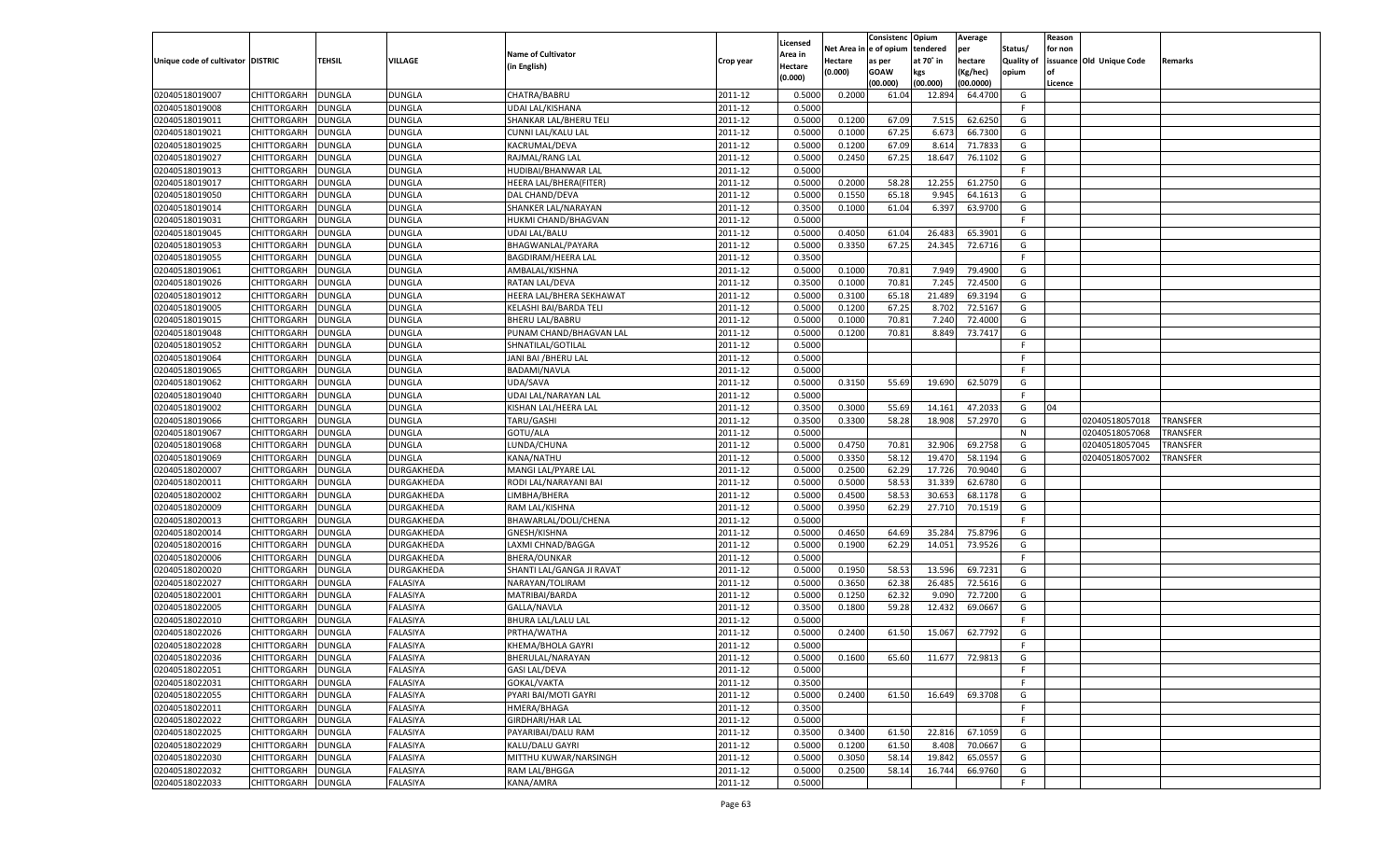|                                   |                    |               |                                    |                                       |                    |                     |             | Consistenc    | Opium     | Average        |                   | Reason  |                          |          |
|-----------------------------------|--------------------|---------------|------------------------------------|---------------------------------------|--------------------|---------------------|-------------|---------------|-----------|----------------|-------------------|---------|--------------------------|----------|
|                                   |                    |               |                                    | <b>Name of Cultivator</b>             |                    | Licensed<br>Area in | Net Area iı | n  e of opium | tendered  | per            | Status/           | for non |                          |          |
| Unique code of cultivator DISTRIC |                    | TEHSIL        | VILLAGE                            | (in English)                          | Crop year          | Hectare             | Hectare     | as per        | at 70° in | hectare        | <b>Quality of</b> |         | issuance Old Unique Code | Remarks  |
|                                   |                    |               |                                    |                                       |                    | (0.000)             | (0.000)     | <b>GOAW</b>   | kgs       | (Kg/hec)       | opium             |         |                          |          |
|                                   |                    |               |                                    |                                       |                    |                     |             | (00.000)      | (00.000)  | (00.0000)      |                   | Licence |                          |          |
| 02040518019007                    | CHITTORGARH        | DUNGLA        | <b>DUNGLA</b>                      | CHATRA/BABRU                          | 2011-12            | 0.5000              | 0.2000      | 61.04         | 12.894    | 64.4700        | G                 |         |                          |          |
| 02040518019008                    | CHITTORGARH        | DUNGLA        | <b>DUNGLA</b>                      | <b>UDAI LAL/KISHANA</b>               | 2011-12            | 0.5000              |             |               |           |                | E                 |         |                          |          |
| 02040518019011                    | CHITTORGARH        | DUNGLA        | <b>DUNGLA</b>                      | SHANKAR LAL/BHERU TELI                | 2011-12            | 0.5000              | 0.1200      | 67.09         | 7.515     | 62.6250        | G                 |         |                          |          |
| 02040518019021                    | CHITTORGARH        | DUNGLA        | <b>DUNGLA</b>                      | CUNNI LAL/KALU LAL                    | 2011-12            | 0.5000              | 0.1000      | 67.25         | 6.673     | 66.7300        | G                 |         |                          |          |
| 02040518019025                    | CHITTORGARH        | DUNGLA        | <b>DUNGLA</b>                      | KACRUMAL/DEVA                         | 2011-12            | 0.5000              | 0.1200      | 67.09         | 8.614     | 71.7833        | G                 |         |                          |          |
| 02040518019027                    | CHITTORGARH        | DUNGLA        | <b>DUNGLA</b>                      | RAJMAL/RANG LAL                       | 2011-12            | 0.5000              | 0.2450      | 67.25         | 18.647    | 76.1102        | G                 |         |                          |          |
| 02040518019013                    | CHITTORGARH        | DUNGLA        | <b>DUNGLA</b>                      | HUDIBAI/BHANWAR LAL                   | 2011-12            | 0.5000              |             |               |           |                | F.                |         |                          |          |
| 02040518019017                    | CHITTORGARH        | DUNGLA        | <b>DUNGLA</b>                      | HEERA LAL/BHERA(FITER)                | 2011-12            | 0.5000              | 0.2000      | 58.28         | 12.255    | 61.2750        | G                 |         |                          |          |
| 02040518019050                    | CHITTORGARH        | DUNGLA        | <b>DUNGLA</b>                      | DAL CHAND/DEVA                        | 2011-12            | 0.5000              | 0.1550      | 65.18         | 9.945     | 64.1613        | G                 |         |                          |          |
| 02040518019014                    | CHITTORGARH        | DUNGLA        | <b>DUNGLA</b>                      | SHANKER LAL/NARAYAN                   | 2011-12            | 0.3500              | 0.1000      | 61.04         | 6.397     | 63.9700        | G                 |         |                          |          |
| 02040518019031                    | CHITTORGARH        | DUNGLA        | <b>DUNGLA</b>                      | HUKMI CHAND/BHAGVAN                   | 2011-12            | 0.5000              |             |               |           |                | F.                |         |                          |          |
| 02040518019045                    | CHITTORGARH        | DUNGLA        | <b>DUNGLA</b>                      | <b>UDAI LAL/BALU</b>                  | 2011-12            | 0.5000              | 0.4050      | 61.04         | 26.483    | 65.3901        | G                 |         |                          |          |
| 02040518019053                    | CHITTORGARH        | DUNGLA        | <b>DUNGLA</b>                      | BHAGWANLAL/PAYARA                     | 2011-12            | 0.5000              | 0.3350      | 67.25         | 24.345    | 72.6716        | G                 |         |                          |          |
| 02040518019055                    | CHITTORGARH        | DUNGLA        | <b>DUNGLA</b>                      | BAGDIRAM/HEERA LAL                    | 2011-12            | 0.3500              |             |               |           |                | F.                |         |                          |          |
| 02040518019061                    | CHITTORGARH        | DUNGLA        | <b>DUNGLA</b>                      | AMBALAL/KISHNA                        | 2011-12            | 0.5000              | 0.1000      | 70.81         | 7.949     | 79.4900        | G                 |         |                          |          |
| 02040518019026                    | CHITTORGARH        | DUNGLA        | <b>DUNGLA</b>                      | RATAN LAL/DEVA                        | 2011-12            | 0.3500              | 0.1000      | 70.81         | 7.245     | 72.4500        | G                 |         |                          |          |
| 02040518019012                    | CHITTORGARH        | DUNGLA        | <b>DUNGLA</b>                      | HEERA LAL/BHERA SEKHAWAT              | 2011-12            | 0.5000              | 0.3100      | 65.18         | 21.489    | 69.3194        | G                 |         |                          |          |
| 02040518019005                    | CHITTORGARH        | DUNGLA        | <b>DUNGLA</b>                      | KELASHI BAI/BARDA TELI                | 2011-12            | 0.5000              | 0.1200      | 67.25         | 8.702     | 72.5167        | G                 |         |                          |          |
| 02040518019015                    | CHITTORGARH        | DUNGLA        | <b>DUNGLA</b>                      | <b>BHERU LAL/BABRU</b>                | 2011-12            | 0.5000              | 0.1000      | 70.81         | 7.240     | 72.4000        | G                 |         |                          |          |
| 02040518019048                    | CHITTORGARH        | DUNGLA        | <b>DUNGLA</b>                      | PUNAM CHAND/BHAGVAN LAL               | 2011-12            | 0.5000              | 0.1200      | 70.81         | 8.849     | 73.7417        | G                 |         |                          |          |
| 02040518019052                    | CHITTORGARH        | DUNGLA        | <b>DUNGLA</b>                      | SHNATILAL/GOTILAL                     | 2011-12            | 0.5000              |             |               |           |                | F.                |         |                          |          |
| 02040518019064                    | CHITTORGARH        | DUNGLA        | <b>DUNGLA</b>                      | JANI BAI / BHERU LAL                  | 2011-12            | 0.5000              |             |               |           |                | F.                |         |                          |          |
| 02040518019065                    | CHITTORGARH        | DUNGLA        | <b>DUNGLA</b>                      | <b>BADAMI/NAVLA</b>                   | 2011-12            | 0.5000              |             |               |           |                | F.                |         |                          |          |
| 02040518019062                    | CHITTORGARH        | DUNGLA        | <b>DUNGLA</b>                      | UDA/SAVA                              | 2011-12            | 0.5000              | 0.3150      | 55.69         | 19.690    | 62.5079        | G                 |         |                          |          |
| 02040518019040                    | CHITTORGARH        | DUNGLA        | <b>DUNGLA</b>                      | UDAI LAL/NARAYAN LAL                  | 2011-12            | 0.5000              |             |               |           |                | F.                |         |                          |          |
| 02040518019002                    | CHITTORGARH        | DUNGLA        | <b>DUNGLA</b>                      | KISHAN LAL/HEERA LAL                  | 2011-12            | 0.3500              | 0.3000      | 55.69         | 14.161    | 47.2033        | G                 | 04      |                          |          |
| 02040518019066                    | CHITTORGARH        | DUNGLA        | <b>DUNGLA</b>                      | TARU/GASHI                            | 2011-12            | 0.3500              | 0.3300      | 58.28         | 18.908    | 57.2970        | G                 |         | 02040518057018           | TRANSFER |
| 02040518019067                    | CHITTORGARH        | DUNGLA        | <b>DUNGLA</b>                      | GOTU/ALA                              | 2011-12            | 0.5000              |             |               |           |                | N                 |         | 02040518057068           | TRANSFER |
| 02040518019068                    | CHITTORGARH        | DUNGLA        | <b>DUNGLA</b>                      | LUNDA/CHUNA                           | 2011-12            | 0.5000              | 0.4750      | 70.81         | 32.906    | 69.2758        | G                 |         | 02040518057045           | TRANSFER |
| 02040518019069                    | CHITTORGARH        | DUNGLA        | <b>DUNGLA</b>                      | KANA/NATHU                            | 2011-12            | 0.5000              | 0.3350      | 58.12         | 19.470    | 58.1194        | G                 |         | 02040518057002           | TRANSFER |
| 02040518020007                    | CHITTORGARH        | DUNGLA        | DURGAKHEDA                         | MANGI LAL/PYARE LAL                   | 2011-12            | 0.5000              | 0.2500      | 62.29         | 17.726    | 70.9040        | G                 |         |                          |          |
| 02040518020011                    | CHITTORGARH        | DUNGLA        | DURGAKHEDA                         | RODI LAL/NARAYANI BAI                 | 2011-12            | 0.5000              | 0.5000      | 58.53         | 31.339    | 62.6780        | G                 |         |                          |          |
| 02040518020002                    | CHITTORGARH        | DUNGLA        | DURGAKHEDA                         | LIMBHA/BHERA                          | 2011-12            | 0.5000              | 0.4500      | 58.53         | 30.653    | 68.1178        | G                 |         |                          |          |
| 02040518020009                    | CHITTORGARH        | DUNGLA        | DURGAKHEDA                         | RAM LAL/KISHNA                        | 2011-12            | 0.5000              | 0.3950      | 62.29         | 27.710    | 70.1519        | G                 |         |                          |          |
| 02040518020013                    | CHITTORGARH        | DUNGLA        | DURGAKHEDA                         | BHAWARLAL/DOLI/CHENA                  | 2011-12            | 0.5000              |             |               |           |                | F.                |         |                          |          |
| 02040518020014                    | CHITTORGARH        | DUNGLA        | DURGAKHEDA                         | GNESH/KISHNA                          | 2011-12            | 0.5000              | 0.4650      | 64.69         | 35.284    | 75.8796        | G                 |         |                          |          |
| 02040518020016                    | CHITTORGARH        | DUNGLA        | DURGAKHEDA                         | LAXMI CHNAD/BAGGA                     | 2011-12            | 0.5000              | 0.1900      | 62.29         | 14.051    | 73.9526        | G                 |         |                          |          |
| 02040518020006                    | CHITTORGARH        | DUNGLA        | DURGAKHEDA                         | <b>BHERA/OUNKAR</b>                   | 2011-12            | 0.5000              |             |               |           |                | F.                |         |                          |          |
| 02040518020020                    | CHITTORGARH        | DUNGLA        | DURGAKHEDA                         | SHANTI LAL/GANGA JI RAVAT             | 2011-12            | 0.5000              | 0.1950      | 58.53         | 13.596    | 69.7231        | G                 |         |                          |          |
| 02040518022027                    | CHITTORGARH        | DUNGLA        | FALASIYA                           | NARAYAN/TOLIRAM                       | 2011-12            | 0.5000              | 0.3650      | 62.38         | 26.485    | 72.5616        | G                 |         |                          |          |
| 02040518022001                    | CHITTORGARH        | DUNGLA        | FALASIYA                           | MATRIBAI/BARDA                        | 2011-12            | 0.5000              | 0.1250      | 62.32         | 9.090     | 72.7200        | G                 |         |                          |          |
| 02040518022005                    | CHITTORGARH        | DUNGLA        | FALASIYA                           | GALLA/NAVLA                           | 2011-12            | 0.3500              | 0.1800      | 59.28         | 12.432    | 69.0667        | G                 |         |                          |          |
| 02040518022010                    | CHITTORGARH        | DUNGLA        | FALASIYA                           | BHURA LAL/LALU LAL                    | 2011-12            | 0.5000              |             |               |           |                | F.                |         |                          |          |
| 02040518022026                    | CHITTORGARH        | DUNGLA        | FALASIYA                           | PRTHA/WATHA                           | 2011-12            | 0.5000              | 0.2400      | 61.50         | 15.067    | 62.7792        | G                 |         |                          |          |
| 02040518022028                    |                    | <b>DUNGLA</b> | FALASIYA                           |                                       |                    | 0.5000              |             |               |           |                | F.                |         |                          |          |
|                                   | CHITTORGARH        |               |                                    | KHEMA/BHOLA GAYRI<br>BHERULAL/NARAYAN | 2011-12            |                     |             |               |           |                |                   |         |                          |          |
| 02040518022036                    | CHITTORGARH DUNGLA |               | <b>FALASIYA</b><br><b>FALASIYA</b> |                                       | 2011-12<br>2011-12 | 0.5000<br>0.5000    | 0.1600      | 65.60         |           | 11.677 72.9813 | G<br>-F           |         |                          |          |
| 02040518022051                    | <b>CHITTORGARH</b> | <b>DUNGLA</b> |                                    | <b>GASI LAL/DEVA</b>                  |                    |                     |             |               |           |                |                   |         |                          |          |
| 02040518022031                    | <b>CHITTORGARH</b> | <b>DUNGLA</b> | FALASIYA                           | GOKAL/VAKTA                           | 2011-12            | 0.3500              |             |               |           |                | F.                |         |                          |          |
| 02040518022055                    | CHITTORGARH        | <b>DUNGLA</b> | FALASIYA                           | PYARI BAI/MOTI GAYRI                  | 2011-12            | 0.5000              | 0.2400      | 61.50         | 16.649    | 69.3708        | G                 |         |                          |          |
| 02040518022011                    | CHITTORGARH        | <b>DUNGLA</b> | FALASIYA                           | HMERA/BHAGA                           | 2011-12            | 0.3500              |             |               |           |                | F.                |         |                          |          |
| 02040518022022                    | CHITTORGARH        | <b>DUNGLA</b> | <b>FALASIYA</b>                    | <b>GIRDHARI/HAR LAL</b>               | 2011-12            | 0.5000              |             |               |           |                | F                 |         |                          |          |
| 02040518022025                    | CHITTORGARH        | <b>DUNGLA</b> | FALASIYA                           | PAYARIBAI/DALU RAM                    | 2011-12            | 0.3500              | 0.3400      | 61.50         | 22.816    | 67.1059        | G                 |         |                          |          |
| 02040518022029                    | CHITTORGARH        | <b>DUNGLA</b> | <b>FALASIYA</b>                    | KALU/DALU GAYRI                       | 2011-12            | 0.5000              | 0.1200      | 61.50         | 8.408     | 70.0667        | G                 |         |                          |          |
| 02040518022030                    | <b>CHITTORGARH</b> | <b>DUNGLA</b> | FALASIYA                           | MITTHU KUWAR/NARSINGH                 | 2011-12            | 0.5000              | 0.3050      | 58.14         | 19.842    | 65.0557        | G                 |         |                          |          |
| 02040518022032                    | <b>CHITTORGARH</b> | <b>DUNGLA</b> | <b>FALASIYA</b>                    | RAM LAL/BHGGA                         | 2011-12            | 0.5000              | 0.2500      | 58.14         | 16.744    | 66.9760        | G                 |         |                          |          |
| 02040518022033                    | <b>CHITTORGARH</b> | <b>DUNGLA</b> | FALASIYA                           | KANA/AMRA                             | 2011-12            | 0.5000              |             |               |           |                | F.                |         |                          |          |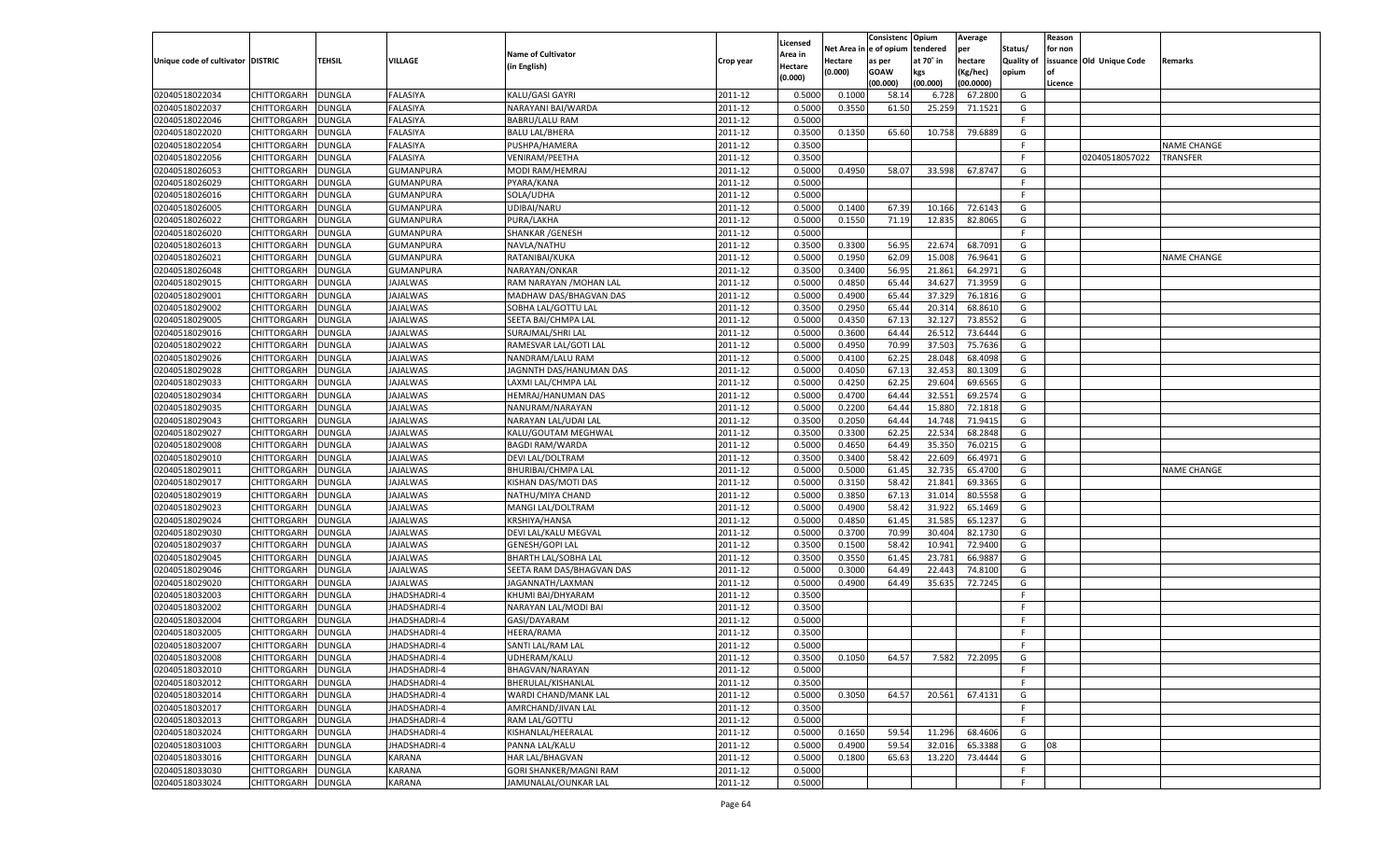|                                   |                    |               |                             |                                                          |                    |                     |                  | Consistenc    | Opium            | Average       |                   | Reason  |                          |                    |
|-----------------------------------|--------------------|---------------|-----------------------------|----------------------------------------------------------|--------------------|---------------------|------------------|---------------|------------------|---------------|-------------------|---------|--------------------------|--------------------|
|                                   |                    |               |                             | <b>Name of Cultivator</b>                                |                    | Licensed<br>Area in | Net Area iı      | n  e of opium | tendered         | per           | Status/           | for non |                          |                    |
| Unique code of cultivator DISTRIC |                    | TEHSIL        | <b>VILLAGE</b>              | (in English)                                             | Crop year          | Hectare             | Hectare          | as per        | at 70° in        | hectare       | <b>Quality of</b> |         | issuance Old Unique Code | Remarks            |
|                                   |                    |               |                             |                                                          |                    | (0.000)             | (0.000)          | <b>GOAW</b>   | kgs              | (Kg/hec)      | opium             |         |                          |                    |
|                                   |                    |               |                             |                                                          |                    |                     |                  | (00.000)      | (00.000)         | (00.0000)     |                   | Licence |                          |                    |
| 02040518022034                    | CHITTORGARH        | DUNGLA        | <b>FALASIYA</b>             | KALU/GASI GAYRI                                          | 2011-12            | 0.5000              | 0.1000           | 58.14         | 6.728            | 67.2800       | G                 |         |                          |                    |
| 02040518022037                    | CHITTORGARH        | DUNGLA        | FALASIYA                    | NARAYANI BAI/WARDA                                       | 2011-12            | 0.5000              | 0.3550           | 61.50         | 25.259           | 71.1521       | G                 |         |                          |                    |
| 02040518022046                    | CHITTORGARH        | DUNGLA        | FALASIYA                    | <b>BABRU/LALU RAM</b>                                    | 2011-12            | 0.5000              |                  |               |                  |               | F.                |         |                          |                    |
| 02040518022020                    | CHITTORGARH        | DUNGLA        | FALASIYA                    | <b>BALU LAL/BHERA</b>                                    | 2011-12            | 0.3500              | 0.1350           | 65.60         | 10.758           | 79.6889       | G                 |         |                          |                    |
| 02040518022054                    | CHITTORGARH        | DUNGLA        | FALASIYA                    | PUSHPA/HAMERA                                            | 2011-12            | 0.3500              |                  |               |                  |               | F.                |         |                          | <b>NAME CHANGE</b> |
| 02040518022056                    | CHITTORGARH        | DUNGLA        | FALASIYA                    | <b>VENIRAM/PEETHA</b>                                    | 2011-12            | 0.3500              |                  |               |                  |               | F.                |         | 02040518057022           | TRANSFER           |
| 02040518026053                    | CHITTORGARH        | DUNGLA        | GUMANPURA                   | MODI RAM/HEMRAJ                                          | 2011-12            | 0.5000              | 0.4950           | 58.07         | 33.598           | 67.8747       | G                 |         |                          |                    |
| 02040518026029                    | CHITTORGARH        | DUNGLA        | GUMANPURA                   | PYARA/KANA                                               | 2011-12            | 0.5000              |                  |               |                  |               | E                 |         |                          |                    |
| 02040518026016                    | CHITTORGARH        | DUNGLA        | GUMANPURA                   | SOLA/UDHA                                                | 2011-12            | 0.5000              |                  |               |                  |               | F.                |         |                          |                    |
| 02040518026005                    | CHITTORGARH        | DUNGLA        | <b>GUMANPURA</b>            | UDIBAI/NARU                                              | 2011-12            | 0.5000              | 0.1400           | 67.39         | 10.166           | 72.6143       | G                 |         |                          |                    |
| 02040518026022                    | CHITTORGARH        | DUNGLA        | GUMANPURA                   | PURA/LAKHA                                               | 2011-12            | 0.5000              | 0.1550           | 71.19         | 12.835           | 82.8065       | G                 |         |                          |                    |
| 02040518026020                    | CHITTORGARH        | DUNGLA        | <b>GUMANPURA</b>            | <b>SHANKAR / GENESH</b>                                  | 2011-12            | 0.5000              |                  |               |                  |               | E                 |         |                          |                    |
| 02040518026013                    | CHITTORGARH        | DUNGLA        | GUMANPURA                   | NAVLA/NATHU                                              | 2011-12            | 0.3500              | 0.3300           | 56.95         | 22.674           | 68.7091       | G                 |         |                          |                    |
| 02040518026021                    | CHITTORGARH        | DUNGLA        | GUMANPURA                   | RATANIBAI/KUKA                                           | 2011-12            | 0.5000              | 0.1950           | 62.09         | 15.008           | 76.9641       | G                 |         |                          | NAME CHANGE        |
| 02040518026048                    | CHITTORGARH        | DUNGLA        | GUMANPURA                   | NARAYAN/ONKAR                                            | 2011-12            | 0.3500              | 0.3400           | 56.95         | 21.861           | 64.2971       | G                 |         |                          |                    |
| 02040518029015                    | CHITTORGARH        | DUNGLA        | JAJALWAS                    | RAM NARAYAN / MOHAN LAL                                  | 2011-12            | 0.5000              | 0.4850           | 65.44         | 34.627           | 71.3959       | G                 |         |                          |                    |
| 02040518029001                    | CHITTORGARH        | DUNGLA        | <b>JAJALWAS</b>             | MADHAW DAS/BHAGVAN DAS                                   | 2011-12            | 0.5000              | 0.4900           | 65.44         | 37.329           | 76.1816       | G                 |         |                          |                    |
| 02040518029002                    | CHITTORGARH        | DUNGLA        | JAJALWAS                    | SOBHA LAL/GOTTU LAL                                      | 2011-12            | 0.3500              | 0.2950           | 65.44         | 20.314           | 68.8610       | G                 |         |                          |                    |
| 02040518029005                    | CHITTORGARH        | DUNGLA        | <b>JAJALWAS</b>             | SEETA BAI/CHMPA LAL                                      | 2011-12            | 0.5000              | 0.4350           | 67.13         | 32.127           | 73.8552       | G                 |         |                          |                    |
| 02040518029016                    | CHITTORGARH        | DUNGLA        | <b>IAJALWAS</b>             | SURAJMAL/SHRI LAL                                        | 2011-12            | 0.5000              | 0.3600           | 64.44         | 26.512           | 73.6444       | G                 |         |                          |                    |
| 02040518029022                    | CHITTORGARH        | DUNGLA        | <b>AJALWAS</b>              | RAMESVAR LAL/GOTI LAL                                    | 2011-12            | 0.5000              | 0.4950           | 70.99         | 37.503           | 75.7636       | G                 |         |                          |                    |
| 02040518029026                    | CHITTORGARH        | DUNGLA        | JAJALWAS                    | NANDRAM/LALU RAM                                         | 2011-12            | 0.5000              | 0.4100           | 62.25         | 28.048           | 68.4098       | G                 |         |                          |                    |
| 02040518029028                    | CHITTORGARH        | DUNGLA        | <b>JAJALWAS</b>             | JAGNNTH DAS/HANUMAN DAS                                  | 2011-12            | 0.5000              | 0.4050           | 67.13         | 32.453           | 80.1309       | G                 |         |                          |                    |
| 02040518029033                    | CHITTORGARH        | DUNGLA        | <b>IAJALWAS</b>             | LAXMI LAL/CHMPA LAL                                      | 2011-12            | 0.5000              | 0.4250           | 62.25         | 29.604           | 69.6565       | G                 |         |                          |                    |
| 02040518029034                    | CHITTORGARH        | DUNGLA        | <b>AJALWAS</b>              | HEMRAJ/HANUMAN DAS                                       | 2011-12            | 0.5000              | 0.4700           | 64.44         | 32.551           | 69.2574       | G                 |         |                          |                    |
| 02040518029035                    | CHITTORGARH        | DUNGLA        | JAJALWAS                    | NANURAM/NARAYAN                                          | 2011-12            | 0.5000              | 0.2200           | 64.44         | 15.880           | 72.1818       | G                 |         |                          |                    |
| 02040518029043                    | CHITTORGARH        | DUNGLA        | <b>JAJALWAS</b>             | NARAYAN LAL/UDAI LAL                                     | 2011-12            | 0.3500              | 0.2050           | 64.44         | 14.748           | 71.9415       | G                 |         |                          |                    |
| 02040518029027                    | CHITTORGARH        | DUNGLA        | <b>IAJALWAS</b>             | KALU/GOUTAM MEGHWAL                                      | 2011-12            | 0.3500              | 0.3300           | 62.25         | 22.534           | 68.2848       | G                 |         |                          |                    |
| 02040518029008                    | CHITTORGARH        | DUNGLA        | <b>AJALWAS</b>              | <b>BAGDI RAM/WARDA</b>                                   | 2011-12            | 0.5000              | 0.4650           | 64.49         | 35.350           | 76.0215       | G                 |         |                          |                    |
| 02040518029010                    | CHITTORGARH        | DUNGLA        | JAJALWAS                    | DEVI LAL/DOLTRAM                                         | 2011-12            | 0.3500              | 0.3400           | 58.42         | 22.609           | 66.4971       | G                 |         |                          |                    |
| 02040518029011                    | CHITTORGARH        | DUNGLA        | <b>JAJALWAS</b>             | <b>BHURIBAI/CHMPA LAL</b>                                | 2011-12            | 0.5000              | 0.5000           | 61.4          | 32.735           | 65.4700       | G                 |         |                          | <b>NAME CHANGE</b> |
| 02040518029017                    | CHITTORGARH        | DUNGLA        | JAJALWAS                    | KISHAN DAS/MOTI DAS                                      | 2011-12            | 0.5000              | 0.3150           | 58.42         | 21.841           | 69.3365       | G                 |         |                          |                    |
| 02040518029019                    | CHITTORGARH        | DUNGLA        | <b>JAJALWAS</b>             | NATHU/MIYA CHAND                                         | 2011-12            | 0.5000              | 0.3850           | 67.13         | 31.014           | 80.5558       | G                 |         |                          |                    |
| 02040518029023                    | CHITTORGARH        | DUNGLA        | <b>JAJALWAS</b>             | <b>MANGI LAL/DOLTRAM</b>                                 | 2011-12            | 0.5000              | 0.4900           | 58.42         | 31.922           | 65.1469       | G                 |         |                          |                    |
| 02040518029024                    | CHITTORGARH        | DUNGLA        | <b>JAJALWAS</b>             | KRSHIYA/HANSA                                            | 2011-12            | 0.5000              | 0.4850           | 61.4          | 31.585           | 65.1237       | G                 |         |                          |                    |
| 02040518029030                    | CHITTORGARH        | DUNGLA        | JAJALWAS                    | DEVI LAL/KALU MEGVAL                                     | 2011-12            | 0.5000              | 0.3700           | 70.99         | 30.404           | 82.1730       | G                 |         |                          |                    |
| 02040518029037                    |                    | <b>DUNGLA</b> | <b>JAJALWAS</b>             | <b>GENESH/GOPI LAL</b>                                   | 2011-12            | 0.3500              | 0.1500           | 58.42         | 10.941           | 72.9400       | G                 |         |                          |                    |
|                                   | CHITTORGARH        |               |                             |                                                          |                    |                     |                  |               |                  | 66.9887       |                   |         |                          |                    |
| 02040518029045                    | CHITTORGARH        | DUNGLA        | JAJALWAS<br><b>JAJALWAS</b> | <b>BHARTH LAL/SOBHA LAL</b><br>SEETA RAM DAS/BHAGVAN DAS | 2011-12<br>2011-12 | 0.3500<br>0.5000    | 0.3550<br>0.3000 | 61.4          | 23.781<br>22.443 | 74.8100       | G                 |         |                          |                    |
| 02040518029046                    | CHITTORGARH        | DUNGLA        |                             |                                                          |                    | 0.5000              | 0.4900           | 64.49         |                  | 72.7245       | G                 |         |                          |                    |
| 02040518029020                    | CHITTORGARH        | DUNGLA        | <b>JAJALWAS</b>             | JAGANNATH/LAXMAN                                         | 2011-12            |                     |                  | 64.49         | 35.635           |               | G                 |         |                          |                    |
| 02040518032003                    | CHITTORGARH        | DUNGLA        | JHADSHADRI-4                | KHUMI BAI/DHYARAM                                        | 2011-12            | 0.3500              |                  |               |                  |               | F.                |         |                          |                    |
| 02040518032002                    | CHITTORGARH        | DUNGLA        | JHADSHADRI-4                | NARAYAN LAL/MODI BA                                      | 2011-12            | 0.3500              |                  |               |                  |               | F                 |         |                          |                    |
| 02040518032004                    | CHITTORGARH        | DUNGLA        | JHADSHADRI-4                | GASI/DAYARAM                                             | 2011-12            | 0.5000              |                  |               |                  |               | E                 |         |                          |                    |
| 02040518032005                    | CHITTORGARH        | DUNGLA        | JHADSHADRI-4                | <b>HEERA/RAMA</b>                                        | 2011-12            | 0.3500              |                  |               |                  |               | F                 |         |                          |                    |
| 02040518032007                    | CHITTORGARH        | <b>DUNGLA</b> | JHADSHADRI-4                | SANTI LAL/RAM LAL                                        | 2011-12            | 0.5000              |                  |               |                  |               | F.                |         |                          |                    |
| 02040518032008                    | CHITTORGARH DUNGLA |               | JHADSHADRI-4                | UDHERAM/KALU                                             | 2011-12            | 0.3500              | 0.1050           | 64.57         |                  | 7.582 72.2095 | G                 |         |                          |                    |
| 02040518032010                    | <b>CHITTORGARH</b> | <b>DUNGLA</b> | JHADSHADRI-4                | BHAGVAN/NARAYAN                                          | 2011-12            | 0.5000              |                  |               |                  |               | -F                |         |                          |                    |
| 02040518032012                    | <b>CHITTORGARH</b> | <b>DUNGLA</b> | JHADSHADRI-4                | BHERULAL/KISHANLAL                                       | 2011-12            | 0.3500              |                  |               |                  |               | F.                |         |                          |                    |
| 02040518032014                    | CHITTORGARH        | <b>DUNGLA</b> | JHADSHADRI-4                | WARDI CHAND/MANK LAL                                     | 2011-12            | 0.5000              | 0.3050           | 64.57         | 20.561           | 67.4131       | G                 |         |                          |                    |
| 02040518032017                    | <b>CHITTORGARH</b> | <b>DUNGLA</b> | JHADSHADRI-4                | AMRCHAND/JIVAN LAL                                       | 2011-12            | 0.3500              |                  |               |                  |               | F.                |         |                          |                    |
| 02040518032013                    | CHITTORGARH        | <b>DUNGLA</b> | JHADSHADRI-4                | RAM LAL/GOTTU                                            | 2011-12            | 0.5000              |                  |               |                  |               | F                 |         |                          |                    |
| 02040518032024                    | CHITTORGARH        | <b>DUNGLA</b> | JHADSHADRI-4                | KISHANLAL/HEERALAL                                       | 2011-12            | 0.5000              | 0.1650           | 59.54         | 11.296           | 68.4606       | G                 |         |                          |                    |
| 02040518031003                    | CHITTORGARH        | <b>DUNGLA</b> | JHADSHADRI-4                | PANNA LAL/KALU                                           | 2011-12            | 0.5000              | 0.4900           | 59.54         | 32.016           | 65.3388       | G                 | 08      |                          |                    |
| 02040518033016                    | <b>CHITTORGARH</b> | <b>DUNGLA</b> | KARANA                      | HAR LAL/BHAGVAN                                          | 2011-12            | 0.5000              | 0.1800           | 65.63         | 13.220           | 73.4444       | G                 |         |                          |                    |
| 02040518033030                    | CHITTORGARH        | <b>DUNGLA</b> | <b>KARANA</b>               | GORI SHANKER/MAGNI RAM                                   | 2011-12            | 0.5000              |                  |               |                  |               | F.                |         |                          |                    |
| 02040518033024                    | <b>CHITTORGARH</b> | <b>DUNGLA</b> | KARANA                      | JAMUNALAL/OUNKAR LAL                                     | 2011-12            | 0.5000              |                  |               |                  |               | F.                |         |                          |                    |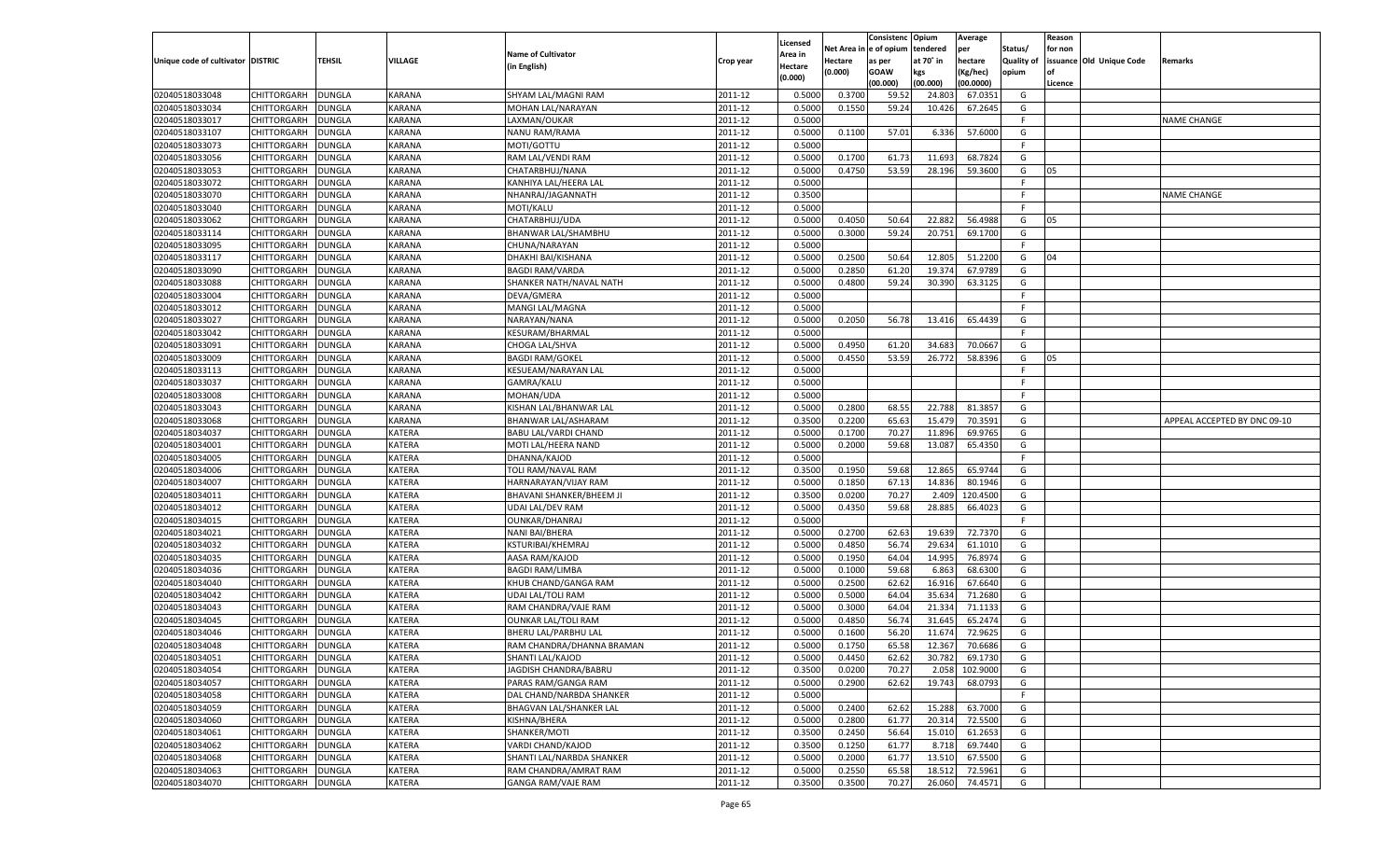| Net Area in e of opium<br>tendered<br>per<br>Status/<br>for non<br><b>Name of Cultivator</b><br>Area in<br><b>TEHSIL</b><br>at 70° in<br><b>Quality of</b><br>Unique code of cultivator DISTRIC<br>VILLAGE<br>Crop year<br>Hectare<br>hectare<br>issuance Old Unique Code<br>Remarks<br>as per<br>(in English)<br>Hectare<br>(0.000)<br><b>GOAW</b><br>(Kg/hec)<br>opium<br>kgs<br>nf<br>(0.000)<br>(00.000)<br>(00.000)<br>(00.0000)<br>Licence<br>0.3700<br>59.52<br>02040518033048<br><b>CHITTORGARH</b><br><b>DUNGLA</b><br><b>KARANA</b><br>SHYAM LAL/MAGNI RAM<br>2011-12<br>0.5000<br>24.803<br>67.0351<br>G<br>02040518033034<br><b>KARANA</b><br>2011-12<br>0.5000<br>0.1550<br>59.24<br>10.426<br><b>CHITTORGARH</b><br><b>DUNGLA</b><br>MOHAN LAL/NARAYAN<br>67.2645<br>G<br>02040518033017<br><b>KARANA</b><br>2011-12<br>0.5000<br><b>CHITTORGARH</b><br><b>DUNGLA</b><br>LAXMAN/OUKAR<br>F.<br>NAME CHANGE<br>02040518033107<br>KARANA<br>2011-12<br>0.5000<br>0.1100<br>57.01<br>6.336<br>57.6000<br><b>CHITTORGARH</b><br><b>DUNGLA</b><br>NANU RAM/RAMA<br>G<br>02040518033073<br><b>KARANA</b><br>2011-12<br>0.5000<br><b>CHITTORGARH</b><br><b>DUNGLA</b><br>MOTI/GOTTU<br>F.<br>02040518033056<br>KARANA<br>2011-12<br>0.5000<br>11.693<br>68.7824<br><b>CHITTORGARH</b><br><b>DUNGLA</b><br>RAM LAL/VENDI RAM<br>0.1700<br>61.73<br>G<br>02040518033053<br><b>KARANA</b><br>2011-12<br>0.5000<br>0.4750<br>53.59<br>28.196<br>59.3600<br><b>CHITTORGARH</b><br><b>DUNGLA</b><br>CHATARBHUJ/NANA<br>G<br>05<br>02040518033072<br>KARANA<br>2011-12<br>0.5000<br><b>CHITTORGARH</b><br><b>DUNGLA</b><br>KANHIYA LAL/HEERA LAL<br>F.<br>02040518033070<br><b>KARANA</b><br>2011-12<br>0.3500<br><b>CHITTORGARH</b><br><b>DUNGLA</b><br>NHANRAJ/JAGANNATH<br>F.<br><b>NAME CHANGE</b><br>02040518033040<br>KARANA<br>2011-12<br><b>CHITTORGARH</b><br><b>DUNGLA</b><br>MOTI/KALU<br>0.5000<br>E<br>02040518033062<br><b>KARANA</b><br>2011-12<br>0.5000<br>0.4050<br>50.64<br>22.882<br>56.4988<br><b>CHITTORGARH</b><br><b>DUNGLA</b><br>CHATARBHUJ/UDA<br>G<br>05<br>02040518033114<br>KARANA<br>2011-12<br>0.5000<br>0.3000<br>59.24<br>20.751<br>CHITTORGARH<br><b>DUNGLA</b><br>BHANWAR LAL/SHAMBHU<br>69.1700<br>G<br>02040518033095<br><b>KARANA</b><br>2011-12<br>0.5000<br><b>CHITTORGARH</b><br><b>DUNGLA</b><br>CHUNA/NARAYAN<br>F.<br>02040518033117<br>CHITTORGARH<br><b>KARANA</b><br>2011-12<br>0.5000<br>0.2500<br>50.64<br>12.805<br>51.2200<br>G<br>04<br><b>DUNGLA</b><br>DHAKHI BAI/KISHANA<br>02040518033090<br><b>DUNGLA</b><br><b>KARANA</b><br>2011-12<br>0.5000<br>0.2850<br>61.20<br>19.374<br>67.9789<br>G<br>CHITTORGARH<br><b>BAGDI RAM/VARDA</b><br>02040518033088<br><b>KARANA</b><br>2011-12<br>0.5000<br>0.4800<br>59.24<br>30.390<br>63.3125<br>CHITTORGARH<br><b>DUNGLA</b><br>SHANKER NATH/NAVAL NATH<br>G<br>02040518033004<br>CHITTORGARH<br><b>DUNGLA</b><br><b>KARANA</b><br>DEVA/GMERA<br>2011-12<br>0.5000<br>F.<br>02040518033012<br><b>KARANA</b><br><b>MANGI LAL/MAGNA</b><br>2011-12<br>0.5000<br>F.<br>CHITTORGARH<br><b>DUNGLA</b><br>02040518033027<br><b>DUNGLA</b><br><b>KARANA</b><br>NARAYAN/NANA<br>2011-12<br>0.5000<br>0.2050<br>56.78<br>13.416<br>65.4439<br>G<br>CHITTORGARH<br>02040518033042<br><b>KARANA</b><br><b>KESURAM/BHARMAL</b><br>2011-12<br>0.5000<br>CHITTORGARH<br><b>DUNGLA</b><br>F.<br>02040518033091<br>CHITTORGARH<br><b>DUNGLA</b><br><b>KARANA</b><br>2011-12<br>0.5000<br>0.4950<br>34.683<br>70.0667<br>G<br>CHOGA LAL/SHVA<br>61.20<br>02040518033009<br><b>KARANA</b><br>2011-12<br>0.5000<br>0.4550<br>53.59<br>26.772<br>58.8396<br>G<br>05<br>CHITTORGARH<br><b>DUNGLA</b><br><b>BAGDI RAM/GOKEL</b><br>02040518033113<br><b>DUNGLA</b><br><b>KARANA</b><br>KESUEAM/NARAYAN LAL<br>2011-12<br>0.5000<br>F.<br>CHITTORGARH<br>02040518033037<br><b>KARANA</b><br>GAMRA/KALU<br>2011-12<br>0.5000<br>CHITTORGARH<br><b>DUNGLA</b><br>F.<br>02040518033008<br>CHITTORGARH<br><b>DUNGLA</b><br><b>KARANA</b><br>MOHAN/UDA<br>2011-12<br>0.5000<br>E<br>02040518033043<br><b>KARANA</b><br>2011-12<br>0.5000<br>0.2800<br>68.55<br>22.788<br>81.3857<br>G<br>CHITTORGARH<br><b>DUNGLA</b><br>KISHAN LAL/BHANWAR LAL<br>02040518033068<br><b>DUNGLA</b><br><b>KARANA</b><br>BHANWAR LAL/ASHARAM<br>2011-12<br>0.3500<br>0.2200<br>65.63<br>15.479<br>70.3591<br>G<br>CHITTORGARH<br>APPEAL ACCEPTED BY DNC 09-10<br>02040518034037<br>KATERA<br>2011-12<br>0.5000<br>0.1700<br>70.27<br>11.896<br>69.9765<br>G<br>CHITTORGARH<br><b>DUNGLA</b><br><b>BABU LAL/VARDI CHAND</b><br>02040518034001<br><b>CHITTORGARH</b><br><b>DUNGLA</b><br><b>KATERA</b><br>2011-12<br>0.5000<br>0.2000<br>59.68<br>13.087<br>65.4350<br>G<br>MOTI LAL/HEERA NAND<br>02040518034005<br><b>KATERA</b><br>2011-12<br>0.5000<br>F.<br>CHITTORGARH<br><b>DUNGLA</b><br>DHANNA/KAJOD<br>02040518034006<br>CHITTORGARH<br><b>DUNGLA</b><br><b>KATERA</b><br>2011-12<br>0.3500<br>0.1950<br>59.68<br>12.865<br>65.9744<br>G<br>TOLI RAM/NAVAL RAM<br>02040518034007<br><b>KATERA</b><br>2011-12<br>0.5000<br>0.1850<br>67.13<br>14.836<br>G<br>CHITTORGARH<br><b>DUNGLA</b><br>HARNARAYAN/VIJAY RAM<br>80.1946<br>02040518034011<br><b>DUNGLA</b><br><b>KATERA</b><br>2011-12<br>0.3500<br>0.0200<br>70.27<br>2.409<br>120.4500<br>G<br><b>CHITTORGARH</b><br>BHAVANI SHANKER/BHEEM JI<br>02040518034012<br><b>KATERA</b><br>2011-12<br>0.5000<br>0.4350<br>59.68<br>28.885<br>66.4023<br>G<br>CHITTORGARH<br><b>DUNGLA</b><br>UDAI LAL/DEV RAM<br>02040518034015<br>CHITTORGARH<br><b>DUNGLA</b><br><b>KATERA</b><br>2011-12<br>0.5000<br>F.<br><b>OUNKAR/DHANRAJ</b><br>02040518034021<br><b>KATERA</b><br>2011-12<br>0.5000<br>0.2700<br>62.63<br>19.639<br>72.7370<br>G<br>CHITTORGARH<br><b>DUNGLA</b><br><b>NANI BAI/BHERA</b><br>02040518034032<br><b>DUNGLA</b><br><b>KATERA</b><br>2011-12<br>0.5000<br>0.4850<br>56.74<br>29.634<br>61.1010<br>G<br><b>CHITTORGARH</b><br><b>KSTURIBAI/KHEMRAJ</b><br>02040518034035<br><b>KATERA</b><br>2011-12<br>0.5000<br>0.1950<br>64.04<br>14.995<br>76.8974<br>G<br>CHITTORGARH<br><b>DUNGLA</b><br>AASA RAM/KAJOD<br>59.68<br>02040518034036<br>CHITTORGARH<br><b>DUNGLA</b><br><b>KATERA</b><br>2011-12<br>0.5000<br>0.1000<br>6.863<br>68.6300<br>G<br><b>BAGDI RAM/LIMBA</b><br>02040518034040<br><b>KATERA</b><br>2011-12<br>0.5000<br>0.2500<br>62.62<br>16.916<br>67.6640<br>CHITTORGARH<br><b>DUNGLA</b><br>KHUB CHAND/GANGA RAM<br>G<br>02040518034042<br><b>DUNGLA</b><br><b>KATERA</b><br>2011-12<br>0.5000<br>0.5000<br>64.04<br>35.634<br>71.2680<br>G<br><b>CHITTORGARH</b><br>UDAI LAL/TOLI RAM<br>02040518034043<br><b>KATERA</b><br>2011-12<br>0.5000<br>0.3000<br>64.04<br>21.334<br>71.1133<br>G<br>CHITTORGARH<br><b>DUNGLA</b><br>RAM CHANDRA/VAJE RAM<br>02040518034045<br><b>DUNGLA</b><br><b>KATERA</b><br>2011-12<br>0.5000<br>0.4850<br>56.74<br>31.645<br>65.2474<br>G<br>CHITTORGARH<br><b>OUNKAR LAL/TOLI RAM</b><br>02040518034046<br><b>KATERA</b><br>2011-12<br>56.20<br>11.674<br>72.9625<br>CHITTORGARH<br><b>DUNGLA</b><br>BHERU LAL/PARBHU LAL<br>0.5000<br>0.1600<br>G<br>02040518034048<br><b>DUNGLA</b><br><b>KATERA</b><br>2011-12<br>0.5000<br>0.1750<br>65.58<br>12.367<br>70.6686<br>G<br>CHITTORGARH<br>RAM CHANDRA/DHANNA BRAMAN<br>02040518034051<br>2011-12<br>30.782 69.1730<br>G<br>KATERA<br>0.5000<br>0.4450<br>62.62<br>CHITTORGARH DUNGLA<br>SHANTI LAL/KAJOD<br>02040518034054<br><b>CHITTORGARH</b><br><b>DUNGLA</b><br><b>KATERA</b><br>JAGDISH CHANDRA/BABRU<br>2011-12<br>0.3500<br>0.0200<br>70.27<br>2.058 102.9000<br>G<br>02040518034057<br><b>CHITTORGARH</b><br><b>DUNGLA</b><br><b>KATERA</b><br>PARAS RAM/GANGA RAM<br>2011-12<br>0.5000<br>0.2900<br>62.62<br>19.743<br>68.0793<br>G<br>02040518034058<br><b>CHITTORGARH</b><br><b>DUNGLA</b><br><b>KATERA</b><br>DAL CHAND/NARBDA SHANKER<br>2011-12<br>0.5000<br>F.<br>02040518034059<br><b>CHITTORGARH</b><br><b>DUNGLA</b><br><b>KATERA</b><br>2011-12<br>0.5000<br>0.2400<br>62.62<br>15.288<br>63.7000<br>G<br>BHAGVAN LAL/SHANKER LAL<br>0.2800<br>02040518034060<br><b>CHITTORGARH</b><br><b>DUNGLA</b><br><b>KATERA</b><br>KISHNA/BHERA<br>2011-12<br>0.5000<br>61.77<br>20.314<br>72.5500<br>G<br>02040518034061<br><b>CHITTORGARH</b><br><b>DUNGLA</b><br><b>KATERA</b><br>SHANKER/MOTI<br>2011-12<br>0.3500<br>0.2450<br>56.64<br>15.010<br>61.2653<br>G<br>02040518034062<br><b>CHITTORGARH</b><br><b>DUNGLA</b><br><b>KATERA</b><br>2011-12<br>0.3500<br>0.1250<br>61.77<br>8.718<br>69.7440<br>G<br>VARDI CHAND/KAJOD<br>02040518034068<br><b>CHITTORGARH</b><br><b>KATERA</b><br>SHANTI LAL/NARBDA SHANKER<br>2011-12<br>0.5000<br>0.2000<br>61.77<br>13.510<br>67.5500<br>G<br><b>DUNGLA</b><br>02040518034063<br><b>CHITTORGARH</b><br><b>DUNGLA</b><br><b>KATERA</b><br>RAM CHANDRA/AMRAT RAM<br>2011-12<br>0.5000<br>0.2550<br>65.58<br>18.512<br>72.5961<br>G<br>02040518034070<br>CHITTORGARH<br><b>DUNGLA</b><br>KATERA<br><b>GANGA RAM/VAJE RAM</b><br>2011-12<br>0.3500<br>0.3500<br>70.27<br>26.060 74.4571<br>G |  |  |  |          | Consistenc Opium | Average | Reason |  |
|------------------------------------------------------------------------------------------------------------------------------------------------------------------------------------------------------------------------------------------------------------------------------------------------------------------------------------------------------------------------------------------------------------------------------------------------------------------------------------------------------------------------------------------------------------------------------------------------------------------------------------------------------------------------------------------------------------------------------------------------------------------------------------------------------------------------------------------------------------------------------------------------------------------------------------------------------------------------------------------------------------------------------------------------------------------------------------------------------------------------------------------------------------------------------------------------------------------------------------------------------------------------------------------------------------------------------------------------------------------------------------------------------------------------------------------------------------------------------------------------------------------------------------------------------------------------------------------------------------------------------------------------------------------------------------------------------------------------------------------------------------------------------------------------------------------------------------------------------------------------------------------------------------------------------------------------------------------------------------------------------------------------------------------------------------------------------------------------------------------------------------------------------------------------------------------------------------------------------------------------------------------------------------------------------------------------------------------------------------------------------------------------------------------------------------------------------------------------------------------------------------------------------------------------------------------------------------------------------------------------------------------------------------------------------------------------------------------------------------------------------------------------------------------------------------------------------------------------------------------------------------------------------------------------------------------------------------------------------------------------------------------------------------------------------------------------------------------------------------------------------------------------------------------------------------------------------------------------------------------------------------------------------------------------------------------------------------------------------------------------------------------------------------------------------------------------------------------------------------------------------------------------------------------------------------------------------------------------------------------------------------------------------------------------------------------------------------------------------------------------------------------------------------------------------------------------------------------------------------------------------------------------------------------------------------------------------------------------------------------------------------------------------------------------------------------------------------------------------------------------------------------------------------------------------------------------------------------------------------------------------------------------------------------------------------------------------------------------------------------------------------------------------------------------------------------------------------------------------------------------------------------------------------------------------------------------------------------------------------------------------------------------------------------------------------------------------------------------------------------------------------------------------------------------------------------------------------------------------------------------------------------------------------------------------------------------------------------------------------------------------------------------------------------------------------------------------------------------------------------------------------------------------------------------------------------------------------------------------------------------------------------------------------------------------------------------------------------------------------------------------------------------------------------------------------------------------------------------------------------------------------------------------------------------------------------------------------------------------------------------------------------------------------------------------------------------------------------------------------------------------------------------------------------------------------------------------------------------------------------------------------------------------------------------------------------------------------------------------------------------------------------------------------------------------------------------------------------------------------------------------------------------------------------------------------------------------------------------------------------------------------------------------------------------------------------------------------------------------------------------------------------------------------------------------------------------------------------------------------------------------------------------------------------------------------------------------------------------------------------------------------------------------------------------------------------------------------------------------------------------------------------------------------------------------------------------------------------------------------------------------------------------------------------------------------------------------------------------------------------------------------------------------------------------------------------------------------------------------------------------------------------------------------------------------------------------------------------------------------------------------------------------------------------------------------------------------------------------------------------------------------------------------------------------------------------------------------------------------------------------------------------------------------------------------------------------------------------------------------------------------------------------------------------------------------------------------------------------------------------------------------------------------------------------------------------------------------------------------------------------------------------------------------------------------------------------------------------------------------------------------------------------------------------------------------------------------------------------------------------------------------------------------------------------------------------------------------------------------------------------------------------------------------------------------------------------------------------------------------------------------------------------------------------------------------------------------------------------------------------------------------------------------------------------------------------------------------------------------------------------------------------------------------------------------------------------------------------------------------------------------------------------------------------------------------------------------------------------------------------------------------------------------------------------------------------------------------------------------------------------------------------------------------------------------------------------------------------|--|--|--|----------|------------------|---------|--------|--|
|                                                                                                                                                                                                                                                                                                                                                                                                                                                                                                                                                                                                                                                                                                                                                                                                                                                                                                                                                                                                                                                                                                                                                                                                                                                                                                                                                                                                                                                                                                                                                                                                                                                                                                                                                                                                                                                                                                                                                                                                                                                                                                                                                                                                                                                                                                                                                                                                                                                                                                                                                                                                                                                                                                                                                                                                                                                                                                                                                                                                                                                                                                                                                                                                                                                                                                                                                                                                                                                                                                                                                                                                                                                                                                                                                                                                                                                                                                                                                                                                                                                                                                                                                                                                                                                                                                                                                                                                                                                                                                                                                                                                                                                                                                                                                                                                                                                                                                                                                                                                                                                                                                                                                                                                                                                                                                                                                                                                                                                                                                                                                                                                                                                                                                                                                                                                                                                                                                                                                                                                                                                                                                                                                                                                                                                                                                                                                                                                                                                                                                                                                                                                                                                                                                                                                                                                                                                                                                                                                                                                                                                                                                                                                                                                                                                                                                                                                                                                                                                                                                                                                                                                                                                                                                                                                                                                                                                                                                                                                                                                                                                                                                                                                                                                                                                                                                                                                                                                                                                                                                                                                                                                                                                                                                                                                                                                                                                                                                                                                                                                                                                                                          |  |  |  | Licensed |                  |         |        |  |
|                                                                                                                                                                                                                                                                                                                                                                                                                                                                                                                                                                                                                                                                                                                                                                                                                                                                                                                                                                                                                                                                                                                                                                                                                                                                                                                                                                                                                                                                                                                                                                                                                                                                                                                                                                                                                                                                                                                                                                                                                                                                                                                                                                                                                                                                                                                                                                                                                                                                                                                                                                                                                                                                                                                                                                                                                                                                                                                                                                                                                                                                                                                                                                                                                                                                                                                                                                                                                                                                                                                                                                                                                                                                                                                                                                                                                                                                                                                                                                                                                                                                                                                                                                                                                                                                                                                                                                                                                                                                                                                                                                                                                                                                                                                                                                                                                                                                                                                                                                                                                                                                                                                                                                                                                                                                                                                                                                                                                                                                                                                                                                                                                                                                                                                                                                                                                                                                                                                                                                                                                                                                                                                                                                                                                                                                                                                                                                                                                                                                                                                                                                                                                                                                                                                                                                                                                                                                                                                                                                                                                                                                                                                                                                                                                                                                                                                                                                                                                                                                                                                                                                                                                                                                                                                                                                                                                                                                                                                                                                                                                                                                                                                                                                                                                                                                                                                                                                                                                                                                                                                                                                                                                                                                                                                                                                                                                                                                                                                                                                                                                                                                                          |  |  |  |          |                  |         |        |  |
|                                                                                                                                                                                                                                                                                                                                                                                                                                                                                                                                                                                                                                                                                                                                                                                                                                                                                                                                                                                                                                                                                                                                                                                                                                                                                                                                                                                                                                                                                                                                                                                                                                                                                                                                                                                                                                                                                                                                                                                                                                                                                                                                                                                                                                                                                                                                                                                                                                                                                                                                                                                                                                                                                                                                                                                                                                                                                                                                                                                                                                                                                                                                                                                                                                                                                                                                                                                                                                                                                                                                                                                                                                                                                                                                                                                                                                                                                                                                                                                                                                                                                                                                                                                                                                                                                                                                                                                                                                                                                                                                                                                                                                                                                                                                                                                                                                                                                                                                                                                                                                                                                                                                                                                                                                                                                                                                                                                                                                                                                                                                                                                                                                                                                                                                                                                                                                                                                                                                                                                                                                                                                                                                                                                                                                                                                                                                                                                                                                                                                                                                                                                                                                                                                                                                                                                                                                                                                                                                                                                                                                                                                                                                                                                                                                                                                                                                                                                                                                                                                                                                                                                                                                                                                                                                                                                                                                                                                                                                                                                                                                                                                                                                                                                                                                                                                                                                                                                                                                                                                                                                                                                                                                                                                                                                                                                                                                                                                                                                                                                                                                                                                          |  |  |  |          |                  |         |        |  |
|                                                                                                                                                                                                                                                                                                                                                                                                                                                                                                                                                                                                                                                                                                                                                                                                                                                                                                                                                                                                                                                                                                                                                                                                                                                                                                                                                                                                                                                                                                                                                                                                                                                                                                                                                                                                                                                                                                                                                                                                                                                                                                                                                                                                                                                                                                                                                                                                                                                                                                                                                                                                                                                                                                                                                                                                                                                                                                                                                                                                                                                                                                                                                                                                                                                                                                                                                                                                                                                                                                                                                                                                                                                                                                                                                                                                                                                                                                                                                                                                                                                                                                                                                                                                                                                                                                                                                                                                                                                                                                                                                                                                                                                                                                                                                                                                                                                                                                                                                                                                                                                                                                                                                                                                                                                                                                                                                                                                                                                                                                                                                                                                                                                                                                                                                                                                                                                                                                                                                                                                                                                                                                                                                                                                                                                                                                                                                                                                                                                                                                                                                                                                                                                                                                                                                                                                                                                                                                                                                                                                                                                                                                                                                                                                                                                                                                                                                                                                                                                                                                                                                                                                                                                                                                                                                                                                                                                                                                                                                                                                                                                                                                                                                                                                                                                                                                                                                                                                                                                                                                                                                                                                                                                                                                                                                                                                                                                                                                                                                                                                                                                                                          |  |  |  |          |                  |         |        |  |
|                                                                                                                                                                                                                                                                                                                                                                                                                                                                                                                                                                                                                                                                                                                                                                                                                                                                                                                                                                                                                                                                                                                                                                                                                                                                                                                                                                                                                                                                                                                                                                                                                                                                                                                                                                                                                                                                                                                                                                                                                                                                                                                                                                                                                                                                                                                                                                                                                                                                                                                                                                                                                                                                                                                                                                                                                                                                                                                                                                                                                                                                                                                                                                                                                                                                                                                                                                                                                                                                                                                                                                                                                                                                                                                                                                                                                                                                                                                                                                                                                                                                                                                                                                                                                                                                                                                                                                                                                                                                                                                                                                                                                                                                                                                                                                                                                                                                                                                                                                                                                                                                                                                                                                                                                                                                                                                                                                                                                                                                                                                                                                                                                                                                                                                                                                                                                                                                                                                                                                                                                                                                                                                                                                                                                                                                                                                                                                                                                                                                                                                                                                                                                                                                                                                                                                                                                                                                                                                                                                                                                                                                                                                                                                                                                                                                                                                                                                                                                                                                                                                                                                                                                                                                                                                                                                                                                                                                                                                                                                                                                                                                                                                                                                                                                                                                                                                                                                                                                                                                                                                                                                                                                                                                                                                                                                                                                                                                                                                                                                                                                                                                                          |  |  |  |          |                  |         |        |  |
|                                                                                                                                                                                                                                                                                                                                                                                                                                                                                                                                                                                                                                                                                                                                                                                                                                                                                                                                                                                                                                                                                                                                                                                                                                                                                                                                                                                                                                                                                                                                                                                                                                                                                                                                                                                                                                                                                                                                                                                                                                                                                                                                                                                                                                                                                                                                                                                                                                                                                                                                                                                                                                                                                                                                                                                                                                                                                                                                                                                                                                                                                                                                                                                                                                                                                                                                                                                                                                                                                                                                                                                                                                                                                                                                                                                                                                                                                                                                                                                                                                                                                                                                                                                                                                                                                                                                                                                                                                                                                                                                                                                                                                                                                                                                                                                                                                                                                                                                                                                                                                                                                                                                                                                                                                                                                                                                                                                                                                                                                                                                                                                                                                                                                                                                                                                                                                                                                                                                                                                                                                                                                                                                                                                                                                                                                                                                                                                                                                                                                                                                                                                                                                                                                                                                                                                                                                                                                                                                                                                                                                                                                                                                                                                                                                                                                                                                                                                                                                                                                                                                                                                                                                                                                                                                                                                                                                                                                                                                                                                                                                                                                                                                                                                                                                                                                                                                                                                                                                                                                                                                                                                                                                                                                                                                                                                                                                                                                                                                                                                                                                                                                          |  |  |  |          |                  |         |        |  |
|                                                                                                                                                                                                                                                                                                                                                                                                                                                                                                                                                                                                                                                                                                                                                                                                                                                                                                                                                                                                                                                                                                                                                                                                                                                                                                                                                                                                                                                                                                                                                                                                                                                                                                                                                                                                                                                                                                                                                                                                                                                                                                                                                                                                                                                                                                                                                                                                                                                                                                                                                                                                                                                                                                                                                                                                                                                                                                                                                                                                                                                                                                                                                                                                                                                                                                                                                                                                                                                                                                                                                                                                                                                                                                                                                                                                                                                                                                                                                                                                                                                                                                                                                                                                                                                                                                                                                                                                                                                                                                                                                                                                                                                                                                                                                                                                                                                                                                                                                                                                                                                                                                                                                                                                                                                                                                                                                                                                                                                                                                                                                                                                                                                                                                                                                                                                                                                                                                                                                                                                                                                                                                                                                                                                                                                                                                                                                                                                                                                                                                                                                                                                                                                                                                                                                                                                                                                                                                                                                                                                                                                                                                                                                                                                                                                                                                                                                                                                                                                                                                                                                                                                                                                                                                                                                                                                                                                                                                                                                                                                                                                                                                                                                                                                                                                                                                                                                                                                                                                                                                                                                                                                                                                                                                                                                                                                                                                                                                                                                                                                                                                                                          |  |  |  |          |                  |         |        |  |
|                                                                                                                                                                                                                                                                                                                                                                                                                                                                                                                                                                                                                                                                                                                                                                                                                                                                                                                                                                                                                                                                                                                                                                                                                                                                                                                                                                                                                                                                                                                                                                                                                                                                                                                                                                                                                                                                                                                                                                                                                                                                                                                                                                                                                                                                                                                                                                                                                                                                                                                                                                                                                                                                                                                                                                                                                                                                                                                                                                                                                                                                                                                                                                                                                                                                                                                                                                                                                                                                                                                                                                                                                                                                                                                                                                                                                                                                                                                                                                                                                                                                                                                                                                                                                                                                                                                                                                                                                                                                                                                                                                                                                                                                                                                                                                                                                                                                                                                                                                                                                                                                                                                                                                                                                                                                                                                                                                                                                                                                                                                                                                                                                                                                                                                                                                                                                                                                                                                                                                                                                                                                                                                                                                                                                                                                                                                                                                                                                                                                                                                                                                                                                                                                                                                                                                                                                                                                                                                                                                                                                                                                                                                                                                                                                                                                                                                                                                                                                                                                                                                                                                                                                                                                                                                                                                                                                                                                                                                                                                                                                                                                                                                                                                                                                                                                                                                                                                                                                                                                                                                                                                                                                                                                                                                                                                                                                                                                                                                                                                                                                                                                                          |  |  |  |          |                  |         |        |  |
|                                                                                                                                                                                                                                                                                                                                                                                                                                                                                                                                                                                                                                                                                                                                                                                                                                                                                                                                                                                                                                                                                                                                                                                                                                                                                                                                                                                                                                                                                                                                                                                                                                                                                                                                                                                                                                                                                                                                                                                                                                                                                                                                                                                                                                                                                                                                                                                                                                                                                                                                                                                                                                                                                                                                                                                                                                                                                                                                                                                                                                                                                                                                                                                                                                                                                                                                                                                                                                                                                                                                                                                                                                                                                                                                                                                                                                                                                                                                                                                                                                                                                                                                                                                                                                                                                                                                                                                                                                                                                                                                                                                                                                                                                                                                                                                                                                                                                                                                                                                                                                                                                                                                                                                                                                                                                                                                                                                                                                                                                                                                                                                                                                                                                                                                                                                                                                                                                                                                                                                                                                                                                                                                                                                                                                                                                                                                                                                                                                                                                                                                                                                                                                                                                                                                                                                                                                                                                                                                                                                                                                                                                                                                                                                                                                                                                                                                                                                                                                                                                                                                                                                                                                                                                                                                                                                                                                                                                                                                                                                                                                                                                                                                                                                                                                                                                                                                                                                                                                                                                                                                                                                                                                                                                                                                                                                                                                                                                                                                                                                                                                                                                          |  |  |  |          |                  |         |        |  |
|                                                                                                                                                                                                                                                                                                                                                                                                                                                                                                                                                                                                                                                                                                                                                                                                                                                                                                                                                                                                                                                                                                                                                                                                                                                                                                                                                                                                                                                                                                                                                                                                                                                                                                                                                                                                                                                                                                                                                                                                                                                                                                                                                                                                                                                                                                                                                                                                                                                                                                                                                                                                                                                                                                                                                                                                                                                                                                                                                                                                                                                                                                                                                                                                                                                                                                                                                                                                                                                                                                                                                                                                                                                                                                                                                                                                                                                                                                                                                                                                                                                                                                                                                                                                                                                                                                                                                                                                                                                                                                                                                                                                                                                                                                                                                                                                                                                                                                                                                                                                                                                                                                                                                                                                                                                                                                                                                                                                                                                                                                                                                                                                                                                                                                                                                                                                                                                                                                                                                                                                                                                                                                                                                                                                                                                                                                                                                                                                                                                                                                                                                                                                                                                                                                                                                                                                                                                                                                                                                                                                                                                                                                                                                                                                                                                                                                                                                                                                                                                                                                                                                                                                                                                                                                                                                                                                                                                                                                                                                                                                                                                                                                                                                                                                                                                                                                                                                                                                                                                                                                                                                                                                                                                                                                                                                                                                                                                                                                                                                                                                                                                                                          |  |  |  |          |                  |         |        |  |
|                                                                                                                                                                                                                                                                                                                                                                                                                                                                                                                                                                                                                                                                                                                                                                                                                                                                                                                                                                                                                                                                                                                                                                                                                                                                                                                                                                                                                                                                                                                                                                                                                                                                                                                                                                                                                                                                                                                                                                                                                                                                                                                                                                                                                                                                                                                                                                                                                                                                                                                                                                                                                                                                                                                                                                                                                                                                                                                                                                                                                                                                                                                                                                                                                                                                                                                                                                                                                                                                                                                                                                                                                                                                                                                                                                                                                                                                                                                                                                                                                                                                                                                                                                                                                                                                                                                                                                                                                                                                                                                                                                                                                                                                                                                                                                                                                                                                                                                                                                                                                                                                                                                                                                                                                                                                                                                                                                                                                                                                                                                                                                                                                                                                                                                                                                                                                                                                                                                                                                                                                                                                                                                                                                                                                                                                                                                                                                                                                                                                                                                                                                                                                                                                                                                                                                                                                                                                                                                                                                                                                                                                                                                                                                                                                                                                                                                                                                                                                                                                                                                                                                                                                                                                                                                                                                                                                                                                                                                                                                                                                                                                                                                                                                                                                                                                                                                                                                                                                                                                                                                                                                                                                                                                                                                                                                                                                                                                                                                                                                                                                                                                                          |  |  |  |          |                  |         |        |  |
|                                                                                                                                                                                                                                                                                                                                                                                                                                                                                                                                                                                                                                                                                                                                                                                                                                                                                                                                                                                                                                                                                                                                                                                                                                                                                                                                                                                                                                                                                                                                                                                                                                                                                                                                                                                                                                                                                                                                                                                                                                                                                                                                                                                                                                                                                                                                                                                                                                                                                                                                                                                                                                                                                                                                                                                                                                                                                                                                                                                                                                                                                                                                                                                                                                                                                                                                                                                                                                                                                                                                                                                                                                                                                                                                                                                                                                                                                                                                                                                                                                                                                                                                                                                                                                                                                                                                                                                                                                                                                                                                                                                                                                                                                                                                                                                                                                                                                                                                                                                                                                                                                                                                                                                                                                                                                                                                                                                                                                                                                                                                                                                                                                                                                                                                                                                                                                                                                                                                                                                                                                                                                                                                                                                                                                                                                                                                                                                                                                                                                                                                                                                                                                                                                                                                                                                                                                                                                                                                                                                                                                                                                                                                                                                                                                                                                                                                                                                                                                                                                                                                                                                                                                                                                                                                                                                                                                                                                                                                                                                                                                                                                                                                                                                                                                                                                                                                                                                                                                                                                                                                                                                                                                                                                                                                                                                                                                                                                                                                                                                                                                                                                          |  |  |  |          |                  |         |        |  |
|                                                                                                                                                                                                                                                                                                                                                                                                                                                                                                                                                                                                                                                                                                                                                                                                                                                                                                                                                                                                                                                                                                                                                                                                                                                                                                                                                                                                                                                                                                                                                                                                                                                                                                                                                                                                                                                                                                                                                                                                                                                                                                                                                                                                                                                                                                                                                                                                                                                                                                                                                                                                                                                                                                                                                                                                                                                                                                                                                                                                                                                                                                                                                                                                                                                                                                                                                                                                                                                                                                                                                                                                                                                                                                                                                                                                                                                                                                                                                                                                                                                                                                                                                                                                                                                                                                                                                                                                                                                                                                                                                                                                                                                                                                                                                                                                                                                                                                                                                                                                                                                                                                                                                                                                                                                                                                                                                                                                                                                                                                                                                                                                                                                                                                                                                                                                                                                                                                                                                                                                                                                                                                                                                                                                                                                                                                                                                                                                                                                                                                                                                                                                                                                                                                                                                                                                                                                                                                                                                                                                                                                                                                                                                                                                                                                                                                                                                                                                                                                                                                                                                                                                                                                                                                                                                                                                                                                                                                                                                                                                                                                                                                                                                                                                                                                                                                                                                                                                                                                                                                                                                                                                                                                                                                                                                                                                                                                                                                                                                                                                                                                                                          |  |  |  |          |                  |         |        |  |
|                                                                                                                                                                                                                                                                                                                                                                                                                                                                                                                                                                                                                                                                                                                                                                                                                                                                                                                                                                                                                                                                                                                                                                                                                                                                                                                                                                                                                                                                                                                                                                                                                                                                                                                                                                                                                                                                                                                                                                                                                                                                                                                                                                                                                                                                                                                                                                                                                                                                                                                                                                                                                                                                                                                                                                                                                                                                                                                                                                                                                                                                                                                                                                                                                                                                                                                                                                                                                                                                                                                                                                                                                                                                                                                                                                                                                                                                                                                                                                                                                                                                                                                                                                                                                                                                                                                                                                                                                                                                                                                                                                                                                                                                                                                                                                                                                                                                                                                                                                                                                                                                                                                                                                                                                                                                                                                                                                                                                                                                                                                                                                                                                                                                                                                                                                                                                                                                                                                                                                                                                                                                                                                                                                                                                                                                                                                                                                                                                                                                                                                                                                                                                                                                                                                                                                                                                                                                                                                                                                                                                                                                                                                                                                                                                                                                                                                                                                                                                                                                                                                                                                                                                                                                                                                                                                                                                                                                                                                                                                                                                                                                                                                                                                                                                                                                                                                                                                                                                                                                                                                                                                                                                                                                                                                                                                                                                                                                                                                                                                                                                                                                                          |  |  |  |          |                  |         |        |  |
|                                                                                                                                                                                                                                                                                                                                                                                                                                                                                                                                                                                                                                                                                                                                                                                                                                                                                                                                                                                                                                                                                                                                                                                                                                                                                                                                                                                                                                                                                                                                                                                                                                                                                                                                                                                                                                                                                                                                                                                                                                                                                                                                                                                                                                                                                                                                                                                                                                                                                                                                                                                                                                                                                                                                                                                                                                                                                                                                                                                                                                                                                                                                                                                                                                                                                                                                                                                                                                                                                                                                                                                                                                                                                                                                                                                                                                                                                                                                                                                                                                                                                                                                                                                                                                                                                                                                                                                                                                                                                                                                                                                                                                                                                                                                                                                                                                                                                                                                                                                                                                                                                                                                                                                                                                                                                                                                                                                                                                                                                                                                                                                                                                                                                                                                                                                                                                                                                                                                                                                                                                                                                                                                                                                                                                                                                                                                                                                                                                                                                                                                                                                                                                                                                                                                                                                                                                                                                                                                                                                                                                                                                                                                                                                                                                                                                                                                                                                                                                                                                                                                                                                                                                                                                                                                                                                                                                                                                                                                                                                                                                                                                                                                                                                                                                                                                                                                                                                                                                                                                                                                                                                                                                                                                                                                                                                                                                                                                                                                                                                                                                                                                          |  |  |  |          |                  |         |        |  |
|                                                                                                                                                                                                                                                                                                                                                                                                                                                                                                                                                                                                                                                                                                                                                                                                                                                                                                                                                                                                                                                                                                                                                                                                                                                                                                                                                                                                                                                                                                                                                                                                                                                                                                                                                                                                                                                                                                                                                                                                                                                                                                                                                                                                                                                                                                                                                                                                                                                                                                                                                                                                                                                                                                                                                                                                                                                                                                                                                                                                                                                                                                                                                                                                                                                                                                                                                                                                                                                                                                                                                                                                                                                                                                                                                                                                                                                                                                                                                                                                                                                                                                                                                                                                                                                                                                                                                                                                                                                                                                                                                                                                                                                                                                                                                                                                                                                                                                                                                                                                                                                                                                                                                                                                                                                                                                                                                                                                                                                                                                                                                                                                                                                                                                                                                                                                                                                                                                                                                                                                                                                                                                                                                                                                                                                                                                                                                                                                                                                                                                                                                                                                                                                                                                                                                                                                                                                                                                                                                                                                                                                                                                                                                                                                                                                                                                                                                                                                                                                                                                                                                                                                                                                                                                                                                                                                                                                                                                                                                                                                                                                                                                                                                                                                                                                                                                                                                                                                                                                                                                                                                                                                                                                                                                                                                                                                                                                                                                                                                                                                                                                                                          |  |  |  |          |                  |         |        |  |
|                                                                                                                                                                                                                                                                                                                                                                                                                                                                                                                                                                                                                                                                                                                                                                                                                                                                                                                                                                                                                                                                                                                                                                                                                                                                                                                                                                                                                                                                                                                                                                                                                                                                                                                                                                                                                                                                                                                                                                                                                                                                                                                                                                                                                                                                                                                                                                                                                                                                                                                                                                                                                                                                                                                                                                                                                                                                                                                                                                                                                                                                                                                                                                                                                                                                                                                                                                                                                                                                                                                                                                                                                                                                                                                                                                                                                                                                                                                                                                                                                                                                                                                                                                                                                                                                                                                                                                                                                                                                                                                                                                                                                                                                                                                                                                                                                                                                                                                                                                                                                                                                                                                                                                                                                                                                                                                                                                                                                                                                                                                                                                                                                                                                                                                                                                                                                                                                                                                                                                                                                                                                                                                                                                                                                                                                                                                                                                                                                                                                                                                                                                                                                                                                                                                                                                                                                                                                                                                                                                                                                                                                                                                                                                                                                                                                                                                                                                                                                                                                                                                                                                                                                                                                                                                                                                                                                                                                                                                                                                                                                                                                                                                                                                                                                                                                                                                                                                                                                                                                                                                                                                                                                                                                                                                                                                                                                                                                                                                                                                                                                                                                                          |  |  |  |          |                  |         |        |  |
|                                                                                                                                                                                                                                                                                                                                                                                                                                                                                                                                                                                                                                                                                                                                                                                                                                                                                                                                                                                                                                                                                                                                                                                                                                                                                                                                                                                                                                                                                                                                                                                                                                                                                                                                                                                                                                                                                                                                                                                                                                                                                                                                                                                                                                                                                                                                                                                                                                                                                                                                                                                                                                                                                                                                                                                                                                                                                                                                                                                                                                                                                                                                                                                                                                                                                                                                                                                                                                                                                                                                                                                                                                                                                                                                                                                                                                                                                                                                                                                                                                                                                                                                                                                                                                                                                                                                                                                                                                                                                                                                                                                                                                                                                                                                                                                                                                                                                                                                                                                                                                                                                                                                                                                                                                                                                                                                                                                                                                                                                                                                                                                                                                                                                                                                                                                                                                                                                                                                                                                                                                                                                                                                                                                                                                                                                                                                                                                                                                                                                                                                                                                                                                                                                                                                                                                                                                                                                                                                                                                                                                                                                                                                                                                                                                                                                                                                                                                                                                                                                                                                                                                                                                                                                                                                                                                                                                                                                                                                                                                                                                                                                                                                                                                                                                                                                                                                                                                                                                                                                                                                                                                                                                                                                                                                                                                                                                                                                                                                                                                                                                                                                          |  |  |  |          |                  |         |        |  |
|                                                                                                                                                                                                                                                                                                                                                                                                                                                                                                                                                                                                                                                                                                                                                                                                                                                                                                                                                                                                                                                                                                                                                                                                                                                                                                                                                                                                                                                                                                                                                                                                                                                                                                                                                                                                                                                                                                                                                                                                                                                                                                                                                                                                                                                                                                                                                                                                                                                                                                                                                                                                                                                                                                                                                                                                                                                                                                                                                                                                                                                                                                                                                                                                                                                                                                                                                                                                                                                                                                                                                                                                                                                                                                                                                                                                                                                                                                                                                                                                                                                                                                                                                                                                                                                                                                                                                                                                                                                                                                                                                                                                                                                                                                                                                                                                                                                                                                                                                                                                                                                                                                                                                                                                                                                                                                                                                                                                                                                                                                                                                                                                                                                                                                                                                                                                                                                                                                                                                                                                                                                                                                                                                                                                                                                                                                                                                                                                                                                                                                                                                                                                                                                                                                                                                                                                                                                                                                                                                                                                                                                                                                                                                                                                                                                                                                                                                                                                                                                                                                                                                                                                                                                                                                                                                                                                                                                                                                                                                                                                                                                                                                                                                                                                                                                                                                                                                                                                                                                                                                                                                                                                                                                                                                                                                                                                                                                                                                                                                                                                                                                                                          |  |  |  |          |                  |         |        |  |
|                                                                                                                                                                                                                                                                                                                                                                                                                                                                                                                                                                                                                                                                                                                                                                                                                                                                                                                                                                                                                                                                                                                                                                                                                                                                                                                                                                                                                                                                                                                                                                                                                                                                                                                                                                                                                                                                                                                                                                                                                                                                                                                                                                                                                                                                                                                                                                                                                                                                                                                                                                                                                                                                                                                                                                                                                                                                                                                                                                                                                                                                                                                                                                                                                                                                                                                                                                                                                                                                                                                                                                                                                                                                                                                                                                                                                                                                                                                                                                                                                                                                                                                                                                                                                                                                                                                                                                                                                                                                                                                                                                                                                                                                                                                                                                                                                                                                                                                                                                                                                                                                                                                                                                                                                                                                                                                                                                                                                                                                                                                                                                                                                                                                                                                                                                                                                                                                                                                                                                                                                                                                                                                                                                                                                                                                                                                                                                                                                                                                                                                                                                                                                                                                                                                                                                                                                                                                                                                                                                                                                                                                                                                                                                                                                                                                                                                                                                                                                                                                                                                                                                                                                                                                                                                                                                                                                                                                                                                                                                                                                                                                                                                                                                                                                                                                                                                                                                                                                                                                                                                                                                                                                                                                                                                                                                                                                                                                                                                                                                                                                                                                                          |  |  |  |          |                  |         |        |  |
|                                                                                                                                                                                                                                                                                                                                                                                                                                                                                                                                                                                                                                                                                                                                                                                                                                                                                                                                                                                                                                                                                                                                                                                                                                                                                                                                                                                                                                                                                                                                                                                                                                                                                                                                                                                                                                                                                                                                                                                                                                                                                                                                                                                                                                                                                                                                                                                                                                                                                                                                                                                                                                                                                                                                                                                                                                                                                                                                                                                                                                                                                                                                                                                                                                                                                                                                                                                                                                                                                                                                                                                                                                                                                                                                                                                                                                                                                                                                                                                                                                                                                                                                                                                                                                                                                                                                                                                                                                                                                                                                                                                                                                                                                                                                                                                                                                                                                                                                                                                                                                                                                                                                                                                                                                                                                                                                                                                                                                                                                                                                                                                                                                                                                                                                                                                                                                                                                                                                                                                                                                                                                                                                                                                                                                                                                                                                                                                                                                                                                                                                                                                                                                                                                                                                                                                                                                                                                                                                                                                                                                                                                                                                                                                                                                                                                                                                                                                                                                                                                                                                                                                                                                                                                                                                                                                                                                                                                                                                                                                                                                                                                                                                                                                                                                                                                                                                                                                                                                                                                                                                                                                                                                                                                                                                                                                                                                                                                                                                                                                                                                                                                          |  |  |  |          |                  |         |        |  |
|                                                                                                                                                                                                                                                                                                                                                                                                                                                                                                                                                                                                                                                                                                                                                                                                                                                                                                                                                                                                                                                                                                                                                                                                                                                                                                                                                                                                                                                                                                                                                                                                                                                                                                                                                                                                                                                                                                                                                                                                                                                                                                                                                                                                                                                                                                                                                                                                                                                                                                                                                                                                                                                                                                                                                                                                                                                                                                                                                                                                                                                                                                                                                                                                                                                                                                                                                                                                                                                                                                                                                                                                                                                                                                                                                                                                                                                                                                                                                                                                                                                                                                                                                                                                                                                                                                                                                                                                                                                                                                                                                                                                                                                                                                                                                                                                                                                                                                                                                                                                                                                                                                                                                                                                                                                                                                                                                                                                                                                                                                                                                                                                                                                                                                                                                                                                                                                                                                                                                                                                                                                                                                                                                                                                                                                                                                                                                                                                                                                                                                                                                                                                                                                                                                                                                                                                                                                                                                                                                                                                                                                                                                                                                                                                                                                                                                                                                                                                                                                                                                                                                                                                                                                                                                                                                                                                                                                                                                                                                                                                                                                                                                                                                                                                                                                                                                                                                                                                                                                                                                                                                                                                                                                                                                                                                                                                                                                                                                                                                                                                                                                                                          |  |  |  |          |                  |         |        |  |
|                                                                                                                                                                                                                                                                                                                                                                                                                                                                                                                                                                                                                                                                                                                                                                                                                                                                                                                                                                                                                                                                                                                                                                                                                                                                                                                                                                                                                                                                                                                                                                                                                                                                                                                                                                                                                                                                                                                                                                                                                                                                                                                                                                                                                                                                                                                                                                                                                                                                                                                                                                                                                                                                                                                                                                                                                                                                                                                                                                                                                                                                                                                                                                                                                                                                                                                                                                                                                                                                                                                                                                                                                                                                                                                                                                                                                                                                                                                                                                                                                                                                                                                                                                                                                                                                                                                                                                                                                                                                                                                                                                                                                                                                                                                                                                                                                                                                                                                                                                                                                                                                                                                                                                                                                                                                                                                                                                                                                                                                                                                                                                                                                                                                                                                                                                                                                                                                                                                                                                                                                                                                                                                                                                                                                                                                                                                                                                                                                                                                                                                                                                                                                                                                                                                                                                                                                                                                                                                                                                                                                                                                                                                                                                                                                                                                                                                                                                                                                                                                                                                                                                                                                                                                                                                                                                                                                                                                                                                                                                                                                                                                                                                                                                                                                                                                                                                                                                                                                                                                                                                                                                                                                                                                                                                                                                                                                                                                                                                                                                                                                                                                                          |  |  |  |          |                  |         |        |  |
|                                                                                                                                                                                                                                                                                                                                                                                                                                                                                                                                                                                                                                                                                                                                                                                                                                                                                                                                                                                                                                                                                                                                                                                                                                                                                                                                                                                                                                                                                                                                                                                                                                                                                                                                                                                                                                                                                                                                                                                                                                                                                                                                                                                                                                                                                                                                                                                                                                                                                                                                                                                                                                                                                                                                                                                                                                                                                                                                                                                                                                                                                                                                                                                                                                                                                                                                                                                                                                                                                                                                                                                                                                                                                                                                                                                                                                                                                                                                                                                                                                                                                                                                                                                                                                                                                                                                                                                                                                                                                                                                                                                                                                                                                                                                                                                                                                                                                                                                                                                                                                                                                                                                                                                                                                                                                                                                                                                                                                                                                                                                                                                                                                                                                                                                                                                                                                                                                                                                                                                                                                                                                                                                                                                                                                                                                                                                                                                                                                                                                                                                                                                                                                                                                                                                                                                                                                                                                                                                                                                                                                                                                                                                                                                                                                                                                                                                                                                                                                                                                                                                                                                                                                                                                                                                                                                                                                                                                                                                                                                                                                                                                                                                                                                                                                                                                                                                                                                                                                                                                                                                                                                                                                                                                                                                                                                                                                                                                                                                                                                                                                                                                          |  |  |  |          |                  |         |        |  |
|                                                                                                                                                                                                                                                                                                                                                                                                                                                                                                                                                                                                                                                                                                                                                                                                                                                                                                                                                                                                                                                                                                                                                                                                                                                                                                                                                                                                                                                                                                                                                                                                                                                                                                                                                                                                                                                                                                                                                                                                                                                                                                                                                                                                                                                                                                                                                                                                                                                                                                                                                                                                                                                                                                                                                                                                                                                                                                                                                                                                                                                                                                                                                                                                                                                                                                                                                                                                                                                                                                                                                                                                                                                                                                                                                                                                                                                                                                                                                                                                                                                                                                                                                                                                                                                                                                                                                                                                                                                                                                                                                                                                                                                                                                                                                                                                                                                                                                                                                                                                                                                                                                                                                                                                                                                                                                                                                                                                                                                                                                                                                                                                                                                                                                                                                                                                                                                                                                                                                                                                                                                                                                                                                                                                                                                                                                                                                                                                                                                                                                                                                                                                                                                                                                                                                                                                                                                                                                                                                                                                                                                                                                                                                                                                                                                                                                                                                                                                                                                                                                                                                                                                                                                                                                                                                                                                                                                                                                                                                                                                                                                                                                                                                                                                                                                                                                                                                                                                                                                                                                                                                                                                                                                                                                                                                                                                                                                                                                                                                                                                                                                                                          |  |  |  |          |                  |         |        |  |
|                                                                                                                                                                                                                                                                                                                                                                                                                                                                                                                                                                                                                                                                                                                                                                                                                                                                                                                                                                                                                                                                                                                                                                                                                                                                                                                                                                                                                                                                                                                                                                                                                                                                                                                                                                                                                                                                                                                                                                                                                                                                                                                                                                                                                                                                                                                                                                                                                                                                                                                                                                                                                                                                                                                                                                                                                                                                                                                                                                                                                                                                                                                                                                                                                                                                                                                                                                                                                                                                                                                                                                                                                                                                                                                                                                                                                                                                                                                                                                                                                                                                                                                                                                                                                                                                                                                                                                                                                                                                                                                                                                                                                                                                                                                                                                                                                                                                                                                                                                                                                                                                                                                                                                                                                                                                                                                                                                                                                                                                                                                                                                                                                                                                                                                                                                                                                                                                                                                                                                                                                                                                                                                                                                                                                                                                                                                                                                                                                                                                                                                                                                                                                                                                                                                                                                                                                                                                                                                                                                                                                                                                                                                                                                                                                                                                                                                                                                                                                                                                                                                                                                                                                                                                                                                                                                                                                                                                                                                                                                                                                                                                                                                                                                                                                                                                                                                                                                                                                                                                                                                                                                                                                                                                                                                                                                                                                                                                                                                                                                                                                                                                                          |  |  |  |          |                  |         |        |  |
|                                                                                                                                                                                                                                                                                                                                                                                                                                                                                                                                                                                                                                                                                                                                                                                                                                                                                                                                                                                                                                                                                                                                                                                                                                                                                                                                                                                                                                                                                                                                                                                                                                                                                                                                                                                                                                                                                                                                                                                                                                                                                                                                                                                                                                                                                                                                                                                                                                                                                                                                                                                                                                                                                                                                                                                                                                                                                                                                                                                                                                                                                                                                                                                                                                                                                                                                                                                                                                                                                                                                                                                                                                                                                                                                                                                                                                                                                                                                                                                                                                                                                                                                                                                                                                                                                                                                                                                                                                                                                                                                                                                                                                                                                                                                                                                                                                                                                                                                                                                                                                                                                                                                                                                                                                                                                                                                                                                                                                                                                                                                                                                                                                                                                                                                                                                                                                                                                                                                                                                                                                                                                                                                                                                                                                                                                                                                                                                                                                                                                                                                                                                                                                                                                                                                                                                                                                                                                                                                                                                                                                                                                                                                                                                                                                                                                                                                                                                                                                                                                                                                                                                                                                                                                                                                                                                                                                                                                                                                                                                                                                                                                                                                                                                                                                                                                                                                                                                                                                                                                                                                                                                                                                                                                                                                                                                                                                                                                                                                                                                                                                                                                          |  |  |  |          |                  |         |        |  |
|                                                                                                                                                                                                                                                                                                                                                                                                                                                                                                                                                                                                                                                                                                                                                                                                                                                                                                                                                                                                                                                                                                                                                                                                                                                                                                                                                                                                                                                                                                                                                                                                                                                                                                                                                                                                                                                                                                                                                                                                                                                                                                                                                                                                                                                                                                                                                                                                                                                                                                                                                                                                                                                                                                                                                                                                                                                                                                                                                                                                                                                                                                                                                                                                                                                                                                                                                                                                                                                                                                                                                                                                                                                                                                                                                                                                                                                                                                                                                                                                                                                                                                                                                                                                                                                                                                                                                                                                                                                                                                                                                                                                                                                                                                                                                                                                                                                                                                                                                                                                                                                                                                                                                                                                                                                                                                                                                                                                                                                                                                                                                                                                                                                                                                                                                                                                                                                                                                                                                                                                                                                                                                                                                                                                                                                                                                                                                                                                                                                                                                                                                                                                                                                                                                                                                                                                                                                                                                                                                                                                                                                                                                                                                                                                                                                                                                                                                                                                                                                                                                                                                                                                                                                                                                                                                                                                                                                                                                                                                                                                                                                                                                                                                                                                                                                                                                                                                                                                                                                                                                                                                                                                                                                                                                                                                                                                                                                                                                                                                                                                                                                                                          |  |  |  |          |                  |         |        |  |
|                                                                                                                                                                                                                                                                                                                                                                                                                                                                                                                                                                                                                                                                                                                                                                                                                                                                                                                                                                                                                                                                                                                                                                                                                                                                                                                                                                                                                                                                                                                                                                                                                                                                                                                                                                                                                                                                                                                                                                                                                                                                                                                                                                                                                                                                                                                                                                                                                                                                                                                                                                                                                                                                                                                                                                                                                                                                                                                                                                                                                                                                                                                                                                                                                                                                                                                                                                                                                                                                                                                                                                                                                                                                                                                                                                                                                                                                                                                                                                                                                                                                                                                                                                                                                                                                                                                                                                                                                                                                                                                                                                                                                                                                                                                                                                                                                                                                                                                                                                                                                                                                                                                                                                                                                                                                                                                                                                                                                                                                                                                                                                                                                                                                                                                                                                                                                                                                                                                                                                                                                                                                                                                                                                                                                                                                                                                                                                                                                                                                                                                                                                                                                                                                                                                                                                                                                                                                                                                                                                                                                                                                                                                                                                                                                                                                                                                                                                                                                                                                                                                                                                                                                                                                                                                                                                                                                                                                                                                                                                                                                                                                                                                                                                                                                                                                                                                                                                                                                                                                                                                                                                                                                                                                                                                                                                                                                                                                                                                                                                                                                                                                                          |  |  |  |          |                  |         |        |  |
|                                                                                                                                                                                                                                                                                                                                                                                                                                                                                                                                                                                                                                                                                                                                                                                                                                                                                                                                                                                                                                                                                                                                                                                                                                                                                                                                                                                                                                                                                                                                                                                                                                                                                                                                                                                                                                                                                                                                                                                                                                                                                                                                                                                                                                                                                                                                                                                                                                                                                                                                                                                                                                                                                                                                                                                                                                                                                                                                                                                                                                                                                                                                                                                                                                                                                                                                                                                                                                                                                                                                                                                                                                                                                                                                                                                                                                                                                                                                                                                                                                                                                                                                                                                                                                                                                                                                                                                                                                                                                                                                                                                                                                                                                                                                                                                                                                                                                                                                                                                                                                                                                                                                                                                                                                                                                                                                                                                                                                                                                                                                                                                                                                                                                                                                                                                                                                                                                                                                                                                                                                                                                                                                                                                                                                                                                                                                                                                                                                                                                                                                                                                                                                                                                                                                                                                                                                                                                                                                                                                                                                                                                                                                                                                                                                                                                                                                                                                                                                                                                                                                                                                                                                                                                                                                                                                                                                                                                                                                                                                                                                                                                                                                                                                                                                                                                                                                                                                                                                                                                                                                                                                                                                                                                                                                                                                                                                                                                                                                                                                                                                                                                          |  |  |  |          |                  |         |        |  |
|                                                                                                                                                                                                                                                                                                                                                                                                                                                                                                                                                                                                                                                                                                                                                                                                                                                                                                                                                                                                                                                                                                                                                                                                                                                                                                                                                                                                                                                                                                                                                                                                                                                                                                                                                                                                                                                                                                                                                                                                                                                                                                                                                                                                                                                                                                                                                                                                                                                                                                                                                                                                                                                                                                                                                                                                                                                                                                                                                                                                                                                                                                                                                                                                                                                                                                                                                                                                                                                                                                                                                                                                                                                                                                                                                                                                                                                                                                                                                                                                                                                                                                                                                                                                                                                                                                                                                                                                                                                                                                                                                                                                                                                                                                                                                                                                                                                                                                                                                                                                                                                                                                                                                                                                                                                                                                                                                                                                                                                                                                                                                                                                                                                                                                                                                                                                                                                                                                                                                                                                                                                                                                                                                                                                                                                                                                                                                                                                                                                                                                                                                                                                                                                                                                                                                                                                                                                                                                                                                                                                                                                                                                                                                                                                                                                                                                                                                                                                                                                                                                                                                                                                                                                                                                                                                                                                                                                                                                                                                                                                                                                                                                                                                                                                                                                                                                                                                                                                                                                                                                                                                                                                                                                                                                                                                                                                                                                                                                                                                                                                                                                                                          |  |  |  |          |                  |         |        |  |
|                                                                                                                                                                                                                                                                                                                                                                                                                                                                                                                                                                                                                                                                                                                                                                                                                                                                                                                                                                                                                                                                                                                                                                                                                                                                                                                                                                                                                                                                                                                                                                                                                                                                                                                                                                                                                                                                                                                                                                                                                                                                                                                                                                                                                                                                                                                                                                                                                                                                                                                                                                                                                                                                                                                                                                                                                                                                                                                                                                                                                                                                                                                                                                                                                                                                                                                                                                                                                                                                                                                                                                                                                                                                                                                                                                                                                                                                                                                                                                                                                                                                                                                                                                                                                                                                                                                                                                                                                                                                                                                                                                                                                                                                                                                                                                                                                                                                                                                                                                                                                                                                                                                                                                                                                                                                                                                                                                                                                                                                                                                                                                                                                                                                                                                                                                                                                                                                                                                                                                                                                                                                                                                                                                                                                                                                                                                                                                                                                                                                                                                                                                                                                                                                                                                                                                                                                                                                                                                                                                                                                                                                                                                                                                                                                                                                                                                                                                                                                                                                                                                                                                                                                                                                                                                                                                                                                                                                                                                                                                                                                                                                                                                                                                                                                                                                                                                                                                                                                                                                                                                                                                                                                                                                                                                                                                                                                                                                                                                                                                                                                                                                                          |  |  |  |          |                  |         |        |  |
|                                                                                                                                                                                                                                                                                                                                                                                                                                                                                                                                                                                                                                                                                                                                                                                                                                                                                                                                                                                                                                                                                                                                                                                                                                                                                                                                                                                                                                                                                                                                                                                                                                                                                                                                                                                                                                                                                                                                                                                                                                                                                                                                                                                                                                                                                                                                                                                                                                                                                                                                                                                                                                                                                                                                                                                                                                                                                                                                                                                                                                                                                                                                                                                                                                                                                                                                                                                                                                                                                                                                                                                                                                                                                                                                                                                                                                                                                                                                                                                                                                                                                                                                                                                                                                                                                                                                                                                                                                                                                                                                                                                                                                                                                                                                                                                                                                                                                                                                                                                                                                                                                                                                                                                                                                                                                                                                                                                                                                                                                                                                                                                                                                                                                                                                                                                                                                                                                                                                                                                                                                                                                                                                                                                                                                                                                                                                                                                                                                                                                                                                                                                                                                                                                                                                                                                                                                                                                                                                                                                                                                                                                                                                                                                                                                                                                                                                                                                                                                                                                                                                                                                                                                                                                                                                                                                                                                                                                                                                                                                                                                                                                                                                                                                                                                                                                                                                                                                                                                                                                                                                                                                                                                                                                                                                                                                                                                                                                                                                                                                                                                                                                          |  |  |  |          |                  |         |        |  |
|                                                                                                                                                                                                                                                                                                                                                                                                                                                                                                                                                                                                                                                                                                                                                                                                                                                                                                                                                                                                                                                                                                                                                                                                                                                                                                                                                                                                                                                                                                                                                                                                                                                                                                                                                                                                                                                                                                                                                                                                                                                                                                                                                                                                                                                                                                                                                                                                                                                                                                                                                                                                                                                                                                                                                                                                                                                                                                                                                                                                                                                                                                                                                                                                                                                                                                                                                                                                                                                                                                                                                                                                                                                                                                                                                                                                                                                                                                                                                                                                                                                                                                                                                                                                                                                                                                                                                                                                                                                                                                                                                                                                                                                                                                                                                                                                                                                                                                                                                                                                                                                                                                                                                                                                                                                                                                                                                                                                                                                                                                                                                                                                                                                                                                                                                                                                                                                                                                                                                                                                                                                                                                                                                                                                                                                                                                                                                                                                                                                                                                                                                                                                                                                                                                                                                                                                                                                                                                                                                                                                                                                                                                                                                                                                                                                                                                                                                                                                                                                                                                                                                                                                                                                                                                                                                                                                                                                                                                                                                                                                                                                                                                                                                                                                                                                                                                                                                                                                                                                                                                                                                                                                                                                                                                                                                                                                                                                                                                                                                                                                                                                                                          |  |  |  |          |                  |         |        |  |
|                                                                                                                                                                                                                                                                                                                                                                                                                                                                                                                                                                                                                                                                                                                                                                                                                                                                                                                                                                                                                                                                                                                                                                                                                                                                                                                                                                                                                                                                                                                                                                                                                                                                                                                                                                                                                                                                                                                                                                                                                                                                                                                                                                                                                                                                                                                                                                                                                                                                                                                                                                                                                                                                                                                                                                                                                                                                                                                                                                                                                                                                                                                                                                                                                                                                                                                                                                                                                                                                                                                                                                                                                                                                                                                                                                                                                                                                                                                                                                                                                                                                                                                                                                                                                                                                                                                                                                                                                                                                                                                                                                                                                                                                                                                                                                                                                                                                                                                                                                                                                                                                                                                                                                                                                                                                                                                                                                                                                                                                                                                                                                                                                                                                                                                                                                                                                                                                                                                                                                                                                                                                                                                                                                                                                                                                                                                                                                                                                                                                                                                                                                                                                                                                                                                                                                                                                                                                                                                                                                                                                                                                                                                                                                                                                                                                                                                                                                                                                                                                                                                                                                                                                                                                                                                                                                                                                                                                                                                                                                                                                                                                                                                                                                                                                                                                                                                                                                                                                                                                                                                                                                                                                                                                                                                                                                                                                                                                                                                                                                                                                                                                                          |  |  |  |          |                  |         |        |  |
|                                                                                                                                                                                                                                                                                                                                                                                                                                                                                                                                                                                                                                                                                                                                                                                                                                                                                                                                                                                                                                                                                                                                                                                                                                                                                                                                                                                                                                                                                                                                                                                                                                                                                                                                                                                                                                                                                                                                                                                                                                                                                                                                                                                                                                                                                                                                                                                                                                                                                                                                                                                                                                                                                                                                                                                                                                                                                                                                                                                                                                                                                                                                                                                                                                                                                                                                                                                                                                                                                                                                                                                                                                                                                                                                                                                                                                                                                                                                                                                                                                                                                                                                                                                                                                                                                                                                                                                                                                                                                                                                                                                                                                                                                                                                                                                                                                                                                                                                                                                                                                                                                                                                                                                                                                                                                                                                                                                                                                                                                                                                                                                                                                                                                                                                                                                                                                                                                                                                                                                                                                                                                                                                                                                                                                                                                                                                                                                                                                                                                                                                                                                                                                                                                                                                                                                                                                                                                                                                                                                                                                                                                                                                                                                                                                                                                                                                                                                                                                                                                                                                                                                                                                                                                                                                                                                                                                                                                                                                                                                                                                                                                                                                                                                                                                                                                                                                                                                                                                                                                                                                                                                                                                                                                                                                                                                                                                                                                                                                                                                                                                                                                          |  |  |  |          |                  |         |        |  |
|                                                                                                                                                                                                                                                                                                                                                                                                                                                                                                                                                                                                                                                                                                                                                                                                                                                                                                                                                                                                                                                                                                                                                                                                                                                                                                                                                                                                                                                                                                                                                                                                                                                                                                                                                                                                                                                                                                                                                                                                                                                                                                                                                                                                                                                                                                                                                                                                                                                                                                                                                                                                                                                                                                                                                                                                                                                                                                                                                                                                                                                                                                                                                                                                                                                                                                                                                                                                                                                                                                                                                                                                                                                                                                                                                                                                                                                                                                                                                                                                                                                                                                                                                                                                                                                                                                                                                                                                                                                                                                                                                                                                                                                                                                                                                                                                                                                                                                                                                                                                                                                                                                                                                                                                                                                                                                                                                                                                                                                                                                                                                                                                                                                                                                                                                                                                                                                                                                                                                                                                                                                                                                                                                                                                                                                                                                                                                                                                                                                                                                                                                                                                                                                                                                                                                                                                                                                                                                                                                                                                                                                                                                                                                                                                                                                                                                                                                                                                                                                                                                                                                                                                                                                                                                                                                                                                                                                                                                                                                                                                                                                                                                                                                                                                                                                                                                                                                                                                                                                                                                                                                                                                                                                                                                                                                                                                                                                                                                                                                                                                                                                                                          |  |  |  |          |                  |         |        |  |
|                                                                                                                                                                                                                                                                                                                                                                                                                                                                                                                                                                                                                                                                                                                                                                                                                                                                                                                                                                                                                                                                                                                                                                                                                                                                                                                                                                                                                                                                                                                                                                                                                                                                                                                                                                                                                                                                                                                                                                                                                                                                                                                                                                                                                                                                                                                                                                                                                                                                                                                                                                                                                                                                                                                                                                                                                                                                                                                                                                                                                                                                                                                                                                                                                                                                                                                                                                                                                                                                                                                                                                                                                                                                                                                                                                                                                                                                                                                                                                                                                                                                                                                                                                                                                                                                                                                                                                                                                                                                                                                                                                                                                                                                                                                                                                                                                                                                                                                                                                                                                                                                                                                                                                                                                                                                                                                                                                                                                                                                                                                                                                                                                                                                                                                                                                                                                                                                                                                                                                                                                                                                                                                                                                                                                                                                                                                                                                                                                                                                                                                                                                                                                                                                                                                                                                                                                                                                                                                                                                                                                                                                                                                                                                                                                                                                                                                                                                                                                                                                                                                                                                                                                                                                                                                                                                                                                                                                                                                                                                                                                                                                                                                                                                                                                                                                                                                                                                                                                                                                                                                                                                                                                                                                                                                                                                                                                                                                                                                                                                                                                                                                                          |  |  |  |          |                  |         |        |  |
|                                                                                                                                                                                                                                                                                                                                                                                                                                                                                                                                                                                                                                                                                                                                                                                                                                                                                                                                                                                                                                                                                                                                                                                                                                                                                                                                                                                                                                                                                                                                                                                                                                                                                                                                                                                                                                                                                                                                                                                                                                                                                                                                                                                                                                                                                                                                                                                                                                                                                                                                                                                                                                                                                                                                                                                                                                                                                                                                                                                                                                                                                                                                                                                                                                                                                                                                                                                                                                                                                                                                                                                                                                                                                                                                                                                                                                                                                                                                                                                                                                                                                                                                                                                                                                                                                                                                                                                                                                                                                                                                                                                                                                                                                                                                                                                                                                                                                                                                                                                                                                                                                                                                                                                                                                                                                                                                                                                                                                                                                                                                                                                                                                                                                                                                                                                                                                                                                                                                                                                                                                                                                                                                                                                                                                                                                                                                                                                                                                                                                                                                                                                                                                                                                                                                                                                                                                                                                                                                                                                                                                                                                                                                                                                                                                                                                                                                                                                                                                                                                                                                                                                                                                                                                                                                                                                                                                                                                                                                                                                                                                                                                                                                                                                                                                                                                                                                                                                                                                                                                                                                                                                                                                                                                                                                                                                                                                                                                                                                                                                                                                                                                          |  |  |  |          |                  |         |        |  |
|                                                                                                                                                                                                                                                                                                                                                                                                                                                                                                                                                                                                                                                                                                                                                                                                                                                                                                                                                                                                                                                                                                                                                                                                                                                                                                                                                                                                                                                                                                                                                                                                                                                                                                                                                                                                                                                                                                                                                                                                                                                                                                                                                                                                                                                                                                                                                                                                                                                                                                                                                                                                                                                                                                                                                                                                                                                                                                                                                                                                                                                                                                                                                                                                                                                                                                                                                                                                                                                                                                                                                                                                                                                                                                                                                                                                                                                                                                                                                                                                                                                                                                                                                                                                                                                                                                                                                                                                                                                                                                                                                                                                                                                                                                                                                                                                                                                                                                                                                                                                                                                                                                                                                                                                                                                                                                                                                                                                                                                                                                                                                                                                                                                                                                                                                                                                                                                                                                                                                                                                                                                                                                                                                                                                                                                                                                                                                                                                                                                                                                                                                                                                                                                                                                                                                                                                                                                                                                                                                                                                                                                                                                                                                                                                                                                                                                                                                                                                                                                                                                                                                                                                                                                                                                                                                                                                                                                                                                                                                                                                                                                                                                                                                                                                                                                                                                                                                                                                                                                                                                                                                                                                                                                                                                                                                                                                                                                                                                                                                                                                                                                                                          |  |  |  |          |                  |         |        |  |
|                                                                                                                                                                                                                                                                                                                                                                                                                                                                                                                                                                                                                                                                                                                                                                                                                                                                                                                                                                                                                                                                                                                                                                                                                                                                                                                                                                                                                                                                                                                                                                                                                                                                                                                                                                                                                                                                                                                                                                                                                                                                                                                                                                                                                                                                                                                                                                                                                                                                                                                                                                                                                                                                                                                                                                                                                                                                                                                                                                                                                                                                                                                                                                                                                                                                                                                                                                                                                                                                                                                                                                                                                                                                                                                                                                                                                                                                                                                                                                                                                                                                                                                                                                                                                                                                                                                                                                                                                                                                                                                                                                                                                                                                                                                                                                                                                                                                                                                                                                                                                                                                                                                                                                                                                                                                                                                                                                                                                                                                                                                                                                                                                                                                                                                                                                                                                                                                                                                                                                                                                                                                                                                                                                                                                                                                                                                                                                                                                                                                                                                                                                                                                                                                                                                                                                                                                                                                                                                                                                                                                                                                                                                                                                                                                                                                                                                                                                                                                                                                                                                                                                                                                                                                                                                                                                                                                                                                                                                                                                                                                                                                                                                                                                                                                                                                                                                                                                                                                                                                                                                                                                                                                                                                                                                                                                                                                                                                                                                                                                                                                                                                                          |  |  |  |          |                  |         |        |  |
|                                                                                                                                                                                                                                                                                                                                                                                                                                                                                                                                                                                                                                                                                                                                                                                                                                                                                                                                                                                                                                                                                                                                                                                                                                                                                                                                                                                                                                                                                                                                                                                                                                                                                                                                                                                                                                                                                                                                                                                                                                                                                                                                                                                                                                                                                                                                                                                                                                                                                                                                                                                                                                                                                                                                                                                                                                                                                                                                                                                                                                                                                                                                                                                                                                                                                                                                                                                                                                                                                                                                                                                                                                                                                                                                                                                                                                                                                                                                                                                                                                                                                                                                                                                                                                                                                                                                                                                                                                                                                                                                                                                                                                                                                                                                                                                                                                                                                                                                                                                                                                                                                                                                                                                                                                                                                                                                                                                                                                                                                                                                                                                                                                                                                                                                                                                                                                                                                                                                                                                                                                                                                                                                                                                                                                                                                                                                                                                                                                                                                                                                                                                                                                                                                                                                                                                                                                                                                                                                                                                                                                                                                                                                                                                                                                                                                                                                                                                                                                                                                                                                                                                                                                                                                                                                                                                                                                                                                                                                                                                                                                                                                                                                                                                                                                                                                                                                                                                                                                                                                                                                                                                                                                                                                                                                                                                                                                                                                                                                                                                                                                                                                          |  |  |  |          |                  |         |        |  |
|                                                                                                                                                                                                                                                                                                                                                                                                                                                                                                                                                                                                                                                                                                                                                                                                                                                                                                                                                                                                                                                                                                                                                                                                                                                                                                                                                                                                                                                                                                                                                                                                                                                                                                                                                                                                                                                                                                                                                                                                                                                                                                                                                                                                                                                                                                                                                                                                                                                                                                                                                                                                                                                                                                                                                                                                                                                                                                                                                                                                                                                                                                                                                                                                                                                                                                                                                                                                                                                                                                                                                                                                                                                                                                                                                                                                                                                                                                                                                                                                                                                                                                                                                                                                                                                                                                                                                                                                                                                                                                                                                                                                                                                                                                                                                                                                                                                                                                                                                                                                                                                                                                                                                                                                                                                                                                                                                                                                                                                                                                                                                                                                                                                                                                                                                                                                                                                                                                                                                                                                                                                                                                                                                                                                                                                                                                                                                                                                                                                                                                                                                                                                                                                                                                                                                                                                                                                                                                                                                                                                                                                                                                                                                                                                                                                                                                                                                                                                                                                                                                                                                                                                                                                                                                                                                                                                                                                                                                                                                                                                                                                                                                                                                                                                                                                                                                                                                                                                                                                                                                                                                                                                                                                                                                                                                                                                                                                                                                                                                                                                                                                                                          |  |  |  |          |                  |         |        |  |
|                                                                                                                                                                                                                                                                                                                                                                                                                                                                                                                                                                                                                                                                                                                                                                                                                                                                                                                                                                                                                                                                                                                                                                                                                                                                                                                                                                                                                                                                                                                                                                                                                                                                                                                                                                                                                                                                                                                                                                                                                                                                                                                                                                                                                                                                                                                                                                                                                                                                                                                                                                                                                                                                                                                                                                                                                                                                                                                                                                                                                                                                                                                                                                                                                                                                                                                                                                                                                                                                                                                                                                                                                                                                                                                                                                                                                                                                                                                                                                                                                                                                                                                                                                                                                                                                                                                                                                                                                                                                                                                                                                                                                                                                                                                                                                                                                                                                                                                                                                                                                                                                                                                                                                                                                                                                                                                                                                                                                                                                                                                                                                                                                                                                                                                                                                                                                                                                                                                                                                                                                                                                                                                                                                                                                                                                                                                                                                                                                                                                                                                                                                                                                                                                                                                                                                                                                                                                                                                                                                                                                                                                                                                                                                                                                                                                                                                                                                                                                                                                                                                                                                                                                                                                                                                                                                                                                                                                                                                                                                                                                                                                                                                                                                                                                                                                                                                                                                                                                                                                                                                                                                                                                                                                                                                                                                                                                                                                                                                                                                                                                                                                                          |  |  |  |          |                  |         |        |  |
|                                                                                                                                                                                                                                                                                                                                                                                                                                                                                                                                                                                                                                                                                                                                                                                                                                                                                                                                                                                                                                                                                                                                                                                                                                                                                                                                                                                                                                                                                                                                                                                                                                                                                                                                                                                                                                                                                                                                                                                                                                                                                                                                                                                                                                                                                                                                                                                                                                                                                                                                                                                                                                                                                                                                                                                                                                                                                                                                                                                                                                                                                                                                                                                                                                                                                                                                                                                                                                                                                                                                                                                                                                                                                                                                                                                                                                                                                                                                                                                                                                                                                                                                                                                                                                                                                                                                                                                                                                                                                                                                                                                                                                                                                                                                                                                                                                                                                                                                                                                                                                                                                                                                                                                                                                                                                                                                                                                                                                                                                                                                                                                                                                                                                                                                                                                                                                                                                                                                                                                                                                                                                                                                                                                                                                                                                                                                                                                                                                                                                                                                                                                                                                                                                                                                                                                                                                                                                                                                                                                                                                                                                                                                                                                                                                                                                                                                                                                                                                                                                                                                                                                                                                                                                                                                                                                                                                                                                                                                                                                                                                                                                                                                                                                                                                                                                                                                                                                                                                                                                                                                                                                                                                                                                                                                                                                                                                                                                                                                                                                                                                                                                          |  |  |  |          |                  |         |        |  |
|                                                                                                                                                                                                                                                                                                                                                                                                                                                                                                                                                                                                                                                                                                                                                                                                                                                                                                                                                                                                                                                                                                                                                                                                                                                                                                                                                                                                                                                                                                                                                                                                                                                                                                                                                                                                                                                                                                                                                                                                                                                                                                                                                                                                                                                                                                                                                                                                                                                                                                                                                                                                                                                                                                                                                                                                                                                                                                                                                                                                                                                                                                                                                                                                                                                                                                                                                                                                                                                                                                                                                                                                                                                                                                                                                                                                                                                                                                                                                                                                                                                                                                                                                                                                                                                                                                                                                                                                                                                                                                                                                                                                                                                                                                                                                                                                                                                                                                                                                                                                                                                                                                                                                                                                                                                                                                                                                                                                                                                                                                                                                                                                                                                                                                                                                                                                                                                                                                                                                                                                                                                                                                                                                                                                                                                                                                                                                                                                                                                                                                                                                                                                                                                                                                                                                                                                                                                                                                                                                                                                                                                                                                                                                                                                                                                                                                                                                                                                                                                                                                                                                                                                                                                                                                                                                                                                                                                                                                                                                                                                                                                                                                                                                                                                                                                                                                                                                                                                                                                                                                                                                                                                                                                                                                                                                                                                                                                                                                                                                                                                                                                                                          |  |  |  |          |                  |         |        |  |
|                                                                                                                                                                                                                                                                                                                                                                                                                                                                                                                                                                                                                                                                                                                                                                                                                                                                                                                                                                                                                                                                                                                                                                                                                                                                                                                                                                                                                                                                                                                                                                                                                                                                                                                                                                                                                                                                                                                                                                                                                                                                                                                                                                                                                                                                                                                                                                                                                                                                                                                                                                                                                                                                                                                                                                                                                                                                                                                                                                                                                                                                                                                                                                                                                                                                                                                                                                                                                                                                                                                                                                                                                                                                                                                                                                                                                                                                                                                                                                                                                                                                                                                                                                                                                                                                                                                                                                                                                                                                                                                                                                                                                                                                                                                                                                                                                                                                                                                                                                                                                                                                                                                                                                                                                                                                                                                                                                                                                                                                                                                                                                                                                                                                                                                                                                                                                                                                                                                                                                                                                                                                                                                                                                                                                                                                                                                                                                                                                                                                                                                                                                                                                                                                                                                                                                                                                                                                                                                                                                                                                                                                                                                                                                                                                                                                                                                                                                                                                                                                                                                                                                                                                                                                                                                                                                                                                                                                                                                                                                                                                                                                                                                                                                                                                                                                                                                                                                                                                                                                                                                                                                                                                                                                                                                                                                                                                                                                                                                                                                                                                                                                                          |  |  |  |          |                  |         |        |  |
|                                                                                                                                                                                                                                                                                                                                                                                                                                                                                                                                                                                                                                                                                                                                                                                                                                                                                                                                                                                                                                                                                                                                                                                                                                                                                                                                                                                                                                                                                                                                                                                                                                                                                                                                                                                                                                                                                                                                                                                                                                                                                                                                                                                                                                                                                                                                                                                                                                                                                                                                                                                                                                                                                                                                                                                                                                                                                                                                                                                                                                                                                                                                                                                                                                                                                                                                                                                                                                                                                                                                                                                                                                                                                                                                                                                                                                                                                                                                                                                                                                                                                                                                                                                                                                                                                                                                                                                                                                                                                                                                                                                                                                                                                                                                                                                                                                                                                                                                                                                                                                                                                                                                                                                                                                                                                                                                                                                                                                                                                                                                                                                                                                                                                                                                                                                                                                                                                                                                                                                                                                                                                                                                                                                                                                                                                                                                                                                                                                                                                                                                                                                                                                                                                                                                                                                                                                                                                                                                                                                                                                                                                                                                                                                                                                                                                                                                                                                                                                                                                                                                                                                                                                                                                                                                                                                                                                                                                                                                                                                                                                                                                                                                                                                                                                                                                                                                                                                                                                                                                                                                                                                                                                                                                                                                                                                                                                                                                                                                                                                                                                                                                          |  |  |  |          |                  |         |        |  |
|                                                                                                                                                                                                                                                                                                                                                                                                                                                                                                                                                                                                                                                                                                                                                                                                                                                                                                                                                                                                                                                                                                                                                                                                                                                                                                                                                                                                                                                                                                                                                                                                                                                                                                                                                                                                                                                                                                                                                                                                                                                                                                                                                                                                                                                                                                                                                                                                                                                                                                                                                                                                                                                                                                                                                                                                                                                                                                                                                                                                                                                                                                                                                                                                                                                                                                                                                                                                                                                                                                                                                                                                                                                                                                                                                                                                                                                                                                                                                                                                                                                                                                                                                                                                                                                                                                                                                                                                                                                                                                                                                                                                                                                                                                                                                                                                                                                                                                                                                                                                                                                                                                                                                                                                                                                                                                                                                                                                                                                                                                                                                                                                                                                                                                                                                                                                                                                                                                                                                                                                                                                                                                                                                                                                                                                                                                                                                                                                                                                                                                                                                                                                                                                                                                                                                                                                                                                                                                                                                                                                                                                                                                                                                                                                                                                                                                                                                                                                                                                                                                                                                                                                                                                                                                                                                                                                                                                                                                                                                                                                                                                                                                                                                                                                                                                                                                                                                                                                                                                                                                                                                                                                                                                                                                                                                                                                                                                                                                                                                                                                                                                                                          |  |  |  |          |                  |         |        |  |
|                                                                                                                                                                                                                                                                                                                                                                                                                                                                                                                                                                                                                                                                                                                                                                                                                                                                                                                                                                                                                                                                                                                                                                                                                                                                                                                                                                                                                                                                                                                                                                                                                                                                                                                                                                                                                                                                                                                                                                                                                                                                                                                                                                                                                                                                                                                                                                                                                                                                                                                                                                                                                                                                                                                                                                                                                                                                                                                                                                                                                                                                                                                                                                                                                                                                                                                                                                                                                                                                                                                                                                                                                                                                                                                                                                                                                                                                                                                                                                                                                                                                                                                                                                                                                                                                                                                                                                                                                                                                                                                                                                                                                                                                                                                                                                                                                                                                                                                                                                                                                                                                                                                                                                                                                                                                                                                                                                                                                                                                                                                                                                                                                                                                                                                                                                                                                                                                                                                                                                                                                                                                                                                                                                                                                                                                                                                                                                                                                                                                                                                                                                                                                                                                                                                                                                                                                                                                                                                                                                                                                                                                                                                                                                                                                                                                                                                                                                                                                                                                                                                                                                                                                                                                                                                                                                                                                                                                                                                                                                                                                                                                                                                                                                                                                                                                                                                                                                                                                                                                                                                                                                                                                                                                                                                                                                                                                                                                                                                                                                                                                                                                                          |  |  |  |          |                  |         |        |  |
|                                                                                                                                                                                                                                                                                                                                                                                                                                                                                                                                                                                                                                                                                                                                                                                                                                                                                                                                                                                                                                                                                                                                                                                                                                                                                                                                                                                                                                                                                                                                                                                                                                                                                                                                                                                                                                                                                                                                                                                                                                                                                                                                                                                                                                                                                                                                                                                                                                                                                                                                                                                                                                                                                                                                                                                                                                                                                                                                                                                                                                                                                                                                                                                                                                                                                                                                                                                                                                                                                                                                                                                                                                                                                                                                                                                                                                                                                                                                                                                                                                                                                                                                                                                                                                                                                                                                                                                                                                                                                                                                                                                                                                                                                                                                                                                                                                                                                                                                                                                                                                                                                                                                                                                                                                                                                                                                                                                                                                                                                                                                                                                                                                                                                                                                                                                                                                                                                                                                                                                                                                                                                                                                                                                                                                                                                                                                                                                                                                                                                                                                                                                                                                                                                                                                                                                                                                                                                                                                                                                                                                                                                                                                                                                                                                                                                                                                                                                                                                                                                                                                                                                                                                                                                                                                                                                                                                                                                                                                                                                                                                                                                                                                                                                                                                                                                                                                                                                                                                                                                                                                                                                                                                                                                                                                                                                                                                                                                                                                                                                                                                                                                          |  |  |  |          |                  |         |        |  |
|                                                                                                                                                                                                                                                                                                                                                                                                                                                                                                                                                                                                                                                                                                                                                                                                                                                                                                                                                                                                                                                                                                                                                                                                                                                                                                                                                                                                                                                                                                                                                                                                                                                                                                                                                                                                                                                                                                                                                                                                                                                                                                                                                                                                                                                                                                                                                                                                                                                                                                                                                                                                                                                                                                                                                                                                                                                                                                                                                                                                                                                                                                                                                                                                                                                                                                                                                                                                                                                                                                                                                                                                                                                                                                                                                                                                                                                                                                                                                                                                                                                                                                                                                                                                                                                                                                                                                                                                                                                                                                                                                                                                                                                                                                                                                                                                                                                                                                                                                                                                                                                                                                                                                                                                                                                                                                                                                                                                                                                                                                                                                                                                                                                                                                                                                                                                                                                                                                                                                                                                                                                                                                                                                                                                                                                                                                                                                                                                                                                                                                                                                                                                                                                                                                                                                                                                                                                                                                                                                                                                                                                                                                                                                                                                                                                                                                                                                                                                                                                                                                                                                                                                                                                                                                                                                                                                                                                                                                                                                                                                                                                                                                                                                                                                                                                                                                                                                                                                                                                                                                                                                                                                                                                                                                                                                                                                                                                                                                                                                                                                                                                                                          |  |  |  |          |                  |         |        |  |
|                                                                                                                                                                                                                                                                                                                                                                                                                                                                                                                                                                                                                                                                                                                                                                                                                                                                                                                                                                                                                                                                                                                                                                                                                                                                                                                                                                                                                                                                                                                                                                                                                                                                                                                                                                                                                                                                                                                                                                                                                                                                                                                                                                                                                                                                                                                                                                                                                                                                                                                                                                                                                                                                                                                                                                                                                                                                                                                                                                                                                                                                                                                                                                                                                                                                                                                                                                                                                                                                                                                                                                                                                                                                                                                                                                                                                                                                                                                                                                                                                                                                                                                                                                                                                                                                                                                                                                                                                                                                                                                                                                                                                                                                                                                                                                                                                                                                                                                                                                                                                                                                                                                                                                                                                                                                                                                                                                                                                                                                                                                                                                                                                                                                                                                                                                                                                                                                                                                                                                                                                                                                                                                                                                                                                                                                                                                                                                                                                                                                                                                                                                                                                                                                                                                                                                                                                                                                                                                                                                                                                                                                                                                                                                                                                                                                                                                                                                                                                                                                                                                                                                                                                                                                                                                                                                                                                                                                                                                                                                                                                                                                                                                                                                                                                                                                                                                                                                                                                                                                                                                                                                                                                                                                                                                                                                                                                                                                                                                                                                                                                                                                                          |  |  |  |          |                  |         |        |  |
|                                                                                                                                                                                                                                                                                                                                                                                                                                                                                                                                                                                                                                                                                                                                                                                                                                                                                                                                                                                                                                                                                                                                                                                                                                                                                                                                                                                                                                                                                                                                                                                                                                                                                                                                                                                                                                                                                                                                                                                                                                                                                                                                                                                                                                                                                                                                                                                                                                                                                                                                                                                                                                                                                                                                                                                                                                                                                                                                                                                                                                                                                                                                                                                                                                                                                                                                                                                                                                                                                                                                                                                                                                                                                                                                                                                                                                                                                                                                                                                                                                                                                                                                                                                                                                                                                                                                                                                                                                                                                                                                                                                                                                                                                                                                                                                                                                                                                                                                                                                                                                                                                                                                                                                                                                                                                                                                                                                                                                                                                                                                                                                                                                                                                                                                                                                                                                                                                                                                                                                                                                                                                                                                                                                                                                                                                                                                                                                                                                                                                                                                                                                                                                                                                                                                                                                                                                                                                                                                                                                                                                                                                                                                                                                                                                                                                                                                                                                                                                                                                                                                                                                                                                                                                                                                                                                                                                                                                                                                                                                                                                                                                                                                                                                                                                                                                                                                                                                                                                                                                                                                                                                                                                                                                                                                                                                                                                                                                                                                                                                                                                                                                          |  |  |  |          |                  |         |        |  |
|                                                                                                                                                                                                                                                                                                                                                                                                                                                                                                                                                                                                                                                                                                                                                                                                                                                                                                                                                                                                                                                                                                                                                                                                                                                                                                                                                                                                                                                                                                                                                                                                                                                                                                                                                                                                                                                                                                                                                                                                                                                                                                                                                                                                                                                                                                                                                                                                                                                                                                                                                                                                                                                                                                                                                                                                                                                                                                                                                                                                                                                                                                                                                                                                                                                                                                                                                                                                                                                                                                                                                                                                                                                                                                                                                                                                                                                                                                                                                                                                                                                                                                                                                                                                                                                                                                                                                                                                                                                                                                                                                                                                                                                                                                                                                                                                                                                                                                                                                                                                                                                                                                                                                                                                                                                                                                                                                                                                                                                                                                                                                                                                                                                                                                                                                                                                                                                                                                                                                                                                                                                                                                                                                                                                                                                                                                                                                                                                                                                                                                                                                                                                                                                                                                                                                                                                                                                                                                                                                                                                                                                                                                                                                                                                                                                                                                                                                                                                                                                                                                                                                                                                                                                                                                                                                                                                                                                                                                                                                                                                                                                                                                                                                                                                                                                                                                                                                                                                                                                                                                                                                                                                                                                                                                                                                                                                                                                                                                                                                                                                                                                                                          |  |  |  |          |                  |         |        |  |
|                                                                                                                                                                                                                                                                                                                                                                                                                                                                                                                                                                                                                                                                                                                                                                                                                                                                                                                                                                                                                                                                                                                                                                                                                                                                                                                                                                                                                                                                                                                                                                                                                                                                                                                                                                                                                                                                                                                                                                                                                                                                                                                                                                                                                                                                                                                                                                                                                                                                                                                                                                                                                                                                                                                                                                                                                                                                                                                                                                                                                                                                                                                                                                                                                                                                                                                                                                                                                                                                                                                                                                                                                                                                                                                                                                                                                                                                                                                                                                                                                                                                                                                                                                                                                                                                                                                                                                                                                                                                                                                                                                                                                                                                                                                                                                                                                                                                                                                                                                                                                                                                                                                                                                                                                                                                                                                                                                                                                                                                                                                                                                                                                                                                                                                                                                                                                                                                                                                                                                                                                                                                                                                                                                                                                                                                                                                                                                                                                                                                                                                                                                                                                                                                                                                                                                                                                                                                                                                                                                                                                                                                                                                                                                                                                                                                                                                                                                                                                                                                                                                                                                                                                                                                                                                                                                                                                                                                                                                                                                                                                                                                                                                                                                                                                                                                                                                                                                                                                                                                                                                                                                                                                                                                                                                                                                                                                                                                                                                                                                                                                                                                                          |  |  |  |          |                  |         |        |  |
|                                                                                                                                                                                                                                                                                                                                                                                                                                                                                                                                                                                                                                                                                                                                                                                                                                                                                                                                                                                                                                                                                                                                                                                                                                                                                                                                                                                                                                                                                                                                                                                                                                                                                                                                                                                                                                                                                                                                                                                                                                                                                                                                                                                                                                                                                                                                                                                                                                                                                                                                                                                                                                                                                                                                                                                                                                                                                                                                                                                                                                                                                                                                                                                                                                                                                                                                                                                                                                                                                                                                                                                                                                                                                                                                                                                                                                                                                                                                                                                                                                                                                                                                                                                                                                                                                                                                                                                                                                                                                                                                                                                                                                                                                                                                                                                                                                                                                                                                                                                                                                                                                                                                                                                                                                                                                                                                                                                                                                                                                                                                                                                                                                                                                                                                                                                                                                                                                                                                                                                                                                                                                                                                                                                                                                                                                                                                                                                                                                                                                                                                                                                                                                                                                                                                                                                                                                                                                                                                                                                                                                                                                                                                                                                                                                                                                                                                                                                                                                                                                                                                                                                                                                                                                                                                                                                                                                                                                                                                                                                                                                                                                                                                                                                                                                                                                                                                                                                                                                                                                                                                                                                                                                                                                                                                                                                                                                                                                                                                                                                                                                                                                          |  |  |  |          |                  |         |        |  |
|                                                                                                                                                                                                                                                                                                                                                                                                                                                                                                                                                                                                                                                                                                                                                                                                                                                                                                                                                                                                                                                                                                                                                                                                                                                                                                                                                                                                                                                                                                                                                                                                                                                                                                                                                                                                                                                                                                                                                                                                                                                                                                                                                                                                                                                                                                                                                                                                                                                                                                                                                                                                                                                                                                                                                                                                                                                                                                                                                                                                                                                                                                                                                                                                                                                                                                                                                                                                                                                                                                                                                                                                                                                                                                                                                                                                                                                                                                                                                                                                                                                                                                                                                                                                                                                                                                                                                                                                                                                                                                                                                                                                                                                                                                                                                                                                                                                                                                                                                                                                                                                                                                                                                                                                                                                                                                                                                                                                                                                                                                                                                                                                                                                                                                                                                                                                                                                                                                                                                                                                                                                                                                                                                                                                                                                                                                                                                                                                                                                                                                                                                                                                                                                                                                                                                                                                                                                                                                                                                                                                                                                                                                                                                                                                                                                                                                                                                                                                                                                                                                                                                                                                                                                                                                                                                                                                                                                                                                                                                                                                                                                                                                                                                                                                                                                                                                                                                                                                                                                                                                                                                                                                                                                                                                                                                                                                                                                                                                                                                                                                                                                                                          |  |  |  |          |                  |         |        |  |
|                                                                                                                                                                                                                                                                                                                                                                                                                                                                                                                                                                                                                                                                                                                                                                                                                                                                                                                                                                                                                                                                                                                                                                                                                                                                                                                                                                                                                                                                                                                                                                                                                                                                                                                                                                                                                                                                                                                                                                                                                                                                                                                                                                                                                                                                                                                                                                                                                                                                                                                                                                                                                                                                                                                                                                                                                                                                                                                                                                                                                                                                                                                                                                                                                                                                                                                                                                                                                                                                                                                                                                                                                                                                                                                                                                                                                                                                                                                                                                                                                                                                                                                                                                                                                                                                                                                                                                                                                                                                                                                                                                                                                                                                                                                                                                                                                                                                                                                                                                                                                                                                                                                                                                                                                                                                                                                                                                                                                                                                                                                                                                                                                                                                                                                                                                                                                                                                                                                                                                                                                                                                                                                                                                                                                                                                                                                                                                                                                                                                                                                                                                                                                                                                                                                                                                                                                                                                                                                                                                                                                                                                                                                                                                                                                                                                                                                                                                                                                                                                                                                                                                                                                                                                                                                                                                                                                                                                                                                                                                                                                                                                                                                                                                                                                                                                                                                                                                                                                                                                                                                                                                                                                                                                                                                                                                                                                                                                                                                                                                                                                                                                                          |  |  |  |          |                  |         |        |  |
|                                                                                                                                                                                                                                                                                                                                                                                                                                                                                                                                                                                                                                                                                                                                                                                                                                                                                                                                                                                                                                                                                                                                                                                                                                                                                                                                                                                                                                                                                                                                                                                                                                                                                                                                                                                                                                                                                                                                                                                                                                                                                                                                                                                                                                                                                                                                                                                                                                                                                                                                                                                                                                                                                                                                                                                                                                                                                                                                                                                                                                                                                                                                                                                                                                                                                                                                                                                                                                                                                                                                                                                                                                                                                                                                                                                                                                                                                                                                                                                                                                                                                                                                                                                                                                                                                                                                                                                                                                                                                                                                                                                                                                                                                                                                                                                                                                                                                                                                                                                                                                                                                                                                                                                                                                                                                                                                                                                                                                                                                                                                                                                                                                                                                                                                                                                                                                                                                                                                                                                                                                                                                                                                                                                                                                                                                                                                                                                                                                                                                                                                                                                                                                                                                                                                                                                                                                                                                                                                                                                                                                                                                                                                                                                                                                                                                                                                                                                                                                                                                                                                                                                                                                                                                                                                                                                                                                                                                                                                                                                                                                                                                                                                                                                                                                                                                                                                                                                                                                                                                                                                                                                                                                                                                                                                                                                                                                                                                                                                                                                                                                                                                          |  |  |  |          |                  |         |        |  |
|                                                                                                                                                                                                                                                                                                                                                                                                                                                                                                                                                                                                                                                                                                                                                                                                                                                                                                                                                                                                                                                                                                                                                                                                                                                                                                                                                                                                                                                                                                                                                                                                                                                                                                                                                                                                                                                                                                                                                                                                                                                                                                                                                                                                                                                                                                                                                                                                                                                                                                                                                                                                                                                                                                                                                                                                                                                                                                                                                                                                                                                                                                                                                                                                                                                                                                                                                                                                                                                                                                                                                                                                                                                                                                                                                                                                                                                                                                                                                                                                                                                                                                                                                                                                                                                                                                                                                                                                                                                                                                                                                                                                                                                                                                                                                                                                                                                                                                                                                                                                                                                                                                                                                                                                                                                                                                                                                                                                                                                                                                                                                                                                                                                                                                                                                                                                                                                                                                                                                                                                                                                                                                                                                                                                                                                                                                                                                                                                                                                                                                                                                                                                                                                                                                                                                                                                                                                                                                                                                                                                                                                                                                                                                                                                                                                                                                                                                                                                                                                                                                                                                                                                                                                                                                                                                                                                                                                                                                                                                                                                                                                                                                                                                                                                                                                                                                                                                                                                                                                                                                                                                                                                                                                                                                                                                                                                                                                                                                                                                                                                                                                                                          |  |  |  |          |                  |         |        |  |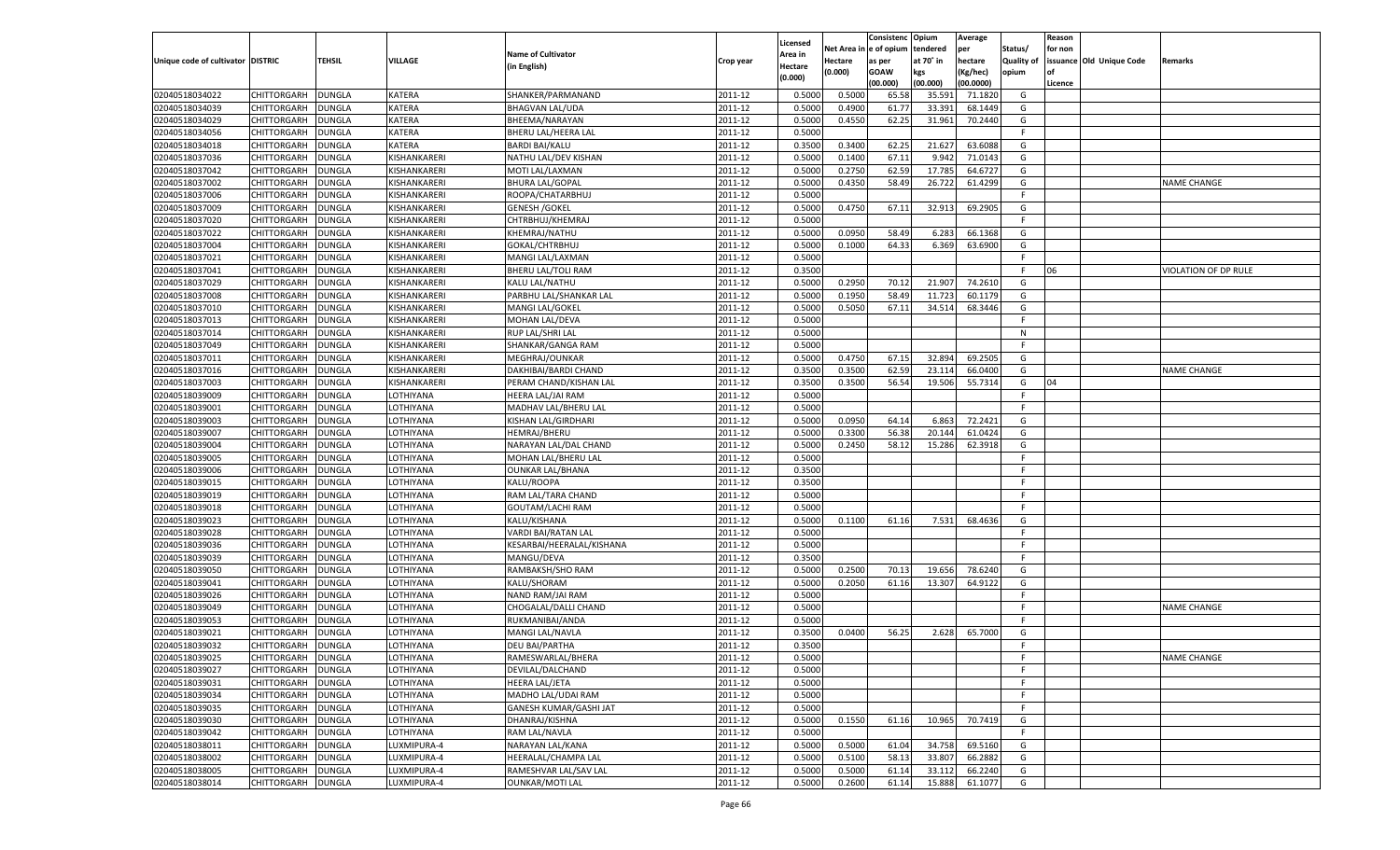|                                   |                    |               |                |                                         |           |                     |             | Consistenc    | Opium     | Average   |                   | Reason  |                          |                      |
|-----------------------------------|--------------------|---------------|----------------|-----------------------------------------|-----------|---------------------|-------------|---------------|-----------|-----------|-------------------|---------|--------------------------|----------------------|
|                                   |                    |               |                | <b>Name of Cultivator</b>               |           | Licensed<br>Area in | Net Area iı | n  e of opium | tendered  | per       | Status/           | for non |                          |                      |
| Unique code of cultivator DISTRIC |                    | TEHSIL        | <b>VILLAGE</b> | (in English)                            | Crop year | Hectare             | Hectare     | as per        | at 70° in | hectare   | <b>Quality of</b> |         | issuance Old Unique Code | Remarks              |
|                                   |                    |               |                |                                         |           | (0.000)             | (0.000)     | <b>GOAW</b>   | kgs       | (Kg/hec)  | opium             |         |                          |                      |
|                                   |                    |               |                |                                         |           |                     |             | (00.000)      | (00.000)  | (00.0000) |                   | Licence |                          |                      |
| 02040518034022                    | CHITTORGARH        | DUNGLA        | KATERA         | SHANKER/PARMANAND                       | 2011-12   | 0.5000              | 0.5000      | 65.58         | 35.591    | 71.1820   | G                 |         |                          |                      |
| 02040518034039                    | CHITTORGARH        | DUNGLA        | <b>KATERA</b>  | <b>BHAGVAN LAL/UDA</b>                  | 2011-12   | 0.5000              | 0.4900      | 61.77         | 33.391    | 68.1449   | G                 |         |                          |                      |
| 02040518034029                    | CHITTORGARH        | DUNGLA        | <b>KATERA</b>  | BHEEMA/NARAYAN                          | 2011-12   | 0.5000              | 0.4550      | 62.25         | 31.961    | 70.2440   | G                 |         |                          |                      |
| 02040518034056                    | CHITTORGARH        | DUNGLA        | KATERA         | BHERU LAL/HEERA LAL                     | 2011-12   | 0.5000              |             |               |           |           | E                 |         |                          |                      |
| 02040518034018                    | CHITTORGARH        | DUNGLA        | <b>KATERA</b>  | <b>BARDI BAI/KALU</b>                   | 2011-12   | 0.3500              | 0.3400      | 62.25         | 21.627    | 63.6088   | G                 |         |                          |                      |
| 02040518037036                    | CHITTORGARH        | DUNGLA        | KISHANKARERI   | NATHU LAL/DEV KISHAN                    | 2011-12   | 0.5000              | 0.1400      | 67.1          | 9.942     | 71.0143   | G                 |         |                          |                      |
| 02040518037042                    | CHITTORGARH        | DUNGLA        | KISHANKARERI   | MOTI LAL/LAXMAN                         | 2011-12   | 0.5000              | 0.2750      | 62.59         | 17.785    | 64.6727   | G                 |         |                          |                      |
| 02040518037002                    | CHITTORGARH        | DUNGLA        | KISHANKARERI   | <b>BHURA LAL/GOPAL</b>                  | 2011-12   | 0.5000              | 0.4350      | 58.49         | 26.722    | 61.4299   | G                 |         |                          | NAME CHANGE          |
| 02040518037006                    | CHITTORGARH        | DUNGLA        | KISHANKARERI   | ROOPA/CHATARBHUJ                        | 2011-12   | 0.5000              |             |               |           |           | F.                |         |                          |                      |
| 02040518037009                    | CHITTORGARH        | DUNGLA        | KISHANKARERI   | <b>GENESH / GOKEL</b>                   | 2011-12   | 0.5000              | 0.4750      | 67.1          | 32.913    | 69.2905   | G                 |         |                          |                      |
| 02040518037020                    | CHITTORGARH        | DUNGLA        | KISHANKARERI   | CHTRBHUJ/KHEMRAJ                        | 2011-12   | 0.5000              |             |               |           |           | F.                |         |                          |                      |
| 02040518037022                    | CHITTORGARH        | DUNGLA        | KISHANKARERI   | KHEMRAJ/NATHU                           | 2011-12   | 0.5000              | 0.0950      | 58.49         | 6.283     | 66.1368   | G                 |         |                          |                      |
| 02040518037004                    | CHITTORGARH        | DUNGLA        | KISHANKARERI   | GOKAL/CHTRBHUJ                          | 2011-12   | 0.5000              | 0.1000      | 64.33         | 6.369     | 63.6900   | G                 |         |                          |                      |
| 02040518037021                    | CHITTORGARH        | DUNGLA        | KISHANKARERI   | MANGI LAL/LAXMAN                        | 2011-12   | 0.5000              |             |               |           |           | E                 |         |                          |                      |
| 02040518037041                    | CHITTORGARH        | DUNGLA        | KISHANKARERI   | BHERU LAL/TOLI RAM                      | 2011-12   | 0.3500              |             |               |           |           | E                 | 06      |                          | VIOLATION OF DP RULE |
| 02040518037029                    | CHITTORGARH        | DUNGLA        | KISHANKARERI   | KALU LAL/NATHU                          | 2011-12   | 0.5000              | 0.2950      | 70.12         | 21.907    | 74.2610   | G                 |         |                          |                      |
| 02040518037008                    | CHITTORGARH        | DUNGLA        | KISHANKARERI   | PARBHU LAL/SHANKAR LAL                  | 2011-12   | 0.5000              | 0.1950      | 58.49         | 11.723    | 60.1179   | G                 |         |                          |                      |
| 02040518037010                    | CHITTORGARH        | DUNGLA        | KISHANKARERI   | MANGI LAL/GOKEL                         | 2011-12   | 0.5000              | 0.5050      | 67.11         | 34.514    | 68.3446   | G                 |         |                          |                      |
| 02040518037013                    | CHITTORGARH        | DUNGLA        | KISHANKARERI   | MOHAN LAL/DEVA                          | 2011-12   | 0.5000              |             |               |           |           | F.                |         |                          |                      |
| 02040518037014                    | CHITTORGARH        | DUNGLA        | KISHANKARERI   | RUP LAL/SHRI LAL                        | 2011-12   | 0.5000              |             |               |           |           | N                 |         |                          |                      |
| 02040518037049                    | CHITTORGARH        | DUNGLA        | KISHANKARERI   | SHANKAR/GANGA RAM                       | 2011-12   | 0.5000              |             |               |           |           | F.                |         |                          |                      |
| 02040518037011                    | CHITTORGARH        | DUNGLA        | KISHANKARERI   | MEGHRAJ/OUNKAR                          | 2011-12   | 0.5000              | 0.4750      | 67.15         | 32.894    | 69.2505   | G                 |         |                          |                      |
| 02040518037016                    | CHITTORGARH        | DUNGLA        | KISHANKARERI   | DAKHIBAI/BARDI CHAND                    | 2011-12   | 0.3500              | 0.3500      | 62.59         | 23.114    | 66.0400   | G                 |         |                          | <b>NAME CHANGE</b>   |
| 02040518037003                    | CHITTORGARH        | DUNGLA        | KISHANKARERI   | PERAM CHAND/KISHAN LAL                  | 2011-12   | 0.3500              | 0.3500      | 56.54         | 19.506    | 55.7314   | G                 | 04      |                          |                      |
| 02040518039009                    | CHITTORGARH        | DUNGLA        | LOTHIYANA      | HEERA LAL/JAI RAM                       | 2011-12   | 0.5000              |             |               |           |           | F                 |         |                          |                      |
| 02040518039001                    | CHITTORGARH        | DUNGLA        | LOTHIYANA      | MADHAV LAL/BHERU LAL                    | 2011-12   | 0.5000              |             |               |           |           | F.                |         |                          |                      |
| 02040518039003                    | CHITTORGARH        | DUNGLA        | LOTHIYANA      | <b>KISHAN LAL/GIRDHARI</b>              | 2011-12   | 0.5000              | 0.0950      | 64.14         | 6.863     | 72.2421   | G                 |         |                          |                      |
| 02040518039007                    | CHITTORGARH        | DUNGLA        | LOTHIYANA      | <b>HEMRAJ/BHERU</b>                     | 2011-12   | 0.5000              | 0.3300      | 56.38         | 20.144    | 61.0424   | G                 |         |                          |                      |
| 02040518039004                    | CHITTORGARH        | DUNGLA        | LOTHIYANA      | NARAYAN LAL/DAL CHAND                   | 2011-12   | 0.5000              | 0.2450      | 58.12         | 15.286    | 62.3918   | G                 |         |                          |                      |
| 02040518039005                    | CHITTORGARH        | DUNGLA        | LOTHIYANA      | MOHAN LAL/BHERU LAL                     | 2011-12   | 0.5000              |             |               |           |           | F.                |         |                          |                      |
| 02040518039006                    | CHITTORGARH        | DUNGLA        | LOTHIYANA      | <b>OUNKAR LAL/BHANA</b>                 | 2011-12   | 0.3500              |             |               |           |           | F                 |         |                          |                      |
| 02040518039015                    | CHITTORGARH        | DUNGLA        | LOTHIYANA      | KALU/ROOPA                              | 2011-12   | 0.3500              |             |               |           |           | F                 |         |                          |                      |
| 02040518039019                    | CHITTORGARH        | <b>DUNGLA</b> | LOTHIYANA      | RAM LAL/TARA CHAND                      | 2011-12   | 0.5000              |             |               |           |           | F                 |         |                          |                      |
| 02040518039018                    | CHITTORGARH        | DUNGLA        | LOTHIYANA      | GOUTAM/LACHI RAM                        | 2011-12   | 0.5000              |             |               |           |           | F                 |         |                          |                      |
| 02040518039023                    | CHITTORGARH        | DUNGLA        | LOTHIYANA      | KALU/KISHANA                            | 2011-12   | 0.5000              | 0.1100      | 61.16         | 7.531     | 68.4636   | G                 |         |                          |                      |
| 02040518039028                    | CHITTORGARH        | DUNGLA        | LOTHIYANA      | VARDI BAI/RATAN LAL                     | 2011-12   | 0.5000              |             |               |           |           | F                 |         |                          |                      |
| 02040518039036                    | CHITTORGARH        | <b>DUNGLA</b> | LOTHIYANA      | KESARBAI/HEERALAL/KISHANA               | 2011-12   | 0.5000              |             |               |           |           | F                 |         |                          |                      |
| 02040518039039                    | CHITTORGARH        | DUNGLA        | LOTHIYANA      | MANGU/DEVA                              | 2011-12   | 0.3500              |             |               |           |           | F                 |         |                          |                      |
| 02040518039050                    | CHITTORGARH        | DUNGLA        | LOTHIYANA      | RAMBAKSH/SHO RAM                        | 2011-12   | 0.5000              | 0.2500      | 70.13         | 19.656    | 78.6240   | G                 |         |                          |                      |
| 02040518039041                    | CHITTORGARH        | DUNGLA        | LOTHIYANA      | KALU/SHORAM                             | 2011-12   | 0.5000              | 0.2050      | 61.16         | 13.307    | 64.9122   | G                 |         |                          |                      |
| 02040518039026                    | CHITTORGARH        | <b>DUNGLA</b> | LOTHIYANA      | NAND RAM/JAI RAM                        | 2011-12   | 0.5000              |             |               |           |           | F.                |         |                          |                      |
| 02040518039049                    | CHITTORGARH        | DUNGLA        | LOTHIYANA      | CHOGALAL/DALLI CHAND                    | 2011-12   | 0.5000              |             |               |           |           | F                 |         |                          | <b>NAME CHANGE</b>   |
| 02040518039053                    | CHITTORGARH        | DUNGLA        | LOTHIYANA      | RUKMANIBAI/ANDA                         | 2011-12   | 0.5000              |             |               |           |           | E                 |         |                          |                      |
| 02040518039021                    | CHITTORGARH        | DUNGLA        | LOTHIYANA      | MANGI LAL/NAVLA                         | 2011-12   | 0.3500              | 0.0400      | 56.25         | 2.628     | 65.7000   | G                 |         |                          |                      |
| 02040518039032                    | CHITTORGARH        | <b>DUNGLA</b> | LOTHIYANA      | <b>DEU BAI/PARTHA</b>                   | 2011-12   | 0.3500              |             |               |           |           | F.                |         |                          |                      |
| 02040518039025                    | CHITTORGARH        | <b>DUNGLA</b> | LOTHIYANA      | RAMESWARLAL/BHERA                       | 2011-12   | 0.5000              |             |               |           |           | F.                |         |                          | <b>NAME CHANGE</b>   |
| 02040518039027                    | <b>CHITTORGARH</b> | <b>DUNGLA</b> | LOTHIYANA      | DEVILAL/DALCHAND                        | 2011-12   | 0.5000              |             |               |           |           | F.                |         |                          |                      |
| 02040518039031                    | CHITTORGARH        | <b>DUNGLA</b> | LOTHIYANA      | <b>HEERA LAL/JETA</b>                   | 2011-12   | 0.5000              |             |               |           |           | F.                |         |                          |                      |
| 02040518039034                    | CHITTORGARH        | <b>DUNGLA</b> | LOTHIYANA      | MADHO LAL/UDAI RAM                      | 2011-12   | 0.5000              |             |               |           |           | F.                |         |                          |                      |
| 02040518039035                    | CHITTORGARH        | <b>DUNGLA</b> | LOTHIYANA      | GANESH KUMAR/GASHI JAT                  | 2011-12   | 0.5000              |             |               |           |           | F.                |         |                          |                      |
| 02040518039030                    | CHITTORGARH        | <b>DUNGLA</b> | LOTHIYANA      | DHANRAJ/KISHNA                          | 2011-12   | 0.5000              | 0.1550      | 61.16         | 10.965    | 70.7419   | G                 |         |                          |                      |
| 02040518039042                    | CHITTORGARH        | <b>DUNGLA</b> | LOTHIYANA      | RAM LAL/NAVLA                           | 2011-12   | 0.5000              |             |               |           |           | F                 |         |                          |                      |
|                                   | <b>CHITTORGARH</b> |               |                |                                         |           |                     | 0.5000      |               |           |           |                   |         |                          |                      |
| 02040518038011                    |                    | <b>DUNGLA</b> | LUXMIPURA-4    | NARAYAN LAL/KANA<br>HEERALAL/CHAMPA LAL | 2011-12   | 0.5000              |             | 61.04         | 34.758    | 69.5160   | G                 |         |                          |                      |
| 02040518038002                    | CHITTORGARH        | <b>DUNGLA</b> | LUXMIPURA-4    |                                         | 2011-12   | 0.5000              | 0.5100      | 58.13         | 33.807    | 66.2882   | G                 |         |                          |                      |
| 02040518038005                    | CHITTORGARH        | <b>DUNGLA</b> | LUXMIPURA-4    | RAMESHVAR LAL/SAV LAL                   | 2011-12   | 0.5000              | 0.5000      | 61.14         | 33.112    | 66.2240   | G                 |         |                          |                      |
| 02040518038014                    | <b>CHITTORGARH</b> | <b>DUNGLA</b> | LUXMIPURA-4    | <b>OUNKAR/MOTI LAL</b>                  | 2011-12   | 0.5000              | 0.2600      | 61.14         | 15.888    | 61.1077   | G                 |         |                          |                      |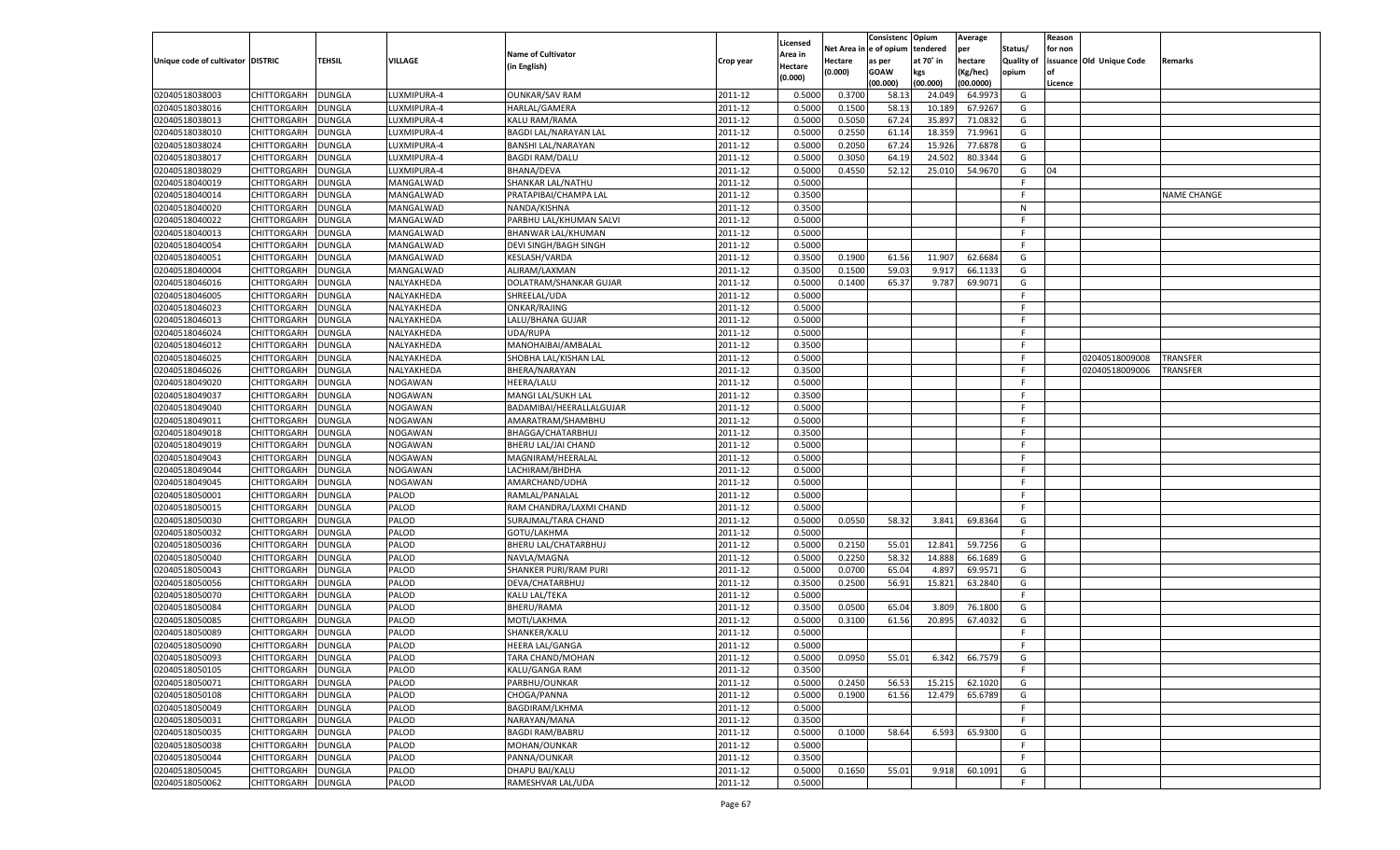|                                   |                    |               |                |                              |           |          |            | Consistenc Opium |           | Average   |                   | Reason    |                          |                    |
|-----------------------------------|--------------------|---------------|----------------|------------------------------|-----------|----------|------------|------------------|-----------|-----------|-------------------|-----------|--------------------------|--------------------|
|                                   |                    |               |                |                              |           | Licensed | Net Area i | n e of opium     | tendered  | per       | Status/           | for non   |                          |                    |
| Unique code of cultivator DISTRIC |                    | TEHSIL        | VILLAGE        | <b>Name of Cultivator</b>    | Crop year | Area in  | Hectare    | as per           | at 70° in | hectare   | <b>Quality of</b> |           | issuance Old Unique Code | Remarks            |
|                                   |                    |               |                | (in English)                 |           | Hectare  | (0.000)    | <b>GOAW</b>      | kgs       | (Kg/hec)  | opium             | <b>of</b> |                          |                    |
|                                   |                    |               |                |                              |           | (0.000)  |            | (00.000)         | (00.000)  | (00.0000) |                   | Licence   |                          |                    |
| 02040518038003                    | CHITTORGARH        | <b>DUNGLA</b> | LUXMIPURA-4    | <b>OUNKAR/SAV RAM</b>        | 2011-12   | 0.5000   | 0.3700     | 58.13            | 24.04     | 64.9973   | G                 |           |                          |                    |
| 02040518038016                    | CHITTORGARH        | DUNGLA        | LUXMIPURA-4    | HARLAL/GAMERA                | 2011-12   | 0.5000   | 0.1500     | 58.13            | 10.189    | 67.9267   | G                 |           |                          |                    |
| 02040518038013                    | CHITTORGARH        | <b>DUNGLA</b> | LUXMIPURA-4    | KALU RAM/RAMA                | 2011-12   | 0.5000   | 0.5050     | 67.24            | 35.897    | 71.0832   | G                 |           |                          |                    |
| 02040518038010                    | CHITTORGARH        | DUNGLA        | LUXMIPURA-4    | <b>BAGDI LAL/NARAYAN LAL</b> | 2011-12   | 0.5000   | 0.2550     | 61.14            | 18.359    | 71.9961   | G                 |           |                          |                    |
| 02040518038024                    | CHITTORGARH        | <b>DUNGLA</b> | LUXMIPURA-4    | <b>BANSHI LAL/NARAYAN</b>    | 2011-12   | 0.5000   | 0.2050     | 67.24            | 15.926    | 77.6878   | G                 |           |                          |                    |
| 02040518038017                    | CHITTORGARH        | DUNGLA        | LUXMIPURA-4    | <b>BAGDI RAM/DALU</b>        | 2011-12   | 0.5000   | 0.3050     | 64.19            | 24.502    | 80.3344   | G                 |           |                          |                    |
| 02040518038029                    | CHITTORGARH        | <b>DUNGLA</b> | LUXMIPURA-4    | BHANA/DEVA                   | 2011-12   | 0.5000   | 0.4550     | 52.12            | 25.010    | 54.9670   | G                 | 04        |                          |                    |
| 02040518040019                    | CHITTORGARH        | DUNGLA        | MANGALWAD      | SHANKAR LAL/NATHU            | 2011-12   | 0.5000   |            |                  |           |           | F.                |           |                          |                    |
| 02040518040014                    | CHITTORGARH        | <b>DUNGLA</b> | MANGALWAD      | PRATAPIBAI/CHAMPA LAL        | 2011-12   | 0.3500   |            |                  |           |           | F.                |           |                          | <b>NAME CHANGE</b> |
| 02040518040020                    | CHITTORGARH        | DUNGLA        | MANGALWAD      | NANDA/KISHNA                 | 2011-12   | 0.3500   |            |                  |           |           | N                 |           |                          |                    |
| 02040518040022                    | CHITTORGARH        | <b>DUNGLA</b> | MANGALWAD      | PARBHU LAL/KHUMAN SALVI      | 2011-12   | 0.5000   |            |                  |           |           | F.                |           |                          |                    |
| 02040518040013                    | CHITTORGARH        | DUNGLA        | MANGALWAD      | BHANWAR LAL/KHUMAN           | 2011-12   | 0.5000   |            |                  |           |           | F.                |           |                          |                    |
| 02040518040054                    | CHITTORGARH        | DUNGLA        | MANGALWAD      | DEVI SINGH/BAGH SINGH        | 2011-12   | 0.5000   |            |                  |           |           | F.                |           |                          |                    |
| 02040518040051                    | CHITTORGARH        | <b>DUNGLA</b> | MANGALWAD      | KESLASH/VARDA                | 2011-12   | 0.3500   | 0.1900     | 61.56            | 11.907    | 62.6684   | G                 |           |                          |                    |
| 02040518040004                    | CHITTORGARH        | <b>DUNGLA</b> | MANGALWAD      | ALIRAM/LAXMAN                | 2011-12   | 0.3500   | 0.1500     | 59.03            | 9.917     | 66.1133   | G                 |           |                          |                    |
| 02040518046016                    | CHITTORGARH        | <b>DUNGLA</b> | NALYAKHEDA     | DOLATRAM/SHANKAR GUJAR       | 2011-12   | 0.5000   | 0.1400     | 65.37            | 9.787     | 69.9071   | G                 |           |                          |                    |
| 02040518046005                    | CHITTORGARH        | <b>DUNGLA</b> | NALYAKHEDA     | SHREELAL/UDA                 | 2011-12   | 0.5000   |            |                  |           |           | F.                |           |                          |                    |
| 02040518046023                    | CHITTORGARH        | <b>DUNGLA</b> | NALYAKHEDA     | ONKAR/RAJING                 | 2011-12   | 0.5000   |            |                  |           |           | F                 |           |                          |                    |
| 02040518046013                    | CHITTORGARH        | <b>DUNGLA</b> | NALYAKHEDA     | LALU/BHANA GUJAR             | 2011-12   | 0.5000   |            |                  |           |           | E                 |           |                          |                    |
| 02040518046024                    | CHITTORGARH        | <b>DUNGLA</b> | NALYAKHEDA     | UDA/RUPA                     | 2011-12   | 0.5000   |            |                  |           |           | F.                |           |                          |                    |
| 02040518046012                    | CHITTORGARH        | <b>DUNGLA</b> | NALYAKHEDA     | MANOHAIBAI/AMBALAL           | 2011-12   | 0.3500   |            |                  |           |           | E                 |           |                          |                    |
| 02040518046025                    | CHITTORGARH        | <b>DUNGLA</b> | NALYAKHEDA     | SHOBHA LAL/KISHAN LAL        | 2011-12   | 0.5000   |            |                  |           |           | E                 |           | 02040518009008           | <b>TRANSFER</b>    |
|                                   | CHITTORGARH        | <b>DUNGLA</b> | NALYAKHEDA     | BHERA/NARAYAN                | 2011-12   | 0.3500   |            |                  |           |           | F                 |           | 02040518009006           |                    |
| 02040518046026<br>02040518049020  | CHITTORGARH        | <b>DUNGLA</b> | <b>NOGAWAN</b> | <b>HEERA/LALU</b>            | 2011-12   |          |            |                  |           |           | F                 |           |                          | TRANSFER           |
|                                   |                    |               |                |                              |           | 0.5000   |            |                  |           |           | E                 |           |                          |                    |
| 02040518049037                    | CHITTORGARH        | <b>DUNGLA</b> | <b>NOGAWAN</b> | MANGI LAL/SUKH LAL           | 2011-12   | 0.3500   |            |                  |           |           | E                 |           |                          |                    |
| 02040518049040                    | CHITTORGARH        | <b>DUNGLA</b> | <b>NOGAWAN</b> | BADAMIBAI/HEERALLALGUJAR     | 2011-12   | 0.5000   |            |                  |           |           | E                 |           |                          |                    |
| 02040518049011                    | CHITTORGARH        | <b>DUNGLA</b> | <b>NOGAWAN</b> | AMARATRAM/SHAMBHU            | 2011-12   | 0.5000   |            |                  |           |           |                   |           |                          |                    |
| 02040518049018                    | CHITTORGARH        | <b>DUNGLA</b> | <b>NOGAWAN</b> | BHAGGA/CHATARBHUJ            | 2011-12   | 0.3500   |            |                  |           |           | F.                |           |                          |                    |
| 02040518049019                    | CHITTORGARH        | <b>DUNGLA</b> | NOGAWAN        | BHERU LAL/JAI CHAND          | 2011-12   | 0.5000   |            |                  |           |           | F                 |           |                          |                    |
| 02040518049043                    | CHITTORGARH        | <b>DUNGLA</b> | NOGAWAN        | MAGNIRAM/HEERALAL            | 2011-12   | 0.5000   |            |                  |           |           | E                 |           |                          |                    |
| 02040518049044                    | CHITTORGARH        | DUNGLA        | <b>NOGAWAN</b> | LACHIRAM/BHDHA               | 2011-12   | 0.5000   |            |                  |           |           | E                 |           |                          |                    |
| 02040518049045                    | CHITTORGARH        | <b>DUNGLA</b> | <b>NOGAWAN</b> | AMARCHAND/UDHA               | 2011-12   | 0.5000   |            |                  |           |           | F                 |           |                          |                    |
| 02040518050001                    | CHITTORGARH        | <b>DUNGLA</b> | PALOD          | RAMLAL/PANALAL               | 2011-12   | 0.5000   |            |                  |           |           | E                 |           |                          |                    |
| 02040518050015                    | CHITTORGARH        | <b>DUNGLA</b> | PALOD          | RAM CHANDRA/LAXMI CHAND      | 2011-12   | 0.5000   |            |                  |           |           | E                 |           |                          |                    |
| 02040518050030                    | CHITTORGARH        | DUNGLA        | PALOD          | SURAJMAL/TARA CHAND          | 2011-12   | 0.5000   | 0.0550     | 58.32            | 3.841     | 69.8364   | G                 |           |                          |                    |
| 02040518050032                    | CHITTORGARH        | <b>DUNGLA</b> | PALOD          | GOTU/LAKHMA                  | 2011-12   | 0.5000   |            |                  |           |           | F.                |           |                          |                    |
| 02040518050036                    | CHITTORGARH        | <b>DUNGLA</b> | PALOD          | BHERU LAL/CHATARBHUJ         | 2011-12   | 0.5000   | 0.2150     | 55.01            | 12.841    | 59.7256   | G                 |           |                          |                    |
| 02040518050040                    | CHITTORGARH        | <b>DUNGLA</b> | PALOD          | NAVLA/MAGNA                  | 2011-12   | 0.5000   | 0.2250     | 58.32            | 14.888    | 66.1689   | G                 |           |                          |                    |
| 02040518050043                    | CHITTORGARH        | DUNGLA        | PALOD          | <b>SHANKER PURI/RAM PURI</b> | 2011-12   | 0.5000   | 0.0700     | 65.04            | 4.897     | 69.9571   | G                 |           |                          |                    |
| 02040518050056                    | CHITTORGARH        | DUNGLA        | PALOD          | DEVA/CHATARBHUJ              | 2011-12   | 0.3500   | 0.2500     | 56.91            | 15.821    | 63.2840   | G                 |           |                          |                    |
| 02040518050070                    | CHITTORGARH        | <b>DUNGLA</b> | PALOD          | <b>KALU LAL/TEKA</b>         | 2011-12   | 0.5000   |            |                  |           |           | F.                |           |                          |                    |
| 02040518050084                    | CHITTORGARH        | DUNGLA        | PALOD          | BHERU/RAMA                   | 2011-12   | 0.3500   | 0.0500     | 65.04            | 3.809     | 76.1800   | G                 |           |                          |                    |
| 02040518050085                    | CHITTORGARH        | DUNGLA        | PALOD          | MOTI/LAKHMA                  | 2011-12   | 0.5000   | 0.3100     | 61.56            | 20.895    | 67.4032   | G                 |           |                          |                    |
| 02040518050089                    | CHITTORGARH        | DUNGLA        | PALOD          | SHANKER/KALU                 | 2011-12   | 0.5000   |            |                  |           |           | F                 |           |                          |                    |
| 02040518050090                    | CHITTORGARH        | DUNGLA        | PALOD          | <b>HEERA LAL/GANGA</b>       | 2011-12   | 0.5000   |            |                  |           |           | F                 |           |                          |                    |
| 02040518050093                    | CHITTORGARH        | DUNGLA        | PALOD          | TARA CHAND/MOHAN             | 2011-12   | 0.5000   | 0.0950     | 55.01            | 6.342     | 66.7579   | G                 |           |                          |                    |
| 02040518050105                    | CHITTORGARH        | <b>DUNGLA</b> | PALOD          | KALU/GANGA RAM               | 2011-12   | 0.3500   |            |                  |           |           | F                 |           |                          |                    |
| 02040518050071                    | CHITTORGARH        | <b>DUNGLA</b> | PALOD          | PARBHU/OUNKAR                | 2011-12   | 0.5000   | 0.2450     | 56.53            | 15.215    | 62.1020   | G                 |           |                          |                    |
| 02040518050108                    | <b>CHITTORGARH</b> | <b>DUNGLA</b> | PALOD          | CHOGA/PANNA                  | 2011-12   | 0.5000   | 0.1900     | 61.56            | 12.479    | 65.6789   | G                 |           |                          |                    |
| 02040518050049                    | CHITTORGARH        | <b>DUNGLA</b> | PALOD          | BAGDIRAM/LKHMA               | 2011-12   | 0.5000   |            |                  |           |           | F.                |           |                          |                    |
| 02040518050031                    | <b>CHITTORGARH</b> | <b>DUNGLA</b> | PALOD          | NARAYAN/MANA                 | 2011-12   | 0.3500   |            |                  |           |           | F.                |           |                          |                    |
| 02040518050035                    | CHITTORGARH        | <b>DUNGLA</b> | PALOD          | <b>BAGDI RAM/BABRU</b>       | 2011-12   | 0.5000   | 0.1000     | 58.64            | 6.593     | 65.9300   | G                 |           |                          |                    |
| 02040518050038                    | <b>CHITTORGARH</b> | <b>DUNGLA</b> | PALOD          | MOHAN/OUNKAR                 | 2011-12   | 0.5000   |            |                  |           |           | F.                |           |                          |                    |
| 02040518050044                    | CHITTORGARH        | <b>DUNGLA</b> | PALOD          | PANNA/OUNKAR                 | 2011-12   | 0.3500   |            |                  |           |           | E                 |           |                          |                    |
| 02040518050045                    | CHITTORGARH        | <b>DUNGLA</b> | PALOD          | DHAPU BAI/KALU               | 2011-12   | 0.5000   | 0.1650     | 55.01            | 9.918     | 60.1091   | G                 |           |                          |                    |
| 02040518050062                    | CHITTORGARH        | <b>DUNGLA</b> | PALOD          | RAMESHVAR LAL/UDA            | 2011-12   | 0.5000   |            |                  |           |           | F.                |           |                          |                    |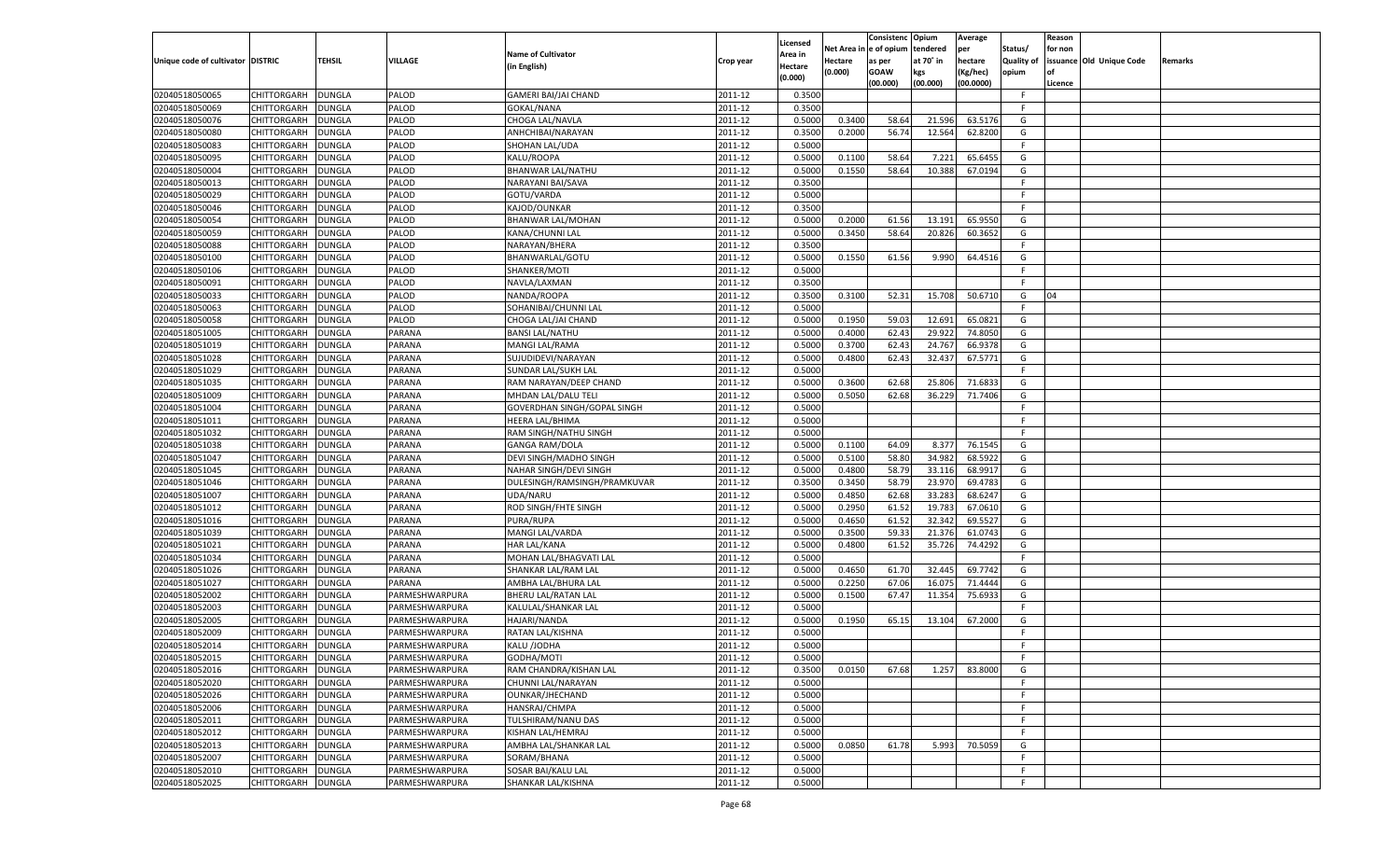|                                   |                    |               |                |                              |           |                     |            | Consistenc    | Opium     | Average   |            | Reason  |                          |         |
|-----------------------------------|--------------------|---------------|----------------|------------------------------|-----------|---------------------|------------|---------------|-----------|-----------|------------|---------|--------------------------|---------|
|                                   |                    |               |                | <b>Name of Cultivator</b>    |           | Licensed<br>Area in | Net Area i | n  e of opium | tendered  | per       | Status/    | for non |                          |         |
| Unique code of cultivator DISTRIC |                    | TEHSIL        | <b>VILLAGE</b> | (in English)                 | Crop year | Hectare             | Hectare    | as per        | at 70° in | hectare   | Quality of |         | issuance Old Unique Code | Remarks |
|                                   |                    |               |                |                              |           | (0.000)             | (0.000)    | <b>GOAW</b>   | kgs       | (Kg/hec)  | opium      |         |                          |         |
|                                   |                    |               |                |                              |           |                     |            | (00.000)      | (00.000)  | (00.0000) |            | Licence |                          |         |
| 02040518050065                    | CHITTORGARH        | DUNGLA        | PALOD          | GAMERI BAI/JAI CHAND         | 2011-12   | 0.3500              |            |               |           |           | -F         |         |                          |         |
| 02040518050069                    | CHITTORGARH        | DUNGLA        | PALOD          | GOKAL/NANA                   | 2011-12   | 0.3500              |            |               |           |           | F.         |         |                          |         |
| 02040518050076                    | CHITTORGARH        | DUNGLA        | PALOD          | CHOGA LAL/NAVLA              | 2011-12   | 0.5000              | 0.3400     | 58.64         | 21.596    | 63.5176   | G          |         |                          |         |
| 02040518050080                    | CHITTORGARH        | DUNGLA        | PALOD          | ANHCHIBAI/NARAYAN            | 2011-12   | 0.3500              | 0.2000     | 56.74         | 12.564    | 62.8200   | G          |         |                          |         |
| 02040518050083                    | CHITTORGARH        | DUNGLA        | PALOD          | SHOHAN LAL/UDA               | 2011-12   | 0.5000              |            |               |           |           | F.         |         |                          |         |
| 02040518050095                    | CHITTORGARH        | DUNGLA        | PALOD          | KALU/ROOPA                   | 2011-12   | 0.5000              | 0.1100     | 58.64         | 7.221     | 65.6455   | G          |         |                          |         |
| 02040518050004                    | CHITTORGARH        | DUNGLA        | PALOD          | BHANWAR LAL/NATHU            | 2011-12   | 0.5000              | 0.1550     | 58.64         | 10.388    | 67.0194   | G          |         |                          |         |
| 02040518050013                    | CHITTORGARH        | DUNGLA        | PALOD          | NARAYANI BAI/SAVA            | 2011-12   | 0.3500              |            |               |           |           | F.         |         |                          |         |
| 02040518050029                    | CHITTORGARH        | DUNGLA        | PALOD          | GOTU/VARDA                   | 2011-12   | 0.5000              |            |               |           |           | F.         |         |                          |         |
| 02040518050046                    | CHITTORGARH        | DUNGLA        | PALOD          | KAJOD/OUNKAR                 | 2011-12   | 0.3500              |            |               |           |           | E          |         |                          |         |
| 02040518050054                    | CHITTORGARH        | DUNGLA        | PALOD          | BHANWAR LAL/MOHAN            | 2011-12   | 0.5000              | 0.2000     | 61.56         | 13.191    | 65.9550   | G          |         |                          |         |
| 02040518050059                    | CHITTORGARH        | DUNGLA        | PALOD          | KANA/CHUNNI LAL              | 2011-12   | 0.5000              | 0.3450     | 58.64         | 20.826    | 60.3652   | G          |         |                          |         |
| 02040518050088                    | CHITTORGARH        | DUNGLA        | PALOD          | NARAYAN/BHERA                | 2011-12   | 0.3500              |            |               |           |           | F.         |         |                          |         |
| 02040518050100                    | CHITTORGARH        | DUNGLA        | PALOD          | BHANWARLAL/GOTU              | 2011-12   | 0.5000              | 0.1550     | 61.56         | 9.990     | 64.4516   | G          |         |                          |         |
| 02040518050106                    | CHITTORGARH        | DUNGLA        | PALOD          | SHANKER/MOTI                 | 2011-12   | 0.5000              |            |               |           |           | F.         |         |                          |         |
| 02040518050091                    | CHITTORGARH        | DUNGLA        | PALOD          | NAVLA/LAXMAN                 | 2011-12   | 0.3500              |            |               |           |           | F.         |         |                          |         |
| 02040518050033                    | CHITTORGARH        | <b>DUNGLA</b> | PALOD          | NANDA/ROOPA                  | 2011-12   | 0.3500              | 0.3100     | 52.31         | 15.708    | 50.6710   | G          | 04      |                          |         |
| 02040518050063                    | CHITTORGARH        | DUNGLA        | PALOD          | SOHANIBAI/CHUNNI LAL         | 2011-12   | 0.5000              |            |               |           |           | F.         |         |                          |         |
| 02040518050058                    | CHITTORGARH        | DUNGLA        | PALOD          | CHOGA LAL/JAI CHAND          | 2011-12   | 0.5000              | 0.1950     | 59.03         | 12.691    | 65.0821   | G          |         |                          |         |
| 02040518051005                    | CHITTORGARH        | DUNGLA        | PARANA         | <b>BANSI LAL/NATHU</b>       | 2011-12   | 0.5000              | 0.4000     | 62.43         | 29.922    | 74.8050   | G          |         |                          |         |
| 02040518051019                    | CHITTORGARH        | DUNGLA        | PARANA         | <b>MANGI LAL/RAMA</b>        | 2011-12   | 0.5000              | 0.3700     | 62.43         | 24.767    | 66.9378   | G          |         |                          |         |
| 02040518051028                    | CHITTORGARH        | DUNGLA        | PARANA         | SUJUDIDEVI/NARAYAN           | 2011-12   | 0.5000              | 0.4800     | 62.43         | 32.437    | 67.5771   | G          |         |                          |         |
| 02040518051029                    | CHITTORGARH        | DUNGLA        | PARANA         | SUNDAR LAL/SUKH LAL          | 2011-12   | 0.5000              |            |               |           |           | F.         |         |                          |         |
| 02040518051035                    | CHITTORGARH        | DUNGLA        | PARANA         | RAM NARAYAN/DEEP CHAND       | 2011-12   | 0.5000              | 0.3600     | 62.68         | 25.806    | 71.6833   | G          |         |                          |         |
| 02040518051009                    | CHITTORGARH        | DUNGLA        | PARANA         | MHDAN LAL/DALU TELI          | 2011-12   | 0.5000              | 0.5050     | 62.68         | 36.229    | 71.7406   | G          |         |                          |         |
| 02040518051004                    | CHITTORGARH        | DUNGLA        | PARANA         | GOVERDHAN SINGH/GOPAL SINGH  | 2011-12   | 0.5000              |            |               |           |           | F.         |         |                          |         |
| 02040518051011                    | CHITTORGARH        | DUNGLA        | PARANA         | <b>HEERA LAL/BHIMA</b>       | 2011-12   | 0.5000              |            |               |           |           | F.         |         |                          |         |
| 02040518051032                    | CHITTORGARH        | DUNGLA        | PARANA         | RAM SINGH/NATHU SINGH        | 2011-12   | 0.5000              |            |               |           |           | E          |         |                          |         |
| 02040518051038                    | CHITTORGARH        | DUNGLA        | PARANA         | <b>GANGA RAM/DOLA</b>        | 2011-12   | 0.5000              | 0.1100     | 64.09         | 8.377     | 76.1545   | G          |         |                          |         |
| 02040518051047                    | CHITTORGARH        | DUNGLA        | PARANA         | DEVI SINGH/MADHO SINGH       | 2011-12   | 0.5000              | 0.5100     | 58.80         | 34.982    | 68.5922   | G          |         |                          |         |
| 02040518051045                    | CHITTORGARH        | DUNGLA        | PARANA         | NAHAR SINGH/DEVI SINGH       | 2011-12   | 0.5000              | 0.4800     | 58.79         | 33.116    | 68.9917   | G          |         |                          |         |
| 02040518051046                    | CHITTORGARH        | DUNGLA        | PARANA         | DULESINGH/RAMSINGH/PRAMKUVAR | 2011-12   | 0.3500              | 0.3450     | 58.79         | 23.970    | 69.4783   | G          |         |                          |         |
| 02040518051007                    | CHITTORGARH        | DUNGLA        | PARANA         | UDA/NARU                     | 2011-12   | 0.5000              | 0.4850     | 62.68         | 33.283    | 68.6247   | G          |         |                          |         |
| 02040518051012                    | CHITTORGARH        | DUNGLA        | PARANA         | ROD SINGH/FHTE SINGH         | 2011-12   | 0.5000              | 0.2950     | 61.52         | 19.783    | 67.0610   | G          |         |                          |         |
| 02040518051016                    | CHITTORGARH        | DUNGLA        | PARANA         | PURA/RUPA                    | 2011-12   | 0.5000              | 0.4650     | 61.52         | 32.342    | 69.5527   | G          |         |                          |         |
| 02040518051039                    | CHITTORGARH        | DUNGLA        | PARANA         | MANGI LAL/VARDA              | 2011-12   | 0.5000              | 0.3500     | 59.33         | 21.376    | 61.0743   | G          |         |                          |         |
| 02040518051021                    | CHITTORGARH        | DUNGLA        | PARANA         | <b>HAR LAL/KANA</b>          | 2011-12   | 0.5000              | 0.4800     | 61.52         | 35.726    | 74.4292   | G          |         |                          |         |
| 02040518051034                    | CHITTORGARH        | DUNGLA        | PARANA         | MOHAN LAL/BHAGVATI LAL       | 2011-12   | 0.5000              |            |               |           |           | F.         |         |                          |         |
| 02040518051026                    | CHITTORGARH        | DUNGLA        | PARANA         | SHANKAR LAL/RAM LAL          | 2011-12   | 0.5000              | 0.4650     | 61.70         | 32.445    | 69.7742   | G          |         |                          |         |
| 02040518051027                    | CHITTORGARH        | DUNGLA        | PARANA         | AMBHA LAL/BHURA LAL          | 2011-12   | 0.5000              | 0.2250     | 67.06         | 16.075    | 71.4444   | G          |         |                          |         |
| 02040518052002                    | CHITTORGARH        | DUNGLA        | PARMESHWARPURA | BHERU LAL/RATAN LAL          | 2011-12   | 0.5000              | 0.1500     | 67.47         | 11.354    | 75.6933   | G          |         |                          |         |
| 02040518052003                    | CHITTORGARH        | DUNGLA        | PARMESHWARPURA | KALULAL/SHANKAR LAL          | 2011-12   | 0.5000              |            |               |           |           | F.         |         |                          |         |
| 02040518052005                    | CHITTORGARH        | DUNGLA        | PARMESHWARPURA | <b>HAJARI/NANDA</b>          | 2011-12   | 0.5000              | 0.1950     | 65.15         | 13.104    | 67.2000   | G          |         |                          |         |
| 02040518052009                    | CHITTORGARH        | DUNGLA        | PARMESHWARPURA | RATAN LAL/KISHNA             | 2011-12   | 0.5000              |            |               |           |           | F          |         |                          |         |
| 02040518052014                    |                    | <b>DUNGLA</b> |                | KALU /JODHA                  |           | 0.5000              |            |               |           |           | F.         |         |                          |         |
|                                   | CHITTORGARH        |               | PARMESHWARPURA |                              | 2011-12   |                     |            |               |           |           | F          |         |                          |         |
| 02040518052015                    | CHITTORGARH        | <b>DUNGLA</b> | PARMESHWARPURA | GODHA/MOTI                   | 2011-12   | 0.5000              |            |               |           |           |            |         |                          |         |
| 02040518052016                    | <b>CHITTORGARH</b> | <b>DUNGLA</b> | PARMESHWARPURA | RAM CHANDRA/KISHAN LAL       | 2011-12   | 0.3500              | 0.0150     | 67.68         | 1.257     | 83.8000   | G          |         |                          |         |
| 02040518052020                    | <b>CHITTORGARH</b> | <b>DUNGLA</b> | PARMESHWARPURA | CHUNNI LAL/NARAYAN           | 2011-12   | 0.5000              |            |               |           |           | F.         |         |                          |         |
| 02040518052026                    | CHITTORGARH        | <b>DUNGLA</b> | PARMESHWARPURA | OUNKAR/JHECHAND              | 2011-12   | 0.5000              |            |               |           |           | F.         |         |                          |         |
| 02040518052006                    | CHITTORGARH        | <b>DUNGLA</b> | PARMESHWARPURA | HANSRAJ/CHMPA                | 2011-12   | 0.5000              |            |               |           |           | F.         |         |                          |         |
| 02040518052011                    | <b>CHITTORGARH</b> | <b>DUNGLA</b> | PARMESHWARPURA | TULSHIRAM/NANU DAS           | 2011-12   | 0.5000              |            |               |           |           | F.         |         |                          |         |
| 02040518052012                    | CHITTORGARH        | <b>DUNGLA</b> | PARMESHWARPURA | KISHAN LAL/HEMRAJ            | 2011-12   | 0.5000              |            |               |           |           | F.         |         |                          |         |
| 02040518052013                    | CHITTORGARH        | <b>DUNGLA</b> | PARMESHWARPURA | AMBHA LAL/SHANKAR LAL        | 2011-12   | 0.5000              | 0.0850     | 61.78         | 5.993     | 70.5059   | G          |         |                          |         |
| 02040518052007                    | <b>CHITTORGARH</b> | <b>DUNGLA</b> | PARMESHWARPURA | SORAM/BHANA                  | 2011-12   | 0.5000              |            |               |           |           | F.         |         |                          |         |
| 02040518052010                    | <b>CHITTORGARH</b> | <b>DUNGLA</b> | PARMESHWARPURA | SOSAR BAI/KALU LAL           | 2011-12   | 0.5000              |            |               |           |           | F.         |         |                          |         |
| 02040518052025                    | <b>CHITTORGARH</b> | <b>DUNGLA</b> | PARMESHWARPURA | SHANKAR LAL/KISHNA           | 2011-12   | 0.5000              |            |               |           |           | F.         |         |                          |         |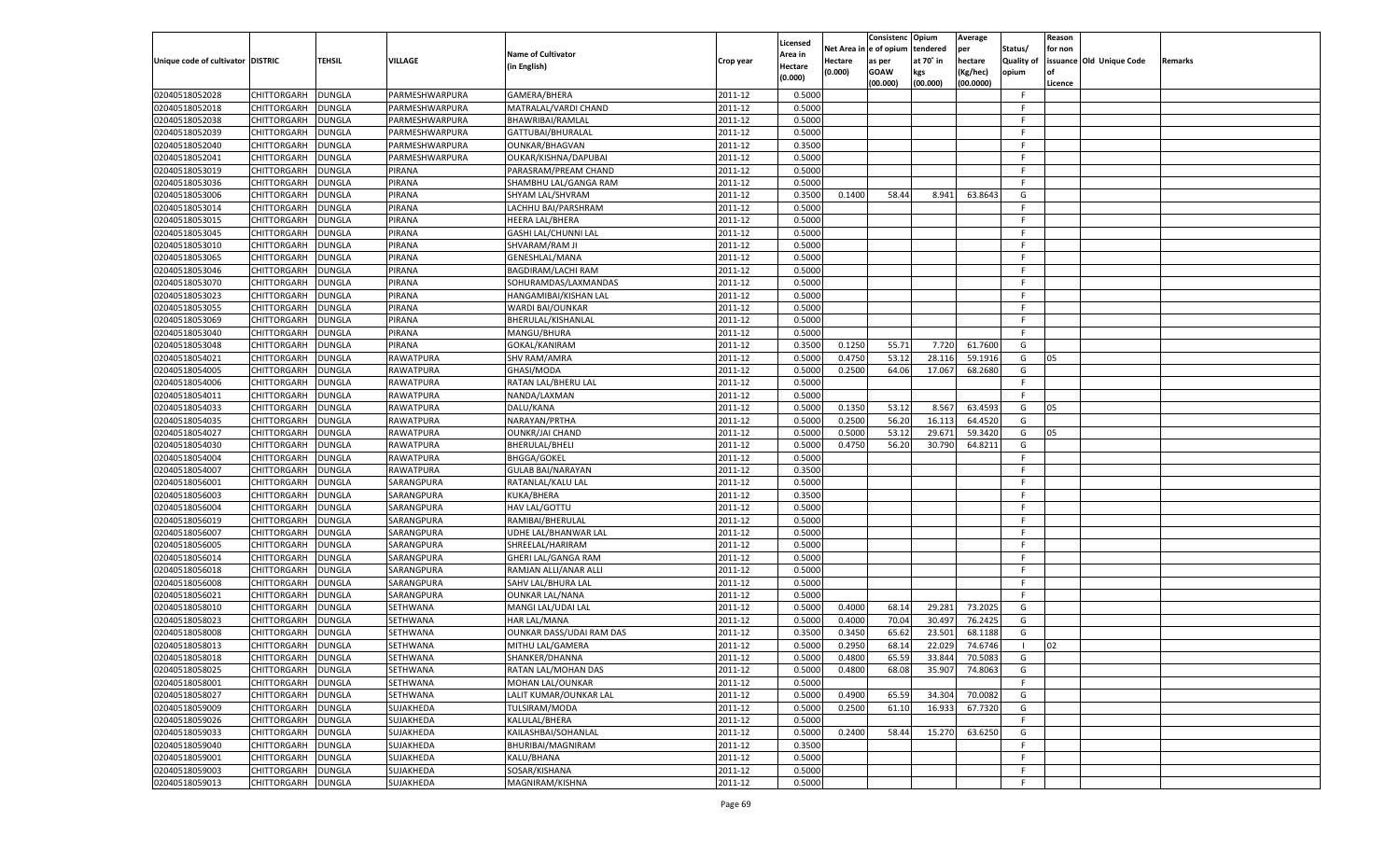|                                   |                    |               |                 |                             |           |                    |            | Consistenc   | Opium     | Average   |            | Reason  |                          |         |
|-----------------------------------|--------------------|---------------|-----------------|-----------------------------|-----------|--------------------|------------|--------------|-----------|-----------|------------|---------|--------------------------|---------|
|                                   |                    |               |                 |                             |           | Licensed           | Net Area i | n e of opium | tendered  | per       | Status/    | for non |                          |         |
| Unique code of cultivator DISTRIC |                    | TEHSIL        | <b>VILLAGE</b>  | <b>Name of Cultivator</b>   | Crop year | Area in            | Hectare    | as per       | at 70° in | hectare   | Quality of |         | issuance Old Unique Code | Remarks |
|                                   |                    |               |                 | (in English)                |           | Hectare<br>(0.000) | (0.000)    | <b>GOAW</b>  | kgs       | (Kg/hec)  | opium      |         |                          |         |
|                                   |                    |               |                 |                             |           |                    |            | (00.000)     | (00.000)  | (00.0000) |            | Licence |                          |         |
| 02040518052028                    | CHITTORGARH        | <b>DUNGLA</b> | PARMESHWARPURA  | GAMERA/BHERA                | 2011-12   | 0.5000             |            |              |           |           | -F         |         |                          |         |
| 02040518052018                    | CHITTORGARH        | DUNGLA        | PARMESHWARPURA  | MATRALAL/VARDI CHAND        | 2011-12   | 0.5000             |            |              |           |           | E          |         |                          |         |
| 02040518052038                    | CHITTORGARH        | DUNGLA        | PARMESHWARPURA  | BHAWRIBAI/RAMLAL            | 2011-12   | 0.5000             |            |              |           |           | F.         |         |                          |         |
| 02040518052039                    | CHITTORGARH        | DUNGLA        | PARMESHWARPURA  | GATTUBAI/BHURALAL           | 2011-12   | 0.5000             |            |              |           |           | E          |         |                          |         |
| 02040518052040                    | CHITTORGARH        | DUNGLA        | PARMESHWARPURA  | <b>OUNKAR/BHAGVAN</b>       | 2011-12   | 0.3500             |            |              |           |           | F.         |         |                          |         |
| 02040518052041                    | CHITTORGARH        | DUNGLA        | PARMESHWARPURA  | OUKAR/KISHNA/DAPUBAI        | 2011-12   | 0.5000             |            |              |           |           | -F         |         |                          |         |
| 02040518053019                    | CHITTORGARH        | DUNGLA        | PIRANA          | PARASRAM/PREAM CHAND        | 2011-12   | 0.5000             |            |              |           |           | F.         |         |                          |         |
| 02040518053036                    | CHITTORGARH        | DUNGLA        | PIRANA          | SHAMBHU LAL/GANGA RAM       | 2011-12   | 0.5000             |            |              |           |           | F.         |         |                          |         |
| 02040518053006                    | CHITTORGARH        | DUNGLA        | PIRANA          | SHYAM LAL/SHVRAM            | 2011-12   | 0.3500             | 0.1400     | 58.44        | 8.941     | 63.8643   | G          |         |                          |         |
| 02040518053014                    | CHITTORGARH        | DUNGLA        | PIRANA          | LACHHU BAI/PARSHRAM         | 2011-12   | 0.5000             |            |              |           |           | F.         |         |                          |         |
| 02040518053015                    | CHITTORGARH        | DUNGLA        | PIRANA          | <b>HEERA LAL/BHERA</b>      | 2011-12   | 0.5000             |            |              |           |           | F.         |         |                          |         |
| 02040518053045                    | CHITTORGARH        | DUNGLA        | PIRANA          | <b>GASHI LAL/CHUNNI LAL</b> | 2011-12   | 0.5000             |            |              |           |           | E          |         |                          |         |
| 02040518053010                    | CHITTORGARH        | DUNGLA        | PIRANA          | SHVARAM/RAM JI              | 2011-12   | 0.5000             |            |              |           |           | F.         |         |                          |         |
| 02040518053065                    | CHITTORGARH        | DUNGLA        | PIRANA          | GENESHLAL/MANA              | 2011-12   | 0.5000             |            |              |           |           | F.         |         |                          |         |
| 02040518053046                    | CHITTORGARH        | DUNGLA        | PIRANA          | BAGDIRAM/LACHI RAM          | 2011-12   | 0.5000             |            |              |           |           | F.         |         |                          |         |
| 02040518053070                    | CHITTORGARH        | DUNGLA        | PIRANA          | SOHURAMDAS/LAXMANDAS        | 2011-12   | 0.5000             |            |              |           |           | F.         |         |                          |         |
| 02040518053023                    | CHITTORGARH        | <b>DUNGLA</b> | PIRANA          | HANGAMIBAI/KISHAN LAL       | 2011-12   | 0.5000             |            |              |           |           | F.         |         |                          |         |
| 02040518053055                    | CHITTORGARH        | DUNGLA        | PIRANA          | WARDI BAI/OUNKAR            | 2011-12   | 0.5000             |            |              |           |           | F.         |         |                          |         |
| 02040518053069                    | CHITTORGARH        | DUNGLA        | PIRANA          | BHERULAL/KISHANLAL          | 2011-12   | 0.5000             |            |              |           |           | F.         |         |                          |         |
| 02040518053040                    | CHITTORGARH        | DUNGLA        | PIRANA          | MANGU/BHURA                 | 2011-12   | 0.5000             |            |              |           |           | F.         |         |                          |         |
| 02040518053048                    | CHITTORGARH        | DUNGLA        | PIRANA          | GOKAL/KANIRAM               | 2011-12   | 0.3500             | 0.1250     | 55.71        | 7.720     | 61.7600   | G          |         |                          |         |
| 02040518054021                    | CHITTORGARH        | DUNGLA        | RAWATPURA       | <b>SHV RAM/AMRA</b>         | 2011-12   | 0.5000             | 0.4750     | 53.12        | 28.116    | 59.1916   | G          | 05      |                          |         |
| 02040518054005                    | CHITTORGARH        | DUNGLA        | RAWATPURA       | GHASI/MODA                  | 2011-12   | 0.5000             | 0.2500     | 64.06        | 17.067    | 68.2680   | G          |         |                          |         |
| 02040518054006                    | CHITTORGARH        | DUNGLA        | RAWATPURA       | RATAN LAL/BHERU LAL         | 2011-12   | 0.5000             |            |              |           |           | F.         |         |                          |         |
| 02040518054011                    | CHITTORGARH        | DUNGLA        | RAWATPURA       | NANDA/LAXMAN                | 2011-12   | 0.5000             |            |              |           |           | F.         |         |                          |         |
| 02040518054033                    | CHITTORGARH        | DUNGLA        | RAWATPURA       | DALU/KANA                   | 2011-12   | 0.5000             | 0.1350     | 53.12        | 8.567     | 63.4593   | G          | 05      |                          |         |
| 02040518054035                    | CHITTORGARH        | DUNGLA        | RAWATPURA       | NARAYAN/PRTHA               | 2011-12   | 0.5000             | 0.2500     | 56.20        | 16.113    | 64.4520   | G          |         |                          |         |
| 02040518054027                    | CHITTORGARH        | DUNGLA        | RAWATPURA       | <b>OUNKR/JAI CHAND</b>      | 2011-12   | 0.5000             | 0.5000     | 53.12        | 29.671    | 59.3420   | G          | 05      |                          |         |
| 02040518054030                    | CHITTORGARH        | DUNGLA        | RAWATPURA       | BHERULAL/BHELI              | 2011-12   | 0.5000             | 0.4750     | 56.20        | 30.790    | 64.8211   | G          |         |                          |         |
| 02040518054004                    | CHITTORGARH        | DUNGLA        | RAWATPURA       | <b>BHGGA/GOKEL</b>          | 2011-12   | 0.5000             |            |              |           |           | F.         |         |                          |         |
| 02040518054007                    |                    | <b>DUNGLA</b> | RAWATPURA       |                             | 2011-12   | 0.3500             |            |              |           |           | F          |         |                          |         |
|                                   | CHITTORGARH        |               |                 | <b>GULAB BAI/NARAYAN</b>    |           |                    |            |              |           |           | F          |         |                          |         |
| 02040518056001                    | CHITTORGARH        | DUNGLA        | SARANGPURA      | RATANLAL/KALU LAL           | 2011-12   | 0.5000             |            |              |           |           | F          |         |                          |         |
| 02040518056003                    | CHITTORGARH        | DUNGLA        | SARANGPURA      | KUKA/BHERA                  | 2011-12   | 0.3500             |            |              |           |           |            |         |                          |         |
| 02040518056004                    | CHITTORGARH        | DUNGLA        | SARANGPURA      | <b>HAV LAL/GOTTU</b>        | 2011-12   | 0.5000             |            |              |           |           | F          |         |                          |         |
| 02040518056019                    | CHITTORGARH        | <b>DUNGLA</b> | SARANGPURA      | RAMIBAI/BHERULAL            | 2011-12   | 0.5000             |            |              |           |           | E          |         |                          |         |
| 02040518056007                    | CHITTORGARH        | DUNGLA        | SARANGPURA      | UDHE LAL/BHANWAR LAL        | 2011-12   | 0.5000             |            |              |           |           | F          |         |                          |         |
| 02040518056005                    | CHITTORGARH        | <b>DUNGLA</b> | SARANGPURA      | SHREELAL/HARIRAM            | 2011-12   | 0.5000             |            |              |           |           | F          |         |                          |         |
| 02040518056014                    | CHITTORGARH        | DUNGLA        | SARANGPURA      | GHERI LAL/GANGA RAM         | 2011-12   | 0.5000             |            |              |           |           | F          |         |                          |         |
| 02040518056018                    | CHITTORGARH        | <b>DUNGLA</b> | SARANGPURA      | RAMJAN ALLI/ANAR ALLI       | 2011-12   | 0.5000             |            |              |           |           | E          |         |                          |         |
| 02040518056008                    | CHITTORGARH        | DUNGLA        | SARANGPURA      | SAHV LAL/BHURA LAL          | 2011-12   | 0.5000             |            |              |           |           | F.         |         |                          |         |
| 02040518056021                    | CHITTORGARH        | <b>DUNGLA</b> | SARANGPURA      | <b>OUNKAR LAL/NANA</b>      | 2011-12   | 0.5000             |            |              |           |           | F.         |         |                          |         |
| 02040518058010                    | CHITTORGARH        | DUNGLA        | <b>SETHWANA</b> | MANGI LAL/UDAI LAL          | 2011-12   | 0.5000             | 0.4000     | 68.14        | 29.281    | 73.2025   | G          |         |                          |         |
| 02040518058023                    | <b>CHITTORGARH</b> | DUNGLA        | SETHWANA        | <b>HAR LAL/MANA</b>         | 2011-12   | 0.5000             | 0.4000     | 70.04        | 30.497    | 76.2425   | G          |         |                          |         |
| 02040518058008                    | CHITTORGARH        | DUNGLA        | SETHWANA        | OUNKAR DASS/UDAI RAM DAS    | 2011-12   | 0.3500             | 0.3450     | 65.62        | 23.501    | 68.1188   | G          |         |                          |         |
| 02040518058013                    | CHITTORGARH        | <b>DUNGLA</b> | SETHWANA        | MITHU LAL/GAMERA            | 2011-12   | 0.5000             | 0.2950     | 68.14        | 22.029    | 74.6746   | - 1        | 02      |                          |         |
| 02040518058018                    | CHITTORGARH        | <b>DUNGLA</b> | SETHWANA        | SHANKER/DHANNA              | 2011-12   | 0.5000             | 0.4800     | 65.59        | 33.844    | 70.5083   | G          |         |                          |         |
| 02040518058025                    | <b>CHITTORGARH</b> | <b>DUNGLA</b> | SETHWANA        | RATAN LAL/MOHAN DAS         | 2011-12   | 0.5000             | 0.4800     | 68.08        | 35.907    | 74.8063   | G          |         |                          |         |
| 02040518058001                    | <b>CHITTORGARH</b> | <b>DUNGLA</b> | SETHWANA        | MOHAN LAL/OUNKAR            | 2011-12   | 0.5000             |            |              |           |           | F.         |         |                          |         |
| 02040518058027                    | <b>CHITTORGARH</b> | <b>DUNGLA</b> | SETHWANA        | LALIT KUMAR/OUNKAR LAL      | 2011-12   | 0.5000             | 0.4900     | 65.59        | 34.304    | 70.0082   | G          |         |                          |         |
| 02040518059009                    | CHITTORGARH        | <b>DUNGLA</b> | SUJAKHEDA       | TULSIRAM/MODA               | 2011-12   | 0.5000             | 0.2500     | 61.10        | 16.933    | 67.7320   | G          |         |                          |         |
| 02040518059026                    | CHITTORGARH        | <b>DUNGLA</b> | SUJAKHEDA       | KALULAL/BHERA               | 2011-12   | 0.5000             |            |              |           |           | F          |         |                          |         |
| 02040518059033                    | CHITTORGARH        | <b>DUNGLA</b> | SUJAKHEDA       | KAILASHBAI/SOHANLAL         | 2011-12   | 0.5000             | 0.2400     | 58.44        | 15.270    | 63.6250   | G          |         |                          |         |
| 02040518059040                    | CHITTORGARH        | <b>DUNGLA</b> | SUJAKHEDA       | BHURIBAI/MAGNIRAM           | 2011-12   | 0.3500             |            |              |           |           | F          |         |                          |         |
| 02040518059001                    | CHITTORGARH        | <b>DUNGLA</b> | SUJAKHEDA       | KALU/BHANA                  | 2011-12   | 0.5000             |            |              |           |           | F.         |         |                          |         |
| 02040518059003                    | CHITTORGARH        | <b>DUNGLA</b> | SUJAKHEDA       | SOSAR/KISHANA               | 2011-12   | 0.5000             |            |              |           |           | F.         |         |                          |         |
| 02040518059013                    | CHITTORGARH        | <b>DUNGLA</b> | SUJAKHEDA       | MAGNIRAM/KISHNA             | 2011-12   | 0.5000             |            |              |           |           | F.         |         |                          |         |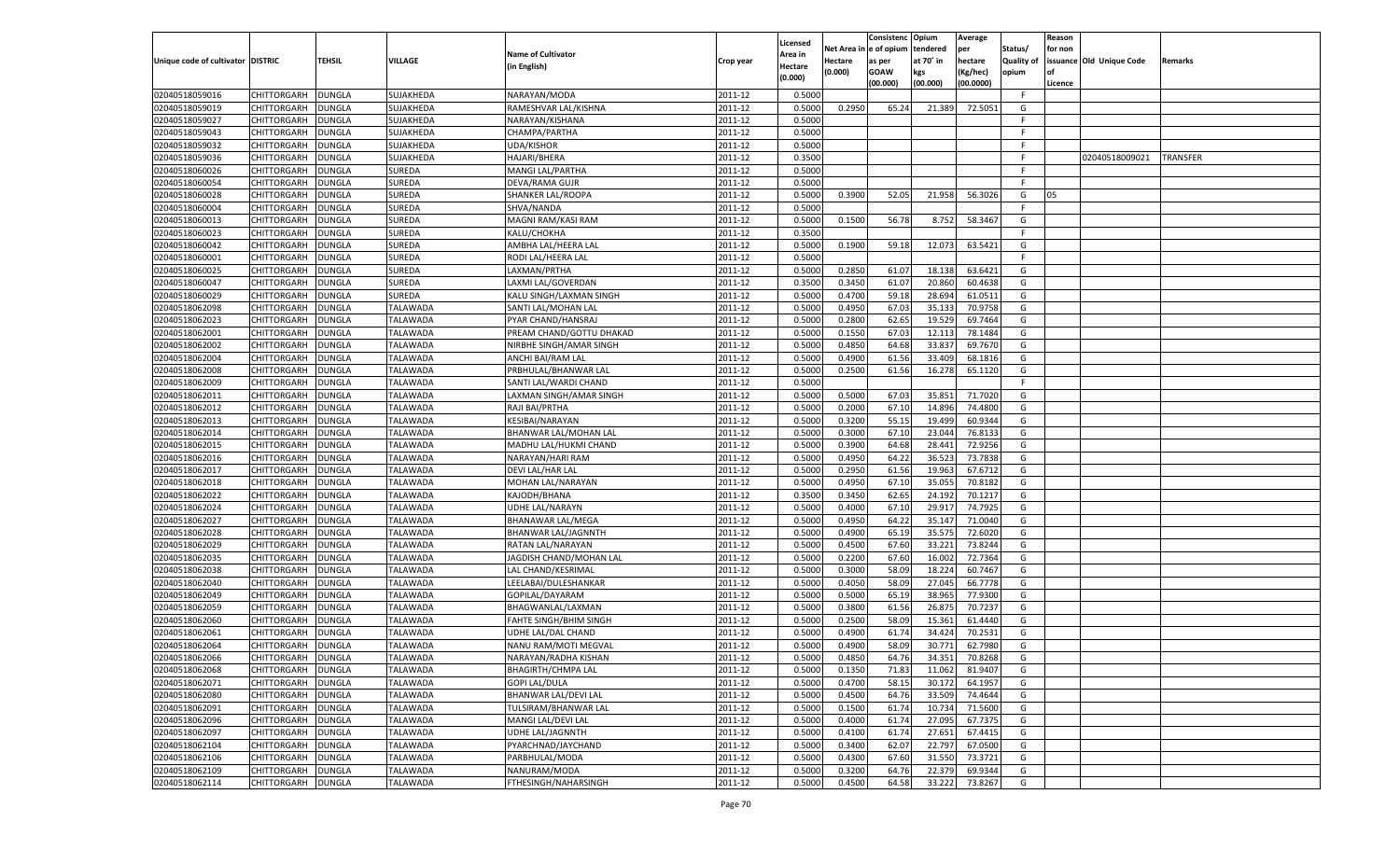|                                   |                    |               |                 |                           |           |                    |            | Consistenc   | Opium     | Average   |            | Reason  |                          |          |
|-----------------------------------|--------------------|---------------|-----------------|---------------------------|-----------|--------------------|------------|--------------|-----------|-----------|------------|---------|--------------------------|----------|
|                                   |                    |               |                 |                           |           | Licensed           | Net Area i | n e of opium | tendered  | per       | Status/    | for non |                          |          |
| Unique code of cultivator DISTRIC |                    | TEHSIL        | VILLAGE         | <b>Name of Cultivator</b> | Crop year | Area in            | Hectare    | as per       | at 70° in | hectare   | Quality of |         | issuance Old Unique Code | Remarks  |
|                                   |                    |               |                 | (in English)              |           | Hectare<br>(0.000) | (0.000)    | <b>GOAW</b>  | kgs       | (Kg/hec)  | opium      |         |                          |          |
|                                   |                    |               |                 |                           |           |                    |            | (00.000)     | (00.000)  | (00.0000) |            | Licence |                          |          |
| 02040518059016                    | CHITTORGARH        | DUNGLA        | SUJAKHEDA       | NARAYAN/MODA              | 2011-12   | 0.5000             |            |              |           |           | F          |         |                          |          |
| 02040518059019                    | CHITTORGARH        | DUNGLA        | SUJAKHEDA       | RAMESHVAR LAL/KISHNA      | 2011-12   | 0.5000             | 0.2950     | 65.24        | 21.389    | 72.5051   | G          |         |                          |          |
| 02040518059027                    | CHITTORGARH        | DUNGLA        | SUJAKHEDA       | NARAYAN/KISHANA           | 2011-12   | 0.5000             |            |              |           |           | F.         |         |                          |          |
| 02040518059043                    | CHITTORGARH        | DUNGLA        | SUJAKHEDA       | CHAMPA/PARTHA             | 2011-12   | 0.5000             |            |              |           |           | E          |         |                          |          |
| 02040518059032                    | CHITTORGARH        | DUNGLA        | SUJAKHEDA       | <b>UDA/KISHOR</b>         | 2011-12   | 0.5000             |            |              |           |           | F.         |         |                          |          |
| 02040518059036                    | CHITTORGARH        | DUNGLA        | SUJAKHEDA       | <b>HAJARI/BHERA</b>       | 2011-12   | 0.3500             |            |              |           |           | -F         |         | 02040518009021           | TRANSFER |
| 02040518060026                    | CHITTORGARH        | DUNGLA        | SUREDA          | <b>MANGI LAL/PARTHA</b>   | 2011-12   | 0.5000             |            |              |           |           | E          |         |                          |          |
| 02040518060054                    | CHITTORGARH        | DUNGLA        | SUREDA          | DEVA/RAMA GUJR            | 2011-12   | 0.5000             |            |              |           |           | E          |         |                          |          |
| 02040518060028                    | CHITTORGARH        | DUNGLA        | SUREDA          | SHANKER LAL/ROOPA         | 2011-12   | 0.5000             | 0.3900     | 52.05        | 21.958    | 56.3026   | G          | 05      |                          |          |
| 02040518060004                    | CHITTORGARH        | DUNGLA        | SUREDA          | SHVA/NANDA                | 2011-12   | 0.5000             |            |              |           |           | -F         |         |                          |          |
| 02040518060013                    | CHITTORGARH        | DUNGLA        | SUREDA          | MAGNI RAM/KASI RAM        | 2011-12   | 0.5000             | 0.1500     | 56.78        | 8.752     | 58.3467   | G          |         |                          |          |
| 02040518060023                    | CHITTORGARH        | DUNGLA        | SUREDA          | KALU/CHOKHA               | 2011-12   | 0.3500             |            |              |           |           | E          |         |                          |          |
| 02040518060042                    | CHITTORGARH        | DUNGLA        | SUREDA          | AMBHA LAL/HEERA LAL       | 2011-12   | 0.5000             | 0.1900     | 59.18        | 12.073    | 63.5421   | G          |         |                          |          |
| 02040518060001                    | CHITTORGARH        | DUNGLA        | SUREDA          | RODI LAL/HEERA LAL        | 2011-12   | 0.5000             |            |              |           |           | E          |         |                          |          |
| 02040518060025                    | CHITTORGARH        | DUNGLA        | SUREDA          | LAXMAN/PRTHA              | 2011-12   | 0.5000             | 0.2850     | 61.07        | 18.138    | 63.6421   | G          |         |                          |          |
| 02040518060047                    | CHITTORGARH        | DUNGLA        | SUREDA          | LAXMI LAL/GOVERDAN        | 2011-12   | 0.3500             | 0.3450     | 61.07        | 20.860    | 60.4638   | G          |         |                          |          |
| 02040518060029                    | CHITTORGARH        | DUNGLA        | SUREDA          | KALU SINGH/LAXMAN SINGH   | 2011-12   | 0.5000             | 0.4700     | 59.18        | 28.694    | 61.0511   | G          |         |                          |          |
| 02040518062098                    | CHITTORGARH        | DUNGLA        | TALAWADA        | SANTI LAL/MOHAN LAL       | 2011-12   | 0.5000             | 0.4950     | 67.03        | 35.133    | 70.9758   | G          |         |                          |          |
| 02040518062023                    | CHITTORGARH        | DUNGLA        | <b>TALAWADA</b> | PYAR CHAND/HANSRAJ        | 2011-12   | 0.5000             | 0.2800     | 62.65        | 19.529    | 69.7464   | G          |         |                          |          |
| 02040518062001                    | CHITTORGARH        | DUNGLA        | TALAWADA        | PREAM CHAND/GOTTU DHAKAD  | 2011-12   | 0.5000             | 0.1550     | 67.03        | 12.113    | 78.1484   | G          |         |                          |          |
| 02040518062002                    | CHITTORGARH        | DUNGLA        | <b>TALAWADA</b> | NIRBHE SINGH/AMAR SINGH   | 2011-12   | 0.5000             | 0.4850     | 64.68        | 33.837    | 69.7670   | G          |         |                          |          |
| 02040518062004                    | CHITTORGARH        | DUNGLA        | TALAWADA        | ANCHI BAI/RAM LAL         | 2011-12   | 0.5000             | 0.4900     | 61.56        | 33.409    | 68.1816   | G          |         |                          |          |
| 02040518062008                    | CHITTORGARH        | DUNGLA        | <b>TALAWADA</b> | PRBHULAL/BHANWAR LAL      | 2011-12   | 0.5000             | 0.2500     | 61.56        | 16.278    | 65.1120   | G          |         |                          |          |
| 02040518062009                    | CHITTORGARH        | DUNGLA        | TALAWADA        | SANTI LAL/WARDI CHAND     | 2011-12   | 0.5000             |            |              |           |           | F.         |         |                          |          |
| 02040518062011                    | CHITTORGARH        | DUNGLA        | <b>TALAWADA</b> | LAXMAN SINGH/AMAR SINGH   | 2011-12   | 0.5000             | 0.5000     | 67.03        | 35.851    | 71.7020   | G          |         |                          |          |
| 02040518062012                    | CHITTORGARH        | DUNGLA        | TALAWADA        | RAJI BAI/PRTHA            | 2011-12   | 0.5000             | 0.2000     | 67.10        | 14.896    | 74.4800   | G          |         |                          |          |
| 02040518062013                    | CHITTORGARH        | DUNGLA        | <b>TALAWADA</b> | KESIBAI/NARAYAN           | 2011-12   | 0.5000             | 0.3200     | 55.15        | 19.499    | 60.9344   | G          |         |                          |          |
| 02040518062014                    | CHITTORGARH        | DUNGLA        | TALAWADA        | BHANWAR LAL/MOHAN LAL     | 2011-12   | 0.5000             | 0.3000     | 67.10        | 23.044    | 76.8133   | G          |         |                          |          |
| 02040518062015                    | CHITTORGARH        | DUNGLA        | <b>TALAWADA</b> | MADHU LAL/HUKMI CHAND     | 2011-12   | 0.5000             | 0.3900     | 64.68        | 28.441    | 72.9256   | G          |         |                          |          |
|                                   |                    |               |                 |                           |           |                    |            |              |           |           |            |         |                          |          |
| 02040518062016                    | CHITTORGARH        | DUNGLA        | <b>TALAWADA</b> | NARAYAN/HARI RAM          | 2011-12   | 0.5000             | 0.4950     | 64.22        | 36.523    | 73.7838   | G          |         |                          |          |
| 02040518062017                    | CHITTORGARH        | DUNGLA        | <b>TALAWADA</b> | DEVI LAL/HAR LAL          | 2011-12   | 0.5000             | 0.2950     | 61.56        | 19.963    | 67.6712   | G          |         |                          |          |
| 02040518062018                    | CHITTORGARH        | DUNGLA        | TALAWADA        | MOHAN LAL/NARAYAN         | 2011-12   | 0.5000             | 0.4950     | 67.10        | 35.055    | 70.8182   | G          |         |                          |          |
| 02040518062022                    | CHITTORGARH        | DUNGLA        | <b>TALAWADA</b> | KAJODH/BHANA              | 2011-12   | 0.3500             | 0.3450     | 62.65        | 24.192    | 70.1217   | G          |         |                          |          |
| 02040518062024                    | CHITTORGARH        | DUNGLA        | <b>TALAWADA</b> | <b>UDHE LAL/NARAYN</b>    | 2011-12   | 0.5000             | 0.4000     | 67.10        | 29.91     | 74.7925   | G          |         |                          |          |
| 02040518062027                    | CHITTORGARH        | DUNGLA        | <b>TALAWADA</b> | <b>BHANAWAR LAL/MEGA</b>  | 2011-12   | 0.5000             | 0.4950     | 64.22        | 35.14     | 71.0040   | G          |         |                          |          |
| 02040518062028                    | CHITTORGARH        | DUNGLA        | TALAWADA        | BHANWAR LAL/JAGNNTH       | 2011-12   | 0.5000             | 0.4900     | 65.19        | 35.575    | 72.6020   | G          |         |                          |          |
| 02040518062029                    | CHITTORGARH        | DUNGLA        | <b>TALAWADA</b> | RATAN LAL/NARAYAN         | 2011-12   | 0.5000             | 0.4500     | 67.60        | 33.221    | 73.8244   | G          |         |                          |          |
| 02040518062035                    | CHITTORGARH        | DUNGLA        | TALAWADA        | JAGDISH CHAND/MOHAN LAL   | 2011-12   | 0.5000             | 0.2200     | 67.60        | 16.002    | 72.7364   | G          |         |                          |          |
| 02040518062038                    | CHITTORGARH        | DUNGLA        | <b>TALAWADA</b> | LAL CHAND/KESRIMAL        | 2011-12   | 0.5000             | 0.3000     | 58.09        | 18.224    | 60.7467   | G          |         |                          |          |
| 02040518062040                    | CHITTORGARH        | DUNGLA        | TALAWADA        | LEELABAI/DULESHANKAR      | 2011-12   | 0.5000             | 0.4050     | 58.09        | 27.045    | 66.7778   | G          |         |                          |          |
| 02040518062049                    | CHITTORGARH        | DUNGLA        | <b>TALAWADA</b> | GOPILAL/DAYARAM           | 2011-12   | 0.5000             | 0.5000     | 65.19        | 38.965    | 77.9300   | G          |         |                          |          |
| 02040518062059                    | CHITTORGARH        | DUNGLA        | TALAWADA        | BHAGWANLAL/LAXMAN         | 2011-12   | 0.5000             | 0.3800     | 61.56        | 26.875    | 70.7237   | G          |         |                          |          |
| 02040518062060                    | CHITTORGARH        | DUNGLA        | <b>TALAWADA</b> | FAHTE SINGH/BHIM SINGH    | 2011-12   | 0.5000             | 0.2500     | 58.09        | 15.361    | 61.4440   | G          |         |                          |          |
| 02040518062061                    | CHITTORGARH        | DUNGLA        | TALAWADA        | UDHE LAL/DAL CHAND        | 2011-12   | 0.5000             | 0.4900     | 61.74        | 34.424    | 70.2531   | G          |         |                          |          |
| 02040518062064                    | CHITTORGARH        | <b>DUNGLA</b> | TALAWADA        | NANU RAM/MOTI MEGVAL      | 2011-12   | 0.5000             | 0.4900     | 58.09        | 30.771    | 62.7980   | G          |         |                          |          |
| 02040518062066                    | CHITTORGARH        | <b>DUNGLA</b> | <b>TALAWADA</b> | NARAYAN/RADHA KISHAN      | 2011-12   | 0.5000             | 0.4850     | 64.76        | 34.351    | 70.8268   | G          |         |                          |          |
| 02040518062068                    | <b>CHITTORGARH</b> | <b>DUNGLA</b> | <b>TALAWADA</b> | <b>BHAGIRTH/CHMPA LAL</b> | 2011-12   | 0.5000             | 0.1350     | 71.83        | 11.062    | 81.9407   | G          |         |                          |          |
| 02040518062071                    | CHITTORGARH        | <b>DUNGLA</b> | <b>TALAWADA</b> | <b>GOPI LAL/DULA</b>      | 2011-12   | 0.5000             | 0.4700     | 58.15        | 30.172    | 64.1957   | G          |         |                          |          |
| 02040518062080                    | CHITTORGARH        | <b>DUNGLA</b> | <b>TALAWADA</b> | BHANWAR LAL/DEVI LAL      | 2011-12   | 0.5000             | 0.4500     | 64.76        | 33.509    | 74.4644   | G          |         |                          |          |
| 02040518062091                    | CHITTORGARH        | <b>DUNGLA</b> | <b>TALAWADA</b> | TULSIRAM/BHANWAR LAL      | 2011-12   | 0.5000             | 0.1500     | 61.74        | 10.734    | 71.5600   | G          |         |                          |          |
| 02040518062096                    | <b>CHITTORGARH</b> | <b>DUNGLA</b> | <b>TALAWADA</b> | MANGI LAL/DEVI LAL        | 2011-12   | 0.5000             | 0.4000     | 61.74        | 27.095    | 67.7375   | G          |         |                          |          |
| 02040518062097                    | CHITTORGARH        | <b>DUNGLA</b> | <b>TALAWADA</b> | UDHE LAL/JAGNNTH          | 2011-12   | 0.5000             | 0.4100     | 61.74        | 27.651    | 67.4415   | G          |         |                          |          |
| 02040518062104                    | CHITTORGARH        | <b>DUNGLA</b> | <b>TALAWADA</b> | PYARCHNAD/JAYCHAND        | 2011-12   | 0.5000             | 0.3400     | 62.07        | 22.797    | 67.0500   | G          |         |                          |          |
| 02040518062106                    | CHITTORGARH        | <b>DUNGLA</b> | <b>TALAWADA</b> | PARBHULAL/MODA            | 2011-12   | 0.5000             | 0.4300     | 67.60        | 31.550    | 73.3721   | G          |         |                          |          |
| 02040518062109                    | <b>CHITTORGARH</b> | <b>DUNGLA</b> | <b>TALAWADA</b> | NANURAM/MODA              | 2011-12   | 0.5000             | 0.3200     | 64.76        | 22.379    | 69.9344   | G          |         |                          |          |
| 02040518062114                    | <b>CHITTORGARH</b> | <b>DUNGLA</b> | <b>TALAWADA</b> | FTHESINGH/NAHARSINGH      | 2011-12   | 0.5000             | 0.4500     | 64.58        | 33.222    | 73.8267   | G          |         |                          |          |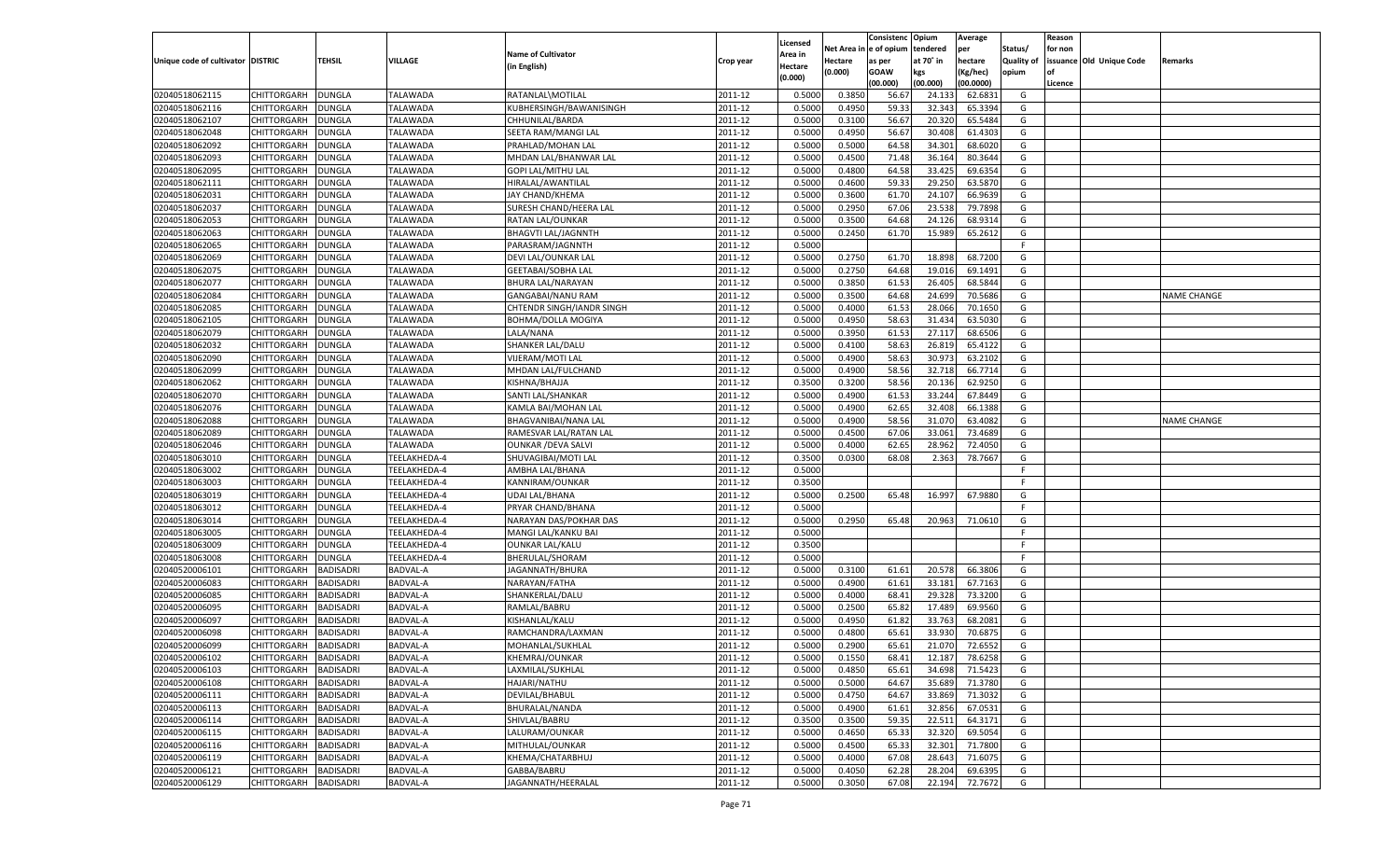|                                   |                       |                                      |                 |                            |           |                     |            | Consistenc    | Opium     | Average   |            | Reason  |                          |                    |
|-----------------------------------|-----------------------|--------------------------------------|-----------------|----------------------------|-----------|---------------------|------------|---------------|-----------|-----------|------------|---------|--------------------------|--------------------|
|                                   |                       |                                      |                 | <b>Name of Cultivator</b>  |           | Licensed<br>Area in | Net Area i | n  e of opium | tendered  | per       | Status/    | for non |                          |                    |
| Unique code of cultivator DISTRIC |                       | TEHSIL                               | VILLAGE         | (in English)               | Crop year | Hectare             | Hectare    | as per        | at 70° in | hectare   | Quality of |         | issuance Old Unique Code | Remarks            |
|                                   |                       |                                      |                 |                            |           | (0.000)             | (0.000)    | <b>GOAW</b>   | kgs       | (Kg/hec)  | opium      |         |                          |                    |
|                                   |                       |                                      |                 |                            |           |                     |            | (00.000)      | (00.000)  | (00.0000) |            | Licence |                          |                    |
| 02040518062115                    | CHITTORGARH           | DUNGLA                               | <b>TALAWADA</b> | RATANLAL\MOTILAL           | 2011-12   | 0.5000              | 0.3850     | 56.67         | 24.13     | 62.6831   | G          |         |                          |                    |
| 02040518062116                    | CHITTORGARH           | DUNGLA                               | TALAWADA        | KUBHERSINGH/BAWANISINGH    | 2011-12   | 0.5000              | 0.4950     | 59.33         | 32.343    | 65.3394   | G          |         |                          |                    |
| 02040518062107                    | CHITTORGARH           | DUNGLA                               | TALAWADA        | CHHUNILAL/BARDA            | 2011-12   | 0.5000              | 0.3100     | 56.67         | 20.32     | 65.5484   | G          |         |                          |                    |
| 02040518062048                    | CHITTORGARH           | DUNGLA                               | TALAWADA        | SEETA RAM/MANGI LAL        | 2011-12   | 0.5000              | 0.4950     | 56.67         | 30.408    | 61.4303   | G          |         |                          |                    |
| 02040518062092                    | CHITTORGARH           | DUNGLA                               | <b>TALAWADA</b> | PRAHLAD/MOHAN LAL          | 2011-12   | 0.5000              | 0.5000     | 64.58         | 34.301    | 68.6020   | G          |         |                          |                    |
| 02040518062093                    | CHITTORGARH           | DUNGLA                               | TALAWADA        | MHDAN LAL/BHANWAR LAL      | 2011-12   | 0.5000              | 0.4500     | 71.48         | 36.164    | 80.3644   | G          |         |                          |                    |
| 02040518062095                    | CHITTORGARH           | DUNGLA                               | TALAWADA        | GOPI LAL/MITHU LAL         | 2011-12   | 0.5000              | 0.4800     | 64.58         | 33.425    | 69.6354   | G          |         |                          |                    |
| 02040518062111                    | CHITTORGARH           | DUNGLA                               | TALAWADA        | HIRALAL/AWANTILAL          | 2011-12   | 0.5000              | 0.4600     | 59.33         | 29.250    | 63.5870   | G          |         |                          |                    |
| 02040518062031                    | CHITTORGARH           | DUNGLA                               | <b>TALAWADA</b> | JAY CHAND/KHEMA            | 2011-12   | 0.5000              | 0.3600     | 61.70         | 24.107    | 66.9639   | G          |         |                          |                    |
| 02040518062037                    | CHITTORGARH           | DUNGLA                               | TALAWADA        | SURESH CHAND/HEERA LAL     | 2011-12   | 0.5000              | 0.2950     | 67.06         | 23.538    | 79.7898   | G          |         |                          |                    |
| 02040518062053                    | CHITTORGARH           | DUNGLA                               | TALAWADA        | RATAN LAL/OUNKAR           | 2011-12   | 0.5000              | 0.3500     | 64.68         | 24.126    | 68.9314   | G          |         |                          |                    |
| 02040518062063                    | CHITTORGARH           | DUNGLA                               | TALAWADA        | <b>BHAGVTI LAL/JAGNNTH</b> | 2011-12   | 0.5000              | 0.2450     | 61.70         | 15.989    | 65.2612   | G          |         |                          |                    |
| 02040518062065                    | CHITTORGARH           | DUNGLA                               | <b>TALAWADA</b> | PARASRAM/JAGNNTH           | 2011-12   | 0.5000              |            |               |           |           | F.         |         |                          |                    |
| 02040518062069                    | CHITTORGARH           | DUNGLA                               | TALAWADA        | DEVI LAL/OUNKAR LAL        | 2011-12   | 0.5000              | 0.2750     | 61.70         | 18.898    | 68.7200   | G          |         |                          |                    |
| 02040518062075                    | CHITTORGARH           | DUNGLA                               | <b>TALAWADA</b> | <b>GEETABAI/SOBHA LAL</b>  | 2011-12   | 0.5000              | 0.2750     | 64.68         | 19.016    | 69.1491   | G          |         |                          |                    |
| 02040518062077                    | CHITTORGARH           | DUNGLA                               | TALAWADA        | BHURA LAL/NARAYAN          | 2011-12   | 0.5000              | 0.3850     | 61.53         | 26.405    | 68.5844   | G          |         |                          |                    |
| 02040518062084                    | CHITTORGARH           | DUNGLA                               | <b>TALAWADA</b> | <b>GANGABAI/NANU RAM</b>   | 2011-12   | 0.5000              | 0.3500     | 64.68         | 24.699    | 70.5686   | G          |         |                          | <b>NAME CHANGE</b> |
| 02040518062085                    | CHITTORGARH           | DUNGLA                               | TALAWADA        | CHTENDR SINGH/IANDR SINGH  | 2011-12   | 0.5000              | 0.4000     | 61.53         | 28.066    | 70.1650   | G          |         |                          |                    |
| 02040518062105                    | CHITTORGARH           | DUNGLA                               | <b>TALAWADA</b> | <b>BOHMA/DOLLA MOGIYA</b>  | 2011-12   | 0.5000              | 0.4950     | 58.63         | 31.434    | 63.5030   | G          |         |                          |                    |
| 02040518062079                    | CHITTORGARH           | DUNGLA                               | TALAWADA        | LALA/NANA                  | 2011-12   | 0.5000              | 0.3950     | 61.53         | 27.117    | 68.6506   | G          |         |                          |                    |
| 02040518062032                    | CHITTORGARH           | DUNGLA                               | <b>TALAWADA</b> | SHANKER LAL/DALU           | 2011-12   | 0.5000              | 0.4100     | 58.63         | 26.819    | 65.4122   | G          |         |                          |                    |
| 02040518062090                    | CHITTORGARH           | DUNGLA                               | TALAWADA        | VIJERAM/MOTI LAL           | 2011-12   | 0.5000              | 0.4900     | 58.63         | 30.973    | 63.2102   | G          |         |                          |                    |
| 02040518062099                    | CHITTORGARH           | DUNGLA                               | <b>TALAWADA</b> | MHDAN LAL/FULCHAND         | 2011-12   | 0.5000              | 0.4900     | 58.56         | 32.718    | 66.7714   | G          |         |                          |                    |
| 02040518062062                    | CHITTORGARH           | DUNGLA                               | TALAWADA        | KISHNA/BHAJJA              | 2011-12   | 0.3500              | 0.3200     | 58.56         | 20.136    | 62.9250   | G          |         |                          |                    |
| 02040518062070                    | CHITTORGARH           | DUNGLA                               | <b>TALAWADA</b> | SANTI LAL/SHANKAR          | 2011-12   | 0.5000              | 0.4900     | 61.53         | 33.244    | 67.8449   | G          |         |                          |                    |
| 02040518062076                    | CHITTORGARH           | DUNGLA                               | TALAWADA        | KAMLA BAI/MOHAN LAL        | 2011-12   | 0.5000              | 0.4900     | 62.65         | 32.408    | 66.1388   | G          |         |                          |                    |
| 02040518062088                    | CHITTORGARH           | DUNGLA                               | <b>TALAWADA</b> | BHAGVANIBAI/NANA LAL       | 2011-12   | 0.5000              | 0.4900     | 58.56         | 31.070    | 63.4082   | G          |         |                          | <b>NAME CHANGE</b> |
| 02040518062089                    | CHITTORGARH           | DUNGLA                               | TALAWADA        | RAMESVAR LAL/RATAN LAL     | 2011-12   | 0.5000              | 0.4500     | 67.06         | 33.061    | 73.4689   | G          |         |                          |                    |
| 02040518062046                    | CHITTORGARH           | DUNGLA                               | <b>TALAWADA</b> | <b>OUNKAR / DEVA SALVI</b> | 2011-12   | 0.5000              | 0.4000     | 62.65         | 28.962    | 72.4050   | G          |         |                          |                    |
| 02040518063010                    | CHITTORGARH           | DUNGLA                               | TEELAKHEDA-4    | SHUVAGIBAI/MOTI LAL        | 2011-12   | 0.3500              | 0.0300     | 68.08         | 2.363     | 78.7667   | G          |         |                          |                    |
| 02040518063002                    | CHITTORGARH           | DUNGLA                               | TEELAKHEDA-4    | AMBHA LAL/BHANA            | 2011-12   | 0.5000              |            |               |           |           | F.         |         |                          |                    |
| 02040518063003                    | CHITTORGARH           | DUNGLA                               | TEELAKHEDA-4    | KANNIRAM/OUNKAR            | 2011-12   | 0.3500              |            |               |           |           | F          |         |                          |                    |
| 02040518063019                    | CHITTORGARH           | DUNGLA                               | TEELAKHEDA-4    | <b>UDAI LAL/BHANA</b>      | 2011-12   | 0.5000              | 0.2500     | 65.48         | 16.997    | 67.9880   | G          |         |                          |                    |
| 02040518063012                    | CHITTORGARH           | DUNGLA                               | TEELAKHEDA-4    | PRYAR CHAND/BHANA          | 2011-12   | 0.5000              |            |               |           |           | F          |         |                          |                    |
| 02040518063014                    | CHITTORGARH           | DUNGLA                               | TEELAKHEDA-4    | NARAYAN DAS/POKHAR DAS     | 2011-12   | 0.5000              | 0.2950     | 65.48         | 20.963    | 71.0610   | G          |         |                          |                    |
| 02040518063005                    | CHITTORGARH           | DUNGLA                               | TEELAKHEDA-4    | MANGI LAL/KANKU BAI        | 2011-12   | 0.5000              |            |               |           |           | F          |         |                          |                    |
| 02040518063009                    | CHITTORGARH           | DUNGLA                               | TEELAKHEDA-4    | <b>OUNKAR LAL/KALU</b>     | 2011-12   | 0.3500              |            |               |           |           | F          |         |                          |                    |
| 02040518063008                    | CHITTORGARH           | DUNGLA                               | TEELAKHEDA-4    | BHERULAL/SHORAM            | 2011-12   | 0.5000              |            |               |           |           | F          |         |                          |                    |
| 02040520006101                    | CHITTORGARH           | <b>BADISADRI</b>                     | BADVAL-A        | JAGANNATH/BHURA            | 2011-12   | 0.5000              | 0.3100     | 61.61         | 20.578    | 66.3806   | G          |         |                          |                    |
| 02040520006083                    | CHITTORGARH           | <b>BADISADRI</b>                     | BADVAL-A        | NARAYAN/FATHA              | 2011-12   | 0.5000              | 0.4900     | 61.61         | 33.181    | 67.7163   | G          |         |                          |                    |
| 02040520006085                    | CHITTORGARH           | <b>BADISADRI</b>                     | BADVAL-A        | SHANKERLAL/DALU            | 2011-12   | 0.5000              | 0.4000     | 68.41         | 29.328    | 73.3200   | G          |         |                          |                    |
| 02040520006095                    | CHITTORGARH           | BADISADRI                            | BADVAL-A        | RAMLAL/BABRU               | 2011-12   | 0.5000              | 0.2500     | 65.82         | 17.489    | 69.9560   | G          |         |                          |                    |
| 02040520006097                    | CHITTORGARH           | BADISADRI                            | <b>BADVAL-A</b> | KISHANLAL/KALU             | 2011-12   | 0.5000              | 0.4950     | 61.82         | 33.763    | 68.2081   | G          |         |                          |                    |
| 02040520006098                    | CHITTORGARH           | BADISADRI                            | BADVAL-A        | RAMCHANDRA/LAXMAN          | 2011-12   | 0.5000              | 0.4800     | 65.61         | 33.93     | 70.6875   | G          |         |                          |                    |
| 02040520006099                    | CHITTORGARH           | <b>BADISADRI</b>                     | BADVAL-A        | MOHANLAL/SUKHLAL           | 2011-12   | 0.5000              | 0.2900     | 65.61         | 21.070    | 72.6552   | G          |         |                          |                    |
| 02040520006102                    | CHITTORGARH BADISADRI |                                      | <b>BADVAL-A</b> | KHEMRAJ/OUNKAR             | 2011-12   | 0.5000              | 0.1550     | 68.41         | 12.187    | 78.6258   | G          |         |                          |                    |
| 02040520006103                    | <b>CHITTORGARH</b>    | <b>BADISADRI</b>                     | <b>BADVAL-A</b> | LAXMILAL/SUKHLAL           | 2011-12   | 0.5000              | 0.4850     | 65.61         | 34.698    | 71.5423   | G          |         |                          |                    |
| 02040520006108                    | <b>CHITTORGARH</b>    | <b>BADISADRI</b>                     | <b>BADVAL-A</b> | HAJARI/NATHU               | 2011-12   | 0.5000              | 0.5000     | 64.67         | 35.689    | 71.3780   | G          |         |                          |                    |
| 02040520006111                    | <b>CHITTORGARH</b>    | <b>BADISADRI</b>                     | <b>BADVAL-A</b> | DEVILAL/BHABUL             | 2011-12   | 0.5000              | 0.4750     | 64.67         | 33.869    | 71.3032   | G          |         |                          |                    |
| 02040520006113                    | <b>CHITTORGARH</b>    | <b>BADISADRI</b>                     | <b>BADVAL-A</b> | <b>BHURALAL/NANDA</b>      | 2011-12   | 0.5000              | 0.4900     | 61.61         | 32.856    | 67.0531   | G          |         |                          |                    |
| 02040520006114                    | CHITTORGARH           | <b>BADISADRI</b>                     | <b>BADVAL-A</b> | SHIVLAL/BABRU              | 2011-12   | 0.3500              | 0.3500     | 59.35         | 22.511    | 64.3171   | G          |         |                          |                    |
| 02040520006115                    | CHITTORGARH           |                                      |                 |                            | 2011-12   |                     | 0.4650     | 65.33         | 32.320    | 69.5054   | G          |         |                          |                    |
| 02040520006116                    |                       | <b>BADISADRI</b><br><b>BADISADRI</b> | <b>BADVAL-A</b> | LALURAM/OUNKAR             |           | 0.5000<br>0.5000    | 0.4500     |               | 32.301    |           | G          |         |                          |                    |
| 02040520006119                    | CHITTORGARH           |                                      | <b>BADVAL-A</b> | MITHULAL/OUNKAR            | 2011-12   |                     |            | 65.33         |           | 71.7800   |            |         |                          |                    |
|                                   | CHITTORGARH           | <b>BADISADRI</b>                     | <b>BADVAL-A</b> | KHEMA/CHATARBHUJ           | 2011-12   | 0.5000              | 0.4000     | 67.08         | 28.643    | 71.6075   | G          |         |                          |                    |
| 02040520006121                    | <b>CHITTORGARH</b>    | <b>BADISADRI</b>                     | <b>BADVAL-A</b> | GABBA/BABRU                | 2011-12   | 0.5000              | 0.4050     | 62.28         | 28.204    | 69.6395   | G          |         |                          |                    |
| 02040520006129                    | <b>CHITTORGARH</b>    | <b>BADISADRI</b>                     | <b>BADVAL-A</b> | JAGANNATH/HEERALAL         | 2011-12   | 0.5000              | 0.3050     | 67.08         | 22.194    | 72.7672   | G          |         |                          |                    |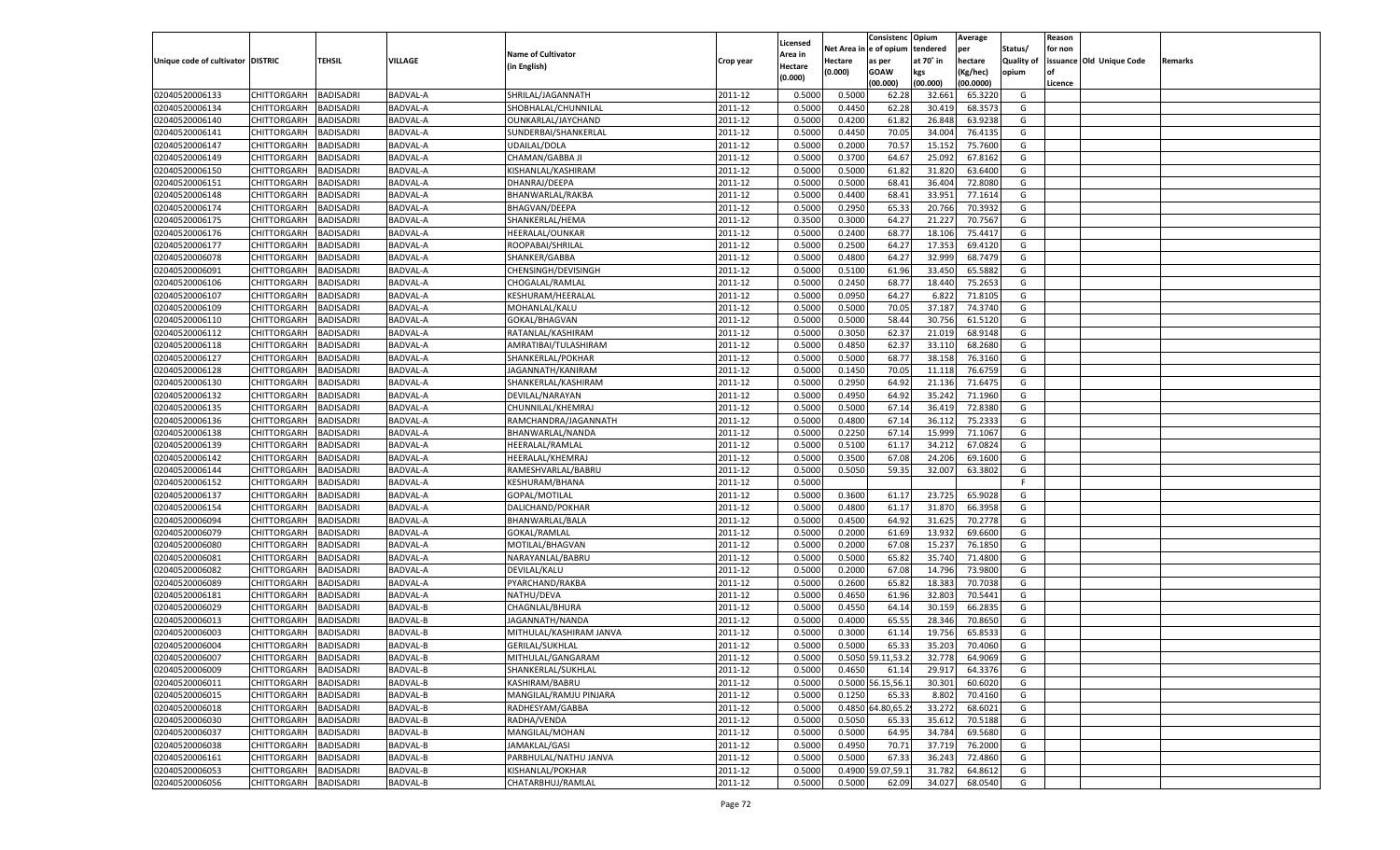|                                   |             |                  |                 |                           |           |          |            | Consistenc Opium   |           | Average   |                   | Reason    |                          |         |
|-----------------------------------|-------------|------------------|-----------------|---------------------------|-----------|----------|------------|--------------------|-----------|-----------|-------------------|-----------|--------------------------|---------|
|                                   |             |                  |                 |                           |           | Licensed | Net Area i | l e of opium       | tendered  | per       | Status/           | for non   |                          |         |
| Unique code of cultivator DISTRIC |             | TEHSIL           | VILLAGE         | <b>Name of Cultivator</b> | Crop year | Area in  | Hectare    | as per             | at 70° in | hectare   | <b>Quality of</b> |           | issuance Old Unique Code | Remarks |
|                                   |             |                  |                 | (in English)              |           | Hectare  | (0.000)    | <b>GOAW</b>        | kgs       | (Kg/hec)  | opium             | <b>of</b> |                          |         |
|                                   |             |                  |                 |                           |           | (0.000)  |            | (00.000)           | (00.000)  | (00.0000) |                   | Licence   |                          |         |
| 02040520006133                    | CHITTORGARH | <b>BADISADRI</b> | BADVAL-A        | SHRILAL/JAGANNATH         | 2011-12   | 0.5000   | 0.5000     | 62.28              | 32.661    | 65.3220   | G                 |           |                          |         |
| 02040520006134                    | CHITTORGARH | BADISADRI        | BADVAL-A        | SHOBHALAL/CHUNNILAL       | 2011-12   | 0.5000   | 0.4450     | 62.28              | 30.419    | 68.3573   | G                 |           |                          |         |
| 02040520006140                    | CHITTORGARH | <b>BADISADRI</b> | <b>BADVAL-A</b> | OUNKARLAL/JAYCHAND        | 2011-12   | 0.5000   | 0.4200     | 61.82              | 26.848    | 63.9238   | G                 |           |                          |         |
| 02040520006141                    | CHITTORGARH | <b>BADISADRI</b> | BADVAL-A        | SUNDERBAI/SHANKERLAI      | 2011-12   | 0.5000   | 0.4450     | 70.05              | 34.004    | 76.4135   | G                 |           |                          |         |
| 02040520006147                    | CHITTORGARH | BADISADRI        | <b>BADVAL-A</b> | UDAILAL/DOLA              | 2011-12   | 0.5000   | 0.2000     | 70.57              | 15.152    | 75.7600   | G                 |           |                          |         |
| 02040520006149                    | CHITTORGARH | BADISADRI        | BADVAL-A        | CHAMAN/GABBA JI           | 2011-12   | 0.5000   | 0.3700     | 64.67              | 25.092    | 67.8162   | G                 |           |                          |         |
| 02040520006150                    | CHITTORGARH | <b>BADISADRI</b> | <b>BADVAL-A</b> | KISHANLAL/KASHIRAM        | 2011-12   | 0.5000   | 0.5000     | 61.82              | 31.820    | 63.6400   | G                 |           |                          |         |
| 02040520006151                    | CHITTORGARH | <b>BADISADRI</b> | BADVAL-A        | DHANRAJ/DEEPA             | 2011-12   | 0.5000   | 0.5000     | 68.41              | 36.404    | 72.8080   | G                 |           |                          |         |
| 02040520006148                    | CHITTORGARH | BADISADRI        | <b>BADVAL-A</b> | BHANWARLAL/RAKBA          | 2011-12   | 0.5000   | 0.4400     | 68.4               | 33.951    | 77.1614   | G                 |           |                          |         |
| 02040520006174                    | CHITTORGARH | BADISADRI        | BADVAL-A        | <b>BHAGVAN/DEEPA</b>      | 2011-12   | 0.5000   | 0.2950     | 65.33              | 20.766    | 70.3932   | G                 |           |                          |         |
| 02040520006175                    | CHITTORGARH | <b>BADISADRI</b> | BADVAL-A        | SHANKERLAL/HEMA           | 2011-12   | 0.3500   | 0.3000     | 64.27              | 21.227    | 70.7567   | G                 |           |                          |         |
| 02040520006176                    | CHITTORGARH | <b>BADISADRI</b> | BADVAL-A        | HEERALAL/OUNKAR           | 2011-12   | 0.5000   | 0.2400     | 68.77              | 18.106    | 75.4417   | G                 |           |                          |         |
| 02040520006177                    | CHITTORGARH | <b>BADISADRI</b> | <b>BADVAL-A</b> | ROOPABAI/SHRILAI          | 2011-12   | 0.5000   | 0.2500     | 64.27              | 17.353    | 69.4120   | G                 |           |                          |         |
| 02040520006078                    | CHITTORGARH | <b>BADISADRI</b> | <b>BADVAL-A</b> | SHANKER/GABBA             | 2011-12   | 0.5000   | 0.4800     | 64.27              | 32.999    | 68.7479   | G                 |           |                          |         |
| 02040520006091                    | CHITTORGARH | <b>BADISADRI</b> | <b>BADVAL-A</b> | CHENSINGH/DEVISINGH       | 2011-12   | 0.5000   | 0.5100     | 61.96              | 33.450    | 65.5882   | G                 |           |                          |         |
| 02040520006106                    | CHITTORGARH | <b>BADISADRI</b> | <b>BADVAL-A</b> | CHOGALAL/RAMLAL           | 2011-12   | 0.5000   | 0.2450     | 68.77              | 18.440    | 75.2653   | G                 |           |                          |         |
| 02040520006107                    | CHITTORGARH | <b>BADISADRI</b> | <b>BADVAL-A</b> | KESHURAM/HEERALAL         | 2011-12   | 0.5000   | 0.0950     | 64.27              | 6.822     | 71.8105   | G                 |           |                          |         |
| 02040520006109                    | CHITTORGARH | <b>BADISADRI</b> | <b>BADVAL-A</b> | MOHANLAL/KALU             | 2011-12   | 0.5000   | 0.5000     | 70.05              | 37.187    | 74.3740   | G                 |           |                          |         |
| 02040520006110                    | CHITTORGARH | <b>BADISADRI</b> | <b>BADVAL-A</b> | GOKAL/BHAGVAN             | 2011-12   | 0.5000   | 0.5000     | 58.44              | 30.756    | 61.5120   | G                 |           |                          |         |
| 02040520006112                    | CHITTORGARH | <b>BADISADRI</b> | <b>BADVAL-A</b> | RATANLAL/KASHIRAM         | 2011-12   | 0.5000   | 0.3050     | 62.37              | 21.019    | 68.9148   | G                 |           |                          |         |
| 02040520006118                    | CHITTORGARH | <b>BADISADRI</b> | <b>BADVAL-A</b> | AMRATIBAI/TULASHIRAM      | 2011-12   | 0.5000   | 0.4850     | 62.37              | 33.110    | 68.2680   | G                 |           |                          |         |
| 02040520006127                    | CHITTORGARH | <b>BADISADRI</b> | <b>BADVAL-A</b> | SHANKERLAL/POKHAR         | 2011-12   | 0.5000   | 0.5000     | 68.77              | 38.158    | 76.3160   | G                 |           |                          |         |
|                                   | CHITTORGARH | <b>BADISADRI</b> | <b>BADVAL-A</b> |                           | 2011-12   | 0.5000   | 0.1450     | 70.05              | 11.118    | 76.6759   | G                 |           |                          |         |
| 02040520006128                    |             |                  |                 | JAGANNATH/KANIRAM         |           |          |            |                    |           |           |                   |           |                          |         |
| 02040520006130                    | CHITTORGARH | <b>BADISADRI</b> | <b>BADVAL-A</b> | SHANKERLAL/KASHIRAM       | 2011-12   | 0.5000   | 0.2950     | 64.92              | 21.136    | 71.6475   | G                 |           |                          |         |
| 02040520006132<br>02040520006135  | CHITTORGARH | <b>BADISADRI</b> | <b>BADVAL-A</b> | DEVILAL/NARAYAN           | 2011-12   | 0.5000   | 0.4950     | 64.92              | 35.242    | 71.1960   | G                 |           |                          |         |
|                                   | CHITTORGARH | <b>BADISADRI</b> | <b>BADVAL-A</b> | CHUNNILAL/KHEMRAJ         | 2011-12   | 0.5000   | 0.5000     | 67.14              | 36.419    | 72.8380   | G                 |           |                          |         |
| 02040520006136                    | CHITTORGARH | <b>BADISADRI</b> | <b>BADVAL-A</b> | RAMCHANDRA/JAGANNATH      | 2011-12   | 0.5000   | 0.4800     | 67.14              | 36.112    | 75.2333   | G                 |           |                          |         |
| 02040520006138                    | CHITTORGARH | <b>BADISADRI</b> | <b>BADVAL-A</b> | BHANWARLAL/NANDA          | 2011-12   | 0.5000   | 0.2250     | 67.14              | 15.999    | 71.1067   | G                 |           |                          |         |
| 02040520006139                    | CHITTORGARH | <b>BADISADRI</b> | <b>BADVAL-A</b> | HEERALAL/RAMLAL           | 2011-12   | 0.5000   | 0.5100     | 61.17              | 34.212    | 67.0824   | G                 |           |                          |         |
| 02040520006142                    | CHITTORGARH | <b>BADISADRI</b> | <b>BADVAL-A</b> | <b>HEERALAL/KHEMRAJ</b>   | 2011-12   | 0.5000   | 0.3500     | 67.08              | 24.206    | 69.1600   | G                 |           |                          |         |
| 02040520006144                    | CHITTORGARH | <b>BADISADRI</b> | <b>BADVAL-A</b> | RAMESHVARLAL/BABRU        | 2011-12   | 0.5000   | 0.5050     | 59.35              | 32.007    | 63.3802   | G                 |           |                          |         |
| 02040520006152                    | CHITTORGARH | BADISADRI        | BADVAL-A        | KESHURAM/BHANA            | 2011-12   | 0.5000   |            |                    |           |           | F                 |           |                          |         |
| 02040520006137                    | CHITTORGARH | <b>BADISADRI</b> | <b>BADVAL-A</b> | GOPAL/MOTILAL             | 2011-12   | 0.5000   | 0.3600     | 61.17              | 23.725    | 65.9028   | G                 |           |                          |         |
| 02040520006154                    | CHITTORGARH | <b>BADISADRI</b> | <b>BADVAL-A</b> | DALICHAND/POKHAR          | 2011-12   | 0.5000   | 0.4800     | 61.17              | 31.870    | 66.3958   | G                 |           |                          |         |
| 02040520006094                    | CHITTORGARH | <b>BADISADRI</b> | <b>BADVAL-A</b> | BHANWARLAL/BALA           | 2011-12   | 0.5000   | 0.4500     | 64.92              | 31.625    | 70.2778   | G                 |           |                          |         |
| 02040520006079                    | CHITTORGARH | BADISADRI        | BADVAL-A        | <b>GOKAL/RAMLAL</b>       | 2011-12   | 0.5000   | 0.2000     | 61.69              | 13.932    | 69.6600   | G                 |           |                          |         |
| 02040520006080                    | CHITTORGARH | <b>BADISADRI</b> | <b>BADVAL-A</b> | MOTILAL/BHAGVAN           | 2011-12   | 0.5000   | 0.2000     | 67.08              | 15.237    | 76.1850   | G                 |           |                          |         |
| 02040520006081                    | CHITTORGARH | <b>BADISADRI</b> | <b>BADVAL-A</b> | NARAYANLAL/BABRU          | 2011-12   | 0.5000   | 0.5000     | 65.82              | 35.740    | 71.4800   | G                 |           |                          |         |
| 02040520006082                    | CHITTORGARH | <b>BADISADRI</b> | <b>BADVAL-A</b> | DEVILAL/KALU              | 2011-12   | 0.5000   | 0.2000     | 67.08              | 14.796    | 73.9800   | G                 |           |                          |         |
| 02040520006089                    | CHITTORGARH | BADISADRI        | BADVAL-A        | PYARCHAND/RAKBA           | 2011-12   | 0.5000   | 0.2600     | 65.82              | 18.383    | 70.7038   | G                 |           |                          |         |
| 02040520006181                    | CHITTORGARH | <b>BADISADRI</b> | <b>BADVAL-A</b> | NATHU/DEVA                | 2011-12   | 0.5000   | 0.4650     | 61.96              | 32.803    | 70.5441   | G                 |           |                          |         |
| 02040520006029                    | CHITTORGARH | <b>BADISADRI</b> | <b>BADVAL-B</b> | CHAGNLAL/BHURA            | 2011-12   | 0.5000   | 0.4550     | 64.14              | 30.15     | 66.2835   | G                 |           |                          |         |
| 02040520006013                    | CHITTORGARH | <b>BADISADRI</b> | <b>BADVAL-B</b> | JAGANNATH/NANDA           | 2011-12   | 0.5000   | 0.4000     | 65.55              | 28.346    | 70.8650   | G                 |           |                          |         |
| 02040520006003                    | CHITTORGARH | BADISADRI        | <b>BADVAL-B</b> | MITHULAL/KASHIRAM JANVA   | 2011-12   | 0.5000   | 0.3000     | 61.14              | 19.756    | 65.8533   | G                 |           |                          |         |
| 02040520006004                    | CHITTORGARH | BADISADRI        | BADVAL-B        | <b>GERILAL/SUKHLAL</b>    | 2011-12   | 0.5000   | 0.5000     | 65.33              | 35.203    | 70.4060   | G                 |           |                          |         |
| 02040520006007                    | CHITTORGARH | BADISADRI        | BADVAL-B        | MITHULAL/GANGARAM         | 2011-12   | 0.5000   |            | 0.5050 59.11,53.21 | 32.778    | 64.9069   | G                 |           |                          |         |
| 02040520006009                    | CHITTORGARH | <b>BADISADRI</b> | <b>BADVAL-B</b> | SHANKERLAL/SUKHLAL        | 2011-12   | 0.5000   | 0.4650     | 61.14              | 29.917    | 64.3376   | G                 |           |                          |         |
| 02040520006011                    | CHITTORGARH | <b>BADISADRI</b> | <b>BADVAL-B</b> | KASHIRAM/BABRU            | 2011-12   | 0.5000   |            | 0.5000 56.15,56.1  | 30.301    | 60.6020   | G                 |           |                          |         |
| 02040520006015                    | CHITTORGARH | <b>BADISADRI</b> | <b>BADVAL-B</b> | MANGILAL/RAMJU PINJARA    | 2011-12   | 0.5000   | 0.1250     | 65.33              | 8.802     | 70.4160   | G                 |           |                          |         |
| 02040520006018                    | CHITTORGARH | <b>BADISADRI</b> | <b>BADVAL-B</b> | RADHESYAM/GABBA           | 2011-12   | 0.5000   | 0.4850 6   | 4.80,65.2          | 33.272    | 68.6021   | G                 |           |                          |         |
| 02040520006030                    | CHITTORGARH | <b>BADISADRI</b> | <b>BADVAL-B</b> | RADHA/VENDA               | 2011-12   | 0.5000   | 0.5050     | 65.33              | 35.612    | 70.5188   | G                 |           |                          |         |
| 02040520006037                    | CHITTORGARH | <b>BADISADRI</b> | <b>BADVAL-B</b> | MANGILAL/MOHAN            | 2011-12   | 0.5000   | 0.5000     | 64.95              | 34.784    | 69.5680   | G                 |           |                          |         |
| 02040520006038                    | CHITTORGARH | <b>BADISADRI</b> | <b>BADVAL-B</b> | <b>JAMAKLAL/GASI</b>      | 2011-12   | 0.5000   | 0.4950     | 70.71              | 37.719    | 76.2000   | G                 |           |                          |         |
| 02040520006161                    | CHITTORGARH | <b>BADISADRI</b> | <b>BADVAL-B</b> | PARBHULAL/NATHU JANVA     | 2011-12   | 0.5000   | 0.5000     | 67.33              | 36.243    | 72.4860   | G                 |           |                          |         |
| 02040520006053                    | CHITTORGARH | <b>BADISADRI</b> | <b>BADVAL-B</b> | KISHANLAL/POKHAR          | 2011-12   | 0.5000   | 0.4900     | 9.07,59.1          | 31.782    | 64.8612   | G                 |           |                          |         |
| 02040520006056                    | CHITTORGARH | <b>BADISADRI</b> | <b>BADVAL-B</b> | CHATARBHUJ/RAMLAL         | 2011-12   | 0.5000   | 0.5000     | 62.09              | 34.027    | 68.0540   | G                 |           |                          |         |
|                                   |             |                  |                 |                           |           |          |            |                    |           |           |                   |           |                          |         |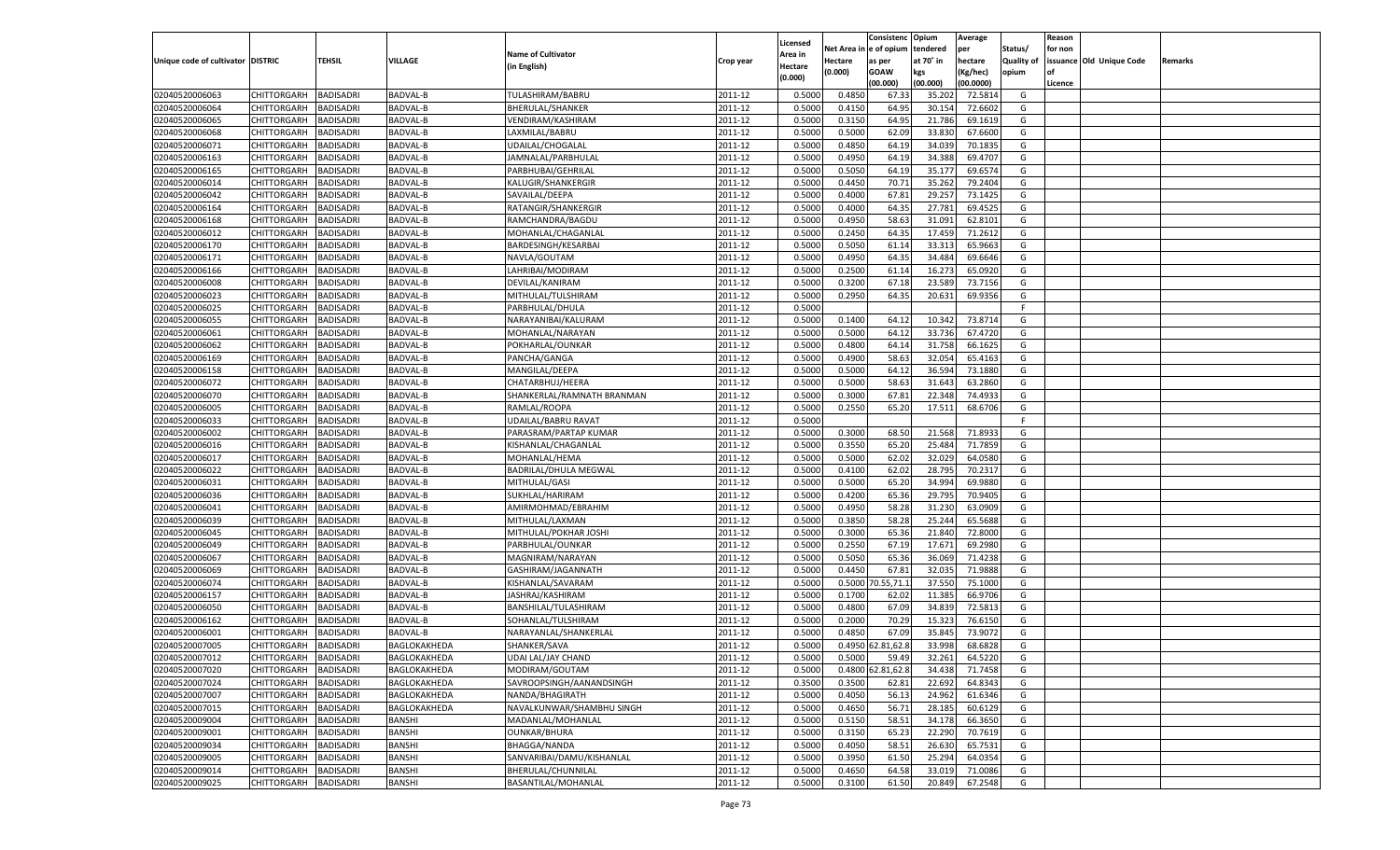|                                   |                       |                  |                 |                            |           |                     |            | Consistenc        | Opium     | Average   |                   | Reason  |                          |         |
|-----------------------------------|-----------------------|------------------|-----------------|----------------------------|-----------|---------------------|------------|-------------------|-----------|-----------|-------------------|---------|--------------------------|---------|
|                                   |                       |                  |                 | <b>Name of Cultivator</b>  |           | Licensed<br>Area in | Net Area i | n e of opium      | tendered  | per       | Status/           | for non |                          |         |
| Unique code of cultivator DISTRIC |                       | TEHSIL           | VILLAGE         | (in English)               | Crop year | Hectare             | Hectare    | as per            | at 70° in | hectare   | <b>Quality of</b> |         | issuance Old Unique Code | Remarks |
|                                   |                       |                  |                 |                            |           | (0.000)             | (0.000)    | <b>GOAW</b>       | kgs       | (Kg/hec)  | opium             |         |                          |         |
|                                   |                       |                  |                 |                            |           |                     |            | (00.000)          | (00.000)  | (00.0000) |                   | Licence |                          |         |
| 02040520006063                    | CHITTORGARH           | <b>BADISADRI</b> | BADVAL-B        | TULASHIRAM/BABRU           | 2011-12   | 0.5000              | 0.4850     | 67.33             | 35.20     | 72.5814   | G                 |         |                          |         |
| 02040520006064                    | CHITTORGARH           | BADISADRI        | BADVAL-B        | <b>BHERULAL/SHANKER</b>    | 2011-12   | 0.5000              | 0.4150     | 64.95             | 30.154    | 72.6602   | G                 |         |                          |         |
| 02040520006065                    | CHITTORGARH           | BADISADRI        | BADVAL-B        | VENDIRAM/KASHIRAM          | 2011-12   | 0.5000              | 0.3150     | 64.95             | 21.786    | 69.1619   | G                 |         |                          |         |
| 02040520006068                    | CHITTORGARH           | BADISADRI        | BADVAL-B        | LAXMILAL/BABRU             | 2011-12   | 0.5000              | 0.5000     | 62.09             | 33.83     | 67.6600   | G                 |         |                          |         |
| 02040520006071                    | CHITTORGARH           | BADISADRI        | BADVAL-B        | UDAILAL/CHOGALAL           | 2011-12   | 0.5000              | 0.4850     | 64.19             | 34.039    | 70.1835   | G                 |         |                          |         |
| 02040520006163                    | CHITTORGARH           | BADISADRI        | BADVAL-B        | JAMNALAL/PARBHULAL         | 2011-12   | 0.5000              | 0.4950     | 64.19             | 34.388    | 69.4707   | G                 |         |                          |         |
| 02040520006165                    | CHITTORGARH           | BADISADRI        | BADVAL-B        | PARBHUBAI/GEHRILAL         | 2011-12   | 0.5000              | 0.5050     | 64.19             | 35.177    | 69.6574   | G                 |         |                          |         |
| 02040520006014                    | CHITTORGARH           | BADISADRI        | BADVAL-B        | KALUGIR/SHANKERGIR         | 2011-12   | 0.5000              | 0.4450     | 70.71             | 35.262    | 79.2404   | G                 |         |                          |         |
| 02040520006042                    | CHITTORGARH           | BADISADRI        | BADVAL-B        | SAVAILAL/DEEPA             | 2011-12   | 0.5000              | 0.4000     | 67.81             | 29.257    | 73.1425   | G                 |         |                          |         |
| 02040520006164                    | CHITTORGARH           | BADISADRI        | BADVAL-B        | RATANGIR/SHANKERGIR        | 2011-12   | 0.5000              | 0.4000     | 64.35             | 27.781    | 69.4525   | G                 |         |                          |         |
| 02040520006168                    | CHITTORGARH           | BADISADRI        | BADVAL-B        | RAMCHANDRA/BAGDU           | 2011-12   | 0.5000              | 0.4950     | 58.63             | 31.091    | 62.8101   | G                 |         |                          |         |
| 02040520006012                    | CHITTORGARH           | BADISADRI        | BADVAL-B        | MOHANLAL/CHAGANLAI         | 2011-12   | 0.5000              | 0.2450     | 64.35             | 17.459    | 71.2612   | G                 |         |                          |         |
| 02040520006170                    | CHITTORGARH           | BADISADRI        | <b>BADVAL-B</b> | BARDESINGH/KESARBAI        | 2011-12   | 0.5000              | 0.5050     | 61.14             | 33.313    | 65.9663   | G                 |         |                          |         |
| 02040520006171                    | CHITTORGARH           | BADISADRI        | BADVAL-B        | NAVLA/GOUTAM               | 2011-12   | 0.5000              | 0.4950     | 64.35             | 34.484    | 69.6646   | G                 |         |                          |         |
| 02040520006166                    | CHITTORGARH           | BADISADRI        | BADVAL-B        | LAHRIBAI/MODIRAM           | 2011-12   | 0.5000              | 0.2500     | 61.14             | 16.273    | 65.0920   | G                 |         |                          |         |
| 02040520006008                    | CHITTORGARH           | BADISADRI        | BADVAL-B        | DEVILAL/KANIRAM            | 2011-12   | 0.5000              | 0.3200     | 67.18             | 23.589    | 73.7156   | G                 |         |                          |         |
| 02040520006023                    | CHITTORGARH           | BADISADRI        | <b>BADVAL-B</b> | MITHULAL/TULSHIRAM         | 2011-12   | 0.5000              | 0.2950     | 64.35             | 20.631    | 69.9356   | G                 |         |                          |         |
| 02040520006025                    | CHITTORGARH           | BADISADRI        | BADVAL-B        | PARBHULAL/DHULA            | 2011-12   | 0.5000              |            |                   |           |           | F.                |         |                          |         |
| 02040520006055                    | CHITTORGARH           | BADISADRI        | BADVAL-B        | NARAYANIBAI/KALURAM        | 2011-12   | 0.5000              | 0.1400     | 64.1              | 10.342    | 73.8714   | G                 |         |                          |         |
| 02040520006061                    | CHITTORGARH           | BADISADRI        | BADVAL-B        | MOHANLAL/NARAYAN           | 2011-12   | 0.5000              | 0.5000     | 64.12             | 33.736    | 67.4720   | G                 |         |                          |         |
| 02040520006062                    | CHITTORGARH           | BADISADRI        | <b>BADVAL-B</b> | POKHARLAL/OUNKAR           | 2011-12   | 0.5000              | 0.4800     | 64.14             | 31.758    | 66.1625   | G                 |         |                          |         |
| 02040520006169                    | CHITTORGARH           | BADISADRI        | BADVAL-B        | PANCHA/GANGA               | 2011-12   | 0.5000              | 0.4900     | 58.63             | 32.054    | 65.4163   | G                 |         |                          |         |
| 02040520006158                    | CHITTORGARH           | BADISADRI        | BADVAL-B        | MANGILAL/DEEPA             | 2011-12   | 0.5000              | 0.5000     | 64.12             | 36.594    | 73.1880   | G                 |         |                          |         |
| 02040520006072                    | CHITTORGARH           | BADISADRI        | BADVAL-B        | CHATARBHUJ/HEERA           | 2011-12   | 0.5000              | 0.5000     | 58.63             | 31.643    | 63.2860   | G                 |         |                          |         |
| 02040520006070                    | CHITTORGARH           | BADISADRI        | <b>BADVAL-B</b> | SHANKERLAL/RAMNATH BRANMAN | 2011-12   | 0.5000              | 0.3000     | 67.81             | 22.348    | 74.4933   | G                 |         |                          |         |
| 02040520006005                    | CHITTORGARH           | BADISADRI        | BADVAL-B        | RAMLAL/ROOPA               | 2011-12   | 0.5000              | 0.2550     | 65.20             | 17.511    | 68.6706   | G                 |         |                          |         |
| 02040520006033                    | CHITTORGARH           | BADISADRI        | <b>BADVAL-B</b> | UDAILAL/BABRU RAVAT        | 2011-12   | 0.5000              |            |                   |           |           | F.                |         |                          |         |
| 02040520006002                    | CHITTORGARH           | BADISADRI        | BADVAL-B        | PARASRAM/PARTAP KUMAR      | 2011-12   | 0.5000              | 0.3000     | 68.50             | 21.568    | 71.8933   | G                 |         |                          |         |
| 02040520006016                    | CHITTORGARH           | BADISADRI        | <b>BADVAL-B</b> | KISHANLAL/CHAGANLAL        | 2011-12   | 0.5000              | 0.3550     | 65.20             | 25.484    | 71.7859   | G                 |         |                          |         |
| 02040520006017                    | CHITTORGARH           | BADISADRI        | <b>BADVAL-B</b> | MOHANLAL/HEMA              | 2011-12   | 0.5000              | 0.5000     | 62.02             | 32.029    | 64.0580   | G                 |         |                          |         |
| 02040520006022                    | CHITTORGARH           | <b>BADISADRI</b> | <b>BADVAL-B</b> | BADRILAL/DHULA MEGWAL      | 2011-12   | 0.5000              | 0.4100     | 62.02             | 28.795    | 70.2317   | G                 |         |                          |         |
| 02040520006031                    | CHITTORGARH           | <b>BADISADRI</b> | <b>BADVAL-B</b> | MITHULAL/GASI              | 2011-12   | 0.5000              | 0.5000     | 65.20             | 34.994    | 69.9880   | G                 |         |                          |         |
| 02040520006036                    | CHITTORGARH           | <b>BADISADRI</b> | <b>BADVAL-B</b> | SUKHLAL/HARIRAM            | 2011-12   | 0.5000              | 0.4200     | 65.36             | 29.795    | 70.9405   | G                 |         |                          |         |
| 02040520006041                    | CHITTORGARH           | BADISADRI        | <b>BADVAL-B</b> | AMIRMOHMAD/EBRAHIM         | 2011-12   | 0.5000              | 0.4950     | 58.28             | 31.230    | 63.0909   | G                 |         |                          |         |
| 02040520006039                    | CHITTORGARH           | BADISADRI        | <b>BADVAL-B</b> | MITHULAL/LAXMAN            | 2011-12   | 0.5000              | 0.3850     | 58.28             | 25.244    | 65.5688   | G                 |         |                          |         |
| 02040520006045                    | CHITTORGARH           | <b>BADISADRI</b> | <b>BADVAL-B</b> | MITHULAL/POKHAR JOSHI      | 2011-12   | 0.5000              | 0.3000     | 65.36             | 21.84     | 72.8000   | G                 |         |                          |         |
| 02040520006049                    | CHITTORGARH           | <b>BADISADRI</b> | <b>BADVAL-B</b> | PARBHULAL/OUNKAR           | 2011-12   | 0.5000              | 0.2550     | 67.19             | 17.671    | 69.2980   | G                 |         |                          |         |
| 02040520006067                    | CHITTORGARH           | BADISADRI        | <b>BADVAL-B</b> | MAGNIRAM/NARAYAN           | 2011-12   | 0.5000              | 0.5050     | 65.36             | 36.069    | 71.4238   | G                 |         |                          |         |
| 02040520006069                    | CHITTORGARH           | BADISADRI        | <b>BADVAL-B</b> | GASHIRAM/JAGANNATH         | 2011-12   | 0.5000              | 0.4450     | 67.81             | 32.03     | 71.9888   | G                 |         |                          |         |
| 02040520006074                    | CHITTORGARH           | <b>BADISADRI</b> | <b>BADVAL-B</b> | KISHANLAL/SAVARAM          | 2011-12   | 0.5000              | 0.5000     | 0.55,71.          | 37.550    | 75.1000   | G                 |         |                          |         |
| 02040520006157                    | CHITTORGARH           | <b>BADISADRI</b> | <b>BADVAL-B</b> | JASHRAJ/KASHIRAM           | 2011-12   | 0.5000              | 0.1700     | 62.02             | 11.385    | 66.9706   | G                 |         |                          |         |
| 02040520006050                    | CHITTORGARH           | BADISADRI        | <b>BADVAL-B</b> | BANSHILAL/TULASHIRAM       | 2011-12   | 0.5000              | 0.4800     | 67.09             | 34.839    | 72.5813   | G                 |         |                          |         |
| 02040520006162                    | CHITTORGARH           | BADISADRI        | BADVAL-B        | SOHANLAL/TULSHIRAM         | 2011-12   | 0.5000              | 0.2000     | 70.29             | 15.323    | 76.6150   | G                 |         |                          |         |
| 02040520006001                    | CHITTORGARH           | BADISADRI        | <b>BADVAL-B</b> | NARAYANLAL/SHANKERLAL      | 2011-12   | 0.5000              | 0.4850     | 67.09             | 35.84     | 73.9072   | G                 |         |                          |         |
| 02040520007005                    | CHITTORGARH           | <b>BADISADRI</b> | BAGLOKAKHEDA    | SHANKER/SAVA               | 2011-12   | 0.5000              |            | 0.4950 62.81,62.8 | 33.998    | 68.6828   | G                 |         |                          |         |
| 02040520007012                    | CHITTORGARH BADISADRI |                  | BAGLOKAKHEDA    | <b>UDAI LAL/JAY CHAND</b>  | 2011-12   | 0.5000              | 0.5000     | 59.49             | 32.261    | 64.5220   | G                 |         |                          |         |
| 02040520007020                    | <b>CHITTORGARH</b>    | <b>BADISADRI</b> | BAGLOKAKHEDA    | MODIRAM/GOUTAM             | 2011-12   | 0.5000              |            | 0.4800 62.81,62.8 | 34.438    | 71.7458   | G                 |         |                          |         |
| 02040520007024                    | <b>CHITTORGARH</b>    | <b>BADISADRI</b> | BAGLOKAKHEDA    | SAVROOPSINGH/AANANDSINGH   | 2011-12   | 0.3500              | 0.3500     | 62.81             | 22.692    | 64.8343   | G                 |         |                          |         |
| 02040520007007                    | CHITTORGARH           | <b>BADISADRI</b> | BAGLOKAKHEDA    | NANDA/BHAGIRATH            | 2011-12   | 0.5000              | 0.4050     | 56.13             | 24.962    | 61.6346   | G                 |         |                          |         |
| 02040520007015                    | <b>CHITTORGARH</b>    | <b>BADISADRI</b> | BAGLOKAKHEDA    | NAVALKUNWAR/SHAMBHU SINGH  | 2011-12   | 0.5000              | 0.4650     | 56.71             | 28.185    | 60.6129   | G                 |         |                          |         |
| 02040520009004                    | <b>CHITTORGARH</b>    | <b>BADISADRI</b> | <b>BANSHI</b>   | MADANLAL/MOHANLAL          | 2011-12   | 0.5000              | 0.5150     | 58.51             | 34.178    | 66.3650   | G                 |         |                          |         |
| 02040520009001                    | <b>CHITTORGARH</b>    | <b>BADISADRI</b> | <b>BANSHI</b>   | OUNKAR/BHURA               | 2011-12   | 0.5000              | 0.3150     | 65.23             | 22.290    | 70.7619   | G                 |         |                          |         |
| 02040520009034                    | CHITTORGARH           | <b>BADISADRI</b> | <b>BANSHI</b>   | BHAGGA/NANDA               | 2011-12   | 0.5000              | 0.4050     | 58.51             | 26.630    | 65.7531   | G                 |         |                          |         |
| 02040520009005                    | <b>CHITTORGARH</b>    | <b>BADISADRI</b> | <b>BANSHI</b>   | SANVARIBAI/DAMU/KISHANLAL  | 2011-12   | 0.5000              | 0.3950     | 61.50             | 25.294    | 64.0354   | G                 |         |                          |         |
| 02040520009014                    | <b>CHITTORGARH</b>    | <b>BADISADRI</b> | <b>BANSHI</b>   | <b>BHERULAL/CHUNNILAL</b>  | 2011-12   | 0.5000              | 0.4650     | 64.58             | 33.019    | 71.0086   | G                 |         |                          |         |
| 02040520009025                    | <b>CHITTORGARH</b>    | <b>BADISADRI</b> | <b>BANSHI</b>   | BASANTILAL/MOHANLAL        | 2011-12   | 0.5000              | 0.3100     | 61.50             | 20.849    | 67.2548   | G                 |         |                          |         |
|                                   |                       |                  |                 |                            |           |                     |            |                   |           |           |                   |         |                          |         |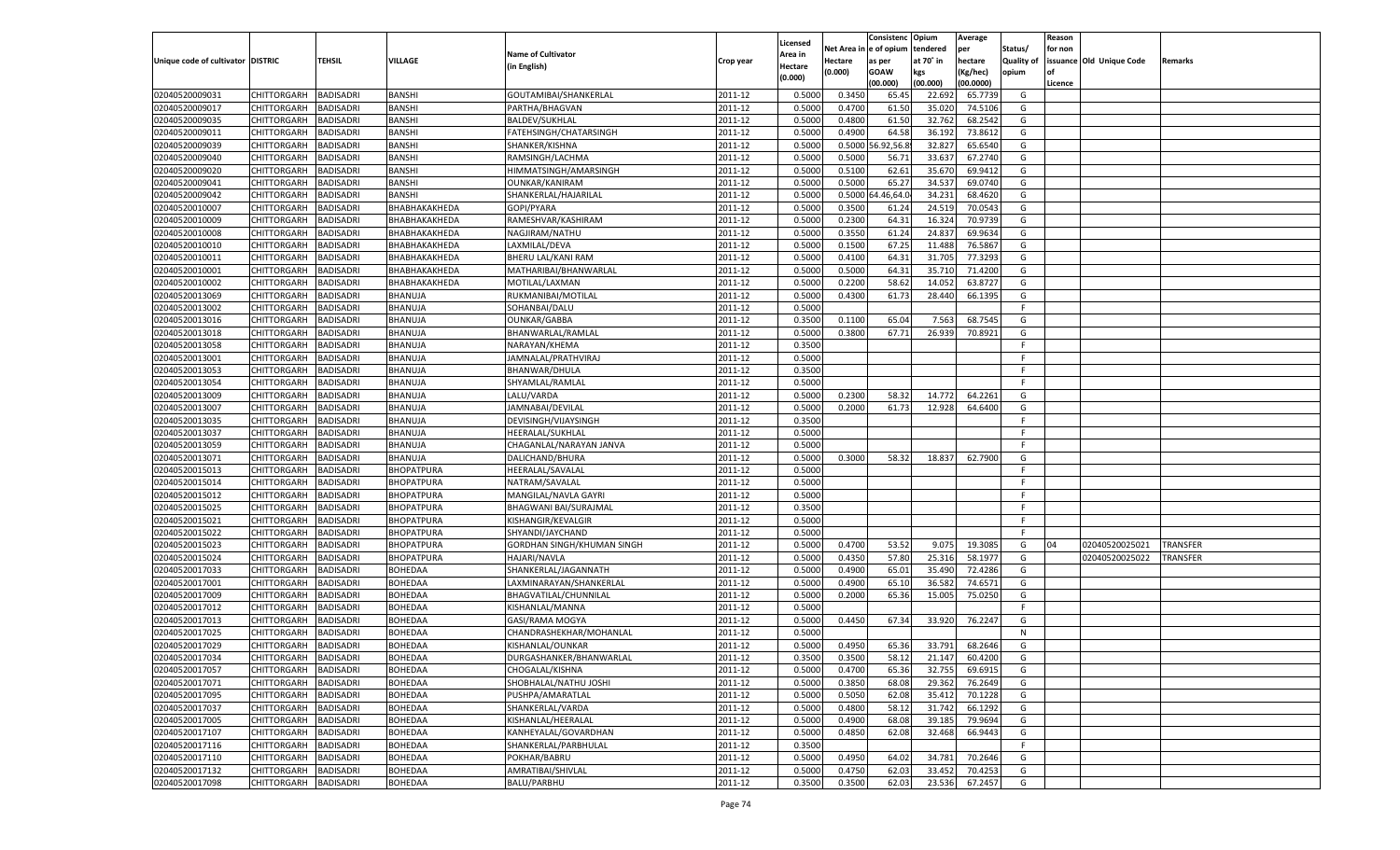|                                   |                       |                  |                   |                               |           |                     |             | Consistenc    | Opium            | Average   |                   | Reason  |                          |                 |
|-----------------------------------|-----------------------|------------------|-------------------|-------------------------------|-----------|---------------------|-------------|---------------|------------------|-----------|-------------------|---------|--------------------------|-----------------|
|                                   |                       |                  |                   | <b>Name of Cultivator</b>     |           | Licensed<br>Area in | Net Area iı | n  e of opium | tendered         | per       | Status/           | for non |                          |                 |
| Unique code of cultivator DISTRIC |                       | TEHSIL           | VILLAGE           | (in English)                  | Crop year | Hectare             | Hectare     | as per        | at 70° in        | hectare   | <b>Quality of</b> |         | issuance Old Unique Code | Remarks         |
|                                   |                       |                  |                   |                               |           | (0.000)             | (0.000)     | <b>GOAW</b>   | kgs              | (Kg/hec)  | opium             |         |                          |                 |
|                                   |                       |                  |                   |                               |           |                     |             | (00.000)      | (00.000)         | (00.0000) |                   | Licence |                          |                 |
| 02040520009031                    | CHITTORGARH           | <b>BADISADRI</b> | <b>BANSHI</b>     | GOUTAMIBAI/SHANKERLAL         | 2011-12   | 0.5000              | 0.3450      | 65.45         | 22.692           | 65.7739   | G                 |         |                          |                 |
| 02040520009017                    | CHITTORGARH           | BADISADRI        | <b>BANSHI</b>     | PARTHA/BHAGVAN                | 2011-12   | 0.5000              | 0.4700      | 61.50         | 35.020           | 74.5106   | G                 |         |                          |                 |
| 02040520009035                    | CHITTORGARH           | BADISADRI        | <b>BANSHI</b>     | <b>BALDEV/SUKHLAL</b>         | 2011-12   | 0.5000              | 0.4800      | 61.50         | 32.762           | 68.2542   | G                 |         |                          |                 |
| 02040520009011                    | CHITTORGARH           | BADISADRI        | <b>BANSHI</b>     | <b>FATEHSINGH/CHATARSINGH</b> | 2011-12   | 0.5000              | 0.4900      | 64.58         | 36.192           | 73.8612   | G                 |         |                          |                 |
| 02040520009039                    | CHITTORGARH           | BADISADRI        | <b>BANSHI</b>     | SHANKER/KISHNA                | 2011-12   | 0.5000              | 0.5000      | 6.92,56.8     | 32.827           | 65.6540   | G                 |         |                          |                 |
| 02040520009040                    | CHITTORGARH           | BADISADRI        | <b>BANSHI</b>     | RAMSINGH/LACHMA               | 2011-12   | 0.5000              | 0.5000      | 56.7          | 33.637           | 67.2740   | G                 |         |                          |                 |
| 02040520009020                    | CHITTORGARH           | BADISADRI        | <b>BANSHI</b>     | HIMMATSINGH/AMARSINGH         | 2011-12   | 0.5000              | 0.5100      | 62.61         | 35.670           | 69.9412   | G                 |         |                          |                 |
| 02040520009041                    | CHITTORGARH           | BADISADRI        | <b>BANSHI</b>     | <b>OUNKAR/KANIRAM</b>         | 2011-12   | 0.5000              | 0.5000      | 65.2          | 34.537           | 69.0740   | G                 |         |                          |                 |
| 02040520009042                    | CHITTORGARH           | BADISADRI        | <b>BANSHI</b>     | SHANKERLAL/HAJARILAL          | 2011-12   | 0.5000              | 0.5000      | 4.46,64.0     | 34.231           | 68.4620   | G                 |         |                          |                 |
| 02040520010007                    | CHITTORGARH           | BADISADRI        | ВНАВНАКАКНЕDА     | GOPI/PYARA                    | 2011-12   | 0.5000              | 0.3500      | 61.24         | 24.519           | 70.0543   | G                 |         |                          |                 |
| 02040520010009                    | CHITTORGARH           | BADISADRI        | ВНАВНАКАКНЕDА     | RAMESHVAR/KASHIRAM            | 2011-12   | 0.5000              | 0.2300      | 64.31         | 16.324           | 70.9739   | G                 |         |                          |                 |
| 02040520010008                    | CHITTORGARH           | BADISADRI        | ВНАВНАКАКНЕDА     | NAGJIRAM/NATHU                | 2011-12   | 0.5000              | 0.3550      | 61.24         | 24.837           | 69.9634   | G                 |         |                          |                 |
| 02040520010010                    | CHITTORGARH           | BADISADRI        | ВНАВНАКАКНЕDА     | LAXMILAL/DEVA                 | 2011-12   | 0.5000              | 0.1500      | 67.25         | 11.488           | 76.5867   | G                 |         |                          |                 |
| 02040520010011                    | CHITTORGARH           | BADISADRI        | ВНАВНАКАКНЕDА     | <b>BHERU LAL/KANI RAM</b>     | 2011-12   | 0.5000              | 0.4100      | 64.31         | 31.705           | 77.3293   | G                 |         |                          |                 |
| 02040520010001                    | CHITTORGARH           | <b>BADISADRI</b> | ВНАВНАКАКНЕDА     | MATHARIBAI/BHANWARLAL         | 2011-12   | 0.5000              | 0.5000      | 64.31         | 35.710           | 71.4200   | G                 |         |                          |                 |
| 02040520010002                    | CHITTORGARH           | BADISADRI        | ВНАВНАКАКНЕDА     | MOTILAL/LAXMAN                | 2011-12   | 0.5000              | 0.2200      | 58.62         | 14.052           | 63.8727   | G                 |         |                          |                 |
| 02040520013069                    | CHITTORGARH           | <b>BADISADRI</b> | BHANUJA           | RUKMANIBAI/MOTILAL            | 2011-12   | 0.5000              | 0.4300      | 61.73         | 28.440           | 66.1395   | G                 |         |                          |                 |
| 02040520013002                    | CHITTORGARH           | BADISADRI        | BHANUJA           | SOHANBAI/DALU                 | 2011-12   | 0.5000              |             |               |                  |           | F.                |         |                          |                 |
| 02040520013016                    | CHITTORGARH           | BADISADRI        | BHANUJA           | <b>OUNKAR/GABBA</b>           | 2011-12   | 0.3500              | 0.1100      | 65.04         | 7.563            | 68.7545   | G                 |         |                          |                 |
| 02040520013018                    | CHITTORGARH           | BADISADRI        | BHANUJA           | BHANWARLAL/RAMLAL             | 2011-12   | 0.5000              | 0.3800      | 67.71         | 26.939           | 70.8921   | G                 |         |                          |                 |
| 02040520013058                    | CHITTORGARH           | <b>BADISADRI</b> | BHANUJA           | NARAYAN/KHEMA                 | 2011-12   | 0.3500              |             |               |                  |           | F.                |         |                          |                 |
| 02040520013001                    | CHITTORGARH           | BADISADRI        | BHANUJA           | JAMNALAL/PRATHVIRAJ           | 2011-12   | 0.5000              |             |               |                  |           | F.                |         |                          |                 |
| 02040520013053                    | CHITTORGARH           | BADISADRI        | BHANUJA           | BHANWAR/DHULA                 | 2011-12   | 0.3500              |             |               |                  |           | F.                |         |                          |                 |
| 02040520013054                    | CHITTORGARH           | BADISADRI        | BHANUJA           | SHYAMLAL/RAMLAL               | 2011-12   | 0.5000              |             |               |                  |           | F.                |         |                          |                 |
| 02040520013009                    | CHITTORGARH           | <b>BADISADRI</b> | BHANUJA           | LALU/VARDA                    | 2011-12   | 0.5000              | 0.2300      | 58.32         | 14.772           | 64.2261   | G                 |         |                          |                 |
| 02040520013007                    | CHITTORGARH           | BADISADRI        | BHANUJA           | JAMNABAI/DEVILAL              | 2011-12   | 0.5000              | 0.2000      | 61.73         | 12.928           | 64.6400   | G                 |         |                          |                 |
| 02040520013035                    | CHITTORGARH           | BADISADRI        | BHANUJA           | DEVISINGH/VIJAYSINGH          | 2011-12   | 0.3500              |             |               |                  |           | F.                |         |                          |                 |
| 02040520013037                    | CHITTORGARH           | BADISADRI        | BHANUJA           | <b>HEERALAL/SUKHLAL</b>       | 2011-12   | 0.5000              |             |               |                  |           | F.                |         |                          |                 |
| 02040520013059                    | CHITTORGARH           | <b>BADISADRI</b> | BHANUJA           | CHAGANLAL/NARAYAN JANVA       | 2011-12   | 0.5000              |             |               |                  |           | F.                |         |                          |                 |
| 02040520013071                    | CHITTORGARH           | <b>BADISADRI</b> | BHANUJA           | DALICHAND/BHURA               | 2011-12   | 0.5000              | 0.3000      | 58.32         | 18.837           | 62.7900   | G                 |         |                          |                 |
| 02040520015013                    | CHITTORGARH           | <b>BADISADRI</b> | BHOPATPURA        | HEERALAL/SAVALAL              | 2011-12   | 0.5000              |             |               |                  |           | F.                |         |                          |                 |
| 02040520015014                    | CHITTORGARH           | <b>BADISADRI</b> | BHOPATPURA        | NATRAM/SAVALAL                | 2011-12   | 0.5000              |             |               |                  |           | F                 |         |                          |                 |
| 02040520015012                    | CHITTORGARH           | <b>BADISADRI</b> | <b>BHOPATPURA</b> | MANGILAL/NAVLA GAYRI          | 2011-12   | 0.5000              |             |               |                  |           | F                 |         |                          |                 |
| 02040520015025                    | CHITTORGARH           | BADISADRI        | BHOPATPURA        | BHAGWANI BAI/SURAJMAL         | 2011-12   | 0.3500              |             |               |                  |           | F                 |         |                          |                 |
| 02040520015021                    | CHITTORGARH           | <b>BADISADRI</b> | <b>BHOPATPURA</b> | KISHANGIR/KEVALGIR            | 2011-12   | 0.5000              |             |               |                  |           | F                 |         |                          |                 |
| 02040520015022                    | CHITTORGARH           | <b>BADISADRI</b> | <b>BHOPATPURA</b> | SHYANDI/JAYCHAND              | 2011-12   | 0.5000              |             |               |                  |           | F                 |         |                          |                 |
| 02040520015023                    | CHITTORGARH           | <b>BADISADRI</b> | <b>BHOPATPURA</b> | GORDHAN SINGH/KHUMAN SINGH    | 2011-12   | 0.5000              | 0.4700      | 53.52         | 9.075            | 19.3085   | G                 | 04      | 02040520025021           | <b>TRANSFER</b> |
| 02040520015024                    | CHITTORGARH           | BADISADRI        | BHOPATPURA        | HAJARI/NAVLA                  | 2011-12   | 0.5000              | 0.4350      | 57.80         | 25.316           | 58.1977   | G                 |         | 02040520025022           | TRANSFER        |
| 02040520017033                    | CHITTORGARH           | <b>BADISADRI</b> | <b>BOHEDAA</b>    | SHANKERLAL/JAGANNATH          | 2011-12   | 0.5000              | 0.4900      | 65.01         | 35.490           | 72.4286   | G                 |         |                          |                 |
| 02040520017001                    | CHITTORGARH           | <b>BADISADRI</b> | <b>BOHEDAA</b>    | LAXMINARAYAN/SHANKERLAL       | 2011-12   | 0.5000              | 0.4900      | 65.10         | 36.582           | 74.6571   | G                 |         |                          |                 |
| 02040520017009                    | CHITTORGARH           | <b>BADISADRI</b> | <b>BOHEDAA</b>    | BHAGVATILAL/CHUNNILAL         | 2011-12   | 0.5000              | 0.2000      | 65.36         | 15.005           | 75.0250   | G                 |         |                          |                 |
| 02040520017012                    | CHITTORGARH           | BADISADRI        | BOHEDAA           | KISHANLAL/MANNA               | 2011-12   | 0.5000              |             |               |                  |           | F                 |         |                          |                 |
| 02040520017013                    | CHITTORGARH           | BADISADRI        | <b>BOHEDAA</b>    | GASI/RAMA MOGYA               | 2011-12   | 0.5000              | 0.4450      | 67.34         | 33.920           | 76.2247   | G                 |         |                          |                 |
| 02040520017025                    | CHITTORGARH           | BADISADRI        | <b>BOHEDAA</b>    | CHANDRASHEKHAR/MOHANLAL       | 2011-12   | 0.5000              |             |               |                  |           | N                 |         |                          |                 |
| 02040520017029                    | CHITTORGARH           | <b>BADISADRI</b> | BOHEDAA           | KISHANLAL/OUNKAR              | 2011-12   | 0.5000              | 0.4950      | 65.36         | 33.791           | 68.2646   | G                 |         |                          |                 |
| 02040520017034                    | CHITTORGARH BADISADRI |                  | <b>BOHEDAA</b>    | DURGASHANKER/BHANWARLAL       | 2011-12   | 0.3500              | 0.3500      | 58.12         | 21.147           | 60.4200   | G                 |         |                          |                 |
| 02040520017057                    | <b>CHITTORGARH</b>    | <b>BADISADRI</b> | <b>BOHEDAA</b>    | CHOGALAL/KISHNA               | 2011-12   | 0.5000              | 0.4700      | 65.36         | 32.755           | 69.6915   | G                 |         |                          |                 |
| 02040520017071                    | CHITTORGARH           | <b>BADISADRI</b> | <b>BOHEDAA</b>    | SHOBHALAL/NATHU JOSHI         | 2011-12   | 0.5000              | 0.3850      | 68.08         | 29.362           | 76.2649   | G                 |         |                          |                 |
| 02040520017095                    | <b>CHITTORGARH</b>    | <b>BADISADRI</b> | <b>BOHEDAA</b>    | PUSHPA/AMARATLAL              | 2011-12   | 0.5000              | 0.5050      | 62.08         | 35.412           | 70.1228   | G                 |         |                          |                 |
| 02040520017037                    | <b>CHITTORGARH</b>    | <b>BADISADRI</b> | <b>BOHEDAA</b>    | SHANKERLAL/VARDA              | 2011-12   | 0.5000              | 0.4800      | 58.12         | 31.742           | 66.1292   | G                 |         |                          |                 |
| 02040520017005                    | CHITTORGARH           | <b>BADISADRI</b> | <b>BOHEDAA</b>    | KISHANLAL/HEERALAL            | 2011-12   | 0.5000              | 0.4900      | 68.08         |                  | 79.9694   | G                 |         |                          |                 |
| 02040520017107                    | CHITTORGARH           | <b>BADISADRI</b> | <b>BOHEDAA</b>    | KANHEYALAL/GOVARDHAN          | 2011-12   |                     | 0.4850      | 62.08         | 39.185<br>32.468 | 66.9443   | G                 |         |                          |                 |
|                                   |                       | <b>BADISADRI</b> | <b>BOHEDAA</b>    |                               |           | 0.5000<br>0.3500    |             |               |                  |           |                   |         |                          |                 |
| 02040520017116                    | CHITTORGARH           |                  |                   | SHANKERLAL/PARBHULAL          | 2011-12   |                     |             |               |                  |           | F.                |         |                          |                 |
| 02040520017110                    | CHITTORGARH           | <b>BADISADRI</b> | <b>BOHEDAA</b>    | POKHAR/BABRU                  | 2011-12   | 0.5000              | 0.4950      | 64.02         | 34.781           | 70.2646   | G                 |         |                          |                 |
| 02040520017132                    | <b>CHITTORGARH</b>    | <b>BADISADRI</b> | <b>BOHEDAA</b>    | AMRATIBAI/SHIVLAL             | 2011-12   | 0.5000              | 0.4750      | 62.03         | 33.452           | 70.4253   | G                 |         |                          |                 |
| 02040520017098                    | CHITTORGARH           | <b>BADISADRI</b> | <b>BOHEDAA</b>    | <b>BALU/PARBHU</b>            | 2011-12   | 0.3500              | 0.3500      | 62.03         | 23.536           | 67.2457   | G                 |         |                          |                 |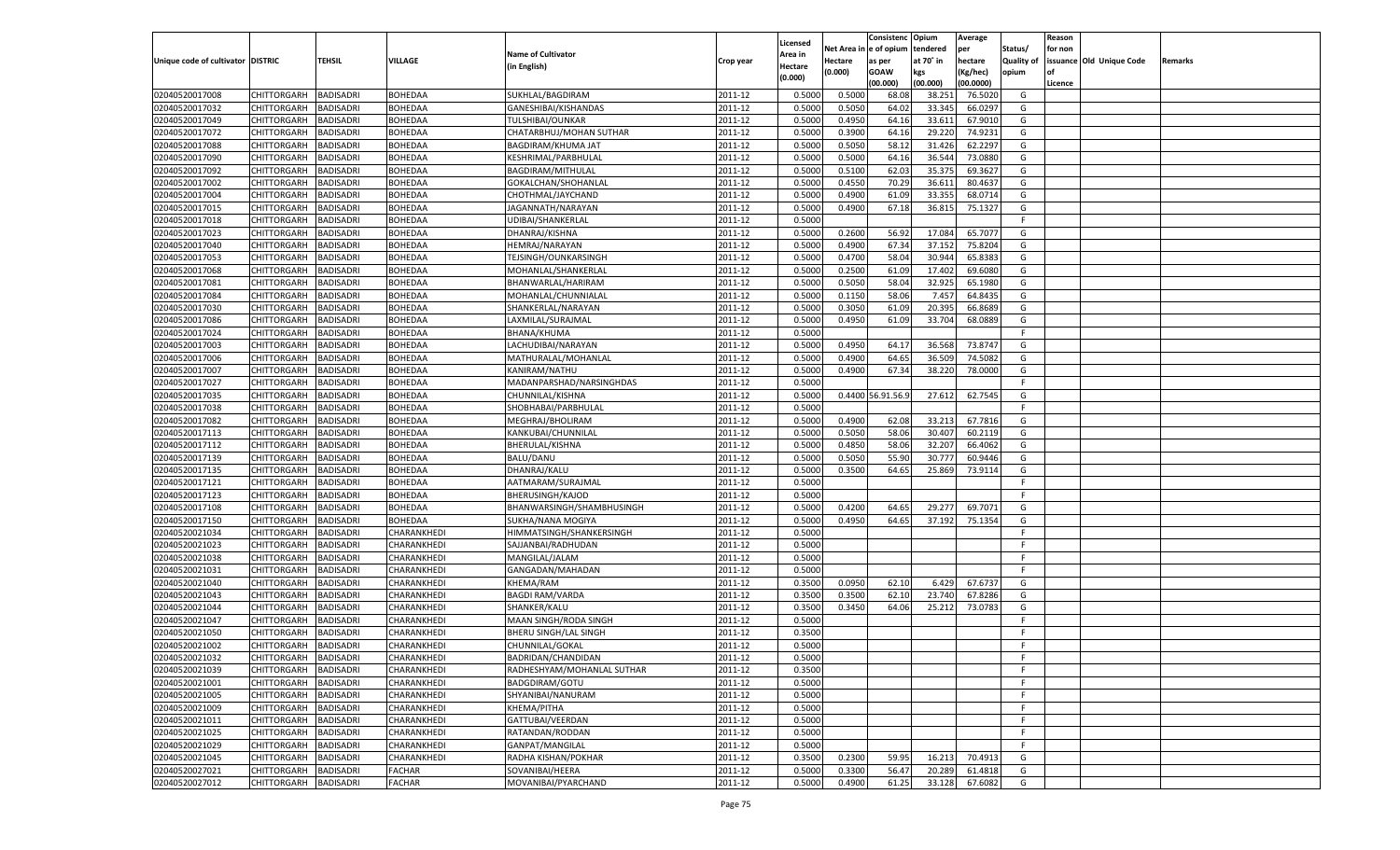|                                   |                       |                  |               |                            |           |                           |          | Consistenc        | Opium     | Average   |                   | Reason  |                          |         |
|-----------------------------------|-----------------------|------------------|---------------|----------------------------|-----------|---------------------------|----------|-------------------|-----------|-----------|-------------------|---------|--------------------------|---------|
|                                   |                       |                  |               | <b>Name of Cultivator</b>  |           | Licensed                  | Net Area | e of opium        | tendered  | per       | Status/           | for non |                          |         |
| Unique code of cultivator DISTRIC |                       | <b>TEHSIL</b>    | VILLAGE       | (in English)               | Crop year | <b>Area in</b><br>Hectare | Hectare  | as per            | at 70° in | hectare   | <b>Quality of</b> |         | issuance Old Unique Code | Remarks |
|                                   |                       |                  |               |                            |           | (0.000)                   | (0.000)  | <b>GOAW</b>       | kgs       | (Kg/hec)  | opium             |         |                          |         |
|                                   |                       |                  |               |                            |           |                           |          | (00.000)          | (00.000)  | (00.0000) |                   | Licence |                          |         |
| 02040520017008                    | CHITTORGARH           | <b>BADISADRI</b> | BOHEDAA       | SUKHLAL/BAGDIRAM           | 2011-12   | 0.5000                    | 0.5000   | 68.08             | 38.25     | 76.5020   | G                 |         |                          |         |
| 02040520017032                    | CHITTORGARH           | BADISADRI        | BOHEDAA       | GANESHIBAI/KISHANDAS       | 2011-12   | 0.5000                    | 0.5050   | 64.02             | 33.345    | 66.0297   | G                 |         |                          |         |
| 02040520017049                    | CHITTORGARH           | BADISADRI        | BOHEDAA       | TULSHIBAI/OUNKAR           | 2011-12   | 0.5000                    | 0.4950   | 64.16             | 33.61     | 67.9010   | G                 |         |                          |         |
| 02040520017072                    | CHITTORGARH           | BADISADRI        | BOHEDAA       | CHATARBHUJ/MOHAN SUTHAR    | 2011-12   | 0.5000                    | 0.3900   | 64.16             | 29.22     | 74.9231   | G                 |         |                          |         |
| 02040520017088                    | CHITTORGARH           | BADISADRI        | BOHEDAA       | <b>BAGDIRAM/KHUMA JAT</b>  | 2011-12   | 0.5000                    | 0.5050   | 58.12             | 31.426    | 62.2297   | G                 |         |                          |         |
| 02040520017090                    | CHITTORGARH           | BADISADRI        | BOHEDAA       | KESHRIMAL/PARBHULAL        | 2011-12   | 0.5000                    | 0.5000   | 64.16             | 36.544    | 73.0880   | G                 |         |                          |         |
| 02040520017092                    | CHITTORGARH           | BADISADRI        | BOHEDAA       | BAGDIRAM/MITHULAL          | 2011-12   | 0.5000                    | 0.5100   | 62.03             | 35.375    | 69.3627   | G                 |         |                          |         |
| 02040520017002                    | CHITTORGARH           | BADISADRI        | BOHEDAA       | GOKALCHAN/SHOHANLAL        | 2011-12   | 0.5000                    | 0.4550   | 70.29             | 36.611    | 80.4637   | G                 |         |                          |         |
| 02040520017004                    | CHITTORGARH           | BADISADRI        | BOHEDAA       | CHOTHMAL/JAYCHAND          | 2011-12   | 0.5000                    | 0.4900   | 61.09             | 33.355    | 68.0714   | G                 |         |                          |         |
| 02040520017015                    | CHITTORGARH           | BADISADRI        | BOHEDAA       | JAGANNATH/NARAYAN          | 2011-12   | 0.5000                    | 0.4900   | 67.18             | 36.815    | 75.1327   | G                 |         |                          |         |
| 02040520017018                    | CHITTORGARH           | BADISADRI        | BOHEDAA       | UDIBAI/SHANKERLAL          | 2011-12   | 0.5000                    |          |                   |           |           | F.                |         |                          |         |
| 02040520017023                    | CHITTORGARH           | BADISADRI        | BOHEDAA       | DHANRAJ/KISHNA             | 2011-12   | 0.5000                    | 0.2600   | 56.92             | 17.084    | 65.7077   | G                 |         |                          |         |
| 02040520017040                    | CHITTORGARH           | <b>BADISADRI</b> | BOHEDAA       | HEMRAJ/NARAYAN             | 2011-12   | 0.5000                    | 0.4900   | 67.34             | 37.152    | 75.8204   | G                 |         |                          |         |
| 02040520017053                    | CHITTORGARH           | BADISADRI        | BOHEDAA       | TEJSINGH/OUNKARSINGH       | 2011-12   | 0.5000                    | 0.4700   | 58.04             | 30.944    | 65.838    | G                 |         |                          |         |
| 02040520017068                    | CHITTORGARH           | BADISADRI        | BOHEDAA       | MOHANLAL/SHANKERLAL        | 2011-12   | 0.5000                    | 0.2500   | 61.09             | 17.402    | 69.6080   | G                 |         |                          |         |
| 02040520017081                    | CHITTORGARH           | BADISADRI        | BOHEDAA       | BHANWARLAL/HARIRAM         | 2011-12   | 0.5000                    | 0.5050   | 58.04             | 32.925    | 65.1980   | G                 |         |                          |         |
| 02040520017084                    | CHITTORGARH           | <b>BADISADRI</b> | BOHEDAA       | MOHANLAL/CHUNNIALAI        | 2011-12   | 0.5000                    | 0.1150   | 58.06             | 7.457     | 64.8435   | G                 |         |                          |         |
| 02040520017030                    | CHITTORGARH           | BADISADRI        | BOHEDAA       | SHANKERLAL/NARAYAN         | 2011-12   | 0.5000                    | 0.3050   | 61.09             | 20.395    | 66.8689   | G                 |         |                          |         |
| 02040520017086                    | CHITTORGARH           | <b>BADISADRI</b> | BOHEDAA       | LAXMILAL/SURAJMAL          | 2011-12   | 0.5000                    | 0.4950   | 61.09             | 33.704    | 68.0889   | G                 |         |                          |         |
| 02040520017024                    | CHITTORGARH           | BADISADRI        | BOHEDAA       | BHANA/KHUMA                | 2011-12   | 0.5000                    |          |                   |           |           | F.                |         |                          |         |
| 02040520017003                    | CHITTORGARH           | <b>BADISADRI</b> | BOHEDAA       | LACHUDIBAI/NARAYAN         | 2011-12   | 0.5000                    | 0.4950   | 64.17             | 36.568    | 73.8747   | G                 |         |                          |         |
| 02040520017006                    | CHITTORGARH           | BADISADRI        | BOHEDAA       | MATHURALAL/MOHANLAL        | 2011-12   | 0.5000                    | 0.4900   | 64.65             | 36.509    | 74.5082   | G                 |         |                          |         |
| 02040520017007                    | CHITTORGARH           | <b>BADISADRI</b> | BOHEDAA       | KANIRAM/NATHU              | 2011-12   | 0.5000                    | 0.4900   | 67.34             | 38.220    | 78.0000   | G                 |         |                          |         |
| 02040520017027                    | CHITTORGARH           | BADISADRI        | BOHEDAA       | MADANPARSHAD/NARSINGHDAS   | 2011-12   | 0.5000                    |          |                   |           |           | F.                |         |                          |         |
| 02040520017035                    | CHITTORGARH           | BADISADRI        | BOHEDAA       | CHUNNILAL/KISHNA           | 2011-12   | 0.5000                    |          | 0.4400 56.91.56.9 | 27.612    | 62.7545   | G                 |         |                          |         |
| 02040520017038                    | CHITTORGARH           | BADISADRI        | BOHEDAA       | SHOBHABAI/PARBHULAI        | 2011-12   | 0.5000                    |          |                   |           |           | F.                |         |                          |         |
| 02040520017082                    | CHITTORGARH           | <b>BADISADRI</b> | BOHEDAA       | MEGHRAJ/BHOLIRAM           | 2011-12   | 0.5000                    | 0.4900   | 62.08             | 33.213    | 67.7816   | G                 |         |                          |         |
| 02040520017113                    | CHITTORGARH           | BADISADRI        | BOHEDAA       | KANKUBAI/CHUNNILAL         | 2011-12   | 0.5000                    | 0.5050   | 58.06             | 30.407    | 60.2119   | G                 |         |                          |         |
| 02040520017112                    | CHITTORGARH           | BADISADRI        | BOHEDAA       | BHERULAL/KISHNA            | 2011-12   | 0.5000                    | 0.4850   | 58.06             | 32.207    | 66.4062   | G                 |         |                          |         |
| 02040520017139                    | CHITTORGARH           | BADISADRI        | BOHEDAA       | <b>BALU/DANU</b>           | 2011-12   | 0.5000                    | 0.5050   | 55.90             | 30.777    | 60.9446   | G                 |         |                          |         |
| 02040520017135                    | CHITTORGARH           | <b>BADISADRI</b> | BOHEDAA       | DHANRAJ/KALU               | 2011-12   | 0.5000                    | 0.3500   | 64.65             | 25.869    | 73.9114   | G                 |         |                          |         |
| 02040520017121                    | CHITTORGARH           | BADISADRI        | BOHEDAA       | AATMARAM/SURAJMAL          | 2011-12   | 0.5000                    |          |                   |           |           | F.                |         |                          |         |
| 02040520017123                    | CHITTORGARH           | <b>BADISADRI</b> | BOHEDAA       | <b>BHERUSINGH/KAJOD</b>    | 2011-12   | 0.5000                    |          |                   |           |           | F.                |         |                          |         |
| 02040520017108                    | CHITTORGARH           | BADISADRI        | BOHEDAA       | BHANWARSINGH/SHAMBHUSINGH  | 2011-12   | 0.5000                    | 0.4200   | 64.65             | 29.277    | 69.7071   | G                 |         |                          |         |
| 02040520017150                    | CHITTORGARH           | <b>BADISADRI</b> | BOHEDAA       | SUKHA/NANA MOGIYA          | 2011-12   | 0.5000                    | 0.4950   | 64.65             | 37.192    | 75.1354   | G                 |         |                          |         |
| 02040520021034                    | CHITTORGARH           | BADISADRI        | CHARANKHEDI   | HIMMATSINGH/SHANKERSINGH   | 2011-12   | 0.5000                    |          |                   |           |           | F                 |         |                          |         |
| 02040520021023                    |                       | <b>BADISADRI</b> | CHARANKHEDI   | SAJJANBAI/RADHUDAN         | 2011-12   | 0.5000                    |          |                   |           |           | F                 |         |                          |         |
|                                   | CHITTORGARH           |                  |               |                            |           |                           |          |                   |           |           | F.                |         |                          |         |
| 02040520021038                    | CHITTORGARH           | BADISADRI        | CHARANKHEDI   | MANGILAL/JALAM             | 2011-12   | 0.5000                    |          |                   |           |           | F.                |         |                          |         |
| 02040520021031                    | <b>CHITTORGARH</b>    | <b>BADISADRI</b> | CHARANKHEDI   | GANGADAN/MAHADAN           | 2011-12   | 0.5000                    |          |                   |           |           |                   |         |                          |         |
| 02040520021040                    | CHITTORGARH           | BADISADRI        | CHARANKHEDI   | <b>KHEMA/RAM</b>           | 2011-12   | 0.3500                    | 0.0950   | 62.10             | 6.429     | 67.6737   | G                 |         |                          |         |
| 02040520021043                    | CHITTORGARH           | <b>BADISADRI</b> | CHARANKHEDI   | <b>BAGDI RAM/VARDA</b>     | 2011-12   | 0.3500                    | 0.3500   | 62.10             | 23.740    | 67.8286   | G                 |         |                          |         |
| 02040520021044                    | CHITTORGARH           | BADISADRI        | CHARANKHEDI   | SHANKER/KALU               | 2011-12   | 0.3500                    | 0.3450   | 64.06             | 25.212    | 73.078    | G                 |         |                          |         |
| 02040520021047                    | CHITTORGARH           | BADISADRI        | CHARANKHEDI   | MAAN SINGH/RODA SINGH      | 2011-12   | 0.5000                    |          |                   |           |           | F.                |         |                          |         |
| 02040520021050                    | CHITTORGARH           | BADISADRI        | CHARANKHEDI   | BHERU SINGH/LAL SINGH      | 2011-12   | 0.3500                    |          |                   |           |           | F                 |         |                          |         |
| 02040520021002                    | CHITTORGARH           | <b>BADISADRI</b> | CHARANKHEDI   | CHUNNILAL/GOKAL            | 2011-12   | 0.5000                    |          |                   |           |           | F                 |         |                          |         |
| 02040520021032                    | CHITTORGARH BADISADRI |                  | CHARANKHEDI   | BADRIDAN/CHANDIDAN         | 2011-12   | 0.5000                    |          |                   |           |           | F                 |         |                          |         |
| 02040520021039                    | <b>CHITTORGARH</b>    | <b>BADISADRI</b> | CHARANKHEDI   | RADHESHYAM/MOHANLAL SUTHAR | 2011-12   | 0.3500                    |          |                   |           |           | F.                |         |                          |         |
| 02040520021001                    | <b>CHITTORGARH</b>    | <b>BADISADRI</b> | CHARANKHEDI   | BADGDIRAM/GOTU             | 2011-12   | 0.5000                    |          |                   |           |           | F.                |         |                          |         |
| 02040520021005                    | <b>CHITTORGARH</b>    | <b>BADISADRI</b> | CHARANKHEDI   | SHYANIBAI/NANURAM          | 2011-12   | 0.5000                    |          |                   |           |           | F.                |         |                          |         |
| 02040520021009                    | <b>CHITTORGARH</b>    | <b>BADISADRI</b> | CHARANKHEDI   | KHEMA/PITHA                | 2011-12   | 0.5000                    |          |                   |           |           | F.                |         |                          |         |
| 02040520021011                    | <b>CHITTORGARH</b>    | <b>BADISADRI</b> | CHARANKHEDI   | GATTUBAI/VEERDAN           | 2011-12   | 0.5000                    |          |                   |           |           | F                 |         |                          |         |
| 02040520021025                    | <b>CHITTORGARH</b>    | <b>BADISADRI</b> | CHARANKHEDI   | RATANDAN/RODDAN            | 2011-12   | 0.5000                    |          |                   |           |           | F.                |         |                          |         |
| 02040520021029                    | <b>CHITTORGARH</b>    | <b>BADISADRI</b> | CHARANKHEDI   | GANPAT/MANGILAL            | 2011-12   | 0.5000                    |          |                   |           |           | F.                |         |                          |         |
| 02040520021045                    | <b>CHITTORGARH</b>    | <b>BADISADRI</b> | CHARANKHEDI   | RADHA KISHAN/POKHAR        | 2011-12   | 0.3500                    | 0.2300   | 59.95             | 16.213    | 70.4913   | G                 |         |                          |         |
| 02040520027021                    | <b>CHITTORGARH</b>    | <b>BADISADRI</b> | <b>FACHAR</b> | SOVANIBAI/HEERA            | 2011-12   | 0.5000                    | 0.3300   | 56.47             | 20.289    | 61.4818   | G                 |         |                          |         |
| 02040520027012                    | <b>CHITTORGARH</b>    | <b>BADISADRI</b> | <b>FACHAR</b> | MOVANIBAI/PYARCHAND        | 2011-12   | 0.5000                    | 0.4900   | 61.25             | 33.128    | 67.6082   | G                 |         |                          |         |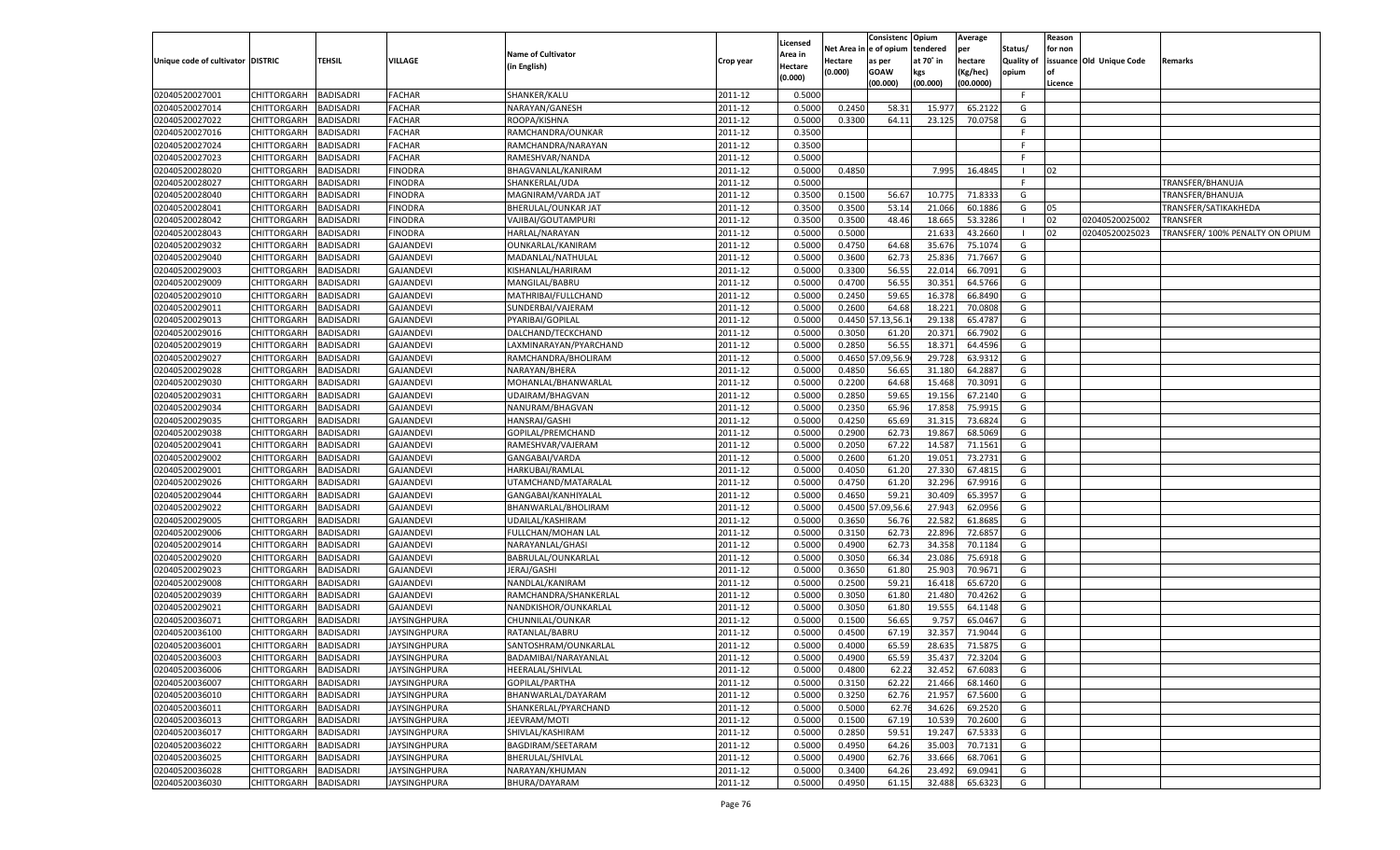|                                     |                    |                  |                     |                        |           |                     |            | Consistenc        | Opium     | Average   |                   | Reason  |                          |                                 |
|-------------------------------------|--------------------|------------------|---------------------|------------------------|-----------|---------------------|------------|-------------------|-----------|-----------|-------------------|---------|--------------------------|---------------------------------|
|                                     |                    |                  |                     | Name of Cultivator     |           | Licensed<br>Area in | Net Area i | e of opium        | tendered  | per       | Status/           | for non |                          |                                 |
| Unique code of cultivator   DISTRIC |                    | <b>TEHSIL</b>    | VILLAGE             | (in English)           | Crop year | Hectare             | Hectare    | as per            | at 70° in | hectare   | <b>Quality of</b> |         | issuance Old Unique Code | Remarks                         |
|                                     |                    |                  |                     |                        |           | (0.000)             | (0.000)    | <b>GOAW</b>       | kgs       | Kg/hec)   | opium             |         |                          |                                 |
|                                     |                    |                  |                     |                        |           |                     |            | (00.000)          | (00.000)  | (00.0000) |                   | Licence |                          |                                 |
| 02040520027001                      | CHITTORGARH        | BADISADRI        | FACHAR              | SHANKER/KALU           | 2011-12   | 0.5000              |            |                   |           |           | - F               |         |                          |                                 |
| 02040520027014                      | CHITTORGARH        | BADISADRI        | FACHAR              | NARAYAN/GANESH         | 2011-12   | 0.5000              | 0.2450     | 58.3              | 15.977    | 65.2122   | G                 |         |                          |                                 |
| 02040520027022                      | CHITTORGARH        | BADISADRI        | FACHAR              | ROOPA/KISHNA           | 2011-12   | 0.5000              | 0.3300     | 64.11             | 23.125    | 70.0758   | G                 |         |                          |                                 |
| 02040520027016                      | CHITTORGARH        | BADISADRI        | FACHAR              | RAMCHANDRA/OUNKAR      | 2011-12   | 0.3500              |            |                   |           |           | -F                |         |                          |                                 |
| 02040520027024                      | CHITTORGARH        | BADISADRI        | FACHAR              | RAMCHANDRA/NARAYAN     | 2011-12   | 0.3500              |            |                   |           |           | F.                |         |                          |                                 |
| 02040520027023                      | CHITTORGARH        | BADISADRI        | FACHAR              | RAMESHVAR/NANDA        | 2011-12   | 0.5000              |            |                   |           |           | - F               |         |                          |                                 |
| 02040520028020                      | CHITTORGARH        | BADISADRI        | FINODRA             | BHAGVANLAL/KANIRAM     | 2011-12   | 0.5000              | 0.4850     |                   | 7.995     | 16.4845   |                   | 02      |                          |                                 |
| 02040520028027                      | CHITTORGARH        | BADISADRI        | FINODRA             | SHANKERLAL/UDA         | 2011-12   | 0.5000              |            |                   |           |           | - F               |         |                          | TRANSFER/BHANUJA                |
| 02040520028040                      | CHITTORGARH        | BADISADRI        | <b>FINODRA</b>      | MAGNIRAM/VARDA JAT     | 2011-12   | 0.3500              | 0.1500     | 56.67             | 10.775    | 71.8333   | G                 |         |                          | TRANSFER/BHANUJA                |
| 02040520028041                      | CHITTORGARH        | BADISADRI        | FINODRA             | BHERULAL/OUNKAR JAT    | 2011-12   | 0.3500              | 0.3500     | 53.14             | 21.066    | 60.1886   | G                 | 05      |                          | TRANSFER/SATIKAKHEDA            |
| 02040520028042                      | CHITTORGARH        | BADISADRI        | FINODRA             | VAJIBAI/GOUTAMPURI     | 2011-12   | 0.3500              | 0.3500     | 48.46             | 18.665    | 53.3286   |                   | 02      | 02040520025002           | TRANSFER                        |
| 02040520028043                      | CHITTORGARH        | BADISADRI        | FINODRA             | HARLAL/NARAYAN         | 2011-12   | 0.5000              | 0.5000     |                   | 21.633    | 43.2660   |                   | 02      | 02040520025023           | TRANSFER/ 100% PENALTY ON OPIUM |
| 02040520029032                      | CHITTORGARH        | BADISADRI        | GAJANDEVI           | OUNKARLAL/KANIRAM      | 2011-12   | 0.5000              | 0.4750     | 64.68             | 35.676    | 75.1074   | G                 |         |                          |                                 |
| 02040520029040                      | CHITTORGARH        | BADISADRI        | GAJANDEVI           | MADANLAL/NATHULAL      | 2011-12   | 0.5000              | 0.3600     | 62.73             | 25.836    | 71.7667   | G                 |         |                          |                                 |
| 02040520029003                      | CHITTORGARH        | BADISADRI        | GAJANDEVI           | KISHANLAL/HARIRAM      | 2011-12   | 0.5000              | 0.3300     | 56.55             | 22.014    | 66.7091   | G                 |         |                          |                                 |
| 02040520029009                      | CHITTORGARH        | BADISADRI        | GAJANDEVI           | MANGILAL/BABRU         | 2011-12   | 0.5000              | 0.4700     | 56.55             | 30.351    | 64.5766   | G                 |         |                          |                                 |
| 02040520029010                      | CHITTORGARH        | BADISADRI        | GAJANDEVI           | MATHRIBAI/FULLCHAND    | 2011-12   | 0.5000              | 0.2450     | 59.65             | 16.378    | 66.8490   | G                 |         |                          |                                 |
| 02040520029011                      | CHITTORGARH        | BADISADRI        | GAJANDEVI           | SUNDERBAI/VAJERAM      | 2011-12   | 0.5000              | 0.2600     | 64.68             | 18.22     | 70.0808   | G                 |         |                          |                                 |
| 02040520029013                      | CHITTORGARH        | BADISADRI        | GAJANDEVI           | PYARIBAI/GOPILAL       | 2011-12   | 0.5000              |            | 0.4450 57.13,56.1 | 29.138    | 65.4787   | G                 |         |                          |                                 |
| 02040520029016                      | CHITTORGARH        | BADISADRI        | GAJANDEVI           | DALCHAND/TECKCHAND     | 2011-12   | 0.5000              | 0.3050     | 61.20             | 20.371    | 66.7902   | G                 |         |                          |                                 |
| 02040520029019                      | CHITTORGARH        | <b>BADISADRI</b> | GAJANDEVI           | LAXMINARAYAN/PYARCHAND | 2011-12   | 0.5000              | 0.2850     | 56.55             | 18.371    | 64.4596   | G                 |         |                          |                                 |
| 02040520029027                      | CHITTORGARH        | BADISADRI        | GAJANDEVI           | RAMCHANDRA/BHOLIRAM    | 2011-12   | 0.5000              |            | 0.4650 57.09,56.  | 29.728    | 63.9312   | G                 |         |                          |                                 |
| 02040520029028                      | CHITTORGARH        | BADISADRI        | GAJANDEVI           | NARAYAN/BHERA          | 2011-12   | 0.5000              | 0.4850     | 56.65             | 31.180    | 64.2887   | G                 |         |                          |                                 |
| 02040520029030                      | CHITTORGARH        | BADISADRI        | GAJANDEVI           | MOHANLAL/BHANWARLAL    | 2011-12   | 0.5000              | 0.2200     | 64.68             | 15.468    | 70.3091   | G                 |         |                          |                                 |
| 02040520029031                      | CHITTORGARH        | BADISADRI        | <b>GAJANDEVI</b>    | UDAIRAM/BHAGVAN        | 2011-12   | 0.5000              | 0.2850     | 59.65             | 19.156    | 67.2140   | G                 |         |                          |                                 |
| 02040520029034                      | CHITTORGARH        | BADISADRI        | <b>GAJANDEVI</b>    | NANURAM/BHAGVAN        | 2011-12   | 0.5000              | 0.2350     | 65.96             | 17.858    | 75.9915   | G                 |         |                          |                                 |
| 02040520029035                      | CHITTORGARH        | BADISADRI        | <b>GAJANDEVI</b>    | HANSRAJ/GASHI          | 2011-12   | 0.5000              | 0.4250     | 65.69             | 31.315    | 73.6824   | G                 |         |                          |                                 |
| 02040520029038                      | CHITTORGARH        | BADISADRI        | <b>GAJANDEVI</b>    | GOPILAL/PREMCHAND      | 2011-12   | 0.5000              | 0.2900     | 62.73             | 19.867    | 68.5069   | G                 |         |                          |                                 |
| 02040520029041                      | CHITTORGARH        | BADISADRI        | <b>GAJANDEVI</b>    | RAMESHVAR/VAJERAM      | 2011-12   | 0.5000              | 0.2050     | 67.22             | 14.587    | 71.1561   | G                 |         |                          |                                 |
| 02040520029002                      | CHITTORGARH        | BADISADRI        | <b>GAJANDEVI</b>    | GANGABAI/VARDA         | 2011-12   | 0.5000              | 0.2600     | 61.20             | 19.051    | 73.2731   | G                 |         |                          |                                 |
| 02040520029001                      | CHITTORGARH        | BADISADRI        | <b>GAJANDEVI</b>    | HARKUBAI/RAMLAL        | 2011-12   | 0.5000              | 0.4050     | 61.20             | 27.330    | 67.4815   | G                 |         |                          |                                 |
| 02040520029026                      | CHITTORGARH        | BADISADRI        | <b>GAJANDEVI</b>    | UTAMCHAND/MATARALAL    | 2011-12   | 0.5000              | 0.4750     | 61.20             | 32.296    | 67.9916   | G                 |         |                          |                                 |
| 02040520029044                      | CHITTORGARH        | BADISADRI        | <b>GAJANDEVI</b>    | GANGABAI/KANHIYALAL    | 2011-12   | 0.5000              | 0.4650     | 59.21             | 30.409    | 65.3957   | G                 |         |                          |                                 |
| 02040520029022                      | CHITTORGARH        | BADISADRI        | <b>GAJANDEVI</b>    | BHANWARLAL/BHOLIRAM    | 2011-12   | 0.5000              | 0.4500     | 57.09,56.6        | 27.943    | 62.0956   | G                 |         |                          |                                 |
| 02040520029005                      | CHITTORGARH        | BADISADRI        | <b>GAJANDEVI</b>    | UDAILAL/KASHIRAM       | 2011-12   | 0.5000              | 0.3650     | 56.76             | 22.582    | 61.8685   | G                 |         |                          |                                 |
| 02040520029006                      | CHITTORGARH        | BADISADRI        | <b>GAJANDEVI</b>    | FULLCHAN/MOHAN LAL     | 2011-12   | 0.5000              | 0.3150     | 62.73             | 22.896    | 72.6857   | G                 |         |                          |                                 |
| 02040520029014                      |                    | BADISADRI        |                     |                        | 2011-12   | 0.5000              | 0.4900     | 62.73             | 34.358    | 70.1184   | G                 |         |                          |                                 |
|                                     | CHITTORGARH        |                  | <b>GAJANDEVI</b>    | NARAYANLAL/GHASI       |           |                     |            |                   |           |           |                   |         |                          |                                 |
| 02040520029020<br>02040520029023    | CHITTORGARH        | BADISADRI        | <b>GAJANDEVI</b>    | BABRULAL/OUNKARLAL     | 2011-12   | 0.5000              | 0.3050     | 66.34             | 23.086    | 75.6918   | G                 |         |                          |                                 |
|                                     | CHITTORGARH        | BADISADRI        | <b>GAJANDEVI</b>    | JERAJ/GASHI            | 2011-12   | 0.5000              | 0.3650     | 61.80             | 25.903    | 70.9671   | G                 |         |                          |                                 |
| 02040520029008                      | CHITTORGARH        | BADISADRI        | <b>GAJANDEVI</b>    | NANDLAL/KANIRAM        | 2011-12   | 0.5000              | 0.2500     | 59.21             | 16.418    | 65.6720   | G                 |         |                          |                                 |
| 02040520029039                      | CHITTORGARH        | BADISADRI        | <b>GAJANDEVI</b>    | RAMCHANDRA/SHANKERLAL  | 2011-12   | 0.5000              | 0.3050     | 61.80             | 21.480    | 70.4262   | G                 |         |                          |                                 |
| 02040520029021                      | CHITTORGARH        | BADISADRI        | <b>GAJANDEVI</b>    | NANDKISHOR/OUNKARLAL   | 2011-12   | 0.5000              | 0.3050     | 61.80             | 19.555    | 64.1148   | G                 |         |                          |                                 |
| 02040520036071                      | CHITTORGARH        | BADISADRI        | JAYSINGHPURA        | CHUNNILAL/OUNKAR       | 2011-12   | 0.5000              | 0.1500     | 56.65             | 9.757     | 65.0467   | G                 |         |                          |                                 |
| 02040520036100                      | CHITTORGARH        | BADISADRI        | <b>JAYSINGHPURA</b> | RATANLAL/BABRU         | 2011-12   | 0.5000              | 0.4500     | 67.19             | 32.357    | 71.9044   | G                 |         |                          |                                 |
| 02040520036001                      | CHITTORGARH        | BADISADRI        | <b>JAYSINGHPURA</b> | SANTOSHRAM/OUNKARLAL   | 2011-12   | 0.5000              | 0.4000     | 65.59             | 28.635    | 71.5875   | G                 |         |                          |                                 |
| 02040520036003                      | CHITTORGARH        | <b>BADISADRI</b> | <b>JAYSINGHPURA</b> | BADAMIBAI/NARAYANLAL   | 2011-12   | 0.5000              | 0.4900     | 65.59             | 35.437    | 72.3204   | G                 |         |                          |                                 |
| 02040520036006                      | CHITTORGARH        | <b>BADISADRI</b> | <b>JAYSINGHPURA</b> | HEERALAL/SHIVLAL       | 2011-12   | 0.5000              | 0.4800     | 62.2              | 32.452    | 67.6083   | G                 |         |                          |                                 |
| 02040520036007                      | <b>CHITTORGARH</b> | <b>BADISADRI</b> | <b>JAYSINGHPURA</b> | GOPILAL/PARTHA         | 2011-12   | 0.5000              | 0.3150     | 62.22             | 21.466    | 68.1460   | G                 |         |                          |                                 |
| 02040520036010                      | <b>CHITTORGARH</b> | <b>BADISADRI</b> | <b>JAYSINGHPURA</b> | BHANWARLAL/DAYARAM     | 2011-12   | 0.5000              | 0.3250     | 62.76             | 21.957    | 67.5600   | G                 |         |                          |                                 |
| 02040520036011                      | <b>CHITTORGARH</b> | <b>BADISADRI</b> | <b>JAYSINGHPURA</b> | SHANKERLAL/PYARCHAND   | 2011-12   | 0.5000              | 0.5000     | 62.7              | 34.626    | 69.2520   | G                 |         |                          |                                 |
| 02040520036013                      | <b>CHITTORGARH</b> | <b>BADISADRI</b> | <b>JAYSINGHPURA</b> | JEEVRAM/MOTI           | 2011-12   | 0.5000              | 0.1500     | 67.19             | 10.539    | 70.2600   | G                 |         |                          |                                 |
| 02040520036017                      | <b>CHITTORGARH</b> | <b>BADISADRI</b> | <b>JAYSINGHPURA</b> | SHIVLAL/KASHIRAM       | 2011-12   | 0.5000              | 0.2850     | 59.51             | 19.247    | 67.5333   | G                 |         |                          |                                 |
| 02040520036022                      | <b>CHITTORGARH</b> | <b>BADISADRI</b> | <b>JAYSINGHPURA</b> | BAGDIRAM/SEETARAM      | 2011-12   | 0.5000              | 0.4950     | 64.26             | 35.003    | 70.7131   | G                 |         |                          |                                 |
| 02040520036025                      | CHITTORGARH        | BADISADRI        | <b>JAYSINGHPURA</b> | BHERULAL/SHIVLAL       | 2011-12   | 0.5000              | 0.4900     | 62.76             | 33.666    | 68.7061   | G                 |         |                          |                                 |
| 02040520036028                      | <b>CHITTORGARH</b> | <b>BADISADRI</b> | <b>JAYSINGHPURA</b> | NARAYAN/KHUMAN         | 2011-12   | 0.5000              | 0.3400     | 64.26             | 23.492    | 69.0941   | G                 |         |                          |                                 |
| 02040520036030                      | <b>CHITTORGARH</b> | <b>BADISADRI</b> | <b>JAYSINGHPURA</b> | BHURA/DAYARAM          | 2011-12   | 0.5000              | 0.4950     | 61.15             | 32.488    | 65.6323   | G                 |         |                          |                                 |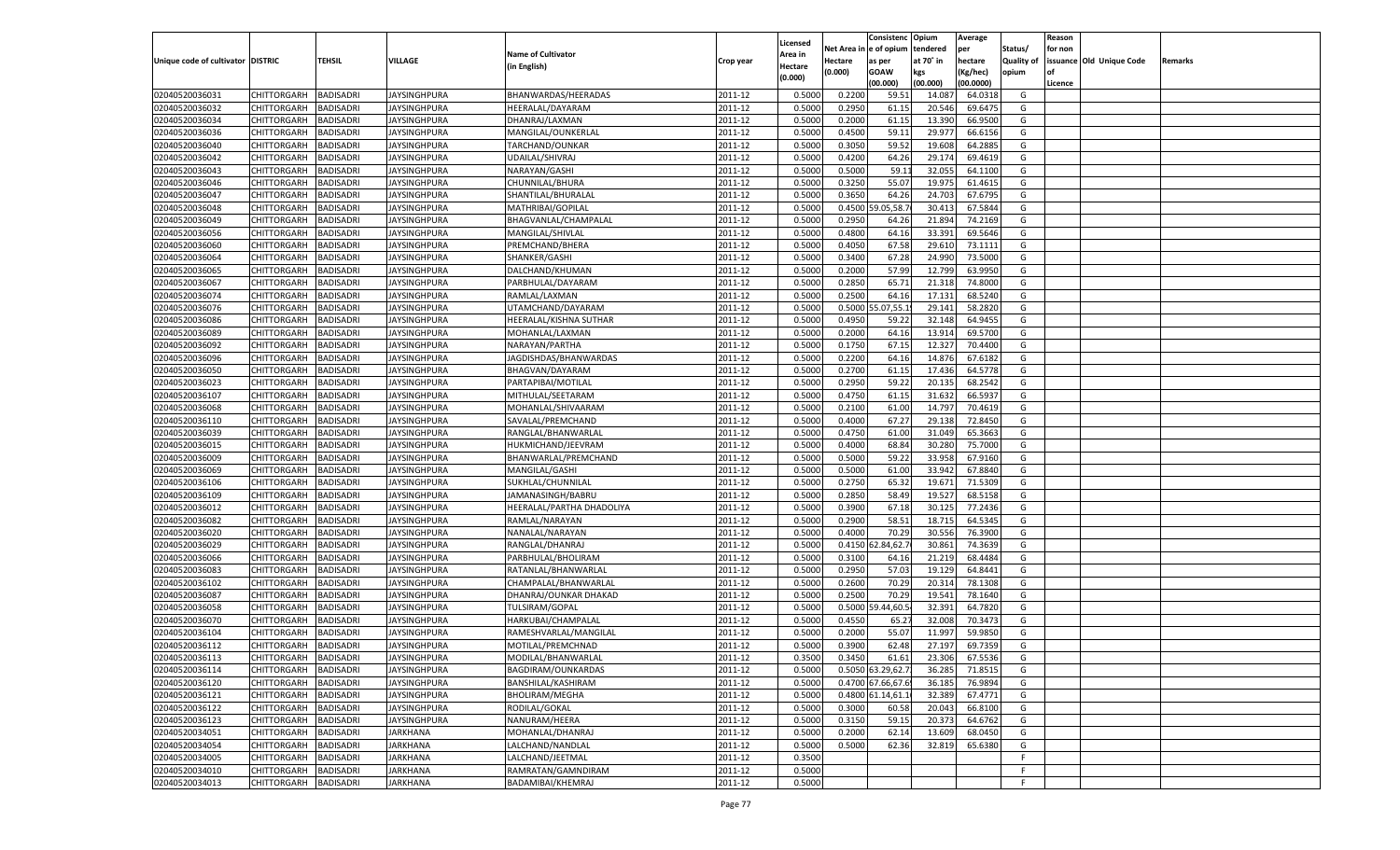|                                   |                    |                  |                     |                           |           |          |            | Consistenc Opium  |           | Average   |                   | Reason    |                          |         |
|-----------------------------------|--------------------|------------------|---------------------|---------------------------|-----------|----------|------------|-------------------|-----------|-----------|-------------------|-----------|--------------------------|---------|
|                                   |                    |                  |                     |                           |           | Licensed | Net Area i | l e of opium      | tendered  | per       | Status/           | for non   |                          |         |
| Unique code of cultivator DISTRIC |                    | TEHSIL           | VILLAGE             | <b>Name of Cultivator</b> | Crop year | Area in  | Hectare    | as per            | at 70° in | hectare   | <b>Quality of</b> |           | issuance Old Unique Code | Remarks |
|                                   |                    |                  |                     | (in English)              |           | Hectare  | (0.000)    | <b>GOAW</b>       | kgs       | (Kg/hec)  | opium             | <b>of</b> |                          |         |
|                                   |                    |                  |                     |                           |           | (0.000)  |            | (00.000)          | (00.000)  | (00.0000) |                   | Licence   |                          |         |
| 02040520036031                    | CHITTORGARH        | <b>BADISADRI</b> | JAYSINGHPURA        | BHANWARDAS/HEERADAS       | 2011-12   | 0.5000   | 0.2200     | 59.51             | 14.08     | 64.0318   | G                 |           |                          |         |
| 02040520036032                    | CHITTORGARH        | BADISADRI        | JAYSINGHPURA        | HEERALAL/DAYARAM          | 2011-12   | 0.5000   | 0.2950     | 61.15             | 20.546    | 69.6475   | G                 |           |                          |         |
| 02040520036034                    |                    | <b>BADISADRI</b> |                     |                           | 2011-12   | 0.5000   | 0.2000     | 61.15             | 13.390    | 66.9500   | G                 |           |                          |         |
|                                   | CHITTORGARH        |                  | JAYSINGHPURA        | DHANRAJ/LAXMAN            |           |          |            |                   |           |           |                   |           |                          |         |
| 02040520036036                    | CHITTORGARH        | <b>BADISADRI</b> | JAYSINGHPURA        | MANGILAL/OUNKERLAL        | 2011-12   | 0.5000   | 0.4500     | 59.11             | 29.977    | 66.6156   | G                 |           |                          |         |
| 02040520036040                    | CHITTORGARH        | <b>BADISADRI</b> | JAYSINGHPURA        | TARCHAND/OUNKAR           | 2011-12   | 0.5000   | 0.3050     | 59.52             | 19.608    | 64.2885   | G                 |           |                          |         |
| 02040520036042                    | CHITTORGARH        | BADISADRI        | JAYSINGHPURA        | UDAILAL/SHIVRAJ           | 2011-12   | 0.5000   | 0.4200     | 64.26             | 29.17     | 69.4619   | G                 |           |                          |         |
| 02040520036043                    | CHITTORGARH        | <b>BADISADRI</b> | JAYSINGHPURA        | NARAYAN/GASHI             | 2011-12   | 0.5000   | 0.5000     | 59.1              | 32.055    | 64.1100   | G                 |           |                          |         |
| 02040520036046                    | CHITTORGARH        | <b>BADISADRI</b> | <b>JAYSINGHPURA</b> | CHUNNILAL/BHURA           | 2011-12   | 0.5000   | 0.3250     | 55.07             | 19.975    | 61.4615   | G                 |           |                          |         |
| 02040520036047                    | CHITTORGARH        | <b>BADISADRI</b> | JAYSINGHPURA        | SHANTILAL/BHURALAL        | 2011-12   | 0.5000   | 0.3650     | 64.26             | 24.703    | 67.6795   | G                 |           |                          |         |
| 02040520036048                    | CHITTORGARH        | BADISADRI        | <b>JAYSINGHPURA</b> | MATHRIBAI/GOPILAL         | 2011-12   | 0.5000   | 0.4500     | 9.05,58.          | 30.413    | 67.5844   | G                 |           |                          |         |
| 02040520036049                    | CHITTORGARH        | <b>BADISADRI</b> | JAYSINGHPURA        | BHAGVANLAL/CHAMPALAL      | 2011-12   | 0.5000   | 0.2950     | 64.26             | 21.894    | 74.2169   | G                 |           |                          |         |
| 02040520036056                    | CHITTORGARH        | <b>BADISADRI</b> | <b>JAYSINGHPURA</b> | MANGILAL/SHIVLAL          | 2011-12   | 0.5000   | 0.4800     | 64.16             | 33.391    | 69.5646   | G                 |           |                          |         |
| 02040520036060                    | CHITTORGARH        | <b>BADISADRI</b> | JAYSINGHPURA        | PREMCHAND/BHERA           | 2011-12   | 0.5000   | 0.4050     | 67.58             | 29.610    | 73.1111   | G                 |           |                          |         |
| 02040520036064                    | CHITTORGARH        | <b>BADISADRI</b> | JAYSINGHPURA        | SHANKER/GASHI             | 2011-12   | 0.5000   | 0.3400     | 67.28             | 24.990    | 73.5000   | G                 |           |                          |         |
| 02040520036065                    | CHITTORGARH        | <b>BADISADRI</b> | JAYSINGHPURA        | DALCHAND/KHUMAN           | 2011-12   | 0.5000   | 0.2000     | 57.99             | 12.799    | 63.9950   | G                 |           |                          |         |
| 02040520036067                    | CHITTORGARH        | <b>BADISADRI</b> | JAYSINGHPURA        | PARBHULAL/DAYARAM         | 2011-12   | 0.5000   | 0.2850     | 65.71             | 21.318    | 74.8000   | G                 |           |                          |         |
|                                   |                    |                  |                     |                           |           |          |            |                   |           |           |                   |           |                          |         |
| 02040520036074                    | CHITTORGARH        | <b>BADISADRI</b> | JAYSINGHPURA        | RAMLAL/LAXMAN             | 2011-12   | 0.5000   | 0.2500     | 64.16             | 17.131    | 68.5240   | G                 |           |                          |         |
| 02040520036076                    | CHITTORGARH        | <b>BADISADRI</b> | JAYSINGHPURA        | UTAMCHAND/DAYARAM         | 2011-12   | 0.5000   | 0.5000     | .07,55.           | 29.141    | 58.2820   | G                 |           |                          |         |
| 02040520036086                    | CHITTORGARH        | <b>BADISADRI</b> | JAYSINGHPURA        | HEERALAL/KISHNA SUTHAR    | 2011-12   | 0.5000   | 0.4950     | 59.22             | 32.148    | 64.9455   | G                 |           |                          |         |
| 02040520036089                    | CHITTORGARH        | <b>BADISADRI</b> | JAYSINGHPURA        | MOHANLAL/LAXMAN           | 2011-12   | 0.5000   | 0.2000     | 64.16             | 13.914    | 69.5700   | G                 |           |                          |         |
| 02040520036092                    | CHITTORGARH        | <b>BADISADRI</b> | JAYSINGHPURA        | NARAYAN/PARTHA            | 2011-12   | 0.5000   | 0.1750     | 67.15             | 12.327    | 70.4400   | G                 |           |                          |         |
| 02040520036096                    | CHITTORGARH        | <b>BADISADRI</b> | JAYSINGHPURA        | JAGDISHDAS/BHANWARDAS     | 2011-12   | 0.5000   | 0.2200     | 64.16             | 14.876    | 67.6182   | G                 |           |                          |         |
| 02040520036050                    | CHITTORGARH        | <b>BADISADRI</b> | <b>JAYSINGHPURA</b> | BHAGVAN/DAYARAM           | 2011-12   | 0.5000   | 0.2700     | 61.15             | 17.436    | 64.5778   | G                 |           |                          |         |
| 02040520036023                    | CHITTORGARH        | <b>BADISADRI</b> | JAYSINGHPURA        | PARTAPIBAI/MOTILAL        | 2011-12   | 0.5000   | 0.2950     | 59.22             | 20.135    | 68.2542   | G                 |           |                          |         |
| 02040520036107                    | CHITTORGARH        | <b>BADISADRI</b> | JAYSINGHPURA        | MITHULAL/SEETARAM         | 2011-12   | 0.5000   | 0.4750     | 61.15             | 31.632    | 66.5937   | G                 |           |                          |         |
| 02040520036068                    | CHITTORGARH        | <b>BADISADRI</b> | JAYSINGHPURA        | MOHANLAL/SHIVAARAM        | 2011-12   | 0.5000   | 0.2100     | 61.00             | 14.797    | 70.4619   | G                 |           |                          |         |
| 02040520036110                    | CHITTORGARH        | <b>BADISADRI</b> | <b>JAYSINGHPURA</b> | SAVALAL/PREMCHAND         | 2011-12   | 0.5000   | 0.4000     | 67.27             | 29.138    | 72.8450   | G                 |           |                          |         |
| 02040520036039                    | CHITTORGARH        | <b>BADISADRI</b> | <b>JAYSINGHPURA</b> | RANGLAL/BHANWARLAL        | 2011-12   | 0.5000   | 0.4750     | 61.00             | 31.049    | 65.3663   | G                 |           |                          |         |
| 02040520036015                    | CHITTORGARH        | <b>BADISADRI</b> | JAYSINGHPURA        | HUKMICHAND/JEEVRAM        | 2011-12   | 0.5000   | 0.4000     | 68.84             | 30.280    | 75.7000   | G                 |           |                          |         |
| 02040520036009                    | CHITTORGARH        | <b>BADISADRI</b> | JAYSINGHPURA        | BHANWARLAL/PREMCHAND      | 2011-12   | 0.5000   | 0.5000     | 59.22             | 33.958    | 67.9160   | G                 |           |                          |         |
|                                   |                    |                  |                     |                           |           |          |            |                   |           |           |                   |           |                          |         |
| 02040520036069                    | CHITTORGARH        | <b>BADISADRI</b> | JAYSINGHPURA        | MANGILAL/GASHI            | 2011-12   | 0.5000   | 0.5000     | 61.00             | 33.942    | 67.8840   | G                 |           |                          |         |
| 02040520036106                    | CHITTORGARH        | BADISADRI        | JAYSINGHPURA        | SUKHLAL/CHUNNILAL         | 2011-12   | 0.5000   | 0.2750     | 65.32             | 19.671    | 71.5309   | G                 |           |                          |         |
| 02040520036109                    | CHITTORGARH        | <b>BADISADRI</b> | JAYSINGHPURA        | JAMANASINGH/BABRU         | 2011-12   | 0.5000   | 0.2850     | 58.49             | 19.52     | 68.5158   | G                 |           |                          |         |
| 02040520036012                    | CHITTORGARH        | <b>BADISADRI</b> | JAYSINGHPURA        | HEERALAL/PARTHA DHADOLIYA | 2011-12   | 0.5000   | 0.3900     | 67.18             | 30.125    | 77.2436   | G                 |           |                          |         |
| 02040520036082                    | CHITTORGARH        | <b>BADISADRI</b> | JAYSINGHPURA        | RAMLAL/NARAYAN            | 2011-12   | 0.5000   | 0.2900     | 58.51             | 18.715    | 64.5345   | G                 |           |                          |         |
| 02040520036020                    | CHITTORGARH        | <b>BADISADRI</b> | JAYSINGHPURA        | NANALAL/NARAYAN           | 2011-12   | 0.5000   | 0.4000     | 70.29             | 30.556    | 76.3900   | G                 |           |                          |         |
| 02040520036029                    | CHITTORGARH        | <b>BADISADRI</b> | JAYSINGHPURA        | RANGLAL/DHANRAJ           | 2011-12   | 0.5000   | 0.4150     | .84,62.           | 30.861    | 74.3639   | G                 |           |                          |         |
| 02040520036066                    | CHITTORGARH        | <b>BADISADRI</b> | JAYSINGHPURA        | PARBHULAL/BHOLIRAM        | 2011-12   | 0.5000   | 0.3100     | 64.16             | 21.219    | 68.4484   | G                 |           |                          |         |
| 02040520036083                    | CHITTORGARH        | BADISADRI        | JAYSINGHPURA        | RATANLAL/BHANWARLAL       | 2011-12   | 0.5000   | 0.2950     | 57.03             | 19.129    | 64.8441   | G                 |           |                          |         |
| 02040520036102                    | CHITTORGARH        | BADISADRI        | JAYSINGHPURA        | CHAMPALAL/BHANWARLAL      | 2011-12   | 0.5000   | 0.2600     | 70.29             | 20.31     | 78.1308   | G                 |           |                          |         |
| 02040520036087                    | CHITTORGARH        | <b>BADISADRI</b> | JAYSINGHPURA        | DHANRAJ/OUNKAR DHAKAD     | 2011-12   | 0.5000   | 0.2500     | 70.29             | 19.541    | 78.1640   | G                 |           |                          |         |
| 02040520036058                    | CHITTORGARH        | <b>BADISADRI</b> | JAYSINGHPURA        | <b>TULSIRAM/GOPAL</b>     | 2011-12   | 0.5000   | 0.5000     | .44,60.           | 32.391    | 64.7820   | G                 |           |                          |         |
| 02040520036070                    | CHITTORGARH        | BADISADRI        | JAYSINGHPURA        | HARKUBAI/CHAMPALAI        | 2011-12   | 0.5000   | 0.4550     | 65.2              | 32.008    | 70.3473   | G                 |           |                          |         |
| 02040520036104                    | CHITTORGARH        | BADISADRI        | <b>JAYSINGHPURA</b> | RAMESHVARLAL/MANGILAL     | 2011-12   | 0.5000   | 0.2000     | 55.07             | 11.997    | 59.9850   | G                 |           |                          |         |
| 02040520036112                    | CHITTORGARH        | <b>BADISADRI</b> | JAYSINGHPURA        | MOTILAL/PREMCHNAD         | 2011-12   | 0.5000   | 0.3900     | 62.48             | 27.197    | 69.7359   | G                 |           |                          |         |
| 02040520036113                    | CHITTORGARH        | BADISADRI        | <b>JAYSINGHPURA</b> | MODILAL/BHANWARLAL        | 2011-12   | 0.3500   | 0.3450     | 61.61             | 23.306    | 67.5536   | G                 |           |                          |         |
| 02040520036114                    | CHITTORGARH        | <b>BADISADRI</b> | <b>JAYSINGHPURA</b> | BAGDIRAM/OUNKARDAS        | 2011-12   | 0.5000   |            | 0.5050 63.29,62.7 | 36.285    | 71.8515   | G                 |           |                          |         |
|                                   |                    |                  |                     |                           |           |          |            |                   |           |           |                   |           |                          |         |
| 02040520036120                    | CHITTORGARH        | <b>BADISADRI</b> | <b>JAYSINGHPURA</b> | BANSHILAL/KASHIRAM        | 2011-12   | 0.5000   |            | 0.4700 67.66,67.6 | 36.185    | 76.9894   | G                 |           |                          |         |
| 02040520036121                    | CHITTORGARH        | <b>BADISADRI</b> | <b>JAYSINGHPURA</b> | <b>BHOLIRAM/MEGHA</b>     | 2011-12   | 0.5000   |            | 0.4800 61.14,61.  | 32.389    | 67.4771   | G                 |           |                          |         |
| 02040520036122                    | CHITTORGARH        | <b>BADISADRI</b> | <b>JAYSINGHPURA</b> | RODILAL/GOKAL             | 2011-12   | 0.5000   | 0.3000     | 60.58             | 20.043    | 66.8100   | G                 |           |                          |         |
| 02040520036123                    | CHITTORGARH        | <b>BADISADRI</b> | <b>JAYSINGHPURA</b> | NANURAM/HEERA             | 2011-12   | 0.5000   | 0.3150     | 59.15             | 20.373    | 64.6762   | G                 |           |                          |         |
| 02040520034051                    | CHITTORGARH        | <b>BADISADRI</b> | <b>JARKHANA</b>     | MOHANLAL/DHANRAJ          | 2011-12   | 0.5000   | 0.2000     | 62.14             | 13.609    | 68.0450   | G                 |           |                          |         |
| 02040520034054                    | CHITTORGARH        | <b>BADISADRI</b> | <b>JARKHANA</b>     | LALCHAND/NANDLAL          | 2011-12   | 0.5000   | 0.5000     | 62.36             | 32.819    | 65.6380   | G                 |           |                          |         |
| 02040520034005                    | CHITTORGARH        | <b>BADISADRI</b> | JARKHANA            | LALCHAND/JEETMAL          | 2011-12   | 0.3500   |            |                   |           |           | E                 |           |                          |         |
| 02040520034010                    | <b>CHITTORGARH</b> | <b>BADISADRI</b> | <b>JARKHANA</b>     | RAMRATAN/GAMNDIRAM        | 2011-12   | 0.5000   |            |                   |           |           | E                 |           |                          |         |
| 02040520034013                    | <b>CHITTORGARH</b> | <b>BADISADRI</b> | <b>JARKHANA</b>     | BADAMIBAI/KHEMRAJ         | 2011-12   | 0.5000   |            |                   |           |           | F.                |           |                          |         |
|                                   |                    |                  |                     |                           |           |          |            |                   |           |           |                   |           |                          |         |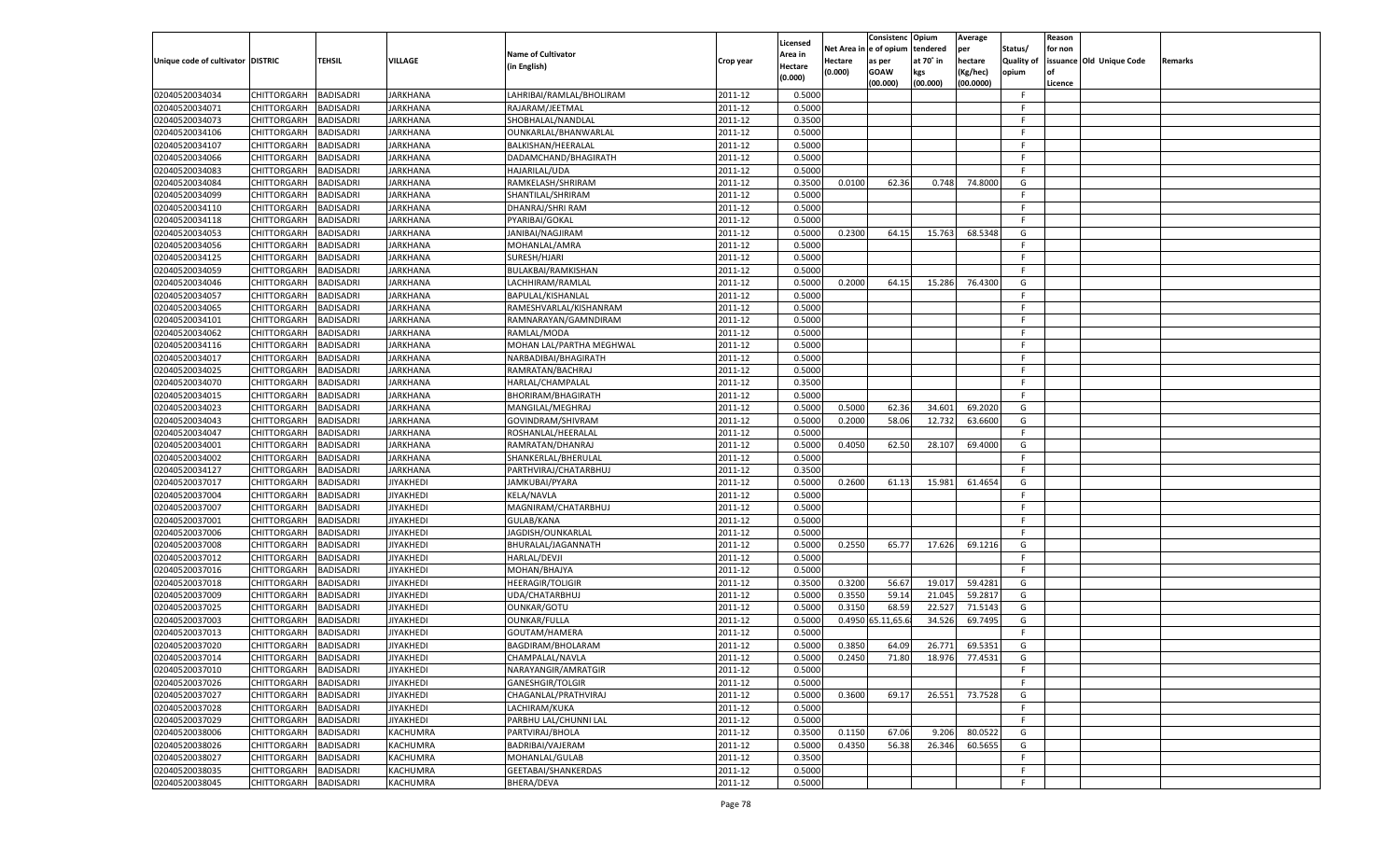|                                   |                       |                  |                  |                           |           |                    |         | Consistenc Opium       |           | Average        |                   | Reason  |                          |                |
|-----------------------------------|-----------------------|------------------|------------------|---------------------------|-----------|--------------------|---------|------------------------|-----------|----------------|-------------------|---------|--------------------------|----------------|
|                                   |                       |                  |                  | <b>Name of Cultivator</b> |           | Licensed           |         | Net Area in e of opium | tendered  | per            | Status/           | for non |                          |                |
| Unique code of cultivator DISTRIC |                       | TEHSIL           | VILLAGE          |                           | Crop year | Area in            | Hectare | as per                 | at 70° in | hectare        | <b>Quality of</b> |         | issuance Old Unique Code | <b>Remarks</b> |
|                                   |                       |                  |                  | (in English)              |           | Hectare<br>(0.000) | (0.000) | <b>GOAW</b>            | kgs       | (Kg/hec)       | opium             |         |                          |                |
|                                   |                       |                  |                  |                           |           |                    |         | (00.000)               | (00.000)  | (00.0000)      |                   | Licence |                          |                |
| 02040520034034                    | CHITTORGARH           | <b>BADISADRI</b> | <b>JARKHANA</b>  | LAHRIBAI/RAMLAL/BHOLIRAM  | 2011-12   | 0.5000             |         |                        |           |                | -F.               |         |                          |                |
| 02040520034071                    | CHITTORGARH           | <b>BADISADRI</b> | <b>JARKHANA</b>  | RAJARAM/JEETMAL           | 2011-12   | 0.5000             |         |                        |           |                | F                 |         |                          |                |
| 02040520034073                    | CHITTORGARH           | <b>BADISADRI</b> | <b>JARKHANA</b>  | SHOBHALAL/NANDLAL         | 2011-12   | 0.3500             |         |                        |           |                | F.                |         |                          |                |
| 02040520034106                    | CHITTORGARH           | <b>BADISADRI</b> | <b>JARKHANA</b>  | OUNKARLAL/BHANWARLAL      | 2011-12   | 0.5000             |         |                        |           |                | F.                |         |                          |                |
| 02040520034107                    | CHITTORGARH           | <b>BADISADRI</b> | JARKHANA         | BALKISHAN/HEERALAL        | 2011-12   | 0.5000             |         |                        |           |                | F.                |         |                          |                |
| 02040520034066                    | CHITTORGARH           | <b>BADISADRI</b> | JARKHANA         | DADAMCHAND/BHAGIRATH      | 2011-12   | 0.5000             |         |                        |           |                | -F                |         |                          |                |
| 02040520034083                    | CHITTORGARH           | <b>BADISADRI</b> | <b>JARKHANA</b>  | HAJARILAL/UDA             | 2011-12   | 0.5000             |         |                        |           |                | F.                |         |                          |                |
| 02040520034084                    | CHITTORGARH           | <b>BADISADRI</b> | <b>JARKHANA</b>  | RAMKELASH/SHRIRAM         | 2011-12   | 0.3500             | 0.0100  | 62.36                  | 0.748     | 74.8000        | G                 |         |                          |                |
| 02040520034099                    | CHITTORGARH           | <b>BADISADRI</b> | JARKHANA         | SHANTILAL/SHRIRAM         | 2011-12   | 0.5000             |         |                        |           |                | F.                |         |                          |                |
| 02040520034110                    | CHITTORGARH           | <b>BADISADRI</b> | JARKHANA         | DHANRAJ/SHRI RAM          | 2011-12   | 0.5000             |         |                        |           |                | -F                |         |                          |                |
| 02040520034118                    | CHITTORGARH           | <b>BADISADRI</b> | <b>JARKHANA</b>  | PYARIBAI/GOKAL            | 2011-12   | 0.5000             |         |                        |           |                | F.                |         |                          |                |
| 02040520034053                    | CHITTORGARH           | <b>BADISADRI</b> | <b>JARKHANA</b>  | JANIBAI/NAGJIRAM          | 2011-12   | 0.5000             | 0.2300  | 64.15                  | 15.763    | 68.5348        | G                 |         |                          |                |
| 02040520034056                    | CHITTORGARH           | <b>BADISADRI</b> | JARKHANA         | MOHANLAL/AMRA             | 2011-12   | 0.5000             |         |                        |           |                | F.                |         |                          |                |
| 02040520034125                    | CHITTORGARH           | BADISADRI        | JARKHANA         | SURESH/HJARI              | 2011-12   | 0.5000             |         |                        |           |                | F.                |         |                          |                |
| 02040520034059                    | CHITTORGARH           | BADISADRI        | JARKHANA         | BULAKBAI/RAMKISHAN        | 2011-12   | 0.5000             |         |                        |           |                | F.                |         |                          |                |
|                                   |                       |                  |                  |                           |           | 0.5000             | 0.2000  | 64.15                  | 15.286    | 76.4300        | G                 |         |                          |                |
| 02040520034046                    | CHITTORGARH           | BADISADRI        | JARKHANA         | LACHHIRAM/RAMLAL          | 2011-12   |                    |         |                        |           |                |                   |         |                          |                |
| 02040520034057                    | CHITTORGARH           | BADISADRI        | JARKHANA         | BAPULAL/KISHANLAL         | 2011-12   | 0.5000             |         |                        |           |                | F.                |         |                          |                |
| 02040520034065                    | CHITTORGARH           | BADISADRI        | JARKHANA         | RAMESHVARLAL/KISHANRAM    | 2011-12   | 0.5000             |         |                        |           |                | E                 |         |                          |                |
| 02040520034101                    | CHITTORGARH           | BADISADRI        | JARKHANA         | RAMNARAYAN/GAMNDIRAM      | 2011-12   | 0.5000             |         |                        |           |                | F.                |         |                          |                |
| 02040520034062                    | CHITTORGARH           | BADISADRI        | JARKHANA         | RAMLAL/MODA               | 2011-12   | 0.5000             |         |                        |           |                | -F.               |         |                          |                |
| 02040520034116                    | CHITTORGARH           | BADISADRI        | JARKHANA         | MOHAN LAL/PARTHA MEGHWAL  | 2011-12   | 0.5000             |         |                        |           |                | F.                |         |                          |                |
| 02040520034017                    | CHITTORGARH           | BADISADRI        | JARKHANA         | NARBADIBAI/BHAGIRATH      | 2011-12   | 0.5000             |         |                        |           |                | E                 |         |                          |                |
| 02040520034025                    | CHITTORGARH           | BADISADRI        | JARKHANA         | RAMRATAN/BACHRAJ          | 2011-12   | 0.5000             |         |                        |           |                | F.                |         |                          |                |
| 02040520034070                    | CHITTORGARH           | BADISADRI        | JARKHANA         | HARLAL/CHAMPALAL          | 2011-12   | 0.3500             |         |                        |           |                | -F                |         |                          |                |
| 02040520034015                    | CHITTORGARH           | <b>BADISADRI</b> | JARKHANA         | BHORIRAM/BHAGIRATH        | 2011-12   | 0.5000             |         |                        |           |                | F.                |         |                          |                |
| 02040520034023                    | CHITTORGARH           | BADISADRI        | JARKHANA         | MANGILAL/MEGHRAJ          | 2011-12   | 0.5000             | 0.5000  | 62.36                  | 34.601    | 69.2020        | G                 |         |                          |                |
| 02040520034043                    | CHITTORGARH           | BADISADRI        | JARKHANA         | GOVINDRAM/SHIVRAM         | 2011-12   | 0.5000             | 0.2000  | 58.06                  | 12.732    | 63.6600        | G                 |         |                          |                |
| 02040520034047                    | CHITTORGARH           | BADISADRI        | JARKHANA         | ROSHANLAL/HEERALAL        | 2011-12   | 0.5000             |         |                        |           |                | -F.               |         |                          |                |
| 02040520034001                    | CHITTORGARH           | <b>BADISADRI</b> | JARKHANA         | RAMRATAN/DHANRAJ          | 2011-12   | 0.5000             | 0.4050  | 62.50                  | 28.107    | 69.4000        | G                 |         |                          |                |
| 02040520034002                    | CHITTORGARH           | BADISADRI        | JARKHANA         | SHANKERLAL/BHERULAL       | 2011-12   | 0.5000             |         |                        |           |                | E                 |         |                          |                |
| 02040520034127                    | CHITTORGARH           | <b>BADISADRI</b> | JARKHANA         | PARTHVIRAJ/CHATARBHUJ     | 2011-12   | 0.3500             |         |                        |           |                | F.                |         |                          |                |
| 02040520037017                    | CHITTORGARH           | BADISADRI        | JIYAKHEDI        | JAMKUBAI/PYARA            | 2011-12   | 0.5000             | 0.2600  | 61.13                  | 15.981    | 61.4654        | G                 |         |                          |                |
| 02040520037004                    | CHITTORGARH           | BADISADRI        | JIYAKHEDI        | KELA/NAVLA                | 2011-12   | 0.5000             |         |                        |           |                | F.                |         |                          |                |
| 02040520037007                    | CHITTORGARH           | BADISADRI        | JIYAKHEDI        | MAGNIRAM/CHATARBHUJ       | 2011-12   | 0.5000             |         |                        |           |                | E                 |         |                          |                |
| 02040520037001                    | CHITTORGARH           | BADISADRI        | JIYAKHEDI        | GULAB/KANA                | 2011-12   | 0.5000             |         |                        |           |                | F.                |         |                          |                |
| 02040520037006                    | CHITTORGARH           | BADISADRI        | JIYAKHEDI        | JAGDISH/OUNKARLAL         | 2011-12   | 0.5000             |         |                        |           |                | -F.               |         |                          |                |
| 02040520037008                    | CHITTORGARH           | BADISADRI        | JIYAKHEDI        | BHURALAL/JAGANNATH        | 2011-12   | 0.5000             | 0.2550  | 65.77                  | 17.626    | 69.1216        | G                 |         |                          |                |
| 02040520037012                    | CHITTORGARH           | BADISADRI        | JIYAKHEDI        | <b>HARLAL/DEVJI</b>       | 2011-12   | 0.5000             |         |                        |           |                | F.                |         |                          |                |
| 02040520037016                    | CHITTORGARH           | BADISADRI        | JIYAKHEDI        | MOHAN/BHAJYA              | 2011-12   | 0.5000             |         |                        |           |                | F.                |         |                          |                |
| 02040520037018                    |                       |                  |                  | <b>HEERAGIR/TOLIGIR</b>   |           |                    |         |                        |           |                |                   |         |                          |                |
|                                   | CHITTORGARH           | BADISADRI        | JIYAKHEDI        |                           | 2011-12   | 0.3500             | 0.3200  | 56.67                  | 19.017    | 59.4281        | G                 |         |                          |                |
| 02040520037009                    | CHITTORGARH           | BADISADRI        | JIYAKHEDI        | UDA/CHATARBHUJ            | 2011-12   | 0.5000             | 0.3550  | 59.14                  | 21.045    | 59.2817        | G                 |         |                          |                |
| 02040520037025                    | CHITTORGARH           | BADISADRI        | JIYAKHEDI        | <b>OUNKAR/GOTU</b>        | 2011-12   | 0.5000             | 0.3150  | 68.59                  | 22.527    | 71.5143        | G                 |         |                          |                |
| 02040520037003                    | CHITTORGARH           | BADISADRI        | JIYAKHEDI        | <b>OUNKAR/FULLA</b>       | 2011-12   | 0.5000             |         | 0.4950 65.11,65.6      | 34.526    | 69.7495        | G                 |         |                          |                |
| 02040520037013                    | CHITTORGARH           | BADISADRI        | JIYAKHEDI        | GOUTAM/HAMERA             | 2011-12   | 0.5000             |         |                        |           |                | F.                |         |                          |                |
| 02040520037020                    | CHITTORGARH           | BADISADRI        | JIYAKHEDI        | BAGDIRAM/BHOLARAM         | 2011-12   | 0.5000             | 0.3850  | 64.09                  | 26.771    | 69.5351        | G                 |         |                          |                |
| 02040520037014                    | CHITTORGARH BADISADRI |                  | <b>JIYAKHEDI</b> | CHAMPALAL/NAVLA           | 2011-12   | 0.5000             | 0.2450  | 71.80                  |           | 18.976 77.4531 | G                 |         |                          |                |
| 02040520037010                    | CHITTORGARH           | <b>BADISADRI</b> | <b>JIYAKHEDI</b> | NARAYANGIR/AMRATGIR       | 2011-12   | 0.5000             |         |                        |           |                | -F                |         |                          |                |
| 02040520037026                    | <b>CHITTORGARH</b>    | BADISADRI        | <b>JIYAKHEDI</b> | <b>GANESHGIR/TOLGIR</b>   | 2011-12   | 0.5000             |         |                        |           |                | F.                |         |                          |                |
| 02040520037027                    | CHITTORGARH           | <b>BADISADRI</b> | <b>JIYAKHEDI</b> | CHAGANLAL/PRATHVIRAJ      | 2011-12   | 0.5000             | 0.3600  | 69.17                  | 26.551    | 73.7528        | G                 |         |                          |                |
| 02040520037028                    | CHITTORGARH           | <b>BADISADRI</b> | <b>JIYAKHEDI</b> | LACHIRAM/KUKA             | 2011-12   | 0.5000             |         |                        |           |                | F.                |         |                          |                |
| 02040520037029                    | CHITTORGARH           | <b>BADISADRI</b> | <b>JIYAKHEDI</b> | PARBHU LAL/CHUNNI LAL     | 2011-12   | 0.5000             |         |                        |           |                | F                 |         |                          |                |
| 02040520038006                    | <b>CHITTORGARH</b>    | <b>BADISADRI</b> | KACHUMRA         | PARTVIRAJ/BHOLA           | 2011-12   | 0.3500             | 0.1150  | 67.06                  | 9.206     | 80.0522        | G                 |         |                          |                |
| 02040520038026                    | CHITTORGARH           | <b>BADISADRI</b> | KACHUMRA         | BADRIBAI/VAJERAM          | 2011-12   | 0.5000             | 0.4350  | 56.38                  | 26.346    | 60.5655        | G                 |         |                          |                |
| 02040520038027                    | CHITTORGARH           | <b>BADISADRI</b> | KACHUMRA         | MOHANLAL/GULAB            | 2011-12   | 0.3500             |         |                        |           |                | F.                |         |                          |                |
| 02040520038035                    | CHITTORGARH           | <b>BADISADRI</b> | KACHUMRA         | GEETABAI/SHANKERDAS       | 2011-12   | 0.5000             |         |                        |           |                | F                 |         |                          |                |
| 02040520038045                    | <b>CHITTORGARH</b>    | <b>BADISADRI</b> | KACHUMRA         | BHERA/DEVA                | 2011-12   | 0.5000             |         |                        |           |                | F.                |         |                          |                |
|                                   |                       |                  |                  |                           |           |                    |         |                        |           |                |                   |         |                          |                |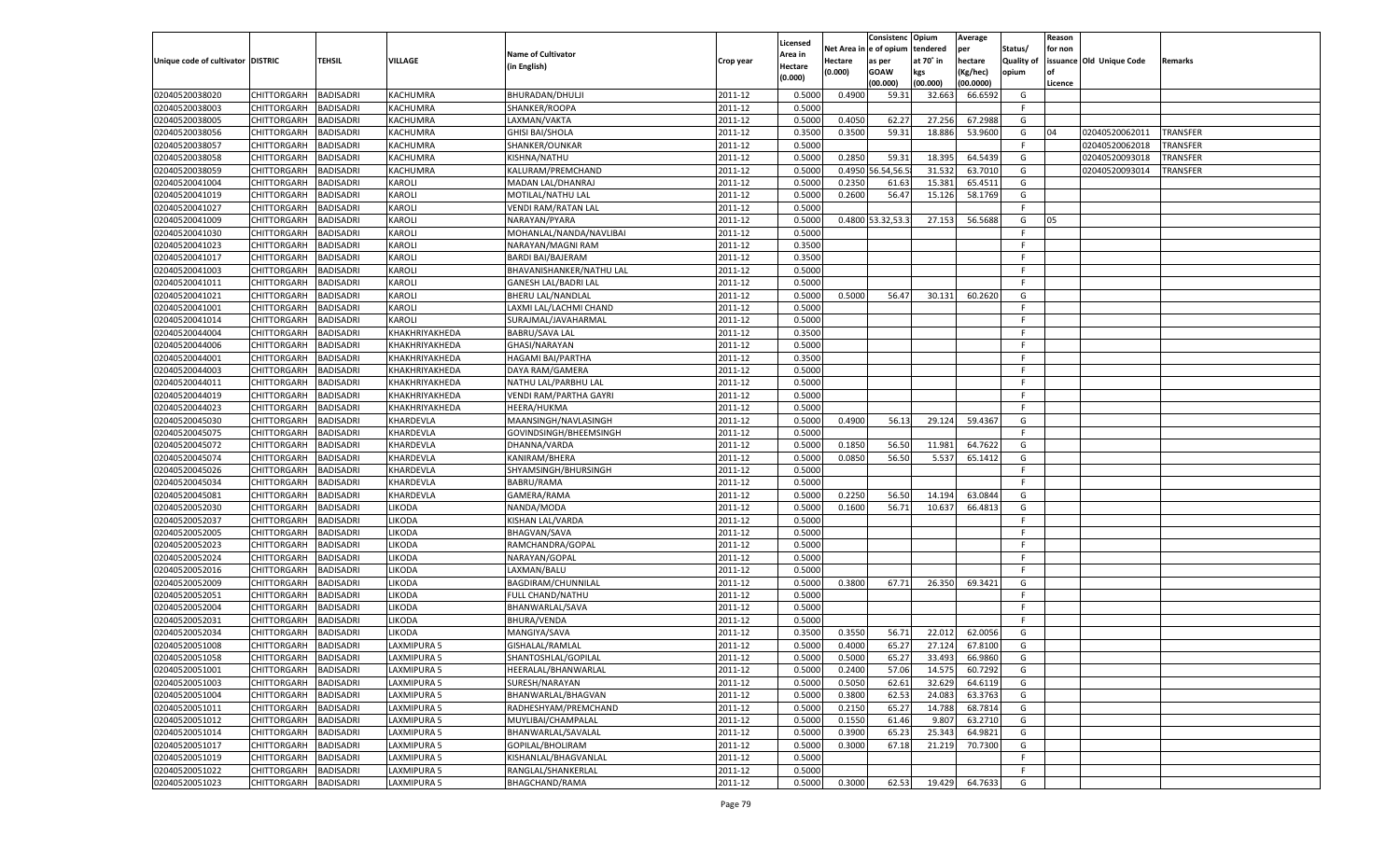|                                   |                       |                  |                    |                             |           |                     |             | Consistenc       | Opium     | Average   |                   | Reason  |                          |          |
|-----------------------------------|-----------------------|------------------|--------------------|-----------------------------|-----------|---------------------|-------------|------------------|-----------|-----------|-------------------|---------|--------------------------|----------|
|                                   |                       |                  |                    | <b>Name of Cultivator</b>   |           | Licensed<br>Area in | Net Area iı | n  e of opium    | tendered  | per       | Status/           | for non |                          |          |
| Unique code of cultivator DISTRIC |                       | TEHSIL           | <b>VILLAGE</b>     | (in English)                | Crop year | Hectare             | Hectare     | as per           | at 70° in | hectare   | <b>Quality of</b> |         | issuance Old Unique Code | Remarks  |
|                                   |                       |                  |                    |                             |           | (0.000)             | (0.000)     | <b>GOAW</b>      | kgs       | (Kg/hec)  | opium             |         |                          |          |
|                                   |                       |                  |                    |                             |           |                     |             | (00.000)         | (00.000)  | (00.0000) |                   | Licence |                          |          |
| 02040520038020                    | CHITTORGARH           | <b>BADISADRI</b> | KACHUMRA           | BHURADAN/DHULJI             | 2011-12   | 0.5000              | 0.4900      | 59.31            | 32.663    | 66.6592   | G                 |         |                          |          |
| 02040520038003                    | CHITTORGARH           | BADISADRI        | KACHUMRA           | SHANKER/ROOPA               | 2011-12   | 0.5000              |             |                  |           |           | F.                |         |                          |          |
| 02040520038005                    | CHITTORGARH           | BADISADRI        | KACHUMRA           | LAXMAN/VAKTA                | 2011-12   | 0.5000              | 0.4050      | 62.2             | 27.256    | 67.2988   | G                 |         |                          |          |
| 02040520038056                    | CHITTORGARH           | BADISADRI        | KACHUMRA           | <b>GHISI BAI/SHOLA</b>      | 2011-12   | 0.3500              | 0.3500      | 59.31            | 18.886    | 53.9600   | G                 | 04      | 02040520062011           | TRANSFER |
| 02040520038057                    | CHITTORGARH           | BADISADRI        | KACHUMRA           | SHANKER/OUNKAR              | 2011-12   | 0.5000              |             |                  |           |           | F.                |         | 02040520062018           | TRANSFER |
| 02040520038058                    | CHITTORGARH           | BADISADRI        | KACHUMRA           | KISHNA/NATHU                | 2011-12   | 0.5000              | 0.2850      | 59.3             | 18.395    | 64.5439   | G                 |         | 02040520093018           | TRANSFER |
| 02040520038059                    | CHITTORGARH           | BADISADRI        | KACHUMRA           | KALURAM/PREMCHAND           | 2011-12   | 0.5000              |             | 0.4950 56.54,56. | 31.532    | 63.7010   | G                 |         | 02040520093014           | TRANSFER |
| 02040520041004                    | CHITTORGARH           | BADISADRI        | <b>KAROLI</b>      | MADAN LAL/DHANRAJ           | 2011-12   | 0.5000              | 0.2350      | 61.63            | 15.381    | 65.4511   | G                 |         |                          |          |
| 02040520041019                    | CHITTORGARH           | BADISADRI        | <b>KAROLI</b>      | MOTILAL/NATHU LAL           | 2011-12   | 0.5000              | 0.2600      | 56.47            | 15.126    | 58.1769   | G                 |         |                          |          |
| 02040520041027                    | CHITTORGARH           | BADISADRI        | <b>KAROLI</b>      | <b>VENDI RAM/RATAN LAL</b>  | 2011-12   | 0.5000              |             |                  |           |           | F.                |         |                          |          |
| 02040520041009                    | CHITTORGARH           | BADISADRI        | <b>KAROLI</b>      | NARAYAN/PYARA               | 2011-12   | 0.5000              |             | 0.4800 53.32,53. | 27.153    | 56.5688   | G                 | 05      |                          |          |
| 02040520041030                    | CHITTORGARH           | BADISADRI        | <b>KAROLI</b>      | MOHANLAL/NANDA/NAVLIBAI     | 2011-12   | 0.5000              |             |                  |           |           | E                 |         |                          |          |
| 02040520041023                    | CHITTORGARH           | <b>BADISADRI</b> | <b>KAROLI</b>      | NARAYAN/MAGNI RAM           | 2011-12   | 0.3500              |             |                  |           |           | F.                |         |                          |          |
| 02040520041017                    | CHITTORGARH           | BADISADRI        | <b>KAROLI</b>      | <b>BARDI BAI/BAJERAM</b>    | 2011-12   | 0.3500              |             |                  |           |           | E                 |         |                          |          |
| 02040520041003                    | CHITTORGARH           | <b>BADISADRI</b> | <b>KAROLI</b>      | BHAVANISHANKER/NATHU LAL    | 2011-12   | 0.5000              |             |                  |           |           | F.                |         |                          |          |
| 02040520041011                    | CHITTORGARH           | BADISADRI        | <b>KAROLI</b>      | <b>GANESH LAL/BADRI LAL</b> | 2011-12   | 0.5000              |             |                  |           |           | F.                |         |                          |          |
| 02040520041021                    | CHITTORGARH           | <b>BADISADRI</b> | KAROLI             | <b>BHERU LAL/NANDLAL</b>    | 2011-12   | 0.5000              | 0.5000      | 56.47            | 30.131    | 60.2620   | G                 |         |                          |          |
| 02040520041001                    | CHITTORGARH           | BADISADRI        | <b>KAROLI</b>      | LAXMI LAL/LACHMI CHAND      | 2011-12   | 0.5000              |             |                  |           |           | F.                |         |                          |          |
| 02040520041014                    | CHITTORGARH           | <b>BADISADRI</b> | <b>KAROLI</b>      | SURAJMAL/JAVAHARMAL         | 2011-12   | 0.5000              |             |                  |           |           | F.                |         |                          |          |
| 02040520044004                    | CHITTORGARH           | BADISADRI        | KHAKHRIYAKHEDA     | <b>BABRU/SAVA LAL</b>       | 2011-12   | 0.3500              |             |                  |           |           | F.                |         |                          |          |
| 02040520044006                    | CHITTORGARH           | <b>BADISADRI</b> | KHAKHRIYAKHEDA     | GHASI/NARAYAN               | 2011-12   | 0.5000              |             |                  |           |           | F.                |         |                          |          |
| 02040520044001                    | CHITTORGARH           | BADISADRI        | KHAKHRIYAKHEDA     | <b>HAGAMI BAI/PARTHA</b>    | 2011-12   | 0.3500              |             |                  |           |           | F.                |         |                          |          |
| 02040520044003                    | CHITTORGARH           | <b>BADISADRI</b> | KHAKHRIYAKHEDA     | DAYA RAM/GAMERA             | 2011-12   | 0.5000              |             |                  |           |           | F.                |         |                          |          |
| 02040520044011                    | CHITTORGARH           | BADISADRI        | KHAKHRIYAKHEDA     | NATHU LAL/PARBHU LAL        | 2011-12   | 0.5000              |             |                  |           |           | F.                |         |                          |          |
| 02040520044019                    | CHITTORGARH           | <b>BADISADRI</b> | KHAKHRIYAKHEDA     | VENDI RAM/PARTHA GAYRI      | 2011-12   | 0.5000              |             |                  |           |           | F.                |         |                          |          |
| 02040520044023                    | CHITTORGARH           | BADISADRI        | KHAKHRIYAKHEDA     | <b>HEERA/HUKMA</b>          | 2011-12   | 0.5000              |             |                  |           |           | F.                |         |                          |          |
| 02040520045030                    | CHITTORGARH           | <b>BADISADRI</b> | KHARDEVLA          | MAANSINGH/NAVLASINGH        | 2011-12   | 0.5000              | 0.4900      | 56.13            | 29.124    | 59.4367   | G                 |         |                          |          |
| 02040520045075                    | CHITTORGARH           | BADISADRI        | KHARDEVLA          | GOVINDSINGH/BHEEMSINGH      | 2011-12   | 0.5000              |             |                  |           |           | F.                |         |                          |          |
| 02040520045072                    | CHITTORGARH           | <b>BADISADRI</b> | KHARDEVLA          | DHANNA/VARDA                | 2011-12   | 0.5000              | 0.1850      | 56.50            | 11.981    | 64.7622   | G                 |         |                          |          |
| 02040520045074                    | CHITTORGARH           | <b>BADISADRI</b> | KHARDEVLA          | KANIRAM/BHERA               | 2011-12   | 0.5000              | 0.0850      | 56.50            | 5.537     | 65.1412   | G                 |         |                          |          |
| 02040520045026                    | CHITTORGARH           | <b>BADISADRI</b> | KHARDEVLA          | SHYAMSINGH/BHURSINGH        | 2011-12   | 0.5000              |             |                  |           |           | F.                |         |                          |          |
| 02040520045034                    | CHITTORGARH           | <b>BADISADRI</b> | KHARDEVLA          | BABRU/RAMA                  | 2011-12   | 0.5000              |             |                  |           |           | F                 |         |                          |          |
| 02040520045081                    | CHITTORGARH           | <b>BADISADRI</b> | KHARDEVLA          | GAMERA/RAMA                 | 2011-12   | 0.5000              | 0.2250      | 56.50            | 14.194    | 63.0844   | G                 |         |                          |          |
| 02040520052030                    |                       | <b>BADISADRI</b> | <b>IKODA</b>       |                             | 2011-12   | 0.5000              | 0.1600      | 56.71            | 10.637    |           | G                 |         |                          |          |
|                                   | CHITTORGARH           | <b>BADISADRI</b> | <b>IKODA</b>       | NANDA/MODA                  | 2011-12   | 0.5000              |             |                  |           | 66.4813   | F.                |         |                          |          |
| 02040520052037                    | CHITTORGARH           |                  |                    | KISHAN LAL/VARDA            |           |                     |             |                  |           |           | F                 |         |                          |          |
| 02040520052005                    | CHITTORGARH           | <b>BADISADRI</b> | <b>IKODA</b>       | <b>BHAGVAN/SAVA</b>         | 2011-12   | 0.5000              |             |                  |           |           |                   |         |                          |          |
| 02040520052023                    | CHITTORGARH           | <b>BADISADRI</b> | <b>IKODA</b>       | RAMCHANDRA/GOPAL            | 2011-12   | 0.5000              |             |                  |           |           | F                 |         |                          |          |
| 02040520052024                    | CHITTORGARH           | <b>BADISADRI</b> | <b>IKODA</b>       | NARAYAN/GOPAL               | 2011-12   | 0.5000              |             |                  |           |           | F.                |         |                          |          |
| 02040520052016                    | CHITTORGARH           | <b>BADISADRI</b> | <b>IKODA</b>       | LAXMAN/BALU                 | 2011-12   | 0.5000              |             |                  |           |           | E                 |         |                          |          |
| 02040520052009                    | CHITTORGARH           | <b>BADISADRI</b> | <b>IKODA</b>       | BAGDIRAM/CHUNNILAL          | 2011-12   | 0.5000              | 0.3800      | 67.71            | 26.350    | 69.3421   | G                 |         |                          |          |
| 02040520052051                    | CHITTORGARH           | <b>BADISADRI</b> | <b>IKODA</b>       | FULL CHAND/NATHU            | 2011-12   | 0.5000              |             |                  |           |           | F.                |         |                          |          |
| 02040520052004                    | CHITTORGARH           | <b>BADISADRI</b> | <b>IKODA</b>       | BHANWARLAL/SAVA             | 2011-12   | 0.5000              |             |                  |           |           | F.                |         |                          |          |
| 02040520052031                    | CHITTORGARH           | BADISADRI        | <b>IKODA</b>       | <b>BHURA/VENDA</b>          | 2011-12   | 0.5000              |             |                  |           |           | E                 |         |                          |          |
| 02040520052034                    | CHITTORGARH           | BADISADRI        | <b>LIKODA</b>      | MANGIYA/SAVA                | 2011-12   | 0.3500              | 0.3550      | 56.71            | 22.012    | 62.0056   | G                 |         |                          |          |
| 02040520051008                    | CHITTORGARH           | <b>BADISADRI</b> | LAXMIPURA 5        | GISHALAL/RAMLAL             | 2011-12   | 0.5000              | 0.4000      | 65.27            | 27.124    | 67.8100   | G                 |         |                          |          |
| 02040520051058                    | CHITTORGARH BADISADRI |                  | <b>LAXMIPURA 5</b> | SHANTOSHLAL/GOPILAL         | 2011-12   | 0.5000              | 0.5000      | 65.27            | 33.493    | 66.9860   | G                 |         |                          |          |
| 02040520051001                    | <b>CHITTORGARH</b>    | <b>BADISADRI</b> | LAXMIPURA 5        | HEERALAL/BHANWARLAL         | 2011-12   | 0.5000              | 0.2400      | 57.06            | 14.575    | 60.7292   | G                 |         |                          |          |
| 02040520051003                    | <b>CHITTORGARH</b>    | <b>BADISADRI</b> | LAXMIPURA 5        | SURESH/NARAYAN              | 2011-12   | 0.5000              | 0.5050      | 62.61            | 32.629    | 64.6119   | G                 |         |                          |          |
| 02040520051004                    | <b>CHITTORGARH</b>    | <b>BADISADRI</b> | LAXMIPURA 5        | BHANWARLAL/BHAGVAN          | 2011-12   | 0.5000              | 0.3800      | 62.53            | 24.083    | 63.3763   | G                 |         |                          |          |
| 02040520051011                    | <b>CHITTORGARH</b>    | <b>BADISADRI</b> | LAXMIPURA 5        | RADHESHYAM/PREMCHAND        | 2011-12   | 0.5000              | 0.2150      | 65.27            | 14.788    | 68.7814   | G                 |         |                          |          |
| 02040520051012                    | CHITTORGARH           | <b>BADISADRI</b> | LAXMIPURA 5        | MUYLIBAI/CHAMPALAL          | 2011-12   | 0.5000              | 0.1550      | 61.46            | 9.807     | 63.2710   | G                 |         |                          |          |
| 02040520051014                    | CHITTORGARH           | <b>BADISADRI</b> | LAXMIPURA 5        | BHANWARLAL/SAVALAL          | 2011-12   | 0.5000              | 0.3900      | 65.23            | 25.343    | 64.9821   | G                 |         |                          |          |
| 02040520051017                    | CHITTORGARH           | <b>BADISADRI</b> | LAXMIPURA 5        | GOPILAL/BHOLIRAM            | 2011-12   | 0.5000              | 0.3000      | 67.18            | 21.219    | 70.7300   | G                 |         |                          |          |
| 02040520051019                    | <b>CHITTORGARH</b>    | <b>BADISADRI</b> | LAXMIPURA 5        | KISHANLAL/BHAGVANLAL        | 2011-12   | 0.5000              |             |                  |           |           | F.                |         |                          |          |
| 02040520051022                    | <b>CHITTORGARH</b>    | <b>BADISADRI</b> | LAXMIPURA 5        | RANGLAL/SHANKERLAL          | 2011-12   | 0.5000              |             |                  |           |           | F.                |         |                          |          |
| 02040520051023                    | <b>CHITTORGARH</b>    | <b>BADISADRI</b> | <b>LAXMIPURA 5</b> | BHAGCHAND/RAMA              | 2011-12   | 0.5000              | 0.3000      | 62.53            | 19.429    | 64.7633   | G                 |         |                          |          |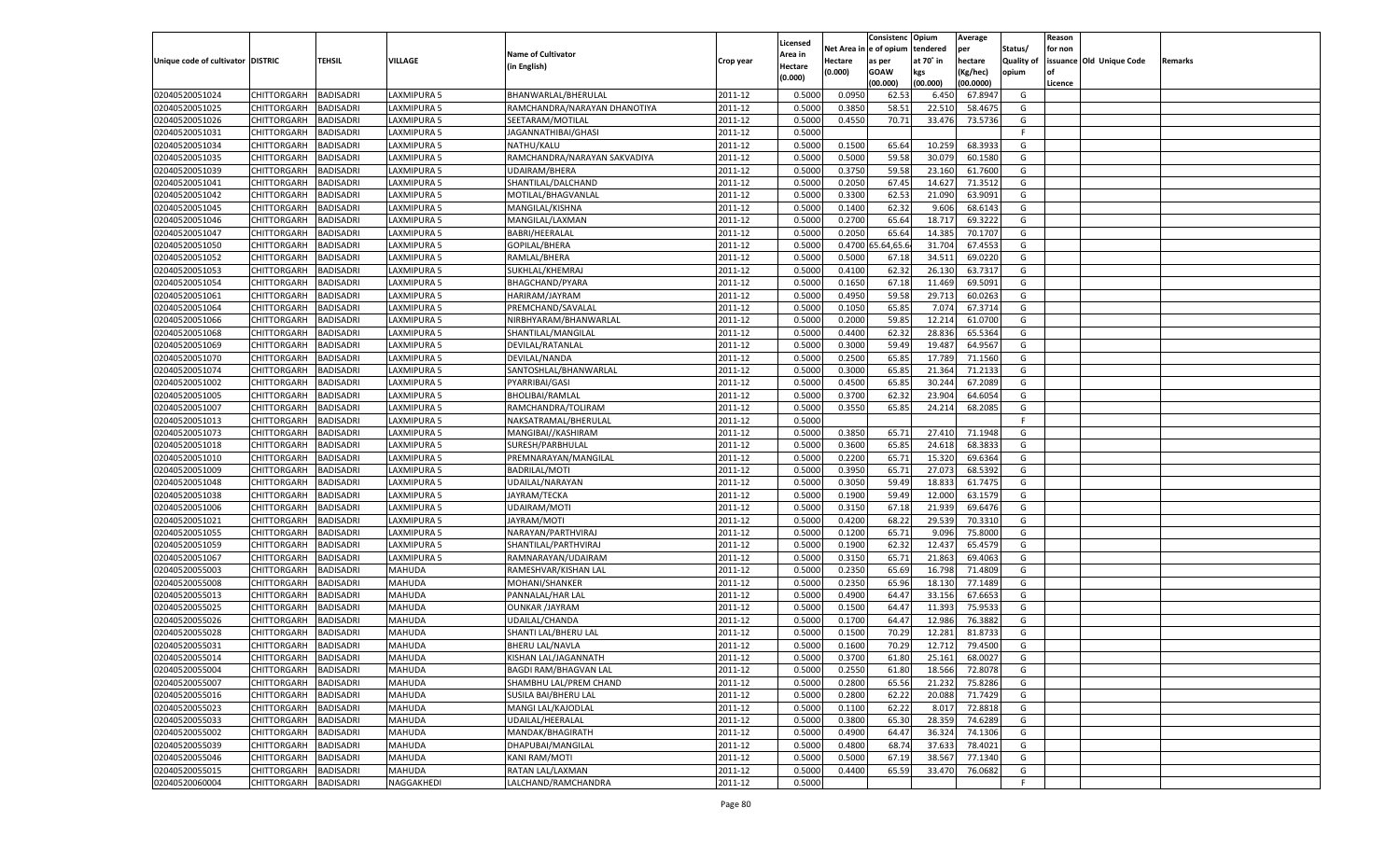|                                   |                       |                  |                                |                              |           |                     |            | Consistenc   | Opium     | Average   |            | Reason  |                          |         |
|-----------------------------------|-----------------------|------------------|--------------------------------|------------------------------|-----------|---------------------|------------|--------------|-----------|-----------|------------|---------|--------------------------|---------|
|                                   |                       |                  |                                | <b>Name of Cultivator</b>    |           | Licensed<br>Area in | Net Area i | n e of opium | tendered  | per       | Status/    | for non |                          |         |
| Unique code of cultivator DISTRIC |                       | TEHSIL           | <b>VILLAGE</b>                 | (in English)                 | Crop year | Hectare             | Hectare    | as per       | at 70° in | hectare   | Quality of |         | issuance Old Unique Code | Remarks |
|                                   |                       |                  |                                |                              |           | (0.000)             | (0.000)    | <b>GOAW</b>  | kgs       | (Kg/hec)  | opium      |         |                          |         |
|                                   |                       |                  |                                |                              |           |                     |            | (00.000)     | (00.000)  | (00.0000) |            | Licence |                          |         |
| 02040520051024                    | CHITTORGARH           | <b>BADISADRI</b> | LAXMIPURA 5                    | BHANWARLAL/BHERULAL          | 2011-12   | 0.5000              | 0.0950     | 62.53        | 6.450     | 67.8947   | G          |         |                          |         |
| 02040520051025                    | CHITTORGARH           | BADISADRI        | LAXMIPURA 5                    | RAMCHANDRA/NARAYAN DHANOTIYA | 2011-12   | 0.5000              | 0.3850     | 58.51        | 22.510    | 58.4675   | G          |         |                          |         |
| 02040520051026                    | CHITTORGARH           | BADISADRI        | LAXMIPURA 5                    | SEETARAM/MOTILAL             | 2011-12   | 0.5000              | 0.4550     | 70.71        | 33.476    | 73.5736   | G          |         |                          |         |
| 02040520051031                    | CHITTORGARH           | BADISADRI        | LAXMIPURA 5                    | JAGANNATHIBAI/GHASI          | 2011-12   | 0.5000              |            |              |           |           | E          |         |                          |         |
| 02040520051034                    | CHITTORGARH           | BADISADRI        | AXMIPURA 5                     | NATHU/KALU                   | 2011-12   | 0.5000              | 0.1500     | 65.64        | 10.259    | 68.393    | G          |         |                          |         |
| 02040520051035                    | CHITTORGARH           | BADISADRI        | LAXMIPURA 5                    | RAMCHANDRA/NARAYAN SAKVADIYA | 2011-12   | 0.5000              | 0.5000     | 59.58        | 30.079    | 60.1580   | G          |         |                          |         |
| 02040520051039                    | CHITTORGARH           | BADISADRI        | LAXMIPURA 5                    | <b>UDAIRAM/BHERA</b>         | 2011-12   | 0.5000              | 0.3750     | 59.58        | 23.160    | 61.7600   | G          |         |                          |         |
| 02040520051041                    | CHITTORGARH           | BADISADRI        | LAXMIPURA 5                    | SHANTILAL/DALCHAND           | 2011-12   | 0.5000              | 0.2050     | 67.45        | 14.627    | 71.3512   | G          |         |                          |         |
| 02040520051042                    | CHITTORGARH           | BADISADRI        | AXMIPURA 5                     | MOTILAL/BHAGVANLAL           | 2011-12   | 0.5000              | 0.3300     | 62.53        | 21.090    | 63.9091   | G          |         |                          |         |
| 02040520051045                    | CHITTORGARH           | BADISADRI        | LAXMIPURA 5                    | MANGILAL/KISHNA              | 2011-12   | 0.5000              | 0.1400     | 62.32        | 9.606     | 68.6143   | G          |         |                          |         |
| 02040520051046                    | CHITTORGARH           | BADISADRI        | LAXMIPURA 5                    | MANGILAL/LAXMAN              | 2011-12   | 0.5000              | 0.2700     | 65.64        | 18.717    | 69.3222   | G          |         |                          |         |
| 02040520051047                    | CHITTORGARH           | BADISADRI        | LAXMIPURA 5                    | <b>BABRI/HEERALAL</b>        | 2011-12   | 0.5000              | 0.2050     | 65.64        | 14.385    | 70.1707   | G          |         |                          |         |
| 02040520051050                    | CHITTORGARH           | BADISADRI        | AXMIPURA 5                     | GOPILAL/BHERA                | 2011-12   | 0.5000              | 0.4700     | 5.64,65.6    | 31.704    | 67.4553   | G          |         |                          |         |
| 02040520051052                    | CHITTORGARH           | BADISADRI        | LAXMIPURA 5                    | RAMLAL/BHERA                 | 2011-12   | 0.5000              | 0.5000     | 67.18        | 34.511    | 69.0220   | G          |         |                          |         |
| 02040520051053                    | CHITTORGARH           | BADISADRI        | LAXMIPURA 5                    | SUKHLAL/KHEMRAJ              | 2011-12   | 0.5000              | 0.4100     | 62.32        | 26.130    | 63.7317   | G          |         |                          |         |
| 02040520051054                    | CHITTORGARH           | BADISADRI        | LAXMIPURA 5                    | BHAGCHAND/PYARA              | 2011-12   | 0.5000              | 0.1650     | 67.18        | 11.469    | 69.5091   | G          |         |                          |         |
| 02040520051061                    | CHITTORGARH           | <b>BADISADRI</b> | AXMIPURA 5                     | HARIRAM/JAYRAM               | 2011-12   | 0.5000              | 0.4950     | 59.58        | 29.713    | 60.0263   | G          |         |                          |         |
| 02040520051064                    | CHITTORGARH           | BADISADRI        | <b>LAXMIPURA 5</b>             | PREMCHAND/SAVALAL            | 2011-12   | 0.5000              | 0.1050     | 65.85        | 7.074     | 67.3714   | G          |         |                          |         |
| 02040520051066                    | CHITTORGARH           | BADISADRI        | LAXMIPURA 5                    | NIRBHYARAM/BHANWARLAL        | 2011-12   | 0.5000              | 0.2000     | 59.85        | 12.214    | 61.0700   | G          |         |                          |         |
| 02040520051068                    | CHITTORGARH           | BADISADRI        | LAXMIPURA 5                    | SHANTILAL/MANGILAL           | 2011-12   | 0.5000              | 0.4400     | 62.32        | 28.836    | 65.5364   | G          |         |                          |         |
| 02040520051069                    | CHITTORGARH           | <b>BADISADRI</b> | AXMIPURA 5                     | DEVILAL/RATANLAL             | 2011-12   | 0.5000              | 0.3000     | 59.49        | 19.487    | 64.9567   | G          |         |                          |         |
| 02040520051070                    | CHITTORGARH           | BADISADRI        | <b>LAXMIPURA 5</b>             | DEVILAL/NANDA                | 2011-12   | 0.5000              | 0.2500     | 65.85        | 17.789    | 71.1560   | G          |         |                          |         |
| 02040520051074                    | CHITTORGARH           | BADISADRI        | LAXMIPURA 5                    | SANTOSHLAL/BHANWARLAL        | 2011-12   | 0.5000              | 0.3000     | 65.85        | 21.364    | 71.2133   | G          |         |                          |         |
| 02040520051002                    | CHITTORGARH           | BADISADRI        | LAXMIPURA 5                    | PYARRIBAI/GASI               | 2011-12   | 0.5000              | 0.4500     | 65.85        | 30.244    | 67.2089   | G          |         |                          |         |
| 02040520051005                    | CHITTORGARH           | <b>BADISADRI</b> | AXMIPURA 5                     | BHOLIBAI/RAMLAL              | 2011-12   | 0.5000              | 0.3700     | 62.32        | 23.904    | 64.6054   | G          |         |                          |         |
| 02040520051007                    | CHITTORGARH           | BADISADRI        | <b>LAXMIPURA 5</b>             | RAMCHANDRA/TOLIRAM           | 2011-12   | 0.5000              | 0.3550     | 65.85        | 24.214    | 68.2085   | G          |         |                          |         |
| 02040520051013                    | CHITTORGARH           | BADISADRI        | LAXMIPURA 5                    | NAKSATRAMAL/BHERULAL         | 2011-12   | 0.5000              |            |              |           |           | F.         |         |                          |         |
| 02040520051073                    | CHITTORGARH           | BADISADRI        | <b>LAXMIPURA 5</b>             | MANGIBAI//KASHIRAM           | 2011-12   | 0.5000              | 0.3850     | 65.71        | 27.410    | 71.1948   | G          |         |                          |         |
| 02040520051018                    | CHITTORGARH           | <b>BADISADRI</b> | AXMIPURA 5                     | SURESH/PARBHULAL             | 2011-12   | 0.5000              | 0.3600     | 65.85        | 24.618    | 68.3833   | G          |         |                          |         |
| 02040520051010                    | CHITTORGARH           | BADISADRI        | LAXMIPURA 5                    | PREMNARAYAN/MANGILAL         | 2011-12   | 0.5000              | 0.2200     | 65.71        | 15.320    | 69.6364   | G          |         |                          |         |
| 02040520051009                    | CHITTORGARH           | <b>BADISADRI</b> | LAXMIPURA 5                    | <b>BADRILAL/MOTI</b>         | 2011-12   | 0.5000              | 0.3950     | 65.71        | 27.073    | 68.5392   | G          |         |                          |         |
| 02040520051048                    | CHITTORGARH           | <b>BADISADRI</b> | LAXMIPURA 5                    | UDAILAL/NARAYAN              | 2011-12   | 0.5000              | 0.3050     | 59.49        | 18.833    | 61.7475   | G          |         |                          |         |
| 02040520051038                    | CHITTORGARH           | <b>BADISADRI</b> | LAXMIPURA 5                    | JAYRAM/TECKA                 | 2011-12   | 0.5000              | 0.1900     | 59.49        | 12.000    | 63.1579   | G          |         |                          |         |
| 02040520051006                    | CHITTORGARH           | BADISADRI        | LAXMIPURA 5                    | UDAIRAM/MOTI                 | 2011-12   | 0.5000              | 0.3150     | 67.18        | 21.939    | 69.6476   | G          |         |                          |         |
| 02040520051021                    | CHITTORGARH           | <b>BADISADRI</b> | LAXMIPURA 5                    | JAYRAM/MOTI                  | 2011-12   | 0.5000              | 0.4200     | 68.22        | 29.539    | 70.3310   | G          |         |                          |         |
| 02040520051055                    | CHITTORGARH           | <b>BADISADRI</b> | LAXMIPURA 5                    | NARAYAN/PARTHVIRAJ           | 2011-12   | 0.5000              | 0.1200     | 65.71        | 9.096     | 75.8000   | G          |         |                          |         |
| 02040520051059                    | CHITTORGARH           | <b>BADISADRI</b> | LAXMIPURA 5                    | SHANTILAL/PARTHVIRAJ         | 2011-12   | 0.5000              | 0.1900     | 62.32        | 12.437    | 65.4579   | G          |         |                          |         |
| 02040520051067                    | CHITTORGARH           | BADISADRI        | LAXMIPURA 5                    | RAMNARAYAN/UDAIRAM           | 2011-12   | 0.5000              | 0.3150     | 65.71        | 21.863    | 69.4063   | G          |         |                          |         |
| 02040520055003                    | CHITTORGARH           | <b>BADISADRI</b> | MAHUDA                         | RAMESHVAR/KISHAN LAL         | 2011-12   | 0.5000              | 0.2350     | 65.69        | 16.798    | 71.4809   | G          |         |                          |         |
| 02040520055008                    | CHITTORGARH           | <b>BADISADRI</b> | MAHUDA                         | MOHANI/SHANKER               | 2011-12   | 0.5000              | 0.2350     | 65.96        | 18.130    | 77.1489   | G          |         |                          |         |
| 02040520055013                    | CHITTORGARH           | <b>BADISADRI</b> | MAHUDA                         | PANNALAL/HAR LAI             | 2011-12   | 0.5000              | 0.4900     | 64.47        | 33.156    | 67.6653   | G          |         |                          |         |
| 02040520055025                    | CHITTORGARH           | BADISADRI        | MAHUDA                         | <b>OUNKAR /JAYRAM</b>        | 2011-12   | 0.5000              | 0.1500     | 64.47        | 11.393    | 75.9533   | G          |         |                          |         |
| 02040520055026                    | CHITTORGARH           | BADISADRI        | MAHUDA                         | UDAILAL/CHANDA               | 2011-12   | 0.5000              | 0.1700     | 64.47        | 12.986    | 76.3882   | G          |         |                          |         |
| 02040520055028                    | CHITTORGARH           | BADISADRI        | MAHUDA                         | SHANTI LAL/BHERU LAL         | 2011-12   | 0.5000              | 0.1500     | 70.29        | 12.281    | 81.8733   | G          |         |                          |         |
| 02040520055031                    | CHITTORGARH           | <b>BADISADRI</b> | MAHUDA                         | <b>BHERU LAL/NAVLA</b>       | 2011-12   | 0.5000              | 0.1600     | 70.29        | 12.712    | 79.4500   | G          |         |                          |         |
| 02040520055014                    | CHITTORGARH BADISADRI |                  | <b>MAHUDA</b>                  | KISHAN LAL/JAGANNATH         | 2011-12   | 0.5000              | 0.3700     | 61.80        | 25.161    | 68.0027   | G          |         |                          |         |
| 02040520055004                    | <b>CHITTORGARH</b>    | <b>BADISADRI</b> | <b>MAHUDA</b>                  | <b>BAGDI RAM/BHAGVAN LAL</b> | 2011-12   | 0.5000              | 0.2550     | 61.80        | 18.566    | 72.8078   | G          |         |                          |         |
| 02040520055007                    | <b>CHITTORGARH</b>    | <b>BADISADRI</b> | MAHUDA                         | SHAMBHU LAL/PREM CHAND       | 2011-12   | 0.5000              | 0.2800     | 65.56        | 21.232    | 75.8286   | G          |         |                          |         |
| 02040520055016                    | CHITTORGARH           | <b>BADISADRI</b> | <b>MAHUDA</b>                  | SUSILA BAI/BHERU LAL         | 2011-12   | 0.5000              | 0.2800     | 62.22        | 20.088    | 71.7429   | G          |         |                          |         |
| 02040520055023                    | <b>CHITTORGARH</b>    | <b>BADISADRI</b> | <b>MAHUDA</b>                  | MANGI LAL/KAJODLAL           | 2011-12   | 0.5000              | 0.1100     | 62.22        | 8.017     | 72.8818   | G          |         |                          |         |
| 02040520055033                    | <b>CHITTORGARH</b>    | <b>BADISADRI</b> | <b>MAHUDA</b>                  | UDAILAL/HEERALAL             | 2011-12   | 0.5000              | 0.3800     | 65.30        | 28.359    | 74.6289   | G          |         |                          |         |
| 02040520055002                    |                       | <b>BADISADRI</b> |                                |                              | 2011-12   |                     | 0.4900     | 64.47        | 36.324    | 74.1306   | G          |         |                          |         |
|                                   | <b>CHITTORGARH</b>    | <b>BADISADRI</b> | <b>MAHUDA</b><br><b>MAHUDA</b> | MANDAK/BHAGIRATH             |           | 0.5000<br>0.5000    | 0.4800     |              | 37.633    |           |            |         |                          |         |
| 02040520055039<br>02040520055046  | CHITTORGARH           |                  |                                | DHAPUBAI/MANGILAL            | 2011-12   |                     |            | 68.74        |           | 78.4021   | G          |         |                          |         |
|                                   | <b>CHITTORGARH</b>    | <b>BADISADRI</b> | <b>MAHUDA</b>                  | KANI RAM/MOTI                | 2011-12   | 0.5000              | 0.5000     | 67.19        | 38.567    | 77.1340   | G          |         |                          |         |
| 02040520055015                    | <b>CHITTORGARH</b>    | <b>BADISADRI</b> | <b>MAHUDA</b>                  | RATAN LAL/LAXMAN             | 2011-12   | 0.5000              | 0.4400     | 65.59        | 33.470    | 76.0682   | G          |         |                          |         |
| 02040520060004                    | <b>CHITTORGARH</b>    | <b>BADISADRI</b> | NAGGAKHEDI                     | LALCHAND/RAMCHANDRA          | 2011-12   | 0.5000              |            |              |           |           | F.         |         |                          |         |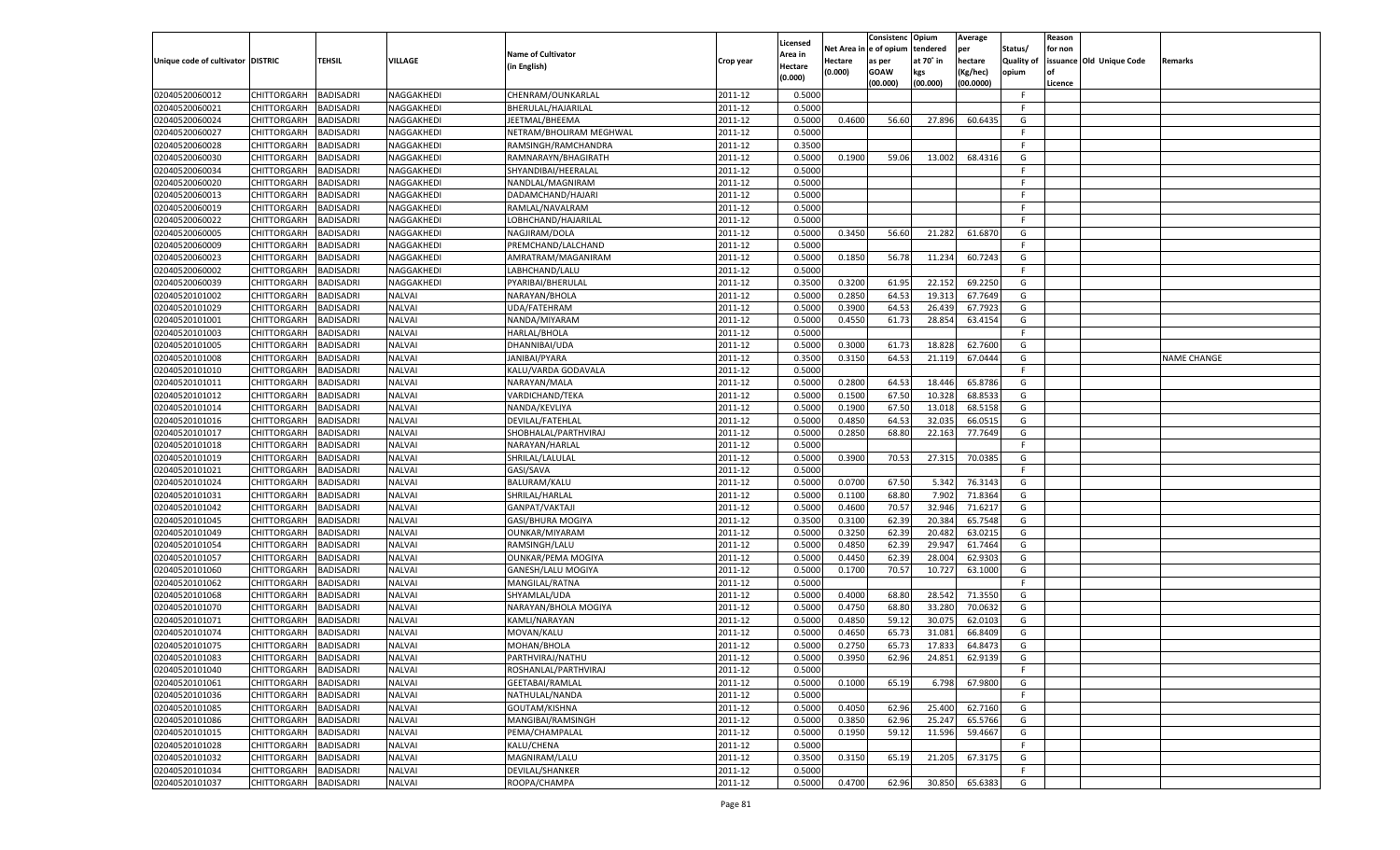|                                   |                       |                  |                |                           |           |                    |         | Consistenc Opium       |           | Average   |            | Reason  |                          |                    |
|-----------------------------------|-----------------------|------------------|----------------|---------------------------|-----------|--------------------|---------|------------------------|-----------|-----------|------------|---------|--------------------------|--------------------|
|                                   |                       |                  |                | <b>Name of Cultivator</b> |           | Licensed           |         | Net Area in e of opium | tendered  | per       | Status/    | for non |                          |                    |
| Unique code of cultivator DISTRIC |                       | TEHSIL           | <b>VILLAGE</b> |                           | Crop year | Area in            | Hectare | as per                 | at 70° in | hectare   | Quality of |         | issuance Old Unique Code | <b>Remarks</b>     |
|                                   |                       |                  |                | (in English)              |           | Hectare<br>(0.000) | (0.000) | <b>GOAW</b>            | kgs       | (Kg/hec)  | opium      |         |                          |                    |
|                                   |                       |                  |                |                           |           |                    |         | (00.000)               | (00.000)  | (00.0000) |            | Licence |                          |                    |
| 02040520060012                    | CHITTORGARH           | <b>BADISADRI</b> | NAGGAKHEDI     | CHENRAM/OUNKARLAL         | 2011-12   | 0.5000             |         |                        |           |           | -F.        |         |                          |                    |
| 02040520060021                    | CHITTORGARH           | <b>BADISADRI</b> | NAGGAKHEDI     | BHERULAL/HAJARILAL        | 2011-12   | 0.5000             |         |                        |           |           | F.         |         |                          |                    |
| 02040520060024                    | CHITTORGARH           | <b>BADISADRI</b> | NAGGAKHEDI     | JEETMAL/BHEEMA            | 2011-12   | 0.5000             | 0.4600  | 56.60                  | 27.896    | 60.6435   | G          |         |                          |                    |
| 02040520060027                    | CHITTORGARH           | <b>BADISADRI</b> | NAGGAKHEDI     | NETRAM/BHOLIRAM MEGHWAL   | 2011-12   | 0.5000             |         |                        |           |           | F.         |         |                          |                    |
| 02040520060028                    | CHITTORGARH           | <b>BADISADRI</b> | NAGGAKHEDI     | RAMSINGH/RAMCHANDRA       | 2011-12   | 0.3500             |         |                        |           |           | F.         |         |                          |                    |
| 02040520060030                    | CHITTORGARH           | <b>BADISADRI</b> | NAGGAKHEDI     | RAMNARAYN/BHAGIRATH       | 2011-12   | 0.5000             | 0.1900  | 59.06                  | 13.002    | 68.4316   | G          |         |                          |                    |
| 02040520060034                    | CHITTORGARH           | <b>BADISADRI</b> | NAGGAKHEDI     | SHYANDIBAI/HEERALAL       | 2011-12   | 0.5000             |         |                        |           |           | F.         |         |                          |                    |
| 02040520060020                    | CHITTORGARH           | <b>BADISADRI</b> | NAGGAKHEDI     | NANDLAL/MAGNIRAM          | 2011-12   | 0.5000             |         |                        |           |           | F.         |         |                          |                    |
| 02040520060013                    | CHITTORGARH           | <b>BADISADRI</b> | NAGGAKHEDI     | DADAMCHAND/HAJARI         | 2011-12   | 0.5000             |         |                        |           |           | F.         |         |                          |                    |
| 02040520060019                    | CHITTORGARH           | <b>BADISADRI</b> | NAGGAKHEDI     | RAMLAL/NAVALRAM           | 2011-12   | 0.5000             |         |                        |           |           | -F         |         |                          |                    |
| 02040520060022                    | CHITTORGARH           | <b>BADISADRI</b> | NAGGAKHEDI     | LOBHCHAND/HAJARILAL       | 2011-12   | 0.5000             |         |                        |           |           | F.         |         |                          |                    |
| 02040520060005                    | CHITTORGARH           | <b>BADISADRI</b> | NAGGAKHEDI     | NAGJIRAM/DOLA             | 2011-12   | 0.5000             | 0.3450  | 56.60                  | 21.282    | 61.6870   | G          |         |                          |                    |
| 02040520060009                    | CHITTORGARH           | BADISADRI        | NAGGAKHEDI     | PREMCHAND/LALCHAND        | 2011-12   | 0.5000             |         |                        |           |           | F.         |         |                          |                    |
| 02040520060023                    | CHITTORGARH           | BADISADRI        | NAGGAKHEDI     | AMRATRAM/MAGANIRAM        | 2011-12   | 0.5000             | 0.1850  | 56.78                  | 11.234    | 60.7243   | G          |         |                          |                    |
| 02040520060002                    | CHITTORGARH           | BADISADRI        | NAGGAKHEDI     | LABHCHAND/LALU            | 2011-12   | 0.5000             |         |                        |           |           | F.         |         |                          |                    |
|                                   |                       |                  |                |                           |           |                    |         | 61.95                  | 22.152    | 69.2250   | G          |         |                          |                    |
| 02040520060039                    | CHITTORGARH           | BADISADRI        | NAGGAKHEDI     | PYARIBAI/BHERULAL         | 2011-12   | 0.3500             | 0.3200  |                        |           |           |            |         |                          |                    |
| 02040520101002                    | CHITTORGARH           | BADISADRI        | <b>NALVAI</b>  | NARAYAN/BHOLA             | 2011-12   | 0.5000             | 0.2850  | 64.53                  | 19.313    | 67.7649   | G          |         |                          |                    |
| 02040520101029                    | CHITTORGARH           | BADISADRI        | <b>NALVAI</b>  | UDA/FATEHRAM              | 2011-12   | 0.5000             | 0.3900  | 64.53                  | 26.439    | 67.7923   | G          |         |                          |                    |
| 02040520101001                    | CHITTORGARH           | BADISADRI        | <b>NALVAI</b>  | NANDA/MIYARAM             | 2011-12   | 0.5000             | 0.4550  | 61.73                  | 28.854    | 63.4154   | G          |         |                          |                    |
| 02040520101003                    | CHITTORGARH           | BADISADRI        | <b>NALVAI</b>  | <b>HARLAL/BHOLA</b>       | 2011-12   | 0.5000             |         |                        |           |           | F.         |         |                          |                    |
| 02040520101005                    | CHITTORGARH           | BADISADRI        | <b>NALVAI</b>  | DHANNIBAI/UDA             | 2011-12   | 0.5000             | 0.3000  | 61.73                  | 18.828    | 62.7600   | G          |         |                          |                    |
| 02040520101008                    | CHITTORGARH           | BADISADRI        | <b>NALVAI</b>  | JANIBAI/PYARA             | 2011-12   | 0.3500             | 0.3150  | 64.53                  | 21.119    | 67.0444   | G          |         |                          | <b>NAME CHANGE</b> |
| 02040520101010                    | CHITTORGARH           | BADISADRI        | <b>NALVAI</b>  | KALU/VARDA GODAVALA       | 2011-12   | 0.5000             |         |                        |           |           | F.         |         |                          |                    |
| 02040520101011                    | CHITTORGARH           | BADISADRI        | <b>NALVAI</b>  | NARAYAN/MALA              | 2011-12   | 0.5000             | 0.2800  | 64.53                  | 18.446    | 65.8786   | G          |         |                          |                    |
| 02040520101012                    | CHITTORGARH           | BADISADRI        | <b>NALVAI</b>  | VARDICHAND/TEKA           | 2011-12   | 0.5000             | 0.1500  | 67.50                  | 10.328    | 68.8533   | G          |         |                          |                    |
| 02040520101014                    | CHITTORGARH           | BADISADRI        | <b>NALVAI</b>  | NANDA/KEVLIYA             | 2011-12   | 0.5000             | 0.1900  | 67.50                  | 13.018    | 68.5158   | G          |         |                          |                    |
| 02040520101016                    | CHITTORGARH           | BADISADRI        | <b>NALVAI</b>  | <b>DEVILAL/FATEHLAL</b>   | 2011-12   | 0.5000             | 0.4850  | 64.53                  | 32.035    | 66.0515   | G          |         |                          |                    |
| 02040520101017                    | CHITTORGARH           | BADISADRI        | <b>NALVAI</b>  | SHOBHALAL/PARTHVIRAJ      | 2011-12   | 0.5000             | 0.2850  | 68.80                  | 22.163    | 77.7649   | G          |         |                          |                    |
| 02040520101018                    | CHITTORGARH           | <b>BADISADRI</b> | <b>NALVAI</b>  | NARAYAN/HARLAL            | 2011-12   | 0.5000             |         |                        |           |           | F.         |         |                          |                    |
| 02040520101019                    | CHITTORGARH           | BADISADRI        | <b>NALVAI</b>  | SHRILAL/LALULAL           | 2011-12   | 0.5000             | 0.3900  | 70.53                  | 27.315    | 70.0385   | G          |         |                          |                    |
| 02040520101021                    | CHITTORGARH           | BADISADRI        | <b>NALVAI</b>  | GASI/SAVA                 | 2011-12   | 0.5000             |         |                        |           |           | F.         |         |                          |                    |
| 02040520101024                    | CHITTORGARH           | BADISADRI        | <b>NALVAI</b>  | <b>BALURAM/KALU</b>       | 2011-12   | 0.5000             | 0.0700  | 67.50                  | 5.342     | 76.3143   | G          |         |                          |                    |
| 02040520101031                    | CHITTORGARH           | BADISADRI        | <b>NALVAI</b>  | SHRILAL/HARLAL            | 2011-12   | 0.5000             | 0.1100  | 68.80                  | 7.902     | 71.8364   | G          |         |                          |                    |
| 02040520101042                    | CHITTORGARH           | BADISADRI        | <b>NALVAI</b>  | GANPAT/VAKTAJI            | 2011-12   | 0.5000             | 0.4600  | 70.57                  | 32.946    | 71.6217   | G          |         |                          |                    |
| 02040520101045                    | CHITTORGARH           | BADISADRI        | <b>NALVAI</b>  | GASI/BHURA MOGIYA         | 2011-12   | 0.3500             | 0.3100  | 62.39                  | 20.384    | 65.7548   | G          |         |                          |                    |
| 02040520101049                    | CHITTORGARH           | BADISADRI        | <b>NALVAI</b>  | OUNKAR/MIYARAM            | 2011-12   | 0.5000             | 0.3250  | 62.39                  | 20.482    | 63.0215   | G          |         |                          |                    |
| 02040520101054                    | CHITTORGARH           | BADISADRI        | <b>NALVAI</b>  | RAMSINGH/LALU             | 2011-12   | 0.5000             | 0.4850  | 62.39                  | 29.947    | 61.7464   | G          |         |                          |                    |
| 02040520101057                    | CHITTORGARH           | BADISADRI        | <b>NALVAI</b>  | <b>OUNKAR/PEMA MOGIYA</b> | 2011-12   | 0.5000             | 0.4450  | 62.39                  | 28.004    | 62.9303   | G          |         |                          |                    |
| 02040520101060                    | CHITTORGARH           |                  |                |                           |           |                    |         |                        |           |           |            |         |                          |                    |
|                                   |                       | BADISADRI        | <b>NALVAI</b>  | GANESH/LALU MOGIYA        | 2011-12   | 0.5000             | 0.1700  | 70.57                  | 10.727    | 63.1000   | G<br>-F    |         |                          |                    |
| 02040520101062                    | CHITTORGARH           | BADISADRI        | <b>NALVAI</b>  | MANGILAL/RATNA            | 2011-12   | 0.5000             |         |                        |           |           |            |         |                          |                    |
| 02040520101068                    | CHITTORGARH           | BADISADRI        | <b>NALVAI</b>  | SHYAMLAL/UDA              | 2011-12   | 0.5000             | 0.4000  | 68.80                  | 28.542    | 71.3550   | G          |         |                          |                    |
| 02040520101070                    | CHITTORGARH           | BADISADRI        | <b>NALVAI</b>  | NARAYAN/BHOLA MOGIYA      | 2011-12   | 0.5000             | 0.4750  | 68.80                  | 33.280    | 70.0632   | G          |         |                          |                    |
| 02040520101071                    | CHITTORGARH           | BADISADRI        | <b>NALVAI</b>  | KAMLI/NARAYAN             | 2011-12   | 0.5000             | 0.4850  | 59.1                   | 30.075    | 62.0103   | G          |         |                          |                    |
| 02040520101074                    | CHITTORGARH           | BADISADRI        | <b>NALVAI</b>  | MOVAN/KALU                | 2011-12   | 0.5000             | 0.4650  | 65.7                   | 31.081    | 66.8409   | G          |         |                          |                    |
| 02040520101075                    | CHITTORGARH           | BADISADRI        | <b>NALVAI</b>  | MOHAN/BHOLA               | 2011-12   | 0.5000             | 0.2750  | 65.73                  | 17.833    | 64.8473   | G          |         |                          |                    |
| 02040520101083                    | CHITTORGARH BADISADRI |                  | <b>NALVAI</b>  | PARTHVIRAJ/NATHU          | 2011-12   | 0.5000             | 0.3950  | 62.96                  | 24.851    | 62.9139   | G          |         |                          |                    |
| 02040520101040                    | CHITTORGARH           | <b>BADISADRI</b> | <b>NALVAI</b>  | ROSHANLAL/PARTHVIRAJ      | 2011-12   | 0.5000             |         |                        |           |           | -F         |         |                          |                    |
| 02040520101061                    | <b>CHITTORGARH</b>    | BADISADRI        | <b>NALVAI</b>  | GEETABAI/RAMLAL           | 2011-12   | 0.5000             | 0.1000  | 65.19                  | 6.798     | 67.9800   | G          |         |                          |                    |
| 02040520101036                    | <b>CHITTORGARH</b>    | <b>BADISADRI</b> | <b>NALVAI</b>  | NATHULAL/NANDA            | 2011-12   | 0.5000             |         |                        |           |           | F.         |         |                          |                    |
| 02040520101085                    | <b>CHITTORGARH</b>    | <b>BADISADRI</b> | <b>NALVAI</b>  | GOUTAM/KISHNA             | 2011-12   | 0.5000             | 0.4050  | 62.96                  | 25.400    | 62.7160   | G          |         |                          |                    |
| 02040520101086                    | CHITTORGARH           | <b>BADISADRI</b> | <b>NALVAI</b>  | MANGIBAI/RAMSINGH         | 2011-12   | 0.5000             | 0.3850  | 62.96                  | 25.247    | 65.5766   | G          |         |                          |                    |
| 02040520101015                    | <b>CHITTORGARH</b>    | <b>BADISADRI</b> | <b>NALVAI</b>  | PEMA/CHAMPALAL            | 2011-12   | 0.5000             | 0.1950  | 59.12                  | 11.596    | 59.4667   | G          |         |                          |                    |
| 02040520101028                    | <b>CHITTORGARH</b>    | <b>BADISADRI</b> | <b>NALVAI</b>  | KALU/CHENA                | 2011-12   | 0.5000             |         |                        |           |           | F.         |         |                          |                    |
| 02040520101032                    | <b>CHITTORGARH</b>    | <b>BADISADRI</b> | <b>NALVAI</b>  | MAGNIRAM/LALU             | 2011-12   | 0.3500             | 0.3150  | 65.19                  | 21.205    | 67.3175   | G          |         |                          |                    |
| 02040520101034                    | CHITTORGARH           | <b>BADISADRI</b> | <b>NALVAI</b>  | DEVILAL/SHANKER           | 2011-12   | 0.5000             |         |                        |           |           | F.         |         |                          |                    |
| 02040520101037                    | <b>CHITTORGARH</b>    | <b>BADISADRI</b> | <b>NALVAI</b>  | ROOPA/CHAMPA              | 2011-12   | 0.5000             | 0.4700  | 62.96                  | 30.850    | 65.6383   | G          |         |                          |                    |
|                                   |                       |                  |                |                           |           |                    |         |                        |           |           |            |         |                          |                    |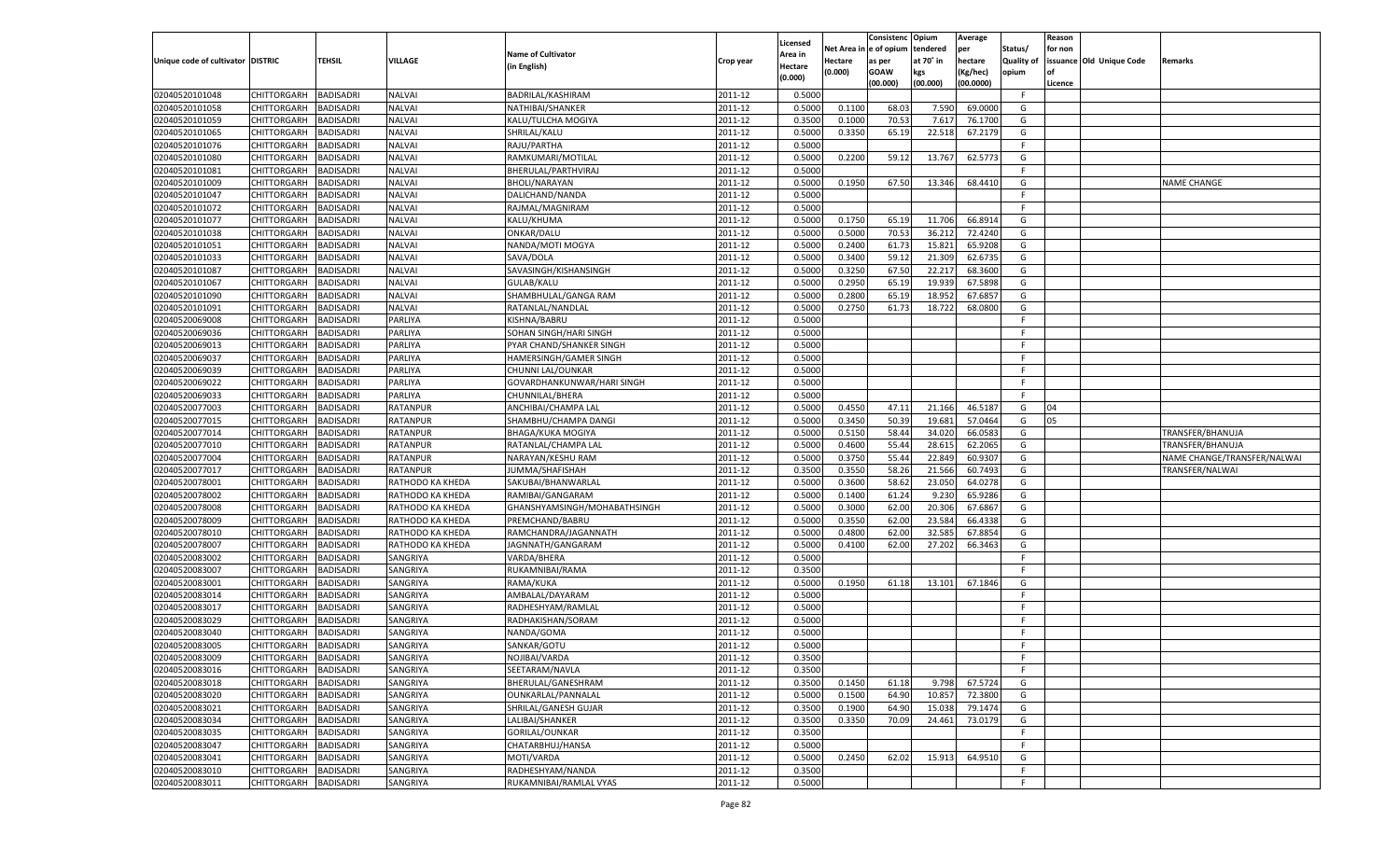|                                   |                       |                                      |                      |                                    |                    |                     |                  | Consistenc     | Opium     | Average   |            | Reason  |                          |                             |
|-----------------------------------|-----------------------|--------------------------------------|----------------------|------------------------------------|--------------------|---------------------|------------------|----------------|-----------|-----------|------------|---------|--------------------------|-----------------------------|
|                                   |                       |                                      |                      | <b>Name of Cultivator</b>          |                    | Licensed<br>Area in | Net Area i       | le of opium    | tendered  | per       | Status/    | for non |                          |                             |
| Unique code of cultivator DISTRIC |                       | TEHSIL                               | <b>VILLAGE</b>       | (in English)                       | Crop year          | Hectare             | Hectare          | as per         | at 70° in | hectare   | Quality of |         | issuance Old Unique Code | Remarks                     |
|                                   |                       |                                      |                      |                                    |                    | (0.000)             | (0.000)          | <b>GOAW</b>    | kgs       | (Kg/hec)  | opium      |         |                          |                             |
|                                   |                       |                                      |                      |                                    |                    |                     |                  | (00.000)       | (00.000)  | (00.0000) |            | Licence |                          |                             |
| 02040520101048                    | CHITTORGARH           | <b>BADISADRI</b>                     | <b>NALVAI</b>        | BADRILAL/KASHIRAM                  | 2011-12            | 0.5000              |                  |                |           |           | F          |         |                          |                             |
| 02040520101058                    | CHITTORGARH           | BADISADRI                            | <b>NALVAI</b>        | NATHIBAI/SHANKER                   | 2011-12            | 0.5000              | 0.1100           | 68.03          | 7.590     | 69.0000   | G          |         |                          |                             |
| 02040520101059                    | CHITTORGARH           | BADISADRI                            | <b>NALVAI</b>        | KALU/TULCHA MOGIYA                 | 2011-12            | 0.3500              | 0.1000           | 70.53          | 7.617     | 76.1700   | G          |         |                          |                             |
| 02040520101065                    | CHITTORGARH           | BADISADRI                            | <b>NALVAI</b>        | SHRILAL/KALU                       | 2011-12            | 0.5000              | 0.3350           | 65.19          | 22.518    | 67.2179   | G          |         |                          |                             |
| 02040520101076                    | CHITTORGARH           | BADISADRI                            | <b>NALVAI</b>        | RAJU/PARTHA                        | 2011-12            | 0.5000              |                  |                |           |           | F.         |         |                          |                             |
| 02040520101080                    | CHITTORGARH           | BADISADRI                            | <b>NALVAI</b>        | RAMKUMARI/MOTILAL                  | 2011-12            | 0.5000              | 0.2200           | 59.1           | 13.767    | 62.5773   | G          |         |                          |                             |
| 02040520101081                    | CHITTORGARH           | BADISADRI                            | <b>NALVAI</b>        | BHERULAL/PARTHVIRAJ                | 2011-12            | 0.5000              |                  |                |           |           | F.         |         |                          |                             |
| 02040520101009                    | CHITTORGARH           | BADISADRI                            | <b>NALVAI</b>        | <b>BHOLI/NARAYAN</b>               | 2011-12            | 0.5000              | 0.1950           | 67.50          | 13.346    | 68.4410   | G          |         |                          | NAME CHANGE                 |
| 02040520101047                    | CHITTORGARH           | BADISADRI                            | <b>NALVAI</b>        | DALICHAND/NANDA                    | 2011-12            | 0.5000              |                  |                |           |           | F.         |         |                          |                             |
| 02040520101072                    | CHITTORGARH           | BADISADRI                            | <b>NALVAI</b>        | RAJMAL/MAGNIRAM                    | 2011-12            | 0.5000              |                  |                |           |           | E          |         |                          |                             |
| 02040520101077                    | CHITTORGARH           | BADISADRI                            | <b>NALVAI</b>        | KALU/KHUMA                         | 2011-12            | 0.5000              | 0.1750           | 65.19          | 11.706    | 66.8914   | G          |         |                          |                             |
| 02040520101038                    | CHITTORGARH           | BADISADRI                            | <b>NALVAI</b>        | ONKAR/DALU                         | 2011-12            | 0.5000              | 0.5000           | 70.53          | 36.212    | 72.4240   | G          |         |                          |                             |
| 02040520101051                    | CHITTORGARH           | <b>BADISADRI</b>                     | <b>NALVAI</b>        | NANDA/MOTI MOGYA                   | 2011-12            | 0.5000              | 0.2400           | 61.73          | 15.821    | 65.9208   | G          |         |                          |                             |
| 02040520101033                    | CHITTORGARH           | <b>BADISADRI</b>                     | <b>NALVAI</b>        | SAVA/DOLA                          | 2011-12            | 0.5000              | 0.3400           | 59.12          | 21.309    | 62.6735   | G          |         |                          |                             |
| 02040520101087                    | CHITTORGARH           | <b>BADISADRI</b>                     | <b>NALVAI</b>        | SAVASINGH/KISHANSINGH              | 2011-12            | 0.5000              | 0.3250           | 67.50          | 22.217    | 68.3600   | G          |         |                          |                             |
| 02040520101067                    | CHITTORGARH           | BADISADRI                            | <b>NALVAI</b>        | GULAB/KALU                         | 2011-12            | 0.5000              | 0.2950           | 65.19          | 19.939    | 67.5898   | G          |         |                          |                             |
| 02040520101090                    | CHITTORGARH           | <b>BADISADRI</b>                     | NALVAI               | SHAMBHULAL/GANGA RAM               | 2011-12            | 0.5000              | 0.2800           | 65.19          | 18.952    | 67.6857   | G          |         |                          |                             |
| 02040520101091                    | CHITTORGARH           | BADISADRI                            | NALVAI               | RATANLAL/NANDLAL                   | 2011-12            | 0.5000              | 0.2750           | 61.73          | 18.722    | 68.0800   | G          |         |                          |                             |
| 02040520069008                    | CHITTORGARH           | <b>BADISADRI</b>                     | PARLIYA              | KISHNA/BABRU                       | 2011-12            | 0.5000              |                  |                |           |           | F.         |         |                          |                             |
| 02040520069036                    | CHITTORGARH           | BADISADRI                            | PARLIYA              | SOHAN SINGH/HARI SINGH             | 2011-12            | 0.5000              |                  |                |           |           | F.         |         |                          |                             |
| 02040520069013                    | CHITTORGARH           | <b>BADISADRI</b>                     | PARLIYA              | PYAR CHAND/SHANKER SINGH           | 2011-12            | 0.5000              |                  |                |           |           | F.         |         |                          |                             |
| 02040520069037                    | CHITTORGARH           | BADISADRI                            | PARLIYA              | HAMERSINGH/GAMER SINGH             | 2011-12            | 0.5000              |                  |                |           |           | E          |         |                          |                             |
| 02040520069039                    | CHITTORGARH           | <b>BADISADRI</b>                     | PARLIYA              | CHUNNI LAL/OUNKAR                  | 2011-12            | 0.5000              |                  |                |           |           | F.         |         |                          |                             |
| 02040520069022                    | CHITTORGARH           | BADISADRI                            | PARLIYA              | GOVARDHANKUNWAR/HARI SINGH         | 2011-12            | 0.5000              |                  |                |           |           | F.         |         |                          |                             |
| 02040520069033                    | CHITTORGARH           | <b>BADISADRI</b>                     | PARLIYA              | CHUNNILAL/BHERA                    | 2011-12            | 0.5000              |                  |                |           |           | F.         |         |                          |                             |
| 02040520077003                    | CHITTORGARH           | BADISADRI                            | RATANPUR             | ANCHIBAI/CHAMPA LAL                | 2011-12            | 0.5000              | 0.4550           | 47.11          | 21.166    | 46.5187   | G          | 04      |                          |                             |
| 02040520077015                    | CHITTORGARH           | <b>BADISADRI</b>                     | RATANPUR             | SHAMBHU/CHAMPA DANGI               | 2011-12            | 0.5000              | 0.3450           | 50.39          | 19.681    | 57.0464   | G          | 05      |                          |                             |
| 02040520077014                    | CHITTORGARH           | BADISADRI                            | RATANPUR             | BHAGA/KUKA MOGIYA                  | 2011-12            | 0.5000              | 0.5150           | 58.44          | 34.020    | 66.0583   | G          |         |                          | TRANSFER/BHANUJA            |
| 02040520077010                    | CHITTORGARH           | <b>BADISADRI</b>                     | RATANPUR             | RATANLAL/CHAMPA LAL                | 2011-12            | 0.5000              | 0.4600           | 55.44          | 28.615    | 62.2065   | G          |         |                          | TRANSFER/BHANUJA            |
| 02040520077004                    | CHITTORGARH           | <b>BADISADRI</b>                     | RATANPUR             | NARAYAN/KESHU RAM                  | 2011-12            | 0.5000              | 0.3750           | 55.44          | 22.849    | 60.9307   | G          |         |                          | NAME CHANGE/TRANSFER/NALWAI |
| 02040520077017                    | CHITTORGARH           | <b>BADISADRI</b>                     | <b>RATANPUR</b>      | JUMMA/SHAFISHAH                    | 2011-12            | 0.3500              | 0.3550           | 58.26          | 21.566    | 60.7493   | G          |         |                          | TRANSFER/NALWAI             |
| 02040520078001                    | CHITTORGARH           | <b>BADISADRI</b>                     | RATHODO KA KHEDA     | SAKUBAI/BHANWARLAL                 | 2011-12            | 0.5000              | 0.3600           | 58.62          | 23.050    | 64.0278   | G          |         |                          |                             |
| 02040520078002                    | CHITTORGARH           | <b>BADISADRI</b>                     | RATHODO KA KHEDA     | RAMIBAI/GANGARAM                   | 2011-12            | 0.5000              | 0.1400           | 61.24          | 9.23      | 65.9286   | G          |         |                          |                             |
| 02040520078008                    | CHITTORGARH           | BADISADRI                            | RATHODO KA KHEDA     | GHANSHYAMSINGH/MOHABATHSINGH       | 2011-12            | 0.5000              | 0.3000           | 62.00          | 20.306    | 67.6867   | G          |         |                          |                             |
| 02040520078009                    | CHITTORGARH           | <b>BADISADRI</b>                     | RATHODO KA KHEDA     | PREMCHAND/BABRU                    | 2011-12            | 0.5000              | 0.3550           | 62.00          | 23.584    | 66.4338   | G          |         |                          |                             |
| 02040520078010                    | CHITTORGARH           | <b>BADISADRI</b>                     | RATHODO KA KHEDA     | RAMCHANDRA/JAGANNATH               | 2011-12            | 0.5000              | 0.4800           | 62.00          | 32.585    | 67.8854   | G          |         |                          |                             |
| 02040520078007                    | CHITTORGARH           | <b>BADISADRI</b>                     | RATHODO KA KHEDA     | JAGNNATH/GANGARAM                  | 2011-12            | 0.5000              | 0.4100           | 62.00          | 27.202    | 66.3463   | G          |         |                          |                             |
| 02040520083002                    | CHITTORGARH           | BADISADRI                            | SANGRIYA             | VARDA/BHERA                        | 2011-12            | 0.5000              |                  |                |           |           | F.         |         |                          |                             |
| 02040520083007                    | CHITTORGARH           | <b>BADISADRI</b>                     | SANGRIYA             | RUKAMNIBAI/RAMA                    | 2011-12            | 0.3500              |                  |                |           |           | E          |         |                          |                             |
| 02040520083001                    | CHITTORGARH           | <b>BADISADRI</b>                     | SANGRIYA             | RAMA/KUKA                          | 2011-12            | 0.5000              | 0.1950           | 61.18          | 13.101    | 67.1846   | G          |         |                          |                             |
| 02040520083014                    | CHITTORGARH           | <b>BADISADRI</b>                     | SANGRIYA             | AMBALAL/DAYARAM                    | 2011-12            | 0.5000              |                  |                |           |           | F.         |         |                          |                             |
| 02040520083017                    | CHITTORGARH           | BADISADRI                            | SANGRIYA             | RADHESHYAM/RAMLAL                  | 2011-12            | 0.5000              |                  |                |           |           | F          |         |                          |                             |
| 02040520083029                    | CHITTORGARH           | BADISADRI                            | SANGRIYA             | RADHAKISHAN/SORAM                  | 2011-12            | 0.5000              |                  |                |           |           | E          |         |                          |                             |
| 02040520083040                    | CHITTORGARH           | BADISADRI                            | SANGRIYA             | NANDA/GOMA                         | 2011-12            | 0.5000              |                  |                |           |           | F          |         |                          |                             |
| 02040520083005                    | CHITTORGARH           | <b>BADISADRI</b>                     | SANGRIYA             | SANKAR/GOTU                        | 2011-12            | 0.5000              |                  |                |           |           | F.         |         |                          |                             |
| 02040520083009                    | CHITTORGARH BADISADRI |                                      | SANGRIYA             | NOJIBAI/VARDA                      | 2011-12            | 0.3500              |                  |                |           |           | F          |         |                          |                             |
| 02040520083016                    | <b>CHITTORGARH</b>    | <b>BADISADRI</b>                     | SANGRIYA             | SEETARAM/NAVLA                     | 2011-12            | 0.3500              |                  |                |           |           | F.         |         |                          |                             |
| 02040520083018                    | <b>CHITTORGARH</b>    | <b>BADISADRI</b>                     | SANGRIYA             | BHERULAL/GANESHRAM                 | 2011-12            | 0.3500              | 0.1450           | 61.18          | 9.798     | 67.5724   | G          |         |                          |                             |
| 02040520083020                    | CHITTORGARH           | <b>BADISADRI</b>                     | SANGRIYA             | OUNKARLAL/PANNALAL                 | 2011-12            | 0.5000              | 0.1500           | 64.90          | 10.857    | 72.3800   | G          |         |                          |                             |
| 02040520083021                    | <b>CHITTORGARH</b>    |                                      |                      |                                    |                    |                     |                  |                |           |           |            |         |                          |                             |
| 02040520083034                    | CHITTORGARH           | <b>BADISADRI</b><br><b>BADISADRI</b> | SANGRIYA<br>SANGRIYA | SHRILAL/GANESH GUJAR               | 2011-12<br>2011-12 | 0.3500              | 0.1900<br>0.3350 | 64.90<br>70.09 | 15.038    | 79.1474   | G<br>G     |         |                          |                             |
|                                   | <b>CHITTORGARH</b>    | <b>BADISADRI</b>                     |                      | LALIBAI/SHANKER                    |                    | 0.3500              |                  |                | 24.461    | 73.0179   |            |         |                          |                             |
| 02040520083035                    |                       |                                      | SANGRIYA             | GORILAL/OUNKAR<br>CHATARBHUJ/HANSA | 2011-12            | 0.3500              |                  |                |           |           | F.         |         |                          |                             |
| 02040520083047                    | CHITTORGARH           | <b>BADISADRI</b>                     | SANGRIYA             |                                    | 2011-12            | 0.5000              |                  |                |           |           | F.         |         |                          |                             |
| 02040520083041                    | CHITTORGARH           | <b>BADISADRI</b>                     | SANGRIYA             | MOTI/VARDA                         | 2011-12            | 0.5000              | 0.2450           | 62.02          | 15.913    | 64.9510   | G          |         |                          |                             |
| 02040520083010                    | CHITTORGARH           | <b>BADISADRI</b>                     | SANGRIYA             | RADHESHYAM/NANDA                   | 2011-12            | 0.3500              |                  |                |           |           | F.         |         |                          |                             |
| 02040520083011                    | <b>CHITTORGARH</b>    | <b>BADISADRI</b>                     | SANGRIYA             | RUKAMNIBAI/RAMLAL VYAS             | 2011-12            | 0.5000              |                  |                |           |           | F.         |         |                          |                             |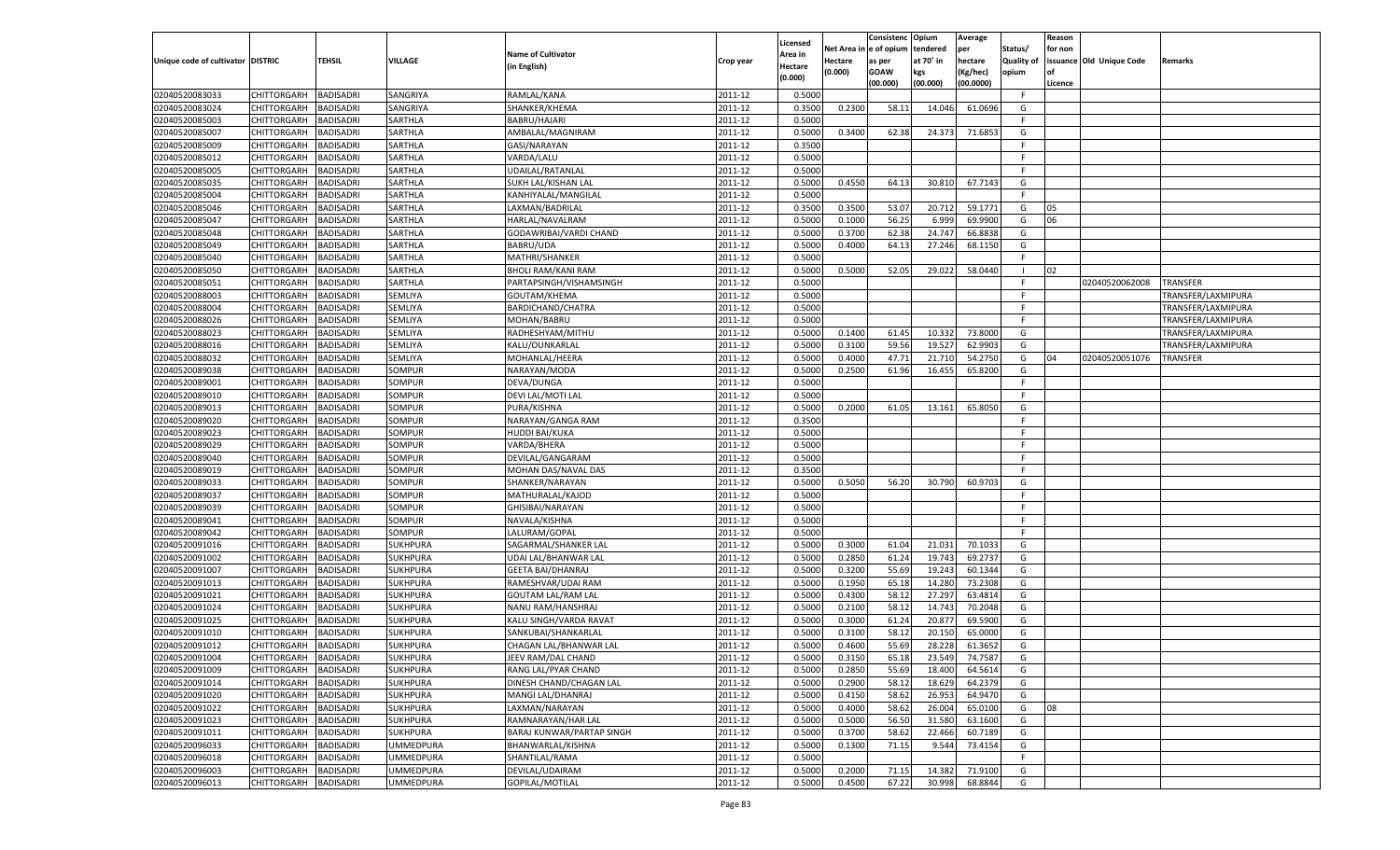|                                   |                       |                  |                                    |                                     |           |                     |            | Consistenc   | Opium     | Average   |            | Reason  |                          |                    |
|-----------------------------------|-----------------------|------------------|------------------------------------|-------------------------------------|-----------|---------------------|------------|--------------|-----------|-----------|------------|---------|--------------------------|--------------------|
|                                   |                       |                  |                                    | <b>Name of Cultivator</b>           |           | Licensed<br>Area in | Net Area i | n e of opium | tendered  | per       | Status/    | for non |                          |                    |
| Unique code of cultivator DISTRIC |                       | TEHSIL           | VILLAGE                            | (in English)                        | Crop year | Hectare             | Hectare    | as per       | at 70° in | hectare   | Quality of |         | issuance Old Unique Code | Remarks            |
|                                   |                       |                  |                                    |                                     |           | (0.000)             | (0.000)    | <b>GOAW</b>  | kgs       | (Kg/hec)  | opium      |         |                          |                    |
|                                   |                       |                  |                                    |                                     |           |                     |            | (00.000)     | (00.000)  | (00.0000) |            | Licence |                          |                    |
| 02040520083033                    | CHITTORGARH           | <b>BADISADRI</b> | SANGRIYA                           | RAMLAL/KANA                         | 2011-12   | 0.5000              |            |              |           |           | F          |         |                          |                    |
| 02040520083024                    | CHITTORGARH           | BADISADRI        | SANGRIYA                           | SHANKER/KHEMA                       | 2011-12   | 0.3500              | 0.2300     | 58.1         | 14.046    | 61.0696   | G          |         |                          |                    |
| 02040520085003                    | CHITTORGARH           | BADISADRI        | SARTHLA                            | BABRU/HAJARI                        | 2011-12   | 0.5000              |            |              |           |           | F.         |         |                          |                    |
| 02040520085007                    | CHITTORGARH           | BADISADRI        | SARTHLA                            | AMBALAL/MAGNIRAM                    | 2011-12   | 0.5000              | 0.3400     | 62.38        | 24.373    | 71.6853   | G          |         |                          |                    |
| 02040520085009                    | CHITTORGARH           | BADISADRI        | SARTHLA                            | GASI/NARAYAN                        | 2011-12   | 0.3500              |            |              |           |           | F.         |         |                          |                    |
| 02040520085012                    | CHITTORGARH           | BADISADRI        | SARTHLA                            | VARDA/LALU                          | 2011-12   | 0.5000              |            |              |           |           | E          |         |                          |                    |
| 02040520085005                    | CHITTORGARH           | BADISADRI        | SARTHLA                            | UDAILAL/RATANLAL                    | 2011-12   | 0.5000              |            |              |           |           | F.         |         |                          |                    |
| 02040520085035                    | CHITTORGARH           | BADISADRI        | SARTHLA                            | SUKH LAL/KISHAN LAL                 | 2011-12   | 0.5000              | 0.4550     | 64.13        | 30.810    | 67.7143   | G          |         |                          |                    |
| 02040520085004                    | CHITTORGARH           | BADISADRI        | SARTHLA                            | KANHIYALAL/MANGILAL                 | 2011-12   | 0.5000              |            |              |           |           | F.         |         |                          |                    |
| 02040520085046                    | CHITTORGARH           | BADISADRI        | SARTHLA                            | LAXMAN/BADRILAL                     | 2011-12   | 0.3500              | 0.3500     | 53.07        | 20.712    | 59.1771   | G          | 05      |                          |                    |
| 02040520085047                    | CHITTORGARH           | BADISADRI        | SARTHLA                            | HARLAL/NAVALRAM                     | 2011-12   | 0.5000              | 0.1000     | 56.25        | 6.999     | 69.9900   | G          | 06      |                          |                    |
| 02040520085048                    | CHITTORGARH           | BADISADRI        | SARTHLA                            | GODAWRIBAI/VARDI CHAND              | 2011-12   | 0.5000              | 0.3700     | 62.38        | 24.747    | 66.8838   | G          |         |                          |                    |
| 02040520085049                    | CHITTORGARH           | BADISADRI        | SARTHLA                            | <b>BABRU/UDA</b>                    | 2011-12   | 0.5000              | 0.4000     | 64.13        | 27.246    | 68.1150   | G          |         |                          |                    |
| 02040520085040                    | CHITTORGARH           | BADISADRI        | SARTHLA                            | MATHRI/SHANKER                      | 2011-12   | 0.5000              |            |              |           |           | F.         |         |                          |                    |
| 02040520085050                    | CHITTORGARH           | <b>BADISADRI</b> | SARTHLA                            | <b>BHOLI RAM/KANI RAM</b>           | 2011-12   | 0.5000              | 0.5000     | 52.05        | 29.022    | 58.0440   | - 1        | 02      |                          |                    |
| 02040520085051                    | CHITTORGARH           | BADISADRI        | SARTHLA                            | PARTAPSINGH/VISHAMSINGH             | 2011-12   | 0.5000              |            |              |           |           | F.         |         | 02040520062008           | <b>TRANSFER</b>    |
| 02040520088003                    | CHITTORGARH           | <b>BADISADRI</b> | SEMLIYA                            | GOUTAM/KHEMA                        | 2011-12   | 0.5000              |            |              |           |           | F.         |         |                          | TRANSFER/LAXMIPURA |
| 02040520088004                    | CHITTORGARH           | BADISADRI        | SEMLIYA                            | BARDICHAND/CHATRA                   | 2011-12   | 0.5000              |            |              |           |           | F.         |         |                          | TRANSFER/LAXMIPURA |
| 02040520088026                    | CHITTORGARH           | <b>BADISADRI</b> | SEMLIYA                            | MOHAN/BABRU                         | 2011-12   | 0.5000              |            |              |           |           | F.         |         |                          | TRANSFER/LAXMIPURA |
| 02040520088023                    | CHITTORGARH           | BADISADRI        | SEMLIYA                            | RADHESHYAM/MITHU                    | 2011-12   | 0.5000              | 0.1400     | 61.45        | 10.332    | 73.8000   | G          |         |                          | TRANSFER/LAXMIPURA |
| 02040520088016                    | CHITTORGARH           | <b>BADISADRI</b> | SEMLIYA                            | KALU/OUNKARLAL                      | 2011-12   | 0.5000              | 0.3100     | 59.56        | 19.527    | 62.9903   | G          |         |                          | TRANSFER/LAXMIPURA |
| 02040520088032                    | CHITTORGARH           | BADISADRI        | SEMLIYA                            | MOHANLAL/HEERA                      | 2011-12   | 0.5000              | 0.4000     | 47.7         | 21.710    | 54.2750   | G          | 04      | 02040520051076           | TRANSFER           |
| 02040520089038                    | CHITTORGARH           | <b>BADISADRI</b> | SOMPUR                             | NARAYAN/MODA                        | 2011-12   | 0.5000              | 0.2500     | 61.96        | 16.455    | 65.8200   | G          |         |                          |                    |
| 02040520089001                    | CHITTORGARH           | BADISADRI        | SOMPUR                             | DEVA/DUNGA                          | 2011-12   | 0.5000              |            |              |           |           | F.         |         |                          |                    |
| 02040520089010                    | CHITTORGARH           | <b>BADISADRI</b> | SOMPUR                             | DEVI LAL/MOTI LAL                   | 2011-12   | 0.5000              |            |              |           |           | F.         |         |                          |                    |
| 02040520089013                    | CHITTORGARH           | BADISADRI        | SOMPUR                             | PURA/KISHNA                         | 2011-12   | 0.5000              | 0.2000     | 61.05        | 13.161    | 65.8050   | G          |         |                          |                    |
| 02040520089020                    | CHITTORGARH           | <b>BADISADRI</b> | SOMPUR                             | NARAYAN/GANGA RAM                   | 2011-12   | 0.3500              |            |              |           |           | F.         |         |                          |                    |
| 02040520089023                    | CHITTORGARH           | BADISADRI        | SOMPUR                             | <b>HUDDI BAI/KUKA</b>               | 2011-12   | 0.5000              |            |              |           |           | F.         |         |                          |                    |
| 02040520089029                    | CHITTORGARH           | <b>BADISADRI</b> | SOMPUR                             | VARDA/BHERA                         | 2011-12   | 0.5000              |            |              |           |           | F.         |         |                          |                    |
| 02040520089040                    | CHITTORGARH           | <b>BADISADRI</b> | SOMPUR                             | DEVILAL/GANGARAM                    | 2011-12   | 0.5000              |            |              |           |           | F.         |         |                          |                    |
| 02040520089019                    | CHITTORGARH           | <b>BADISADRI</b> | <b>SOMPUR</b>                      | MOHAN DAS/NAVAL DAS                 | 2011-12   | 0.3500              |            |              |           |           | E          |         |                          |                    |
| 02040520089033                    | CHITTORGARH           | <b>BADISADRI</b> | SOMPUR                             | SHANKER/NARAYAN                     | 2011-12   | 0.5000              | 0.5050     | 56.20        | 30.790    | 60.9703   | G          |         |                          |                    |
| 02040520089037                    | CHITTORGARH           | <b>BADISADRI</b> | SOMPUR                             | MATHURALAL/KAJOD                    | 2011-12   | 0.5000              |            |              |           |           | F.         |         |                          |                    |
| 02040520089039                    | CHITTORGARH           | BADISADRI        | SOMPUR                             | GHISIBAI/NARAYAN                    | 2011-12   | 0.5000              |            |              |           |           | F          |         |                          |                    |
| 02040520089041                    | CHITTORGARH           | <b>BADISADRI</b> | <b>SOMPUR</b>                      | NAVALA/KISHNA                       | 2011-12   | 0.5000              |            |              |           |           | F          |         |                          |                    |
| 02040520089042                    | CHITTORGARH           | <b>BADISADRI</b> | SOMPUR                             | LALURAM/GOPAL                       | 2011-12   | 0.5000              |            |              |           |           | F          |         |                          |                    |
| 02040520091016                    | CHITTORGARH           | <b>BADISADRI</b> | <b>SUKHPURA</b>                    | SAGARMAL/SHANKER LAL                | 2011-12   | 0.5000              | 0.3000     | 61.04        | 21.031    | 70.1033   | G          |         |                          |                    |
| 02040520091002                    | CHITTORGARH           | BADISADRI        | <b>SUKHPURA</b>                    | UDAI LAL/BHANWAR LAI                | 2011-12   | 0.5000              | 0.2850     | 61.24        | 19.743    | 69.2737   | G          |         |                          |                    |
| 02040520091007                    | CHITTORGARH           | <b>BADISADRI</b> | <b>SUKHPURA</b>                    | <b>GEETA BAI/DHANRAJ</b>            | 2011-12   | 0.5000              | 0.3200     | 55.69        | 19.243    | 60.1344   | G          |         |                          |                    |
| 02040520091013                    | CHITTORGARH           | <b>BADISADRI</b> | <b>SUKHPURA</b>                    | RAMESHVAR/UDAI RAM                  | 2011-12   | 0.5000              | 0.1950     | 65.18        | 14.280    | 73.2308   | G          |         |                          |                    |
| 02040520091021                    | CHITTORGARH           | <b>BADISADRI</b> | <b>SUKHPURA</b>                    | <b>GOUTAM LAL/RAM LAL</b>           | 2011-12   | 0.5000              | 0.4300     | 58.12        | 27.297    | 63.4814   | G          |         |                          |                    |
| 02040520091024                    | CHITTORGARH           | <b>BADISADRI</b> | <b>SUKHPURA</b>                    | NANU RAM/HANSHRAJ                   | 2011-12   | 0.5000              | 0.2100     | 58.12        | 14.743    | 70.2048   | G          |         |                          |                    |
| 02040520091025                    | CHITTORGARH           | BADISADRI        | <b>SUKHPURA</b>                    | KALU SINGH/VARDA RAVAT              | 2011-12   | 0.5000              | 0.3000     | 61.24        | 20.87     | 69.5900   | G          |         |                          |                    |
| 02040520091010                    | CHITTORGARH           | BADISADRI        | SUKHPURA                           | SANKUBAI/SHANKARLAL                 | 2011-12   | 0.5000              | 0.3100     | 58.12        | 20.15     | 65.0000   | G          |         |                          |                    |
| 02040520091012                    | CHITTORGARH           | <b>BADISADRI</b> | <b>SUKHPURA</b>                    | CHAGAN LAL/BHANWAR LAL              | 2011-12   | 0.5000              | 0.4600     | 55.69        | 28.228    | 61.3652   | G          |         |                          |                    |
| 02040520091004                    | CHITTORGARH BADISADRI |                  | <b>SUKHPURA</b>                    | JEEV RAM/DAL CHAND                  | 2011-12   | 0.5000              | 0.3150     | 65.18        | 23.549    | 74.7587   | G          |         |                          |                    |
| 02040520091009                    | <b>CHITTORGARH</b>    | <b>BADISADRI</b> | <b>SUKHPURA</b>                    | RANG LAL/PYAR CHAND                 | 2011-12   | 0.5000              | 0.2850     | 55.69        | 18.400    | 64.5614   | G          |         |                          |                    |
| 02040520091014                    | <b>CHITTORGARH</b>    | <b>BADISADRI</b> |                                    | DINESH CHAND/CHAGAN LAL             | 2011-12   | 0.5000              | 0.2900     | 58.12        | 18.629    | 64.2379   | G          |         |                          |                    |
| 02040520091020                    | CHITTORGARH           | <b>BADISADRI</b> | <b>SUKHPURA</b><br><b>SUKHPURA</b> | MANGI LAL/DHANRAJ                   | 2011-12   | 0.5000              | 0.4150     | 58.62        | 26.953    | 64.9470   | G          |         |                          |                    |
| 02040520091022                    | CHITTORGARH           | <b>BADISADRI</b> | <b>SUKHPURA</b>                    | LAXMAN/NARAYAN                      | 2011-12   | 0.5000              | 0.4000     | 58.62        | 26.004    | 65.0100   | G          | 08      |                          |                    |
| 02040520091023                    | CHITTORGARH           | <b>BADISADRI</b> | <b>SUKHPURA</b>                    | RAMNARAYAN/HAR LAL                  | 2011-12   | 0.5000              | 0.5000     | 56.50        | 31.580    | 63.1600   | G          |         |                          |                    |
| 02040520091011                    | <b>CHITTORGARH</b>    | <b>BADISADRI</b> |                                    | BARAJ KUNWAR/PARTAP SINGH           | 2011-12   |                     | 0.3700     | 58.62        | 22.466    | 60.7189   | G          |         |                          |                    |
|                                   |                       | <b>BADISADRI</b> | <b>SUKHPURA</b>                    |                                     |           | 0.5000              | 0.1300     |              |           |           |            |         |                          |                    |
| 02040520096033                    | CHITTORGARH           |                  | <b>UMMEDPURA</b>                   | BHANWARLAL/KISHNA<br>SHANTILAL/RAMA | 2011-12   | 0.5000              |            | 71.15        | 9.544     | 73.4154   | G          |         |                          |                    |
| 02040520096018                    | CHITTORGARH           | <b>BADISADRI</b> | <b>UMMEDPURA</b>                   |                                     | 2011-12   | 0.5000              |            |              |           |           | F.         |         |                          |                    |
| 02040520096003                    | <b>CHITTORGARH</b>    | <b>BADISADRI</b> | <b>UMMEDPURA</b>                   | DEVILAL/UDAIRAM                     | 2011-12   | 0.5000              | 0.2000     | 71.15        | 14.382    | 71.9100   | G          |         |                          |                    |
| 02040520096013                    | <b>CHITTORGARH</b>    | <b>BADISADRI</b> | <b>UMMEDPURA</b>                   | GOPILAL/MOTILAL                     | 2011-12   | 0.5000              | 0.4500     | 67.22        | 30.998    | 68.8844   | G          |         |                          |                    |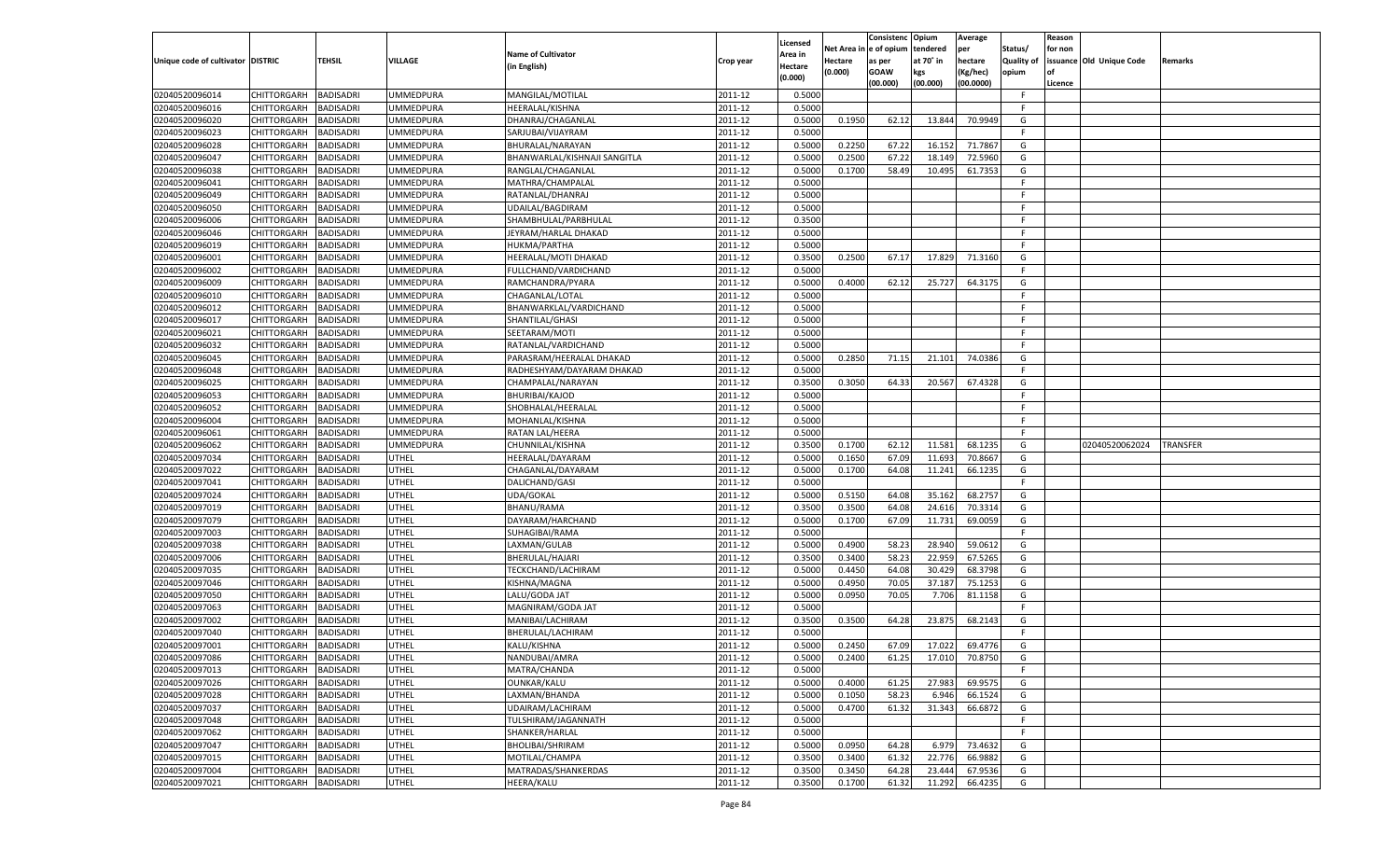|                                   |                       |                  |                  |                              |           |                    |         | Consistenc Opium       |           | Average   |            | Reason  |                          |                 |
|-----------------------------------|-----------------------|------------------|------------------|------------------------------|-----------|--------------------|---------|------------------------|-----------|-----------|------------|---------|--------------------------|-----------------|
|                                   |                       |                  |                  | <b>Name of Cultivator</b>    |           | Licensed           |         | Net Area in e of opium | tendered  | per       | Status/    | for non |                          |                 |
| Unique code of cultivator DISTRIC |                       | TEHSIL           | <b>VILLAGE</b>   |                              | Crop year | Area in            | Hectare | as per                 | at 70° in | hectare   | Quality of |         | issuance Old Unique Code | <b>Remarks</b>  |
|                                   |                       |                  |                  | (in English)                 |           | Hectare<br>(0.000) | (0.000) | <b>GOAW</b>            | kgs       | (Kg/hec)  | opium      |         |                          |                 |
|                                   |                       |                  |                  |                              |           |                    |         | (00.000)               | (00.000)  | (00.0000) |            | Licence |                          |                 |
| 02040520096014                    | CHITTORGARH           | <b>BADISADRI</b> | <b>UMMEDPURA</b> | MANGILAL/MOTILAL             | 2011-12   | 0.5000             |         |                        |           |           | -F.        |         |                          |                 |
| 02040520096016                    | CHITTORGARH           | <b>BADISADRI</b> | UMMEDPURA        | <b>HEERALAL/KISHNA</b>       | 2011-12   | 0.5000             |         |                        |           |           | F.         |         |                          |                 |
| 02040520096020                    | CHITTORGARH           | <b>BADISADRI</b> | UMMEDPURA        | DHANRAJ/CHAGANLAL            | 2011-12   | 0.5000             | 0.1950  | 62.12                  | 13.844    | 70.9949   | G          |         |                          |                 |
| 02040520096023                    | CHITTORGARH           | <b>BADISADRI</b> | <b>UMMEDPURA</b> | SARJUBAI/VIJAYRAM            | 2011-12   | 0.5000             |         |                        |           |           | F.         |         |                          |                 |
| 02040520096028                    | CHITTORGARH           | <b>BADISADRI</b> | UMMEDPURA        | BHURALAL/NARAYAN             | 2011-12   | 0.5000             | 0.2250  | 67.22                  | 16.152    | 71.7867   | G          |         |                          |                 |
| 02040520096047                    | CHITTORGARH           | <b>BADISADRI</b> | UMMEDPURA        | BHANWARLAL/KISHNAJI SANGITLA | 2011-12   | 0.5000             | 0.2500  | 67.22                  | 18.14     | 72.5960   | G          |         |                          |                 |
| 02040520096038                    | CHITTORGARH           | <b>BADISADRI</b> | UMMEDPURA        | RANGLAL/CHAGANLAL            | 2011-12   | 0.5000             | 0.1700  | 58.49                  | 10.495    | 61.7353   | G          |         |                          |                 |
| 02040520096041                    | CHITTORGARH           | <b>BADISADRI</b> | <b>UMMEDPURA</b> | MATHRA/CHAMPALAL             | 2011-12   | 0.5000             |         |                        |           |           | F.         |         |                          |                 |
| 02040520096049                    | CHITTORGARH           | <b>BADISADRI</b> | UMMEDPURA        | RATANLAL/DHANRAJ             | 2011-12   | 0.5000             |         |                        |           |           | F.         |         |                          |                 |
| 02040520096050                    | CHITTORGARH           | <b>BADISADRI</b> | UMMEDPURA        | UDAILAL/BAGDIRAM             | 2011-12   | 0.5000             |         |                        |           |           | -F         |         |                          |                 |
| 02040520096006                    | CHITTORGARH           | <b>BADISADRI</b> | UMMEDPURA        | SHAMBHULAL/PARBHULAL         | 2011-12   | 0.3500             |         |                        |           |           | F.         |         |                          |                 |
| 02040520096046                    | CHITTORGARH           | <b>BADISADRI</b> | <b>UMMEDPURA</b> | JEYRAM/HARLAL DHAKAD         | 2011-12   | 0.5000             |         |                        |           |           | -F.        |         |                          |                 |
| 02040520096019                    | CHITTORGARH           | <b>BADISADRI</b> | UMMEDPURA        | HUKMA/PARTHA                 | 2011-12   | 0.5000             |         |                        |           |           | F.         |         |                          |                 |
| 02040520096001                    | CHITTORGARH           | BADISADRI        | UMMEDPURA        | HEERALAL/MOTI DHAKAD         | 2011-12   | 0.3500             | 0.2500  | 67.17                  | 17.829    | 71.3160   | G          |         |                          |                 |
| 02040520096002                    | CHITTORGARH           | BADISADRI        | JMMEDPURA        | FULLCHAND/VARDICHAND         | 2011-12   | 0.5000             |         |                        |           |           | F.         |         |                          |                 |
| 02040520096009                    | CHITTORGARH           | BADISADRI        | UMMEDPURA        | RAMCHANDRA/PYARA             | 2011-12   | 0.5000             | 0.4000  | 62.12                  | 25.727    | 64.3175   | G          |         |                          |                 |
| 02040520096010                    | CHITTORGARH           | BADISADRI        | UMMEDPURA        | CHAGANLAL/LOTAL              | 2011-12   | 0.5000             |         |                        |           |           | F.         |         |                          |                 |
| 02040520096012                    | CHITTORGARH           | BADISADRI        | UMMEDPURA        | BHANWARKLAL/VARDICHAND       | 2011-12   | 0.5000             |         |                        |           |           | E          |         |                          |                 |
|                                   |                       |                  |                  |                              |           |                    |         |                        |           |           | F.         |         |                          |                 |
| 02040520096017                    | CHITTORGARH           | BADISADRI        | JMMEDPURA        | SHANTILAL/GHASI              | 2011-12   | 0.5000             |         |                        |           |           |            |         |                          |                 |
| 02040520096021                    | CHITTORGARH           | BADISADRI        | UMMEDPURA        | SEETARAM/MOTI                | 2011-12   | 0.5000             |         |                        |           |           | -F         |         |                          |                 |
| 02040520096032                    | CHITTORGARH           | <b>BADISADRI</b> | UMMEDPURA        | RATANLAL/VARDICHAND          | 2011-12   | 0.5000             |         |                        |           |           | F.         |         |                          |                 |
| 02040520096045                    | CHITTORGARH           | BADISADRI        | UMMEDPURA        | PARASRAM/HEERALAL DHAKAD     | 2011-12   | 0.5000             | 0.2850  | 71.15                  | 21.101    | 74.0386   | G          |         |                          |                 |
| 02040520096048                    | CHITTORGARH           | BADISADRI        | UMMEDPURA        | RADHESHYAM/DAYARAM DHAKAD    | 2011-12   | 0.5000             |         |                        |           |           | F.         |         |                          |                 |
| 02040520096025                    | CHITTORGARH           | BADISADRI        | UMMEDPURA        | CHAMPALAL/NARAYAN            | 2011-12   | 0.3500             | 0.3050  | 64.33                  | 20.567    | 67.4328   | G          |         |                          |                 |
| 02040520096053                    | CHITTORGARH           | <b>BADISADRI</b> | UMMEDPURA        | <b>BHURIBAI/KAJOD</b>        | 2011-12   | 0.5000             |         |                        |           |           | F.         |         |                          |                 |
| 02040520096052                    | CHITTORGARH           | BADISADRI        | UMMEDPURA        | SHOBHALAL/HEERALAL           | 2011-12   | 0.5000             |         |                        |           |           | E          |         |                          |                 |
| 02040520096004                    | CHITTORGARH           | BADISADRI        | UMMEDPURA        | MOHANLAL/KISHNA              | 2011-12   | 0.5000             |         |                        |           |           | F.         |         |                          |                 |
| 02040520096061                    | CHITTORGARH           | BADISADRI        | UMMEDPURA        | RATAN LAL/HEERA              | 2011-12   | 0.5000             |         |                        |           |           | -F         |         |                          |                 |
| 02040520096062                    | CHITTORGARH           | <b>BADISADRI</b> | UMMEDPURA        | CHUNNILAL/KISHNA             | 2011-12   | 0.3500             | 0.1700  | 62.12                  | 11.581    | 68.1235   | G          |         | 02040520062024           | <b>TRANSFER</b> |
| 02040520097034                    | CHITTORGARH           | BADISADRI        | UTHEL            | HEERALAL/DAYARAM             | 2011-12   | 0.5000             | 0.1650  | 67.09                  | 11.693    | 70.8667   | G          |         |                          |                 |
| 02040520097022                    | CHITTORGARH           | BADISADRI        | UTHEL            | CHAGANLAL/DAYARAM            | 2011-12   | 0.5000             | 0.1700  | 64.08                  | 11.241    | 66.1235   | G          |         |                          |                 |
| 02040520097041                    | CHITTORGARH           | BADISADRI        | UTHEL            | DALICHAND/GASI               | 2011-12   | 0.5000             |         |                        |           |           | F.         |         |                          |                 |
| 02040520097024                    | CHITTORGARH           | BADISADRI        | UTHEL            | UDA/GOKAL                    | 2011-12   | 0.5000             | 0.5150  | 64.08                  | 35.162    | 68.2757   | G          |         |                          |                 |
| 02040520097019                    | CHITTORGARH           | BADISADRI        | UTHEL            | <b>BHANU/RAMA</b>            | 2011-12   | 0.3500             | 0.3500  | 64.08                  | 24.616    | 70.3314   | G          |         |                          |                 |
| 02040520097079                    | CHITTORGARH           | BADISADRI        | UTHEL            | DAYARAM/HARCHAND             | 2011-12   | 0.5000             | 0.1700  | 67.09                  | 11.731    | 69.0059   | G          |         |                          |                 |
| 02040520097003                    | CHITTORGARH           | BADISADRI        | UTHEL            | SUHAGIBAI/RAMA               | 2011-12   | 0.5000             |         |                        |           |           | F.         |         |                          |                 |
| 02040520097038                    | CHITTORGARH           | BADISADRI        | UTHEL            | LAXMAN/GULAB                 | 2011-12   | 0.5000             | 0.4900  | 58.23                  | 28.940    | 59.0612   | G          |         |                          |                 |
| 02040520097006                    | CHITTORGARH           | BADISADRI        | UTHEL            | BHERULAL/HAJARI              | 2011-12   | 0.3500             | 0.3400  | 58.23                  | 22.959    | 67.5265   | G          |         |                          |                 |
| 02040520097035                    | CHITTORGARH           | BADISADRI        | UTHEL            | TECKCHAND/LACHIRAM           | 2011-12   | 0.5000             | 0.4450  | 64.08                  | 30.429    | 68.3798   | G          |         |                          |                 |
| 02040520097046                    | CHITTORGARH           | BADISADRI        | UTHEL            | KISHNA/MAGNA                 | 2011-12   | 0.5000             | 0.4950  | 70.05                  | 37.187    | 75.1253   | G          |         |                          |                 |
| 02040520097050                    | CHITTORGARH           | BADISADRI        | UTHEL            | LALU/GODA JAT                | 2011-12   | 0.5000             | 0.0950  | 70.05                  | 7.706     | 81.1158   | G          |         |                          |                 |
| 02040520097063                    | CHITTORGARH           | BADISADRI        | UTHEL            | MAGNIRAM/GODA JAT            | 2011-12   | 0.5000             |         |                        |           |           | F.         |         |                          |                 |
| 02040520097002                    | CHITTORGARH           | BADISADRI        | UTHEL            | MANIBAI/LACHIRAM             | 2011-12   | 0.3500             | 0.3500  | 64.28                  | 23.875    | 68.2143   | G          |         |                          |                 |
|                                   |                       |                  |                  |                              |           |                    |         |                        |           |           | F.         |         |                          |                 |
| 02040520097040                    | CHITTORGARH           | BADISADRI        | UTHEL            | BHERULAL/LACHIRAM            | 2011-12   | 0.5000             |         |                        |           |           |            |         |                          |                 |
| 02040520097001                    | CHITTORGARH           | BADISADRI        | UTHEL            | KALU/KISHNA                  | 2011-12   | 0.5000             | 0.2450  | 67.09                  | 17.022    | 69.4776   | G          |         |                          |                 |
| 02040520097086                    | CHITTORGARH BADISADRI |                  | UTHEL            | NANDUBAI/AMRA                | 2011-12   | 0.5000             | 0.2400  | 61.25                  | 17.010    | 70.8750   | G          |         |                          |                 |
| 02040520097013                    | CHITTORGARH           | <b>BADISADRI</b> | UTHEL            | MATRA/CHANDA                 | 2011-12   | 0.5000             |         |                        |           |           | -F         |         |                          |                 |
| 02040520097026                    | <b>CHITTORGARH</b>    | BADISADRI        | UTHEL            | OUNKAR/KALU                  | 2011-12   | 0.5000             | 0.4000  | 61.25                  | 27.983    | 69.9575   | G          |         |                          |                 |
| 02040520097028                    | CHITTORGARH           | <b>BADISADRI</b> | UTHEL            | LAXMAN/BHANDA                | 2011-12   | 0.5000             | 0.1050  | 58.23                  | 6.946     | 66.1524   | G          |         |                          |                 |
| 02040520097037                    | CHITTORGARH           | <b>BADISADRI</b> | UTHEL            | UDAIRAM/LACHIRAM             | 2011-12   | 0.5000             | 0.4700  | 61.32                  | 31.343    | 66.6872   | G          |         |                          |                 |
| 02040520097048                    | CHITTORGARH           | <b>BADISADRI</b> | UTHEL            | TULSHIRAM/JAGANNATH          | 2011-12   | 0.5000             |         |                        |           |           | F.         |         |                          |                 |
| 02040520097062                    | <b>CHITTORGARH</b>    | <b>BADISADRI</b> | UTHEL            | SHANKER/HARLAL               | 2011-12   | 0.5000             |         |                        |           |           | F.         |         |                          |                 |
| 02040520097047                    | <b>CHITTORGARH</b>    | <b>BADISADRI</b> | UTHEL            | BHOLIBAI/SHRIRAM             | 2011-12   | 0.5000             | 0.0950  | 64.28                  | 6.979     | 73.4632   | G          |         |                          |                 |
| 02040520097015                    | CHITTORGARH           | <b>BADISADRI</b> | UTHEL            | MOTILAL/CHAMPA               | 2011-12   | 0.3500             | 0.3400  | 61.32                  | 22.776    | 66.9882   | G          |         |                          |                 |
| 02040520097004                    | CHITTORGARH           | <b>BADISADRI</b> | UTHEL            | MATRADAS/SHANKERDAS          | 2011-12   | 0.3500             | 0.3450  | 64.28                  | 23.444    | 67.9536   | G          |         |                          |                 |
| 02040520097021                    | <b>CHITTORGARH</b>    | <b>BADISADRI</b> | UTHEL            | <b>HEERA/KALU</b>            | 2011-12   | 0.3500             | 0.1700  | 61.32                  | 11.292    | 66.4235   | G          |         |                          |                 |